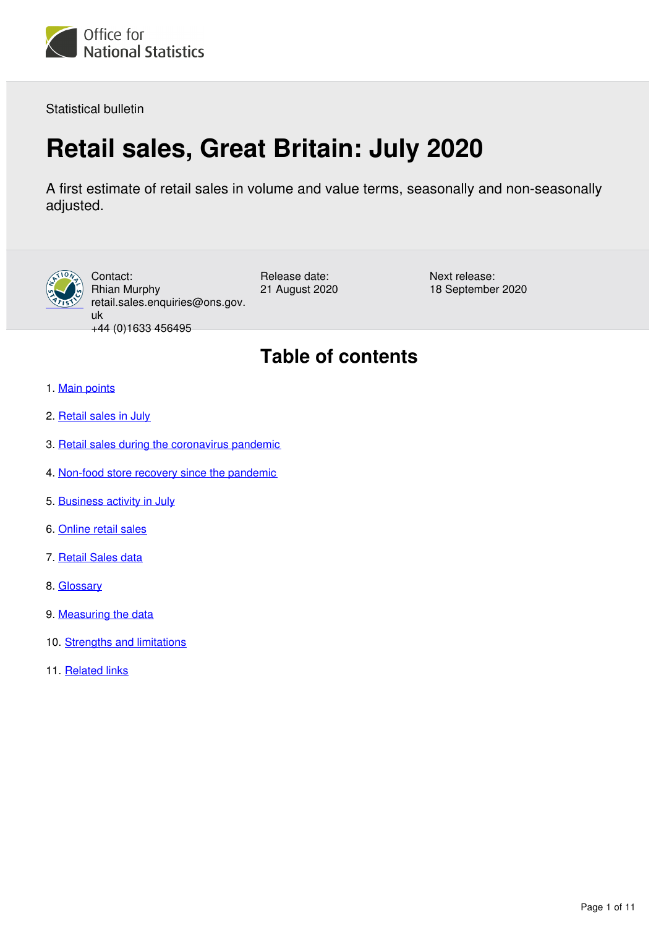

Statistical bulletin

# **Retail sales, Great Britain: July 2020**

A first estimate of retail sales in volume and value terms, seasonally and non-seasonally adjusted.



Contact: Rhian Murphy retail.sales.enquiries@ons.gov. uk +44 (0)1633 456495

Release date: 21 August 2020 Next release: 18 September 2020

## **Table of contents**

- 1. [Main points](#page-1-0)
- 2. [Retail sales in July](#page-1-1)
- 3. [Retail sales during the coronavirus pandemic](#page-2-0)
- 4. [Non-food store recovery since the pandemic](#page-3-0)
- 5. [Business activity in July](#page-4-0)
- 6. [Online retail sales](#page-6-0)
- 7. [Retail Sales data](#page-8-0)
- 8. [Glossary](#page-8-1)
- 9. [Measuring the data](#page-9-0)
- 10. [Strengths and limitations](#page-9-1)
- 11. [Related links](#page-10-0)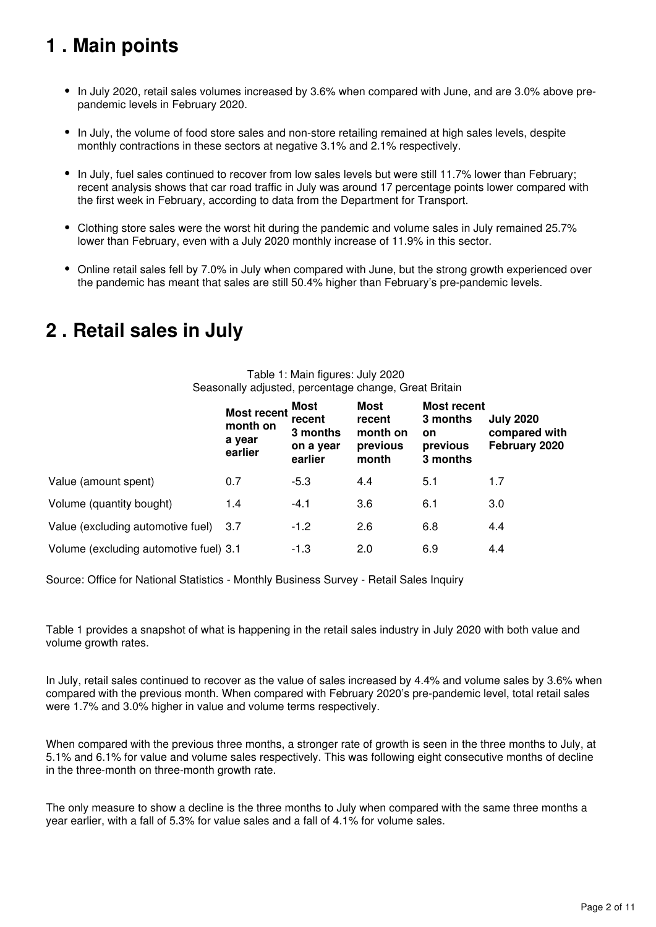## <span id="page-1-0"></span>**1 . Main points**

- In July 2020, retail sales volumes increased by 3.6% when compared with June, and are 3.0% above prepandemic levels in February 2020.
- In July, the volume of food store sales and non-store retailing remained at high sales levels, despite monthly contractions in these sectors at negative 3.1% and 2.1% respectively.
- In July, fuel sales continued to recover from low sales levels but were still 11.7% lower than February; recent analysis shows that car road traffic in July was around 17 percentage points lower compared with the first week in February, according to data from the Department for Transport.
- Clothing store sales were the worst hit during the pandemic and volume sales in July remained 25.7% lower than February, even with a July 2020 monthly increase of 11.9% in this sector.
- Online retail sales fell by 7.0% in July when compared with June, but the strong growth experienced over the pandemic has meant that sales are still 50.4% higher than February's pre-pandemic levels.

## <span id="page-1-1"></span>**2 . Retail sales in July**

#### Table 1: Main figures: July 2020 Seasonally adjusted, percentage change, Great Britain

|                                        | <b>Most recent</b><br>month on<br>a year<br>earlier | <b>Most</b><br>recent<br>3 months<br>on a year<br>earlier | <b>Most</b><br>recent<br>month on<br>previous<br>month | <b>Most recent</b><br>3 months<br>on<br>previous<br>3 months | <b>July 2020</b><br>compared with<br>February 2020 |
|----------------------------------------|-----------------------------------------------------|-----------------------------------------------------------|--------------------------------------------------------|--------------------------------------------------------------|----------------------------------------------------|
| Value (amount spent)                   | 0.7                                                 | $-5.3$                                                    | 4.4                                                    | 5.1                                                          | 1.7                                                |
| Volume (quantity bought)               | 1.4                                                 | $-4.1$                                                    | 3.6                                                    | 6.1                                                          | 3.0                                                |
| Value (excluding automotive fuel)      | -3.7                                                | $-1.2$                                                    | 2.6                                                    | 6.8                                                          | 4.4                                                |
| Volume (excluding automotive fuel) 3.1 |                                                     | $-1.3$                                                    | 2.0                                                    | 6.9                                                          | 4.4                                                |

Source: Office for National Statistics - Monthly Business Survey - Retail Sales Inquiry

Table 1 provides a snapshot of what is happening in the retail sales industry in July 2020 with both value and volume growth rates.

In July, retail sales continued to recover as the value of sales increased by 4.4% and volume sales by 3.6% when compared with the previous month. When compared with February 2020's pre-pandemic level, total retail sales were 1.7% and 3.0% higher in value and volume terms respectively.

When compared with the previous three months, a stronger rate of growth is seen in the three months to July, at 5.1% and 6.1% for value and volume sales respectively. This was following eight consecutive months of decline in the three-month on three-month growth rate.

The only measure to show a decline is the three months to July when compared with the same three months a year earlier, with a fall of 5.3% for value sales and a fall of 4.1% for volume sales.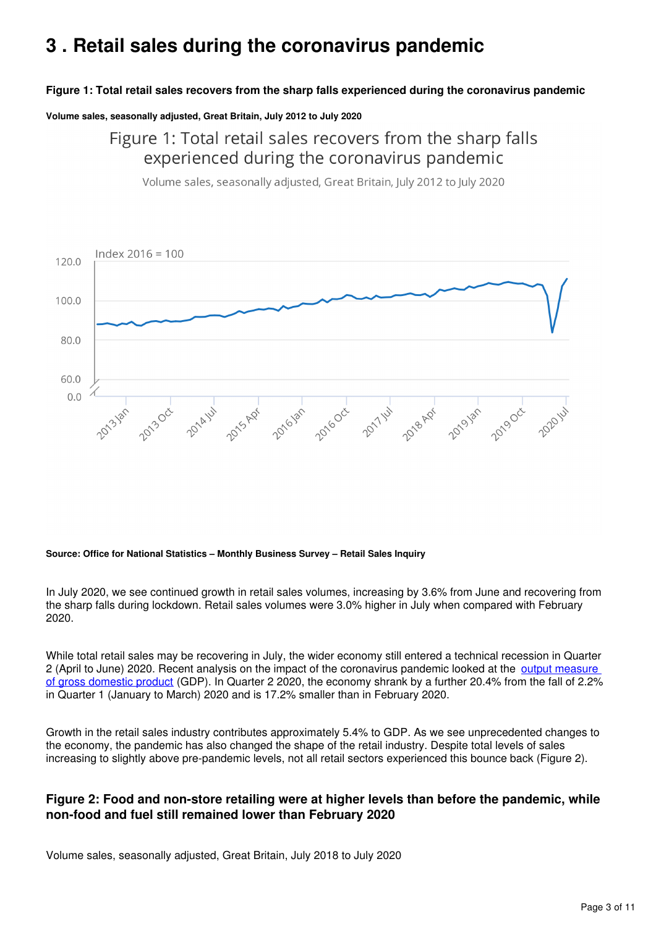## <span id="page-2-0"></span>**3 . Retail sales during the coronavirus pandemic**

#### **Figure 1: Total retail sales recovers from the sharp falls experienced during the coronavirus pandemic**

**Volume sales, seasonally adjusted, Great Britain, July 2012 to July 2020**

Figure 1: Total retail sales recovers from the sharp falls experienced during the coronavirus pandemic

Volume sales, seasonally adjusted, Great Britain, July 2012 to July 2020



#### **Source: Office for National Statistics – Monthly Business Survey – Retail Sales Inquiry**

In July 2020, we see continued growth in retail sales volumes, increasing by 3.6% from June and recovering from the sharp falls during lockdown. Retail sales volumes were 3.0% higher in July when compared with February 2020.

While total retail sales may be recovering in July, the wider economy still entered a technical recession in Quarter 2 (April to June) 2020. Recent analysis on the impact of the coronavirus pandemic looked at the [output measure](https://www.ons.gov.uk/economy/grossdomesticproductgdp/articles/coronavirusandtheimpactonoutputintheukeconomy/june2020)  [of gross domestic product](https://www.ons.gov.uk/economy/grossdomesticproductgdp/articles/coronavirusandtheimpactonoutputintheukeconomy/june2020) (GDP). In Quarter 2 2020, the economy shrank by a further 20.4% from the fall of 2.2% in Quarter 1 (January to March) 2020 and is 17.2% smaller than in February 2020.

Growth in the retail sales industry contributes approximately 5.4% to GDP. As we see unprecedented changes to the economy, the pandemic has also changed the shape of the retail industry. Despite total levels of sales increasing to slightly above pre-pandemic levels, not all retail sectors experienced this bounce back (Figure 2).

#### **Figure 2: Food and non-store retailing were at higher levels than before the pandemic, while non-food and fuel still remained lower than February 2020**

Volume sales, seasonally adjusted, Great Britain, July 2018 to July 2020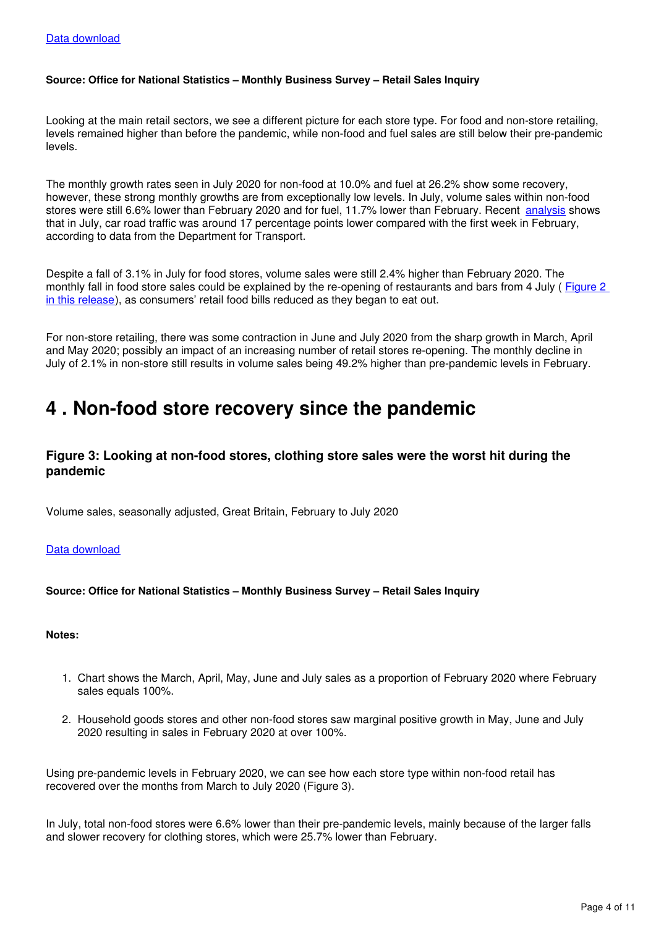#### **Source: Office for National Statistics – Monthly Business Survey – Retail Sales Inquiry**

Looking at the main retail sectors, we see a different picture for each store type. For food and non-store retailing, levels remained higher than before the pandemic, while non-food and fuel sales are still below their pre-pandemic levels.

The monthly growth rates seen in July 2020 for non-food at 10.0% and fuel at 26.2% show some recovery, however, these strong monthly growths are from exceptionally low levels. In July, volume sales within non-food stores were still 6.6% lower than February 2020 and for fuel, 11.7% lower than February. Recent [analysis](https://www.ons.gov.uk/peoplepopulationandcommunity/healthandsocialcare/conditionsanddiseases/bulletins/coronavirustheukeconomyandsocietyfasterindicators/20august2020#road-traffic) shows that in July, car road traffic was around 17 percentage points lower compared with the first week in February, according to data from the Department for Transport.

Despite a fall of 3.1% in July for food stores, volume sales were still 2.4% higher than February 2020. The monthly fall in food store sales could be explained by the re-opening of restaurants and bars from 4 July (Figure 2 [in this release](https://www.ons.gov.uk/economy/grossdomesticproductgdp/articles/coronavirusandtheimpactonoutputintheukeconomy/june2020)), as consumers' retail food bills reduced as they began to eat out.

For non-store retailing, there was some contraction in June and July 2020 from the sharp growth in March, April and May 2020; possibly an impact of an increasing number of retail stores re-opening. The monthly decline in July of 2.1% in non-store still results in volume sales being 49.2% higher than pre-pandemic levels in February.

## <span id="page-3-0"></span>**4 . Non-food store recovery since the pandemic**

#### **Figure 3: Looking at non-food stores, clothing store sales were the worst hit during the pandemic**

Volume sales, seasonally adjusted, Great Britain, February to July 2020

#### [Data download](https://www.ons.gov.uk/visualisations/dvc956/fig3/datadownload.xlsx)

#### **Source: Office for National Statistics – Monthly Business Survey – Retail Sales Inquiry**

#### **Notes:**

- 1. Chart shows the March, April, May, June and July sales as a proportion of February 2020 where February sales equals 100%.
- 2. Household goods stores and other non-food stores saw marginal positive growth in May, June and July 2020 resulting in sales in February 2020 at over 100%.

Using pre-pandemic levels in February 2020, we can see how each store type within non-food retail has recovered over the months from March to July 2020 (Figure 3).

In July, total non-food stores were 6.6% lower than their pre-pandemic levels, mainly because of the larger falls and slower recovery for clothing stores, which were 25.7% lower than February.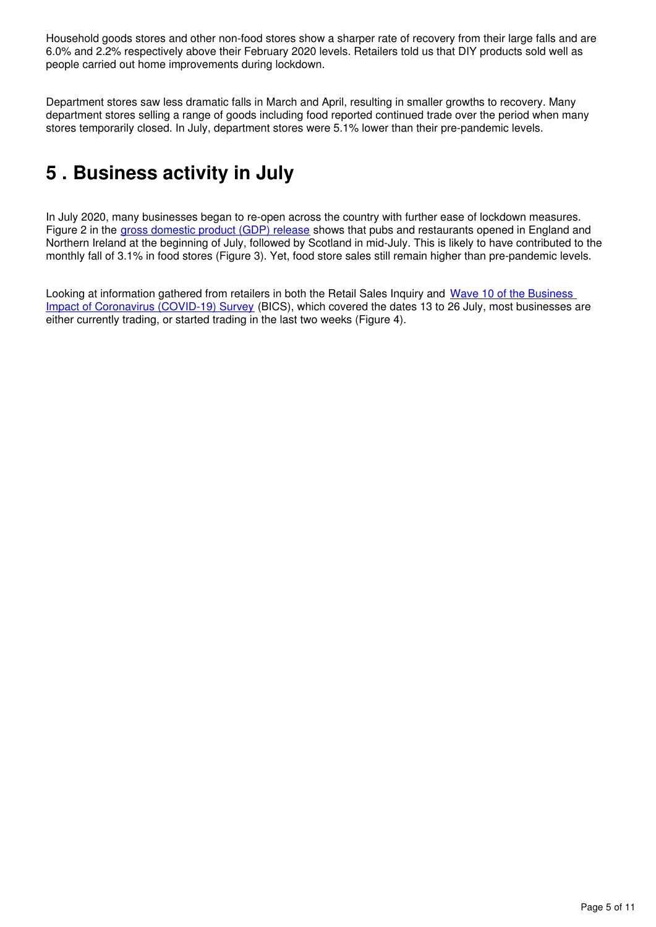Household goods stores and other non-food stores show a sharper rate of recovery from their large falls and are 6.0% and 2.2% respectively above their February 2020 levels. Retailers told us that DIY products sold well as people carried out home improvements during lockdown.

Department stores saw less dramatic falls in March and April, resulting in smaller growths to recovery. Many department stores selling a range of goods including food reported continued trade over the period when many stores temporarily closed. In July, department stores were 5.1% lower than their pre-pandemic levels.

## <span id="page-4-0"></span>**5 . Business activity in July**

In July 2020, many businesses began to re-open across the country with further ease of lockdown measures. Figure 2 in the [gross domestic product \(GDP\) release](https://www.ons.gov.uk/economy/grossdomesticproductgdp/articles/coronavirusandtheimpactonoutputintheukeconomy/june2020) shows that pubs and restaurants opened in England and Northern Ireland at the beginning of July, followed by Scotland in mid-July. This is likely to have contributed to the monthly fall of 3.1% in food stores (Figure 3). Yet, food store sales still remain higher than pre-pandemic levels.

Looking at information gathered from retailers in both the Retail Sales Inquiry and Wave 10 of the Business [Impact of Coronavirus \(COVID-19\) Survey](https://www.ons.gov.uk/businessindustryandtrade/business/businessservices/bulletins/coronavirusandtheeconomicimpactsontheuk/13august2020) (BICS), which covered the dates 13 to 26 July, most businesses are either currently trading, or started trading in the last two weeks (Figure 4).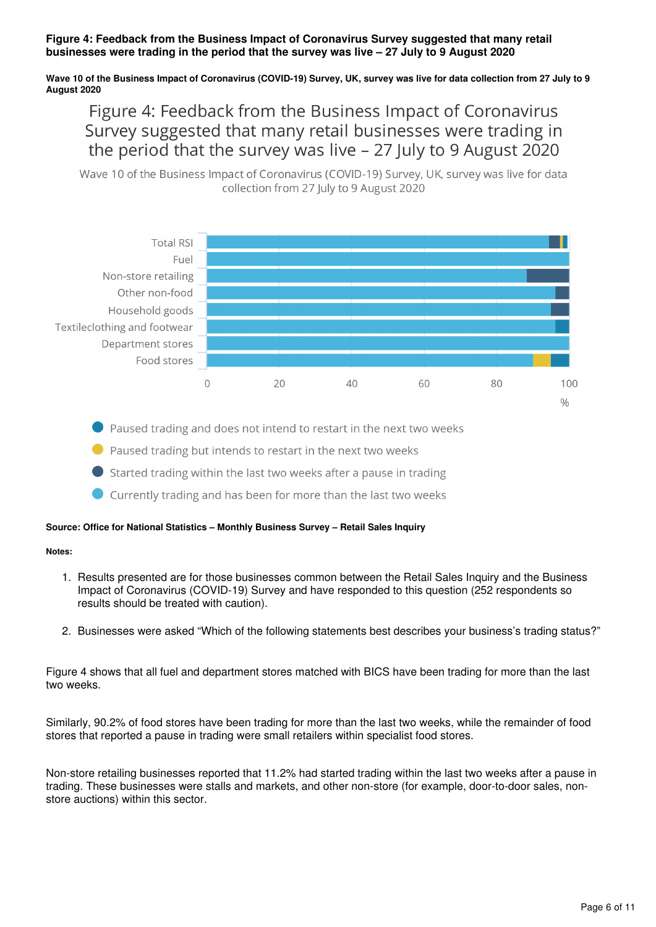#### **Figure 4: Feedback from the Business Impact of Coronavirus Survey suggested that many retail businesses were trading in the period that the survey was live – 27 July to 9 August 2020**

#### **Wave 10 of the Business Impact of Coronavirus (COVID-19) Survey, UK, survey was live for data collection from 27 July to 9 August 2020**

### Figure 4: Feedback from the Business Impact of Coronavirus Survey suggested that many retail businesses were trading in the period that the survey was live – 27 July to 9 August 2020

Wave 10 of the Business Impact of Coronavirus (COVID-19) Survey, UK, survey was live for data collection from 27 July to 9 August 2020



Paused trading and does not intend to restart in the next two weeks

● Paused trading but intends to restart in the next two weeks

Started trading within the last two weeks after a pause in trading

Currently trading and has been for more than the last two weeks

#### **Source: Office for National Statistics – Monthly Business Survey – Retail Sales Inquiry**

#### **Notes:**

- 1. Results presented are for those businesses common between the Retail Sales Inquiry and the Business Impact of Coronavirus (COVID-19) Survey and have responded to this question (252 respondents so results should be treated with caution).
- 2. Businesses were asked "Which of the following statements best describes your business's trading status?"

Figure 4 shows that all fuel and department stores matched with BICS have been trading for more than the last two weeks.

Similarly, 90.2% of food stores have been trading for more than the last two weeks, while the remainder of food stores that reported a pause in trading were small retailers within specialist food stores.

Non-store retailing businesses reported that 11.2% had started trading within the last two weeks after a pause in trading. These businesses were stalls and markets, and other non-store (for example, door-to-door sales, nonstore auctions) within this sector.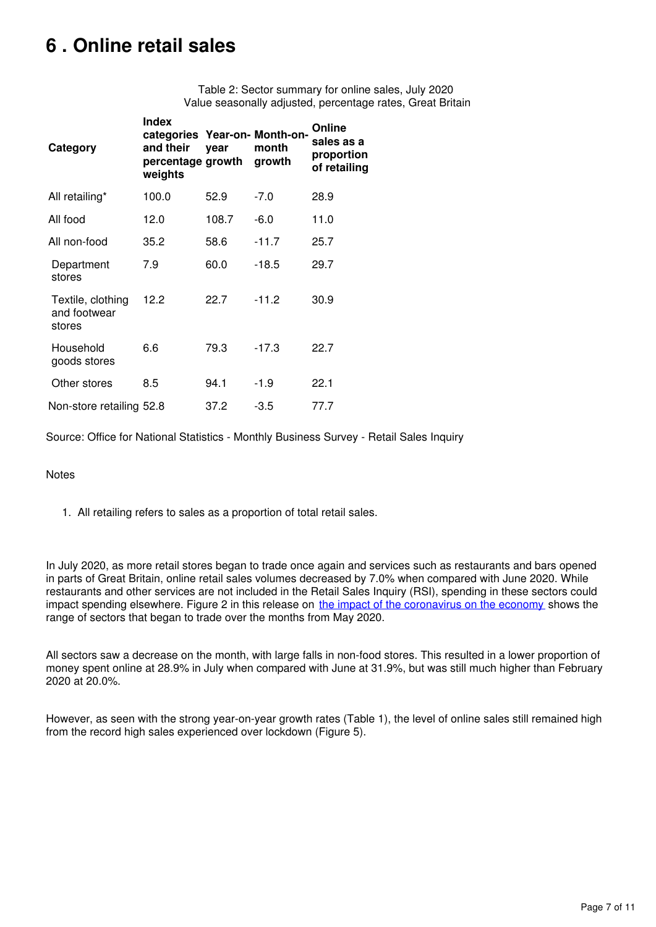## <span id="page-6-0"></span>**6 . Online retail sales**

Table 2: Sector summary for online sales, July 2020 Value seasonally adjusted, percentage rates, Great Britain

| Category                                    | <b>Index</b><br>categories Year-on- Month-on-<br>and their<br>percentage growth<br>weights | vear  | month<br>growth | Online<br>sales as a<br>proportion<br>of retailing |
|---------------------------------------------|--------------------------------------------------------------------------------------------|-------|-----------------|----------------------------------------------------|
| All retailing*                              | 100.0                                                                                      | 52.9  | $-7.0$          | 28.9                                               |
| All food                                    | 12.0                                                                                       | 108.7 | $-6.0$          | 11.0                                               |
| All non-food                                | 35.2                                                                                       | 58.6  | $-11.7$         | 25.7                                               |
| Department<br>stores                        | 7.9                                                                                        | 60.0  | $-18.5$         | 29.7                                               |
| Textile, clothing<br>and footwear<br>stores | 12.2                                                                                       | 22.7  | $-11.2$         | 30.9                                               |
| Household<br>goods stores                   | 6.6                                                                                        | 79.3  | $-17.3$         | 22.7                                               |
| Other stores                                | 8.5                                                                                        | 94.1  | $-1.9$          | 22.1                                               |
| Non-store retailing 52.8                    |                                                                                            | 37.2  | -3.5            | 77.7                                               |

Source: Office for National Statistics - Monthly Business Survey - Retail Sales Inquiry

#### Notes

1. All retailing refers to sales as a proportion of total retail sales.

In July 2020, as more retail stores began to trade once again and services such as restaurants and bars opened in parts of Great Britain, online retail sales volumes decreased by 7.0% when compared with June 2020. While restaurants and other services are not included in the Retail Sales Inquiry (RSI), spending in these sectors could impact spending elsewhere. Figure 2 in this release on [the impact of the coronavirus on the economy](https://www.ons.gov.uk/economy/grossdomesticproductgdp/articles/coronavirusandtheimpactonoutputintheukeconomy/june2020) shows the range of sectors that began to trade over the months from May 2020.

All sectors saw a decrease on the month, with large falls in non-food stores. This resulted in a lower proportion of money spent online at 28.9% in July when compared with June at 31.9%, but was still much higher than February 2020 at 20.0%.

However, as seen with the strong year-on-year growth rates (Table 1), the level of online sales still remained high from the record high sales experienced over lockdown (Figure 5).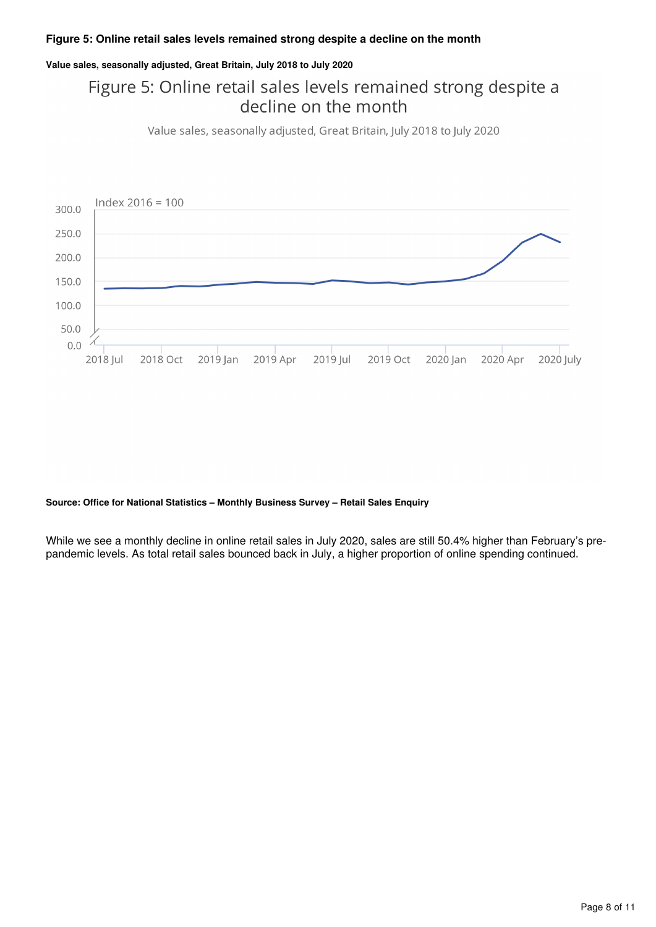#### **Figure 5: Online retail sales levels remained strong despite a decline on the month**

#### **Value sales, seasonally adjusted, Great Britain, July 2018 to July 2020**

### Figure 5: Online retail sales levels remained strong despite a decline on the month

Value sales, seasonally adjusted, Great Britain, July 2018 to July 2020



#### **Source: Office for National Statistics – Monthly Business Survey – Retail Sales Enquiry**

While we see a monthly decline in online retail sales in July 2020, sales are still 50.4% higher than February's prepandemic levels. As total retail sales bounced back in July, a higher proportion of online spending continued.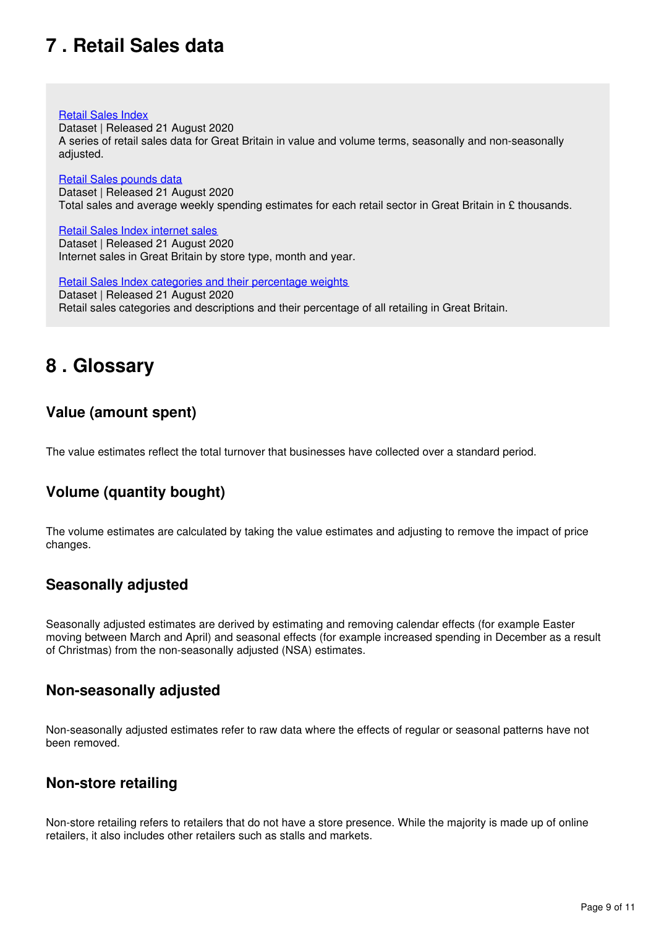## <span id="page-8-0"></span>**7 . Retail Sales data**

#### [Retail Sales Index](https://www.ons.gov.uk/businessindustryandtrade/retailindustry/datasets/retailsalesindexreferencetables)

Dataset | Released 21 August 2020 A series of retail sales data for Great Britain in value and volume terms, seasonally and non-seasonally adjusted.

#### [Retail Sales pounds data](https://www.ons.gov.uk/businessindustryandtrade/retailindustry/datasets/poundsdatatotalretailsales)

Dataset | Released 21 August 2020 Total sales and average weekly spending estimates for each retail sector in Great Britain in £ thousands.

#### [Retail Sales Index internet sales](https://www.ons.gov.uk/businessindustryandtrade/retailindustry/datasets/retailsalesindexinternetsales)

Dataset | Released 21 August 2020 Internet sales in Great Britain by store type, month and year.

[Retail Sales Index categories and their percentage weights](https://www.ons.gov.uk/businessindustryandtrade/retailindustry/datasets/retailsalesindexcategoriesandtheirpercentageweights) Dataset | Released 21 August 2020 Retail sales categories and descriptions and their percentage of all retailing in Great Britain.

## <span id="page-8-1"></span>**8 . Glossary**

### **Value (amount spent)**

The value estimates reflect the total turnover that businesses have collected over a standard period.

### **Volume (quantity bought)**

The volume estimates are calculated by taking the value estimates and adjusting to remove the impact of price changes.

### **Seasonally adjusted**

Seasonally adjusted estimates are derived by estimating and removing calendar effects (for example Easter moving between March and April) and seasonal effects (for example increased spending in December as a result of Christmas) from the non-seasonally adjusted (NSA) estimates.

### **Non-seasonally adjusted**

Non-seasonally adjusted estimates refer to raw data where the effects of regular or seasonal patterns have not been removed.

### **Non-store retailing**

Non-store retailing refers to retailers that do not have a store presence. While the majority is made up of online retailers, it also includes other retailers such as stalls and markets.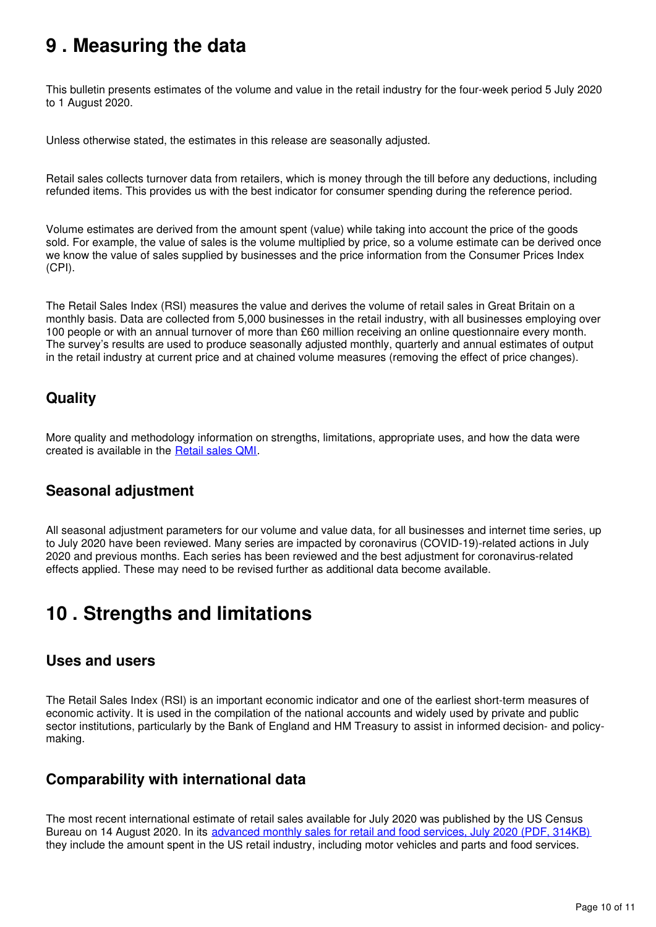## <span id="page-9-0"></span>**9 . Measuring the data**

This bulletin presents estimates of the volume and value in the retail industry for the four-week period 5 July 2020 to 1 August 2020.

Unless otherwise stated, the estimates in this release are seasonally adjusted.

Retail sales collects turnover data from retailers, which is money through the till before any deductions, including refunded items. This provides us with the best indicator for consumer spending during the reference period.

Volume estimates are derived from the amount spent (value) while taking into account the price of the goods sold. For example, the value of sales is the volume multiplied by price, so a volume estimate can be derived once we know the value of sales supplied by businesses and the price information from the Consumer Prices Index (CPI).

The Retail Sales Index (RSI) measures the value and derives the volume of retail sales in Great Britain on a monthly basis. Data are collected from 5,000 businesses in the retail industry, with all businesses employing over 100 people or with an annual turnover of more than £60 million receiving an online questionnaire every month. The survey's results are used to produce seasonally adjusted monthly, quarterly and annual estimates of output in the retail industry at current price and at chained volume measures (removing the effect of price changes).

### **Quality**

More quality and methodology information on strengths, limitations, appropriate uses, and how the data were created is available in the **Retail sales QMI**.

### **Seasonal adjustment**

All seasonal adjustment parameters for our volume and value data, for all businesses and internet time series, up to July 2020 have been reviewed. Many series are impacted by coronavirus (COVID-19)-related actions in July 2020 and previous months. Each series has been reviewed and the best adjustment for coronavirus-related effects applied. These may need to be revised further as additional data become available.

## <span id="page-9-1"></span>**10 . Strengths and limitations**

### **Uses and users**

The Retail Sales Index (RSI) is an important economic indicator and one of the earliest short-term measures of economic activity. It is used in the compilation of the national accounts and widely used by private and public sector institutions, particularly by the Bank of England and HM Treasury to assist in informed decision- and policymaking.

### **Comparability with international data**

The most recent international estimate of retail sales available for July 2020 was published by the US Census Bureau on 14 August 2020. In its [advanced monthly sales for retail and food services, July 2020 \(PDF, 314KB\)](https://www.census.gov/retail/marts/www/marts_current.pdf) they include the amount spent in the US retail industry, including motor vehicles and parts and food services.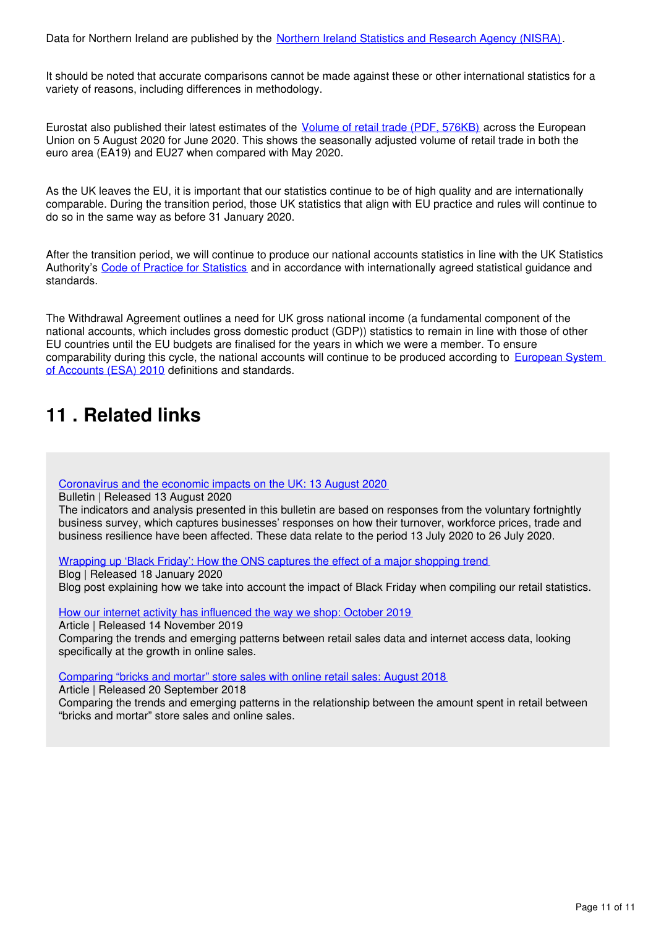Data for Northern Ireland are published by the [Northern Ireland Statistics and Research Agency \(NISRA\)](http://www.nisra.gov.uk/).

It should be noted that accurate comparisons cannot be made against these or other international statistics for a variety of reasons, including differences in methodology.

Eurostat also published their latest estimates of the [Volume of retail trade \(PDF, 576KB\)](https://ec.europa.eu/eurostat/documents/2995521/11179856/4-05082020-AP-EN.pdf/7b50a190-c48f-64b2-9174-e45f6a04ce1a) across the European Union on 5 August 2020 for June 2020. This shows the seasonally adjusted volume of retail trade in both the euro area (EA19) and EU27 when compared with May 2020.

As the UK leaves the EU, it is important that our statistics continue to be of high quality and are internationally comparable. During the transition period, those UK statistics that align with EU practice and rules will continue to do so in the same way as before 31 January 2020.

After the transition period, we will continue to produce our national accounts statistics in line with the UK Statistics Authority's [Code of Practice for Statistics](https://code.statisticsauthority.gov.uk/) and in accordance with internationally agreed statistical guidance and standards.

The Withdrawal Agreement outlines a need for UK gross national income (a fundamental component of the national accounts, which includes gross domestic product (GDP)) statistics to remain in line with those of other EU countries until the EU budgets are finalised for the years in which we were a member. To ensure comparability during this cycle, the national accounts will continue to be produced according to European System [of Accounts \(ESA\) 2010](https://ec.europa.eu/eurostat/web/products-manuals-and-guidelines/-/KS-02-13-269) definitions and standards.

## <span id="page-10-0"></span>**11 . Related links**

[Coronavirus and the economic impacts on the UK: 13 August 2020](https://www.ons.gov.uk/businessindustryandtrade/business/businessservices/bulletins/coronavirusandtheeconomicimpactsontheuk/13august2020)

Bulletin | Released 13 August 2020

The indicators and analysis presented in this bulletin are based on responses from the voluntary fortnightly business survey, which captures businesses' responses on how their turnover, workforce prices, trade and business resilience have been affected. These data relate to the period 13 July 2020 to 26 July 2020.

[Wrapping up 'Black Friday': How the ONS captures the effect of a major shopping trend](https://blog.ons.gov.uk/2019/12/18/wrapping-up-black-friday-how-the-ons-captures-the-effect-of-a-major-shopping-trend/)

Blog | Released 18 January 2020 Blog post explaining how we take into account the impact of Black Friday when compiling our retail statistics.

[How our internet activity has influenced the way we shop: October 2019](https://www.ons.gov.uk/businessindustryandtrade/retailindustry/articles/howourinternetactivityhasinfluencedthewayweshop/october2019#the-majority-of-money-is-spent-within-stores)

Article | Released 14 November 2019

Comparing the trends and emerging patterns between retail sales data and internet access data, looking specifically at the growth in online sales.

[Comparing "bricks and mortar" store sales with online retail sales: August 2018](https://www.ons.gov.uk/businessindustryandtrade/retailindustry/articles/comparingbricksandmortarstoresalestoonlineretailsales/august2018)

Article | Released 20 September 2018

Comparing the trends and emerging patterns in the relationship between the amount spent in retail between "bricks and mortar" store sales and online sales.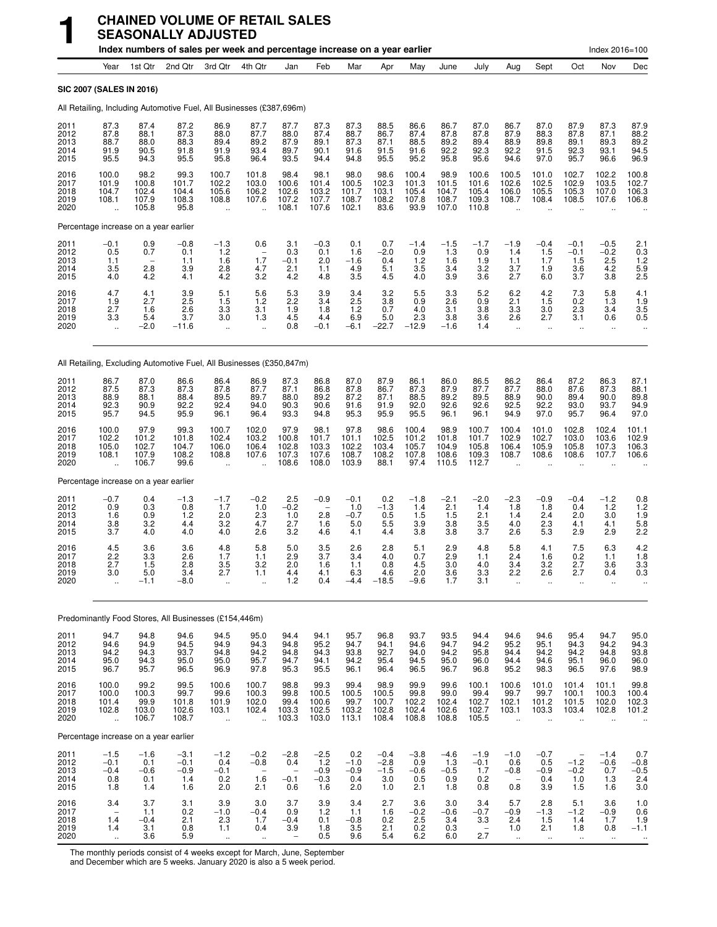|                                      |                                                                       |                                          | Index numbers of sales per week and percentage increase on a year earlier |                                                          |                                                            |                                                            |                                                         |                                          |                                          |                                          |                                          |                                                         |                                                            |                                                           |                                                            | Index 2016=100                                            |                                         |
|--------------------------------------|-----------------------------------------------------------------------|------------------------------------------|---------------------------------------------------------------------------|----------------------------------------------------------|------------------------------------------------------------|------------------------------------------------------------|---------------------------------------------------------|------------------------------------------|------------------------------------------|------------------------------------------|------------------------------------------|---------------------------------------------------------|------------------------------------------------------------|-----------------------------------------------------------|------------------------------------------------------------|-----------------------------------------------------------|-----------------------------------------|
|                                      | Year                                                                  | 1st Qtr                                  | 2nd Qtr                                                                   | 3rd Qtr                                                  | 4th Qtr                                                    | Jan                                                        | Feb                                                     | Mar                                      | Apr                                      | May                                      | June                                     | July                                                    | Aug                                                        | Sept                                                      | Oct                                                        | Nov                                                       | Dec                                     |
|                                      | SIC 2007 (SALES IN 2016)                                              |                                          |                                                                           |                                                          |                                                            |                                                            |                                                         |                                          |                                          |                                          |                                          |                                                         |                                                            |                                                           |                                                            |                                                           |                                         |
|                                      |                                                                       |                                          | All Retailing, Including Automotive Fuel, All Businesses (£387,696m)      |                                                          |                                                            |                                                            |                                                         |                                          |                                          |                                          |                                          |                                                         |                                                            |                                                           |                                                            |                                                           |                                         |
| 2011<br>2012<br>2013<br>2014<br>2015 | 87.3<br>87.8<br>88.7<br>91.9<br>95.5                                  | 87.4<br>88.1<br>88.0<br>90.5<br>94.3     | 87.2<br>87.3<br>88.3<br>91.8<br>95.5                                      | 86.9<br>88.0<br>89.4<br>91.9<br>95.8                     | 87.7<br>87.7<br>89.2<br>93.4<br>96.4                       | 87.7<br>88.0<br>87.9<br>89.7<br>93.5                       | 87.3<br>87.4<br>89.1<br>90.1<br>94.4                    | 87.3<br>88.7<br>87.3<br>91.6<br>94.8     | 88.5<br>86.7<br>87.1<br>91.5<br>95.5     | 86.6<br>87.4<br>88.5<br>91.6<br>95.2     | 86.7<br>87.8<br>89.2<br>92.2<br>95.8     | 87.0<br>87.8<br>89.4<br>92.3<br>95.6                    | 86.7<br>87.9<br>88.9<br>92.2<br>94.6                       | 87.0<br>88.3<br>89.8<br>91.5<br>97.0                      | 87.9<br>87.8<br>89.1<br>92.3<br>95.7                       | 87.3<br>87.1<br>89.3<br>93.1<br>96.6                      | 87.9<br>88.2<br>89.2<br>94.5<br>96.9    |
| 2016<br>2017<br>2018<br>2019<br>2020 | 100.0<br>101.9<br>104.7<br>108.1                                      | 98.2<br>100.8<br>102.4<br>107.9<br>105.8 | 99.3<br>101.7<br>104.4<br>108.3<br>95.8                                   | 100.7<br>102.2<br>105.6<br>108.8<br>$\ddot{\phantom{a}}$ | 101.8<br>103.0<br>106.2<br>107.6<br>$\ddot{\phantom{a}}$   | 98.4<br>100.6<br>102.6<br>107.2<br>108.1                   | 98.1<br>101.4<br>103.2<br>107.7<br>107.6                | 98.0<br>100.5<br>101.7<br>108.7<br>102.1 | 98.6<br>102.3<br>103.1<br>108.2<br>83.6  | 100.4<br>101.3<br>105.4<br>107.8<br>93.9 | 98.9<br>101.5<br>104.7<br>108.7<br>107.0 | 100.6<br>101.6<br>105.4<br>109.3<br>110.8               | 100.5<br>102.6<br>106.0<br>108.7                           | 101.0<br>102.5<br>105.5<br>108.4                          | 102.7<br>102.9<br>105.3<br>108.5                           | 102.2<br>103.5<br>107.0<br>107.6                          | 100.8<br>102.7<br>106.3<br>106.8        |
|                                      | Percentage increase on a year earlier                                 |                                          |                                                                           |                                                          |                                                            |                                                            |                                                         |                                          |                                          |                                          |                                          |                                                         |                                                            |                                                           |                                                            |                                                           |                                         |
| 2011<br>2012<br>2013<br>2014<br>2015 | $-0.1$<br>0.5<br>1.1<br>3.5<br>4.0                                    | 0.9<br>0.7<br>2.8<br>4.2                 | $-0.8$<br>0.1<br>1.1<br>3.9<br>4.1                                        | $-1.3$<br>1.2<br>1.6<br>2.8<br>4.2                       | 0.6<br>1.7<br>4.7<br>3.2                                   | 3.1<br>0.3<br>$-0.1$<br>2.1<br>4.2                         | $-0.3$<br>0.1<br>2.0<br>1.1<br>4.8                      | 0.1<br>1.6<br>$-1.6$<br>4.9<br>3.5       | 0.7<br>$-2.0$<br>0.4<br>5.1<br>4.5       | $-1.4$<br>0.9<br>1.2<br>3.5<br>4.0       | $-1.5$<br>1.3<br>1.6<br>3.4<br>3.9       | $-1.7$<br>0.9<br>1.9<br>3.2<br>3.6                      | $-1.9$<br>1.4<br>1.1<br>3.7<br>2.7                         | $-0.4$<br>1.5<br>1.7<br>1.9<br>6.0                        | $-0.1$<br>$-0.1$<br>1.5<br>3.6<br>3.7                      | $-0.5$<br>$-0.2$<br>2.5<br>4.2<br>3.8                     | $^{2.1}_{0.3}$<br>1.2<br>5.9<br>2.5     |
| 2016<br>2017<br>2018<br>2019<br>2020 | 4.7<br>1.9<br>2.7<br>3.3<br>$\ddotsc$                                 | 4.1<br>2.7<br>1.6<br>5.4<br>$-2.0$       | 3.9<br>2.5<br>2.6<br>3.7<br>$-11.6$                                       | 5.1<br>1.5<br>3.3<br>3.0<br>$\ddot{\phantom{a}}$         | 5.6<br>1.2<br>3.1<br>1.3<br>$\ddot{\phantom{1}}$           | 5.3<br>2.2<br>1.9<br>4.5<br>0.8                            | 3.9<br>3.4<br>1.8<br>4.4<br>$-0.1$                      | 3.4<br>2.5<br>1.2<br>6.9<br>$-6.1$       | 3.2<br>3.8<br>0.7<br>5.0<br>$-22.7$      | 5.5<br>0.9<br>4.0<br>2.3<br>$-12.9$      | 3.3<br>2.6<br>3.1<br>3.8<br>$-1.6$       | 5.2<br>0.9<br>3.8<br>3.6<br>1.4                         | 6.2<br>2.1<br>3.3<br>2.6<br>$\ddot{\phantom{1}}$           | 4.2<br>1.5<br>3.0<br>2.7<br>$\ddot{\phantom{1}}$          | 7.3<br>0.2<br>2.3<br>3.1<br>$\ddotsc$                      | 5.8<br>1.3<br>3.4<br>0.6<br>$\ddotsc$                     | $\frac{4.1}{1.9}$<br>3.5<br>0.5<br>     |
|                                      |                                                                       |                                          | All Retailing, Excluding Automotive Fuel, All Businesses (£350,847m)      |                                                          |                                                            |                                                            |                                                         |                                          |                                          |                                          |                                          |                                                         |                                                            |                                                           |                                                            |                                                           |                                         |
| 2011<br>2012<br>2013<br>2014<br>2015 | 86.7<br>87.5<br>88.9<br>92.3<br>95.7                                  | 87.0<br>87.3<br>88.1<br>90.9<br>94.5     | 86.6<br>87.3<br>88.4<br>92.2<br>95.9                                      | 86.4<br>87.8<br>89.5<br>92.4<br>96.1                     | 86.9<br>87.7<br>89.7<br>94.0<br>96.4                       | 87.3<br>87.1<br>88.0<br>90.3<br>93.3                       | 86.8<br>86.8<br>89.2<br>90.6<br>94.8                    | 87.0<br>87.8<br>87.2<br>91.6<br>95.3     | 87.9<br>86.7<br>87.1<br>91.9<br>95.9     | 86.1<br>87.3<br>88.5<br>92.0<br>95.5     | 86.0<br>87.9<br>89.2<br>92.6<br>96.1     | 86.5<br>87.7<br>89.5<br>92.6<br>96.1                    | 86.2<br>87.7<br>88.9<br>92.5<br>94.9                       | 86.4<br>88.0<br>90.0<br>92.2<br>97.0                      | 87.2<br>87.6<br>89.4<br>93.0<br>95.7                       | 86.3<br>87.3<br>90.0<br>93.7<br>96.4                      | 87.1<br>88.1<br>89.8<br>94.9<br>97.0    |
| 2016<br>2017<br>2018<br>2019<br>2020 | 100.0<br>102.2<br>105.0<br>108.1                                      | 97.9<br>101.2<br>102.7<br>107.9<br>106.7 | 99.3<br>101.8<br>104.7<br>108.2<br>99.6                                   | 100.7<br>102.4<br>106.0<br>108.8                         | 102.0<br>103.2<br>106.4<br>107.6                           | 97.9<br>100.8<br>102.8<br>107.3<br>108.6                   | 98.1<br>101.7<br>103.3<br>107.6<br>108.0                | 97.8<br>101.1<br>102.2<br>108.7<br>103.9 | 98.6<br>102.5<br>103.4<br>108.2<br>88.1  | 100.4<br>101.2<br>105.7<br>107.8<br>97.4 | 98.9<br>101.8<br>104.9<br>108.6<br>110.5 | 100.7<br>101.7<br>105.8<br>109.3<br>112.7               | 100.4<br>102.9<br>106.4<br>108.7                           | 101.0<br>102.7<br>105.9<br>108.6                          | 102.8<br>103.0<br>105.8<br>108.6                           | 102.4<br>103.6<br>107.3<br>107.7                          | 101.1<br>102.9<br>106.3<br>106.6        |
|                                      | Percentage increase on a year earlier                                 |                                          |                                                                           |                                                          |                                                            |                                                            |                                                         |                                          |                                          |                                          |                                          |                                                         |                                                            |                                                           |                                                            |                                                           |                                         |
| 2011<br>2012<br>2013<br>2014<br>2015 | $-0.7$<br>0.9<br>1.6<br>3.8<br>3.7                                    | 0.4<br>0.3<br>0.9<br>3.2<br>4.0          | $-1.3$<br>0.8<br>1.2<br>4.4<br>4.0                                        | $-1.7$<br>1.7<br>2.0<br>3.2<br>4.0                       | $-0.2$<br>1.0<br>2.3<br>4.7<br>2.6                         | 2.5<br>$-0.2$<br>1.0<br>2.7<br>3.2                         | $-0.9$<br>$\overline{\phantom{a}}$<br>2.8<br>1.6<br>4.6 | $-0.1$<br>1.0<br>$-0.7$<br>5.0<br>4.1    | 0.2<br>$-1.3$<br>0.5<br>5.5<br>4.4       | $-1.8$<br>1.4<br>1.5<br>3.9<br>3.8       | $-2.1$<br>2.1<br>1.5<br>3.8<br>3.8       | $-2.0$<br>1.4<br>2.1<br>3.5<br>3.7                      | $-2.3$<br>1.8<br>1.4<br>4.0<br>2.6                         | $-0.9$<br>1.8<br>2.4<br>2.3<br>5.3                        | $-0.4$<br>0.4<br>2.0<br>4.1<br>2.9                         | $-1.2$<br>1.2<br>3.0<br>4.1<br>2.9                        | 0.8<br>$\frac{1.2}{1.9}$<br>5.8<br>2.2  |
| 2016<br>2017<br>2018<br>2019<br>2020 | 4.5<br>2.2<br>2.7<br>$3.0\,$<br>u,                                    | 3.6<br>3.3<br>1.5<br>5.0<br>$-1.1$       | 3.6<br>2.6<br>2.8<br>3.4<br>$-8.0$                                        | 4.8<br>1.7<br>3.5<br>2.7<br>$\bar{\mathbf{a}}$           | 5.8<br>1.1<br>3.2<br>1.1<br>$\ddotsc$                      | 5.0<br>2.9<br>2.0<br>4.4<br>1.2                            | 3.5<br>3.7<br>1.6<br>4.1<br>0.4                         | 2.6<br>3.4<br>1.1<br>6.3<br>$-4.4$       | 2.8<br>4.0<br>0.8<br>4.6<br>$-18.5$      | 5.1<br>0.7<br>4.5<br>2.0<br>$-9.6$       | 2.9<br>2.9<br>3.0<br>3.6<br>1.7          | 4.8<br>1.1<br>4.0<br>3.3<br>3.1                         | 5.8<br>2.4<br>3.4<br>2.2<br>ä,                             | 4.1<br>1.6<br>3.2<br>2.6<br>ä,                            | 7.5<br>0.2<br>2.7<br>2.7<br>ä,                             | 6.3<br>1.1<br>3.6<br>0.4<br>$\ddot{\phantom{1}}$          | 4.2<br>1.8<br>3.3<br>0.3<br>ä.          |
|                                      |                                                                       |                                          | Predominantly Food Stores, All Businesses (£154,446m)                     |                                                          |                                                            |                                                            |                                                         |                                          |                                          |                                          |                                          |                                                         |                                                            |                                                           |                                                            |                                                           |                                         |
| 2011<br>2012<br>2013<br>2014<br>2015 | 94.7<br>94.6<br>94.2<br>95.0<br>96.7                                  | 94.8<br>94.9<br>94.3<br>94.3<br>95.7     | 94.6<br>94.5<br>93.7<br>95.0<br>96.5                                      | 94.5<br>94.9<br>94.8<br>95.0<br>96.9                     | 95.0<br>94.3<br>94.2<br>95.7<br>97.8                       | 94.4<br>94.8<br>94.8<br>94.7<br>95.3                       | 94.1<br>95.2<br>94.3<br>94.1<br>95.5                    | 95.7<br>94.7<br>93.8<br>94.2<br>96.1     | 96.8<br>94.1<br>92.7<br>95.4<br>96.4     | 93.7<br>94.6<br>94.0<br>94.5<br>96.5     | 93.5<br>94.7<br>94.2<br>95.0<br>96.7     | 94.4<br>94.2<br>95.8<br>96.0<br>96.8                    | 94.6<br>95.2<br>94.4<br>94.4<br>95.2                       | 94.6<br>95.1<br>94.2<br>94.6<br>98.3                      | 95.4<br>94.3<br>94.2<br>95.1<br>96.5                       | 94.7<br>94.2<br>94.8<br>96.0<br>97.6                      | 95.0<br>94.3<br>93.8<br>96.0<br>98.9    |
| 2016<br>2017<br>2018<br>2019<br>2020 | 100.0<br>100.0<br>101.4<br>102.8<br>$\ddot{\phantom{a}}$              | 99.2<br>100.3<br>99.9<br>103.0<br>106.7  | 99.5<br>99.7<br>101.8<br>102.6<br>108.7                                   | 100.6<br>99.6<br>101.9<br>103.1<br>x.                    | 100.7<br>100.3<br>102.0<br>102.4<br>$\ddot{\phantom{a}}$   | 98.8<br>99.8<br>99.4<br>103.3<br>103.3                     | 99.3<br>100.5<br>100.6<br>102.5<br>103.0                | 99.4<br>100.5<br>99.7<br>103.2<br>113.1  | 98.9<br>100.5<br>100.7<br>102.8<br>108.4 | 99.9<br>99.8<br>102.2<br>102.4<br>108.8  | 99.6<br>99.0<br>102.4<br>102.6<br>108.8  | 100.1<br>99.4<br>102.7<br>102.7<br>105.5                | 100.6<br>99.7<br>102.1<br>103.1<br>$\ddot{\phantom{a}}$    | 101.0<br>99.7<br>101.2<br>103.3<br>$\ddot{\phantom{a}}$   | 101.4<br>100.1<br>101.5<br>103.4<br>$\ddotsc$              | 101.1<br>100.3<br>102.0<br>102.8<br>$\ddot{\phantom{a}}$  | 99.8<br>100.4<br>102.3<br>101.2         |
|                                      | Percentage increase on a year earlier                                 |                                          |                                                                           |                                                          |                                                            |                                                            |                                                         |                                          |                                          |                                          |                                          |                                                         |                                                            |                                                           |                                                            |                                                           |                                         |
| 2011<br>2012<br>2013<br>2014<br>2015 | $-1.5$<br>$-0.1$<br>$-0.4$<br>0.8<br>1.8                              | $-1.6$<br>0.1<br>$-0.6$<br>0.1<br>1.4    | $-3.1$<br>$-0.1$<br>$-0.9$<br>1.4<br>1.6                                  | $-1.2$<br>0.4<br>$-0.1$<br>0.2<br>2.0                    | $-0.2$<br>$-0.8$<br>$\overline{\phantom{m}}$<br>1.6<br>2.1 | $-2.8$<br>0.4<br>$\overline{\phantom{a}}$<br>$-0.1$<br>0.6 | $-2.5$<br>1.2<br>$-0.9$<br>$-0.3$<br>1.6                | 0.2<br>$-1.0$<br>$-0.9$<br>0.4<br>2.0    | $-0.4$<br>$-2.8$<br>$-1.5$<br>3.0<br>1.0 | $-3.8$<br>0.9<br>$-0.6$<br>0.5<br>2.1    | $-4.6$<br>1.3<br>$-0.5$<br>0.9<br>1.8    | $-1.9$<br>$-0.1$<br>1.7<br>0.2<br>0.8                   | $-1.0$<br>0.6<br>$-0.8$<br>0.8                             | $-0.7$<br>0.5<br>$-0.9$<br>0.4<br>3.9                     | $\overline{\phantom{0}}$<br>$-1.2$<br>$-0.2$<br>1.0<br>1.5 | $-1.4$<br>$-0.6$<br>0.7<br>1.3<br>1.6                     | 0.7<br>$-0.8$<br>$^{-0.5}_{2.4}$<br>3.0 |
| 2016<br>2017<br>2018<br>2019<br>2020 | 3.4<br>$\overline{\phantom{a}}$<br>1.4<br>1.4<br>$\ddot{\phantom{1}}$ | 3.7<br>1.1<br>$-0.4$<br>3.1<br>3.6       | 3.1<br>0.2<br>2.1<br>0.8<br>5.9                                           | 3.9<br>$-1.0$<br>2.3<br>1.1<br>$\ddot{\phantom{1}}$      | 3.0<br>$-0.4$<br>1.7<br>0.4<br>$\sim$                      | 3.7<br>0.9<br>$-0.4$<br>3.9<br>$\qquad \qquad -$           | 3.9<br>1.2<br>0.1<br>1.8<br>0.5                         | 3.4<br>1.1<br>$-0.8$<br>3.5<br>9.6       | 2.7<br>1.6<br>0.2<br>2.1<br>5.4          | 3.6<br>$-0.2$<br>$^{2.5}_{0.2}$<br>6.2   | 3.0<br>$-0.6$<br>3.4<br>0.3<br>6.0       | 3.4<br>$-0.7$<br>3.3<br>$\overline{\phantom{a}}$<br>2.7 | 5.7<br>$-0.9$<br>2.4<br>1.0<br>$\mathcal{L}_{\mathcal{A}}$ | 2.8<br>$-1.3$<br>1.5<br>2.1<br>$\mathcal{L}_{\mathbf{r}}$ | 5.1<br>$-1.2$<br>1.4<br>1.8<br>$\mathcal{L}_{\mathcal{A}}$ | 3.6<br>$-0.9$<br>1.7<br>0.8<br>$\mathcal{L}_{\mathbf{r}}$ | 1.0<br>0.6<br>1.9<br>$-1.1$             |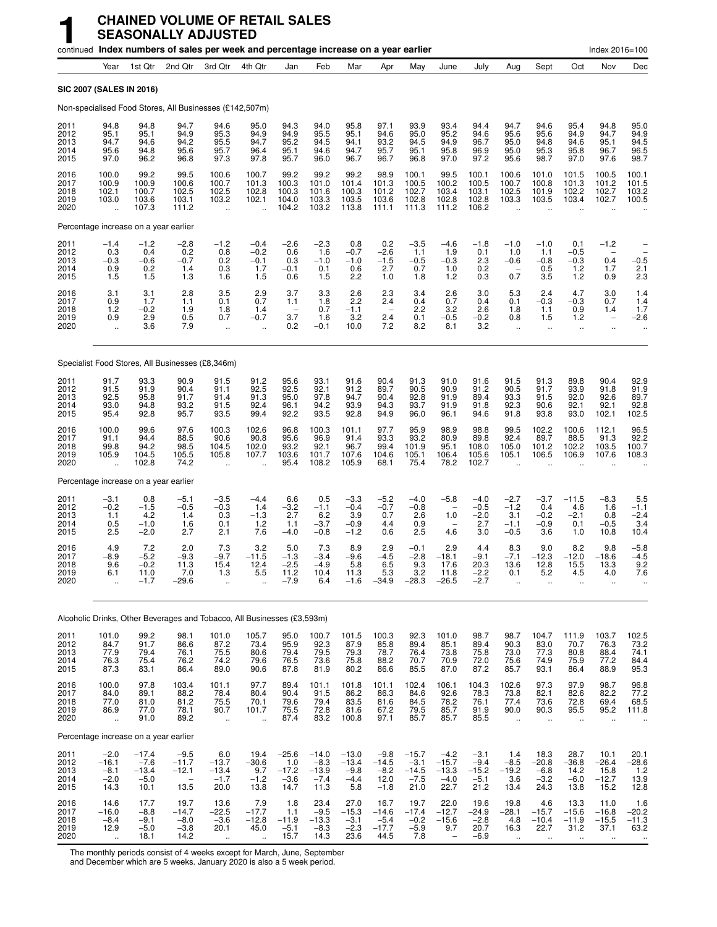|                                      |                                                          |                                                | continued Index numbers of sales per week and percentage increase on a year earlier |                                                          |                                                |                                             |                                                |                                               |                                               |                                                |                                                |                                               |                                                       |                                                           |                                                      | Index 2016=100                                      |                                                           |
|--------------------------------------|----------------------------------------------------------|------------------------------------------------|-------------------------------------------------------------------------------------|----------------------------------------------------------|------------------------------------------------|---------------------------------------------|------------------------------------------------|-----------------------------------------------|-----------------------------------------------|------------------------------------------------|------------------------------------------------|-----------------------------------------------|-------------------------------------------------------|-----------------------------------------------------------|------------------------------------------------------|-----------------------------------------------------|-----------------------------------------------------------|
|                                      | Year                                                     | 1st Qtr                                        | 2nd Qtr                                                                             | 3rd Otr                                                  | 4th Qtr                                        | Jan                                         | Feb                                            | Mar                                           | Apr                                           | May                                            | June                                           | July                                          | Aug                                                   | Sept                                                      | Oct                                                  | Nov                                                 | Dec                                                       |
|                                      |                                                          | SIC 2007 (SALES IN 2016)                       |                                                                                     |                                                          |                                                |                                             |                                                |                                               |                                               |                                                |                                                |                                               |                                                       |                                                           |                                                      |                                                     |                                                           |
|                                      |                                                          |                                                | Non-specialised Food Stores, All Businesses (£142,507m)                             |                                                          |                                                |                                             |                                                |                                               |                                               |                                                |                                                |                                               |                                                       |                                                           |                                                      |                                                     |                                                           |
| 2011<br>2012<br>2013<br>2014<br>2015 | 94.8<br>95.1<br>94.7<br>95.6<br>97.0                     | 94.8<br>95.1<br>94.6<br>94.8<br>96.2           | 94.7<br>94.9<br>94.2<br>95.6<br>96.8                                                | 94.6<br>95.3<br>95.5<br>95.7<br>97.3                     | 95.0<br>94.9<br>94.7<br>96.4<br>97.8           | 94.3<br>94.9<br>95.2<br>95.1<br>95.7        | 94.0<br>95.5<br>94.5<br>94.6<br>96.0           | 95.8<br>95.1<br>94.1<br>94.7<br>96.7          | 97.1<br>94.6<br>93.2<br>95.7<br>96.7          | 93.9<br>95.0<br>94.5<br>95.1<br>96.8           | 93.4<br>95.2<br>94.9<br>95.8<br>97.0           | 94.4<br>94.6<br>96.7<br>96.9<br>97.2          | 94.7<br>95.6<br>95.0<br>95.0<br>95.6                  | 94.6<br>95.6<br>94.8<br>95.3<br>98.7                      | 95.4<br>94.9<br>94.6<br>95.8<br>97.0                 | 94.8<br>94.7<br>95.1<br>96.7<br>97.6                | 95.0<br>94.9<br>94.5<br>96.5<br>98.7                      |
| 2016<br>2017<br>2018<br>2019<br>2020 | 100.0<br>100.9<br>102.1<br>103.0<br>$\ddot{\phantom{a}}$ | 99.2<br>100.9<br>100.7<br>103.6<br>107.3       | 99.5<br>100.6<br>102.5<br>103.1<br>111.2                                            | 100.6<br>100.7<br>102.5<br>103.2<br>$\ddot{\phantom{a}}$ | 100.7<br>101.3<br>102.8<br>102.1               | 99.2<br>100.3<br>100.3<br>104.0<br>104.2    | 99.2<br>101.0<br>101.6<br>103.3<br>103.2       | 99.2<br>101.4<br>100.3<br>103.5<br>113.8      | 98.9<br>101.3<br>101.2<br>103.6<br>111.1      | 100.1<br>100.5<br>102.7<br>102.8<br>111.3      | 99.5<br>100.2<br>103.4<br>102.8<br>111.2       | 100.1<br>100.5<br>103.1<br>102.8<br>106.2     | 100.6<br>100.7<br>102.5<br>103.3                      | 101.0<br>100.8<br>101.9<br>103.5                          | 101.5<br>101.3<br>102.2<br>103.4                     | 100.5<br>101.2<br>102.7<br>102.7                    | 100.1<br>101.5<br>103.2<br>100.5                          |
|                                      |                                                          | Percentage increase on a year earlier          |                                                                                     |                                                          |                                                |                                             |                                                |                                               |                                               |                                                |                                                |                                               |                                                       |                                                           |                                                      |                                                     |                                                           |
| 2011<br>2012<br>2013<br>2014<br>2015 | $-1.4$<br>0.3<br>$-0.3$<br>0.9<br>1.5                    | $-1.2$<br>0.4<br>$-0.6$<br>0.2<br>1.5          | $-2.8$<br>0.2<br>$-0.7$<br>1.4<br>1.3                                               | $-1.2$<br>0.8<br>0.2<br>0.3<br>1.6                       | $-0.4$<br>$-0.2$<br>$-0.1$<br>1.7<br>1.5       | $^{-2.6}_{0.6}$<br>0.3<br>$-0.1$<br>0.6     | $-2.3$<br>1.6<br>$-1.0$<br>0.1<br>1.5          | 0.8<br>$-0.7$<br>$-1.0$<br>0.6<br>2.2         | 0.2<br>$-2.6$<br>$-1.5$<br>2.7<br>1.0         | $-3.5$<br>1.1<br>$-0.5$<br>0.7<br>1.8          | $-4.6$<br>1.9<br>$-0.3$<br>1.0<br>1.2          | $-1.8$<br>0.1<br>2.3<br>0.2<br>0.3            | $-1.0$<br>1.0<br>$-0.6$<br>0.7                        | $-1.0$<br>1.1<br>$-0.8$<br>0.5<br>3.5                     | 0.1<br>$-0.5$<br>$-0.3$<br>1.2<br>1.2                | $-1.2$<br>0.4<br>1.7<br>0.9                         | ÷<br>$-0.5$<br>2.1<br>2.3                                 |
| 2016<br>2017<br>2018<br>2019<br>2020 | 3.1<br>0.9<br>1.2<br>0.9<br>÷.                           | 3.1<br>1.7<br>$-0.2$<br>2.9<br>3.6             | 2.8<br>1.1<br>1.9<br>0.5<br>7.9                                                     | 3.5<br>0.1<br>1.8<br>0.7<br>÷.                           | 2.9<br>0.7<br>1.4<br>$-0.7$<br>$\ddotsc$       | 3.7<br>1.1<br>3.7<br>0.2                    | 3.3<br>1.8<br>0.7<br>1.6<br>$-0.1$             | 2.6<br>2.2<br>$-1.1$<br>3.2<br>10.0           | 2.3<br>2.4<br>2.4<br>7.2                      | 3.4<br>0.4<br>2.2<br>0.1<br>8.2                | 2.6<br>0.7<br>3.2<br>$-0.5$<br>8.1             | 3.0<br>0.4<br>2.6<br>$-0.2$<br>3.2            | 5.3<br>0.1<br>1.8<br>0.8<br>à.                        | 2.4<br>$-0.3$<br>1.1<br>1.5<br>$\ddotsc$                  | 4.7<br>$-0.3$<br>0.9<br>1.2<br>$\ddot{\phantom{1}}$  | 3.0<br>0.7<br>1.4<br>$\qquad \qquad -$<br>$\ddotsc$ | 1.4<br>1.4<br>1.7<br>$-2.6$                               |
|                                      |                                                          |                                                | Specialist Food Stores, All Businesses (£8,346m)                                    |                                                          |                                                |                                             |                                                |                                               |                                               |                                                |                                                |                                               |                                                       |                                                           |                                                      |                                                     |                                                           |
| 2011<br>2012<br>2013<br>2014<br>2015 | 91.7<br>91.5<br>92.5<br>93.0<br>95.4                     | 93.3<br>91.9<br>95.8<br>94.8<br>92.8           | 90.9<br>90.4<br>91.7<br>93.2<br>95.7                                                | 91.5<br>91.1<br>91.4<br>91.5<br>93.5                     | 91.2<br>92.5<br>91.3<br>92.4<br>99.4           | 95.6<br>92.5<br>95.0<br>96.1<br>92.2        | 93.1<br>92.1<br>97.8<br>94.2<br>93.5           | 91.6<br>91.2<br>94.7<br>93.9<br>92.8          | 90.4<br>89.7<br>90.4<br>94.3<br>94.9          | 91.3<br>90.5<br>92.8<br>93.7<br>96.0           | 91.0<br>90.9<br>91.9<br>91.9<br>96.1           | 91.6<br>91.2<br>89.4<br>91.8<br>94.6          | 91.5<br>90.5<br>93.3<br>92.3<br>91.8                  | 91.3<br>91.7<br>91.5<br>90.6<br>93.8                      | 89.8<br>93.9<br>92.0<br>92.1<br>93.0                 | 90.4<br>91.8<br>92.6<br>92.1<br>102.1               | 92.9<br>91.9<br>89.7<br>92.8<br>102.5                     |
| 2016<br>2017<br>2018<br>2019<br>2020 | 100.0<br>91.1<br>99.8<br>105.9<br>u,                     | 99.6<br>94.4<br>94.2<br>104.5<br>102.8         | 97.6<br>88.5<br>98.5<br>105.5<br>74.2                                               | 100.3<br>90.6<br>104.5<br>105.8                          | 102.6<br>90.8<br>102.0<br>107.7                | 96.8<br>95.6<br>93.2<br>103.6<br>95.4       | 100.3<br>96.9<br>92.1<br>101.7<br>108.2        | 101.1<br>91.4<br>96.7<br>107.6<br>105.9       | 97.7<br>93.3<br>99.4<br>104.6<br>68.1         | 95.9<br>93.2<br>101.9<br>105.1<br>75.4         | 98.9<br>80.9<br>95.1<br>106.4<br>78.2          | 98.8<br>89.8<br>108.0<br>105.6<br>102.7       | 99.5<br>92.4<br>105.0<br>105.1                        | 102.2<br>89.7<br>101.2<br>106.5                           | 100.6<br>88.5<br>102.2<br>106.9                      | 112.1<br>91.3<br>103.5<br>107.6                     | 96.5<br>92.2<br>100.7<br>108.3                            |
|                                      |                                                          | Percentage increase on a year earlier          |                                                                                     |                                                          |                                                |                                             |                                                |                                               |                                               |                                                |                                                |                                               |                                                       |                                                           |                                                      |                                                     |                                                           |
| 2011<br>2012<br>2013<br>2014<br>2015 | $-3.1$<br>$-0.2$<br>1.1<br>0.5<br>2.5                    | 0.8<br>$-1.5$<br>4.2<br>$-1.0$<br>$-2.0$       | $-5.1$<br>$-0.5$<br>1.4<br>1.6<br>2.7                                               | $-3.5$<br>$-0.3$<br>0.3<br>0.1<br>2.1                    | $-4.4$<br>1.4<br>$-1.3$<br>1.2<br>7.6          | 6.6<br>$-3.2$<br>2.7<br>1.1<br>$-4.0$       | 0.5<br>$-1.1$<br>6.2<br>$-3.7$<br>$-0.8$       | $-3.3$<br>$-0.4$<br>3.9<br>$-0.9$<br>$-1.2$   | $-5.2$<br>$-0.7$<br>0.7<br>4.4<br>0.6         | $-4.0$<br>$-0.8$<br>2.6<br>0.9<br>2.5          | $-5.8$<br>1.0<br>4.6                           | $-4.0$<br>$-0.5$<br>$-2.0$<br>2.7<br>3.0      | $-2.7$<br>$-1.2$<br>3.1<br>$-1.1$<br>$-0.5$           | $-3.7$<br>0.4<br>$-0.2$<br>$-0.9$<br>3.6                  | $-11.5$<br>4.6<br>$-2.1$<br>0.1<br>1.0               | $-8.3$<br>1.6<br>0.8<br>$-0.5$<br>10.8              | 5.5<br>$-1.1$<br>$-2.4$<br>3.4<br>10.4                    |
| 2016<br>2017<br>2018<br>2019<br>2020 | 4.9<br>$-8.9$<br>9.6<br>6.1<br>$\ddot{\phantom{a}}$      | 7.2<br>$-5.2$<br>$-0.2$<br>11.0<br>$-1.7$      | 2.0<br>$-9.3$<br>11.3<br>7.0<br>$-29.6$                                             | 7.3<br>$-9.7$<br>15.4<br>$1.3$<br>$\ddotsc$              | 3.2<br>$-11.5$<br>12.4<br>5.5                  | 5.0<br>$-1.3$<br>$-2.5$<br>11.2<br>$-7.9$   | 7.3<br>$-3.4$<br>$-4.9$<br>10.4<br>6.4         | 8.9<br>$-9.6$<br>5.8<br>11.3<br>$-1.6$        | 2.9<br>$-4.5$<br>6.5<br>5.3<br>$-34.9$        | $-0.1$<br>$-2.8$<br>9.3<br>3.2<br>$-28.3$      | 2.9<br>$-18.1$<br>17.6<br>11.8<br>$-26.5$      | 4.4<br>$-9.1$<br>20.3<br>$-2.2$<br>$-2.7$     | 8.3<br>$-7.1$<br>13.6<br>0.1<br>ä.                    | 9.0<br>$-12.3$<br>12.8<br>5.2<br>Ω.                       | 8.2<br>$-12.0$<br>15.5<br>4.5<br>$\ldots$            | 9.8<br>$-18.6$<br>13.3<br>4.0<br>$\ldots$           | $-5.8$<br>$-4.5$<br>9.2<br>7.6<br>$\ddotsc$               |
|                                      |                                                          |                                                | Alcoholic Drinks, Other Beverages and Tobacco, All Businesses (£3,593m)             |                                                          |                                                |                                             |                                                |                                               |                                               |                                                |                                                |                                               |                                                       |                                                           |                                                      |                                                     |                                                           |
| 2011<br>2012<br>2013<br>2014<br>2015 | 101.0<br>84.7<br>77.9<br>76.3<br>87.3                    | 99.2<br>91.7<br>79.4<br>75.4<br>83.1           | 98.1<br>86.6<br>76.1<br>76.2<br>86.4                                                | 101.0<br>87.2<br>75.5<br>74.2<br>89.0                    | 105.7<br>73.4<br>80.6<br>79.6<br>90.6          | 95.0<br>95.9<br>79.4<br>76.5<br>87.8        | 100.7<br>92.3<br>79.5<br>73.6<br>81.9          | 101.5<br>87.9<br>79.3<br>75.8<br>80.2         | 100.3<br>85.8<br>78.7<br>88.2<br>86.6         | 92.3<br>89.4<br>76.4<br>70.7<br>85.5           | 101.0<br>85.1<br>73.8<br>70.9<br>87.0          | 98.7<br>89.4<br>75.8<br>72.0<br>87.2          | 98.7<br>90.3<br>73.0<br>75.6<br>85.7                  | 104.7<br>83.0<br>77.3<br>74.9<br>93.1                     | 111.9<br>70.7<br>80.8<br>75.9<br>86.4                | 103.7<br>76.3<br>88.4<br>77.2<br>88.9               | 102.5<br>73.2<br>74.1<br>84.4<br>95.3                     |
| 2016<br>2017<br>2018<br>2019<br>2020 | 100.0<br>84.0<br>77.0<br>86.9<br>$\ddot{\phantom{1}}$    | 97.8<br>89.1<br>81.0<br>77.0<br>91.0           | 103.4<br>88.2<br>81.2<br>78.1<br>89.2                                               | 101.1<br>78.4<br>75.5<br>90.7<br>à.                      | 97.7<br>80.4<br>70.1<br>101.7                  | 89.4<br>90.4<br>79.6<br>75.5<br>87.4        | 101.1<br>91.5<br>79.4<br>72.8<br>83.2          | 101.8<br>86.2<br>83.5<br>81.6<br>100.8        | 101.1<br>86.3<br>81.6<br>67.2<br>97.1         | 102.4<br>84.6<br>84.5<br>79.5<br>85.7          | 106.1<br>92.6<br>78.2<br>85.7<br>85.7          | 104.3<br>78.3<br>76.1<br>91.9<br>85.5         | 102.6<br>73.8<br>77.4<br>90.0<br>$\ddot{\phantom{a}}$ | 97.3<br>82.1<br>73.6<br>90.3<br>ä,                        | 97.9<br>82.6<br>72.8<br>95.5<br>$\ddot{\phantom{1}}$ | 98.7<br>82.2<br>69.4<br>95.2<br>÷.                  | 96.8<br>77.2<br>68.5<br>111.8                             |
|                                      |                                                          | Percentage increase on a year earlier          |                                                                                     |                                                          |                                                |                                             |                                                |                                               |                                               |                                                |                                                |                                               |                                                       |                                                           |                                                      |                                                     |                                                           |
| 2011<br>2012<br>2013<br>2014<br>2015 | $-2.0$<br>$-16.1$<br>$-8.1$<br>$-2.0$<br>14.3            | $-17.4$<br>$-7.6$<br>$-13.4$<br>$-5.0$<br>10.1 | $-9.5$<br>$-11.7$<br>$-12.1$<br>13.5                                                | 6.0<br>$-13.7$<br>$-13.4$<br>$-1.7$<br>20.0              | 19.4<br>$-30.6$<br>9.7<br>$-1.2$<br>13.8       | $-25.6$<br>1.0<br>$-17.2$<br>$-3.6$<br>14.7 | $-14.0$<br>$-8.3$<br>$-13.9$<br>$-7.4$<br>11.3 | $-13.0$<br>$-13.4$<br>$-9.8$<br>$-4.4$<br>5.8 | $-9.8$<br>$-14.5$<br>$-8.2$<br>12.0<br>$-1.8$ | $-15.7$<br>$-3.1$<br>$-14.5$<br>$-7.5$<br>21.0 | $-4.2$<br>$-15.7$<br>$-13.3$<br>$-4.0$<br>22.7 | $-3.1$<br>$-9.4$<br>$-15.2$<br>$-5.1$<br>21.2 | 1.4<br>$-8.5$<br>$-19.2$<br>3.6<br>13.4               | 18.3<br>$-20.8$<br>$-6.8$<br>$-3.2$<br>24.3               | 28.7<br>$-36.8$<br>14.2<br>$-6.0$<br>13.8            | 10.1<br>$-26.4$<br>15.8<br>$-12.7$<br>15.2          | 20.1<br>$-28.6$<br>1.2<br>13.9<br>12.8                    |
| 2016<br>2017<br>2018<br>2019<br>2020 | 14.6<br>$-16.0$<br>$-8.4$<br>12.9<br>$\sim$              | 17.7<br>$-8.8$<br>$-9.1$<br>$-5.0$<br>18.1     | 19.7<br>$-14.7$<br>$-8.0$<br>$-3.8$<br>14.2                                         | 13.6<br>$-22.5$<br>$-3.6$<br>20.1<br>$\ddotsc$           | 7.9<br>$-17.7$<br>$-12.8$<br>45.0<br>$\ddotsc$ | 1.8<br>1.1<br>$-11.9$<br>$-5.1$<br>15.7     | 23.4<br>$-9.5$<br>$-13.3$<br>$-8.3$<br>14.3    | 27.0<br>$-15.3$<br>$-3.1$<br>$-2.3$<br>23.6   | 16.7<br>$-14.6$<br>$-5.4$<br>$-17.7$<br>44.5  | 19.7<br>$-17.4$<br>$-0.2$<br>$-5.9$<br>7.8     | 22.0<br>$-12.7$<br>$-15.6$<br>9.7              | 19.6<br>$-24.9$<br>$-2.8$<br>20.7<br>$-6.9$   | 19.8<br>$-28.1$<br>4.8<br>16.3<br>$\ddotsc$           | 4.6<br>$-15.7$<br>$-10.4$<br>22.7<br>$\ddot{\phantom{a}}$ | 13.3<br>$-15.6$<br>$-11.9$<br>31.2<br>$\sim$         | 11.0<br>$-16.8$<br>$-15.5$<br>37.1<br>$\ddotsc$     | 1.6<br>$-20.2$<br>$-11.3$<br>63.2<br>$\ddot{\phantom{0}}$ |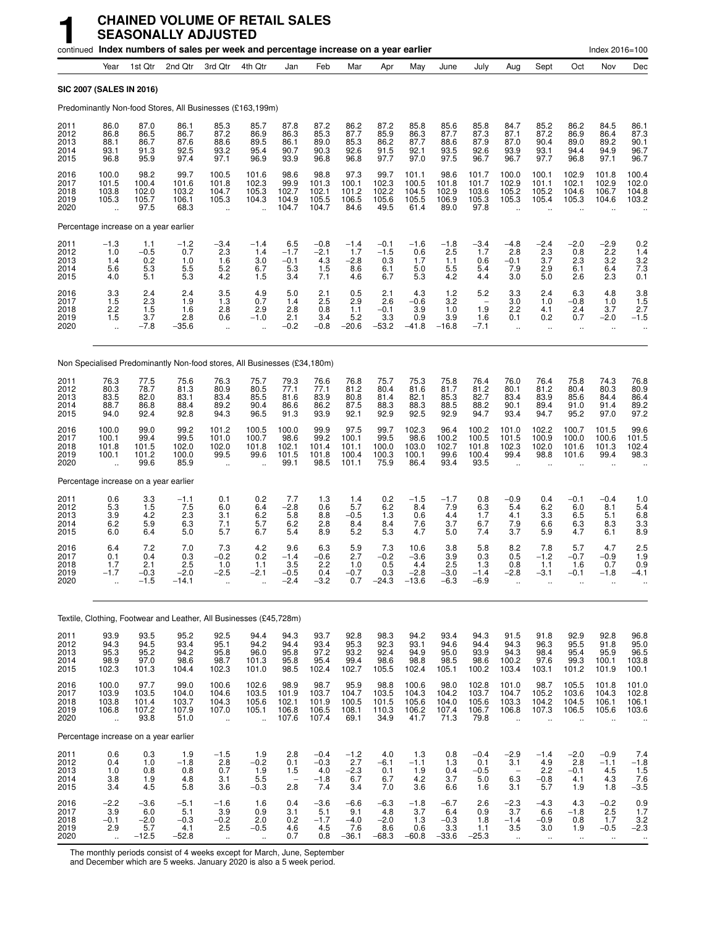|                                       |                                                         |                                              | continued Index numbers of sales per week and percentage increase on a year earlier |                                                          |                                                     |                                               |                                          |                                           |                                           |                                          |                                           |                                          |                                                          |                                                          |                                                            | Index 2016=100                                      |                                                  |
|---------------------------------------|---------------------------------------------------------|----------------------------------------------|-------------------------------------------------------------------------------------|----------------------------------------------------------|-----------------------------------------------------|-----------------------------------------------|------------------------------------------|-------------------------------------------|-------------------------------------------|------------------------------------------|-------------------------------------------|------------------------------------------|----------------------------------------------------------|----------------------------------------------------------|------------------------------------------------------------|-----------------------------------------------------|--------------------------------------------------|
|                                       | Year                                                    | 1st Qtr                                      | 2nd Qtr                                                                             | 3rd Qtr                                                  | 4th Qtr                                             | Jan                                           | Feb                                      | Mar                                       | Apr                                       | May                                      | June                                      | July                                     | Aug                                                      | Sept                                                     | Oct                                                        | Nov                                                 | Dec                                              |
| <b>SIC 2007 (SALES IN 2016)</b>       |                                                         |                                              |                                                                                     |                                                          |                                                     |                                               |                                          |                                           |                                           |                                          |                                           |                                          |                                                          |                                                          |                                                            |                                                     |                                                  |
|                                       |                                                         |                                              | Predominantly Non-food Stores, All Businesses (£163,199m)                           |                                                          |                                                     |                                               |                                          |                                           |                                           |                                          |                                           |                                          |                                                          |                                                          |                                                            |                                                     |                                                  |
| 2011<br>2012<br>2013<br>2014<br>2015  | 86.0<br>86.8<br>88.1<br>93.1<br>96.8                    | 87.0<br>86.5<br>86.7<br>91.3<br>95.9         | 86.1<br>86.7<br>87.6<br>92.5<br>97.4                                                | 85.3<br>87.2<br>88.6<br>93.2<br>97.1                     | 85.7<br>86.9<br>89.5<br>95.4<br>96.9                | 87.8<br>86.3<br>86.1<br>90.7<br>93.9          | 87.2<br>85.3<br>89.0<br>90.3<br>96.8     | 86.2<br>87.7<br>85.3<br>92.6<br>96.8      | 87.2<br>85.9<br>86.2<br>91.5<br>97.7      | 85.8<br>86.3<br>87.7<br>92.1<br>97.0     | 85.6<br>87.7<br>88.6<br>93.5<br>97.5      | 85.8<br>87.3<br>87.9<br>92.6<br>96.7     | 84.7<br>87.1<br>87.0<br>93.9<br>96.7                     | 85.2<br>87.2<br>90.4<br>93.1<br>97.7                     | 86.2<br>86.9<br>89.0<br>94.4<br>96.8                       | 84.5<br>86.4<br>89.2<br>94.9<br>97.1                | 86.1<br>87.3<br>90.1<br>96.7<br>96.7             |
| 2016<br>2017<br>2018<br>2019<br>2020  | 100.0<br>101.5<br>103.8<br>105.3                        | 98.2<br>100.4<br>102.0<br>105.7<br>97.5      | 99.7<br>101.6<br>103.2<br>106.1<br>68.3                                             | 100.5<br>101.8<br>104.7<br>105.3<br>$\ddot{\phantom{a}}$ | 101.6<br>102.3<br>105.3<br>104.3                    | 98.6<br>99.9<br>102.7<br>104.9<br>104.7       | 98.8<br>101.3<br>102.1<br>105.5<br>104.7 | 97.3<br>100.1<br>101.2<br>106.5<br>84.6   | 99.7<br>102.3<br>102.2<br>105.6<br>49.5   | 101.1<br>100.5<br>104.5<br>105.5<br>61.4 | 98.6<br>101.8<br>102.9<br>106.9<br>89.0   | 101.7<br>101.7<br>103.6<br>105.3<br>97.8 | 100.0<br>102.9<br>105.2<br>105.3                         | 100.1<br>101.1<br>105.2<br>105.4<br>$\ddot{\phantom{a}}$ | 102.9<br>102.1<br>104.6<br>105.3                           | 101.8<br>102.9<br>106.7<br>104.6                    | 100.4<br>102.0<br>104.8<br>103.2                 |
| Percentage increase on a year earlier |                                                         |                                              |                                                                                     |                                                          |                                                     |                                               |                                          |                                           |                                           |                                          |                                           |                                          |                                                          |                                                          |                                                            |                                                     |                                                  |
| 2011<br>2012<br>2013<br>2014<br>2015  | $-1.3$<br>1.0<br>1.4<br>5.6<br>4.0                      | 1.1<br>$-0.5$<br>0.2<br>5.3<br>5.1           | $-1.2$<br>0.7<br>1.0<br>5.5<br>5.3                                                  | $-3.4$<br>2.3<br>1.6<br>5.2<br>4.2                       | $-1.4$<br>1.4<br>3.0<br>6.7<br>1.5                  | $6.5 - 1.7$<br>$-0.1$<br>5.3<br>3.4           | $-0.8$<br>$-2.1$<br>4.3<br>1.5<br>7.1    | $-1.4$<br>1.7<br>$-2.8$<br>8.6<br>4.6     | $-0.1$<br>$-1.5$<br>0.3<br>6.1<br>6.7     | $-1.6$<br>0.6<br>1.7<br>5.0<br>5.3       | $-1.8$<br>2.5<br>1.1<br>5.5<br>4.2        | $-3.4$<br>1.7<br>0.6<br>5.4<br>4.4       | $-4.8$<br>2.8<br>$-0.1$<br>7.9<br>3.0                    | $-2.4$<br>2.3<br>3.7<br>2.9<br>5.0                       | $-2.0$<br>0.8<br>2.3<br>6.1<br>2.6                         | $-2.9$<br>2.2<br>3.2<br>6.4<br>2.3                  | 0.2<br>$\frac{1.4}{3.2}$<br>$7.3$<br>$0.1$       |
| 2016<br>2017<br>2018<br>2019<br>2020  | $\frac{3.3}{1.5}$<br>2.2<br>1.5<br>$\ddot{\phantom{a}}$ | 2.4<br>2.3<br>1.5<br>3.7<br>$-7.8$           | 2.4<br>1.9<br>1.6<br>2.8<br>-35.6                                                   | $\frac{3.5}{1.3}$<br>2.8<br>0.6<br>$\ddot{\phantom{a}}$  | 4.9<br>0.7<br>2.9<br>$-1.0$                         | 5.0<br>1.4<br>2.8<br>2.1<br>$-0.2$            | 2.1<br>2.5<br>0.8<br>3.4<br>$-0.8$       | 0.5<br>2.9<br>1.1<br>5.2<br>$-20.6$       | 2.1<br>2.6<br>$-0.1$<br>3.3<br>$-53.2$    | 4.3<br>$-0.6$<br>3.9<br>0.9<br>$-41.8$   | 1.2<br>3.2<br>1.0<br>3.9<br>$-16.8$       | 5.2<br>1.9<br>1.6<br>$-7.1$              | 3.3<br>3.0<br>2.2<br>0.1<br>$\ddot{\phantom{a}}$         | 2.4<br>1.0<br>4.1<br>0.2<br>$\ddot{\phantom{a}}$         | 6.3<br>$-0.8$<br>2.4<br>0.7<br>$\ddot{\phantom{a}}$        | 4.8<br>1.0<br>3.7<br>$-2.0$<br>$\ddot{\phantom{a}}$ | $3.8$<br>$1.5$<br>2.7<br>$-1.5$                  |
|                                       |                                                         |                                              | Non Specialised Predominantly Non-food stores, All Businesses (£34,180m)            |                                                          |                                                     |                                               |                                          |                                           |                                           |                                          |                                           |                                          |                                                          |                                                          |                                                            |                                                     |                                                  |
| 2011<br>2012<br>2013<br>2014<br>2015  | 76.3<br>80.3<br>83.5<br>88.7<br>94.0                    | 77.5<br>78.7<br>82.0<br>86.8<br>92.4         | 75.6<br>81.3<br>83.1<br>88.4<br>92.8                                                | 76.3<br>80.9<br>83.4<br>89.2<br>94.3                     | 75.7<br>80.5<br>85.5<br>90.4<br>96.5                | 79.3<br>77.1<br>81.6<br>86.6<br>91.3          | 76.6<br>77.1<br>83.9<br>86.2<br>93.9     | 76.8<br>81.2<br>80.8<br>87.5<br>92.1      | 75.7<br>80.4<br>81.4<br>88.3<br>92.9      | 75.3<br>81.6<br>82.1<br>88.3<br>92.5     | 75.8<br>81.7<br>85.3<br>88.5<br>92.9      | 76.4<br>81.2<br>82.7<br>88.2<br>94.7     | 76.0<br>80.1<br>83.4<br>90.1<br>93.4                     | 76.4<br>81.2<br>83.9<br>89.4<br>94.7                     | 75.8<br>80.4<br>85.6<br>91.0<br>95.2                       | 74.3<br>80.3<br>84.4<br>91.4<br>97.0                | 76.8<br>80.9<br>86.4<br>89.2<br>97.2             |
| 2016<br>2017<br>2018<br>2019<br>2020  | 100.0<br>100.1<br>101.8<br>100.1                        | 99.0<br>99.4<br>101.5<br>101.2<br>99.6       | 99.2<br>99.5<br>102.0<br>100.0<br>85.9                                              | 101.2<br>101.0<br>102.0<br>99.5<br>$\ddot{\phantom{a}}$  | 100.5<br>100.7<br>101.8<br>99.6                     | 100.0<br>98.6<br>102.1<br>101.5<br>99.1       | 99.9<br>99.2<br>101.4<br>101.8<br>98.5   | 97.5<br>100.1<br>101.1<br>100.4<br>101.1  | 99.7<br>99.5<br>100.0<br>100.3<br>75.9    | 102.3<br>98.6<br>103.0<br>100.1<br>86.4  | 96.4<br>100.2<br>102.7<br>99.6<br>93.4    | 100.2<br>100.5<br>101.8<br>100.4<br>93.5 | 101.0<br>101.5<br>102.3<br>99.4<br>$\ddot{\phantom{a}}$  | 102.2<br>100.9<br>102.0<br>98.8                          | 100.7<br>100.0<br>101.6<br>101.6                           | 101.5<br>100.6<br>101.3<br>99.4                     | 99.6<br>101.5<br>102.4<br>98.3                   |
| Percentage increase on a year earlier |                                                         |                                              |                                                                                     |                                                          |                                                     |                                               |                                          |                                           |                                           |                                          |                                           |                                          |                                                          |                                                          |                                                            |                                                     |                                                  |
| 2011<br>2012<br>2013<br>2014<br>2015  | 0.6<br>5.3<br>3.9<br>6.2<br>6.0                         | 3.3<br>$\overline{1.5}$<br>4.2<br>5.9<br>6.4 | $-1.1$<br>7.5<br>2.3<br>6.3<br>5.0                                                  | 0.1<br>6.0<br>3.1<br>7.1<br>5.7                          | 0.2<br>6.4<br>6.2<br>5.7<br>6.7                     | 7.7<br>$-2.8$<br>5.8<br>6.2<br>5.4            | 1.3<br>0.6<br>8.8<br>2.8<br>8.9          | 1.4<br>5.7<br>$-0.5$<br>8.4<br>5.2        | 0.2<br>6.2<br>1.3<br>8.4<br>5.3           | $-1.5$<br>8.4<br>0.6<br>7.6<br>4.7       | $-1.7$<br>7.9<br>4.4<br>3.7<br>5.0        | 0.8<br>6.3<br>1.7<br>6.7<br>7.4          | $-0.9$<br>5.4<br>4.1<br>7.9<br>3.7                       | 0.4<br>6.2<br>3.3<br>6.6<br>5.9                          | $-0.1$<br>6.0<br>6.5<br>6.3<br>4.7                         | $-0.4$<br>8.1<br>5.1<br>8.3<br>6.1                  | 1.0<br>5.4<br>6.8<br>3.3<br>8.9                  |
| 2016<br>2017<br>2018<br>2019<br>2020  | 6.4<br>0.1<br>1.7                                       | 7.2<br>0.4<br>2.1<br>-0.3<br>$-1.5$          | 7.0<br>0.3<br>2.5<br>-2.0<br>$-14.1$                                                | 7.3<br>$-0.2$<br>1.0<br>-2.5                             | 4.2<br>0.2<br>1.1<br>-2.1                           | 9.6<br>$-1.4$<br>3.5<br>–ს.ხ<br>$-2.4$        | 6.3<br>$-0.6$<br>2.2<br>U.4<br>$-3.2$    | 5.9<br>2.7<br>1.0<br>0.7                  | 7.3<br>$-0.2$<br>0.5<br>U.3<br>$-24.3$    | 10.6<br>-3.6<br>4.4<br>–2.ರ<br>$-13.6$   | 3.8<br>3.9<br>2.5<br>-3.0<br>$-6.3$       | 5.8<br>0.3<br>1.3<br>-1.4<br>$-6.9$      | 8.2<br>0.5<br>0.8<br>-2.8                                | 7.8<br>$-1.2$<br>1.1<br>-3.1                             | 5.7<br>$-0.7$<br>1.6<br>-v. 1                              | 4.7<br>-0.9<br>0.7<br>-1.8                          | 2.5<br>1.9<br>0.9<br>-4.1                        |
|                                       |                                                         |                                              | Textile, Clothing, Footwear and Leather, All Businesses (£45,728m)                  |                                                          |                                                     |                                               |                                          |                                           |                                           |                                          |                                           |                                          |                                                          |                                                          |                                                            |                                                     |                                                  |
| 2011<br>2012<br>2013<br>2014<br>2015  | 93.9<br>94.3<br>95.3<br>98.9<br>102.3                   | 93.5<br>$94.5$<br>$95.2$<br>97.0<br>101.3    | 95.2<br>93.4<br>94.2<br>98.6<br>104.4                                               | 92.5<br>95.1<br>95.8<br>98.7<br>102.3                    | 94.4<br>94.2<br>96.0<br>101.3<br>101.0              | 94.3<br>94.4<br>95.8<br>95.8<br>98.5          | 93.7<br>93.4<br>97.2<br>95.4<br>102.4    | 92.8<br>95.3<br>93.2<br>99.4<br>102.7     | 98.3<br>92.3<br>92.4<br>98.6<br>105.5     | 94.2<br>93.1<br>94.9<br>98.8<br>102.4    | 93.4<br>94.6<br>95.0<br>98.5<br>105.1     | 94.3<br>94.4<br>93.9<br>98.6<br>100.2    | 91.5<br>94.3<br>94.3<br>100.2<br>103.4                   | 91.8<br>96.3<br>98.4<br>97.6<br>103.1                    | 92.9<br>95.5<br>95.4<br>99.3<br>101.2                      | 92.8<br>91.8<br>95.9<br>100.1<br>101.9              | 96.8<br>95.0<br>96.5<br>103.8<br>100.1           |
| 2016<br>2017<br>2018<br>2019<br>2020  | 100.0<br>103.9<br>103.8<br>106.8<br>                    | 97.7<br>103.5<br>101.4<br>107.2<br>93.8      | 99.0<br>104.0<br>103.7<br>107.9<br>51.0                                             | 100.6<br>104.6<br>104.3<br>107.0<br>$\ddotsc$            | 102.6<br>103.5<br>105.6<br>105.1<br>$\ddotsc$       | 98.9<br>101.9<br>102.1<br>106.8<br>107.6      | 98.7<br>103.7<br>101.9<br>106.5<br>107.4 | 95.9<br>104.7<br>100.5<br>108.1<br>69.1   | 98.8<br>103.5<br>101.5<br>110.3<br>34.9   | 100.6<br>104.3<br>105.6<br>106.2<br>41.7 | 98.0<br>104.2<br>104.0<br>107.4<br>71.3   | 102.8<br>103.7<br>105.6<br>106.7<br>79.8 | 101.0<br>104.7<br>103.3<br>106.8<br>$\ddot{\phantom{a}}$ | 98.7<br>105.2<br>104.2<br>107.3                          | 105.5<br>103.6<br>104.5<br>106.5                           | 101.8<br>104.3<br>106.1<br>105.6                    | 101.0<br>102.8<br>106.1<br>103.6                 |
| Percentage increase on a year earlier |                                                         |                                              |                                                                                     |                                                          |                                                     |                                               |                                          |                                           |                                           |                                          |                                           |                                          |                                                          |                                                          |                                                            |                                                     |                                                  |
| 2011<br>2012<br>2013<br>2014<br>2015  | 0.6<br>0.4<br>1.0<br>3.8<br>3.4                         | 0.3<br>1.0<br>0.8<br>$\frac{1.9}{4.5}$       | 1.9<br>$-1.8$<br>0.8<br>4.8<br>5.8                                                  | $-1.5$<br>2.8<br>0.7<br>3.1<br>3.6                       | $1.9 - 0.2$<br>$\frac{1.9}{5.5}$<br>$-0.3$          | 2.8<br>0.1<br>1.5<br>$\qquad \qquad -$<br>2.8 | $-0.4$<br>$-0.3$<br>4.0<br>$-1.8$<br>7.4 | $-1.2$<br>2.7<br>$-2.3$<br>6.7<br>3.4     | 4.0<br>$-6.1$<br>0.1<br>6.7<br>7.0        | 1.3<br>$-1.1$<br>1.9<br>4.2<br>3.6       | 0.8<br>1.3<br>0.4<br>3.7<br>6.6           | $-0.4$<br>0.1<br>$-0.5$<br>5.0<br>1.6    | $-2.9$<br>3.1<br>6.3<br>3.1                              | $-1.4$<br>4.9<br>2.2<br>$-0.8$<br>5.7                    | $-2.0$<br>2.8<br>$-0.1$<br>4.1<br>1.9                      | $-0.9$<br>$-1.1$<br>$\frac{4.5}{4.3}$<br>1.8        | $7.4 - 1.8 - 1.8$<br>$\frac{1.5}{7.6}$<br>$-3.5$ |
| 2016<br>2017<br>2018<br>2019<br>2020  | $-2.2$<br>3.9<br>$-0.1$<br>2.9<br>$\ddotsc$             | $-3.6$<br>6.0<br>$-2.0$<br>5.7<br>$-12.5$    | $-5.1$<br>5.1<br>$-0.3$<br>4.1<br>$-52.8$                                           | $-1.6$<br>3.9<br>$-0.2$<br>2.5<br>$\ddotsc$              | 1.6<br>0.9<br>2.0<br>$-0.5$<br>$\ddot{\phantom{a}}$ | 0.4<br>3.1<br>0.2<br>4.6<br>0.7               | $-3.6$<br>5.1<br>$-1.7$<br>4.5<br>0.8    | $-6.6$<br>9.1<br>$-4.0$<br>7.6<br>$-36.1$ | $-6.3$<br>4.8<br>$-2.0$<br>8.6<br>$-68.3$ | $-1.8$<br>3.7<br>1.3<br>0.6<br>$-60.8$   | $-6.7$<br>6.4<br>$-0.3$<br>3.3<br>$-33.6$ | 2.6<br>0.9<br>1.8<br>1.1<br>$-25.3$      | $-2.3$<br>3.7<br>$-1.4$<br>3.5<br>ä,                     | $-4.3$<br>6.6<br>$-0.9$<br>3.0<br>$\ddotsc$              | 4.3<br>$-1.8$<br>0.8<br>1.9<br>$\mathcal{L}_{\mathcal{A}}$ | $-0.2$<br>2.5<br>1.7<br>$-0.5$<br>$\mathbf{u}$      | 0.9<br>1.7<br>$\frac{3.2}{-2.3}$<br>$\ldots$     |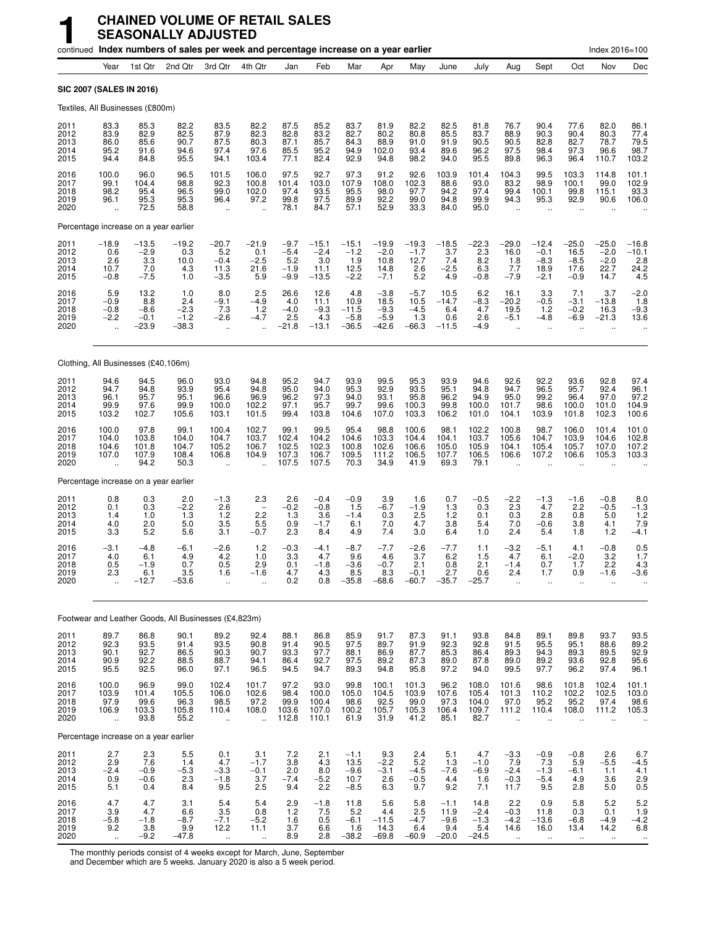|                                      |                                                         |                                                |                                           | continued Index numbers of sales per week and percentage increase on a year earlier |                                                      |                                             |                                             |                                             |                                               |                                            |                                            |                                            |                                                         |                                                        |                                                         | Index 2016=100                               |                                                     |
|--------------------------------------|---------------------------------------------------------|------------------------------------------------|-------------------------------------------|-------------------------------------------------------------------------------------|------------------------------------------------------|---------------------------------------------|---------------------------------------------|---------------------------------------------|-----------------------------------------------|--------------------------------------------|--------------------------------------------|--------------------------------------------|---------------------------------------------------------|--------------------------------------------------------|---------------------------------------------------------|----------------------------------------------|-----------------------------------------------------|
|                                      | Year                                                    | 1st Qtr                                        | 2nd Qtr                                   | 3rd Qtr                                                                             | 4th Qtr                                              | Jan                                         | Feb                                         | Mar                                         | Apr                                           | May                                        | June                                       | July                                       | Aug                                                     | Sept                                                   | Oct                                                     | Nov                                          | Dec                                                 |
|                                      | SIC 2007 (SALES IN 2016)                                |                                                |                                           |                                                                                     |                                                      |                                             |                                             |                                             |                                               |                                            |                                            |                                            |                                                         |                                                        |                                                         |                                              |                                                     |
|                                      |                                                         | Textiles, All Businesses (£800m)               |                                           |                                                                                     |                                                      |                                             |                                             |                                             |                                               |                                            |                                            |                                            |                                                         |                                                        |                                                         |                                              |                                                     |
| 2011<br>2012<br>2013<br>2014<br>2015 | 83.3<br>83.9<br>86.0<br>95.2<br>94.4                    | 85.3<br>82.9<br>85.6<br>91.6<br>84.8           | 82.2<br>82.5<br>90.7<br>94.6<br>95.5      | 83.5<br>87.9<br>87.5<br>97.4<br>94.1                                                | 82.2<br>82.3<br>80.3<br>97.6<br>103.4                | 87.5<br>82.8<br>87.1<br>85.5<br>77.1        | 85.2<br>83.2<br>85.7<br>95.2<br>82.4        | 83.7<br>82.7<br>84.3<br>94.9<br>92.9        | 81.9<br>80.2<br>88.9<br>102.0<br>94.8         | 82.2<br>80.8<br>91.0<br>93.4<br>98.2       | 82.5<br>85.5<br>91.9<br>89.6<br>94.0       | 81.8<br>83.7<br>90.5<br>96.2<br>95.5       | 76.7<br>88.9<br>90.5<br>97.5<br>89.8                    | 90.4<br>90.3<br>82.8<br>98.4<br>96.3                   | 77.6<br>90.4<br>82.7<br>97.3<br>96.4                    | 82.0<br>80.3<br>78.7<br>96.6<br>110.7        | 86.1<br>77.4<br>79.5<br>98.7<br>103.2               |
| 2016<br>2017<br>2018<br>2019<br>2020 | 100.0<br>99.1<br>98.2<br>96.1<br>$\ddot{\phantom{1}}$   | 96.0<br>104.4<br>95.4<br>95.3<br>72.5          | 96.5<br>98.8<br>96.5<br>95.3<br>58.8      | 101.5<br>92.3<br>99.0<br>96.4<br>ä,                                                 | 106.0<br>100.8<br>102.0<br>97.2<br>u,                | 97.5<br>101.4<br>97.4<br>99.8<br>78.1       | 92.7<br>103.0<br>93.5<br>97.5<br>84.7       | 97.3<br>107.9<br>95.5<br>89.9<br>57.1       | 91.2<br>108.0<br>98.0<br>92.2<br>52.9         | 92.6<br>102.3<br>97.7<br>99.0<br>33.3      | 103.9<br>88.6<br>94.2<br>94.8<br>84.0      | 101.4<br>93.0<br>97.4<br>99.9<br>95.0      | 104.3<br>83.2<br>99.4<br>94.3                           | 99.5<br>98.9<br>100.1<br>95.3                          | 103.3<br>100.1<br>99.8<br>92.9                          | 114.8<br>99.0<br>115.1<br>90.6               | 101.1<br>102.9<br>93.3<br>106.0                     |
|                                      |                                                         | Percentage increase on a year earlier          |                                           |                                                                                     |                                                      |                                             |                                             |                                             |                                               |                                            |                                            |                                            |                                                         |                                                        |                                                         |                                              |                                                     |
| 2011<br>2012<br>2013<br>2014<br>2015 | $-18.9$<br>0.6<br>2.6<br>10.7<br>$-0.8$                 | $-13.5$<br>$-2.9$<br>3.3<br>7.0<br>$-7.5$      | $-19.2$<br>0.3<br>10.0<br>4.3<br>1.0      | $-20.7$<br>5.2<br>$-0.4$<br>11.3<br>$-3.5$                                          | $-21.9$<br>0.1<br>$-2.5$<br>21.6<br>5.9              | $-9.7$<br>$-5.4$<br>5.2<br>$-1.9$<br>$-9.9$ | $-15.1$<br>$-2.4$<br>3.0<br>11.1<br>$-13.5$ | $-15.1$<br>$-1.2$<br>1.9<br>12.5<br>$-2.2$  | $-19.9$<br>$-2.0$<br>10.8<br>14.8<br>$-7.1$   | $-19.3$<br>$-1.7$<br>12.7<br>2.6<br>5.2    | $-18.5$<br>3.7<br>7.4<br>$-2.5$<br>4.9     | $-22.3$<br>2.3<br>8.2<br>6.3<br>$-0.8$     | $-29.0$<br>16.0<br>1.8<br>7.7<br>$-7.9$                 | $-12.4$<br>$-0.1$<br>$-8.3$<br>18.9<br>$-2.1$          | -25.0<br>16.5<br>$-8.5$<br>17.6<br>$-0.9$               | $-25.0$<br>$-2.0$<br>$-2.0$<br>22.7<br>14.7  | $-16.8$<br>$-10.1$<br>2.8<br>24.2<br>4.5            |
| 2016<br>2017<br>2018<br>2019<br>2020 | 5.9<br>$-0.9$<br>$-0.8$<br>$-2.2$                       | $^{13.2}_{8.8}$<br>$-8.6$<br>$-0.1$<br>$-23.9$ | 1.0<br>2.4<br>$-2.3$<br>$-1.2$<br>$-38.3$ | 8.0<br>$-9.1$<br>7.3<br>-2.6<br>Ω,                                                  | 2.5<br>$-4.9$<br>1.2<br>$-4.7$                       | 26.6<br>4.0<br>$-4.0$<br>2.5<br>-21.8       | 12.6<br>11.1<br>$-9.3$<br>4.3<br>$-13.1$    | 4.8<br>10.9<br>$-11.5$<br>$-5.8$<br>$-36.5$ | $-3.8$<br>18.5<br>$-9.3$<br>$-5.9$<br>$-42.6$ | $-5.7$<br>10.5<br>$-4.5$<br>1.3<br>$-66.3$ | 10.5<br>$-14.7$<br>6.4<br>0.6<br>$-11.5$   | $-8.3$<br>4.7<br>2.6<br>$-4.9$             | 16.1<br>$-20.2$<br>19.5<br>$-5.1$                       | 3.3<br>$-0.5$<br>$1.2$<br>-4.8                         | 7.1<br>-3.1<br>$-0.2$<br>$-6.9$                         | 3.7<br>$-13.8$<br>16.3<br>$-21.3$            | $-2.0$<br>1.8<br>$-9.3$<br>13.6                     |
|                                      |                                                         | Clothing, All Businesses (£40,106m)            |                                           |                                                                                     |                                                      |                                             |                                             |                                             |                                               |                                            |                                            |                                            |                                                         |                                                        |                                                         |                                              |                                                     |
| 2011<br>2012<br>2013<br>2014<br>2015 | 94.6<br>94.7<br>96.1<br>99.9<br>103.2                   | 94.5<br>94.8<br>95.7<br>97.6<br>102.7          | 96.0<br>93.9<br>95.1<br>99.9<br>105.6     | 93.0<br>95.4<br>96.6<br>100.0<br>103.1                                              | 94.8<br>94.8<br>96.9<br>102.2<br>101.5               | 95.2<br>95.0<br>96.2<br>97.1<br>99.4        | 94.7<br>94.0<br>97.3<br>95.7<br>103.8       | 93.9<br>95.3<br>94.0<br>99.7<br>104.6       | 99.5<br>92.9<br>93.1<br>99.6<br>107.0         | 95.3<br>93.5<br>95.8<br>100.3<br>103.3     | 93.9<br>95.1<br>96.2<br>99.8<br>106.2      | 94.6<br>94.8<br>94.9<br>100.0<br>101.0     | 92.6<br>94.7<br>95.0<br>101.7<br>104.1                  | 92.2<br>96.5<br>99.2<br>98.6<br>103.9                  | 93.6<br>95.7<br>96.4<br>100.0<br>101.8                  | 92.8<br>92.4<br>97.0<br>101.0<br>102.3       | 97.4<br>96.1<br>97.2<br>104.9<br>100.6              |
| 2016<br>2017<br>2018<br>2019<br>2020 | 100.0<br>104.0<br>104.6<br>107.0                        | 97.8<br>103.8<br>101.8<br>107.9<br>94.2        | 99.1<br>104.0<br>104.7<br>108.4<br>50.3   | 100.4<br>104.7<br>105.2<br>106.8                                                    | 102.7<br>103.7<br>106.7<br>104.9                     | 99.1<br>102.4<br>102.5<br>107.3<br>107.5    | 99.5<br>104.2<br>102.3<br>106.7<br>107.5    | 95.4<br>104.6<br>100.8<br>109.5<br>70.3     | 98.8<br>103.3<br>102.6<br>111.2<br>34.9       | 100.6<br>104.4<br>106.6<br>106.5<br>41.9   | 98.1<br>104.1<br>105.0<br>107.7<br>69.3    | 102.2<br>103.7<br>105.9<br>106.5<br>79.1   | 100.8<br>105.6<br>104.1<br>106.6                        | 98.7<br>104.7<br>105.4<br>107.2                        | 106.0<br>103.9<br>105.7<br>106.6                        | 101.4<br>104.6<br>107.0<br>105.3             | 101.0<br>102.8<br>107.2<br>103.3                    |
|                                      |                                                         | Percentage increase on a year earlier          |                                           |                                                                                     |                                                      |                                             |                                             |                                             |                                               |                                            |                                            |                                            |                                                         |                                                        |                                                         |                                              |                                                     |
| 2011<br>2012<br>2013<br>2014<br>2015 | 0.8<br>0.1<br>1.4<br>4.0<br>3.3                         | 0.3<br>0.3<br>1.0<br>2.0<br>5.2                | 2.0<br>$-2.2$<br>1.3<br>5.0<br>5.6        | $-1.3$<br>2.6<br>1.2<br>3.5<br>3.1                                                  | 2.3<br>2.2<br>5.5<br>$-0.7$                          | 2.6<br>$-0.2$<br>1.3<br>0.9<br>2.3          | $-0.4$<br>$-0.8$<br>3.6<br>$-1.7$<br>8.4    | $-0.9$<br>1.5<br>$-1.4$<br>6.1<br>4.9       | 3.9<br>$-6.7$<br>0.3<br>7.0<br>7.4            | 1.6<br>$-1.9$<br>2.5<br>4.7<br>3.0         | 0.7<br>1.3<br>1.2<br>3.8<br>6.4            | $-0.5$<br>0.3<br>0.1<br>5.4<br>1.0         | $-2.2$<br>2.3<br>0.3<br>7.0<br>2.4                      | $-1.3$<br>4.7<br>2.8<br>$-0.6$<br>5.4                  | $-1.6$<br>2.2<br>0.8<br>3.8<br>1.8                      | $-0.8$<br>$-0.5$<br>5.0<br>4.1<br>1.2        | 8.0<br>$-1.3$<br>1.2<br>7.9<br>$-4.1$               |
| 2016<br>2017<br>2018<br>2019<br>2020 | -3.1<br>4.0<br>0.5<br>2.3                               | $-4.8$<br>6.1<br>$-1.9$<br>6.1<br>$-12.7$      | $-6.1$<br>4.9<br>0.7<br>3.5<br>$-53.6$    | $-2.6$<br>4.2<br>0.5<br>1.6<br>                                                     | $1.2$<br>1.0<br>2.9<br>-1.6                          | $-0.3$<br>3.3<br>0.1<br>4.7<br>0.2          | $-4.1$<br>4.7<br>$-1.8$<br>4.3<br>0.8       | $-8.7$<br>9.6<br>$-3.6$<br>8.5<br>$-35.8$   | $-7.7$<br>4.6<br>$-0.7$<br>8.3<br>$-68.6$     | $-2.6$<br>3.7<br>2.1<br>$-0.1$<br>$-60.7$  | $-7.7$<br>6.2<br>0.8<br>2.7<br>$-35.7$     | 1.1<br>1.5<br>2.1<br>0.6<br>$-25.7$        | $-3.2$<br>4.7<br>$-1.4$<br>2.4                          | -5.1<br>6.1<br>0.7<br>1.7                              | 4.1<br>$-2.0$<br>1.7<br>0.9                             | $-0.8$<br>3.2<br>2.2<br>-1.6                 | 0.5<br>1.7<br>4.3<br>-3.6                           |
|                                      |                                                         |                                                |                                           | Footwear and Leather Goods, All Businesses (£4,823m)                                |                                                      |                                             |                                             |                                             |                                               |                                            |                                            |                                            |                                                         |                                                        |                                                         |                                              |                                                     |
| 2011<br>2012<br>2013<br>2014<br>2015 | 89.7<br>92.3<br>90.1<br>90.9<br>95.5                    | 86.8<br>93.5<br>92.7<br>92.2<br>92.5           | 90.1<br>91.4<br>86.5<br>88.5<br>96.0      | 89.2<br>93.5<br>90.3<br>88.7<br>97.1                                                | 92.4<br>90.8<br>90.7<br>94.1<br>96.5                 | 88.1<br>91.4<br>93.3<br>86.4<br>94.5        | 86.8<br>90.5<br>97.7<br>92.7<br>94.7        | 85.9<br>97.5<br>88.1<br>97.5<br>89.3        | 91.7<br>89.7<br>86.9<br>89.2<br>94.8          | 87.3<br>91.9<br>87.7<br>87.3<br>95.8       | 91.1<br>92.3<br>85.3<br>89.0<br>97.2       | 93.8<br>92.8<br>86.4<br>87.8<br>94.0       | 84.8<br>91.5<br>89.3<br>89.0<br>99.5                    | 89.1<br>95.5<br>94.3<br>89.2<br>97.7                   | 89.8<br>95.1<br>89.3<br>93.6<br>96.2                    | 93.7<br>88.6<br>89.5<br>92.8<br>97.4         | 93.5<br>89.2<br>92.9<br>95.6<br>96.1                |
| 2016<br>2017<br>2018<br>2019<br>2020 | 100.0<br>103.9<br>97.9<br>106.9<br>$\ddot{\phantom{a}}$ | 96.9<br>101.4<br>99.6<br>103.3<br>93.8         | 99.0<br>105.5<br>96.3<br>105.8<br>55.2    | 102.4<br>106.0<br>98.5<br>110.4<br>à.                                               | 101.7<br>102.6<br>97.2<br>108.0<br>ă,                | 97.2<br>98.4<br>99.9<br>103.6<br>112.8      | 93.0<br>100.0<br>100.4<br>107.0<br>110.1    | 99.8<br>105.0<br>98.6<br>100.2<br>61.9      | 100.1<br>104.5<br>92.5<br>105.7<br>31.9       | 101.3<br>103.9<br>99.0<br>105.3<br>41.2    | 96.2<br>107.6<br>97.3<br>106.4<br>85.1     | 108.0<br>105.4<br>104.0<br>109.7<br>82.7   | 101.6<br>101.3<br>97.0<br>111.2<br>$\ddotsc$            | 98.6<br>110.2<br>95.2<br>110.4<br>$\ddotsc$            | 101.8<br>102.2<br>95.2<br>108.0<br>$\ddot{\phantom{a}}$ | 102.4<br>102.5<br>97.4<br>111.2              | 101.1<br>103.0<br>98.6<br>105.3                     |
|                                      |                                                         | Percentage increase on a year earlier          |                                           |                                                                                     |                                                      |                                             |                                             |                                             |                                               |                                            |                                            |                                            |                                                         |                                                        |                                                         |                                              |                                                     |
| 2011<br>2012<br>2013<br>2014<br>2015 | 2.7<br>2.9<br>$-2.4$<br>0.9<br>5.1                      | 2.3<br>7.6<br>$-0.9$<br>$-0.6$<br>0.4          | 5.5<br>1.4<br>$-5.3$<br>2.3<br>8.4        | 0.1<br>4.7<br>$-3.3$<br>$-1.8$<br>9.5                                               | 3.1<br>$-1.7$<br>$-0.1$<br>3.7<br>2.5                | 7.2<br>3.8<br>$^{2.0}_{-7.4}$<br>9.4        | 2.1<br>4.3<br>8.0<br>$-5.2$<br>2.2          | $-1.1$<br>13.5<br>$-9.6$<br>10.7<br>$-8.5$  | 9.3<br>$-2.2$<br>$-3.1$<br>2.6<br>6.3         | 2.4<br>5.2<br>$-4.5$<br>$-0.5$<br>9.7      | 5.1<br>1.3<br>$-7.6$<br>4.4<br>9.2         | 4.7<br>$-1.0$<br>$-6.9$<br>1.6<br>7.1      | $-3.3$<br>7.9<br>$-2.4$<br>$-0.3$<br>11.7               | $-0.9$<br>7.3<br>$-1.3$<br>$-5.4$<br>9.5               | $-0.8$<br>5.9<br>$-6.1$<br>4.9<br>2.8                   | 2.6<br>$-5.5$<br>1.1<br>3.6<br>5.0           | 6.7<br>$-4.5$<br>4.1<br>2.9<br>0.5                  |
| 2016<br>2017<br>2018<br>2019<br>2020 | 4.7<br>3.9<br>$-5.8$<br>9.2<br>$\ddot{\phantom{1}}$     | 4.7<br>4.7<br>$-1.8$<br>3.8<br>$-9.2$          | 3.1<br>6.6<br>$-8.7$<br>9.9<br>$-47.8$    | 5.4<br>3.5<br>$-7.1$<br>12.2<br>$\ddotsc$                                           | 5.4<br>0.8<br>$-5.2$<br>11.1<br>$\ddot{\phantom{1}}$ | 2.9<br>1.2<br>$\frac{1.6}{3.7}$<br>8.9      | $-1.8$<br>7.5<br>0.5<br>6.6<br>2.8          | 11.8<br>5.2<br>$-6.1$<br>1.6<br>$-38.2$     | 5.6<br>4.4<br>$-11.5$<br>14.3<br>$-69.8$      | 5.8<br>2.5<br>$-4.7$<br>6.4<br>$-60.9$     | $-1.1$<br>11.9<br>$-9.6$<br>9.4<br>$-20.0$ | 14.8<br>$-2.4$<br>$-1.3$<br>5.4<br>$-24.5$ | 2.2<br>$-0.3$<br>$-4.2$<br>14.6<br>$\ddot{\phantom{1}}$ | 0.9<br>11.8<br>$-13.6$<br>16.0<br>$\ddot{\phantom{1}}$ | 5.8<br>0.3<br>$-6.8$<br>13.4<br>$\cdot$                 | 5.2<br>0.1<br>$-4.9$<br>14.2<br>$\cdot\cdot$ | 5.2<br>1.9<br>$-4.2$<br>6.8<br>$\ddot{\phantom{1}}$ |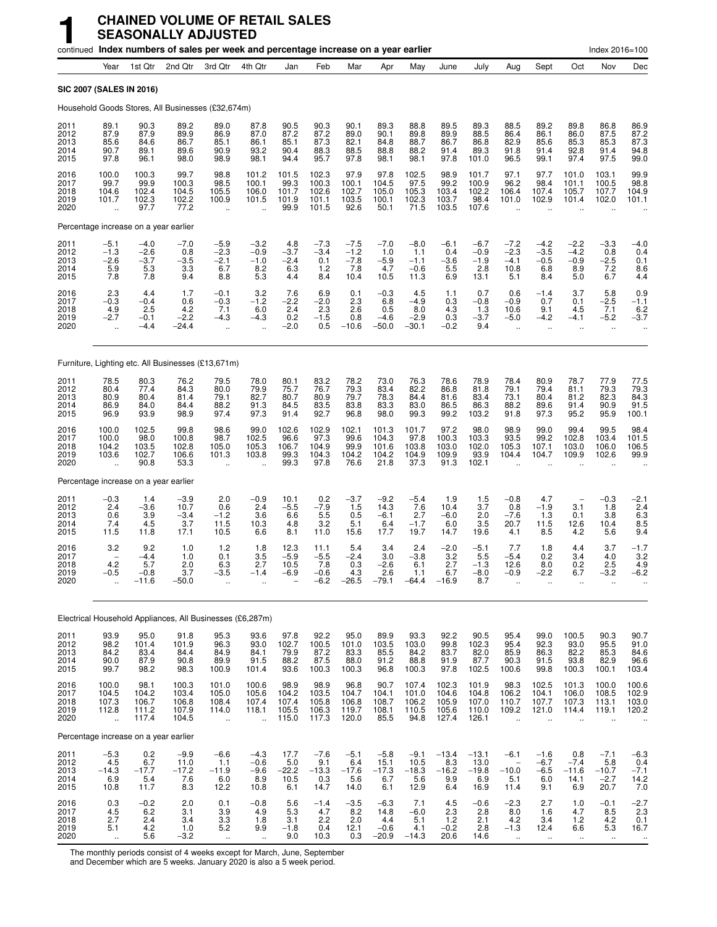|                                      |                                                                          |                                          | continued Index numbers of sales per week and percentage increase on a year earlier |                                                           |                                                          |                                          |                                           |                                           |                                            |                                           |                                           |                                           |                                                         |                                               |                                                          | Index 2016=100                              |                                                                 |
|--------------------------------------|--------------------------------------------------------------------------|------------------------------------------|-------------------------------------------------------------------------------------|-----------------------------------------------------------|----------------------------------------------------------|------------------------------------------|-------------------------------------------|-------------------------------------------|--------------------------------------------|-------------------------------------------|-------------------------------------------|-------------------------------------------|---------------------------------------------------------|-----------------------------------------------|----------------------------------------------------------|---------------------------------------------|-----------------------------------------------------------------|
|                                      | Year                                                                     | 1st Qtr                                  | 2nd Qtr                                                                             | 3rd Qtr                                                   | 4th Qtr                                                  | Jan                                      | Feb                                       | Mar                                       | Apr                                        | May                                       | June                                      | July                                      | Aug                                                     | Sept                                          | Oct                                                      | Nov                                         | Dec                                                             |
| SIC 2007 (SALES IN 2016)             |                                                                          |                                          |                                                                                     |                                                           |                                                          |                                          |                                           |                                           |                                            |                                           |                                           |                                           |                                                         |                                               |                                                          |                                             |                                                                 |
|                                      |                                                                          |                                          | Household Goods Stores, All Businesses (£32,674m)                                   |                                                           |                                                          |                                          |                                           |                                           |                                            |                                           |                                           |                                           |                                                         |                                               |                                                          |                                             |                                                                 |
| 2011<br>2012<br>2013<br>2014<br>2015 | 89.1<br>87.9<br>85.6<br>90.7<br>97.8                                     | 90.3<br>87.9<br>84.6<br>89.1<br>96.1     | 89.2<br>89.9<br>86.7<br>89.6<br>98.0                                                | 89.0<br>86.9<br>85.1<br>90.9<br>98.9                      | 87.8<br>87.0<br>86.1<br>93.2<br>98.1                     | 90.5<br>87.2<br>85.1<br>90.4<br>94.4     | 90.3<br>87.2<br>87.3<br>88.3<br>95.7      | 90.1<br>89.0<br>82.1<br>88.5<br>97.8      | 89.3<br>90.1<br>84.8<br>88.8<br>98.1       | 88.8<br>89.8<br>88.7<br>88.2<br>98.1      | 89.5<br>89.9<br>86.7<br>91.4<br>97.8      | 89.3<br>88.5<br>86.8<br>89.3<br>101.0     | 88.5<br>86.4<br>82.9<br>91.8<br>96.5                    | 89.2<br>86.1<br>85.6<br>91.4<br>99.1          | 89.8<br>86.0<br>85.3<br>92.8<br>97.4                     | 86.8<br>87.5<br>85.3<br>91.4<br>97.5        | 86.9<br>87.2<br>87.3<br>94.8<br>99.0                            |
| 2016<br>2017<br>2018<br>2019<br>2020 | 100.0<br>99.7<br>104.6<br>101.7                                          | 100.3<br>99.9<br>102.4<br>102.3<br>97.7  | 99.7<br>100.3<br>104.5<br>102.2<br>77.2                                             | 98.8<br>98.5<br>105.5<br>100.9<br>ä,                      | 101.2<br>100.1<br>106.0<br>101.5                         | 101.5<br>99.3<br>101.7<br>101.9<br>99.9  | 102.3<br>100.3<br>102.6<br>101.1<br>101.5 | 97.9<br>100.1<br>102.7<br>103.5<br>92.6   | 97.8<br>104.5<br>105.0<br>100.1<br>50.1    | 102.5<br>97.5<br>105.3<br>102.3<br>71.5   | 98.9<br>99.2<br>103.4<br>103.7<br>103.5   | 101.7<br>100.9<br>102.2<br>98.4<br>107.6  | 97.1<br>96.2<br>106.4<br>101.0                          | 97.7<br>98.4<br>107.4<br>102.9                | 101.0<br>101.1<br>105.7<br>101.4                         | 103.1<br>100.5<br>107.7<br>102.0            | 99.9<br>98.8<br>104.9<br>101.1                                  |
|                                      |                                                                          | Percentage increase on a year earlier    |                                                                                     |                                                           |                                                          |                                          |                                           |                                           |                                            |                                           |                                           |                                           |                                                         |                                               |                                                          |                                             |                                                                 |
| 2011<br>2012<br>2013<br>2014<br>2015 | $-5.1$<br>$-1.3$<br>$-2.6$<br>5.9<br>7.8                                 | $-4.0$<br>$-2.6$<br>$-3.7$<br>5.3<br>7.8 | $-7.0$<br>0.8<br>$-3.5$<br>3.3<br>9.4                                               | $-5.9$<br>$-2.3$<br>$-2.1$<br>6.7<br>8.8                  | $-3.2$<br>$-0.9$<br>$-1.0$<br>8.2<br>5.3                 | 4.8<br>$-3.7$<br>$-2.4$<br>6.3<br>4.4    | $-7.3$<br>$-3.4$<br>0.1<br>1.2<br>8.4     | $-7.5$<br>$-1.2$<br>$-7.8$<br>7.8<br>10.4 | $-7.0$<br>1.0<br>$-5.9$<br>4.7<br>10.5     | $-8.0$<br>1.1<br>$-1.1$<br>$-0.6$<br>11.3 | $-6.1$<br>0.4<br>$-3.6$<br>5.5<br>6.9     | $-6.7$<br>$-0.9$<br>$-1.9$<br>2.8<br>13.1 | $-7.2$<br>$-2.3$<br>$-4.1$<br>10.8<br>5.1               | $-4.2$<br>$-3.5$<br>$-0.5$<br>6.8<br>8.4      | $-2.2$<br>$-4.2$<br>$-0.9$<br>8.9<br>5.0                 | $-3.3$<br>0.8<br>$-2.5$<br>7.2<br>6.7       | -4.0<br>0.4<br>0.1<br>$\begin{array}{c} 8.6 \\ 4.4 \end{array}$ |
| 2016<br>2017<br>2018<br>2019<br>2020 | 2.3<br>$-0.3$<br>4.9<br>$-2.7$<br>$\ddot{\phantom{a}}$                   | 4.4<br>$-0.4$<br>2.5<br>$-0.1$<br>$-4.4$ | 1.7<br>0.6<br>4.2<br>$-2.2$<br>$-24.4$                                              | $-0.1$<br>$-0.3$<br>7.1<br>$-4.3$<br>$\ddot{\phantom{1}}$ | 3.2<br>$-1.2$<br>6.0<br>$-4.3$<br>$\ddot{\phantom{a}}$   | 7.6<br>$-2.2$<br>2.4<br>0.2<br>$-2.0$    | 6.9<br>$-2.0$<br>2.3<br>$-1.5$<br>0.5     | 0.1<br>2.3<br>2.6<br>0.8<br>$-10.6$       | $-0.3$<br>6.8<br>0.5<br>$-4.6$<br>$-50.0$  | 4.5<br>$-4.9$<br>8.0<br>$-2.9$<br>$-30.1$ | 1.1<br>0.3<br>4.3<br>0.3<br>$-0.2$        | 0.7<br>$-0.8$<br>1.3<br>$-3.7$<br>9.4     | 0.6<br>$-0.9$<br>10.6<br>$-5.0$<br>ä,                   | $-1.4$<br>0.7<br>9.1<br>$-4.2$<br>$\ddotsc$   | 3.7<br>0.1<br>4.5<br>$-4.1$<br>ä.                        | 5.8<br>$-2.5$<br>7.1<br>$-5.2$              | $0.9 - 1.1$<br>6.2<br>$-3.7$                                    |
|                                      |                                                                          |                                          | Furniture, Lighting etc. All Businesses (£13,671m)                                  |                                                           |                                                          |                                          |                                           |                                           |                                            |                                           |                                           |                                           |                                                         |                                               |                                                          |                                             |                                                                 |
| 2011<br>2012<br>2013<br>2014<br>2015 | 78.5<br>80.4<br>80.9<br>86.9<br>96.9                                     | 80.3<br>77.4<br>80.4<br>84.0<br>93.9     | 76.2<br>84.3<br>81.4<br>84.4<br>98.9                                                | 79.5<br>80.0<br>79.1<br>88.2<br>97.4                      | 78.0<br>79.9<br>82.7<br>91.3<br>97.3                     | 80.1<br>75.7<br>80.7<br>84.5<br>91.4     | 83.2<br>76.7<br>80.9<br>83.5<br>92.7      | 78.2<br>79.3<br>79.7<br>83.8<br>96.8      | 73.0<br>83.4<br>78.3<br>83.3<br>98.0       | 76.3<br>82.2<br>84.4<br>83.0<br>99.3      | 78.6<br>86.8<br>81.6<br>86.5<br>99.2      | 78.9<br>81.8<br>83.4<br>86.3<br>103.2     | 78.4<br>79.1<br>73.1<br>88.2<br>91.8                    | 80.9<br>79.4<br>80.4<br>89.6<br>97.3          | 78.7<br>81.1<br>81.2<br>91.4<br>95.2                     | 77.9<br>79.3<br>82.3<br>90.9<br>95.9        | 77.5<br>79.3<br>84.3<br>91.5<br>100.1                           |
| 2016<br>2017<br>2018<br>2019<br>2020 | 100.0<br>100.0<br>104.2<br>103.6                                         | 102.5<br>98.0<br>103.5<br>102.7<br>90.8  | 99.8<br>100.8<br>102.8<br>106.6<br>53.3                                             | 98.6<br>98.7<br>105.0<br>101.3<br>÷.                      | 99.0<br>102.5<br>105.3<br>103.8                          | 102.6<br>96.6<br>106.7<br>99.3<br>99.3   | 102.9<br>97.3<br>104.9<br>104.3<br>97.8   | 102.1<br>99.6<br>99.9<br>104.2<br>76.6    | 101.3<br>104.3<br>101.6<br>104.2<br>21.8   | 101.7<br>97.8<br>103.8<br>104.9<br>37.3   | 97.2<br>100.3<br>103.0<br>109.9<br>91.3   | 98.0<br>103.3<br>102.0<br>93.9<br>102.1   | 98.9<br>93.5<br>105.3<br>104.4                          | 99.0<br>99.2<br>107.1<br>104.7                | 99.4<br>102.8<br>103.0<br>109.9                          | 99.5<br>103.4<br>106.0<br>102.6             | 98.4<br>101.5<br>106.5<br>99.9                                  |
|                                      |                                                                          | Percentage increase on a year earlier    |                                                                                     |                                                           |                                                          |                                          |                                           |                                           |                                            |                                           |                                           |                                           |                                                         |                                               |                                                          |                                             |                                                                 |
| 2011<br>2012<br>2013<br>2014<br>2015 | $-0.3$<br>2.4<br>0.6<br>7.4<br>11.5                                      | 1.4<br>-3.6<br>3.9<br>4.5<br>11.8        | $-3.9$<br>10.7<br>$-3.4$<br>3.7<br>17.1                                             | 2.0<br>0.6<br>$-1.2$<br>11.5<br>10.5                      | $-0.9$<br>2.4<br>3.6<br>10.3<br>6.6                      | 10.1<br>$-5.5$<br>6.6<br>4.8<br>8.1      | 0.2<br>$-7.9$<br>5.5<br>3.2<br>11.0       | $-3.7$<br>1.5<br>0.5<br>5.1<br>15.6       | $-9.2$<br>14.3<br>$-6.1$<br>6.4<br>17.7    | $-5.4$<br>7.6<br>2.7<br>$-1.7$<br>19.7    | 1.9<br>10.4<br>$-6.0$<br>6.0<br>14.7      | 1.5<br>3.7<br>2.0<br>3.5<br>19.6          | $-0.8$<br>0.8<br>$-7.6$<br>20.7<br>4.1                  | 4.7<br>$-1.9$<br>1.3<br>11.5<br>8.5           | 3.1<br>0.1<br>12.6<br>4.2                                | $-0.3$<br>1.8<br>3.8<br>10.4<br>5.6         | $-2.1$<br>$^{2.4}_{6.3}$<br>8.5<br>9.4                          |
| 2016<br>2017<br>2018<br>2019<br>2020 | 3.2<br>$\overline{\phantom{m}}$<br>4.2<br>$-0.5$<br>$\ddot{\phantom{1}}$ | 9.2<br>-4.4<br>5.7<br>$-0.8$<br>-11.6    | 1.0<br>1.0<br>2.0<br>3.7<br>$-50.0$                                                 | 1.2<br>0.1<br>6.3<br>$-3.5$<br>ä,                         | 1.8<br>3.5<br>2.7<br>$-1.4$                              | 12.3<br>$-5.9$<br>10.5<br>-6.9           | 11.1<br>$-5.5$<br>7.8<br>$-0.6$<br>-6.2   | 5.4<br>$-2.4$<br>0.3<br>4.3<br>$-26.5$    | 3.4<br>3.0<br>$-2.6$<br>2.6<br>$-79.1$     | 2.4<br>$-3.8$<br>6.1<br>1.1<br>-64.4      | $-2.0$<br>3.2<br>2.7<br>6.7<br>$-16.9$    | $-5.1$<br>5.5<br>$-1.3$<br>$-8.0$<br>8.7  | 7.7<br>$-5.4$<br>12.6<br>$-0.9$                         | 1.8<br>0.2<br>8.0<br>$-2.2$<br>$\ddotsc$      | 4.4<br>3.4<br>0.2<br>6.7<br>$\ddotsc$                    | 3.7<br>4.0<br>2.5<br>$-3.2$<br>$\mathbf{r}$ | $-1.7$<br>$3.2$<br>$4.9$<br>$-6.2$                              |
|                                      |                                                                          |                                          | Electrical Household Appliances, All Businesses (£6,287m)                           |                                                           |                                                          |                                          |                                           |                                           |                                            |                                           |                                           |                                           |                                                         |                                               |                                                          |                                             |                                                                 |
| 2011<br>2012<br>2013<br>2014<br>2015 | 93.9<br>98.2<br>84.2<br>90.0<br>99.7                                     | 95.0<br>101.4<br>83.4<br>87.9<br>98.2    | 91.8<br>101.9<br>84.4<br>90.8<br>98.3                                               | 95.3<br>96.3<br>84.9<br>89.9<br>100.9                     | 93.6<br>93.0<br>84.1<br>91.5<br>101.4                    | 97.8<br>102.7<br>79.9<br>88.2<br>93.6    | 92.2<br>100.5<br>87.2<br>87.5<br>100.3    | 95.0<br>101.0<br>83.3<br>88.0<br>100.3    | 89.9<br>103.5<br>85.5<br>91.2<br>96.8      | 93.3<br>103.0<br>84.2<br>88.8<br>100.3    | 92.2<br>99.8<br>83.7<br>91.9<br>97.8      | 90.5<br>102.3<br>82.0<br>87.7<br>102.5    | 95.4<br>95.4<br>85.9<br>90.3<br>100.6                   | 99.0<br>92.3<br>86.3<br>91.5<br>99.8          | 100.5<br>93.0<br>82.2<br>93.8<br>100.3                   | 90.3<br>95.5<br>85.3<br>82.9<br>100.1       | 90.7<br>$91.0$<br>$84.6$<br>96.6<br>103.4                       |
| 2016<br>2017<br>2018<br>2019<br>2020 | 100.0<br>104.5<br>107.3<br>112.8<br>$\ddot{\phantom{a}}$                 | 98.1<br>104.2<br>106.7<br>111.2<br>117.4 | 100.3<br>103.4<br>106.8<br>107.9<br>104.5                                           | 101.0<br>105.0<br>108.4<br>114.0<br>÷.                    | 100.6<br>105.6<br>107.4<br>118.1<br>$\ddot{\phantom{a}}$ | 98.9<br>104.2<br>107.4<br>105.5<br>115.0 | 98.9<br>103.5<br>105.8<br>106.3<br>117.3  | 96.8<br>104.7<br>106.8<br>119.7<br>120.0  | 90.7<br>104.1<br>108.7<br>108.1<br>85.5    | 107.4<br>101.0<br>106.2<br>110.5<br>94.8  | 102.3<br>104.6<br>105.9<br>105.6<br>127.4 | 101.9<br>104.8<br>107.0<br>110.0<br>126.1 | 98.3<br>106.2<br>110.7<br>109.2<br>$\ddot{\phantom{a}}$ | 102.5<br>104.1<br>107.7<br>121.0<br>$\ddotsc$ | 101.3<br>106.0<br>107.3<br>114.4<br>$\ddot{\phantom{a}}$ | 100.0<br>108.5<br>113.1<br>119.1            | 100.6<br>102.9<br>103.0<br>120.2<br>$\ddotsc$                   |
|                                      |                                                                          | Percentage increase on a year earlier    |                                                                                     |                                                           |                                                          |                                          |                                           |                                           |                                            |                                           |                                           |                                           |                                                         |                                               |                                                          |                                             |                                                                 |
| 2011<br>2012<br>2013<br>2014<br>2015 | $-5.3$<br>4.5<br>$-14.3$<br>6.9<br>10.8                                  | 0.2<br>6.7<br>$-17.7$<br>5.4<br>11.7     | $-9.9$<br>11.0<br>$-17.2$<br>7.6<br>8.3                                             | $-6.6$<br>1.1<br>$-11.9$<br>6.0<br>12.2                   | $-4.3$<br>$-0.6$<br>$-9.6$<br>8.9<br>10.8                | 17.7<br>5.0<br>$-22.2$<br>10.5<br>6.1    | $-7.6$<br>9.1<br>$-13.3$<br>0.3<br>14.7   | $-5.1$<br>6.4<br>$-17.6$<br>5.6<br>14.0   | $-5.8$<br>15.1<br>$-17.3$<br>6.7<br>6.1    | $-9.1$<br>10.5<br>$-18.3$<br>5.6<br>12.9  | $-13.4$<br>8.3<br>$-16.2$<br>9.9<br>6.4   | $-13.1$<br>13.0<br>$-19.8$<br>6.9<br>16.9 | $-6.1$<br>$-10.0$<br>5.1<br>11.4                        | $-1.6$<br>$-6.7$<br>$-6.5$<br>6.0<br>9.1      | 0.8<br>$-7.4$<br>$-11.6$<br>14.1<br>6.9                  | $-7.1$<br>5.8<br>$-10.7$<br>$-2.7$<br>20.7  | $-6.3$<br>0.4<br>$-7.1$<br>14.2<br>7.0                          |
| 2016<br>2017<br>2018<br>2019<br>2020 | 0.3<br>4.5<br>2.7<br>5.1<br>$\sim$                                       | $-0.2$<br>6.2<br>2.4<br>4.2<br>5.6       | 2.0<br>3.1<br>3.4<br>1.0<br>-3.2                                                    | 0.1<br>3.9<br>$\frac{3.3}{5.2}$<br>$\ddotsc$              | $-0.8$<br>4.9<br>1.8<br>9.9<br>$\ddotsc$                 | 5.6<br>5.3<br>3.1<br>$-1.8$<br>9.0       | $-1.4$<br>4.7<br>2.2<br>0.4<br>10.3       | $-3.5$<br>8.2<br>2.0<br>12.1<br>0.3       | $-6.3$<br>14.8<br>4.4<br>$-0.6$<br>$-20.9$ | 7.1<br>$-6.0$<br>5.1<br>4.1<br>$-14.3$    | 4.5<br>2.3<br>1.2<br>$-0.2$<br>20.6       | $-0.6$<br>2.8<br>2.1<br>2.8<br>14.6       | $-2.3$<br>8.0<br>4.2<br>$-1.3$<br>$\ddotsc$             | 2.7<br>1.6<br>3.4<br>12.4<br>$\ddotsc$        | 1.0<br>4.7<br>1.2<br>6.6<br>$\ldots$                     | $-0.1$<br>8.5<br>4.2<br>5.3<br>$\ldots$     | $-2.7$<br>2.3<br>0.1<br>16.7                                    |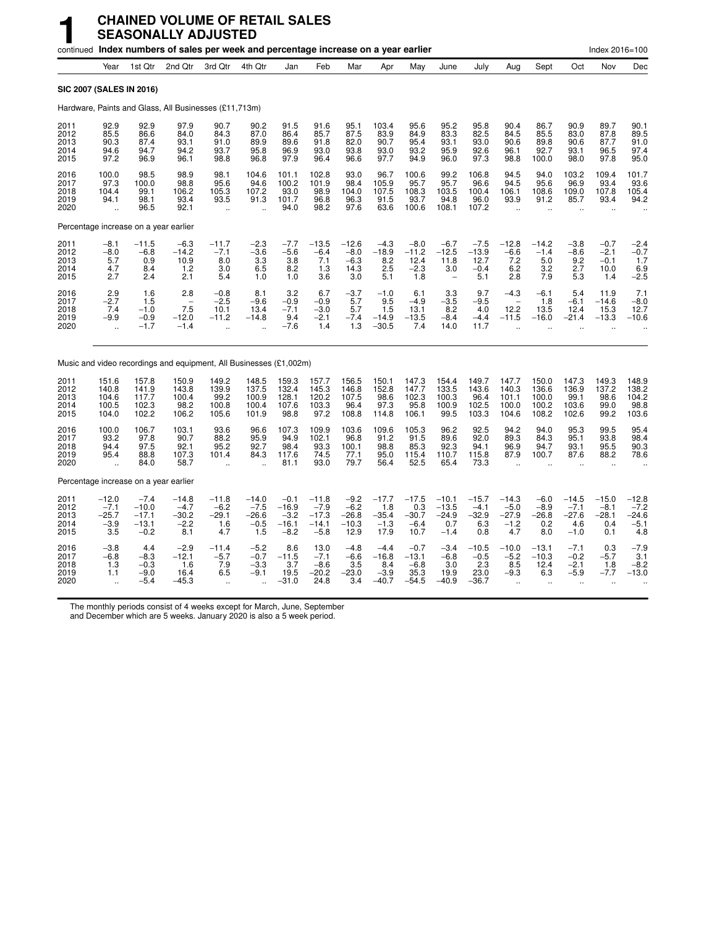|                                       |                                                        |                                                   | continued Index numbers of sales per week and percentage increase on a year earlier |                                                             |                                                        |                                                  |                                                   |                                                |                                               |                                                |                                                              |                                             |                                               |                                                           |                                               | Index 2016=100                                         |                                               |
|---------------------------------------|--------------------------------------------------------|---------------------------------------------------|-------------------------------------------------------------------------------------|-------------------------------------------------------------|--------------------------------------------------------|--------------------------------------------------|---------------------------------------------------|------------------------------------------------|-----------------------------------------------|------------------------------------------------|--------------------------------------------------------------|---------------------------------------------|-----------------------------------------------|-----------------------------------------------------------|-----------------------------------------------|--------------------------------------------------------|-----------------------------------------------|
|                                       | Year                                                   | 1st Qtr                                           | 2nd Qtr                                                                             | 3rd Qtr                                                     | 4th Qtr                                                | Jan                                              | Feb                                               | Mar                                            | Apr                                           | May                                            | June                                                         | July                                        | Aug                                           | Sept                                                      | Oct                                           | Nov                                                    | Dec                                           |
| <b>SIC 2007 (SALES IN 2016)</b>       |                                                        |                                                   |                                                                                     |                                                             |                                                        |                                                  |                                                   |                                                |                                               |                                                |                                                              |                                             |                                               |                                                           |                                               |                                                        |                                               |
|                                       |                                                        |                                                   | Hardware, Paints and Glass, All Businesses (£11,713m)                               |                                                             |                                                        |                                                  |                                                   |                                                |                                               |                                                |                                                              |                                             |                                               |                                                           |                                               |                                                        |                                               |
| 2011<br>2012<br>2013<br>2014<br>2015  | 92.9<br>85.5<br>90.3<br>94.6<br>97.2                   | 92.9<br>86.6<br>87.4<br>94.7<br>96.9              | 97.9<br>84.0<br>93.1<br>94.2<br>96.1                                                | 90.7<br>84.3<br>91.0<br>93.7<br>98.8                        | 90.2<br>87.0<br>89.9<br>95.8<br>96.8                   | 91.5<br>86.4<br>89.6<br>96.9<br>97.9             | 91.6<br>85.7<br>91.8<br>93.0<br>96.4              | 95.1<br>87.5<br>82.0<br>93.8<br>96.6           | 103.4<br>83.9<br>90.7<br>93.0<br>97.7         | 95.6<br>84.9<br>95.4<br>93.2<br>94.9           | 95.2<br>83.3<br>93.1<br>95.9<br>96.0                         | 95.8<br>82.5<br>93.0<br>92.6<br>97.3        | 90.4<br>84.5<br>90.6<br>96.1<br>98.8          | 86.7<br>85.5<br>89.8<br>92.7<br>100.0                     | 90.9<br>83.0<br>90.6<br>93.1<br>98.0          | 89.7<br>87.8<br>87.7<br>96.5<br>97.8                   | 90.1<br>89.5<br>91.0<br>97.4<br>95.0          |
| 2016<br>2017<br>2018<br>2019<br>2020  | 100.0<br>97.3<br>104.4<br>94.1<br>$\ddot{\phantom{a}}$ | 98.5<br>100.0<br>99.1<br>98.1<br>96.5             | 98.9<br>98.8<br>106.2<br>93.4<br>92.1                                               | 98.1<br>95.6<br>105.3<br>93.5<br>$\ddot{\phantom{a}}$       | 104.6<br>94.6<br>107.2<br>91.3<br>$\ddot{\phantom{a}}$ | 101.1<br>100.2<br>93.0<br>101.7<br>94.0          | 102.8<br>101.9<br>98.9<br>96.8<br>98.2            | 93.0<br>98.4<br>104.0<br>96.3<br>97.6          | 96.7<br>105.9<br>107.5<br>91.5<br>63.6        | 100.6<br>95.7<br>108.3<br>93.7<br>100.6        | 99.2<br>95.7<br>103.5<br>94.8<br>108.1                       | 106.8<br>96.6<br>100.4<br>96.0<br>107.2     | 94.5<br>94.5<br>106.1<br>93.9<br>$\sim$       | 94.0<br>95.6<br>108.6<br>91.2<br>$\ddot{\phantom{a}}$     | 103.2<br>96.9<br>109.0<br>85.7<br>$\sim$      | 109.4<br>93.4<br>107.8<br>93.4<br>$\ddot{\phantom{a}}$ | 101.7<br>93.6<br>105.4<br>94.2                |
| Percentage increase on a year earlier |                                                        |                                                   |                                                                                     |                                                             |                                                        |                                                  |                                                   |                                                |                                               |                                                |                                                              |                                             |                                               |                                                           |                                               |                                                        |                                               |
| 2011<br>2012<br>2013<br>2014<br>2015  | $-8.1$<br>$-8.0$<br>5.7<br>4.7<br>2.7                  | $-11.5$<br>$-6.8$<br>0.9<br>8.4<br>2.4            | $-6.3$<br>$-14.2$<br>10.9<br>1.2<br>2.1                                             | $-11.7$<br>$-7.1$<br>8.0<br>3.0<br>5.4                      | $-2.3$<br>$-3.6$<br>3.3<br>6.5<br>1.0                  | $-7.7$<br>$-5.6$<br>3.8<br>8.2<br>1.0            | $-13.5$<br>$-6.4$<br>7.1<br>1.3<br>3.6            | $-12.6$<br>$-8.0$<br>$-6.3$<br>14.3<br>3.0     | $-4.3$<br>$-18.9$<br>8.2<br>2.5<br>5.1        | $-8.0$<br>$-11.2$<br>12.4<br>$-2.3$<br>1.8     | $-6.7$<br>$-12.5$<br>11.8<br>3.0<br>$\overline{\phantom{a}}$ | $-7.5$<br>$-13.9$<br>12.7<br>$-0.4$<br>5.1  | $-12.8$<br>$-6.6$<br>7.2<br>6.2<br>2.8        | $-14.2$<br>$-1.4$<br>5.0<br>3.2<br>7.9                    | $-3.8$<br>$-8.6$<br>9.2<br>2.7<br>5.3         | $-0.7$<br>$-2.1$<br>$-0.1$<br>10.0<br>1.4              | $-2.4$<br>$-0.7$<br>1.7<br>6.9<br>$-2.5$      |
| 2016<br>2017<br>2018<br>2019<br>2020  | 2.9<br>$-2.7$<br>7.4<br>$-9.9$                         | 1.6<br>1.5<br>$-1.0$<br>$-0.9$<br>$-1.7$          | 2.8<br>7.5<br>$-12.0$<br>$-1.4$                                                     | $-0.8$<br>$-2.5$<br>10.1<br>$-11.2$<br>$\ddot{\phantom{a}}$ | 8.1<br>$-9.6$<br>13.4<br>$-14.8$                       | 3.2<br>$-0.9$<br>$-7.1$<br>9.4<br>$-7.6$         | 6.7<br>$-0.9$<br>$-3.0$<br>$-2.1$<br>1.4          | $-3.7$<br>5.7<br>5.7<br>$-7.4$<br>1.3          | $-1.0$<br>9.5<br>1.5<br>$-14.9$<br>$-30.5$    | 6.1<br>$-4.9$<br>13.1<br>$-13.5$<br>7.4        | $3.3 - 3.5$<br>8.2<br>$-8.4$<br>14.0                         | 9.7<br>$-9.5$<br>4.0<br>$-4.4$<br>11.7      | $-4.3$<br>12.2<br>$-11.5$                     | $-6.1$<br>1.8<br>13.5<br>$-16.0$                          | 5.4<br>$-6.1$<br>12.4<br>$-21.4$              | 11.9<br>$-14.6$<br>15.3<br>$-13.3$                     | 7.1<br>$-8.0$<br>12.7<br>$-10.6$              |
|                                       |                                                        |                                                   | Music and video recordings and equipment, All Businesses (£1,002m)                  |                                                             |                                                        |                                                  |                                                   |                                                |                                               |                                                |                                                              |                                             |                                               |                                                           |                                               |                                                        |                                               |
| 2011<br>2012<br>2013<br>2014<br>2015  | 151.6<br>140.8<br>104.6<br>100.5<br>104.0              | 157.8<br>141.9<br>117.7<br>102.3<br>102.2         | 150.9<br>143.8<br>100.4<br>98.2<br>106.2                                            | 149.2<br>139.9<br>99.2<br>100.8<br>105.6                    | 148.5<br>137.5<br>100.9<br>100.4<br>101.9              | 159.3<br>132.4<br>128.1<br>107.6<br>98.8         | 157.7<br>145.3<br>120.2<br>103.3<br>97.2          | 156.5<br>146.8<br>107.5<br>96.4<br>108.8       | 150.1<br>152.8<br>98.6<br>97.3<br>114.8       | 147.3<br>147.7<br>102.3<br>95.8<br>106.1       | 154.4<br>133.5<br>100.3<br>100.9<br>99.5                     | 149.7<br>143.6<br>96.4<br>102.5<br>103.3    | 147.7<br>140.3<br>101.1<br>100.0<br>104.6     | 150.0<br>136.6<br>100.0<br>100.2<br>108.2                 | 147.3<br>136.9<br>99.1<br>103.6<br>102.6      | 149.3<br>137.2<br>98.6<br>99.0<br>99.2                 | 148.9<br>138.2<br>104.2<br>98.8<br>103.6      |
| 2016<br>2017<br>2018<br>2019<br>2020  | 100.0<br>93.2<br>94.4<br>95.4                          | 106.7<br>97.8<br>97.5<br>88.8<br>84.0             | 103.1<br>90.7<br>92.1<br>107.3<br>58.7                                              | 93.6<br>88.2<br>95.2<br>101.4                               | 96.6<br>95.9<br>92.7<br>84.3                           | 107.3<br>94.9<br>98.4<br>117.6<br>81.1           | 109.9<br>102.1<br>93.3<br>74.5<br>93.0            | 103.6<br>96.8<br>100.1<br>77.1<br>79.7         | 109.6<br>91.2<br>98.8<br>95.0<br>56.4         | 105.3<br>91.5<br>85.3<br>115.4<br>52.5         | 96.2<br>89.6<br>92.3<br>110.7<br>65.4                        | 92.5<br>92.0<br>94.1<br>115.8<br>73.3       | 94.2<br>89.3<br>96.9<br>87.9                  | 94.0<br>84.3<br>94.7<br>100.7                             | 95.3<br>95.1<br>93.1<br>87.6                  | 99.5<br>93.8<br>95.5<br>88.2                           | 95.4<br>98.4<br>90.3<br>78.6                  |
| Percentage increase on a year earlier |                                                        |                                                   |                                                                                     |                                                             |                                                        |                                                  |                                                   |                                                |                                               |                                                |                                                              |                                             |                                               |                                                           |                                               |                                                        |                                               |
| 2011<br>2012<br>2013<br>2014<br>2015  | $-12.0$<br>$-7.1$<br>$-25.7$<br>$-3.9$<br>3.5          | $-7.4$<br>$-10.0$<br>$-17.1$<br>$-13.1$<br>$-0.2$ | $-14.8$<br>$-4.7$<br>$-30.2$<br>$-2.2$<br>8.1                                       | $-11.8$<br>$-6.2$<br>$-29.1$<br>1.6<br>4.7                  | $-14.0$<br>$-7.5$<br>$-26.6$<br>$-0.5$<br>1.5          | $-0.1$<br>$-16.9$<br>$-3.2$<br>$-16.1$<br>$-8.2$ | $-11.8$<br>$-7.9$<br>$-17.3$<br>$-14.1$<br>$-5.8$ | $-9.2$<br>$-6.2$<br>$-26.8$<br>$-10.3$<br>12.9 | $-17.7$<br>1.8<br>$-35.4$<br>$-1.3$<br>17.9   | $-17.5$<br>0.3<br>$-30.7$<br>$-6.4$<br>10.7    | $-10.1$<br>$-13.5$<br>$-24.9$<br>0.7<br>$-1.4$               | $-15.7$<br>$-4.1$<br>$-32.9$<br>6.3<br>0.8  | $-14.3$<br>$-5.0$<br>$-27.9$<br>$-1.2$<br>4.7 | $-6.0$<br>$-8.9$<br>$-26.8$<br>0.2<br>8.0                 | $-14.5$<br>$-7.1$<br>$-27.6$<br>4.6<br>$-1.0$ | $-15.0$<br>$-8.1$<br>$-28.1$<br>0.4<br>0.1             | $-12.8$<br>$-7.2$<br>$-24.6$<br>$-5.1$<br>4.8 |
| 2016<br>2017<br>2018<br>2019<br>2020  | $-3.8$<br>$-6.8$<br>1.3<br>1.1<br>$\ddot{\phantom{a}}$ | 4.4<br>$-8.3$<br>$-0.3$<br>$-9.0$<br>$-5.4$       | $-2.9$<br>$-12.1$<br>1.6<br>16.4<br>$-45.3$                                         | $-11.4$<br>$-5.7$<br>7.9<br>6.5<br>$\ddot{\phantom{a}}$     | $-5.2$<br>$-0.7$<br>$-3.3$<br>$-9.1$                   | 8.6<br>$-11.5$<br>3.7<br>19.5<br>$-31.0$         | 13.0<br>$-7.1$<br>$-8.6$<br>$-20.2$<br>24.8       | $-4.8$<br>$-6.6$<br>3.5<br>$-23.0$<br>3.4      | $-4.4$<br>$-16.8$<br>8.4<br>$-3.9$<br>$-40.7$ | $-0.7$<br>$-13.1$<br>$-6.8$<br>35.3<br>$-54.5$ | $-3.4$<br>$-6.8$<br>3.0<br>19.9<br>$-40.9$                   | $-10.5$<br>$-0.5$<br>2.3<br>23.0<br>$-36.7$ | $-10.0$<br>$-5.2$<br>8.5<br>$-9.3$            | $-13.1$<br>$-10.3$<br>12.4<br>6.3<br>$\ddot{\phantom{a}}$ | $-7.1$<br>$-0.2$<br>$-2.1$<br>$-5.9$<br>÷.    | 0.3<br>$-5.7$<br>1.8<br>$-7.7$                         | $-7.9$<br>$\frac{3.1}{-8.2}$<br>$-13.0$       |

The monthly periods consist of 4 weeks except for March, June, September

and December which are 5 weeks. January 2020 is also a 5 week period.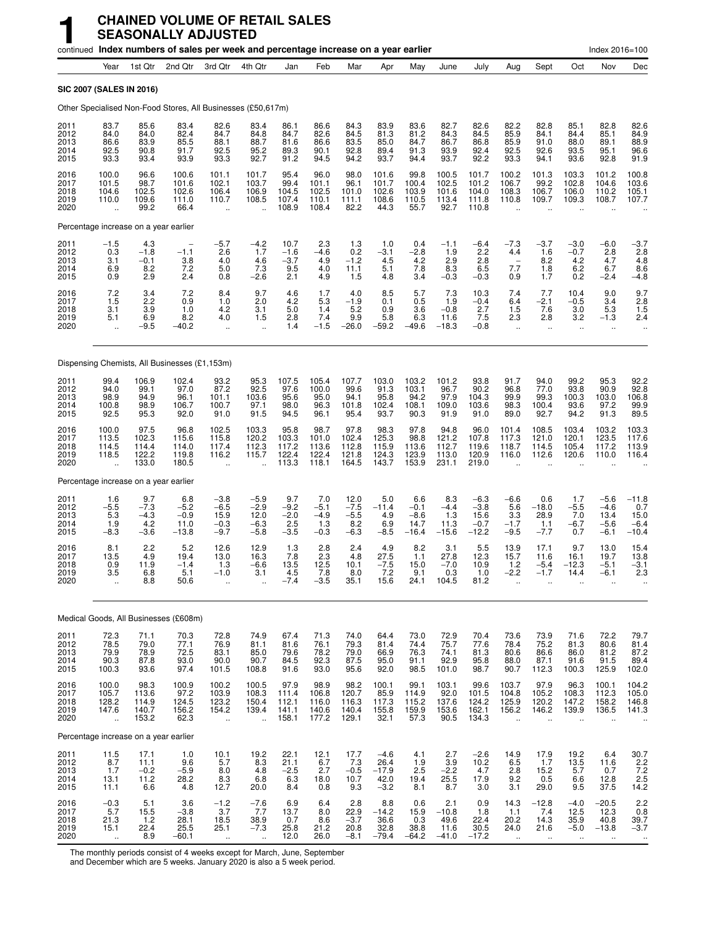|                                      |                                                          |                                          | continued Index numbers of sales per week and percentage increase on a year earlier |                                                       |                                                          |                                          |                                          |                                                      |                                             |                                            |                                           |                                               |                                                         |                                                         |                                                      | Index 2016=100                                             |                                                    |
|--------------------------------------|----------------------------------------------------------|------------------------------------------|-------------------------------------------------------------------------------------|-------------------------------------------------------|----------------------------------------------------------|------------------------------------------|------------------------------------------|------------------------------------------------------|---------------------------------------------|--------------------------------------------|-------------------------------------------|-----------------------------------------------|---------------------------------------------------------|---------------------------------------------------------|------------------------------------------------------|------------------------------------------------------------|----------------------------------------------------|
|                                      | Year                                                     | 1st Qtr                                  | 2nd Qtr                                                                             | 3rd Qtr                                               | 4th Qtr                                                  | Jan                                      | Feb                                      | Mar                                                  | Apr                                         | May                                        | June                                      | July                                          | Aug                                                     | Sept                                                    | Oct                                                  | Nov                                                        | Dec                                                |
| SIC 2007 (SALES IN 2016)             |                                                          |                                          |                                                                                     |                                                       |                                                          |                                          |                                          |                                                      |                                             |                                            |                                           |                                               |                                                         |                                                         |                                                      |                                                            |                                                    |
|                                      |                                                          |                                          | Other Specialised Non-Food Stores, All Businesses (£50,617m)                        |                                                       |                                                          |                                          |                                          |                                                      |                                             |                                            |                                           |                                               |                                                         |                                                         |                                                      |                                                            |                                                    |
| 2011<br>2012<br>2013<br>2014<br>2015 | 83.7<br>84.0<br>86.6<br>92.5<br>93.3                     | 85.6<br>84.0<br>83.9<br>90.8<br>93.4     | 83.4<br>82.4<br>85.5<br>91.7<br>93.9                                                | 82.6<br>84.7<br>88.1<br>92.5<br>93.3                  | 83.4<br>84.8<br>88.7<br>95.2<br>92.7                     | 86.1<br>84.7<br>81.6<br>89.3<br>91.2     | 86.6<br>82.6<br>86.6<br>90.1<br>94.5     | 84.3<br>84.5<br>83.5<br>92.8<br>94.2                 | 83.9<br>81.3<br>85.0<br>89.4<br>93.7        | 83.6<br>81.2<br>84.7<br>91.3<br>94.4       | 82.7<br>84.3<br>86.7<br>93.9<br>93.7      | 82.6<br>84.5<br>86.8<br>92.4<br>92.2          | 82.2<br>85.9<br>85.9<br>92.5<br>93.3                    | 82.8<br>84.1<br>91.0<br>92.6<br>94.1                    | 85.1<br>84.4<br>88.0<br>93.5<br>93.6                 | 82.8<br>85.1<br>89.1<br>95.1<br>92.8                       | 82.6<br>84.9<br>88.9<br>96.6<br>91.9               |
| 2016<br>2017<br>2018<br>2019<br>2020 | 100.0<br>101.5<br>104.6<br>110.0<br>$\ddot{\phantom{a}}$ | 96.6<br>98.7<br>102.5<br>109.6<br>99.2   | 100.6<br>101.6<br>102.6<br>111.0<br>66.4                                            | 101.1<br>102.1<br>106.4<br>110.7                      | 101.7<br>103.7<br>106.9<br>108.5<br>$\ddot{\phantom{a}}$ | 95.4<br>99.4<br>104.5<br>107.4<br>108.9  | 96.0<br>101.1<br>102.5<br>110.1<br>108.4 | 98.0<br>96.1<br>101.0<br>111.1<br>82.2               | 101.6<br>101.7<br>102.6<br>108.6<br>44.3    | 99.8<br>100.4<br>103.9<br>110.5<br>55.7    | 100.5<br>102.5<br>101.6<br>113.4<br>92.7  | 101.7<br>101.2<br>104.0<br>111.8<br>110.8     | 100.2<br>106.7<br>108.3<br>110.8                        | 101.3<br>99.2<br>106.7<br>109.7                         | 103.3<br>102.8<br>106.0<br>109.3                     | 101.2<br>104.6<br>110.2<br>108.7                           | 100.8<br>103.6<br>105.1<br>107.7                   |
|                                      |                                                          | Percentage increase on a year earlier    |                                                                                     |                                                       |                                                          |                                          |                                          |                                                      |                                             |                                            |                                           |                                               |                                                         |                                                         |                                                      |                                                            |                                                    |
| 2011<br>2012<br>2013<br>2014<br>2015 | $-1.5$<br>$0.\overline{3}$<br>3.1<br>6.9<br>0.9          | 4.3<br>$-1.8$<br>$-0.1$<br>8.2<br>2.9    | $-1.1$<br>3.8<br>7.2<br>2.4                                                         | $-5.7$<br>2.6<br>4.0<br>5.0<br>0.8                    | $-4.2$<br>1.7<br>4.6<br>7.3<br>$-2.6$                    | 10.7<br>$-1.6$<br>$-3.7$<br>9.5<br>2.1   | 2.3<br>$-4.6$<br>4.9<br>4.0<br>4.9       | 1.3<br>$0.\overline{2}$<br>$-1.2$<br>11.1<br>1.5     | 1.0<br>$-3.1$<br>4.5<br>5.1<br>4.8          | 0.4<br>$-2.8$<br>4.2<br>7.8<br>3.4         | $-1.1$<br>1.9<br>2.9<br>8.3<br>$-0.3$     | $-6.4$<br>2.2<br>2.8<br>6.5<br>$-0.3$         | $-7.3$<br>4.4<br>$\overline{\phantom{0}}$<br>7.7<br>0.9 | -3.7<br>1.6<br>8.2<br>$\frac{1.8}{1.7}$                 | $-3.0$<br>$-0.7$<br>4.2<br>6.2<br>0.2                | $-6.0$<br>2.8<br>4.7<br>6.7<br>$-2.4$                      | -3.7<br>2.8<br>4.8<br>$8.6 - 4.8$                  |
| 2016<br>2017<br>2018<br>2019<br>2020 | 7.2<br>1.5<br>3.1<br>5.1<br>÷.                           | 3.4<br>2.2<br>3.9<br>6.9<br>$-9.5$       | 7.2<br>0.9<br>1.0<br>8.2<br>$-40.2$                                                 | 8.4<br>1.0<br>4.2<br>4.0<br>$\ddotsc$                 | 9.7<br>2.0<br>3.1<br>1.5<br>$\ddot{\phantom{a}}$         | 4.6<br>4.2<br>5.0<br>2.8<br>1.4          | 1.7<br>5.3<br>1.4<br>7.4<br>$-1.5$       | 4.0<br>$-1.9$<br>5.2<br>9.9<br>$-26.0$               | 8.5<br>0.1<br>0.9<br>5.8<br>$-59.2$         | 5.7<br>0.5<br>3.6<br>6.3<br>$-49.6$        | 7.3<br>1.9<br>$-0.8$<br>11.6<br>$-18.3$   | 10.3<br>$-0.4$<br>2.7<br>7.5<br>$-0.8$        | 7.4<br>6.4<br>1.5<br>2.3<br>$\ddot{\phantom{a}}$        | 7.7<br>$-2.1$<br>7.6<br>2.8<br>$\ddot{\phantom{a}}$     | 10.4<br>$-0.5$<br>3.0<br>3.2<br>$\ddot{\phantom{a}}$ | 9.0<br>3.4<br>5.3<br>$-1.3$<br>$\ddotsc$                   | 9.7<br>2.8<br>1.5<br>2.4                           |
|                                      |                                                          |                                          | Dispensing Chemists, All Businesses (£1,153m)                                       |                                                       |                                                          |                                          |                                          |                                                      |                                             |                                            |                                           |                                               |                                                         |                                                         |                                                      |                                                            |                                                    |
| 2011<br>2012<br>2013<br>2014<br>2015 | 99.4<br>94.0<br>98.9<br>100.8<br>92.5                    | 106.9<br>99.1<br>94.9<br>98.9<br>95.3    | 102.4<br>97.0<br>96.1<br>106.7<br>92.0                                              | 93.2<br>87.2<br>101.1<br>100.7<br>91.0                | 95.3<br>92.5<br>103.6<br>97.1<br>91.5                    | 107.5<br>97.6<br>95.6<br>98.0<br>94.5    | 105.4<br>100.0<br>95.0<br>96.3<br>96.1   | 107.7<br>99.6<br>94.1<br>101.8<br>95.4               | 103.0<br>91.3<br>95.8<br>102.4<br>93.7      | 103.2<br>103.1<br>94.2<br>108.1<br>90.3    | 101.2<br>96.7<br>97.9<br>109.0<br>91.9    | 93.8<br>90.2<br>104.3<br>103.6<br>91.0        | 91.7<br>96.8<br>99.9<br>98.3<br>89.0                    | 94.0<br>77.0<br>99.3<br>100.4<br>92.7                   | 99.2<br>93.8<br>100.3<br>93.6<br>94.2                | 95.3<br>90.9<br>103.0<br>97.2<br>91.3                      | 92.2<br>92.8<br>106.8<br>99.9<br>89.5              |
| 2016<br>2017<br>2018<br>2019<br>2020 | 100.0<br>113.5<br>114.5<br>118.5<br>$\ddotsc$            | 97.5<br>102.3<br>114.4<br>122.2<br>133.0 | 96.8<br>115.6<br>114.0<br>119.8<br>180.5                                            | 102.5<br>115.8<br>117.4<br>116.2<br>$\ddotsc$         | 103.3<br>120.2<br>112.3<br>115.7<br>$\ddotsc$            | 95.8<br>103.3<br>117.2<br>122.4<br>113.3 | 98.7<br>101.0<br>113.6<br>122.4<br>118.1 | 97.8<br>102.4<br>112.8<br>121.8<br>164.5             | 98.3<br>125.3<br>115.9<br>124.3<br>143.7    | 97.8<br>98.8<br>113.6<br>123.9<br>153.9    | 94.8<br>121.2<br>112.7<br>113.0<br>231.1  | 96.0<br>107.8<br>119.6<br>120.9<br>219.0      | 101.4<br>117.3<br>118.7<br>116.0                        | 108.5<br>121.0<br>114.5<br>112.6                        | 103.4<br>120.1<br>105.4<br>120.6                     | 103.2<br>123.5<br>117.2<br>110.0                           | 103.3<br>117.6<br>113.9<br>116.4                   |
|                                      |                                                          | Percentage increase on a year earlier    |                                                                                     |                                                       |                                                          |                                          |                                          |                                                      |                                             |                                            |                                           |                                               |                                                         |                                                         |                                                      |                                                            |                                                    |
| 2011<br>2012<br>2013<br>2014<br>2015 | 1.6<br>$-5.5$<br>5.3<br>1.9<br>-8.3                      | 9.7<br>$-7.3$<br>$-4.3$<br>4.2<br>$-3.6$ | 6.8<br>$-5.2$<br>$-0.9$<br>11.0<br>$-13.8$                                          | $-3.8$<br>$-6.5$<br>15.9<br>$-0.3$<br>$-9.7$          | $-5.9$<br>$-2.9$<br>12.0<br>$-6.3$<br>$-5.8$             | 9.7<br>$-9.2$<br>$-2.0$<br>2.5<br>$-3.5$ | 7.0<br>$-5.1$<br>$-4.9$<br>1.3<br>$-0.3$ | 12.0<br>$-7.5$<br>$-5.\overline{5}$<br>8.2<br>$-6.3$ | 5.0<br>$-11.4$<br>4.9<br>6.9<br>$-8.5$      | 6.6<br>$-0.1$<br>$-8.6$<br>14.7<br>$-16.4$ | 8.3<br>$-4.4$<br>1.3<br>11.3<br>$-15.6$   | $-6.3$<br>$-3.8$<br>15.6<br>$-0.7$<br>$-12.2$ | $-6.6$<br>5.6<br>3.3<br>$-1.7$<br>$-9.5$                | 0.6<br>$-18.0$<br>28.9<br>1.1<br>$-7.7$                 | 1.7<br>$-5.5$<br>7.0<br>$-6.7$<br>0.7                | $-5.6$<br>$-4.6$<br>13.4<br>$-5.6$<br>$-6.1$               | $-11.8$<br>0.7<br>15.0<br>$-6.4$<br>$-10.4$        |
| 2016<br>2017<br>2018<br>2019<br>2020 | 8.1<br>13.5<br>0.9<br>3.5<br>$\ddot{\phantom{a}}$        | 2.2<br>4.9<br>11.9<br>6.8<br>8.8         | 5.2<br>19.4<br>$-1.4$<br>5.1<br>50.6                                                | 12.6<br>13.0<br>1.3<br>$-1.0$<br>$\ddotsc$            | 12.9<br>16.3<br>$-6.6$<br>3.1                            | 1.3<br>7.8<br>13.5<br>4.5<br>$-7.4$      | 2.8<br>2.3<br>12.5<br>7.8<br>$-3.5$      | 2.4<br>4.8<br>10.1<br>8.0<br>35.1                    | 4.9<br>27.5<br>$-7.5$<br>7.2<br>15.6        | 8.2<br>1.1<br>15.0<br>9.1<br>24.1          | 3.1<br>27.8<br>$-7.0$<br>0.3<br>104.5     | 5.5<br>12.3<br>10.9<br>1.0<br>81.2            | 13.9<br>15.7<br>1.2<br>$-2.2$                           | 17.1<br>11.6<br>$-5.4$<br>$-1.7$                        | 9.7<br>16.1<br>$-12.3$<br>14.4                       | 13.0<br>19.7<br>-5.1<br>-6.1<br>$\ddot{\phantom{a}}$       | 15.4<br>13.8<br>$-3.1$<br>2.3                      |
|                                      |                                                          |                                          | Medical Goods, All Businesses (£608m)                                               |                                                       |                                                          |                                          |                                          |                                                      |                                             |                                            |                                           |                                               |                                                         |                                                         |                                                      |                                                            |                                                    |
| 2011<br>2012<br>2013<br>2014<br>2015 | 72.3<br>78.5<br>79.9<br>90.3<br>100.3                    | 71.1<br>79.0<br>78.9<br>87.8<br>93.6     | 70.3<br>77.1<br>72.5<br>93.0<br>97.4                                                | 72.8<br>76.9<br>83.1<br>90.0<br>101.5                 | 74.9<br>81.1<br>85.0<br>90.7<br>108.8                    | 67.4<br>81.6<br>79.6<br>84.5<br>91.6     | 71.3<br>76.1<br>78.2<br>92.3<br>93.0     | 74.0<br>79.3<br>79.0<br>87.5<br>95.6                 | 64.4<br>81.4<br>66.9<br>95.0<br>92.0        | 73.0<br>74.4<br>76.3<br>91.1<br>98.5       | 72.9<br>75.7<br>74.1<br>92.9<br>101.0     | 70.4<br>77.6<br>81.3<br>95.8<br>98.7          | 73.6<br>78.4<br>80.6<br>88.0<br>90.7                    | 73.9<br>75.2<br>86.6<br>87.1<br>112.3                   | 71.6<br>81.3<br>86.0<br>91.6<br>100.3                | 72.2<br>80.6<br>81.2<br>91.5<br>125.9                      | 79.7<br>81.4<br>87.2<br>89.4<br>102.0              |
| 2016<br>2017<br>2018<br>2019<br>2020 | 100.0<br>105.7<br>128.2<br>147.6<br>$\ddotsc$            | 98.3<br>113.6<br>114.9<br>140.7<br>153.2 | 100.9<br>$97.2$<br>124.5<br>156.2<br>62.3                                           | 100.2<br>103.9<br>123.2<br>154.2<br>÷.                | 100.5<br>108.3<br>150.4<br>139.4<br>÷.                   | 97.9<br>111.4<br>112.1<br>141.1<br>158.1 | 98.9<br>106.8<br>116.0<br>140.6<br>177.2 | 98.2<br>120.7<br>116.3<br>140.4<br>129.1             | 100.1<br>85.9<br>117.3<br>155.8<br>32.1     | 99.1<br>114.9<br>115.2<br>159.9<br>57.3    | 103.1<br>92.0<br>137.6<br>153.6<br>90.5   | 99.6<br>101.5<br>124.2<br>162.1<br>134.3      | 103.7<br>104.8<br>125.9<br>156.2                        | 97.9<br>105.2<br>120.2<br>146.2<br>$\ddot{\phantom{a}}$ | 96.3<br>108.3<br>147.2<br>139.9                      | 100.1<br>112.3<br>158.2<br>136.5                           | 104.2<br>105.0<br>146.8<br>141.3<br>$\ddotsc$      |
|                                      |                                                          | Percentage increase on a year earlier    |                                                                                     |                                                       |                                                          |                                          |                                          |                                                      |                                             |                                            |                                           |                                               |                                                         |                                                         |                                                      |                                                            |                                                    |
| 2011<br>2012<br>2013<br>2014<br>2015 | 11.5<br>8.7<br>1.7<br>13.1<br>11.1                       | 17.1<br>11.1<br>$-0.2$<br>11.2<br>6.6    | 1.0<br>9.6<br>$-5.9$<br>28.2<br>4.8                                                 | 10.1<br>5.7<br>8.0<br>8.3<br>12.7                     | 19.2<br>8.3<br>4.8<br>$6.\overline{8}$<br>20.0           | 22.1<br>21.1<br>$-2.5$<br>6.3<br>8.4     | 12.1<br>6.7<br>2.7<br>18.0<br>0.8        | 17.7<br>7.3<br>$-0.5$<br>10.7<br>9.3                 | $-4.6$<br>26.4<br>$-17.9$<br>42.0<br>$-3.2$ | 4.1<br>1.9<br>2.5<br>19.4<br>8.1           | 2.7<br>3.9<br>$-2.2$<br>25.5<br>8.7       | $-2.6$<br>10.2<br>4.7<br>17.9<br>3.0          | 14.9<br>6.5<br>2.8<br>9.2<br>3.1                        | 17.9<br>1.7<br>15.2<br>0.5<br>29.0                      | 19.2<br>13.5<br>5.7<br>6.6<br>9.5                    | 6.4<br>11.6<br>0.7<br>12.8<br>37.5                         | 30.7<br>2.2<br>$7.2$<br>2.5<br>14.2                |
| 2016<br>2017<br>2018<br>2019<br>2020 | $-0.3$<br>5.7<br>21.3<br>15.1<br>$\bar{\mathbf{a}}$      | 5.1<br>15.5<br>1.2<br>22.4<br>8.9        | 3.6<br>$-3.8$<br>28.1<br>25.5<br>$-60.1$                                            | $-1.2$<br>3.7<br>18.5<br>25.1<br>$\ddot{\phantom{a}}$ | $-7.6$<br>7.7<br>38.9<br>$-7.3$<br>$\ddot{\phantom{a}}$  | 6.9<br>13.7<br>0.7<br>25.8<br>12.0       | 6.4<br>8.0<br>8.6<br>21.2<br>26.0        | 2.8<br>22.9<br>$-3.7$<br>20.8<br>$-8.1$              | 8.8<br>$-14.2$<br>36.6<br>32.8<br>$-79.4$   | 0.6<br>15.9<br>0.3<br>38.8<br>$-64.2$      | 2.1<br>$-10.8$<br>49.6<br>11.6<br>$-41.0$ | 0.9<br>1.8<br>22.4<br>30.5<br>$-17.2$         | 14.3<br>1.1<br>20.2<br>24.0<br>$\ddot{\phantom{a}}$     | $-12.8$<br>7.4<br>14.3<br>21.6<br>$\ddot{\phantom{1}}$  | $-4.0$<br>12.5<br>35.9<br>$-5.0$<br>$\ddotsc$        | $-20.5$<br>12.3<br>40.8<br>$-13.8$<br>$\ddot{\phantom{1}}$ | 2.2<br>0.8<br>$39.7 - 3.7$<br>$\ddot{\phantom{1}}$ |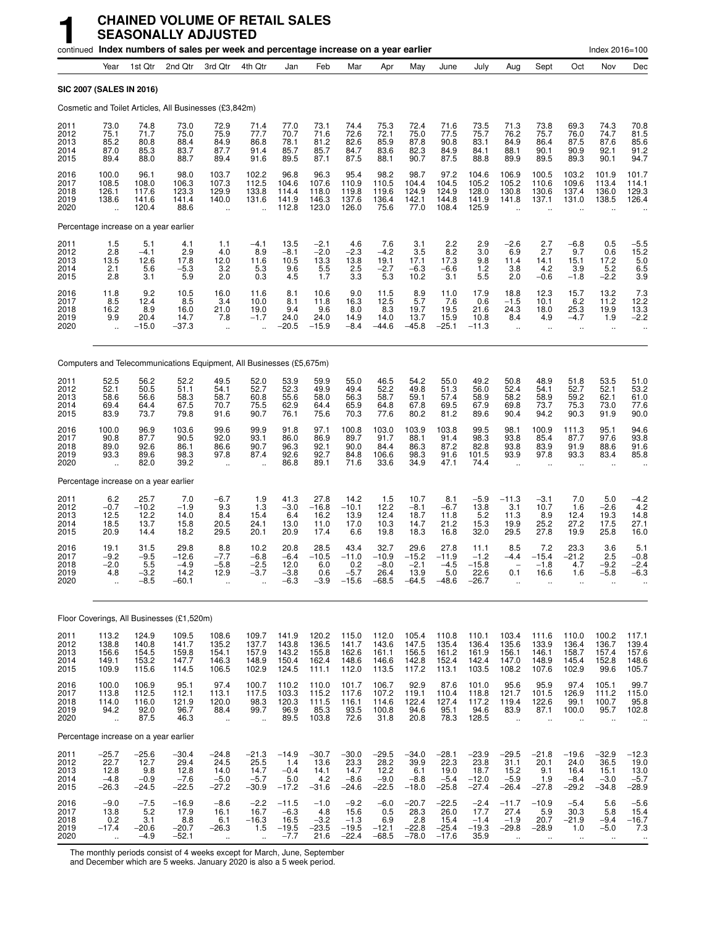|                                      |                                                          |                                             | continued Index numbers of sales per week and percentage increase on a year earlier |                                                        |                                              |                                                |                                               |                                                  |                                              |                                              |                                               |                                               |                                                              |                                                |                                                       | Index 2016=100                               |                                               |
|--------------------------------------|----------------------------------------------------------|---------------------------------------------|-------------------------------------------------------------------------------------|--------------------------------------------------------|----------------------------------------------|------------------------------------------------|-----------------------------------------------|--------------------------------------------------|----------------------------------------------|----------------------------------------------|-----------------------------------------------|-----------------------------------------------|--------------------------------------------------------------|------------------------------------------------|-------------------------------------------------------|----------------------------------------------|-----------------------------------------------|
|                                      | Year                                                     | 1st Qtr                                     | 2nd Qtr                                                                             | 3rd Qtr                                                | 4th Qtr                                      | Jan                                            | Feb                                           | Mar                                              | Apr                                          | May                                          | June                                          | July                                          | Aug                                                          | Sept                                           | Oct                                                   | Nov                                          | Dec                                           |
| SIC 2007 (SALES IN 2016)             |                                                          |                                             |                                                                                     |                                                        |                                              |                                                |                                               |                                                  |                                              |                                              |                                               |                                               |                                                              |                                                |                                                       |                                              |                                               |
|                                      |                                                          |                                             | Cosmetic and Toilet Articles, All Businesses (£3,842m)                              |                                                        |                                              |                                                |                                               |                                                  |                                              |                                              |                                               |                                               |                                                              |                                                |                                                       |                                              |                                               |
| 2011<br>2012<br>2013<br>2014<br>2015 | 73.0<br>75.1<br>85.2<br>87.0<br>89.4                     | 74.8<br>71.7<br>80.8<br>85.3<br>88.0        | 73.0<br>75.0<br>88.4<br>83.7<br>88.7                                                | 72.9<br>75.9<br>84.9<br>87.7<br>89.4                   | 71.4<br>77.7<br>86.8<br>91.4<br>91.6         | 77.0<br>70.7<br>78.1<br>85.7<br>89.5           | 73.1<br>71.6<br>81.2<br>85.7<br>87.1          | 74.4<br>72.6<br>82.6<br>84.7<br>87.5             | 75.3<br>72.1<br>85.9<br>83.6<br>88.1         | 72.4<br>75.0<br>87.8<br>82.3<br>90.7         | 71.6<br>77.5<br>90.8<br>84.9<br>87.5          | 73.5<br>75.7<br>83.1<br>84.1<br>88.8          | 71.3<br>76.2<br>84.9<br>88.1<br>89.9                         | 73.8<br>75.7<br>86.4<br>90.1<br>89.5           | 69.3<br>76.0<br>87.5<br>90.9<br>89.3                  | 74.3<br>74.7<br>87.6<br>92.1<br>90.1         | 70.8<br>81.5<br>$85.6$<br>$91.2$<br>94.7      |
| 2016<br>2017<br>2018<br>2019<br>2020 | 100.0<br>108.5<br>126.1<br>138.6<br>$\ddot{\phantom{a}}$ | 96.1<br>108.0<br>117.6<br>141.6<br>120.4    | 98.0<br>106.3<br>123.3<br>141.4<br>88.6                                             | 103.7<br>107.3<br>129.9<br>140.0<br>ä,                 | 102.2<br>112.5<br>133.8<br>131.6<br>÷.       | 96.8<br>104.6<br>114.4<br>141.9<br>112.8       | 96.3<br>107.6<br>118.0<br>146.3<br>123.0      | 95.4<br>110.9<br>119.8<br>137.6<br>126.0         | 98.2<br>110.5<br>119.6<br>136.4<br>75.6      | 98.7<br>104.4<br>124.9<br>142.1<br>77.0      | 97.2<br>104.5<br>124.9<br>144.8<br>108.4      | 104.6<br>105.2<br>128.0<br>141.9<br>125.9     | 106.9<br>105.2<br>130.8<br>141.8                             | 100.5<br>110.6<br>130.6<br>137.1               | 103.2<br>109.6<br>137.4<br>131.0                      | 101.9<br>113.4<br>136.0<br>138.5             | 101.7<br>114.1<br>129.3<br>126.4              |
|                                      |                                                          | Percentage increase on a year earlier       |                                                                                     |                                                        |                                              |                                                |                                               |                                                  |                                              |                                              |                                               |                                               |                                                              |                                                |                                                       |                                              |                                               |
| 2011<br>2012<br>2013<br>2014<br>2015 | 1.5<br>$2.\overline{8}$<br>13.5<br>2.1<br>2.8            | 5.1<br>$-4.1$<br>$12.6$<br>5.6<br>3.1       | 4.1<br>2.9<br>17.8<br>$-5.3$<br>5.9                                                 | 1.1<br>4.0<br>12.0<br>3.2<br>2.0                       | $-4.1$<br>8.9<br>11.6<br>5.3<br>0.3          | 13.5<br>$-8.1$<br>10.5<br>9.6<br>4.5           | $-2.1$<br>$-2.0$<br>13.3<br>$\frac{5.5}{1.7}$ | 4.6<br>$-2.3$<br>13.8<br>2.5<br>$3.\overline{3}$ | 7.6<br>$-4.2$<br>19.1<br>$-2.7$<br>5.3       | 3.1<br>3.5<br>17.1<br>$-6.3$<br>10.2         | 2.2<br>8.2<br>17.3<br>$-6.6$<br>3.1           | 2.9<br>3.0<br>9.8<br>1.2<br>5.5               | $-2.6$<br>6.9<br>11.4<br>3.8<br>2.0                          | 2.7<br>2.7<br>14.1<br>4.2<br>$-0.6$            | $-6.8$<br>9.7<br>15.1<br>3.9<br>$-1.8$                | 0.5<br>0.6<br>17.2<br>5.2<br>$-2.2$          | $-5.5$<br>15.2<br>5.0<br>6.5<br>3.9           |
| 2016<br>2017<br>2018<br>2019<br>2020 | 11.8<br>8.5<br>16.2<br>9.9<br>$\ddot{\phantom{a}}$       | 9.2<br>12.4<br>8.9<br>20.4<br>$-15.0$       | 10.5<br>8.5<br>16.0<br>14.7<br>$-37.3$                                              | 16.0<br>3.4<br>21.0<br>7.8<br>$\ddotsc$                | 11.6<br>10.0<br>19.0<br>$-1.7$               | 8.1<br>8.1<br>9.4<br>24.0<br>$-20.5$           | 10.6<br>11.8<br>9.6<br>24.0<br>$-15.9$        | 9.0<br>16.3<br>8.0<br>14.9<br>$-8.4$             | 11.5<br>12.5<br>8.3<br>14.0<br>$-44.6$       | 8.9<br>5.7<br>19.7<br>13.7<br>$-45.8$        | 11.0<br>7.6<br>19.5<br>15.9<br>$-25.1$        | 17.9<br>0.6<br>21.6<br>10.8<br>$-11.3$        | 18.8<br>$-1.5$<br>24.3<br>8.4<br>$\ddot{\phantom{a}}$        | 12.3<br>10.1<br>18.0<br>4.9<br>$\ddotsc$       | 15.7<br>6.2<br>25.3<br>$-4.7$<br>$\ddot{\phantom{a}}$ | 13.2<br>11.2<br>19.9<br>1.9<br>$\ddotsc$     | $7.3$<br>12.2<br>13.3<br>$-2.2$               |
|                                      |                                                          |                                             | Computers and Telecommunications Equipment, All Businesses (£5,675m)                |                                                        |                                              |                                                |                                               |                                                  |                                              |                                              |                                               |                                               |                                                              |                                                |                                                       |                                              |                                               |
| 2011<br>2012<br>2013<br>2014<br>2015 | 52.5<br>52.1<br>58.6<br>69.4<br>83.9                     | 56.2<br>50.5<br>56.6<br>64.4<br>73.7        | 52.2<br>51.1<br>58.3<br>67.5<br>79.8                                                | 49.5<br>54.1<br>58.7<br>70.7<br>91.6                   | 52.0<br>52.7<br>60.8<br>75.5<br>90.7         | 53.9<br>52.3<br>55.6<br>62.9<br>76.1           | 59.9<br>49.9<br>58.0<br>64.4<br>75.6          | 55.0<br>49.4<br>56.3<br>65.9<br>70.3             | 46.5<br>52.2<br>58.7<br>64.8<br>77.6         | 54.2<br>49.8<br>59.1<br>67.8<br>80.2         | 55.0<br>51.3<br>57.4<br>69.5<br>81.2          | 49.2<br>56.0<br>58.9<br>67.9<br>89.6          | 50.8<br>52.4<br>58.2<br>69.8<br>90.4                         | 48.9<br>54.1<br>58.9<br>73.7<br>94.2           | 51.8<br>52.7<br>59.2<br>75.3<br>90.3                  | 53.5<br>52.1<br>62.1<br>73.0<br>91.9         | 51.0<br>53.2<br>61.0<br>77.6<br>90.0          |
| 2016<br>2017<br>2018<br>2019<br>2020 | 100.0<br>90.8<br>89.0<br>93.3<br>$\ddot{\phantom{1}}$    | 96.9<br>87.7<br>92.6<br>89.6<br>82.0        | 103.6<br>90.5<br>86.1<br>98.3<br>39.2                                               | 99.6<br>92.0<br>86.6<br>97.8<br>$\ddotsc$              | 99.9<br>93.1<br>90.7<br>87.4                 | 91.8<br>86.0<br>96.3<br>92.6<br>86.8           | 97.1<br>86.9<br>92.1<br>92.7<br>89.1          | 100.8<br>89.7<br>90.0<br>84.8<br>71.6            | 103.0<br>91.7<br>84.4<br>106.6<br>33.6       | 103.9<br>88.1<br>86.3<br>98.3<br>34.9        | 103.8<br>91.4<br>87.2<br>91.6<br>47.1         | 99.5<br>98.3<br>82.8<br>101.5<br>74.4         | 98.1<br>93.8<br>93.8<br>93.9<br>$\mathbf{r}$                 | 100.9<br>85.4<br>83.9<br>97.8                  | 111.3<br>87.7<br>91.9<br>93.3                         | 95.1<br>97.6<br>88.6<br>83.4                 | 94.6<br>93.8<br>91.6<br>85.8                  |
|                                      |                                                          | Percentage increase on a year earlier       |                                                                                     |                                                        |                                              |                                                |                                               |                                                  |                                              |                                              |                                               |                                               |                                                              |                                                |                                                       |                                              |                                               |
| 2011<br>2012<br>2013<br>2014<br>2015 | 6.2<br>$-0.7$<br>12.5<br>18.5<br>20.9                    | 25.7<br>$-10.2$<br>12.2<br>13.7<br>14.4     | 7.0<br>$-1.9$<br>14.0<br>15.8<br>18.2                                               | $-6.7$<br>9.3<br>8.4<br>20.5<br>29.5                   | 1.9<br>1.3<br>15.4<br>24.1<br>20.1           | 41.3<br>$-3.0$<br>6.4<br>13.0<br>20.9          | 27.8<br>$-16.8$<br>16.2<br>11.0<br>17.4       | 14.2<br>$-10.1$<br>13.9<br>17.0<br>6.6           | 1.5<br>12.2<br>12.4<br>10.3<br>19.8          | 10.7<br>$-8.1$<br>18.7<br>14.7<br>18.3       | 8.1<br>$-6.7$<br>11.8<br>21.2<br>16.8         | $-5.9$<br>13.8<br>5.2<br>15.3<br>32.0         | $-11.3$<br>3.1<br>11.3<br>19.9<br>29.5                       | $-3.1$<br>10.7<br>8.9<br>25.2<br>27.8          | 7.0<br>1.6<br>12.4<br>27.2<br>19.9                    | 5.0<br>$-2.6$<br>19.3<br>17.5<br>25.8        | $-4.2$<br>4.2<br>14.8<br>27.1<br>16.0         |
| 2016<br>2017<br>2018<br>2019<br>2020 | 19.1<br>$-9.2$<br>$-2.0$<br>4.8                          | 31.5<br>$-9.5$<br>5.5<br>$-3.2$<br>$-8.5$   | 29.8<br>$-12.6$<br>$-4.9$<br>14.2<br>$-60.1$                                        | 8.8<br>$-7.7$<br>$-5.8$<br>12.9<br>÷.                  | 10.2<br>$-6.8$<br>$-2.5$<br>$-3.7$           | 20.8<br>$-6.4$<br>12.0<br>$-3.8$<br>$-6.3$     | 28.5<br>$-10.5$<br>6.0<br>0.6<br>$-3.9$       | 43.4<br>$-11.0$<br>0.2<br>$-5.7$<br>$-15.6$      | 32.7<br>$-10.9$<br>$-8.0$<br>26.4<br>$-68.5$ | 29.6<br>$-15.2$<br>$-2.1$<br>13.9<br>$-64.5$ | 27.8<br>$-11.9$<br>$-4.5$<br>5.0<br>$-48.6$   | 11.1<br>$-1.2$<br>$-15.8$<br>22.6<br>$-26.7$  | 8.5<br>$-4.4$<br>0.1<br>ä.                                   | 7.2<br>$-15.4$<br>$-1.8$<br>16.6               | 23.3<br>$-21.2$<br>4.7<br>1.6<br>$\ddotsc$            | 3.6<br>2.5<br>$-9.2$<br>$-5.8$               | 5.1<br>$-0.8$<br>$-2.4$<br>$-6.3$             |
|                                      |                                                          |                                             | Floor Coverings, All Businesses (£1,520m)                                           |                                                        |                                              |                                                |                                               |                                                  |                                              |                                              |                                               |                                               |                                                              |                                                |                                                       |                                              |                                               |
| 2011<br>2012<br>2013<br>2014<br>2015 | 113.2<br>138.8<br>156.6<br>149.1<br>109.9                | 124.9<br>140.8<br>154.5<br>153.2<br>115.6   | 109.5<br>141.7<br>159.8<br>147.7<br>114.5                                           | 108.6<br>135.2<br>154.1<br>146.3<br>106.5              | 109.7<br>137.7<br>157.9<br>148.9<br>102.9    | 141.9<br>143.8<br>143.2<br>150.4<br>124.5      | 120.2<br>136.5<br>155.8<br>162.4<br>111.1     | 115.0<br>141.7<br>162.6<br>148.6<br>112.0        | 112.0<br>143.6<br>161.1<br>146.6<br>113.5    | 105.4<br>147.5<br>156.5<br>142.8<br>117.2    | 110.8<br>135.4<br>161.2<br>152.4<br>113.1     | 110.1<br>136.4<br>161.9<br>142.4<br>103.5     | 103.4<br>135.6<br>156.1<br>147.0<br>108.2                    | 111.6<br>133.9<br>146.1<br>148.9<br>107.6      | 110.0<br>136.4<br>158.7<br>145.4<br>102.9             | 100.2<br>136.7<br>157.4<br>152.8<br>99.6     | 117.1<br>139.4<br>157.6<br>148.6<br>105.7     |
| 2016<br>2017<br>2018<br>2019<br>2020 | 100.0<br>113.8<br>114.0<br>94.2<br>$\ddot{\phantom{a}}$  | 106.9<br>112.5<br>116.0<br>92.0<br>87.5     | 95.1<br>112.1<br>121.9<br>96.7<br>46.3                                              | 97.4<br>113.1<br>120.0<br>88.4<br>$\ddot{\phantom{a}}$ | 100.7<br>117.5<br>98.3<br>99.7               | 110.2<br>103.3<br>120.3<br>96.9<br>89.5        | 110.0<br>115.2<br>111.5<br>85.3<br>103.8      | 101.7<br>117.6<br>116.1<br>93.5<br>72.6          | 106.7<br>107.2<br>114.6<br>100.8<br>31.8     | 92.9<br>119.1<br>122.4<br>94.6<br>20.8       | 87.6<br>110.4<br>127.4<br>95.1<br>78.3        | 101.0<br>118.8<br>117.2<br>94.6<br>128.5      | 95.6<br>121.7<br>119.4<br>83.9<br>$\ddot{\phantom{a}}$       | 95.9<br>101.5<br>122.6<br>87.1<br>$\ddotsc$    | 97.4<br>126.9<br>99.1<br>100.0                        | 105.1<br>111.2<br>100.7<br>95.7              | 99.7<br>115.0<br>95.8<br>102.8                |
|                                      |                                                          | Percentage increase on a year earlier       |                                                                                     |                                                        |                                              |                                                |                                               |                                                  |                                              |                                              |                                               |                                               |                                                              |                                                |                                                       |                                              |                                               |
| 2011<br>2012<br>2013<br>2014<br>2015 | $-25.7$<br>22.7<br>12.8<br>$-4.8$<br>$-26.3$             | $-25.6$<br>12.7<br>9.8<br>$-0.9$<br>$-24.5$ | $-30.4$<br>29.4<br>12.8<br>$-7.6$<br>$-22.5$                                        | $-24.8$<br>24.5<br>14.0<br>$-5.0$<br>$-27.2$           | $-21.3$<br>25.5<br>14.7<br>$-5.7$<br>$-30.9$ | $-14.9$<br>1.4<br>$-0.4$<br>5.0<br>$-17.2$     | $-30.7$<br>13.6<br>14.1<br>4.2<br>$-31.6$     | $-30.0$<br>23.3<br>14.7<br>$-8.6$<br>$-24.6$     | $-29.5$<br>28.2<br>12.2<br>$-9.0$<br>$-22.5$ | $-34.0$<br>39.9<br>6.1<br>$-8.8$<br>$-18.0$  | $-28.1$<br>22.3<br>19.0<br>$-5.4$<br>$-25.8$  | $-23.9$<br>23.8<br>18.7<br>$-12.0$<br>$-27.4$ | $-29.5$<br>31.1<br>15.2<br>$-5.9$<br>$-26.4$                 | $-21.8$<br>20.1<br>9.1<br>1.9<br>$-27.8$       | $-19.6$<br>24.0<br>16.4<br>$-8.4$<br>$-29.2$          | $-32.9$<br>36.5<br>15.1<br>$-3.0$<br>$-34.8$ | –12.3<br>19.0<br>13.0<br>$-5.7$<br>$-28.9$    |
| 2016<br>2017<br>2018<br>2019<br>2020 | $-9.0$<br>13.8<br>0.2<br>$-17.4$<br>à.                   | $-7.5$<br>5.2<br>3.1<br>$-20.6$<br>$-4.9$   | $-16.9$<br>17.9<br>8.8<br>$-20.7$<br>$-52.1$                                        | $-8.6$<br>16.1<br>6.1<br>$-26.3$<br>$\ddotsc$          | $-2.2$<br>16.7<br>$-16.3$<br>1.5<br>÷.       | $-11.5$<br>$-6.3$<br>16.5<br>$-19.5$<br>$-7.7$ | $-1.0$<br>4.8<br>$-3.2$<br>$-23.5$<br>21.6    | $-9.2$<br>15.6<br>$-1.3$<br>$-19.5$<br>$-22.4$   | $-6.0$<br>0.5<br>6.9<br>$-12.1$<br>$-68.5$   | $-20.7$<br>28.3<br>2.8<br>$-22.8$<br>$-78.0$ | $-22.5$<br>26.0<br>15.4<br>$-25.4$<br>$-17.6$ | $-2.4$<br>17.7<br>$-1.4$<br>$-19.3$<br>35.9   | $-11.7$<br>27.4<br>$-1.9$<br>$-29.8$<br>$\ddot{\phantom{a}}$ | $-10.9$<br>5.9<br>20.7<br>$-28.9$<br>$\ddotsc$ | $-5.4$<br>30.3<br>$-21.9$<br>1.0<br>$\sim$            | 5.6<br>5.8<br>$-9.4$<br>$-5.0$<br>$\sim$     | $-5.6$<br>15.4<br>$-16.7$<br>7.3<br>$\ddotsc$ |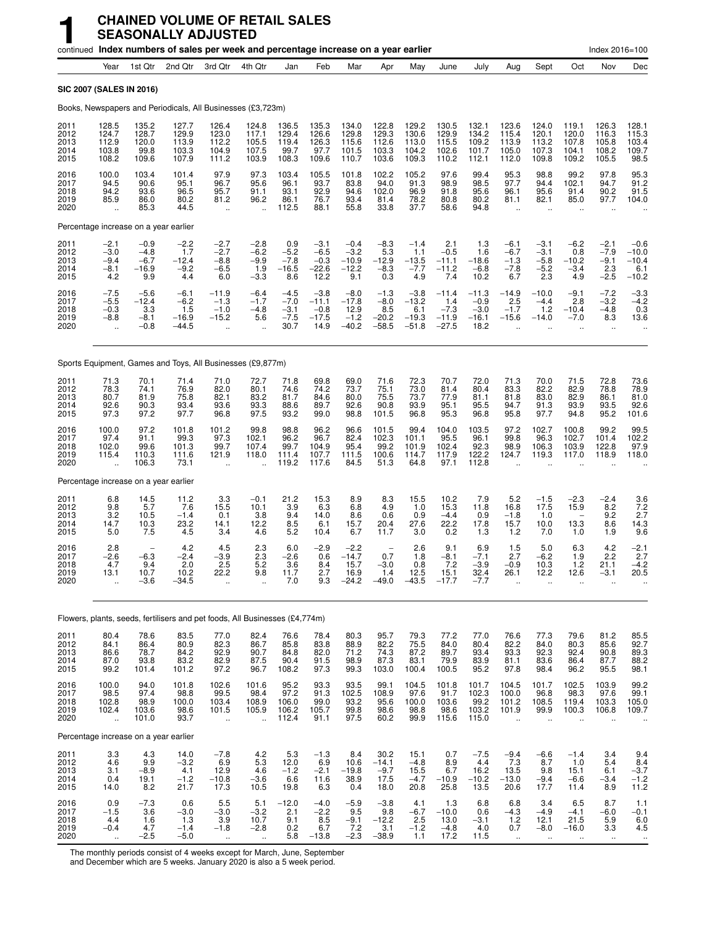|                                      |                                                         |                                              | continued Index numbers of sales per week and percentage increase on a year earlier |                                                              |                                                         |                                              |                                                |                                                |                                                             |                                                |                                                |                                                     |                                                 |                                              |                                                            | Index 2016=100                                 |                                                       |
|--------------------------------------|---------------------------------------------------------|----------------------------------------------|-------------------------------------------------------------------------------------|--------------------------------------------------------------|---------------------------------------------------------|----------------------------------------------|------------------------------------------------|------------------------------------------------|-------------------------------------------------------------|------------------------------------------------|------------------------------------------------|-----------------------------------------------------|-------------------------------------------------|----------------------------------------------|------------------------------------------------------------|------------------------------------------------|-------------------------------------------------------|
|                                      | Year                                                    | 1st Qtr                                      | 2nd Qtr                                                                             | 3rd Qtr                                                      | 4th Qtr                                                 | Jan                                          | Feb                                            | Mar                                            | Apr                                                         | May                                            | June                                           | July                                                | Aug                                             | Sept                                         | Oct                                                        | Nov                                            | Dec                                                   |
| <b>SIC 2007 (SALES IN 2016)</b>      |                                                         |                                              |                                                                                     |                                                              |                                                         |                                              |                                                |                                                |                                                             |                                                |                                                |                                                     |                                                 |                                              |                                                            |                                                |                                                       |
|                                      |                                                         |                                              | Books, Newspapers and Periodicals, All Businesses (£3,723m)                         |                                                              |                                                         |                                              |                                                |                                                |                                                             |                                                |                                                |                                                     |                                                 |                                              |                                                            |                                                |                                                       |
| 2011<br>2012<br>2013<br>2014<br>2015 | 128.5<br>124.7<br>112.9<br>103.8<br>108.2               | 135.2<br>128.7<br>120.0<br>99.8<br>109.6     | 127.7<br>129.9<br>113.9<br>103.3<br>107.9                                           | 126.4<br>123.0<br>112.2<br>104.9<br>111.2                    | 124.8<br>117.1<br>105.5<br>107.5<br>103.9               | 136.5<br>129.4<br>119.4<br>99.7<br>108.3     | 135.3<br>126.6<br>126.3<br>97.7<br>109.6       | 134.0<br>129.8<br>115.6<br>101.5<br>110.7      | 122.8<br>129.3<br>112.6<br>103.3<br>103.6                   | 129.2<br>130.6<br>113.0<br>104.2<br>109.3      | 130.5<br>129.9<br>115.5<br>102.6<br>110.2      | 132.1<br>134.2<br>109.2<br>101.7<br>112.1           | 123.6<br>115.4<br>113.9<br>105.0<br>112.0       | 124.0<br>120.1<br>113.2<br>107.3<br>109.8    | 119.1<br>120.0<br>107.8<br>104.1<br>109.2                  | 126.3<br>116.3<br>105.8<br>108.2<br>105.5      | 128.1<br>115.3<br>103.4<br>109.7<br>98.5              |
| 2016<br>2017<br>2018<br>2019<br>2020 | 100.0<br>94.5<br>94.2<br>85.9<br>$\ddot{\phantom{a}}$   | 103.4<br>90.6<br>93.6<br>86.0<br>85.3        | 101.4<br>95.1<br>96.5<br>80.2<br>44.5                                               | 97.9<br>96.7<br>95.7<br>81.2<br>$\ddot{\phantom{a}}$         | 97.3<br>95.6<br>91.1<br>96.2<br>$\ddot{\phantom{1}}$    | 103.4<br>96.1<br>93.1<br>86.1<br>112.5       | 105.5<br>93.7<br>92.9<br>76.7<br>88.1          | 101.8<br>83.8<br>94.6<br>93.4<br>55.8          | 102.2<br>94.0<br>102.0<br>81.4<br>33.8                      | 105.2<br>91.3<br>96.9<br>78.2<br>37.7          | 97.6<br>98.9<br>91.8<br>80.8<br>58.6           | 99.4<br>98.5<br>95.6<br>80.2<br>94.8                | 95.3<br>97.7<br>96.1<br>81.1                    | 98.8<br>94.4<br>95.6<br>82.1                 | 99.2<br>102.1<br>91.4<br>85.0                              | 97.8<br>94.7<br>90.2<br>97.7                   | 95.3<br>91.2<br>91.5<br>104.0                         |
|                                      |                                                         | Percentage increase on a year earlier        |                                                                                     |                                                              |                                                         |                                              |                                                |                                                |                                                             |                                                |                                                |                                                     |                                                 |                                              |                                                            |                                                |                                                       |
| 2011<br>2012<br>2013<br>2014<br>2015 | $-2.1$<br>$-3.0$<br>$-9.4$<br>$-8.1$<br>4.2             | $-0.9$<br>$-4.8$<br>$-6.7$<br>$-16.9$<br>9.9 | $-2.2$<br>1.7<br>$-12.4$<br>$-9.2$<br>4.4                                           | $-2.7$<br>$-2.7$<br>$-8.8$<br>$-6.5$<br>6.0                  | $-2.8$<br>$-6.2$<br>$-9.9$<br>1.9<br>$-3.3$             | 0.9<br>$-5.2$<br>$-7.8$<br>$-16.5$<br>8.6    | $-3.1$<br>$-6.5$<br>$-0.3$<br>$-22.6$<br>12.2  | $-0.4$<br>$-3.2$<br>$-10.9$<br>$-12.2$<br>9.1  | $-8.3$<br>5.3<br>$-12.9$<br>$-8.3$<br>0.3                   | $-1.4$<br>1.1<br>$-13.5$<br>$-7.7$<br>4.9      | 2.1<br>$-0.5$<br>$-11.1$<br>$-11.2$<br>7.4     | 1.3<br>1.6<br>$-18.6$<br>$-6.8$<br>10.2             | $-6.1$<br>$-6.7$<br>$-1.3$<br>$-7.8$<br>6.7     | $-3.1$<br>$-3.1$<br>$-5.8$<br>$-5.2$<br>2.3  | $-6.2$<br>0.8<br>$-10.2$<br>$-3.4$<br>4.9                  | $-2.1$<br>$-7.9$<br>$-9.1$<br>2.3<br>$-2.5$    | $-0.6$<br>$-10.0$<br>$-10.4$<br>6.1<br>$-10.2$        |
| 2016<br>2017<br>2018<br>2019<br>2020 | $-7.5$<br>$-5.5$<br>$-0.3$<br>$-8.8$<br>ă,              | $-5.6$<br>$-12.4$<br>3.3<br>$-8.1$<br>$-0.8$ | $-6.1$<br>$-6.2$<br>1.5<br>$-16.9$<br>$-44.5$                                       | -11.9<br>$-1.3$<br>$-1.0$<br>$-15.2$<br>$\ddot{\phantom{a}}$ | $-6.4$<br>$-1.7$<br>$-4.8$<br>5.6                       | $-4.5$<br>$-7.0$<br>$-3.1$<br>$-7.5$<br>30.7 | $-3.8$<br>$-11.1$<br>$-0.8$<br>$-17.5$<br>14.9 | $-8.0$<br>$-17.8$<br>12.9<br>$-1.2$<br>$-40.2$ | $-1.3$<br>$-8.0$<br>8.5<br>$-20.2$<br>$-58.5$               | $-3.8$<br>$-13.2$<br>6.1<br>$-19.3$<br>$-51.8$ | $-11.4$<br>1.4<br>$-7.3$<br>$-11.9$<br>$-27.5$ | $-11.3$<br>$-0.9$<br>$-3.0$<br>$-16.1$<br>18.2      | $-14.9$<br>2.5<br>$-1.7$<br>$-15.6$             | $-10.0$<br>$-4.4$<br>1.2<br>$-14.0$          | $-9.1$<br>2.8<br>$-10.4$<br>$-7.0$<br>$\ddot{\phantom{a}}$ | $-7.2$<br>$-3.2$<br>$-4.8$<br>8.3<br>$\ddotsc$ | $-3.3$<br>$-4.2$<br>0.3<br>13.6                       |
|                                      |                                                         |                                              | Sports Equipment, Games and Toys, All Businesses (£9,877m)                          |                                                              |                                                         |                                              |                                                |                                                |                                                             |                                                |                                                |                                                     |                                                 |                                              |                                                            |                                                |                                                       |
| 2011<br>2012<br>2013<br>2014<br>2015 | 71.3<br>78.3<br>80.7<br>92.6<br>97.3                    | 70.1<br>74.1<br>81.9<br>90.3<br>97.2         | 71.4<br>76.9<br>75.8<br>93.4<br>97.7                                                | 71.0<br>82.0<br>82.1<br>93.6<br>96.8                         | 72.7<br>80.1<br>83.2<br>93.3<br>97.5                    | 71.8<br>74.6<br>81.7<br>88.6<br>93.2         | 69.8<br>74.2<br>84.6<br>89.7<br>99.0           | 69.0<br>73.7<br>80.0<br>92.6<br>98.8           | 71.6<br>75.1<br>75.5<br>90.8<br>101.5                       | 72.3<br>73.0<br>73.7<br>93.9<br>96.8           | 70.7<br>81.4<br>77.9<br>95.1<br>95.3           | 72.0<br>80.4<br>81.1<br>95.5<br>96.8                | 71.3<br>83.3<br>81.8<br>94.7<br>95.8            | 70.0<br>82.2<br>83.0<br>91.3<br>97.7         | 71.5<br>82.9<br>82.9<br>93.9<br>94.8                       | 72.8<br>78.8<br>86.1<br>93.5<br>95.2           | 73.6<br>78.9<br>81.0<br>92.6<br>101.6                 |
| 2016<br>2017<br>2018<br>2019<br>2020 | 100.0<br>97.4<br>102.0<br>115.4<br>$\ddotsc$            | 97.2<br>91.1<br>99.6<br>110.3<br>106.3       | 101.8<br>99.3<br>101.3<br>111.6<br>73.1                                             | 101.2<br>97.3<br>99.7<br>121.9<br>$\ddotsc$                  | 99.8<br>102.1<br>107.4<br>118.0<br>$\ddot{\phantom{a}}$ | 98.8<br>96.2<br>99.7<br>111.4<br>119.2       | 96.2<br>96.7<br>104.9<br>107.7<br>117.6        | 96.6<br>82.4<br>95.4<br>111.5<br>84.5          | 101.5<br>102.3<br>99.2<br>100.6<br>51.3                     | 99.4<br>101.1<br>101.9<br>114.7<br>64.8        | 104.0<br>95.5<br>102.4<br>117.9<br>97.1        | 103.5<br>96.1<br>92.3<br>122.2<br>112.8             | 97.2<br>99.8<br>98.9<br>124.7                   | 102.7<br>96.3<br>106.3<br>119.3              | 100.8<br>102.7<br>103.9<br>117.0                           | 99.2<br>101.4<br>122.8<br>118.9                | 99.5<br>102.2<br>97.9<br>118.0                        |
|                                      |                                                         | Percentage increase on a year earlier        |                                                                                     |                                                              |                                                         |                                              |                                                |                                                |                                                             |                                                |                                                |                                                     |                                                 |                                              |                                                            |                                                |                                                       |
| 2011<br>2012<br>2013<br>2014<br>2015 | 6.8<br>9.8<br>3.2<br>14.7<br>5.0                        | 14.5<br>5.7<br>10.5<br>10.3<br>7.5           | 11.2<br>7.6<br>$-1.4$<br>23.2<br>4.5                                                | 3.3<br>15.5<br>0.1<br>14.1<br>3.4                            | $-0.1$<br>10.1<br>3.8<br>12.2<br>4.6                    | 21.2<br>3.9<br>9.4<br>8.5<br>5.2             | 15.3<br>6.3<br>14.0<br>6.1<br>10.4             | 8.9<br>6.8<br>8.6<br>15.7<br>6.7               | 8.3<br>4.9<br>0.6<br>20.4<br>11.7                           | 15.5<br>1.0<br>0.9<br>27.6<br>3.0              | 10.2<br>15.3<br>$-4.4$<br>22.2<br>0.2          | 7.9<br>11.8<br>0.9<br>17.8<br>1.3                   | 5.2<br>16.8<br>$-1.8$<br>15.7<br>1.2            | $-1.5$<br>17.5<br>1.0<br>10.0<br>7.0         | $-2.3$<br>15.9<br>13.3<br>1.0                              | $-2.4$<br>8.2<br>9.2<br>8.6<br>1.9             | 3.6<br>$7.2$<br>2.7<br>14.3<br>9.6                    |
| 2016<br>2017<br>2018<br>2019<br>2020 | 2.8<br>$-2.6$<br>4.7<br>13.1<br>ä,                      | $-6.3$<br>9.4<br>10.7<br>$-3.6$              | 4.2<br>$-2.4$<br>2.0<br>10.2<br>$-34.5$                                             | 4.5<br>$-3.9$<br>2.5<br>22.2                                 | 2.3<br>2.3<br>5.2<br>9.8                                | 6.0<br>$-2.6$<br>3.6<br>11.7<br>7.0          | $-2.9$<br>0.6<br>8.4<br>2.7<br>9.3             | $-2.2$<br>$-14.7$<br>15.7<br>16.9<br>$-24.2$   | $\overline{\phantom{a}}$<br>0.7<br>$-3.0$<br>1.4<br>$-49.0$ | 2.6<br>1.8<br>0.8<br>12.5<br>$-43.5$           | 9.1<br>$-8.1$<br>7.2<br>$15.1 - 17.7$          | 6.9<br>$-7.1$<br>$-3.9$<br>$32.4 - 7.7$             | 1.5<br>2.7<br>$-0.9$<br>26.1                    | 5.0<br>$-6.2$<br>10.3<br>12.2                | 6.3<br>1.9<br>1.2<br>12.6                                  | 4.2<br>2.2<br>21.1<br>$-3.1$                   | $-2.1$<br>2.7<br>$-4.2$<br>20.5                       |
|                                      |                                                         |                                              | Flowers, plants, seeds, fertilisers and pet foods, All Businesses (£4,774m)         |                                                              |                                                         |                                              |                                                |                                                |                                                             |                                                |                                                |                                                     |                                                 |                                              |                                                            |                                                |                                                       |
| 2011<br>2012<br>2013<br>2014<br>2015 | 80.4<br>84.1<br>86.6<br>87.0<br>99.2                    | 78.6<br>86.4<br>78.7<br>93.8<br>101.4        | 83.5<br>80.9<br>84.2<br>83.2<br>101.2                                               | 77.0<br>82.3<br>92.9<br>82.9<br>97.2                         | 82.4<br>86.7<br>90.7<br>87.5<br>96.7                    | 76.6<br>85.8<br>84.8<br>90.4<br>108.2        | 78.4<br>83.8<br>82.0<br>91.5<br>97.3           | 80.3<br>88.9<br>71.2<br>98.9<br>99.3           | 95.7<br>82.2<br>74.3<br>87.3<br>103.0                       | 79.3<br>$75.5$<br>87.2<br>83.1<br>100.4        | 77.2<br>84.0<br>89.7<br>79.9<br>100.5          | 77.0<br>80.4<br>93.4<br>83.9<br>95.2                | 76.6<br>82.2<br>93.3<br>81.1<br>97.8            | 77.3<br>84.0<br>92.3<br>83.6<br>98.4         | 79.6<br>80.3<br>92.4<br>86.4<br>96.2                       | 81.2<br>85.6<br>90.8<br>87.7<br>95.5           | 85.5<br>92.7<br>89.3<br>88.2<br>98.1                  |
| 2016<br>2017<br>2018<br>2019<br>2020 | 100.0<br>98.5<br>102.8<br>102.4<br>$\ddot{\phantom{a}}$ | 94.0<br>97.4<br>98.9<br>103.6<br>101.0       | 101.8<br>98.8<br>100.0<br>98.6<br>93.7                                              | 102.6<br>99.5<br>103.4<br>101.5<br>$\ddotsc$                 | 101.6<br>98.4<br>108.9<br>105.9<br>$\ddot{\phantom{1}}$ | 95.2<br>97.2<br>106.0<br>106.2<br>112.4      | 93.3<br>91.3<br>99.0<br>105.7<br>91.1          | 93.5<br>102.5<br>93.2<br>99.8<br>97.5          | 99.1<br>108.9<br>95.6<br>98.6<br>60.2                       | 104.5<br>97.6<br>100.0<br>98.8<br>99.9         | 101.8<br>91.7<br>103.6<br>98.6<br>115.6        | 101.7<br>102.3<br>99.2<br>103.2<br>115.0            | 104.5<br>100.0<br>101.2<br>101.9<br>$\ddotsc$   | 101.7<br>96.8<br>108.5<br>99.9               | 102.5<br>98.3<br>119.4<br>100.3                            | 103.9<br>97.6<br>103.3<br>106.8                | 99.2<br>99.1<br>105.0<br>109.7                        |
|                                      |                                                         | Percentage increase on a year earlier        |                                                                                     |                                                              |                                                         |                                              |                                                |                                                |                                                             |                                                |                                                |                                                     |                                                 |                                              |                                                            |                                                |                                                       |
| 2011<br>2012<br>2013<br>2014<br>2015 | $3.3$<br>$4.6$<br>3.1<br>0.4<br>14.0                    | $\frac{4.3}{9.9}$<br>$-8.9$<br>19.1<br>8.2   | 14.0<br>$-3.2$<br>4.1<br>$-1.2$<br>21.7                                             | $-7.8$<br>6.9<br>12.9<br>$-10.8$<br>17.3                     | $\frac{4.2}{5.3}$<br>4.6<br>$-3.6$<br>10.5              | $\frac{5.3}{12.0}$<br>$-1.2$<br>6.6<br>19.8  | $-1.3$<br>6.9<br>$-2.1$<br>11.6<br>6.3         | 8.4<br>10.6<br>$-19.8$<br>38.9<br>0.4          | 30.2<br>$-14.1$<br>$-9.7$<br>17.5<br>18.0                   | 15.1<br>$-4.8$<br>15.5<br>$-4.7$<br>20.8       | 0.7<br>8.9<br>6.7<br>$-10.9$<br>25.8           | $-7.5$<br>4.4<br>16.2<br>$-10.\overline{2}$<br>13.5 | $-9.4$<br>7.3<br>13.5<br>$-13.0$<br>20.6        | $-6.6$<br>8.7<br>9.8<br>$-9.4$<br>17.7       | $-1.4$<br>1.0<br>15.1<br>$-6.6$<br>11.4                    | 3.4<br>5.4<br>6.1<br>$-3.4$<br>8.9             | 9.4<br>8.4<br>$-3.7$<br>$-1.2$<br>11.2                |
| 2016<br>2017<br>2018<br>2019<br>2020 | $0.9 - 1.5$<br>4.4<br>$-0.4$<br>$\ddot{\phantom{a}}$    | $-7.3$<br>3.6<br>$\frac{1.6}{4.7}$<br>$-2.5$ | 0.6<br>$-3.0$<br>1.3<br>$-1.4$<br>$-5.0$                                            | 5.5<br>$-3.0$<br>3.9<br>$-1.8$<br>$\ddotsc$                  | 5.1<br>$-3.2$<br>10.7<br>$-2.8$<br>$\ddot{\phantom{a}}$ | $-12.0$<br>2.1<br>9.1<br>0.2<br>5.8          | $-4.0$<br>$-2.2$<br>$8.5$<br>6.7<br>$-13.8$    | $-5.9$<br>9.5<br>$-9.1$<br>7.2<br>$-2.3$       | $-3.8$<br>9.8<br>$-12.2$<br>3.1<br>$-38.9$                  | 4.1<br>$-6.7$<br>2.5<br>$-1.2$<br>1.1          | 1.3<br>$-10.0$<br>13.0<br>$-4.8$<br>17.2       | 6.8<br>0.6<br>$-3.1$<br>4.0<br>11.5                 | 6.8<br>$-4.3$<br>$1.2$<br>0.7<br>$\mathbf{r}$ . | 3.4<br>$-4.9$<br>12.1<br>$-8.0$<br>$\ddotsc$ | 6.5<br>$-4.1$<br>21.5<br>$-16.0$                           | 8.7<br>$-6.0$<br>5.9<br>3.3<br>$\ldots$        | 1.1<br>$-0.1$<br>$6.0$<br>4.5<br>$\ddot{\phantom{1}}$ |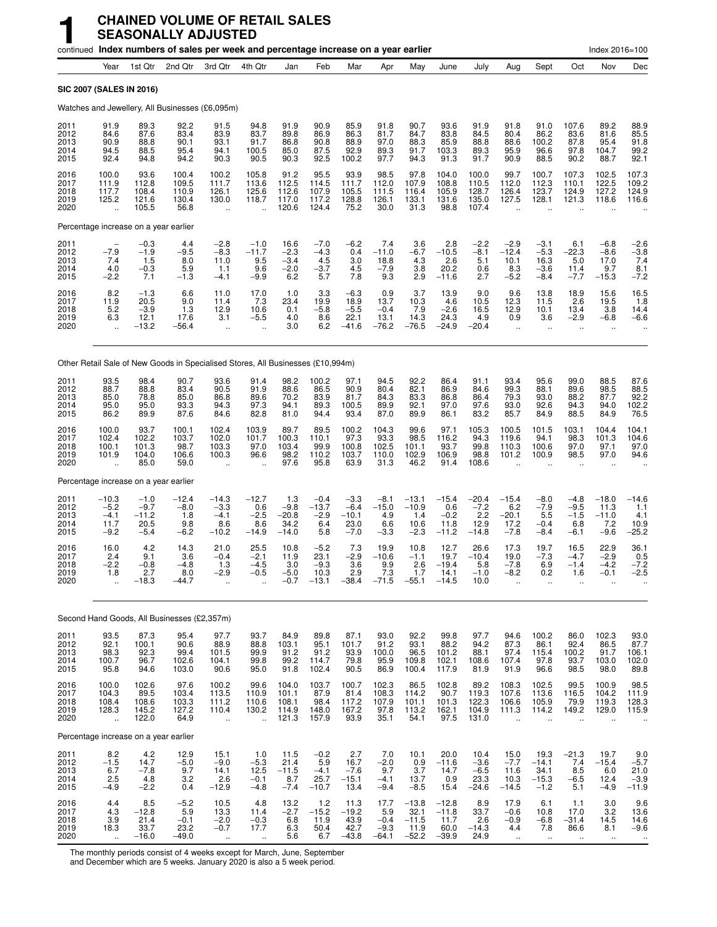|                                      |                                                          |                                                  | continued Index numbers of sales per week and percentage increase on a year earlier |                                                          |                                                          |                                             |                                             |                                               |                                            |                                               |                                               |                                             |                                                          |                                                      |                                                    | Index 2016=100                              |                                                       |
|--------------------------------------|----------------------------------------------------------|--------------------------------------------------|-------------------------------------------------------------------------------------|----------------------------------------------------------|----------------------------------------------------------|---------------------------------------------|---------------------------------------------|-----------------------------------------------|--------------------------------------------|-----------------------------------------------|-----------------------------------------------|---------------------------------------------|----------------------------------------------------------|------------------------------------------------------|----------------------------------------------------|---------------------------------------------|-------------------------------------------------------|
|                                      | Year                                                     | 1st Qtr                                          | 2nd Qtr                                                                             | 3rd Qtr                                                  | 4th Qtr                                                  | Jan                                         | Feb                                         | Mar                                           | Apr                                        | May                                           | June                                          | July                                        | Aug                                                      | Sept                                                 | Oct                                                | Nov                                         | Dec                                                   |
|                                      | SIC 2007 (SALES IN 2016)                                 |                                                  |                                                                                     |                                                          |                                                          |                                             |                                             |                                               |                                            |                                               |                                               |                                             |                                                          |                                                      |                                                    |                                             |                                                       |
|                                      |                                                          |                                                  | Watches and Jewellery, All Businesses (£6,095m)                                     |                                                          |                                                          |                                             |                                             |                                               |                                            |                                               |                                               |                                             |                                                          |                                                      |                                                    |                                             |                                                       |
| 2011<br>2012<br>2013<br>2014<br>2015 | 91.9<br>84.6<br>90.9<br>94.5<br>92.4                     | 89.3<br>87.6<br>88.8<br>88.5<br>94.8             | 92.2<br>83.4<br>90.1<br>95.4<br>94.2                                                | 91.5<br>83.9<br>93.1<br>94.1<br>90.3                     | 94.8<br>83.7<br>91.7<br>100.5<br>90.5                    | 91.9<br>89.8<br>86.8<br>85.0<br>90.3        | 90.9<br>86.9<br>90.8<br>87.5<br>92.5        | 85.9<br>86.3<br>88.9<br>92.9<br>100.2         | 91.8<br>81.7<br>97.0<br>89.3<br>97.7       | 90.7<br>84.7<br>88.3<br>91.7<br>94.3          | 93.6<br>83.8<br>85.9<br>103.3<br>91.3         | 91.9<br>84.5<br>88.8<br>89.3<br>91.7        | 91.8<br>80.4<br>88.6<br>95.9<br>90.9                     | 91.0<br>86.2<br>100.2<br>96.6<br>88.5                | 107.6<br>83.6<br>87.8<br>97.8<br>90.2              | 89.2<br>81.6<br>95.4<br>104.7<br>88.7       | 88.9<br>85.5<br>91.8<br>99.2<br>92.1                  |
| 2016<br>2017<br>2018<br>2019<br>2020 | 100.0<br>111.9<br>117.7<br>125.2<br>$\ddot{\phantom{a}}$ | 93.6<br>112.8<br>108.4<br>121.6<br>105.5         | 100.4<br>109.5<br>110.9<br>130.4<br>56.8                                            | 100.2<br>111.7<br>126.1<br>130.0<br>$\ddot{\phantom{a}}$ | 105.8<br>113.6<br>125.6<br>118.7<br>$\ddot{\phantom{a}}$ | 91.2<br>112.5<br>112.6<br>117.0<br>120.6    | 95.5<br>114.5<br>107.9<br>117.2<br>124.4    | 93.9<br>111.7<br>105.5<br>128.8<br>75.2       | 98.5<br>112.0<br>111.5<br>126.1<br>30.0    | 97.8<br>107.9<br>116.4<br>133.1<br>31.3       | 104.0<br>108.8<br>105.9<br>131.6<br>98.8      | 100.0<br>110.5<br>128.7<br>135.0<br>107.4   | 99.7<br>112.0<br>126.4<br>127.5<br>$\ddot{\phantom{a}}$  | 100.7<br>112.3<br>123.7<br>128.1                     | 107.3<br>110.1<br>124.9<br>121.3                   | 102.5<br>122.5<br>127.2<br>118.6            | 107.3<br>109.2<br>124.9<br>116.6                      |
|                                      |                                                          | Percentage increase on a year earlier            |                                                                                     |                                                          |                                                          |                                             |                                             |                                               |                                            |                                               |                                               |                                             |                                                          |                                                      |                                                    |                                             |                                                       |
| 2011<br>2012<br>2013<br>2014<br>2015 | $-7.9$<br>7.4<br>4.0<br>$-2.2$                           | $-0.3$<br>$-1.9$<br>1.5<br>$-0.3$<br>7.1         | 4.4<br>$-9.5$<br>8.0<br>5.9<br>$-1.3$                                               | $-2.8$<br>$-8.3$<br>11.0<br>1.1<br>$-4.1$                | $-1.0$<br>$-11.7$<br>9.5<br>9.6<br>$-9.9$                | 16.6<br>$-2.3$<br>$-3.4$<br>$-2.0$<br>6.2   | $-7.0$<br>$-4.3$<br>4.5<br>$-3.7$<br>5.7    | $-6.2$<br>0.4<br>3.0<br>4.5<br>7.8            | 7.4<br>$-11.0$<br>18.8<br>$-7.9$<br>9.3    | 3.6<br>$-6.7$<br>4.3<br>3.8<br>2.9            | 2.8<br>$-10.5$<br>2.6<br>20.2<br>$-11.6$      | $-2.2$<br>$-8.1$<br>5.1<br>0.6<br>2.7       | $-2.9$<br>$-12.4$<br>10.1<br>8.3<br>$-5.2$               | $-3.1$<br>$-5.3$<br>16.3<br>$-3.6$<br>$-8.4$         | 6.1<br>$-22.3$<br>5.0<br>11.4<br>$-7.7$            | $-6.8$<br>$-8.6$<br>17.0<br>9.7<br>$-15.3$  | $-2.6$<br>$-3.8$<br>7.4<br>$\frac{8.1}{-7.2}$         |
| 2016<br>2017<br>2018<br>2019<br>2020 | 8.2<br>11.9<br>5.2<br>6.3<br>$\ddot{\phantom{a}}$        | $\frac{-1.3}{20.5}$<br>$-3.9$<br>12.1<br>$-13.2$ | 6.6<br>9.0<br>1.3<br>17.6<br>$-56.4$                                                | 11.0<br>11.4<br>12.9<br>3.1<br>$\ddot{\phantom{a}}$      | $^{17.0}_{7.3}$<br>10.6<br>$-5.5$                        | 1.0<br>23.4<br>0.1<br>4.0<br>3.0            | $3.3$<br>19.9<br>$-5.8$<br>8.6<br>6.2       | $-6.3$<br>18.9<br>$-5.5$<br>22.1<br>$-41.6$   | 0.9<br>13.7<br>$-0.4$<br>13.1<br>$-76.2$   | 3.7<br>10.3<br>7.9<br>14.3<br>$-76.5$         | 13.9<br>4.6<br>$-2.6$<br>24.3<br>$-24.9$      | 9.0<br>10.5<br>16.5<br>4.9<br>$-20.4$       | 9.6<br>12.3<br>12.9<br>0.9<br>$\ddot{\phantom{a}}$       | 13.8<br>11.5<br>10.1<br>3.6<br>$\ddot{\phantom{a}}$  | 18.9<br>2.6<br>13.4<br>$-2.9$                      | 15.6<br>19.5<br>3.8<br>$-6.8$               | 16.5<br>1.8<br>14.4<br>$-6.6$                         |
|                                      |                                                          |                                                  | Other Retail Sale of New Goods in Specialised Stores, All Businesses (£10,994m)     |                                                          |                                                          |                                             |                                             |                                               |                                            |                                               |                                               |                                             |                                                          |                                                      |                                                    |                                             |                                                       |
| 2011<br>2012<br>2013<br>2014<br>2015 | 93.5<br>88.7<br>85.0<br>95.0<br>86.2                     | 98.4<br>88.8<br>78.8<br>95.0<br>89.9             | 90.7<br>83.4<br>85.0<br>93.3<br>87.6                                                | 93.6<br>90.5<br>86.8<br>94.3<br>84.6                     | 91.4<br>91.9<br>89.6<br>97.3<br>82.8                     | 98.2<br>88.6<br>70.2<br>94.1<br>81.0        | 100.2<br>86.5<br>83.9<br>89.3<br>94.4       | 97.1<br>90.9<br>81.7<br>100.5<br>93.4         | 94.5<br>80.4<br>84.3<br>89.9<br>87.0       | 92.2<br>82.1<br>83.3<br>92.1<br>89.9          | 86.4<br>86.9<br>86.8<br>97.0<br>86.1          | 91.1<br>84.6<br>86.4<br>97.6<br>83.2        | 93.4<br>99.3<br>79.3<br>93.0<br>85.7                     | 95.6<br>88.1<br>93.0<br>92.6<br>84.9                 | 99.0<br>89.6<br>88.2<br>94.3<br>88.5               | 88.5<br>98.5<br>87.7<br>94.0<br>84.9        | 87.6<br>88.5<br>92.2<br>102.2<br>76.5                 |
| 2016<br>2017<br>2018<br>2019<br>2020 | 100.0<br>102.4<br>100.1<br>101.9<br>$\ddot{\phantom{a}}$ | 93.7<br>102.2<br>101.3<br>104.0<br>85.0          | 100.1<br>103.7<br>98.7<br>106.6<br>59.0                                             | 102.4<br>102.0<br>103.3<br>100.3                         | 103.9<br>101.7<br>97.0<br>96.6                           | 89.7<br>100.3<br>103.4<br>98.2<br>97.6      | 89.5<br>110.1<br>99.9<br>110.2<br>95.8      | 100.2<br>97.3<br>100.8<br>103.7<br>63.9       | 104.3<br>93.3<br>102.5<br>110.0<br>31.3    | 99.6<br>98.5<br>101.1<br>102.9<br>46.2        | 97.1<br>116.2<br>93.7<br>106.9<br>91.4        | 105.3<br>94.3<br>99.8<br>98.8<br>108.6      | 100.5<br>119.6<br>110.3<br>101.2                         | 101.5<br>94.1<br>100.6<br>100.9                      | 103.1<br>98.3<br>97.0<br>98.5                      | 104.4<br>101.3<br>97.1<br>97.0              | 104.1<br>104.6<br>97.0<br>94.6                        |
|                                      |                                                          | Percentage increase on a year earlier            |                                                                                     |                                                          |                                                          |                                             |                                             |                                               |                                            |                                               |                                               |                                             |                                                          |                                                      |                                                    |                                             |                                                       |
| 2011<br>2012<br>2013<br>2014<br>2015 | $-10.3$<br>$-5.2$<br>$-4.1$<br>11.7<br>$-9.2$            | $-1.0$<br>$-9.7$<br>$-11.2$<br>20.5<br>$-5.4$    | $-12.4$<br>$-8.0$<br>1.8<br>9.8<br>$-6.2$                                           | -14.3<br>$-3.3$<br>$-4.1$<br>8.6<br>$-10.2$              | $-12.7$<br>0.6<br>$-2.5$<br>8.6<br>$-14.9$               | 1.3<br>$-9.8$<br>$-20.8$<br>34.2<br>$-14.0$ | $-0.4$<br>$-13.7$<br>$-2.9$<br>6.4<br>5.8   | $-3.3$<br>$-6.4$<br>$-10.1$<br>23.0<br>$-7.0$ | $-8.1$<br>$-15.0$<br>4.9<br>6.6<br>$-3.3$  | $-13.1$<br>$-10.9$<br>1.4<br>10.6<br>$-2.3$   | $-15.4$<br>0.6<br>$-0.2$<br>11.8<br>$-11.2$   | $-20.4$<br>$-7.2$<br>2.2<br>12.9<br>$-14.8$ | $-15.4$<br>6.2<br>$-20.1$<br>17.2<br>$-7.8$              | $-8.0$<br>$-7.9$<br>5.5<br>$-0.4$<br>$-8.4$          | $-4.8$<br>$-9.5$<br>$-1.5$<br>6.8<br>$-6.1$        | $-18.0$<br>11.3<br>$-11.0$<br>7.2<br>$-9.6$ | $-14.6$<br>1.1<br>4.1<br>10.9<br>$-25.2$              |
| 2016<br>2017<br>2018<br>2019<br>2020 | 16.0<br>2.4<br>$-2.2$<br>1.8                             | 4.2<br>9.1<br>$-0.8$<br>2.7<br>$-18.3$           | 14.3<br>3.6<br>$-4.8$<br>8.0<br>$-44.7$                                             | 21.0<br>$-0.4$<br>1.3<br>-2.9                            | 25.5<br>$-2.1$<br>$-4.5$<br>$-0.5$                       | 10.8<br>11.9<br>3.0<br>$-5.0$<br>$-0.7$     | $-5.2$<br>23.1<br>$-9.3$<br>10.3<br>$-13.1$ | 7.3<br>$-2.9$<br>3.6<br>2.9<br>$-38.4$        | 19.9<br>$-10.6$<br>9.9<br>7.3<br>$-71.5$   | 10.8<br>$-1.1$<br>2.6<br>1.7<br>$-55.1$       | 12.7<br>19.7<br>$-19.4$<br>14.1<br>$-14.5$    | 26.6<br>$-10.4$<br>5.8<br>$-1.0$<br>10.0    | 17.3<br>19.0<br>$-7.8$<br>-8.2                           | 19.7<br>$-7.3$<br>6.9<br>0.2                         | 16.5<br>$-4.7$<br>$-1.4$<br>1.6                    | 22.9<br>$-2.9$<br>$-4.2$<br>-0.1            | 36.1<br>0.5<br>$-7.2$<br>-2.5                         |
|                                      |                                                          |                                                  | Second Hand Goods, All Businesses (£2,357m)                                         |                                                          |                                                          |                                             |                                             |                                               |                                            |                                               |                                               |                                             |                                                          |                                                      |                                                    |                                             |                                                       |
| 2011<br>2012<br>2013<br>2014<br>2015 | 93.5<br>92.1<br>98.3<br>100.7<br>95.8                    | 87.3<br>100.1<br>92.3<br>96.7<br>94.6            | 95.4<br>90.6<br>99.4<br>102.6<br>103.0                                              | 97.7<br>88.9<br>101.5<br>104.1<br>90.6                   | 93.7<br>88.8<br>99.9<br>99.8<br>95.0                     | 84.9<br>103.1<br>91.2<br>99.2<br>91.8       | 89.8<br>95.1<br>91.2<br>114.7<br>102.4      | 87.1<br>101.7<br>93.9<br>79.8<br>90.5         | 93.0<br>91.2<br>100.0<br>95.9<br>86.9      | 92.2<br>93.1<br>96.5<br>109.8<br>100.4        | 99.8<br>88.2<br>101.2<br>102.1<br>117.9       | 97.7<br>94.2<br>88.1<br>108.6<br>81.9       | 94.6<br>87.3<br>97.4<br>107.4<br>91.9                    | 100.2<br>86.1<br>115.4<br>97.8<br>96.6               | 86.0<br>92.4<br>100.2<br>93.7<br>98.5              | 102.3<br>86.5<br>91.7<br>103.0<br>98.0      | 93.0<br>87.7<br>106.1<br>102.0<br>89.8                |
| 2016<br>2017<br>2018<br>2019<br>2020 | 100.0<br>104.3<br>108.4<br>128.3<br>$\ddotsc$            | 102.6<br>89.5<br>108.6<br>145.2<br>122.0         | 97.6<br>103.4<br>103.3<br>127.2<br>64.9                                             | 100.2<br>113.5<br>111.2<br>110.4<br>$\ddot{\phantom{a}}$ | 99.6<br>110.9<br>110.6<br>130.2<br>÷.                    | 104.0<br>101.1<br>108.1<br>114.9<br>121.3   | 103.7<br>87.9<br>98.4<br>148.0<br>157.9     | 100.7<br>81.4<br>117.2<br>167.2<br>93.9       | 102.3<br>108.3<br>107.9<br>97.8<br>35.1    | 86.5<br>114.2<br>101.1<br>113.2<br>54.1       | 102.8<br>90.7<br>101.3<br>162.1<br>97.5       | 89.2<br>119.3<br>122.3<br>104.9<br>131.0    | 108.3<br>107.6<br>106.6<br>111.3<br>$\ddot{\phantom{a}}$ | 102.5<br>113.6<br>105.9<br>114.2<br>$\ddotsc$        | 99.5<br>116.5<br>79.9<br>149.2                     | 100.9<br>104.2<br>119.3<br>129.0            | $98.5$<br>111.9<br>128.3<br>115.9                     |
|                                      |                                                          | Percentage increase on a year earlier            |                                                                                     |                                                          |                                                          |                                             |                                             |                                               |                                            |                                               |                                               |                                             |                                                          |                                                      |                                                    |                                             |                                                       |
| 2011<br>2012<br>2013<br>2014<br>2015 | 8.2<br>$-1.5$<br>6.7<br>2.5<br>-4.9                      | 4.2<br>14.7<br>$-7.8$<br>4.8<br>$-2.2$           | 12.9<br>$-5.0$<br>9.7<br>3.2<br>0.4                                                 | 15.1<br>$-9.0$<br>14.1<br>2.6<br>–12.9                   | 1.0<br>$-5.3$<br>12.5<br>$-0.1$<br>$-4.8$                | 11.5<br>21.4<br>$-11.5$<br>8.7<br>$-7.4$    | $-0.2$<br>5.9<br>$-4.1$<br>25.7<br>$-10.7$  | 2.7<br>16.7<br>$-7.6$<br>$-15.1$<br>13.4      | 7.0<br>$-2.0$<br>9.7<br>$-4.1$<br>$-9.4$   | 10.1<br>0.9<br>3.7<br>13.7<br>$-8.5$          | 20.0<br>$-11.6$<br>14.7<br>0.9<br>15.4        | 10.4<br>$-3.6$<br>$-6.5$<br>23.3<br>$-24.6$ | 15.0<br>$-7.7$<br>11.6<br>10.3<br>$-14.5$                | 19.3<br>$-14.1$<br>34.1<br>$-15.3$<br>$-1.2$         | $-21.3$<br>7.4<br>8.5<br>$-6.5$<br>5.1             | 19.7<br>$-15.4$<br>6.0<br>12.4<br>$-4.9$    | 9.0<br>$-5.7$<br>21.0<br>$-3.9$<br>-11.9              |
| 2016<br>2017<br>2018<br>2019<br>2020 | 4.4<br>4.3<br>3.9<br>18.3<br>$\ddot{\phantom{a}}$        | 8.5<br>$-12.8$<br>21.4<br>33.7<br>$-16.0$        | $-5.2$<br>5.9<br>$-0.1$<br>23.2<br>$-49.0$                                          | 10.5<br>13.3<br>$-2.0$<br>$-0.7$<br>$\ddotsc$            | 4.8<br>11.4<br>$-0.3$<br>17.7<br>$\ddotsc$               | 13.2<br>$-2.7$<br>6.8<br>6.3<br>5.6         | 1.2<br>$-15.2$<br>11.9<br>50.4<br>6.7       | 11.3<br>$-19.2$<br>43.9<br>42.7<br>$-43.8$    | 17.7<br>5.9<br>$-0.4$<br>$-9.3$<br>$-64.1$ | $-13.8$<br>32.1<br>$-11.5$<br>11.9<br>$-52.2$ | $-12.8$<br>$-11.8$<br>11.7<br>60.0<br>$-39.9$ | 8.9<br>33.7<br>2.6<br>$-14.3$<br>24.9       | 17.9<br>$-0.6$<br>$-0.9$<br>4.4<br>$\ddot{\phantom{1}}$  | 6.1<br>10.8<br>$-6.8$<br>7.8<br>$\ddot{\phantom{1}}$ | 1.1<br>17.0<br>$-31.4$<br>86.6<br>$\bullet\bullet$ | 3.0<br>3.2<br>14.5<br>8.1<br>$\ddotsc$      | 9.6<br>13.6<br>14.6<br>$-9.6$<br>$\ddot{\phantom{1}}$ |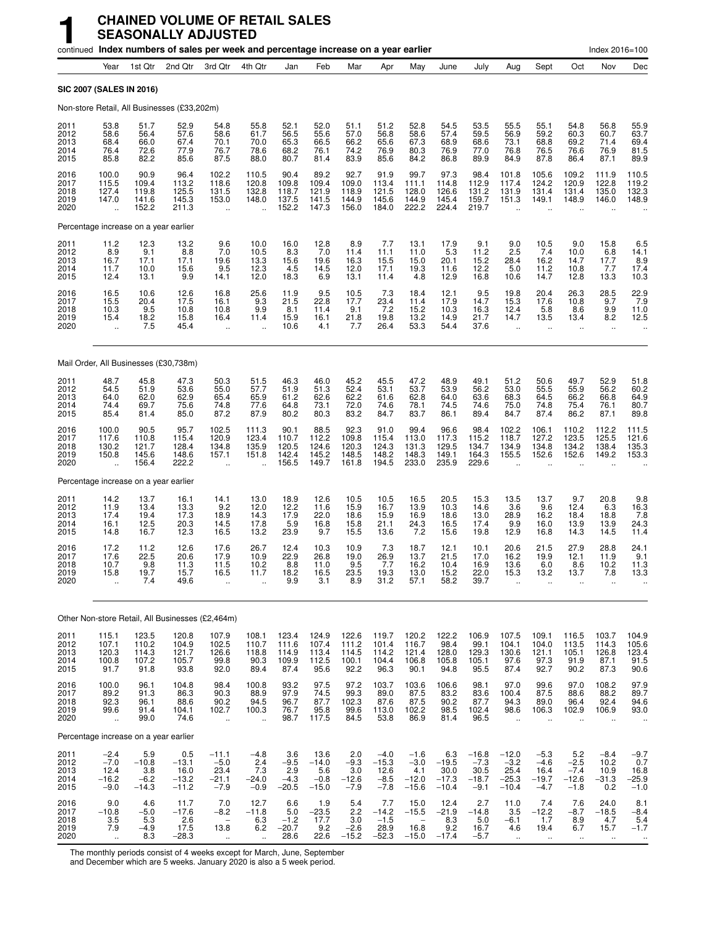|                                      | continued Index numbers of sales per week and percentage increase on a year earlier |                                            |                                                  |                                                                           |                                                        |                                             |                                             |                                           |                                               |                                               |                                            |                                                |                                                      |                                                       |                                                       | Index 2016=100                                         |                                                        |
|--------------------------------------|-------------------------------------------------------------------------------------|--------------------------------------------|--------------------------------------------------|---------------------------------------------------------------------------|--------------------------------------------------------|---------------------------------------------|---------------------------------------------|-------------------------------------------|-----------------------------------------------|-----------------------------------------------|--------------------------------------------|------------------------------------------------|------------------------------------------------------|-------------------------------------------------------|-------------------------------------------------------|--------------------------------------------------------|--------------------------------------------------------|
|                                      | Year                                                                                | 1st Qtr                                    | 2nd Qtr                                          | 3rd Qtr                                                                   | 4th Qtr                                                | Jan                                         | Feb                                         | Mar                                       | Apr                                           | May                                           | June                                       | July                                           | Aug                                                  | Sept                                                  | Oct                                                   | Nov                                                    | Dec                                                    |
|                                      | SIC 2007 (SALES IN 2016)                                                            |                                            |                                                  |                                                                           |                                                        |                                             |                                             |                                           |                                               |                                               |                                            |                                                |                                                      |                                                       |                                                       |                                                        |                                                        |
|                                      | Non-store Retail, All Businesses (£33,202m)                                         |                                            |                                                  |                                                                           |                                                        |                                             |                                             |                                           |                                               |                                               |                                            |                                                |                                                      |                                                       |                                                       |                                                        |                                                        |
| 2011<br>2012<br>2013<br>2014<br>2015 | 53.8<br>58.6<br>68.4<br>76.4<br>85.8                                                | 51.7<br>56.4<br>66.0<br>72.6<br>82.2       | 52.9<br>57.6<br>67.4<br>77.9<br>85.6             | 54.8<br>58.6<br>70.1<br>76.7<br>87.5                                      | 55.8<br>61.7<br>70.0<br>78.6<br>88.0                   | 52.1<br>56.5<br>65.3<br>68.2<br>80.7        | 52.0<br>55.6<br>66.5<br>76.1<br>81.4        | 51.1<br>57.0<br>66.2<br>74.2<br>83.9      | 51.2<br>56.8<br>65.6<br>76.9<br>85.6          | 52.8<br>58.6<br>67.3<br>80.3<br>84.2          | 54.5<br>57.4<br>68.9<br>76.9<br>86.8       | 53.5<br>59.5<br>68.6<br>77.0<br>89.9           | 55.5<br>56.9<br>73.1<br>76.8<br>84.9                 | 55.1<br>59.2<br>68.8<br>76.5<br>87.8                  | 54.8<br>60.3<br>69.2<br>76.6<br>86.4                  | 56.8<br>60.7<br>71.4<br>76.9<br>87.1                   | 55.9<br>63.7<br>69.4<br>81.5<br>89.9                   |
| 2016<br>2017<br>2018<br>2019<br>2020 | 100.0<br>115.5<br>127.4<br>147.0<br>$\ddot{\phantom{a}}$                            | 90.9<br>109.4<br>119.8<br>141.6<br>152.2   | 96.4<br>113.2<br>125.5<br>145.3<br>211.3         | 102.2<br>118.6<br>131.5<br>153.0<br>$\ddotsc$                             | 110.5<br>120.8<br>132.8<br>148.0                       | 90.4<br>109.8<br>118.7<br>137.5<br>152.2    | 89.2<br>109.4<br>121.9<br>141.5<br>147.3    | 92.7<br>109.0<br>118.9<br>144.9<br>156.0  | 91.9<br>113.4<br>121.5<br>145.6<br>184.0      | 99.7<br>111.1<br>128.0<br>144.9<br>222.2      | 97.3<br>114.8<br>126.6<br>145.4<br>224.4   | 98.4<br>112.9<br>131.2<br>159.7<br>219.7       | 101.8<br>117.4<br>131.9<br>151.3                     | 105.6<br>124.2<br>131.4<br>149.1                      | 109.2<br>120.9<br>131.4<br>148.9                      | 111.9<br>122.8<br>135.0<br>146.0                       | 110.5<br>119.2<br>132.3<br>148.9                       |
|                                      | Percentage increase on a year earlier                                               |                                            |                                                  |                                                                           |                                                        |                                             |                                             |                                           |                                               |                                               |                                            |                                                |                                                      |                                                       |                                                       |                                                        |                                                        |
| 2011<br>2012<br>2013<br>2014<br>2015 | $^{11.2}_{8.9}$<br>16.7<br>11.7<br>12.4                                             | $^{12.3}_{9.1}$<br>17.1<br>10.0<br>13.1    | $^{13.2}_{8.8}$<br>17.1<br>15.6<br>9.9           | $\frac{9.6}{7.0}$<br>19.6<br>9.5<br>14.1                                  | 10.0<br>10.5<br>13.3<br>12.3<br>12.0                   | 16.0<br>8.3<br>15.6<br>4.5<br>18.3          | $^{12.8}_{7.0}$<br>19.6<br>14.5<br>6.9      | 8.9<br>11.4<br>16.3<br>12.0<br>13.1       | 7.7<br>11.1<br>15.5<br>17.1<br>11.4           | $13.1$<br>11.0<br>15.0<br>19.3<br>4.8         | 17.9<br>5.3<br>20.1<br>11.6<br>12.9        | $\frac{9.1}{11.2}$<br>15.2<br>12.2<br>16.8     | $\frac{9.0}{2.5}$<br>28.4<br>5.0<br>10.6             | 10.5<br>7.4<br>16.2<br>$11.2$<br>14.7                 | 9.0<br>10.0<br>14.7<br>10.8<br>12.8                   | 15.8<br>6.8<br>17.7<br>7.7<br>13.3                     | $6.5$<br>14.1<br>8.9<br>17.4<br>10.3                   |
| 2016<br>2017<br>2018<br>2019<br>2020 | 16.5<br>15.5<br>10.3<br>15.4<br>$\ddot{\phantom{a}}$                                | $10.6$<br>20.4<br>9.5<br>$^{18.2}_{7.5}$   | 12.6<br>17.5<br>10.8<br>15.8<br>45.4             | 16.8<br>16.1<br>10.8<br>16.4<br>$\ddotsc$                                 | $^{25.6}_{9.3}$<br>9.9<br>11.4                         | $11.9$<br>21.5<br>8.1<br>15.9<br>10.6       | $\frac{9.5}{22.8}$<br>11.4<br>16.1<br>4.1   | $10.5$<br>17.7<br>9.1<br>$^{21.8}_{7.7}$  | $\frac{7.3}{23.4}$<br>7.2<br>19.8<br>26.4     | 18.4<br>11.4<br>15.2<br>13.2<br>53.3          | 12.1<br>17.9<br>10.3<br>14.9<br>54.4       | $\frac{9.5}{14.7}$<br>16.3<br>21.7<br>37.6     | 19.8<br>15.3<br>12.4<br>14.7<br>$\ddot{\phantom{a}}$ | 20.4<br>17.6<br>5.8<br>13.5<br>ä.                     | 26.3<br>10.8<br>8.6<br>13.4<br>ä.                     | $^{28.5}_{9.7}$<br>9.9<br>8.2<br>ä.                    | 22.9<br>7.9<br>11.0<br>12.5                            |
|                                      | Mail Order, All Businesses (£30,738m)                                               |                                            |                                                  |                                                                           |                                                        |                                             |                                             |                                           |                                               |                                               |                                            |                                                |                                                      |                                                       |                                                       |                                                        |                                                        |
| 2011<br>2012<br>2013<br>2014<br>2015 | 48.7<br>54.5<br>64.0<br>74.4<br>85.4                                                | 45.8<br>51.9<br>62.0<br>69.7<br>81.4       | 47.3<br>53.6<br>62.9<br>75.6<br>85.0             | 50.3<br>55.0<br>65.4<br>74.8<br>87.2                                      | 51.5<br>57.7<br>65.9<br>77.6<br>87.9                   | 46.3<br>51.9<br>61.2<br>64.8<br>80.2        | 46.0<br>51.3<br>62.6<br>73.1<br>80.3        | 45.2<br>52.4<br>62.2<br>72.0<br>83.2      | 45.5<br>53.1<br>61.6<br>74.6<br>84.7          | 47.2<br>53.7<br>62.8<br>78.1<br>83.7          | 48.9<br>53.9<br>64.0<br>74.5<br>86.1       | 49.1<br>56.2<br>63.6<br>74.6<br>89.4           | 51.2<br>53.0<br>68.3<br>75.0<br>84.7                 | 50.6<br>55.5<br>64.5<br>74.8<br>87.4                  | 49.7<br>55.9<br>66.2<br>75.4<br>86.2                  | 52.9<br>56.2<br>66.8<br>76.1<br>87.1                   | 51.8<br>60.2<br>64.9<br>80.7<br>89.8                   |
| 2016<br>2017<br>2018<br>2019<br>2020 | 100.0<br>117.6<br>130.2<br>150.8                                                    | 90.5<br>110.8<br>121.7<br>145.6<br>156.4   | 95.7<br>115.4<br>128.4<br>148.6<br>222.2         | 102.5<br>120.9<br>134.8<br>157.1                                          | 111.3<br>123.4<br>135.9<br>151.8                       | 90.1<br>110.7<br>120.5<br>142.4<br>156.5    | 88.5<br>112.2<br>124.6<br>145.2<br>149.7    | 92.3<br>109.8<br>120.3<br>148.5<br>161.8  | 91.0<br>115.4<br>124.3<br>148.2<br>194.5      | 99.4<br>113.0<br>131.3<br>148.3<br>233.0      | 96.6<br>117.3<br>129.5<br>149.1<br>235.9   | 98.4<br>115.2<br>134.7<br>164.3<br>229.6       | 102.2<br>118.7<br>134.9<br>155.5                     | 106.1<br>127.2<br>134.8<br>152.6                      | 110.2<br>123.5<br>134.2<br>152.6                      | 112.2<br>125.5<br>138.4<br>149.2                       | 111.5<br>121.6<br>135.3<br>153.3                       |
|                                      | Percentage increase on a year earlier                                               |                                            |                                                  |                                                                           |                                                        |                                             |                                             |                                           |                                               |                                               |                                            |                                                |                                                      |                                                       |                                                       |                                                        |                                                        |
| 2011<br>2012<br>2013<br>2014<br>2015 | 14.2<br>11.9<br>17.4<br>16.1<br>14.8                                                | 13.7<br>13.4<br>19.4<br>12.5<br>16.7       | 16.1<br>13.3<br>17.3<br>20.3<br>12.3             | 14.1<br>$\frac{9.2}{18.9}$<br>14.5<br>16.5                                | 13.0<br>12.0<br>14.3<br>17.8<br>13.2                   | 18.9<br>12.2<br>17.9<br>5.9<br>23.9         | 12.6<br>11.6<br>22.0<br>16.8<br>9.7         | 10.5<br>15.9<br>18.6<br>15.8<br>15.5      | 10.5<br>16.7<br>15.9<br>21.1<br>13.6          | 16.5<br>13.9<br>16.9<br>24.3<br>7.2           | 20.5<br>10.3<br>18.6<br>16.5<br>15.6       | 15.3<br>14.6<br>13.0<br>17.4<br>19.8           | 13.5<br>3.6<br>28.9<br>9.9<br>12.9                   | 13.7<br>9.6<br>16.2<br>16.0<br>16.8                   | 9.7<br>12.4<br>18.4<br>13.9<br>14.3                   | 20.8<br>6.3<br>18.8<br>13.9<br>14.5                    | 9.8<br>16.3<br>7.8<br>24.3<br>11.4                     |
| 2016<br>2017<br>2018<br>2019<br>2020 | 17.2<br>17.6<br>10.7<br>15.8<br>                                                    | 11.2<br>22.5<br>9.8<br>19.7<br>7.4         | 12.6<br>20.6<br>11.3<br>15.7<br>49.6             | 17.6<br>17.9<br>11.5<br>16.5<br>÷.                                        | 26.7<br>10.9<br>10.2<br>11.7                           | 12.4<br>22.9<br>8.8<br>18.2<br>9.9          | 10.3<br>26.8<br>11.0<br>16.5<br>3.1         | 10.9<br>19.0<br>9.5<br>23.5<br>8.9        | 7.3<br>26.9<br>7.7<br>19.3<br>31.2            | 18.7<br>13.7<br>16.2<br>13.0<br>57.1          | 12.1<br>21.5<br>10.4<br>15.2<br>58.2       | 10.1<br>17.0<br>16.9<br>22.0<br>39.7           | 20.6<br>16.2<br>13.6<br>15.3<br>$\ddot{\phantom{a}}$ | 21.5<br>19.9<br>6.0<br>13.2<br>$\ddotsc$              | 27.9<br>12.1<br>8.6<br>13.7                           | 28.8<br>11.9<br>10.2<br>7.8<br>$\ddot{\phantom{a}}$    | 24.1<br>9.1<br>11.3<br>13.3<br>$\ddotsc$               |
|                                      | Other Non-store Retail, All Businesses (£2,464m)                                    |                                            |                                                  |                                                                           |                                                        |                                             |                                             |                                           |                                               |                                               |                                            |                                                |                                                      |                                                       |                                                       |                                                        |                                                        |
| 2011<br>2012<br>2013<br>2014<br>2015 | 115.1<br>107.1<br>120.3<br>100.8<br>91.7                                            | 123.5<br>110.2<br>114.3<br>107.2<br>91.8   | 120.8<br>104.9<br>121.7<br>105.7<br>93.8         | 107.9<br>102.5<br>126.6<br>99.8<br>92.0                                   | 108.1<br>110.7<br>118.8<br>90.3<br>89.4                | 123.4<br>111.6<br>114.9<br>109.9<br>87.4    | 124.9<br>107.4<br>113.4<br>112.5<br>95.6    | 122.6<br>111.2<br>114.5<br>100.1<br>92.2  | 119.7<br>101.4<br>114.2<br>104.4<br>96.3      | 120.2<br>116.7<br>121.4<br>106.8<br>90.1      | 122.2<br>98.4<br>128.0<br>105.8<br>94.8    | 106.9<br>99.1<br>129.3<br>105.1<br>95.5        | 107.5<br>104.1<br>130.6<br>97.6<br>87.4              | 109.1<br>104.0<br>121.1<br>97.3<br>92.7               | 116.5<br>113.5<br>105.1<br>91.9<br>90.2               | 103.7<br>114.3<br>126.8<br>87.1<br>87.3                | 104.9<br>105.6<br>123.4<br>91.5<br>90.6                |
| 2016<br>2017<br>2018<br>2019<br>2020 | 100.0<br>89.2<br>92.3<br>99.6<br>$\bar{\mathbf{a}}$                                 | 96.1<br>91.3<br>96.1<br>91.4<br>99.0       | 104.8<br>86.3<br>88.6<br>104.1<br>74.6           | 98.4<br>90.3<br>90.2<br>102.7<br>x.                                       | 100.8<br>88.9<br>94.5<br>100.3<br>$\ddot{\phantom{a}}$ | 93.2<br>97.9<br>96.7<br>76.7<br>98.7        | 97.5<br>74.5<br>87.7<br>95.8<br>117.5       | 97.2<br>99.3<br>102.3<br>99.6<br>84.5     | 103.7<br>89.0<br>87.6<br>113.0<br>53.8        | 103.6<br>87.5<br>87.5<br>102.2<br>86.9        | 106.6<br>83.2<br>90.2<br>98.5<br>81.4      | 98.1<br>83.6<br>87.7<br>102.4<br>96.5          | 97.0<br>100.4<br>94.3<br>98.6<br>$\ddotsc$           | 99.6<br>87.5<br>89.0<br>106.3<br>$\ddot{\phantom{a}}$ | 97.0<br>88.6<br>96.4<br>102.9<br>$\ddot{\phantom{a}}$ | 108.2<br>88.2<br>92.4<br>106.9<br>$\ddot{\phantom{a}}$ | 97.9<br>89.7<br>94.6<br>93.0<br>$\ddot{\phantom{0}}$   |
|                                      | Percentage increase on a year earlier                                               |                                            |                                                  |                                                                           |                                                        |                                             |                                             |                                           |                                               |                                               |                                            |                                                |                                                      |                                                       |                                                       |                                                        |                                                        |
| 2011<br>2012<br>2013<br>2014<br>2015 | $-2.4$<br>$-7.0$<br>12.4<br>$-16.2$<br>$-9.0$                                       | 5.9<br>$-10.8$<br>3.8<br>$-6.2$<br>$-14.3$ | 0.5<br>$-13.1$<br>16.0<br>$-13.2$<br>$-11.2$     | $-11.1$<br>$-5.0$<br>23.4<br>$-21.1$<br>$-7.9$                            | $-4.8$<br>2.4<br>$7.3 - 24.0$<br>$-0.9$                | 3.6<br>$-9.5$<br>$^{2.9}_{-4.3}$<br>$-20.5$ | 13.6<br>$-14.0$<br>5.6<br>$-0.8$<br>$-15.0$ | 2.0<br>$-9.3$<br>3.0<br>$-12.6$<br>$-7.9$ | $-4.0$<br>$-15.3$<br>12.6<br>$-8.5$<br>$-7.8$ | $-1.6$<br>$-3.0$<br>4.1<br>$-12.0$<br>$-15.6$ | 6.3<br>$-19.5$<br>$30.0 - 17.3$<br>$-10.4$ | $-16.8$<br>$-7.3$<br>30.5<br>$-18.7$<br>$-9.1$ | $-12.0$<br>$-3.2$<br>$25.4 - 25.3$<br>$-10.4$        | $-5.3$<br>$-4.6$<br>16.4<br>$-19.7$<br>$-4.7$         | 5.2<br>$-2.5$<br>$-7.4$<br>$-12.6$<br>$-1.8$          | $-8.4$<br>10.2<br>10.9<br>$-31.3$<br>0.2               | $-9.7$<br>0.7<br>16.8<br>25.9<br>$-1.0$                |
| 2016<br>2017<br>2018<br>2019<br>2020 | 9.0<br>$-10.8$<br>$\frac{3.5}{7.9}$<br>$\ddotsc$                                    | 4.6<br>$-5.0$<br>$\frac{5.3}{-4.9}$<br>8.3 | 11.7<br>$-17.6$<br>$\frac{2.6}{17.5}$<br>$-28.3$ | 7.0<br>$-8.2$<br>$\overline{\phantom{a}}$<br>13.8<br>$\ddot{\phantom{1}}$ | 12.7<br>$-11.8$<br>6.36.2<br>$\ddotsc$                 | 6.6<br>5.0<br>$-1.2$<br>-20.7<br>28.6       | 1.9<br>$-23.5$<br>17.7<br>9.2<br>22.6       | 5.4<br>2.2<br>3.0<br>$-2.6$<br>$-15.2$    | 7.7<br>$-14.2$<br>$-1.5$<br>28.9<br>$-52.3$   | 15.0<br>$-15.5$<br>16.8<br>$-15.0$            | 12.4<br>$-21.9$<br>8.3<br>9.2<br>$-17.4$   | 2.7<br>$-14.8$<br>$\frac{5.0}{16.7}$<br>$-5.7$ | 11.0<br>3.5<br>$-6.1$<br>4.6<br>$\ddot{\phantom{1}}$ | 7.4<br>$-12.2$<br>1.7<br>19.4<br>$\ddotsc$            | 7.6<br>$-8.7$<br>8.96.7<br>$\ddotsc$                  | 24.0<br>$-18.5$<br>4.7<br>15.7<br>$\ddot{\phantom{1}}$ | 8.1<br>$-8.4$<br>5.4<br>$-1.7$<br>$\ddot{\phantom{0}}$ |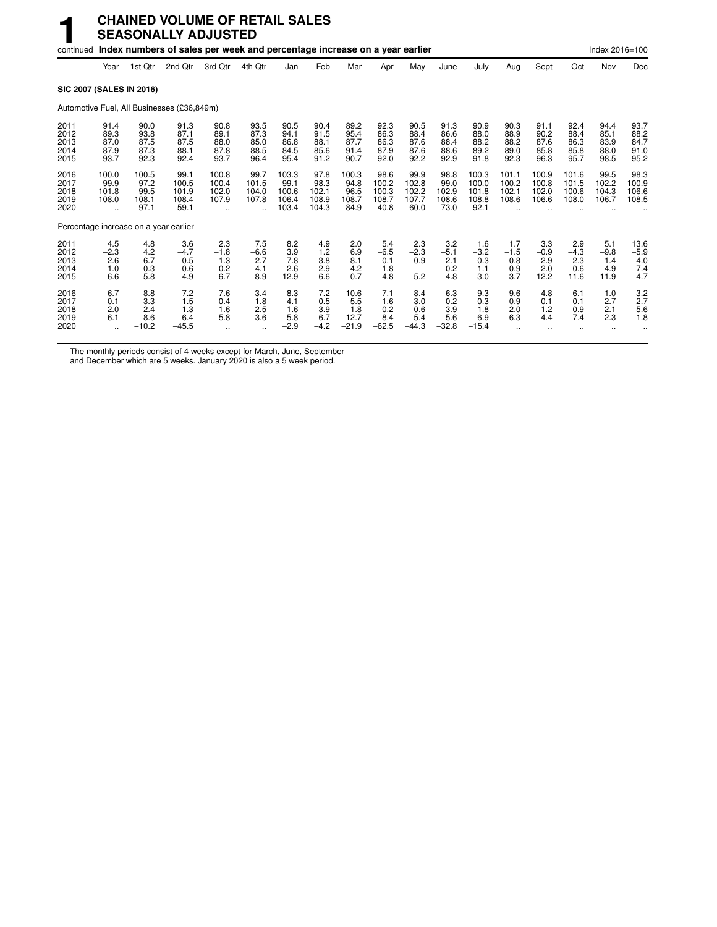|                                       |                                       |                                        | <b>CHAINED VOLUME OF RETAIL SALES</b><br><b>SEASONALLY ADJUSTED</b>                 |                                          |                                       |                                          |                                         |                                          |                                         |                                                            |                                        |                                          |                                       |                                           |                                           |                                        |                                        |
|---------------------------------------|---------------------------------------|----------------------------------------|-------------------------------------------------------------------------------------|------------------------------------------|---------------------------------------|------------------------------------------|-----------------------------------------|------------------------------------------|-----------------------------------------|------------------------------------------------------------|----------------------------------------|------------------------------------------|---------------------------------------|-------------------------------------------|-------------------------------------------|----------------------------------------|----------------------------------------|
|                                       |                                       |                                        | continued Index numbers of sales per week and percentage increase on a year earlier |                                          |                                       |                                          |                                         |                                          |                                         |                                                            |                                        |                                          |                                       |                                           |                                           | Index 2016=100                         |                                        |
|                                       | Year                                  | 1st Qtr                                | 2nd Otr                                                                             | 3rd Qtr                                  | 4th Qtr                               | Jan                                      | Feb                                     | Mar                                      | Apr                                     | May                                                        | June                                   | July                                     | Aug                                   | Sept                                      | Oct                                       | Nov                                    | Dec                                    |
| <b>SIC 2007 (SALES IN 2016)</b>       |                                       |                                        |                                                                                     |                                          |                                       |                                          |                                         |                                          |                                         |                                                            |                                        |                                          |                                       |                                           |                                           |                                        |                                        |
|                                       |                                       |                                        | Automotive Fuel, All Businesses (£36,849m)                                          |                                          |                                       |                                          |                                         |                                          |                                         |                                                            |                                        |                                          |                                       |                                           |                                           |                                        |                                        |
| 2011<br>2012<br>2013<br>2014<br>2015  | 91.4<br>89.3<br>87.0<br>87.9<br>93.7  | 90.0<br>93.8<br>87.5<br>87.3<br>92.3   | 91.3<br>87.1<br>87.5<br>88.1<br>92.4                                                | 90.8<br>89.1<br>88.0<br>87.8<br>93.7     | 93.5<br>87.3<br>85.0<br>88.5<br>96.4  | 90.5<br>94.1<br>86.8<br>84.5<br>95.4     | 90.4<br>91.5<br>88.1<br>85.6<br>91.2    | 89.2<br>95.4<br>87.7<br>91.4<br>90.7     | 92.3<br>86.3<br>86.3<br>87.9<br>92.0    | 90.5<br>88.4<br>87.6<br>87.6<br>92.2                       | 91.3<br>86.6<br>88.4<br>88.6<br>92.9   | 90.9<br>88.0<br>88.2<br>89.2<br>91.8     | 90.3<br>88.9<br>88.2<br>89.0<br>92.3  | 91.1<br>90.2<br>87.6<br>85.8<br>96.3      | 92.4<br>88.4<br>86.3<br>85.8<br>95.7      | 94.4<br>85.1<br>83.9<br>88.0<br>98.5   | 93.7<br>88.2<br>84.7<br>91.0<br>95.2   |
| 2016<br>2017<br>2018<br>2019<br>2020  | 100.0<br>99.9<br>101.8<br>108.0<br>٠. | 100.5<br>97.2<br>99.5<br>108.1<br>97.1 | 99.1<br>100.5<br>101.9<br>108.4<br>59.1                                             | 100.8<br>100.4<br>102.0<br>107.9         | 99.7<br>101.5<br>104.0<br>107.8       | 103.3<br>99.1<br>100.6<br>106.4<br>103.4 | 97.8<br>98.3<br>102.1<br>108.9<br>104.3 | 100.3<br>94.8<br>96.5<br>108.7<br>84.9   | 98.6<br>100.2<br>100.3<br>108.7<br>40.8 | 99.9<br>102.8<br>102.2<br>107.7<br>60.0                    | 98.8<br>99.0<br>102.9<br>108.6<br>73.0 | 100.3<br>100.0<br>101.8<br>108.8<br>92.1 | 101.1<br>100.2<br>102.1<br>108.6      | 100.9<br>100.8<br>102.0<br>106.6          | 101.6<br>101.5<br>100.6<br>108.0          | 99.5<br>102.2<br>104.3<br>106.7        | 98.3<br>100.9<br>106.6<br>108.5        |
| Percentage increase on a year earlier |                                       |                                        |                                                                                     |                                          |                                       |                                          |                                         |                                          |                                         |                                                            |                                        |                                          |                                       |                                           |                                           |                                        |                                        |
| 2011<br>2012<br>2013<br>2014<br>2015  | 4.5<br>$-2.3$<br>$-2.6$<br>1.0<br>6.6 | 4.8<br>4.2<br>$-6.7$<br>$-0.3$<br>5.8  | 3.6<br>$-4.7$<br>0.5<br>0.6<br>4.9                                                  | 2.3<br>$-1.8$<br>$-1.3$<br>$-0.2$<br>6.7 | 7.5<br>$-6.6$<br>$-2.7$<br>4.1<br>8.9 | 8.2<br>3.9<br>$-7.8$<br>$-2.6$<br>12.9   | 4.9<br>1.2<br>$-3.8$<br>$-2.9$<br>6.6   | 2.0<br>6.9<br>$-8.1$<br>4.2<br>$-0.7$    | 5.4<br>$-6.5$<br>0.1<br>1.8<br>4.8      | 2.3<br>$-2.3$<br>$-0.9$<br>$\overline{\phantom{a}}$<br>5.2 | 3.2<br>$-5.1$<br>2.1<br>0.2<br>4.8     | 1.6<br>$-3.2$<br>0.3<br>1.1<br>3.0       | 1.7<br>$-1.5$<br>$-0.8$<br>0.9<br>3.7 | 3.3<br>$-0.9$<br>$-2.9$<br>$-2.0$<br>12.2 | 2.9<br>$-4.3$<br>$-2.3$<br>$-0.6$<br>11.6 | 5.1<br>$-9.8$<br>$-1.4$<br>4.9<br>11.9 | 13.6<br>$-5.9$<br>$-4.0$<br>7.4<br>4.7 |
| 2016<br>2017<br>2018<br>2019<br>2020  | 6.7<br>$-0.1$<br>2.0<br>6.1           | 8.8<br>$-3.3$<br>2.4<br>8.6<br>$-10.2$ | 7.2<br>1.5<br>1.3<br>6.4<br>$-45.5$                                                 | 7.6<br>$-0.4$<br>1.6<br>5.8              | 3.4<br>1.8<br>2.5<br>3.6<br>$\ddotsc$ | 8.3<br>$-4.1$<br>1.6<br>5.8<br>$-2.9$    | 7.2<br>0.5<br>3.9<br>6.7<br>$-4.2$      | 10.6<br>$-5.5$<br>1.8<br>12.7<br>$-21.9$ | 7.1<br>1.6<br>0.2<br>8.4<br>$-62.5$     | 8.4<br>3.0<br>$-0.6$<br>5.4<br>$-44.3$                     | 6.3<br>0.2<br>3.9<br>5.6<br>$-32.8$    | 9.3<br>$-0.3$<br>1.8<br>6.9<br>$-15.4$   | 9.6<br>$-0.9$<br>2.0<br>6.3           | 4.8<br>$-0.1$<br>1.2<br>4.4               | 6.1<br>$-0.1$<br>$-0.9$<br>7.4            | 1.0<br>2.7<br>2.1<br>2.3               | 3.2<br>2.7<br>5.6<br>1.8               |

The monthly periods consist of 4 weeks except for March, June, September

and December which are 5 weeks. January 2020 is also a 5 week period.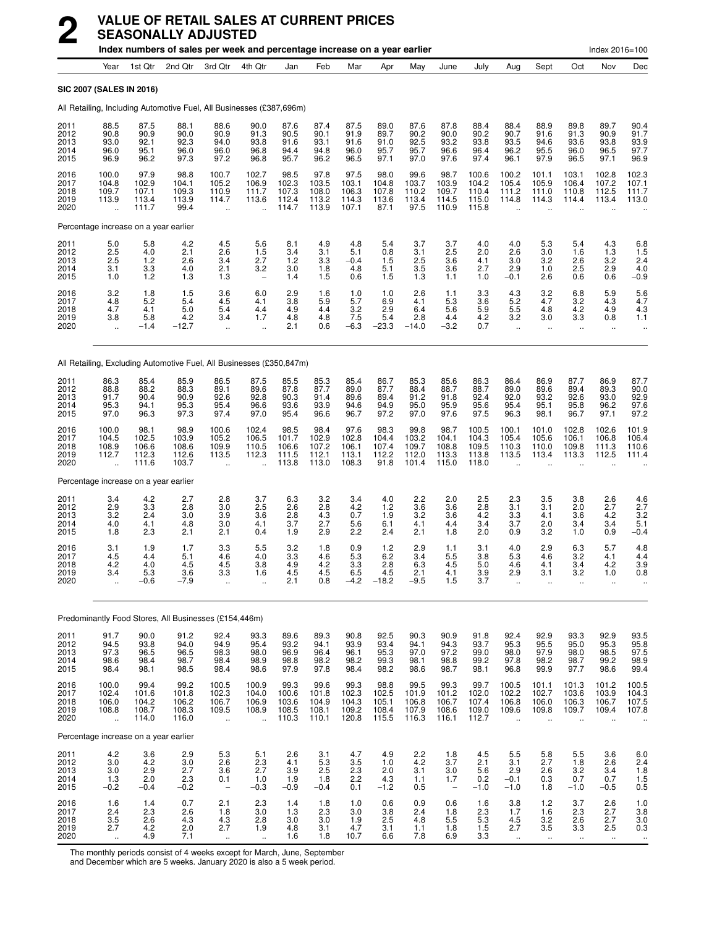|                                      |                                                          |                                          | index numbers of sales per week and percentage increase on a year earlier |                                                          |                                               |                                          |                                          |                                          |                                          |                                          |                                               |                                           |                                                          |                                                    |                                                  | $Index 2016 = 100$                                                |                                                                   |
|--------------------------------------|----------------------------------------------------------|------------------------------------------|---------------------------------------------------------------------------|----------------------------------------------------------|-----------------------------------------------|------------------------------------------|------------------------------------------|------------------------------------------|------------------------------------------|------------------------------------------|-----------------------------------------------|-------------------------------------------|----------------------------------------------------------|----------------------------------------------------|--------------------------------------------------|-------------------------------------------------------------------|-------------------------------------------------------------------|
|                                      | Year                                                     | 1st Qtr                                  | 2nd Qtr                                                                   | 3rd Qtr                                                  | 4th Qtr                                       | Jan                                      | Feb                                      | Mar                                      | Apr                                      | Mav                                      | June                                          | July                                      | Aug                                                      | Sept                                               | Oct                                              | Nov                                                               | Dec                                                               |
|                                      | <b>SIC 2007 (SALES IN 2016)</b>                          |                                          |                                                                           |                                                          |                                               |                                          |                                          |                                          |                                          |                                          |                                               |                                           |                                                          |                                                    |                                                  |                                                                   |                                                                   |
|                                      |                                                          |                                          | All Retailing, Including Automotive Fuel, All Businesses (£387,696m)      |                                                          |                                               |                                          |                                          |                                          |                                          |                                          |                                               |                                           |                                                          |                                                    |                                                  |                                                                   |                                                                   |
| 2011<br>2012<br>2013<br>2014<br>2015 | 88.5<br>90.8<br>93.0<br>96.0<br>96.9                     | 87.5<br>90.9<br>92.1<br>95.1<br>96.2     | 88.1<br>90.0<br>92.3<br>96.0<br>97.3                                      | 88.6<br>90.9<br>94.0<br>96.0<br>97.2                     | 90.0<br>91.3<br>93.8<br>96.8<br>96.8          | 87.6<br>90.5<br>91.6<br>94.4<br>95.7     | 87.4<br>90.1<br>93.1<br>94.8<br>96.2     | 87.5<br>91.9<br>91.6<br>96.0<br>96.5     | 89.0<br>89.7<br>91.0<br>95.7<br>97.1     | 87.6<br>90.2<br>92.5<br>95.7<br>97.0     | 87.8<br>90.0<br>93.2<br>96.6<br>97.6          | 88.4<br>90.2<br>93.8<br>96.4<br>97.4      | 88.4<br>90.7<br>93.5<br>96.2<br>96.1                     | 88.9<br>91.6<br>94.6<br>95.5<br>97.9               | 89.8<br>91.3<br>93.6<br>96.0<br>96.5             | 89.7<br>90.9<br>93.8<br>96.5<br>97.1                              | 90.4<br>91.7<br>93.9<br>97.7<br>96.9                              |
| 2016<br>2017<br>2018<br>2019<br>2020 | 100.0<br>104.8<br>109.7<br>113.9<br>                     | 97.9<br>102.9<br>107.1<br>113.4<br>111.7 | 98.8<br>104.1<br>109.3<br>113.9<br>99.4                                   | 100.7<br>105.2<br>110.9<br>114.7                         | 102.7<br>106.9<br>111.7<br>113.6<br>$\ddotsc$ | 98.5<br>102.3<br>107.3<br>112.4<br>114.7 | 97.8<br>103.5<br>108.0<br>113.2<br>113.9 | 97.5<br>103.1<br>106.3<br>114.3<br>107.1 | 98.0<br>104.8<br>107.8<br>113.6<br>87.1  | 99.6<br>103.7<br>110.2<br>113.4<br>97.5  | 98.7<br>103.9<br>109.7<br>114.5<br>110.9      | 100.6<br>104.2<br>110.4<br>115.0<br>115.8 | 100.2<br>105.4<br>111.2<br>114.8                         | 101.1<br>105.9<br>111.0<br>114.3                   | 103.1<br>106.4<br>110.8<br>114.4                 | 102.8<br>107.2<br>112.5<br>113.4                                  | 102.3<br>107.1<br>111.7<br>113.0                                  |
|                                      | Percentage increase on a year earlier                    |                                          |                                                                           |                                                          |                                               |                                          |                                          |                                          |                                          |                                          |                                               |                                           |                                                          |                                                    |                                                  |                                                                   |                                                                   |
| 2011<br>2012<br>2013<br>2014<br>2015 | 5.0<br>2.5<br>2.5<br>3.1<br>1.0                          | 5.8<br>4.0<br>1.2<br>3.3<br>1.2          | 4.2<br>2.1<br>2.6<br>4.0<br>1.3                                           | 4.5<br>2.6<br>3.4<br>2.1<br>1.3                          | 5.6<br>1.5<br>2.7<br>3.2                      | 8.1<br>3.4<br>1.2<br>3.0<br>1.4          | 4.9<br>3.1<br>3.3<br>1.8<br>1.5          | 4.8<br>5.1<br>$-0.4$<br>4.8<br>0.6       | 5.4<br>0.8<br>1.5<br>5.1<br>1.5          | 3.7<br>3.1<br>2.5<br>3.5<br>1.3          | 3.7<br>2.5<br>3.6<br>3.6<br>1.1               | 4.0<br>2.0<br>4.1<br>2.7<br>1.0           | 4.0<br>2.6<br>3.0<br>2.9<br>$-0.1$                       | 5.3<br>3.0<br>3.2<br>1.0<br>2.6                    | 5.4<br>1.6<br>2.6<br>2.5<br>0.6                  | $\frac{4.3}{1.3}$<br>3.2<br>2.9<br>0.6                            | $^{6.8}_{1.5}$<br>2.4<br>4.0<br>$-0.9$                            |
| 2016<br>2017<br>2018<br>2019<br>2020 | 3.2<br>4.8<br>4.7<br>3.8<br>$\ddot{\phantom{a}}$         | 1.8<br>5.2<br>4.1<br>5.8<br>$-1.4$       | 1.5<br>5.4<br>5.0<br>4.2<br>$-12.7$                                       | 3.6<br>4.5<br>5.4<br>3.4                                 | 6.0<br>4.1<br>4.4<br>1.7                      | 2.9<br>3.8<br>4.9<br>4.8<br>2.1          | 1.6<br>5.9<br>4.4<br>4.8<br>0.6          | 1.0<br>5.7<br>3.2<br>7.5<br>$-6.3$       | 1.0<br>6.9<br>2.9<br>5.4<br>$-23.3$      | 2.6<br>4.1<br>6.4<br>2.8<br>$-14.0$      | 1.1<br>5.3<br>5.6<br>4.4<br>$-3.2$            | 3.3<br>3.6<br>5.9<br>$^{4.2}_{0.7}$       | 4.3<br>5.2<br>5.5<br>3.2<br>$\ddot{\phantom{a}}$         | $3.2$<br>4.7<br>4.8<br>3.0<br>$\ddot{\phantom{a}}$ | 6.8<br>3.2<br>4.2<br>3.3<br>$\ddot{\phantom{a}}$ | 5.9<br>4.3<br>4.9<br>0.8                                          | $\frac{5.6}{4.7}$<br>4.3<br>1.1                                   |
|                                      |                                                          |                                          | All Retailing, Excluding Automotive Fuel, All Businesses (£350,847m)      |                                                          |                                               |                                          |                                          |                                          |                                          |                                          |                                               |                                           |                                                          |                                                    |                                                  |                                                                   |                                                                   |
| 2011<br>2012<br>2013<br>2014<br>2015 | 86.3<br>88.8<br>91.7<br>95.3<br>97.0                     | 85.4<br>88.2<br>90.4<br>94.1<br>96.3     | 85.9<br>88.3<br>90.9<br>95.3<br>97.3                                      | 86.5<br>89.1<br>92.6<br>95.4<br>97.4                     | 87.5<br>89.6<br>92.8<br>96.6<br>97.0          | 85.5<br>87.8<br>90.3<br>93.6<br>95.4     | 85.3<br>87.7<br>91.4<br>93.9<br>96.6     | 85.4<br>89.0<br>89.6<br>94.6<br>96.7     | 86.7<br>87.7<br>89.4<br>94.9<br>97.2     | 85.3<br>88.4<br>91.2<br>95.0<br>97.0     | 85.6<br>88.7<br>91.8<br>95.9<br>97.6          | 86.3<br>88.7<br>92.4<br>95.6<br>97.5      | 86.4<br>89.0<br>92.0<br>95.4<br>96.3                     | 86.9<br>89.6<br>93.2<br>95.1<br>98.1               | 87.7<br>89.4<br>92.6<br>95.8<br>96.7             | 86.9<br>89.3<br>93.0<br>96.2<br>97.1                              | 87.7<br>90.0<br>92.9<br>97.6<br>97.2                              |
| 2016<br>2017<br>2018<br>2019<br>2020 | 100.0<br>104.5<br>108.9<br>112.7                         | 98.1<br>102.5<br>106.6<br>112.3<br>111.6 | 98.9<br>103.9<br>108.6<br>112.6<br>103.7                                  | 100.6<br>105.2<br>109.9<br>113.5                         | 102.4<br>106.5<br>110.5<br>112.3              | 98.5<br>101.7<br>106.6<br>111.5<br>113.8 | 98.4<br>102.9<br>107.2<br>112.1<br>113.0 | 97.6<br>102.8<br>106.1<br>113.1<br>108.3 | 98.3<br>104.4<br>107.4<br>112.2<br>91.8  | 99.8<br>103.2<br>109.7<br>112.0<br>101.4 | 98.7<br>104.1<br>108.8<br>113.3<br>115.0      | 100.5<br>104.3<br>109.5<br>113.8<br>118.0 | 100.1<br>105.4<br>110.3<br>113.5                         | 101.0<br>105.6<br>110.0<br>113.4                   | 102.8<br>106.1<br>109.8<br>113.3                 | 102.6<br>106.8<br>111.3<br>112.5                                  | 101.9<br>106.4<br>110.6<br>111.4                                  |
|                                      | Percentage increase on a year earlier                    |                                          |                                                                           |                                                          |                                               |                                          |                                          |                                          |                                          |                                          |                                               |                                           |                                                          |                                                    |                                                  |                                                                   |                                                                   |
| 2011<br>2012<br>2013<br>2014<br>2015 | 3.4<br>2.9<br>3.2<br>4.0<br>1.8                          | 4.2<br>3.3<br>2.4<br>4.1<br>2.3          | 2.7<br>2.8<br>3.0<br>4.8<br>2.1                                           | 2.8<br>3.0<br>3.9<br>3.0<br>2.1                          | 3.7<br>2.5<br>3.6<br>4.1<br>0.4               | 6.3<br>2.6<br>2.8<br>3.7<br>1.9          | 3.2<br>2.8<br>4.3<br>2.7<br>2.9          | 3.4<br>$^{4.2}_{0.7}$<br>5.6<br>2.2      | 4.0<br>1.2<br>1.9<br>6.1<br>2.4          | 2.2<br>3.6<br>3.2<br>4.1<br>2.1          | 2.0<br>3.6<br>3.6<br>4.4<br>1.8               | 2.5<br>2.8<br>4.2<br>3.4<br>2.0           | 2.3<br>3.1<br>3.3<br>3.7<br>0.9                          | 3.5<br>3.1<br>4.1<br>2.0<br>3.2                    | 3.8<br>2.0<br>3.6<br>3.4<br>1.0                  | 2.6<br>$^{2.7}_{4.2}$<br>3.4<br>0.9                               | $\begin{array}{c} 4.6 \\ 2.7 \\ 3.2 \end{array}$<br>5.1<br>$-0.4$ |
| 2016<br>2017<br>2018<br>2019<br>2020 | 3.1<br>4.5<br>4.2<br>34                                  | 1.9<br>4.4<br>4.0<br>5.3<br>$-0.6$       | 1.7<br>5.1<br>4.5<br>3.6<br>$-7.9$                                        | 3.3<br>4.6<br>4.5<br>33                                  | 5.5<br>4.0<br>3.8<br>16                       | 3.2<br>3.3<br>4.9<br>4.5<br>2.1          | 1.8<br>4.6<br>4.2<br>4.5<br>0.8          | 0.9<br>5.3<br>3.3<br>6.5<br>$-4.2$       | $1.2$<br>6.2<br>2.8<br>4.5<br>$-18.2$    | 2.9<br>3.4<br>6.3<br>2.1<br>$-9.5$       | 1.1<br>5.5<br>4.5<br>4.1<br>1.5               | 3.1<br>3.8<br>5.0<br>3.9<br>3.7           | 4.0<br>5.3<br>4.6<br>29                                  | 2.9<br>4.6<br>4.1<br>31                            | 6.3<br>3.2<br>3.4<br>32                          | 5.7<br>4.1<br>4.2<br>1 O                                          | 4.8<br>4.4<br>3.9<br>0.8                                          |
|                                      |                                                          |                                          | Predominantly Food Stores, All Businesses (£154,446m)                     |                                                          |                                               |                                          |                                          |                                          |                                          |                                          |                                               |                                           |                                                          |                                                    |                                                  |                                                                   |                                                                   |
| 2011                                 | 91.7                                                     | 90.0                                     | 91.2                                                                      | 92.4                                                     | 93.3                                          | 89.6                                     | 89.3                                     | 90.8                                     | 92.5                                     | 90.3                                     | 90.9                                          | 91.8                                      | 92.4                                                     | 92.9                                               | 93.3                                             | 92.9                                                              |                                                                   |
| 2012<br>2013<br>2014<br>2015         | 94.5<br>97.3<br>98.6<br>98.4                             | 93.8<br>96.5<br>98.4<br>98.1             | 94.0<br>96.5<br>98.7<br>98.5                                              | 94.9<br>98.3<br>98.4<br>98.4                             | 95.4<br>98.0<br>98.9<br>98.6                  | 93.2<br>96.9<br>98.8<br>97.9             | 94.1<br>96.4<br>98.2<br>97.8             | 93.9<br>96.1<br>98.2<br>98.4             | 93.4<br>95.3<br>99.3<br>98.2             | 94.1<br>97.0<br>98.1<br>98.6             | 94.3<br>97.2<br>98.8<br>98.7                  | 93.7<br>99.0<br>99.2<br>98.1              | 95.3<br>98.0<br>97.8<br>96.8                             | 95.5<br>97.9<br>98.2<br>99.9                       | 95.0<br>98.0<br>98.7<br>97.7                     | 95.3<br>98.5<br>99.2<br>98.6                                      | 93.5<br>95.8<br>97.5<br>$\frac{98.9}{99.4}$                       |
| 2016<br>2017<br>2018<br>2019<br>2020 | 100.0<br>102.4<br>106.0<br>108.8<br>$\ddot{\phantom{1}}$ | 99.4<br>101.6<br>104.2<br>108.7<br>114.0 | 99.2<br>101.8<br>106.2<br>108.3<br>116.0                                  | 100.5<br>102.3<br>106.7<br>109.5<br>$\ddot{\phantom{1}}$ | 100.9<br>104.0<br>106.9<br>108.9<br>÷.        | 99.3<br>100.6<br>103.6<br>108.5<br>110.3 | 99.6<br>101.8<br>104.9<br>108.1<br>110.1 | 99.3<br>102.3<br>104.3<br>109.2<br>120.8 | 98.8<br>102.5<br>105.1<br>108.4<br>115.5 | 99.5<br>101.9<br>106.8<br>107.9<br>116.3 | 99.3<br>101.2<br>106.7<br>108.6<br>116.1      | 99.7<br>102.0<br>107.4<br>109.0<br>112.7  | 100.5<br>102.2<br>106.8<br>109.6<br>$\ddot{\phantom{a}}$ | 101.1<br>102.7<br>106.0<br>109.8<br>$\ddotsc$      | 101.3<br>103.6<br>106.3<br>109.7<br>÷.           | 101.2<br>103.9<br>106.7<br>109.4<br>$\ddotsc$                     | 100.5<br>104.3<br>107.5<br>107.8                                  |
|                                      | Percentage increase on a year earlier                    |                                          |                                                                           |                                                          |                                               |                                          |                                          |                                          |                                          |                                          |                                               |                                           |                                                          |                                                    |                                                  |                                                                   |                                                                   |
| 2011<br>2012<br>2013<br>2014<br>2015 | 4.2<br>3.0<br>3.0<br>1.3<br>$-0.2$                       | 3.6<br>4.2<br>2.9<br>2.0<br>$-0.4$       | 2.9<br>3.0<br>2.7<br>2.3<br>$-0.2$                                        | 5.3<br>2.6<br>3.6<br>0.1<br>$\overline{\phantom{a}}$     | 5.1<br>2.3<br>2.7<br>1.0<br>$-0.3$            | 2.6<br>4.1<br>3.9<br>1.9<br>$-0.9$       | 3.1<br>5.3<br>2.5<br>1.8<br>$-0.4$       | 4.7<br>3.5<br>$2.3$<br>$2.2$<br>0.1      | 4.9<br>1.0<br>2.0<br>4.3<br>$-1.2$       | 2.2<br>4.2<br>3.1<br>1.1<br>0.5          | 1.8<br>3.7<br>3.0<br>1.7<br>$\qquad \qquad -$ | 4.5<br>2.1<br>5.6<br>0.2<br>$-1.0$        | 5.5<br>3.1<br>2.9<br>$-0.1$<br>$-1.0$                    | 5.8<br>2.7<br>2.6<br>0.3<br>1.8                    | 5.5<br>1.8<br>$\frac{3.2}{0.7}$<br>$-1.0$        | 3.6<br>2.6<br>$\begin{array}{c} 3.4 \\ 0.7 \end{array}$<br>$-0.5$ | $6.0$<br>2.4<br>$\frac{1.8}{1.5}$<br>0.5                          |
| 2016<br>2017<br>2018<br>2019<br>2020 | 1.6<br>2.4<br>$\frac{3.5}{2.7}$<br>$\ddotsc$             | 1.4<br>2.3<br>2.6<br>4.2<br>4.9          | 0.7<br>2.6<br>4.3<br>2.0<br>7.1                                           | 2.1<br>1.8<br>$^{4.3}_{2.7}$                             | 2.3<br>3.0<br>2.8<br>1.9<br>$\ddotsc$         | 1.4<br>1.3<br>3.0<br>4.8<br>1.6          | 1.8<br>2.3<br>3.0<br>3.1<br>1.8          | 1.0<br>3.0<br>1.9<br>4.7<br>10.7         | 0.6<br>3.8<br>2.5<br>3.1<br>6.6          | 0.9<br>2.4<br>4.8<br>1.1<br>7.8          | 0.6<br>1.8<br>5.5<br>1.8<br>6.9               | 1.6<br>2.3<br>$5.3\,$<br>1.5<br>3.3       | 3.8<br>1.7<br>4.5<br>2.7<br>$\ddot{\phantom{1}}$         | $1.2$<br>1.6<br>3.2<br>3.5<br>$\sim$               | 3.7<br>2.3<br>2.6<br>3.3<br>$\bullet\bullet$     | 2.6<br>2.7<br>2.7<br>2.5<br>$\ddotsc$                             | $\frac{1.0}{3.8}$<br>$\frac{3.0}{0.3}$<br>$\cdot\cdot$            |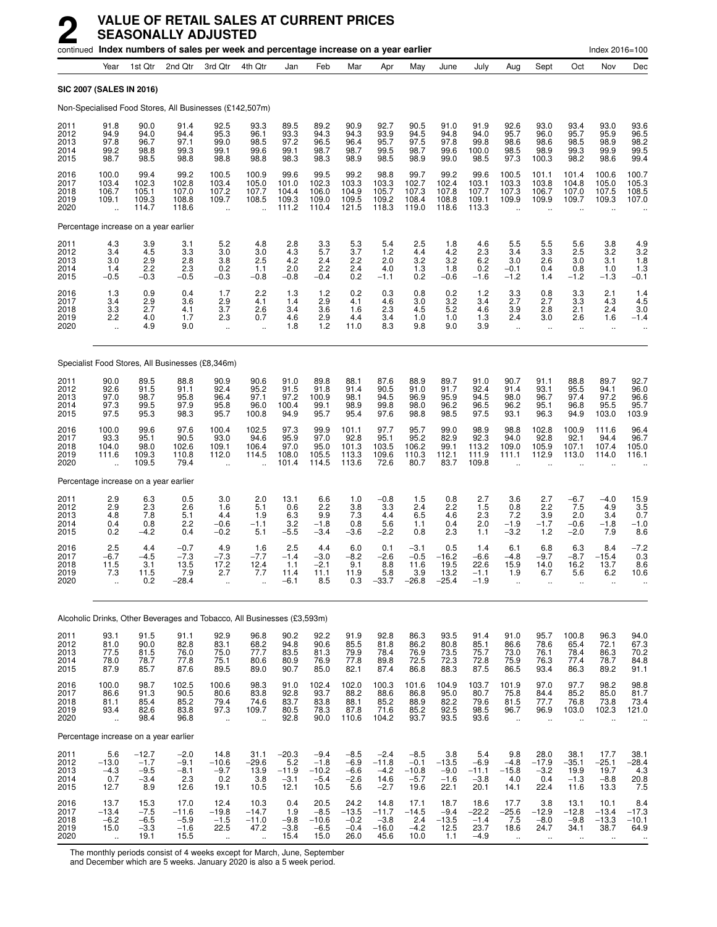|                                      |                                                          |                                                                     | continued Index numbers of sales per week and percentage increase on a year earlier |                                                           |                                           |                                             |                                                                      |                                             |                                               |                                               |                                            |                                             |                                                          |                                                      |                                                       | Index 2016=100                                        |                                           |
|--------------------------------------|----------------------------------------------------------|---------------------------------------------------------------------|-------------------------------------------------------------------------------------|-----------------------------------------------------------|-------------------------------------------|---------------------------------------------|----------------------------------------------------------------------|---------------------------------------------|-----------------------------------------------|-----------------------------------------------|--------------------------------------------|---------------------------------------------|----------------------------------------------------------|------------------------------------------------------|-------------------------------------------------------|-------------------------------------------------------|-------------------------------------------|
|                                      | Year                                                     | 1st Qtr                                                             | 2nd Qtr                                                                             | 3rd Qtr                                                   | 4th Qtr                                   | Jan                                         | Feb                                                                  | Mar                                         | Apr                                           | May                                           | June                                       | July                                        | Aug                                                      | Sept                                                 | Oct                                                   | Nov                                                   | Dec                                       |
|                                      |                                                          | SIC 2007 (SALES IN 2016)                                            |                                                                                     |                                                           |                                           |                                             |                                                                      |                                             |                                               |                                               |                                            |                                             |                                                          |                                                      |                                                       |                                                       |                                           |
|                                      |                                                          |                                                                     | Non-Specialised Food Stores, All Businesses (£142,507m)                             |                                                           |                                           |                                             |                                                                      |                                             |                                               |                                               |                                            |                                             |                                                          |                                                      |                                                       |                                                       |                                           |
| 2011<br>2012<br>2013<br>2014<br>2015 | 91.8<br>94.9<br>97.8<br>99.2<br>98.7                     | 90.0<br>94.0<br>96.7<br>98.8<br>98.5                                | 91.4<br>94.4<br>97.1<br>99.3<br>98.8                                                | 92.5<br>95.3<br>99.0<br>99.1<br>98.8                      | 93.3<br>96.1<br>98.5<br>99.6<br>98.8      | 89.5<br>93.3<br>97.2<br>99.1<br>98.3        | 89.2<br>94.3<br>96.5<br>98.7<br>98.3                                 | 90.9<br>94.3<br>96.4<br>98.7<br>98.9        | 92.7<br>93.9<br>95.7<br>99.5<br>98.5          | 90.5<br>94.5<br>97.5<br>98.7<br>98.9          | 91.0<br>94.8<br>97.8<br>99.6<br>99.0       | 91.9<br>94.0<br>99.8<br>100.0<br>98.5       | 92.6<br>95.7<br>98.6<br>98.5<br>97.3                     | 93.0<br>96.0<br>98.6<br>98.9<br>100.3                | 93.4<br>95.7<br>98.5<br>99.3<br>98.2                  | 93.0<br>95.9<br>98.9<br>99.9<br>98.6                  | 93.6<br>96.5<br>98.2<br>99.5<br>99.4      |
| 2016<br>2017<br>2018<br>2019<br>2020 | 100.0<br>103.4<br>106.7<br>109.1<br>$\ddot{\phantom{a}}$ | 99.4<br>102.3<br>105.1<br>109.3<br>114.7                            | 99.2<br>102.8<br>107.0<br>108.8<br>118.6                                            | 100.5<br>103.4<br>107.2<br>109.7<br>$\ddotsc$             | 100.9<br>105.0<br>107.7<br>108.5<br>ä,    | 99.6<br>101.0<br>104.4<br>109.3<br>111.2    | 99.5<br>102.3<br>106.0<br>109.0<br>110.4                             | 99.2<br>103.3<br>104.9<br>109.5<br>121.5    | 98.8<br>103.3<br>105.7<br>109.2<br>118.3      | 99.7<br>102.7<br>107.3<br>108.4<br>119.0      | 99.2<br>102.4<br>107.8<br>108.8<br>118.6   | 99.6<br>103.1<br>107.7<br>109.1<br>113.3    | 100.5<br>103.3<br>107.3<br>109.9                         | 101.1<br>103.8<br>106.7<br>109.9                     | 101.4<br>104.8<br>107.0<br>109.7                      | 100.6<br>105.0<br>107.5<br>109.3                      | 100.7<br>105.3<br>108.5<br>107.0          |
|                                      |                                                          | Percentage increase on a year earlier                               |                                                                                     |                                                           |                                           |                                             |                                                                      |                                             |                                               |                                               |                                            |                                             |                                                          |                                                      |                                                       |                                                       |                                           |
| 2011<br>2012<br>2013<br>2014<br>2015 | $\frac{4.3}{3.4}$<br>3.0<br>1.4<br>$-0.5$                | $\frac{3.9}{4.5}$<br>2.9<br>2.2<br>$-0.3$                           | 3.1<br>3.3<br>2.8<br>2.3<br>$-0.5$                                                  | 5.2<br>3.0<br>3.8<br>0.2<br>$-0.3$                        | 4.8<br>3.0<br>2.5<br>1.1<br>$-0.8$        | 2.8<br>4.3<br>4.2<br>2.0<br>$-0.8$          | 3.3<br>5.7<br>2.4<br>2.2<br>$-0.4$                                   | $\frac{5.3}{3.7}$<br>2.2<br>2.4<br>0.2      | 5.4<br>1.2<br>2.0<br>4.0<br>$-1.1$            | 2.5<br>4.4<br>3.2<br>1.3<br>0.2               | 1.8<br>4.2<br>3.2<br>1.8<br>$-0.6$         | 4.6<br>2.3<br>6.2<br>0.2<br>$-1.6$          | 5.5<br>3.4<br>3.0<br>$-0.1$<br>$-1.2$                    | 5.5<br>3.3<br>2.6<br>0.4<br>1.4                      | 5.6<br>2.5<br>3.0<br>0.8<br>$-1.2$                    | 3.8<br>3.2<br>3.1<br>1.0<br>$-1.3$                    | $\frac{4.9}{3.2}$<br>1.8<br>1.3<br>$-0.1$ |
| 2016<br>2017<br>2018<br>2019<br>2020 | 1.3<br>3.4<br>3.3<br>2.2<br>$\ddot{\phantom{a}}$         | 0.9<br>2.9<br>2.7<br>4.0<br>4.9                                     | 0.4<br>3.6<br>4.1<br>1.7<br>9.0                                                     | 1.7<br>2.9<br>3.7<br>2.3<br>$\ddot{\phantom{a}}$          | 2.2<br>4.1<br>2.6<br>0.7<br>u,            | 1.3<br>1.4<br>3.4<br>4.6<br>1.8             | 1.2<br>2.9<br>3.6<br>2.9<br>1.2                                      | 0.2<br>4.1<br>1.6<br>4.4<br>11.0            | 0.3<br>4.6<br>2.3<br>3.4<br>8.3               | 0.8<br>3.0<br>4.5<br>1.0<br>9.8               | 0.2<br>3.2<br>5.2<br>1.0<br>9.0            | 1.2<br>3.4<br>4.6<br>1.3<br>3.9             | 3.3<br>2.7<br>3.9<br>2.4<br>$\ddot{\phantom{a}}$         | 0.8<br>2.7<br>2.8<br>3.0<br>$\ddot{\phantom{1}}$     | 3.3<br>3.3<br>2.1<br>2.6<br>$\ddot{\phantom{1}}$      | 2.1<br>4.3<br>2.4<br>1.6<br>$\mathbf{r}$              | $1.4$<br>$4.5$<br>3.0<br>$-1.4$           |
|                                      |                                                          |                                                                     | Specialist Food Stores, All Businesses (£8,346m)                                    |                                                           |                                           |                                             |                                                                      |                                             |                                               |                                               |                                            |                                             |                                                          |                                                      |                                                       |                                                       |                                           |
| 2011<br>2012<br>2013<br>2014<br>2015 | 90.0<br>92.6<br>97.0<br>97.3<br>97.5                     | 89.5<br>91.5<br>98.7<br>99.5<br>95.3                                | 88.8<br>91.1<br>95.8<br>97.9<br>98.3                                                | 90.9<br>92.4<br>96.4<br>95.8<br>95.7                      | 90.6<br>95.2<br>97.1<br>96.0<br>100.8     | 91.0<br>91.5<br>97.2<br>100.4<br>94.9       | 89.8<br>91.8<br>100.9<br>99.1<br>95.7                                | 88.1<br>91.4<br>98.1<br>98.9<br>95.4        | 87.6<br>90.5<br>94.5<br>99.8<br>97.6          | 88.9<br>91.0<br>96.9<br>98.0<br>98.8          | 89.7<br>91.7<br>95.9<br>96.2<br>98.5       | 91.0<br>92.4<br>94.5<br>96.5<br>97.5        | 90.7<br>91.4<br>98.0<br>96.2<br>93.1                     | 91.1<br>93.1<br>96.7<br>95.1<br>96.3                 | 88.8<br>95.5<br>97.4<br>96.8<br>94.9                  | 89.7<br>94.1<br>97.2<br>95.5<br>103.0                 | 92.7<br>96.0<br>96.6<br>95.7<br>103.9     |
| 2016<br>2017<br>2018<br>2019<br>2020 | 100.0<br>93.3<br>104.0<br>111.6<br>ä.                    | 99.6<br>95.1<br>98.0<br>109.3<br>109.5                              | 97.6<br>90.5<br>102.6<br>110.8<br>79.4                                              | 100.4<br>93.0<br>109.1<br>112.0                           | 102.5<br>94.6<br>106.4<br>114.5           | 97.3<br>95.9<br>97.0<br>108.0<br>101.4      | 99.9<br>97.0<br>95.0<br>105.5<br>114.5                               | 101.1<br>92.8<br>101.3<br>113.3<br>113.6    | 97.7<br>95.1<br>103.5<br>109.6<br>72.6        | 95.7<br>95.2<br>106.2<br>110.3<br>80.7        | 99.0<br>82.9<br>99.1<br>112.1<br>83.7      | 98.9<br>92.3<br>113.2<br>111.9<br>109.8     | 98.8<br>94.0<br>109.0<br>111.1                           | 102.8<br>92.8<br>105.9<br>112.9                      | 100.9<br>92.1<br>107.1<br>113.0                       | 111.6<br>94.4<br>107.4<br>114.0                       | 96.4<br>96.7<br>105.0<br>116.1            |
|                                      |                                                          | Percentage increase on a year earlier                               |                                                                                     |                                                           |                                           |                                             |                                                                      |                                             |                                               |                                               |                                            |                                             |                                                          |                                                      |                                                       |                                                       |                                           |
| 2011<br>2012<br>2013<br>2014<br>2015 | 2.9<br>2.9<br>4.8<br>0.4<br>0.2                          | 6.3<br>2.3<br>7.8<br>0.8<br>$-4.2$                                  | 0.5<br>2.6<br>5.1<br>2.2<br>0.4                                                     | 3.0<br>1.6<br>4.4<br>$-0.6$<br>$-0.2$                     | 2.0<br>5.1<br>1.9<br>$-1.1$<br>5.1        | 13.1<br>0.6<br>6.3<br>3.2<br>$-5.5$         | 6.6<br>2.2<br>9.9<br>$-1.8$<br>$-3.4$                                | 1.0<br>$\frac{3.8}{7.3}$<br>0.8<br>$-3.6$   | $-0.8$<br>3.3<br>4.4<br>5.6<br>$-2.2$         | 1.5<br>2.4<br>6.5<br>1.1<br>0.8               | 0.8<br>2.2<br>4.6<br>0.4<br>2.3            | 2.7<br>1.5<br>2.3<br>2.0<br>1.1             | 3.6<br>0.8<br>7.2<br>$-1.9$<br>$-3.2$                    | 2.7<br>2.2<br>3.9<br>$-1.7$<br>1.2                   | $-6.7$<br>7.5<br>2.0<br>$-0.6$<br>$-2.0$              | $-4.0$<br>4.9<br>3.4<br>$-1.8$<br>7.9                 | 15.9<br>3.5<br>0.7<br>$-1.0$<br>8.6       |
| 2016<br>2017<br>2018<br>2019<br>2020 | 2.5<br>-6.7<br>11.5<br>7.3<br>$\ddotsc$                  | 4.4<br>$-4.5$<br>3.1<br>11.5<br>0.2                                 | $-0.7$<br>$-7.3$<br>13.5<br>7.9<br>$-28.4$                                          | 4.9<br>$-7.3$<br>17.2<br>2.7<br>$\ddotsc$                 | 1.6<br>$-7.7$<br>12.4<br>7.7<br>$\ddotsc$ | 2.5<br>$-1.4$<br>1.1<br>11.4<br>$-6.1$      | 4.4<br>$-3.0$<br>$-2.1$<br>11.1<br>8.5                               | 6.0<br>$-8.2$<br>9.1<br>11.9<br>0.3         | 0.1<br>$-2.6$<br>8.8<br>5.8<br>$-33.7$        | $-3.1$<br>$-0.5$<br>11.6<br>3.9<br>$-26.8$    | 0.5<br>$-16.2$<br>19.5<br>13.2<br>$-25.4$  | 1.4<br>$-6.6$<br>22.6<br>$-1.1$<br>$-1.9$   | 6.1<br>$-4.8$<br>15.9<br>1.9<br>$\ddot{\phantom{a}}$     | 6.8<br>$-9.7$<br>14.0<br>6.7<br>$\ddot{\phantom{a}}$ | 6.3<br>$-8.7$<br>16.2<br>5.6<br>$\ddot{\phantom{1}}$  | 8.4<br>$-15.4$<br>13.7<br>6.2<br>$\mathbf{r}$         | $-7.2$<br>0.3<br>8.6<br>10.6              |
|                                      |                                                          |                                                                     | Alcoholic Drinks, Other Beverages and Tobacco, All Businesses (£3,593m)             |                                                           |                                           |                                             |                                                                      |                                             |                                               |                                               |                                            |                                             |                                                          |                                                      |                                                       |                                                       |                                           |
| 2011<br>2012<br>2013<br>2014<br>2015 | 93.1<br>81.0<br>77.5<br>78.0<br>87.9                     | 91.5<br>$\begin{array}{c} 90.0 \\ 81.5 \end{array}$<br>78.7<br>85.7 | 91.1<br>82.8<br>76.0<br>77.8<br>87.6                                                | 92.9<br>83.1<br>75.0<br>75.1<br>89.5                      | 96.8<br>68.2<br>77.7<br>80.6<br>89.0      | 90.2<br>94.8<br>83.5<br>80.9<br>90.7        | 92.2<br>90.6<br>81.3<br>76.9<br>85.0                                 | 91.9<br>85.5<br>79.9<br>77.8<br>82.1        | 92.8<br>81.8<br>78.4<br>89.8<br>87.4          | 86.3<br>86.2<br>76.9<br>72.5<br>86.8          | 93.5<br>80.8<br>73.5<br>72.3<br>88.3       | 91.4<br>85.1<br>75.7<br>72.8<br>87.5        | 91.0<br>86.6<br>73.0<br>75.9<br>86.5                     | 95.7<br>78.6<br>76.1<br>76.3<br>93.4                 | 100.8<br>65.4<br>78.4<br>77.4<br>86.3                 | 96.3<br>72.1<br>86.3<br>78.7<br>89.2                  | 94.0<br>67.3<br>70.2<br>84.8<br>91.1      |
| 2016<br>2017<br>2018<br>2019<br>2020 | 100.0<br>86.6<br>81.1<br>93.4<br>$\ddot{\phantom{a}}$    | 98.7<br>91.3<br>85.4<br>82.6<br>98.4                                | 102.5<br>90.5<br>85.2<br>83.8<br>96.8                                               | 100.6<br>80.6<br>79.4<br>97.3<br>$\ddot{\phantom{a}}$     | 98.3<br>83.8<br>74.6<br>109.7<br>ä,       | 91.0<br>92.8<br>83.7<br>80.5<br>92.8        | $\begin{array}{c} 102.4 \\ 93.7 \\ 83.8 \end{array}$<br>78.3<br>90.0 | 102.0<br>88.2<br>88.1<br>87.8<br>110.6      | 100.3<br>88.6<br>85.2<br>71.6<br>104.2        | 101.6<br>$86.8$<br>$88.9$<br>85.2<br>93.7     | 104.9<br>95.0<br>82.2<br>92.5<br>93.5      | 103.7<br>80.7<br>79.6<br>98.5<br>93.6       | 101.9<br>75.8<br>81.5<br>96.7<br>à.                      | 97.0<br>84.4<br>77.7<br>96.9<br>$\ddot{\phantom{a}}$ | 97.7<br>85.2<br>76.8<br>103.0<br>$\ddot{\phantom{a}}$ | 98.2<br>85.0<br>73.8<br>102.3<br>$\ddot{\phantom{a}}$ | 98.8<br>81.7<br>73.4<br>121.0             |
|                                      |                                                          | Percentage increase on a year earlier                               |                                                                                     |                                                           |                                           |                                             |                                                                      |                                             |                                               |                                               |                                            |                                             |                                                          |                                                      |                                                       |                                                       |                                           |
| 2011<br>2012<br>2013<br>2014<br>2015 | 5.6<br>$-13.0$<br>$-4.3$<br>0.7<br>12.7                  | $-12.7$<br>$-1.7$<br>$-9.5$<br>$-3.4$<br>8.9                        | $-2.0$<br>$-9.1$<br>$-8.1$<br>2.3<br>12.6                                           | 14.8<br>$-10.6$<br>$-9.7$<br>0.2<br>19.1                  | 31.1<br>$-29.6$<br>13.9<br>3.8<br>10.5    | $-20.3$<br>5.2<br>$-11.9$<br>$-3.1$<br>12.1 | $-9.4$<br>$-1.8$<br>$-10.2$<br>$-5.4$<br>10.5                        | $-8.5$<br>$-6.9$<br>$-6.6$<br>$-2.6$<br>5.6 | $-2.4$<br>$-11.8$<br>$-4.2$<br>14.6<br>$-2.7$ | $-8.5$<br>$-0.1$<br>$-10.8$<br>$-5.7$<br>19.6 | 3.8<br>$-13.5$<br>$-9.0$<br>$-1.6$<br>22.1 | 5.4<br>$-6.9$<br>$-11.1$<br>$-3.8$<br>20.1  | 9.8<br>$-4.8$<br>$-15.8$<br>4.0<br>14.1                  | 28.0<br>$-17.9$<br>$-3.2$<br>0.4<br>22.4             | 38.1<br>$-35.1$<br>19.9<br>$-1.3$<br>11.6             | 17.7<br>$-25.1$<br>19.7<br>$-8.8$<br>13.3             | $38.1 - 28.4$<br>4.3<br>20.8<br>7.5       |
| 2016<br>2017<br>2018<br>2019<br>2020 | 13.7<br>$-13.4$<br>$-6.2$<br>15.0<br>$\ddotsc$           | 15.3<br>$-7.5$<br>$-6.5$<br>$-3.3$<br>19.1                          | 17.0<br>$-11.6$<br>$-5.9$<br>$-1.6$<br>15.5                                         | 12.4<br>$-19.8$<br>$-1.5$<br>22.5<br>$\ddot{\phantom{a}}$ | 10.3<br>$-14.7$<br>$-11.0$<br>47.2<br>Ţ,  | 0.4<br>1.9<br>$-9.8$<br>$-3.8$<br>15.4      | 20.5<br>$-8.5$<br>$-10.6$<br>$-6.5$<br>15.0                          | 24.2<br>$-13.5$<br>$-0.2$<br>$-0.4$<br>26.0 | 14.8<br>$-11.7$<br>$-3.8$<br>$-16.0$<br>45.6  | 17.1<br>$-14.5$<br>$^{2.4}_{-4.2}$<br>10.0    | 18.7<br>$-9.4$<br>$-13.5$<br>12.5<br>1.1   | 18.6<br>$-22.2$<br>$-1.4$<br>23.7<br>$-4.9$ | 17.7<br>$-25.6$<br>$7.5$<br>18.6<br>$\ddot{\phantom{1}}$ | 3.8<br>$-12.9$<br>$-8.0$<br>24.7<br>$\ddotsc$        | 13.1<br>$-12.8$<br>$-9.8$<br>34.1<br>$\ddotsc$        | 10.1<br>$-13.4$<br>$-13.3$<br>38.7<br>$\ldots$        | $8.4 - 17.3$<br>$-10.1$<br>64.9           |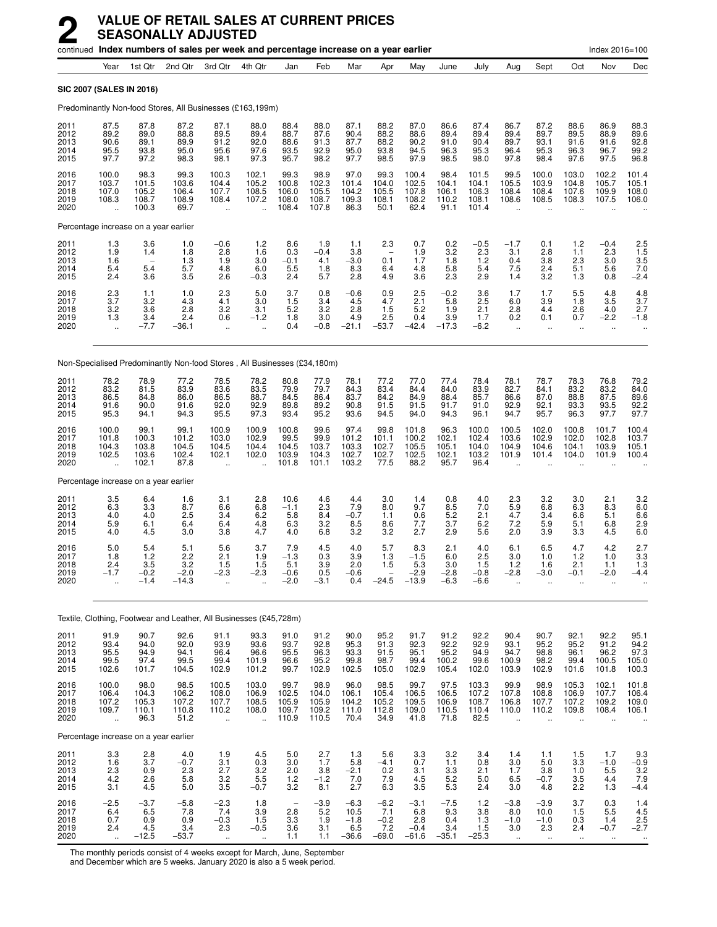|                                       |                                                          |                                          |                                         | continued Index numbers of sales per week and percentage increase on a year earlier |                                                          |                                          |                                          |                                            |                                           |                                           |                                         |                                           |                                                         |                                                  |                                                          | Index 2016=100                                      |                                                                         |
|---------------------------------------|----------------------------------------------------------|------------------------------------------|-----------------------------------------|-------------------------------------------------------------------------------------|----------------------------------------------------------|------------------------------------------|------------------------------------------|--------------------------------------------|-------------------------------------------|-------------------------------------------|-----------------------------------------|-------------------------------------------|---------------------------------------------------------|--------------------------------------------------|----------------------------------------------------------|-----------------------------------------------------|-------------------------------------------------------------------------|
|                                       | Year                                                     | 1st Qtr                                  | 2nd Qtr                                 | 3rd Qtr                                                                             | 4th Qtr                                                  | Jan                                      | Feb                                      | Mar                                        | Apr                                       | May                                       | June                                    | July                                      | Aug                                                     | Sept                                             | Oct                                                      | Nov                                                 | Dec                                                                     |
| <b>SIC 2007 (SALES IN 2016)</b>       |                                                          |                                          |                                         |                                                                                     |                                                          |                                          |                                          |                                            |                                           |                                           |                                         |                                           |                                                         |                                                  |                                                          |                                                     |                                                                         |
|                                       |                                                          |                                          |                                         | Predominantly Non-food Stores, All Businesses (£163,199m)                           |                                                          |                                          |                                          |                                            |                                           |                                           |                                         |                                           |                                                         |                                                  |                                                          |                                                     |                                                                         |
| 2011<br>2012<br>2013<br>2014<br>2015  | 87.5<br>89.2<br>90.6<br>95.5<br>97.7                     | 87.8<br>89.0<br>89.1<br>93.8<br>97.2     | 87.2<br>88.8<br>89.9<br>95.0<br>98.3    | 87.1<br>89.5<br>91.2<br>95.6<br>98.1                                                | 88.0<br>89.4<br>92.0<br>97.6<br>97.3                     | 88.4<br>88.7<br>88.6<br>93.5<br>95.7     | 88.0<br>87.6<br>91.3<br>92.9<br>98.2     | 87.1<br>90.4<br>87.7<br>95.0<br>97.7       | 88.2<br>88.2<br>88.2<br>93.8<br>98.5      | 87.0<br>88.6<br>90.2<br>94.5<br>97.9      | 86.6<br>89.4<br>91.0<br>96.3<br>98.5    | 87.4<br>89.4<br>90.4<br>95.3<br>98.0      | 86.7<br>89.4<br>89.7<br>96.4<br>97.8                    | 87.2<br>89.7<br>93.1<br>95.3<br>98.4             | 88.6<br>89.5<br>91.6<br>96.3<br>97.6                     | 86.9<br>88.9<br>91.6<br>96.7<br>97.5                | 88.3<br>89.6<br>92.8<br>99.2<br>96.8                                    |
| 2016<br>2017<br>2018<br>2019<br>2020  | 100.0<br>103.7<br>107.0<br>108.3<br>ă,                   | 98.3<br>101.5<br>105.2<br>108.7<br>100.3 | 99.3<br>103.6<br>106.4<br>108.9<br>69.7 | 100.3<br>104.4<br>107.7<br>108.4<br>$\ddotsc$                                       | 102.1<br>105.2<br>108.5<br>107.2<br>ä,                   | 99.3<br>100.8<br>106.0<br>108.0<br>108.4 | 98.9<br>102.3<br>105.5<br>108.7<br>107.8 | 97.0<br>101.4<br>104.2<br>109.3<br>86.3    | 99.3<br>104.0<br>105.5<br>108.1<br>50.1   | 100.4<br>102.5<br>107.8<br>108.2<br>62.4  | 98.4<br>104.1<br>106.1<br>110.2<br>91.1 | 101.5<br>104.1<br>106.3<br>108.1<br>101.4 | 99.5<br>105.5<br>108.4<br>108.6                         | 100.0<br>103.9<br>108.4<br>108.5                 | 103.0<br>104.8<br>107.6<br>108.3                         | 102.2<br>105.7<br>109.9<br>107.5                    | 101.4<br>105.1<br>108.0<br>106.0                                        |
|                                       |                                                          | Percentage increase on a year earlier    |                                         |                                                                                     |                                                          |                                          |                                          |                                            |                                           |                                           |                                         |                                           |                                                         |                                                  |                                                          |                                                     |                                                                         |
| 2011<br>2012<br>2013<br>2014<br>2015  | $\frac{1.3}{1.9}$<br>1.6<br>5.4<br>2.4                   | 3.6<br>1.4<br>5.4<br>3.6                 | 1.0<br>1.8<br>1.3<br>5.7<br>3.5         | $-0.6$<br>2.8<br>1.9<br>4.8<br>2.6                                                  | 1.2<br>1.6<br>3.0<br>6.0<br>$-0.3$                       | 8.6<br>0.3<br>$-0.1$<br>5.5<br>2.4       | 1.9<br>$-0.4$<br>4.1<br>1.8<br>5.7       | 1.1<br>3.8<br>$-3.0$<br>8.3<br>2.8         | 2.3<br>0.1<br>6.4<br>4.9                  | 0.7<br>1.9<br>1.7<br>4.8<br>3.6           | 0.2<br>3.2<br>1.8<br>5.8<br>2.3         | $-0.5$<br>2.3<br>1.2<br>5.4<br>2.9        | $-1.7$<br>3.1<br>0.4<br>7.5<br>1.4                      | 0.1<br>2.8<br>3.8<br>2.4<br>3.2                  | 1.2<br>1.1<br>2.3<br>5.1<br>1.3                          | $-0.4$<br>2.3<br>3.0<br>5.6<br>0.8                  | $2.5$<br>1.5<br>3.5<br>$^{7.0}_{-2.4}$                                  |
| 2016<br>2017<br>2018<br>2019<br>2020  | $\frac{2.3}{3.7}$<br>3.2<br>1.3<br>$\ddot{\phantom{a}}$  | 1.1<br>3.2<br>3.6<br>3.4<br>$-7.7$       | 1.0<br>4.3<br>2.8<br>2.4<br>-36.1       | 2.3<br>4.1<br>3.2<br>0.6<br>$\ddot{\phantom{1}}$                                    | 5.0<br>3.0<br>3.1<br>$-1.2$<br>$\ddot{\phantom{a}}$      | 3.7<br>1.5<br>5.2<br>1.8<br>0.4          | 0.8<br>3.4<br>3.2<br>3.0<br>$-0.8$       | $-0.6$<br>4.5<br>2.8<br>4.9<br>$-21.1$     | 0.9<br>4.7<br>1.5<br>2.5<br>$-53.7$       | 2.5<br>2.1<br>5.2<br>0.4<br>$-42.4$       | $-0.2$<br>5.8<br>1.9<br>3.9<br>$-17.3$  | 3.6<br>2.5<br>2.1<br>1.7<br>$-6.2$        | 1.7<br>6.0<br>2.8<br>0.2<br>$\ddot{\phantom{a}}$        | 1.7<br>3.9<br>4.4<br>0.1<br>$\ddot{\phantom{1}}$ | 5.5<br>1.8<br>2.6<br>0.7<br>$\ddot{\phantom{a}}$         | 4.8<br>3.5<br>4.0<br>$-2.2$<br>$\ddot{\phantom{a}}$ | 4.8<br>3.7<br>2.7<br>$-1.8$                                             |
|                                       |                                                          |                                          |                                         | Non-Specialised Predominantly Non-food Stores, All Businesses (£34,180m)            |                                                          |                                          |                                          |                                            |                                           |                                           |                                         |                                           |                                                         |                                                  |                                                          |                                                     |                                                                         |
| 2011<br>2012<br>2013<br>2014<br>2015  | 78.2<br>83.2<br>86.5<br>91.6<br>95.3                     | 78.9<br>81.5<br>84.8<br>90.0<br>94.1     | 77.2<br>83.9<br>86.0<br>91.6<br>94.3    | 78.5<br>83.6<br>86.5<br>92.0<br>95.5                                                | 78.2<br>83.5<br>88.7<br>92.9<br>97.3                     | 80.8<br>79.9<br>84.5<br>89.8<br>93.4     | 77.9<br>79.7<br>86.4<br>89.2<br>95.2     | 78.1<br>84.3<br>83.7<br>90.8<br>93.6       | 77.2<br>83.4<br>84.2<br>91.5<br>94.5      | 77.0<br>84.4<br>84.9<br>91.5<br>94.0      | 77.4<br>84.0<br>88.4<br>91.7<br>94.3    | 78.4<br>83.9<br>85.7<br>91.0<br>96.1      | 78.1<br>82.7<br>86.6<br>92.9<br>94.7                    | 78.7<br>84.1<br>87.0<br>92.1<br>95.7             | 78.3<br>83.2<br>88.8<br>93.3<br>96.3                     | 76.8<br>83.2<br>87.5<br>93.5<br>97.7                | 79.2<br>84.0<br>89.6<br>92.2<br>97.7                                    |
| 2016<br>2017<br>2018<br>2019<br>2020  | 100.0<br>101.8<br>104.3<br>102.5<br>$\ddotsc$            | 99.1<br>100.3<br>103.8<br>103.6<br>102.1 | 99.1<br>101.2<br>104.5<br>102.4<br>87.8 | 100.9<br>103.0<br>104.5<br>102.1                                                    | 100.9<br>102.9<br>104.4<br>102.0                         | 100.8<br>99.5<br>104.5<br>103.9<br>101.8 | 99.6<br>99.9<br>103.7<br>104.3<br>101.1  | 97.4<br>101.2<br>103.3<br>102.7<br>103.2   | 99.8<br>101.1<br>102.7<br>102.7<br>77.5   | 101.8<br>100.2<br>105.5<br>102.5<br>88.2  | 96.3<br>102.1<br>105.1<br>102.1<br>95.7 | 100.0<br>102.4<br>104.0<br>103.2<br>96.4  | 100.5<br>103.6<br>104.9<br>101.9                        | 102.0<br>102.9<br>104.6<br>101.4                 | 100.8<br>102.0<br>104.1<br>104.0                         | 101.7<br>102.8<br>103.9<br>101.9                    | 100.4<br>103.7<br>105.1<br>100.4                                        |
| Percentage increase on a year earlier |                                                          |                                          |                                         |                                                                                     |                                                          |                                          |                                          |                                            |                                           |                                           |                                         |                                           |                                                         |                                                  |                                                          |                                                     |                                                                         |
| 2011<br>2012<br>2013<br>2014<br>2015  | 3.5<br>6.3<br>4.0<br>5.9<br>4.0                          | 6.4<br>3.3<br>4.0<br>6.1<br>4.5          | 1.6<br>8.7<br>2.5<br>6.4<br>3.0         | 3.1<br>6.6<br>3.4<br>6.4<br>3.8                                                     | 2.8<br>6.8<br>6.2<br>4.8<br>4.7                          | 10.6<br>$-1.1$<br>5.8<br>6.3<br>4.0      | 4.6<br>2.3<br>8.4<br>3.2<br>6.8          | 4.4<br>7.9<br>$-0.7$<br>8.5<br>3.2         | 3.0<br>8.0<br>1.1<br>8.6<br>3.2           | 1.4<br>9.7<br>0.6<br>7.7<br>2.7           | 0.8<br>8.5<br>5.2<br>3.7<br>2.9         | 4.0<br>7.0<br>2.1<br>6.2<br>5.6           | 2.3<br>5.9<br>4.7<br>7.2<br>2.0                         | 3.2<br>6.8<br>3.4<br>5.9<br>3.9                  | 3.0<br>6.3<br>6.6<br>5.1<br>3.3                          | 2.1<br>8.3<br>5.1<br>6.8<br>4.5                     | 3.2<br>6.0<br>6.6<br>2.9<br>6.0                                         |
| 2016<br>2017<br>2018<br>2019<br>2020  | 5.0<br>1.8<br>2.4<br>$-1.7$<br>ä,                        | 5.4<br>1.2<br>3.5<br>$-0.2$<br>$-1.4$    | 5.1<br>2.2<br>3.2<br>$-2.0$<br>$-14.3$  | 5.6<br>2.1<br>1.5<br>$-2.3$<br>$\ddotsc$                                            | 3.7<br>1.9<br>1.5<br>$-2.3$                              | 7.9<br>$-1.3$<br>5.1<br>$-0.6$<br>$-2.0$ | 4.5<br>0.3<br>3.9<br>0.5<br>$-3.1$       | 4.0<br>3.9<br>2.0<br>$-0.6$<br>0.4         | 5.7<br>1.3<br>1.5<br>$-24.5$              | 8.3<br>$-1.5$<br>5.3<br>$-2.9$<br>$-13.9$ | 2.1<br>6.0<br>3.0<br>$-2.8$<br>$-6.3$   | 4.0<br>2.5<br>1.5<br>$-0.8$<br>$-6.6$     | 6.1<br>3.0<br>1.2<br>$-2.8$<br>$\ddot{\phantom{a}}$     | 6.5<br>1.0<br>1.6<br>$-3.0$<br>ä.                | 4.7<br>1.2<br>2.1<br>$-0.1$<br>ä.                        | 4.2<br>1.0<br>1.1<br>$-2.0$<br>$\ddot{\phantom{a}}$ | 2.7<br>3.3<br>1.3<br>-4.4                                               |
|                                       |                                                          |                                          |                                         | Textile, Clothing, Footwear and Leather, All Businesses (£45,728m)                  |                                                          |                                          |                                          |                                            |                                           |                                           |                                         |                                           |                                                         |                                                  |                                                          |                                                     |                                                                         |
| 2011<br>2012<br>2013<br>2014<br>2015  | 91.9<br>93.4<br>95.5<br>99.5<br>102.6                    | 90.7<br>94.0<br>94.9<br>97.4<br>101.7    | 92.6<br>92.0<br>94.1<br>99.5<br>104.5   | 91.1<br>93.9<br>96.4<br>99.4<br>102.9                                               | 93.3<br>93.6<br>96.6<br>101.9<br>101.2                   | 91.0<br>93.7<br>95.5<br>96.6<br>99.7     | 91.2<br>92.8<br>96.3<br>95.2<br>102.9    | 90.0<br>95.3<br>93.3<br>99.8<br>102.5      | 95.2<br>91.3<br>91.5<br>98.7<br>105.0     | 91.7<br>92.3<br>95.1<br>99.4<br>102.9     | 91.2<br>92.2<br>95.2<br>100.2<br>105.4  | 92.2<br>92.9<br>94.9<br>99.6<br>102.0     | 90.4<br>93.1<br>94.7<br>100.9<br>103.9                  | 90.7<br>95.2<br>98.8<br>98.2<br>102.9            | 92.1<br>95.2<br>96.1<br>99.4<br>101.6                    | 92.2<br>91.2<br>96.2<br>100.5<br>101.8              | 95.1<br>94.2<br>97.3<br>105.0<br>100.3                                  |
| 2016<br>2017<br>2018<br>2019<br>2020  | 100.0<br>106.4<br>107.2<br>109.7<br>$\ddot{\phantom{a}}$ | 98.0<br>104.3<br>105.3<br>110.1<br>96.3  | 98.5<br>106.2<br>107.2<br>110.8<br>51.2 | 100.5<br>108.0<br>107.7<br>110.2<br>u.                                              | 103.0<br>106.9<br>108.5<br>108.0<br>$\ddot{\phantom{a}}$ | 99.7<br>102.5<br>105.9<br>109.7<br>110.9 | 98.9<br>104.0<br>105.9<br>109.2<br>110.5 | 96.0<br>106.1<br>104.2<br>111.0<br>70.4    | 98.5<br>105.4<br>105.2<br>112.8<br>34.9   | 99.7<br>106.5<br>109.5<br>109.0<br>41.8   | 97.5<br>106.5<br>106.9<br>110.5<br>71.8 | 103.3<br>107.2<br>108.7<br>110.4<br>82.5  | 99.9<br>107.8<br>106.8<br>110.0<br>$\ddot{\phantom{a}}$ | 98.9<br>108.8<br>107.7<br>110.2<br>$\ddotsc$     | 105.3<br>106.9<br>107.2<br>109.8<br>$\ddot{\phantom{a}}$ | 102.1<br>107.7<br>109.2<br>108.4<br>ă,              | 101.8<br>106.4<br>109.0<br>106.1                                        |
| Percentage increase on a year earlier |                                                          |                                          |                                         |                                                                                     |                                                          |                                          |                                          |                                            |                                           |                                           |                                         |                                           |                                                         |                                                  |                                                          |                                                     |                                                                         |
| 2011<br>2012<br>2013<br>2014<br>2015  | 3.3<br>1.6<br>$^{2.3}_{4.2}$<br>3.1                      | 2.8<br>3.7<br>0.9<br>2.6<br>4.5          | 4.0<br>$-0.7$<br>2.3<br>5.8<br>5.0      | 1.9<br>3.1<br>2.7<br>3.2<br>3.5                                                     | 4.5<br>$0.3\,$<br>$\frac{3.2}{5.5}$<br>$-0.7$            | 5.0<br>3.0<br>$^{2.0}_{1.2}$<br>3.2      | 2.7<br>1.7<br>$3.8 - 1.2$<br>8.1         | 1.3<br>5.8<br>$-2.1$<br>7.0<br>2.7         | 5.6<br>$-4.1$<br>$^{0.2}_{7.9}$<br>6.3    | 3.3<br>0.7<br>3.1<br>4.5<br>3.5           | 3.2<br>1.1<br>$\frac{3.3}{5.2}$<br>5.3  | 3.4<br>0.8<br>2.1<br>5.0<br>2.4           | 1.4<br>3.0<br>1.7<br>6.5<br>3.0                         | 1.1<br>5.0<br>3.8<br>$-0.7$<br>4.8               | 1.5<br>3.3<br>1.0<br>3.5<br>2.2                          | 1.7<br>$-1.0$<br>5.5<br>4.4<br>1.3                  | $\begin{array}{c} 9.3 \\ -0.9 \end{array}$<br>$\frac{3.2}{7.9}$<br>-4.4 |
| 2016<br>2017<br>2018<br>2019<br>2020  | $-2.5$<br>6.4<br>$^{0.7}_{2.4}$<br>$\ddotsc$             | $-3.7$<br>6.5<br>0.9<br>4.5<br>$-12.5$   | $-5.8$<br>7.8<br>0.9<br>3.4<br>$-53.7$  | $-2.3$<br>7.4<br>$-0.3$<br>2.3<br>$\ddotsc$                                         | 1.8<br>3.9<br>1.5<br>$-0.5$<br>$\ldots$                  | 2.8<br>3.3<br>3.6<br>1.1                 | $-3.9$<br>5.2<br>1.9<br>3.1<br>1.1       | $-6.3$<br>10.5<br>$-1.8$<br>6.5<br>$-36.6$ | $-6.2$<br>7.1<br>$-0.2$<br>7.2<br>$-69.0$ | -3.1<br>6.8<br>2.8<br>$-0.4$<br>$-61.6$   | $-7.5$<br>9.3<br>0.4<br>3.4<br>$-35.1$  | 1.2<br>3.8<br>1.3<br>1.5<br>$-25.3$       | $-3.8$<br>8.0<br>$-1.0$<br>3.0<br>$\sim$                | $-3.9$<br>10.0<br>$-1.0$<br>2.3<br>$\sim$        | 3.7<br>1.5<br>0.3<br>2.4<br>$\bullet\bullet$             | 0.3<br>5.5<br>1.4<br>$-0.7$<br>$\ddotsc$            | 1.4<br>4.5<br>$^{2.5}_{-2.7}$                                           |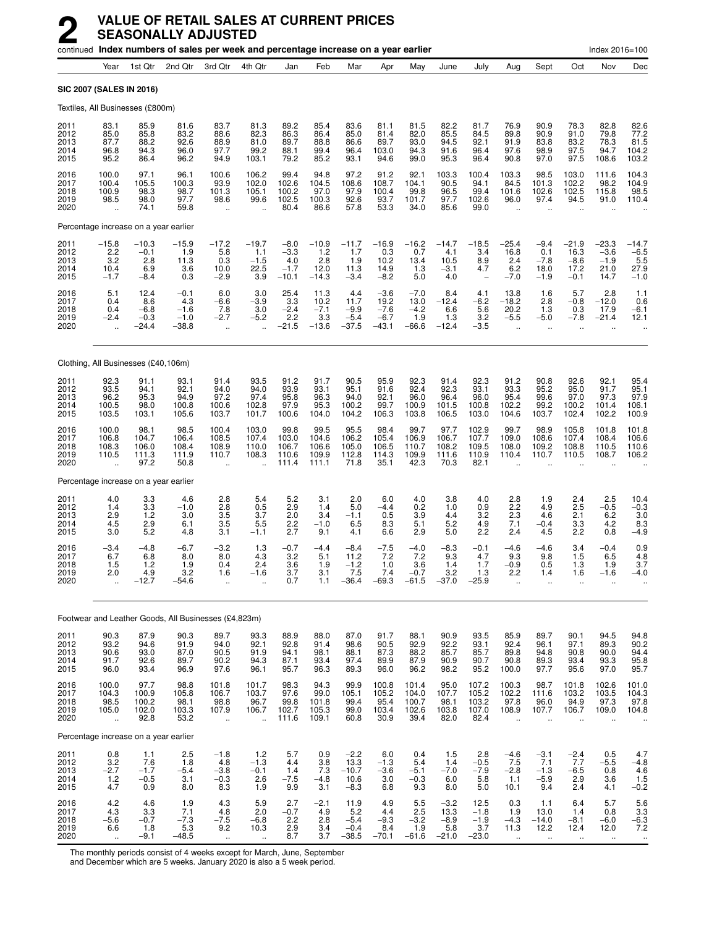|                                      | continued Index numbers of sales per week and percentage increase on a year earlier |                                              |                                            |                                             |                                                      |                                              |                                              |                                             |                                               |                                            |                                            |                                            |                                                         |                                                   |                                                      | Index 2016=100                                       |                                                             |
|--------------------------------------|-------------------------------------------------------------------------------------|----------------------------------------------|--------------------------------------------|---------------------------------------------|------------------------------------------------------|----------------------------------------------|----------------------------------------------|---------------------------------------------|-----------------------------------------------|--------------------------------------------|--------------------------------------------|--------------------------------------------|---------------------------------------------------------|---------------------------------------------------|------------------------------------------------------|------------------------------------------------------|-------------------------------------------------------------|
|                                      | Year                                                                                | 1st Qtr                                      | 2nd Qtr                                    | 3rd Qtr                                     | 4th Qtr                                              | Jan                                          | Feb                                          | Mar                                         | Apr                                           | May                                        | June                                       | July                                       | Aug                                                     | Sept                                              | Oct                                                  | Nov                                                  | Dec                                                         |
|                                      | SIC 2007 (SALES IN 2016)                                                            |                                              |                                            |                                             |                                                      |                                              |                                              |                                             |                                               |                                            |                                            |                                            |                                                         |                                                   |                                                      |                                                      |                                                             |
|                                      | Textiles, All Businesses (£800m)                                                    |                                              |                                            |                                             |                                                      |                                              |                                              |                                             |                                               |                                            |                                            |                                            |                                                         |                                                   |                                                      |                                                      |                                                             |
| 2011<br>2012<br>2013<br>2014<br>2015 | 83.1<br>85.0<br>87.7<br>96.8<br>95.2                                                | 85.9<br>85.8<br>88.2<br>94.3<br>86.4         | 81.6<br>83.2<br>92.6<br>96.0<br>96.2       | 83.7<br>88.6<br>88.9<br>97.7<br>94.9        | 81.3<br>82.3<br>81.0<br>99.2<br>103.1                | 89.2<br>86.3<br>89.7<br>88.1<br>79.2         | 85.4<br>86.4<br>88.8<br>99.4<br>85.2         | 83.6<br>85.0<br>86.6<br>96.4<br>93.1        | 81.1<br>81.4<br>89.7<br>103.0<br>94.6         | 81.5<br>82.0<br>93.0<br>94.3<br>99.0       | 82.2<br>85.5<br>94.5<br>91.6<br>95.3       | 81.7<br>84.5<br>92.1<br>96.4<br>96.4       | 76.9<br>89.8<br>91.9<br>97.6<br>90.8                    | 90.9<br>90.9<br>83.8<br>98.9<br>97.0              | 78.3<br>91.0<br>83.2<br>97.5<br>97.5                 | 82.8<br>79.8<br>78.3<br>94.7<br>108.6                | 82.6<br>77.2<br>$81.5$<br>104.2<br>103.2                    |
| 2016<br>2017<br>2018<br>2019<br>2020 | 100.0<br>100.4<br>100.9<br>98.5<br>u,                                               | 97.1<br>105.5<br>98.3<br>98.0<br>74.1        | 96.1<br>100.3<br>98.7<br>97.7<br>59.8      | 100.6<br>93.9<br>101.3<br>98.6<br>÷.        | 106.2<br>102.0<br>105.1<br>99.6<br>$\ddotsc$         | 99.4<br>102.6<br>100.2<br>102.5<br>80.4      | 94.8<br>104.5<br>97.0<br>100.3<br>86.6       | 97.2<br>108.6<br>97.9<br>92.6<br>57.8       | 91.2<br>108.7<br>100.4<br>93.7<br>53.3        | 92.1<br>104.1<br>99.8<br>101.7<br>34.0     | 103.3<br>90.5<br>96.5<br>97.7<br>85.6      | 100.4<br>94.1<br>99.4<br>102.6<br>99.0     | 103.3<br>84.5<br>101.6<br>96.0<br>$\sim$                | 98.5<br>101.3<br>102.6<br>97.4<br>$\ddotsc$       | 103.0<br>102.2<br>102.5<br>94.5                      | 111.6<br>98.2<br>115.8<br>91.0                       | 104.3<br>104.9<br>98.5<br>110.4                             |
|                                      | Percentage increase on a year earlier                                               |                                              |                                            |                                             |                                                      |                                              |                                              |                                             |                                               |                                            |                                            |                                            |                                                         |                                                   |                                                      |                                                      |                                                             |
| 2011<br>2012<br>2013<br>2014<br>2015 | $-15.8$<br>2.2<br>3.2<br>10.4<br>$-1.7$                                             | $-10.3$<br>$-0.1$<br>2.8<br>6.9<br>$-8.4$    | $-15.9$<br>1.9<br>11.3<br>3.6<br>0.3       | $-17.2$<br>5.8<br>0.3<br>10.0<br>$-2.9$     | $-19.7$<br>1.1<br>$-1.5$<br>$^{22.5}_{3.9}$          | $-8.0$<br>$-3.3$<br>4.0<br>$-1.7$<br>$-10.1$ | $^{-10.9}_{1.2}$<br>2.8<br>12.0<br>$-14.3$   | $-11.7$<br>1.7<br>1.9<br>11.3<br>$-3.4$     | $^{-16.9}_{0.3}$<br>10.2<br>14.9<br>$-8.2$    | $^{-16.2}_{0.7}$<br>13.4<br>1.3<br>5.0     | $-14.7$<br>4.1<br>10.5<br>$-3.1$<br>4.0    | $^{-18.5}_{-3.4}$<br>8.9<br>4.7            | $-25.4$<br>16.8<br>2.4<br>6.2<br>$-7.0$                 | $-9.4$<br>0.1<br>$-7.8$<br>18.0<br>$-1.9$         | $-21.9$<br>16.3<br>$-8.6$<br>17.2<br>$-0.1$          | $-23.3$<br>$-3.6$<br>$-1.9$<br>21.0<br>14.7          | $-14.7$<br>$-6.5$<br>5.5<br>$27.9 - 1.0$                    |
| 2016<br>2017<br>2018<br>2019<br>2020 | 5.1<br>0.4<br>0.4<br>$-2.4$                                                         | $^{12.4}_{8.6}$<br>$-6.8$<br>$-0.3$<br>-24.4 | $-0.1$<br>4.3<br>$-1.6$<br>$-1.0$<br>–38.8 | 6.0<br>$-6.6$<br>7.8<br>$-2.7$<br>$\ddotsc$ | $\frac{3.0}{-3.9}$<br>3.0<br>$-5.2$                  | $^{25.4}_{3.3}$<br>$-2.4$<br>2.2<br>$-21.5$  | $11.3$<br>$10.2$<br>$-7.1$<br>3.3<br>$-13.6$ | 4.4<br>11.7<br>$-9.9$<br>$-5.4$<br>$-37.5$  | $-3.6$<br>19.2<br>$-7.6$<br>$-6.7$<br>$-43.1$ | $-7.0$<br>13.0<br>$-4.2$<br>1.9<br>$-66.6$ | 8.4<br>$-12.4$<br>6.6<br>1.3<br>$-12.4$    | 4.1<br>$-6.2$<br>5.6<br>3.2<br>$-3.5$      | $13.8 - 18.2$<br>20.2<br>$-5.5$                         | 1.6<br>2.8<br>1.3<br>$-5.0$                       | 5.7<br>$-0.8$<br>0.3<br>$-7.8$                       | 2.8<br>$-12.0$<br>17.9<br>$-21.4$                    | $\begin{array}{c} 1.1 \\ 0.6 \end{array}$<br>$-6.1$<br>12.1 |
|                                      | Clothing, All Businesses (£40,106m)                                                 |                                              |                                            |                                             |                                                      |                                              |                                              |                                             |                                               |                                            |                                            |                                            |                                                         |                                                   |                                                      |                                                      |                                                             |
| 2011<br>2012<br>2013<br>2014<br>2015 | 92.3<br>93.5<br>96.2<br>100.5<br>103.5                                              | 91.1<br>94.1<br>95.3<br>98.0<br>103.1        | 93.1<br>92.1<br>94.9<br>100.8<br>105.6     | 91.4<br>94.0<br>97.2<br>100.6<br>103.7      | 93.5<br>94.0<br>97.4<br>102.8<br>101.7               | 91.2<br>93.9<br>95.8<br>97.9<br>100.6        | 91.7<br>93.1<br>96.3<br>95.3<br>104.0        | 90.5<br>95.1<br>94.0<br>100.2<br>104.2      | 95.9<br>91.6<br>92.1<br>99.7<br>106.3         | 92.3<br>92.4<br>96.0<br>100.9<br>103.8     | 91.4<br>92.3<br>96.4<br>101.5<br>106.5     | 92.3<br>93.1<br>96.0<br>100.8<br>103.0     | 91.2<br>93.3<br>95.4<br>102.2<br>104.6                  | 90.8<br>95.2<br>99.6<br>99.2<br>103.7             | 92.6<br>95.0<br>97.0<br>100.2<br>102.4               | 92.1<br>91.7<br>97.3<br>101.4<br>102.2               | 95.4<br>95.1<br>97.9<br>106.1<br>100.9                      |
| 2016<br>2017<br>2018<br>2019<br>2020 | 100.0<br>106.8<br>108.3<br>110.5                                                    | 98.1<br>104.7<br>106.0<br>111.3<br>97.2      | 98.5<br>106.4<br>108.4<br>111.9<br>50.8    | 100.4<br>108.5<br>108.9<br>110.7            | 103.0<br>107.4<br>110.0<br>108.3                     | 99.8<br>103.0<br>106.7<br>110.6<br>111.4     | 99.5<br>104.6<br>106.6<br>109.9<br>111.1     | 95.5<br>106.2<br>105.0<br>112.8<br>71.8     | 98.4<br>105.4<br>106.5<br>114.3<br>35.1       | 99.7<br>106.9<br>110.7<br>109.9<br>42.3    | 97.7<br>106.7<br>108.2<br>111.6<br>70.3    | 102.9<br>107.7<br>109.5<br>110.9<br>82.1   | 99.7<br>109.0<br>108.0<br>110.4                         | 98.9<br>108.6<br>109.2<br>110.7                   | 105.8<br>107.4<br>108.8<br>110.5                     | 101.8<br>108.4<br>110.5<br>108.7                     | 101.8<br>106.6<br>110.6<br>106.2                            |
|                                      | Percentage increase on a year earlier                                               |                                              |                                            |                                             |                                                      |                                              |                                              |                                             |                                               |                                            |                                            |                                            |                                                         |                                                   |                                                      |                                                      |                                                             |
| 2011<br>2012<br>2013<br>2014<br>2015 | 4.0<br>1.4<br>2.9<br>4.5<br>3.0                                                     | 3.3<br>3.3<br>1.2<br>2.9<br>5.2              | 4.6<br>$-1.0$<br>3.0<br>6.1<br>4.8         | 2.8<br>$\frac{2.8}{3.5}$<br>3.5<br>3.1      | 5.4<br>$\frac{0.5}{3.7}$<br>5.5<br>$-1.1$            | 5.2<br>$^{2.9}_{2.0}$<br>2.2<br>2.7          | 3.1<br>1.4<br>3.4<br>$-1.0$<br>9.1           | 2.0<br>5.0<br>$-1.1$<br>6.5<br>4.1          | 6.0<br>$-4.4$<br>0.5<br>8.3<br>6.6            | 4.0<br>0.2<br>3.9<br>5.1<br>2.9            | 3.8<br>1.0<br>4.4<br>5.2<br>5.0            | 4.0<br>$\frac{0.9}{3.2}$<br>4.9<br>2.2     | 2.8<br>$^{2.2}_{2.3}$<br>7.1<br>2.4                     | 1.9<br>4.9<br>4.6<br>$-0.4$<br>4.5                | 2.4<br>2.5<br>2.1<br>3.3<br>2.2                      | 2.5<br>$-0.5$<br>6.2<br>4.2<br>0.8                   | 10.4<br>$^{-0.3}_{3.0}$<br>8.3<br>$-4.9$                    |
| 2016<br>2017<br>2018<br>2019<br>2020 | $-3.4$<br>6.7<br>1.5<br>2.0                                                         | $-4.8$<br>6.8<br>1.2<br>4.9<br>$-12.7$       | $-6.7$<br>8.0<br>1.9<br>3.2<br>$-54.6$     | $-3.2$<br>8.0<br>0.4<br>1.6<br>             | 1.3<br>4.3<br>2.4<br>$-1.6$                          | $-0.7$<br>3.2<br>3.6<br>3.7<br>0.7           | $-4.4$<br>5.1<br>1.9<br>3.1<br>1.1           | $-8.4$<br>11.2<br>$-1.2$<br>7.5<br>$-36.4$  | $-7.5$<br>7.2<br>1.0<br>7.4<br>$-69.3$        | $-4.0$<br>7.2<br>3.6<br>$-0.7$<br>$-61.5$  | $-8.3$<br>9.3<br>1.4<br>3.2<br>$-37.0$     | $-0.1$<br>4.7<br>1.7<br>1.3<br>$-25.9$     | $-4.6$<br>9.3<br>$-0.9$<br>2.2<br>$\ddot{\phantom{a}}$  | -4.6<br>9.8<br>0.5<br>1.4<br>$\ddot{\phantom{a}}$ | 3.4<br>1.5<br>1.3<br>1.6<br>ä.                       | $-0.4$<br>6.5<br>1.9<br>-1.6                         | 0.9<br>$\frac{4.8}{3.7}$<br>-4.0                            |
|                                      | Footwear and Leather Goods, All Businesses (£4,823m)                                |                                              |                                            |                                             |                                                      |                                              |                                              |                                             |                                               |                                            |                                            |                                            |                                                         |                                                   |                                                      |                                                      |                                                             |
| 2011<br>2012<br>2013<br>2014<br>2015 | 90.3<br>93.2<br>90.6<br>91.7<br>96.0                                                | 87.9<br>94.6<br>93.0<br>92.6<br>93.4         | 90.3<br>91.9<br>87.0<br>89.7<br>96.9       | 89.7<br>94.0<br>90.5<br>90.2<br>97.6        | 93.3<br>92.1<br>91.9<br>94.3<br>96.1                 | 88.9<br>92.8<br>94.1<br>87.1<br>95.7         | 88.0<br>91.4<br>98.1<br>93.4<br>96.3         | 87.0<br>98.6<br>88.1<br>97.4<br>89.3        | 91.7<br>90.5<br>87.3<br>89.9<br>96.0          | 88.1<br>92.9<br>88.2<br>87.9<br>96.2       | 90.9<br>92.2<br>85.7<br>90.9<br>98.2       | 93.5<br>93.1<br>85.7<br>90.7<br>95.2       | 85.9<br>92.4<br>89.8<br>90.8<br>100.0                   | 89.7<br>96.1<br>94.8<br>89.3<br>97.7              | 90.1<br>97.1<br>90.8<br>93.4<br>95.6                 | 94.5<br>89.3<br>90.0<br>93.3<br>97.0                 | 94.8<br>90.2<br>94.4<br>95.8<br>95.7                        |
| 2016<br>2017<br>2018<br>2019<br>2020 | 100.0<br>104.3<br>98.5<br>105.0<br>÷.                                               | 97.7<br>100.9<br>100.2<br>102.0<br>92.8      | 98.8<br>105.8<br>98.1<br>103.3<br>53.2     | 101.8<br>106.7<br>98.8<br>107.9<br>÷.       | 101.7<br>103.7<br>96.7<br>106.7<br>÷.                | 98.3<br>97.6<br>99.8<br>102.7<br>111.6       | 94.3<br>99.0<br>101.8<br>105.3<br>109.1      | 99.9<br>105.1<br>99.4<br>99.0<br>60.8       | 100.8<br>105.2<br>95.4<br>103.4<br>30.9       | 101.4<br>104.0<br>100.7<br>102.6<br>39.4   | 95.0<br>107.7<br>98.1<br>103.8<br>82.0     | 107.2<br>105.2<br>103.2<br>107.0<br>82.4   | 100.3<br>102.2<br>97.8<br>108.9<br>$\ddot{\phantom{a}}$ | 98.7<br>111.6<br>96.0<br>107.7<br>$\ddotsc$       | 101.8<br>103.2<br>94.9<br>106.7                      | 102.6<br>103.5<br>97.3<br>109.0<br>$\ddotsc$         | 101.0<br>104.3<br>97.8<br>104.8                             |
|                                      | Percentage increase on a year earlier                                               |                                              |                                            |                                             |                                                      |                                              |                                              |                                             |                                               |                                            |                                            |                                            |                                                         |                                                   |                                                      |                                                      |                                                             |
| 2011<br>2012<br>2013<br>2014<br>2015 | 0.8<br>3.2<br>$-2.7$<br>1.2<br>4.7                                                  | 1.1<br>7.6<br>$-1.7$<br>$-0.5$<br>0.9        | 2.5<br>1.8<br>$-5.4$<br>3.1<br>8.0         | $-1.8$<br>4.8<br>$-3.8$<br>$-0.3$<br>8.3    | $1.2$<br>$-1.3$<br>$-0.1$<br>2.6<br>1.9              | 5.7<br>4.4<br>1.4<br>$-7.5$<br>9.9           | 0.9<br>3.8<br>$\frac{7.3}{-4.8}$<br>3.1      | $-2.2$<br>13.3<br>$-10.7$<br>10.6<br>$-8.3$ | 6.0<br>$-1.3$<br>$-3.6$<br>3.0<br>6.8         | 0.4<br>5.4<br>$-5.1$<br>$-0.3$<br>9.3      | 1.5<br>1.4<br>$-7.0$<br>6.0<br>8.0         | 2.8<br>$-0.5$<br>$-7.9$<br>5.8<br>5.0      | $-4.6$<br>7.5<br>$-2.8$<br>1.1<br>10.1                  | $-3.1$<br>7.1<br>$-1.3$<br>$-5.9$<br>9.4          | $-2.4$<br>7.7<br>$-6.5$<br>2.9<br>2.4                | 0.5<br>$-5.5$<br>0.8<br>3.6<br>4.1                   | 4.7<br>$-4.8$<br>$^{4.6}_{1.5}$<br>$-0.2$                   |
| 2016<br>2017<br>2018<br>2019<br>2020 | 4.2<br>4.3<br>$-5.6$<br>6.6<br>$\ddot{\phantom{a}}$                                 | 4.6<br>3.3<br>$-0.7$<br>1.8<br>$-9.1$        | 1.9<br>7.1<br>$-7.3$<br>5.3<br>$-48.5$     | 4.3<br>4.8<br>$-7.5$<br>9.2<br>$\ddotsc$    | 5.9<br>2.0<br>$-6.8$<br>10.3<br>$\ddot{\phantom{1}}$ | 2.7<br>$-0.7$<br>2.2<br>2.9<br>8.7           | $-2.1$<br>4.9<br>2.8<br>3.4<br>3.7           | 11.9<br>5.2<br>$-5.4$<br>$-0.4$<br>$-38.5$  | 4.9<br>4.4<br>$-9.3$<br>8.4<br>$-70.1$        | 5.5<br>2.5<br>$-3.2$<br>1.9<br>$-61.6$     | $-3.2$<br>13.3<br>$-8.9$<br>5.8<br>$-21.0$ | 12.5<br>$-1.8$<br>$-1.9$<br>3.7<br>$-23.0$ | 0.3<br>1.9<br>$-4.3$<br>11.3<br>$\ddot{\phantom{1}}$    | 1.1<br>13.0<br>$-14.0$<br>12.2<br>$\ddotsc$       | 6.4<br>1.4<br>$-8.1$<br>12.4<br>$\ddot{\phantom{1}}$ | 5.7<br>0.8<br>$-6.0$<br>12.0<br>$\ddot{\phantom{1}}$ | 5.6<br>3.3<br>$-6.3$<br>7.2<br>$\ddot{\phantom{1}}$         |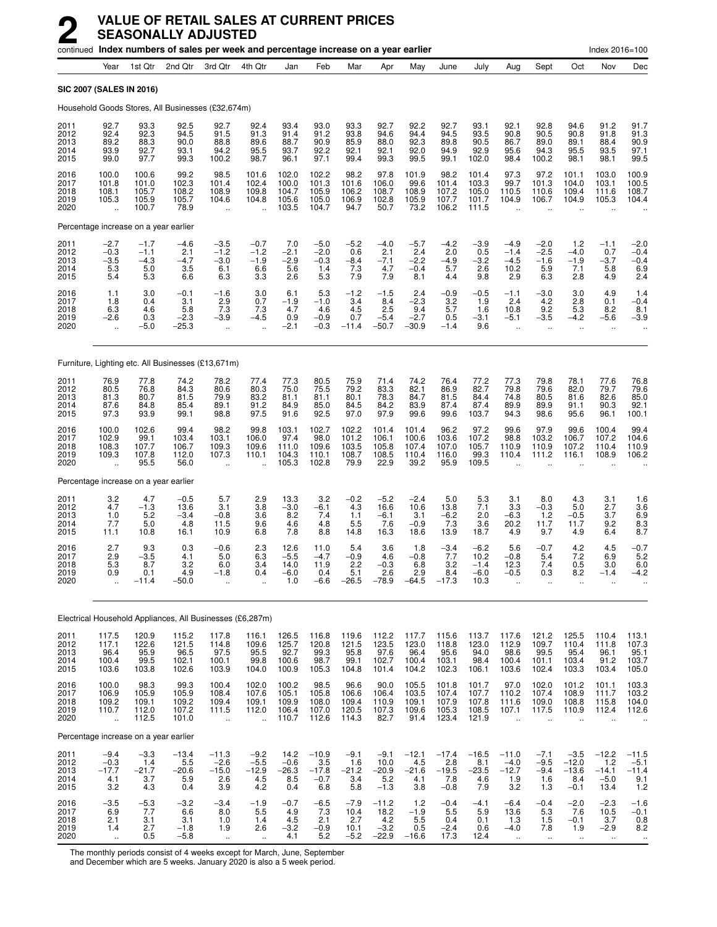|                                      |                                                           |                                                | continued Index numbers of sales per week and percentage increase on a year earlier |                                             |                                                          |                                           |                                            |                                          |                                             |                                           |                                            |                                            |                                                         |                                                        |                                               | Index 2016=100                                      |                                                        |
|--------------------------------------|-----------------------------------------------------------|------------------------------------------------|-------------------------------------------------------------------------------------|---------------------------------------------|----------------------------------------------------------|-------------------------------------------|--------------------------------------------|------------------------------------------|---------------------------------------------|-------------------------------------------|--------------------------------------------|--------------------------------------------|---------------------------------------------------------|--------------------------------------------------------|-----------------------------------------------|-----------------------------------------------------|--------------------------------------------------------|
|                                      | Year                                                      | 1st Qtr                                        | 2nd Qtr                                                                             | 3rd Qtr                                     | 4th Qtr                                                  | Jan                                       | Feb                                        | Mar                                      | Apr                                         | May                                       | June                                       | July                                       | Aug                                                     | Sept                                                   | Oct                                           | Nov                                                 | Dec                                                    |
| <b>SIC 2007 (SALES IN 2016)</b>      |                                                           |                                                |                                                                                     |                                             |                                                          |                                           |                                            |                                          |                                             |                                           |                                            |                                            |                                                         |                                                        |                                               |                                                     |                                                        |
|                                      |                                                           |                                                | Household Goods Stores, All Businesses (£32,674m)                                   |                                             |                                                          |                                           |                                            |                                          |                                             |                                           |                                            |                                            |                                                         |                                                        |                                               |                                                     |                                                        |
| 2011<br>2012<br>2013<br>2014<br>2015 | 92.7<br>92.4<br>89.2<br>93.9<br>99.0                      | 93.3<br>92.3<br>88.3<br>92.7<br>97.7           | 92.5<br>94.5<br>90.0<br>93.1<br>99.3                                                | 92.7<br>91.5<br>88.8<br>94.2<br>100.2       | 92.4<br>91.3<br>89.6<br>95.5<br>98.7                     | 93.4<br>91.4<br>88.7<br>93.7<br>96.1      | 93.0<br>91.2<br>90.9<br>92.2<br>97.1       | 93.3<br>93.8<br>85.9<br>92.1<br>99.4     | 92.7<br>94.6<br>88.0<br>92.1<br>99.3        | 92.2<br>94.4<br>92.3<br>92.0<br>99.5      | 92.7<br>94.5<br>89.8<br>94.9<br>99.1       | 93.1<br>93.5<br>90.5<br>92.9<br>102.0      | 92.1<br>90.8<br>86.7<br>95.6<br>98.4                    | 92.8<br>90.5<br>89.0<br>94.3<br>100.2                  | 94.6<br>90.8<br>89.1<br>95.5<br>98.1          | 91.2<br>91.8<br>88.4<br>93.5<br>98.1                | 91.7<br>91.3<br>90.9<br>97.1<br>99.5                   |
| 2016<br>2017<br>2018<br>2019<br>2020 | 100.0<br>101.8<br>108.1<br>105.3                          | 100.6<br>101.0<br>105.7<br>105.9<br>100.7      | 99.2<br>102.3<br>108.2<br>105.7<br>78.9                                             | 98.5<br>101.4<br>108.9<br>104.6<br>u.       | 101.6<br>102.4<br>109.8<br>104.8<br>$\ddot{\phantom{a}}$ | 102.0<br>100.0<br>104.7<br>105.6<br>103.5 | 102.2<br>101.3<br>105.9<br>105.0<br>104.7  | 98.2<br>101.6<br>106.2<br>106.9<br>94.7  | 97.8<br>106.0<br>108.7<br>102.8<br>50.7     | 101.9<br>99.6<br>108.9<br>105.9<br>73.2   | 98.2<br>101.4<br>107.2<br>107.7<br>106.2   | 101.4<br>103.3<br>105.0<br>101.7<br>111.5  | 97.3<br>99.7<br>110.5<br>104.9<br>$\ddot{\phantom{a}}$  | 97.2<br>101.3<br>110.6<br>106.7                        | 101.1<br>104.0<br>109.4<br>104.9              | 103.0<br>103.1<br>111.6<br>105.3                    | 100.9<br>100.5<br>108.7<br>104.4                       |
|                                      |                                                           | Percentage increase on a year earlier          |                                                                                     |                                             |                                                          |                                           |                                            |                                          |                                             |                                           |                                            |                                            |                                                         |                                                        |                                               |                                                     |                                                        |
| 2011<br>2012<br>2013<br>2014<br>2015 | $-2.7$<br>$-0.3$<br>$-3.5$<br>5.3<br>5.4                  | $-1.7$<br>$-1.1$<br>$-4.3$<br>5.0<br>5.3       | $-4.6$<br>2.1<br>$-4.7$<br>3.5<br>6.6                                               | $-3.5$<br>$-1.2$<br>$-3.0$<br>6.1<br>6.3    | $-0.7$<br>$-1.2$<br>$-1.9$<br>6.6<br>3.3                 | 7.0<br>$-2.1$<br>$-2.9$<br>5.6<br>2.6     | $-5.0$<br>$-2.0$<br>$-0.3$<br>1.4<br>5.3   | $-5.2$<br>0.6<br>$-8.4$<br>7.3<br>7.9    | $-4.0$<br>2.1<br>$-7.1$<br>4.7<br>7.9       | $-5.7$<br>2.4<br>$-2.2$<br>$-0.4$<br>8.1  | $-4.2$<br>2.0<br>$-4.9$<br>5.7<br>4.4      | $-3.9$<br>0.5<br>$-3.2$<br>2.6<br>9.8      | $-4.9$<br>$-1.4$<br>$-4.5$<br>10.2<br>2.9               | $-2.0$<br>$-2.5$<br>$-1.6$<br>5.9<br>6.3               | 1.2<br>$-4.0$<br>$-1.9$<br>7.1<br>2.8         | $-1.1$<br>0.7<br>$-3.7$<br>5.8<br>4.9               | $-2.0$<br>$-0.4$<br>$-0.4$<br>6.9<br>2.4               |
| 2016<br>2017<br>2018<br>2019<br>2020 | 1.1<br>1.8<br>6.3<br>$-2.6$<br>$\ddot{\phantom{a}}$       | 3.0<br>0.4<br>4.6<br>0.3<br>$-5.0$             | $-0.1$<br>3.1<br>5.8<br>$-2.3$<br>$-25.3$                                           | $-1.6$<br>2.9<br>7.3<br>$-3.9$<br>$\ddotsc$ | 3.0<br>0.7<br>7.3<br>$-4.5$                              | 6.1<br>$-1.9$<br>4.7<br>0.9<br>$-2.1$     | 5.3<br>$-1.0$<br>4.6<br>$-0.9$<br>$-0.3$   | $-1.2$<br>3.4<br>4.5<br>0.7<br>$-11.4$   | $-1.5$<br>8.4<br>2.5<br>$-5.4$<br>$-50.7$   | 2.4<br>$-2.3$<br>9.4<br>$-2.7$<br>$-30.9$ | $-0.9$<br>3.2<br>5.7<br>0.5<br>$-1.4$      | $-0.5$<br>1.9<br>1.6<br>$-3.1$<br>9.6      | $-1.1$<br>2.4<br>10.8<br>$-5.1$<br>ä.                   | $-3.0$<br>4.2<br>9.2<br>$-3.5$<br>$\ddot{\phantom{a}}$ | 3.0<br>2.8<br>5.3<br>$-4.2$<br>ä,             | 4.9<br>0.1<br>8.2<br>$-5.6$<br>$\ddot{\phantom{a}}$ | 1.4<br>$-0.4$<br>8.1<br>$-3.9$                         |
|                                      |                                                           |                                                | Furniture, Lighting etc. All Businesses (£13,671m)                                  |                                             |                                                          |                                           |                                            |                                          |                                             |                                           |                                            |                                            |                                                         |                                                        |                                               |                                                     |                                                        |
| 2011<br>2012<br>2013<br>2014<br>2015 | 76.9<br>80.5<br>81.3<br>87.6<br>97.3                      | 77.8<br>76.8<br>80.7<br>84.8<br>93.9           | 74.2<br>84.3<br>81.5<br>85.4<br>99.1                                                | 78.2<br>80.6<br>79.9<br>89.1<br>98.8        | 77.4<br>80.3<br>83.2<br>91.2<br>97.5                     | 77.3<br>75.0<br>81.1<br>84.9<br>91.6      | 80.5<br>75.5<br>81.1<br>85.0<br>92.5       | 75.9<br>79.2<br>80.1<br>84.5<br>97.0     | 71.4<br>83.3<br>78.3<br>84.2<br>97.9        | 74.2<br>82.1<br>84.7<br>83.9<br>99.6      | 76.4<br>86.9<br>81.5<br>87.4<br>99.6       | 77.2<br>82.7<br>84.4<br>87.4<br>103.7      | 77.3<br>79.8<br>74.8<br>89.9<br>94.3                    | 79.8<br>79.6<br>80.5<br>89.9<br>98.6                   | 78.1<br>82.0<br>81.6<br>91.1<br>95.6          | 77.6<br>79.7<br>82.6<br>90.3<br>96.1                | 76.8<br>79.6<br>85.0<br>92.1<br>100.1                  |
| 2016<br>2017<br>2018<br>2019<br>2020 | 100.0<br>102.9<br>108.3<br>109.3                          | 102.6<br>99.1<br>107.7<br>107.8<br>95.5        | 99.4<br>103.4<br>106.7<br>112.0<br>56.0                                             | 98.2<br>103.1<br>109.3<br>107.3             | 99.8<br>106.0<br>109.6<br>110.1                          | 103.1<br>97.4<br>111.0<br>104.3<br>105.3  | 102.7<br>98.0<br>109.6<br>110.1<br>102.8   | 102.2<br>101.2<br>103.5<br>108.7<br>79.9 | 101.4<br>106.1<br>105.8<br>108.5<br>22.9    | 101.4<br>100.6<br>107.4<br>110.4<br>39.2  | 96.2<br>103.6<br>107.0<br>116.0<br>95.9    | 97.2<br>107.2<br>105.7<br>99.3<br>109.5    | 99.6<br>98.8<br>110.9<br>110.4                          | 97.9<br>103.2<br>110.9<br>111.2                        | 99.6<br>106.7<br>107.2<br>116.1               | 100.4<br>107.2<br>110.4<br>108.9                    | 99.4<br>104.6<br>110.9<br>106.2                        |
|                                      |                                                           | Percentage increase on a year earlier          |                                                                                     |                                             |                                                          |                                           |                                            |                                          |                                             |                                           |                                            |                                            |                                                         |                                                        |                                               |                                                     |                                                        |
| 2011<br>2012<br>2013<br>2014<br>2015 | 3.2<br>4.7<br>1.0<br>7.7<br>11.1                          | 4.7<br>$-1.3$<br>5.2<br>5.0<br>10.8            | $-0.5$<br>13.6<br>$-3.4$<br>4.8<br>16.1                                             | 5.7<br>3.1<br>$-0.8$<br>11.5<br>10.9        | 2.9<br>3.8<br>3.6<br>9.6<br>6.8                          | 13.3<br>$-3.0$<br>8.2<br>4.6<br>7.8       | 3.2<br>$-6.1$<br>7.4<br>4.8<br>8.8         | $-0.2$<br>4.3<br>1.1<br>5.5<br>14.8      | $-5.2$<br>16.6<br>$-6.1$<br>7.6<br>16.3     | $-2.4$<br>10.6<br>3.1<br>$-0.9$<br>18.6   | 5.0<br>13.8<br>$-6.2$<br>7.3<br>13.9       | 5.3<br>7.1<br>2.0<br>3.6<br>18.7           | 3.1<br>3.3<br>$-6.3$<br>20.2<br>4.9                     | 8.0<br>$-0.3$<br>1.2<br>11.7<br>9.7                    | 4.3<br>5.0<br>$-0.5$<br>11.7<br>4.9           | 3.1<br>2.7<br>3.7<br>9.2<br>6.4                     | 1.6<br>$3.\overline{6}$<br>6.9<br>8.3<br>8.7           |
| 2016<br>2017<br>2018<br>2019<br>2020 | 2.7<br>2.9<br>5.3<br>0.9                                  | 9.3<br>$-3.5$<br>8.7<br>0.1<br>$-11.4$         | 0.3<br>4.1<br>3.2<br>4.9<br>$-50.0$                                                 | $-0.6$<br>5.0<br>6.0<br>$-1.8$<br>ä,        | 2.3<br>6.3<br>3.4<br>0.4                                 | 12.6<br>$-5.5$<br>14.0<br>-6.0<br>1.0     | 11.0<br>$-4.7$<br>11.9<br>0.4<br>$-6.6$    | 5.4<br>$-0.9$<br>2.2<br>5.1<br>$-26.5$   | 3.6<br>4.6<br>$-0.3$<br>2.6<br>$-78.9$      | 1.8<br>$-0.8$<br>6.8<br>2.9<br>$-64.5$    | $-3.4$<br>7.7<br>3.2<br>8.4<br>$-17.3$     | $-6.2$<br>10.2<br>$-1.4$<br>$-6.0$<br>10.3 | 5.6<br>$-0.8$<br>12.3<br>$-0.5$                         | $-0.7$<br>5.4<br>7.4<br>0.3                            | 4.2<br>$7.2\,$<br>0.5<br>8.2<br>ä.            | 4.5<br>6.9<br>3.0<br>$-1.4$                         | $-0.7$<br>5.2<br>6.0<br>-4.2                           |
|                                      |                                                           |                                                | Electrical Household Appliances, All Businesses (£6,287m)                           |                                             |                                                          |                                           |                                            |                                          |                                             |                                           |                                            |                                            |                                                         |                                                        |                                               |                                                     |                                                        |
| 2011<br>2012<br>2013<br>2014<br>2015 | 117.5<br>117.1<br>96.4<br>100.4<br>103.6                  | 120.9<br>$\frac{122.6}{95.9}$<br>99.5<br>103.8 | 115.2<br>121.5<br>96.5<br>102.1<br>102.6                                            | 117.8<br>114.8<br>97.5<br>100.1<br>103.9    | 116.1<br>109.6<br>95.5<br>99.8<br>104.0                  | 126.5<br>125.7<br>92.7<br>100.6<br>100.9  | 116.8<br>120.8<br>99.3<br>98.7<br>105.3    | 119.6<br>121.5<br>95.8<br>99.1<br>104.8  | 112.2<br>123.5<br>97.6<br>102.7<br>101.4    | 117.7<br>123.0<br>96.4<br>100.4<br>104.2  | 115.6<br>118.8<br>95.6<br>103.1<br>102.3   | 113.7<br>123.0<br>94.0<br>98.4<br>106.1    | 117.6<br>112.9<br>98.6<br>100.4<br>103.6                | 121.2<br>109.7<br>99.5<br>101.1<br>102.4               | 125.5<br>110.4<br>95.4<br>103.4<br>103.3      | 110.4<br>111.8<br>96.1<br>91.2<br>103.4             | 113.1<br>107.3<br>95.1<br>103.7<br>105.0               |
| 2016<br>2017<br>2018<br>2019<br>2020 | 100.0<br>106.9<br>109.2<br>110.7<br>$\ddotsc$             | 98.3<br>105.9<br>109.1<br>112.0<br>112.5       | 99.3<br>105.9<br>109.2<br>107.2<br>101.0                                            | 100.4<br>108.4<br>109.4<br>111.5<br>ä,      | 102.0<br>107.6<br>109.1<br>112.0<br>$\ddot{\phantom{a}}$ | 100.2<br>105.1<br>109.9<br>106.4<br>110.7 | 98.5<br>105.8<br>108.0<br>107.0<br>112.6   | 96.6<br>106.6<br>109.4<br>120.5<br>114.3 | 90.0<br>106.4<br>110.9<br>107.3<br>82.7     | 105.5<br>103.5<br>109.1<br>109.6<br>91.4  | 101.8<br>107.4<br>107.9<br>105.3<br>123.4  | 101.7<br>107.7<br>107.8<br>108.5<br>121.9  | 97.0<br>110.2<br>111.6<br>107.1                         | 102.0<br>107.4<br>109.0<br>117.5                       | 101.2<br>108.9<br>108.8<br>110.9              | 101.1<br>111.7<br>115.8<br>112.4                    | 103.3<br>103.2<br>104.0<br>112.6                       |
|                                      |                                                           | Percentage increase on a year earlier          |                                                                                     |                                             |                                                          |                                           |                                            |                                          |                                             |                                           |                                            |                                            |                                                         |                                                        |                                               |                                                     |                                                        |
| 2011<br>2012<br>2013<br>2014<br>2015 | $-9.4$<br>$-0.3$<br>$-17.7$<br>4.1<br>3.2                 | $-3.3$<br>1.4<br>$-21.7$<br>3.7<br>4.3         | $-13.4$<br>5.5<br>$-20.6$<br>5.9<br>0.4                                             | -11.3<br>$-2.6$<br>$-15.0$<br>2.6<br>3.9    | $-9.2$<br>$-5.5$<br>$-12.9$<br>4.5<br>4.2                | 14.2<br>$-0.6$<br>$-26.3$<br>8.5<br>0.4   | $-10.9$<br>3.5<br>$-17.8$<br>$-0.7$<br>6.8 | $-9.1$<br>1.6<br>$-21.2$<br>3.4<br>5.8   | $-9.1$<br>10.0<br>$-20.9$<br>5.2<br>$-1.3$  | $-12.1$<br>4.5<br>$-21.6$<br>4.1<br>3.8   | $-17.4$<br>2.8<br>$-19.5$<br>7.8<br>$-0.8$ | $-16.5$<br>8.1<br>$-23.5$<br>4.6<br>7.9    | $-11.0$<br>$-4.0$<br>$-12.7$<br>1.9<br>3.2              | $-7.1$<br>$-9.5$<br>$-9.4$<br>1.6<br>1.3               | $-3.5$<br>$-12.0$<br>$-13.6$<br>8.4<br>$-0.1$ | $-12.2$<br>1.2<br>$-14.1$<br>$-5.0$<br>13.4         | $-11.5$<br>$-5.1$<br>$-11.4$<br>9.1<br>1.2             |
| 2016<br>2017<br>2018<br>2019<br>2020 | $-3.5$<br>6.9<br>2.1<br>1.4<br>$\mathcal{L}_{\mathbf{r}}$ | $-5.3$<br>7.7<br>3.1<br>2.7<br>0.5             | $-3.2$<br>6.6<br>3.1<br>$-1.8$<br>$-5.8$                                            | $-3.4$<br>8.0<br>1.0<br>1.9<br>$\sim$       | $-1.9$<br>5.5<br>1.4<br>2.6<br>$\ddot{\phantom{1}}$      | $-0.7$<br>4.9<br>4.5<br>$-3.2$<br>4.1     | $-6.5$<br>7.3<br>2.1<br>$-0.9$<br>5.2      | $-7.9$<br>10.4<br>2.7<br>10.1<br>$-5.2$  | $-11.2$<br>18.2<br>4.2<br>$-3.2$<br>$-22.9$ | $1.2$<br>$-1.9$<br>5.5<br>0.5<br>$-16.6$  | $-0.4$<br>5.5<br>0.4<br>$-2.4$<br>17.3     | $-4.1$<br>5.9<br>0.1<br>0.6<br>12.4        | $-6.4$<br>13.6<br>1.3<br>$-4.0$<br>$\ddot{\phantom{1}}$ | $-0.4$<br>5.3<br>1.5<br>7.8<br>$\ddot{\phantom{1}}$    | $-2.0$<br>7.6<br>$-0.1$<br>1.9<br>$\sim$      | $-2.3$<br>10.5<br>3.7<br>$-2.9$<br>$\ddotsc$        | $-1.6$<br>$-0.1$<br>0.8<br>8.2<br>$\ddot{\phantom{a}}$ |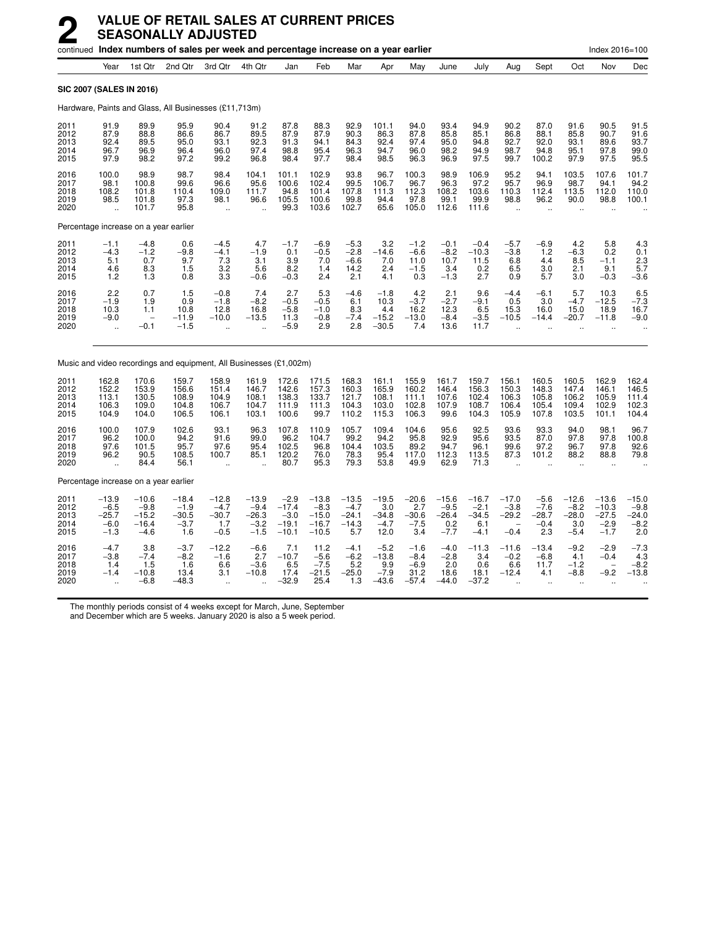|                                      |                                                           |                                                                      | continued Index numbers of sales per week and percentage increase on a year earlier |                                                             |                                                  |                                                   |                                                    |                                                |                                               |                                               |                                               |                                               |                                                             |                                                       |                                                      | Index 2016=100                                         |                                               |
|--------------------------------------|-----------------------------------------------------------|----------------------------------------------------------------------|-------------------------------------------------------------------------------------|-------------------------------------------------------------|--------------------------------------------------|---------------------------------------------------|----------------------------------------------------|------------------------------------------------|-----------------------------------------------|-----------------------------------------------|-----------------------------------------------|-----------------------------------------------|-------------------------------------------------------------|-------------------------------------------------------|------------------------------------------------------|--------------------------------------------------------|-----------------------------------------------|
|                                      | Year                                                      | 1st Qtr                                                              | 2nd Qtr                                                                             | 3rd Qtr                                                     | 4th Qtr                                          | Jan                                               | Feb                                                | Mar                                            | Apr                                           | May                                           | June                                          | July                                          | Aug                                                         | Sept                                                  | Oct                                                  | Nov                                                    | Dec                                           |
| SIC 2007 (SALES IN 2016)             |                                                           |                                                                      |                                                                                     |                                                             |                                                  |                                                   |                                                    |                                                |                                               |                                               |                                               |                                               |                                                             |                                                       |                                                      |                                                        |                                               |
|                                      |                                                           |                                                                      | Hardware, Paints and Glass, All Businesses (£11,713m)                               |                                                             |                                                  |                                                   |                                                    |                                                |                                               |                                               |                                               |                                               |                                                             |                                                       |                                                      |                                                        |                                               |
| 2011<br>2012<br>2013<br>2014<br>2015 | 91.9<br>87.9<br>92.4<br>96.7<br>97.9                      | 89.9<br>88.8<br>89.5<br>96.9<br>98.2                                 | 95.9<br>86.6<br>95.0<br>96.4<br>97.2                                                | 90.4<br>86.7<br>93.1<br>96.0<br>99.2                        | 91.2<br>89.5<br>92.3<br>97.4<br>96.8             | 87.8<br>87.9<br>91.3<br>98.8<br>98.4              | 88.3<br>87.9<br>94.1<br>95.4<br>97.7               | 92.9<br>90.3<br>84.3<br>96.3<br>98.4           | 101.1<br>86.3<br>92.4<br>94.7<br>98.5         | 94.0<br>87.8<br>97.4<br>96.0<br>96.3          | 93.4<br>85.8<br>95.0<br>98.2<br>96.9          | 94.9<br>85.1<br>94.8<br>94.9<br>97.5          | 90.2<br>86.8<br>92.7<br>98.7<br>99.7                        | 87.0<br>88.1<br>92.0<br>94.8<br>100.2                 | 91.6<br>85.8<br>93.1<br>95.1<br>97.9                 | 90.5<br>90.7<br>89.6<br>97.8<br>97.5                   | 91.5<br>91.6<br>93.7<br>99.0<br>95.5          |
| 2016<br>2017<br>2018<br>2019<br>2020 | 100.0<br>98.1<br>108.2<br>98.5<br>$\ddotsc$               | 98.9<br>100.8<br>101.8<br>101.8<br>101.7                             | 98.7<br>99.6<br>110.4<br>97.3<br>95.8                                               | 98.4<br>96.6<br>109.0<br>98.1<br>$\ddot{\phantom{a}}$       | 104.1<br>95.6<br>111.7<br>96.6                   | 101.1<br>100.6<br>94.8<br>105.5<br>99.3           | 102.9<br>102.4<br>101.4<br>100.6<br>103.6          | 93.8<br>99.5<br>107.8<br>99.8<br>102.7         | 96.7<br>106.7<br>111.3<br>94.4<br>65.6        | 100.3<br>96.7<br>112.3<br>97.8<br>105.0       | 98.9<br>96.3<br>108.2<br>99.1<br>112.6        | 106.9<br>97.2<br>103.6<br>99.9<br>111.6       | 95.2<br>95.7<br>110.3<br>98.8<br>$\ddot{\phantom{a}}$       | 94.1<br>96.9<br>112.4<br>96.2                         | 103.5<br>98.7<br>113.5<br>90.0                       | 107.6<br>94.1<br>112.0<br>98.8                         | 101.7<br>94.2<br>110.0<br>100.1               |
|                                      |                                                           | Percentage increase on a year earlier                                |                                                                                     |                                                             |                                                  |                                                   |                                                    |                                                |                                               |                                               |                                               |                                               |                                                             |                                                       |                                                      |                                                        |                                               |
| 2011<br>2012<br>2013<br>2014<br>2015 | $-1.1$<br>$-4.3$<br>5.1<br>$^{4.6}_{1.2}$                 | $-4.8$<br>$-1.2$<br>0.7<br>$\begin{array}{c} 8.3 \\ 1.3 \end{array}$ | 0.6<br>$-9.8$<br>9.7<br>1.5<br>0.8                                                  | $-4.5$<br>$-4.1$<br>7.3<br>$\frac{3.2}{3.3}$                | 4.7<br>$-1.9$<br>3.1<br>5.6<br>$-0.6$            | $-1.7$<br>0.1<br>3.9<br>8.2<br>$-0.3$             | $-6.9$<br>$-0.5$<br>7.0<br>1.4<br>2.4              | $-5.3$<br>$-2.8$<br>$-6.6$<br>14.2<br>2.1      | 3.2<br>$-14.6$<br>7.0<br>2.4<br>4.1           | $-1.2$<br>$-6.6$<br>11.0<br>$-1.5$<br>0.3     | $-0.1$<br>$-8.2$<br>10.7<br>3.4<br>$-1.3$     | $-0.4$<br>$-10.3$<br>11.5<br>$0.2$<br>2.7     | $-5.7$<br>$-3.8$<br>6.8<br>$6.5$<br>$0.9$                   | $-6.9$<br>1.2<br>4.4<br>$\frac{3.0}{5.7}$             | 4.2<br>$-6.3$<br>8.5<br>2.1<br>3.0                   | 5.8<br>0.2<br>$-1.1$<br>9.1<br>$-0.3$                  | 4.3<br>0.1<br>2.3<br>5.7<br>$-3.6$            |
| 2016<br>2017<br>2018<br>2019<br>2020 | 2.2<br>$-1.9$<br>10.3<br>$-9.0$<br>$\ddot{\phantom{a}}$   | 0.7<br>1.9<br>1.1<br>$\overline{\phantom{0}}$<br>$-0.1$              | 1.5<br>0.9<br>10.8<br>$-11.9$<br>$-1.5$                                             | $-0.8$<br>$-1.8$<br>12.8<br>$-10.0$<br>$\ddot{\phantom{a}}$ | 7.4<br>$-8.2$<br>16.8<br>$-13.5$                 | 2.7<br>$-0.5$<br>$-5.8$<br>11.3<br>$-5.9$         | 5.3<br>$-0.5$<br>$-1.0$<br>$-0.8$<br>2.9           | $-4.6$<br>6.1<br>8.3<br>$-7.4$<br>2.8          | $-1.8$<br>10.3<br>4.4<br>$-15.2$<br>$-30.5$   | 4.2<br>$-3.7$<br>16.2<br>$-13.0$<br>7.4       | 2.1<br>$-2.7$<br>12.3<br>$-8.4$<br>13.6       | 9.6<br>$-9.1$<br>6.5<br>$-3.5$<br>11.7        | $-4.4$<br>0.5<br>15.3<br>$-10.5$                            | $-6.1$<br>3.0<br>16.0<br>$-14.4$                      | 5.7<br>$-4.7$<br>15.0<br>$-20.7$                     | 10.3<br>$-12.5$<br>18.9<br>$-11.8$                     | $-7.3$<br>16.7<br>$-9.0$                      |
|                                      |                                                           |                                                                      | Music and video recordings and equipment, All Businesses (£1,002m)                  |                                                             |                                                  |                                                   |                                                    |                                                |                                               |                                               |                                               |                                               |                                                             |                                                       |                                                      |                                                        |                                               |
| 2011<br>2012<br>2013<br>2014<br>2015 | 162.8<br>152.2<br>113.1<br>106.3<br>104.9                 | 170.6<br>153.9<br>130.5<br>109.0<br>104.0                            | 159.7<br>156.6<br>108.9<br>104.8<br>106.5                                           | 158.9<br>151.4<br>104.9<br>106.7<br>106.1                   | 161.9<br>146.7<br>108.1<br>104.7<br>103.1        | 172.6<br>142.6<br>138.3<br>111.9<br>100.6         | 171.5<br>157.3<br>133.7<br>111.3<br>99.7           | 168.3<br>160.3<br>121.7<br>104.3<br>110.2      | 161.1<br>165.9<br>108.1<br>103.0<br>115.3     | 155.9<br>160.2<br>111.1<br>102.8<br>106.3     | 161.7<br>146.4<br>107.6<br>107.9<br>99.6      | 159.7<br>156.3<br>102.4<br>108.7<br>104.3     | 156.1<br>150.3<br>106.3<br>106.4<br>105.9                   | 160.5<br>148.3<br>105.8<br>105.4<br>107.8             | 160.5<br>147.4<br>106.2<br>109.4<br>103.5            | 162.9<br>146.1<br>105.9<br>102.9<br>101.1              | 162.4<br>146.5<br>111.4<br>102.3<br>104.4     |
| 2016<br>2017<br>2018<br>2019<br>2020 | 100.0<br>96.2<br>97.6<br>96.2<br>ä,                       | 107.9<br>100.0<br>101.5<br>90.5<br>84.4                              | 102.6<br>94.2<br>95.7<br>108.5<br>56.1                                              | 93.1<br>91.6<br>97.6<br>100.7<br>$\ddot{\phantom{a}}$       | 96.3<br>99.0<br>95.4<br>85.1                     | 107.8<br>96.2<br>102.5<br>120.2<br>80.7           | 110.9<br>104.7<br>96.8<br>76.0<br>95.3             | 105.7<br>99.2<br>104.4<br>78.3<br>79.3         | 109.4<br>94.2<br>103.5<br>95.4<br>53.8        | 104.6<br>95.8<br>89.2<br>117.0<br>49.9        | 95.6<br>92.9<br>94.7<br>112.3<br>62.9         | 92.5<br>95.6<br>96.1<br>113.5<br>71.3         | 93.6<br>93.5<br>99.6<br>87.3                                | 93.3<br>87.0<br>97.2<br>101.2<br>$\ddot{\phantom{a}}$ | 94.0<br>97.8<br>96.7<br>88.2<br>$\ddot{\phantom{a}}$ | 98.1<br>97.8<br>97.8<br>88.8<br>$\ddot{\phantom{a}}$   | 96.7<br>100.8<br>92.6<br>79.8                 |
|                                      |                                                           | Percentage increase on a year earlier                                |                                                                                     |                                                             |                                                  |                                                   |                                                    |                                                |                                               |                                               |                                               |                                               |                                                             |                                                       |                                                      |                                                        |                                               |
| 2011<br>2012<br>2013<br>2014<br>2015 | $-13.9$<br>$-6.5$<br>$-25.7$<br>$-6.0$<br>$-1.3$          | $-10.6$<br>$-9.8$<br>$-15.2$<br>$-16.4$<br>$-4.6$                    | $-18.4$<br>$-1.9$<br>$-30.5$<br>$-3.7$<br>1.6                                       | $-12.8$<br>$-4.7$<br>$-30.7$<br>1.7<br>$-0.5$               | $-13.9$<br>$-9.4$<br>$-26.3$<br>$-3.2$<br>$-1.5$ | $-2.9$<br>$-17.4$<br>$-3.0$<br>$-19.1$<br>$-10.1$ | $-13.8$<br>$-8.3$<br>$-15.0$<br>$-16.7$<br>$-10.5$ | $-13.5$<br>$-4.7$<br>$-24.1$<br>$-14.3$<br>5.7 | $-19.5$<br>3.0<br>$-34.8$<br>$-4.7$<br>12.0   | $-20.6$<br>2.7<br>$-30.6$<br>$-7.5$<br>3.4    | $-15.6$<br>$-9.5$<br>$-26.4$<br>0.2<br>$-7.7$ | $-16.7$<br>$-2.1$<br>$-34.5$<br>6.1<br>$-4.1$ | $-17.0$<br>$-3.8$<br>$-29.2$<br>$-0.4$                      | $-5.6$<br>$-7.6$<br>$-28.7$<br>$-0.4$<br>2.3          | $-12.6$<br>$-8.2$<br>$-28.0$<br>3.0<br>$-5.4$        | $-13.6$<br>$-10.3$<br>$-27.5$<br>$-2.9$<br>$-1.7$      | $-15.0$<br>$-9.8$<br>$-24.0$<br>$-8.2$<br>2.0 |
| 2016<br>2017<br>2018<br>2019<br>2020 | $-4.7$<br>$-3.8$<br>1.4<br>$-1.4$<br>$\ddot{\phantom{a}}$ | 3.8<br>$-7.4$<br>1.5<br>$-10.8$<br>$-6.8$                            | $-3.7$<br>$-8.2$<br>1.6<br>13.4<br>$-48.3$                                          | $-12.2$<br>$-1.6$<br>6.6<br>3.1<br>ä.                       | $-6.6$<br>2.7<br>$-3.6$<br>$-10.8$               | 7.1<br>$-10.7$<br>6.5<br>17.4<br>$-32.9$          | 11.2<br>$-5.6$<br>$-7.5$<br>$-21.5$<br>25.4        | $-4.1$<br>$-6.2$<br>5.2<br>$-25.0$<br>1.3      | $-5.2$<br>$-13.8$<br>9.9<br>$-7.9$<br>$-43.6$ | $-1.6$<br>$-8.4$<br>$-6.9$<br>31.2<br>$-57.4$ | $-4.0$<br>$-2.8$<br>2.0<br>18.6<br>$-44.0$    | $-11.3$<br>3.4<br>0.6<br>18.1<br>$-37.2$      | $-11.6$<br>$-0.2$<br>6.6<br>$-12.4$<br>$\ddot{\phantom{a}}$ | $-13.4$<br>$-6.8$<br>11.7<br>4.1<br>$\ddotsc$         | $-9.2$<br>4.1<br>$-1.2$<br>$-8.8$<br>$\ddotsc$       | $-2.9$<br>$-0.4$<br>$\overline{\phantom{0}}$<br>$-9.2$ | $-7.3$<br>$4.3 - 8.2$<br>$-13.8$              |

The monthly periods consist of 4 weeks except for March, June, September

and December which are 5 weeks. January 2020 is also a 5 week period.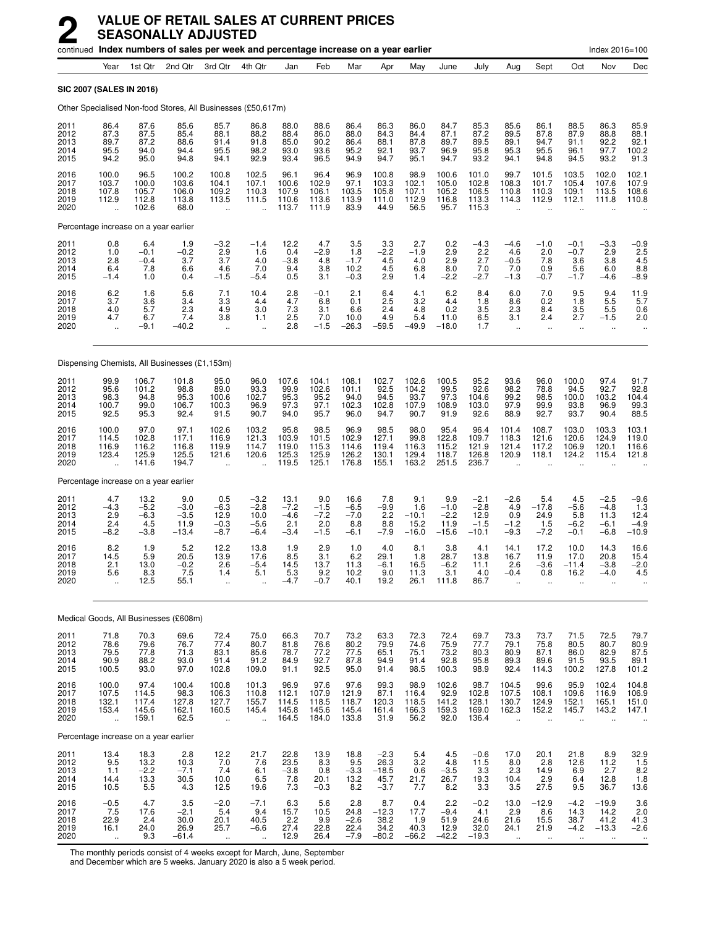|                                      |                                                          | continued Index numbers of sales per week and percentage increase on a year earlier |                                            |                                                          |                                                          |                                           |                                          |                                           |                                             |                                          |                                            |                                               |                                                          |                                                          |                                                         | Index 2016=100                                           |                                                                      |
|--------------------------------------|----------------------------------------------------------|-------------------------------------------------------------------------------------|--------------------------------------------|----------------------------------------------------------|----------------------------------------------------------|-------------------------------------------|------------------------------------------|-------------------------------------------|---------------------------------------------|------------------------------------------|--------------------------------------------|-----------------------------------------------|----------------------------------------------------------|----------------------------------------------------------|---------------------------------------------------------|----------------------------------------------------------|----------------------------------------------------------------------|
|                                      | Year                                                     | 1st Qtr                                                                             | 2nd Qtr                                    | 3rd Qtr                                                  | 4th Qtr                                                  | Jan                                       | Feb                                      | Mar                                       | Apr                                         | May                                      | June                                       | July                                          | Aug                                                      | Sept                                                     | Oct                                                     | Nov                                                      | Dec                                                                  |
| <b>SIC 2007 (SALES IN 2016)</b>      |                                                          |                                                                                     |                                            |                                                          |                                                          |                                           |                                          |                                           |                                             |                                          |                                            |                                               |                                                          |                                                          |                                                         |                                                          |                                                                      |
|                                      |                                                          | Other Specialised Non-food Stores, All Businesses (£50,617m)                        |                                            |                                                          |                                                          |                                           |                                          |                                           |                                             |                                          |                                            |                                               |                                                          |                                                          |                                                         |                                                          |                                                                      |
| 2011<br>2012<br>2013<br>2014<br>2015 | 86.4<br>87.3<br>89.7<br>95.5<br>94.2                     | 87.6<br>87.5<br>87.2<br>94.0<br>95.0                                                | 85.6<br>85.4<br>88.6<br>94.4<br>94.8       | 85.7<br>88.1<br>91.4<br>95.5<br>94.1                     | 86.8<br>88.2<br>91.8<br>98.2<br>92.9                     | 88.0<br>88.4<br>85.0<br>93.0<br>93.4      | 88.6<br>86.0<br>90.2<br>93.6<br>96.5     | 86.4<br>88.0<br>86.4<br>95.2<br>94.9      | 86.3<br>84.3<br>88.1<br>92.1<br>94.7        | 86.0<br>84.4<br>87.8<br>93.7<br>95.1     | 84.7<br>87.1<br>89.7<br>96.9<br>94.7       | 85.3<br>87.2<br>89.5<br>95.8<br>93.2          | 85.6<br>89.5<br>89.1<br>95.3<br>94.1                     | 86.1<br>87.8<br>94.7<br>95.5<br>94.8                     | 88.5<br>87.9<br>91.1<br>96.1<br>94.5                    | 86.3<br>88.8<br>92.2<br>97.7<br>93.2                     | 85.9<br>88.1<br>92.1<br>100.2<br>91.3                                |
| 2016<br>2017<br>2018<br>2019<br>2020 | 100.0<br>103.7<br>107.8<br>112.9<br>$\ddot{\phantom{a}}$ | 96.5<br>100.0<br>105.7<br>112.8<br>102.6                                            | 100.2<br>103.6<br>106.0<br>113.8<br>68.0   | 100.8<br>104.1<br>109.2<br>113.5<br>$\ddot{\phantom{1}}$ | 102.5<br>107.1<br>110.3<br>111.5                         | 96.1<br>100.6<br>107.9<br>110.6<br>113.7  | 96.4<br>102.9<br>106.1<br>113.6<br>111.9 | 96.9<br>97.1<br>103.5<br>113.9<br>83.9    | 100.8<br>103.3<br>105.8<br>111.0<br>44.9    | 98.9<br>102.1<br>107.1<br>112.9<br>56.5  | 100.6<br>105.0<br>105.2<br>116.8<br>95.7   | 101.0<br>102.8<br>106.5<br>113.3<br>115.3     | 99.7<br>108.3<br>110.8<br>114.3                          | 101.5<br>101.7<br>110.3<br>112.9                         | 103.5<br>105.4<br>109.1<br>112.1                        | 102.0<br>107.6<br>113.5<br>111.8                         | 102.1<br>107.9<br>108.6<br>110.8                                     |
|                                      |                                                          | Percentage increase on a year earlier                                               |                                            |                                                          |                                                          |                                           |                                          |                                           |                                             |                                          |                                            |                                               |                                                          |                                                          |                                                         |                                                          |                                                                      |
| 2011<br>2012<br>2013<br>2014<br>2015 | 0.8<br>1.0<br>2.8<br>6.4<br>$-1.4$                       | 6.4<br>$-0.1$<br>$-0.4$<br>7.8<br>1.0                                               | 1.9<br>$-0.2$<br>3.7<br>6.6<br>0.4         | $-3.2$<br>2.9<br>3.7<br>4.6<br>$-1.5$                    | $-1.4$<br>1.6<br>4.0<br>7.0<br>$-5.4$                    | 12.2<br>0.4<br>$-3.8$<br>9.4<br>0.5       | 4.7<br>$-2.9$<br>4.8<br>3.8<br>3.1       | 3.5<br>1.8<br>$-1.7$<br>10.2<br>$-0.3$    | 3.3<br>$-2.2$<br>4.5<br>4.5<br>2.9          | 2.7<br>$-1.9$<br>4.0<br>6.8<br>1.4       | 0.2<br>2.9<br>2.9<br>8.0<br>$-2.2$         | $-4.3$<br>2.2<br>2.7<br>7.0<br>$-2.7$         | $-4.6$<br>4.6<br>$-0.5$<br>7.0<br>$-1.3$                 | $-1.0$<br>2.0<br>7.8<br>0.9<br>$-0.7$                    | $-0.1$<br>$-0.7$<br>3.6<br>5.6<br>$-1.7$                | $-3.3$<br>2.9<br>3.8<br>6.0<br>$-4.6$                    | $-0.9$<br>2.5<br>4.5<br>$^{8.8}_{-8.9}$                              |
| 2016<br>2017<br>2018<br>2019<br>2020 | 6.2<br>3.7<br>4.0<br>4.7<br>$\ddot{\phantom{a}}$         | 1.6<br>3.6<br>5.7<br>6.7<br>$-9.1$                                                  | 5.6<br>3.4<br>2.3<br>7.4<br>-40.2          | 7.1<br>3.3<br>4.9<br>3.8<br>$\ddot{\phantom{1}}$         | 10.4<br>4.4<br>3.0<br>1.1<br>$\ddot{\phantom{a}}$        | 2.8<br>4.7<br>7.3<br>2.5<br>2.8           | $-0.1$<br>6.8<br>3.1<br>7.0<br>$-1.5$    | 2.1<br>0.1<br>6.6<br>10.0<br>$-26.3$      | 6.4<br>2.5<br>2.4<br>4.9<br>$-59.5$         | 4.1<br>3.2<br>4.8<br>5.4<br>$-49.9$      | 6.2<br>4.4<br>0.2<br>11.0<br>$-18.0$       | 8.4<br>1.8<br>3.5<br>6.5<br>1.7               | 6.0<br>8.6<br>2.3<br>3.1<br>$\ddot{\phantom{a}}$         | 7.0<br>0.2<br>8.4<br>2.4<br>$\ddot{\phantom{a}}$         | 9.5<br>1.8<br>3.5<br>2.7<br>$\ddot{\phantom{1}}$        | 9.4<br>5.5<br>5.5<br>$-1.5$<br>$\ldots$                  | $11.9$<br>5.7<br>0.6<br>2.0<br>$\ldots$                              |
|                                      |                                                          | Dispensing Chemists, All Businesses (£1,153m)                                       |                                            |                                                          |                                                          |                                           |                                          |                                           |                                             |                                          |                                            |                                               |                                                          |                                                          |                                                         |                                                          |                                                                      |
| 2011<br>2012<br>2013<br>2014<br>2015 | 99.9<br>95.6<br>98.3<br>100.7<br>92.5                    | 106.7<br>101.2<br>94.8<br>99.0<br>95.3                                              | 101.8<br>98.8<br>95.3<br>106.7<br>92.4     | 95.0<br>89.0<br>100.6<br>100.3<br>91.5                   | 96.0<br>93.3<br>102.7<br>96.9<br>90.7                    | 107.6<br>99.9<br>95.3<br>97.3<br>94.0     | 104.1<br>102.6<br>95.2<br>97.1<br>95.7   | 108.1<br>101.1<br>94.0<br>102.3<br>96.0   | 102.7<br>92.5<br>94.5<br>102.8<br>94.7      | 102.6<br>104.2<br>93.7<br>107.9<br>90.7  | 100.5<br>99.5<br>97.3<br>108.9<br>91.9     | 95.2<br>92.6<br>104.6<br>103.0<br>92.6        | 93.6<br>98.2<br>99.2<br>97.9<br>88.9                     | 96.0<br>78.8<br>98.5<br>99.9<br>92.7                     | 100.0<br>94.5<br>100.0<br>93.8<br>93.7                  | 97.4<br>92.7<br>103.2<br>96.9<br>90.4                    | 91.7<br>92.8<br>104.4<br>99.3<br>88.5                                |
| 2016<br>2017<br>2018<br>2019<br>2020 | 100.0<br>114.5<br>116.9<br>123.4<br>$\ddot{\phantom{a}}$ | 97.0<br>102.8<br>116.2<br>125.9<br>141.6                                            | 97.1<br>117.1<br>116.8<br>125.5<br>194.7   | 102.6<br>116.9<br>119.9<br>121.6<br>$\ddot{\phantom{a}}$ | 103.2<br>121.3<br>114.7<br>120.6<br>$\ddot{\phantom{a}}$ | 95.8<br>103.9<br>119.0<br>125.3<br>119.5  | 98.5<br>101.5<br>115.3<br>125.9<br>125.1 | 96.9<br>102.9<br>114.6<br>126.2<br>176.8  | 98.5<br>127.1<br>119.4<br>130.1<br>155.1    | 98.0<br>99.8<br>116.3<br>129.4<br>163.2  | 95.4<br>122.8<br>115.2<br>118.7<br>251.5   | 96.4<br>109.7<br>121.9<br>126.8<br>236.7      | 101.4<br>118.3<br>121.4<br>120.9<br>$\ddot{\phantom{a}}$ | 108.7<br>121.6<br>117.2<br>118.1<br>$\ddot{\phantom{a}}$ | 103.0<br>120.6<br>106.9<br>124.2                        | 103.3<br>124.9<br>120.1<br>115.4                         | 103.1<br>119.0<br>116.6<br>121.8                                     |
|                                      |                                                          | Percentage increase on a year earlier                                               |                                            |                                                          |                                                          |                                           |                                          |                                           |                                             |                                          |                                            |                                               |                                                          |                                                          |                                                         |                                                          |                                                                      |
| 2011<br>2012<br>2013<br>2014<br>2015 | 4.7<br>$-4.3$<br>2.9<br>2.4<br>$-8.2$                    | 13.2<br>$-5.2$<br>$-6.3$<br>4.5<br>$-3.8$                                           | 9.0<br>$-3.0$<br>$-3.5$<br>11.9<br>$-13.4$ | 0.5<br>$-6.3$<br>12.9<br>$-0.3$<br>$-8.7$                | $-3.2$<br>$-2.8$<br>10.0<br>$-5.6$<br>$-6.4$             | 13.1<br>$-7.2$<br>$-4.6$<br>2.1<br>$-3.4$ | 9.0<br>$-1.5$<br>$-7.2$<br>2.0<br>$-1.5$ | 16.6<br>$-6.5$<br>$-7.0$<br>8.8<br>$-6.1$ | 7.8<br>$-9.9$<br>2.2<br>8.8<br>$-7.9$       | 9.1<br>1.6<br>$-10.1$<br>15.2<br>$-16.0$ | 9.9<br>$-1.0$<br>$-2.2$<br>11.9<br>$-15.6$ | $-2.1$<br>$-2.8$<br>12.9<br>$-1.5$<br>$-10.1$ | $-2.6$<br>4.9<br>0.9<br>$-1.2$<br>$-9.3$                 | 5.4<br>$-17.8$<br>24.9<br>1.5<br>$-7.2$                  | 4.5<br>-5.6<br>5.8<br>$-6.2$<br>$-0.1$                  | $-2.5$<br>$-4.8$<br>11.3<br>$-6.1$<br>$-6.8$             | $-9.6$<br>1.3<br>12.4<br>$-4.9$<br>–10.9                             |
| 2016<br>2017<br>2018<br>2019<br>2020 | 8.2<br>14.5<br>2.1<br>5.6                                | 1.9<br>5.9<br>13.0<br>8.3<br>12.5                                                   | 5.2<br>20.5<br>$-0.2$<br>7.5<br>55.1       | 12.2<br>13.9<br>2.6<br>1.4<br>$\ddot{\phantom{a}}$       | 13.8<br>17.6<br>$-5.4$<br>5.1                            | 1.9<br>8.5<br>14.5<br>5.3<br>-4.7         | 2.9<br>3.1<br>13.7<br>9.2<br>$-0.7$      | 1.0<br>6.2<br>11.3<br>10.2<br>40.1        | 4.0<br>29.1<br>-6.1<br>9.0<br>19.2          | 8.1<br>1.8<br>16.5<br>11.3<br>26.1       | 3.8<br>28.7<br>-6.2<br>3.1<br>111.8        | 4.1<br>13.8<br>11.1<br>4.0<br>86.7            | 14.1<br>16.7<br>2.6<br>$-0.4$                            | 17.2<br>11.9<br>-3.6<br>0.8                              | 10.0<br>17.0<br>$-11.4$<br>16.2<br>$\ddotsc$            | 14.3<br>20.8<br>$-3.8$<br>-4.0                           | 16.6<br>15.4<br>$-2.0$<br>4.5                                        |
|                                      |                                                          | Medical Goods, All Businesses (£608m)                                               |                                            |                                                          |                                                          |                                           |                                          |                                           |                                             |                                          |                                            |                                               |                                                          |                                                          |                                                         |                                                          |                                                                      |
| 2011<br>2012<br>2013<br>2014<br>2015 | 71.8<br>$\frac{78.6}{79.5}$<br>90.9<br>100.5             | 70.3<br>79.6<br>77.8<br>88.2<br>93.0                                                | 69.6<br>76.7<br>71.3<br>93.0<br>97.0       | 72.4<br>77.4<br>83.1<br>91.4<br>102.8                    | 75.0<br>80.7<br>85.6<br>91.2<br>109.0                    | 66.3<br>81.8<br>78.7<br>84.9<br>91.1      | 70.7<br>76.6<br>77.2<br>92.7<br>92.5     | 73.2<br>80.2<br>77.5<br>87.8<br>95.0      | 63.3<br>79.9<br>65.1<br>94.9<br>91.4        | 72.3<br>74.6<br>75.1<br>91.4<br>98.5     | 72.4<br>75.9<br>73.2<br>92.8<br>100.3      | 69.7<br>77.7<br>80.3<br>95.8<br>98.9          | 73.3<br>79.1<br>80.9<br>89.3<br>92.4                     | 73.7<br>75.8<br>87.1<br>89.6<br>114.3                    | 71.5<br>80.5<br>86.0<br>91.5<br>100.2                   | 72.5<br>80.7<br>82.9<br>93.5<br>127.8                    | 79.7<br>$\begin{array}{c} 80.9 \\ 87.5 \end{array}$<br>89.1<br>101.2 |
| 2016<br>2017<br>2018<br>2019<br>2020 | 100.0<br>107.5<br>132.1<br>153.4<br>$\ddot{\phantom{a}}$ | 97.4<br>114.5<br>117.4<br>145.6<br>159.1                                            | 100.4<br>98.3<br>127.8<br>162.1<br>62.5    | 100.8<br>106.3<br>127.7<br>160.5<br>ä.                   | 101.3<br>110.8<br>155.7<br>145.4<br>÷.                   | 96.9<br>112.1<br>114.5<br>145.8<br>164.5  | 97.6<br>107.9<br>118.5<br>145.6<br>184.0 | 97.6<br>121.9<br>118.7<br>145.4<br>133.8  | 99.3<br>87.1<br>120.3<br>161.4<br>31.9      | 98.9<br>116.4<br>118.5<br>166.3<br>56.2  | 102.6<br>92.9<br>141.2<br>159.3<br>92.0    | 98.7<br>102.8<br>128.1<br>169.0<br>136.4      | 104.5<br>107.5<br>130.7<br>162.3<br>$\ddot{\phantom{a}}$ | 99.6<br>108.1<br>124.9<br>152.2<br>$\ddot{\phantom{a}}$  | 95.9<br>109.6<br>152.1<br>145.7<br>$\ddot{\phantom{a}}$ | 102.4<br>116.9<br>165.1<br>143.2<br>$\ddot{\phantom{a}}$ | 104.8<br>106.9<br>151.0<br>147.1                                     |
|                                      |                                                          | Percentage increase on a year earlier                                               |                                            |                                                          |                                                          |                                           |                                          |                                           |                                             |                                          |                                            |                                               |                                                          |                                                          |                                                         |                                                          |                                                                      |
| 2011<br>2012<br>2013<br>2014<br>2015 | $^{13.4}_{9.5}$<br>1.1<br>14.4<br>10.5                   | 18.3<br>13.2<br>$-2.2$<br>13.3<br>5.5                                               | 2.8<br>10.3<br>$-7.1$<br>30.5<br>4.3       | $^{12.2}_{7.0}$<br>7.4<br>10.0<br>12.5                   | 21.7<br>7.6<br>6.1<br>6.5<br>19.6                        | 22.8<br>23.5<br>$-3.8$<br>7.8<br>7.3      | 13.9<br>8.3<br>0.8<br>20.1<br>$-0.3$     | 18.8<br>9.5<br>$\frac{-3.3}{13.2}$<br>8.2 | $-2.3$<br>26.3<br>$-18.5$<br>45.7<br>$-3.7$ | 5.4<br>3.2<br>0.6<br>21.7<br>7.7         | 4.5<br>4.8<br>$-3.5$<br>26.7<br>8.2        | $-0.6$<br>11.5<br>$3.3$<br>19.3<br>3.3        | 17.0<br>8.0<br>2.3<br>10.4<br>3.5                        | 20.1<br>2.8<br>14.9<br>2.9<br>27.5                       | 21.8<br>12.6<br>6.9<br>6.4<br>9.5                       | $8.9$<br>11.2<br>2.7<br>12.8<br>36.7                     | $32.9$<br>1.5<br>8.2<br>1.8<br>13.6                                  |
| 2016<br>2017<br>2018<br>2019<br>2020 | $-0.5$<br>7.5<br>22.9<br>16.1<br>$\bar{\mathbf{a}}$      | 4.7<br>17.6<br>2.4<br>24.0<br>9.3                                                   | 3.5<br>$-2.1$<br>30.0<br>26.9<br>$-61.4$   | $-2.0$<br>5.4<br>20.1<br>25.7<br>$\ddotsc$               | $-7.1$<br>9.4<br>40.5<br>$-6.6$<br>$\ddotsc$             | $6.3$<br>15.7<br>2.2<br>27.4<br>12.9      | 5.6<br>10.5<br>9.9<br>22.8<br>26.4       | 2.8<br>24.8<br>$-2.6$<br>$22.4 - 7.9$     | 8.7<br>$-12.3$<br>38.2<br>34.2<br>$-80.2$   | 0.4<br>17.7<br>1.9<br>40.3<br>$-66.2$    | 2.2<br>$-9.4$<br>51.9<br>12.9<br>$-42.2$   | $-0.2$<br>4.1<br>24.6<br>32.0<br>$-19.3$      | 13.0<br>2.9<br>21.6<br>24.1<br>$\ddot{\phantom{1}}$      | $-12.9$<br>8.6<br>15.5<br>21.9<br>$\ddotsc$              | $-4.2$<br>14.3<br>38.7<br>$-4.2$<br>$\ldots$            | $-19.9$<br>14.2<br>41.2<br>$-13.3$<br>$\ldots$           | $3.6$<br>$2.0$<br>41.3<br>$-2.6$<br>$\ddot{\phantom{a}}$             |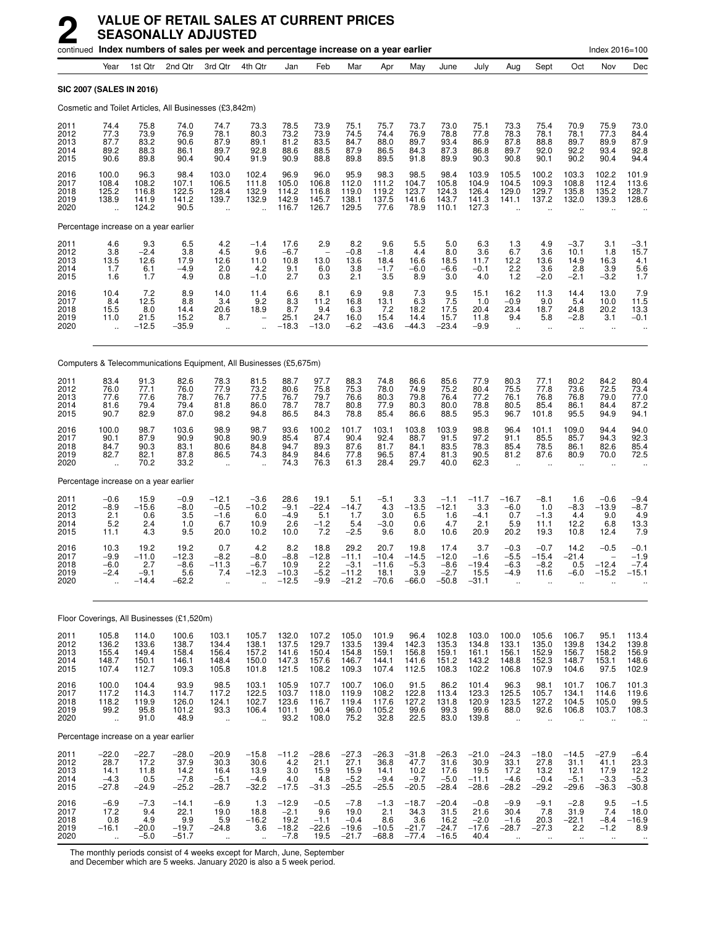|                                      |                                                          |                                           | continued Index numbers of sales per week and percentage increase on a year earlier |                                                         |                                                          |                                                |                                            |                                                 |                                               |                                              |                                                          |                                               |                                                      |                                                       |                                                          | Index 2016=100                               |                                             |
|--------------------------------------|----------------------------------------------------------|-------------------------------------------|-------------------------------------------------------------------------------------|---------------------------------------------------------|----------------------------------------------------------|------------------------------------------------|--------------------------------------------|-------------------------------------------------|-----------------------------------------------|----------------------------------------------|----------------------------------------------------------|-----------------------------------------------|------------------------------------------------------|-------------------------------------------------------|----------------------------------------------------------|----------------------------------------------|---------------------------------------------|
|                                      | Year                                                     | 1st Qtr                                   | 2nd Qtr                                                                             | 3rd Qtr                                                 | 4th Qtr                                                  | Jan                                            | Feb                                        | Mar                                             | Apr                                           | May                                          | June                                                     | July                                          | Aug                                                  | Sept                                                  | Oct                                                      | Nov                                          | Dec                                         |
| SIC 2007 (SALES IN 2016)             |                                                          |                                           |                                                                                     |                                                         |                                                          |                                                |                                            |                                                 |                                               |                                              |                                                          |                                               |                                                      |                                                       |                                                          |                                              |                                             |
|                                      |                                                          |                                           | Cosmetic and Toilet Articles, All Businesses (£3,842m)                              |                                                         |                                                          |                                                |                                            |                                                 |                                               |                                              |                                                          |                                               |                                                      |                                                       |                                                          |                                              |                                             |
| 2011<br>2012<br>2013<br>2014<br>2015 | 74.4<br>77.3<br>87.7<br>89.2<br>90.6                     | 75.8<br>73.9<br>83.2<br>88.3<br>89.8      | 74.0<br>76.9<br>90.6<br>86.1<br>90.4                                                | 74.7<br>78.1<br>87.9<br>89.7<br>90.4                    | 73.3<br>80.3<br>89.1<br>92.8<br>91.9                     | 78.5<br>73.2<br>81.2<br>88.6<br>90.9           | 73.9<br>73.9<br>83.5<br>88.5<br>88.8       | 75.1<br>74.5<br>84.7<br>87.9<br>89.8            | 75.7<br>74.4<br>88.0<br>86.5<br>89.5          | 73.7<br>76.9<br>89.7<br>84.3<br>91.8         | 73.0<br>78.8<br>93.4<br>87.3<br>89.9                     | 75.1<br>77.8<br>86.9<br>86.8<br>90.3          | 73.3<br>78.3<br>87.8<br>89.7<br>90.8                 | 75.4<br>78.1<br>88.8<br>92.0<br>90.1                  | 70.9<br>78.1<br>89.7<br>92.2<br>90.2                     | 75.9<br>77.3<br>89.9<br>93.4<br>90.4         | 73.0<br>84.4<br>87.9<br>92.8<br>94.4        |
| 2016<br>2017<br>2018<br>2019<br>2020 | 100.0<br>108.4<br>125.2<br>138.9<br>$\ddot{\phantom{a}}$ | 96.3<br>108.2<br>116.8<br>141.9<br>124.2  | 98.4<br>107.1<br>122.5<br>141.2<br>90.5                                             | 103.0<br>106.5<br>128.4<br>139.7                        | 102.4<br>111.8<br>132.9<br>132.9<br>$\ddot{\phantom{a}}$ | 96.9<br>105.0<br>114.2<br>142.9<br>116.7       | 96.0<br>106.8<br>116.8<br>145.7<br>126.7   | 95.9<br>112.0<br>119.0<br>138.1<br>129.5        | 98.3<br>111.2<br>119.2<br>137.5<br>77.6       | 98.5<br>104.7<br>123.7<br>141.6<br>78.9      | 98.4<br>105.8<br>124.3<br>143.7<br>110.1                 | 103.9<br>104.9<br>126.4<br>141.3<br>127.3     | 105.5<br>104.5<br>129.0<br>141.1                     | 100.2<br>109.3<br>129.7<br>137.2                      | 103.3<br>108.8<br>135.8<br>132.0                         | 102.2<br>112.4<br>135.2<br>139.3             | 101.9<br>113.6<br>128.7<br>128.6            |
|                                      |                                                          | Percentage increase on a year earlier     |                                                                                     |                                                         |                                                          |                                                |                                            |                                                 |                                               |                                              |                                                          |                                               |                                                      |                                                       |                                                          |                                              |                                             |
| 2011<br>2012<br>2013<br>2014<br>2015 | 4.6<br>3.8<br>13.5<br>1.7<br>1.6                         | 9.3<br>$-2.4$<br>12.6<br>6.1<br>1.7       | 6.5<br>3.8<br>17.9<br>$-4.9$<br>4.9                                                 | 4.2<br>4.5<br>12.6<br>2.0<br>0.8                        | $-1.4$<br>9.6<br>11.0<br>4.2<br>$-1.0$                   | 17.6<br>$-6.7$<br>10.8<br>9.1<br>2.7           | 2.9<br>13.0<br>6.0<br>0.3                  | 8.2<br>$-0.8$<br>13.6<br>3.8<br>2.1             | 9.6<br>$-1.8$<br>18.4<br>$-1.7$<br>3.5        | 5.5<br>4.4<br>16.6<br>$-6.0$<br>8.9          | 5.0<br>8.0<br>18.5<br>$-6.6$<br>3.0                      | 6.3<br>3.6<br>11.7<br>$-0.1$<br>4.0           | 1.3<br>6.7<br>12.2<br>2.2<br>1.2                     | 4.9<br>3.6<br>13.6<br>3.6<br>$-2.0$                   | -3.7<br>10.1<br>14.9<br>2.8<br>$-2.1$                    | 3.1<br>1.8<br>16.3<br>3.9<br>$-3.2$          | -3.1<br>15.7<br>4.1<br>$\frac{5.6}{1.7}$    |
| 2016<br>2017<br>2018<br>2019<br>2020 | 10.4<br>8.4<br>15.5<br>11.0<br>$\ddotsc$                 | 7.2<br>12.5<br>8.0<br>21.5<br>$-12.5$     | 8.9<br>8.8<br>14.4<br>15.2<br>$-35.9$                                               | 14.0<br>3.4<br>20.6<br>8.7<br>$\ddotsc$                 | 11.4<br>9.2<br>18.9                                      | 6.6<br>8.3<br>8.7<br>25.1<br>$-18.3$           | 8.1<br>11.2<br>9.4<br>24.7<br>$-13.0$      | 6.9<br>16.8<br>6.3<br>16.0<br>$-6.2$            | 9.8<br>13.1<br>7.2<br>15.4<br>$-43.6$         | 7.3<br>6.3<br>18.2<br>14.4<br>$-44.3$        | 9.5<br>7.5<br>17.5<br>15.7<br>$-23.4$                    | 15.1<br>1.0<br>20.4<br>11.8<br>$-9.9$         | 16.2<br>$-0.9$<br>23.4<br>9.4<br>$\mathbf{r}$ .      | 11.3<br>9.0<br>18.7<br>5.8<br>$\ddotsc$               | 14.4<br>5.4<br>24.8<br>$-2.8$<br>$\ddotsc$               | 13.0<br>10.0<br>20.2<br>3.1<br>$\ddotsc$     | 7.9<br>11.5<br>13.3<br>$-0.1$               |
|                                      |                                                          |                                           | Computers & Telecommunications Equipment, All Businesses (£5,675m)                  |                                                         |                                                          |                                                |                                            |                                                 |                                               |                                              |                                                          |                                               |                                                      |                                                       |                                                          |                                              |                                             |
| 2011<br>2012<br>2013<br>2014<br>2015 | 83.4<br>76.0<br>77.6<br>81.6<br>90.7                     | 91.3<br>77.1<br>77.6<br>79.4<br>82.9      | 82.6<br>76.0<br>78.7<br>79.4<br>87.0                                                | 78.3<br>77.9<br>76.7<br>81.8<br>98.2                    | 81.5<br>73.2<br>77.5<br>86.0<br>94.8                     | 88.7<br>80.6<br>76.7<br>78.7<br>86.5           | 97.7<br>75.8<br>79.7<br>78.7<br>84.3       | 88.3<br>75.3<br>76.6<br>80.8<br>78.8            | 74.8<br>78.0<br>80.3<br>77.9<br>85.4          | 86.6<br>74.9<br>79.8<br>80.3<br>86.6         | 85.6<br>75.2<br>76.4<br>80.0<br>88.5                     | 77.9<br>80.4<br>77.2<br>78.8<br>95.3          | 80.3<br>75.5<br>76.1<br>80.5<br>96.7                 | 77.1<br>77.8<br>76.8<br>85.4<br>101.8                 | 80.2<br>73.6<br>76.8<br>86.1<br>95.5                     | 84.2<br>72.5<br>79.0<br>84.4<br>94.9         | 80.4<br>73.4<br>77.0<br>87.2<br>94.1        |
| 2016<br>2017<br>2018<br>2019<br>2020 | 100.0<br>90.1<br>84.7<br>82.7<br>$\ddot{\phantom{a}}$    | 98.7<br>87.9<br>90.3<br>82.1<br>70.2      | 103.6<br>90.9<br>83.1<br>87.8<br>33.2                                               | 98.9<br>90.8<br>80.6<br>86.5<br>$\ddotsc$               | 98.7<br>90.9<br>84.8<br>74.3                             | 93.6<br>85.4<br>94.7<br>84.9<br>74.3           | 100.2<br>87.4<br>89.3<br>84.6<br>76.3      | 101.7<br>90.4<br>87.6<br>77.8<br>61.3           | 103.1<br>92.4<br>81.7<br>96.5<br>28.4         | 103.8<br>88.7<br>84.1<br>87.4<br>29.7        | 103.9<br>91.5<br>83.5<br>81.3<br>40.0                    | 98.8<br>97.2<br>78.3<br>90.5<br>62.3          | 96.4<br>91.1<br>85.4<br>81.2<br>$\ddot{\phantom{a}}$ | 101.1<br>85.5<br>78.5<br>87.6<br>$\ddot{\phantom{a}}$ | 109.0<br>85.7<br>86.1<br>80.9                            | 94.4<br>94.3<br>82.6<br>70.0                 | 94.0<br>92.3<br>85.4<br>72.5                |
|                                      |                                                          | Percentage increase on a year earlier     |                                                                                     |                                                         |                                                          |                                                |                                            |                                                 |                                               |                                              |                                                          |                                               |                                                      |                                                       |                                                          |                                              |                                             |
| 2011<br>2012<br>2013<br>2014<br>2015 | $-0.6$<br>-8.9<br>2.1<br>5.2<br>11.1                     | 15.9<br>$-15.6$<br>0.6<br>2.4<br>4.3      | $-0.9$<br>$-8.0$<br>3.5<br>1.0<br>9.5                                               | $-12.1$<br>$-0.5$<br>$-1.6$<br>6.7<br>20.0              | $-3.6$<br>$-10.2$<br>6.0<br>10.9<br>10.2                 | 28.6<br>$-9.1$<br>$-4.9$<br>2.6<br>10.0        | 19.1<br>$-22.4$<br>5.1<br>$-1.2$<br>7.2    | 5.1<br>$-14.7$<br>1.7<br>5.4<br>$-2.5$          | $-5.1$<br>4.3<br>3.0<br>$-3.0$<br>9.6         | 3.3<br>$-13.5$<br>6.5<br>0.6<br>8.0          | $-1.1$<br>$-12.1$<br>1.6<br>4.7<br>10.6                  | $-11.7$<br>3.3<br>$-4.1$<br>2.1<br>20.9       | $-16.7$<br>$-6.0$<br>0.7<br>5.9<br>20.2              | $-8.1$<br>1.0<br>$-1.3$<br>11.1<br>19.3               | 1.6<br>-8.3<br>4.4<br>12.2<br>10.8                       | $-0.6$<br>$-13.9$<br>9.0<br>6.8<br>12.4      | $-9.4$<br>$-8.7$<br>4.9<br>13.3<br>7.9      |
| 2016<br>2017<br>2018<br>2019<br>2020 | 10.3<br>-9.9<br>$-6.0$<br>$-2.4$                         | 19.2<br>$-11.0$<br>2.7<br>$-9.1$<br>-14.4 | 19.2<br>$-12.3$<br>$-8.6$<br>5.6<br>$-62.2$                                         | 0.7<br>$-8.2$<br>$-11.3$<br>7.4<br>$\ddot{\phantom{a}}$ | 4.2<br>$-8.0$<br>$-6.\bar{7}$<br>$-12.3$                 | 8.2<br>$-8.8$<br>10.9<br>$-10.3$<br>$-12.5$    | 18.8<br>$-12.8$<br>2.2<br>$-5.2$<br>$-9.9$ | 29.2<br>$-11.1$<br>$-3.1$<br>$-11.2$<br>$-21.2$ | 20.7<br>$-10.4$<br>$-11.6$<br>18.1<br>$-70.6$ | 19.8<br>$-14.5$<br>$-5.3$<br>3.9<br>$-66.0$  | 17.4<br>$-12.0$<br>$-8.6$<br>$-2.7$<br>$-50.8$           | 3.7<br>$-1.6$<br>$-19.4$<br>15.5<br>$-31.1$   | $-0.3$<br>$-5.5$<br>$-6.3$<br>$-4.9$                 | $-0.7$<br>$-15.4$<br>$-8.2$<br>11.6                   | 14.2<br>$-21.4$<br>0.5<br>-6.0                           | $-0.5$<br>$-12.4$<br>$-15.2$                 | $-0.1$<br>$-1.9$<br>$-7.4$<br>$-15.1$       |
|                                      |                                                          |                                           | Floor Coverings, All Businesses (£1,520m)                                           |                                                         |                                                          |                                                |                                            |                                                 |                                               |                                              |                                                          |                                               |                                                      |                                                       |                                                          |                                              |                                             |
| 2011<br>2012<br>2013<br>2014<br>2015 | 105.8<br>136.2<br>155.4<br>148.7<br>107.4                | 114.0<br>133.6<br>149.4<br>150.1<br>112.7 | 100.6<br>138.7<br>158.4<br>146.1<br>109.3                                           | 103.1<br>134.4<br>156.4<br>148.4<br>105.8               | 105.7<br>138.1<br>157.2<br>150.0<br>101.8                | 132.0<br>137.5<br>141.6<br>147.3<br>121.5      | 107.2<br>129.7<br>150.4<br>157.6<br>108.2  | 105.0<br>133.5<br>154.8<br>146.7<br>109.3       | 101.9<br>139.4<br>159.1<br>144.1<br>107.4     | 96.4<br>142.3<br>156.8<br>141.6<br>112.5     | 102.8<br>135.3<br>159.1<br>151.2<br>108.3                | 103.0<br>134.8<br>161.1<br>143.2<br>102.2     | 100.0<br>133.1<br>156.1<br>148.8<br>106.8            | 105.6<br>135.0<br>152.9<br>152.3<br>107.9             | 106.7<br>139.8<br>156.7<br>148.7<br>104.6                | 95.1<br>134.2<br>158.2<br>153.1<br>97.5      | 113.4<br>139.8<br>156.9<br>148.6<br>102.9   |
| 2016<br>2017<br>2018<br>2019<br>2020 | 100.0<br>117.2<br>118.2<br>99.2<br>÷.                    | 104.4<br>114.3<br>119.9<br>95.8<br>91.0   | 93.9<br>114.7<br>126.0<br>101.2<br>48.9                                             | 98.5<br>117.2<br>124.1<br>93.3<br>$\mathbf{u}$          | 103.1<br>122.5<br>102.7<br>106.4<br>u,                   | 105.9<br>103.7<br>123.6<br>101.1<br>93.2       | 107.7<br>118.0<br>116.7<br>90.4<br>108.0   | 100.7<br>119.9<br>119.4<br>96.0<br>75.2         | 106.0<br>108.2<br>117.6<br>105.2<br>32.8      | 91.5<br>122.8<br>127.2<br>99.6<br>22.5       | 86.2<br>113.4<br>131.8<br>99.3<br>83.0                   | 101.4<br>123.3<br>120.9<br>99.6<br>139.8      | 96.3<br>125.5<br>123.5<br>88.0<br>$\mathbf{r}$ .     | 98.1<br>105.7<br>127.2<br>92.6<br>$\ddotsc$           | 101.7<br>134.1<br>104.5<br>106.8                         | 106.7<br>114.6<br>105.0<br>103.7             | 101.3<br>119.6<br>99.5<br>108.3             |
|                                      |                                                          | Percentage increase on a year earlier     |                                                                                     |                                                         |                                                          |                                                |                                            |                                                 |                                               |                                              |                                                          |                                               |                                                      |                                                       |                                                          |                                              |                                             |
| 2011<br>2012<br>2013<br>2014<br>2015 | $-22.0$<br>28.7<br>14.1<br>$-4.3$<br>$-27.8$             | $-22.7$<br>17.2<br>11.8<br>0.5<br>$-24.9$ | $-28.0$<br>37.9<br>14.2<br>$-7.8$<br>$-25.2$                                        | $-20.9$<br>30.3<br>16.4<br>$-5.1$<br>-28.7              | $-15.8$<br>30.6<br>13.9<br>$-4.6$<br>$-32.2$             | $-11.2$<br>4.2<br>3.0<br>4.0<br>$-17.5$        | $-28.6$<br>21.1<br>15.9<br>4.8<br>$-31.3$  | $-27.3$<br>27.1<br>15.9<br>$-5.2$<br>$-25.5$    | $-26.3$<br>36.8<br>14.1<br>$-9.4$<br>$-25.5$  | $-31.8$<br>47.7<br>10.2<br>$-9.7$<br>$-20.5$ | $-26.3$<br>31.6<br>17.6<br>$-5.0$<br>$-28.4$             | $-21.0$<br>30.9<br>19.5<br>$-11.1$<br>$-28.6$ | $-24.3$<br>33.1<br>17.2<br>$-4.6$<br>$-28.2$         | $-18.0$<br>27.8<br>13.2<br>$-0.4$<br>$-29.2$          | $-14.5$<br>31.1<br>12.1<br>$-5.1$<br>$-29.6$             | $-27.9$<br>41.1<br>17.9<br>$-3.3$<br>$-36.3$ | $-6.4$<br>23.3<br>12.2<br>$-5.3$<br>$-30.8$ |
| 2016<br>2017<br>2018<br>2019<br>2020 | $-6.9$<br>17.2<br>0.8<br>$-16.1$<br>$\ddot{\phantom{a}}$ | $-7.3$<br>9.4<br>4.9<br>$-20.0$<br>$-5.0$ | $-14.1$<br>22.1<br>9.9<br>$-19.7$<br>$-51.7$                                        | $-6.9$<br>19.0<br>5.9<br>$-24.8$<br>$\ddotsc$           | 1.3<br>18.8<br>$-16.2$<br>3.6<br>$\ddot{\phantom{a}}$    | $-12.9$<br>$-2.1$<br>19.2<br>$-18.2$<br>$-7.8$ | $-0.5$<br>9.6<br>$-1.1$<br>$-22.6$<br>19.5 | $-7.8$<br>19.0<br>$-0.4$<br>$-19.6$<br>$-21.7$  | $-1.3$<br>2.1<br>8.6<br>$-10.5$<br>$-68.8$    | $-18.7$<br>34.3<br>3.6<br>$-21.7$<br>$-77.4$ | $-20.4$<br>31.5<br>16.2<br>$-24.\overline{7}$<br>$-16.5$ | $-0.8$<br>21.6<br>$-2.0$<br>$-17.6$<br>40.4   | $-9.9$<br>30.4<br>$-1.6$<br>$-28.7$<br>$\ddotsc$     | $-9.1$<br>7.8<br>20.3<br>$-27.3$<br>$\ldots$          | $-2.8$<br>31.9<br>$-22.1$<br>2.2<br>$\ddot{\phantom{1}}$ | 9.5<br>7.4<br>$-8.4$<br>$-1.2$<br>$\ddotsc$  | $-1.5$<br>18.0<br>$-16.9$<br>8.9            |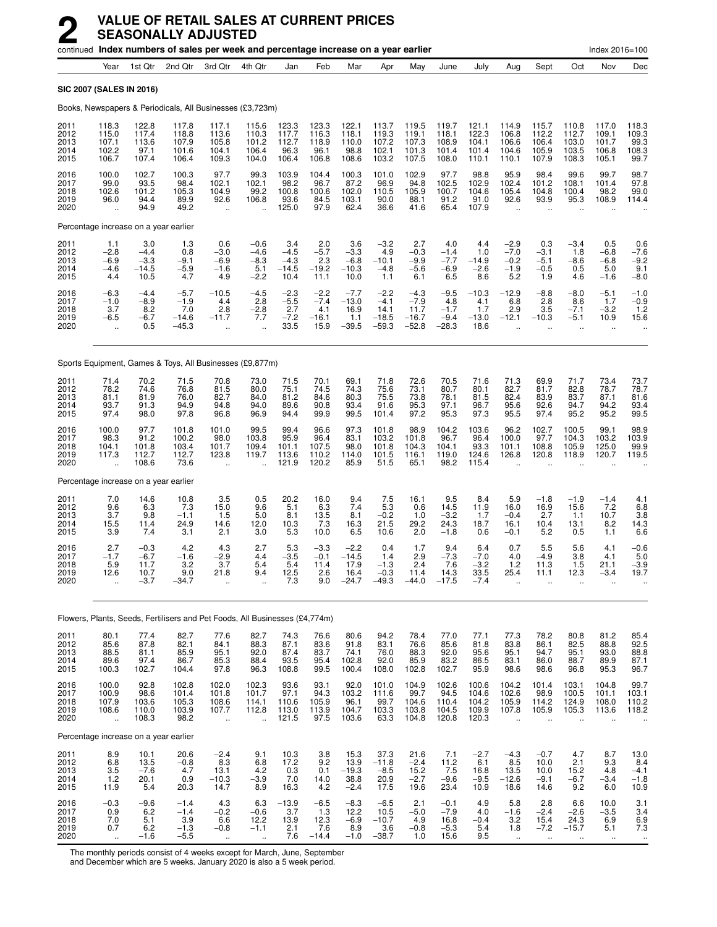|                                      |                                                        |                                            |                                               | continued Index numbers of sales per week and percentage increase on a year earlier |                                                         |                                            |                                             |                                              |                                                |                                                |                                            |                                           |                                                          |                                              |                                             | Index 2016=100                                       |                                                         |
|--------------------------------------|--------------------------------------------------------|--------------------------------------------|-----------------------------------------------|-------------------------------------------------------------------------------------|---------------------------------------------------------|--------------------------------------------|---------------------------------------------|----------------------------------------------|------------------------------------------------|------------------------------------------------|--------------------------------------------|-------------------------------------------|----------------------------------------------------------|----------------------------------------------|---------------------------------------------|------------------------------------------------------|---------------------------------------------------------|
|                                      | Year                                                   | 1st Qtr                                    | 2nd Qtr                                       | 3rd Qtr                                                                             | 4th Qtr                                                 | Jan                                        | Feb                                         | Mar                                          | Apr                                            | May                                            | June                                       | July                                      | Aug                                                      | Sept                                         | Oct                                         | Nov                                                  | Dec                                                     |
| <b>SIC 2007 (SALES IN 2016)</b>      |                                                        |                                            |                                               |                                                                                     |                                                         |                                            |                                             |                                              |                                                |                                                |                                            |                                           |                                                          |                                              |                                             |                                                      |                                                         |
|                                      |                                                        |                                            |                                               | Books, Newspapers & Periodicals, All Businesses (£3,723m)                           |                                                         |                                            |                                             |                                              |                                                |                                                |                                            |                                           |                                                          |                                              |                                             |                                                      |                                                         |
| 2011<br>2012<br>2013<br>2014<br>2015 | 118.3<br>115.0<br>107.1<br>102.2<br>106.7              | 122.8<br>117.4<br>113.6<br>97.1<br>107.4   | 117.8<br>118.8<br>107.9<br>101.6<br>106.4     | 117.1<br>113.6<br>105.8<br>104.1<br>109.3                                           | 115.6<br>110.3<br>101.2<br>106.4<br>104.0               | 123.3<br>117.7<br>112.7<br>96.3<br>106.4   | 123.3<br>116.3<br>118.9<br>96.1<br>106.8    | 122.1<br>118.1<br>110.0<br>98.8<br>108.6     | 113.7<br>119.3<br>107.2<br>102.1<br>103.2      | 119.5<br>119.1<br>107.3<br>101.3<br>107.5      | 119.7<br>118.1<br>108.9<br>101.4<br>108.0  | 121.1<br>122.3<br>104.1<br>101.4<br>110.1 | 114.9<br>106.8<br>106.6<br>104.6<br>110.1                | 115.7<br>112.2<br>106.4<br>105.9<br>107.9    | 110.8<br>112.7<br>103.0<br>103.5<br>108.3   | 117.0<br>109.1<br>101.7<br>106.8<br>105.1            | 118.3<br>109.3<br>99.3<br>108.3<br>99.7                 |
| 2016<br>2017<br>2018<br>2019<br>2020 | 100.0<br>99.0<br>102.6<br>96.0<br>$\ddot{\phantom{a}}$ | 102.7<br>93.5<br>101.2<br>94.4<br>94.9     | 100.3<br>98.4<br>105.3<br>89.9<br>49.2        | 97.7<br>102.1<br>104.9<br>92.6<br>ä,                                                | 99.3<br>102.1<br>99.2<br>106.8<br>$\ddot{\phantom{a}}$  | 103.9<br>98.2<br>100.8<br>93.6<br>125.0    | 104.4<br>96.7<br>100.6<br>84.5<br>97.9      | 100.3<br>87.2<br>102.0<br>103.1<br>62.4      | 101.0<br>96.9<br>110.5<br>90.0<br>36.6         | 102.9<br>94.8<br>105.9<br>88.1<br>41.6         | 97.7<br>102.5<br>100.7<br>91.2<br>65.4     | 98.8<br>102.9<br>104.6<br>91.0<br>107.9   | 95.9<br>102.4<br>105.4<br>92.6<br>ä.                     | 98.4<br>101.2<br>104.8<br>93.9<br>ä.         | 99.6<br>108.1<br>100.4<br>95.3              | 99.7<br>101.4<br>98.2<br>108.9                       | 98.7<br>97.8<br>99.0<br>114.4                           |
|                                      |                                                        | Percentage increase on a year earlier      |                                               |                                                                                     |                                                         |                                            |                                             |                                              |                                                |                                                |                                            |                                           |                                                          |                                              |                                             |                                                      |                                                         |
| 2011<br>2012<br>2013<br>2014<br>2015 | 1.1<br>$-2.8$<br>$-6.9$<br>$-4.6$<br>4.4               | 3.0<br>$-4.4$<br>$-3.3$<br>$-14.5$<br>10.5 | 1.3<br>0.8<br>$-9.1$<br>$-5.9$<br>4.7         | 0.6<br>$-3.0$<br>$-6.9$<br>$-1.6$<br>4.9                                            | $-0.6$<br>$-4.6$<br>$-8.3$<br>5.1<br>$-2.2$             | 3.4<br>$-4.5$<br>$-4.3$<br>$-14.5$<br>10.4 | 2.0<br>$-5.7$<br>2.3<br>$-19.2$<br>11.1     | 3.6<br>$-3.3$<br>$-6.8$<br>$-10.3$<br>10.0   | $-3.2$<br>4.9<br>$-10.1$<br>$-4.8$<br>1.1      | 2.7<br>$-0.3$<br>$-9.9$<br>-5.6<br>6.1         | 4.0<br>$-1.4$<br>$-7.7$<br>-6.9<br>6.5     | 4.4<br>1.0<br>–14.9<br>$-2.6$<br>8.6      | $-2.9$<br>$-7.0$<br>$-0.2$<br>$-1.9$<br>$5.\overline{2}$ | 0.3<br>$-3.1$<br>$-5.1$<br>$-0.5$<br>1.9     | $-3.4$<br>1.8<br>-8.6<br>0.5<br>4.6         | 0.5<br>$-6.8$<br>$-6.8$<br>5.0<br>$-1.6$             | 0.6<br>$-7.6$<br>$-9.2$<br>9.1<br>$-8.0$                |
| 2016<br>2017<br>2018<br>2019<br>2020 | $-6.3$<br>$-1.0$<br>3.7<br>$-6.5$                      | $-4.4$<br>$-8.9$<br>8.2<br>$-6.7$<br>0.5   | $-5.7$<br>$-1.9$<br>7.0<br>$-14.6$<br>$-45.3$ | $-10.5$<br>4.4<br>2.8<br>$-11.7$                                                    | $-4.5$<br>2.8<br>$-2.8$<br>7.7                          | $-2.3$<br>$-5.5$<br>2.7<br>$-7.2$<br>33.5  | $-2.2$<br>$-7.4$<br>4.1<br>$-16.1$<br>15.9  | $-7.7$<br>$-13.0$<br>16.9<br>1.1<br>$-39.5$  | $-2.2$<br>$-4.1$<br>14.1<br>$-18.5$<br>$-59.3$ | $-4.3$<br>$-7.9$<br>11.7<br>$-16.7$<br>$-52.8$ | $-9.5$<br>4.8<br>$-1.7$<br>$-9.4$<br>-28.3 | $-10.3$<br>4.1<br>1.7<br>$-13.0$<br>18.6  | $-12.9$<br>6.8<br>2.9<br>$-12.1$                         | $-8.8$<br>2.8<br>3.5<br>$-10.3$<br>ä.        | $-8.0$<br>8.6<br>$-7.1$<br>$-5.1$<br>ä.     | $-5.1$<br>1.7<br>$-3.2$<br>10.9<br>$\ddotsc$         | $-1.0$<br>$-0.9$<br>1.2<br>15.6<br>$\ddot{\phantom{0}}$ |
|                                      |                                                        |                                            |                                               | Sports Equipment, Games & Toys, All Businesses (£9,877m)                            |                                                         |                                            |                                             |                                              |                                                |                                                |                                            |                                           |                                                          |                                              |                                             |                                                      |                                                         |
| 2011<br>2012<br>2013<br>2014<br>2015 | 71.4<br>78.2<br>81.1<br>93.7<br>97.4                   | 70.2<br>74.6<br>81.9<br>91.3<br>98.0       | 71.5<br>76.8<br>76.0<br>94.9<br>97.8          | 70.8<br>81.5<br>82.7<br>94.8<br>96.8                                                | 73.0<br>80.0<br>84.0<br>94.0<br>96.9                    | 71.5<br>75.1<br>81.2<br>89.6<br>94.4       | 70.1<br>74.5<br>84.6<br>90.8<br>99.9        | 69.1<br>74.3<br>80.3<br>93.4<br>99.5         | 71.8<br>75.6<br>75.5<br>91.6<br>101.4          | 72.6<br>73.1<br>73.8<br>95.3<br>97.2           | 70.5<br>80.7<br>78.1<br>97.1<br>95.3       | 71.6<br>80.1<br>81.5<br>96.7<br>97.3      | 71.3<br>82.7<br>82.4<br>95.6<br>95.5                     | 69.9<br>81.7<br>83.9<br>92.6<br>97.4         | 71.7<br>82.8<br>83.7<br>94.7<br>95.2        | 73.4<br>78.7<br>87.1<br>94.2<br>95.2                 | 73.7<br>78.7<br>81.6<br>93.4<br>99.5                    |
| 2016<br>2017<br>2018<br>2019<br>2020 | 100.0<br>98.3<br>104.1<br>117.3<br>$\ddotsc$           | 97.7<br>91.2<br>101.8<br>112.7<br>108.6    | 101.8<br>100.2<br>103.4<br>112.7<br>73.6      | 101.0<br>98.0<br>101.7<br>123.8<br>÷.                                               | 99.5<br>103.8<br>109.4<br>119.7                         | 99.4<br>95.9<br>101.1<br>113.6<br>121.9    | 96.6<br>96.4<br>107.5<br>110.2<br>120.2     | 97.3<br>83.1<br>98.0<br>114.0<br>85.9        | 101.8<br>103.2<br>101.8<br>101.5<br>51.5       | 98.9<br>101.8<br>104.3<br>116.1<br>65.1        | 104.2<br>96.7<br>104.1<br>119.0<br>98.2    | 103.6<br>96.4<br>93.3<br>124.6<br>115.4   | 96.2<br>100.0<br>101.1<br>126.8                          | 102.7<br>97.7<br>108.8<br>120.8              | 100.5<br>104.3<br>105.9<br>118.9            | 99.1<br>103.2<br>125.0<br>120.7                      | 98.9<br>103.9<br>99.9<br>119.5                          |
|                                      |                                                        | Percentage increase on a year earlier      |                                               |                                                                                     |                                                         |                                            |                                             |                                              |                                                |                                                |                                            |                                           |                                                          |                                              |                                             |                                                      |                                                         |
| 2011<br>2012<br>2013<br>2014<br>2015 | 7.0<br>9.6<br>3.7<br>15.5<br>3.9                       | 14.6<br>6.3<br>9.8<br>11.4<br>7.4          | 10.8<br>7.3<br>$-1.1$<br>24.9<br>3.1          | 3.5<br>15.0<br>1.5<br>14.6<br>2.1                                                   | 0.5<br>9.6<br>5.0<br>12.0<br>3.0                        | 20.2<br>5.1<br>8.1<br>10.3<br>5.3          | 16.0<br>6.3<br>13.5<br>7.3<br>10.0          | 9.4<br>7.4<br>8.1<br>16.3<br>6.5             | 7.5<br>$\frac{5.3}{-0.2}$<br>21.5<br>10.6      | 16.1<br>0.6<br>1.0<br>29.2<br>2.0              | 9.5<br>14.5<br>$-3.2$<br>24.3<br>$-1.8$    | 8.4<br>11.9<br>1.7<br>18.7<br>0.6         | 5.9<br>16.0<br>$-0.4$<br>16.1<br>$-0.1$                  | $-1.8$<br>16.9<br>2.7<br>10.4<br>5.2         | $-1.9$<br>15.6<br>1.1<br>13.1<br>0.5        | $-1.4$<br>$7.2$<br>10.7<br>8.2<br>1.1                | 4.1<br>6.8<br>3.8<br>14.3<br>6.6                        |
| 2016<br>2017<br>2018<br>2019<br>2020 | 2.7<br>$-1.7$<br>5.9<br>12.6<br>$\ddotsc$              | $-0.3$<br>$-6.7$<br>11.7<br>10.7<br>$-3.7$ | 4.2<br>-1.6<br>3.2<br>9.0<br>-34.7            | 4.3<br>$-2.9$<br>3.7<br>21.8<br>$\ddot{\phantom{a}}$                                | 2.7<br>4.4<br>5.4<br>9.4<br>$\ddot{\phantom{a}}$        | 5.3<br>-3.5<br>5.4<br>12.5<br>7.3          | $-3.3$<br>$-0.1$<br>11.4<br>2.6<br>9.0      | $-2.2$<br>$-14.5$<br>17.9<br>16.4<br>$-24.7$ | 0.4<br>1.4<br>$-1.3$<br>$-0.3$<br>$-49.3$      | 1.7<br>2.9<br>2.4<br>11.4<br>$-44.0$           | 9.4<br>-7.3<br>7.6<br>14.3<br>$-17.5$      | 6.4<br>$-7.0$<br>$-3.2$<br>33.5<br>$-7.4$ | 0.7<br>4.0<br>$1.2$<br>25.4                              | 5.5<br>$-4.9$<br>11.3<br>11.1                | 5.6<br>3.8<br>1.5<br>12.3                   | 4.1<br>4.1<br>21.1<br>$-3.4$<br>$\ddot{\phantom{a}}$ | $-0.6$<br>5.0<br>$-3.9$<br>19.7                         |
|                                      |                                                        |                                            |                                               | Flowers, Plants, Seeds, Fertilisers and Pet Foods, All Businesses (£4,774m)         |                                                         |                                            |                                             |                                              |                                                |                                                |                                            |                                           |                                                          |                                              |                                             |                                                      |                                                         |
| 2011<br>2012<br>2013<br>2014<br>2015 | 80.1<br>85.6<br>88.5<br>89.6<br>100.3                  | 77.4<br>87.8<br>81.1<br>97.4<br>102.7      | 82.7<br>82.1<br>85.9<br>86.7<br>104.4         | 77.6<br>84.1<br>95.1<br>85.3<br>97.8                                                | 82.7<br>88.3<br>92.0<br>88.4<br>96.3                    | 74.3<br>87.1<br>87.4<br>93.5<br>108.8      | 76.6<br>83.6<br>83.7<br>95.4<br>99.5        | 80.6<br>91.8<br>74.1<br>102.8<br>100.4       | 94.2<br>83.1<br>76.0<br>92.0<br>108.0          | 78.4<br>76.6<br>88.3<br>85.9<br>102.8          | 77.0<br>85.6<br>92.0<br>83.2<br>102.7      | 77.1<br>81.8<br>95.6<br>86.5<br>95.9      | 77.3<br>83.8<br>95.1<br>83.1<br>98.6                     | 78.2<br>86.1<br>94.7<br>86.0<br>98.6         | 80.8<br>82.5<br>95.1<br>88.7<br>96.8        | 81.2<br>88.8<br>93.0<br>89.9<br>95.3                 | 85.4<br>92.5<br>88.8<br>87.1<br>96.7                    |
| 2016<br>2017<br>2018<br>2019<br>2020 | 100.0<br>100.9<br>107.9<br>108.6                       | 92.8<br>98.6<br>103.6<br>110.0<br>108.3    | 102.8<br>101.4<br>105.3<br>103.9<br>98.2      | 102.0<br>101.8<br>108.6<br>107.7<br>u.                                              | 102.3<br>101.7<br>114.1<br>112.8<br>$\ddotsc$           | 93.6<br>97.1<br>110.6<br>113.0<br>121.5    | 93.1<br>94.3<br>105.9<br>113.9<br>97.5      | 92.0<br>103.2<br>96.1<br>104.7<br>103.6      | 101.0<br>111.6<br>99.7<br>103.3<br>63.3        | 104.9<br>99.7<br>104.6<br>103.8<br>104.8       | 102.6<br>94.5<br>110.4<br>104.5<br>120.8   | 100.6<br>104.6<br>104.2<br>109.9<br>120.3 | 104.2<br>102.6<br>105.9<br>107.8                         | 101.4<br>98.9<br>114.2<br>105.9              | 103.1<br>100.5<br>124.9<br>105.3            | 104.8<br>101.1<br>108.0<br>113.6                     | 99.7<br>103.1<br>110.2<br>118.2                         |
|                                      |                                                        | Percentage increase on a year earlier      |                                               |                                                                                     |                                                         |                                            |                                             |                                              |                                                |                                                |                                            |                                           |                                                          |                                              |                                             |                                                      |                                                         |
| 2011<br>2012<br>2013<br>2014<br>2015 | 8.9<br>6.8<br>$\frac{3.5}{1.2}$<br>11.9                | 10.1<br>13.5<br>$-7.6$<br>20.1<br>5.4      | 20.6<br>$-0.8$<br>4.7<br>0.9<br>20.3          | $-2.4$<br>8.3<br>13.1<br>$-10.3$<br>14.7                                            | 9.1<br>6.8<br>$4.2 - 3.9$<br>8.9                        | 10.3<br>17.2<br>$\frac{0.3}{7.0}$<br>16.3  | 3.8<br>9.2<br>0.1<br>14.0<br>4.2            | 15.3<br>13.9<br>$-19.3$<br>38.8<br>$-2.4$    | 37.3<br>$-11.8$<br>$\frac{-8.5}{20.9}$<br>17.5 | 21.6<br>$-2.4$<br>$15.2 - 2.7$<br>19.6         | 7.1<br>11.2<br>$7.5 - 9.6$<br>23.4         | $-2.7$<br>6.1<br>16.8<br>$-9.5$<br>10.9   | $-4.3$<br>8.5<br>13.5<br>$-12.6$<br>18.6                 | $-0.7$<br>10.0<br>10.0<br>$-9.1$<br>14.6     | 4.7<br>2.1<br>$15.2 - 6.7$<br>9.2           | 8.7<br>9.3<br>4.8<br>$-3.4$<br>6.0                   | 13.0<br>8.4<br>$-4.1$<br>$-1.8$<br>10.9                 |
| 2016<br>2017<br>2018<br>2019<br>2020 | $-0.3$<br>0.9<br>${}^{7.0}_{0.7}$<br>$\bar{a}$         | $-9.6$<br>6.2<br>5.1<br>6.2<br>$-1.6$      | $-1.4$<br>$-1.4$<br>$3.9 - 1.3$<br>$-5.5$     | 4.3<br>$-0.2$<br>6.6<br>$-0.8$<br>$\ddotsc$                                         | 6.3<br>$-0.6$<br>12.2<br>$-1.1$<br>$\ddot{\phantom{1}}$ | $-13.9$<br>3.7<br>13.9<br>2.1<br>7.6       | $-6.5$<br>1.3<br>$^{12.3}_{7.6}$<br>$-14.4$ | $-8.3$<br>12.2<br>$-6.9$<br>8.9<br>$-1.0$    | $-6.5$<br>10.5<br>$^{-10.7}_{-3.6}$<br>$-38.7$ | 2.1<br>$-5.0$<br>4.9<br>$-0.\bar{8}$<br>1.0    | $-0.1$<br>$-7.9$<br>$16.8 - 5.3$<br>15.6   | 4.9<br>4.0<br>$-0.4$<br>5.4<br>9.5        | 5.8<br>$-1.6$<br>3.2<br>1.8<br>$\ddot{\phantom{1}}$      | 2.8<br>$-2.4$<br>15.4<br>$-7.2$<br>$\ddotsc$ | 6.6<br>$-2.6$<br>$24.3 - 15.7$<br>$\ddotsc$ | 10.0<br>$-3.5$<br>6.9<br>5.1<br>$\ddot{\phantom{1}}$ | 3.1<br>3.4<br>6.9<br>7.3<br>$\ddot{\phantom{0}}$        |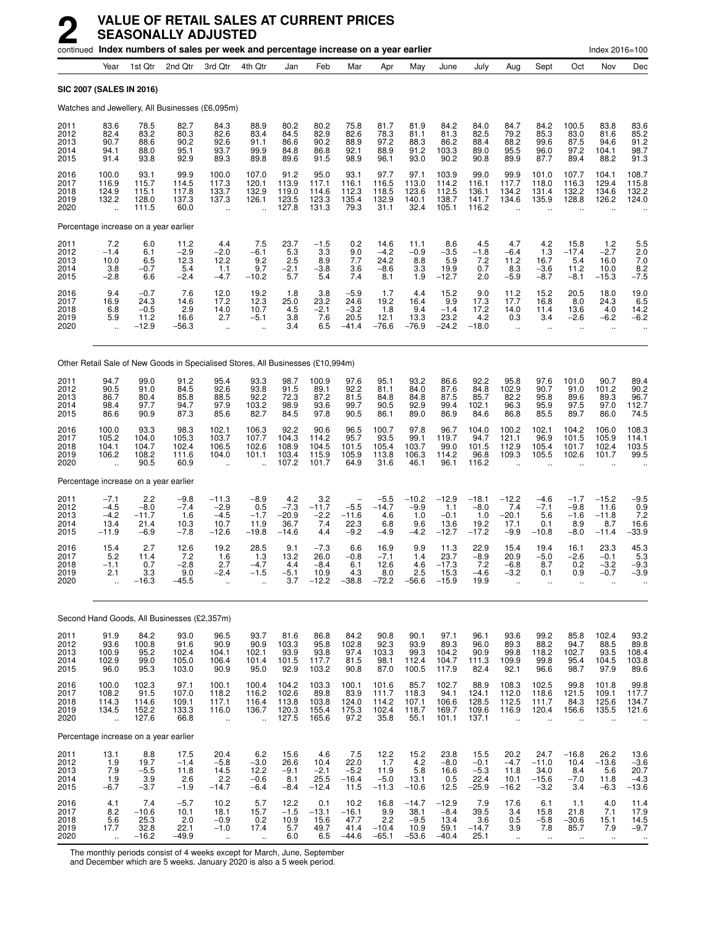|                                      |                                             |                                             |                                             | continued Index numbers of sales per week and percentage increase on a year earlier |                                                          |                                             |                                             |                                             |                                           |                                              |                                              |                                             |                                                          |                                                      |                                             | Index 2016=100                                    |                                                                       |
|--------------------------------------|---------------------------------------------|---------------------------------------------|---------------------------------------------|-------------------------------------------------------------------------------------|----------------------------------------------------------|---------------------------------------------|---------------------------------------------|---------------------------------------------|-------------------------------------------|----------------------------------------------|----------------------------------------------|---------------------------------------------|----------------------------------------------------------|------------------------------------------------------|---------------------------------------------|---------------------------------------------------|-----------------------------------------------------------------------|
|                                      | Year                                        | 1st Qtr                                     | 2nd Qtr                                     | 3rd Otr                                                                             | 4th Qtr                                                  | Jan                                         | Feb                                         | Mar                                         | Apr                                       | May                                          | June                                         | July                                        | Aug                                                      | Sept                                                 | Oct                                         | Nov                                               | Dec                                                                   |
| <b>SIC 2007 (SALES IN 2016)</b>      |                                             |                                             |                                             |                                                                                     |                                                          |                                             |                                             |                                             |                                           |                                              |                                              |                                             |                                                          |                                                      |                                             |                                                   |                                                                       |
|                                      |                                             |                                             |                                             | Watches and Jewellery, All Businesses (£6,095m)                                     |                                                          |                                             |                                             |                                             |                                           |                                              |                                              |                                             |                                                          |                                                      |                                             |                                                   |                                                                       |
| 2011<br>2012<br>2013<br>2014<br>2015 | 83.6<br>82.4<br>90.7<br>94.1<br>91.4        | 78.5<br>83.2<br>88.6<br>88.0<br>93.8        | 82.7<br>80.3<br>90.2<br>95.1<br>92.9        | 84.3<br>82.6<br>92.6<br>93.7<br>89.3                                                | 88.9<br>83.4<br>91.1<br>99.9<br>89.8                     | 80.2<br>84.5<br>86.6<br>84.8<br>89.6        | 80.2<br>82.9<br>90.2<br>86.8<br>91.5        | 75.8<br>82.6<br>88.9<br>92.1<br>98.9        | 81.7<br>78.3<br>97.2<br>88.9<br>96.1      | 81.9<br>81.1<br>88.3<br>91.2<br>93.0         | 84.2<br>81.3<br>86.2<br>103.3<br>90.2        | 84.0<br>82.5<br>88.4<br>89.0<br>90.8        | 84.7<br>79.2<br>88.2<br>95.5<br>89.9                     | 84.2<br>85.3<br>99.6<br>96.0<br>87.7                 | 100.5<br>83.0<br>87.5<br>97.2<br>89.4       | 83.8<br>81.6<br>94.6<br>104.1<br>88.2             | 83.6<br>85.2<br>91.2<br>98.7<br>91.3                                  |
| 2016<br>2017<br>2018<br>2019<br>2020 | 100.0<br>116.9<br>124.9<br>132.2<br>ü.      | 93.1<br>115.7<br>115.1<br>128.0<br>111.5    | 99.9<br>114.5<br>117.8<br>137.3<br>60.0     | 100.0<br>117.3<br>133.7<br>137.3<br>$\ddot{\phantom{1}}$                            | 107.0<br>120.1<br>132.9<br>126.1<br>$\ddot{\phantom{a}}$ | 91.2<br>113.9<br>119.0<br>123.5<br>127.8    | 95.0<br>117.1<br>114.6<br>123.3<br>131.3    | 93.1<br>116.1<br>112.3<br>135.4<br>79.3     | 97.7<br>116.5<br>118.5<br>132.9<br>31.1   | 97.1<br>113.0<br>123.6<br>140.1<br>32.4      | 103.9<br>114.2<br>112.5<br>138.7<br>105.1    | 99.0<br>116.1<br>136.1<br>141.7<br>116.2    | 99.9<br>117.7<br>134.2<br>134.6<br>$\ddot{\phantom{a}}$  | 101.0<br>118.0<br>131.4<br>135.9                     | 107.7<br>116.3<br>132.2<br>128.8            | 104.1<br>129.4<br>134.6<br>126.2                  | 108.7<br>115.8<br>132.2<br>124.0                                      |
|                                      |                                             | Percentage increase on a year earlier       |                                             |                                                                                     |                                                          |                                             |                                             |                                             |                                           |                                              |                                              |                                             |                                                          |                                                      |                                             |                                                   |                                                                       |
| 2011<br>2012<br>2013<br>2014<br>2015 | 7.2<br>$-1.4$<br>10.0<br>3.8<br>$-2.8$      | 6.0<br>6.1<br>6.5<br>$-0.7$<br>6.6          | 11.2<br>$-2.9$<br>12.3<br>5.4<br>$-2.4$     | 4.4<br>$-2.0$<br>12.2<br>1.1<br>$-4.7$                                              | 7.5<br>$-6.1$<br>9.2<br>9.7<br>$-10.2$                   | $^{23.7}_{5.3}$<br>2.5<br>$-2.1$<br>5.7     | $-1.5$<br>3.3<br>8.9<br>$-3.8$<br>5.4       | 0.2<br>9.0<br>7.7<br>3.6<br>7.4             | 14.6<br>$-4.2$<br>24.2<br>$-8.6$<br>8.1   | 11.1<br>$-0.9$<br>8.8<br>3.3<br>1.9          | 8.6<br>$-3.5$<br>5.9<br>19.9<br>$-12.7$      | 4.5<br>$-1.8$<br>7.2<br>0.7<br>2.0          | 4.7<br>$-6.4$<br>11.2<br>8.3<br>$-5.9$                   | $^{4.2}_{1.3}$<br>16.7<br>$-3.6$<br>$-8.7$           | 15.8<br>$-17.4$<br>5.4<br>11.2<br>$-8.1$    | $1.2 - 2.7$<br>16.0<br>10.0<br>$-15.3$            | $\frac{5.5}{2.0}$<br>7.0<br>$\frac{8.2}{-7.5}$                        |
| 2016<br>2017<br>2018<br>2019<br>2020 | 9.4<br>16.9<br>6.8<br>5.9                   | $-0.7$<br>24.3<br>$-0.5$<br>11.2<br>$-12.9$ | 7.6<br>14.6<br>2.9<br>16.6<br>$-56.3$       | 12.0<br>17.2<br>14.0<br>2.7<br>÷.                                                   | 19.2<br>12.3<br>10.7<br>$-5.1$<br>$\ddot{\phantom{a}}$   | 1.8<br>25.0<br>4.5<br>3.8<br>3.4            | 3.8<br>23.2<br>$-2.1$<br>7.6<br>6.5         | $-5.9$<br>24.6<br>$-3.2$<br>20.5<br>$-41.4$ | 1.7<br>19.2<br>1.8<br>12.1<br>$-76.6$     | 4.4<br>16.4<br>9.4<br>13.3<br>$-76.9$        | 15.2<br>9.9<br>$-1.4$<br>23.2<br>$-24.2$     | 9.0<br>17.3<br>17.2<br>4.2<br>$-18.0$       | $11.2$<br>17.7<br>14.0<br>0.3<br>$\ddot{\phantom{a}}$    | 15.2<br>16.8<br>11.4<br>3.4<br>$\ddot{\phantom{1}}$  | 20.5<br>8.0<br>13.6<br>$-2.6$<br>ä.         | 18.0<br>24.3<br>4.0<br>$-6.2$<br>ä.               | 19.0<br>6.5<br>14.2<br>$-6.2$                                         |
|                                      |                                             |                                             |                                             | Other Retail Sale of New Goods in Specialised Stores, All Businesses (£10,994m)     |                                                          |                                             |                                             |                                             |                                           |                                              |                                              |                                             |                                                          |                                                      |                                             |                                                   |                                                                       |
| 2011<br>2012<br>2013<br>2014<br>2015 | 94.7<br>90.5<br>86.7<br>98.4<br>86.6        | 99.0<br>91.0<br>80.4<br>97.7<br>90.9        | 91.2<br>84.5<br>85.8<br>94.7<br>87.3        | 95.4<br>92.6<br>88.5<br>97.9<br>85.6                                                | 93.3<br>93.8<br>92.2<br>103.2<br>82.7                    | 98.7<br>91.5<br>72.3<br>98.9<br>84.5        | 100.9<br>89.1<br>87.2<br>93.6<br>97.8       | 97.6<br>92.2<br>81.5<br>99.7<br>90.5        | 95.1<br>81.1<br>84.8<br>90.5<br>86.1      | 93.2<br>84.0<br>84.8<br>92.9<br>89.0         | 86.6<br>87.6<br>87.5<br>99.4<br>86.9         | 92.2<br>84.8<br>85.7<br>102.1<br>84.6       | 95.8<br>102.9<br>82.2<br>96.3<br>86.8                    | 97.6<br>90.7<br>95.8<br>95.9<br>85.5                 | 101.0<br>91.0<br>89.6<br>97.5<br>89.7       | 90.7<br>101.2<br>89.3<br>97.0<br>86.0             | 89.4<br>90.2<br>96.7<br>112.7<br>74.5                                 |
| 2016<br>2017<br>2018<br>2019<br>2020 | 100.0<br>105.2<br>104.1<br>106.2            | 93.3<br>104.0<br>104.7<br>108.2<br>90.5     | 98.3<br>105.3<br>102.4<br>111.6<br>60.9     | 102.1<br>103.7<br>106.5<br>104.0                                                    | 106.3<br>107.7<br>102.6<br>101.1                         | 92.2<br>104.3<br>108.9<br>103.4<br>107.2    | 90.6<br>114.2<br>104.5<br>115.9<br>101.7    | 96.5<br>95.7<br>101.5<br>105.9<br>64.9      | 100.7<br>93.5<br>105.4<br>113.8<br>31.6   | 97.8<br>99.1<br>103.7<br>106.3<br>46.1       | 96.7<br>119.7<br>99.0<br>114.2<br>96.1       | 104.0<br>94.7<br>101.5<br>96.8<br>116.2     | 100.2<br>121.1<br>112.9<br>109.3                         | 102.1<br>96.9<br>105.4<br>105.5                      | 104.2<br>101.5<br>101.7<br>102.6            | 106.0<br>105.9<br>102.4<br>101.7                  | 108.3<br>114.1<br>103.5<br>99.5                                       |
|                                      |                                             | Percentage increase on a year earlier       |                                             |                                                                                     |                                                          |                                             |                                             |                                             |                                           |                                              |                                              |                                             |                                                          |                                                      |                                             |                                                   |                                                                       |
| 2011<br>2012<br>2013<br>2014<br>2015 | $-7.1$<br>$-4.5$<br>$-4.2$<br>13.4<br>-11.9 | 2.2<br>$-8.0$<br>$-11.7$<br>21.4<br>$-6.9$  | $-9.8$<br>$-7.4$<br>1.6<br>10.3<br>$-7.8$   | $-11.3$<br>$-2.9$<br>$-4.5$<br>10.7<br>$-12.6$                                      | $-8.9$<br>0.5<br>$-1.7$<br>11.9<br>$-19.8$               | 4.2<br>$-7.3$<br>$-20.9$<br>36.7<br>$-14.6$ | 3.2<br>$-11.7$<br>$-2.2$<br>7.4<br>4.4      | $-5.5$<br>$-11.6$<br>22.3<br>$-9.2$         | $-5.5$<br>$-14.7$<br>4.6<br>6.8<br>$-4.9$ | $-10.2$<br>$-9.9$<br>1.0<br>9.6<br>$-4.2$    | $-12.9$<br>1.1<br>$-0.1$<br>13.6<br>$-12.7$  | $-18.1$<br>$-8.0$<br>1.0<br>19.2<br>$-17.2$ | $-12.2$<br>7.4<br>$-20.1$<br>17.1<br>$-9.9$              | $-4.6$<br>$-7.1$<br>5.6<br>0.1<br>$-10.8$            | $-1.7$<br>$-9.8$<br>$-1.6$<br>8.9<br>$-8.0$ | $-15.2$<br>11.6<br>$-11.8$<br>8.7<br>$-11.4$      | $-9.5$<br>0.9<br>7.2<br>16.6<br>$-33.9$                               |
| 2016<br>2017<br>2018<br>2019<br>2020 | 15.4<br>5.2<br>$-1.1$<br>2.1                | 2.7<br>11.4<br>0.7<br>3.3<br>$-16.3$        | 12.6<br>7.2<br>$-2.8$<br>9.0<br>-45.5       | 19.2<br>1.6<br>2.7<br>$-2.4$                                                        | 28.5<br>1.3<br>$-4.7$<br>$-1.5$                          | 9.1<br>13.2<br>4.4<br>$-5.1$<br>3.7         | $-7.3$<br>26.0<br>$-8.4$<br>10.9<br>$-12.2$ | 6.6<br>$-0.8$<br>6.1<br>4.3<br>$-38.8$      | 16.9<br>$-7.1$<br>12.6<br>8.0<br>$-72.2$  | 9.9<br>1.4<br>4.6<br>2.5<br>$-56.6$          | 11.3<br>23.7<br>$-17.3$<br>15.3<br>$-15.9$   | 22.9<br>$-8.9$<br>7.2<br>$-4.6$<br>19.9     | 15.4<br>20.9<br>$-6.8$<br>$-3.2$                         | 19.4<br>$-5.0$<br>8.7<br>0.1                         | 16.1<br>$-2.6$<br>0.2<br>0.9                | 23.3<br>$-0.1$<br>$-3.2$<br>-0.7                  | 45.3<br>5.3<br>$-9.3$<br>-3.9                                         |
|                                      |                                             |                                             | Second Hand Goods, All Businesses (£2,357m) |                                                                                     |                                                          |                                             |                                             |                                             |                                           |                                              |                                              |                                             |                                                          |                                                      |                                             |                                                   |                                                                       |
| 2011<br>2012<br>2013<br>2014<br>2015 | 91.9<br>93.6<br>100.9<br>102.9<br>96.0      | 84.2<br>100.8<br>95.2<br>99.0<br>95.3       | 93.0<br>91.6<br>102.4<br>105.0<br>103.0     | 96.5<br>90.9<br>104.1<br>106.4<br>90.9                                              | 93.7<br>90.9<br>102.1<br>101.4<br>95.0                   | 81.6<br>103.3<br>93.9<br>101.5<br>92.9      | 86.8<br>95.8<br>93.8<br>117.7<br>103.2      | 84.2<br>102.8<br>97.4<br>81.5<br>90.8       | 90.8<br>92.3<br>103.3<br>98.1<br>87.0     | 90.1<br>93.9<br>99.3<br>112.4<br>100.5       | 97.1<br>89.3<br>104.2<br>104.7<br>117.9      | 96.1<br>96.0<br>90.9<br>111.3<br>82.4       | 93.6<br>89.3<br>99.8<br>109.9<br>92.1                    | 99.2<br>88.2<br>118.2<br>99.8<br>96.6                | 85.8<br>94.7<br>102.7<br>95.4<br>98.7       | 102.4<br>88.5<br>93.5<br>104.5<br>97.9            | $\begin{array}{c} 93.2 \\ 89.8 \\ 108.4 \end{array}$<br>103.8<br>89.6 |
| 2016<br>2017<br>2018<br>2019<br>2020 | 100.0<br>108.2<br>114.3<br>134.5<br>ü.      | 102.3<br>91.5<br>114.6<br>152.2<br>127.6    | 97.1<br>107.0<br>109.1<br>133.3<br>66.8     | 100.1<br>118.2<br>117.1<br>116.0<br>÷.                                              | 100.4<br>116.2<br>116.4<br>136.7<br>$\ddotsc$            | 104.2<br>102.6<br>113.8<br>120.3<br>127.5   | 103.3<br>89.8<br>103.8<br>155.4<br>165.6    | 100.1<br>83.9<br>124.0<br>175.3<br>97.2     | 101.6<br>111.7<br>114.2<br>102.4<br>35.8  | 85.7<br>118.3<br>107.1<br>118.7<br>55.1      | 102.7<br>94.1<br>106.6<br>169.7<br>101.1     | 88.9<br>124.1<br>128.5<br>109.6<br>137.1    | 108.3<br>112.0<br>112.5<br>116.9<br>$\ddot{\phantom{a}}$ | 102.5<br>118.6<br>111.7<br>120.4                     | 99.8<br>121.5<br>84.3<br>156.6              | 101.8<br>109.1<br>125.6<br>135.5                  | 99.8<br>117.7<br>134.7<br>121.6                                       |
|                                      |                                             | Percentage increase on a year earlier       |                                             |                                                                                     |                                                          |                                             |                                             |                                             |                                           |                                              |                                              |                                             |                                                          |                                                      |                                             |                                                   |                                                                       |
| 2011<br>2012<br>2013<br>2014<br>2015 | 13.1<br>1.9<br>7.9<br>1.9<br>$-6.7$         | 8.8<br>19.7<br>$-5.5$<br>3.9<br>$-3.7$      | 17.5<br>$-1.4$<br>11.8<br>2.6<br>$-1.9$     | 20.4<br>$-5.8$<br>14.5<br>2.2<br>$-14.7$                                            | 6.2<br>$-3.0$<br>12.2<br>$-0.6$<br>$-6.4$                | 15.6<br>26.6<br>$-9.1$<br>8.1<br>$-8.4$     | 4.6<br>10.4<br>$-2.1$<br>25.5<br>$-12.4$    | 7.5<br>22.0<br>$-5.2$<br>$-16.4$<br>11.5    | 12.2<br>1.7<br>11.9<br>$-5.0$<br>$-11.3$  | 15.2<br>4.2<br>5.8<br>13.1<br>$-10.6$        | 23.8<br>$-8.0$<br>16.6<br>0.5<br>12.5        | 15.5<br>$-0.1$<br>$-5.3$<br>22.4<br>$-25.9$ | 20.2<br>$-4.7$<br>11.8<br>10.1<br>$-16.2$                | 24.7<br>$-11.0$<br>34.0<br>$-15.6$<br>$-3.2$         | $-16.8$<br>10.4<br>8.4<br>$-7.0$<br>3.4     | 26.2<br>$-13.6$<br>5.6<br>11.8<br>$-6.3$          | 13.6<br>$-3.6$<br>20.7<br>$-4.3$<br>$-13.6$                           |
| 2016<br>2017<br>2018<br>2019<br>2020 | 4.1<br>8.2<br>$\frac{5.6}{17.7}$<br>$\sim$  | 7.4<br>$-10.6$<br>25.3<br>32.8<br>$-16.2$   | $-5.7$<br>10.1<br>2.0<br>22.1<br>$-49.9$    | 10.2<br>18.1<br>$-0.9$<br>$-1.0$<br>$\ddotsc$                                       | 5.7<br>15.7<br>0.2<br>17.4<br>$\ddot{\phantom{1}}$       | 12.2<br>$-1.5$<br>10.9<br>5.7<br>6.0        | 0.1<br>$-13.1$<br>15.6<br>49.7<br>6.5       | 10.2<br>$-16.1$<br>47.7<br>41.4<br>$-44.6$  | 16.8<br>9.9<br>2.2<br>$-10.4$<br>$-65.1$  | $-14.7$<br>38.1<br>$-9.5$<br>10.9<br>$-53.6$ | $-12.9$<br>$-8.4$<br>13.4<br>59.1<br>$-40.4$ | 7.9<br>39.5<br>3.6<br>$-14.7$<br>25.1       | 17.6<br>3.4<br>0.5<br>3.9<br>$\sim$                      | 6.1<br>15.8<br>$-5.8$<br>7.8<br>$\ddot{\phantom{a}}$ | 1.1<br>21.8<br>$-30.6$<br>85.7<br>$\ddotsc$ | 4.0<br>7.1<br>15.1<br>7.9<br>$\ddot{\phantom{1}}$ | 11.4<br>17.9<br>14.5<br>$-9.7$                                        |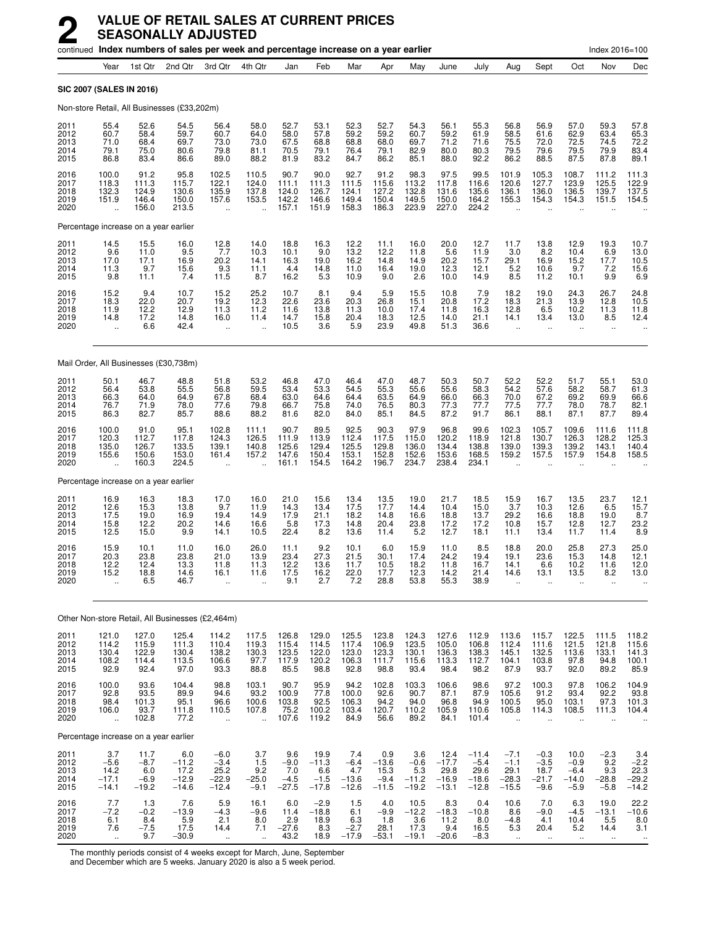|                                       | continued Index numbers of sales per week and percentage increase on a year earlier |                                            |                                              |                                                          |                                                          |                                           |                                             |                                            |                                             |                                            |                                               |                                                 |                                                          | Index 2016=100                                |                                               |                                                        |                                             |
|---------------------------------------|-------------------------------------------------------------------------------------|--------------------------------------------|----------------------------------------------|----------------------------------------------------------|----------------------------------------------------------|-------------------------------------------|---------------------------------------------|--------------------------------------------|---------------------------------------------|--------------------------------------------|-----------------------------------------------|-------------------------------------------------|----------------------------------------------------------|-----------------------------------------------|-----------------------------------------------|--------------------------------------------------------|---------------------------------------------|
|                                       | Year                                                                                | 1st Qtr                                    | 2nd Qtr                                      | 3rd Qtr                                                  | 4th Qtr                                                  | Jan                                       | Feb                                         | Mar                                        | Apr                                         | May                                        | June                                          | July                                            | Aug                                                      | Sept                                          | Oct                                           | Nov                                                    | Dec                                         |
| <b>SIC 2007 (SALES IN 2016)</b>       |                                                                                     |                                            |                                              |                                                          |                                                          |                                           |                                             |                                            |                                             |                                            |                                               |                                                 |                                                          |                                               |                                               |                                                        |                                             |
|                                       |                                                                                     |                                            | Non-store Retail, All Businesses (£33,202m)  |                                                          |                                                          |                                           |                                             |                                            |                                             |                                            |                                               |                                                 |                                                          |                                               |                                               |                                                        |                                             |
| 2011<br>2012<br>2013<br>2014<br>2015  | 55.4<br>60.7<br>71.0<br>79.1<br>86.8                                                | 52.6<br>58.4<br>68.4<br>75.0<br>83.4       | 54.5<br>59.7<br>69.7<br>80.6<br>86.6         | 56.4<br>60.7<br>73.0<br>79.8<br>89.0                     | 58.0<br>64.0<br>73.0<br>81.1<br>88.2                     | 52.7<br>58.0<br>67.5<br>70.5<br>81.9      | 53.1<br>57.8<br>68.8<br>79.1<br>83.2        | 52.3<br>59.2<br>68.8<br>76.4<br>84.7       | 52.7<br>59.2<br>68.0<br>79.1<br>86.2        | 54.3<br>60.7<br>69.7<br>82.9<br>85.1       | 56.1<br>59.2<br>71.2<br>80.0<br>88.0          | 55.3<br>61.9<br>71.6<br>80.3<br>92.2            | 56.8<br>58.5<br>75.5<br>79.5<br>86.2                     | 56.9<br>61.6<br>72.0<br>79.6<br>88.5          | 57.0<br>62.9<br>72.5<br>79.5<br>87.5          | 59.3<br>63.4<br>74.5<br>79.9<br>87.8                   | 57.8<br>65.3<br>72.2<br>83.4<br>89.1        |
| 2016<br>2017<br>2018<br>2019<br>2020  | 100.0<br>118.3<br>132.3<br>151.9<br>$\ddot{\phantom{a}}$                            | 91.2<br>111.3<br>124.9<br>146.4<br>156.0   | 95.8<br>115.7<br>130.6<br>150.0<br>213.5     | 102.5<br>122.1<br>135.9<br>157.6<br>$\ddot{\phantom{a}}$ | 110.5<br>124.0<br>137.8<br>153.5<br>$\ddot{\phantom{a}}$ | 90.7<br>111.1<br>124.0<br>142.2<br>157.1  | 90.0<br>111.3<br>126.7<br>146.6<br>151.9    | 92.7<br>111.5<br>124.1<br>149.4<br>158.3   | 91.2<br>115.6<br>127.2<br>150.4<br>186.3    | 98.3<br>113.2<br>132.8<br>149.5<br>223.9   | 97.5<br>117.8<br>131.6<br>150.0<br>227.0      | 99.5<br>116.6<br>135.6<br>164.2<br>224.2        | 101.9<br>120.6<br>136.1<br>155.3<br>$\ddot{\phantom{a}}$ | 105.3<br>127.7<br>136.0<br>154.3              | 108.7<br>123.9<br>136.5<br>154.3              | 111.2<br>125.5<br>139.7<br>151.5                       | 111.3<br>122.9<br>137.5<br>154.5            |
|                                       |                                                                                     | Percentage increase on a year earlier      |                                              |                                                          |                                                          |                                           |                                             |                                            |                                             |                                            |                                               |                                                 |                                                          |                                               |                                               |                                                        |                                             |
| 2011<br>2012<br>2013<br>2014<br>2015  | $^{14.5}_{9.6}$<br>17.0<br>11.3<br>9.8                                              | 15.5<br>11.0<br>17.1<br>9.7<br>11.1        | 16.0<br>9.5<br>16.9<br>15.6<br>7.4           | $^{12.8}_{7.7}$<br>20.2<br>9.3<br>11.5                   | 14.0<br>10.3<br>14.1<br>11.1<br>8.7                      | 18.8<br>10.1<br>16.3<br>4.4<br>16.2       | 16.3<br>9.0<br>19.0<br>14.8<br>5.3          | 12.2<br>13.2<br>16.2<br>11.0<br>10.9       | 11.1<br>12.2<br>14.8<br>16.4<br>9.0         | 16.0<br>11.8<br>14.9<br>19.0<br>2.6        | 20.0<br>5.6<br>20.2<br>12.3<br>10.0           | 12.7<br>11.9<br>15.7<br>12.1<br>14.9            | 11.7<br>3.0<br>29.1<br>5.2<br>8.5                        | 13.8<br>8.2<br>16.9<br>10.6<br>11.2           | 12.9<br>10.4<br>15.2<br>9.7<br>10.1           | 19.3<br>6.9<br>17.7<br>7.2<br>9.9                      | 10.7<br>13.0<br>10.5<br>15.6<br>6.9         |
| 2016<br>2017<br>2018<br>2019<br>2020  | $15.2$<br>$18.3$<br>11.9<br>14.8                                                    | $\frac{9.4}{22.0}$<br>12.2<br>17.2<br>6.6  | $10.7$<br>20.7<br>12.9<br>14.8<br>42.4       | 15.2<br>19.2<br>11.3<br>16.0<br>$\ddotsc$                | 25.2<br>12.3<br>11.2<br>11.4                             | 10.7<br>22.6<br>11.6<br>14.7<br>10.5      | 8.1<br>23.6<br>13.8<br>15.8<br>3.6          | 9.4<br>20.3<br>11.3<br>20.4<br>5.9         | 5.9<br>26.8<br>10.0<br>18.3<br>23.9         | 15.5<br>15.1<br>17.4<br>12.5<br>49.8       | 10.8<br>20.8<br>11.8<br>14.0<br>51.3          | 7.9<br>17.2<br>16.3<br>21.1<br>36.6             | 18.2<br>18.3<br>12.8<br>14.1<br>$\ddotsc$                | 19.0<br>21.3<br>6.5<br>13.4<br>ä.             | 24.3<br>13.9<br>10.2<br>13.0<br>$\ddotsc$     | 26.7<br>12.8<br>11.3<br>8.5<br>ä.                      | 24.8<br>10.5<br>11.8<br>12.4                |
|                                       |                                                                                     |                                            | Mail Order, All Businesses (£30,738m)        |                                                          |                                                          |                                           |                                             |                                            |                                             |                                            |                                               |                                                 |                                                          |                                               |                                               |                                                        |                                             |
| 2011<br>2012<br>2013<br>2014<br>2015  | 50.1<br>56.4<br>66.3<br>76.7<br>86.3                                                | 46.7<br>53.8<br>64.0<br>71.9<br>82.7       | 48.8<br>55.5<br>64.9<br>78.0<br>85.7         | 51.8<br>56.8<br>67.8<br>77.6<br>88.6                     | 53.2<br>59.5<br>68.4<br>79.8<br>88.2                     | 46.8<br>53.4<br>63.0<br>66.7<br>81.6      | 47.0<br>53.3<br>64.6<br>75.8<br>82.0        | 46.4<br>54.5<br>64.4<br>74.0<br>84.0       | 47.0<br>55.3<br>63.5<br>76.5<br>85.1        | 48.7<br>55.6<br>64.9<br>80.3<br>84.5       | 50.3<br>55.6<br>66.0<br>77.3<br>87.2          | 50.7<br>58.3<br>66.3<br>77.7<br>91.7            | 52.2<br>54.2<br>70.0<br>77.5<br>86.1                     | 52.2<br>57.6<br>67.2<br>77.7<br>88.1          | 51.7<br>58.2<br>69.2<br>78.0<br>87.1          | 55.1<br>58.7<br>69.9<br>78.7<br>87.7                   | 53.0<br>61.3<br>66.6<br>82.1<br>89.4        |
| 2016<br>2017<br>2018<br>2019<br>2020  | 100.0<br>120.3<br>135.0<br>155.6<br>$\ddot{\phantom{a}}$                            | 91.0<br>112.7<br>126.7<br>150.6<br>160.3   | 95.1<br>117.8<br>133.5<br>153.0<br>224.5     | 102.8<br>124.3<br>139.1<br>161.4                         | 111.1<br>126.5<br>140.8<br>157.2                         | 90.7<br>111.9<br>125.6<br>147.6<br>161.1  | 89.5<br>113.9<br>129.4<br>150.4<br>154.5    | 92.5<br>112.4<br>125.5<br>153.1<br>164.2   | 90.3<br>117.5<br>129.8<br>152.8<br>196.7    | 97.9<br>115.0<br>136.0<br>152.6<br>234.7   | 96.8<br>120.2<br>134.4<br>153.6<br>238.4      | 99.6<br>118.9<br>138.8<br>168.5<br>234.1        | 102.3<br>121.8<br>139.0<br>159.2                         | 105.7<br>130.7<br>139.3<br>157.5              | 109.6<br>126.3<br>139.2<br>157.9              | 111.6<br>128.2<br>143.1<br>154.8                       | 111.8<br>125.3<br>140.4<br>158.5            |
|                                       |                                                                                     | Percentage increase on a year earlier      |                                              |                                                          |                                                          |                                           |                                             |                                            |                                             |                                            |                                               |                                                 |                                                          |                                               |                                               |                                                        |                                             |
| 2011<br>2012<br>2013<br>2014<br>2015  | 16.9<br>12.6<br>17.5<br>15.8<br>12.5                                                | 16.3<br>15.3<br>19.0<br>12.2<br>15.0       | 18.3<br>13.8<br>16.9<br>20.2<br>9.9          | 17.0<br>9.7<br>19.4<br>14.6<br>14.1                      | 16.0<br>11.9<br>14.9<br>16.6<br>10.5                     | 21.0<br>14.3<br>17.9<br>5.8<br>22.4       | 15.6<br>13.4<br>21.1<br>17.3<br>8.2         | 13.4<br>17.5<br>18.2<br>14.8<br>13.6       | 13.5<br>17.7<br>14.8<br>20.4<br>11.4        | 19.0<br>14.4<br>16.6<br>23.8<br>5.2        | 21.7<br>10.4<br>18.8<br>17.2<br>12.7          | 18.5<br>15.0<br>13.7<br>17.2<br>18.1            | 15.9<br>3.7<br>29.2<br>10.8<br>11.1                      | 16.7<br>10.3<br>16.6<br>15.7<br>13.4          | 13.5<br>12.6<br>18.8<br>12.8<br>11.7          | 23.7<br>6.5<br>19.0<br>12.7<br>11.4                    | 12.1<br>15.7<br>8.7<br>23.2<br>8.9          |
| 2016<br>2017<br>2018<br>2019<br>2020  | 15.9<br>20.3<br>12.2<br>15.2                                                        | 10.1<br>23.8<br>12.4<br>18.8<br>6.5        | 11.0<br>23.8<br>13.3<br>14.6<br>46.7         | 16.0<br>21.0<br>11.8<br>16.1<br>                         | 26.0<br>13.9<br>11.3<br>11.6                             | 11.1<br>23.4<br>12.2<br>17.5<br>9.1       | 9.2<br>27.3<br>13.6<br>16.2<br>2.7          | 10.1<br>21.5<br>11.7<br>22.0<br>7.2        | 6.0<br>30.1<br>10.5<br>17.7<br>28.8         | 15.9<br>17.4<br>18.2<br>12.3<br>53.8       | 11.0<br>24.2<br>11.8<br>14.2<br>55.3          | 8.5<br>19.4<br>16.7<br>21.4<br>38.9             | 18.8<br>19.1<br>14.1<br>14.6                             | 20.0<br>23.6<br>6.6<br>13.1                   | 25.8<br>15.3<br>10.2<br>13.5                  | 27.3<br>14.8<br>11.6<br>8.2                            | 25.0<br>12.1<br>12.0<br>13.0                |
|                                       |                                                                                     |                                            |                                              | Other Non-store Retail, All Businesses (£2,464m)         |                                                          |                                           |                                             |                                            |                                             |                                            |                                               |                                                 |                                                          |                                               |                                               |                                                        |                                             |
| 2011                                  | 121.0                                                                               | 127.0                                      | 125.4                                        | 114.2                                                    | 117.5                                                    | 126.8                                     | 129.0                                       | 125.5                                      | 123.8                                       | 124.3                                      | 127.6                                         | 112.9                                           | 113.6                                                    | 115.7                                         | 122.5                                         | 111.5                                                  | 118.2                                       |
| 2012<br>2013<br>2014<br>2015          | 114.2<br>130.4<br>108.2<br>92.9                                                     | 115.9<br>122.9<br>114.4<br>92.4            | 111.3<br>130.4<br>113.5<br>97.0              | 110.4<br>138.2<br>106.6<br>93.3                          | 119.3<br>130.3<br>97.7<br>88.8                           | 115.4<br>123.5<br>117.9<br>85.5           | 114.5<br>122.0<br>120.2<br>98.8             | 117.4<br>123.0<br>106.3<br>92.8            | 106.9<br>123.3<br>111.7<br>98.8             | 123.5<br>130.1<br>115.6<br>93.4            | 105.0<br>136.3<br>113.3<br>98.4               | 106.8<br>138.3<br>112.7<br>98.2                 | 112.4<br>145.1<br>104.1<br>87.9                          | 111.6<br>132.5<br>103.8<br>93.7               | 121.5<br>113.6<br>97.8<br>92.0                | 121.8<br>133.1<br>94.8<br>89.2                         | 115.6<br>141.3<br>100.1<br>85.9             |
| 2016<br>2017<br>2018<br>2019<br>2020  | 100.0<br>92.8<br>98.4<br>106.0<br>$\ddotsc$                                         | 93.6<br>93.5<br>101.3<br>93.7<br>102.8     | 104.4<br>89.9<br>95.1<br>111.8<br>77.2       | 98.8<br>94.6<br>96.6<br>110.5<br>$\ddot{\phantom{1}}$    | 103.1<br>93.2<br>100.6<br>107.8<br>$\ddotsc$             | 90.7<br>100.9<br>103.8<br>75.2<br>107.6   | 95.9<br>77.8<br>92.5<br>100.2<br>119.2      | 94.2<br>100.0<br>106.3<br>103.4<br>84.9    | 102.8<br>92.6<br>94.2<br>120.7<br>56.6      | 103.3<br>90.7<br>94.0<br>110.2<br>89.2     | 106.6<br>87.1<br>96.8<br>105.9<br>84.1        | 98.6<br>87.9<br>94.9<br>110.6<br>101.4          | 97.2<br>105.6<br>100.5<br>105.8<br>$\ddot{\phantom{a}}$  | 100.3<br>91.2<br>95.0<br>114.3<br>$\ddotsc$   | 97.8<br>93.4<br>103.1<br>108.5<br>÷.          | 106.2<br>92.2<br>97.3<br>111.3                         | 104.9<br>93.8<br>101.3<br>104.4             |
| Percentage increase on a year earlier |                                                                                     |                                            |                                              |                                                          |                                                          |                                           |                                             |                                            |                                             |                                            |                                               |                                                 |                                                          |                                               |                                               |                                                        |                                             |
| 2011<br>2012<br>2013<br>2014<br>2015  | 3.7<br>$-5.6$<br>14.2<br>$-17.1$<br>$-14.1$                                         | 11.7<br>$-8.7$<br>6.0<br>$-6.9$<br>$-19.2$ | 6.0<br>$-11.2$<br>17.2<br>$-12.9$<br>$-14.6$ | $-6.0$<br>$-3.4$<br>25.2<br>$-22.9$<br>$-12.4$           | 3.7<br>1.5<br>9.2<br>$-25.0$<br>$-9.1$                   | 9.6<br>$-9.0$<br>7.0<br>$-4.5$<br>$-27.5$ | 19.9<br>$-11.3$<br>6.6<br>$-1.5$<br>$-17.8$ | 7.4<br>$-6.4$<br>4.7<br>$-13.6$<br>$-12.6$ | 0.9<br>$-13.6$<br>15.3<br>$-9.4$<br>$-11.5$ | 3.6<br>$-0.6$<br>5.3<br>$-11.2$<br>$-19.2$ | 12.4<br>$-17.7$<br>29.8<br>$-16.9$<br>$-13.1$ | $-11.4$<br>$-5.4$<br>29.6<br>$-18.6$<br>$-12.8$ | $-7.1$<br>$-1.1$<br>29.1<br>$-28.3$<br>$-15.5$           | $-0.3$<br>$-3.5$<br>18.7<br>$-21.7$<br>$-9.6$ | 10.0<br>$-0.9$<br>$-6.4$<br>$-14.0$<br>$-5.9$ | $-2.3$<br>9.2<br>9.3<br>$-28.8$<br>$-5.8$              | 3.4<br>$-2.2$<br>22.3<br>$-29.2$<br>$-14.2$ |
| 2016<br>2017<br>2018<br>2019<br>2020  | 7.7<br>$-7.2$<br>6.1<br>7.6<br>$\ddot{\phantom{a}}$                                 | 1.3<br>$-0.2$<br>8.4<br>$-7.5$<br>9.7      | 7.6<br>$-13.9$<br>5.9<br>17.5<br>$-30.9$     | 5.9<br>$-4.3$<br>2.1<br>14.4<br>$\ddot{\phantom{1}}$     | 16.1<br>$-9.6$<br>8.0<br>7.1<br>$\ldots$                 | 6.0<br>11.4<br>2.9<br>$-27.6$<br>43.2     | $-2.9$<br>$-18.8$<br>18.9<br>8.3<br>18.9    | 1.5<br>6.1<br>6.3<br>$-2.7$<br>$-17.9$     | 4.0<br>$-9.9$<br>1.8<br>28.1<br>$-53.1$     | 10.5<br>$-12.2$<br>3.6<br>17.3<br>$-19.1$  | 8.3<br>$-18.3$<br>11.2<br>9.4<br>$-20.6$      | 0.4<br>$-10.8$<br>8.0<br>16.5<br>$-8.3$         | 10.6<br>8.6<br>$-4.8$<br>5.3<br>$\ddot{\phantom{1}}$     | 7.0<br>$-9.0$<br>4.1<br>20.4<br>$\ddotsc$     | 6.3<br>$-4.5$<br>10.4<br>$5.2$<br>$\ldots$    | 19.0<br>$-13.1$<br>5.5<br>14.4<br>$\ddot{\phantom{1}}$ | 22.2<br>$-10.6$<br>8.0<br>3.1<br>$\ddotsc$  |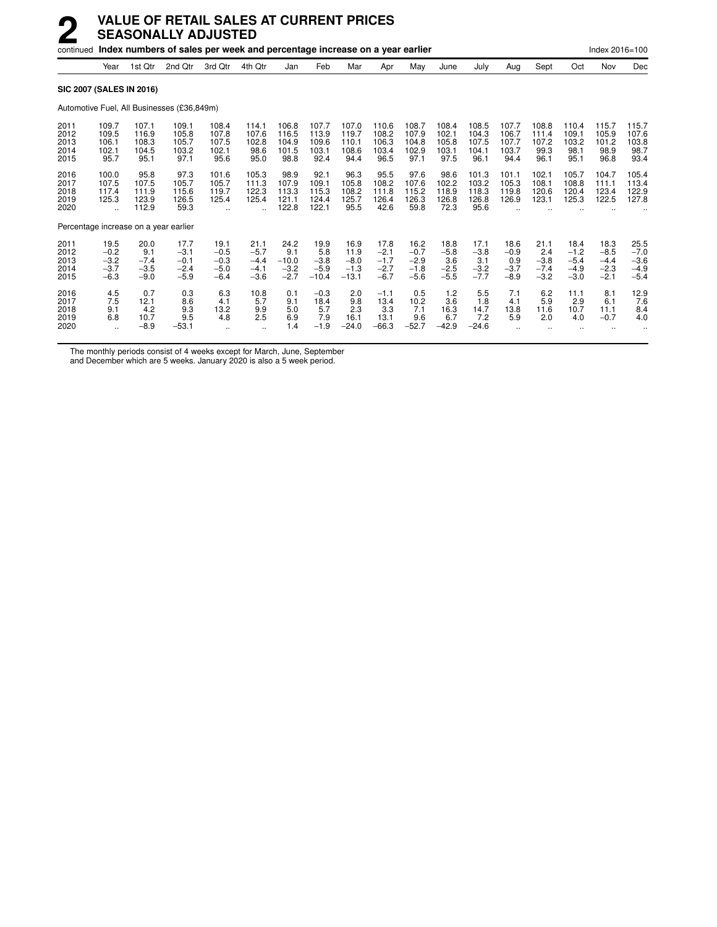|                                      | continued Index numbers of sales per week and percentage increase on a year earlier |                                           |                                              |                                              |                                              |                                            |                                            |                                             |                                              |                                              |                                           |                                           | Index 2016=100                            |                                           |                                              |                                              |                                              |
|--------------------------------------|-------------------------------------------------------------------------------------|-------------------------------------------|----------------------------------------------|----------------------------------------------|----------------------------------------------|--------------------------------------------|--------------------------------------------|---------------------------------------------|----------------------------------------------|----------------------------------------------|-------------------------------------------|-------------------------------------------|-------------------------------------------|-------------------------------------------|----------------------------------------------|----------------------------------------------|----------------------------------------------|
|                                      | Year                                                                                | 1st Qtr                                   | 2nd Otr                                      | 3rd Qtr                                      | 4th Qtr                                      | Jan                                        | Feb                                        | Mar                                         | Apr                                          | May                                          | June                                      | July                                      | Aug                                       | Sept                                      | Oct                                          | Nov                                          | Dec                                          |
|                                      |                                                                                     | <b>SIC 2007 (SALES IN 2016)</b>           |                                              |                                              |                                              |                                            |                                            |                                             |                                              |                                              |                                           |                                           |                                           |                                           |                                              |                                              |                                              |
|                                      |                                                                                     |                                           | Automotive Fuel, All Businesses (£36,849m)   |                                              |                                              |                                            |                                            |                                             |                                              |                                              |                                           |                                           |                                           |                                           |                                              |                                              |                                              |
| 2011<br>2012<br>2013<br>2014<br>2015 | 109.7<br>109.5<br>106.1<br>102.1<br>95.7                                            | 107.1<br>116.9<br>108.3<br>104.5<br>95.1  | 109.1<br>105.8<br>105.7<br>103.2<br>97.1     | 108.4<br>107.8<br>107.5<br>102.1<br>95.6     | 114.1<br>107.6<br>102.8<br>98.6<br>95.0      | 106.8<br>116.5<br>104.9<br>101.5<br>98.8   | 107.7<br>113.9<br>109.6<br>103.1<br>92.4   | 107.0<br>119.7<br>110.1<br>108.6<br>94.4    | 110.6<br>108.2<br>106.3<br>103.4<br>96.5     | 108.7<br>107.9<br>104.8<br>102.9<br>97.1     | 108.4<br>102.1<br>105.8<br>103.1<br>97.5  | 108.5<br>104.3<br>107.5<br>104.1<br>96.1  | 107.7<br>106.7<br>107.7<br>103.7<br>94.4  | 108.8<br>111.4<br>107.2<br>99.3<br>96.1   | 110.4<br>109.1<br>103.2<br>98.1<br>95.1      | 115.7<br>105.9<br>101.2<br>98.9<br>96.8      | 115.7<br>107.6<br>103.8<br>98.7<br>93.4      |
| 2016<br>2017<br>2018<br>2019<br>2020 | 100.0<br>107.5<br>117.4<br>125.3                                                    | 95.8<br>107.5<br>111.9<br>123.9<br>112.9  | 97.3<br>105.7<br>115.6<br>126.5<br>59.3      | 101.6<br>105.7<br>119.7<br>125.4             | 105.3<br>111.3<br>122.3<br>125.4             | 98.9<br>107.9<br>113.3<br>121.1<br>122.8   | 92.1<br>109.1<br>115.3<br>124.4<br>122.1   | 96.3<br>105.8<br>108.2<br>125.7<br>95.5     | 95.5<br>108.2<br>111.8<br>126.4<br>42.6      | 97.6<br>107.6<br>115.2<br>126.3<br>59.8      | 98.6<br>102.2<br>118.9<br>126.8<br>72.3   | 101.3<br>103.2<br>118.3<br>126.8<br>95.6  | 101.1<br>105.3<br>119.8<br>126.9          | 102.1<br>108.1<br>120.6<br>123.1          | 105.7<br>108.8<br>120.4<br>125.3             | 104.7<br>111.1<br>123.4<br>122.5             | 105.4<br>113.4<br>122.9<br>127.8             |
|                                      |                                                                                     | Percentage increase on a year earlier     |                                              |                                              |                                              |                                            |                                            |                                             |                                              |                                              |                                           |                                           |                                           |                                           |                                              |                                              |                                              |
| 2011<br>2012<br>2013<br>2014<br>2015 | 19.5<br>$-0.2$<br>$-3.2$<br>$-3.7$<br>$-6.3$                                        | 20.0<br>9.1<br>$-7.4$<br>$-3.5$<br>$-9.0$ | 17.7<br>$-3.1$<br>$-0.1$<br>$-2.4$<br>$-5.9$ | 19.1<br>$-0.5$<br>$-0.3$<br>$-5.0$<br>$-6.4$ | 21.1<br>$-5.7$<br>$-4.4$<br>$-4.1$<br>$-3.6$ | 24.2<br>9.1<br>$-10.0$<br>$-3.2$<br>$-2.7$ | 19.9<br>5.8<br>$-3.8$<br>$-5.9$<br>$-10.4$ | 16.9<br>11.9<br>$-8.0$<br>$-1.3$<br>$-13.1$ | 17.8<br>$-2.1$<br>$-1.7$<br>$-2.7$<br>$-6.7$ | 16.2<br>$-0.7$<br>$-2.9$<br>$-1.8$<br>$-5.6$ | 18.8<br>$-5.8$<br>3.6<br>$-2.5$<br>$-5.5$ | 17.1<br>$-3.8$<br>3.1<br>$-3.2$<br>$-7.7$ | 18.6<br>$-0.9$<br>0.9<br>$-3.7$<br>$-8.9$ | 21.1<br>2.4<br>$-3.8$<br>$-7.4$<br>$-3.2$ | 18.4<br>$-1.2$<br>$-5.4$<br>$-4.9$<br>$-3.0$ | 18.3<br>$-8.5$<br>$-4.4$<br>$-2.3$<br>$-2.1$ | 25.5<br>$-7.0$<br>$-3.6$<br>$-4.9$<br>$-5.4$ |
| 2016<br>2017<br>2018<br>2019<br>2020 | 4.5<br>7.5<br>9.1<br>6.8                                                            | 0.7<br>12.1<br>4.2<br>10.7<br>$-8.9$      | 0.3<br>8.6<br>9.3<br>9.5<br>$-53.1$          | 6.3<br>4.1<br>13.2<br>4.8                    | 10.8<br>5.7<br>9.9<br>2.5                    | 0.1<br>9.1<br>5.0<br>6.9<br>1.4            | $-0.3$<br>18.4<br>5.7<br>7.9<br>$-1.9$     | 2.0<br>9.8<br>2.3<br>16.1<br>$-24.0$        | $-1.1$<br>13.4<br>3.3<br>13.1<br>$-66.3$     | 0.5<br>10.2<br>7.1<br>9.6<br>$-52.7$         | 1.2<br>3.6<br>16.3<br>6.7<br>$-42.9$      | 5.5<br>1.8<br>14.7<br>7.2<br>$-24.6$      | 7.1<br>4.1<br>13.8<br>5.9                 | 6.2<br>5.9<br>11.6<br>2.0                 | 11.1<br>2.9<br>10.7<br>4.0                   | 8.1<br>6.1<br>11.1<br>$-0.7$                 | 12.9<br>7.6<br>8.4<br>4.0                    |

The monthly periods consist of 4 weeks except for March, June, September

and December which are 5 weeks. January 2020 is also a 5 week period.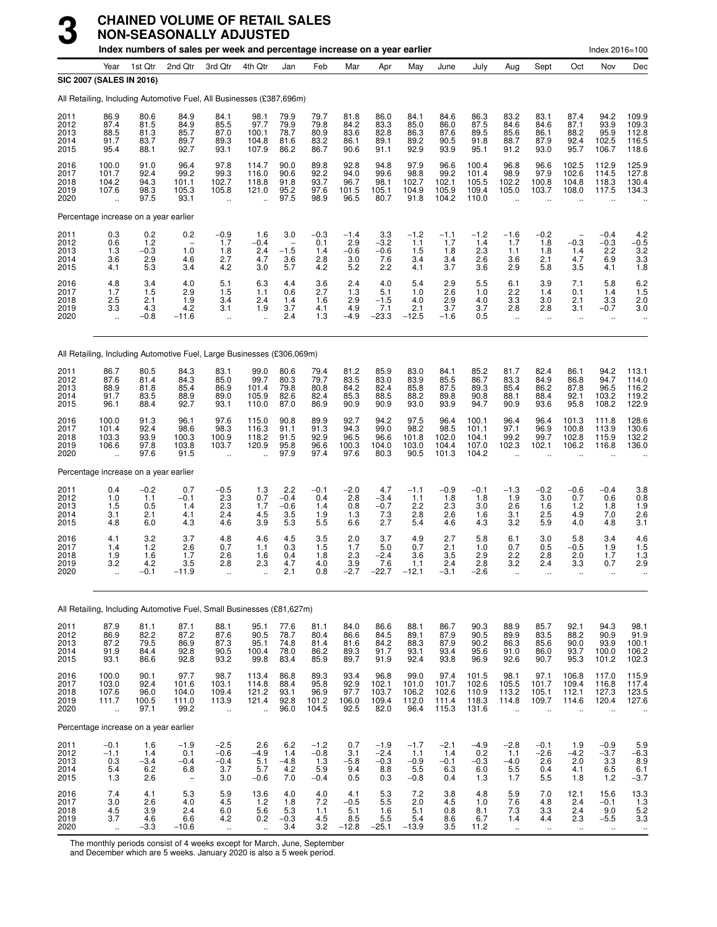|                                      | Index numbers of sales per week and percentage increase on a year earlier<br>Index 2016=100 |                                       |                                                                        |                                                        |                                                          |                                                         |                                                       |                                                   |                                          |                                                  |                                              |                                                                     |                                                      |                                                         |                                               |                                              |                                                                                  |
|--------------------------------------|---------------------------------------------------------------------------------------------|---------------------------------------|------------------------------------------------------------------------|--------------------------------------------------------|----------------------------------------------------------|---------------------------------------------------------|-------------------------------------------------------|---------------------------------------------------|------------------------------------------|--------------------------------------------------|----------------------------------------------|---------------------------------------------------------------------|------------------------------------------------------|---------------------------------------------------------|-----------------------------------------------|----------------------------------------------|----------------------------------------------------------------------------------|
|                                      | Year                                                                                        | 1st Qtr                               | 2nd Qtr                                                                | 3rd Qtr                                                | 4th Qtr                                                  | Jan                                                     | Feb                                                   | Mar                                               | Apr                                      | May                                              | June                                         | July                                                                | Aug                                                  | Sept                                                    | Oct                                           | Nov                                          | Dec                                                                              |
|                                      | SIC 2007 (SALES IN 2016)                                                                    |                                       | All Retailing, Including Automotive Fuel, All Businesses (£387,696m)   |                                                        |                                                          |                                                         |                                                       |                                                   |                                          |                                                  |                                              |                                                                     |                                                      |                                                         |                                               |                                              |                                                                                  |
| 2011<br>2012<br>2013<br>2014<br>2015 | 86.9<br>87.4<br>88.5<br>91.7<br>95.4                                                        | 80.6<br>81.5<br>81.3<br>83.7<br>88.1  | 84.9<br>84.9<br>85.7<br>89.7<br>92.7                                   | 84.1<br>85.5<br>87.0<br>89.3<br>93.1                   | 98.1<br>97.7<br>100.1<br>104.8<br>107.9                  | 79.9<br>79.9<br>78.7<br>81.6<br>86.2                    | 79.7<br>79.8<br>80.9<br>83.2<br>86.7                  | 81.8<br>84.2<br>83.6<br>86.1<br>90.6              | 86.0<br>83.3<br>82.8<br>89.1<br>91.1     | 84.1<br>85.0<br>86.3<br>89.2<br>92.9             | 84.6<br>86.0<br>87.6<br>90.5<br>93.9         | 86.3<br>87.5<br>89.5<br>91.8<br>95.1                                | 83.2<br>84.6<br>85.6<br>88.7<br>91.2                 | 83.1<br>84.6<br>86.1<br>87.9<br>93.0                    | 87.4<br>87.1<br>88.2<br>92.4<br>95.7          | 94.2<br>93.9<br>95.9<br>102.5<br>106.7       | 109.9<br>109.3<br>112.8<br>116.5<br>118.6                                        |
| 2016<br>2017<br>2018<br>2019<br>2020 | 100.0<br>101.7<br>104.2<br>107.6<br>$\ddot{\phantom{a}}$                                    | 91.0<br>92.4<br>94.3<br>98.3<br>97.5  | 96.4<br>99.2<br>101.1<br>105.3<br>93.1                                 | 97.8<br>99.3<br>102.7<br>105.8<br>$\ddot{\phantom{a}}$ | 114.7<br>116.0<br>118.8<br>121.0                         | 90.0<br>90.6<br>91.8<br>95.2<br>97.5                    | 89.8<br>92.2<br>93.7<br>97.6<br>98.9                  | 92.8<br>94.0<br>96.7<br>101.5<br>96.5             | 94.8<br>99.6<br>98.1<br>105.1<br>80.7    | 97.9<br>98.8<br>102.7<br>104.9<br>91.8           | 96.6<br>99.2<br>102.1<br>105.9<br>104.2      | 100.4<br>101.4<br>105.5<br>109.4<br>110.0                           | 96.8<br>98.9<br>102.2<br>105.0                       | 96.6<br>97.9<br>100.8<br>103.7                          | 102.5<br>102.6<br>104.8<br>108.0              | 112.9<br>114.5<br>118.3<br>117.5             | 125.9<br>127.8<br>130.4<br>134.3                                                 |
|                                      | Percentage increase on a year earlier                                                       |                                       |                                                                        |                                                        |                                                          |                                                         |                                                       |                                                   |                                          |                                                  |                                              |                                                                     |                                                      |                                                         |                                               |                                              |                                                                                  |
| 2011<br>2012<br>2013<br>2014<br>2015 | 0.3<br>0.6<br>1.3<br>3.6<br>4.1                                                             | 0.2<br>1.2<br>$-0.3$<br>2.9<br>5.3    | 0.2<br>$\overline{\phantom{0}}$<br>1.0<br>4.6<br>3.4                   | $-0.9$<br>1.7<br>1.8<br>2.7<br>4.2                     | 1.6<br>-0.4<br>2.4<br>4.7<br>3.0                         | 3.0<br>$\overline{\phantom{0}}$<br>$-1.5$<br>3.6<br>5.7 | $-0.3$<br>0.1<br>1.4<br>2.8<br>4.2                    | $-1.4$<br>2.9<br>$-0.6$<br>3.0<br>5.2             | 3.3<br>$-3.2$<br>$-0.6$<br>7.6<br>2.2    | $-1.2$<br>1.1<br>1.5<br>3.4<br>4.1               | $-1.1$<br>1.7<br>1.8<br>3.4<br>3.7           | $-1.2$<br>1.4<br>2.3<br>$2.\overline{6}$<br>3.6                     | $-1.6$<br>1.7<br>1.1<br>3.6<br>2.9                   | $-0.2$<br>1.8<br>1.8<br>2.1<br>5.8                      | $-0.3$<br>1.4<br>4.7<br>3.5                   | $-0.4$<br>$-0.3$<br>$^{2.2}_{6.9}$<br>4.1    | 4.2<br>$-0.5$<br>$\frac{3.2}{3.3}$<br>1.8                                        |
| 2016<br>2017<br>2018<br>2019<br>2020 | 4.8<br>1.7<br>$\frac{2.5}{3.3}$<br>$\ddot{\phantom{a}}$                                     | 3.4<br>1.5<br>2.1<br>4.3<br>$-0.8$    | 4.0<br>2.9<br>1.9<br>4.2<br>$-11.6$                                    | 5.1<br>1.5<br>3.4<br>3.1<br>$\ddotsc$                  | 6.3<br>1.1<br>2.4<br>1.9<br>$\ddot{\phantom{a}}$         | 4.4<br>0.6<br>1.4<br>3.7<br>2.4                         | 3.6<br>2.7<br>1.6<br>4.1<br>1.3                       | 2.4<br>1.3<br>2.9<br>4.9<br>$-4.9$                | 4.0<br>5.1<br>$-1.5$<br>7.1<br>$-23.3$   | 5.4<br>1.0<br>4.0<br>2.1<br>$-12.5$              | 2.9<br>2.6<br>$\frac{2.9}{3.7}$<br>-1.6      | 5.5<br>1.0<br>4.0<br>3.7<br>0.5                                     | 6.1<br>2.2<br>3.3<br>2.8<br>$\ddotsc$                | 3.9<br>1.4<br>3.0<br>2.8<br>$\ddotsc$                   | 7.1<br>0.1<br>2.1<br>3.1<br>ä.                | 5.8<br>1.4<br>$\frac{3.3}{-0.7}$             | $6.2$<br>1.5<br>$\frac{2.0}{3.0}$                                                |
|                                      |                                                                                             |                                       | All Retailing, Including Automotive Fuel, Large Businesses (£306,069m) |                                                        |                                                          |                                                         |                                                       |                                                   |                                          |                                                  |                                              |                                                                     |                                                      |                                                         |                                               |                                              |                                                                                  |
| 2011<br>2012<br>2013<br>2014<br>2015 | 86.7<br>87.6<br>88.9<br>91.7<br>96.1                                                        | 80.5<br>81.4<br>81.8<br>83.5<br>88.4  | 84.3<br>84.3<br>85.4<br>88.9<br>92.7                                   | 83.1<br>85.0<br>86.9<br>89.0<br>93.1                   | 99.0<br>99.7<br>101.4<br>105.9<br>110.0                  | 80.6<br>80.3<br>79.8<br>82.6<br>87.0                    | 79.4<br>79.7<br>80.8<br>82.4<br>86.9                  | 81.2<br>83.5<br>84.2<br>$85.\overline{3}$<br>90.9 | 85.9<br>83.0<br>82.4<br>88.5<br>90.9     | 83.0<br>83.9<br>85.8<br>88.2<br>93.0             | 84.1<br>85.5<br>87.5<br>89.8<br>93.9         | 85.2<br>86.7<br>89.3<br>90.8<br>94.7                                | 81.7<br>83.3<br>85.4<br>88.1<br>90.9                 | 82.4<br>84.9<br>86.2<br>88.4<br>93.6                    | 86.1<br>86.8<br>87.8<br>92.1<br>95.8          | 94.2<br>94.7<br>96.5<br>103.2<br>108.2       | 113.1<br>114.0<br>116.2<br>119.2<br>122.9                                        |
| 2016<br>2017<br>2018<br>2019<br>2020 | 100.0<br>101.4<br>103.3<br>106.6                                                            | 91.3<br>92.4<br>93.9<br>97.8<br>97.6  | 96.1<br>98.6<br>100.3<br>103.8<br>91.5                                 | 97.6<br>98.3<br>100.9<br>103.7<br>$\ddot{\phantom{a}}$ | 115.0<br>116.3<br>118.2<br>120.9<br>$\ddot{\phantom{a}}$ | 90.8<br>91.1<br>91.5<br>95.8<br>97.9                    | 89.9<br>91.3<br>92.9<br>96.6<br>97.4                  | 92.7<br>94.3<br>96.5<br>100.3<br>97.6             | 94.2<br>99.0<br>96.6<br>104.0<br>80.3    | 97.5<br>98.2<br>101.8<br>103.0<br>90.5           | 96.4<br>98.5<br>102.0<br>104.4<br>101.3      | 100.1<br>101.1<br>104.1<br>107.0<br>104.2                           | 96.4<br>97.1<br>99.2<br>102.3                        | 96.4<br>96.9<br>99.7<br>102.1<br>÷.                     | 101.3<br>100.8<br>102.8<br>106.2              | 111.8<br>113.9<br>115.9<br>116.8             | 128.6<br>130.6<br>132.2<br>136.0                                                 |
|                                      | Percentage increase on a year earlier                                                       |                                       |                                                                        |                                                        |                                                          |                                                         |                                                       |                                                   |                                          |                                                  |                                              |                                                                     |                                                      |                                                         |                                               |                                              |                                                                                  |
| 2011<br>2012<br>2013<br>2014<br>2015 | 0.4<br>1.0<br>1.5<br>3.1<br>4.8                                                             | $-0.2$<br>1.1<br>0.5<br>2.1<br>6.0    | 0.7<br>$-0.1$<br>1.4<br>4.1<br>4.3                                     | $-0.5$<br>2.3<br>2.3<br>2.4<br>4.6                     | $^{1.3}_{0.7}$<br>1.7<br>4.5<br>3.9                      | 2.2<br>$-0.4$<br>$-0.6$<br>3.5<br>5.3                   | $-0.1$<br>0.4<br>1.4<br>1.9<br>$5.\overline{5}$       | $^{-2.0}_{2.8}$<br>0.8<br>1.3<br>6.6              | 4.7<br>$-3.4$<br>$-0.7$<br>$7.3$<br>2.7  | $-1.1$<br>1.1<br>2.2<br>2.8<br>5.4               | $-0.9$<br>1.8<br>2.3<br>2.6<br>4.6           | $-0.1$<br>1.8<br>3.0<br>1.6<br>4.3                                  | $-1.3$<br>1.9<br>2.6<br>3.1<br>3.2                   | $^{-0.2}_{3.0}$<br>1.6<br>2.5<br>5.9                    | $-0.6$<br>0.7<br>1.2<br>4.9<br>4.0            | $-0.4$<br>0.6<br>1.8<br>7.0<br>4.8           | $\!\!\!\begin{array}{c} 3.8 \\ 0.8 \end{array}$<br>1.9<br>$\frac{2.6}{3.1}$      |
| 2016<br>2017<br>2018<br>2019<br>2020 | 4.1<br>1.4<br>1.9<br>3.2                                                                    | $3.2$<br>$1.2$<br>1.6<br>4.2          | 3.7<br>2.6<br>1.7<br>3.5                                               | 4.8<br>0.7<br>2.6<br>2.8                               | 4.6<br>1.1<br>1.6<br>2.3                                 | 4.5<br>0.3<br>0.4<br>4.7                                | $\frac{3.5}{1.5}$<br>1.8<br>4.0<br>0.8                | $^{2.0}_{1.7}$<br>2.3<br>3.9                      | 3.7<br>5.0<br>$-2.4$<br>7.6              | $^{4.9}_{0.7}$<br>3.6<br>1.1                     | 2.7<br>2.1<br>3.5<br>2.4                     | 5.8<br>1.0<br>2.9<br>2.8                                            | 6.1<br>0.7<br>2.2<br>3.2                             | 3.0<br>0.5<br>2.8<br>2.4                                | 5.8<br>$-0.5$<br>2.0<br>3.3                   | 3.4<br>1.9<br>1.7<br>0.7                     | $^{4.6}_{1.5}$<br>1.3<br>2.9                                                     |
|                                      |                                                                                             |                                       | All Retailing, Including Automotive Fuel, Small Businesses (£81,627m)  |                                                        |                                                          |                                                         |                                                       |                                                   |                                          |                                                  |                                              |                                                                     |                                                      |                                                         |                                               |                                              |                                                                                  |
| 2011<br>2012<br>2013<br>2014<br>2015 | 87.9<br>86.9<br>87.2<br>91.9<br>93.1                                                        | 81.1<br>82.2<br>79.5<br>84.4<br>86.6  | 87.1<br>87.2<br>86.9<br>92.8<br>92.8                                   | 88.1<br>87.6<br>87.3<br>90.5<br>93.2                   | 95.1<br>90.5<br>95.1<br>100.4<br>99.8                    | 77.6<br>78.7<br>74.8<br>78.0<br>83.4                    | 81.1<br>80.4<br>81.4<br>86.2<br>85.9                  | 84.0<br>86.6<br>81.6<br>89.3<br>89.7              | 86.6<br>84.5<br>84.2<br>91.7<br>91.9     | 88.1<br>89.1<br>88.3<br>93.1<br>92.4             | 86.7<br>87.9<br>87.9<br>93.4<br>93.8         | $\begin{array}{c} 90.3 \\ 90.5 \end{array}$<br>90.2<br>95.6<br>96.9 | 88.9<br>89.9<br>86.3<br>91.0<br>92.6                 | 85.7<br>83.5<br>85.6<br>86.0<br>90.7                    | 92.1<br>88.2<br>90.0<br>93.7<br>95.3          | 94.3<br>90.9<br>93.9<br>100.0<br>101.2       | 98.1<br>91.9<br>$100.1$<br>$106.2$<br>$102.3$                                    |
| 2016<br>2017<br>2018<br>2019<br>2020 | 100.0<br>103.0<br>107.6<br>111.7<br>$\ddotsc$                                               | 90.1<br>92.4<br>96.0<br>100.5<br>97.1 | 97.7<br>101.6<br>104.0<br>111.0<br>99.2                                | 98.7<br>103.1<br>109.4<br>113.9<br>ä,                  | 113.4<br>114.8<br>121.2<br>121.4<br>$\ddot{\phantom{a}}$ | 86.8<br>88.4<br>93.1<br>92.8<br>96.0                    | 89.3<br>95.8<br>96.9<br>101.2<br>104.5                | 93.4<br>92.9<br>97.7<br>106.0<br>92.5             | 96.8<br>102.1<br>103.7<br>109.4<br>82.0  | 99.0<br>101.0<br>106.2<br>112.0<br>96.4          | $97.4$<br>101.7<br>102.6<br>111.4<br>115.3   | 101.5<br>102.6<br>110.9<br>118.3<br>131.6                           | 98.1<br>105.5<br>113.2<br>114.8<br>ă,                | 97.1<br>101.7<br>105.1<br>109.7                         | 106.8<br>109.4<br>112.1<br>114.6<br>$\ddotsc$ | 117.0<br>116.8<br>127.3<br>120.4<br>÷.       | 115.9<br>117.4<br>123.5<br>127.6                                                 |
|                                      | Percentage increase on a year earlier                                                       |                                       |                                                                        |                                                        |                                                          |                                                         |                                                       |                                                   |                                          |                                                  |                                              |                                                                     |                                                      |                                                         |                                               |                                              |                                                                                  |
| 2011<br>2012<br>2013<br>2014<br>2015 | $-0.1$<br>$-1.1$<br>0.3<br>5.4<br>1.3                                                       | 1.6<br>1.4<br>$-3.4$<br>6.2<br>2.6    | $-1.9$<br>0.1<br>$-0.4$<br>6.8<br>$\qquad \qquad -$                    | $-2.5$<br>$-0.6$<br>$-0.4$<br>3.7<br>3.0               | 2.6<br>$-4.9$<br>5.1<br>5.7<br>$-0.6$                    | 6.2<br>1.4<br>$-4.8$<br>4.2<br>7.0                      | $-1.2$<br>$-0.8$<br>$\overline{1.3}$<br>5.9<br>$-0.4$ | 0.7<br>3.1<br>$-5.8$<br>9.4<br>0.5                | $-1.9$<br>$-2.4$<br>$-0.3$<br>8.8<br>0.3 | $-1.7$<br>1.1<br>$-0.9$<br>5.5<br>$-0.8$         | $-2.1$<br>1.4<br>$-0.1$<br>6.3<br>0.4        | $-4.9$<br>$0.2 - 0.3$<br>6.0<br>1.3                                 | $-2.8$<br>1.1<br>$-4.0$<br>5.5<br>1.7                | $-0.1$<br>$^{-2.6}_{2.6}$<br>0.4<br>5.5                 | 1.9<br>$-4.2$<br>2.0<br>4.1<br>1.8            | $-0.9$<br>$-3.7$<br>3.3<br>6.5<br>1.2        | $\begin{array}{c} 5.9 \\ -6.3 \\ 8.9 \end{array}$<br>$6.1 - 3.7$                 |
| 2016<br>2017<br>2018<br>2019<br>2020 | 7.4<br>$\begin{array}{c} 3.0 \\ 4.5 \end{array}$<br>3.7<br>$\ddotsc$                        | 4.1<br>2.6<br>3.9<br>4.6<br>$-3.3$    | 5.3<br>4.0<br>2.4<br>6.6<br>$-10.6$                                    | 5.9<br>4.5<br>6.0<br>4.2<br>$\ddotsc$                  | 13.6<br>1.2<br>5.6<br>0.2<br>$\ddotsc$                   | 4.0<br>1.8<br>$5.\overline{3}$<br>$-0.3$<br>3.4         | 4.0<br>7.2<br>1.1<br>4.5<br>3.2                       | 4.1<br>$-0.5$<br>5.1<br>8.5<br>$-12.8$            | 5.3<br>5.5<br>1.6<br>5.5<br>$-25.1$      | 7.2<br>2.0<br>$\overline{5.1}$<br>5.4<br>$-13.9$ | 3.8<br>4.5<br>$0.\overline{8}$<br>8.6<br>3.5 | 4.8<br>1.0<br>8.1<br>6.7<br>11.2                                    | 5.9<br>$7.6$<br>$7.3$<br>1.4<br>$\ddot{\phantom{1}}$ | 7.0<br>$\frac{4.8}{3.3}$<br>4.4<br>$\ddot{\phantom{1}}$ | 12.1<br>2.4<br>2.4<br>2.3<br>$\ddotsc$        | 15.6<br>$-0.1$<br>9.0<br>$-5.5$<br>$\ddotsc$ | 13.3<br>$\begin{array}{c} 1.3 \\ 5.2 \\ 3.3 \end{array}$<br>$\ddot{\phantom{1}}$ |

The monthly periods consist of 4 weeks except for March, June, September

and December which are 5 weeks. January 2020 is also a 5 week period.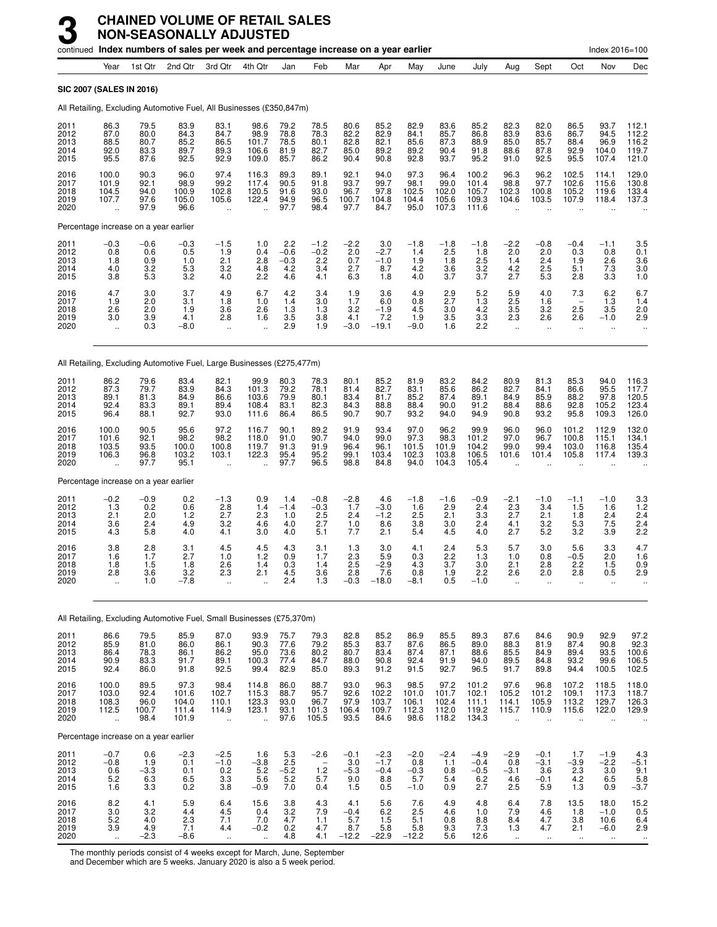|                                      |                                                          |                                       | continued Index numbers of sales per week and percentage increase on a year earlier |                                                         |                                                          |                                       |                                                         |                                        |                                          |                                          |                                          |                                           |                                                         |                                              |                                                          | Index 2016=100                                   |                                              |
|--------------------------------------|----------------------------------------------------------|---------------------------------------|-------------------------------------------------------------------------------------|---------------------------------------------------------|----------------------------------------------------------|---------------------------------------|---------------------------------------------------------|----------------------------------------|------------------------------------------|------------------------------------------|------------------------------------------|-------------------------------------------|---------------------------------------------------------|----------------------------------------------|----------------------------------------------------------|--------------------------------------------------|----------------------------------------------|
|                                      | Year                                                     | 1st Qtr                               | 2nd Qtr                                                                             | 3rd Qtr                                                 | 4th Qtr                                                  | Jan                                   | Feb                                                     | Mar                                    | Apr                                      | May                                      | June                                     | July                                      | Aug                                                     | Sept                                         | Oct                                                      | Nov                                              | Dec                                          |
|                                      | SIC 2007 (SALES IN 2016)                                 |                                       |                                                                                     |                                                         |                                                          |                                       |                                                         |                                        |                                          |                                          |                                          |                                           |                                                         |                                              |                                                          |                                                  |                                              |
|                                      |                                                          |                                       | All Retailing, Excluding Automotive Fuel, All Businesses (£350,847m)                |                                                         |                                                          |                                       |                                                         |                                        |                                          |                                          |                                          |                                           |                                                         |                                              |                                                          |                                                  |                                              |
| 2011<br>2012<br>2013<br>2014<br>2015 | 86.3<br>87.0<br>88.5<br>92.0<br>95.5                     | 79.5<br>80.0<br>80.7<br>83.3<br>87.6  | 83.9<br>84.3<br>85.2<br>89.7<br>92.5                                                | 83.1<br>84.7<br>86.5<br>89.3<br>92.9                    | 98.6<br>98.9<br>101.7<br>106.6<br>109.0                  | 79.2<br>78.8<br>78.5<br>81.9<br>85.7  | 78.5<br>78.3<br>80.1<br>82.7<br>86.2                    | 80.6<br>82.2<br>82.8<br>85.0<br>90.4   | 85.2<br>82.9<br>82.1<br>89.2<br>90.8     | 82.9<br>84.1<br>85.6<br>89.2<br>92.8     | 83.6<br>85.7<br>87.3<br>90.4<br>93.7     | 85.2<br>86.8<br>88.9<br>91.8<br>95.2      | 82.3<br>83.9<br>85.0<br>88.6<br>91.0                    | 82.0<br>83.6<br>85.7<br>87.8<br>92.5         | 86.5<br>86.7<br>88.4<br>92.9<br>95.5                     | 93.7<br>94.5<br>96.9<br>104.0<br>107.4           | 112.1<br>112.2<br>116.2<br>119.7<br>121.0    |
| 2016<br>2017<br>2018<br>2019<br>2020 | 100.0<br>101.9<br>104.5<br>107.7                         | 90.3<br>92.1<br>94.0<br>97.6<br>97.9  | 96.0<br>98.9<br>100.9<br>105.0<br>96.6                                              | 97.4<br>99.2<br>102.8<br>105.6<br>$\ddotsc$             | 116.3<br>117.4<br>120.5<br>122.4                         | 89.3<br>90.5<br>91.6<br>94.9<br>97.7  | 89.1<br>91.8<br>93.0<br>96.5<br>98.4                    | 92.1<br>93.7<br>96.7<br>100.7<br>97.7  | 94.0<br>99.7<br>97.8<br>104.8<br>84.7    | 97.3<br>98.1<br>102.5<br>104.4<br>95.0   | 96.4<br>99.0<br>102.0<br>105.6<br>107.3  | 100.2<br>101.4<br>105.7<br>109.3<br>111.6 | 96.3<br>98.8<br>102.3<br>104.6                          | 96.2<br>97.7<br>100.8<br>103.5               | 102.5<br>102.6<br>105.2<br>107.9                         | 114.1<br>115.6<br>119.6<br>118.4                 | 129.0<br>130.8<br>133.4<br>137.3             |
|                                      |                                                          | Percentage increase on a year earlier |                                                                                     |                                                         |                                                          |                                       |                                                         |                                        |                                          |                                          |                                          |                                           |                                                         |                                              |                                                          |                                                  |                                              |
| 2011<br>2012<br>2013<br>2014<br>2015 | $-0.3$<br>0.8<br>1.8<br>4.0<br>3.8                       | $-0.6$<br>0.6<br>0.9<br>3.2<br>5.3    | $-0.3$<br>0.5<br>1.0<br>5.3<br>3.2                                                  | $-1.5$<br>1.9<br>2.1<br>3.2<br>4.0                      | 1.0<br>0.4<br>2.8<br>4.8<br>2.2                          | 2.2<br>$-0.6$<br>$-0.3$<br>4.2<br>4.6 | $-1.2$<br>$-0.2$<br>2.2<br>3.4<br>4.1                   | $-2.2$<br>2.0<br>0.7<br>2.7<br>6.3     | 3.0<br>$-2.7$<br>$-1.0$<br>8.7<br>1.8    | $-1.8$<br>1.4<br>1.9<br>4.2<br>4.0       | $-1.8$<br>2.5<br>1.8<br>3.6<br>3.7       | $-1.8$<br>1.8<br>2.5<br>3.2<br>3.7        | $^{-2.2}_{2.0}$<br>1.4<br>4.2<br>2.7                    | $-0.8$<br>2.0<br>2.4<br>2.5<br>5.3           | $-0.4$<br>0.3<br>1.9<br>5.1<br>2.8                       | $-1.1$<br>0.8<br>2.6<br>7.3<br>3.3               | 3.5<br>0.1<br>3.6<br>3.0<br>1.0              |
| 2016<br>2017<br>2018<br>2019<br>2020 | 4.7<br>1.9<br>2.6<br>3.0<br>$\ddot{\phantom{1}}$         | 3.0<br>2.0<br>2.0<br>3.9<br>0.3       | 3.7<br>3.1<br>1.9<br>4.1<br>$-8.0$                                                  | 4.9<br>1.8<br>3.6<br>2.8<br>$\ddotsc$                   | 6.7<br>1.0<br>2.6<br>1.6<br>$\ddotsc$                    | 4.2<br>1.4<br>1.3<br>3.5<br>2.9       | 3.4<br>3.0<br>1.3<br>3.8<br>1.9                         | 1.9<br>1.7<br>3.2<br>4.1<br>$-3.0$     | 3.6<br>6.0<br>$-1.9$<br>7.2<br>$-19.1$   | 4.9<br>0.8<br>4.5<br>1.9<br>$-9.0$       | 2.9<br>2.7<br>3.0<br>3.5<br>1.6          | 5.2<br>1.3<br>4.2<br>3.3<br>2.2           | 5.9<br>2.5<br>3.5<br>2.3<br>$\ddot{\phantom{a}}$        | 4.0<br>1.6<br>3.2<br>2.6<br>$\cdot$ .        | 7.3<br>2.5<br>2.6<br>$\ddotsc$                           | 6.2<br>1.3<br>3.5<br>$-1.0$<br>$\ddotsc$         | 6.7<br>1.4<br>2.0<br>2.9<br>                 |
|                                      |                                                          |                                       | All Retailing, Excluding Automotive Fuel, Large Businesses (£275,477m)              |                                                         |                                                          |                                       |                                                         |                                        |                                          |                                          |                                          |                                           |                                                         |                                              |                                                          |                                                  |                                              |
| 2011<br>2012<br>2013<br>2014<br>2015 | 86.2<br>87.3<br>89.1<br>92.4<br>96.4                     | 79.6<br>79.7<br>81.3<br>83.3<br>88.1  | 83.4<br>83.9<br>84.9<br>89.1<br>92.7                                                | 82.1<br>84.3<br>86.6<br>89.4<br>93.0                    | 99.9<br>101.3<br>103.6<br>108.4<br>111.6                 | 80.3<br>79.2<br>79.9<br>83.1<br>86.4  | 78.3<br>78.1<br>80.1<br>82.3<br>86.5                    | 80.1<br>81.4<br>83.4<br>84.3<br>90.7   | 85.2<br>82.7<br>81.7<br>88.8<br>90.7     | 81.9<br>83.1<br>85.2<br>88.4<br>93.2     | 83.2<br>85.6<br>87.4<br>90.0<br>94.0     | 84.2<br>86.2<br>89.1<br>91.2<br>94.9      | 80.9<br>82.7<br>84.9<br>88.4<br>90.8                    | 81.3<br>84.1<br>85.9<br>88.6<br>93.2         | 85.3<br>86.6<br>88.2<br>92.8<br>95.8                     | 94.0<br>95.5<br>97.8<br>105.2<br>109.3           | 116.3<br>117.7<br>120.5<br>123.4<br>126.0    |
| 2016<br>2017<br>2018<br>2019<br>2020 | 100.0<br>101.6<br>103.5<br>106.3                         | 90.5<br>92.1<br>93.5<br>96.8<br>97.7  | 95.6<br>98.2<br>100.0<br>103.2<br>95.1                                              | 97.2<br>98.2<br>100.8<br>103.1                          | 116.7<br>118.0<br>119.7<br>122.3                         | 90.1<br>91.0<br>91.3<br>95.4<br>97.7  | 89.2<br>90.7<br>91.9<br>95.2<br>96.5                    | 91.9<br>94.0<br>96.4<br>99.1<br>98.8   | 93.4<br>99.0<br>96.1<br>103.4<br>84.8    | 97.0<br>97.3<br>101.5<br>102.3<br>94.0   | 96.2<br>98.3<br>101.9<br>103.8<br>104.3  | 99.9<br>101.2<br>104.2<br>106.5<br>105.4  | 96.0<br>97.0<br>99.0<br>101.6                           | 96.0<br>96.7<br>99.4<br>101.4                | 101.2<br>100.8<br>103.0<br>105.8                         | 112.9<br>115.1<br>116.8<br>117.4                 | 132.0<br>134.1<br>135.4<br>139.3             |
|                                      |                                                          | Percentage increase on a year earlier |                                                                                     |                                                         |                                                          |                                       |                                                         |                                        |                                          |                                          |                                          |                                           |                                                         |                                              |                                                          |                                                  |                                              |
| 2011<br>2012<br>2013<br>2014<br>2015 | $-0.2$<br>1.3<br>2.1<br>3.6<br>4.3                       | $-0.9$<br>0.2<br>2.0<br>2.4<br>5.8    | 0.2<br>0.6<br>$1.2$<br>4.9<br>4.0                                                   | $-1.3$<br>2.8<br>2.7<br>3.2<br>4.1                      | 0.9<br>1.4<br>2.3<br>4.6<br>3.0                          | 1.4<br>$-1.4$<br>1.0<br>4.0<br>4.0    | $-0.8$<br>$-0.3$<br>2.5<br>2.7<br>5.1                   | $-2.8$<br>1.7<br>2.4<br>1.0<br>7.7     | 4.6<br>$-3.0$<br>$-1.2$<br>8.6<br>2.1    | $-1.8$<br>1.6<br>2.5<br>3.8<br>5.4       | $-1.6$<br>2.9<br>2.1<br>3.0<br>4.5       | $-0.9$<br>2.4<br>3.3<br>2.4<br>4.0        | $-2.1$<br>2.3<br>2.7<br>4.1<br>2.7                      | $-1.0$<br>3.4<br>2.1<br>3.2<br>5.2           | $-1.1$<br>1.5<br>1.8<br>5.3<br>3.2                       | $-1.0$<br>1.6<br>2.4<br>7.5<br>3.9               | 3.3<br>1.2<br>2.4<br>2.4<br>2.2              |
| 2016<br>2017<br>2018<br>2019<br>2020 | 3.8<br>1.6<br>1.8<br>2.8<br>$\ddot{\phantom{1}}$         | 2.8<br>1.7<br>1.5<br>3.6<br>1.0       | 3.1<br>2.7<br>1.8<br>3.2<br>$-7.8$                                                  | 4.5<br>1.0<br>2.6<br>2.3<br>$\ddotsc$                   | 4.5<br>1.2<br>1.4<br>2.1<br>$\ddot{\phantom{a}}$         | 4.3<br>0.9<br>0.3<br>4.5<br>2.4       | 3.1<br>1.7<br>1.4<br>3.6<br>1.3                         | 1.3<br>2.3<br>2.5<br>2.8<br>$-0.3$     | 3.0<br>5.9<br>$-2.9$<br>7.6<br>$-18.0$   | 4.1<br>0.3<br>4.3<br>0.8<br>$-8.1$       | 2.4<br>2.2<br>3.7<br>1.9<br>0.5          | 5.3<br>1.3<br>3.0<br>2.2<br>$-1.0$        | 5.7<br>1.0<br>2.1<br>2.6<br>$\ddot{\phantom{a}}$        | 3.0<br>0.8<br>2.8<br>2.0<br>$\ddotsc$        | 5.6<br>$-0.5$<br>2.2<br>2.8<br>$\ddotsc$                 | 3.3<br>2.0<br>1.5<br>0.5<br>$\ddot{\phantom{a}}$ | 4.7<br>1.6<br>0.9<br>2.9<br>$\ddotsc$        |
|                                      |                                                          |                                       | All Retailing, Excluding Automotive Fuel, Small Businesses (£75,370m)               |                                                         |                                                          |                                       |                                                         |                                        |                                          |                                          |                                          |                                           |                                                         |                                              |                                                          |                                                  |                                              |
| 2011<br>2012<br>2013<br>2014<br>2015 | 86.6<br>85.9<br>86.4<br>90.9<br>92.4                     | 79.5<br>81.0<br>78.3<br>83.3<br>86.0  | 85.9<br>86.0<br>86.1<br>91.7<br>91.8                                                | 87.0<br>86.1<br>86.2<br>89.1<br>92.5                    | 93.9<br>90.3<br>95.0<br>100.3<br>99.4                    | 75.7<br>77.6<br>73.6<br>77.4<br>82.9  | 79.3<br>79.2<br>80.2<br>84.7<br>85.0                    | 82.8<br>85.3<br>80.7<br>88.0<br>89.3   | 85.2<br>83.7<br>83.4<br>90.8<br>91.2     | 86.9<br>87.6<br>87.4<br>92.4<br>91.5     | 85.5<br>86.5<br>87.1<br>91.9<br>92.7     | 89.3<br>89.0<br>88.6<br>94.0<br>96.5      | 87.6<br>88.3<br>85.5<br>89.5<br>91.7                    | 84.6<br>81.9<br>84.9<br>84.8<br>89.8         | 90.9<br>87.4<br>89.4<br>93.2<br>94.4                     | 92.9<br>90.8<br>93.5<br>99.6<br>100.5            | 97.2<br>92.3<br>100.6<br>106.5<br>102.5      |
| 2016<br>2017<br>2018<br>2019<br>2020 | 100.0<br>103.0<br>108.3<br>112.5<br>$\ddot{\phantom{a}}$ | 89.5<br>92.4<br>96.0<br>100.7<br>98.4 | 97.3<br>101.6<br>104.0<br>111.4<br>101.9                                            | 98.4<br>102.7<br>110.1<br>114.9<br>$\ddot{\phantom{1}}$ | 114.8<br>115.3<br>123.3<br>123.1<br>$\ddot{\phantom{a}}$ | 86.0<br>88.7<br>93.0<br>93.1<br>97.6  | 88.7<br>95.7<br>96.7<br>101.3<br>105.5                  | 93.0<br>92.6<br>97.9<br>106.4<br>93.5  | 96.3<br>102.2<br>103.7<br>109.7<br>84.6  | 98.5<br>101.0<br>106.1<br>112.3<br>98.6  | 97.2<br>101.7<br>102.4<br>112.0<br>118.2 | 101.2<br>102.1<br>111.1<br>119.2<br>134.3 | 97.6<br>105.2<br>114.1<br>115.7<br>$\ddot{\phantom{a}}$ | 96.8<br>101.2<br>105.9<br>110.9<br>$\ddotsc$ | 107.2<br>109.1<br>113.2<br>115.6<br>$\ddot{\phantom{a}}$ | 118.5<br>117.3<br>129.7<br>122.0<br>$\ddotsc$    | 118.0<br>118.7<br>126.3<br>129.9             |
|                                      |                                                          | Percentage increase on a year earlier |                                                                                     |                                                         |                                                          |                                       |                                                         |                                        |                                          |                                          |                                          |                                           |                                                         |                                              |                                                          |                                                  |                                              |
| 2011<br>2012<br>2013<br>2014<br>2015 | $-0.7$<br>$-0.8$<br>0.6<br>5.2<br>1.6                    | 0.6<br>1.9<br>$-3.3$<br>6.3<br>3.3    | $-2.3$<br>0.1<br>0.1<br>6.5<br>0.2                                                  | $-2.5$<br>$-1.0$<br>0.2<br>3.3<br>3.8                   | 1.6<br>$-3.8$<br>5.2<br>5.6<br>$-0.9$                    | 5.3<br>2.5<br>$-5.2$<br>5.2<br>7.0    | $-2.6$<br>$\overline{\phantom{a}}$<br>1.2<br>5.7<br>0.4 | $-0.1$<br>3.0<br>$-5.3$<br>9.0<br>1.5  | $-2.3$<br>$-1.7$<br>$-0.4$<br>8.8<br>0.5 | $-2.0$<br>0.8<br>$-0.3$<br>5.7<br>$-1.0$ | $-2.4$<br>1.1<br>0.8<br>5.4<br>0.9       | $-4.9$<br>$-0.4$<br>$-0.5$<br>6.2<br>2.7  | $-2.9$<br>0.8<br>$-3.1$<br>4.6<br>2.5                   | $-0.1$<br>$-3.1$<br>3.6<br>$-0.1$<br>5.9     | 1.7<br>$-3.9$<br>$^{2.3}_{4.2}$<br>1.3                   | $-1.9$<br>$-2.2$<br>3.0<br>6.5<br>0.9            | 4.3<br>$-5.1$<br>$\frac{9.1}{5.8}$<br>$-3.7$ |
| 2016<br>2017<br>2018<br>2019<br>2020 | 8.2<br>3.0<br>5.2<br>3.9<br>$\sim$                       | 4.1<br>3.2<br>4.0<br>4.9<br>$-2.3$    | 5.9<br>4.4<br>2.3<br>7.1<br>$-8.6$                                                  | 6.4<br>4.5<br>7.1<br>4.4                                | 15.6<br>0.4<br>7.0<br>$-0.2$                             | 3.8<br>3.2<br>4.7<br>0.2<br>4.8       | 4.3<br>7.9<br>1.1<br>4.7<br>4.1                         | 4.1<br>$-0.4$<br>5.7<br>8.7<br>$-12.2$ | 5.6<br>6.2<br>1.5<br>5.8<br>$-22.9$      | 7.6<br>2.5<br>5.1<br>5.8<br>$-12.2$      | 4.9<br>4.6<br>0.8<br>9.3<br>5.6          | 4.8<br>1.0<br>8.8<br>7.3<br>12.6          | 6.4<br>7.9<br>8.4<br>1.3<br>$\ddotsc$                   | 7.8<br>4.6<br>4.7<br>4.7<br>$\ddotsc$        | 13.5<br>1.8<br>3.8<br>2.1                                | 18.0<br>$-1.0$<br>10.6<br>$-6.0$                 | 15.2<br>0.5<br>6.4<br>2.9                    |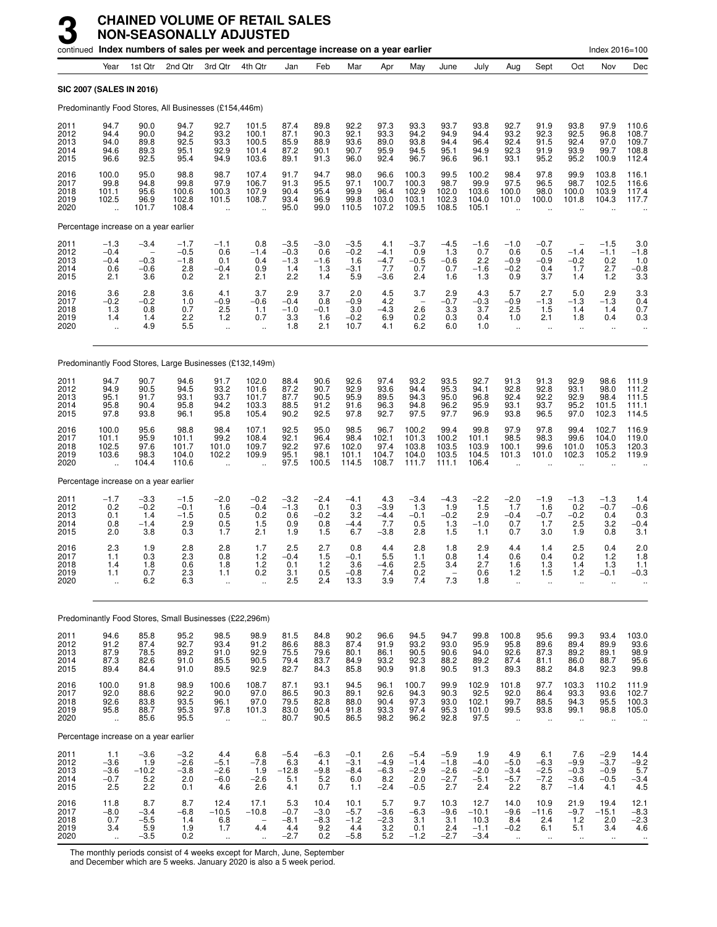|                                      |                                                         |                                                               |                                                        |                                                        | continued Index numbers of sales per week and percentage increase on a year earlier |                                          |                                        |                                           |                                                    |                                                      |                                             |                                             |                                                       |                                                     |                                                            | Index 2016=100                              |                                           |
|--------------------------------------|---------------------------------------------------------|---------------------------------------------------------------|--------------------------------------------------------|--------------------------------------------------------|-------------------------------------------------------------------------------------|------------------------------------------|----------------------------------------|-------------------------------------------|----------------------------------------------------|------------------------------------------------------|---------------------------------------------|---------------------------------------------|-------------------------------------------------------|-----------------------------------------------------|------------------------------------------------------------|---------------------------------------------|-------------------------------------------|
|                                      | Year                                                    | 1st Qtr                                                       | 2nd Qtr                                                | 3rd Qtr                                                | 4th Qtr                                                                             | Jan                                      | Feb                                    | Mar                                       | Apr                                                | May                                                  | June                                        | July                                        | Aug                                                   | Sept                                                | Oct                                                        | Nov                                         | Dec                                       |
|                                      |                                                         | <b>SIC 2007 (SALES IN 2016)</b>                               |                                                        |                                                        |                                                                                     |                                          |                                        |                                           |                                                    |                                                      |                                             |                                             |                                                       |                                                     |                                                            |                                             |                                           |
|                                      |                                                         |                                                               | Predominantly Food Stores, All Businesses (£154,446m)  |                                                        |                                                                                     |                                          |                                        |                                           |                                                    |                                                      |                                             |                                             |                                                       |                                                     |                                                            |                                             |                                           |
| 2011<br>2012<br>2013<br>2014<br>2015 | 94.7<br>94.4<br>94.0<br>94.6<br>96.6                    | 90.0<br>90.0<br>89.8<br>89.3<br>92.5                          | 94.7<br>94.2<br>92.5<br>95.1<br>95.4                   | 92.7<br>93.2<br>93.3<br>92.9<br>94.9                   | 101.5<br>100.1<br>100.5<br>101.4<br>103.6                                           | 87.4<br>87.1<br>85.9<br>87.2<br>89.1     | 89.8<br>90.3<br>88.9<br>90.1<br>91.3   | 92.2<br>92.1<br>93.6<br>90.7<br>96.0      | 97.3<br>93.3<br>89.0<br>95.9<br>92.4               | 93.3<br>94.2<br>93.8<br>94.5<br>96.7                 | 93.7<br>94.9<br>94.4<br>95.1<br>96.6        | 93.8<br>94.4<br>96.4<br>94.9<br>96.1        | 92.7<br>93.2<br>92.4<br>92.3<br>93.1                  | 91.9<br>92.3<br>91.5<br>91.9<br>95.2                | 93.8<br>92.5<br>92.4<br>93.9<br>95.2                       | 97.9<br>96.8<br>97.0<br>99.7<br>100.9       | 110.6<br>108.7<br>109.7<br>108.8<br>112.4 |
| 2016<br>2017<br>2018<br>2019<br>2020 | 100.0<br>99.8<br>101.1<br>102.5<br>$\ddot{\phantom{a}}$ | 95.0<br>94.8<br>95.6<br>96.9<br>101.7                         | 98.8<br>99.8<br>100.6<br>102.8<br>108.4                | 98.7<br>97.9<br>100.3<br>101.5<br>$\ddot{\phantom{a}}$ | 107.4<br>106.7<br>107.9<br>108.7                                                    | 91.7<br>91.3<br>90.4<br>93.4<br>95.0     | 94.7<br>95.5<br>95.4<br>96.9<br>99.0   | 98.0<br>97.1<br>99.9<br>99.8<br>110.5     | 96.6<br>100.7<br>96.4<br>103.0<br>107.2            | 100.3<br>100.3<br>102.9<br>103.1<br>109.5            | 99.5<br>98.7<br>102.0<br>102.3<br>108.5     | 100.2<br>99.9<br>103.6<br>104.0<br>105.1    | 98.4<br>97.5<br>100.0<br>101.0                        | 97.8<br>96.5<br>98.0<br>100.0                       | 99.9<br>98.7<br>100.0<br>101.8                             | 103.8<br>102.5<br>103.9<br>104.3            | 116.1<br>116.6<br>117.4<br>117.7          |
|                                      |                                                         | Percentage increase on a year earlier                         |                                                        |                                                        |                                                                                     |                                          |                                        |                                           |                                                    |                                                      |                                             |                                             |                                                       |                                                     |                                                            |                                             |                                           |
| 2011<br>2012<br>2013<br>2014<br>2015 | $-1.3$<br>$-0.4$<br>$-0.4$<br>0.6<br>2.1                | $-3.4$<br>$\overline{\phantom{0}}$<br>$-0.3$<br>$-0.6$<br>3.6 | $-1.7$<br>$-0.5$<br>$-1.8$<br>2.8<br>0.2               | $-1.1$<br>0.6<br>0.1<br>$-0.4$<br>2.1                  | 0.8<br>$-1.4$<br>0.4<br>0.9<br>2.1                                                  | $-3.5$<br>$-0.3$<br>$-1.3$<br>1.4<br>2.2 | $-3.0$<br>0.6<br>$-1.6$<br>1.3<br>1.4  | $-3.5$<br>$-0.2$<br>1.6<br>$-3.1$<br>5.9  | 4.1<br>$-4.1$<br>$-4.7$<br>7.7<br>$-3.6$           | $-3.7$<br>0.9<br>$-0.5$<br>0.7<br>2.4                | $-4.5$<br>1.3<br>$-0.6$<br>0.7<br>1.6       | $-1.6$<br>0.7<br>2.2<br>$-1.6$<br>1.3       | $-1.0$<br>0.6<br>$-0.9$<br>$-0.2$<br>0.9              | $-0.7$<br>0.5<br>$-0.9$<br>0.4<br>3.7               | $\overline{\phantom{a}}$<br>$-1.4$<br>$-0.2$<br>1.7<br>1.4 | $-1.5$<br>$-1.1$<br>0.2<br>2.7<br>1.2       | $3.0 - 1.8$<br>1.0<br>$-0.8$<br>3.3       |
| 2016<br>2017<br>2018<br>2019<br>2020 | 3.6<br>$-0.2$<br>1.3<br>1.4<br>$\ddot{\phantom{a}}$     | 2.8<br>$-0.2$<br>0.8<br>1.4<br>4.9                            | 3.6<br>1.0<br>0.7<br>2.2<br>5.5                        | 4.1<br>$-0.9$<br>2.5<br>1.2<br>ä,                      | 3.7<br>$-0.6$<br>1.1<br>0.7<br>$\ddot{\phantom{a}}$                                 | 2.9<br>$-0.4$<br>$-1.0$<br>3.3<br>1.8    | 3.7<br>0.8<br>$-0.1$<br>1.6<br>2.1     | 2.0<br>$-0.9$<br>3.0<br>$-0.2$<br>10.7    | 4.5<br>4.2<br>$-4.3$<br>6.9<br>4.1                 | 3.7<br>$\overline{\phantom{0}}$<br>2.6<br>0.2<br>6.2 | 2.9<br>$-0.7$<br>3.3<br>0.3<br>6.0          | 4.3<br>$-0.3$<br>3.7<br>0.4<br>1.0          | 5.7<br>$-0.9$<br>2.5<br>1.0<br>$\ddotsc$              | 2.7<br>$-1.3$<br>1.5<br>2.1<br>$\ddot{\phantom{a}}$ | 5.0<br>$-1.3$<br>1.4<br>1.8<br>$\ddot{\phantom{1}}$        | 2.9<br>$-1.3$<br>1.4<br>0.4<br>$\mathbf{r}$ | $3.3$<br>$0.4$<br>0.7<br>0.3              |
|                                      |                                                         |                                                               |                                                        |                                                        | Predominantly Food Stores, Large Businesses (£132,149m)                             |                                          |                                        |                                           |                                                    |                                                      |                                             |                                             |                                                       |                                                     |                                                            |                                             |                                           |
| 2011<br>2012<br>2013<br>2014<br>2015 | 94.7<br>94.9<br>95.1<br>95.8<br>97.8                    | 90.7<br>90.5<br>91.7<br>90.4<br>93.8                          | 94.6<br>94.5<br>93.1<br>95.8<br>96.1                   | 91.7<br>93.2<br>93.7<br>94.2<br>95.8                   | 102.0<br>101.6<br>101.7<br>103.3<br>105.4                                           | 88.4<br>87.2<br>87.7<br>88.5<br>90.2     | 90.6<br>90.7<br>90.5<br>91.2<br>92.5   | 92.6<br>92.9<br>95.9<br>91.6<br>97.8      | 97.4<br>93.6<br>89.5<br>96.3<br>92.7               | 93.2<br>94.4<br>94.3<br>94.8<br>97.5                 | 93.5<br>95.3<br>95.0<br>96.2<br>97.7        | 92.7<br>94.1<br>96.8<br>95.9<br>96.9        | 91.3<br>92.8<br>92.4<br>93.1<br>93.8                  | 91.3<br>92.8<br>92.2<br>93.7<br>96.5                | 92.9<br>93.1<br>92.9<br>95.2<br>97.0                       | 98.6<br>98.0<br>98.4<br>101.5<br>102.3      | 111.9<br>111.2<br>111.5<br>111.1<br>114.5 |
| 2016<br>2017<br>2018<br>2019<br>2020 | 100.0<br>101.1<br>102.5<br>103.6                        | 95.6<br>95.9<br>97.6<br>98.3<br>104.4                         | 98.8<br>101.1<br>101.7<br>104.0<br>110.6               | 98.4<br>99.2<br>101.0<br>102.2<br>ä.                   | 107.1<br>108.4<br>109.7<br>109.9                                                    | 92.5<br>92.1<br>92.2<br>95.1<br>97.5     | 95.0<br>96.4<br>97.6<br>98.1<br>100.5  | 98.5<br>98.4<br>102.0<br>101.1<br>114.5   | 96.7<br>102.1<br>97.4<br>104.7<br>108.7            | 100.2<br>101.3<br>103.8<br>104.0<br>111.7            | 99.4<br>100.2<br>103.5<br>103.5<br>111.1    | 99.8<br>101.1<br>103.9<br>104.5<br>106.4    | 97.9<br>98.5<br>100.1<br>101.3                        | 97.8<br>98.3<br>99.6<br>101.0                       | 99.4<br>99.6<br>101.0<br>102.3                             | 102.7<br>104.0<br>105.3<br>105.2            | 116.9<br>119.0<br>120.3<br>119.9          |
|                                      |                                                         | Percentage increase on a year earlier                         |                                                        |                                                        |                                                                                     |                                          |                                        |                                           |                                                    |                                                      |                                             |                                             |                                                       |                                                     |                                                            |                                             |                                           |
| 2011<br>2012<br>2013<br>2014<br>2015 | $-1.7$<br>0.2<br>0.1<br>0.8<br>2.0                      | $-3.3$<br>$-0.2$<br>1.4<br>$-1.4$<br>3.8                      | $-1.5$<br>$-0.1$<br>$-1.5$<br>2.9<br>0.3               | $-2.0$<br>1.6<br>0.5<br>0.5<br>1.7                     | $-0.2$<br>$-0.4$<br>0.2<br>1.5<br>2.1                                               | $-3.2$<br>$-1.3$<br>0.6<br>0.9<br>1.9    | $-2.4$<br>0.1<br>$-0.2$<br>0.8<br>1.5  | $-4.1$<br>0.3<br>3.2<br>$-4.4$<br>6.7     | 4.3<br>$-3.9$<br>$-4.4$<br>7.7<br>$-3.8$           | $-3.4$<br>1.3<br>$-0.1$<br>0.5<br>2.8                | $-4.3$<br>1.9<br>$-0.2$<br>1.3<br>1.5       | $-2.2$<br>1.5<br>2.9<br>$-1.0$<br>1.1       | $-2.0$<br>1.7<br>$-0.4$<br>0.7<br>0.7                 | $-1.9$<br>1.6<br>$-0.7$<br>1.7<br>3.0               | $-1.3$<br>0.2<br>$-0.2$<br>2.5<br>1.9                      | $-1.3$<br>$-0.7$<br>0.4<br>3.2<br>0.8       | 1.4<br>$-0.6$<br>0.3<br>$-0.4$<br>3.1     |
| 2016<br>2017<br>2018<br>2019<br>2020 | 2.3<br>1.1<br>1.4<br>1.1<br>$\ddot{\phantom{a}}$        | 1.9<br>0.3<br>1.8<br>0.7<br>6.2                               | 2.8<br>2.3<br>0.6<br>$^{2.3}_{6.3}$                    | 2.8<br>0.8<br>1.8<br>1.1<br>                           | 1.7<br>1.2<br>1.2<br>0.2                                                            | 2.5<br>$-0.4$<br>0.1<br>3.1<br>2.5       | 2.7<br>1.5<br>1.2<br>0.5<br>2.4        | 0.8<br>$-0.1$<br>3.6<br>$-0.8$<br>13.3    | 4.4<br>5.5<br>$-4.6$<br>7.4<br>3.9                 | 2.8<br>1.1<br>2.5<br>0.2<br>7.4                      | 1.8<br>0.8<br>3.4<br>7.3                    | 2.9<br>1.4<br>2.7<br>0.6<br>1.8             | 4.4<br>0.6<br>1.6<br>$1.2$<br>ä,                      | 1.4<br>0.4<br>1.3<br>1.5<br>$\ddot{\phantom{a}}$    | 2.5<br>0.2<br>1.4<br>1.2<br>ä.                             | 0.4<br>1.2<br>1.3<br>$-0.1$                 | 2.0<br>1.8<br>1.1<br>-0.3                 |
|                                      |                                                         |                                                               | Predominantly Food Stores, Small Businesses (£22,296m) |                                                        |                                                                                     |                                          |                                        |                                           |                                                    |                                                      |                                             |                                             |                                                       |                                                     |                                                            |                                             |                                           |
| 2011<br>2012<br>2013<br>2014<br>2015 | 94.6<br>91.2<br>87.9<br>87.3<br>89.4                    | 85.8<br>87.4<br>78.5<br>82.6<br>84.4                          | 95.2<br>92.7<br>89.2<br>91.0<br>91.0                   | 98.5<br>93.4<br>91.0<br>85.5<br>89.5                   | 98.9<br>91.2<br>92.9<br>90.5<br>92.9                                                | 81.5<br>86.6<br>75.5<br>79.4<br>82.7     | 84.8<br>88.3<br>79.6<br>83.7<br>84.3   | 90.2<br>87.4<br>80.1<br>84.9<br>85.8      | 96.6<br>91.9<br>86.1<br>93.2<br>90.9               | 94.5<br>93.2<br>90.5<br>92.3<br>91.8                 | 94.7<br>93.0<br>90.6<br>88.2<br>90.5        | 99.8<br>95.9<br>94.0<br>89.2<br>91.3        | 100.8<br>$\frac{95.8}{92.6}$<br>87.4<br>89.3          | 95.6<br>89.6<br>87.3<br>81.1<br>88.2                | 99.3<br>89.4<br>89.2<br>86.0<br>84.8                       | 93.4<br>89.9<br>89.1<br>88.7<br>92.3        | 103.0<br>93.6<br>98.9<br>95.6<br>99.8     |
| 2016<br>2017<br>2018<br>2019<br>2020 | 100.0<br>92.0<br>92.6<br>95.8<br>$\ddotsc$              | 91.8<br>88.6<br>83.8<br>88.7<br>85.6                          | 98.9<br>92.2<br>93.5<br>95.3<br>95.5                   | 100.6<br>90.0<br>96.1<br>97.8<br>÷.                    | 108.7<br>97.0<br>97.0<br>101.3<br>$\ddotsc$                                         | 87.1<br>86.5<br>79.5<br>83.0<br>80.7     | 93.1<br>90.3<br>82.8<br>90.4<br>90.5   | 94.5<br>89.1<br>88.0<br>91.8<br>86.5      | 96.1<br>92.6<br>90.4<br>93.3<br>98.2               | 100.7<br>94.3<br>97.3<br>97.4<br>96.2                | 99.9<br>90.3<br>93.0<br>95.3<br>92.8        | 102.9<br>$92.5$<br>102.1<br>101.0<br>97.5   | 101.8<br>92.0<br>99.7<br>99.5<br>$\ddot{\phantom{a}}$ | 97.7<br>86.4<br>88.5<br>93.8<br>$\ddotsc$           | 103.3<br>$\frac{93.3}{94.3}$<br>99.1                       | 110.2<br>93.6<br>95.5<br>98.8               | 111.9<br>102.7<br>100.3<br>105.0          |
|                                      |                                                         | Percentage increase on a year earlier                         |                                                        |                                                        |                                                                                     |                                          |                                        |                                           |                                                    |                                                      |                                             |                                             |                                                       |                                                     |                                                            |                                             |                                           |
| 2011<br>2012<br>2013<br>2014<br>2015 | 1.1<br>$-3.6$<br>$-3.6$<br>$-0.7$<br>2.5                | $-3.6$<br>1.9<br>$-10.2$<br>$\frac{5.2}{2.2}$                 | $-3.2$<br>$-2.6$<br>$-3.8$<br>2.0<br>0.1               | 4.4<br>$-5.1$<br>$-2.6$<br>$-6.0$<br>4.6               | 6.8<br>$-7.8$<br>1.9<br>$-2.6$<br>2.6                                               | $-5.4$<br>6.3<br>$-12.8$<br>5.1<br>4.1   | $-6.3$<br>4.1<br>$-9.8$<br>5.2<br>0.7  | $-0.1$<br>$-3.1$<br>$-8.4$<br>6.0<br>1.1  | 2.6<br>$-4.9$<br>$-6.3$<br>8.2<br>$-2.4$           | $-5.4$<br>$-1.4$<br>$^{-2.9}_{2.0}$<br>$-0.5$        | $-5.9$<br>$-1.8$<br>$-2.6$<br>$-2.7$<br>2.7 | 1.9<br>$-4.0$<br>$-2.0$<br>$-5.1$<br>2.4    | 4.9<br>$-5.0$<br>$-3.4$<br>$-5.7$<br>2.2              | 6.1<br>$-6.3$<br>$-2.5$<br>$-7.2$<br>8.7            | 7.6<br>$-9.9$<br>$-0.3$<br>$-3.6$<br>$-1.4$                | $-2.9$<br>$-3.7$<br>$-0.9$<br>$-0.5$<br>4.1 | $14.4 -9.2$<br>5.7<br>-3.4<br>4.5         |
| 2016<br>2017<br>2018<br>2019<br>2020 | 11.8<br>$-8.0$<br>0.7<br>3.4                            | 8.7<br>$-3.4$<br>$-\bar{5}.\bar{5}$<br>5.9<br>$-3.5$          | 8.7<br>-6.8<br>1.4<br>1.9<br>0.2                       | 12.4<br>$-10.5$<br>6.8<br>1.7                          | 17.1<br>$-10.8$<br>$4.\overline{4}$                                                 | 5.3<br>$-0.7$<br>$-8.1$<br>4.4<br>$-2.7$ | 10.4<br>$-3.0$<br>$-8.3$<br>9.2<br>0.2 | 10.1<br>$-5.7$<br>$-1.2$<br>4.4<br>$-5.8$ | 5.7<br>$-3.6$<br>$-2.3$<br>$3.\overline{2}$<br>5.2 | 9.7<br>$-6.3$<br>3.1<br>0.1<br>$-1.2$                | 10.3<br>$-9.6$<br>3.1<br>2.4<br>$-2.7$      | 12.7<br>$-10.1$<br>10.3<br>$-1.1$<br>$-3.4$ | 14.0<br>$-9.6$<br>8.4<br>$-0.2$                       | 10.9<br>$-11.6$<br>2.4<br>6.1                       | 21.9<br>$-9.7$<br>$\frac{1.2}{5.1}$                        | 19.4<br>$-15.1$<br>2.0<br>3.4               | $12.1 - 8.3 - 2.3 - 4.6$                  |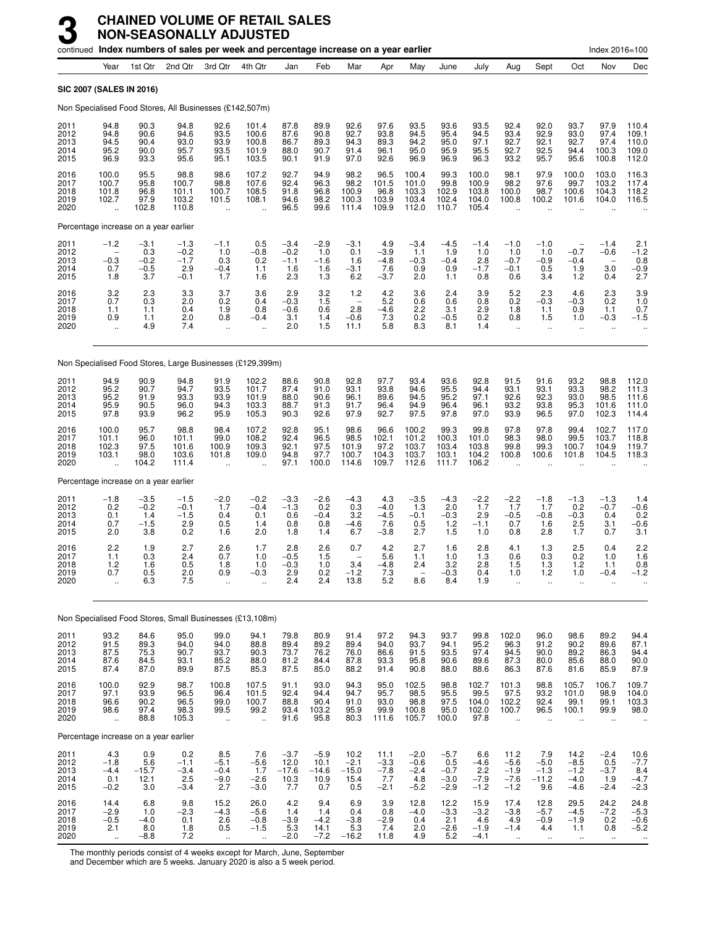|                                      |                                                         | continued Index numbers of sales per week and percentage increase on a year earlier |                                             |                                            |                                                         |                                          |                                          |                                                          |                                           |                                             |                                              |                                           |                                                         |                                                         |                                                     | Index 2016=100                            |                                           |
|--------------------------------------|---------------------------------------------------------|-------------------------------------------------------------------------------------|---------------------------------------------|--------------------------------------------|---------------------------------------------------------|------------------------------------------|------------------------------------------|----------------------------------------------------------|-------------------------------------------|---------------------------------------------|----------------------------------------------|-------------------------------------------|---------------------------------------------------------|---------------------------------------------------------|-----------------------------------------------------|-------------------------------------------|-------------------------------------------|
|                                      | Year                                                    | 1st Qtr                                                                             | 2nd Qtr                                     | 3rd Qtr                                    | 4th Qtr                                                 | Jan                                      | Feb                                      | Mar                                                      | Apr                                       | May                                         | June                                         | July                                      | Aug                                                     | Sept                                                    | Oct                                                 | Nov                                       | Dec                                       |
| <b>SIC 2007 (SALES IN 2016)</b>      |                                                         |                                                                                     |                                             |                                            |                                                         |                                          |                                          |                                                          |                                           |                                             |                                              |                                           |                                                         |                                                         |                                                     |                                           |                                           |
|                                      |                                                         | Non Specialised Food Stores, All Businesses (£142,507m)                             |                                             |                                            |                                                         |                                          |                                          |                                                          |                                           |                                             |                                              |                                           |                                                         |                                                         |                                                     |                                           |                                           |
| 2011<br>2012<br>2013<br>2014<br>2015 | 94.8<br>94.8<br>94.5<br>95.2<br>96.9                    | 90.3<br>90.6<br>90.4<br>90.0<br>93.3                                                | 94.8<br>94.6<br>93.0<br>95.7<br>95.6        | 92.6<br>93.5<br>93.9<br>93.5<br>95.1       | 101.4<br>100.6<br>100.8<br>101.9<br>103.5               | 87.8<br>87.6<br>86.7<br>88.0<br>90.1     | 89.9<br>90.8<br>89.3<br>90.7<br>91.9     | 92.6<br>92.7<br>94.3<br>91.4<br>97.0                     | 97.6<br>93.8<br>89.3<br>96.1<br>92.6      | 93.5<br>94.5<br>94.2<br>95.0<br>96.9        | 93.6<br>95.4<br>95.0<br>95.9<br>96.9         | 93.5<br>94.5<br>97.1<br>95.5<br>96.3      | 92.4<br>93.4<br>92.7<br>92.7<br>93.2                    | 92.0<br>92.9<br>92.1<br>92.5<br>95.7                    | 93.7<br>93.0<br>92.7<br>94.4<br>95.6                | 97.9<br>97.4<br>97.4<br>100.3<br>100.8    | 110.4<br>109.1<br>110.0<br>109.0<br>112.0 |
| 2016<br>2017<br>2018<br>2019<br>2020 | 100.0<br>100.7<br>101.8<br>102.7                        | 95.5<br>95.8<br>96.8<br>97.9<br>102.8                                               | 98.8<br>100.7<br>101.1<br>103.2<br>110.8    | 98.6<br>98.8<br>100.7<br>101.5             | 107.2<br>107.6<br>108.5<br>108.1                        | 92.7<br>92.4<br>91.8<br>94.6<br>96.5     | 94.9<br>96.3<br>96.8<br>98.2<br>99.6     | 98.2<br>98.2<br>100.9<br>100.3<br>111.4                  | 96.5<br>101.5<br>96.8<br>103.9<br>109.9   | 100.4<br>101.0<br>103.3<br>103.4<br>112.0   | 99.3<br>99.8<br>102.9<br>102.4<br>110.7      | 100.0<br>100.9<br>103.8<br>104.0<br>105.4 | 98.1<br>98.2<br>100.0<br>100.8                          | 97.9<br>97.6<br>98.7<br>100.2                           | 100.0<br>99.7<br>100.6<br>101.6                     | 103.0<br>103.2<br>104.3<br>104.0          | 116.3<br>117.4<br>118.2<br>116.5          |
|                                      |                                                         | Percentage increase on a year earlier                                               |                                             |                                            |                                                         |                                          |                                          |                                                          |                                           |                                             |                                              |                                           |                                                         |                                                         |                                                     |                                           |                                           |
| 2011<br>2012<br>2013<br>2014<br>2015 | $-1.2$<br>$-0.3$<br>0.7<br>1.8                          | $-3.1$<br>0.3<br>$-0.2$<br>$-0.5$<br>3.7                                            | $-1.3$<br>$-0.2$<br>$-1.7$<br>2.9<br>$-0.1$ | $-1.1$<br>1.0<br>0.3<br>$-0.4$<br>1.7      | 0.5<br>$-0.8$<br>0.2<br>1.1<br>1.6                      | $-3.4$<br>$-0.2$<br>$-1.1$<br>1.6<br>2.3 | $-2.9$<br>1.0<br>$-1.6$<br>1.6<br>1.3    | $-3.1$<br>0.1<br>1.6<br>$-3.1$<br>6.2                    | 4.9<br>$-3.9$<br>$-4.8$<br>7.6<br>$-3.7$  | $-3.4$<br>1.1<br>$-0.3$<br>0.9<br>2.0       | $-4.5$<br>1.9<br>$-0.4$<br>0.9<br>1.1        | $-1.4$<br>1.0<br>2.8<br>$-1.7$<br>0.8     | $-1.0$<br>1.0<br>$-0.7$<br>$-0.1$<br>0.6                | $-1.0$<br>1.0<br>$-0.9$<br>0.5<br>3.4                   | $-0.7$<br>$-0.4$<br>1.9<br>1.2                      | $-1.4$<br>$-0.6$<br>3.0<br>0.4            | 2.1<br>$-1.2$<br>0.8<br>$-0.9$<br>2.7     |
| 2016<br>2017<br>2018<br>2019<br>2020 | $3.2$<br>$0.7$<br>1.1<br>0.9<br>$\ddotsc$               | 2.3<br>0.3<br>1.1<br>1.1<br>4.9                                                     | 3.3<br>2.0<br>0.4<br>2.0<br>7.4             | 3.7<br>0.2<br>1.9<br>0.8<br>ä,             | 3.6<br>0.4<br>0.8<br>$-0.4$                             | 2.9<br>$-0.3$<br>$-0.6$<br>3.1<br>2.0    | 3.2<br>1.5<br>0.6<br>1.4<br>1.5          | 1.2<br>$\overline{\phantom{0}}$<br>2.8<br>$-0.6$<br>11.1 | 4.2<br>5.2<br>$-4.6$<br>7.3<br>5.8        | 3.6<br>0.6<br>2.2<br>0.2<br>8.3             | 2.4<br>0.6<br>3.1<br>$-0.5$<br>8.1           | 3.9<br>0.8<br>2.9<br>0.2<br>1.4           | 5.2<br>0.2<br>1.8<br>0.8<br>$\ddotsc$                   | 2.3<br>$-0.3$<br>1.1<br>1.5<br>$\ddot{\phantom{a}}$     | 4.6<br>$-0.3$<br>0.9<br>1.0<br>$\ddot{\phantom{a}}$ | 2.3<br>0.2<br>1.1<br>$-0.3$               | $3.9$<br>$1.0$<br>0.7<br>$-1.5$           |
|                                      |                                                         | Non Specialised Food Stores, Large Businesses (£129,399m)                           |                                             |                                            |                                                         |                                          |                                          |                                                          |                                           |                                             |                                              |                                           |                                                         |                                                         |                                                     |                                           |                                           |
| 2011<br>2012<br>2013<br>2014<br>2015 | 94.9<br>95.2<br>95.2<br>95.9<br>97.8                    | 90.9<br>90.7<br>91.9<br>90.5<br>93.9                                                | 94.8<br>94.7<br>93.3<br>96.0<br>96.2        | 91.9<br>93.5<br>93.9<br>94.3<br>95.9       | 102.2<br>101.7<br>101.9<br>103.3<br>105.3               | 88.6<br>87.4<br>88.0<br>88.7<br>90.3     | 90.8<br>91.0<br>90.6<br>91.3<br>92.6     | 92.8<br>93.1<br>96.1<br>91.7<br>97.9                     | 97.7<br>93.8<br>89.6<br>96.4<br>92.7      | 93.4<br>94.6<br>94.5<br>94.9<br>97.5        | 93.6<br>95.5<br>95.2<br>96.4<br>97.8         | 92.8<br>94.4<br>97.1<br>96.1<br>97.0      | 91.5<br>93.1<br>92.6<br>93.2<br>93.9                    | 91.6<br>93.1<br>92.3<br>93.8<br>96.5                    | 93.2<br>93.3<br>93.0<br>95.3<br>97.0                | 98.8<br>98.2<br>98.5<br>101.6<br>102.3    | 112.0<br>111.3<br>111.6<br>111.0<br>114.4 |
| 2016<br>2017<br>2018<br>2019<br>2020 | 100.0<br>101.1<br>102.3<br>103.1                        | 95.7<br>96.0<br>97.5<br>98.0<br>104.2                                               | 98.8<br>101.1<br>101.6<br>103.6<br>111.4    | 98.4<br>99.0<br>100.9<br>101.8             | 107.2<br>108.2<br>109.3<br>109.0                        | 92.8<br>92.4<br>92.1<br>94.8<br>97.1     | 95.1<br>96.5<br>97.5<br>97.7<br>100.0    | 98.6<br>98.5<br>101.9<br>100.7<br>114.6                  | 96.6<br>102.1<br>97.2<br>104.3<br>109.7   | 100.2<br>101.2<br>103.7<br>103.7<br>112.6   | 99.3<br>100.3<br>103.4<br>103.1<br>111.7     | 99.8<br>101.0<br>103.8<br>104.2<br>106.2  | 97.8<br>98.3<br>99.8<br>100.8                           | 97.8<br>98.0<br>99.3<br>100.6                           | 99.4<br>99.5<br>100.7<br>101.8                      | 102.7<br>103.7<br>104.9<br>104.5          | 117.0<br>118.8<br>119.7<br>118.3          |
|                                      |                                                         | Percentage increase on a year earlier                                               |                                             |                                            |                                                         |                                          |                                          |                                                          |                                           |                                             |                                              |                                           |                                                         |                                                         |                                                     |                                           |                                           |
| 2011<br>2012<br>2013<br>2014<br>2015 | $-1.8$<br>0.2<br>0.1<br>0.7<br>2.0                      | $-3.5$<br>$-0.2$<br>1.4<br>$-1.5$<br>3.8                                            | $-1.5$<br>$-0.1$<br>$-1.5$<br>2.9<br>0.2    | $-2.0$<br>1.7<br>0.4<br>0.5<br>1.6         | $-0.2$<br>$-0.4$<br>0.1<br>1.4<br>2.0                   | $-3.3$<br>$-1.3$<br>0.6<br>0.8<br>1.8    | $-2.6$<br>0.2<br>$-0.4$<br>0.8<br>1.4    | $-4.3$<br>0.3<br>3.2<br>$-4.6$<br>6.7                    | 4.3<br>$-4.0$<br>$-4.5$<br>7.6<br>$-3.8$  | $-3.5$<br>1.3<br>$-0.1$<br>0.5<br>2.7       | $-4.3$<br>2.0<br>$-0.3$<br>$1.2$<br>1.5      | $-2.2$<br>1.7<br>2.9<br>$-1.1$<br>1.0     | $-2.2$<br>1.7<br>$-0.5$<br>0.7<br>0.8                   | $-1.8$<br>1.7<br>$-0.8$<br>1.6<br>2.8                   | $-1.3$<br>0.2<br>$-0.3$<br>2.5<br>1.7               | $-1.3$<br>$-0.7$<br>0.4<br>3.1<br>0.7     | 1.4<br>$-0.6$<br>0.2<br>$-0.6$<br>3.1     |
| 2016<br>2017<br>2018<br>2019<br>2020 | 2.2<br>1.1<br>1.2<br>0.7<br>ă,                          | 1.9<br>0.3<br>1.6<br>0.5<br>6.3                                                     | 2.7<br>2.4<br>0.5<br>2.0<br>7.5             | 2.6<br>0.7<br>1.8<br>0.9<br>               | 1.7<br>1.0<br>1.0<br>$-0.3$                             | 2.8<br>$-0.5$<br>$-0.3$<br>2.9<br>2.4    | 2.6<br>1.5<br>1.0<br>$0.2$<br>$2.4$      | 0.7<br>3.4<br>$^{-1.2}_{13.8}$                           | 4.2<br>5.6<br>$-4.8$<br>$7.3$<br>5.2      | 2.7<br>1.1<br>2.4<br>8.6                    | 1.6<br>1.0<br>3.2<br>$-0.3$<br>8.4           | 2.8<br>1.3<br>2.8<br>0.4<br>1.9           | 4.1<br>0.6<br>1.5<br>1.0<br>$\ddot{\phantom{1}}$        | 1.3<br>0.3<br>1.3<br>1.2<br>ä.                          | 2.5<br>0.2<br>1.2<br>1.0<br>$\ddot{\phantom{a}}$    | 0.4<br>1.0<br>1.1<br>$-0.4$               | 2.2<br>1.6<br>0.8<br>$-1.2$               |
|                                      |                                                         | Non Specialised Food Stores, Small Businesses (£13,108m)                            |                                             |                                            |                                                         |                                          |                                          |                                                          |                                           |                                             |                                              |                                           |                                                         |                                                         |                                                     |                                           |                                           |
| 2011<br>2012<br>2013<br>2014<br>2015 | 93.2<br>91.5<br>87.5<br>87.6<br>87.4                    | 84.6<br>89.3<br>75.3<br>84.5<br>87.0                                                | 95.0<br>94.0<br>90.7<br>93.1<br>89.9        | 99.0<br>94.0<br>93.7<br>85.2<br>87.5       | 94.1<br>88.8<br>90.3<br>88.0<br>85.3                    | 79.8<br>89.4<br>73.7<br>81.2<br>87.5     | 80.9<br>89.2<br>76.2<br>84.4<br>85.0     | 91.4<br>89.4<br>76.0<br>87.8<br>88.2                     | 97.2<br>94.0<br>86.6<br>93.3<br>91.4      | 94.3<br>93.7<br>91.5<br>95.8<br>90.8        | 93.7<br>94.1<br>93.5<br>90.6<br>88.0         | 99.8<br>95.2<br>97.4<br>89.6<br>88.6      | 102.0<br>96.3<br>94.5<br>87.3<br>86.3                   | 96.0<br>91.2<br>90.0<br>80.0<br>87.6                    | 98.6<br>90.2<br>89.2<br>85.6<br>81.6                | 89.2<br>89.6<br>86.3<br>88.0<br>85.9      | 94.4<br>87.1<br>94.4<br>90.0<br>87.9      |
| 2016<br>2017<br>2018<br>2019<br>2020 | 100.0<br>97.1<br>96.6<br>98.6<br>$\ddotsc$              | 92.9<br>93.9<br>90.2<br>97.4<br>88.8                                                | 98.7<br>96.5<br>96.5<br>98.3<br>105.3       | 100.8<br>96.4<br>99.0<br>99.5<br>$\ddotsc$ | 107.5<br>101.5<br>100.7<br>99.2<br>$\ddot{\phantom{a}}$ | 91.1<br>92.4<br>88.8<br>93.4<br>91.6     | 93.0<br>94.4<br>90.4<br>103.2<br>95.8    | 94.3<br>94.7<br>91.0<br>95.9<br>80.3                     | 95.0<br>95.7<br>93.0<br>99.9<br>111.6     | 102.5<br>98.5<br>98.8<br>100.8<br>105.7     | 98.8<br>$\frac{95.5}{97.5}$<br>95.0<br>100.0 | 102.7<br>99.5<br>104.0<br>102.0<br>97.8   | 101.3<br>97.5<br>102.2<br>100.7<br>$\ddot{\phantom{a}}$ | 98.8<br>93.2<br>92.4<br>96.5<br>$\ddotsc$               | 105.7<br>101.0<br>99.1<br>100.1                     | 106.7<br>98.9<br>99.1<br>99.9             | 109.7<br>104.0<br>103.3<br>98.0           |
|                                      |                                                         | Percentage increase on a year earlier                                               |                                             |                                            |                                                         |                                          |                                          |                                                          |                                           |                                             |                                              |                                           |                                                         |                                                         |                                                     |                                           |                                           |
| 2011<br>2012<br>2013<br>2014<br>2015 | 4.3<br>$-1.8$<br>$-4.4$<br>0.1<br>$-0.2$                | 0.9<br>5.6<br>$-15.7$<br>12.1<br>3.0                                                | 0.2<br>$-1.1$<br>$-3.4$<br>2.5<br>$-3.4$    | 8.5<br>$-5.1$<br>$-0.4$<br>$-9.0$<br>2.7   | 7.6<br>$-5.6$<br>1.7<br>$-2.6$<br>$-3.0$                | $-3.7$<br>12.0<br>$-17.6$<br>10.3<br>7.7 | $-5.9$<br>10.1<br>$-14.6$<br>10.9<br>0.7 | 10.2<br>$-2.1$<br>$-15.0$<br>15.4<br>0.5                 | 11.1<br>$-3.3$<br>$-7.8$<br>7.7<br>$-2.1$ | $-2.0$<br>$-0.6$<br>$-2.4$<br>4.8<br>$-5.2$ | $-5.7$<br>0.5<br>$-0.7$<br>$-3.0$<br>$-2.9$  | 6.6<br>$-4.6$<br>2.2<br>$-7.9$<br>$-1.2$  | 11.2<br>$-5.6$<br>$-1.9$<br>$-7.6$<br>$-1.2$            | 7.9<br>$-5.0$<br>$-1.3$<br>$-11.2$<br>9.6               | 14.2<br>$-8.5$<br>$-1.2$<br>$-4.0$<br>$-4.6$        | $-2.4$<br>0.5<br>$-3.7$<br>1.9<br>$-2.4$  | $10.6 - 7.7$<br>8.4<br>-4.7<br>$-2.3$     |
| 2016<br>2017<br>2018<br>2019<br>2020 | 14.4<br>$-2.9$<br>$-0.5$<br>2.1<br>$\ddot{\phantom{a}}$ | 6.8<br>1.0<br>$-4.0$<br>8.0<br>$-8.8$                                               | 9.8<br>$-2.3$<br>0.1<br>1.8<br>7.2          | 15.2<br>$-4.3$<br>2.6<br>0.5               | 26.0<br>$-5.6$<br>$-0.8$<br>$-1.5$                      | 4.2<br>1.4<br>$-3.9$<br>5.3<br>$-2.0$    | 9.4<br>1.4<br>$-4.2$<br>14.1<br>$-7.2$   | 6.9<br>0.4<br>$-3.8$<br>5.3<br>$-16.2$                   | 3.9<br>0.8<br>$-2.9$<br>7.4<br>11.8       | 12.8<br>$-4.0$<br>0.4<br>2.0<br>4.9         | 12.2<br>$-3.3$<br>2.1<br>$-2.6$<br>5.2       | 15.9<br>$-3.2$<br>4.6<br>$-1.9$<br>$-4.1$ | 17.4<br>$-3.8$<br>4.9<br>$-1.4$<br>$\ddotsc$            | 12.8<br>$-5.7$<br>$-0.9$<br>4.4<br>$\ddot{\phantom{a}}$ | 29.5<br>$-4.5$<br>$-1.9$<br>1.1                     | 24.2<br>$-7.2$<br>$0.\overline{2}$<br>0.8 | 24.8<br>$-5.3$<br>$-0.6$<br>$-5.2$        |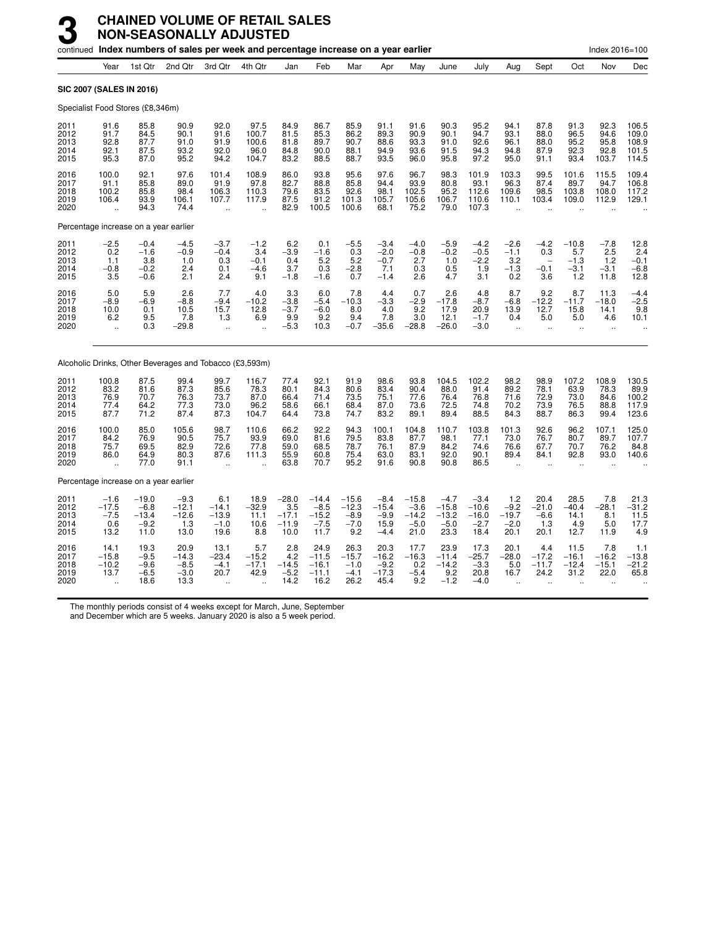|                                      |                                                         |                                                | continued Index numbers of sales per week and percentage increase on a year earlier |                                                         |                                                         |                                              |                                                |                                               |                                               |                                                |                                                |                                                |                                            |                                          |                                           | Index 2016=100                         |                                             |
|--------------------------------------|---------------------------------------------------------|------------------------------------------------|-------------------------------------------------------------------------------------|---------------------------------------------------------|---------------------------------------------------------|----------------------------------------------|------------------------------------------------|-----------------------------------------------|-----------------------------------------------|------------------------------------------------|------------------------------------------------|------------------------------------------------|--------------------------------------------|------------------------------------------|-------------------------------------------|----------------------------------------|---------------------------------------------|
|                                      | Year                                                    | 1st Qtr                                        | 2nd Qtr                                                                             | 3rd Otr                                                 | 4th Qtr                                                 | Jan                                          | Feb                                            | Mar                                           | Apr                                           | May                                            | June                                           | July                                           | Aug                                        | Sept                                     | Oct                                       | Nov                                    | Dec                                         |
| <b>SIC 2007 (SALES IN 2016)</b>      |                                                         |                                                |                                                                                     |                                                         |                                                         |                                              |                                                |                                               |                                               |                                                |                                                |                                                |                                            |                                          |                                           |                                        |                                             |
|                                      |                                                         | Specialist Food Stores (£8,346m)               |                                                                                     |                                                         |                                                         |                                              |                                                |                                               |                                               |                                                |                                                |                                                |                                            |                                          |                                           |                                        |                                             |
| 2011<br>2012<br>2013<br>2014<br>2015 | 91.6<br>91.7<br>92.8<br>92.1<br>95.3                    | 85.8<br>84.5<br>87.7<br>87.5<br>87.0           | 90.9<br>90.1<br>91.0<br>93.2<br>95.2                                                | 92.0<br>91.6<br>91.9<br>92.0<br>94.2                    | 97.5<br>100.7<br>100.6<br>96.0<br>104.7                 | 84.9<br>81.5<br>81.8<br>84.8<br>83.2         | 86.7<br>85.3<br>89.7<br>90.0<br>88.5           | 85.9<br>86.2<br>90.7<br>88.1<br>88.7          | 91.1<br>89.3<br>88.6<br>94.9<br>93.5          | 91.6<br>90.9<br>93.3<br>93.6<br>96.0           | 90.3<br>90.1<br>91.0<br>91.5<br>95.8           | 95.2<br>94.7<br>92.6<br>94.3<br>97.2           | 94.1<br>93.1<br>96.1<br>94.8<br>95.0       | 87.8<br>88.0<br>88.0<br>87.9<br>91.1     | 91.3<br>96.5<br>95.2<br>92.3<br>93.4      | 92.3<br>94.6<br>95.8<br>92.8<br>103.7  | 106.5<br>109.0<br>108.9<br>101.5<br>114.5   |
| 2016<br>2017<br>2018<br>2019<br>2020 | 100.0<br>91.1<br>100.2<br>106.4<br>$\ddot{\phantom{a}}$ | 92.1<br>85.8<br>85.8<br>93.9<br>94.3           | 97.6<br>89.0<br>98.4<br>106.1<br>74.4                                               | 101.4<br>91.9<br>106.3<br>107.7<br>$\ddot{\phantom{a}}$ | 108.9<br>97.8<br>110.3<br>117.9<br>$\ddot{\phantom{1}}$ | 86.0<br>82.7<br>79.6<br>87.5<br>82.9         | 93.8<br>88.8<br>83.5<br>91.2<br>100.5          | 95.6<br>85.8<br>92.6<br>101.3<br>100.6        | 97.6<br>94.4<br>98.1<br>105.7<br>68.1         | 96.7<br>93.9<br>102.5<br>105.6<br>75.2         | 98.3<br>80.8<br>95.2<br>106.7<br>79.0          | 101.9<br>93.1<br>112.6<br>110.6<br>107.3       | 103.3<br>96.3<br>109.6<br>110.1            | 99.5<br>87.4<br>98.5<br>103.4            | 101.6<br>89.7<br>103.8<br>109.0           | 115.5<br>94.7<br>108.0<br>112.9        | 109.4<br>106.8<br>117.2<br>129.1            |
|                                      |                                                         |                                                | Percentage increase on a year earlier                                               |                                                         |                                                         |                                              |                                                |                                               |                                               |                                                |                                                |                                                |                                            |                                          |                                           |                                        |                                             |
| 2011<br>2012<br>2013<br>2014<br>2015 | $^{-2.5}_{0.2}$<br>1.1<br>$-0.8$<br>3.5                 | $-0.4$<br>$-1.6$<br>3.8<br>$-0.2$<br>$-0.6$    | $-4.5$<br>$-0.9$<br>1.0<br>2.4<br>2.1                                               | $-3.7$<br>$-0.4$<br>0.3<br>0.1<br>2.4                   | $-1.2$<br>3.4<br>$-0.1$<br>$-4.6$<br>9.1                | $-3.9$<br>0.4<br>3.7<br>$-1.8$               | 0.1<br>$-1.6$<br>5.2<br>0.3<br>$-1.6$          | $^{-5.5}_{0.3}$<br>5.2<br>$-2.8$<br>0.7       | $-3.4$<br>$-2.0$<br>$-0.7$<br>7.1<br>$-1.4$   | $-4.0$<br>$-0.8$<br>2.7<br>0.3<br>2.6          | $-5.9$<br>$-0.2$<br>1.0<br>0.5<br>4.7          | $-4.2$<br>$-0.5$<br>$-2.2$<br>1.9<br>3.1       | $-2.6 - 1.1$<br>3.2<br>$-1.3$<br>0.2       | $-4.2$<br>0.3<br>$-0.1$<br>3.6           | $-10.8$<br>5.7<br>$-1.3$<br>$-3.1$<br>1.2 | $-7.8$<br>2.5<br>1.2<br>$-3.1$<br>11.8 | $^{12.8}_{2.4}$<br>$-0.1$<br>$-6.8$<br>12.8 |
| 2016<br>2017<br>2018<br>2019<br>2020 | 5.0<br>$-8.9$<br>10.0<br>6.2                            | 5.9<br>$-6.9$<br>0.1<br>9.5<br>0.3             | 2.6<br>$-8.8$<br>10.5<br>7.8<br>$-29.8$                                             | 7.7<br>$-9.4$<br>15.7<br>1.3                            | 4.0<br>$-10.2$<br>12.8<br>6.9                           | 3.3<br>$-3.8$<br>$-3.7$<br>9.9<br>$-5.3$     | 6.0<br>$-5.4$<br>$-6.0$<br>9.2<br>10.3         | 7.8<br>$-10.3$<br>8.0<br>9.4<br>$-0.7$        | 4.4<br>$-3.3$<br>4.0<br>7.8<br>$-35.6$        | 0.7<br>$-2.9$<br>9.2<br>3.0<br>$-28.8$         | 2.6<br>$-17.8$<br>17.9<br>12.1<br>$-26.0$      | 4.8<br>$-8.7$<br>20.9<br>$-1.7$<br>$-3.0$      | 8.7<br>$-6.8$<br>13.9<br>0.4               | 9.2<br>$-12.2$<br>12.7<br>5.0            | 8.7<br>$-11.7$<br>15.8<br>5.0             | 11.3<br>$-18.0$<br>14.1<br>4.6         | $-4.4$<br>$-2.5$<br>9.8<br>10.1             |
|                                      |                                                         |                                                | Alcoholic Drinks, Other Beverages and Tobacco (£3,593m)                             |                                                         |                                                         |                                              |                                                |                                               |                                               |                                                |                                                |                                                |                                            |                                          |                                           |                                        |                                             |
| 2011<br>2012<br>2013<br>2014<br>2015 | 100.8<br>83.2<br>76.9<br>77.4<br>87.7                   | 87.5<br>81.6<br>70.7<br>64.2<br>71.2           | 99.4<br>87.3<br>76.3<br>77.3<br>87.4                                                | 99.7<br>85.6<br>73.7<br>73.0<br>87.3                    | 116.7<br>78.3<br>87.0<br>96.2<br>104.7                  | 77.4<br>80.1<br>66.4<br>58.6<br>64.4         | 92.1<br>84.3<br>71.4<br>66.1<br>73.8           | 91.9<br>80.6<br>73.5<br>68.4<br>74.7          | 98.6<br>83.4<br>75.1<br>87.0<br>83.2          | 93.8<br>90.4<br>77.6<br>73.6<br>89.1           | 104.5<br>88.0<br>76.4<br>72.5<br>89.4          | 102.2<br>91.4<br>76.8<br>74.8<br>88.5          | 98.2<br>89.2<br>71.6<br>70.2<br>84.3       | 98.9<br>78.1<br>72.9<br>73.9<br>88.7     | 107.2<br>63.9<br>73.0<br>76.5<br>86.3     | 108.9<br>78.3<br>84.6<br>88.8<br>99.4  | 130.5<br>89.9<br>100.2<br>123.6             |
| 2016<br>2017<br>2018<br>2019<br>2020 | 100.0<br>84.2<br>75.7<br>86.0                           | 85.0<br>76.9<br>69.5<br>64.9<br>77.0           | 105.6<br>90.5<br>82.9<br>80.3<br>91.1                                               | 98.7<br>75.7<br>72.6<br>87.6<br>$\ddot{\phantom{a}}$    | 110.6<br>93.9<br>77.8<br>111.3                          | 66.2<br>69.0<br>59.0<br>55.9<br>63.8         | 92.2<br>81.6<br>68.5<br>60.8<br>70.7           | 94.3<br>79.5<br>78.7<br>75.4<br>95.2          | 100.1<br>83.8<br>76.1<br>63.0<br>91.6         | 104.8<br>87.7<br>87.9<br>83.1<br>90.8          | 110.7<br>98.1<br>84.2<br>92.0<br>90.8          | 103.8<br>77.1<br>74.6<br>90.1<br>86.5          | 101.3<br>73.0<br>76.6<br>89.4              | 92.6<br>76.7<br>67.7<br>84.1             | 96.2<br>80.7<br>70.7<br>92.8              | 107.1<br>89.7<br>76.2<br>93.0          | 125.0<br>107.7<br>84.8<br>140.6             |
|                                      |                                                         |                                                | Percentage increase on a year earlier                                               |                                                         |                                                         |                                              |                                                |                                               |                                               |                                                |                                                |                                                |                                            |                                          |                                           |                                        |                                             |
| 2011<br>2012<br>2013<br>2014<br>2015 | $-1.6$<br>$-17.5$<br>0.6<br>13.2                        | $-19.0$<br>$-6.8$<br>$-13.4$<br>$-9.2$<br>11.0 | $-9.3$<br>$-12.1$<br>$-12.6$<br>1.3<br>13.0                                         | 6.1<br>$-14.1$<br>$-13.9$<br>$-1.0$<br>19.6             | 18.9<br>$-32.9$<br>11.1<br>10.6<br>8.8                  | $-28.0$<br>3.5<br>$-17.1$<br>$-11.9$<br>10.0 | $-14.4$<br>$-8.5$<br>$-15.2$<br>$-7.5$<br>11.7 | $-15.6$<br>$-12.3$<br>$-8.9$<br>$-7.0$<br>9.2 | $-8.4$<br>$-15.4$<br>$-9.9$<br>15.9<br>$-4.4$ | $-15.8$<br>$-3.6$<br>$-14.2$<br>$-5.0$<br>21.0 | $-4.7$<br>$-15.8$<br>$-13.2$<br>$-5.0$<br>23.3 | $-3.4$<br>$-10.6$<br>$-16.0$<br>$-2.7$<br>18.4 | 1.2<br>$-9.2$<br>$-19.7$<br>$-2.0$<br>20.1 | 20.4<br>$-21.0$<br>$-6.6$<br>1.3<br>20.1 | 28.5<br>$-40.4$<br>14.1<br>4.9<br>12.7    | 7.8<br>$-28.1$<br>8.1<br>5.0<br>11.9   | $21.3$<br>$-31.2$<br>$11.5$<br>17.7<br>4.9  |
| 2016<br>2017<br>2018<br>2019<br>2020 | 14.1<br>$-15.8$<br>$-10.2$<br>13.7                      | 19.3<br>$-9.5$<br>$-9.6$<br>$-6.5$<br>18.6     | 20.9<br>$-14.3$<br>$-8.5$<br>$-3.0$<br>13.3                                         | 13.1<br>$-23.4$<br>$-4.1$<br>20.7                       | 5.7<br>$-15.2$<br>$-17.1$<br>42.9                       | 2.8<br>4.2<br>$-14.5$<br>$-5.2$<br>14.2      | 24.9<br>$-11.5$<br>$-16.1$<br>$-11.1$<br>16.2  | 26.3<br>$-15.7$<br>$-1.0$<br>$-4.1$<br>26.2   | 20.3<br>$-16.2$<br>$-9.2$<br>$-17.3$<br>45.4  | 17.7<br>$-16.3$<br>0.2<br>$-5.4$<br>9.2        | 23.9<br>$-11.4$<br>$-14.2$<br>9.2<br>$-1.2$    | 17.3<br>$-25.7$<br>$-3.3$<br>20.8<br>$-4.0$    | 20.1<br>$-28.0$<br>5.0<br>16.7             | 4.4<br>$-17.2$<br>$-11.7$<br>24.2        | 11.5<br>$-16.1$<br>$-12.4$<br>31.2        | 7.8<br>$-16.2$<br>$-15.1$<br>22.0      | 1.1<br>$-13.8$<br>$-21.2$<br>65.8           |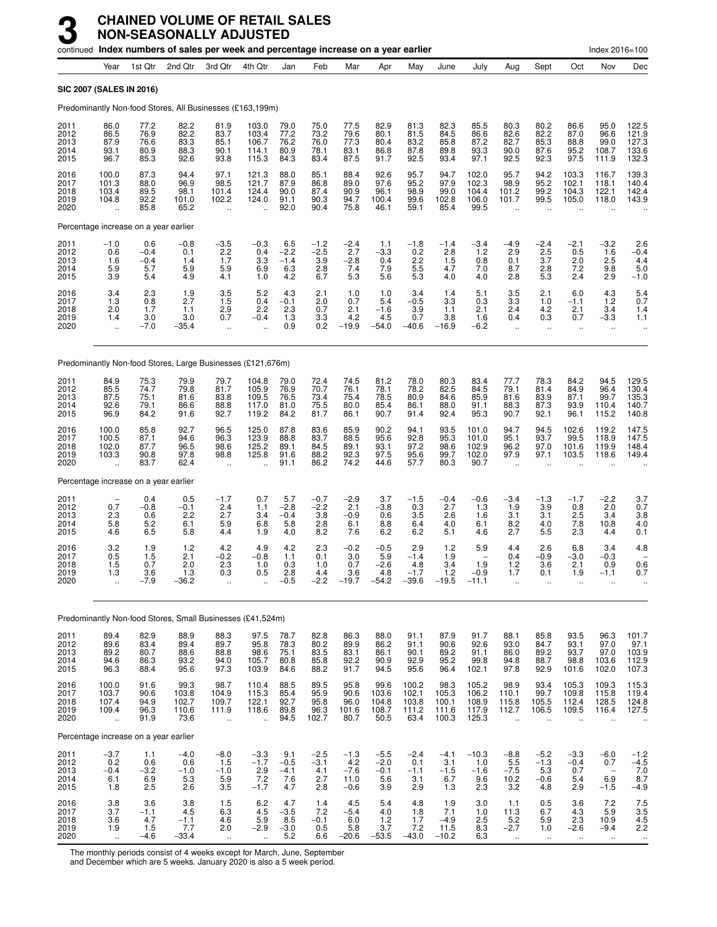|                                       |                                                          |                                       | continued Index numbers of sales per week and percentage increase on a year earlier |                                                         |                                                          |                                       |                                       |                                           |                                           |                                           |                                          |                                           |                                                         |                                             |                                                     | Index 2016=100                                                      |                                                |
|---------------------------------------|----------------------------------------------------------|---------------------------------------|-------------------------------------------------------------------------------------|---------------------------------------------------------|----------------------------------------------------------|---------------------------------------|---------------------------------------|-------------------------------------------|-------------------------------------------|-------------------------------------------|------------------------------------------|-------------------------------------------|---------------------------------------------------------|---------------------------------------------|-----------------------------------------------------|---------------------------------------------------------------------|------------------------------------------------|
|                                       | Year                                                     | 1st Qtr                               | 2nd Qtr                                                                             | 3rd Otr                                                 | 4th Otr                                                  | Jan                                   | Feb                                   | Mar                                       | Apr                                       | May                                       | June                                     | July                                      | Aug                                                     | Sept                                        | Oct                                                 | Nov                                                                 | Dec                                            |
| <b>SIC 2007 (SALES IN 2016)</b>       |                                                          |                                       |                                                                                     |                                                         |                                                          |                                       |                                       |                                           |                                           |                                           |                                          |                                           |                                                         |                                             |                                                     |                                                                     |                                                |
|                                       |                                                          |                                       | Predominantly Non-food Stores, All Businesses (£163,199m)                           |                                                         |                                                          |                                       |                                       |                                           |                                           |                                           |                                          |                                           |                                                         |                                             |                                                     |                                                                     |                                                |
| 2011<br>2012<br>2013<br>2014<br>2015  | 86.0<br>86.5<br>87.9<br>93.1<br>96.7                     | 77.2<br>76.9<br>76.6<br>80.9<br>85.3  | 82.2<br>82.2<br>83.3<br>88.3<br>92.6                                                | 81.9<br>83.7<br>85.1<br>90.1<br>93.8                    | 103.0<br>103.4<br>106.7<br>114.1<br>115.3                | 79.0<br>77.2<br>76.2<br>80.9<br>84.3  | 75.0<br>73.2<br>76.0<br>78.1<br>83.4  | 77.5<br>79.6<br>77.3<br>83.1<br>87.5      | 82.9<br>80.1<br>80.4<br>86.8<br>91.7      | 81.3<br>81.5<br>83.2<br>87.8<br>92.5      | 82.3<br>84.5<br>85.8<br>89.8<br>93.4     | 85.5<br>86.6<br>87.2<br>93.3<br>97.1      | 80.3<br>82.6<br>82.7<br>90.0<br>92.5                    | 80.2<br>82.2<br>85.3<br>87.6<br>92.3        | 86.6<br>87.0<br>88.8<br>95.2<br>97.5                | 95.0<br>96.6<br>99.0<br>108.7<br>111.9                              | 122.5<br>121.9<br>127.3<br>133.6<br>132.3      |
| 2016<br>2017<br>2018<br>2019<br>2020  | 100.0<br>101.3<br>103.4<br>104.8<br>$\ddot{\phantom{a}}$ | 87.3<br>88.0<br>89.5<br>92.2<br>85.8  | 94.4<br>96.9<br>98.1<br>101.0<br>65.2                                               | 97.1<br>98.5<br>101.4<br>102.2<br>$\ddot{\phantom{a}}$  | 121.3<br>121.7<br>124.4<br>124.0<br>$\ddot{\phantom{a}}$ | 88.0<br>87.9<br>90.0<br>91.1<br>92.0  | 85.1<br>86.8<br>87.4<br>90.3<br>90.4  | 88.4<br>89.0<br>90.9<br>94.7<br>75.8      | 92.6<br>97.6<br>96.1<br>100.4<br>46.1     | 95.7<br>95.2<br>98.9<br>99.6<br>59.1      | 94.7<br>97.9<br>99.0<br>102.8<br>85.4    | 102.0<br>102.3<br>104.4<br>106.0<br>99.5  | 95.7<br>98.9<br>101.2<br>101.7<br>$\ddot{\phantom{a}}$  | 94.2<br>95.2<br>99.2<br>99.5                | 103.3<br>102.1<br>104.3<br>105.0                    | 116.7<br>118.1<br>122.1<br>118.0                                    | 139.3<br>140.4<br>142.4<br>143.9               |
|                                       |                                                          | Percentage increase on a year earlier |                                                                                     |                                                         |                                                          |                                       |                                       |                                           |                                           |                                           |                                          |                                           |                                                         |                                             |                                                     |                                                                     |                                                |
| 2011<br>2012<br>2013<br>2014<br>2015  | $-1.0$<br>0.6<br>1.6<br>5.9<br>3.9                       | 0.6<br>$-0.4$<br>$-0.4$<br>5.7<br>5.4 | $-0.8$<br>0.1<br>1.4<br>5.9<br>4.9                                                  | $-3.5$<br>2.2<br>1.7<br>5.9<br>4.1                      | $-0.3$<br>0.4<br>3.3<br>6.9<br>1.0                       | 6.5<br>$-2.2$<br>$-1.4$<br>6.3<br>4.2 | $-1.2$<br>$-2.5$<br>3.9<br>2.8<br>6.7 | $-2.4$<br>2.7<br>$-2.8$<br>7.4<br>5.3     | 1.1<br>-3.3<br>0.4<br>7.9<br>5.6          | $-1.8$<br>0.2<br>2.2<br>5.5<br>5.3        | $-1.4$<br>2.8<br>1.5<br>4.7<br>4.0       | $-3.4$<br>1.2<br>0.8<br>7.0<br>4.0        | -4.9<br>2.9<br>0.1<br>8.7<br>2.8                        | $-2.4$<br>2.5<br>3.7<br>2.8<br>5.3          | $-2.1$<br>0.5<br>2.0<br>7.2<br>2.4                  | $-3.2$<br>1.6<br>2.5<br>9.8<br>2.9                                  | 2.6<br>$-0.4$<br>4.4<br>5.0<br>$-1.0$          |
| 2016<br>2017<br>2018<br>2019<br>2020  | 3.4<br>1.3<br>2.0<br>1.4<br>$\ddot{\phantom{a}}$         | 2.3<br>0.8<br>1.7<br>3.0<br>$-7.0$    | 1.9<br>2.7<br>1.1<br>3.0<br>-35.4                                                   | $\frac{3.5}{1.5}$<br>2.9<br>0.7<br>$\ddotsc$            | 5.2<br>0.4<br>2.2<br>$-0.4$                              | 4.3<br>$-0.1$<br>2.3<br>1.3<br>0.9    | 2.1<br>2.0<br>0.7<br>3.3<br>0.2       | 1.0<br>0.7<br>2.1<br>4.2<br>$-19.9$       | 1.0<br>5.4<br>$-1.6$<br>4.5<br>$-54.0$    | 3.4<br>$-0.5$<br>3.9<br>0.7<br>$-40.6$    | 1.4<br>3.3<br>1.1<br>3.8<br>$-16.9$      | 5.1<br>0.3<br>2.1<br>1.6<br>$-6.2$        | 3.5<br>3.3<br>2.4<br>0.4<br>$\ddot{\phantom{a}}$        | 2.1<br>1.0<br>4.2<br>0.3<br>$\ddotsc$       | 6.0<br>$-1.1$<br>2.1<br>0.7<br>$\ddotsc$            | $^{4.3}_{1.2}$<br>3.4<br>$-3.3$<br>$\ddot{\phantom{a}}$             | $5.4$<br>$0.7$<br>1.4<br>1.1                   |
|                                       |                                                          |                                       | Predominantly Non-food Stores, Large Businesses (£121,676m)                         |                                                         |                                                          |                                       |                                       |                                           |                                           |                                           |                                          |                                           |                                                         |                                             |                                                     |                                                                     |                                                |
| 2011<br>2012<br>2013<br>2014<br>2015  | 84.9<br>85.5<br>87.5<br>92.6<br>96.9                     | 75.3<br>74.7<br>75.1<br>79.1<br>84.2  | 79.9<br>79.8<br>81.6<br>86.6<br>91.6                                                | 79.7<br>81.7<br>83.8<br>88.8<br>92.7                    | 104.8<br>105.9<br>109.5<br>117.0<br>119.2                | 79.0<br>76.9<br>76.5<br>81.0<br>84.2  | 72.4<br>70.7<br>73.4<br>75.5<br>81.7  | 74.5<br>76.1<br>75.4<br>80.0<br>86.1      | 81.2<br>78.1<br>78.5<br>85.4<br>90.7      | 78.0<br>78.2<br>80.9<br>86.1<br>91.4      | 80.3<br>82.5<br>84.6<br>88.0<br>92.4     | 83.4<br>84.5<br>85.9<br>91.1<br>95.3      | 77.7<br>79.1<br>81.6<br>88.3<br>90.7                    | 78.3<br>81.4<br>83.9<br>87.3<br>92.1        | 84.2<br>84.9<br>87.1<br>93.9<br>96.1                | 94.5<br>96.4<br>99.7<br>110.4<br>115.2                              | 129.5<br>130.4<br>135.3<br>140.7<br>140.8      |
| 2016<br>2017<br>2018<br>2019<br>2020  | 100.0<br>100.5<br>102.0<br>103.3                         | 85.8<br>87.1<br>87.7<br>90.8<br>83.7  | 92.7<br>94.6<br>96.5<br>97.8<br>62.4                                                | 96.5<br>96.3<br>98.6<br>98.8<br>$\ddot{\phantom{a}}$    | 125.0<br>123.9<br>125.2<br>125.8                         | 87.8<br>88.8<br>89.1<br>91.6<br>91.1  | 83.6<br>83.7<br>84.5<br>88.2<br>86.2  | 85.9<br>88.5<br>89.1<br>92.3<br>74.2      | 90.2<br>95.6<br>93.1<br>97.5<br>44.6      | 94.1<br>92.8<br>97.2<br>95.6<br>57.7      | 93.5<br>95.3<br>98.6<br>99.7<br>80.3     | 101.0<br>101.0<br>102.9<br>102.0<br>90.7  | 94.7<br>95.1<br>96.2<br>97.9                            | 94.5<br>93.7<br>97.0<br>97.1                | 102.6<br>99.5<br>101.6<br>103.5                     | 119.2<br>118.9<br>119.9<br>118.6                                    | 147.5<br>147.5<br>148.4<br>149.4               |
| Percentage increase on a year earlier |                                                          |                                       |                                                                                     |                                                         |                                                          |                                       |                                       |                                           |                                           |                                           |                                          |                                           |                                                         |                                             |                                                     |                                                                     |                                                |
| 2011<br>2012<br>2013<br>2014<br>2015  | 0.7<br>2.3<br>5.8<br>4.6                                 | 0.4<br>$-0.8$<br>0.6<br>5.2<br>6.5    | 0.5<br>$-0.1$<br>2.2<br>6.1<br>5.8                                                  | $-1.7$<br>2.4<br>2.7<br>5.9<br>4.4                      | 0.7<br>1.1<br>3.4<br>6.8<br>1.9                          | 5.7<br>$-2.8$<br>$-0.4$<br>5.8<br>4.0 | $-0.7$<br>$-2.2$<br>3.8<br>2.8<br>8.2 | $-2.9$<br>2.1<br>$-0.9$<br>6.1<br>7.6     | 3.7<br>$-3.8$<br>0.6<br>8.8<br>6.2        | $-1.5$<br>0.3<br>3.5<br>6.4<br>6.2        | $-0.4$<br>2.7<br>2.6<br>4.0<br>5.1       | $-0.6$<br>1.3<br>1.6<br>6.1<br>4.6        | $-3.4$<br>1.9<br>3.1<br>8.2<br>2.7                      | $-1.3$<br>3.9<br>3.1<br>4.0<br>5.5          | $-1.7$<br>0.8<br>2.5<br>7.8<br>2.3                  | $-2.2$<br>2.0<br>3.4<br>10.8<br>4.4                                 | 3.7<br>0.7<br>3.8<br>4.0<br>0.1                |
| 2016<br>2017<br>2018<br>2019<br>2020  | 3.2<br>0.5<br>1.5<br>1.3<br>ă,                           | 1.9<br>1.5<br>0.7<br>3.6<br>$-7.9$    | $1.2$<br>2.1<br>2.0<br>1.3<br>-36.2                                                 | 4.2<br>$-0.2$<br>2.3<br>0.3                             | 4.9<br>$-0.8$<br>1.0<br>0.5                              | 4.2<br>1.1<br>0.3<br>2.8<br>$-0.5$    | 2.3<br>0.1<br>1.0<br>4.4<br>$-2.2$    | $-0.2$<br>3.0<br>0.7<br>3.6<br>$-19.7$    | $-0.5$<br>5.9<br>$-2.6$<br>4.8<br>$-54.2$ | 2.9<br>$-1.4$<br>4.8<br>$-1.7$<br>$-39.6$ | 1.2<br>1.9<br>3.4<br>1.2<br>$-19.5$      | 5.9<br>1.9<br>$-0.9$<br>$-11.1$           | 4.4<br>0.4<br>1.2<br>1.7                                | 2.6<br>$-0.9$<br>3.6<br>0.1<br>$\ddotsc$    | 6.8<br>$-3.0$<br>2.1<br>1.9<br>$\ddot{\phantom{a}}$ | 3.4<br>$-0.3$<br>0.9<br>$-1.1$                                      | 4.8<br>0.6<br>0.7                              |
|                                       |                                                          |                                       | Predominantly Non-food Stores, Small Businesses (£41,524m)                          |                                                         |                                                          |                                       |                                       |                                           |                                           |                                           |                                          |                                           |                                                         |                                             |                                                     |                                                                     |                                                |
| 2011<br>2012<br>2013<br>2014<br>2015  | 89.4<br>$89.6$<br>$89.2$<br>94.6<br>96.3                 | 82.9<br>83.4<br>80.7<br>86.3<br>88.4  | 88.9<br>89.4<br>88.6<br>93.2<br>95.6                                                | 88.3<br>89.7<br>88.8<br>94.0<br>97.3                    | 97.5<br>95.8<br>98.6<br>105.7<br>103.9                   | 78.7<br>78.3<br>75.1<br>80.8<br>84.6  | 82.8<br>80.2<br>83.5<br>85.8<br>88.2  | 86.3<br>89.9<br>83.1<br>92.2<br>91.7      | 88.0<br>86.2<br>86.1<br>90.9<br>94.5      | 91.1<br>91.1<br>90.1<br>92.9<br>95.6      | 87.9<br>90.6<br>89.2<br>95.2<br>96.4     | 91.7<br>92.6<br>91.1<br>99.8<br>102.1     | 88.1<br>93.0<br>86.0<br>94.8<br>97.8                    | 85.8<br>84.7<br>89.2<br>88.7<br>92.9        | 93.5<br>93.1<br>93.7<br>98.8<br>101.6               | 96.3<br>97.0<br>97.0<br>103.6<br>102.0                              | 101.7<br>97.1<br>103.9<br>112.9<br>107.3       |
| 2016<br>2017<br>2018<br>2019<br>2020  | 100.0<br>103.7<br>107.4<br>109.4<br>$\ddot{\phantom{a}}$ | 91.6<br>90.6<br>94.9<br>96.3<br>91.9  | 99.3<br>103.8<br>102.7<br>110.6<br>73.6                                             | 98.7<br>104.9<br>109.7<br>111.9<br>$\ddot{\phantom{a}}$ | 110.4<br>115.3<br>122.1<br>118.6                         | 88.5<br>85.4<br>92.7<br>89.8<br>94.5  | 89.5<br>95.9<br>95.8<br>96.3<br>102.7 | 95.8<br>90.6<br>96.0<br>101.6<br>80.7     | 99.6<br>103.6<br>104.8<br>108.7<br>50.5   | 100.2<br>102.1<br>103.8<br>111.2<br>63.4  | 98.3<br>105.3<br>100.1<br>111.6<br>100.3 | 105.2<br>106.2<br>108.9<br>117.9<br>125.3 | 98.9<br>110.1<br>115.8<br>112.7<br>$\ddot{\phantom{a}}$ | 93.4<br>99.7<br>105.5<br>106.5<br>$\ddotsc$ | 105.3<br>109.8<br>112.4<br>109.5<br>$\ddotsc$       | 109.3<br>115.8<br>128.5<br>116.4                                    | 115.3<br>119.4<br>124.8<br>127.5               |
|                                       |                                                          | Percentage increase on a year earlier |                                                                                     |                                                         |                                                          |                                       |                                       |                                           |                                           |                                           |                                          |                                           |                                                         |                                             |                                                     |                                                                     |                                                |
| 2011<br>2012<br>2013<br>2014<br>2015  | $-3.7$<br>0.2<br>$-0.4$<br>6.1<br>1.8                    | 1.1<br>0.6<br>$-3.2$<br>6.9<br>2.5    | $-4.0$<br>0.6<br>$-1.0$<br>5.3<br>2.6                                               | $-8.0$<br>1.5<br>$-1.0$<br>5.9<br>3.5                   | $-3.3$<br>$-1.7$<br>2.9<br>7.2<br>$-1.7$                 | 9.1<br>$-0.5$<br>$-4.1$<br>7.6<br>4.7 | $-2.5$<br>$-3.1$<br>4.1<br>2.7<br>2.8 | $-1.3$<br>4.2<br>$-7.6$<br>11.0<br>$-0.6$ | $-5.5$<br>$-2.0$<br>$-0.1$<br>5.6<br>3.9  | $-2.4$<br>0.1<br>$-1.1$<br>3.1<br>2.9     | $-4.1$<br>3.1<br>$-1.5$<br>6.7<br>1.3    | $-10.3$<br>1.0<br>$-1.6$<br>9.6<br>2.3    | $-8.8$<br>5.5<br>$-7.5$<br>10.2<br>3.2                  | $-5.2$<br>$-1.3$<br>5.3<br>$-0.6$<br>4.8    | $-3.3$<br>$-0.4$<br>0.7<br>5.4<br>2.9               | $-6.0$<br>0.7<br>$\hspace{1.0cm} - \hspace{1.0cm}$<br>6.9<br>$-1.5$ | $-1.2$<br>$-4.5$<br>7.0<br>8.7<br>-4.9         |
| 2016<br>2017<br>2018<br>2019<br>2020  | $\frac{3.8}{3.7}$<br>$3.6\,$<br>1.9<br>$\ddotsc$         | 3.6<br>$-1.1$<br>4.7<br>1.5<br>$-4.6$ | 3.8<br>4.5<br>$-1.1$<br>7.7<br>-33.4                                                | 1.5<br>6.3<br>4.6<br>2.0<br>$\sim$                      | 6.2<br>4.5<br>5.9<br>$-2.9$                              | 4.7<br>$-3.5$<br>8.5<br>$-3.0$<br>5.2 | 1.4<br>7.2<br>$-0.1$<br>0.5<br>6.6    | 4.5<br>$-5.4$<br>6.0<br>5.8<br>$-20.6$    | 5.4<br>4.0<br>$1.2$<br>3.7<br>$-53.5$     | 4.8<br>1.8<br>1.7<br>7.2<br>$-43.0$       | 1.9<br>7.1<br>$-4.9$<br>11.5<br>$-10.2$  | 3.0<br>1.0<br>2.5<br>8.3<br>6.3           | 1.1<br>11.3<br>5.2<br>$-2.7$<br>$\ldots$                | 0.5<br>6.7<br>5.9<br>1.0<br>$\ldots$        | 3.6<br>4.3<br>2.3<br>$-2.6$<br>$\ldots$             | 7.2<br>5.9<br>10.9<br>$-9.4$<br>$\ddotsc$                           | $7.5$<br>$3.5$<br>$4.5$<br>2.2<br>$\cdot\cdot$ |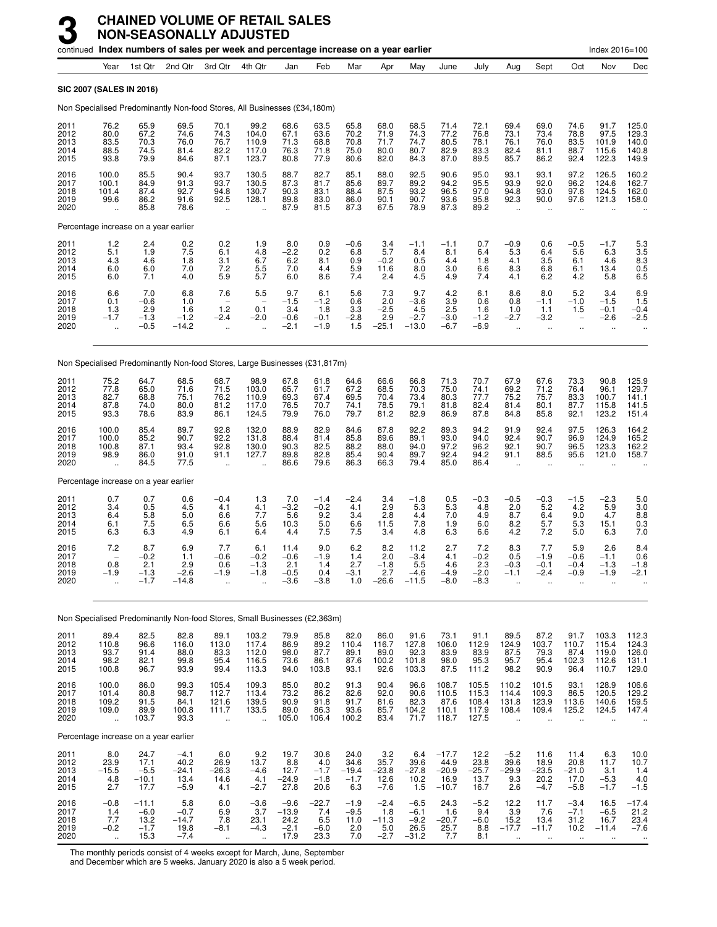|                                      |                                                          |                                                   | continued Index numbers of sales per week and percentage increase on a year earlier |                                                               |                                                          |                                                |                                          |                                          |                                           |                                               |                                               |                                           |                                                      |                                                        |                                               | Index 2016=100                                 |                                                |
|--------------------------------------|----------------------------------------------------------|---------------------------------------------------|-------------------------------------------------------------------------------------|---------------------------------------------------------------|----------------------------------------------------------|------------------------------------------------|------------------------------------------|------------------------------------------|-------------------------------------------|-----------------------------------------------|-----------------------------------------------|-------------------------------------------|------------------------------------------------------|--------------------------------------------------------|-----------------------------------------------|------------------------------------------------|------------------------------------------------|
|                                      | Year                                                     | 1st Qtr                                           | 2nd Qtr                                                                             | 3rd Qtr                                                       | 4th Qtr                                                  | Jan                                            | Feb                                      | Mar                                      | Apr                                       | May                                           | June                                          | July                                      | Aug                                                  | Sept                                                   | Oct                                           | Nov                                            | Dec                                            |
|                                      |                                                          | SIC 2007 (SALES IN 2016)                          |                                                                                     |                                                               |                                                          |                                                |                                          |                                          |                                           |                                               |                                               |                                           |                                                      |                                                        |                                               |                                                |                                                |
|                                      |                                                          |                                                   | Non Specialised Predominantly Non-food Stores, All Businesses (£34,180m)            |                                                               |                                                          |                                                |                                          |                                          |                                           |                                               |                                               |                                           |                                                      |                                                        |                                               |                                                |                                                |
| 2011<br>2012<br>2013<br>2014<br>2015 | 76.2<br>80.0<br>83.5<br>88.5<br>93.8                     | 65.9<br>67.2<br>$70.\overline{3}$<br>74.5<br>79.9 | 69.5<br>74.6<br>76.0<br>81.4<br>84.6                                                | 70.1<br>74.3<br>76.7<br>82.2<br>87.1                          | 99.2<br>104.0<br>110.9<br>117.0<br>123.7                 | 68.6<br>67.1<br>71.3<br>76.3<br>80.8           | 63.5<br>63.6<br>68.8<br>71.8<br>77.9     | 65.8<br>70.2<br>70.8<br>75.0<br>80.6     | 68.0<br>71.9<br>71.7<br>80.0<br>82.0      | 68.5<br>74.3<br>74.7<br>80.7<br>84.3          | 71.4<br>77.2<br>80.5<br>82.9<br>87.0          | 72.1<br>76.8<br>78.1<br>83.3<br>89.5      | 69.4<br>73.1<br>76.1<br>82.4<br>85.7                 | 69.0<br>73.4<br>76.0<br>81.1<br>86.2                   | 74.6<br>78.8<br>83.5<br>88.7<br>92.4          | 91.7<br>97.5<br>101.9<br>115.6<br>122.3        | 125.0<br>129.3<br>140.0<br>140.8<br>149.9      |
| 2016<br>2017<br>2018<br>2019<br>2020 | 100.0<br>100.1<br>101.4<br>99.6<br>$\ddot{\phantom{a}}$  | 85.5<br>84.9<br>87.4<br>86.2<br>85.8              | 90.4<br>91.3<br>92.7<br>91.6<br>78.6                                                | 93.7<br>93.7<br>94.8<br>92.5<br>$\mathbf{u}$                  | 130.5<br>130.5<br>130.7<br>128.1<br>$\ddot{\phantom{a}}$ | 88.7<br>87.3<br>90.3<br>89.8<br>87.9           | 82.7<br>81.7<br>83.1<br>83.0<br>81.5     | 85.1<br>85.6<br>88.4<br>86.0<br>87.3     | 88.0<br>89.7<br>87.5<br>90.1<br>67.5      | 92.5<br>89.2<br>93.2<br>90.7<br>78.9          | 90.6<br>94.2<br>96.5<br>93.6<br>87.3          | 95.0<br>95.5<br>97.0<br>95.8<br>89.2      | 93.1<br>93.9<br>94.8<br>92.3<br>$\ddot{\phantom{a}}$ | 93.1<br>92.0<br>93.0<br>90.0<br>$\ddot{\phantom{a}}$   | 97.2<br>96.2<br>97.6<br>97.6                  | 126.5<br>124.6<br>124.5<br>121.3               | 160.2<br>162.7<br>162.0<br>158.0               |
|                                      |                                                          | Percentage increase on a year earlier             |                                                                                     |                                                               |                                                          |                                                |                                          |                                          |                                           |                                               |                                               |                                           |                                                      |                                                        |                                               |                                                |                                                |
| 2011<br>2012<br>2013<br>2014<br>2015 | $\frac{1.2}{5.1}$<br>4.3<br>6.0<br>6.0                   | $^{2.4}_{1.9}$<br>4.6<br>6.0<br>7.1               | 0.2<br>7.5<br>1.8<br>7.0<br>4.0                                                     | 0.2<br>6.1<br>3.1<br>7.2<br>5.9                               | 1.9<br>4.8<br>6.7<br>$\frac{5.5}{5.7}$                   | 8.0<br>$-2.2$<br>6.2<br>7.0<br>6.0             | 0.9<br>0.2<br>8.1<br>4.4<br>8.6          | $-0.6$<br>6.8<br>0.9<br>5.9<br>7.4       | $3.4$<br>5.7<br>$-0.2$<br>11.6<br>2.4     | $-1.1$<br>8.4<br>0.5<br>8.0<br>4.5            | $-1.1$<br>8.1<br>4.4<br>3.0<br>4.9            | 0.7<br>6.4<br>1.8<br>6.6<br>7.4           | $-0.9$<br>5.3<br>4.1<br>8.3<br>4.1                   | 0.6<br>6.4<br>3.5<br>6.8<br>6.2                        | $-0.5$<br>5.6<br>6.1<br>6.1<br>4.2            | $-1.7$<br>6.3<br>4.6<br>13.4<br>5.8            | 5.3<br>3.5<br>8.3<br>0.5<br>6.5                |
| 2016<br>2017<br>2018<br>2019<br>2020 | 6.6<br>0.1<br>1.3<br>$-1.7$                              | 7.0<br>$-0.6$<br>2.9<br>$-1.3$<br>$-0.5$          | 6.8<br>1.0<br>1.6<br>$-1.2$<br>$-14.2$                                              | 7.6<br>$\overline{\phantom{0}}$<br>1.2<br>$-2.4$<br>$\ddotsc$ | 5.5<br>0.1<br>$-2.0$<br>$\ddot{\phantom{a}}$             | 9.7<br>$-1.5$<br>3.4<br>$-0.6$<br>$-2.1$       | 6.1<br>$-1.2$<br>1.8<br>$-0.1$<br>$-1.9$ | 5.6<br>0.6<br>3.3<br>$-2.8$<br>1.5       | 7.3<br>2.0<br>$-2.5$<br>2.9<br>$-25.1$    | 9.7<br>$-3.6$<br>4.5<br>$-2.7$<br>$-13.0$     | 4.2<br>3.9<br>2.5<br>$-3.0$<br>$-6.7$         | 6.1<br>0.6<br>1.6<br>$-1.2$<br>$-6.9$     | 8.6<br>0.8<br>1.0<br>$-2.7$<br>ä,                    | 8.0<br>$-1.1$<br>1.1<br>$-3.2$<br>$\ddot{\phantom{1}}$ | 5.2<br>$-1.0$<br>1.5<br>ä,                    | 3.4<br>$-1.5$<br>$-0.1$<br>$-2.6$<br>$\ddotsc$ | 6.9<br>1.5<br>$-0.4$<br>$-2.5$                 |
|                                      |                                                          |                                                   | Non Specialised Predominantly Non-food Stores, Large Businesses (£31,817m)          |                                                               |                                                          |                                                |                                          |                                          |                                           |                                               |                                               |                                           |                                                      |                                                        |                                               |                                                |                                                |
| 2011<br>2012<br>2013<br>2014<br>2015 | 75.2<br>77.8<br>82.7<br>87.8<br>93.3                     | 64.7<br>65.0<br>68.8<br>74.0<br>78.6              | 68.5<br>71.6<br>75.1<br>80.0<br>83.9                                                | 68.7<br>71.5<br>76.2<br>81.2<br>86.1                          | 98.9<br>103.0<br>110.9<br>117.0<br>124.5                 | 67.8<br>65.7<br>69.3<br>76.5<br>79.9           | 61.8<br>61.7<br>67.4<br>70.7<br>76.0     | 64.6<br>67.2<br>69.5<br>74.1<br>79.7     | 66.6<br>68.5<br>70.4<br>78.5<br>81.2      | 66.8<br>70.3<br>73.4<br>79.1<br>82.9          | 71.3<br>75.0<br>80.3<br>81.8<br>86.9          | 70.7<br>74.1<br>77.7<br>82.4<br>87.8      | 67.9<br>69.2<br>75.2<br>81.4<br>84.8                 | 67.6<br>71.2<br>75.7<br>80.1<br>85.8                   | 73.3<br>76.4<br>83.3<br>87.7<br>92.1          | 90.8<br>96.1<br>100.7<br>115.8<br>123.2        | 125.9<br>129.7<br>141.1<br>141.5<br>151.4      |
| 2016<br>2017<br>2018<br>2019<br>2020 | 100.0<br>100.0<br>100.8<br>98.9                          | 85.4<br>85.2<br>87.1<br>86.0<br>84.5              | 89.7<br>90.7<br>93.4<br>91.0<br>77.5                                                | 92.8<br>92.2<br>92.8<br>91.1                                  | 132.0<br>131.8<br>130.0<br>127.7                         | 88.9<br>88.4<br>90.3<br>89.8<br>86.6           | 82.9<br>81.4<br>82.5<br>82.8<br>79.6     | 84.6<br>85.8<br>88.2<br>85.4<br>86.3     | 87.8<br>89.6<br>88.0<br>90.4<br>66.3      | 92.2<br>89.1<br>94.0<br>89.7<br>79.4          | 89.3<br>93.0<br>97.2<br>92.4<br>85.0          | 94.2<br>94.0<br>96.2<br>94.2<br>86.4      | 91.9<br>92.4<br>92.1<br>91.1<br>$\ddot{\phantom{a}}$ | 92.4<br>90.7<br>90.7<br>88.5<br>$\ddot{\phantom{a}}$   | 97.5<br>96.9<br>96.5<br>95.6                  | 126.3<br>124.9<br>123.3<br>121.0               | 164.2<br>165.2<br>162.2<br>158.7               |
|                                      |                                                          | Percentage increase on a year earlier             |                                                                                     |                                                               |                                                          |                                                |                                          |                                          |                                           |                                               |                                               |                                           |                                                      |                                                        |                                               |                                                |                                                |
| 2011<br>2012<br>2013<br>2014<br>2015 | 0.7<br>3.4<br>6.4<br>6.1<br>6.3                          | 0.7<br>0.5<br>5.8<br>7.5<br>6.3                   | 0.6<br>4.5<br>5.0<br>6.5<br>4.9                                                     | $-0.4$<br>4.1<br>6.6<br>6.6<br>6.1                            | 1.3<br>4.1<br>7.7<br>5.6<br>6.4                          | 7.0<br>$-3.\overline{2}$<br>5.6<br>10.3<br>4.4 | $-1.4$<br>$-0.2$<br>9.2<br>5.0<br>7.5    | $-2.4$<br>4.1<br>3.4<br>6.6<br>7.5       | 3.4<br>2.9<br>2.8<br>11.5<br>3.4          | $-1.8$<br>5.3<br>4.4<br>7.8<br>4.8            | 0.5<br>5.3<br>7.0<br>1.9<br>6.3               | $-0.3$<br>4.8<br>4.9<br>6.0<br>6.6        | $-0.5$<br>2.0<br>8.7<br>8.2<br>4.2                   | $-0.3$<br>5.2<br>6.4<br>5.7<br>7.2                     | $-1.5$<br>4.2<br>9.0<br>5.3<br>5.0            | $-2.3$<br>5.9<br>4.7<br>15.1<br>6.3            | 5.0<br>3.0<br>8.8<br>0.3<br>7.0                |
| 2016<br>2017<br>2018<br>2019<br>2020 | 7.2<br>0.8<br>$-1.9$                                     | 8.7<br>$-0.2$<br>2.1<br>$-1.3$<br>$-1.7$          | 6.9<br>1.1<br>2.9<br>$-2.6$<br>$-14.8$                                              | 7.7<br>$-0.6$<br>0.6<br>-1.9                                  | 6.1<br>$-0.2$<br>$-1.3$<br>$-1.8$                        | 11.4<br>$-0.6$<br>2.1<br>$-0.5$<br>$-3.6$      | 9.0<br>$-1.9$<br>1.4<br>0.4<br>$-3.8$    | 6.2<br>1.4<br>2.7<br>$-3.1$<br>1.0       | 8.2<br>2.0<br>$-1.8$<br>$2.7 - 26.6$      | 11.2<br>$-3.4$<br>5.5<br>$-4.6$<br>$-11.5$    | 2.7<br>4.1<br>4.6<br>$-4.9$<br>$-8.0$         | 7.2<br>$-0.2$<br>2.3<br>$-2.0$<br>$-8.3$  | 8.3<br>0.5<br>$-0.3$<br>$-1.1$                       | 7.7<br>$-1.9$<br>$-0.1$<br>-2.4                        | 5.9<br>$-0.6$<br>$-0.4$<br>-0.9<br>Ω.         | 2.6<br>$-1.1$<br>$-1.3$<br>$-1.9$              | 8.4<br>0.6<br>$-1.8$<br>-2.1                   |
|                                      |                                                          |                                                   | Non Specialised Predominantly Non-food Stores, Small Businesses (£2,363m)           |                                                               |                                                          |                                                |                                          |                                          |                                           |                                               |                                               |                                           |                                                      |                                                        |                                               |                                                |                                                |
| 2011<br>2012<br>2013<br>2014<br>2015 | 89.4<br>$\frac{110.8}{93.7}$<br>98.2<br>100.8            | 82.5<br>96.6<br>91.4<br>82.1<br>96.7              | 82.8<br>116.0<br>88.0<br>99.8<br>93.9                                               | 89.1<br>113.0<br>83.3<br>95.4<br>99.4                         | $103.2$<br>$117.4$<br>$112.0$<br>116.5<br>113.3          | 79.9<br>86.9<br>98.0<br>73.6<br>94.0           | 85.8<br>89.2<br>87.7<br>86.1<br>103.8    | 82.0<br>110.4<br>89.1<br>87.6<br>93.1    | 86.0<br>116.7<br>89.0<br>100.2<br>92.6    | 91.6<br>127.8<br>92.3<br>101.8<br>103.3       | 73.1<br>106.0<br>83.9<br>98.0<br>87.5         | 91.1<br>112.9<br>83.9<br>95.3<br>111.2    | 89.5<br>124.9<br>87.5<br>95.7<br>98.2                | 87.2<br>103.7<br>79.3<br>95.4<br>90.9                  | 91.7<br>110.7<br>87.4<br>102.3<br>96.4        | 103.3<br>115.4<br>119.0<br>112.6<br>110.7      | 112.3<br>124.3<br>126.0<br>131.1<br>129.0      |
| 2016<br>2017<br>2018<br>2019<br>2020 | 100.0<br>101.4<br>109.2<br>109.0<br>$\ddot{\phantom{a}}$ | 86.0<br>80.8<br>91.5<br>89.9<br>103.7             | 99.3<br>98.7<br>84.1<br>100.8<br>93.3                                               | 105.4<br>112.7<br>121.6<br>111.7<br>$\ddot{\phantom{a}}$      | 109.3<br>113.4<br>139.5<br>133.5<br>$\ddot{\phantom{a}}$ | 85.0<br>73.2<br>90.9<br>89.0<br>105.0          | 80.2<br>86.2<br>91.8<br>86.3<br>106.4    | 91.3<br>82.6<br>91.7<br>93.6<br>100.2    | 90.4<br>92.0<br>81.6<br>85.7<br>83.4      | 96.6<br>90.6<br>82.3<br>104.2<br>71.7         | 108.7<br>110.5<br>87.6<br>110.1<br>118.7      | 105.5<br>115.3<br>108.4<br>117.9<br>127.5 | 110.2<br>114.4<br>131.8<br>108.4<br>ä,               | 101.5<br>109.3<br>123.9<br>109.4<br>$\ddotsc$          | 93.1<br>86.5<br>113.6<br>125.2<br>$\ddotsc$   | 128.9<br>120.5<br>140.6<br>124.5               | 106.6<br>129.2<br>159.5<br>147.4               |
|                                      |                                                          | Percentage increase on a year earlier             |                                                                                     |                                                               |                                                          |                                                |                                          |                                          |                                           |                                               |                                               |                                           |                                                      |                                                        |                                               |                                                |                                                |
| 2011<br>2012<br>2013<br>2014<br>2015 | $\frac{8.0}{23.9}$<br>$-15.5$<br>4.8<br>2.7              | 24.7<br>17.1<br>$-5.5$<br>$-10.1$<br>17.7         | $-4.1$<br>40.2<br>$-24.1$<br>13.4<br>$-5.9$                                         | 6.0<br>26.9<br>$-26.3$<br>14.6<br>4.1                         | 9.2<br>13.7<br>$-4.6$<br>4.1<br>$-2.7$                   | 19.7<br>8.8<br>12.7<br>-24.9<br>27.8           | 30.6<br>4.0<br>$-1.7$<br>$-1.8$<br>20.6  | 24.0<br>34.6<br>$-19.4$<br>$-1.7$<br>6.3 | 3.2<br>35.7<br>$-23.8$<br>12.6<br>$-7.6$  | 6.4<br>39.6<br>$-27.8$<br>10.2<br>1.5         | $-17.7$<br>44.9<br>$-20.9$<br>16.9<br>$-10.7$ | 12.2<br>23.8<br>$-25.7$<br>13.7<br>16.7   | $-5.2$<br>39.6<br>$-29.9$<br>9.3<br>2.6              | 11.6<br>18.9<br>$-23.5$<br>20.2<br>$-4.7$              | 11.4<br>20.8<br>$-21.0$<br>17.0<br>$-5.8$     | 6.3<br>11.7<br>3.1<br>$-5.3$<br>$-1.7$         | 10.0<br>10.7<br>1.4<br>4.0<br>$-1.5$           |
| 2016<br>2017<br>2018<br>2019<br>2020 | $-0.8$<br>1.4<br>$7.7 - 0.2$<br>$\ddotsc$                | $-11.1$<br>$-6.0$<br>$13.2 - 1.7$<br>15.3         | 5.8<br>$-0.7$<br>$-14.7$<br>19.8<br>$-7.4$                                          | 6.0<br>6.9<br>7.8<br>$-8.1$<br>$\ldots$                       | $-3.6$<br>3.7<br>23.1<br>$-4.3$<br>$\ddot{\phantom{a}}$  | $-9.6$<br>$-13.9$<br>24.2<br>$-2.1$<br>17.9    | $-22.7$<br>7.4<br>6.5<br>$-6.0$<br>23.3  | $-1.9$<br>$-9.5$<br>11.0<br>2.0<br>7.0   | $-2.4$<br>1.8<br>$-11.3$<br>5.0<br>$-2.7$ | $-6.5$<br>$-6.1$<br>$-9.2$<br>26.5<br>$-31.2$ | 24.3<br>1.6<br>$-20.7$<br>25.7<br>7.7         | $-5.2$<br>9.4<br>$-6.0$<br>8.8<br>8.1     | 12.2<br>3.9<br>15.2<br>$-17.7$<br>$\ddotsc$          | 11.7<br>7.6<br>13.4<br>$-11.7$<br>$\ddotsc$            | $-3.4$<br>$-7.1$<br>31.2<br>10.2<br>$\ddotsc$ | 16.5<br>$-6.5$<br>16.7<br>$-11.4$<br>$\ldots$  | $-17.4$<br>21.2<br>23.4<br>$-7.6$<br>$\ddotsc$ |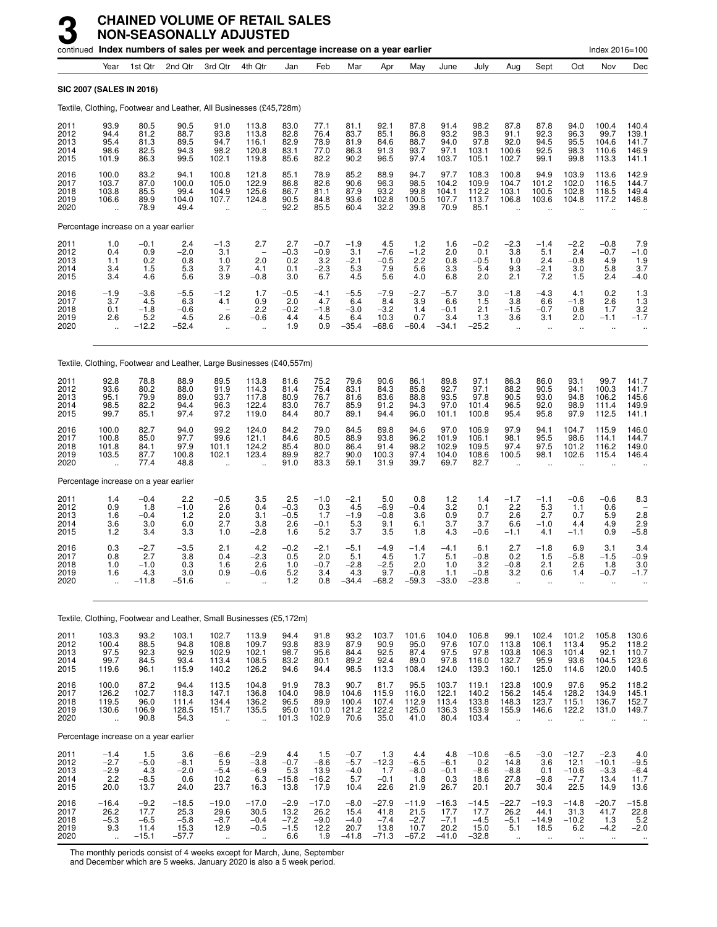|                                      |                                                          |                                             | continued Index numbers of sales per week and percentage increase on a year earlier |                                                                          |                                                         |                                           |                                          |                                             |                                              |                                              |                                              |                                              |                                                          |                                                         |                                                          | Index 2016=100                              |                                           |
|--------------------------------------|----------------------------------------------------------|---------------------------------------------|-------------------------------------------------------------------------------------|--------------------------------------------------------------------------|---------------------------------------------------------|-------------------------------------------|------------------------------------------|---------------------------------------------|----------------------------------------------|----------------------------------------------|----------------------------------------------|----------------------------------------------|----------------------------------------------------------|---------------------------------------------------------|----------------------------------------------------------|---------------------------------------------|-------------------------------------------|
|                                      | Year                                                     | 1st Qtr                                     | 2nd Qtr                                                                             | 3rd Qtr                                                                  | 4th Qtr                                                 | Jan                                       | Feb                                      | Mar                                         | Apr                                          | May                                          | June                                         | July                                         | Aug                                                      | Sept                                                    | Oct                                                      | Nov                                         | Dec                                       |
| <b>SIC 2007 (SALES IN 2016)</b>      |                                                          |                                             |                                                                                     |                                                                          |                                                         |                                           |                                          |                                             |                                              |                                              |                                              |                                              |                                                          |                                                         |                                                          |                                             |                                           |
|                                      |                                                          |                                             | Textile, Clothing, Footwear and Leather, All Businesses (£45,728m)                  |                                                                          |                                                         |                                           |                                          |                                             |                                              |                                              |                                              |                                              |                                                          |                                                         |                                                          |                                             |                                           |
| 2011<br>2012<br>2013<br>2014<br>2015 | 93.9<br>94.4<br>95.4<br>98.6<br>101.9                    | 80.5<br>81.2<br>81.3<br>82.5<br>86.3        | 90.5<br>88.7<br>89.5<br>94.3<br>99.5                                                | 91.0<br>93.8<br>94.7<br>98.2<br>102.1                                    | 113.8<br>113.8<br>116.1<br>120.8<br>119.8               | 83.0<br>82.8<br>82.9<br>83.1<br>85.6      | 77.1<br>76.4<br>78.9<br>77.0<br>82.2     | 81.1<br>83.7<br>81.9<br>86.3<br>90.2        | 92.1<br>85.1<br>84.6<br>91.3<br>96.5         | 87.8<br>86.8<br>88.7<br>93.7<br>97.4         | 91.4<br>93.2<br>94.0<br>97.1<br>103.7        | 98.2<br>98.3<br>97.8<br>103.1<br>105.1       | 87.8<br>91.1<br>92.0<br>100.6<br>102.7                   | 87.8<br>92.3<br>94.5<br>92.5<br>99.1                    | 94.0<br>96.3<br>95.5<br>98.3<br>99.8                     | 100.4<br>99.7<br>104.6<br>110.6<br>113.3    | 140.4<br>139.1<br>141.7<br>146.9<br>141.1 |
| 2016<br>2017<br>2018<br>2019<br>2020 | 100.0<br>103.7<br>103.8<br>106.6<br>$\ddot{\phantom{a}}$ | 83.2<br>87.0<br>85.5<br>89.9<br>78.9        | 94.1<br>100.0<br>99.4<br>104.0<br>49.4                                              | 100.8<br>105.0<br>104.9<br>107.7<br>$\ddot{\phantom{a}}$                 | 121.8<br>122.9<br>125.6<br>124.8                        | 85.1<br>86.8<br>86.7<br>90.5<br>92.2      | 78.9<br>82.6<br>81.1<br>84.8<br>85.5     | 85.2<br>90.6<br>87.9<br>93.6<br>60.4        | 88.9<br>96.3<br>93.2<br>102.8<br>32.2        | 94.7<br>98.5<br>99.8<br>100.5<br>39.8        | 97.7<br>104.2<br>104.1<br>107.7<br>70.9      | 108.3<br>109.9<br>112.2<br>113.7<br>85.1     | 100.8<br>104.7<br>103.1<br>106.8<br>$\ddot{\phantom{a}}$ | 94.9<br>101.2<br>100.5<br>103.6<br>$\ddot{\phantom{a}}$ | 103.9<br>102.0<br>102.8<br>104.8<br>$\ddot{\phantom{a}}$ | 113.6<br>116.5<br>118.5<br>117.2            | 142.9<br>144.7<br>149.4<br>146.8          |
|                                      |                                                          | Percentage increase on a year earlier       |                                                                                     |                                                                          |                                                         |                                           |                                          |                                             |                                              |                                              |                                              |                                              |                                                          |                                                         |                                                          |                                             |                                           |
| 2011<br>2012<br>2013<br>2014<br>2015 | 1.0<br>0.4<br>1.1<br>3.4<br>3.4                          | $-0.1$<br>0.9<br>0.2<br>1.5<br>4.6          | 2.4<br>$-2.0$<br>0.8<br>5.3<br>5.6                                                  | $-1.3$<br>3.1<br>1.0<br>3.7<br>3.9                                       | 2.7<br>$\overline{\phantom{0}}$<br>2.0<br>4.1<br>$-0.8$ | $^{2.7}_{-0.3}$<br>0.2<br>0.1<br>3.0      | $-0.7$<br>$-0.9$<br>3.2<br>$-2.3$<br>6.7 | $-1.9$<br>3.1<br>$-2.1$<br>5.3<br>4.5       | 4.5<br>$-7.6$<br>$-0.5$<br>7.9<br>5.6        | $1.2 - 1.2$<br>2.2<br>5.6<br>4.0             | 1.6<br>2.0<br>0.8<br>3.3<br>6.8              | $-0.2$<br>0.1<br>$-0.5$<br>5.4<br>2.0        | $-2.3$<br>3.8<br>1.0<br>9.3<br>2.1                       | $-1.4$<br>5.1<br>2.4<br>$-2.1$<br>7.2                   | $-2.2$<br>2.4<br>$-0.8$<br>3.0<br>1.5                    | $-0.8$<br>$-0.7$<br>4.9<br>5.8<br>2.4       | $7.9 - 1.0$<br>1.9<br>3.7<br>$-4.0$       |
| 2016<br>2017<br>2018<br>2019<br>2020 | $-1.9$<br>3.7<br>0.1<br>2.6<br>$\ddot{\phantom{a}}$      | $-3.6$<br>4.5<br>$-1.8$<br>5.2<br>$-12.2$   | $-5.5$<br>6.3<br>$-0.6$<br>4.5<br>$-52.4$                                           | $-1.2$<br>4.1<br>$\overline{\phantom{0}}$<br>2.6<br>$\ddot{\phantom{a}}$ | 1.7<br>0.9<br>2.2<br>$-0.6$                             | $-0.5$<br>2.0<br>$-0.2$<br>4.4<br>1.9     | $-4.1$<br>4.7<br>$-1.8$<br>4.5<br>0.9    | $-5.5$<br>6.4<br>$-3.0$<br>6.4<br>$-35.4$   | $-7.9$<br>8.4<br>$-3.2$<br>10.3<br>$-68.6$   | $-2.7$<br>3.9<br>1.4<br>0.7<br>$-60.4$       | $-5.7$<br>6.6<br>$-0.1$<br>3.4<br>$-34.1$    | 3.0<br>1.5<br>2.1<br>1.3<br>$-25.2$          | $-1.8$<br>3.8<br>$-1.5$<br>3.6                           | $-4.3$<br>6.6<br>$-0.7$<br>3.1<br>ä.                    | 4.1<br>$-1.8$<br>0.8<br>2.0<br>ä.                        | 0.2<br>2.6<br>1.7<br>$-1.1$<br>÷.           | $\frac{1.3}{1.3}$<br>3.2<br>$-1.7$        |
|                                      |                                                          |                                             | Textile, Clothing, Footwear and Leather, Large Businesses (£40,557m)                |                                                                          |                                                         |                                           |                                          |                                             |                                              |                                              |                                              |                                              |                                                          |                                                         |                                                          |                                             |                                           |
| 2011<br>2012<br>2013<br>2014<br>2015 | 92.8<br>93.6<br>95.1<br>98.5<br>99.7                     | 78.8<br>80.2<br>79.9<br>82.2<br>85.1        | 88.9<br>88.0<br>89.0<br>94.4<br>97.4                                                | 89.5<br>91.9<br>93.7<br>96.3<br>97.2                                     | 113.8<br>114.3<br>117.8<br>122.4<br>119.0               | 81.6<br>81.4<br>80.9<br>83.0<br>84.4      | 75.2<br>75.4<br>76.7<br>76.7<br>80.7     | 79.6<br>83.1<br>81.6<br>85.9<br>89.1        | 90.6<br>84.3<br>83.6<br>91.2<br>94.4         | 86.1<br>85.8<br>88.8<br>94.3<br>96.0         | 89.8<br>92.7<br>93.5<br>97.0<br>101.1        | 97.1<br>97.1<br>97.8<br>101.4<br>100.8       | 86.3<br>88.2<br>90.5<br>96.5<br>95.4                     | 86.0<br>90.5<br>93.0<br>92.0<br>95.8                    | 93.1<br>94.1<br>94.8<br>98.9<br>97.9                     | 99.7<br>100.3<br>106.2<br>111.4<br>112.5    | 141.7<br>141.7<br>145.6<br>149.9<br>141.1 |
| 2016<br>2017<br>2018<br>2019<br>2020 | 100.0<br>100.8<br>101.8<br>103.5                         | 82.7<br>85.0<br>84.1<br>87.7<br>77.4        | 94.0<br>97.7<br>97.9<br>100.8<br>48.8                                               | 99.2<br>99.6<br>101.1<br>102.1                                           | 124.0<br>121.1<br>124.2<br>123.4                        | 84.2<br>84.6<br>85.4<br>89.9<br>91.0      | 79.0<br>80.5<br>80.0<br>82.7<br>83.3     | 84.5<br>88.9<br>86.4<br>90.0<br>59.1        | 89.8<br>93.8<br>91.4<br>100.3<br>31.9        | 94.6<br>96.2<br>98.2<br>97.4<br>39.7         | 97.0<br>101.9<br>102.9<br>104.0<br>69.7      | 106.9<br>106.1<br>109.5<br>108.6<br>82.7     | 97.9<br>98.1<br>97.4<br>100.5                            | 94.1<br>95.5<br>97.5<br>98.1                            | 104.7<br>98.6<br>101.2<br>102.6                          | 115.9<br>114.1<br>116.2<br>115.4            | 146.0<br>144.7<br>149.0<br>146.4          |
|                                      |                                                          | Percentage increase on a year earlier       |                                                                                     |                                                                          |                                                         |                                           |                                          |                                             |                                              |                                              |                                              |                                              |                                                          |                                                         |                                                          |                                             |                                           |
| 2011<br>2012<br>2013<br>2014<br>2015 | 1.4<br>0.9<br>1.6<br>3.6<br>1.2                          | $-0.4$<br>1.8<br>$-0.4$<br>3.0<br>3.4       | 2.2<br>$-1.0$<br>$1.2$<br>6.0<br>3.3                                                | $-0.5$<br>2.6<br>2.0<br>2.7<br>1.0                                       | 3.5<br>0.4<br>3.1<br>3.8<br>$-2.8$                      | 2.5<br>$-0.3$<br>$-0.5$<br>2.6<br>1.6     | $-1.0$<br>0.3<br>1.7<br>$-0.1$<br>5.2    | $-2.1$<br>4.5<br>$-1.9$<br>5.3<br>3.7       | 5.0<br>$-6.9$<br>$-0.8$<br>9.1<br>3.5        | 0.8<br>$-0.4$<br>3.6<br>6.1<br>1.8           | 1.2<br>3.2<br>0.9<br>3.7<br>4.3              | 1.4<br>0.1<br>0.7<br>3.7<br>$-0.6$           | $-1.7$<br>2.2<br>2.6<br>6.6<br>$-1.1$                    | $-1.1$<br>5.3<br>2.7<br>$-1.0$<br>4.1                   | $-0.6$<br>1.1<br>0.7<br>4.4<br>$-1.1$                    | $-0.6$<br>0.6<br>5.9<br>4.9<br>0.9          | 8.3<br>2.8<br>2.9<br>$-5.8$               |
| 2016<br>2017<br>2018<br>2019<br>2020 | 0.3<br>0.8<br>1.0<br>1.6                                 | $-2.7$<br>2.7<br>$-1.0$<br>4.3<br>$-11.8$   | $-3.5$<br>3.8<br>0.3<br>3.0<br>$-51.6$                                              | 2.1<br>0.4<br>1.6<br>0.9                                                 | 4.2<br>$-2.3$<br>2.6<br>$-0.6$                          | $-0.2$<br>0.5<br>1.0<br>5.2<br>1.2        | $-2.1$<br>2.0<br>$-0.7$<br>3.4<br>0.8    | $-5.1$<br>5.1<br>$-2.8$<br>4.3<br>$-34.4$   | $-4.9$<br>4.5<br>$-2.5$<br>9.7<br>$-68.2$    | $-1.4$<br>1.7<br>2.0<br>$-0.8$<br>$-59.3$    | $-4.1$<br>5.1<br>1.0<br>1.1<br>$-33.0$       | 6.1<br>$-0.8$<br>3.2<br>$-0.8$<br>$-23.8$    | 2.7<br>0.2<br>$-0.8$<br>3.2                              | $-1.8$<br>1.5<br>2.1<br>0.6                             | 6.9<br>$-5.8$<br>2.6<br>1.4                              | 3.1<br>$-1.5$<br>1.8<br>-0.7                | 3.4<br>$-0.9$<br>3.0<br>-1.7              |
|                                      |                                                          |                                             | Textile, Clothing, Footwear and Leather, Small Businesses (£5,172m)                 |                                                                          |                                                         |                                           |                                          |                                             |                                              |                                              |                                              |                                              |                                                          |                                                         |                                                          |                                             |                                           |
| 2011<br>2012<br>2013<br>2014<br>2015 | 103.3<br>100.4<br>97.5<br>99.7<br>119.6                  | 93.2<br>88.5<br>92.3<br>84.5<br>96.1        | 103.1<br>94.8<br>92.9<br>93.4<br>115.9                                              | 102.7<br>108.8<br>102.9<br>113.4<br>140.2                                | 113.9<br>109.7<br>102.1<br>108.5<br>126.2               | 94.4<br>93.8<br>98.7<br>83.2<br>94.6      | 91.8<br>83.9<br>95.6<br>80.1<br>94.4     | 93.2<br>87.9<br>84.4<br>89.2<br>98.5        | 103.7<br>90.9<br>92.5<br>92.4<br>113.3       | 101.6<br>95.0<br>87.4<br>89.0<br>108.4       | 104.0<br>97.6<br>97.5<br>97.8<br>124.0       | 106.8<br>107.0<br>97.8<br>116.0<br>139.3     | 99.1<br>113.8<br>103.8<br>132.7<br>160.1                 | 102.4<br>106.1<br>106.3<br>95.9<br>125.0                | 101.2<br>113.4<br>101.4<br>93.6<br>114.6                 | 105.8<br>95.2<br>92.1<br>104.5<br>120.0     | 130.6<br>118.2<br>110.7<br>123.6<br>140.5 |
| 2016<br>2017<br>2018<br>2019<br>2020 | 100.0<br>126.2<br>119.5<br>130.6<br>÷.                   | 87.2<br>102.7<br>96.0<br>106.9<br>90.8      | 94.4<br>118.3<br>111.4<br>128.5<br>54.3                                             | 113.5<br>147.1<br>134.4<br>151.7<br>$\ddot{\phantom{a}}$                 | 104.8<br>136.8<br>136.2<br>135.5<br>÷.                  | 91.9<br>104.0<br>96.5<br>95.0<br>101.3    | 78.3<br>98.9<br>89.9<br>101.0<br>102.9   | 90.7<br>104.6<br>100.4<br>121.2<br>70.6     | 81.7<br>115.9<br>107.4<br>122.2<br>35.0      | 95.5<br>116.0<br>112.9<br>125.0<br>41.0      | 103.7<br>122.1<br>113.4<br>136.3<br>80.4     | 119.1<br>140.2<br>133.8<br>153.9<br>103.4    | 123.8<br>156.2<br>148.3<br>155.9<br>$\ddotsc$            | 100.9<br>145.4<br>123.7<br>146.6<br>$\ddotsc$           | 97.6<br>128.2<br>115.1<br>122.2<br>$\ddot{\phantom{a}}$  | 95.2<br>134.9<br>136.7<br>131.0<br>÷.       | $118.2$<br>$145.1$<br>152.7<br>149.7      |
|                                      |                                                          | Percentage increase on a year earlier       |                                                                                     |                                                                          |                                                         |                                           |                                          |                                             |                                              |                                              |                                              |                                              |                                                          |                                                         |                                                          |                                             |                                           |
| 2011<br>2012<br>2013<br>2014<br>2015 | $-1.4$<br>$-2.7$<br>$-2.9$<br>2.2<br>20.0                | 1.5<br>$-5.0$<br>4.3<br>$-8.5$<br>13.7      | 3.6<br>$-8.1$<br>$-2.0$<br>0.6<br>24.0                                              | $-6.6$<br>5.9<br>$-5.4$<br>10.2<br>23.7                                  | $-2.9$<br>$-3.8$<br>$-6.9$<br>6.3<br>16.3               | 4.4<br>$-0.7$<br>5.3<br>$-15.8$<br>13.8   | 1.5<br>$-8.6$<br>13.9<br>$-16.2$<br>17.9 | $-0.7$<br>$-5.7$<br>$-4.0$<br>5.7<br>10.4   | 1.3<br>$-12.3$<br>1.7<br>$-0.1$<br>22.6      | 4.4<br>$-6.5$<br>$-8.0$<br>1.8<br>21.9       | 4.8<br>$-6.1$<br>$-0.1$<br>0.3<br>26.7       | $-10.6$<br>0.2<br>$-8.6$<br>18.6<br>20.1     | $-6.5$<br>14.8<br>$-8.8$<br>27.8<br>20.7                 | $-3.0$<br>3.6<br>0.1<br>$-9.8$<br>30.4                  | $-12.7$<br>12.1<br>$-10.6$<br>$-7.7$<br>22.5             | $-2.3$<br>$-10.1$<br>$-3.3$<br>13.4<br>14.9 | 4.0<br>$-9.5$<br>$-6.4$<br>11.7<br>13.6   |
| 2016<br>2017<br>2018<br>2019<br>2020 | $-16.4$<br>26.2<br>$-5.3$<br>9.3                         | $-9.2$<br>17.7<br>$-6.5$<br>11.4<br>$-15.1$ | $-18.5$<br>25.3<br>$-5.8$<br>15.3<br>$-57.7$                                        | $-19.0$<br>29.6<br>$-8.7$<br>12.9                                        | $-17.0$<br>30.5<br>$-0.4$<br>$-0.5$                     | $-2.9$<br>13.2<br>$-7.2$<br>$-1.5$<br>6.6 | $-17.0$<br>26.2<br>$-9.0$<br>12.2<br>1.9 | $-8.0$<br>15.4<br>$-4.0$<br>20.7<br>$-41.8$ | $-27.9$<br>41.8<br>$-7.4$<br>13.8<br>$-71.3$ | $-11.9$<br>21.5<br>$-2.7$<br>10.7<br>$-67.2$ | $-16.3$<br>17.7<br>$-7.1$<br>20.2<br>$-41.0$ | $-14.5$<br>17.7<br>$-4.5$<br>15.0<br>$-32.8$ | $-22.7$<br>26.2<br>$-5.1$<br>5.1                         | $-19.3$<br>44.1<br>$-14.9$<br>18.5                      | $-14.8$<br>31.3<br>$-10.2$<br>6.2                        | $-20.7$<br>41.7<br>1.3<br>$-4.2$            | $-15.8$<br>22.8<br>$\frac{5.2}{-2.0}$     |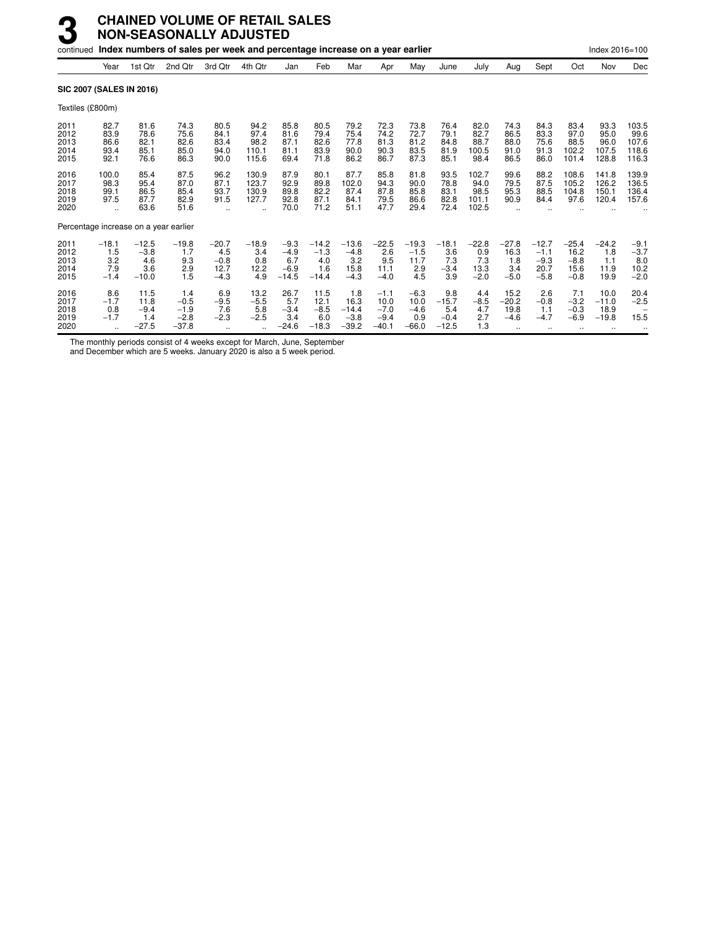| continued                             |                                                       |                                            | Index numbers of sales per week and percentage increase on a year earlier |                                                      |                                               |                                              |                                            |                                             |                                               |                                            |                                            |                                         |                                         |                                               |                                             | Index 2016=100                         |                                           |
|---------------------------------------|-------------------------------------------------------|--------------------------------------------|---------------------------------------------------------------------------|------------------------------------------------------|-----------------------------------------------|----------------------------------------------|--------------------------------------------|---------------------------------------------|-----------------------------------------------|--------------------------------------------|--------------------------------------------|-----------------------------------------|-----------------------------------------|-----------------------------------------------|---------------------------------------------|----------------------------------------|-------------------------------------------|
|                                       | Year                                                  | 1st Qtr                                    | 2nd Qtr                                                                   | 3rd Otr                                              | 4th Qtr                                       | Jan                                          | Feb                                        | Mar                                         | Apr                                           | May                                        | June                                       | July                                    | Aug                                     | Sept                                          | Oct                                         | Nov                                    | Dec                                       |
| <b>SIC 2007 (SALES IN 2016)</b>       |                                                       |                                            |                                                                           |                                                      |                                               |                                              |                                            |                                             |                                               |                                            |                                            |                                         |                                         |                                               |                                             |                                        |                                           |
| Textiles (£800m)                      |                                                       |                                            |                                                                           |                                                      |                                               |                                              |                                            |                                             |                                               |                                            |                                            |                                         |                                         |                                               |                                             |                                        |                                           |
| 2011<br>2012<br>2013<br>2014<br>2015  | 82.7<br>83.9<br>86.6<br>93.4<br>92.1                  | 81.6<br>78.6<br>82.1<br>85.1<br>76.6       | 74.3<br>75.6<br>82.6<br>85.0<br>86.3                                      | 80.5<br>84.1<br>83.4<br>94.0<br>90.0                 | 94.2<br>97.4<br>98.2<br>110.1<br>115.6        | 85.8<br>81.6<br>87.1<br>81.1<br>69.4         | 80.5<br>79.4<br>82.6<br>83.9<br>71.8       | 79.2<br>75.4<br>77.8<br>90.0<br>86.2        | 72.3<br>74.2<br>81.3<br>90.3<br>86.7          | 73.8<br>72.7<br>81.2<br>83.5<br>87.3       | 76.4<br>79.1<br>84.8<br>81.9<br>85.1       | 82.0<br>82.7<br>88.7<br>100.5<br>98.4   | 74.3<br>86.5<br>88.0<br>91.0<br>86.5    | 84.3<br>83.3<br>75.6<br>91.3<br>86.0          | 83.4<br>97.0<br>88.5<br>102.2<br>101.4      | 93.3<br>95.0<br>96.0<br>107.5<br>128.8 | 103.5<br>99.6<br>107.6<br>118.6<br>116.3  |
| 2016<br>2017<br>2018<br>2019<br>2020  | 100.0<br>98.3<br>99.1<br>97.5<br>$\ddot{\phantom{a}}$ | 85.4<br>95.4<br>86.5<br>87.7<br>63.6       | 87.5<br>87.0<br>85.4<br>82.9<br>51.6                                      | 96.2<br>87.1<br>93.7<br>91.5<br>$\ddot{\phantom{a}}$ | 130.9<br>123.7<br>130.9<br>127.7<br>$\ddotsc$ | 87.9<br>92.9<br>89.8<br>92.8<br>70.0         | 80.1<br>89.8<br>82.2<br>87.1<br>71.2       | 87.7<br>102.0<br>87.4<br>84.1<br>51.1       | 85.8<br>94.3<br>87.8<br>79.5<br>47.7          | 81.8<br>90.0<br>85.8<br>86.6<br>29.4       | 93.5<br>78.8<br>83.1<br>82.8<br>72.4       | 102.7<br>94.0<br>98.5<br>101.1<br>102.5 | 99.6<br>79.5<br>95.3<br>90.9            | 88.2<br>87.5<br>88.5<br>84.4                  | 108.6<br>105.2<br>104.8<br>97.6             | 141.8<br>126.2<br>150.1<br>120.4       | 139.9<br>136.5<br>136.4<br>157.6          |
| Percentage increase on a year earlier |                                                       |                                            |                                                                           |                                                      |                                               |                                              |                                            |                                             |                                               |                                            |                                            |                                         |                                         |                                               |                                             |                                        |                                           |
| 2011<br>2012<br>2013<br>2014<br>2015  | $-18.1$<br>1.5<br>3.2<br>7.9<br>$-1.4$                | $-12.5$<br>$-3.8$<br>4.6<br>3.6<br>$-10.0$ | $-19.8$<br>1.7<br>9.3<br>2.9<br>1.5                                       | $-20.7$<br>4.5<br>$-0.8$<br>12.7<br>$-4.3$           | $-18.9$<br>3.4<br>0.8<br>12.2<br>4.9          | $-9.3$<br>$-4.9$<br>6.7<br>$-6.9$<br>$-14.5$ | $-14.2$<br>$-1.3$<br>4.0<br>1.6<br>$-14.4$ | $-13.6$<br>$-4.8$<br>3.2<br>15.8<br>$-4.3$  | $-22.5$<br>2.6<br>9.5<br>11.1<br>$-4.0$       | $-19.3$<br>$-1.5$<br>11.7<br>2.9<br>4.5    | $-18.1$<br>3.6<br>7.3<br>$-3.4$<br>3.9     | $-22.8$<br>0.9<br>7.3<br>13.3<br>$-2.0$ | $-27.8$<br>16.3<br>1.8<br>3.4<br>$-5.0$ | $-12.7$<br>$-1.1$<br>$-9.3$<br>20.7<br>$-5.8$ | $-25.4$<br>16.2<br>$-8.8$<br>15.6<br>$-0.8$ | $-24.2$<br>1.8<br>1.1<br>11.9<br>19.9  | $-9.1$<br>$-3.7$<br>8.0<br>10.2<br>$-2.0$ |
| 2016<br>2017<br>2018<br>2019<br>2020  | 8.6<br>$-1.7$<br>0.8<br>$-1.7$                        | 11.5<br>11.8<br>$-9.4$<br>1.4<br>$-27.5$   | 1.4<br>$-0.5$<br>$-1.9$<br>$-2.8$<br>$-37.8$                              | 6.9<br>$-9.5$<br>7.6<br>$-2.3$                       | 13.2<br>$-5.5$<br>5.8<br>$-2.5$               | 26.7<br>5.7<br>$-3.4$<br>3.4<br>$-24.6$      | 11.5<br>12.1<br>$-8.5$<br>6.0<br>$-18.3$   | 1.8<br>16.3<br>$-14.4$<br>$-3.8$<br>$-39.2$ | $-1.1$<br>10.0<br>$-7.0$<br>$-9.4$<br>$-40.1$ | $-6.3$<br>10.0<br>$-4.6$<br>0.9<br>$-66.0$ | 9.8<br>$-15.7$<br>5.4<br>$-0.4$<br>$-12.5$ | 4.4<br>$-8.5$<br>4.7<br>2.7<br>1.3      | 15.2<br>$-20.2$<br>19.8<br>$-4.6$       | 2.6<br>$-0.8$<br>1.1<br>$-4.7$<br>$\ddotsc$   | 7.1<br>$-3.2$<br>$-0.3$<br>$-6.9$<br>       | 10.0<br>$-11.0$<br>18.9<br>$-19.8$<br> | 20.4<br>$-2.5$<br>15.5                    |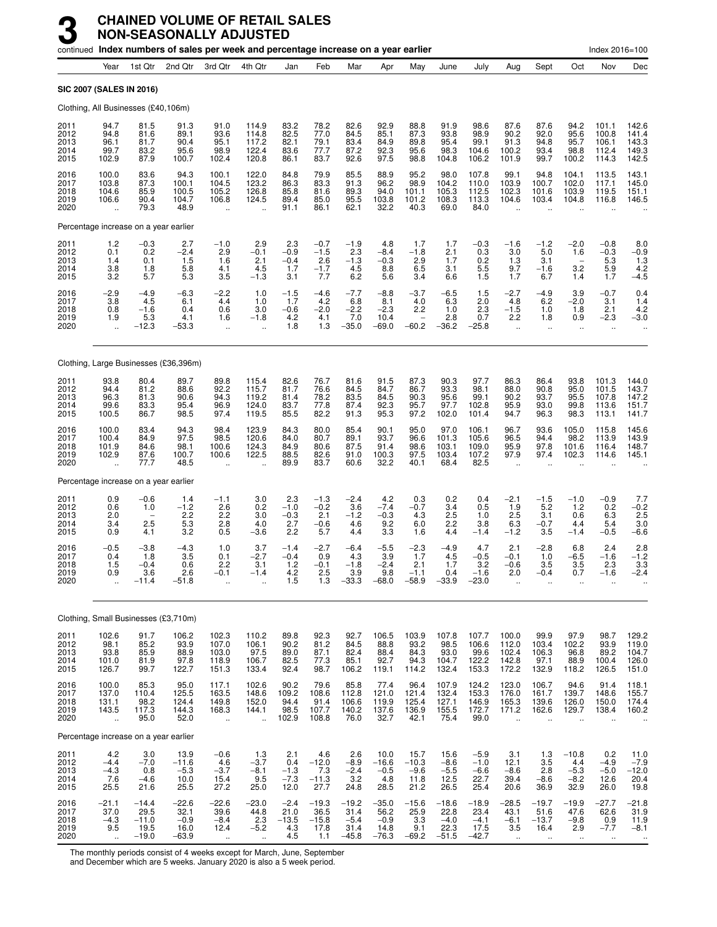|                                      |                                                          |                                               | continued Index numbers of sales per week and percentage increase on a year earlier |                                                           |                                                          |                                         |                                           |                                              |                                              |                                           |                                              |                                              |                                                          |                                                 |                                               | Index 2016=100                                       |                                           |
|--------------------------------------|----------------------------------------------------------|-----------------------------------------------|-------------------------------------------------------------------------------------|-----------------------------------------------------------|----------------------------------------------------------|-----------------------------------------|-------------------------------------------|----------------------------------------------|----------------------------------------------|-------------------------------------------|----------------------------------------------|----------------------------------------------|----------------------------------------------------------|-------------------------------------------------|-----------------------------------------------|------------------------------------------------------|-------------------------------------------|
|                                      | Year                                                     | 1st Qtr                                       | 2nd Qtr                                                                             | 3rd Otr                                                   | 4th Qtr                                                  | Jan                                     | Feb                                       | Mar                                          | Apr                                          | May                                       | June                                         | July                                         | Aug                                                      | Sept                                            | Oct                                           | Nov                                                  | Dec                                       |
| <b>SIC 2007 (SALES IN 2016)</b>      |                                                          |                                               |                                                                                     |                                                           |                                                          |                                         |                                           |                                              |                                              |                                           |                                              |                                              |                                                          |                                                 |                                               |                                                      |                                           |
|                                      |                                                          | Clothing, All Businesses (£40,106m)           |                                                                                     |                                                           |                                                          |                                         |                                           |                                              |                                              |                                           |                                              |                                              |                                                          |                                                 |                                               |                                                      |                                           |
| 2011<br>2012<br>2013<br>2014<br>2015 | 94.7<br>94.8<br>96.1<br>99.7<br>102.9                    | 81.5<br>81.6<br>81.7<br>83.2<br>87.9          | 91.3<br>89.1<br>90.4<br>95.6<br>100.7                                               | 91.0<br>93.6<br>95.1<br>98.9<br>102.4                     | 114.9<br>114.8<br>117.2<br>122.4<br>120.8                | 83.2<br>82.5<br>82.1<br>83.6<br>86.1    | 78.2<br>77.0<br>79.1<br>77.7<br>83.7      | 82.6<br>84.5<br>83.4<br>87.2<br>92.6         | 92.9<br>85.1<br>84.9<br>92.3<br>97.5         | 88.8<br>87.3<br>89.8<br>95.6<br>98.8      | 91.9<br>93.8<br>95.4<br>98.3<br>104.8        | 98.6<br>98.9<br>99.1<br>104.6<br>106.2       | 87.6<br>90.2<br>91.3<br>100.2<br>101.9                   | 87.6<br>92.0<br>94.8<br>93.4<br>99.7            | 94.2<br>95.6<br>95.7<br>98.8<br>100.2         | 101.1<br>100.8<br>106.1<br>112.4<br>114.3            | 142.6<br>141.4<br>143.3<br>149.3<br>142.5 |
| 2016<br>2017<br>2018<br>2019<br>2020 | 100.0<br>103.8<br>104.6<br>106.6                         | 83.6<br>87.3<br>85.9<br>90.4<br>79.3          | 94.3<br>100.1<br>100.5<br>104.7<br>48.9                                             | 100.1<br>104.5<br>105.2<br>106.8                          | 122.0<br>123.2<br>126.8<br>124.5                         | 84.8<br>86.3<br>85.8<br>89.4<br>91.1    | 79.9<br>83.3<br>81.6<br>85.0<br>86.1      | 85.5<br>91.3<br>89.3<br>95.5<br>62.1         | 88.9<br>96.2<br>94.0<br>103.8<br>32.2        | 95.2<br>98.9<br>101.1<br>101.2<br>40.3    | 98.0<br>104.2<br>105.3<br>108.3<br>69.0      | 107.8<br>110.0<br>112.5<br>113.3<br>84.0     | 99.1<br>103.9<br>102.3<br>104.6                          | 94.8<br>100.7<br>101.6<br>103.4                 | 104.1<br>102.0<br>103.9<br>104.8              | 113.5<br>117.1<br>119.5<br>116.8                     | 143.1<br>145.0<br>151.1<br>146.5          |
|                                      |                                                          | Percentage increase on a year earlier         |                                                                                     |                                                           |                                                          |                                         |                                           |                                              |                                              |                                           |                                              |                                              |                                                          |                                                 |                                               |                                                      |                                           |
| 2011<br>2012<br>2013<br>2014<br>2015 | 1.2<br>0.1<br>1.4<br>3.8<br>3.2                          | $-0.3$<br>0.2<br>0.1<br>1.8<br>5.7            | 2.7<br>$-2.4$<br>1.5<br>5.8<br>5.3                                                  | $-1.0$<br>2.9<br>1.6<br>4.1<br>3.5                        | 2.9<br>$-0.1$<br>2.1<br>4.5<br>$-1.3$                    | 2.3<br>$-0.9$<br>$-0.4$<br>1.7<br>3.1   | $-0.7$<br>$-1.5$<br>2.6<br>$-1.7$<br>7.7  | $-1.9$<br>2.3<br>$-1.3$<br>4.5<br>6.2        | 4.8<br>$-8.4$<br>$-0.3$<br>8.8<br>5.6        | 1.7<br>$-1.8$<br>2.9<br>6.5<br>3.4        | 1.7<br>2.1<br>1.7<br>3.1<br>6.6              | $-0.3$<br>0.3<br>0.2<br>$\frac{5.5}{1.5}$    | $-1.6$<br>3.0<br>1.3<br>9.7<br>1.7                       | $-1.2$<br>5.0<br>3.1<br>$-1.6$<br>6.7           | $-2.0$<br>1.6<br>3.2<br>1.4                   | $-0.8$<br>$-0.3$<br>5.3<br>$\frac{5.9}{1.7}$         | $^{8.0}_{-0.9}$<br>1.3<br>$4.2 - 4.5$     |
| 2016<br>2017<br>2018<br>2019<br>2020 | $-2.9$<br>3.8<br>0.8<br>1.9<br>$\ddot{\phantom{a}}$      | $-4.9$<br>4.5<br>$-1.6$<br>5.3<br>$-12.3$     | $-6.3$<br>6.1<br>0.4<br>4.1<br>$-53.3$                                              | $-2.2$<br>4.4<br>0.6<br>1.6<br>$\ddot{\phantom{a}}$       | 1.0<br>1.0<br>3.0<br>$-1.8$<br>$\ddot{\phantom{a}}$      | $-1.5$<br>1.7<br>$-0.6$<br>4.2<br>1.8   | $-4.6$<br>4.2<br>$-2.0$<br>4.1<br>1.3     | $-7.7$<br>6.8<br>$-2.2$<br>7.0<br>$-35.0$    | $-8.8$<br>8.1<br>$-2.3$<br>10.4<br>$-69.0$   | $-3.7$<br>4.0<br>2.2<br>$-60.2$           | $-6.5$<br>6.3<br>1.0<br>2.8<br>$-36.2$       | 1.5<br>2.0<br>2.3<br>0.7<br>$-25.8$          | $-2.7$<br>4.8<br>$-1.5$<br>2.2<br>$\ddot{\phantom{a}}$   | -4.9<br>6.2<br>1.0<br>1.8<br>$\ddotsc$          | 3.9<br>$-2.0$<br>1.8<br>0.9<br>$\ddotsc$      | -0.7<br>3.1<br>2.1<br>$-2.3$<br>$\ddot{\phantom{a}}$ | 0.4<br>1.4<br>4.2<br>$-3.0$               |
|                                      |                                                          |                                               | Clothing, Large Businesses (£36,396m)                                               |                                                           |                                                          |                                         |                                           |                                              |                                              |                                           |                                              |                                              |                                                          |                                                 |                                               |                                                      |                                           |
| 2011<br>2012<br>2013<br>2014<br>2015 | 93.8<br>94.4<br>96.3<br>99.6<br>100.5                    | 80.4<br>81.2<br>81.3<br>83.3<br>86.7          | 89.7<br>88.6<br>90.6<br>95.4<br>98.5                                                | 89.8<br>92.2<br>94.3<br>96.9<br>97.4                      | 115.4<br>115.7<br>119.2<br>124.0<br>119.5                | 82.6<br>81.7<br>81.4<br>83.7<br>85.5    | 76.7<br>76.6<br>78.2<br>77.8<br>82.2      | 81.6<br>84.5<br>83.5<br>87.4<br>91.3         | 91.5<br>84.7<br>84.5<br>92.3<br>95.3         | 87.3<br>86.7<br>90.3<br>95.7<br>97.2      | 90.3<br>93.3<br>95.6<br>97.7<br>102.0        | 97.7<br>98.1<br>99.1<br>102.8<br>101.4       | 86.3<br>88.0<br>90.2<br>95.9<br>94.7                     | 86.4<br>90.8<br>93.7<br>93.0<br>96.3            | 93.8<br>95.0<br>95.5<br>99.8<br>98.3          | 101.3<br>101.5<br>107.8<br>113.6<br>113.1            | 144.0<br>143.7<br>147.2<br>151.7<br>141.7 |
| 2016<br>2017<br>2018<br>2019<br>2020 | 100.0<br>100.4<br>101.9<br>102.9<br>$\ddotsc$            | 83.4<br>84.9<br>84.6<br>87.6<br>77.7          | 94.3<br>97.5<br>98.1<br>100.7<br>48.5                                               | 98.4<br>98.5<br>100.6<br>100.6<br>÷.                      | 123.9<br>120.6<br>124.3<br>122.5                         | 84.3<br>84.0<br>84.9<br>88.5<br>89.9    | 80.0<br>80.7<br>80.6<br>82.6<br>83.7      | 85.4<br>89.1<br>87.5<br>91.0<br>60.6         | 90.1<br>93.7<br>91.4<br>100.3<br>32.2        | 95.0<br>96.6<br>98.6<br>97.5<br>40.1      | 97.0<br>101.3<br>103.1<br>103.4<br>68.4      | 106.1<br>105.6<br>109.0<br>107.2<br>82.5     | 96.7<br>96.5<br>95.9<br>97.9<br>$\ddot{\phantom{a}}$     | 93.6<br>94.4<br>97.8<br>97.4                    | 105.0<br>98.2<br>101.6<br>102.3               | 115.8<br>113.9<br>116.4<br>114.6                     | 145.6<br>143.9<br>148.7<br>145.1          |
|                                      |                                                          | Percentage increase on a year earlier         |                                                                                     |                                                           |                                                          |                                         |                                           |                                              |                                              |                                           |                                              |                                              |                                                          |                                                 |                                               |                                                      |                                           |
| 2011<br>2012<br>2013<br>2014<br>2015 | 0.9<br>0.6<br>2.0<br>3.4<br>0.9                          | $-0.6$<br>1.0<br>2.5<br>4.1                   | 1.4<br>$-1.2$<br>2.2<br>5.3<br>3.2                                                  | $-1.1$<br>2.6<br>2.2<br>2.8<br>0.5                        | 3.0<br>0.2<br>3.0<br>4.0<br>$-3.6$                       | 2.3<br>$-1.0$<br>$-0.3$<br>2.7<br>2.2   | $-1.3$<br>$-0.2$<br>2.1<br>$-0.6$<br>5.7  | $-2.4$<br>3.6<br>$-1.2$<br>4.6<br>4.4        | 4.2<br>$-7.4$<br>$-0.3$<br>9.2<br>3.3        | 0.3<br>$-0.7$<br>4.3<br>6.0<br>1.6        | 0.2<br>3.4<br>2.5<br>2.2<br>4.4              | 0.4<br>0.5<br>1.0<br>3.8<br>$-1.4$           | $-2.1$<br>1.9<br>2.5<br>6.3<br>$-1.2$                    | $-1.5$<br>5.2<br>3.1<br>$-0.7$<br>3.5           | $-1.0$<br>$1.2$<br>0.6<br>4.4<br>$-1.4$       | $-0.9$<br>0.2<br>6.3<br>5.4<br>$-0.5$                | 7.7<br>$-0.2$<br>2.5<br>3.0<br>-6.6       |
| 2016<br>2017<br>2018<br>2019<br>2020 | $-0.5$<br>0.4<br>1.5<br>0.9<br>$\ddotsc$                 | $-3.8$<br>1.8<br>$-0.4$<br>3.6<br>$-11.4$     | $-4.3$<br>3.5<br>0.6<br>2.6<br>$-51.8$                                              | 1.0<br>0.1<br>2.2<br>$-0.1$<br>ä,                         | 3.7<br>$-2.7$<br>3.1<br>$-1.4$                           | $-1.4$<br>$-0.4$<br>1.2<br>4.2<br>1.5   | $-2.7$<br>0.9<br>$-0.1$<br>2.5<br>1.3     | $-6.4$<br>4.3<br>$-1.8$<br>3.9<br>$-33.3$    | $-5.5$<br>3.9<br>$-2.4$<br>9.8<br>$-68.0$    | $-2.3$<br>1.7<br>2.1<br>$-1.1$<br>$-58.9$ | $-4.9$<br>4.5<br>1.7<br>0.4<br>$-33.9$       | 4.7<br>$-0.5$<br>3.2<br>$-1.6$<br>$-23.0$    | 2.1<br>$-0.1$<br>$-0.6$<br>2.0                           | $-2.8$<br>1.0<br>3.5<br>$-0.4$                  | 6.8<br>$-6.5$<br>3.5<br>0.7                   | 2.4<br>$-1.6$<br>2.3<br>$-1.6$                       | 2.8<br>$-1.2$<br>3.3<br>$-2.4$            |
|                                      |                                                          | Clothing, Small Businesses (£3,710m)          |                                                                                     |                                                           |                                                          |                                         |                                           |                                              |                                              |                                           |                                              |                                              |                                                          |                                                 |                                               |                                                      |                                           |
| 2011<br>2012<br>2013<br>2014<br>2015 | 102.6<br>98.1<br>93.8<br>101.0<br>126.7                  | 91.7<br>85.2<br>85.9<br>81.9<br>99.7          | 106.2<br>93.9<br>88.9<br>97.8<br>122.7                                              | 102.3<br>107.0<br>103.0<br>118.9<br>151.3                 | 110.2<br>106.1<br>97.5<br>106.7<br>133.4                 | 89.8<br>90.2<br>89.0<br>82.5<br>92.4    | 92.3<br>81.2<br>87.1<br>77.3<br>98.7      | 92.7<br>84.5<br>82.4<br>85.1<br>106.2        | 106.5<br>88.8<br>88.4<br>92.7<br>119.1       | 103.9<br>93.2<br>84.3<br>94.3<br>114.2    | 107.8<br>98.5<br>93.0<br>104.7<br>132.4      | 107.7<br>106.6<br>99.6<br>122.2<br>153.3     | 100.0<br>112.0<br>102.4<br>142.8<br>172.2                | 99.9<br>103.4<br>106.3<br>97.1<br>132.9         | 97.9<br>102.2<br>96.8<br>88.9<br>118.2        | 98.7<br>93.9<br>89.2<br>100.4<br>126.5               | 129.2<br>119.0<br>104.7<br>126.0<br>151.0 |
| 2016<br>2017<br>2018<br>2019<br>2020 | 100.0<br>137.0<br>131.1<br>143.5<br>$\ddot{\phantom{a}}$ | 85.3<br>110.4<br>98.2<br>117.3<br>95.0        | 95.0<br>125.5<br>124.4<br>144.3<br>52.0                                             | 117.1<br>163.5<br>149.8<br>168.3<br>x.                    | 102.6<br>148.6<br>152.0<br>144.1<br>$\ddotsc$            | 90.2<br>109.2<br>94.4<br>98.5<br>102.9  | 79.6<br>108.6<br>91.4<br>107.7<br>108.8   | 85.8<br>112.8<br>106.6<br>140.2<br>76.0      | 77.4<br>121.0<br>119.9<br>137.6<br>32.7      | 96.4<br>121.4<br>125.4<br>136.9<br>42.1   | 107.9<br>132.4<br>127.1<br>155.5<br>75.4     | 124.2<br>153.3<br>146.9<br>172.7<br>99.0     | 123.0<br>176.0<br>165.3<br>171.2<br>$\ddot{\phantom{1}}$ | 106.7<br>161.7<br>139.6<br>162.6                | 94.6<br>139.7<br>126.0<br>129.7               | 91.4<br>148.6<br>150.0<br>138.4                      | 118.1<br>155.7<br>174.4<br>160.2          |
|                                      |                                                          | Percentage increase on a year earlier         |                                                                                     |                                                           |                                                          |                                         |                                           |                                              |                                              |                                           |                                              |                                              |                                                          |                                                 |                                               |                                                      |                                           |
| 2011<br>2012<br>2013<br>2014<br>2015 | 4.2<br>$-4.4$<br>$-4.3$<br>7.6<br>25.5                   | 3.0<br>$-7.0$<br>0.8<br>$-4.6$<br>21.6        | 13.9<br>$-11.6$<br>$-5.3$<br>10.0<br>25.5                                           | $-0.6$<br>4.6<br>$-3.7$<br>15.4<br>27.2                   | $1.3 - 3.7$<br>$-8.1$<br>9.5<br>25.0                     | 2.1<br>0.4<br>$-1.3$<br>$-7.3$<br>12.0  | 4.6<br>$-12.0$<br>7.3<br>$-11.3$<br>27.7  | 2.6<br>$-8.9$<br>$-2.4$<br>3.2<br>24.8       | 10.0<br>$-16.6$<br>$-0.5$<br>4.8<br>28.5     | 15.7<br>$-10.3$<br>$-9.6$<br>11.8<br>21.2 | 15.6<br>$-8.6$<br>$-5.5$<br>12.5<br>26.5     | $-5.9$<br>$-1.0$<br>$-6.6$<br>22.7<br>25.4   | 3.1<br>12.1<br>$-8.6$<br>39.4<br>20.6                    | 1.3<br>3.5<br>2.8<br>$-8.6$<br>36.9             | $-10.8$<br>4.4<br>$-5.3$<br>$-8.2$<br>32.9    | 0.2<br>$-4.9$<br>$-5.0$<br>12.6<br>26.0              | 11.0<br>$-7.9$<br>$-12.0$<br>20.4<br>19.8 |
| 2016<br>2017<br>2018<br>2019<br>2020 | -21.1<br>37.0<br>$-4.3$<br>9.5<br>$\ddotsc$              | $-14.4$<br>29.5<br>$-11.0$<br>19.5<br>$-19.0$ | $-22.6$<br>32.1<br>$-0.9$<br>16.0<br>$-63.9$                                        | $-22.6$<br>39.6<br>$-8.4$<br>12.4<br>$\ddot{\phantom{a}}$ | $-23.0$<br>44.8<br>2.3<br>$-5.2$<br>$\ddot{\phantom{a}}$ | $-2.4$<br>21.0<br>$-13.5$<br>4.3<br>4.5 | $-19.3$<br>36.5<br>$-15.8$<br>17.8<br>1.1 | $-19.2$<br>31.4<br>$-5.4$<br>31.4<br>$-45.8$ | $-35.0$<br>56.2<br>$-0.9$<br>14.8<br>$-76.3$ | $-15.6$<br>25.9<br>3.3<br>9.1<br>$-69.2$  | $-18.6$<br>22.8<br>$-4.0$<br>22.3<br>$-51.5$ | $-18.9$<br>23.4<br>$-4.1$<br>17.5<br>$-42.7$ | $-28.5$<br>43.1<br>$-6.1$<br>3.5<br>$\ddotsc$            | $-19.7$<br>51.6<br>$-13.7$<br>16.4<br>$\ddotsc$ | $-19.9$<br>47.6<br>$-9.8$<br>2.9<br>$\ddotsc$ | $-27.7$<br>62.6<br>$-7.7$<br>$\mathbf{u}$            | $-21.8$<br>31.9<br>11.9<br>$-8.1$         |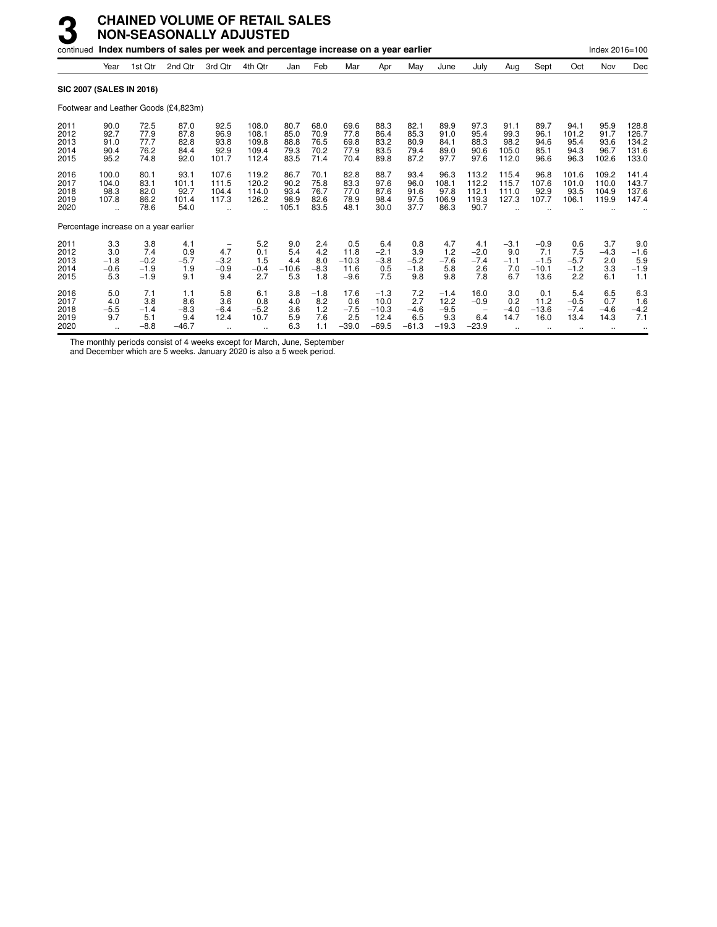| continued                            |                                                         |                                          | Index numbers of sales per week and percentage increase on a year earlier |                                       |                                               |                                       |                                      |                                          |                                              |                                        |                                            |                                                              |                                        |                                            |                                       | Index 2016=100                        |                                           |
|--------------------------------------|---------------------------------------------------------|------------------------------------------|---------------------------------------------------------------------------|---------------------------------------|-----------------------------------------------|---------------------------------------|--------------------------------------|------------------------------------------|----------------------------------------------|----------------------------------------|--------------------------------------------|--------------------------------------------------------------|----------------------------------------|--------------------------------------------|---------------------------------------|---------------------------------------|-------------------------------------------|
|                                      | Year                                                    | 1st Qtr                                  | 2nd Qtr                                                                   | 3rd Qtr                               | 4th Qtr                                       | Jan                                   | Feb                                  | Mar                                      | Apr                                          | May                                    | June                                       | July                                                         | Aug                                    | Sept                                       | Oct                                   | Nov                                   | Dec                                       |
| <b>SIC 2007 (SALES IN 2016)</b>      |                                                         |                                          |                                                                           |                                       |                                               |                                       |                                      |                                          |                                              |                                        |                                            |                                                              |                                        |                                            |                                       |                                       |                                           |
|                                      |                                                         |                                          | Footwear and Leather Goods (£4,823m)                                      |                                       |                                               |                                       |                                      |                                          |                                              |                                        |                                            |                                                              |                                        |                                            |                                       |                                       |                                           |
| 2011<br>2012<br>2013<br>2014<br>2015 | 90.0<br>92.7<br>91.0<br>90.4<br>95.2                    | 72.5<br>77.9<br>77.7<br>76.2<br>74.8     | 87.0<br>87.8<br>82.8<br>84.4<br>92.0                                      | 92.5<br>96.9<br>93.8<br>92.9<br>101.7 | 108.0<br>108.1<br>109.8<br>109.4<br>112.4     | 80.7<br>85.0<br>88.8<br>79.3<br>83.5  | 68.0<br>70.9<br>76.5<br>70.2<br>71.4 | 69.6<br>77.8<br>69.8<br>77.9<br>70.4     | 88.3<br>86.4<br>83.2<br>83.5<br>89.8         | 82.1<br>85.3<br>80.9<br>79.4<br>87.2   | 89.9<br>91.0<br>84.1<br>89.0<br>97.7       | 97.3<br>95.4<br>88.3<br>90.6<br>97.6                         | 91.1<br>99.3<br>98.2<br>105.0<br>112.0 | 89.7<br>96.1<br>94.6<br>85.1<br>96.6       | 94.1<br>101.2<br>95.4<br>94.3<br>96.3 | 95.9<br>91.7<br>93.6<br>96.7<br>102.6 | 128.8<br>126.7<br>134.2<br>131.6<br>133.0 |
| 2016<br>2017<br>2018<br>2019<br>2020 | 100.0<br>104.0<br>98.3<br>107.8<br>$\ddot{\phantom{a}}$ | 80.1<br>83.1<br>82.0<br>86.2<br>78.6     | 93.1<br>101.1<br>92.7<br>101.4<br>54.0                                    | 107.6<br>111.5<br>104.4<br>117.3      | 119.2<br>120.2<br>114.0<br>126.2<br>$\ddotsc$ | 86.7<br>90.2<br>93.4<br>98.9<br>105.1 | 70.1<br>75.8<br>76.7<br>82.6<br>83.5 | 82.8<br>83.3<br>77.0<br>78.9<br>48.1     | 88.7<br>97.6<br>87.6<br>98.4<br>30.0         | 93.4<br>96.0<br>91.6<br>97.5<br>37.7   | 96.3<br>108.1<br>97.8<br>106.9<br>86.3     | 113.2<br>112.2<br>112.1<br>119.3<br>90.7                     | 115.4<br>115.7<br>111.0<br>127.3       | 96.8<br>107.6<br>92.9<br>107.7             | 101.6<br>101.0<br>93.5<br>106.1       | 109.2<br>110.0<br>104.9<br>119.9      | 141.4<br>143.7<br>137.6<br>147.4          |
|                                      |                                                         | Percentage increase on a year earlier    |                                                                           |                                       |                                               |                                       |                                      |                                          |                                              |                                        |                                            |                                                              |                                        |                                            |                                       |                                       |                                           |
| 2011<br>2012<br>2013<br>2014<br>2015 | 3.3<br>3.0<br>$-1.8$<br>$-0.6$<br>5.3                   | 3.8<br>7.4<br>$-0.2$<br>$-1.9$<br>$-1.9$ | 4.1<br>0.9<br>$-5.7$<br>1.9<br>9.1                                        | 4.7<br>$-3.2$<br>$-0.9$<br>9.4        | 5.2<br>0.1<br>1.5<br>$-0.4$<br>2.7            | 9.0<br>5.4<br>4.4<br>$-10.6$<br>5.3   | 2.4<br>4.2<br>8.0<br>$-8.3$<br>1.8   | 0.5<br>11.8<br>$-10.3$<br>11.6<br>$-9.6$ | 6.4<br>$-2.1$<br>$-3.8$<br>0.5<br>7.5        | 0.8<br>3.9<br>$-5.2$<br>$-1.8$<br>9.8  | 4.7<br>1.2<br>$-7.6$<br>5.8<br>9.8         | 4.1<br>$-2.0$<br>$-7.4$<br>2.6<br>7.8                        | $-3.1$<br>9.0<br>$-1.1$<br>7.0<br>6.7  | $-0.9$<br>7.1<br>$-1.5$<br>$-10.1$<br>13.6 | 0.6<br>7.5<br>$-5.7$<br>$-1.2$<br>2.2 | 3.7<br>$-4.3$<br>2.0<br>3.3<br>6.1    | 9.0<br>$-1.6$<br>5.9<br>$-1.9$<br>1.1     |
| 2016<br>2017<br>2018<br>2019<br>2020 | 5.0<br>4.0<br>$-5.5$<br>9.7                             | 7.1<br>3.8<br>$-1.4$<br>5.1<br>$-8.8$    | 1.1<br>8.6<br>$-8.3$<br>9.4<br>$-46.7$                                    | 5.8<br>3.6<br>$-6.4$<br>12.4          | 6.1<br>0.8<br>$-5.2$<br>10.7                  | 3.8<br>4.0<br>3.6<br>5.9<br>6.3       | $-1.8$<br>8.2<br>1.2<br>7.6<br>1.1   | 17.6<br>0.6<br>$-7.5$<br>2.5<br>$-39.0$  | $-1.3$<br>10.0<br>$-10.3$<br>12.4<br>$-69.5$ | 7.2<br>2.7<br>$-4.6$<br>6.5<br>$-61.3$ | $-1.4$<br>12.2<br>$-9.5$<br>9.3<br>$-19.3$ | 16.0<br>$-0.9$<br>$\overline{\phantom{0}}$<br>6.4<br>$-23.9$ | 3.0<br>0.2<br>$-4.0$<br>14.7           | 0.1<br>11.2<br>$-13.6$<br>16.0             | 5.4<br>$-0.5$<br>$-7.4$<br>13.4       | 6.5<br>0.7<br>$-4.6$<br>14.3          | 6.3<br>1.6<br>$-4.2$<br>7.1               |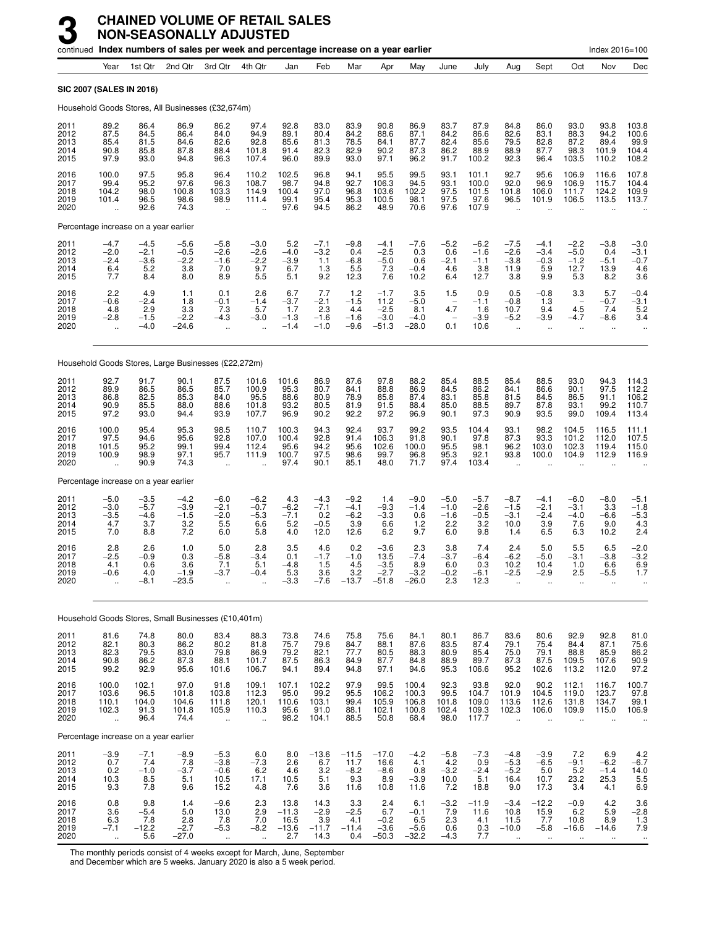|                                      |                                             |                                          |                                            | continued Index numbers of sales per week and percentage increase on a year earlier |                                                          |                                           |                                           |                                           |                                               |                                           |                                          |                                           |                                                           |                                              |                                           | Index 2016=100                              |                                                               |
|--------------------------------------|---------------------------------------------|------------------------------------------|--------------------------------------------|-------------------------------------------------------------------------------------|----------------------------------------------------------|-------------------------------------------|-------------------------------------------|-------------------------------------------|-----------------------------------------------|-------------------------------------------|------------------------------------------|-------------------------------------------|-----------------------------------------------------------|----------------------------------------------|-------------------------------------------|---------------------------------------------|---------------------------------------------------------------|
|                                      | Year                                        | 1st Qtr                                  | 2nd Qtr                                    | 3rd Otr                                                                             | 4th Qtr                                                  | Jan                                       | Feb                                       | Mar                                       | Apr                                           | May                                       | June                                     | July                                      | Aug                                                       | Sept                                         | Oct                                       | Nov                                         | Dec                                                           |
| <b>SIC 2007 (SALES IN 2016)</b>      |                                             |                                          |                                            |                                                                                     |                                                          |                                           |                                           |                                           |                                               |                                           |                                          |                                           |                                                           |                                              |                                           |                                             |                                                               |
|                                      |                                             |                                          |                                            | Household Goods Stores, All Businesses (£32,674m)                                   |                                                          |                                           |                                           |                                           |                                               |                                           |                                          |                                           |                                                           |                                              |                                           |                                             |                                                               |
| 2011<br>2012<br>2013<br>2014<br>2015 | 89.2<br>87.5<br>85.4<br>90.8<br>97.9        | 86.4<br>84.5<br>81.5<br>85.8<br>93.0     | 86.9<br>86.4<br>84.6<br>87.8<br>94.8       | 86.2<br>84.0<br>82.6<br>88.4<br>96.3                                                | 97.4<br>94.9<br>92.8<br>101.8<br>107.4                   | 92.8<br>89.1<br>85.6<br>91.4<br>96.0      | 83.0<br>80.4<br>81.3<br>82.3<br>89.9      | 83.9<br>84.2<br>78.5<br>82.9<br>93.0      | 90.8<br>88.6<br>84.1<br>90.2<br>97.1          | 86.9<br>87.1<br>87.7<br>87.3<br>96.2      | 83.7<br>84.2<br>82.4<br>86.2<br>91.7     | 87.9<br>86.6<br>85.6<br>88.9<br>100.2     | 84.8<br>82.6<br>79.5<br>88.9<br>92.3                      | 86.0<br>83.1<br>82.8<br>87.7<br>96.4         | 93.0<br>88.3<br>87.2<br>98.3<br>103.5     | 93.8<br>94.2<br>89.4<br>101.9<br>110.2      | 103.8<br>100.6<br>99.9<br>104.4<br>108.2                      |
| 2016<br>2017<br>2018<br>2019<br>2020 | 100.0<br>99.4<br>104.2<br>101.4             | 97.5<br>95.2<br>98.0<br>96.5<br>92.6     | 95.8<br>97.6<br>100.8<br>98.6<br>74.3      | 96.4<br>96.3<br>103.3<br>98.9<br>ä,                                                 | 110.2<br>108.7<br>114.9<br>111.4                         | 102.5<br>98.7<br>100.4<br>99.1<br>97.6    | 96.8<br>94.8<br>97.0<br>95.4<br>94.5      | 94.1<br>92.7<br>96.8<br>95.3<br>86.2      | 95.5<br>106.3<br>103.6<br>100.5<br>48.9       | 99.5<br>94.5<br>102.2<br>98.1<br>70.6     | 93.1<br>93.1<br>97.5<br>97.5<br>97.6     | 101.1<br>100.0<br>101.5<br>97.6<br>107.9  | 92.7<br>92.0<br>101.8<br>96.5                             | 95.6<br>96.9<br>106.0<br>101.9               | 106.9<br>106.9<br>111.7<br>106.5          | 116.6<br>115.7<br>124.2<br>113.5            | 107.8<br>104.4<br>109.9<br>113.7                              |
|                                      |                                             | Percentage increase on a year earlier    |                                            |                                                                                     |                                                          |                                           |                                           |                                           |                                               |                                           |                                          |                                           |                                                           |                                              |                                           |                                             |                                                               |
| 2011<br>2012<br>2013<br>2014<br>2015 | $-4.7$<br>$-2.0$<br>$-2.4$<br>6.4<br>7.7    | $-4.5$<br>$-2.1$<br>$-3.6$<br>5.2<br>8.4 | $-5.6$<br>$-0.5$<br>$-2.2$<br>3.8<br>8.0   | $-5.8$<br>$-2.6$<br>$-1.6$<br>7.0<br>8.9                                            | $-3.0$<br>$-2.6$<br>$-2.2$<br>9.7<br>5.5                 | 5.2<br>$-4.0$<br>$-3.9$<br>6.7<br>5.1     | $-7.1$<br>$-3.2$<br>1.1<br>1.3<br>9.2     | $-9.8$<br>0.4<br>$-6.8$<br>5.5<br>12.3    | $-4.1$<br>$-2.5$<br>$-5.0$<br>7.3<br>7.6      | $-7.6$<br>0.3<br>0.6<br>$-0.4$<br>10.2    | $-5.2$<br>0.6<br>$-2.1$<br>4.6<br>6.4    | $-6.2$<br>$-1.6$<br>$-1.1$<br>3.8<br>12.7 | $-7.5$<br>$-2.6$<br>$-3.8$<br>11.9<br>3.8                 | $-4.1$<br>$-3.4$<br>$-0.3$<br>5.9<br>9.9     | $-2.2$<br>$-5.0$<br>$-1.2$<br>12.7<br>5.3 | $-3.8$<br>0.4<br>$-5.1$<br>13.9<br>8.2      | $-3.0$<br>$-3.1$<br>$-0.7$<br>4.6<br>3.6                      |
| 2016<br>2017<br>2018<br>2019<br>2020 | 2.2<br>$-0.6$<br>4.8<br>$-2.8$              | 4.9<br>$-2.4$<br>2.9<br>$-1.5$<br>$-4.0$ | 1.1<br>1.8<br>3.3<br>$-2.2$<br>$-24.6$     | 0.1<br>$-0.1$<br>7.3<br>$-4.3$<br>$\ddot{\phantom{a}}$                              | 2.6<br>$-1.4$<br>5.7<br>$-3.0$<br>$\ddot{\phantom{a}}$   | 6.7<br>$-3.7$<br>1.7<br>$-1.3$<br>$-1.4$  | 7.7<br>$-2.1$<br>2.3<br>$-1.6$<br>$-1.0$  | 1.2<br>$-1.5$<br>4.4<br>$-1.6$<br>$-9.6$  | $-1.7$<br>11.2<br>$-2.5$<br>$-3.0$<br>$-51.3$ | 3.5<br>$-5.0$<br>8.1<br>$-4.0$<br>$-28.0$ | 1.5<br>4.7<br>0.1                        | 0.9<br>$-1.1$<br>1.6<br>$-3.9$<br>10.6    | 0.5<br>$-0.8$<br>10.7<br>$-5.2$<br>$\ddot{\phantom{a}}$   | $-0.8$<br>1.3<br>9.4<br>$-3.9$<br>$\ddotsc$  | 3.3<br>4.5<br>$-4.7$                      | 5.7<br>$-0.7$<br>7.4<br>$-8.6$              | $-0.4$<br>$-3.1$<br>5.2<br>3.4                                |
|                                      |                                             |                                          |                                            | Household Goods Stores, Large Businesses (£22,272m)                                 |                                                          |                                           |                                           |                                           |                                               |                                           |                                          |                                           |                                                           |                                              |                                           |                                             |                                                               |
| 2011<br>2012<br>2013<br>2014<br>2015 | 92.7<br>89.9<br>86.8<br>90.9<br>97.2        | 91.7<br>86.5<br>82.5<br>85.5<br>93.0     | 90.1<br>86.5<br>85.3<br>88.0<br>94.4       | 87.5<br>85.7<br>84.0<br>88.6<br>93.9                                                | 101.6<br>100.9<br>95.5<br>101.8<br>107.7                 | 101.6<br>95.3<br>88.6<br>93.2<br>96.9     | 86.9<br>80.7<br>80.9<br>80.5<br>90.2      | 87.6<br>84.1<br>78.9<br>81.9<br>92.2      | 97.8<br>88.8<br>85.8<br>91.5<br>97.2          | 88.2<br>86.9<br>87.4<br>88.4<br>96.9      | 85.4<br>84.5<br>83.1<br>85.0<br>90.1     | 88.5<br>86.2<br>85.8<br>88.5<br>97.3      | 85.4<br>84.1<br>81.5<br>89.7<br>90.9                      | 88.5<br>86.6<br>84.5<br>87.8<br>93.5         | 93.0<br>90.1<br>86.5<br>93.1<br>99.0      | 94.3<br>97.5<br>91.1<br>99.2<br>109.4       | 114.3<br>112.2<br>106.2<br>110.7<br>113.4                     |
| 2016<br>2017<br>2018<br>2019<br>2020 | 100.0<br>97.5<br>101.5<br>100.9<br>ă,       | 95.4<br>94.6<br>95.2<br>98.9<br>90.9     | 95.3<br>95.6<br>99.1<br>97.1<br>74.3       | 98.5<br>92.8<br>99.4<br>95.7<br>$\ddot{\phantom{a}}$                                | 110.7<br>107.0<br>112.4<br>111.9                         | 100.3<br>100.4<br>95.6<br>100.7<br>97.4   | 94.3<br>92.8<br>94.2<br>97.5<br>90.1      | 92.4<br>91.4<br>95.6<br>98.6<br>85.1      | 93.7<br>106.3<br>102.6<br>99.7<br>48.0        | 99.2<br>91.8<br>100.0<br>96.8<br>71.7     | 93.5<br>90.1<br>95.5<br>95.3<br>97.4     | 104.4<br>97.8<br>98.1<br>92.1<br>103.4    | 93.1<br>87.3<br>96.2<br>93.8                              | 98.2<br>$93.\overline{3}$<br>103.0<br>100.0  | 104.5<br>101.2<br>102.3<br>104.9          | 116.5<br>112.0<br>119.4<br>112.9            | 111.1<br>107.5<br>115.0<br>116.9                              |
|                                      |                                             | Percentage increase on a year earlier    |                                            |                                                                                     |                                                          |                                           |                                           |                                           |                                               |                                           |                                          |                                           |                                                           |                                              |                                           |                                             |                                                               |
| 2011<br>2012<br>2013<br>2014<br>2015 | $-5.0$<br>$-3.0$<br>$-3.5$<br>4.7<br>7.0    | $-3.5$<br>$-5.7$<br>$-4.6$<br>3.7<br>8.8 | $-4.2$<br>$-3.9$<br>$-1.5$<br>3.2<br>7.2   | $-6.0$<br>$-2.1$<br>$-2.0$<br>5.5<br>6.0                                            | $-6.2$<br>$-0.7$<br>$-5.3$<br>6.6<br>5.8                 | 4.3<br>$-6.2$<br>$-7.1$<br>5.2<br>4.0     | $-4.3$<br>$-7.1$<br>0.2<br>$-0.5$<br>12.0 | $-9.2$<br>$-4.1$<br>$-6.2$<br>3.9<br>12.6 | 1.4<br>$-9.3$<br>$-3.3$<br>6.6<br>6.2         | $-9.0$<br>$-1.4$<br>0.6<br>$1.2$<br>9.7   | $-5.0$<br>$-1.0$<br>$-1.6$<br>2.2<br>6.0 | $-5.7$<br>$-2.6$<br>$-0.5$<br>3.2<br>9.8  | $-8.7$<br>$-1.5$<br>$-3.1$<br>10.0<br>1.4                 | $-4.1$<br>$-2.1$<br>$-2.4$<br>3.9<br>6.5     | $-6.0$<br>$-3.1$<br>$-4.0$<br>7.6<br>6.3  | $-8.0$<br>3.3<br>$-6.6$<br>9.0<br>10.2      | $-5.1$<br>$-1.8$<br>$-5.\overline{3}$<br>$\frac{4.3}{2.4}$    |
| 2016<br>2017<br>2018<br>2019<br>2020 | 2.8<br>$-2.5$<br>4.1<br>$-0.6$<br>$\ddotsc$ | 2.6<br>$-0.9$<br>0.6<br>4.0<br>$-8.1$    | 1.0<br>0.3<br>3.6<br>$-1.9$<br>$-23.5$     | 5.0<br>$-5.8$<br>7.1<br>$-3.7$<br>÷.                                                | 2.8<br>$-3.4$<br>5.1<br>$-0.4$                           | 3.5<br>0.1<br>$-4.8$<br>5.3<br>$-3.3$     | 4.6<br>$-1.7$<br>1.5<br>3.6<br>$-7.6$     | 0.2<br>$-1.0$<br>4.5<br>3.2<br>$-13.7$    | $-3.6$<br>13.5<br>$-3.5$<br>$-2.7$<br>$-51.8$ | 2.3<br>$-7.4$<br>8.9<br>$-3.2$<br>$-26.0$ | 3.8<br>$-3.7$<br>6.0<br>$-0.2$<br>2.3    | 7.4<br>$-6.4$<br>0.3<br>$-6.1$<br>12.3    | 2.4<br>$-6.2$<br>10.2<br>$-2.5$<br>$\ddotsc$              | 5.0<br>$-5.0$<br>10.4<br>-2.9                | 5.5<br>$-3.1$<br>1.0<br>2.5<br>$\ddotsc$  | 6.5<br>$-3.8$<br>6.6<br>$-5.5$<br>$\ddotsc$ | $-2.0$<br>$-3.2$<br>6.9<br>1.7                                |
|                                      |                                             |                                          |                                            | Household Goods Stores, Small Businesses (£10,401m)                                 |                                                          |                                           |                                           |                                           |                                               |                                           |                                          |                                           |                                                           |                                              |                                           |                                             |                                                               |
| 2011<br>2012<br>2013<br>2014<br>2015 | 81.6<br>82.1<br>82.3<br>90.8<br>99.2        | 74.8<br>80.3<br>79.5<br>86.2<br>92.9     | $80.0$<br>$86.2$<br>83.0<br>87.3<br>95.6   | 83.4<br>80.2<br>79.8<br>88.1<br>101.6                                               | 88.3<br>81.8<br>86.9<br>101.7<br>106.7                   | 73.8<br>75.7<br>79.2<br>87.5<br>94.1      | 74.6<br>79.6<br>82.1<br>86.3<br>89.4      | 75.8<br>84.7<br>77.7<br>84.9<br>94.8      | 75.6<br>88.1<br>80.5<br>87.7<br>97.1          | 84.1<br>87.6<br>88.3<br>84.8<br>94.6      | 80.1<br>83.5<br>80.9<br>88.9<br>95.3     | 86.7<br>87.4<br>85.4<br>89.7<br>106.6     | 83.6<br>79.1<br>75.0<br>87.3<br>95.2                      | 80.6<br>75.4<br>79.1<br>87.5<br>102.6        | 92.9<br>84.4<br>88.8<br>109.5<br>113.2    | 92.8<br>87.1<br>85.9<br>107.6<br>112.0      | 81.0<br>75.6<br>86.2<br>90.9<br>97.2                          |
| 2016<br>2017<br>2018<br>2019<br>2020 | 100.0<br>103.6<br>110.1<br>102.3<br>ă,      | 102.1<br>96.5<br>104.0<br>91.3<br>96.4   | 97.0<br>101.8<br>104.6<br>101.8<br>74.4    | 91.8<br>103.8<br>111.8<br>105.9<br>$\ddotsc$                                        | 109.1<br>112.3<br>120.1<br>110.3<br>$\ddot{\phantom{a}}$ | 107.1<br>95.0<br>110.6<br>95.6<br>98.2    | 102.2<br>99.2<br>103.1<br>91.0<br>104.1   | 97.9<br>95.5<br>99.4<br>88.1<br>88.5      | 99.5<br>106.2<br>105.9<br>102.1<br>50.8       | 100.4<br>100.3<br>106.8<br>100.8<br>68.4  | 92.3<br>99.5<br>101.8<br>102.4<br>98.0   | 93.8<br>104.7<br>109.0<br>109.3<br>117.7  | $92.0$<br>101.9<br>113.6<br>102.3<br>$\ddot{\phantom{a}}$ | 90.2<br>104.5<br>112.6<br>106.0<br>$\ddotsc$ | 112.1<br>119.0<br>131.8<br>109.9          | 116.7<br>123.7<br>134.7<br>115.0            | $\begin{array}{c} 100.7 \\ 97.8 \\ 99.1 \end{array}$<br>106.9 |
|                                      |                                             | Percentage increase on a year earlier    |                                            |                                                                                     |                                                          |                                           |                                           |                                           |                                               |                                           |                                          |                                           |                                                           |                                              |                                           |                                             |                                                               |
| 2011<br>2012<br>2013<br>2014<br>2015 | $-3.9$<br>0.7<br>0.2<br>10.3<br>9.3         | $-7.1$<br>7.4<br>$-1.0$<br>8.5<br>7.8    | $-8.9$<br>7.8<br>$-3.7$<br>5.1<br>9.6      | $-5.3$<br>$-3.8$<br>$-0.6$<br>10.5<br>15.2                                          | 6.0<br>$-7.3$<br>6.2<br>17.1<br>4.8                      | 8.0<br>2.6<br>4.6<br>10.5<br>7.6          | $-13.6$<br>6.7<br>3.2<br>5.1<br>3.6       | $-11.5$<br>11.7<br>$-8.2$<br>9.3<br>11.6  | $-17.0$<br>16.6<br>$-8.6$<br>8.9<br>10.8      | $-4.2$<br>4.1<br>0.8<br>$-3.9$<br>11.6    | $-5.8$<br>4.2<br>$-3.2$<br>10.0<br>7.2   | $-7.3$<br>0.9<br>$-2.4$<br>5.1<br>18.8    | $-4.8$<br>$-5.3$<br>$-5.2$<br>16.4<br>9.0                 | $-3.9$<br>$-6.5$<br>5.0<br>10.7<br>17.3      | 7.2<br>$-9.1$<br>5.2<br>23.2<br>3.4       | 6.9<br>$-6.2$<br>$-1.4$<br>25.3<br>4.1      | $4.2 - 6.7$<br>14.0<br>5.5<br>6.9                             |
| 2016<br>2017<br>2018<br>2019<br>2020 | 0.8<br>3.6<br>6.3<br>$-7.1$                 | 9.8<br>$-5.4$<br>7.8<br>$-12.2$<br>5.6   | 1.4<br>5.0<br>$2.8\,$<br>$-2.7$<br>$-27.0$ | $-9.6$<br>13.0<br>7.8<br>$-5.3$                                                     | 2.3<br>$2.\overline{9}$<br>7.0<br>$-8.2$                 | 13.8<br>$-11.3$<br>16.5<br>$-13.6$<br>2.7 | 14.3<br>$-2.9$<br>3.9<br>$-11.7$<br>14.3  | 3.3<br>$-2.5$<br>4.1<br>$-11.4$<br>0.4    | 2.4<br>6.7<br>$-0.2$<br>$-3.6$<br>$-50.3$     | 6.1<br>$-0.1$<br>6.5<br>$-5.6$<br>$-32.2$ | $-3.2$<br>7.9<br>2.3<br>0.6<br>$-4.3$    | $-11.9$<br>11.6<br>4.1<br>0.3<br>7.7      | $-3.4$<br>10.8<br>11.5<br>$-10.0$                         | $-12.2$<br>15.9<br>7.7<br>$-5.8$             | $-0.9$<br>6.2<br>10.8<br>$-16.6$          | 4.2<br>5.9<br>8.9<br>$-14.6$                | 3.6<br>$-2.8$<br>1.3<br>7.9<br>$\ddotsc$                      |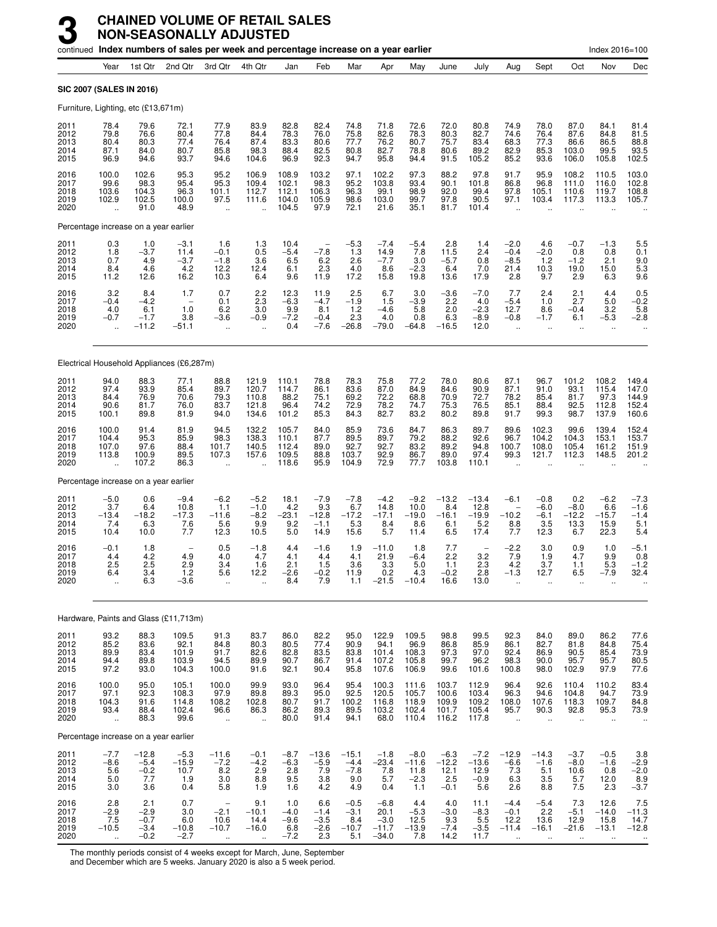|                                      |                                                         | continued Index numbers of sales per week and percentage increase on a year earlier |                                                           |                                                                    |                                                       |                                              |                                                          |                                           |                                                |                                            |                                            |                                           |                                                             |                                                          |                                               | Index 2016=100                                      |                                               |
|--------------------------------------|---------------------------------------------------------|-------------------------------------------------------------------------------------|-----------------------------------------------------------|--------------------------------------------------------------------|-------------------------------------------------------|----------------------------------------------|----------------------------------------------------------|-------------------------------------------|------------------------------------------------|--------------------------------------------|--------------------------------------------|-------------------------------------------|-------------------------------------------------------------|----------------------------------------------------------|-----------------------------------------------|-----------------------------------------------------|-----------------------------------------------|
|                                      | Year                                                    | 1st Qtr                                                                             | 2nd Qtr                                                   | 3rd Qtr                                                            | 4th Qtr                                               | Jan                                          | Feb                                                      | Mar                                       | Apr                                            | May                                        | June                                       | July                                      | Aug                                                         | Sept                                                     | Oct                                           | Nov                                                 | Dec                                           |
| SIC 2007 (SALES IN 2016)             |                                                         |                                                                                     |                                                           |                                                                    |                                                       |                                              |                                                          |                                           |                                                |                                            |                                            |                                           |                                                             |                                                          |                                               |                                                     |                                               |
|                                      |                                                         | Furniture, Lighting, etc (£13,671m)                                                 |                                                           |                                                                    |                                                       |                                              |                                                          |                                           |                                                |                                            |                                            |                                           |                                                             |                                                          |                                               |                                                     |                                               |
| 2011<br>2012<br>2013<br>2014<br>2015 | 78.4<br>79.8<br>80.4<br>87.1<br>96.9                    | 79.6<br>76.6<br>80.3<br>84.0<br>94.6                                                | 72.1<br>80.4<br>77.4<br>80.7<br>93.7                      | 77.9<br>77.8<br>76.4<br>85.8<br>94.6                               | 83.9<br>84.4<br>87.4<br>98.3<br>104.6                 | 82.8<br>78.3<br>83.3<br>88.4<br>96.9         | 82.4<br>76.0<br>80.6<br>82.5<br>92.3                     | 74.8<br>75.8<br>77.7<br>80.8<br>94.7      | 71.8<br>82.6<br>76.2<br>82.7<br>95.8           | 72.6<br>78.3<br>80.7<br>78.8<br>94.4       | 72.0<br>80.3<br>75.7<br>80.6<br>91.5       | 80.8<br>82.7<br>83.4<br>89.2<br>105.2     | 74.9<br>74.6<br>68.3<br>82.9<br>85.2                        | 78.0<br>76.4<br>77.3<br>85.3<br>93.6                     | 87.0<br>87.6<br>86.6<br>103.0<br>106.0        | 84.1<br>84.8<br>86.5<br>99.5<br>105.8               | 81.4<br>81.5<br>88.8<br>93.5<br>102.5         |
| 2016<br>2017<br>2018<br>2019<br>2020 | 100.0<br>99.6<br>103.6<br>102.9<br>$\ddot{\phantom{a}}$ | 102.6<br>98.3<br>104.3<br>102.5<br>91.0                                             | 95.3<br>95.4<br>96.3<br>100.0<br>48.9                     | 95.2<br>95.3<br>101.1<br>97.5<br>$\ddot{\phantom{a}}$              | 106.9<br>109.4<br>112.7<br>111.6<br>$\ddotsc$         | 108.9<br>102.1<br>112.1<br>104.0<br>104.5    | 103.2<br>98.3<br>106.3<br>105.9<br>97.9                  | 97.1<br>95.2<br>96.3<br>98.6<br>72.1      | 102.2<br>103.8<br>99.1<br>103.0<br>21.6        | 97.3<br>93.4<br>98.9<br>99.7<br>35.1       | 88.2<br>90.1<br>92.0<br>97.8<br>81.7       | 97.8<br>101.8<br>99.4<br>90.5<br>101.4    | 91.7<br>86.8<br>97.8<br>97.1<br>$\ddot{\phantom{a}}$        | 95.9<br>96.8<br>105.1<br>103.4                           | 108.2<br>111.0<br>110.6<br>117.3              | 110.5<br>116.0<br>119.7<br>113.3                    | 103.0<br>102.8<br>108.8<br>105.7              |
|                                      |                                                         | Percentage increase on a year earlier                                               |                                                           |                                                                    |                                                       |                                              |                                                          |                                           |                                                |                                            |                                            |                                           |                                                             |                                                          |                                               |                                                     |                                               |
| 2011<br>2012<br>2013<br>2014<br>2015 | 0.3<br>1.8<br>0.7<br>8.4<br>11.2                        | 1.0<br>$-3.7$<br>4.9<br>4.6<br>12.6                                                 | $-3.1$<br>11.4<br>$-3.7$<br>4.2<br>16.2                   | 1.6<br>$-0.1$<br>$-1.8$<br>12.2<br>10.3                            | 1.3<br>0.5<br>3.6<br>12.4<br>6.4                      | 10.4<br>$-5.4$<br>6.5<br>6.1<br>9.6          | $\overline{\phantom{0}}$<br>$-7.8$<br>6.2<br>2.3<br>11.9 | $-5.3$<br>1.3<br>2.6<br>4.0<br>17.2       | $-7.4$<br>14.9<br>$-7.7$<br>8.6<br>15.8        | -5.4<br>7.8<br>3.0<br>$-2.3$<br>19.8       | 2.8<br>11.5<br>$-5.7$<br>6.4<br>13.6       | 1.4<br>2.4<br>0.8<br>7.0<br>17.9          | $-2.0$<br>$-0.4$<br>$-8.5$<br>21.4<br>2.8                   | 4.6<br>$-2.0$<br>1.2<br>10.3<br>9.7                      | $-0.7$<br>0.8<br>$-1.2$<br>19.0<br>2.9        | $-1.3$<br>0.8<br>2.1<br>15.0<br>6.3                 | 5.5<br>0.1<br>9.0<br>5.3<br>9.6               |
| 2016<br>2017<br>2018<br>2019<br>2020 | 3.2<br>$-0.4$<br>4.0<br>$-0.7$                          | 8.4<br>$-4.2$<br>6.1<br>$-1.7$<br>$-11.2$                                           | 1.7<br>$\overline{a}$<br>1.0<br>3.8<br>$-51.1$            | 0.7<br>0.1<br>6.2<br>$-3.6$<br>$\ddotsc$                           | 2.2<br>2.3<br>3.0<br>$-0.9$<br>$\ddot{\phantom{a}}$   | 12.3<br>$-6.3$<br>9.9<br>$-7.2$<br>0.4       | 11.9<br>$-4.7$<br>8.1<br>$-0.4$<br>$-7.6$                | 2.5<br>$-1.9$<br>1.2<br>2.3<br>$-26.8$    | 6.7<br>1.5<br>$-4.6$<br>4.0<br>$-79.0$         | 3.0<br>$-3.9$<br>5.8<br>0.8<br>$-64.8$     | -3.6<br>2.2<br>2.0<br>6.3<br>$-16.5$       | $-7.0$<br>4.0<br>$-2.3$<br>$-8.9$<br>12.0 | 7.7<br>$-5.4$<br>12.7<br>$-0.8$<br>$\ddotsc$                | 2.4<br>1.0<br>8.6<br>$-1.7$<br>$\ddotsc$                 | 2.1<br>2.7<br>$-0.4$<br>6.1<br>$\cdot$ .      | 4.4<br>5.0<br>3.2<br>$-5.3$<br>$\ldots$             | 0.5<br>$-0.2$<br>5.8<br>$-2.8$                |
|                                      |                                                         | Electrical Household Appliances (£6,287m)                                           |                                                           |                                                                    |                                                       |                                              |                                                          |                                           |                                                |                                            |                                            |                                           |                                                             |                                                          |                                               |                                                     |                                               |
| 2011<br>2012<br>2013<br>2014<br>2015 | 94.0<br>97.4<br>84.4<br>90.6<br>100.1                   | 88.3<br>93.9<br>76.9<br>81.7<br>89.8                                                | 77.1<br>85.4<br>70.6<br>76.0<br>81.9                      | 88.8<br>89.7<br>79.3<br>83.7<br>94.0                               | 121.9<br>120.7<br>110.8<br>121.8<br>134.6             | 110.1<br>114.7<br>88.2<br>96.4<br>101.2      | 78.8<br>86.1<br>75.1<br>74.2<br>85.3                     | 78.3<br>83.6<br>69.2<br>72.9<br>84.3      | 75.8<br>87.0<br>72.2<br>78.2<br>82.7           | 77.2<br>84.9<br>68.8<br>74.7<br>83.2       | 78.0<br>84.6<br>70.9<br>75.3<br>80.2       | 80.6<br>90.9<br>72.7<br>76.5<br>89.8      | 87.1<br>87.1<br>78.2<br>85.1<br>91.7                        | 96.7<br>91.0<br>85.4<br>88.4<br>99.3                     | 101.2<br>93.1<br>81.7<br>92.5<br>98.7         | 108.2<br>115.4<br>97.3<br>112.8<br>137.9            | 149.4<br>147.0<br>144.9<br>152.4<br>160.6     |
| 2016<br>2017<br>2018<br>2019<br>2020 | 100.0<br>104.4<br>107.0<br>113.8<br>ă,                  | 91.4<br>95.3<br>97.6<br>100.9<br>107.2                                              | 81.9<br>85.9<br>88.4<br>89.5<br>86.3                      | 94.5<br>98.3<br>101.7<br>107.3<br>ä.                               | 132.2<br>138.3<br>140.5<br>157.6                      | 105.7<br>110.1<br>112.4<br>109.5<br>118.6    | 84.0<br>87.7<br>89.0<br>88.8<br>95.9                     | 85.9<br>89.5<br>92.7<br>103.7<br>104.9    | 73.6<br>89.7<br>92.7<br>92.9<br>72.9           | 84.7<br>79.2<br>83.2<br>86.7<br>77.7       | 86.3<br>88.2<br>89.2<br>89.0<br>103.8      | 89.7<br>92.6<br>94.8<br>97.4<br>110.1     | 89.6<br>96.7<br>100.7<br>99.3                               | 102.3<br>104.2<br>108.0<br>121.7                         | 99.6<br>104.3<br>105.4<br>112.3               | 139.4<br>153.1<br>161.2<br>148.5                    | 152.4<br>153.7<br>151.9<br>201.2              |
|                                      |                                                         | Percentage increase on a year earlier                                               |                                                           |                                                                    |                                                       |                                              |                                                          |                                           |                                                |                                            |                                            |                                           |                                                             |                                                          |                                               |                                                     |                                               |
| 2011<br>2012<br>2013<br>2014<br>2015 | $-5.0$<br>3.7<br>-13.4<br>7.4<br>10.4                   | 0.6<br>6.4<br>$-18.2$<br>6.3<br>10.0                                                | $-9.4$<br>10.8<br>$-17.3$<br>7.6<br>7.7                   | $-6.2$<br>1.1<br>$-11.6$<br>5.6<br>12.3                            | $-5.2$<br>$-1.0$<br>$-8.2$<br>9.9<br>10.5             | 18.1<br>4.2<br>$-23.1$<br>9.2<br>5.0         | $-7.9$<br>9.3<br>$-12.8$<br>$-1.1$<br>14.9               | $-7.8$<br>6.7<br>$-17.2$<br>5.3<br>15.6   | $-4.2$<br>14.8<br>$-17.1$<br>8.4<br>5.7        | $-9.2$<br>10.0<br>$-19.0$<br>8.6<br>11.4   | $-13.2$<br>8.4<br>$-16.1$<br>6.1<br>6.5    | $-13.4$<br>12.8<br>$-19.9$<br>5.2<br>17.4 | $-6.1$<br>$-10.2$<br>8.8<br>7.7                             | $-0.8$<br>$-6.0$<br>$-6.1$<br>3.5<br>12.3                | 0.2<br>$-8.0$<br>$-12.2$<br>13.3<br>6.7       | $-6.2$<br>6.6<br>$-15.7$<br>15.9<br>22.3            | $-7.3$<br>$-1.6$<br>$-1.4$<br>5.1<br>5.4      |
| 2016<br>2017<br>2018<br>2019<br>2020 | $-0.1$<br>4.4<br>2.5<br>6.4<br>$\ddot{\phantom{a}}$     | 1.8<br>4.2<br>2.5<br>3.4<br>6.3                                                     | $\overline{\phantom{0}}$<br>4.9<br>2.9<br>$1.2$<br>$-3.6$ | 0.5<br>4.0<br>3.4<br>5.6<br>$\ddot{\phantom{1}}$                   | $-1.8$<br>4.7<br>1.6<br>12.2<br>$\ddot{\phantom{a}}$  | 4.4<br>4.1<br>2.1<br>$-2.6$<br>8.4           | $-1.6$<br>4.4<br>1.5<br>$-0.2$<br>7.9                    | 1.9<br>4.1<br>3.6<br>11.9<br>1.1          | $-11.0$<br>21.9<br>3.3<br>0.2<br>$-21.5$       | 1.8<br>$-6.4$<br>5.0<br>4.3<br>$-10.4$     | 7.7<br>2.2<br>1.1<br>$-0.2$<br>16.6        | 3.2<br>2.3<br>2.8<br>13.0                 | $-2.2$<br>7.9<br>4.2<br>$-1.3$<br>$\ddot{\phantom{a}}$      | 3.0<br>1.9<br>3.7<br>12.7<br>$\ddotsc$                   | 0.9<br>4.7<br>1.1<br>6.5<br>$\cdot$ .         | 1.0<br>9.9<br>5.3<br>$-7.9$<br>$\ddot{\phantom{a}}$ | $-5.1$<br>0.8<br>$-1.2$<br>32.4               |
|                                      |                                                         | Hardware, Paints and Glass (£11,713m)                                               |                                                           |                                                                    |                                                       |                                              |                                                          |                                           |                                                |                                            |                                            |                                           |                                                             |                                                          |                                               |                                                     |                                               |
| 2011<br>2012<br>2013<br>2014<br>2015 | 93.2<br>85.2<br>89.9<br>94.4<br>97.2                    | 88.3<br>83.6<br>83.4<br>89.8<br>93.0                                                | 109.5<br>$92.1$<br>101.9<br>103.9<br>104.3                | 91.3<br>84.8<br>91.7<br>94.5<br>100.0                              | 83.7<br>$80.3$<br>$82.6$<br>89.9<br>91.6              | 86.0<br>$80.5$<br>$82.8$<br>90.7<br>92.1     | 82.2<br>77.4<br>83.5<br>86.7<br>90.4                     | 95.0<br>90.9<br>83.8<br>91.4<br>95.8      | 122.9<br>94.1<br>101.4<br>107.2<br>107.6       | 109.5<br>96.9<br>108.3<br>105.8<br>106.9   | 98.8<br>86.8<br>97.3<br>99.7<br>99.6       | 99.5<br>85.9<br>97.0<br>96.2<br>101.6     | 92.3<br>86.1<br>92.4<br>98.3<br>100.8                       | 84.0<br>82.7<br>86.9<br>90.0<br>98.0                     | 89.0<br>81.8<br>90.5<br>95.7<br>102.9         | 86.2<br>84.8<br>85.4<br>95.7<br>97.9                | 77.6<br>75.4<br>73.9<br>80.5<br>77.6          |
| 2016<br>2017<br>2018<br>2019<br>2020 | 100.0<br>97.1<br>104.3<br>93.4<br>$\ddotsc$             | 95.0<br>92.3<br>91.6<br>88.4<br>88.3                                                | 105.1<br>108.3<br>114.8<br>102.4<br>99.6                  | 100.0<br>97.9<br>108.2<br>96.6<br>$\mathcal{L}_{\mathbf{r}}$       | 99.9<br>89.8<br>102.8<br>86.3<br>$\ddot{\phantom{a}}$ | 93.0<br>89.3<br>80.7<br>86.2<br>80.0         | 96.4<br>95.0<br>91.7<br>89.3<br>91.4                     | 95.4<br>92.5<br>100.2<br>89.5<br>94.1     | 100.3<br>120.5<br>116.8<br>103.2<br>68.0       | 111.6<br>105.7<br>118.9<br>102.4<br>110.4  | 103.7<br>100.6<br>109.9<br>101.7<br>116.2  | 112.9<br>103.4<br>109.2<br>105.4<br>117.8 | 96.4<br>96.3<br>108.0<br>95.7<br>$\mathbf{r}$ .             | 92.6<br>94.6<br>107.6<br>90.3<br>$\ddotsc$               | 110.4<br>104.8<br>118.3<br>92.8<br>$\ddotsc$  | 110.2<br>94.7<br>109.7<br>95.3<br>$\ddotsc$         | 83.4<br>73.9<br>84.8<br>73.9<br>$\cdot$ .     |
|                                      |                                                         | Percentage increase on a year earlier                                               |                                                           |                                                                    |                                                       |                                              |                                                          |                                           |                                                |                                            |                                            |                                           |                                                             |                                                          |                                               |                                                     |                                               |
| 2011<br>2012<br>2013<br>2014<br>2015 | $-7.7$<br>$-8.6$<br>5.6<br>5.0<br>3.0                   | $-12.8$<br>$-5.4$<br>$-0.2$<br>7.7<br>3.6                                           | $-5.3$<br>$-15.9$<br>10.7<br>1.9<br>0.4                   | $-11.6$<br>$-7.2$<br>8.2<br>3.0<br>5.8                             | $-0.1$<br>$-4.2$<br>2.9<br>$8.\overline{8}$<br>1.9    | $-8.7$<br>$-6.3$<br>$\frac{2.8}{9.5}$<br>1.6 | $-13.6$<br>$-5.9$<br>7.9<br>$3.\overline{8}$<br>4.2      | $-15.1$<br>$-4.4$<br>$-7.8$<br>9.0<br>4.9 | $-1.8$<br>$-23.4$<br>7.8<br>5.7<br>0.4         | $-8.0$<br>$-11.6$<br>11.8<br>$-2.3$<br>1.1 | $-6.3$<br>$-12.2$<br>12.1<br>2.5<br>$-0.1$ | $-7.2$<br>$-13.6$<br>$12.9 - 0.9$<br>5.6  | $-12.9$<br>$-6.6$<br>7.3<br>6.3<br>2.6                      | $-14.3$<br>$-1.6$<br>5.1<br>3.5<br>8.8                   | $-3.7$<br>$-8.0$<br>10.6<br>5.7<br>7.5        | $-0.5$<br>$-1.6$<br>0.8<br>12.0<br>2.3              | $\frac{3.8}{-2.9}$<br>$-2.0$<br>8.9<br>$-3.7$ |
| 2016<br>2017<br>2018<br>2019<br>2020 | 2.8<br>$-2.9$<br>7.5<br>$-10.5$<br>$\ddotsc$            | 2.1<br>$-2.9$<br>$-0.7$<br>$-3.4$<br>$-0.2$                                         | 0.7<br>3.0<br>6.0<br>$-10.8$<br>$-2.7$                    | $\overline{\phantom{a}}$<br>$-2.1$<br>10.6<br>$-10.7$<br>$\ddotsc$ | 9.1<br>$-10.1$<br>14.4<br>$-16.0$<br>$\mathbf{r}$     | 1.0<br>$-4.0$<br>$-9.6$<br>6.8<br>$-7.2$     | 6.6<br>$-1.4$<br>$-3.5$<br>$-2.6$<br>2.3                 | $-0.5$<br>$-3.1$<br>8.4<br>$-10.7$<br>5.1 | $-6.8$<br>20.1<br>$-3.0$<br>$-11.7$<br>$-34.0$ | 4.4<br>$-5.3$<br>$12.5 - 13.9$<br>7.8      | 4.0<br>$-3.0$<br>9.3<br>$-7.4$<br>14.2     | 11.1<br>$-8.3$<br>5.5<br>$-3.5$<br>11.7   | $-4.4$<br>$-0.1$<br>12.2<br>$-11.4$<br>$\ddot{\phantom{a}}$ | $-5.4$<br>2.2<br>13.6<br>$-16.1$<br>$\ddot{\phantom{a}}$ | 7.3<br>$-5.1$<br>12.9<br>$-21.6$<br>$\cdot$ . | 12.6<br>$-14.0$<br>15.8<br>$-13.1$<br>$\ddotsc$     | $7.5 - 11.3$<br>14.7<br>$-12.8$               |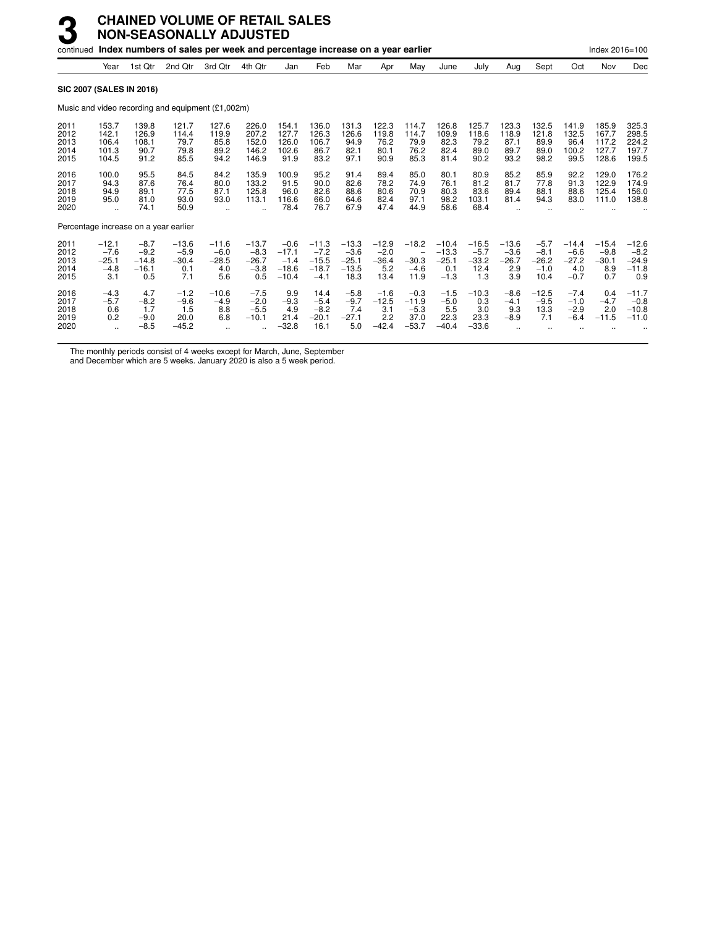|                                      |                                               |                                               | continued Index numbers of sales per week and percentage increase on a year earlier |                                                      |                                               |                                                   |                                                   |                                                 |                                             |                                                           |                                                |                                             |                                            |                                               |                                               | Index 2016=100                             |                                                |
|--------------------------------------|-----------------------------------------------|-----------------------------------------------|-------------------------------------------------------------------------------------|------------------------------------------------------|-----------------------------------------------|---------------------------------------------------|---------------------------------------------------|-------------------------------------------------|---------------------------------------------|-----------------------------------------------------------|------------------------------------------------|---------------------------------------------|--------------------------------------------|-----------------------------------------------|-----------------------------------------------|--------------------------------------------|------------------------------------------------|
|                                      | Year                                          | 1st Qtr                                       | 2nd Otr                                                                             | 3rd Qtr                                              | 4th Qtr                                       | Jan                                               | Feb                                               | Mar                                             | Apr                                         | May                                                       | June                                           | July                                        | Aug                                        | Sept                                          | Oct                                           | Nov                                        | Dec                                            |
|                                      |                                               | <b>SIC 2007 (SALES IN 2016)</b>               |                                                                                     |                                                      |                                               |                                                   |                                                   |                                                 |                                             |                                                           |                                                |                                             |                                            |                                               |                                               |                                            |                                                |
|                                      |                                               |                                               | Music and video recording and equipment (£1,002m)                                   |                                                      |                                               |                                                   |                                                   |                                                 |                                             |                                                           |                                                |                                             |                                            |                                               |                                               |                                            |                                                |
| 2011<br>2012<br>2013<br>2014<br>2015 | 153.7<br>142.1<br>106.4<br>101.3<br>104.5     | 139.8<br>126.9<br>108.1<br>90.7<br>91.2       | 121.7<br>114.4<br>79.7<br>79.8<br>85.5                                              | 127.6<br>119.9<br>85.8<br>89.2<br>94.2               | 226.0<br>207.2<br>152.0<br>146.2<br>146.9     | 154.1<br>127.7<br>126.0<br>102.6<br>91.9          | 136.0<br>126.3<br>106.7<br>86.7<br>83.2           | 131.3<br>126.6<br>94.9<br>82.1<br>97.1          | 122.3<br>119.8<br>76.2<br>80.1<br>90.9      | 114.7<br>114.7<br>79.9<br>76.2<br>85.3                    | 126.8<br>109.9<br>82.3<br>82.4<br>81.4         | 125.7<br>118.6<br>79.2<br>89.0<br>90.2      | 123.3<br>118.9<br>87.1<br>89.7<br>93.2     | 132.5<br>121.8<br>89.9<br>89.0<br>98.2        | 141.9<br>132.5<br>96.4<br>100.2<br>99.5       | 185.9<br>167.7<br>117.2<br>127.7<br>128.6  | 325.3<br>298.5<br>224.2<br>197.7<br>199.5      |
| 2016<br>2017<br>2018<br>2019<br>2020 | 100.0<br>94.3<br>94.9<br>95.0<br>$\ddotsc$    | 95.5<br>87.6<br>89.1<br>81.0<br>74.1          | 84.5<br>76.4<br>77.5<br>93.0<br>50.9                                                | 84.2<br>80.0<br>87.1<br>93.0<br>$\ddot{\phantom{a}}$ | 135.9<br>133.2<br>125.8<br>113.1              | 100.9<br>91.5<br>96.0<br>116.6<br>78.4            | 95.2<br>90.0<br>82.6<br>66.0<br>76.7              | 91.4<br>82.6<br>88.6<br>64.6<br>67.9            | 89.4<br>78.2<br>80.6<br>82.4<br>47.4        | 85.0<br>74.9<br>70.9<br>97.1<br>44.9                      | 80.1<br>76.1<br>80.3<br>98.2<br>58.6           | 80.9<br>81.2<br>83.6<br>103.1<br>68.4       | 85.2<br>81.7<br>89.4<br>81.4               | 85.9<br>77.8<br>88.1<br>94.3                  | 92.2<br>91.3<br>88.6<br>83.0                  | 129.0<br>122.9<br>125.4<br>111.0           | 176.2<br>174.9<br>156.0<br>138.8               |
|                                      |                                               | Percentage increase on a year earlier         |                                                                                     |                                                      |                                               |                                                   |                                                   |                                                 |                                             |                                                           |                                                |                                             |                                            |                                               |                                               |                                            |                                                |
| 2011<br>2012<br>2013<br>2014<br>2015 | $-12.1$<br>$-7.6$<br>$-25.1$<br>$-4.8$<br>3.1 | $-8.7$<br>$-9.2$<br>$-14.8$<br>$-16.1$<br>0.5 | $-13.6$<br>$-5.9$<br>$-30.4$<br>0.1<br>7.1                                          | $-11.6$<br>$-6.0$<br>$-28.5$<br>4.0<br>5.6           | $-13.7$<br>$-8.3$<br>$-26.7$<br>$-3.8$<br>0.5 | $-0.6$<br>$-17.1$<br>$-1.4$<br>$-18.6$<br>$-10.4$ | $-11.3$<br>$-7.2$<br>$-15.5$<br>$-18.7$<br>$-4.1$ | $-13.3$<br>$-3.6$<br>$-25.1$<br>$-13.5$<br>18.3 | $-12.9$<br>$-2.0$<br>$-36.4$<br>5.2<br>13.4 | $-18.2$<br>$\qquad \qquad -$<br>$-30.3$<br>$-4.6$<br>11.9 | $-10.4$<br>$-13.3$<br>$-25.1$<br>0.1<br>$-1.3$ | $-16.5$<br>$-5.7$<br>$-33.2$<br>12.4<br>1.3 | $-13.6$<br>$-3.6$<br>$-26.7$<br>2.9<br>3.9 | $-5.7$<br>$-8.1$<br>$-26.2$<br>$-1.0$<br>10.4 | $-14.4$<br>$-6.6$<br>$-27.2$<br>4.0<br>$-0.7$ | $-15.4$<br>$-9.8$<br>$-30.1$<br>8.9<br>0.7 | $-12.6$<br>$-8.2$<br>$-24.9$<br>$-11.8$<br>0.9 |
| 2016<br>2017<br>2018<br>2019<br>2020 | $-4.3$<br>$-5.7$<br>0.6<br>0.2                | 4.7<br>$-8.2$<br>1.7<br>$-9.0$<br>$-8.5$      | $-1.2$<br>$-9.6$<br>1.5<br>20.0<br>$-45.2$                                          | $-10.6$<br>$-4.9$<br>8.8<br>6.8                      | $-7.5$<br>$-2.0$<br>$-5.5$<br>$-10.1$         | 9.9<br>$-9.3$<br>4.9<br>21.4<br>$-32.8$           | 14.4<br>$-5.4$<br>$-8.2$<br>$-20.1$<br>16.1       | $-5.8$<br>$-9.7$<br>7.4<br>$-27.1$<br>5.0       | $-1.6$<br>$-12.5$<br>3.1<br>2.2<br>$-42.4$  | $-0.3$<br>$-11.9$<br>$-5.3$<br>37.0<br>$-53.7$            | $-1.5$<br>$-5.0$<br>5.5<br>22.3<br>$-40.4$     | $-10.3$<br>0.3<br>3.0<br>23.3<br>$-33.6$    | $-8.6$<br>$-4.1$<br>9.3<br>$-8.9$          | $-12.5$<br>$-9.5$<br>13.3<br>7.1              | $-7.4$<br>$-1.0$<br>$-2.9$<br>$-6.4$          | 0.4<br>$-4.7$<br>2.0<br>$-11.5$            | $-11.7$<br>$-0.8$<br>$-10.8$<br>$-11.0$        |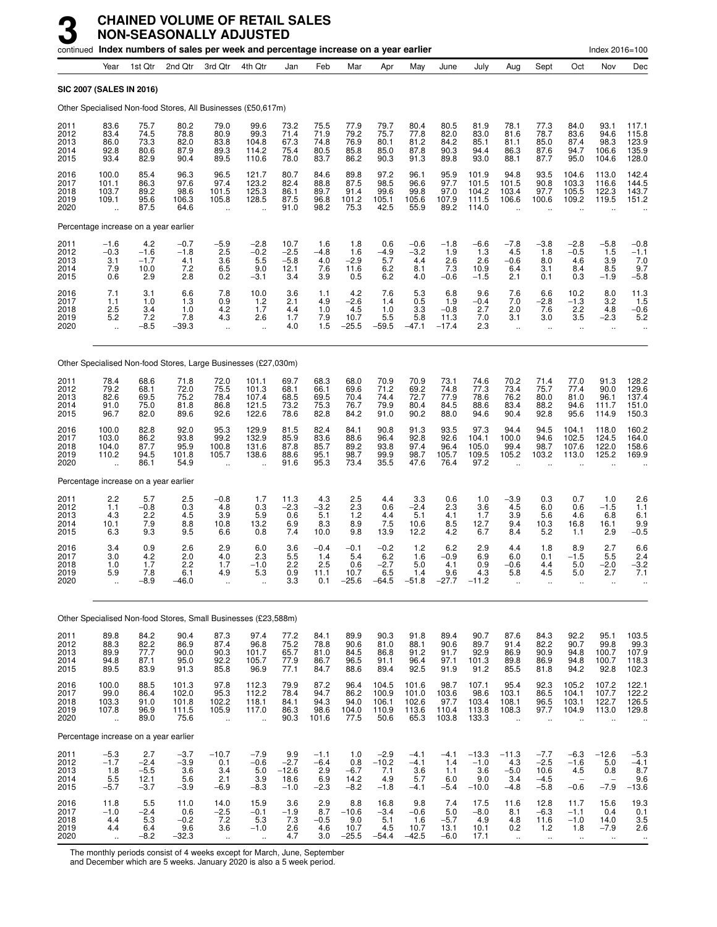|                                      |                                                         |                                           |                                          | continued Index numbers of sales per week and percentage increase on a year earlier |                                                          |                                            |                                          |                                          |                                           |                                          |                                         |                                            |                                                         |                                              |                                              | Index 2016=100                           |                                           |
|--------------------------------------|---------------------------------------------------------|-------------------------------------------|------------------------------------------|-------------------------------------------------------------------------------------|----------------------------------------------------------|--------------------------------------------|------------------------------------------|------------------------------------------|-------------------------------------------|------------------------------------------|-----------------------------------------|--------------------------------------------|---------------------------------------------------------|----------------------------------------------|----------------------------------------------|------------------------------------------|-------------------------------------------|
|                                      | Year                                                    | 1st Qtr                                   | 2nd Qtr                                  | 3rd Qtr                                                                             | 4th Qtr                                                  | Jan                                        | Feb                                      | Mar                                      | Apr                                       | May                                      | June                                    | July                                       | Aug                                                     | Sept                                         | Oct                                          | Nov                                      | Dec                                       |
|                                      |                                                         | SIC 2007 (SALES IN 2016)                  |                                          |                                                                                     |                                                          |                                            |                                          |                                          |                                           |                                          |                                         |                                            |                                                         |                                              |                                              |                                          |                                           |
|                                      |                                                         |                                           |                                          | Other Specialised Non-food Stores, All Businesses (£50,617m)                        |                                                          |                                            |                                          |                                          |                                           |                                          |                                         |                                            |                                                         |                                              |                                              |                                          |                                           |
| 2011<br>2012<br>2013<br>2014<br>2015 | 83.6<br>83.4<br>86.0<br>92.8<br>93.4                    | 75.7<br>74.5<br>73.3<br>80.6<br>82.9      | 80.2<br>78.8<br>82.0<br>87.9<br>90.4     | 79.0<br>80.9<br>83.8<br>89.3<br>89.5                                                | 99.6<br>99.3<br>104.8<br>114.2<br>110.6                  | 73.2<br>71.4<br>67.3<br>75.4<br>78.0       | 75.5<br>71.9<br>74.8<br>80.5<br>83.7     | 77.9<br>79.2<br>76.9<br>85.8<br>86.2     | 79.7<br>75.7<br>80.1<br>85.0<br>90.3      | 80.4<br>77.8<br>81.2<br>87.8<br>91.3     | 80.5<br>82.0<br>84.2<br>90.3<br>89.8    | 81.9<br>83.0<br>85.1<br>94.4<br>93.0       | 78.1<br>81.6<br>81.1<br>86.3<br>88.1                    | 77.3<br>78.7<br>85.0<br>87.6<br>87.7         | 84.0<br>83.6<br>87.4<br>94.7<br>95.0         | 93.1<br>94.6<br>98.3<br>106.6<br>104.6   | 117.1<br>115.8<br>123.9<br>135.9<br>128.0 |
| 2016<br>2017<br>2018<br>2019<br>2020 | 100.0<br>101.1<br>103.7<br>109.1<br>ü.                  | 85.4<br>86.3<br>89.2<br>95.6<br>87.5      | 96.3<br>97.6<br>98.6<br>106.3<br>64.6    | 96.5<br>97.4<br>101.5<br>105.8<br>ä,                                                | 121.7<br>123.2<br>125.3<br>128.5                         | 80.7<br>82.4<br>86.1<br>87.5<br>91.0       | 84.6<br>88.8<br>89.7<br>96.8<br>98.2     | 89.8<br>87.5<br>91.4<br>101.2<br>75.3    | 97.2<br>98.5<br>99.6<br>105.1<br>42.5     | 96.1<br>96.6<br>99.8<br>105.6<br>55.9    | 95.9<br>97.7<br>97.0<br>107.9<br>89.2   | 101.9<br>101.5<br>104.2<br>111.5<br>114.0  | 94.8<br>101.5<br>103.4<br>106.6<br>$\ddot{\phantom{a}}$ | 93.5<br>90.8<br>97.7<br>100.6                | 104.6<br>103.3<br>105.5<br>109.2             | 113.0<br>116.6<br>122.3<br>119.5         | 142.4<br>144.5<br>143.7<br>151.2          |
|                                      |                                                         | Percentage increase on a year earlier     |                                          |                                                                                     |                                                          |                                            |                                          |                                          |                                           |                                          |                                         |                                            |                                                         |                                              |                                              |                                          |                                           |
| 2011<br>2012<br>2013<br>2014<br>2015 | $-1.6$<br>$-0.3$<br>3.1<br>7.9<br>0.6                   | 4.2<br>$-1.6$<br>$-1.7$<br>10.0<br>2.9    | $-0.7$<br>$-1.8$<br>4.1<br>7.2<br>2.8    | $-5.9$<br>2.5<br>3.6<br>6.5<br>0.2                                                  | $-2.8$<br>$-0.2$<br>5.5<br>9.0<br>$-3.1$                 | 10.7<br>$-2.5$<br>$-5.8$<br>12.1<br>3.4    | 1.6<br>$-4.8$<br>4.0<br>7.6<br>3.9       | 1.8<br>1.6<br>$-2.9$<br>11.6<br>0.5      | 0.6<br>$-4.9$<br>5.7<br>6.2<br>6.2        | $-0.6$<br>$-3.2$<br>4.4<br>8.1<br>4.0    | $-1.8$<br>1.9<br>2.6<br>7.3<br>$-0.6$   | $-6.6$<br>1.3<br>2.6<br>10.9<br>$-1.5$     | $-7.8$<br>4.5<br>$-0.6$<br>6.4<br>2.1                   | $-3.8$<br>1.8<br>8.0<br>3.1<br>0.1           | $-2.8$<br>$-0.5$<br>4.6<br>8.4<br>0.3        | $-5.8$<br>1.5<br>3.9<br>8.5<br>$-1.9$    | $-0.8$<br>$-1.1$<br>7.0<br>9.7<br>$-5.8$  |
| 2016<br>2017<br>2018<br>2019<br>2020 | 7.1<br>1.1<br>2.5<br>5.2<br>$\ddot{\phantom{a}}$        | 3.1<br>1.0<br>3.4<br>7.2<br>$-8.5$        | 6.6<br>1.3<br>1.0<br>7.8<br>-39.3        | 7.8<br>0.9<br>4.2<br>4.3<br>$\ddotsc$                                               | 10.0<br>1.2<br>1.7<br>2.6<br>$\ddot{\phantom{a}}$        | 3.6<br>2.1<br>4.4<br>1.7<br>4.0            | 1.1<br>4.9<br>1.0<br>7.9<br>1.5          | 4.2<br>$-2.6$<br>4.5<br>10.7<br>$-25.5$  | 7.6<br>1.4<br>1.0<br>5.5<br>$-59.5$       | 5.3<br>0.5<br>3.3<br>5.8<br>$-47.1$      | 6.8<br>1.9<br>$-0.8$<br>11.3<br>$-17.4$ | 9.6<br>$-0.4$<br>2.7<br>7.0<br>2.3         | 7.6<br>7.0<br>2.0<br>3.1<br>$\ddotsc$                   | 6.6<br>-2.8<br>7.6<br>3.0<br>$\ddotsc$       | 10.2<br>$-1.3$<br>2.2<br>3.5<br>$\cdot$ .    | 8.0<br>3.2<br>4.8<br>$-2.3$<br>$\ddotsc$ | $\frac{11.3}{1.5}$<br>$-0.6$<br>5.2       |
|                                      |                                                         |                                           |                                          | Other Specialised Non-food Stores, Large Businesses (£27,030m)                      |                                                          |                                            |                                          |                                          |                                           |                                          |                                         |                                            |                                                         |                                              |                                              |                                          |                                           |
| 2011<br>2012<br>2013<br>2014<br>2015 | 78.4<br>79.2<br>82.6<br>91.0<br>96.7                    | 68.6<br>68.1<br>69.5<br>75.0<br>82.0      | 71.8<br>72.0<br>75.2<br>81.8<br>89.6     | 72.0<br>75.5<br>78.4<br>86.8<br>92.6                                                | 101.1<br>101.3<br>107.4<br>121.5<br>122.6                | 69.7<br>68.1<br>68.5<br>73.2<br>78.6       | 68.3<br>66.1<br>69.5<br>75.3<br>82.8     | 68.0<br>69.6<br>70.4<br>76.7<br>84.2     | 70.9<br>71.2<br>74.4<br>79.9<br>91.0      | 70.9<br>69.2<br>72.7<br>80.4<br>90.2     | 73.1<br>74.8<br>77.9<br>84.5<br>88.0    | 74.6<br>77.3<br>78.6<br>88.6<br>94.6       | 70.2<br>73.4<br>76.2<br>83.4<br>90.4                    | 71.4<br>75.7<br>80.0<br>88.2<br>92.8         | 77.0<br>77.4<br>81.0<br>94.6<br>95.6         | 91.3<br>90.0<br>96.1<br>111.7<br>114.9   | 128.2<br>129.6<br>137.4<br>151.0<br>150.3 |
| 2016<br>2017<br>2018<br>2019<br>2020 | 100.0<br>103.0<br>104.0<br>110.2<br>ă,                  | 82.8<br>86.2<br>87.7<br>94.5<br>86.1      | 92.0<br>93.8<br>95.9<br>101.8<br>54.9    | 95.3<br>99.2<br>100.8<br>105.7<br>$\ddot{\phantom{a}}$                              | 129.9<br>132.9<br>131.6<br>138.6                         | 81.5<br>85.9<br>87.8<br>88.6<br>91.6       | 82.4<br>83.6<br>85.7<br>95.1<br>95.3     | 84.1<br>88.6<br>89.2<br>98.7<br>73.4     | 90.8<br>96.4<br>93.8<br>99.9<br>35.5      | 91.3<br>92.8<br>97.4<br>98.7<br>47.6     | 93.5<br>92.6<br>96.4<br>105.7<br>76.4   | 97.3<br>104.1<br>105.0<br>109.5<br>97.2    | 94.4<br>100.0<br>99.4<br>105.2                          | 94.5<br>94.6<br>98.7<br>103.2                | 104.1<br>102.5<br>107.6<br>113.0             | 118.0<br>124.5<br>122.0<br>125.2         | 160.2<br>164.0<br>158.6<br>169.9          |
|                                      |                                                         | Percentage increase on a year earlier     |                                          |                                                                                     |                                                          |                                            |                                          |                                          |                                           |                                          |                                         |                                            |                                                         |                                              |                                              |                                          |                                           |
| 2011<br>2012<br>2013<br>2014<br>2015 | 2.2<br>1.1<br>4.3<br>10.1<br>6.3                        | 5.7<br>$-0.8$<br>2.2<br>7.9<br>9.3        | 2.5<br>0.3<br>4.5<br>8.8<br>9.5          | $-0.8$<br>4.8<br>3.9<br>10.8<br>6.6                                                 | 1.7<br>0.3<br>5.9<br>13.2<br>0.8                         | 11.3<br>$-2.3$<br>0.6<br>6.9<br>7.4        | 4.3<br>$-3.2$<br>5.1<br>8.3<br>10.0      | 2.5<br>2.3<br>1.2<br>8.9<br>9.8          | 4.4<br>0.6<br>4.4<br>7.5<br>13.9          | 3.3<br>$-2.4$<br>5.1<br>10.6<br>12.2     | 0.6<br>2.3<br>4.1<br>8.5<br>4.2         | 1.0<br>3.6<br>1.7<br>12.7<br>6.7           | $-3.9$<br>4.5<br>3.9<br>9.4<br>8.4                      | 0.3<br>6.0<br>5.6<br>10.3<br>5.2             | 0.7<br>0.6<br>4.6<br>16.8<br>1.1             | 1.0<br>$-1.5$<br>6.8<br>16.1<br>2.9      | 2.6<br>1.1<br>6.1<br>9.9<br>$-0.5$        |
| 2016<br>2017<br>2018<br>2019<br>2020 | 3.4<br>3.0<br>1.0<br>5.9<br>$\ddotsc$                   | 0.9<br>4.2<br>1.7<br>7.8<br>$-8.9$        | 2.6<br>2.0<br>2.2<br>6.1<br>$-46.0$      | 2.9<br>4.0<br>1.7<br>4.9<br>$\ddot{\phantom{a}}$                                    | 6.0<br>2.3<br>$-1.0$<br>5.3<br>÷.                        | 3.6<br>5.5<br>2.2<br>0.9<br>3.3            | $-0.4$<br>1.4<br>2.5<br>11.1<br>0.1      | $-0.1$<br>5.4<br>0.6<br>10.7<br>$-25.6$  | $-0.2$<br>6.2<br>$-2.7$<br>6.5<br>$-64.5$ | 1.2<br>1.6<br>5.0<br>1.4<br>$-51.8$      | 6.2<br>$-0.9$<br>4.1<br>9.6<br>$-27.7$  | 2.9<br>6.9<br>0.9<br>4.3<br>$-11.2$        | 4.4<br>6.0<br>$-0.6$<br>5.8<br>ä,                       | 1.8<br>0.1<br>4.4<br>4.5<br>$\ddotsc$        | 8.9<br>$-1.5$<br>5.0<br>5.0<br>$\ddotsc$     | 2.7<br>5.5<br>$-2.0$<br>2.7<br>$\ddotsc$ | 6.6<br>2.4<br>$-3.2$<br>7.1               |
|                                      |                                                         |                                           |                                          | Other Specialised Non-food Stores, Small Businesses (£23,588m)                      |                                                          |                                            |                                          |                                          |                                           |                                          |                                         |                                            |                                                         |                                              |                                              |                                          |                                           |
| 2011<br>2012<br>2013<br>2014<br>2015 | 89.8<br>88.3<br>89.9<br>94.8<br>89.5                    | 84.2<br>82.2<br>77.7<br>87.1<br>83.9      | 90.4<br>86.9<br>90.0<br>95.0<br>91.3     | 87.3<br>87.4<br>90.3<br>92.2<br>85.8                                                | 97.4<br>96.8<br>101.7<br>105.7<br>96.9                   | 77.2<br>75.2<br>65.7<br>77.9<br>77.1       | 84.1<br>78.8<br>81.0<br>86.7<br>84.7     | 89.9<br>90.6<br>84.5<br>96.5<br>88.6     | 90.3<br>81.0<br>86.8<br>91.1<br>89.4      | 91.8<br>88.1<br>91.2<br>96.4<br>92.5     | 89.4<br>90.6<br>91.7<br>97.1<br>91.9    | 90.7<br>89.7<br>92.9<br>101.3<br>91.2      | 87.6<br>91.4<br>86.9<br>89.8<br>85.5                    | 84.3<br>82.2<br>90.9<br>86.9<br>81.8         | 92.2<br>90.7<br>94.8<br>94.8<br>94.2         | 95.1<br>99.8<br>100.7<br>100.7<br>92.8   | 103.5<br>99.3<br>107.9<br>118.3<br>102.3  |
| 2016<br>2017<br>2018<br>2019<br>2020 | 100.0<br>99.0<br>103.3<br>107.8<br>$\ddot{\phantom{a}}$ | 88.5<br>86.4<br>91.0<br>96.9<br>89.0      | 101.3<br>102.0<br>101.8<br>111.5<br>75.6 | 97.8<br>95.3<br>102.2<br>105.9<br>$\ddot{\phantom{a}}$                              | 112.3<br>112.2<br>118.1<br>117.0<br>$\ddot{\phantom{a}}$ | 79.9<br>78.4<br>84.1<br>86.3<br>90.3       | 87.2<br>94.7<br>94.3<br>98.6<br>101.6    | 96.4<br>86.2<br>94.0<br>104.0<br>77.5    | 104.5<br>100.9<br>106.1<br>110.9<br>50.6  | 101.6<br>101.0<br>102.6<br>113.6<br>65.3 | 98.7<br>103.6<br>97.7<br>110.4<br>103.8 | 107.1<br>98.6<br>103.4<br>113.8<br>133.3   | 95.4<br>103.1<br>108.1<br>108.3<br>$\ddot{\phantom{a}}$ | 92.3<br>86.5<br>96.5<br>97.7<br>$\ddotsc$    | 105.2<br>104.1<br>103.1<br>104.9<br>ä.       | 107.2<br>107.7<br>122.7<br>113.0<br>÷.   | 122.1<br>122.2<br>126.5<br>129.8          |
|                                      |                                                         | Percentage increase on a year earlier     |                                          |                                                                                     |                                                          |                                            |                                          |                                          |                                           |                                          |                                         |                                            |                                                         |                                              |                                              |                                          |                                           |
| 2011<br>2012<br>2013<br>2014<br>2015 | $-5.3$<br>$-1.7$<br>1.8<br>5.5<br>$-5.7$                | 2.7<br>$-2.4$<br>$-5.5$<br>12.1<br>$-3.7$ | $-3.7$<br>$-3.9$<br>3.6<br>5.6<br>$-3.9$ | $-10.7$<br>0.1<br>3.4<br>2.1<br>$-6.9$                                              | $-7.9$<br>$-0.6$<br>5.0<br>3.9<br>$-8.3$                 | 9.9<br>$-2.7$<br>$-12.6$<br>18.6<br>$-1.0$ | $-1.1$<br>$-6.4$<br>2.9<br>6.9<br>$-2.3$ | 1.0<br>0.8<br>$-6.7$<br>14.2<br>$-8.2$   | $-2.9$<br>$-10.2$<br>7.1<br>4.9<br>$-1.8$ | $-4.1$<br>$-4.1$<br>3.6<br>5.7<br>$-4.1$ | $-4.1$<br>1.4<br>1.1<br>6.0<br>$-5.4$   | $-13.3$<br>$-1.0$<br>3.6<br>9.0<br>$-10.0$ | $-11.3$<br>4.3<br>$-5.0$<br>3.4<br>$-4.8$               | $-7.7$<br>$-2.5$<br>10.6<br>$-4.5$<br>$-5.8$ | $-6.3$<br>$-1.6$<br>4.5<br>$-0.6$            | $-12.6$<br>5.0<br>0.8<br>$-7.9$          | $-5.3$<br>$-4.1$<br>8.7<br>9.6<br>$-13.6$ |
| 2016<br>2017<br>2018<br>2019<br>2020 | 11.8<br>$-1.0$<br>4.4<br>4.4<br>$\ddot{\phantom{1}}$    | 5.5<br>$-2.4$<br>5.3<br>6.4<br>$-8.2$     | 11.0<br>0.6<br>$-0.2$<br>9.6<br>$-32.3$  | 14.0<br>$-2.5$<br>7.2<br>3.6<br>$\ddotsc$                                           | 15.9<br>$-0.1$<br>5.3<br>$-1.0$<br>à.                    | 3.6<br>$-1.9$<br>7.3<br>2.6<br>4.7         | 2.9<br>8.7<br>$-0.5$<br>4.6<br>3.0       | 8.8<br>$-10.6$<br>9.0<br>10.7<br>$-25.5$ | 16.8<br>$-3.4$<br>5.1<br>4.5<br>$-54.4$   | 9.8<br>$-0.6$<br>1.6<br>10.7<br>$-42.5$  | 7.4<br>5.0<br>$-5.7$<br>13.1<br>$-6.0$  | 17.5<br>$-8.0$<br>4.9<br>10.1<br>17.1      | 11.6<br>8.1<br>4.8<br>0.2<br>$\ddot{\phantom{1}}$       | 12.8<br>$-6.3$<br>11.6<br>$1.2$<br>$\sim$    | 11.7<br>$-1.1$<br>$-1.0$<br>1.8<br>$\ddotsc$ | 15.6<br>0.4<br>14.0<br>$-7.9$<br>$\sim$  | 19.3<br>0.1<br>3.5<br>2.6<br>$\ddotsc$    |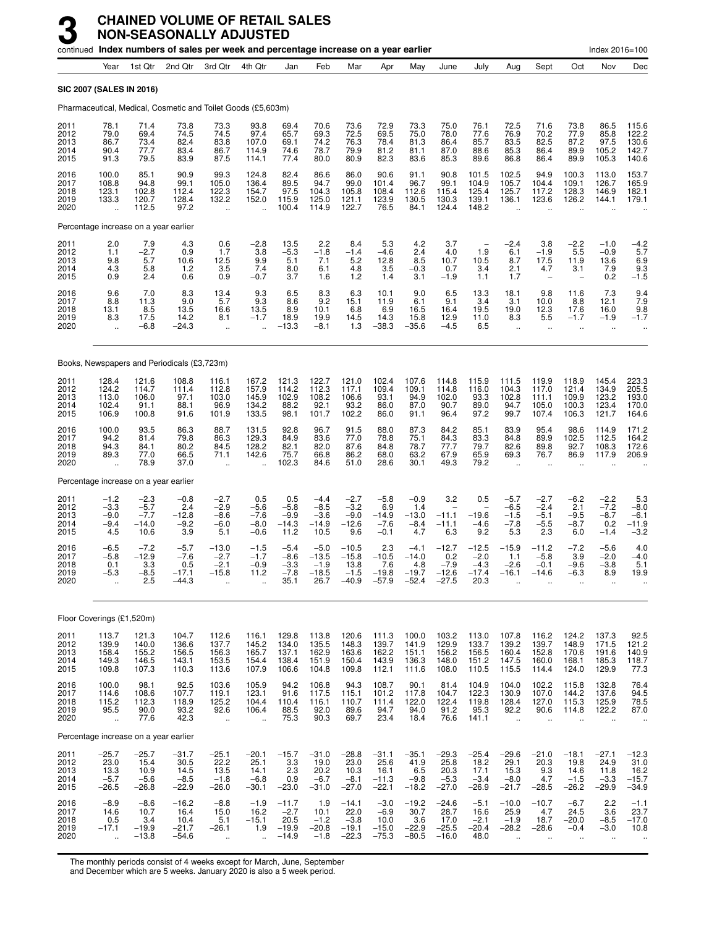|                                      |                                                          |                                               | continued Index numbers of sales per week and percentage increase on a year earlier |                                                         |                                                          |                                                 |                                                |                                                 |                                                |                                                |                                                |                                                |                                                      |                                                          |                                                          | Index 2016=100                               |                                               |
|--------------------------------------|----------------------------------------------------------|-----------------------------------------------|-------------------------------------------------------------------------------------|---------------------------------------------------------|----------------------------------------------------------|-------------------------------------------------|------------------------------------------------|-------------------------------------------------|------------------------------------------------|------------------------------------------------|------------------------------------------------|------------------------------------------------|------------------------------------------------------|----------------------------------------------------------|----------------------------------------------------------|----------------------------------------------|-----------------------------------------------|
|                                      | Year                                                     | 1st Qtr                                       | 2nd Qtr                                                                             | 3rd Otr                                                 | 4th Qtr                                                  | Jan                                             | Feb                                            | Mar                                             | Apr                                            | May                                            | June                                           | July                                           | Aug                                                  | Sept                                                     | Oct                                                      | Nov                                          | Dec                                           |
| <b>SIC 2007 (SALES IN 2016)</b>      |                                                          |                                               |                                                                                     |                                                         |                                                          |                                                 |                                                |                                                 |                                                |                                                |                                                |                                                |                                                      |                                                          |                                                          |                                              |                                               |
|                                      |                                                          |                                               | Pharmaceutical, Medical, Cosmetic and Toilet Goods (£5,603m)                        |                                                         |                                                          |                                                 |                                                |                                                 |                                                |                                                |                                                |                                                |                                                      |                                                          |                                                          |                                              |                                               |
| 2011<br>2012<br>2013<br>2014<br>2015 | 78.1<br>79.0<br>86.7<br>90.4<br>91.3                     | 71.4<br>69.4<br>73.4<br>77.7<br>79.5          | 73.8<br>74.5<br>82.4<br>83.4<br>83.9                                                | 73.3<br>74.5<br>83.8<br>86.7<br>87.5                    | 93.8<br>97.4<br>107.0<br>114.9<br>114.1                  | 69.4<br>65.7<br>69.1<br>74.6<br>77.4            | 70.6<br>69.3<br>74.2<br>78.7<br>80.0           | 73.6<br>72.5<br>76.3<br>79.9<br>80.9            | 72.9<br>69.5<br>78.4<br>81.2<br>82.3           | 73.3<br>75.0<br>81.3<br>81.1<br>83.6           | 75.0<br>78.0<br>86.4<br>87.0<br>85.3           | 76.1<br>77.6<br>85.7<br>88.6<br>89.6           | 72.5<br>76.9<br>83.5<br>85.3<br>86.8                 | 71.6<br>70.2<br>82.5<br>86.4<br>86.4                     | 73.8<br>77.9<br>87.2<br>89.9<br>89.9                     | 86.5<br>85.8<br>97.5<br>105.2<br>105.3       | 115.6<br>122.2<br>130.6<br>142.7<br>140.6     |
| 2016<br>2017<br>2018<br>2019<br>2020 | 100.0<br>108.8<br>123.1<br>133.3<br>$\ddot{\phantom{a}}$ | 85.1<br>94.8<br>102.8<br>120.7<br>112.5       | 90.9<br>99.1<br>112.4<br>128.4<br>97.2                                              | 99.3<br>105.0<br>122.3<br>132.2<br>$\ddot{\phantom{a}}$ | 124.8<br>136.4<br>154.7<br>152.0<br>$\ddot{\phantom{a}}$ | 82.4<br>89.5<br>97.5<br>115.9<br>100.4          | 86.6<br>94.7<br>104.3<br>125.0<br>114.9        | 86.0<br>99.0<br>105.8<br>121.1<br>122.7         | 90.6<br>101.4<br>108.4<br>123.9<br>76.5        | 91.1<br>96.7<br>112.6<br>130.5<br>84.1         | 90.8<br>99.1<br>115.4<br>130.3<br>124.4        | 101.5<br>104.9<br>125.4<br>139.1<br>148.2      | 102.5<br>105.7<br>125.7<br>136.1                     | 94.9<br>104.4<br>117.2<br>123.6                          | 100.3<br>109.1<br>128.3<br>126.2                         | 113.0<br>126.7<br>146.9<br>144.1             | 153.7<br>165.9<br>182.1<br>179.1              |
|                                      |                                                          | Percentage increase on a year earlier         |                                                                                     |                                                         |                                                          |                                                 |                                                |                                                 |                                                |                                                |                                                |                                                |                                                      |                                                          |                                                          |                                              |                                               |
| 2011<br>2012<br>2013<br>2014<br>2015 | 2.0<br>1.1<br>9.8<br>4.3<br>0.9                          | $\frac{7.9}{-2.7}$<br>5.7<br>5.8<br>2.4       | 4.3<br>0.9<br>10.6<br>1.2<br>0.6                                                    | 0.6<br>1.7<br>12.5<br>3.5<br>0.9                        | $^{-2.8}_{3.8}$<br>9.9<br>7.4<br>$-0.7$                  | 13.5<br>$-5.3$<br>5.1<br>8.0<br>3.7             | 2.2<br>$-1.8$<br>7.1<br>6.1<br>1.6             | 8.4<br>$-1.4$<br>5.2<br>4.8<br>1.2              | 5.3<br>$-4.6$<br>12.8<br>3.5<br>1.4            | 4.2<br>2.4<br>8.5<br>$-0.3$<br>3.1             | 3.7<br>4.0<br>10.7<br>0.7<br>$-1.9$            | 1.9<br>10.5<br>3.4<br>1.1                      | $-2.4$<br>6.1<br>8.7<br>2.1<br>1.7                   | 3.8<br>$-1.9$<br>17.5<br>4.7<br>$\overline{\phantom{a}}$ | $-2.2$<br>5.5<br>11.9<br>3.1<br>$\overline{\phantom{0}}$ | $-1.0$<br>$-0.9$<br>13.6<br>7.9<br>0.2       | $-4.2$<br>5.7<br>6.9<br>$\frac{9.3}{-1.5}$    |
| 2016<br>2017<br>2018<br>2019<br>2020 | 9.6<br>8.8<br>13.1<br>8.3<br>$\ddot{\phantom{a}}$        | 7.0<br>11.3<br>8.5<br>17.5<br>$-6.8$          | 8.3<br>9.0<br>13.5<br>14.2<br>$-24.3$                                               | 13.4<br>5.7<br>16.6<br>8.1<br>$\ddot{\phantom{1}}$      | $\frac{9.3}{9.3}$<br>13.5<br>$-1.7$                      | 6.5<br>8.6<br>8.9<br>18.9<br>$-13.3$            | 8.3<br>9.2<br>10.1<br>19.9<br>$-8.1$           | 6.3<br>15.1<br>6.8<br>14.5<br>1.3               | 10.1<br>11.9<br>6.9<br>14.3<br>$-38.3$         | 9.0<br>6.1<br>16.5<br>15.8<br>$-35.6$          | 6.5<br>9.1<br>16.4<br>12.9<br>$-4.5$           | 13.3<br>3.4<br>19.5<br>11.0<br>6.5             | 18.1<br>3.1<br>19.0<br>8.3<br>$\mathbf{r}$ .         | 9.8<br>10.0<br>12.3<br>5.5<br>$\ddot{\phantom{a}}$       | 11.6<br>8.8<br>17.6<br>$-1.7$<br>$\ddot{\phantom{a}}$    | 7.3<br>12.1<br>16.0<br>$-1.9$<br>$\ddotsc$   | $\frac{9.4}{7.9}$<br>9.8<br>$-1.7$            |
|                                      |                                                          |                                               | Books, Newspapers and Periodicals (£3,723m)                                         |                                                         |                                                          |                                                 |                                                |                                                 |                                                |                                                |                                                |                                                |                                                      |                                                          |                                                          |                                              |                                               |
| 2011<br>2012<br>2013<br>2014<br>2015 | 128.4<br>124.2<br>113.0<br>102.4<br>106.9                | 121.6<br>114.7<br>106.0<br>91.1<br>100.8      | 108.8<br>111.4<br>97.1<br>88.1<br>91.6                                              | 116.1<br>112.8<br>103.0<br>96.9<br>101.9                | 167.2<br>157.9<br>145.9<br>134.2<br>133.5                | 121.3<br>114.2<br>102.9<br>88.2<br>98.1         | 122.7<br>112.3<br>108.2<br>92.1<br>101.7       | 121.0<br>117.1<br>106.6<br>93.2<br>102.2        | 102.4<br>109.4<br>93.1<br>86.0<br>86.0         | 107.6<br>109.1<br>94.9<br>87.0<br>91.1         | 114.8<br>114.8<br>102.0<br>90.7<br>96.4        | 115.9<br>116.0<br>93.3<br>89.0<br>97.2         | 111.5<br>104.3<br>102.8<br>94.7<br>99.7              | 119.9<br>117.0<br>111.1<br>105.0<br>107.4                | 118.9<br>121.4<br>109.9<br>100.3<br>106.3                | 145.4<br>134.9<br>123.2<br>123.4<br>121.7    | 223.3<br>205.5<br>193.0<br>170.0<br>164.6     |
| 2016<br>2017<br>2018<br>2019<br>2020 | 100.0<br>94.2<br>94.3<br>89.3<br>ü.                      | 93.5<br>81.4<br>84.1<br>77.0<br>78.9          | 86.3<br>79.8<br>80.2<br>66.5<br>37.0                                                | 88.7<br>86.3<br>84.5<br>71.1                            | 131.5<br>129.3<br>128.2<br>142.6                         | 92.8<br>84.9<br>82.1<br>75.7<br>102.3           | 96.7<br>83.6<br>82.0<br>66.8<br>84.6           | 91.5<br>77.0<br>87.6<br>86.2<br>51.0            | 88.0<br>78.8<br>84.8<br>68.0<br>28.6           | 87.3<br>75.1<br>78.7<br>63.2<br>30.1           | 84.2<br>84.3<br>77.7<br>67.9<br>49.3           | 85.1<br>83.3<br>79.7<br>65.9<br>79.2           | 83.9<br>84.8<br>82.6<br>69.3<br>$\ddot{\phantom{a}}$ | 95.4<br>89.9<br>89.8<br>76.7                             | 98.6<br>102.5<br>92.7<br>86.9                            | 114.9<br>112.5<br>108.3<br>117.9             | 171.2<br>164.2<br>172.6<br>206.9              |
|                                      |                                                          | Percentage increase on a year earlier         |                                                                                     |                                                         |                                                          |                                                 |                                                |                                                 |                                                |                                                |                                                |                                                |                                                      |                                                          |                                                          |                                              |                                               |
| 2011<br>2012<br>2013<br>2014<br>2015 | $-1.2$<br>$-3.3$<br>$-9.0$<br>$-9.4$<br>4.5              | $-2.3$<br>$-5.7$<br>$-7.7$<br>$-14.0$<br>10.6 | $-0.8$<br>2.4<br>$-12.8$<br>$-9.2$<br>3.9                                           | $-2.7$<br>$-2.9$<br>$-8.6$<br>$-6.0$<br>5.1             | 0.5<br>$-5.6$<br>$-7.6$<br>$-8.0$<br>$-0.6$              | 0.5<br>$-5.8$<br>$-9.9$<br>$-14.3$<br>11.2      | $-4.4$<br>$-8.5$<br>$-3.6$<br>$-14.9$<br>10.5  | $-2.7$<br>$-3.2$<br>$-9.0$<br>$-12.6$<br>9.6    | $-5.8$<br>6.9<br>$-14.9$<br>$-7.6$<br>$-0.1$   | $-0.9$<br>1.4<br>$-13.0$<br>$-8.4$<br>4.7      | 3.2<br>$-11.1$<br>$-11.1$<br>6.3               | 0.5<br>$-19.6$<br>-4.6<br>9.2                  | $-5.7$<br>$-6.5$<br>$-1.5$<br>$-7.8$<br>5.3          | $-2.7$<br>$-2.4$<br>$-5.1$<br>$-5.5$<br>2.3              | $-6.2$<br>2.1<br>$-9.5$<br>$-8.7$<br>6.0                 | $-2.2$<br>$-7.2$<br>$-8.7$<br>0.2<br>$-1.4$  | 5.3<br>$-8.0$<br>$-6.1$<br>$-11.9$<br>$-3.2$  |
| 2016<br>2017<br>2018<br>2019<br>2020 | $-6.5$<br>$-5.8$<br>0.1<br>$-5.3$                        | $-7.2$<br>$-12.9$<br>3.3<br>$-8.5$<br>2.5     | $-5.7$<br>$-7.6$<br>0.5<br>$-17.1$<br>-44.3                                         | $-13.0$<br>$-2.7$<br>$-2.1$<br>$-15.8$                  | $-1.5$<br>$-1.7$<br>$-0.9$<br>11.2                       | $-5.4$<br>$-8.6$<br>$-3.3$<br>$-7.8$<br>35.1    | $-5.0$<br>$-13.5$<br>$-1.9$<br>$-18.5$<br>26.7 | $-10.5$<br>$-15.8$<br>13.8<br>$-1.5$<br>$-40.9$ | 2.3<br>$-10.5$<br>7.6<br>$-19.8$<br>$-57.9$    | $-4.1$<br>$-14.0$<br>4.8<br>$-19.7$<br>$-52.4$ | $-12.7$<br>0.2<br>$-7.9$<br>$-12.6$<br>$-27.5$ | $-12.5$<br>$-2.0$<br>$-4.3$<br>$-17.4$<br>20.3 | $-15.9$<br>1.1<br>$-2.6$<br>$-16.1$                  | $-11.2$<br>$-5.8$<br>$-0.1$<br>$-14.6$                   | $-7.2$<br>3.9<br>$-9.6$<br>$-6.3$                        | $-5.6$<br>$-2.0$<br>$-3.8$<br>8.9            | 4.0<br>$-4.0$<br>5.1<br>19.9                  |
| Floor Coverings (£1,520m)            |                                                          |                                               |                                                                                     |                                                         |                                                          |                                                 |                                                |                                                 |                                                |                                                |                                                |                                                |                                                      |                                                          |                                                          |                                              |                                               |
| 2011<br>2012<br>2013<br>2014<br>2015 | 113.7<br>139.9<br>158.4<br>149.3<br>109.8                | 121.3<br>140.0<br>155.2<br>146.5<br>107.3     | 104.7<br>136.6<br>156.5<br>143.1<br>110.3                                           | 112.6<br>137.7<br>156.3<br>153.5<br>113.6               | 116.1<br>145.2<br>165.7<br>154.4<br>107.9                | 129.8<br>134.0<br>137.1<br>138.4<br>106.6       | 113.8<br>135.5<br>162.9<br>151.9<br>104.8      | 120.6<br>148.3<br>163.6<br>150.4<br>109.8       | 111.3<br>139.7<br>162.2<br>143.9<br>112.1      | 100.0<br>141.9<br>151.1<br>136.3<br>111.6      | 103.2<br>129.9<br>156.2<br>148.0<br>108.0      | 113.0<br>133.7<br>156.5<br>151.2<br>110.5      | 107.8<br>139.2<br>160.4<br>147.5<br>115.5            | 116.2<br>139.7<br>152.8<br>160.0<br>114.4                | 124.2<br>148.9<br>170.6<br>168.1<br>124.0                | 137.3<br>171.5<br>191.6<br>185.3<br>129.9    | $92.5$<br>121.2<br>140.9<br>118.7<br>77.3     |
| 2016<br>2017<br>2018<br>2019<br>2020 | 100.0<br>114.6<br>115.2<br>95.5<br>$\ddotsc$             | 98.1<br>108.6<br>112.3<br>90.0<br>77.6        | 92.5<br>107.7<br>118.9<br>93.2<br>42.3                                              | 103.6<br>119.1<br>125.2<br>92.6<br>$\ddot{\phantom{a}}$ | 105.9<br>123.1<br>104.4<br>106.4<br>$\ddotsc$            | 94.2<br>91.6<br>110.4<br>88.5<br>75.3           | 106.8<br>117.5<br>116.1<br>92.0<br>90.3        | 94.3<br>115.1<br>110.7<br>89.6<br>69.7          | 108.7<br>101.2<br>111.4<br>94.7<br>23.4        | 90.1<br>117.8<br>122.0<br>94.0<br>18.4         | 81.4<br>104.7<br>122.4<br>91.2<br>76.6         | 104.9<br>122.3<br>119.8<br>95.3<br>141.1       | 104.0<br>130.9<br>128.4<br>92.2<br>$\ddotsc$         | 102.2<br>107.0<br>127.0<br>90.6                          | 115.8<br>144.2<br>115.3<br>114.8                         | 132.8<br>137.6<br>125.9<br>122.2             | 76.4<br>94.5<br>78.5<br>87.0                  |
|                                      |                                                          | Percentage increase on a year earlier         |                                                                                     |                                                         |                                                          |                                                 |                                                |                                                 |                                                |                                                |                                                |                                                |                                                      |                                                          |                                                          |                                              |                                               |
| 2011<br>2012<br>2013<br>2014<br>2015 | $-25.7$<br>23.0<br>13.3<br>$-5.7$<br>$-26.5$             | $-25.7$<br>15.4<br>10.9<br>$-5.6$<br>-26.8    | $-31.7$<br>30.5<br>14.5<br>$-8.5$<br>$-22.9$                                        | $-25.1$<br>22.2<br>13.5<br>$-1.8$<br>$-26.0$            | $-20.1$<br>25.1<br>14.1<br>$-6.8$<br>$-30.1$             | $-15.7$<br>3.3<br>2.3<br>0.9<br>$-23.0$         | $-31.0$<br>19.0<br>20.2<br>$-6.7$<br>$-31.0$   | $-28.8$<br>23.0<br>10.3<br>$-8.1$<br>$-27.0$    | $-31.1$<br>25.6<br>16.1<br>$-11.3$<br>$-22.1$  | $-35.1$<br>41.9<br>6.5<br>$-9.8$<br>$-18.2$    | $-29.3$<br>25.8<br>20.3<br>$-5.3$<br>$-27.0$   | $-25.4$<br>18.2<br>17.1<br>$-3.4$<br>$-26.9$   | $-29.6$<br>29.1<br>15.3<br>$-8.0$<br>$-21.7$         | $-21.0$<br>20.3<br>9.3<br>4.7<br>$-28.5$                 | $-18.1$<br>19.8<br>14.6<br>$-1.5$<br>$-26.2$             | $-27.1$<br>24.9<br>11.8<br>$-3.3$<br>$-29.9$ | $-12.3$<br>31.0<br>16.2<br>$-15.7$<br>$-34.9$ |
| 2016<br>2017<br>2018<br>2019<br>2020 | $-8.9$<br>14.6<br>0.5<br>$-17.1$                         | $-8.6$<br>10.7<br>3.4<br>$-19.9$<br>$-13.8$   | $-16.2$<br>16.4<br>10.4<br>$-21.7$<br>$-54.6$                                       | $-8.8$<br>15.0<br>5.1<br>-26.1                          | $-1.9$<br>16.2<br>$-15.1$<br>1.9                         | $-11.7$<br>$-2.7$<br>20.5<br>$-19.9$<br>$-14.9$ | 1.9<br>10.1<br>$-1.2$<br>$-20.8$<br>$-1.8$     | $-14.1$<br>22.0<br>$-3.8$<br>$-19.1$<br>$-22.3$ | $-3.0$<br>$-6.9$<br>10.0<br>$-15.0$<br>$-75.3$ | $-19.2$<br>30.7<br>3.6<br>$-22.9$<br>$-80.5$   | $-24.6$<br>28.7<br>17.0<br>$-25.5$<br>$-16.0$  | $-5.1$<br>16.6<br>$-2.1$<br>$-20.4$<br>48.0    | $-10.0$<br>25.9<br>$-1.9$<br>$-28.2$                 | $-10.7$<br>4.7<br>18.7<br>$-28.6$                        | $-6.7$<br>24.5<br>$-20.0$<br>$-0.4$                      | 2.2<br>3.6<br>$-8.5$<br>$-3.0$               | $-1.1$<br>23.7<br>$-17.0$<br>10.8             |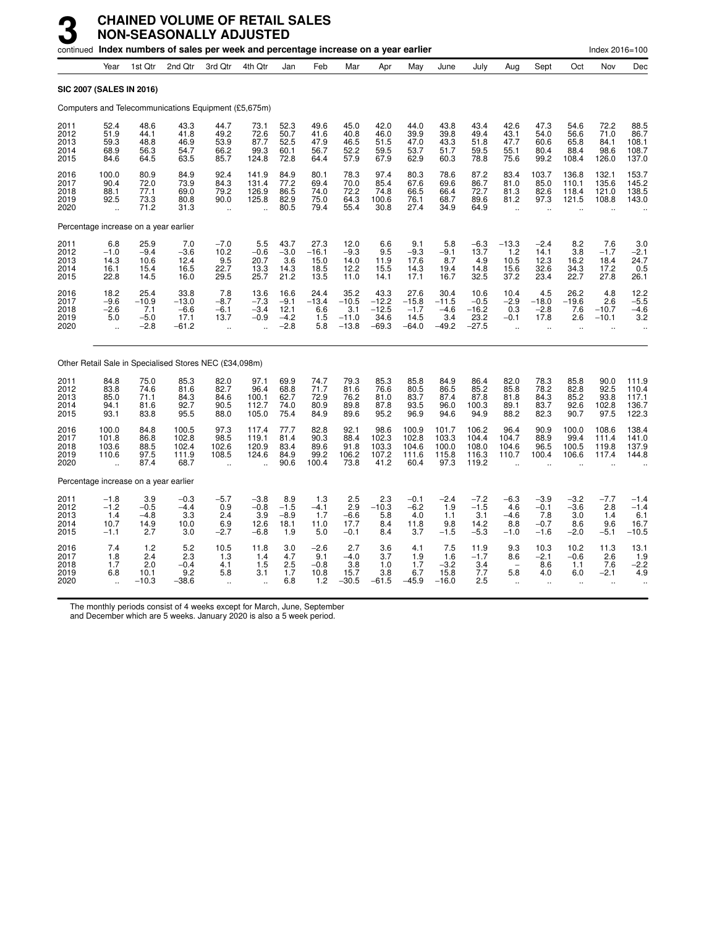|                                      |                                                         |                                            | continued Index numbers of sales per week and percentage increase on a year earlier |                                                         |                                                            |                                            |                                         |                                              |                                               |                                              |                                             |                                              |                                                            |                                               |                                                       | Index 2016=100                                           |                                            |
|--------------------------------------|---------------------------------------------------------|--------------------------------------------|-------------------------------------------------------------------------------------|---------------------------------------------------------|------------------------------------------------------------|--------------------------------------------|-----------------------------------------|----------------------------------------------|-----------------------------------------------|----------------------------------------------|---------------------------------------------|----------------------------------------------|------------------------------------------------------------|-----------------------------------------------|-------------------------------------------------------|----------------------------------------------------------|--------------------------------------------|
|                                      | Year                                                    | 1st Qtr                                    | 2nd Qtr                                                                             | 3rd Qtr                                                 | 4th Qtr                                                    | Jan                                        | Feb                                     | Mar                                          | Apr                                           | May                                          | June                                        | July                                         | Aug                                                        | Sept                                          | Oct                                                   | Nov                                                      | Dec                                        |
|                                      | SIC 2007 (SALES IN 2016)                                |                                            |                                                                                     |                                                         |                                                            |                                            |                                         |                                              |                                               |                                              |                                             |                                              |                                                            |                                               |                                                       |                                                          |                                            |
|                                      |                                                         |                                            | Computers and Telecommunications Equipment (£5,675m)                                |                                                         |                                                            |                                            |                                         |                                              |                                               |                                              |                                             |                                              |                                                            |                                               |                                                       |                                                          |                                            |
| 2011<br>2012<br>2013<br>2014<br>2015 | 52.4<br>51.9<br>59.3<br>68.9<br>84.6                    | 48.6<br>44.1<br>48.8<br>56.3<br>64.5       | 43.3<br>41.8<br>46.9<br>54.7<br>63.5                                                | 44.7<br>49.2<br>53.9<br>66.2<br>85.7                    | 73.1<br>72.6<br>87.7<br>99.3<br>124.8                      | 52.3<br>50.7<br>52.5<br>60.1<br>72.8       | 49.6<br>41.6<br>47.9<br>56.7<br>64.4    | 45.0<br>40.8<br>46.5<br>52.2<br>57.9         | 42.0<br>46.0<br>51.5<br>59.5<br>67.9          | 44.0<br>39.9<br>47.0<br>53.7<br>62.9         | 43.8<br>39.8<br>43.3<br>51.7<br>60.3        | 43.4<br>49.4<br>51.8<br>59.5<br>78.8         | 42.6<br>43.1<br>47.7<br>55.1<br>75.6                       | 47.3<br>54.0<br>60.6<br>80.4<br>99.2          | 54.6<br>56.6<br>65.8<br>88.4<br>108.4                 | 72.2<br>71.0<br>84.1<br>98.6<br>126.0                    | 88.5<br>86.7<br>108.1<br>108.7<br>137.0    |
| 2016<br>2017<br>2018<br>2019<br>2020 | 100.0<br>90.4<br>88.1<br>92.5<br>$\ddot{\phantom{a}}$   | 80.9<br>72.0<br>77.1<br>73.3<br>71.2       | 84.9<br>73.9<br>69.0<br>80.8<br>31.3                                                | 92.4<br>84.3<br>79.2<br>90.0<br>$\ddot{\phantom{a}}$    | 141.9<br>131.4<br>126.9<br>125.8<br>$\ddot{\phantom{a}}$   | 84.9<br>77.2<br>86.5<br>82.9<br>80.5       | 80.1<br>69.4<br>74.0<br>75.0<br>79.4    | 78.3<br>70.0<br>72.2<br>64.3<br>55.4         | 97.4<br>85.4<br>74.8<br>100.6<br>30.8         | 80.3<br>67.6<br>66.5<br>76.1<br>27.4         | 78.6<br>69.6<br>66.4<br>68.7<br>34.9        | 87.2<br>86.7<br>72.7<br>89.6<br>64.9         | 83.4<br>81.0<br>81.3<br>81.2<br>$\ddot{\phantom{a}}$       | 103.7<br>85.0<br>82.6<br>97.3                 | 136.8<br>110.1<br>118.4<br>121.5                      | 132.1<br>135.6<br>121.0<br>108.8                         | 153.7<br>145.2<br>138.5<br>143.0           |
|                                      | Percentage increase on a year earlier                   |                                            |                                                                                     |                                                         |                                                            |                                            |                                         |                                              |                                               |                                              |                                             |                                              |                                                            |                                               |                                                       |                                                          |                                            |
| 2011<br>2012<br>2013<br>2014<br>2015 | 6.8<br>$-1.0$<br>14.3<br>16.1<br>22.8                   | 25.9<br>$-9.4$<br>10.6<br>15.4<br>14.5     | 7.0<br>$-3.6$<br>12.4<br>16.5<br>16.0                                               | $-7.0$<br>10.2<br>9.5<br>22.7<br>29.5                   | 5.5<br>$-0.6$<br>20.7<br>13.3<br>25.7                      | 43.7<br>$-3.0$<br>3.6<br>14.3<br>21.2      | 27.3<br>$-16.1$<br>15.0<br>18.5<br>13.5 | 12.0<br>$-9.3$<br>14.0<br>12.2<br>11.0       | 6.6<br>9.5<br>11.9<br>15.5<br>14.1            | 9.1<br>$-9.3$<br>17.6<br>14.3<br>17.1        | 5.8<br>$-9.1$<br>8.7<br>19.4<br>16.7        | $-6.3$<br>13.7<br>4.9<br>14.8<br>32.5        | $-13.3$<br>1.2<br>10.5<br>15.6<br>37.2                     | $-2.4$<br>14.1<br>12.3<br>32.6<br>23.4        | 8.2<br>3.8<br>16.2<br>34.3<br>22.7                    | 7.6<br>$-1.7$<br>18.4<br>17.2<br>27.8                    | $\frac{3.0}{-2.1}$<br>24.7<br>0.5<br>26.1  |
| 2016<br>2017<br>2018<br>2019<br>2020 | 18.2<br>$-9.6$<br>$-2.6$<br>5.0<br>$\ddot{\phantom{a}}$ | 25.4<br>$-10.9$<br>7.1<br>$-5.0$<br>$-2.8$ | 33.8<br>$-13.0$<br>$-6.6$<br>17.1<br>$-61.2$                                        | 7.8<br>$-8.7$<br>$-6.1$<br>13.7<br>$\ddot{\phantom{a}}$ | 13.6<br>$-7.3$<br>$-3.4$<br>$-0.9$<br>$\ddot{\phantom{a}}$ | 16.6<br>$-9.1$<br>12.1<br>$-4.2$<br>$-2.8$ | 24.4<br>$-13.4$<br>6.6<br>1.5<br>5.8    | 35.2<br>$-10.5$<br>3.1<br>$-11.0$<br>$-13.8$ | 43.3<br>$-12.2$<br>$-12.5$<br>34.6<br>$-69.3$ | 27.6<br>$-15.8$<br>$-1.7$<br>14.5<br>$-64.0$ | 30.4<br>$-11.5$<br>$-4.6$<br>3.4<br>$-49.2$ | 10.6<br>$-0.5$<br>$-16.2$<br>23.2<br>$-27.5$ | 10.4<br>$-2.9$<br>0.3<br>$-0.1$<br>$\ddot{\phantom{a}}$    | 4.5<br>$-18.0$<br>$-2.8$<br>17.8<br>$\ddotsc$ | 26.2<br>$-19.6$<br>7.6<br>2.6<br>$\ddot{\phantom{a}}$ | 4.8<br>2.6<br>$-10.7$<br>$-10.1$<br>$\ddot{\phantom{a}}$ | 12.2<br>$-5.5$<br>$-4.6$<br>3.2            |
|                                      |                                                         |                                            | Other Retail Sale in Specialised Stores NEC (£34,098m)                              |                                                         |                                                            |                                            |                                         |                                              |                                               |                                              |                                             |                                              |                                                            |                                               |                                                       |                                                          |                                            |
| 2011<br>2012<br>2013<br>2014<br>2015 | 84.8<br>83.8<br>85.0<br>94.1<br>93.1                    | 75.0<br>74.6<br>71.1<br>81.6<br>83.8       | 85.3<br>81.6<br>84.3<br>92.7<br>95.5                                                | 82.0<br>82.7<br>84.6<br>90.5<br>88.0                    | 97.1<br>96.4<br>100.1<br>112.7<br>105.0                    | 69.9<br>68.8<br>62.7<br>74.0<br>75.4       | 74.7<br>71.7<br>72.9<br>80.9<br>84.9    | 79.3<br>81.6<br>76.2<br>89.8<br>89.6         | 85.3<br>76.6<br>81.0<br>87.8<br>95.2          | 85.8<br>80.5<br>83.7<br>93.5<br>96.9         | 84.9<br>86.5<br>87.4<br>96.0<br>94.6        | 86.4<br>85.2<br>87.8<br>100.3<br>94.9        | 82.0<br>85.8<br>81.8<br>89.1<br>88.2                       | 78.3<br>78.2<br>84.3<br>83.7<br>82.3          | 85.8<br>82.8<br>85.2<br>92.6<br>90.7                  | 90.0<br>92.5<br>93.8<br>102.8<br>97.5                    | 111.9<br>110.4<br>117.1<br>136.7<br>122.3  |
| 2016<br>2017<br>2018<br>2019<br>2020 | 100.0<br>101.8<br>103.6<br>110.6                        | 84.8<br>86.8<br>88.5<br>97.5<br>87.4       | 100.5<br>102.8<br>102.4<br>111.9<br>68.7                                            | 97.3<br>98.5<br>102.6<br>108.5                          | 117.4<br>119.1<br>120.9<br>124.6                           | 77.7<br>81.4<br>83.4<br>84.9<br>90.6       | 82.8<br>90.3<br>89.6<br>99.2<br>100.4   | 92.1<br>88.4<br>91.8<br>106.2<br>73.8        | 98.6<br>102.3<br>103.3<br>107.2<br>41.2       | 100.9<br>102.8<br>104.6<br>111.6<br>60.4     | 101.7<br>103.3<br>100.0<br>115.8<br>97.3    | 106.2<br>104.4<br>108.0<br>116.3<br>119.2    | 96.4<br>104.7<br>104.6<br>110.7                            | 90.9<br>88.9<br>96.5<br>100.4                 | 100.0<br>99.4<br>100.5<br>106.6                       | 108.6<br>111.4<br>119.8<br>117.4                         | 138.4<br>141.0<br>137.9<br>144.8           |
|                                      | Percentage increase on a year earlier                   |                                            |                                                                                     |                                                         |                                                            |                                            |                                         |                                              |                                               |                                              |                                             |                                              |                                                            |                                               |                                                       |                                                          |                                            |
| 2011<br>2012<br>2013<br>2014<br>2015 | $-1.8$<br>$-1.2$<br>1.4<br>10.7<br>$-1.1$               | 3.9<br>$-0.5$<br>$-4.8$<br>14.9<br>2.7     | $-0.3$<br>$-4.4$<br>3.3<br>10.0<br>3.0                                              | $-5.7$<br>0.9<br>2.4<br>6.9<br>$-2.7$                   | $-3.8$<br>$-0.8$<br>3.9<br>12.6<br>$-6.8$                  | 8.9<br>$-1.5$<br>$-8.9$<br>18.1<br>1.9     | 1.3<br>$-4.1$<br>1.7<br>11.0<br>5.0     | 2.5<br>2.9<br>$-6.6$<br>17.7<br>$-0.1$       | 2.3<br>$-10.3$<br>5.8<br>8.4<br>8.4           | $-0.1$<br>$-6.2$<br>4.0<br>11.8<br>3.7       | $-2.4$<br>1.9<br>1.1<br>9.8<br>$-1.5$       | $-7.2$<br>$-1.5$<br>3.1<br>14.2<br>$-5.3$    | $-6.3$<br>4.6<br>$-4.6$<br>8.8<br>$-1.0$                   | $-3.9$<br>$-0.1$<br>7.8<br>$-0.7$<br>$-1.6$   | $-3.2$<br>$-3.6$<br>3.0<br>8.6<br>$-2.0$              | $-7.7$<br>2.8<br>1.4<br>9.6<br>$-5.1$                    | $-1.4$<br>$-1.4$<br>6.1<br>16.7<br>$-10.5$ |
| 2016<br>2017<br>2018<br>2019<br>2020 | 7.4<br>1.8<br>1.7<br>6.8                                | 1.2<br>2.4<br>2.0<br>10.1<br>$-10.3$       | 5.2<br>2.3<br>$-0.4$<br>9.2<br>$-38.6$                                              | 10.5<br>1.3<br>4.1<br>5.8<br>$\ddotsc$                  | 11.8<br>1.4<br>1.5<br>3.1<br>$\ddotsc$                     | 3.0<br>4.7<br>2.5<br>1.7<br>6.8            | $-2.6$<br>9.1<br>$-0.8$<br>10.8<br>1.2  | 2.7<br>$-4.0$<br>3.8<br>15.7<br>$-30.5$      | 3.6<br>3.7<br>1.0<br>3.8<br>$-61.5$           | 4.1<br>1.9<br>1.7<br>6.7<br>$-45.9$          | 7.5<br>1.6<br>$-3.2$<br>15.8<br>$-16.0$     | 11.9<br>$-1.7$<br>3.4<br>7.7<br>2.5          | 9.3<br>8.6<br>$\overline{\phantom{a}}$<br>5.8<br>$\ddotsc$ | 10.3<br>$-2.1$<br>8.6<br>4.0<br>$\mathbf{a}$  | 10.2<br>$-0.6$<br>1.1<br>6.0<br>$\ddot{\phantom{a}}$  | 11.3<br>2.6<br>7.6<br>$-2.1$<br>$\ddot{\phantom{a}}$     | 13.1<br>1.9<br>$-2.2$<br>4.9               |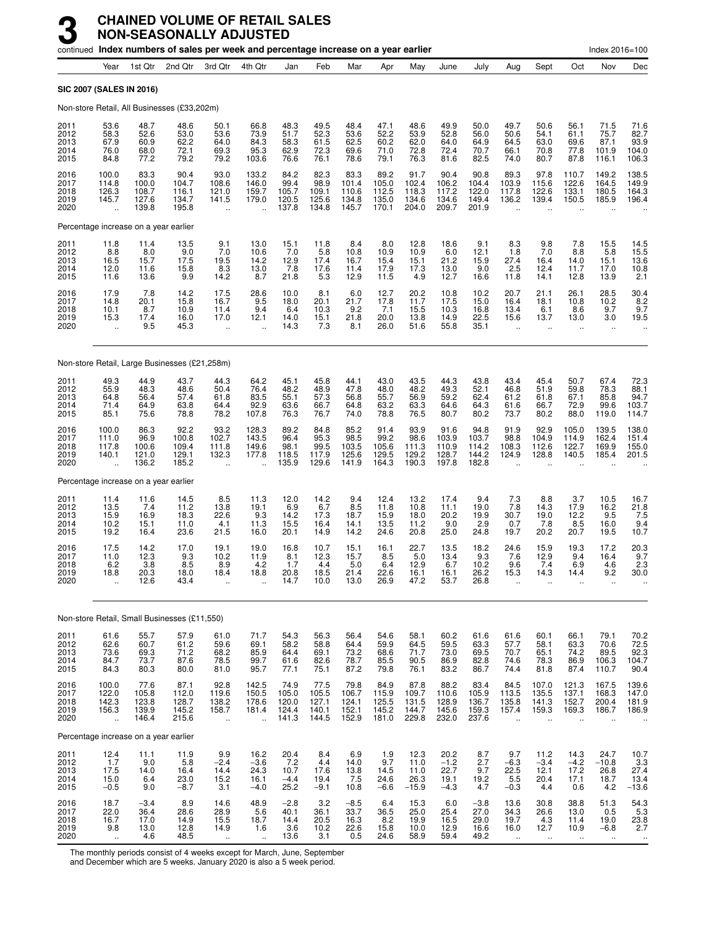|                                      |                                                          |                                          |                                               | continued Index numbers of sales per week and percentage increase on a year earlier |                                                          |                                           |                                          |                                          |                                          |                                          |                                          |                                          |                                                         |                                                          |                                                          | Index 2016=100                             |                                                                               |
|--------------------------------------|----------------------------------------------------------|------------------------------------------|-----------------------------------------------|-------------------------------------------------------------------------------------|----------------------------------------------------------|-------------------------------------------|------------------------------------------|------------------------------------------|------------------------------------------|------------------------------------------|------------------------------------------|------------------------------------------|---------------------------------------------------------|----------------------------------------------------------|----------------------------------------------------------|--------------------------------------------|-------------------------------------------------------------------------------|
|                                      | Year                                                     | 1st Qtr                                  | 2nd Qtr                                       | 3rd Qtr                                                                             | 4th Qtr                                                  | Jan                                       | Feb                                      | Mar                                      | Apr                                      | May                                      | June                                     | July                                     | Aug                                                     | Sept                                                     | Oct                                                      | Nov                                        | Dec                                                                           |
|                                      |                                                          | SIC 2007 (SALES IN 2016)                 |                                               |                                                                                     |                                                          |                                           |                                          |                                          |                                          |                                          |                                          |                                          |                                                         |                                                          |                                                          |                                            |                                                                               |
|                                      |                                                          |                                          | Non-store Retail, All Businesses (£33,202m)   |                                                                                     |                                                          |                                           |                                          |                                          |                                          |                                          |                                          |                                          |                                                         |                                                          |                                                          |                                            |                                                                               |
| 2011<br>2012<br>2013<br>2014<br>2015 | 53.6<br>58.3<br>67.9<br>76.0<br>84.8                     | 48.7<br>52.6<br>60.9<br>68.0<br>77.2     | 48.6<br>53.0<br>62.2<br>72.1<br>79.2          | 50.1<br>53.6<br>64.0<br>69.3<br>79.2                                                | 66.8<br>73.9<br>84.3<br>95.3<br>103.6                    | 48.3<br>51.7<br>58.3<br>62.9<br>76.6      | 49.5<br>52.3<br>61.5<br>72.3<br>76.1     | 48.4<br>53.6<br>62.5<br>69.6<br>78.6     | 47.1<br>52.2<br>60.2<br>71.0<br>79.1     | 48.6<br>53.9<br>62.0<br>72.8<br>76.3     | 49.9<br>52.8<br>64.0<br>72.4<br>81.6     | 50.0<br>56.0<br>64.9<br>70.7<br>82.5     | 49.7<br>50.6<br>64.5<br>66.1<br>74.0                    | 50.6<br>54.1<br>63.0<br>70.8<br>80.7                     | 56.1<br>61.1<br>69.6<br>77.8<br>87.8                     | 71.5<br>75.7<br>87.1<br>101.9<br>116.1     | 71.6<br>82.7<br>93.9<br>104.0<br>106.3                                        |
| 2016<br>2017<br>2018<br>2019<br>2020 | 100.0<br>114.8<br>126.3<br>145.7<br>$\ddot{\phantom{a}}$ | 83.3<br>100.0<br>108.7<br>127.6<br>139.8 | 90.4<br>104.7<br>116.1<br>134.7<br>195.8      | 93.0<br>108.6<br>121.0<br>141.5<br>u.                                               | 133.2<br>146.0<br>159.7<br>179.0<br>$\ddot{\phantom{a}}$ | 84.2<br>99.4<br>105.7<br>120.5<br>137.8   | 82.3<br>98.9<br>109.1<br>125.6<br>134.8  | 83.3<br>101.4<br>110.6<br>134.8<br>145.7 | 89.2<br>105.0<br>112.5<br>135.0<br>170.1 | 91.7<br>102.4<br>118.3<br>134.6<br>204.0 | 90.4<br>106.2<br>117.2<br>134.6<br>209.7 | 90.8<br>104.4<br>122.0<br>149.4<br>201.9 | 89.3<br>103.9<br>117.8<br>136.2                         | 97.8<br>115.6<br>122.6<br>139.4                          | 110.7<br>122.6<br>133.1<br>150.5                         | 149.2<br>164.5<br>180.5<br>185.9           | 138.5<br>149.9<br>164.3<br>196.4                                              |
|                                      |                                                          | Percentage increase on a year earlier    |                                               |                                                                                     |                                                          |                                           |                                          |                                          |                                          |                                          |                                          |                                          |                                                         |                                                          |                                                          |                                            |                                                                               |
| 2011<br>2012<br>2013<br>2014<br>2015 | 11.8<br>8.8<br>16.5<br>12.0<br>11.6                      | 11.4<br>8.0<br>15.7<br>11.6<br>13.6      | 13.5<br>9.0<br>17.5<br>15.8<br>9.9            | 9.1<br>7.0<br>19.5<br>8.3<br>14.2                                                   | 13.0<br>10.6<br>14.2<br>13.0<br>8.7                      | $\frac{15.1}{7.0}$<br>12.9<br>7.8<br>21.8 | 11.8<br>5.8<br>17.4<br>17.6<br>5.3       | 8.4<br>10.8<br>16.7<br>11.4<br>12.9      | 8.0<br>10.9<br>15.4<br>17.9<br>11.5      | 12.8<br>10.9<br>15.1<br>17.3<br>4.9      | 18.6<br>6.0<br>21.2<br>13.0<br>12.7      | 9.1<br>12.1<br>15.9<br>9.0<br>16.6       | 8.3<br>1.8<br>27.4<br>2.5<br>11.8                       | 9.8<br>7.0<br>16.4<br>12.4<br>14.1                       | 7.8<br>8.8<br>14.0<br>11.7<br>12.8                       | 15.5<br>5.8<br>15.1<br>17.0<br>13.9        | 14.5<br>15.5<br>13.6<br>10.8<br>2.1                                           |
| 2016<br>2017<br>2018<br>2019<br>2020 | 17.9<br>14.8<br>10.1<br>15.3<br>$\ddot{\phantom{a}}$     | 7.8<br>20.1<br>8.7<br>17.4<br>9.5        | 14.2<br>15.8<br>10.9<br>16.0<br>45.3          | 17.5<br>16.7<br>11.4<br>17.0<br>$\ddot{\phantom{1}}$                                | 28.6<br>9.5<br>9.4<br>12.1                               | 10.0<br>18.0<br>6.4<br>14.0<br>14.3       | 8.1<br>20.1<br>10.3<br>15.1<br>7.3       | 6.0<br>21.7<br>9.2<br>21.8<br>8.1        | 12.7<br>17.8<br>7.1<br>20.0<br>26.0      | 20.2<br>11.7<br>15.5<br>13.8<br>51.6     | 10.8<br>17.5<br>10.3<br>14.9<br>55.8     | 10.2<br>15.0<br>16.8<br>22.5<br>35.1     | 20.7<br>16.4<br>13.4<br>15.6<br>$\ddot{\phantom{a}}$    | 21.1<br>18.1<br>6.1<br>13.7<br>$\ddotsc$                 | 26.1<br>10.8<br>8.6<br>13.0<br>ä.                        | 28.5<br>10.2<br>9.7<br>3.0<br>$\mathbf{r}$ | 30.4<br>8.2<br>9.7<br>19.5                                                    |
|                                      |                                                          |                                          | Non-store Retail, Large Businesses (£21,258m) |                                                                                     |                                                          |                                           |                                          |                                          |                                          |                                          |                                          |                                          |                                                         |                                                          |                                                          |                                            |                                                                               |
| 2011<br>2012<br>2013<br>2014<br>2015 | 49.3<br>55.9<br>64.8<br>71.4<br>85.1                     | 44.9<br>48.3<br>56.4<br>64.9<br>75.6     | 43.7<br>48.6<br>57.4<br>63.8<br>78.8          | 44.3<br>50.4<br>61.8<br>64.4<br>78.2                                                | 64.2<br>76.4<br>83.5<br>92.9<br>107.8                    | 45.1<br>48.2<br>55.1<br>63.6<br>76.3      | 45.8<br>48.9<br>57.3<br>66.7<br>76.7     | 44.1<br>47.8<br>56.8<br>64.8<br>74.0     | 43.0<br>48.0<br>55.7<br>63.2<br>78.8     | 43.5<br>48.2<br>56.9<br>63.3<br>76.5     | 44.3<br>49.3<br>59.2<br>64.6<br>80.7     | 43.8<br>52.1<br>62.4<br>64.3<br>80.2     | 43.4<br>46.8<br>61.2<br>61.6<br>73.7                    | 45.4<br>51.9<br>61.8<br>66.7<br>80.2                     | 50.7<br>59.8<br>67.1<br>72.9<br>88.0                     | 67.4<br>78.3<br>85.8<br>99.6<br>119.0      | 72.3<br>88.1<br>94.7<br>103.7<br>114.7                                        |
| 2016<br>2017<br>2018<br>2019<br>2020 | 100.0<br>111.0<br>117.8<br>140.1<br>$\ddot{\phantom{a}}$ | 86.3<br>96.9<br>100.6<br>121.0<br>136.2  | 92.2<br>100.8<br>109.4<br>129.1<br>185.2      | 93.2<br>102.7<br>111.8<br>132.3                                                     | 128.3<br>143.5<br>149.6<br>177.8                         | 89.2<br>96.4<br>98.1<br>118.5<br>135.9    | 84.8<br>95.3<br>99.5<br>117.9<br>129.6   | 85.2<br>98.5<br>103.5<br>125.6<br>141.9  | 91.4<br>99.2<br>105.6<br>129.5<br>164.3  | 93.9<br>98.6<br>111.3<br>129.2<br>190.3  | 91.6<br>103.9<br>110.9<br>128.7<br>197.8 | 94.8<br>103.7<br>114.2<br>144.2<br>182.8 | 91.9<br>98.8<br>108.3<br>124.9                          | 92.9<br>104.9<br>112.6<br>128.8                          | 105.0<br>114.9<br>122.7<br>140.5                         | 139.5<br>162.4<br>169.9<br>185.4           | 138.0<br>151.4<br>155.0<br>201.5                                              |
|                                      |                                                          | Percentage increase on a year earlier    |                                               |                                                                                     |                                                          |                                           |                                          |                                          |                                          |                                          |                                          |                                          |                                                         |                                                          |                                                          |                                            |                                                                               |
| 2011<br>2012<br>2013<br>2014<br>2015 | 11.4<br>13.5<br>15.9<br>10.2<br>19.2                     | 11.6<br>7.4<br>16.9<br>15.1<br>16.4      | 14.5<br>11.2<br>18.3<br>11.0<br>23.6          | 8.5<br>13.8<br>22.6<br>4.1<br>21.5                                                  | 11.3<br>19.1<br>9.3<br>11.3<br>16.0                      | 12.0<br>6.9<br>14.2<br>15.5<br>20.1       | 14.2<br>6.7<br>17.3<br>16.4<br>14.9      | 9.4<br>8.5<br>18.7<br>14.1<br>14.2       | 12.4<br>11.8<br>15.9<br>13.5<br>24.6     | 13.2<br>10.8<br>18.0<br>11.2<br>20.8     | 17.4<br>11.1<br>20.2<br>9.0<br>25.0      | 9.4<br>19.0<br>19.9<br>2.9<br>24.8       | 7.3<br>7.8<br>30.7<br>0.7<br>19.7                       | 8.8<br>14.3<br>19.0<br>7.8<br>20.2                       | 3.7<br>17.9<br>12.2<br>8.5<br>20.7                       | 10.5<br>16.2<br>9.5<br>16.0<br>19.5        | 16.7<br>$^{21.8}_{7.5}$<br>$9.4$<br>10.7                                      |
| 2016<br>2017<br>2018<br>2019<br>2020 | 17.5<br>11.0<br>6.2<br>18.8<br>$\ddot{\phantom{a}}$      | 14.2<br>12.3<br>3.8<br>20.3<br>12.6      | 17.0<br>9.3<br>8.5<br>18.0<br>43.4            | 19.1<br>10.2<br>8.9<br>18.4<br>$\ddot{\phantom{a}}$                                 | 19.0<br>11.9<br>4.2<br>18.8                              | 16.8<br>8.1<br>1.7<br>20.8<br>14.7        | 10.7<br>12.3<br>4.4<br>18.5<br>10.0      | 15.1<br>15.7<br>5.0<br>21.4<br>13.0      | 16.1<br>8.5<br>6.4<br>22.6<br>26.9       | 22.7<br>5.0<br>12.9<br>16.1<br>47.2      | 13.5<br>13.4<br>6.7<br>16.1<br>53.7      | 18.2<br>9.3<br>10.2<br>26.2<br>26.8      | 24.6<br>7.6<br>9.6<br>15.3                              | 15.9<br>12.9<br>7.4<br>14.3                              | 19.3<br>9.4<br>6.9<br>14.4                               | 17.2<br>16.4<br>4.6<br>9.2                 | 20.3<br>9.7<br>2.3<br>30.0                                                    |
|                                      |                                                          |                                          | Non-store Retail, Small Businesses (£11,550)  |                                                                                     |                                                          |                                           |                                          |                                          |                                          |                                          |                                          |                                          |                                                         |                                                          |                                                          |                                            |                                                                               |
| 2011<br>2012<br>2013<br>2014<br>2015 | 61.6<br>62.6<br>73.6<br>84.7<br>84.3                     | 55.7<br>60.7<br>69.3<br>73.7<br>80.3     | 57.9<br>61.2<br>71.2<br>87.6<br>80.0          | 61.0<br>59.6<br>68.2<br>78.5<br>81.0                                                | 71.7<br>69.1<br>85.9<br>99.7<br>95.7                     | 54.3<br>58.2<br>64.4<br>61.6<br>77.1      | 56.3<br>58.8<br>69.1<br>82.6<br>75.1     | 56.4<br>64.4<br>73.2<br>78.7<br>87.2     | 54.6<br>59.9<br>68.6<br>85.5<br>79.8     | 58.1<br>64.5<br>71.7<br>90.5<br>76.1     | 60.2<br>59.5<br>73.0<br>86.9<br>83.2     | 61.6<br>63.3<br>69.5<br>82.8<br>86.7     | 61.6<br>57.7<br>70.7<br>74.6<br>74.4                    | 60.1<br>58.1<br>65.1<br>78.3<br>81.8                     | 66.1<br>63.3<br>74.2<br>86.9<br>87.4                     | 79.1<br>70.6<br>89.5<br>106.3<br>110.7     | 70.2<br>72.5<br>92.3<br>104.7<br>90.4                                         |
| 2016<br>2017<br>2018<br>2019<br>2020 | 100.0<br>122.0<br>142.3<br>156.3<br>÷.                   | 77.6<br>105.8<br>123.8<br>139.9<br>146.4 | 87.1<br>112.0<br>128.7<br>145.2<br>215.6      | 92.8<br>119.6<br>138.2<br>158.7<br>x.                                               | 142.5<br>150.5<br>178.6<br>181.4<br>ä,                   | 74.9<br>105.0<br>120.0<br>124.4<br>141.3  | 77.5<br>105.5<br>127.1<br>140.1<br>144.5 | 79.8<br>106.7<br>124.1<br>152.1<br>152.9 | 84.9<br>115.9<br>125.5<br>145.2<br>181.0 | 87.8<br>109.7<br>131.5<br>144.7<br>229.8 | 88.2<br>110.6<br>128.9<br>145.6<br>232.0 | 83.4<br>105.9<br>136.7<br>159.3<br>237.6 | 84.5<br>113.5<br>135.8<br>157.4<br>$\ddot{\phantom{a}}$ | 107.0<br>135.5<br>141.3<br>159.3<br>$\ddot{\phantom{a}}$ | 121.3<br>137.1<br>152.7<br>169.3<br>$\ddot{\phantom{a}}$ | 167.5<br>168.3<br>200.4<br>186.7           | 139.6<br>147.0<br>181.9<br>186.9                                              |
|                                      |                                                          | Percentage increase on a year earlier    |                                               |                                                                                     |                                                          |                                           |                                          |                                          |                                          |                                          |                                          |                                          |                                                         |                                                          |                                                          |                                            |                                                                               |
| 2011<br>2012<br>2013<br>2014<br>2015 | $^{12.4}_{1.7}$<br>17.5<br>15.0<br>$-0.5$                | 11.1<br>9.0<br>14.0<br>6.4<br>9.0        | 11.9<br>5.8<br>16.4<br>23.0<br>$-8.7$         | 9.9<br>$-2.4$<br>14.4<br>15.2<br>3.1                                                | 16.2<br>$-3.6$<br>24.3<br>16.1<br>$-4.0$                 | 20.4<br>$7.2$<br>10.7<br>$-4.4$<br>25.2   | 8.4<br>4.4<br>17.6<br>19.4<br>$-9.1$     | 6.9<br>14.0<br>13.8<br>7.5<br>10.8       | 1.9<br>9.7<br>14.5<br>24.6<br>$-6.6$     | 12.3<br>11.0<br>11.0<br>26.3<br>$-15.9$  | 20.2<br>$-1.2$<br>22.7<br>19.1<br>$-4.3$ | 8.7<br>2.7<br>9.7<br>19.2<br>4.7         | 9.7<br>$-6.3$<br>22.5<br>5.5<br>$-0.3$                  | 11.2<br>$-3.4$<br>12.1<br>20.4<br>4.4                    | 14.3<br>$-4.2$<br>17.2<br>17.1<br>0.6                    | 24.7<br>$-10.8$<br>26.8<br>18.7<br>4.2     | 10.7<br>$\frac{3.3}{27.4}$<br>13.4<br>$-13.6$                                 |
| 2016<br>2017<br>2018<br>2019<br>2020 | 18.7<br>22.0<br>16.7<br>9.8<br>$\sim$                    | $-3.4$<br>36.4<br>17.0<br>13.0<br>4.6    | 8.9<br>28.6<br>14.9<br>12.8<br>48.5           | 14.6<br>28.9<br>15.5<br>14.9<br>$\ddotsc$                                           | 48.9<br>5.6<br>18.7<br>1.6<br>$\mathbf{u}$               | $-2.8$<br>40.1<br>14.4<br>3.6<br>13.6     | 3.2<br>36.1<br>20.5<br>10.2<br>3.1       | $-8.5$<br>33.7<br>16.3<br>22.6<br>0.5    | 6.4<br>36.5<br>8.2<br>15.8<br>24.6       | 15.3<br>25.0<br>19.9<br>10.0<br>58.9     | 6.0<br>25.4<br>16.5<br>12.9<br>59.4      | $-3.8$<br>27.0<br>29.0<br>16.6<br>49.2   | 13.6<br>34.3<br>19.7<br>16.0<br>$\ddotsc$               | 30.8<br>26.6<br>4.3<br>12.7<br>$\ddotsc$                 | 38.8<br>13.0<br>11.4<br>10.9<br>$\ldots$                 | 51.3<br>0.5<br>19.0<br>$-6.8$<br>$\sim$    | 54.3<br>$\begin{array}{c} 5.3 \\ 23.8 \\ 2.7 \end{array}$<br>$\bullet\bullet$ |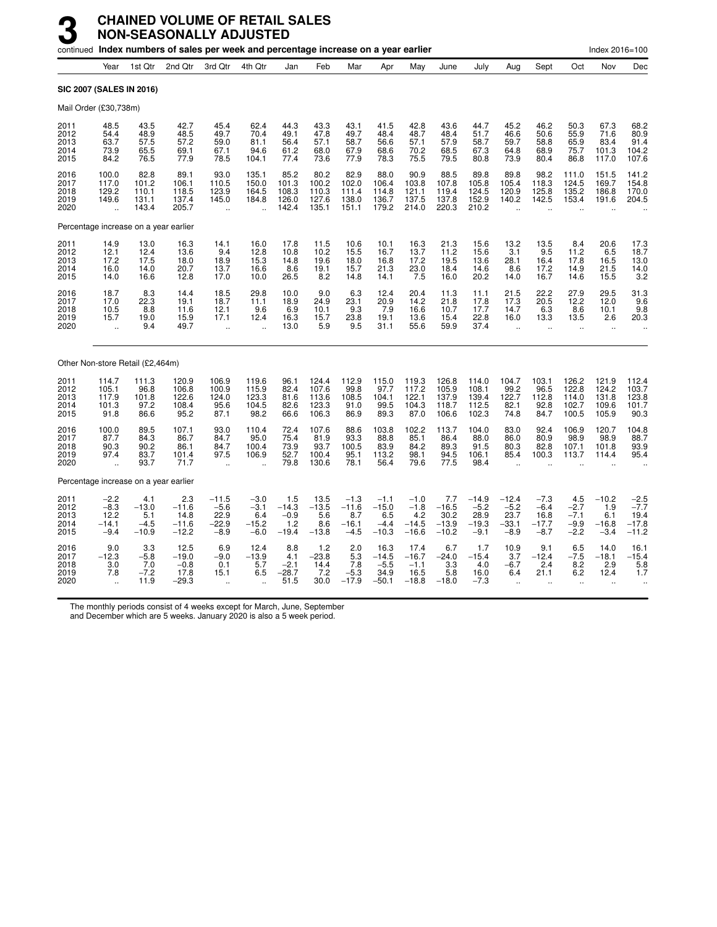|                                      |                                                       |                                            | continued Index numbers of sales per week and percentage increase on a year earlier |                                                      |                                              |                                          |                                           |                                               |                                               |                                               |                                              |                                                |                                                    |                                               |                                             | Index 2016=100                                      |                                                |
|--------------------------------------|-------------------------------------------------------|--------------------------------------------|-------------------------------------------------------------------------------------|------------------------------------------------------|----------------------------------------------|------------------------------------------|-------------------------------------------|-----------------------------------------------|-----------------------------------------------|-----------------------------------------------|----------------------------------------------|------------------------------------------------|----------------------------------------------------|-----------------------------------------------|---------------------------------------------|-----------------------------------------------------|------------------------------------------------|
|                                      | Year                                                  | 1st Qtr                                    | 2nd Qtr                                                                             | 3rd Qtr                                              | 4th Qtr                                      | Jan                                      | Feb                                       | Mar                                           | Apr                                           | May                                           | June                                         | July                                           | Aug                                                | Sept                                          | Oct                                         | Nov                                                 | Dec                                            |
|                                      |                                                       | <b>SIC 2007 (SALES IN 2016)</b>            |                                                                                     |                                                      |                                              |                                          |                                           |                                               |                                               |                                               |                                              |                                                |                                                    |                                               |                                             |                                                     |                                                |
| Mail Order (£30,738m)                |                                                       |                                            |                                                                                     |                                                      |                                              |                                          |                                           |                                               |                                               |                                               |                                              |                                                |                                                    |                                               |                                             |                                                     |                                                |
| 2011<br>2012<br>2013<br>2014<br>2015 | 48.5<br>54.4<br>63.7<br>73.9<br>84.2                  | 43.5<br>48.9<br>57.5<br>65.5<br>76.5       | 42.7<br>48.5<br>57.2<br>69.1<br>77.9                                                | 45.4<br>49.7<br>59.0<br>67.1<br>78.5                 | 62.4<br>70.4<br>81.1<br>94.6<br>104.1        | 44.3<br>49.1<br>56.4<br>61.2<br>77.4     | 43.3<br>47.8<br>57.1<br>68.0<br>73.6      | 43.1<br>49.7<br>58.7<br>67.9<br>77.9          | 41.5<br>48.4<br>56.6<br>68.6<br>78.3          | 42.8<br>48.7<br>57.1<br>70.2<br>75.5          | 43.6<br>48.4<br>57.9<br>68.5<br>79.5         | 44.7<br>51.7<br>58.7<br>67.3<br>80.8           | 45.2<br>46.6<br>59.7<br>64.8<br>73.9               | 46.2<br>50.6<br>58.8<br>68.9<br>80.4          | 50.3<br>55.9<br>65.9<br>75.7<br>86.8        | 67.3<br>71.6<br>83.4<br>101.3<br>117.0              | 68.2<br>80.9<br>91.4<br>104.2<br>107.6         |
| 2016<br>2017<br>2018<br>2019<br>2020 | 100.0<br>117.0<br>129.2<br>149.6<br>ä,                | 82.8<br>101.2<br>110.1<br>131.1<br>143.4   | 89.1<br>106.1<br>118.5<br>137.4<br>205.7                                            | 93.0<br>110.5<br>123.9<br>145.0<br>÷.                | 135.1<br>150.0<br>164.5<br>184.8             | 85.2<br>101.3<br>108.3<br>126.0<br>142.4 | 80.2<br>100.2<br>110.3<br>127.6<br>135.1  | 82.9<br>102.0<br>111.4<br>138.0<br>151.1      | 88.0<br>106.4<br>114.8<br>136.7<br>179.2      | 90.9<br>103.8<br>121.1<br>137.5<br>214.0      | 88.5<br>107.8<br>119.4<br>137.8<br>220.3     | 89.8<br>105.8<br>124.5<br>152.9<br>210.2       | 89.8<br>105.4<br>120.9<br>140.2                    | 98.2<br>118.3<br>125.8<br>142.5               | 111.0<br>124.5<br>135.2<br>153.4            | 151.5<br>169.7<br>186.8<br>191.6                    | 141.2<br>154.8<br>170.0<br>204.5               |
|                                      |                                                       | Percentage increase on a year earlier      |                                                                                     |                                                      |                                              |                                          |                                           |                                               |                                               |                                               |                                              |                                                |                                                    |                                               |                                             |                                                     |                                                |
| 2011<br>2012<br>2013<br>2014<br>2015 | 14.9<br>12.1<br>17.2<br>16.0<br>14.0                  | 13.0<br>12.4<br>17.5<br>14.0<br>16.6       | 16.3<br>13.6<br>18.0<br>20.7<br>12.8                                                | 14.1<br>9.4<br>18.9<br>13.7<br>17.0                  | 16.0<br>12.8<br>15.3<br>16.6<br>10.0         | 17.8<br>10.8<br>14.8<br>8.6<br>26.5      | 11.5<br>10.2<br>19.6<br>19.1<br>8.2       | 10.6<br>15.5<br>18.0<br>15.7<br>14.8          | 10.1<br>16.7<br>16.8<br>21.3<br>14.1          | 16.3<br>13.7<br>17.2<br>23.0<br>7.5           | 21.3<br>11.2<br>19.5<br>18.4<br>16.0         | 15.6<br>15.6<br>13.6<br>14.6<br>20.2           | 13.2<br>3.1<br>28.1<br>8.6<br>14.0                 | 13.5<br>9.5<br>16.4<br>17.2<br>16.7           | 8.4<br>11.2<br>17.8<br>14.9<br>14.6         | 20.6<br>6.5<br>16.5<br>21.5<br>15.5                 | 17.3<br>18.7<br>13.0<br>14.0<br>3.2            |
| 2016<br>2017<br>2018<br>2019<br>2020 | 18.7<br>17.0<br>10.5<br>15.7<br>$\ddot{\phantom{a}}$  | 8.3<br>22.3<br>8.8<br>19.0<br>9.4          | 14.4<br>19.1<br>11.6<br>15.9<br>49.7                                                | 18.5<br>18.7<br>12.1<br>17.1<br>$\ddot{\phantom{a}}$ | 29.8<br>11.1<br>9.6<br>12.4                  | 10.0<br>18.9<br>6.9<br>16.3<br>13.0      | 9.0<br>24.9<br>10.1<br>15.7<br>5.9        | 6.3<br>23.1<br>9.3<br>23.8<br>9.5             | 12.4<br>20.9<br>7.9<br>19.1<br>31.1           | 20.4<br>14.2<br>16.6<br>13.6<br>55.6          | 11.3<br>21.8<br>10.7<br>15.4<br>59.9         | 11.1<br>17.8<br>17.7<br>22.8<br>37.4           | 21.5<br>17.3<br>14.7<br>16.0<br>$\bar{\mathbf{r}}$ | 22.2<br>20.5<br>6.3<br>13.3                   | 27.9<br>12.2<br>8.6<br>13.5                 | 29.5<br>12.0<br>10.1<br>2.6<br>$\ddot{\phantom{a}}$ | 31.3<br>9.6<br>9.8<br>20.3                     |
|                                      |                                                       | Other Non-store Retail (£2,464m)           |                                                                                     |                                                      |                                              |                                          |                                           |                                               |                                               |                                               |                                              |                                                |                                                    |                                               |                                             |                                                     |                                                |
| 2011<br>2012<br>2013<br>2014<br>2015 | 114.7<br>105.1<br>117.9<br>101.3<br>91.8              | 111.3<br>96.8<br>101.8<br>97.2<br>86.6     | 120.9<br>106.8<br>122.6<br>108.4<br>95.2                                            | 106.9<br>100.9<br>124.0<br>95.6<br>87.1              | 119.6<br>115.9<br>123.3<br>104.5<br>98.2     | 96.1<br>82.4<br>81.6<br>82.6<br>66.6     | 124.4<br>107.6<br>113.6<br>123.3<br>106.3 | 112.9<br>99.8<br>108.5<br>91.0<br>86.9        | 115.0<br>97.7<br>104.1<br>99.5<br>89.3        | 119.3<br>117.2<br>122.1<br>104.3<br>87.0      | 126.8<br>105.9<br>137.9<br>118.7<br>106.6    | 114.0<br>108.1<br>139.4<br>112.5<br>102.3      | 104.7<br>99.2<br>122.7<br>82.1<br>74.8             | 103.1<br>96.5<br>112.8<br>92.8<br>84.7        | 126.2<br>122.8<br>114.0<br>102.7<br>100.5   | 121.9<br>124.2<br>131.8<br>109.6<br>105.9           | 112.4<br>103.7<br>123.8<br>101.7<br>90.3       |
| 2016<br>2017<br>2018<br>2019<br>2020 | 100.0<br>87.7<br>90.3<br>97.4<br>$\ddot{\phantom{a}}$ | 89.5<br>84.3<br>90.2<br>83.7<br>93.7       | 107.1<br>86.7<br>86.1<br>101.4<br>71.7                                              | 93.0<br>84.7<br>84.7<br>97.5<br>$\ddot{\phantom{a}}$ | 110.4<br>95.0<br>100.4<br>106.9              | 72.4<br>75.4<br>73.9<br>52.7<br>79.8     | 107.6<br>81.9<br>93.7<br>100.4<br>130.6   | 88.6<br>93.3<br>100.5<br>95.1<br>78.1         | 103.8<br>88.8<br>83.9<br>113.2<br>56.4        | 102.2<br>85.1<br>84.2<br>98.1<br>79.6         | 113.7<br>86.4<br>89.3<br>94.5<br>77.5        | 104.0<br>88.0<br>91.5<br>106.1<br>98.4         | 83.0<br>86.0<br>80.3<br>85.4                       | 92.4<br>80.9<br>82.8<br>100.3                 | 106.9<br>98.9<br>107.1<br>113.7             | 120.7<br>98.9<br>101.8<br>114.4                     | 104.8<br>88.7<br>93.9<br>95.4                  |
|                                      |                                                       | Percentage increase on a year earlier      |                                                                                     |                                                      |                                              |                                          |                                           |                                               |                                               |                                               |                                              |                                                |                                                    |                                               |                                             |                                                     |                                                |
| 2011<br>2012<br>2013<br>2014<br>2015 | $-2.2$<br>$-8.3$<br>12.2<br>-14.1<br>$-9.4$           | 4.1<br>$-13.0$<br>5.1<br>$-4.5$<br>$-10.9$ | 2.3<br>$-11.6$<br>14.8<br>$-11.6$<br>$-12.2$                                        | $-11.5$<br>$-5.6$<br>22.9<br>$-22.9$<br>$-8.9$       | $-3.0$<br>$-3.1$<br>6.4<br>$-15.2$<br>$-6.0$ | $1.5 - 14.3$<br>$-0.9$<br>1.2<br>$-19.4$ | 13.5<br>$-13.5$<br>5.6<br>8.6<br>$-13.8$  | $-1.3$<br>$-11.6$<br>8.7<br>$-16.1$<br>$-4.5$ | $-1.1$<br>$-15.0$<br>6.5<br>$-4.4$<br>$-10.3$ | $-1.0$<br>$-1.8$<br>4.2<br>$-14.5$<br>$-16.6$ | 7.7<br>$-16.5$<br>30.2<br>$-13.9$<br>$-10.2$ | $-14.9$<br>$-5.2$<br>28.9<br>$-19.3$<br>$-9.1$ | $-12.4$<br>$-5.2$<br>23.7<br>$-33.1$<br>$-8.9$     | $-7.3$<br>$-6.4$<br>16.8<br>$-17.7$<br>$-8.7$ | 4.5<br>$-2.7$<br>$-7.1$<br>$-9.9$<br>$-2.2$ | $-10.2$<br>1.9<br>6.1<br>$-16.8$<br>$-3.4$          | $-2.5$<br>$-7.7$<br>19.4<br>$-17.8$<br>$-11.2$ |
| 2016<br>2017<br>2018<br>2019<br>2020 | 9.0<br>$-12.3$<br>3.0<br>7.8                          | 3.3<br>$-5.8$<br>7.0<br>$-7.2$<br>11.9     | 12.5<br>$-19.0$<br>$-0.8$<br>17.8<br>$-29.3$                                        | 6.9<br>$-9.0$<br>0.1<br>15.1                         | 12.4<br>$-13.9$<br>5.7<br>6.5                | 8.8<br>4.1<br>$-2.1$<br>$-28.7$<br>51.5  | 1.2<br>$-23.8$<br>14.4<br>7.2<br>30.0     | 2.0<br>5.3<br>7.8<br>$-5.3$<br>$-17.9$        | 16.3<br>$-14.5$<br>$-5.5$<br>34.9<br>$-50.1$  | 17.4<br>$-16.7$<br>$-1.1$<br>16.5<br>$-18.8$  | 6.7<br>$-24.0$<br>3.3<br>5.8<br>$-18.0$      | 1.7<br>$-15.4$<br>4.0<br>16.0<br>$-7.3$        | 10.9<br>3.7<br>$-6.7$<br>6.4                       | 9.1<br>$-12.4$<br>2.4<br>21.1                 | 6.5<br>$-7.5$<br>8.2<br>6.2                 | 14.0<br>$-18.1$<br>2.9<br>12.4                      | 16.1<br>$-15.4$<br>5.8<br>1.7                  |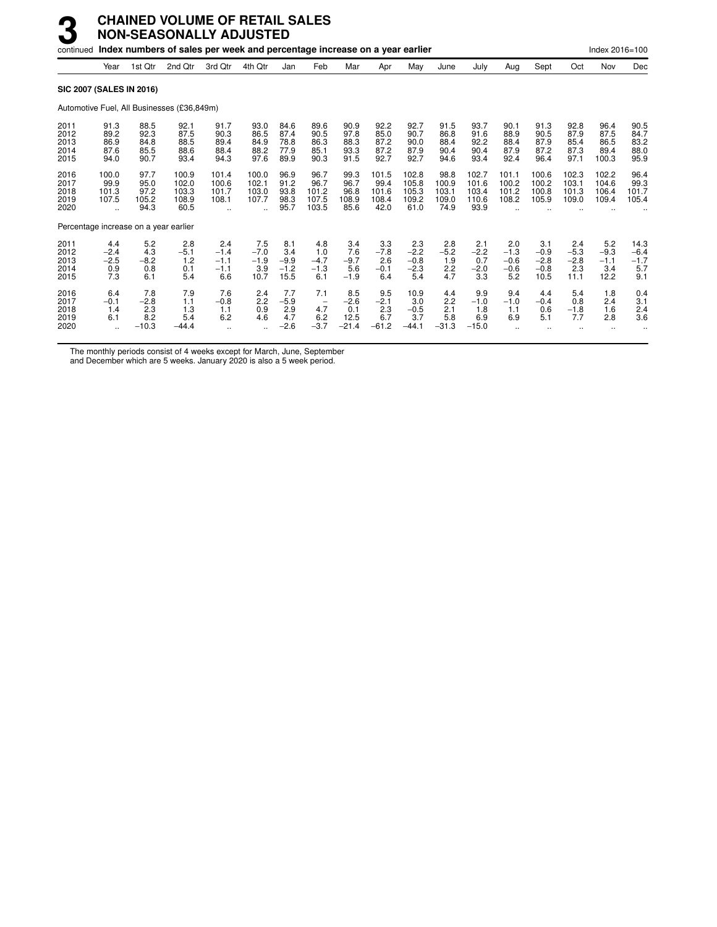|                                      |                                       |                                        | continued Index numbers of sales per week and percentage increase on a year earlier |                                          |                                        |                                        |                                                         |                                         |                                         |                                          |                                         |                                          |                                          |                                           |                                        | Index 2016=100                         |                                        |
|--------------------------------------|---------------------------------------|----------------------------------------|-------------------------------------------------------------------------------------|------------------------------------------|----------------------------------------|----------------------------------------|---------------------------------------------------------|-----------------------------------------|-----------------------------------------|------------------------------------------|-----------------------------------------|------------------------------------------|------------------------------------------|-------------------------------------------|----------------------------------------|----------------------------------------|----------------------------------------|
|                                      | Year                                  | 1st Qtr                                | 2nd Qtr                                                                             | 3rd Qtr                                  | 4th Qtr                                | Jan                                    | Feb                                                     | Mar                                     | Apr                                     | May                                      | June                                    | July                                     | Aug                                      | Sept                                      | Oct                                    | Nov                                    | Dec                                    |
|                                      | <b>SIC 2007 (SALES IN 2016)</b>       |                                        |                                                                                     |                                          |                                        |                                        |                                                         |                                         |                                         |                                          |                                         |                                          |                                          |                                           |                                        |                                        |                                        |
|                                      |                                       |                                        | Automotive Fuel, All Businesses (£36,849m)                                          |                                          |                                        |                                        |                                                         |                                         |                                         |                                          |                                         |                                          |                                          |                                           |                                        |                                        |                                        |
| 2011<br>2012<br>2013<br>2014<br>2015 | 91.3<br>89.2<br>86.9<br>87.6<br>94.0  | 88.5<br>92.3<br>84.8<br>85.5<br>90.7   | 92.1<br>87.5<br>88.5<br>88.6<br>93.4                                                | 91.7<br>90.3<br>89.4<br>88.4<br>94.3     | 93.0<br>86.5<br>84.9<br>88.2<br>97.6   | 84.6<br>87.4<br>78.8<br>77.9<br>89.9   | 89.6<br>90.5<br>86.3<br>85.1<br>90.3                    | 90.9<br>97.8<br>88.3<br>93.3<br>91.5    | 92.2<br>85.0<br>87.2<br>87.2<br>92.7    | 92.7<br>90.7<br>90.0<br>87.9<br>92.7     | 91.5<br>86.8<br>88.4<br>90.4<br>94.6    | 93.7<br>91.6<br>92.2<br>90.4<br>93.4     | 90.1<br>88.9<br>88.4<br>87.9<br>92.4     | 91.3<br>90.5<br>87.9<br>87.2<br>96.4      | 92.8<br>87.9<br>85.4<br>87.3<br>97.1   | 96.4<br>87.5<br>86.5<br>89.4<br>100.3  | 90.5<br>84.7<br>83.2<br>88.0<br>95.9   |
| 2016<br>2017<br>2018<br>2019<br>2020 | 100.0<br>99.9<br>101.3<br>107.5       | 97.7<br>95.0<br>97.2<br>105.2<br>94.3  | 100.9<br>102.0<br>103.3<br>108.9<br>60.5                                            | 101.4<br>100.6<br>101.7<br>108.1         | 100.0<br>102.1<br>103.0<br>107.7       | 96.9<br>91.2<br>93.8<br>98.3<br>95.7   | 96.7<br>96.7<br>101.2<br>107.5<br>103.5                 | 99.3<br>96.7<br>96.8<br>108.9<br>85.6   | 101.5<br>99.4<br>101.6<br>108.4<br>42.0 | 102.8<br>105.8<br>105.3<br>109.2<br>61.0 | 98.8<br>100.9<br>103.1<br>109.0<br>74.9 | 102.7<br>101.6<br>103.4<br>110.6<br>93.9 | 101.1<br>100.2<br>101.2<br>108.2         | 100.6<br>100.2<br>100.8<br>105.9          | 102.3<br>103.1<br>101.3<br>109.0       | 102.2<br>104.6<br>106.4<br>109.4       | 96.4<br>99.3<br>101.7<br>105.4         |
|                                      |                                       |                                        | Percentage increase on a year earlier                                               |                                          |                                        |                                        |                                                         |                                         |                                         |                                          |                                         |                                          |                                          |                                           |                                        |                                        |                                        |
| 2011<br>2012<br>2013<br>2014<br>2015 | 4.4<br>$-2.4$<br>$-2.5$<br>0.9<br>7.3 | 5.2<br>4.3<br>$-8.2$<br>0.8<br>6.1     | 2.8<br>$-5.1$<br>1.2<br>0.1<br>5.4                                                  | 2.4<br>$-1.4$<br>$-1.1$<br>$-1.1$<br>6.6 | 7.5<br>$-7.0$<br>$-1.9$<br>3.9<br>10.7 | 8.1<br>3.4<br>$-9.9$<br>$-1.2$<br>15.5 | 4.8<br>1.0<br>$-4.7$<br>$-1.3$<br>6.1                   | 3.4<br>7.6<br>$-9.7$<br>5.6<br>$-1.9$   | 3.3<br>$-7.8$<br>2.6<br>$-0.1$<br>6.4   | 2.3<br>$-2.2$<br>$-0.8$<br>$-2.3$<br>5.4 | 2.8<br>$-5.2$<br>1.9<br>2.2<br>4.7      | 2.1<br>$-2.2$<br>0.7<br>$-2.0$<br>3.3    | 2.0<br>$-1.3$<br>$-0.6$<br>$-0.6$<br>5.2 | 3.1<br>$-0.9$<br>$-2.8$<br>$-0.8$<br>10.5 | 2.4<br>$-5.3$<br>$-2.8$<br>2.3<br>11.1 | 5.2<br>$-9.3$<br>$-1.1$<br>3.4<br>12.2 | 14.3<br>$-6.4$<br>$-1.7$<br>5.7<br>9.1 |
| 2016<br>2017<br>2018<br>2019<br>2020 | 6.4<br>$-0.1$<br>1.4<br>6.1           | 7.8<br>$-2.8$<br>2.3<br>8.2<br>$-10.3$ | 7.9<br>1.1<br>1.3<br>5.4<br>$-44.4$                                                 | 7.6<br>$-0.8$<br>1.1<br>6.2              | 2.4<br>2.2<br>0.9<br>4.6               | 7.7<br>$-5.9$<br>2.9<br>4.7<br>$-2.6$  | 7.1<br>$\overline{\phantom{a}}$<br>4.7<br>6.2<br>$-3.7$ | 8.5<br>$-2.6$<br>0.1<br>12.5<br>$-21.4$ | 9.5<br>$-2.1$<br>2.3<br>6.7<br>$-61.2$  | 10.9<br>3.0<br>$-0.5$<br>3.7<br>$-44.1$  | 4.4<br>2.2<br>2.1<br>5.8<br>$-31.3$     | 9.9<br>$-1.0$<br>1.8<br>6.9<br>$-15.0$   | 9.4<br>$-1.0$<br>1.1<br>6.9              | 4.4<br>$-0.4$<br>0.6<br>5.1               | 5.4<br>0.8<br>$-1.8$<br>7.7            | 1.8<br>2.4<br>1.6<br>2.8               | 0.4<br>3.1<br>2.4<br>3.6               |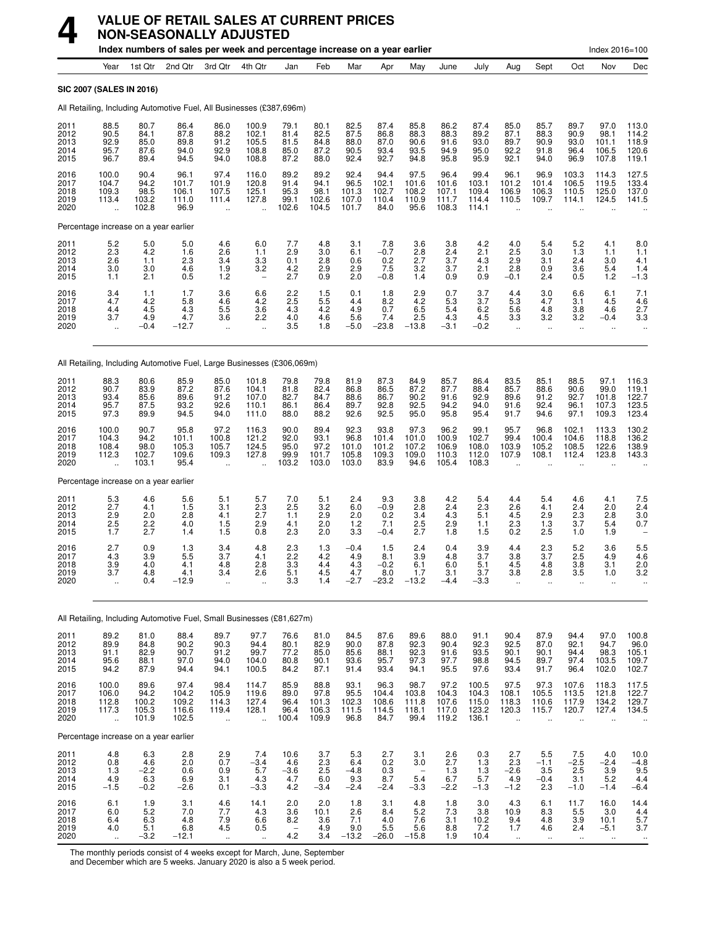

# **VALUE OF RETAIL SALES AT CURRENT PRICES NON-SEASONALLY ADJUSTED**

|                                      |                                                          |                                           | Index numbers of sales per week and percentage increase on a year earlier |                                                         |                                                   |                                               |                                         |                                         |                                                                   |                                            |                                          |                                                                   |                                                         |                                                  |                                                  | Index 2016=100                              |                                                |
|--------------------------------------|----------------------------------------------------------|-------------------------------------------|---------------------------------------------------------------------------|---------------------------------------------------------|---------------------------------------------------|-----------------------------------------------|-----------------------------------------|-----------------------------------------|-------------------------------------------------------------------|--------------------------------------------|------------------------------------------|-------------------------------------------------------------------|---------------------------------------------------------|--------------------------------------------------|--------------------------------------------------|---------------------------------------------|------------------------------------------------|
|                                      | Year                                                     | 1st Qtr                                   | 2nd Qtr                                                                   | 3rd Qtr                                                 | 4th Qtr                                           | Jan                                           | Feb                                     | Mar                                     | Apr                                                               | May                                        | June                                     | July                                                              | Aug                                                     | Sept                                             | Oct                                              | Nov                                         | Dec                                            |
|                                      | <b>SIC 2007 (SALES IN 2016)</b>                          |                                           |                                                                           |                                                         |                                                   |                                               |                                         |                                         |                                                                   |                                            |                                          |                                                                   |                                                         |                                                  |                                                  |                                             |                                                |
|                                      |                                                          |                                           | All Retailing, Including Automotive Fuel, All Businesses (£387,696m)      |                                                         |                                                   |                                               |                                         |                                         |                                                                   |                                            |                                          |                                                                   |                                                         |                                                  |                                                  |                                             |                                                |
| 2011<br>2012<br>2013<br>2014<br>2015 | 88.5<br>90.5<br>92.9<br>95.7<br>96.7                     | 80.7<br>84.1<br>85.0<br>87.6<br>89.4      | 86.4<br>87.8<br>89.8<br>94.0<br>94.5                                      | 86.0<br>88.2<br>91.2<br>92.9<br>94.0                    | 100.9<br>102.1<br>105.5<br>108.8<br>108.8         | 79.1<br>81.4<br>81.5<br>85.0<br>87.2          | 80.1<br>82.5<br>84.8<br>87.2<br>88.0    | 82.5<br>87.5<br>88.0<br>90.5<br>92.4    | 87.4<br>86.8<br>87.0<br>93.4<br>92.7                              | 85.8<br>88.3<br>90.6<br>93.5<br>94.8       | 86.2<br>88.3<br>91.6<br>94.9<br>95.8     | 87.4<br>89.2<br>93.0<br>95.0<br>95.9                              | 85.0<br>87.1<br>89.7<br>92.2<br>92.1                    | 85.7<br>88.3<br>90.9<br>91.8<br>94.0             | 89.7<br>90.9<br>93.0<br>96.4<br>96.9             | 97.0<br>98.1<br>101.1<br>106.5<br>107.8     | 113.0<br>114.2<br>118.9<br>120.6<br>119.1      |
| 2016<br>2017<br>2018<br>2019<br>2020 | 100.0<br>104.7<br>109.3<br>113.4                         | 90.4<br>94.2<br>98.5<br>103.2<br>102.8    | 96.1<br>101.7<br>106.1<br>111.0<br>96.9                                   | 97.4<br>101.9<br>107.5<br>111.4                         | 116.0<br>120.8<br>125.1<br>127.8                  | 89.2<br>91.4<br>95.3<br>99.1<br>102.6         | 89.2<br>94.1<br>98.1<br>102.6<br>104.5  | 92.4<br>96.5<br>101.3<br>107.0<br>101.7 | 94.4<br>102.1<br>102.7<br>110.4<br>84.0                           | 97.5<br>101.6<br>108.2<br>110.9<br>95.6    | 96.4<br>101.6<br>107.1<br>111.7<br>108.3 | 99.4<br>103.1<br>109.4<br>114.4<br>114.1                          | 96.1<br>101.2<br>106.9<br>110.5                         | 96.9<br>101.4<br>106.3<br>109.7                  | 103.3<br>106.5<br>110.5<br>114.1                 | 114.3<br>119.5<br>125.0<br>124.5            | 127.5<br>133.4<br>137.0<br>141.5               |
|                                      | Percentage increase on a year earlier                    |                                           |                                                                           |                                                         |                                                   |                                               |                                         |                                         |                                                                   |                                            |                                          |                                                                   |                                                         |                                                  |                                                  |                                             |                                                |
| 2011<br>2012<br>2013<br>2014<br>2015 | 5.2<br>2.3<br>2.6<br>3.0<br>1.1                          | 5.0<br>4.2<br>1.1<br>3.0<br>2.1           | 5.0<br>1.6<br>2.3<br>4.6<br>0.5                                           | 4.6<br>2.6<br>3.4<br>1.9<br>1.2                         | 6.0<br>1.1<br>3.3<br>3.2                          | 7.7<br>2.9<br>0.1<br>4.2<br>2.7               | 4.8<br>3.0<br>2.8<br>2.9<br>0.9         | 3.1<br>6.1<br>0.6<br>2.9<br>2.0         | 7.8<br>$-0.7$<br>0.2<br>7.5<br>$-0.8$                             | 3.6<br>2.8<br>2.7<br>3.2<br>1.4            | 3.8<br>2.4<br>3.7<br>3.7<br>0.9          | 4.2<br>2.1<br>4.3<br>2.1<br>0.9                                   | 4.0<br>2.5<br>2.9<br>2.8<br>$-0.1$                      | 5.4<br>3.0<br>3.1<br>0.9<br>2.4                  | 5.2<br>1.3<br>2.4<br>3.6<br>0.5                  | 4.1<br>1.1<br>3.0<br>5.4<br>1.2             | 8.0<br>1.1<br>4.1<br>1.4<br>$-1.3$             |
| 2016<br>2017<br>2018<br>2019<br>2020 | 3.4<br>4.7<br>4.4<br>3.7                                 | 1.1<br>4.2<br>4.5<br>4.9<br>$-0.4$        | 1.7<br>5.8<br>4.3<br>4.7<br>$-12.7$                                       | 3.6<br>4.6<br>5.5<br>3.6<br>$\ddotsc$                   | 6.6<br>4.2<br>3.6<br>2.2<br>$\ddot{\phantom{a}}$  | 2.2<br>2.5<br>4.3<br>4.0<br>3.5               | 1.5<br>5.5<br>4.2<br>4.6<br>1.8         | 0.1<br>4.4<br>4.9<br>5.6<br>$-5.0$      | 1.8<br>8.2<br>0.7<br>7.4<br>$-23.8$                               | 2.9<br>4.2<br>6.5<br>2.5<br>$-13.8$        | 0.7<br>5.3<br>5.4<br>4.3<br>-3.1         | 3.7<br>3.7<br>6.2<br>4.5<br>$-0.2$                                | 4.4<br>5.3<br>5.6<br>3.3<br>ä.                          | 3.0<br>4.7<br>4.8<br>3.2<br>$\ddot{\phantom{1}}$ | 6.6<br>3.1<br>3.8<br>3.2<br>$\ddot{\phantom{a}}$ | 6.1<br>4.5<br>4.6<br>$-0.4$<br>$\mathbf{r}$ | 7.1<br>4.6<br>2.7<br>3.3<br>$\ddotsc$          |
|                                      |                                                          |                                           | All Retailing, Including Automotive Fuel, Large Businesses (£306,069m)    |                                                         |                                                   |                                               |                                         |                                         |                                                                   |                                            |                                          |                                                                   |                                                         |                                                  |                                                  |                                             |                                                |
| 2011<br>2012<br>2013<br>2014<br>2015 | 88.3<br>90.7<br>93.4<br>95.7<br>97.3                     | 80.6<br>83.9<br>85.6<br>87.5<br>89.9      | 85.9<br>87.2<br>89.6<br>93.2<br>94.5                                      | 85.0<br>87.6<br>91.2<br>92.6<br>94.0                    | 101.8<br>104.1<br>107.0<br>110.1<br>111.0         | 79.8<br>81.8<br>82.7<br>86.1<br>88.0          | 79.8<br>82.4<br>84.7<br>86.4<br>88.2    | 81.9<br>86.8<br>88.6<br>89.7<br>92.6    | 87.3<br>86.5<br>86.7<br>92.8<br>92.5                              | 84.9<br>87.2<br>90.2<br>92.5<br>95.0       | 85.7<br>87.7<br>91.6<br>94.2<br>95.8     | 86.4<br>88.4<br>92.9<br>94.0<br>95.4                              | 83.5<br>85.7<br>89.6<br>91.6<br>91.7                    | 85.1<br>88.6<br>91.2<br>92.4<br>94.6             | 88.5<br>90.6<br>92.7<br>96.1<br>97.1             | 97.1<br>99.0<br>101.8<br>107.3<br>109.3     | 116.3<br>119.1<br>122.7<br>123.5<br>123.4      |
| 2016<br>2017<br>2018<br>2019<br>2020 | 100.0<br>104.3<br>108.4<br>112.3<br>$\ddot{\phantom{a}}$ | 90.7<br>94.2<br>98.0<br>102.7<br>103.1    | 95.8<br>101.1<br>105.3<br>109.6<br>95.4                                   | 97.2<br>100.8<br>105.7<br>109.3<br>$\ddot{\phantom{a}}$ | 116.3<br>121.2<br>124.5<br>127.8                  | 90.0<br>92.0<br>95.0<br>99.9<br>103.2         | 89.4<br>93.1<br>97.2<br>101.7<br>103.0  | 92.3<br>96.8<br>101.0<br>105.8<br>103.0 | 93.8<br>101.4<br>101.2<br>109.3<br>83.9                           | 97.3<br>101.0<br>107.2<br>109.0<br>94.6    | 96.2<br>100.9<br>106.9<br>110.3<br>105.4 | 99.1<br>102.7<br>108.0<br>112.0<br>108.3                          | 95.7<br>99.4<br>103.9<br>107.9<br>$\ddot{\phantom{a}}$  | 96.8<br>100.4<br>105.2<br>108.1                  | 102.1<br>104.6<br>108.5<br>112.4                 | 113.3<br>118.8<br>122.6<br>123.8            | 130.2<br>136.2<br>138.9<br>143.3               |
|                                      | Percentage increase on a year earlier                    |                                           |                                                                           |                                                         |                                                   |                                               |                                         |                                         |                                                                   |                                            |                                          |                                                                   |                                                         |                                                  |                                                  |                                             |                                                |
| 2011<br>2012<br>2013<br>2014<br>2015 | 5.3<br>2.7<br>2.9<br>2.5<br>1.7                          | 4.6<br>4.1<br>2.0<br>2.2<br>2.7           | 5.6<br>1.5<br>2.8<br>4.0<br>1.4                                           | 5.1<br>3.1<br>4.1<br>1.5<br>1.5                         | 5.7<br>2.3<br>2.7<br>2.9<br>0.8                   | 7.0<br>2.5<br>1.1<br>4.1<br>2.3               | 5.1<br>3.2<br>2.9<br>2.0<br>2.0         | 2.4<br>6.0<br>2.0<br>1.2<br>3.3         | 9.3<br>$-0.9$<br>0.2<br>7.1<br>$-0.4$                             | 3.8<br>2.8<br>3.4<br>2.5<br>2.7            | 4.2<br>2.4<br>4.3<br>2.9<br>1.8          | 5.4<br>2.3<br>5.1<br>1.1<br>1.5                                   | 4.4<br>2.6<br>4.5<br>2.3<br>0.2                         | 5.4<br>4.1<br>2.9<br>1.3<br>2.5                  | 4.6<br>2.4<br>2.3<br>3.7<br>1.0                  | 4.1<br>2.0<br>2.8<br>5.4<br>1.9             | 7.5<br>2.4<br>3.0<br>0.7                       |
| 2016<br>2017<br>2018<br>2019<br>2020 | 2.7<br>4.3<br>3.9<br>3.7<br>u,                           | 0.9<br>3.9<br>4.0<br>4.8<br>0.4           | 1.3<br>5.5<br>4.1<br>4.1<br>$-12.9$                                       | 3.4<br>3.7<br>4.8<br>3.4<br>$\ldots$                    | 4.8<br>4.1<br>2.8<br>2.6<br>$\ddot{\phantom{1}}$  | 2.3<br>2.2<br>3.3<br>5.1<br>$3.3\,$           | 1.3<br>4.2<br>4.4<br>4.5<br>1.4         | $-0.4$<br>4.9<br>4.3<br>4.7<br>$-2.7$   | 1.5<br>8.1<br>$-0.2$<br>8.0<br>$-23.2$                            | 2.4<br>3.9<br>6.1<br>1.7<br>$-13.2$        | 0.4<br>4.8<br>6.0<br>3.1<br>$-4.4$       | 3.9<br>3.7<br>5.1<br>3.7<br>$-3.3$                                | 4.4<br>3.8<br>4.5<br>3.8<br>ä,                          | 2.3<br>3.7<br>4.8<br>2.8<br>$\ddotsc$            | 5.2<br>2.5<br>3.8<br>3.5<br>$\ddotsc$            | 3.6<br>4.9<br>3.1<br>1.0<br>$\ddotsc$       | 5.5<br>4.6<br>2.0<br>3.2<br>ä.                 |
|                                      |                                                          |                                           | All Retailing, Including Automotive Fuel, Small Businesses (£81,627m)     |                                                         |                                                   |                                               |                                         |                                         |                                                                   |                                            |                                          |                                                                   |                                                         |                                                  |                                                  |                                             |                                                |
| 2011<br>2012<br>2013<br>2014<br>2015 | 89.2<br>$89.9$<br>$91.1$<br>95.6<br>94.2                 | 81.0<br>84.8<br>82.9<br>88.1<br>87.9      | 88.4<br>90.2<br>90.7<br>97.0<br>94.4                                      | 89.7<br>90.3<br>91.2<br>94.0<br>94.1                    | 97.7<br>94.4<br>99.7<br>104.0<br>100.5            | 76.6<br>80.1<br>77.2<br>80.8<br>84.2          | 81.0<br>82.9<br>85.0<br>90.1<br>87.1    | 84.5<br>90.0<br>85.6<br>93.6<br>91.4    | 87.6<br>87.8<br>88.1<br>95.7<br>93.4                              | 89.6<br>92.3<br>92.3<br>97.3<br>94.1       | 88.0<br>90.4<br>91.6<br>97.7<br>95.5     | 91.1<br>92.3<br>93.5<br>98.8<br>97.6                              | 90.4<br>92.5<br>90.1<br>94.5<br>93.4                    | 87.9<br>87.0<br>90.1<br>89.7<br>91.7             | 94.4<br>92.1<br>94.4<br>97.4<br>96.4             | 97.0<br>94.7<br>98.3<br>103.5<br>102.0      | 100.8<br>96.0<br>$105.1$<br>$109.7$<br>$102.7$ |
| 2016<br>2017<br>2018<br>2019<br>2020 | 100.0<br>106.0<br>112.8<br>117.3                         | 89.6<br>94.2<br>100.2<br>105.3<br>101.9   | 97.4<br>104.2<br>109.2<br>116.6<br>102.5                                  | 98.4<br>105.9<br>114.3<br>119.4<br>u.                   | 114.7<br>119.6<br>127.4<br>128.1<br>$\ddotsc$     | 85.9<br>89.0<br>96.4<br>96.4<br>100.4         | 88.8<br>97.8<br>101.3<br>106.3<br>109.9 | 93.1<br>95.5<br>102.3<br>111.5<br>96.8  | 96.3<br>104.4<br>108.6<br>114.5<br>84.7                           | 98.7<br>103.8<br>111.8<br>118.1<br>99.4    | 97.2<br>104.3<br>107.6<br>117.0<br>119.2 | 100.5<br>104.3<br>115.0<br>123.2<br>136.1                         | 97.5<br>108.1<br>118.3<br>120.3<br>$\ddot{\phantom{a}}$ | 97.3<br>105.5<br>110.6<br>115.7<br>$\ddotsc$     | 107.6<br>113.5<br>117.9<br>120.7                 | 118.3<br>121.8<br>134.2<br>127.4            | 117.5<br>122.7<br>129.7<br>134.5               |
|                                      | Percentage increase on a year earlier                    |                                           |                                                                           |                                                         |                                                   |                                               |                                         |                                         |                                                                   |                                            |                                          |                                                                   |                                                         |                                                  |                                                  |                                             |                                                |
| 2011<br>2012<br>2013<br>2014<br>2015 | $^{4.8}_{0.8}$<br>1.3<br>4.9<br>$-1.5$                   | 6.3<br>4.6<br>$-2.2$<br>6.3<br>$-0.2$     | 2.8<br>2.0<br>0.6<br>6.9<br>$-2.6$                                        | $^{2.9}_{0.7}$<br>0.9<br>3.1<br>0.1                     | 7.4<br>$-3.4$<br>5.7<br>4.3<br>$-3.3$             | 10.6<br>4.6<br>$-3.6$<br>4.7<br>4.2           | 3.7<br>2.3<br>2.5<br>6.0<br>$-3.4$      | 5.3<br>6.4<br>$-4.8$<br>9.3<br>$-2.4$   | 2.7<br>0.2<br>$\begin{array}{c} 0.3 \\ 8.7 \end{array}$<br>$-2.4$ | 3.1<br>3.0<br>5.4<br>$-3.3$                | $^{2.6}_{2.7}$<br>1.3<br>6.7<br>$-2.2$   | $\begin{array}{c} 0.3 \\ 1.3 \end{array}$<br>1.3<br>5.7<br>$-1.3$ | 2.7<br>2.3<br>$-2.6$<br>4.9<br>$-1.2$                   | 5.5<br>$-1.1$<br>3.5<br>$-0.4$<br>2.3            | 7.5<br>$-2.5$<br>2.5<br>3.1<br>$-1.0$            | 4.0<br>$-2.4$<br>3.9<br>5.2<br>$-1.4$       | 10.0<br>$-4.8$<br>$\frac{9.5}{4.4}$<br>$-6.4$  |
| 2016<br>2017<br>2018<br>2019<br>2020 | 6.1<br>6.0<br>6.4<br>4.0                                 | $\frac{1.9}{5.2}$<br>6.3<br>5.1<br>$-3.2$ | $\frac{3.1}{7.0}$<br>4.8<br>6.8<br>$-12.1$                                | 4.6<br>7.7<br>7.9<br>4.5                                | 14.1<br>4.3<br>6.6<br>0.5<br>$\ddot{\phantom{a}}$ | 2.0<br>3.6<br>8.2<br>$\qquad \qquad -$<br>4.2 | 2.0<br>10.1<br>3.6<br>4.9<br>3.4        | 1.8<br>2.6<br>7.1<br>9.0<br>$-13.2$     | 3.1<br>8.4<br>4.0<br>$5.\overline{5}$<br>$-26.0$                  | $\frac{4.8}{5.2}$<br>7.6<br>5.6<br>$-15.8$ | 1.8<br>7.3<br>3.1<br>8.8<br>1.9          | 3.0<br>3.8<br>$^{10.2}_{7.2}$<br>10.4                             | 4.3<br>10.9<br>9.4<br>1.7                               | $6.1$<br>$8.3$<br>4.8<br>4.6                     | 11.7<br>5.5<br>3.9<br>2.4                        | 16.0<br>3.0<br>10.1<br>$-5.1$               | 14.4<br>4.4<br>5.7<br>3.7                      |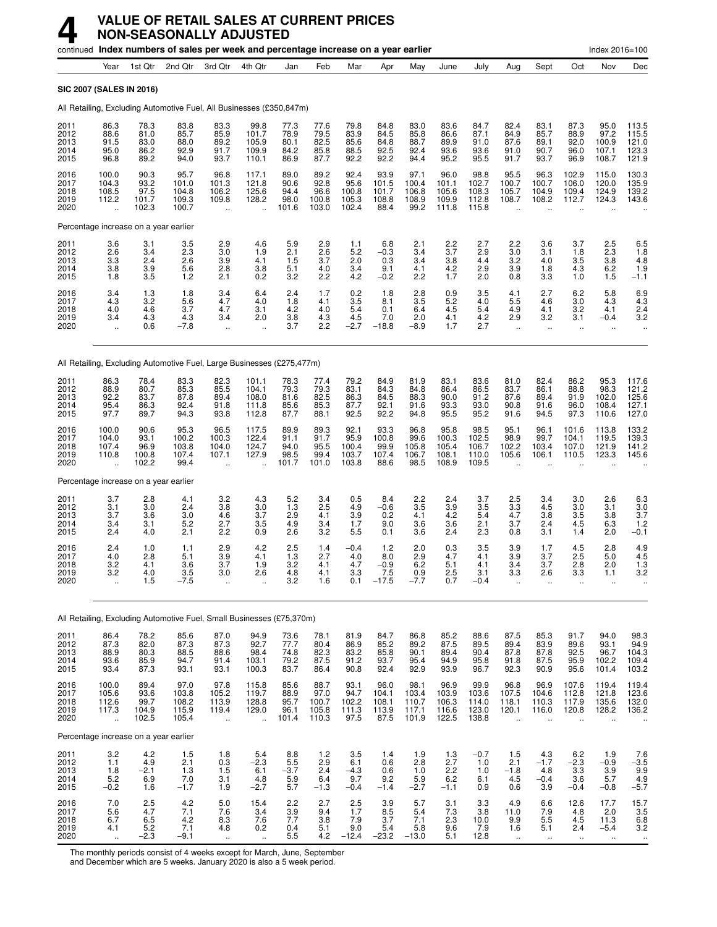|                                      |                                                          |                                        | continued Index numbers of sales per week and percentage increase on a year earlier |                                                                          |                                                                |                                        |                                         |                                         |                                         |                                           |                                                                |                                          |                                        |                                                         |                                                          | Index 2016=100                                        |                                                       |
|--------------------------------------|----------------------------------------------------------|----------------------------------------|-------------------------------------------------------------------------------------|--------------------------------------------------------------------------|----------------------------------------------------------------|----------------------------------------|-----------------------------------------|-----------------------------------------|-----------------------------------------|-------------------------------------------|----------------------------------------------------------------|------------------------------------------|----------------------------------------|---------------------------------------------------------|----------------------------------------------------------|-------------------------------------------------------|-------------------------------------------------------|
|                                      | Year                                                     | 1st Qtr                                | 2nd Qtr                                                                             | 3rd Qtr                                                                  | 4th Otr                                                        | Jan                                    | Feb                                     | Mar                                     | Apr                                     | May                                       | June                                                           | July                                     | Aug                                    | Sept                                                    | Oct                                                      | Nov                                                   | Dec                                                   |
| <b>SIC 2007 (SALES IN 2016)</b>      |                                                          |                                        |                                                                                     |                                                                          |                                                                |                                        |                                         |                                         |                                         |                                           |                                                                |                                          |                                        |                                                         |                                                          |                                                       |                                                       |
|                                      |                                                          |                                        | All Retailing, Excluding Automotive Fuel, All Businesses (£350,847m)                |                                                                          |                                                                |                                        |                                         |                                         |                                         |                                           |                                                                |                                          |                                        |                                                         |                                                          |                                                       |                                                       |
| 2011<br>2012<br>2013<br>2014<br>2015 | 86.3<br>88.6<br>91.5<br>95.0<br>96.8                     | 78.3<br>81.0<br>83.0<br>86.2<br>89.2   | 83.8<br>85.7<br>88.0<br>92.9<br>94.0                                                | 83.3<br>85.9<br>89.2<br>91.7<br>93.7                                     | 99.8<br>101.7<br>105.9<br>109.9<br>110.1                       | 77.3<br>78.9<br>80.1<br>84.2<br>86.9   | 77.6<br>79.5<br>82.5<br>85.8<br>87.7    | 79.8<br>83.9<br>85.6<br>88.5<br>92.2    | 84.8<br>84.5<br>84.8<br>92.5<br>92.2    | 83.0<br>85.8<br>88.7<br>92.4<br>94.4      | 83.6<br>86.6<br>89.9<br>93.6<br>95.2                           | 84.7<br>87.1<br>91.0<br>93.6<br>95.5     | 82.4<br>84.9<br>87.6<br>91.0<br>91.7   | 83.1<br>85.7<br>89.1<br>90.7<br>93.7                    | 87.3<br>88.9<br>92.0<br>96.0<br>96.9                     | 95.0<br>97.2<br>100.9<br>107.1<br>108.7               | 113.5<br>115.5<br>121.0<br>123.3<br>121.9             |
| 2016<br>2017<br>2018<br>2019<br>2020 | 100.0<br>104.3<br>108.5<br>112.2<br>$\ddot{\phantom{a}}$ | 90.3<br>93.2<br>97.5<br>101.7<br>102.3 | 95.7<br>101.0<br>104.8<br>109.3<br>100.7                                            | 96.8<br>101.3<br>106.2<br>109.8<br>$\ddot{\phantom{a}}$                  | 117.1<br>121.8<br>125.6<br>128.2<br>$\ddotsc$                  | 89.0<br>90.6<br>94.4<br>98.0<br>101.6  | 89.2<br>92.8<br>96.6<br>100.8<br>103.0  | 92.4<br>95.6<br>100.8<br>105.3<br>102.4 | 93.9<br>101.5<br>101.7<br>108.8<br>88.4 | 97.1<br>100.4<br>106.8<br>108.9<br>99.2   | 96.0<br>101.1<br>105.6<br>109.9<br>111.8                       | 98.8<br>102.7<br>108.3<br>112.8<br>115.8 | 95.5<br>100.7<br>105.7<br>108.7        | 96.3<br>100.7<br>104.9<br>108.2<br>$\ddot{\phantom{a}}$ | 102.9<br>106.0<br>109.4<br>112.7                         | 115.0<br>120.0<br>124.9<br>124.3                      | 130.3<br>135.9<br>139.2<br>143.6                      |
|                                      |                                                          | Percentage increase on a year earlier  |                                                                                     |                                                                          |                                                                |                                        |                                         |                                         |                                         |                                           |                                                                |                                          |                                        |                                                         |                                                          |                                                       |                                                       |
| 2011<br>2012<br>2013<br>2014<br>2015 | $\frac{3.6}{2.6}$<br>3.3<br>3.8<br>1.8                   | 3.1<br>3.4<br>2.4<br>$\frac{3.9}{3.5}$ | 3.5<br>2.3<br>2.6<br>5.6<br>1.2                                                     | $\frac{2.9}{3.0}$<br>3.9<br>$^{2.8}_{2.1}$                               | 4.6<br>1.9<br>4.1<br>$\begin{array}{c} 3.8 \\ 0.2 \end{array}$ | $\frac{5.9}{2.1}$<br>1.5<br>5.1<br>3.2 | $^{2.9}_{2.6}$<br>3.7<br>4.0<br>2.2     | 1.1<br>5.2<br>2.0<br>3.4<br>4.2         | $^{6.8}_{-0.3}$<br>0.3<br>9.1<br>$-0.2$ | 2.1<br>3.4<br>3.4<br>4.1<br>2.2           | $\frac{2.2}{3.7}$<br>3.8<br>$^{4.2}_{1.7}$                     | 2.7<br>2.9<br>4.4<br>2.9<br>2.0          | $\frac{2.2}{3.0}$<br>3.2<br>3.9<br>0.8 | 3.6<br>3.1<br>4.0<br>1.8<br>3.3                         | 3.7<br>1.8<br>3.5<br>4.3<br>1.0                          | $^{2.5}_{2.3}$<br>3.8<br>6.2<br>1.5                   | 6.5<br>1.8<br>4.8<br>1.9<br>$-1.1$                    |
| 2016<br>2017<br>2018<br>2019<br>2020 | $3.4 \\ 4.3$<br>4.0<br>3.4<br>$\ddot{\phantom{a}}$       | $\frac{1.3}{3.2}$<br>4.6<br>4.3<br>0.6 | 1.8<br>5.6<br>3.7<br>4.3<br>-7.8                                                    | $3.4$<br>$4.7$<br>4.7<br>3.4<br>$\ddot{\phantom{1}}$                     | 6.4<br>4.0<br>3.1<br>2.0<br>$\ddot{\phantom{a}}$               | 2.4<br>1.8<br>4.2<br>$\frac{3.8}{3.7}$ | 1.7<br>4.1<br>4.0<br>$^{4.3}_{2.2}$     | $\frac{0.2}{3.5}$<br>5.4<br>$4.5 - 2.7$ | 1.8<br>8.1<br>0.1<br>7.0<br>$-18.8$     | $\frac{2.8}{3.5}$<br>6.4<br>2.0<br>$-8.9$ | $\begin{array}{c} 0.9 \\ 5.2 \end{array}$<br>4.5<br>4.1<br>1.7 | 3.5<br>4.0<br>5.4<br>$^{4.2}_{2.7}$      | 4.1<br>5.5<br>4.9<br>2.9<br>ä,         | 2.7<br>4.6<br>4.1<br>3.2<br>ä.                          | $6.2$<br>$3.0$<br>3.2<br>3.1<br>ä.                       | $\frac{5.8}{4.3}$<br>4.1<br>$-0.4$<br>$\ddotsc$       | $6.9$<br>$4.3$<br>2.4<br>3.2                          |
|                                      |                                                          |                                        | All Retailing, Excluding Automotive Fuel, Large Businesses (£275,477m)              |                                                                          |                                                                |                                        |                                         |                                         |                                         |                                           |                                                                |                                          |                                        |                                                         |                                                          |                                                       |                                                       |
| 2011<br>2012<br>2013<br>2014<br>2015 | 86.3<br>88.9<br>92.2<br>95.4<br>97.7                     | 78.4<br>80.7<br>83.7<br>86.3<br>89.7   | 83.3<br>85.3<br>87.8<br>92.4<br>94.3                                                | 82.3<br>85.5<br>89.4<br>91.8<br>93.8                                     | 101.1<br>104.1<br>108.0<br>111.8<br>112.8                      | 78.3<br>79.3<br>81.6<br>85.6<br>87.7   | 77.4<br>79.3<br>82.5<br>85.3<br>88.1    | 79.2<br>83.1<br>86.3<br>87.7<br>92.5    | 84.9<br>84.3<br>84.5<br>92.1<br>92.2    | 81.9<br>84.8<br>88.3<br>91.6<br>94.8      | 83.1<br>86.4<br>90.0<br>93.3<br>95.5                           | 83.6<br>86.5<br>91.2<br>93.0<br>95.2     | 81.0<br>83.7<br>87.6<br>90.8<br>91.6   | 82.4<br>86.1<br>89.4<br>91.6<br>94.5                    | 86.2<br>88.8<br>91.9<br>96.0<br>97.3                     | 95.3<br>98.3<br>102.0<br>108.4<br>110.6               | 117.6<br>121.2<br>125.6<br>127.1<br>127.0             |
| 2016<br>2017<br>2018<br>2019<br>2020 | 100.0<br>104.0<br>107.4<br>110.8<br>$\ddot{\phantom{a}}$ | 90.6<br>93.1<br>96.9<br>100.8<br>102.2 | 95.3<br>100.2<br>103.8<br>107.4<br>99.4                                             | 96.5<br>100.3<br>104.0<br>107.1<br>$\ddot{\phantom{a}}$                  | 117.5<br>122.4<br>124.7<br>127.9                               | 89.9<br>91.1<br>94.0<br>98.5<br>101.7  | 89.3<br>91.7<br>95.5<br>99.4<br>101.0   | 92.1<br>95.9<br>100.4<br>103.7<br>103.8 | 93.3<br>100.8<br>99.9<br>107.4<br>88.6  | 96.8<br>99.6<br>105.8<br>106.7<br>98.5    | 95.8<br>100.3<br>105.4<br>108.1<br>108.9                       | 98.5<br>102.5<br>106.7<br>110.0<br>109.5 | 95.1<br>98.9<br>102.2<br>105.6         | 96.1<br>99.7<br>103.4<br>106.1                          | 101.6<br>104.1<br>107.0<br>110.5                         | 113.8<br>119.5<br>121.9<br>123.3                      | 133.2<br>139.3<br>141.2<br>145.6                      |
|                                      |                                                          | Percentage increase on a year earlier  |                                                                                     |                                                                          |                                                                |                                        |                                         |                                         |                                         |                                           |                                                                |                                          |                                        |                                                         |                                                          |                                                       |                                                       |
| 2011<br>2012<br>2013<br>2014<br>2015 | 3.7<br>3.1<br>3.7<br>3.4<br>2.4                          | 2.8<br>3.0<br>3.6<br>3.1<br>4.0        | 4.1<br>2.4<br>3.0<br>5.2<br>2.1                                                     | 3.2<br>3.8<br>4.6<br>2.7<br>2.2                                          | 4.3<br>3.0<br>3.7<br>3.5<br>0.9                                | 5.2<br>1.3<br>2.9<br>4.9<br>2.6        | 3.4<br>2.5<br>4.1<br>3.4<br>3.2         | 0.5<br>4.9<br>3.9<br>1.7<br>5.5         | 8.4<br>$-0.6$<br>0.2<br>9.0<br>0.1      | 2.2<br>3.5<br>4.1<br>3.6<br>3.6           | 2.4<br>3.9<br>4.2<br>3.6<br>2.4                                | 3.7<br>3.5<br>5.4<br>2.1<br>2.3          | 2.5<br>3.3<br>4.7<br>3.7<br>0.8        | 3.4<br>4.5<br>$3.\overline{8}$<br>2.4<br>3.1            | 3.0<br>3.0<br>3.5<br>4.5<br>1.4                          | 2.6<br>3.1<br>3.8<br>6.3<br>2.0                       | 6.3<br>3.0<br>3.7<br>1.2<br>$-0.1$                    |
| 2016<br>2017<br>2018<br>2019<br>2020 | $2.4\,$<br>4.0<br>3.2<br>3.2                             | 1.0<br>2.8<br>4.1<br>4.0<br>1.5        | 1.1<br>5.1<br>3.6<br>3.5<br>$-7.5$                                                  | 2.9<br>$\frac{3.9}{3.7}$<br>3.0<br>ä,                                    | 4.2<br>4.1<br>1.9<br>2.6                                       | 2.5<br>1.3<br>3.2<br>4.8<br>3.2        | 1.4<br>2.7<br>4.1<br>4.1<br>1.6         | $-0.4$<br>4.0<br>4.7<br>3.3<br>0.1      | $1.2$<br>8.0<br>$-0.9$<br>$-17.5$       | 2.0<br>2.9<br>6.2<br>0.9<br>$-7.7$        | 0.3<br>4.7<br>5.1<br>$^{2.5}_{0.7}$                            | 3.5<br>4.1<br>4.1<br>3.1<br>$-0.4$       | 3.9<br>3.9<br>3.4<br>3.3<br>ä,         | 1.7<br>3.7<br>3.7<br>2.6<br>ä.                          | 4.5<br>2.5<br>2.8<br>3.3<br>ä,                           | 2.8<br>5.0<br>2.0<br>1.1<br>$\mathbf{r}$              | 4.9<br>4.5<br>$1.\overline{3}$<br>3.2<br>$\ddotsc$    |
|                                      |                                                          |                                        | All Retailing, Excluding Automotive Fuel, Small Businesses (£75,370m)               |                                                                          |                                                                |                                        |                                         |                                         |                                         |                                           |                                                                |                                          |                                        |                                                         |                                                          |                                                       |                                                       |
| 2011<br>2012<br>2013<br>2014<br>2015 | 86.4<br>87.3<br>88.9<br>93.6<br>93.4                     | 78.2<br>82.0<br>80.3<br>85.9<br>87.3   | 85.6<br>87.3<br>88.5<br>94.7<br>93.1                                                | 87.0<br>87.3<br>88.6<br>91.4<br>93.1                                     | 94.9<br>92.7<br>98.4<br>103.1<br>100.3                         | 73.6<br>77.7<br>74.8<br>79.2<br>83.7   | 78.1<br>80.4<br>82.3<br>87.5<br>86.4    | 81.9<br>86.9<br>83.2<br>91.2<br>90.8    | 84.7<br>85.2<br>85.8<br>93.7<br>92.4    | 86.8<br>89.2<br>90.1<br>95.4<br>92.9      | 85.2<br>87.5<br>89.4<br>94.9<br>93.9                           | 88.6<br>89.5<br>90.4<br>95.8<br>96.7     | 87.5<br>89.4<br>87.8<br>91.8<br>92.3   | 85.3<br>83.9<br>87.8<br>87.5<br>90.9                    | 91.7<br>89.6<br>92.5<br>95.9<br>95.6                     | 94.0<br>93.1<br>96.7<br>102.2<br>101.4                | 98.3<br>94.9<br>104.3<br>109.4<br>103.2               |
| 2016<br>2017<br>2018<br>2019<br>2020 | 100.0<br>105.6<br>112.6<br>117.3                         | 89.4<br>93.6<br>99.7<br>104.9<br>102.5 | 97.0<br>103.8<br>108.2<br>115.9<br>105.4                                            | 97.8<br>105.2<br>113.9<br>119.4<br>ä,                                    | 115.8<br>119.7<br>128.8<br>129.0<br>÷.                         | 85.6<br>88.9<br>95.7<br>96.1<br>101.4  | 88.7<br>97.0<br>100.7<br>105.8<br>110.3 | 93.1<br>94.7<br>102.2<br>111.3<br>97.5  | 96.0<br>104.1<br>108.1<br>113.9<br>87.5 | 98.1<br>103.4<br>110.7<br>117.1<br>101.9  | 96.9<br>103.9<br>106.3<br>116.6<br>122.5                       | 99.9<br>103.6<br>114.0<br>123.0<br>138.8 | 96.8<br>107.5<br>118.1<br>120.1<br>ä,  | 96.9<br>104.6<br>110.3<br>116.0<br>ä,                   | 107.6<br>112.8<br>117.9<br>120.8<br>$\ddot{\phantom{a}}$ | 119.4<br>121.8<br>135.6<br>128.2<br>÷.                | 119.4<br>123.6<br>132.0<br>136.2                      |
|                                      |                                                          | Percentage increase on a year earlier  |                                                                                     |                                                                          |                                                                |                                        |                                         |                                         |                                         |                                           |                                                                |                                          |                                        |                                                         |                                                          |                                                       |                                                       |
| 2011<br>2012<br>2013<br>2014<br>2015 | 3.2<br>1.1<br>1.8<br>$5.\overline{2}$<br>$-0.2$          | 4.2<br>4.9<br>$-2.1$<br>6.9<br>1.6     | 1.5<br>2.1<br>1.3<br>7.0<br>$-1.7$                                                  | 1.8<br>0.3<br>$\frac{1.5}{3.1}$<br>1.9                                   | 5.4<br>$-2.3$<br>6.1<br>4.8<br>$-2.7$                          | 8.8<br>5.5<br>$-3.7$<br>5.9<br>5.7     | 1.2<br>2.9<br>2.4<br>6.4<br>$-1.3$      | 3.5<br>6.1<br>$-4.3$<br>9.7<br>$-0.4$   | 1.4<br>0.6<br>0.6<br>9.2<br>$-1.4$      | 1.9<br>2.8<br>1.0<br>5.9<br>$-2.7$        | 1.3<br>2.7<br>$^{2.2}_{6.2}$<br>$-1.1$                         | $-0.7$<br>1.0<br>1.0<br>6.1<br>0.9       | 1.5<br>2.1<br>$-1.8$<br>4.5<br>0.6     | 4.3<br>$-1.7$<br>$^{4.8}_{-0.4}$<br>3.9                 | 6.2<br>$-2.3$<br>3.3<br>3.6<br>$-0.4$                    | 1.9<br>$-0.9$<br>$\frac{3.9}{5.7}$<br>$-0.8$          | 7.6<br>$-3.5$<br>9.9<br>4.9<br>$-5.7$                 |
| 2016<br>2017<br>2018<br>2019<br>2020 | 7.0<br>5.6<br>6.7<br>4.1<br>$\ddot{\phantom{a}}$         | 2.5<br>4.7<br>$6.5$<br>$5.2$<br>$-2.3$ | 4.2<br>7.1<br>4.2<br>7.1<br>$-9.1$                                                  | $5.0\,$<br>7.6<br>$\begin{array}{c} 8.3 \\ 4.8 \end{array}$<br>$\ddotsc$ | 15.4<br>3.4<br>7.6<br>$0.\overline{2}$<br>$\ddot{\phantom{1}}$ | 2.2<br>3.9<br>7.7<br>0.4<br>5.5        | 2.7<br>9.4<br>3.8<br>5.1<br>4.2         | 2.5<br>1.7<br>7.9<br>9.0<br>$-12.4$     | 3.9<br>8.5<br>3.7<br>5.4<br>$-23.2$     | 5.7<br>5.4<br>7.1<br>5.8<br>$-13.0$       | 3.1<br>7.3<br>2.3<br>9.6<br>5.1                                | 3.3<br>3.8<br>10.0<br>7.9<br>12.8        | 4.9<br>11.0<br>9.9<br>1.6<br>$\ddotsc$ | 6.6<br>7.9<br>5.5<br>5.1<br>$\ddotsc$                   | 12.6<br>4.8<br>4.5<br>2.4<br>$\ddotsc$                   | 17.7<br>2.0<br>11.3<br>$-5.4$<br>$\ddot{\phantom{1}}$ | 15.7<br>3.5<br>$6.8$<br>$3.2$<br>$\ddot{\phantom{0}}$ |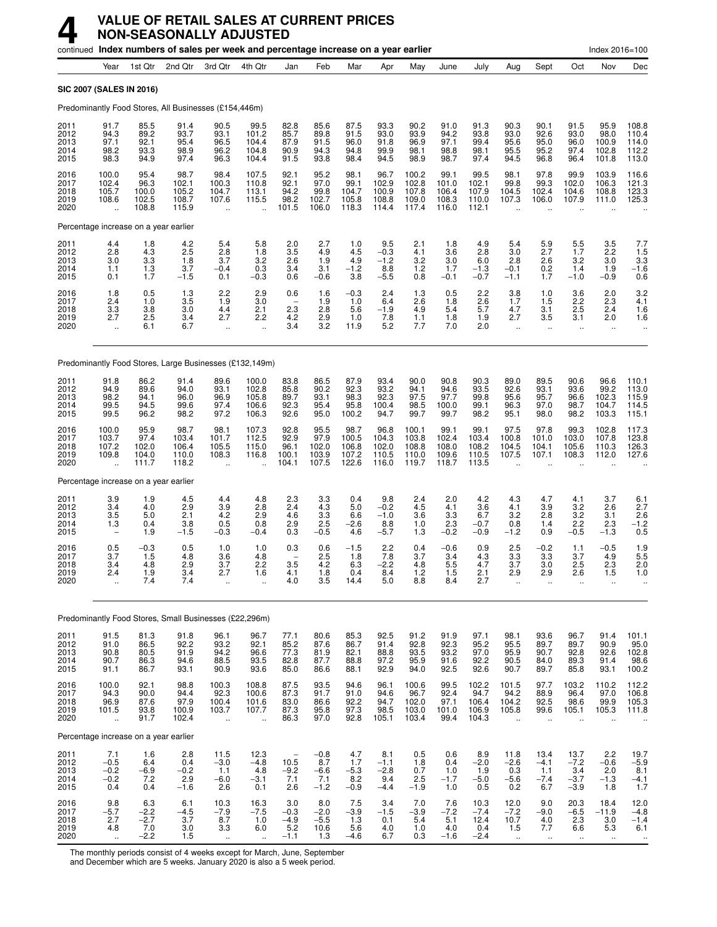|                                      |                                                      |                                          | continued Index numbers of sales per week and percentage increase on a year earlier |                                                         |                                                                   |                                          |                                                                |                                                    |                                          |                                              |                                          |                                          |                                                         |                                                      |                                                       | Index 2016=100                                        |                                                                   |
|--------------------------------------|------------------------------------------------------|------------------------------------------|-------------------------------------------------------------------------------------|---------------------------------------------------------|-------------------------------------------------------------------|------------------------------------------|----------------------------------------------------------------|----------------------------------------------------|------------------------------------------|----------------------------------------------|------------------------------------------|------------------------------------------|---------------------------------------------------------|------------------------------------------------------|-------------------------------------------------------|-------------------------------------------------------|-------------------------------------------------------------------|
|                                      | Year                                                 | 1st Qtr                                  | 2nd Qtr                                                                             | 3rd Qtr                                                 | 4th Qtr                                                           | Jan                                      | Feb                                                            | Mar                                                | Apr                                      | May                                          | June                                     | July                                     | Aug                                                     | Sept                                                 | Oct                                                   | Nov                                                   | Dec                                                               |
| SIC 2007 (SALES IN 2016)             |                                                      |                                          |                                                                                     |                                                         |                                                                   |                                          |                                                                |                                                    |                                          |                                              |                                          |                                          |                                                         |                                                      |                                                       |                                                       |                                                                   |
|                                      |                                                      |                                          | Predominantly Food Stores, All Businesses (£154,446m)                               |                                                         |                                                                   |                                          |                                                                |                                                    |                                          |                                              |                                          |                                          |                                                         |                                                      |                                                       |                                                       |                                                                   |
| 2011<br>2012<br>2013<br>2014<br>2015 | 91.7<br>94.3<br>97.1<br>98.2<br>98.3                 | 85.5<br>89.2<br>92.1<br>93.3<br>94.9     | 91.4<br>93.7<br>95.4<br>98.9<br>97.4                                                | 90.5<br>93.1<br>96.5<br>96.2<br>96.3                    | 99.5<br>101.2<br>104.4<br>104.8<br>104.4                          | 82.8<br>85.7<br>87.9<br>90.9<br>91.5     | 85.6<br>89.8<br>91.5<br>94.3<br>93.8                           | 87.5<br>91.5<br>96.0<br>94.8<br>98.4               | 93.3<br>93.0<br>91.8<br>99.9<br>94.5     | 90.2<br>93.9<br>96.9<br>98.1<br>98.9         | 91.0<br>94.2<br>97.1<br>98.8<br>98.7     | 91.3<br>93.8<br>99.4<br>98.1<br>97.4     | 90.3<br>93.0<br>95.6<br>95.5<br>94.5                    | 90.1<br>92.6<br>95.0<br>95.2<br>96.8                 | 91.5<br>93.0<br>96.0<br>97.4<br>96.4                  | 95.9<br>98.0<br>100.9<br>102.8<br>101.8               | 108.8<br>110.4<br>114.0<br>112.2<br>113.0                         |
| 2016<br>2017<br>2018<br>2019<br>2020 | 100.0<br>102.4<br>105.7<br>108.6                     | 95.4<br>96.3<br>100.0<br>102.5<br>108.8  | 98.7<br>102.1<br>105.2<br>108.7<br>115.9                                            | 98.4<br>100.3<br>104.7<br>107.6<br>$\ddot{\phantom{a}}$ | 107.5<br>110.8<br>113.1<br>115.5<br>$\ddotsc$                     | 92.1<br>92.1<br>94.2<br>98.2<br>101.5    | 95.2<br>97.0<br>99.8<br>102.7<br>106.0                         | 98.1<br>99.1<br>104.7<br>105.8<br>118.3            | 96.7<br>102.9<br>100.9<br>108.8<br>114.4 | 100.2<br>102.8<br>107.8<br>109.0<br>117.4    | 99.1<br>101.0<br>106.4<br>108.3<br>116.0 | 99.5<br>102.1<br>107.9<br>110.0<br>112.1 | 98.1<br>99.8<br>104.5<br>107.3                          | 97.8<br>99.3<br>102.4<br>106.0                       | 99.9<br>102.0<br>104.6<br>107.9                       | 103.9<br>106.3<br>108.8<br>111.0                      | 116.6<br>121.3<br>123.3<br>125.3                                  |
|                                      |                                                      | Percentage increase on a year earlier    |                                                                                     |                                                         |                                                                   |                                          |                                                                |                                                    |                                          |                                              |                                          |                                          |                                                         |                                                      |                                                       |                                                       |                                                                   |
| 2011<br>2012<br>2013<br>2014<br>2015 | 4.4<br>2.8<br>3.0<br>1.1<br>0.1                      | $\frac{1.8}{4.3}$<br>3.3<br>1.3<br>1.7   | 4.2<br>2.5<br>1.8<br>3.7<br>$-1.5$                                                  | 5.4<br>2.8<br>3.7<br>$-0.4$<br>0.1                      | $\begin{array}{c} 5.8 \\ 1.8 \end{array}$<br>3.2<br>0.3<br>$-0.3$ | $\frac{2.0}{3.5}$<br>2.6<br>3.4<br>0.6   | 2.7<br>4.9<br>1.9<br>3.1<br>$-0.6$                             | 1.0<br>4.5<br>4.9<br>$-1.2$<br>3.8                 | 9.5<br>$-0.3$<br>$-1.2$<br>8.8<br>$-5.5$ | 2.1<br>4.1<br>3.2<br>1.2<br>0.8              | 1.8<br>3.6<br>3.0<br>1.7<br>$-0.1$       | 4.9<br>2.8<br>6.0<br>$-1.3$<br>$-0.7$    | 5.4<br>3.0<br>2.8<br>$-0.1$<br>$-1.1$                   | $\frac{5.9}{2.7}$<br>2.6<br>0.2<br>1.7               | $\frac{5.5}{1.7}$<br>3.2<br>1.4<br>$-1.0$             | $\frac{3.5}{2.2}$<br>3.0<br>1.9<br>$-0.9$             | $7.7$<br>1.5<br>$3.3\,$<br>$-1.6$<br>$0.\overline{6}$             |
| 2016<br>2017<br>2018<br>2019<br>2020 | 1.8<br>2.4<br>3.3<br>2.7<br>$\ddotsc$                | 0.5<br>1.0<br>3.8<br>2.5<br>6.1          | 1.3<br>3.5<br>3.0<br>3.4<br>6.7                                                     | $^{2.2}_{1.9}$<br>4.4<br>2.7<br>$\ddot{\phantom{a}}$    | $\frac{2.9}{3.0}$<br>2.1<br>2.2<br>$\ddot{\phantom{a}}$           | 0.6<br>2.3<br>4.2<br>3.4                 | 1.6<br>1.9<br>2.8<br>2.9<br>3.2                                | $-0.3$<br>1.0<br>5.6<br>1.0<br>11.9                | 2.4<br>6.4<br>$-1.9$<br>7.8<br>5.2       | 1.3<br>$2.\overline{6}$<br>4.9<br>1.1<br>7.7 | 0.5<br>1.8<br>5.4<br>1.8<br>7.0          | $^{2.2}_{2.6}$<br>5.7<br>1.9<br>2.0      | $3.8$<br>$1.7$<br>4.7<br>2.7<br>$\ddotsc$               | 1.0<br>1.5<br>3.1<br>3.5<br>$\ddot{\phantom{a}}$     | 3.6<br>2.2<br>2.5<br>3.1<br>$\ddot{\phantom{a}}$      | 2.0<br>2.3<br>2.4<br>2.0<br>$\ddotsc$                 | $3.2$<br>$4.1$<br>1.6<br>1.6                                      |
|                                      |                                                      |                                          | Predominantly Food Stores, Large Businesses (£132,149m)                             |                                                         |                                                                   |                                          |                                                                |                                                    |                                          |                                              |                                          |                                          |                                                         |                                                      |                                                       |                                                       |                                                                   |
| 2011<br>2012<br>2013<br>2014<br>2015 | 91.8<br>94.9<br>98.2<br>99.5<br>99.5                 | 86.2<br>89.6<br>94.1<br>94.5<br>96.2     | 91.4<br>94.0<br>96.0<br>99.6<br>98.2                                                | 89.6<br>93.1<br>96.9<br>97.4<br>97.2                    | 100.0<br>102.8<br>105.8<br>106.6<br>106.3                         | 83.8<br>85.8<br>89.7<br>92.3<br>92.6     | 86.5<br>90.2<br>93.1<br>95.4<br>95.0                           | 87.9<br>92.3<br>98.3<br>95.8<br>100.2              | 93.4<br>93.2<br>92.3<br>100.4<br>94.7    | 90.0<br>94.1<br>97.5<br>98.5<br>99.7         | 90.8<br>94.6<br>97.7<br>100.0<br>99.7    | 90.3<br>93.5<br>99.8<br>99.1<br>98.2     | 89.0<br>92.6<br>95.6<br>96.3<br>95.1                    | 89.5<br>93.1<br>95.7<br>97.0<br>98.0                 | 90.6<br>93.6<br>96.6<br>98.7<br>98.2                  | 96.6<br>99.2<br>102.3<br>104.7<br>103.3               | 110.1<br>113.0<br>$115.9$<br>$114.5$<br>$115.1$                   |
| 2016<br>2017<br>2018<br>2019<br>2020 | 100.0<br>103.7<br>107.2<br>109.8<br>ă,               | 95.9<br>97.4<br>102.0<br>104.0<br>111.7  | 98.7<br>103.4<br>106.4<br>110.0<br>118.2                                            | 98.1<br>101.7<br>105.5<br>108.3<br>$\ddot{\phantom{a}}$ | 107.3<br>112.5<br>115.0<br>116.8                                  | 92.8<br>92.9<br>96.1<br>100.1<br>104.1   | 95.5<br>97.9<br>102.0<br>103.9<br>107.5                        | 98.7<br>100.5<br>106.8<br>107.2<br>122.6           | 96.8<br>104.3<br>102.0<br>110.5<br>116.0 | 100.1<br>103.8<br>108.8<br>110.0<br>119.7    | 99.1<br>102.4<br>108.0<br>109.6<br>118.7 | 99.1<br>103.4<br>108.2<br>110.5<br>113.5 | 97.5<br>100.8<br>104.5<br>107.5                         | 97.8<br>101.0<br>104.1<br>107.1                      | 99.3<br>103.0<br>105.6<br>108.3                       | 102.8<br>107.8<br>110.3<br>112.0                      | 117.3<br>123.8<br>126.3<br>127.6                                  |
|                                      |                                                      | Percentage increase on a year earlier    |                                                                                     |                                                         |                                                                   |                                          |                                                                |                                                    |                                          |                                              |                                          |                                          |                                                         |                                                      |                                                       |                                                       |                                                                   |
| 2011<br>2012<br>2013<br>2014<br>2015 | 3.9<br>3.4<br>3.5<br>1.3<br>$\overline{\phantom{a}}$ | 1.9<br>4.0<br>5.0<br>0.4<br>1.9          | 4.5<br>2.9<br>2.1<br>3.8<br>$-1.5$                                                  | 4.4<br>3.9<br>4.2<br>0.5<br>$-0.3$                      | 4.8<br>2.8<br>2.9<br>0.8<br>$-0.4$                                | 2.3<br>2.4<br>4.6<br>2.9<br>0.3          | 3.3<br>4.3<br>3.3<br>2.5<br>$-0.5$                             | 0.4<br>5.0<br>6.6<br>$-2.6$<br>4.6                 | 9.8<br>$-0.2$<br>$-1.0$<br>8.8<br>$-5.7$ | 2.4<br>4.5<br>3.6<br>1.0<br>1.3              | 2.0<br>4.1<br>3.3<br>2.3<br>$-0.2$       | 4.2<br>3.6<br>6.7<br>$-0.7$<br>$-0.9$    | 4.3<br>4.1<br>3.2<br>0.8<br>$-1.2$                      | 4.7<br>3.9<br>2.8<br>1.4<br>0.9                      | 4.1<br>3.2<br>3.2<br>2.2<br>$-0.5$                    | 3.7<br>2.6<br>3.1<br>2.3<br>$-1.3$                    | 6.1<br>2.7<br>$\overline{2.6}$<br>$^{-1.2}_{0.5}$                 |
| 2016<br>2017<br>2018<br>2019<br>2020 | 0.5<br>3.7<br>3.4<br>2.4                             | $-0.3$<br>1.5<br>4.8<br>1.9<br>7.4       | 0.5<br>4.8<br>2.9<br>$\frac{3.4}{7.4}$                                              | 1.0<br>3.6<br>3.7<br>2.7<br>ä,                          | 1.0<br>4.8<br>2.2<br>1.6                                          | 0.3<br>3.5<br>4.1<br>4.0                 | 0.6<br>2.5<br>4.2<br>$\begin{array}{c} 1.8 \\ 3.5 \end{array}$ | $-1.5$<br>1.8<br>6.3<br>0.4<br>14.4                | 2.2<br>7.8<br>$-2.2$<br>8.4<br>5.0       | 0.4<br>3.7<br>4.8<br>1.2<br>8.8              | $-0.6$<br>3.4<br>5.5<br>1.5<br>8.4       | 0.9<br>$^{4.3}_{4.7}$<br>$^{2.1}_{2.7}$  | 2.5<br>3.3<br>3.7<br>2.9                                | $-0.2$<br>3.3<br>3.0<br>2.9                          | 1.1<br>3.7<br>2.5<br>2.6<br>ä.                        | $-0.5$<br>4.9<br>2.3<br>1.5<br>$\mathbf{r}$           | 1.9<br>5.5<br>2.0<br>1.0                                          |
|                                      |                                                      |                                          | Predominantly Food Stores, Small Businesses (£22,296m)                              |                                                         |                                                                   |                                          |                                                                |                                                    |                                          |                                              |                                          |                                          |                                                         |                                                      |                                                       |                                                       |                                                                   |
| 2011<br>2012<br>2013<br>2014<br>2015 | 91.5<br>91.0<br>90.8<br>90.7<br>91.1                 | 81.3<br>86.5<br>80.5<br>86.3<br>86.7     | 91.8<br>92.2<br>91.9<br>94.6<br>93.1                                                | 96.1<br>93.2<br>94.2<br>88.5<br>90.9                    | 96.7<br>92.1<br>96.6<br>93.5<br>93.6                              | 77.1<br>85.2<br>77.3<br>82.8<br>85.0     | 80.6<br>87.6<br>81.9<br>87.7<br>86.6                           | 85.3<br>86.7<br>82.1<br>88.8<br>88.1               | 92.5<br>91.4<br>88.8<br>97.2<br>92.9     | 91.2<br>92.8<br>93.5<br>95.9<br>94.0         | 91.9<br>92.3<br>93.2<br>91.6<br>92.5     | 97.1<br>95.2<br>97.0<br>92.2<br>92.6     | 98.1<br>95.5<br>95.9<br>90.5<br>90.7                    | 93.6<br>89.7<br>90.7<br>84.0<br>89.7                 | 96.7<br>89.7<br>92.8<br>89.3<br>85.8                  | 91.4<br>90.9<br>92.6<br>91.4<br>93.1                  | 101.1<br>95.0<br>102.8<br>98.6<br>100.2                           |
| 2016<br>2017<br>2018<br>2019<br>2020 | 100.0<br>94.3<br>96.9<br>101.5<br>ă,                 | 92.1<br>90.0<br>87.6<br>93.8<br>91.7     | 98.8<br>94.4<br>97.9<br>100.9<br>102.4                                              | 100.3<br>92.3<br>100.4<br>103.7<br>$\ddotsc$            | 108.8<br>100.6<br>101.6<br>107.7<br>÷.                            | 87.5<br>87.3<br>83.0<br>87.3<br>86.3     | 93.5<br>91.7<br>86.6<br>95.8<br>97.0                           | 94.6<br>91.0<br>92.2<br>97.3<br>92.8               | 96.1<br>94.6<br>94.7<br>98.5<br>105.1    | 100.6<br>96.7<br>102.0<br>103.0<br>103.4     | 99.5<br>92.4<br>97.1<br>101.0<br>99.4    | 102.2<br>94.7<br>106.4<br>106.9<br>104.3 | 101.5<br>94.2<br>104.2<br>105.8<br>$\ddot{\phantom{a}}$ | 97.7<br>88.9<br>92.5<br>99.6<br>$\ddot{\phantom{1}}$ | 103.2<br>96.4<br>98.6<br>105.1                        | 110.2<br>97.0<br>99.9<br>105.3                        | 112.2<br>106.8<br>105.3<br>111.8                                  |
|                                      |                                                      | Percentage increase on a year earlier    |                                                                                     |                                                         |                                                                   |                                          |                                                                |                                                    |                                          |                                              |                                          |                                          |                                                         |                                                      |                                                       |                                                       |                                                                   |
| 2011<br>2012<br>2013<br>2014<br>2015 | 7.1<br>$-0.5$<br>$^{-0.2}_{-0.2}$<br>0.4             | 1.6<br>6.4<br>$-6.9$<br>7.2<br>0.4       | 2.8<br>0.4<br>$-0.2$<br>2.9<br>$-1.6$                                               | 11.5<br>$-3.0$<br>1.1<br>$-6.0$<br>2.6                  | 12.3<br>$-4.8$<br>4.8<br>$-3.\overline{1}$<br>0.1                 | 10.5<br>$-9.2$<br>7.1<br>2.6             | $-0.8$<br>8.7<br>$-6.6$<br>7.1<br>$-1.2$                       | 4.7<br>1.7<br>$-5.3$<br>8.2<br>$-0.9$              | 8.1<br>$-1.1$<br>$-2.8$<br>9.4<br>$-4.4$ | 0.5<br>1.8<br>0.7<br>2.5<br>$-1.9$           | 0.6<br>0.4<br>1.0<br>$-1.7$<br>1.0       | 8.9<br>$-2.0$<br>$1.9 - 5.0$<br>0.5      | 11.8<br>$-2.6$<br>0.3<br>$-5.\overline{6}$<br>0.2       | 13.4<br>$-4.1$<br>1.1<br>$-7.4$<br>6.7               | 13.7<br>$-7.2$<br>$\frac{3.4}{-3.7}$<br>$-3.9$        | 2.2<br>$-0.6$<br>2.0<br>$-1.\overline{3}$<br>1.8      | $19.7 - 5.9$<br>$\begin{array}{c} 8.1 \\ -4.1 \\ 1.7 \end{array}$ |
| 2016<br>2017<br>2018<br>2019<br>2020 | 9.8<br>$-5.7$<br>2.7<br>4.8<br>$\ddotsc$             | 6.3<br>$-2.2$<br>$-2.7$<br>7.0<br>$-2.2$ | 6.1<br>$-4.5$<br>3.7<br>3.0<br>1.5                                                  | 10.3<br>$-7.9$<br>8.7<br>3.3<br>$\ddotsc$               | 16.3<br>$-7.5$<br>1.0<br>6.0<br>$\ddotsc$                         | 3.0<br>$-0.3$<br>$-4.9$<br>5.2<br>$-1.1$ | 8.0<br>$-2.0$<br>$-5.5$<br>10.6<br>1.3                         | 7.5<br>$-3.9$<br>1.3<br>$5.\overline{6}$<br>$-4.6$ | 3.4<br>$-1.5$<br>0.1<br>4.0<br>6.7       | 7.0<br>$-3.9$<br>5.4<br>1.0<br>0.3           | 7.6<br>$-7.2$<br>5.1<br>4.0<br>$-1.6$    | 10.3<br>$-7.4$<br>12.4<br>0.4<br>$-2.4$  | 12.0<br>$-7.2$<br>10.7<br>1.5<br>$\ddotsc$              | 9.0<br>$-9.0$<br>4.0<br>7.7<br>$\ddotsc$             | 20.3<br>$-6.5$<br>2.3<br>$6.\overline{6}$<br>$\ldots$ | 18.4<br>$-11.9$<br>3.0<br>5.3<br>$\ddot{\phantom{1}}$ | $12.0 - 4.8$<br>$^{-1.4}_{-6.1}$                                  |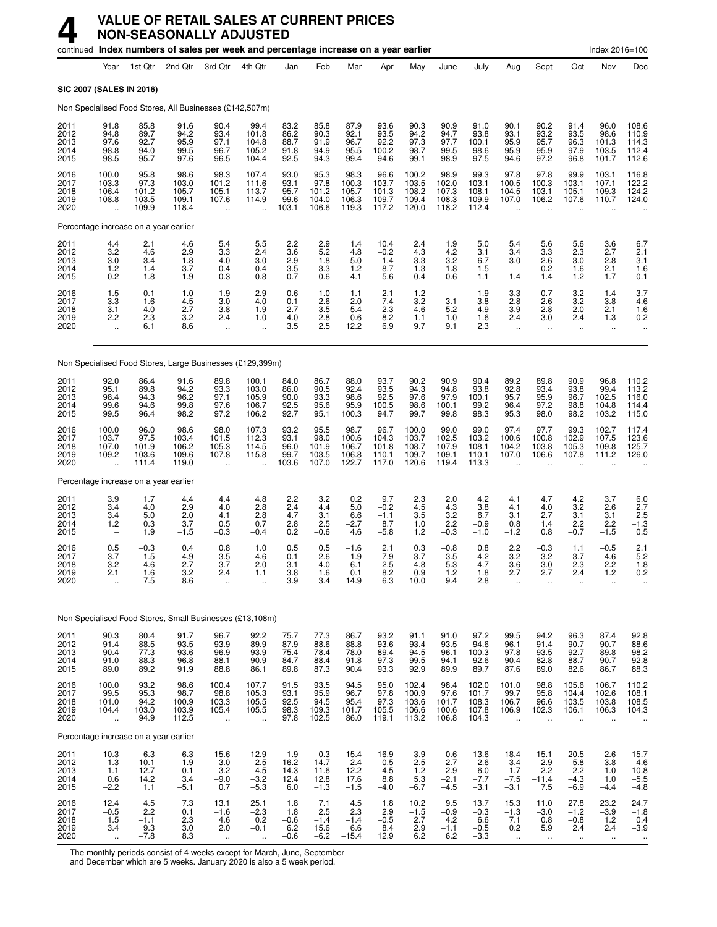|                                      |                                                  |                                           |                                          | continued Index numbers of sales per week and percentage increase on a year earlier |                                                         |                                           |                                             |                                          |                                           |                                           |                                          |                                           |                                                      |                                                  |                                                         | Index 2016=100                                 |                                           |
|--------------------------------------|--------------------------------------------------|-------------------------------------------|------------------------------------------|-------------------------------------------------------------------------------------|---------------------------------------------------------|-------------------------------------------|---------------------------------------------|------------------------------------------|-------------------------------------------|-------------------------------------------|------------------------------------------|-------------------------------------------|------------------------------------------------------|--------------------------------------------------|---------------------------------------------------------|------------------------------------------------|-------------------------------------------|
|                                      | Year                                             | 1st Qtr                                   | 2nd Qtr                                  | 3rd Qtr                                                                             | 4th Qtr                                                 | Jan                                       | Feb                                         | Mar                                      | Apr                                       | May                                       | June                                     | July                                      | Aug                                                  | Sept                                             | Oct                                                     | Nov                                            | Dec                                       |
| SIC 2007 (SALES IN 2016)             |                                                  |                                           |                                          |                                                                                     |                                                         |                                           |                                             |                                          |                                           |                                           |                                          |                                           |                                                      |                                                  |                                                         |                                                |                                           |
|                                      |                                                  |                                           |                                          | Non Specialised Food Stores, All Businesses (£142,507m)                             |                                                         |                                           |                                             |                                          |                                           |                                           |                                          |                                           |                                                      |                                                  |                                                         |                                                |                                           |
| 2011<br>2012<br>2013<br>2014<br>2015 | 91.8<br>94.8<br>97.6<br>98.8<br>98.5             | 85.8<br>89.7<br>92.7<br>94.0<br>95.7      | 91.6<br>94.2<br>95.9<br>99.5<br>97.6     | 90.4<br>93.4<br>97.1<br>96.7<br>96.5                                                | 99.4<br>101.8<br>104.8<br>105.2<br>104.4                | 83.2<br>86.2<br>88.7<br>91.8<br>92.5      | 85.8<br>90.3<br>91.9<br>94.9<br>94.3        | 87.9<br>92.1<br>96.7<br>95.5<br>99.4     | 93.6<br>93.5<br>92.2<br>100.2<br>94.6     | 90.3<br>94.2<br>97.3<br>98.7<br>99.1      | 90.9<br>94.7<br>97.7<br>99.5<br>98.9     | 91.0<br>93.8<br>100.1<br>98.6<br>97.5     | 90.1<br>93.1<br>95.9<br>95.9<br>94.6                 | 90.2<br>93.2<br>95.7<br>95.9<br>97.2             | 91.4<br>93.5<br>96.3<br>97.9<br>96.8                    | 96.0<br>98.6<br>101.3<br>103.5<br>101.7        | 108.6<br>110.9<br>114.3<br>112.4<br>112.6 |
| 2016<br>2017<br>2018<br>2019<br>2020 | 100.0<br>103.3<br>106.4<br>108.8                 | 95.8<br>97.3<br>101.2<br>103.5<br>109.9   | 98.6<br>103.0<br>105.7<br>109.1<br>118.4 | 98.3<br>101.2<br>105.1<br>107.6<br>$\ddot{\phantom{1}}$                             | 107.4<br>111.6<br>113.7<br>114.9                        | 93.0<br>93.1<br>95.7<br>99.6<br>103.1     | 95.3<br>97.8<br>101.2<br>104.0<br>106.6     | 98.3<br>100.3<br>105.7<br>106.3<br>119.3 | 96.6<br>103.7<br>101.3<br>109.7<br>117.2  | 100.2<br>103.5<br>108.2<br>109.4<br>120.0 | 98.9<br>102.0<br>107.3<br>108.3<br>118.2 | 99.3<br>103.1<br>108.1<br>109.9<br>112.4  | 97.8<br>100.5<br>104.5<br>107.0                      | 97.8<br>100.3<br>103.1<br>106.2                  | 99.9<br>103.1<br>105.1<br>107.6                         | 103.1<br>107.1<br>109.3<br>110.7               | 116.8<br>122.2<br>124.2<br>124.0          |
|                                      |                                                  | Percentage increase on a year earlier     |                                          |                                                                                     |                                                         |                                           |                                             |                                          |                                           |                                           |                                          |                                           |                                                      |                                                  |                                                         |                                                |                                           |
| 2011<br>2012<br>2013<br>2014<br>2015 | 4.4<br>3.2<br>3.0<br>$1.2$<br>$-0.2$             | 2.1<br>4.6<br>3.4<br>1.4<br>1.8           | 4.6<br>2.9<br>1.8<br>3.7<br>$-1.9$       | 5.4<br>3.3<br>4.0<br>$-0.4$<br>$-0.3$                                               | 5.5<br>2.4<br>3.0<br>0.4<br>$-0.8$                      | 2.2<br>3.6<br>2.9<br>3.5<br>0.7           | $^{2.9}_{5.2}$<br>1.8<br>3.3<br>$-0.6$      | 1.4<br>4.8<br>5.0<br>$-1.2$<br>4.1       | 10.4<br>$-0.2$<br>$-1.4$<br>8.7<br>$-5.6$ | 2.4<br>4.3<br>3.3<br>1.3<br>0.4           | 1.9<br>4.2<br>3.2<br>1.8<br>$-0.6$       | 5.0<br>3.1<br>6.7<br>$-1.5$<br>$-1.1$     | 5.4<br>3.4<br>3.0<br>$-1.4$                          | 5.6<br>3.3<br>2.6<br>0.2<br>1.4                  | 5.6<br>2.3<br>3.0<br>1.6<br>$-1.2$                      | 3.6<br>2.7<br>2.8<br>2.1<br>$-1.7$             | 6.7<br>2.1<br>3.1<br>$-1.6$<br>0.1        |
| 2016<br>2017<br>2018<br>2019<br>2020 | 1.5<br>3.3<br>3.1<br>2.2<br>$\ddot{\phantom{a}}$ | 0.1<br>1.6<br>4.0<br>2.3<br>6.1           | 1.0<br>4.5<br>2.7<br>3.2<br>8.6          | 1.9<br>3.0<br>3.8<br>2.4<br>$\ddot{\phantom{1}}$                                    | 2.9<br>4.0<br>1.9<br>1.0<br>$\ddot{\phantom{a}}$        | 0.6<br>0.1<br>2.7<br>4.0<br>3.5           | 1.0<br>2.6<br>3.5<br>2.8<br>2.5             | $-1.1$<br>2.0<br>5.4<br>0.6<br>12.2      | $^{2.1}_{7.4}$<br>$-2.3$<br>8.2<br>6.9    | $1.2$<br>3.2<br>4.6<br>1.1<br>9.7         | 3.1<br>5.2<br>1.0<br>9.1                 | 1.9<br>3.8<br>4.9<br>1.6<br>2.3           | 3.3<br>2.8<br>3.9<br>2.4<br>$\mathbf{a}$             | 0.7<br>2.6<br>2.8<br>3.0<br>$\ddot{\phantom{a}}$ | $\frac{3.2}{3.2}$<br>2.0<br>2.4<br>$\ddot{\phantom{a}}$ | 1.4<br>3.8<br>2.1<br>1.3<br>$\ddotsc$          | $\frac{3.7}{4.6}$<br>1.6<br>$-0.2$        |
|                                      |                                                  |                                           |                                          | Non Specialised Food Stores, Large Businesses (£129,399m)                           |                                                         |                                           |                                             |                                          |                                           |                                           |                                          |                                           |                                                      |                                                  |                                                         |                                                |                                           |
| 2011<br>2012<br>2013<br>2014<br>2015 | 92.0<br>95.1<br>98.4<br>99.6<br>99.5             | 86.4<br>89.8<br>94.3<br>94.6<br>96.4      | 91.6<br>94.2<br>96.2<br>99.8<br>98.2     | 89.8<br>93.3<br>97.1<br>97.6<br>97.2                                                | 100.1<br>103.0<br>105.9<br>106.7<br>106.2               | 84.0<br>86.0<br>90.0<br>92.5<br>92.7      | 86.7<br>90.5<br>93.3<br>95.6<br>95.1        | 88.0<br>92.4<br>98.6<br>95.9<br>100.3    | 93.7<br>93.5<br>92.5<br>100.5<br>94.7     | 90.2<br>94.3<br>97.6<br>98.6<br>99.7      | 90.9<br>94.8<br>97.9<br>100.1<br>99.8    | 90.4<br>93.8<br>100.1<br>99.2<br>98.3     | 89.2<br>92.8<br>95.7<br>96.4<br>95.3                 | 89.8<br>93.4<br>95.9<br>97.2<br>98.0             | 90.9<br>93.8<br>96.7<br>98.8<br>98.2                    | 96.8<br>99.4<br>102.5<br>104.8<br>103.2        | 110.2<br>113.2<br>116.0<br>114.4<br>115.0 |
| 2016<br>2017<br>2018<br>2019<br>2020 | 100.0<br>103.7<br>107.0<br>109.2                 | 96.0<br>97.5<br>101.9<br>103.6<br>111.4   | 98.6<br>103.4<br>106.2<br>109.6<br>119.0 | 98.0<br>101.5<br>105.3<br>107.8<br>$\ddot{\phantom{a}}$                             | 107.3<br>112.3<br>114.5<br>115.8                        | 93.2<br>93.1<br>96.0<br>99.7<br>103.6     | 95.5<br>98.0<br>101.9<br>103.5<br>107.0     | 98.7<br>100.6<br>106.7<br>106.8<br>122.7 | 96.7<br>104.3<br>101.8<br>110.1<br>117.0  | 100.0<br>103.7<br>108.7<br>109.7<br>120.6 | 99.0<br>102.5<br>107.9<br>109.1<br>119.4 | 99.0<br>103.2<br>108.1<br>110.1<br>113.3  | 97.4<br>100.6<br>104.2<br>107.0                      | 97.7<br>100.8<br>103.8<br>106.6                  | 99.3<br>102.9<br>105.3<br>107.8                         | 102.7<br>107.5<br>109.8<br>111.2               | 117.4<br>123.6<br>125.7<br>126.0          |
|                                      |                                                  | Percentage increase on a year earlier     |                                          |                                                                                     |                                                         |                                           |                                             |                                          |                                           |                                           |                                          |                                           |                                                      |                                                  |                                                         |                                                |                                           |
| 2011<br>2012<br>2013<br>2014<br>2015 | 3.9<br>3.4<br>3.4<br>1.2                         | 1.7<br>4.0<br>5.0<br>0.3<br>1.9           | 4.4<br>2.9<br>2.0<br>3.7<br>$-1.5$       | 4.4<br>4.0<br>4.1<br>0.5<br>$-0.3$                                                  | 4.8<br>2.8<br>2.8<br>0.7<br>$-0.4$                      | 2.2<br>2.4<br>4.7<br>2.8<br>0.2           | 3.2<br>4.4<br>3.1<br>2.5<br>$-0.6$          | 0.2<br>5.0<br>6.6<br>$-2.7$<br>4.6       | 9.7<br>$-0.2$<br>$-1.1$<br>8.7<br>$-5.8$  | 2.3<br>4.5<br>3.5<br>1.0<br>1.2           | 2.0<br>4.3<br>3.2<br>2.2<br>$-0.3$       | 4.2<br>3.8<br>6.7<br>$-0.9$<br>$-1.0$     | 4.1<br>4.1<br>3.1<br>0.8<br>$-1.2$                   | 4.7<br>4.0<br>2.7<br>1.4<br>0.8                  | 4.2<br>3.2<br>3.1<br>2.2<br>$-0.7$                      | 3.7<br>2.6<br>3.1<br>2.2<br>$-1.5$             | 6.0<br>2.7<br>2.5<br>$-1.3$<br>0.5        |
| 2016<br>2017<br>2018<br>2019<br>2020 | 0.5<br>3.7<br>3.2<br>2.1                         | $-0.3$<br>1.5<br>4.6<br>1.6<br>7.5        | 0.4<br>4.9<br>2.7<br>3.2<br>8.6          | 0.8<br>3.5<br>3.7<br>2.4<br>$\ldots$                                                | 1.0<br>4.6<br>2.0<br>1.1                                | 0.5<br>$-0.1$<br>3.1<br>$\frac{3.8}{3.9}$ | 0.5<br>2.6<br>4.0<br>1.6<br>3.4             | $-1.6$<br>1.9<br>6.1<br>0.1<br>14.9      | 2.1<br>7.9<br>$-2.5$<br>8.2<br>6.3        | 0.3<br>3.7<br>4.8<br>n a<br>10.0          | $-0.8$<br>3.5<br>5.3<br>1.2<br>9.4       | 0.8<br>4.2<br>4.7<br>1.8<br>2.8           | 2.2<br>3.2<br>3.6<br>2.1                             | $-0.3$<br>3.2<br>3.0<br>2.1                      | 1.1<br>3.7<br>2.3<br>2.4<br>ä.                          | $-0.5$<br>4.6<br>2.2<br>1.2<br>$\ddotsc$       | 2.1<br>$5.2$<br>1.8<br>0.2<br>ä.          |
|                                      |                                                  |                                           |                                          | Non Specialised Food Stores, Small Businesses (£13,108m)                            |                                                         |                                           |                                             |                                          |                                           |                                           |                                          |                                           |                                                      |                                                  |                                                         |                                                |                                           |
| 2011                                 | 90.3                                             | 80.4                                      | 91.7                                     | 96.7                                                                                | 92.2                                                    | 75.7                                      | 77.3                                        | 86.7                                     | 93.2                                      | 91.1                                      | 91.0                                     | 97.2                                      | 99.5                                                 | 94.2                                             | 96.3                                                    | 87.4                                           |                                           |
| 2012<br>2013<br>2014<br>2015         | 91.4<br>90.4<br>91.0<br>89.0                     | 88.5<br>77.3<br>88.3<br>89.2              | 93.5<br>93.6<br>96.8<br>91.9             | 93.9<br>96.9<br>88.1<br>88.8                                                        | 89.9<br>93.9<br>90.9<br>86.1                            | 87.9<br>75.4<br>84.7<br>89.8              | 88.6<br>78.4<br>88.4<br>87.3                | 88.8<br>78.0<br>91.8<br>90.4             | 93.6<br>89.4<br>97.3<br>93.3              | 93.4<br>94.5<br>99.5<br>92.9              | 93.5<br>96.1<br>94.1<br>89.9             | 94.6<br>100.3<br>92.6<br>89.7             | 96.1<br>97.8<br>90.4<br>87.6                         | 91.4<br>93.5<br>82.8<br>89.0                     | 90.7<br>92.7<br>88.7<br>82.6                            | 90.7<br>89.8<br>90.7<br>86.7                   | 92.8<br>88.6<br>98.2<br>92.8<br>88.3      |
| 2016<br>2017<br>2018<br>2019<br>2020 | 100.0<br>99.5<br>101.0<br>104.4<br>ä,            | 93.2<br>95.3<br>94.2<br>103.0<br>94.9     | 98.6<br>98.7<br>100.9<br>103.9<br>112.5  | 100.4<br>98.8<br>103.3<br>105.4<br>$\ddotsc$                                        | 107.7<br>105.3<br>105.5<br>105.5                        | 91.5<br>93.1<br>92.5<br>98.3<br>97.8      | 93.5<br>95.9<br>94.5<br>109.3<br>102.5      | 94.5<br>96.7<br>95.4<br>101.7<br>86.0    | 95.0<br>97.8<br>97.3<br>105.5<br>119.1    | 102.4<br>100.9<br>103.6<br>106.6<br>113.2 | 98.4<br>97.6<br>101.7<br>100.6<br>106.8  | 102.0<br>101.7<br>108.3<br>107.8<br>104.3 | 101.0<br>99.7<br>106.7<br>106.9                      | 98.8<br>95.8<br>96.6<br>102.3                    | 105.6<br>104.4<br>103.5<br>106.1                        | 106.7<br>102.6<br>103.8<br>106.3               | 110.2<br>108.1<br>108.5<br>104.3          |
|                                      |                                                  | Percentage increase on a year earlier     |                                          |                                                                                     |                                                         |                                           |                                             |                                          |                                           |                                           |                                          |                                           |                                                      |                                                  |                                                         |                                                |                                           |
| 2011<br>2012<br>2013<br>2014<br>2015 | $\frac{10.3}{1.3}$<br>$-1.1$<br>0.6<br>$-2.2$    | 6.3<br>10.1<br>$-12.7$<br>14.2<br>1.1     | 6.3<br>1.9<br>0.1<br>3.4<br>$-5.1$       | 15.6<br>$-3.0$<br>$3.2\,$<br>$-9.0$<br>0.7                                          | $12.9 - 2.5$<br>4.5<br>$-3.2$<br>$-5.3$                 | $1.9$<br>16.2<br>$-14.3$<br>12.4<br>6.0   | $-0.3$<br>14.7<br>$-11.6$<br>12.8<br>$-1.3$ | 15.4<br>2.4<br>$-12.2$<br>17.6<br>$-1.5$ | 16.9<br>0.5<br>$-4.5$<br>8.8<br>$-4.0$    | 3.9<br>2.5<br>1.2<br>$5.3\,$<br>$-6.7$    | 0.6<br>2.7<br>2.9<br>$-2.1$<br>$-4.5$    | 13.6<br>$-2.6$<br>6.0<br>$-7.7$<br>$-3.1$ | 18.4<br>$-3.4$<br>1.7<br>$-7.5$<br>$-3.1$            | 15.1<br>$-2.9$<br>2.2<br>$-11.4$<br>7.5          | 20.5<br>$-5.8$<br>2.2<br>$-4.3$<br>$-6.9$               | 2.6<br>3.8<br>$-1.0$<br>1.0<br>$-4.4$          | $15.7 - 4.6$<br>$10.8 - 5.5 - 4.8$        |
| 2016<br>2017<br>2018<br>2019<br>2020 | $12.4 - 0.5$<br>1.5<br>3.4<br>ä,                 | $^{4.5}_{2.2}$<br>$-1.1$<br>9.3<br>$-7.8$ | 7.3<br>0.1<br>2.3<br>3.0<br>8.3          | 13.1<br>$-1.6$<br>4.6<br>2.0<br>ä,                                                  | 25.1<br>$-2.3$<br>0.2<br>$-0.1$<br>$\ddot{\phantom{a}}$ | 1.8<br>1.8<br>$-0.6$<br>6.2<br>$-0.6$     | 7.1<br>2.5<br>$-1.4$<br>15.6<br>$-6.2$      | 4.5<br>2.3<br>$-1.4$<br>6.6<br>$-15.4$   | 1.8<br>2.9<br>$-0.5$<br>8.4<br>12.9       | 10.2<br>$-1.5$<br>2.7<br>$^{2.9}_{6.2}$   | 9.5<br>$-0.9$<br>4.2<br>$-1.1$<br>6.2    | 13.7<br>$-0.3$<br>6.6<br>$-0.5$<br>$-3.3$ | 15.3<br>$-1.3$<br>7.1<br>0.2<br>$\ddot{\phantom{1}}$ | 11.0<br>$-3.0$<br>0.8<br>5.9<br>$\ddotsc$        | 27.8<br>$-1.2$<br>$-0.8$<br>2.4<br>$\ddot{\phantom{1}}$ | 23.2<br>$-3.9$<br>$1.2$<br>2.4<br>$\mathbf{u}$ | $24.7 - 1.8$<br>$0.4 - 3.9$               |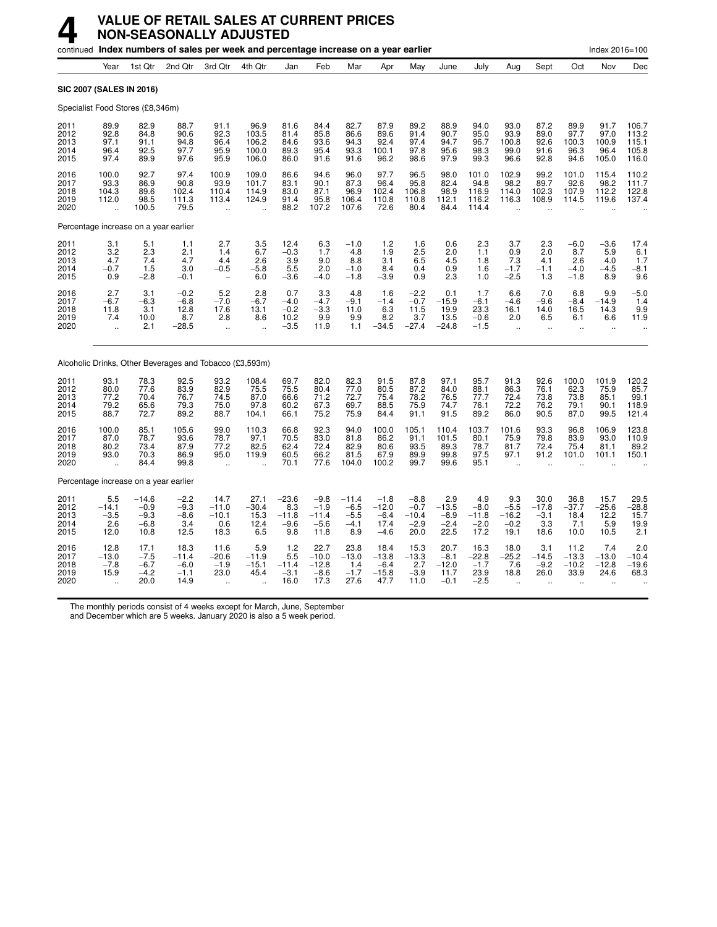#### **4 VALUE OF RETAIL SALES AT CURRENT PRICES NON-SEASONALLY ADJUSTED**

|                                       |                                                           |                                               | continued lndex numbers of sales per week and percentage increase on a year earlier |                                                           |                                               |                                            |                                               |                                              |                                               |                                               |                                             |                                             |                                                         |                                                      |                                          | Index 2016=100                                        |                                           |
|---------------------------------------|-----------------------------------------------------------|-----------------------------------------------|-------------------------------------------------------------------------------------|-----------------------------------------------------------|-----------------------------------------------|--------------------------------------------|-----------------------------------------------|----------------------------------------------|-----------------------------------------------|-----------------------------------------------|---------------------------------------------|---------------------------------------------|---------------------------------------------------------|------------------------------------------------------|------------------------------------------|-------------------------------------------------------|-------------------------------------------|
|                                       | Year                                                      | 1st Qtr                                       | 2nd Otr                                                                             | 3rd Qtr                                                   | 4th Qtr                                       | Jan                                        | Feb                                           | Mar                                          | Apr                                           | May                                           | June                                        | July                                        | Aug                                                     | Sept                                                 | Oct                                      | Nov                                                   | Dec                                       |
| SIC 2007 (SALES IN 2016)              |                                                           |                                               |                                                                                     |                                                           |                                               |                                            |                                               |                                              |                                               |                                               |                                             |                                             |                                                         |                                                      |                                          |                                                       |                                           |
| Specialist Food Stores (£8,346m)      |                                                           |                                               |                                                                                     |                                                           |                                               |                                            |                                               |                                              |                                               |                                               |                                             |                                             |                                                         |                                                      |                                          |                                                       |                                           |
| 2011<br>2012<br>2013<br>2014<br>2015  | 89.9<br>92.8<br>97.1<br>96.4<br>97.4                      | 82.9<br>84.8<br>91.1<br>92.5<br>89.9          | 88.7<br>90.6<br>94.8<br>97.7<br>97.6                                                | 91.1<br>92.3<br>96.4<br>95.9<br>95.9                      | 96.9<br>103.5<br>106.2<br>100.0<br>106.0      | 81.6<br>81.4<br>84.6<br>89.3<br>86.0       | 84.4<br>85.8<br>93.6<br>95.4<br>91.6          | 82.7<br>86.6<br>94.3<br>93.3<br>91.6         | 87.9<br>89.6<br>92.4<br>100.1<br>96.2         | 89.2<br>91.4<br>97.4<br>97.8<br>98.6          | 88.9<br>90.7<br>94.7<br>95.6<br>97.9        | 94.0<br>95.0<br>96.7<br>98.3<br>99.3        | 93.0<br>93.9<br>100.8<br>99.0<br>96.6                   | 87.2<br>89.0<br>92.6<br>91.6<br>92.8                 | 89.9<br>97.7<br>100.3<br>96.3<br>94.6    | 91.7<br>97.0<br>100.9<br>96.4<br>105.0                | 106.7<br>113.2<br>115.1<br>105.8<br>116.0 |
| 2016<br>2017<br>2018<br>2019<br>2020  | 100.0<br>93.3<br>104.3<br>112.0<br>$\ddot{\phantom{1}}$   | 92.7<br>86.9<br>89.6<br>98.5<br>100.5         | 97.4<br>90.8<br>102.4<br>111.3<br>79.5                                              | 100.9<br>93.9<br>110.4<br>113.4<br>$\ddot{\phantom{a}}$   | 109.0<br>101.7<br>114.9<br>124.9<br>$\ddotsc$ | 86.6<br>83.1<br>83.0<br>91.4<br>88.2       | 94.6<br>90.1<br>87.1<br>95.8<br>107.2         | 96.0<br>87.3<br>96.9<br>106.4<br>107.6       | 97.7<br>96.4<br>102.4<br>110.8<br>72.6        | 96.5<br>95.8<br>106.8<br>110.8<br>80.4        | 98.0<br>82.4<br>98.9<br>112.1<br>84.4       | 101.0<br>94.8<br>116.9<br>116.2<br>114.4    | 102.9<br>98.2<br>114.0<br>116.3<br>$\ddot{\phantom{a}}$ | 99.2<br>89.7<br>102.3<br>108.9                       | 101.0<br>92.6<br>107.9<br>114.5          | 115.4<br>98.2<br>112.2<br>119.6                       | 110.2<br>111.7<br>122.8<br>137.4          |
| Percentage increase on a year earlier |                                                           |                                               |                                                                                     |                                                           |                                               |                                            |                                               |                                              |                                               |                                               |                                             |                                             |                                                         |                                                      |                                          |                                                       |                                           |
| 2011<br>2012<br>2013<br>2014<br>2015  | 3.1<br>3.2<br>4.7<br>$-0.7$<br>0.9                        | $\frac{5.1}{2.3}$<br>7.4<br>1.5<br>$-2.8$     | 1.1<br>2.1<br>4.7<br>3.0<br>$-0.1$                                                  | 2.7<br>1.4<br>4.4<br>$-0.5$<br>$\overline{\phantom{a}}$   | $\frac{3.5}{6.7}$<br>2.6<br>$-5.8$<br>6.0     | 12.4<br>$-0.3$<br>3.9<br>5.5<br>$-3.6$     | $6.3$<br>$1.7$<br>9.0<br>2.0<br>-4.0          | $-1.0$<br>4.8<br>8.8<br>$-1.0$<br>$-1.8$     | 1.2<br>1.9<br>3.1<br>8.4<br>$-3.9$            | 1.6<br>2.5<br>6.5<br>0.4<br>0.9               | 0.6<br>2.0<br>4.5<br>0.9<br>2.3             | 2.3<br>1.1<br>1.8<br>1.6<br>1.0             | 3.7<br>0.9<br>7.3<br>$-1.7$<br>$-2.5$                   | 2.3<br>2.0<br>4.1<br>$-1.1$<br>1.3                   | $-6.0$<br>8.7<br>2.6<br>$-4.0$<br>$-1.8$ | $-3.6$<br>5.9<br>4.0<br>$-4.5$<br>8.9                 | 17.4<br>6.1<br>1.7<br>$-8.1$<br>9.6       |
| 2016<br>2017<br>2018<br>2019<br>2020  | 2.7<br>-6.7<br>11.8<br>7.4                                | 3.1<br>$-6.3$<br>3.1<br>10.0<br>2.1           | $-0.2$<br>$-6.8$<br>12.8<br>8.7<br>$-28.5$                                          | 5.2<br>$-7.0$<br>17.6<br>2.8                              | 2.8<br>-6.7<br>13.1<br>8.6                    | 0.7<br>$-4.0$<br>$-0.2$<br>10.2<br>$-3.5$  | 3.3<br>$-4.7$<br>$-3.3$<br>9.9<br>11.9        | 4.8<br>$-9.1$<br>11.0<br>9.9<br>1.1          | 1.6<br>$-1.4$<br>6.3<br>8.2<br>$-34.5$        | $-2.2$<br>$-0.7$<br>11.5<br>3.7<br>$-27.4$    | 0.1<br>$-15.9$<br>19.9<br>13.5<br>$-24.8$   | 1.7<br>-6.1<br>23.3<br>$-0.6$<br>-1.5       | 6.6<br>$-4.6$<br>16.1<br>2.0<br>$\ddot{\phantom{a}}$    | 7.0<br>$-9.6$<br>14.0<br>6.5<br>$\ddot{\phantom{a}}$ | 6.8<br>$-8.4$<br>16.5<br>6.1             | 9.9<br>$-14.9$<br>14.3<br>6.6<br>$\ddot{\phantom{0}}$ | $-5.0$<br>1.4<br>9.9<br>11.9              |
|                                       |                                                           |                                               | Alcoholic Drinks, Other Beverages and Tobacco (£3,593m)                             |                                                           |                                               |                                            |                                               |                                              |                                               |                                               |                                             |                                             |                                                         |                                                      |                                          |                                                       |                                           |
| 2011<br>2012<br>2013<br>2014<br>2015  | 93.1<br>80.0<br>77.2<br>79.2<br>88.7                      | 78.3<br>77.6<br>70.4<br>65.6<br>72.7          | 92.5<br>83.9<br>76.7<br>79.3<br>89.2                                                | 93.2<br>82.9<br>74.5<br>75.0<br>88.7                      | 108.4<br>75.5<br>87.0<br>97.8<br>104.1        | 69.7<br>75.5<br>66.6<br>60.2<br>66.1       | 82.0<br>80.4<br>71.2<br>67.3<br>75.2          | 82.3<br>77.0<br>72.7<br>69.7<br>75.9         | 91.5<br>80.5<br>75.4<br>88.5<br>84.4          | 87.8<br>87.2<br>78.2<br>75.9<br>91.1          | 97.1<br>84.0<br>76.5<br>74.7<br>91.5        | 95.7<br>88.1<br>77.7<br>76.1<br>89.2        | 91.3<br>86.3<br>72.4<br>72.2<br>86.0                    | 92.6<br>76.1<br>73.8<br>76.2<br>90.5                 | 100.0<br>62.3<br>73.8<br>79.1<br>87.0    | 101.9<br>75.9<br>85.1<br>90.1<br>99.5                 | 120.2<br>85.7<br>99.1<br>118.9<br>121.4   |
| 2016<br>2017<br>2018<br>2019<br>2020  | 100.0<br>87.0<br>80.2<br>93.0                             | 85.1<br>78.7<br>73.4<br>70.3<br>84.4          | 105.6<br>93.6<br>87.9<br>86.9<br>99.8                                               | 99.0<br>78.7<br>77.2<br>95.0                              | 110.3<br>97.1<br>82.5<br>119.9                | 66.8<br>70.5<br>62.4<br>60.5<br>70.1       | 92.3<br>83.0<br>72.4<br>66.2<br>77.6          | 94.0<br>81.8<br>82.9<br>81.5<br>104.0        | 100.0<br>86.2<br>80.6<br>67.9<br>100.2        | 105.1<br>91.1<br>93.5<br>89.9<br>99.7         | 110.4<br>101.5<br>89.3<br>99.8<br>99.6      | 103.7<br>80.1<br>78.7<br>97.5<br>95.1       | 101.6<br>75.9<br>81.7<br>97.1                           | 93.3<br>79.8<br>72.4<br>91.2                         | 96.8<br>83.9<br>75.4<br>101.0            | 106.9<br>93.0<br>81.1<br>101.1                        | 123.8<br>110.9<br>89.2<br>150.1           |
| Percentage increase on a year earlier |                                                           |                                               |                                                                                     |                                                           |                                               |                                            |                                               |                                              |                                               |                                               |                                             |                                             |                                                         |                                                      |                                          |                                                       |                                           |
| 2011<br>2012<br>2013<br>2014<br>2015  | 5.5<br>$-14.1$<br>$-3.5$<br>2.6<br>12.0                   | $-14.6$<br>$-0.9$<br>$-9.3$<br>$-6.8$<br>10.8 | $-2.2$<br>$-9.3$<br>$-8.6$<br>3.4<br>12.5                                           | 14.7<br>$-11.0$<br>$-10.1$<br>0.6<br>18.3                 | 27.1<br>$-30.4$<br>15.3<br>12.4<br>6.5        | $-23.6$<br>8.3<br>$-11.8$<br>$-9.6$<br>9.8 | $-9.8$<br>$-1.9$<br>$-11.4$<br>$-5.6$<br>11.8 | $-11.4$<br>$-6.5$<br>$-5.5$<br>$-4.1$<br>8.9 | $-1.8$<br>$-12.0$<br>$-6.4$<br>17.4<br>$-4.6$ | $-8.8$<br>$-0.7$<br>$-10.4$<br>$-2.9$<br>20.0 | 2.9<br>$-13.5$<br>$-8.9$<br>$-2.4$<br>22.5  | 4.9<br>$-8.0$<br>-11.8<br>$-2.0$<br>17.2    | 9.3<br>$-5.5$<br>$-16.2$<br>$-0.2$<br>19.1              | 30.0<br>$-17.8$<br>$-3.1$<br>3.3<br>18.6             | 36.8<br>$-37.7$<br>18.4<br>7.1<br>10.0   | 15.7<br>$-25.6$<br>12.2<br>5.9<br>10.5                | 29.5<br>$-28.8$<br>15.7<br>19.9<br>2.1    |
| 2016<br>2017<br>2018<br>2019<br>2020  | 12.8<br>$-13.0$<br>$-7.8$<br>15.9<br>$\ddot{\phantom{a}}$ | 17.1<br>$-7.5$<br>$-6.7$<br>$-4.2$<br>20.0    | 18.3<br>$-11.4$<br>$-6.0$<br>$-1.1$<br>14.9                                         | 11.6<br>$-20.6$<br>$-1.9$<br>23.0<br>$\ddot{\phantom{a}}$ | 5.9<br>$-11.9$<br>$-15.1$<br>45.4             | 1.2<br>5.5<br>$-11.4$<br>$-3.1$<br>16.0    | 22.7<br>$-10.0$<br>$-12.8$<br>$-8.6$<br>17.3  | 23.8<br>$-13.0$<br>1.4<br>$-1.7$<br>27.6     | 18.4<br>$-13.8$<br>$-6.4$<br>$-15.8$<br>47.7  | 15.3<br>$-13.3$<br>2.7<br>$-3.9$<br>11.0      | 20.7<br>$-8.1$<br>$-12.0$<br>11.7<br>$-0.1$ | 16.3<br>$-22.8$<br>$-1.7$<br>23.9<br>$-2.5$ | 18.0<br>$-25.2$<br>7.6<br>18.8                          | 3.1<br>$-14.5$<br>$-9.2$<br>26.0                     | 11.2<br>$-13.3$<br>$-10.2$<br>33.9       | 7.4<br>$-13.0$<br>$-12.8$<br>24.6                     | 2.0<br>$-10.4$<br>$-19.6$<br>68.3         |

The monthly periods consist of 4 weeks except for March, June, September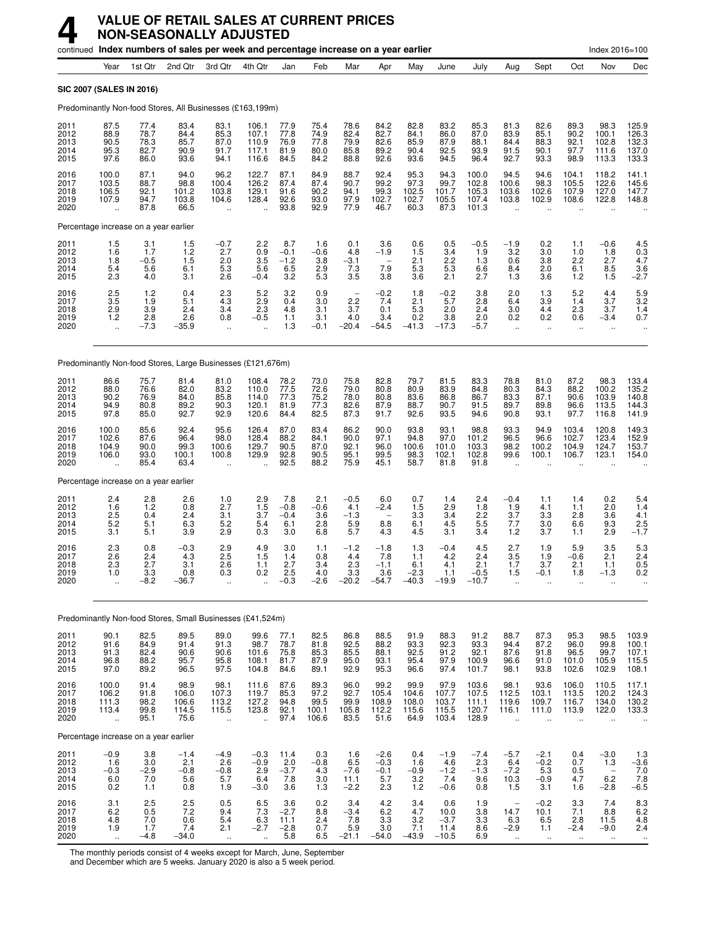|                                      |                                                          |                                       | continued Index numbers of sales per week and percentage increase on a year earlier |                                                         |                                                          |                                        |                                                   |                                        |                                                         |                                            |                                          |                                           |                                                         |                                                        |                                                          | Index 2016=100                              |                                                  |
|--------------------------------------|----------------------------------------------------------|---------------------------------------|-------------------------------------------------------------------------------------|---------------------------------------------------------|----------------------------------------------------------|----------------------------------------|---------------------------------------------------|----------------------------------------|---------------------------------------------------------|--------------------------------------------|------------------------------------------|-------------------------------------------|---------------------------------------------------------|--------------------------------------------------------|----------------------------------------------------------|---------------------------------------------|--------------------------------------------------|
|                                      | Year                                                     | 1st Qtr                               | 2nd Qtr                                                                             | 3rd Qtr                                                 | 4th Qtr                                                  | Jan                                    | Feb                                               | Mar                                    | Apr                                                     | May                                        | June                                     | July                                      | Aug                                                     | Sept                                                   | Oct                                                      | Nov                                         | Dec                                              |
|                                      |                                                          | SIC 2007 (SALES IN 2016)              |                                                                                     |                                                         |                                                          |                                        |                                                   |                                        |                                                         |                                            |                                          |                                           |                                                         |                                                        |                                                          |                                             |                                                  |
|                                      |                                                          |                                       | Predominantly Non-food Stores, All Businesses (£163,199m)                           |                                                         |                                                          |                                        |                                                   |                                        |                                                         |                                            |                                          |                                           |                                                         |                                                        |                                                          |                                             |                                                  |
| 2011<br>2012<br>2013<br>2014<br>2015 | 87.5<br>88.9<br>90.5<br>95.3<br>97.6                     | 77.4<br>78.7<br>78.3<br>82.7<br>86.0  | 83.4<br>84.4<br>85.7<br>90.9<br>93.6                                                | 83.1<br>85.3<br>87.0<br>91.7<br>94.1                    | 106.1<br>107.1<br>110.9<br>117.1<br>116.6                | 77.9<br>77.8<br>76.9<br>81.9<br>84.5   | 75.4<br>74.9<br>77.8<br>80.0<br>84.2              | 78.6<br>82.4<br>79.9<br>85.8<br>88.8   | 84.2<br>82.7<br>82.6<br>89.2<br>92.6                    | 82.8<br>84.1<br>85.9<br>90.4<br>93.6       | 83.2<br>86.0<br>87.9<br>92.5<br>94.5     | 85.3<br>87.0<br>88.1<br>93.9<br>96.4      | 81.3<br>83.9<br>84.4<br>91.5<br>92.7                    | 82.6<br>85.1<br>88.3<br>90.1<br>93.3                   | 89.3<br>90.2<br>92.1<br>97.7<br>98.9                     | 98.3<br>100.1<br>102.8<br>111.6<br>113.3    | 125.9<br>126.3<br>132.3<br>137.0<br>133.3        |
| 2016<br>2017<br>2018<br>2019<br>2020 | 100.0<br>103.5<br>106.5<br>107.9<br>$\ddot{\phantom{a}}$ | 87.1<br>88.7<br>92.1<br>94.7<br>87.8  | 94.0<br>98.8<br>101.2<br>103.8<br>66.5                                              | 96.2<br>100.4<br>103.8<br>104.6<br>$\ddot{\phantom{a}}$ | 122.7<br>126.2<br>129.1<br>128.4                         | 87.1<br>87.4<br>91.6<br>92.6<br>93.8   | 84.9<br>87.4<br>90.2<br>93.0<br>92.9              | 88.7<br>90.7<br>94.1<br>97.9<br>77.9   | 92.4<br>99.2<br>99.3<br>102.7<br>46.7                   | 95.3<br>97.3<br>102.5<br>102.7<br>60.3     | 94.3<br>99.7<br>101.7<br>105.5<br>87.3   | 100.0<br>102.8<br>105.3<br>107.4<br>101.3 | 94.5<br>100.6<br>103.6<br>103.8<br>$\ddot{\phantom{a}}$ | 94.6<br>98.3<br>102.6<br>102.9<br>$\ddot{\phantom{a}}$ | 104.1<br>105.5<br>107.9<br>108.6<br>$\ddot{\phantom{a}}$ | 118.2<br>122.6<br>127.0<br>122.8            | 141.1<br>145.6<br>147.7<br>148.8                 |
|                                      |                                                          | Percentage increase on a year earlier |                                                                                     |                                                         |                                                          |                                        |                                                   |                                        |                                                         |                                            |                                          |                                           |                                                         |                                                        |                                                          |                                             |                                                  |
| 2011<br>2012<br>2013<br>2014<br>2015 | $\frac{1.5}{1.6}$<br>1.8<br>5.4<br>2.3                   | 3.1<br>1.7<br>$-0.5$<br>5.6<br>4.0    | 1.5<br>1.2<br>1.5<br>6.1<br>3.1                                                     | $-0.7$<br>2.7<br>2.0<br>5.3<br>2.6                      | $^{2.2}_{0.9}$<br>3.5<br>5.6<br>$-0.4$                   | 8.7<br>$-0.1$<br>$-1.2$<br>6.5<br>3.2  | 1.6<br>$-0.6$<br>3.8<br>2.9<br>5.3                | 0.1<br>4.8<br>$-3.1$<br>7.3<br>3.5     | 3.6<br>$-1.9$<br>$\overline{\phantom{0}}$<br>7.9<br>3.8 | 0.6<br>1.5<br>2.1<br>5.3<br>3.6            | 0.5<br>3.4<br>2.2<br>5.3<br>2.1          | $-0.5$<br>1.9<br>1.3<br>6.6<br>2.7        | $-1.9$<br>3.2<br>0.6<br>8.4<br>1.3                      | 0.2<br>3.0<br>3.8<br>2.0<br>3.6                        | 1.1<br>1.0<br>2.2<br>6.1<br>1.2                          | $-0.6$<br>1.8<br>2.7<br>8.5<br>1.5          | $^{4.5}_{0.3}$<br>4.7<br>$\frac{3.6}{-2.7}$      |
| 2016<br>2017<br>2018<br>2019<br>2020 | $\frac{2.5}{3.5}$<br>2.9<br>1.2<br>$\ddotsc$             | 1.2<br>1.9<br>3.9<br>2.8<br>$-7.3$    | 0.4<br>5.1<br>2.4<br>2.6<br>$-35.9$                                                 | $^{2.3}_{4.3}$<br>3.4<br>0.8<br>$\ddot{\phantom{a}}$    | $\frac{5.2}{2.9}$<br>2.3<br>$-0.5$                       | 3.2<br>0.4<br>4.8<br>1.1<br>1.3        | 0.9<br>3.0<br>3.1<br>3.1<br>$-0.1$                | 2.2<br>3.7<br>4.0<br>$-20.4$           | $-0.2$<br>7.4<br>0.1<br>3.4<br>$-54.5$                  | 1.8<br>2.1<br>5.3<br>0.2<br>$-41.3$        | $-0.2$<br>5.7<br>2.0<br>3.8<br>$-17.3$   | 3.8<br>2.8<br>2.4<br>2.0<br>-5.7          | 2.0<br>6.4<br>3.0<br>0.2<br>÷.                          | 1.3<br>3.9<br>4.4<br>0.2<br>$\ddotsc$                  | 5.2<br>1.4<br>2.3<br>0.6<br>$\ddotsc$                    | 4.4<br>3.7<br>3.7<br>$-3.4$                 | $\frac{5.9}{3.2}$<br>1.4<br>0.7                  |
|                                      |                                                          |                                       | Predominantly Non-food Stores, Large Businesses (£121,676m)                         |                                                         |                                                          |                                        |                                                   |                                        |                                                         |                                            |                                          |                                           |                                                         |                                                        |                                                          |                                             |                                                  |
| 2011<br>2012<br>2013<br>2014<br>2015 | 86.6<br>88.0<br>90.2<br>94.9<br>97.8                     | 75.7<br>76.6<br>76.9<br>80.8<br>85.0  | 81.4<br>82.0<br>84.0<br>89.2<br>92.7                                                | 81.0<br>83.2<br>85.8<br>90.3<br>92.9                    | 108.4<br>110.0<br>114.0<br>120.1<br>120.6                | 78.2<br>77.5<br>77.3<br>81.9<br>84.4   | 73.0<br>72.6<br>75.2<br>77.3<br>82.5              | 75.8<br>79.0<br>78.0<br>82.6<br>87.3   | 82.8<br>80.8<br>80.8<br>87.9<br>91.7                    | 79.7<br>80.9<br>83.6<br>88.7<br>92.6       | 81.5<br>83.9<br>86.8<br>90.7<br>93.5     | 83.3<br>84.8<br>86.7<br>91.5<br>94.6      | 78.8<br>80.3<br>83.3<br>89.7<br>90.8                    | 81.0<br>84.3<br>87.1<br>89.8<br>93.1                   | 87.2<br>88.2<br>90.6<br>96.6<br>97.7                     | 98.3<br>100.2<br>103.9<br>113.5<br>116.8    | 133.4<br>135.2<br>140.8<br>144.3<br>141.9        |
| 2016<br>2017<br>2018<br>2019<br>2020 | 100.0<br>102.6<br>104.9<br>106.0                         | 85.6<br>87.6<br>90.0<br>93.0<br>85.4  | 92.4<br>96.4<br>99.3<br>100.1<br>63.4                                               | 95.6<br>98.0<br>100.6<br>100.8<br>$\ddot{\phantom{a}}$  | 126.4<br>128.4<br>129.7<br>129.9                         | 87.0<br>88.2<br>90.5<br>92.8<br>92.5   | 83.4<br>84.1<br>87.0<br>90.5<br>88.2              | 86.2<br>90.0<br>92.1<br>95.1<br>75.9   | 90.0<br>97.1<br>96.0<br>99.5<br>45.1                    | 93.8<br>94.8<br>100.6<br>98.3<br>58.7      | 93.1<br>97.0<br>101.0<br>102.1<br>81.8   | 98.8<br>101.2<br>103.3<br>102.8<br>91.8   | 93.3<br>96.5<br>98.2<br>99.6                            | 94.9<br>96.6<br>100.2<br>100.1                         | 103.4<br>102.7<br>104.9<br>106.7                         | 120.8<br>123.4<br>124.7<br>123.1            | 149.3<br>152.9<br>153.7<br>154.0                 |
|                                      |                                                          | Percentage increase on a year earlier |                                                                                     |                                                         |                                                          |                                        |                                                   |                                        |                                                         |                                            |                                          |                                           |                                                         |                                                        |                                                          |                                             |                                                  |
| 2011<br>2012<br>2013<br>2014<br>2015 | 2.4<br>1.6<br>2.5<br>5.2<br>3.1                          | 2.8<br>1.2<br>0.4<br>5.1<br>5.1       | 2.6<br>0.8<br>2.4<br>6.3<br>3.9                                                     | 1.0<br>2.7<br>3.1<br>5.2<br>2.9                         | 2.9<br>$\frac{1.5}{3.7}$<br>5.4<br>0.3                   | 7.8<br>$-0.8$<br>$-0.4$<br>6.1<br>3.0  | 2.1<br>$-0.6$<br>3.6<br>2.8<br>6.8                | $-0.5$<br>4.1<br>$-1.3$<br>5.9<br>5.7  | 6.0<br>$-2.4$<br>8.8<br>4.3                             | 0.7<br>1.5<br>3.3<br>6.1<br>4.5            | 1.4<br>2.9<br>3.4<br>4.5<br>3.1          | 2.4<br>1.8<br>2.2<br>5.5<br>3.4           | $-0.4$<br>1.9<br>3.7<br>7.7<br>1.2                      | 1.1<br>4.1<br>3.3<br>3.0<br>3.7                        | 1.4<br>1.1<br>2.8<br>6.6<br>1.1                          | 0.2<br>2.0<br>3.6<br>9.3<br>2.9             | 5.4<br>1.4<br>4.1<br>$2.5 - 1.7$                 |
| 2016<br>2017<br>2018<br>2019<br>2020 | 2.3<br>2.6<br>2.3<br>1.0                                 | 0.8<br>2.4<br>2.7<br>3.3<br>$-8.2$    | $-0.3$<br>4.3<br>3.1<br>0.8<br>-36.7                                                | 2.9<br>2.5<br>2.6<br>0.3<br>$\ddot{\phantom{1}}$        | 4.9<br>1.5<br>1.1<br>0.2                                 | 3.0<br>1.4<br>2.7<br>2.5<br>$-0.3$     | 1.1<br>0.8<br>3.4<br>4.0<br>$-2.6$                | $-1.2$<br>4.4<br>2.3<br>3.3<br>$-20.2$ | $-1.8$<br>7.8<br>$-1.1$<br>3.6<br>$-54.7$               | 1.3<br>1.1<br>6.1<br>-2.3<br>$-40.3$       | $-0.4$<br>4.2<br>4.1<br>1.1<br>$-19.9$   | 4.5<br>2.4<br>2.1<br>$-0.5$<br>$-10.7$    | 2.7<br>3.5<br>1.7<br>1.5<br>ă,                          | 1.9<br>1.9<br>3.7<br>-0.1                              | 5.9<br>$-0.6$<br>2.1<br>1.8<br>$\ddot{\phantom{1}}$      | 3.5<br>2.1<br>1.1<br>-1.3                   | 5.3<br>2.4<br>0.5<br>0.2                         |
|                                      |                                                          |                                       | Predominantly Non-food Stores, Small Businesses (£41,524m)                          |                                                         |                                                          |                                        |                                                   |                                        |                                                         |                                            |                                          |                                           |                                                         |                                                        |                                                          |                                             |                                                  |
| 2011<br>2012<br>2013<br>2014<br>2015 | 90.1<br>91.6<br>91.3<br>96.8<br>97.0                     | 82.5<br>84.9<br>82.4<br>88.2<br>89.2  | 89.5<br>91.4<br>90.6<br>95.7<br>96.5                                                | 89.0<br>91.3<br>90.6<br>95.8<br>97.5                    | 99.6<br>98.7<br>101.6<br>108.1<br>104.8                  | 77.1<br>78.7<br>75.8<br>81.7<br>84.6   | 82.5<br>81.8<br>$85.\overline{3}$<br>87.9<br>89.1 | 86.8<br>92.5<br>85.5<br>95.0<br>92.9   | 88.5<br>88.2<br>88.1<br>93.1<br>95.3                    | 91.9<br>93.3<br>92.5<br>95.4<br>96.6       | 88.3<br>92.3<br>91.2<br>97.9<br>97.4     | 91.2<br>93.3<br>92.1<br>100.9<br>101.7    | 88.7<br>94.4<br>87.6<br>96.6<br>98.1                    | 87.3<br>87.2<br>91.8<br>91.0<br>93.8                   | 95.3<br>96.0<br>96.5<br>101.0<br>102.6                   | 98.5<br>99.8<br>99.7<br>105.9<br>102.9      | 103.9<br>100.1<br>107.1<br>115.5<br>108.1        |
| 2016<br>2017<br>2018<br>2019<br>2020 | 100.0<br>106.2<br>111.3<br>113.4<br>$\ddotsc$            | 91.4<br>91.8<br>98.2<br>99.8<br>95.1  | 98.9<br>106.0<br>106.6<br>114.5<br>75.6                                             | 98.1<br>107.3<br>113.2<br>115.5<br>$\ddot{\phantom{a}}$ | 111.6<br>119.7<br>127.2<br>123.8<br>$\ddot{\phantom{a}}$ | 87.6<br>85.3<br>94.8<br>92.1<br>97.4   | 89.3<br>97.2<br>99.5<br>100.1<br>106.6            | 96.0<br>92.7<br>99.9<br>105.8<br>83.5  | 99.2<br>105.4<br>108.9<br>112.2<br>51.6                 | 99.9<br>104.6<br>108.0<br>115.6<br>64.9    | 97.9<br>107.7<br>103.7<br>115.5<br>103.4 | 103.6<br>107.5<br>111.1<br>120.7<br>128.9 | 98.1<br>112.5<br>119.6<br>116.1<br>÷.                   | 93.6<br>103.1<br>109.7<br>111.0<br>$\ddotsc$           | 106.0<br>113.5<br>116.7<br>113.9                         | 110.5<br>120.2<br>134.0<br>122.0            | $117.1$<br>$124.3$<br>$130.2$<br>133.3           |
|                                      |                                                          | Percentage increase on a year earlier |                                                                                     |                                                         |                                                          |                                        |                                                   |                                        |                                                         |                                            |                                          |                                           |                                                         |                                                        |                                                          |                                             |                                                  |
| 2011<br>2012<br>2013<br>2014<br>2015 | $-0.9$<br>1.6<br>$-0.3$<br>6.0<br>0.2                    | 3.8<br>3.0<br>$-2.9$<br>7.0<br>1.1    | $-1.4$<br>2.1<br>$-0.8$<br>5.6<br>0.8                                               | $-4.9$<br>2.6<br>$-0.8$<br>5.7<br>1.9                   | $-0.3$<br>$-0.9$<br>2.9<br>6.4<br>$-3.0$                 | 11.4<br>2.0<br>$-3.7$<br>7.8<br>3.6    | 0.3<br>$-0.8$<br>4.3<br>$3.\overline{0}$<br>1.3   | 1.6<br>6.5<br>$-7.6$<br>11.1<br>$-2.2$ | $-2.6$<br>$-0.3$<br>$-0.1$<br>5.7<br>2.3                | 0.4<br>1.6<br>$-0.9$<br>3.2<br>1.2         | $-1.9$<br>4.6<br>$-1.2$<br>7.4<br>$-0.6$ | $-7.4$<br>2.3<br>$-1.3$<br>9.6<br>0.8     | $-5.7$<br>6.4<br>$-7.2$<br>10.3<br>1.5                  | $-2.1$<br>$-0.2$<br>5.3<br>$-0.9$<br>3.1               | 0.4<br>0.7<br>$0.5$<br>4.7<br>1.6                        | $-3.0$<br>1.3<br>$6.\overline{2}$<br>$-2.8$ | $1.3 - 3.6 - 3.6$<br>$7.0$<br>$7.8$<br>$-6.5$    |
| 2016<br>2017<br>2018<br>2019<br>2020 | 3.1<br>6.2<br>4.8<br>1.9<br>$\ddot{\phantom{a}}$         | 2.5<br>0.5<br>7.0<br>1.7<br>$-4.8$    | 2.5<br>7.2<br>0.6<br>7.4<br>$-34.0$                                                 | 0.5<br>9.4<br>5.4<br>2.1<br>$\ddot{\phantom{1}}$        | 6.5<br>7.3<br>$-6.3 - 2.7$<br>$\ddotsc$                  | 3.6<br>$-2.7$<br>11.1<br>$-2.8$<br>5.8 | 0.2<br>8.8<br>2.4<br>0.7<br>6.5                   | 3.4<br>$-3.4$<br>7.8<br>5.9<br>$-21.1$ | 4.2<br>6.2<br>3.3<br>3.0<br>$-54.0$                     | 3.4<br>4.7<br>$\frac{3.2}{7.1}$<br>$-43.9$ | 0.6<br>10.0<br>$-3.7$<br>11.4<br>$-10.5$ | 1.9<br>3.8<br>3.3<br>8.6<br>6.9           | 14.7<br>6.3<br>$-2.9$<br>$\ddotsc$                      | $-0.2$<br>10.1<br>6.5<br>1.1<br>$\ddot{\phantom{1}}$   | 3.3<br>7.1<br>2.8<br>$-2.4$<br>$\ddot{\phantom{1}}$      | 7.4<br>8.8<br>11.5<br>$-9.0$<br>$\ddotsc$   | 8.3<br>6.2<br>4.8<br>2.4<br>$\ddot{\phantom{1}}$ |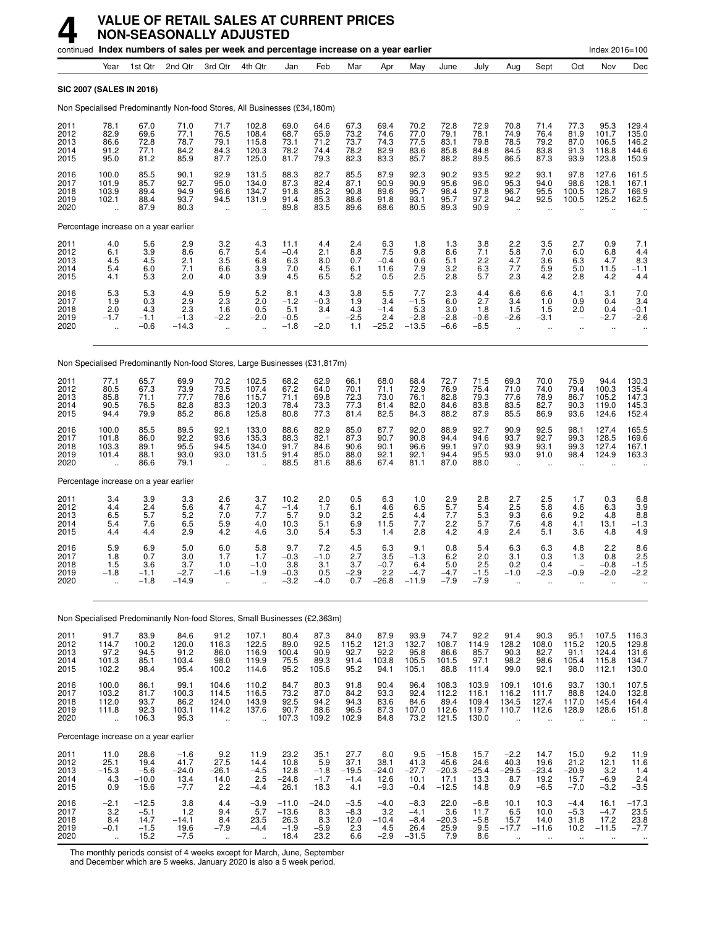#### **4 VALUE OF RETAIL SALES AT CURRENT PRICES NON-SEASONALLY ADJUSTED**

|                                      |                                                          |                                             |                                             | continued Index numbers of sales per week and percentage increase on a year earlier |                                               |                                              |                                         |                                          |                                           |                                               |                                               |                                           |                                                      |                                               |                                                            | Index 2016=100                            |                                           |
|--------------------------------------|----------------------------------------------------------|---------------------------------------------|---------------------------------------------|-------------------------------------------------------------------------------------|-----------------------------------------------|----------------------------------------------|-----------------------------------------|------------------------------------------|-------------------------------------------|-----------------------------------------------|-----------------------------------------------|-------------------------------------------|------------------------------------------------------|-----------------------------------------------|------------------------------------------------------------|-------------------------------------------|-------------------------------------------|
|                                      | Year                                                     | 1st Qtr                                     | 2nd Qtr                                     | 3rd Otr                                                                             | 4th Qtr                                       | Jan                                          | Feb                                     | Mar                                      | Apr                                       | May                                           | June                                          | July                                      | Aug                                                  | Sept                                          | Oct                                                        | Nov                                       | Dec                                       |
|                                      | SIC 2007 (SALES IN 2016)                                 |                                             |                                             |                                                                                     |                                               |                                              |                                         |                                          |                                           |                                               |                                               |                                           |                                                      |                                               |                                                            |                                           |                                           |
|                                      |                                                          |                                             |                                             | Non Specialised Predominantly Non-food Stores, All Businesses (£34,180m)            |                                               |                                              |                                         |                                          |                                           |                                               |                                               |                                           |                                                      |                                               |                                                            |                                           |                                           |
| 2011<br>2012<br>2013<br>2014<br>2015 | 78.1<br>82.9<br>86.6<br>91.2<br>95.0                     | 67.0<br>69.6<br>72.8<br>77.1<br>81.2        | 71.0<br>77.1<br>78.7<br>84.2<br>85.9        | 71.7<br>76.5<br>79.1<br>84.3<br>87.7                                                | 102.8<br>108.4<br>115.8<br>120.3<br>125.0     | 69.0<br>68.7<br>73.1<br>78.2<br>81.7         | 64.6<br>65.9<br>71.2<br>74.4<br>79.3    | 67.3<br>73.2<br>73.7<br>78.2<br>82.3     | 69.4<br>74.6<br>74.3<br>82.9<br>83.3      | 70.2<br>77.0<br>77.5<br>83.6<br>85.7          | 72.8<br>79.1<br>83.1<br>85.8<br>88.2          | 72.9<br>78.1<br>79.8<br>84.8<br>89.5      | 70.8<br>74.9<br>78.5<br>84.5<br>86.5                 | 71.4<br>76.4<br>79.2<br>83.8<br>87.3          | 77.3<br>81.9<br>87.0<br>91.3<br>93.9                       | 95.3<br>101.7<br>106.5<br>118.8<br>123.8  | 129.4<br>135.0<br>146.2<br>144.6<br>150.9 |
| 2016<br>2017<br>2018<br>2019<br>2020 | 100.0<br>101.9<br>103.9<br>102.1<br>$\ddot{\phantom{a}}$ | 85.5<br>85.7<br>89.4<br>88.4<br>87.9        | 90.1<br>92.7<br>94.9<br>93.7<br>80.3        | 92.9<br>95.0<br>96.6<br>94.5<br>x.                                                  | 131.5<br>134.0<br>134.7<br>131.9              | 88.3<br>87.3<br>91.8<br>91.4<br>89.8         | 82.7<br>82.4<br>85.2<br>85.3<br>83.5    | 85.5<br>87.1<br>90.8<br>88.6<br>89.6     | 87.9<br>90.9<br>89.6<br>91.8<br>68.6      | 92.3<br>90.9<br>95.7<br>93.1<br>80.5          | 90.2<br>95.6<br>98.4<br>95.7<br>89.3          | 93.5<br>96.0<br>97.8<br>97.2<br>90.9      | 92.2<br>95.3<br>96.7<br>94.2<br>$\ddot{\phantom{a}}$ | 93.1<br>94.0<br>95.5<br>92.5                  | 97.8<br>98.6<br>100.5<br>100.5                             | 127.6<br>128.1<br>128.7<br>125.2          | 161.5<br>167.1<br>166.9<br>162.5          |
|                                      |                                                          | Percentage increase on a year earlier       |                                             |                                                                                     |                                               |                                              |                                         |                                          |                                           |                                               |                                               |                                           |                                                      |                                               |                                                            |                                           |                                           |
| 2011<br>2012<br>2013<br>2014<br>2015 | 4.0<br>6.1<br>4.5<br>5.4<br>4.1                          | 5.6<br>3.9<br>4.5<br>6.0<br>5.3             | 2.9<br>8.6<br>2.1<br>7.1<br>2.0             | $\frac{3.2}{6.7}$<br>3.5<br>6.6<br>4.0                                              | $\frac{4.3}{5.4}$<br>6.8<br>3.9<br>3.9        | 11.1<br>$-0.4$<br>6.3<br>7.0<br>4.5          | 4.4<br>2.1<br>8.0<br>4.5<br>6.5         | 2.4<br>8.8<br>0.7<br>6.1<br>5.2          | $6.3$<br>7.5<br>$-0.4$<br>11.6<br>0.5     | 1.8<br>9.8<br>0.6<br>7.9<br>2.5               | 1.3<br>8.6<br>5.1<br>3.2<br>2.8               | 3.8<br>7.1<br>2.2<br>6.3<br>5.7           | 2.2<br>5.8<br>4.7<br>7.7<br>2.3                      | 3.5<br>7.0<br>3.6<br>5.9<br>4.2               | 2.7<br>6.0<br>6.3<br>5.0<br>2.8                            | 0.9<br>6.8<br>4.7<br>11.5<br>4.2          | $7.1$<br>4.4<br>8.3<br>$-1.1$<br>4.4      |
| 2016<br>2017<br>2018<br>2019<br>2020 | 5.3<br>1.9<br>2.0<br>$-1.7$                              | 5.3<br>0.3<br>4.3<br>$-1.1$<br>$-0.6$       | 4.9<br>2.9<br>2.3<br>$-1.3$<br>$-14.3$      | $\frac{5.9}{2.3}$<br>1.6<br>$-2.2$<br>$\ddot{\phantom{a}}$                          | 5.2<br>2.0<br>0.5<br>$-2.0$                   | 8.1<br>$-1.2$<br>5.1<br>$-0.5$<br>$-1.8$     | 4.3<br>$-0.3$<br>3.4<br>$-2.0$          | 3.8<br>1.9<br>4.3<br>$-2.5$<br>1.1       | 5.5<br>3.4<br>$-1.4$<br>2.4<br>$-25.2$    | 7.7<br>$-1.5$<br>5.3<br>$-2.8$<br>$-13.5$     | 2.3<br>6.0<br>3.0<br>$-2.8$<br>$-6.6$         | 4.4<br>2.7<br>1.8<br>$-0.6$<br>$-6.5$     | 6.6<br>3.4<br>1.5<br>$-2.6$<br>ä.                    | 6.6<br>1.0<br>1.5<br>$-3.1$<br>$\ddotsc$      | 4.1<br>0.9<br>2.0<br>$\overline{\phantom{0}}$<br>$\ddotsc$ | 3.1<br>0.4<br>0.4<br>$-2.7$<br>$\ddotsc$  | 7.0<br>3.4<br>$-0.1$<br>$-2.6$            |
|                                      |                                                          |                                             |                                             | Non Specialised Predominantly Non-food Stores, Large Businesses (£31,817m)          |                                               |                                              |                                         |                                          |                                           |                                               |                                               |                                           |                                                      |                                               |                                                            |                                           |                                           |
| 2011<br>2012<br>2013<br>2014<br>2015 | 77.1<br>80.5<br>85.8<br>90.5<br>94.4                     | 65.7<br>67.3<br>71.1<br>76.5<br>79.9        | 69.9<br>73.9<br>77.7<br>82.8<br>85.2        | 70.2<br>73.5<br>78.6<br>83.3<br>86.8                                                | 102.5<br>107.4<br>115.7<br>120.3<br>125.8     | 68.2<br>67.2<br>71.1<br>78.4<br>80.8         | 62.9<br>64.0<br>69.8<br>73.3<br>77.3    | 66.1<br>70.1<br>72.3<br>77.3<br>81.4     | 68.0<br>71.1<br>73.0<br>81.4<br>82.5      | 68.4<br>72.9<br>76.1<br>82.0<br>84.3          | 72.7<br>76.9<br>82.8<br>84.6<br>88.2          | 71.5<br>75.4<br>79.3<br>83.8<br>87.9      | 69.3<br>71.0<br>77.6<br>83.5<br>85.5                 | 70.0<br>74.0<br>78.9<br>82.7<br>86.9          | 75.9<br>79.4<br>86.7<br>90.3<br>93.6                       | 94.4<br>100.3<br>105.2<br>119.0<br>124.6  | 130.3<br>135.4<br>147.3<br>145.3<br>152.4 |
| 2016<br>2017<br>2018<br>2019<br>2020 | 100.0<br>101.8<br>103.3<br>101.4                         | 85.5<br>86.0<br>89.1<br>88.1<br>86.6        | 89.5<br>92.2<br>95.5<br>93.0<br>79.1        | 92.1<br>93.6<br>94.5<br>93.0<br>$\ddot{\phantom{a}}$                                | 133.0<br>135.3<br>134.0<br>131.5              | 88.6<br>88.3<br>91.7<br>91.4<br>88.5         | 82.9<br>82.1<br>84.6<br>85.0<br>81.6    | 85.0<br>87.3<br>90.6<br>88.0<br>88.6     | 87.7<br>90.7<br>90.1<br>92.1<br>67.4      | 92.0<br>90.8<br>96.6<br>92.1<br>81.1          | 88.9<br>94.4<br>99.1<br>94.4<br>87.0          | 92.7<br>94.6<br>97.0<br>95.5<br>88.0      | 90.9<br>93.7<br>93.9<br>93.0<br>$\ddot{\phantom{a}}$ | 92.5<br>92.7<br>93.1<br>91.0                  | 98.1<br>99.3<br>99.3<br>98.4                               | 127.4<br>128.5<br>127.4<br>124.9          | 165.5<br>169.6<br>167.1<br>163.3          |
|                                      |                                                          | Percentage increase on a year earlier       |                                             |                                                                                     |                                               |                                              |                                         |                                          |                                           |                                               |                                               |                                           |                                                      |                                               |                                                            |                                           |                                           |
| 2011<br>2012<br>2013<br>2014<br>2015 | 3.4<br>4.4<br>6.5<br>5.4<br>4.4                          | 3.9<br>$^{2.4}_{5.7}$<br>7.6<br>4.4         | 3.3<br>5.6<br>5.2<br>6.5<br>2.9             | 2.6<br>4.7<br>7.0<br>5.9<br>4.2                                                     | 3.7<br>4.7<br>7.7<br>4.0<br>4.6               | 10.2<br>$-1.4$<br>5.7<br>10.3<br>3.0         | 2.0<br>1.7<br>9.0<br>5.1<br>5.4         | 0.5<br>6.1<br>3.2<br>6.9<br>5.3          | 6.3<br>4.6<br>2.5<br>11.5<br>1.4          | 1.0<br>6.5<br>4.4<br>7.7<br>2.8               | 2.9<br>$5.7\,$<br>7.7<br>2.2<br>4.2           | 2.8<br>5.4<br>5.3<br>5.7<br>4.9           | 2.7<br>2.5<br>9.3<br>7.6<br>2.4                      | 2.5<br>5.8<br>6.6<br>4.8<br>5.1               | 1.7<br>4.6<br>9.2<br>4.1<br>3.6                            | 0.3<br>6.3<br>4.8<br>13.1<br>4.8          | 6.8<br>3.9<br>8.8<br>$-1.3$<br>4.9        |
| 2016<br>2017<br>2018<br>2019<br>2020 | 5.9<br>1.8<br>1.5<br>$-1.8$                              | 6.9<br>0.7<br>3.6<br>$-1.1$<br>$-1.8$       | 5.0<br>3.0<br>3.7<br>$-2.7$<br>$-14.9$      | 6.0<br>1.7<br>1.0<br>$-1.6$<br>$\ddotsc$                                            | 5.8<br>1.7<br>$-1.0$<br>$-1.9$                | 9.7<br>$-0.3$<br>3.8<br>$-0.3$<br>$-3.2$     | 7.2<br>$-1.0$<br>3.1<br>0.5<br>-4.0     | 4.5<br>2.7<br>3.7<br>-2.9<br>0.7         | 6.3<br>3.5<br>$-0.7$<br>2.2<br>$-26.8$    | 9.1<br>$-1.3$<br>6.4<br>$-4.7$<br>$-11.9$     | 0.8<br>6.2<br>5.0<br>$-4.7$<br>$-7.9$         | 5.4<br>2.0<br>2.5<br>$-1.5$<br>$-7.9$     | 6.3<br>3.1<br>0.2<br>$-1.0$                          | 6.3<br>0.3<br>0.4<br>-2.3                     | 4.8<br>1.3<br>$-0.9$                                       | 2.2<br>0.8<br>$-0.8$<br>-2.0              | 8.6<br>2.5<br>$-1.5$<br>-2.2              |
|                                      |                                                          |                                             |                                             | Non Specialised Predominantly Non-food Stores, Small Businesses (£2,363m)           |                                               |                                              |                                         |                                          |                                           |                                               |                                               |                                           |                                                      |                                               |                                                            |                                           |                                           |
| 2011<br>2012<br>2013<br>2014<br>2015 | $91.7$<br>$114.7$<br>$97.2$<br>101.3<br>102.2            | 83.9<br>100.2<br>94.5<br>85.1<br>98.4       | 84.6<br>120.0<br>91.2<br>103.4<br>95.4      | 91.2<br>116.3<br>86.0<br>98.0<br>100.2                                              | 107.1<br>116.9<br>119.9<br>114.6              | 80.4<br>89.0<br>100.4<br>75.5<br>95.2        | 87.3<br>92.5<br>90.9<br>89.3<br>105.6   | 84.0<br>115.2<br>92.7<br>91.4<br>95.2    | 87.9<br>121.3<br>92.2<br>103.8<br>94.1    | 93.9<br>132.7<br>95.8<br>105.5<br>105.1       | 74.7<br>108.7<br>86.6<br>101.5<br>88.8        | 92.2<br>114.9<br>85.7<br>97.1<br>111.4    | 91.4<br>128.2<br>90.3<br>98.2<br>99.0                | 90.3<br>108.0<br>82.7<br>98.6<br>92.1         | 95.1<br>115.2<br>91.1<br>105.4<br>98.0                     | 107.5<br>120.5<br>124.4<br>115.8<br>112.1 | 116.3<br>129.8<br>131.6<br>134.7<br>130.0 |
| 2016<br>2017<br>2018<br>2019<br>2020 | 100.0<br>103.2<br>112.0<br>111.8<br>$\ddot{\phantom{a}}$ | 86.1<br>81.7<br>93.7<br>92.3<br>106.3       | 99.1<br>100.3<br>86.2<br>103.1<br>95.3      | 104.6<br>114.5<br>124.0<br>114.2<br>$\ddotsc$                                       | 110.2<br>116.5<br>143.9<br>137.6<br>$\ddotsc$ | 84.7<br>73.2<br>92.5<br>90.7<br>107.3        | 80.3<br>87.0<br>94.2<br>88.6<br>109.2   | 91.8<br>84.2<br>94.3<br>96.5<br>102.9    | 90.4<br>93.3<br>83.6<br>87.3<br>84.8      | 96.4<br>92.4<br>84.6<br>107.0<br>73.2         | 108.3<br>112.2<br>89.4<br>112.6<br>121.5      | 103.9<br>116.1<br>109.4<br>119.7<br>130.0 | 109.1<br>116.2<br>134.5<br>110.7<br>$\ddotsc$        | 101.6<br>111.7<br>127.4<br>112.6<br>$\ddotsc$ | 93.7<br>88.8<br>117.0<br>128.9                             | 130.1<br>124.0<br>145.4<br>128.6          | 107.5<br>132.8<br>164.4<br>151.8          |
|                                      |                                                          | Percentage increase on a year earlier       |                                             |                                                                                     |                                               |                                              |                                         |                                          |                                           |                                               |                                               |                                           |                                                      |                                               |                                                            |                                           |                                           |
| 2011<br>2012<br>2013<br>2014<br>2015 | 11.0<br>25.1<br>$-15.3$<br>4.3<br>0.9                    | 28.6<br>19.4<br>$-5.6$<br>$-10.0$<br>15.6   | $-1.6$<br>41.7<br>$-24.0$<br>13.4<br>$-7.7$ | 9.2<br>27.5<br>$-26.1$<br>14.0<br>2.2                                               | 11.9<br>14.4<br>$-4.5$<br>2.5<br>$-4.4$       | 23.2<br>10.8<br>12.8<br>$-24.8$<br>26.1      | 35.1<br>5.9<br>$-1.8$<br>$-1.7$<br>18.3 | 27.7<br>37.1<br>$-19.5$<br>$-1.4$<br>4.1 | 6.0<br>38.1<br>$-24.0$<br>12.6<br>$-9.3$  | 9.5<br>41.3<br>$-27.7$<br>10.1<br>$-0.4$      | $-15.8$<br>45.6<br>$-20.3$<br>17.1<br>$-12.5$ | 15.7<br>24.6<br>$-25.4$<br>13.3<br>14.8   | $-2.2$<br>40.3<br>$-29.5$<br>8.7<br>0.9              | 14.7<br>19.6<br>$-23.4$<br>19.2<br>$-6.5$     | 15.0<br>21.2<br>$-20.9$<br>15.7<br>$-7.0$                  | 9.2<br>12.1<br>3.2<br>$-6.9$<br>$-3.2$    | 11.9<br>11.6<br>1.4<br>2.4<br>$-3.5$      |
| 2016<br>2017<br>2018<br>2019<br>2020 | $-2.1$<br>3.2<br>8.4<br>$-0.1$                           | $-12.5$<br>$-5.1$<br>14.7<br>$-1.5$<br>15.2 | 3.8<br>1.2<br>$-14.1$<br>19.6<br>$-7.5$     | 4.4<br>9.4<br>8.4<br>$-7.9$                                                         | $-3.9$<br>5.7<br>23.5<br>$-4.4$               | $-11.0$<br>$-13.6$<br>26.3<br>$-1.9$<br>18.4 | $-24.0$<br>8.3<br>8.3<br>$-5.9$<br>23.2 | $-3.5$<br>$-8.3$<br>12.0<br>2.3<br>6.6   | $-4.0$<br>3.2<br>$-10.4$<br>4.5<br>$-2.9$ | $-8.3$<br>$-4.1$<br>$-8.4$<br>26.4<br>$-31.5$ | 22.0<br>3.6<br>$-20.3$<br>25.9<br>7.9         | $-6.8$<br>11.7<br>$-5.8$<br>9.5<br>8.6    | 10.1<br>6.5<br>15.7<br>$-17.7$                       | 10.3<br>10.0<br>14.0<br>$-11.6$               | $-4.4$<br>$-5.3$<br>31.8<br>10.2                           | 16.1<br>$-4.7$<br>17.2<br>$-11.5$         | $-17.3$<br>23.5<br>$23.8$<br>-7.7         |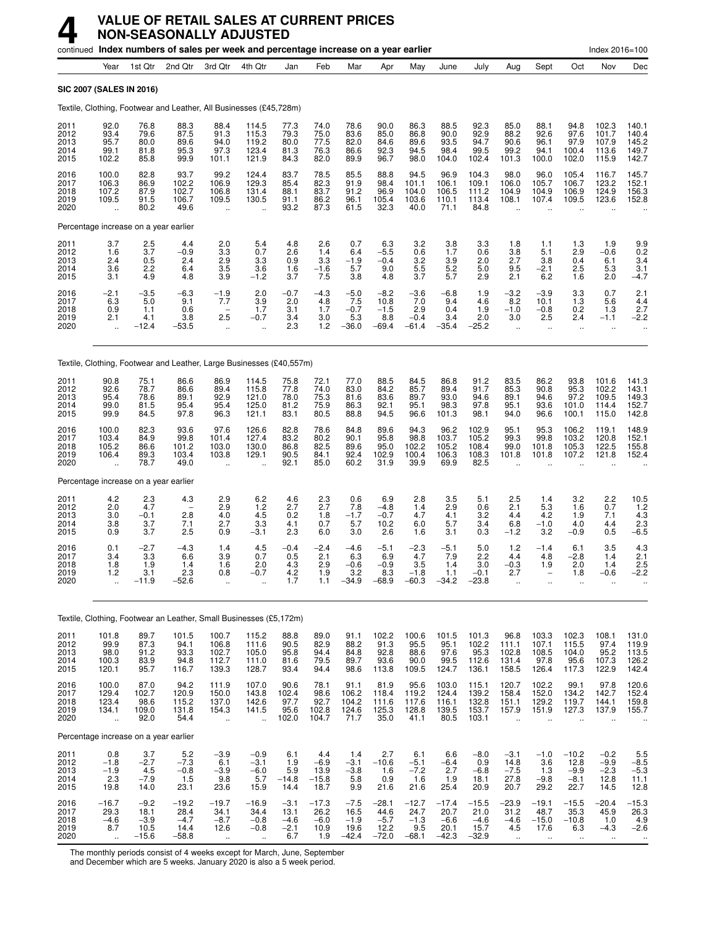|                                      |                                                     |                                             | continued Index numbers of sales per week and percentage increase on a year earlier |                                                          |                                                          |                                           |                                          |                                             |                                              |                                             |                                              |                                              |                                                         |                                                 |                                               | Index 2016=100                                |                                             |
|--------------------------------------|-----------------------------------------------------|---------------------------------------------|-------------------------------------------------------------------------------------|----------------------------------------------------------|----------------------------------------------------------|-------------------------------------------|------------------------------------------|---------------------------------------------|----------------------------------------------|---------------------------------------------|----------------------------------------------|----------------------------------------------|---------------------------------------------------------|-------------------------------------------------|-----------------------------------------------|-----------------------------------------------|---------------------------------------------|
|                                      | Year                                                | 1st Qtr                                     | 2nd Qtr                                                                             | 3rd Otr                                                  | 4th Qtr                                                  | Jan                                       | Feb                                      | Mar                                         | Apr                                          | May                                         | June                                         | July                                         | Aug                                                     | Sept                                            | Oct                                           | Nov                                           | Dec                                         |
| <b>SIC 2007 (SALES IN 2016)</b>      |                                                     |                                             |                                                                                     |                                                          |                                                          |                                           |                                          |                                             |                                              |                                             |                                              |                                              |                                                         |                                                 |                                               |                                               |                                             |
|                                      |                                                     |                                             | Textile, Clothing, Footwear and Leather, All Businesses (£45,728m)                  |                                                          |                                                          |                                           |                                          |                                             |                                              |                                             |                                              |                                              |                                                         |                                                 |                                               |                                               |                                             |
| 2011<br>2012<br>2013<br>2014<br>2015 | 92.0<br>93.4<br>95.7<br>99.1<br>102.2               | 76.8<br>79.6<br>80.0<br>81.8<br>85.8        | 88.3<br>87.5<br>89.6<br>95.3<br>99.9                                                | 88.4<br>91.3<br>94.0<br>97.3<br>101.1                    | 114.5<br>115.3<br>119.2<br>123.4<br>121.9                | 77.3<br>79.3<br>80.0<br>81.3<br>84.3      | 74.0<br>75.0<br>77.5<br>76.3<br>82.0     | 78.6<br>83.6<br>82.0<br>86.6<br>89.9        | 90.0<br>85.0<br>84.6<br>92.3<br>96.7         | 86.3<br>86.8<br>89.6<br>94.5<br>98.0        | 88.5<br>90.0<br>93.5<br>98.4<br>104.0        | 92.3<br>92.9<br>94.7<br>99.5<br>102.4        | 85.0<br>88.2<br>90.6<br>99.2<br>101.3                   | 88.1<br>92.6<br>96.1<br>94.1<br>100.0           | 94.8<br>97.6<br>97.9<br>100.4<br>102.0        | 102.3<br>101.7<br>107.9<br>113.6<br>115.9     | 140.1<br>140.4<br>145.2<br>149.7<br>142.7   |
| 2016<br>2017<br>2018<br>2019<br>2020 | 100.0<br>106.3<br>107.2<br>109.5                    | 82.8<br>86.9<br>87.9<br>91.5<br>80.2        | 93.7<br>102.2<br>102.7<br>106.7<br>49.6                                             | 99.2<br>106.9<br>106.8<br>109.5<br>ä,                    | 124.4<br>129.3<br>131.4<br>130.5                         | 83.7<br>85.4<br>88.1<br>91.1<br>93.2      | 78.5<br>82.3<br>83.7<br>86.2<br>87.3     | 85.5<br>91.9<br>91.2<br>96.1<br>61.5        | 88.8<br>98.4<br>96.9<br>105.4<br>32.3        | 94.5<br>101.1<br>104.0<br>103.6<br>40.0     | 96.9<br>106.1<br>106.5<br>110.1<br>71.1      | 104.3<br>109.1<br>111.2<br>113.4<br>84.8     | 98.0<br>106.0<br>104.9<br>108.1<br>$\ddot{\phantom{a}}$ | 96.0<br>105.7<br>104.9<br>107.4                 | 105.4<br>106.7<br>106.9<br>109.5              | 116.7<br>123.2<br>124.9<br>123.6              | 145.7<br>152.1<br>156.3<br>152.8            |
|                                      |                                                     | Percentage increase on a year earlier       |                                                                                     |                                                          |                                                          |                                           |                                          |                                             |                                              |                                             |                                              |                                              |                                                         |                                                 |                                               |                                               |                                             |
| 2011<br>2012<br>2013<br>2014<br>2015 | 3.7<br>1.6<br>2.4<br>3.6<br>3.1                     | $\frac{2.5}{3.7}$<br>0.5<br>2.2<br>4.9      | 4.4<br>$-0.9$<br>2.4<br>6.4<br>4.8                                                  | 2.0<br>3.3<br>2.9<br>$3.5\,$<br>3.9                      | 5.4<br>0.7<br>3.3<br>3.6<br>$-1.2$                       | 4.8<br>2.6<br>0.9<br>1.6<br>3.7           | 2.6<br>1.4<br>3.3<br>$-1.6$<br>7.5       | 0.7<br>6.4<br>$-1.9$<br>5.7<br>3.8          | 6.3<br>$-5.5$<br>$-0.4$<br>9.0<br>4.8        | 3.2<br>0.6<br>3.2<br>5.5<br>3.7             | $3.8$<br>$1.7$<br>3.9<br>$\frac{5.2}{5.7}$   | 3.3<br>0.6<br>2.0<br>5.0<br>2.9              | 1.8<br>3.8<br>2.7<br>9.5<br>2.1                         | 1.1<br>5.1<br>3.8<br>$-2.1$<br>6.2              | 1.3<br>2.9<br>0.4<br>2.5<br>1.6               | 1.9<br>$-0.6$<br>6.1<br>5.3<br>2.0            | 9.9<br>0.2<br>3.4<br>3.1<br>$-4.7$          |
| 2016<br>2017<br>2018<br>2019<br>2020 | $-2.1$<br>6.3<br>0.9<br>2.1<br>$\ddot{\phantom{a}}$ | $-3.5$<br>5.0<br>1.1<br>4.1<br>$-12.4$      | $-6.3$<br>9.1<br>0.6<br>3.8<br>$-53.5$                                              | $-1.9$<br>7.7<br>2.5<br>$\ddot{\phantom{1}}$             | 2.0<br>3.9<br>1.7<br>$-0.7$<br>$\ddot{\phantom{a}}$      | $-0.7$<br>2.0<br>3.1<br>3.4<br>2.3        | $-4.3$<br>4.8<br>1.7<br>3.0<br>1.2       | $-5.0$<br>7.5<br>$-0.7$<br>5.3<br>$-36.0$   | $-8.2$<br>10.8<br>$-1.5$<br>8.8<br>$-69.4$   | $-3.6$<br>7.0<br>2.9<br>$-0.4$<br>$-61.4$   | $-6.8$<br>9.4<br>0.4<br>3.4<br>$-35.4$       | 1.9<br>4.6<br>1.9<br>2.0<br>$-25.2$          | $-3.2$<br>8.2<br>$-1.0$<br>3.0<br>$\ddot{\phantom{a}}$  | $-3.9$<br>10.1<br>$-0.8$<br>2.5<br>ä.           | 3.3<br>1.3<br>0.2<br>2.4<br>$\ddotsc$         | 0.7<br>5.6<br>1.3<br>$-1.1$<br>ä.             | 2.1<br>4.4<br>2.7<br>$-2.2$                 |
|                                      |                                                     |                                             | Textile, Clothing, Footwear and Leather, Large Businesses (£40,557m)                |                                                          |                                                          |                                           |                                          |                                             |                                              |                                             |                                              |                                              |                                                         |                                                 |                                               |                                               |                                             |
| 2011<br>2012<br>2013<br>2014<br>2015 | 90.8<br>92.6<br>95.4<br>99.0<br>99.9                | 75.1<br>78.7<br>78.6<br>81.5<br>84.5        | 86.6<br>86.6<br>89.1<br>95.4<br>97.8                                                | 86.9<br>89.4<br>92.9<br>95.4<br>96.3                     | 114.5<br>115.8<br>121.0<br>125.0<br>121.1                | 75.8<br>77.8<br>78.0<br>81.2<br>83.1      | 72.1<br>74.0<br>75.3<br>75.9<br>80.5     | 77.0<br>83.0<br>81.6<br>86.3<br>88.8        | 88.5<br>84.2<br>83.6<br>92.1<br>94.5         | 84.5<br>85.7<br>89.7<br>95.1<br>96.6        | 86.8<br>89.4<br>93.0<br>98.3<br>101.3        | 91.2<br>91.7<br>94.6<br>97.8<br>98.1         | 83.5<br>85.3<br>89.1<br>95.1<br>94.0                    | 86.2<br>90.8<br>94.6<br>93.6<br>96.6            | 93.8<br>95.3<br>97.2<br>101.0<br>100.1        | 101.6<br>102.2<br>109.5<br>114.4<br>115.0     | 141.3<br>143.1<br>149.3<br>152.7<br>142.8   |
| 2016<br>2017<br>2018<br>2019<br>2020 | 100.0<br>103.4<br>105.2<br>106.4                    | 82.3<br>84.9<br>86.6<br>89.3<br>78.7        | 93.6<br>99.8<br>101.2<br>103.4<br>49.0                                              | 97.6<br>101.4<br>103.0<br>103.8<br>$\ddot{\phantom{a}}$  | 126.6<br>127.4<br>130.0<br>129.1                         | 82.8<br>83.2<br>86.8<br>90.5<br>92.1      | 78.6<br>80.2<br>82.5<br>84.1<br>85.0     | 84.8<br>90.1<br>89.6<br>92.4<br>60.2        | 89.6<br>95.8<br>95.0<br>102.9<br>31.9        | 94.3<br>98.8<br>102.2<br>100.4<br>39.9      | 96.2<br>103.7<br>105.2<br>106.3<br>69.9      | 102.9<br>105.2<br>108.4<br>108.3<br>82.5     | 95.1<br>99.3<br>99.0<br>101.8                           | 95.3<br>99.8<br>101.8<br>101.8                  | 106.2<br>103.2<br>105.3<br>107.2              | 119.1<br>120.8<br>122.5<br>121.8              | 148.9<br>152.1<br>155.8<br>152.4            |
|                                      |                                                     | Percentage increase on a year earlier       |                                                                                     |                                                          |                                                          |                                           |                                          |                                             |                                              |                                             |                                              |                                              |                                                         |                                                 |                                               |                                               |                                             |
| 2011<br>2012<br>2013<br>2014<br>2015 | 4.2<br>2.0<br>3.0<br>3.8<br>0.9                     | 2.3<br>4.7<br>$-0.1$<br>3.7<br>3.7          | 4.3<br>2.8<br>7.1<br>2.5                                                            | 2.9<br>2.9<br>4.0<br>2.7<br>0.9                          | 6.2<br>1.2<br>4.5<br>3.3<br>$-3.1$                       | 4.6<br>2.7<br>0.2<br>4.1<br>2.3           | 2.3<br>2.7<br>1.8<br>0.7<br>6.0          | 0.6<br>7.8<br>$-1.7$<br>5.7<br>3.0          | 6.9<br>$-4.8$<br>$-0.7$<br>10.2<br>2.6       | 2.8<br>1.4<br>4.7<br>6.0<br>1.6             | 3.5<br>2.9<br>4.1<br>5.7<br>3.1              | 5.1<br>0.6<br>3.2<br>3.4<br>0.3              | 2.5<br>2.1<br>4.4<br>6.8<br>$-1.2$                      | 1.4<br>5.3<br>4.2<br>$-1.0$<br>3.2              | 3.2<br>1.6<br>1.9<br>4.0<br>$-0.9$            | 2.2<br>0.7<br>7.1<br>4.4<br>0.5               | 10.5<br>$\frac{1.2}{4.3}$<br>2.3<br>$-6.5$  |
| 2016<br>2017<br>2018<br>2019<br>2020 | 0.1<br>3.4<br>1.8<br>1.2<br>Ξ.                      | $-2.7$<br>3.3<br>1.9<br>3.1<br>-11.9        | $-4.3$<br>6.6<br>1.4<br>2.3<br>$-52.6$                                              | 1.4<br>3.9<br>1.6<br>0.8<br>ä,                           | 4.5<br>0.7<br>2.0<br>$-0.7$                              | $-0.4$<br>0.5<br>4.3<br>4.2<br>1.7        | $-2.4$<br>2.1<br>2.9<br>1.9<br>1.1       | $-4.6$<br>6.3<br>$-0.6$<br>3.2<br>$-34.9$   | $-5.1$<br>6.9<br>$-0.9$<br>8.3<br>$-68.9$    | $-2.3$<br>4.7<br>3.5<br>$-1.8$<br>$-60.3$   | $-5.1$<br>7.9<br>1.4<br>1.1<br>$-34.2$       | 5.0<br>2.2<br>3.0<br>$-0.1$<br>$-23.8$       | 1.2<br>4.4<br>$-0.3$<br>2.7                             | $-1.4$<br>4.8<br>1.9                            | 6.1<br>$-2.8$<br>2.0<br>1.8<br>$\ddotsc$      | 3.5<br>1.4<br>1.4<br>$-0.6$                   | 4.3<br>2.1<br>2.5<br>-2.2                   |
|                                      |                                                     |                                             | Textile, Clothing, Footwear an Leather, Small Businesses (£5,172m)                  |                                                          |                                                          |                                           |                                          |                                             |                                              |                                             |                                              |                                              |                                                         |                                                 |                                               |                                               |                                             |
| 2011<br>2012<br>2013<br>2014<br>2015 | 101.8<br>99.9<br>98.0<br>100.3<br>120.1             | 89.7<br>87.3<br>91.2<br>83.9<br>95.7        | 101.5<br>94.1<br>93.3<br>94.8<br>116.7                                              | 100.7<br>106.8<br>102.7<br>112.7<br>139.3                | 115.2<br>111.6<br>105.0<br>111.0<br>128.7                | 88.8<br>90.5<br>95.8<br>81.6<br>93.4      | 89.0<br>82.9<br>94.4<br>79.5<br>94.4     | 91.1<br>88.2<br>84.8<br>89.7<br>98.6        | 102.2<br>91.3<br>92.8<br>93.6<br>113.8       | 100.6<br>95.5<br>88.6<br>90.0<br>109.5      | 101.5<br>95.1<br>97.6<br>99.5<br>124.7       | 101.3<br>102.2<br>95.3<br>112.6<br>136.1     | 96.8<br>111.1<br>102.8<br>131.4<br>158.5                | 103.3<br>107.1<br>108.5<br>97.8<br>126.4        | 102.3<br>115.5<br>104.0<br>95.6<br>117.3      | 108.1<br>97.4<br>95.2<br>107.3<br>122.9       | 131.0<br>119.9<br>113.5<br>126.2<br>142.4   |
| 2016<br>2017<br>2018<br>2019<br>2020 | 100.0<br>129.4<br>123.4<br>134.1<br>ă,              | 87.0<br>102.7<br>98.6<br>109.0<br>92.0      | 94.2<br>120.9<br>115.2<br>131.8<br>54.4                                             | 111.9<br>150.0<br>137.0<br>154.3<br>$\ddot{\phantom{a}}$ | 107.0<br>143.8<br>142.6<br>141.5<br>$\ddot{\phantom{a}}$ | 90.6<br>102.4<br>97.7<br>95.6<br>102.0    | 78.1<br>98.6<br>92.7<br>102.8<br>104.7   | 91.1<br>106.2<br>104.2<br>124.6<br>71.7     | 81.9<br>118.4<br>111.6<br>125.3<br>35.0      | 95.6<br>119.2<br>117.6<br>128.8<br>41.1     | 103.0<br>124.4<br>116.1<br>139.5<br>80.5     | 115.1<br>139.2<br>132.8<br>153.7<br>103.1    | 120.7<br>158.4<br>151.1<br>157.9<br>$\ddotsc$           | 102.2<br>152.0<br>129.2<br>151.9                | 99.1<br>134.2<br>119.7<br>127.3               | 97.8<br>142.7<br>144.1<br>137.9               | 120.6<br>152.4<br>159.8<br>155.7            |
|                                      |                                                     | Percentage increase on a year earlier       |                                                                                     |                                                          |                                                          |                                           |                                          |                                             |                                              |                                             |                                              |                                              |                                                         |                                                 |                                               |                                               |                                             |
| 2011<br>2012<br>2013<br>2014<br>2015 | 0.8<br>$-1.8$<br>$-1.9$<br>2.3<br>19.8              | 3.7<br>$-2.7$<br>4.5<br>$-7.9$<br>14.0      | 5.2<br>$-7.3$<br>$-0.8$<br>1.5<br>23.1                                              | $-3.9$<br>6.1<br>$-3.9$<br>9.8<br>23.6                   | $-0.9$<br>$-3.1$<br>$-6.0$<br>5.7<br>15.9                | 6.1<br>1.9<br>5.9<br>$-14.8$<br>14.4      | 4.4<br>$-6.9$<br>13.9<br>$-15.8$<br>18.7 | 1.4<br>$-3.1$<br>$-3.8$<br>5.8<br>9.9       | 2.7<br>$-10.6$<br>1.6<br>0.9<br>21.6         | 6.1<br>$-5.1$<br>$-7.2$<br>1.6<br>21.6      | 6.6<br>$-6.4$<br>2.7<br>1.9<br>25.4          | $-8.0$<br>0.9<br>$-6.8$<br>18.1<br>20.9      | $-3.1$<br>14.8<br>$-7.5$<br>27.8<br>20.7                | $-1.0$<br>3.6<br>1.3<br>$-9.8$<br>29.2          | $-10.2$<br>12.8<br>$-9.9$<br>$-8.1$<br>22.7   | $-0.2$<br>$-9.9$<br>$-2.3$<br>12.8<br>14.5    | 5.5<br>$-8.5$<br>$-5.3$<br>11.1<br>12.8     |
| 2016<br>2017<br>2018<br>2019<br>2020 | -16.7<br>29.3<br>$-4.6$<br>8.7<br>$\ddotsc$         | $-9.2$<br>18.1<br>$-3.9$<br>10.5<br>$-15.6$ | $-19.2$<br>28.4<br>$-4.7$<br>14.4<br>$-58.8$                                        | $-19.7$<br>34.1<br>$-8.7$<br>12.6<br>$\ldots$            | $-16.9$<br>34.4<br>$-0.8$<br>$-0.8$<br>$\ddotsc$         | $-3.1$<br>13.1<br>$-4.6$<br>$-2.1$<br>6.7 | $-17.3$<br>26.2<br>$-6.0$<br>10.9<br>1.9 | $-7.5$<br>16.5<br>$-1.9$<br>19.6<br>$-42.4$ | $-28.1$<br>44.6<br>$-5.7$<br>12.2<br>$-72.0$ | $-12.7$<br>24.7<br>$-1.3$<br>9.5<br>$-68.1$ | $-17.4$<br>20.7<br>$-6.6$<br>20.1<br>$-42.3$ | $-15.5$<br>21.0<br>$-4.6$<br>15.7<br>$-32.9$ | $-23.9$<br>31.2<br>$-4.6$<br>4.5<br>$\ddotsc$           | $-19.1$<br>48.7<br>$-15.0$<br>17.6<br>$\cdot$ . | $-15.5$<br>35.3<br>$-10.8$<br>6.3<br>$\ldots$ | $-20.4$<br>45.9<br>1.0<br>$-4.3$<br>$\ddotsc$ | $-15.3$<br>26.3<br>4.9<br>$-2.6$<br>$\cdot$ |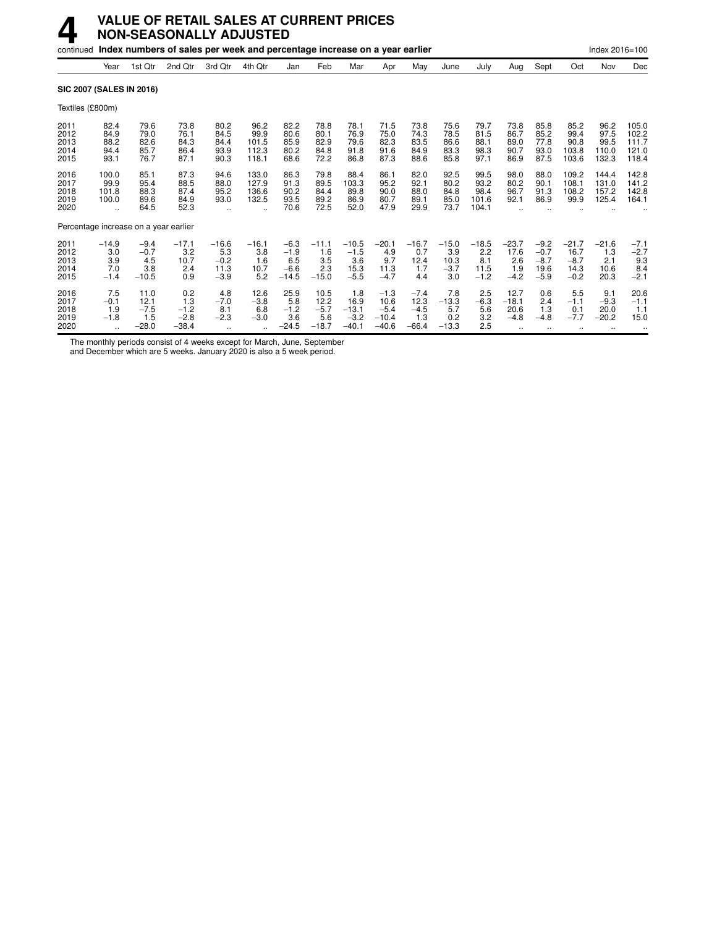|                                      |                                                        |                                           | continued Index numbers of sales per week and percentage increase on a year earlier |                                                      |                                         |                                              |                                          |                                             |                                                |                                            |                                         |                                         |                                                      |                                              |                                             | Index 2016=100                         |                                           |
|--------------------------------------|--------------------------------------------------------|-------------------------------------------|-------------------------------------------------------------------------------------|------------------------------------------------------|-----------------------------------------|----------------------------------------------|------------------------------------------|---------------------------------------------|------------------------------------------------|--------------------------------------------|-----------------------------------------|-----------------------------------------|------------------------------------------------------|----------------------------------------------|---------------------------------------------|----------------------------------------|-------------------------------------------|
|                                      | Year                                                   | 1st Qtr                                   | 2nd Qtr                                                                             | 3rd Qtr                                              | 4th Qtr                                 | Jan                                          | Feb                                      | Mar                                         | Apr                                            | May                                        | June                                    | July                                    | Aug                                                  | Sept                                         | Oct                                         | Nov                                    | Dec                                       |
| SIC 2007 (SALES IN 2016)             |                                                        |                                           |                                                                                     |                                                      |                                         |                                              |                                          |                                             |                                                |                                            |                                         |                                         |                                                      |                                              |                                             |                                        |                                           |
| Textiles (£800m)                     |                                                        |                                           |                                                                                     |                                                      |                                         |                                              |                                          |                                             |                                                |                                            |                                         |                                         |                                                      |                                              |                                             |                                        |                                           |
| 2011<br>2012<br>2013<br>2014<br>2015 | 82.4<br>84.9<br>88.2<br>94.4<br>93.1                   | 79.6<br>79.0<br>82.6<br>85.7<br>76.7      | 73.8<br>76.1<br>84.3<br>86.4<br>87.1                                                | 80.2<br>84.5<br>84.4<br>93.9<br>90.3                 | 96.2<br>99.9<br>101.5<br>112.3<br>118.1 | 82.2<br>80.6<br>85.9<br>80.2<br>68.6         | 78.8<br>80.1<br>82.9<br>84.8<br>72.2     | 78.1<br>76.9<br>79.6<br>91.8<br>86.8        | 71.5<br>75.0<br>82.3<br>91.6<br>87.3           | 73.8<br>74.3<br>83.5<br>84.9<br>88.6       | 75.6<br>78.5<br>86.6<br>83.3<br>85.8    | 79.7<br>81.5<br>88.1<br>98.3<br>97.1    | 73.8<br>86.7<br>89.0<br>90.7<br>86.9                 | 85.8<br>85.2<br>77.8<br>93.0<br>87.5         | 85.2<br>99.4<br>90.8<br>103.8<br>103.6      | 96.2<br>97.5<br>99.5<br>110.0<br>132.3 | 105.0<br>102.2<br>111.7<br>121.0<br>118.4 |
| 2016<br>2017<br>2018<br>2019<br>2020 | 100.0<br>99.9<br>101.8<br>100.0<br>$\ddotsc$           | 85.1<br>95.4<br>88.3<br>89.6<br>64.5      | 87.3<br>88.5<br>87.4<br>84.9<br>52.3                                                | 94.6<br>88.0<br>95.2<br>93.0<br>$\ddot{\phantom{a}}$ | 133.0<br>127.9<br>136.6<br>132.5        | 86.3<br>91.3<br>90.2<br>93.5<br>70.6         | 79.8<br>89.5<br>84.4<br>89.2<br>72.5     | 88.4<br>103.3<br>89.8<br>86.9<br>52.0       | 86.1<br>95.2<br>90.0<br>80.7<br>47.9           | 82.0<br>92.1<br>88.0<br>89.1<br>29.9       | 92.5<br>80.2<br>84.8<br>85.0<br>73.7    | 99.5<br>93.2<br>98.4<br>101.6<br>104.1  | 98.0<br>80.2<br>96.7<br>92.1<br>$\ddot{\phantom{a}}$ | 88.0<br>90.1<br>91.3<br>86.9                 | 109.2<br>108.1<br>108.2<br>99.9             | 144.4<br>131.0<br>157.2<br>125.4       | 142.8<br>141.2<br>142.8<br>164.1          |
|                                      |                                                        | Percentage increase on a year earlier     |                                                                                     |                                                      |                                         |                                              |                                          |                                             |                                                |                                            |                                         |                                         |                                                      |                                              |                                             |                                        |                                           |
| 2011<br>2012<br>2013<br>2014<br>2015 | $-14.9$<br>3.0<br>3.9<br>7.0<br>$-1.4$                 | $-9.4$<br>$-0.7$<br>4.5<br>3.8<br>$-10.5$ | $-17.1$<br>3.2<br>10.7<br>2.4<br>0.9                                                | $-16.6$<br>5.3<br>$-0.2$<br>11.3<br>$-3.9$           | $-16.1$<br>3.8<br>1.6<br>10.7<br>5.2    | $-6.3$<br>$-1.9$<br>6.5<br>$-6.6$<br>$-14.5$ | $-11.1$<br>1.6<br>3.5<br>2.3<br>$-15.0$  | $-10.5$<br>$-1.5$<br>3.6<br>15.3<br>$-5.5$  | $-20.1$<br>4.9<br>9.7<br>11.3<br>$-4.7$        | $-16.7$<br>0.7<br>12.4<br>1.7<br>4.4       | $-15.0$<br>3.9<br>10.3<br>$-3.7$<br>3.0 | $-18.5$<br>2.2<br>8.1<br>11.5<br>$-1.2$ | $-23.7$<br>17.6<br>2.6<br>1.9<br>$-4.2$              | $-9.2$<br>$-0.7$<br>$-8.7$<br>19.6<br>$-5.9$ | $-21.7$<br>16.7<br>$-8.7$<br>14.3<br>$-0.2$ | $-21.6$<br>1.3<br>2.1<br>10.6<br>20.3  | $-7.1$<br>$-2.7$<br>9.3<br>8.4<br>$-2.1$  |
| 2016<br>2017<br>2018<br>2019<br>2020 | 7.5<br>$-0.1$<br>1.9<br>$-1.8$<br>$\ddot{\phantom{a}}$ | 11.0<br>12.1<br>$-7.5$<br>1.5<br>$-28.0$  | 0.2<br>1.3<br>$-1.2$<br>$-2.8$<br>$-38.4$                                           | 4.8<br>$-7.0$<br>8.1<br>$-2.3$                       | 12.6<br>$-3.8$<br>6.8<br>$-3.0$<br>٠.   | 25.9<br>5.8<br>$-1.2$<br>3.6<br>$-24.5$      | 10.5<br>12.2<br>$-5.7$<br>5.6<br>$-18.7$ | 1.8<br>16.9<br>$-13.1$<br>$-3.2$<br>$-40.1$ | $-1.3$<br>10.6<br>$-5.4$<br>$-10.4$<br>$-40.6$ | $-7.4$<br>12.3<br>$-4.5$<br>1.3<br>$-66.4$ | 7.8<br>$-13.3$<br>5.7<br>0.2<br>$-13.3$ | 2.5<br>$-6.3$<br>5.6<br>3.2<br>2.5      | 12.7<br>$-18.1$<br>20.6<br>$-4.8$<br>$\ddotsc$       | 0.6<br>2.4<br>1.3<br>$-4.8$<br>              | 5.5<br>$-1.1$<br>0.1<br>$-7.7$              | 9.1<br>$-9.3$<br>20.0<br>$-20.2$<br>   | 20.6<br>$-1.1$<br>1.1<br>15.0             |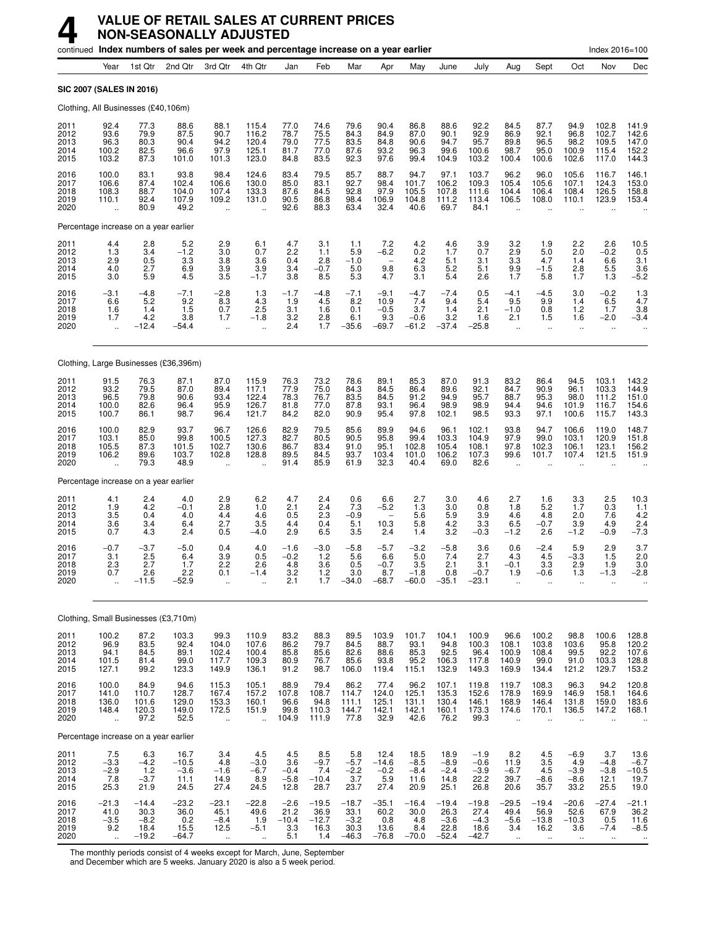## **4 VALUE OF RETAIL SALES AT CURRENT PRICES NON-SEASONALLY ADJUSTED**

|                                      |                                                          |                                              | continued Index numbers of sales per week and percentage increase on a year earlier |                                          |                                                     |                                         |                                           |                                              |                                                         |                                           |                                              |                                              |                                                        |                                                     |                                                  | Index 2016=100                                 |                                           |
|--------------------------------------|----------------------------------------------------------|----------------------------------------------|-------------------------------------------------------------------------------------|------------------------------------------|-----------------------------------------------------|-----------------------------------------|-------------------------------------------|----------------------------------------------|---------------------------------------------------------|-------------------------------------------|----------------------------------------------|----------------------------------------------|--------------------------------------------------------|-----------------------------------------------------|--------------------------------------------------|------------------------------------------------|-------------------------------------------|
|                                      | Year                                                     | 1st Qtr                                      | 2nd Qtr                                                                             | 3rd Qtr                                  | 4th Qtr                                             | Jan                                     | Feb                                       | Mar                                          | Apr                                                     | May                                       | June                                         | July                                         | Aug                                                    | Sept                                                | Oct                                              | Nov                                            | Dec                                       |
|                                      |                                                          | SIC 2007 (SALES IN 2016)                     |                                                                                     |                                          |                                                     |                                         |                                           |                                              |                                                         |                                           |                                              |                                              |                                                        |                                                     |                                                  |                                                |                                           |
|                                      |                                                          | Clothing, All Businesses (£40,106m)          |                                                                                     |                                          |                                                     |                                         |                                           |                                              |                                                         |                                           |                                              |                                              |                                                        |                                                     |                                                  |                                                |                                           |
| 2011<br>2012<br>2013<br>2014<br>2015 | 92.4<br>93.6<br>96.3<br>100.2<br>103.2                   | 77.3<br>79.9<br>80.3<br>82.5<br>87.3         | 88.6<br>87.5<br>90.4<br>96.6<br>101.0                                               | 88.1<br>90.7<br>94.2<br>97.9<br>101.3    | 115.4<br>116.2<br>120.4<br>125.1<br>123.0           | 77.0<br>78.7<br>79.0<br>81.7<br>84.8    | 74.6<br>75.5<br>77.5<br>77.0<br>83.5      | 79.6<br>84.3<br>83.5<br>87.6<br>92.3         | 90.4<br>84.9<br>84.8<br>93.2<br>97.6                    | 86.8<br>87.0<br>90.6<br>96.3<br>99.4      | 88.6<br>90.1<br>94.7<br>99.6<br>104.9        | 92.2<br>92.9<br>95.7<br>100.6<br>103.2       | 84.5<br>86.9<br>89.8<br>98.7<br>100.4                  | 87.7<br>92.1<br>96.5<br>95.0<br>100.6               | 94.9<br>96.8<br>98.2<br>100.9<br>102.6           | 102.8<br>102.7<br>109.5<br>115.4<br>117.0      | 141.9<br>142.6<br>147.0<br>152.2<br>144.3 |
| 2016<br>2017<br>2018<br>2019<br>2020 | 100.0<br>106.6<br>108.3<br>110.1                         | 83.1<br>87.4<br>88.7<br>92.4<br>80.9         | 93.8<br>102.4<br>104.0<br>107.9<br>49.2                                             | 98.4<br>106.6<br>107.4<br>109.2<br>ä,    | 124.6<br>130.0<br>133.3<br>131.0                    | 83.4<br>85.0<br>87.6<br>90.5<br>92.6    | 79.5<br>83.1<br>84.5<br>86.8<br>88.3      | 85.7<br>92.7<br>92.8<br>98.4<br>63.4         | 88.7<br>98.4<br>97.9<br>106.9<br>32.4                   | 94.7<br>101.7<br>105.5<br>104.8<br>40.6   | 97.1<br>106.2<br>107.8<br>111.2<br>69.7      | 103.7<br>109.3<br>111.6<br>113.4<br>84.1     | 96.2<br>105.4<br>104.4<br>106.5                        | 96.0<br>105.6<br>106.4<br>108.0                     | 105.6<br>107.1<br>108.4<br>110.1                 | 116.7<br>124.3<br>126.5<br>123.9               | 146.1<br>153.0<br>158.8<br>153.4          |
|                                      |                                                          | Percentage increase on a year earlier        |                                                                                     |                                          |                                                     |                                         |                                           |                                              |                                                         |                                           |                                              |                                              |                                                        |                                                     |                                                  |                                                |                                           |
| 2011<br>2012<br>2013<br>2014<br>2015 | $^{4.4}_{1.3}$<br>2.9<br>4.0<br>3.0                      | 2.8<br>3.4<br>0.5<br>2.7<br>5.9              | 5.2<br>$-1.2$<br>3.3<br>6.9<br>4.5                                                  | 2.9<br>3.0<br>3.8<br>3.9<br>3.5          | 6.1<br>0.7<br>3.6<br>3.9<br>$-1.7$                  | 4.7<br>2.2<br>0.4<br>3.4<br>3.8         | 3.1<br>1.1<br>2.8<br>$-0.7$<br>8.5        | 1.1<br>5.9<br>$-1.0$<br>5.0<br>5.3           | 7.2<br>$-6.2$<br>$\overline{\phantom{0}}$<br>9.8<br>4.7 | 4.2<br>0.2<br>4.2<br>6.3<br>3.1           | 4.6<br>1.7<br>5.1<br>5.2<br>5.4              | $\frac{3.9}{0.7}$<br>3.1<br>5.1<br>2.6       | 3.2<br>2.9<br>3.3<br>9.9<br>1.7                        | 1.9<br>5.0<br>4.7<br>$-1.5$<br>5.8                  | 2.2<br>2.0<br>1.4<br>2.8<br>1.7                  | 2.6<br>$-0.2$<br>6.6<br>5.5<br>1.3             | $^{10.5}_{0.5}$<br>3.1<br>3.6<br>$-5.2$   |
| 2016<br>2017<br>2018<br>2019<br>2020 | $-3.1$<br>6.6<br>1.6<br>1.7<br>$\ddot{\phantom{a}}$      | $-4.8$<br>5.2<br>1.4<br>4.2<br>$-12.4$       | $-7.1$<br>9.2<br>1.5<br>3.8<br>$-54.4$                                              | $-2.8$<br>8.3<br>0.7<br>1.7<br>$\ddotsc$ | 1.3<br>4.3<br>2.5<br>$-1.8$<br>$\ddot{\phantom{a}}$ | $-1.7$<br>1.9<br>3.1<br>3.2<br>2.4      | $-4.8$<br>4.5<br>1.6<br>2.8<br>1.7        | $-7.1$<br>8.2<br>0.1<br>6.1<br>$-35.6$       | $-9.1$<br>10.9<br>$-0.5$<br>9.3<br>$-69.7$              | $-4.7$<br>7.4<br>3.7<br>$-0.6$<br>-61.2   | $-7.4$<br>9.4<br>1.4<br>3.2<br>$-37.4$       | 0.5<br>5.4<br>2.1<br>1.6<br>$-25.8$          | $-4.1$<br>9.5<br>$-1.0$<br>2.1<br>$\ddot{\phantom{a}}$ | $-4.5$<br>9.9<br>0.8<br>1.5<br>$\ddot{\phantom{a}}$ | 3.0<br>1.4<br>1.2<br>1.6<br>$\ddot{\phantom{a}}$ | $-0.2$<br>6.5<br>1.7<br>$-2.0$<br>$\mathbf{r}$ | $\frac{1.3}{4.7}$<br>3.8<br>$-3.4$        |
|                                      |                                                          |                                              | Clothing, Large Businesses (£36,396m)                                               |                                          |                                                     |                                         |                                           |                                              |                                                         |                                           |                                              |                                              |                                                        |                                                     |                                                  |                                                |                                           |
| 2011<br>2012<br>2013<br>2014<br>2015 | 91.5<br>93.2<br>96.5<br>100.0<br>100.7                   | 76.3<br>79.5<br>79.8<br>82.6<br>86.1         | 87.1<br>87.0<br>90.6<br>96.4<br>98.7                                                | 87.0<br>89.4<br>93.4<br>95.9<br>96.4     | 115.9<br>117.1<br>122.4<br>126.7<br>121.7           | 76.3<br>77.9<br>78.3<br>81.8<br>84.2    | 73.2<br>75.0<br>76.7<br>77.0<br>82.0      | 78.6<br>84.3<br>83.5<br>87.8<br>90.9         | 89.1<br>84.5<br>84.5<br>93.1<br>95.4                    | 85.3<br>86.4<br>91.2<br>96.4<br>97.8      | 87.0<br>89.6<br>94.9<br>98.9<br>102.1        | 91.3<br>92.1<br>95.7<br>98.9<br>98.5         | 83.2<br>84.7<br>88.7<br>94.4<br>93.3                   | 86.4<br>90.9<br>95.3<br>94.6<br>97.1                | 94.5<br>96.1<br>98.0<br>101.9<br>100.6           | 103.1<br>103.3<br>111.2<br>116.7<br>115.7      | 143.2<br>144.9<br>151.0<br>154.6<br>143.3 |
| 2016<br>2017<br>2018<br>2019<br>2020 | 100.0<br>103.1<br>105.5<br>106.2                         | 82.9<br>85.0<br>87.3<br>89.6<br>79.3         | 93.7<br>99.8<br>101.5<br>103.7<br>48.9                                              | 96.7<br>100.5<br>102.7<br>102.8          | 126.6<br>127.3<br>130.6<br>128.8                    | 82.9<br>82.7<br>86.7<br>89.5<br>91.4    | 79.5<br>80.5<br>83.4<br>84.5<br>85.9      | 85.6<br>90.5<br>91.0<br>93.7<br>61.9         | 89.9<br>95.8<br>95.1<br>103.4<br>32.3                   | 94.6<br>99.4<br>102.8<br>101.0<br>40.4    | 96.1<br>103.3<br>105.4<br>106.2<br>69.0      | 102.1<br>104.9<br>108.1<br>107.3<br>82.6     | 93.8<br>97.9<br>97.8<br>99.6                           | 94.7<br>99.0<br>102.3<br>101.7                      | 106.6<br>103.1<br>106.1<br>107.4                 | 119.0<br>120.9<br>123.1<br>121.5               | 148.7<br>151.8<br>156.2<br>151.9          |
|                                      |                                                          | Percentage increase on a year earlier        |                                                                                     |                                          |                                                     |                                         |                                           |                                              |                                                         |                                           |                                              |                                              |                                                        |                                                     |                                                  |                                                |                                           |
| 2011<br>2012<br>2013<br>2014<br>2015 | 4.1<br>1.9<br>3.5<br>3.6<br>0.7                          | 2.4<br>4.2<br>0.4<br>3.4<br>4.3              | 4.0<br>$-0.1$<br>4.0<br>6.4<br>2.4                                                  | 2.9<br>2.8<br>4.4<br>2.7<br>0.5          | 6.2<br>1.0<br>4.6<br>3.5<br>$-4.0$                  | 4.7<br>2.1<br>0.5<br>4.4<br>2.9         | 2.4<br>2.4<br>2.3<br>0.4<br>6.5           | 0.6<br>7.3<br>$-0.9$<br>5.1<br>3.5           | 6.6<br>$-5.2$<br>10.3<br>2.4                            | 2.7<br>1.3<br>5.6<br>5.8<br>1.4           | 3.0<br>3.0<br>5.9<br>4.2<br>3.2              | 4.6<br>0.8<br>3.9<br>3.3<br>$-0.3$           | 2.7<br>1.8<br>4.6<br>6.5<br>$-1.2$                     | 1.6<br>5.2<br>4.8<br>$-0.7$<br>2.6                  | 3.3<br>1.7<br>2.0<br>3.9<br>$-1.2$               | 2.5<br>0.3<br>7.6<br>4.9<br>$-0.9$             | 10.3<br>1.1<br>4.2<br>2.4<br>$-7.3$       |
| 2016<br>2017<br>2018<br>2019<br>2020 | $-0.7$<br>3.1<br>2.3<br>0.7                              | $-3.7$<br>$2.5\,$<br>2.7<br>2.6<br>$-11.5$   | $-5.0$<br>6.4<br>1.7<br>2.2<br>$-52.9$                                              | 0.4<br>3.9<br>2.2<br>0.1                 | 4.0<br>0.5<br>2.6<br>$-1.4$                         | $-1.6$<br>$-0.2$<br>4.8<br>3.2<br>2.1   | $-3.0$<br>1.2<br>3.6<br>1.2<br>1.7        | $-5.8$<br>5.6<br>0.5<br>3.0<br>$-34.0$       | $-5.7$<br>6.6<br>$-0.7$<br>8.7<br>$-68.7$               | $-3.2$<br>5.0<br>3.5<br>$-1.8$<br>$-60.0$ | $-5.8$<br>7.4<br>2.1<br>0.8<br>$-35.1$       | 3.6<br>2.7<br>3.1<br>$-0.7$<br>$-23.1$       | 0.6<br>4.3<br>$-0.1$<br>1.9                            | $-2.4$<br>4.5<br>3.3<br>$-0.6$                      | 5.9<br>$-3.3$<br>2.9<br>1.3                      | 2.9<br>1.5<br>1.9<br>$-1.3$                    | 3.7<br>2.0<br>3.0<br>-2.8                 |
|                                      |                                                          | Clothing, Small Businesses (£3,710m)         |                                                                                     |                                          |                                                     |                                         |                                           |                                              |                                                         |                                           |                                              |                                              |                                                        |                                                     |                                                  |                                                |                                           |
| 2011<br>2012<br>2013<br>2014<br>2015 | 100.2<br>96.9<br>94.1<br>101.5<br>127.1                  | 87.2<br>83.5<br>84.5<br>81.4<br>99.2         | 103.3<br>92.4<br>89.1<br>99.0<br>123.3                                              | 99.3<br>104.0<br>102.4<br>117.7<br>149.9 | 110.9<br>107.6<br>100.4<br>109.3<br>136.1           | 83.2<br>86.2<br>85.8<br>80.9<br>91.2    | 88.3<br>79.7<br>85.6<br>76.7<br>98.7      | 89.5<br>84.5<br>82.6<br>85.6<br>106.0        | 103.9<br>88.7<br>88.6<br>93.8<br>119.4                  | 101.7<br>93.1<br>85.3<br>95.2<br>115.1    | 104.1<br>94.8<br>92.5<br>106.3<br>132.9      | 100.9<br>100.3<br>96.4<br>117.8<br>149.3     | 96.6<br>108.1<br>100.9<br>140.9<br>169.9               | 100.2<br>103.8<br>108.4<br>99.0<br>134.4            | 98.8<br>103.6<br>99.5<br>91.0<br>121.2           | 100.6<br>95.8<br>92.2<br>103.3<br>129.7        | 128.8<br>120.2<br>107.6<br>128.8<br>153.2 |
| 2016<br>2017<br>2018<br>2019<br>2020 | 100.0<br>141.0<br>136.0<br>148.4<br>$\ddot{\phantom{a}}$ | 84.9<br>110.7<br>101.6<br>120.3<br>97.2      | 94.6<br>128.7<br>129.0<br>149.0<br>52.5                                             | 115.3<br>167.4<br>153.3<br>172.5<br>Ġ.   | 105.1<br>157.2<br>160.1<br>151.9<br>$\ddotsc$       | 88.9<br>107.8<br>96.6<br>99.8<br>104.9  | 79.4<br>108.7<br>94.8<br>110.3<br>111.9   | 86.2<br>114.7<br>111.1<br>144.7<br>77.8      | 77.4<br>124.0<br>125.1<br>142.1<br>32.9                 | 96.2<br>125.1<br>131.1<br>142.1<br>42.6   | 107.1<br>135.3<br>130.4<br>160.1<br>76.2     | 119.8<br>152.6<br>146.1<br>173.3<br>99.3     | 119.7<br>178.9<br>168.9<br>174.6<br>÷.                 | 108.3<br>169.9<br>146.4<br>170.1                    | 96.3<br>146.9<br>131.8<br>136.5                  | 94.2<br>158.1<br>159.0<br>147.2                | 120.8<br>164.6<br>183.6<br>168.1          |
|                                      |                                                          | Percentage increase on a year earlier        |                                                                                     |                                          |                                                     |                                         |                                           |                                              |                                                         |                                           |                                              |                                              |                                                        |                                                     |                                                  |                                                |                                           |
| 2011<br>2012<br>2013<br>2014<br>2015 | 7.5<br>$-3.3$<br>$-2.9$<br>7.8<br>25.3                   | 6.3<br>$-4.2$<br>1.2<br>$-3.7$<br>21.9       | 16.7<br>$-10.5$<br>$-3.6$<br>11.1<br>24.5                                           | 3.4<br>4.8<br>$-1.6$<br>14.9<br>27.4     | 4.5<br>$-3.0$<br>$-6.7$<br>8.9<br>24.5              | 4.5<br>3.6<br>$-0.4$<br>$-5.8$<br>12.8  | 8.5<br>$-9.7$<br>7.4<br>$-10.4$<br>28.7   | 5.8<br>$-5.7$<br>$-2.2$<br>3.7<br>23.7       | 12.4<br>$-14.6$<br>$-0.2$<br>5.9<br>27.4                | 18.5<br>$-8.5$<br>$-8.4$<br>11.6<br>20.9  | 18.9<br>$-8.9$<br>$-2.4$<br>14.8<br>25.1     | $-1.9$<br>$-0.6$<br>$-3.9$<br>22.2<br>26.8   | 8.2<br>11.9<br>$-6.7$<br>39.7<br>20.6                  | 4.5<br>3.5<br>4.5<br>$-8.6$<br>35.7                 | $-6.9$<br>4.9<br>$-3.9$<br>$-8.6$<br>33.2        | 3.7<br>$-4.8$<br>$-3.8$<br>12.1<br>25.5        | 13.6<br>$-6.7$<br>$-10.5$<br>19.7<br>19.0 |
| 2016<br>2017<br>2018<br>2019<br>2020 | $-21.3$<br>41.0<br>$-3.5$<br>9.2                         | $-14.4$<br>30.3<br>$-8.2$<br>18.4<br>$-19.2$ | $-23.2$<br>36.0<br>0.2<br>15.5<br>$-64.7$                                           | $-23.1$<br>45.1<br>$-8.4$<br>12.5        | $-22.8$<br>49.6<br>1.9<br>$-5.1$                    | $-2.6$<br>21.2<br>$-10.4$<br>3.3<br>5.1 | $-19.5$<br>36.9<br>$-12.7$<br>16.3<br>1.4 | $-18.7$<br>33.1<br>$-3.2$<br>30.3<br>$-46.3$ | $-35.1$<br>60.2<br>0.8<br>13.6<br>$-76.8$               | $-16.4$<br>30.0<br>4.8<br>8.4<br>$-70.0$  | $-19.4$<br>26.3<br>$-3.6$<br>22.8<br>$-52.4$ | $-19.8$<br>27.4<br>$-4.3$<br>18.6<br>$-42.7$ | $-29.5$<br>49.4<br>$-5.6$<br>3.4                       | $-19.4$<br>56.9<br>$-13.8$<br>16.2                  | $-20.6$<br>52.6<br>$-10.3$<br>3.6                | $-27.4$<br>67.9<br>0.5<br>$-7.4$               | $-21.1$<br>36.2<br>11.6<br>$-8.5$         |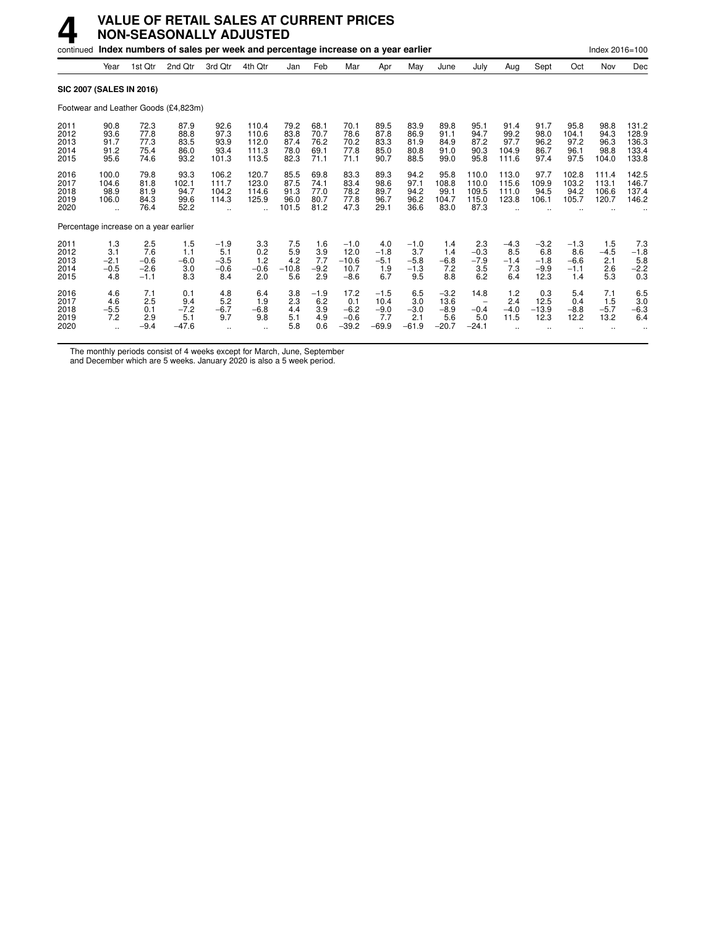## **4 VALUE OF RETAIL SALES AT CURRENT PRICES NON-SEASONALLY ADJUSTED**

|                                      |                                                     |                                          | continued Index numbers of sales per week and percentage increase on a year earlier |                                          |                                               |                                       |                                      |                                             |                                            |                                          |                                            |                                                              |                                        |                                           |                                          | Index 2016=100                        |                                           |
|--------------------------------------|-----------------------------------------------------|------------------------------------------|-------------------------------------------------------------------------------------|------------------------------------------|-----------------------------------------------|---------------------------------------|--------------------------------------|---------------------------------------------|--------------------------------------------|------------------------------------------|--------------------------------------------|--------------------------------------------------------------|----------------------------------------|-------------------------------------------|------------------------------------------|---------------------------------------|-------------------------------------------|
|                                      | Year                                                | 1st Qtr                                  | 2nd Qtr                                                                             | 3rd Qtr                                  | 4th Qtr                                       | Jan                                   | Feb                                  | Mar                                         | Apr                                        | May                                      | June                                       | July                                                         | Aug                                    | Sept                                      | Oct                                      | Nov                                   | Dec                                       |
|                                      |                                                     | <b>SIC 2007 (SALES IN 2016)</b>          |                                                                                     |                                          |                                               |                                       |                                      |                                             |                                            |                                          |                                            |                                                              |                                        |                                           |                                          |                                       |                                           |
|                                      |                                                     |                                          | Footwear and Leather Goods (£4,823m)                                                |                                          |                                               |                                       |                                      |                                             |                                            |                                          |                                            |                                                              |                                        |                                           |                                          |                                       |                                           |
| 2011<br>2012<br>2013<br>2014<br>2015 | 90.8<br>93.6<br>91.7<br>91.2<br>95.6                | 72.3<br>77.8<br>77.3<br>75.4<br>74.6     | 87.9<br>88.8<br>83.5<br>86.0<br>93.2                                                | 92.6<br>97.3<br>93.9<br>93.4<br>101.3    | 110.4<br>110.6<br>112.0<br>111.3<br>113.5     | 79.2<br>83.8<br>87.4<br>78.0<br>82.3  | 68.1<br>70.7<br>76.2<br>69.1<br>71.1 | 70.1<br>78.6<br>70.2<br>77.8<br>71.1        | 89.5<br>87.8<br>83.3<br>85.0<br>90.7       | 83.9<br>86.9<br>81.9<br>80.8<br>88.5     | 89.8<br>91.1<br>84.9<br>91.0<br>99.0       | 95.1<br>94.7<br>87.2<br>90.3<br>95.8                         | 91.4<br>99.2<br>97.7<br>104.9<br>111.6 | 91.7<br>98.0<br>96.2<br>86.7<br>97.4      | 95.8<br>104.1<br>97.2<br>96.1<br>97.5    | 98.8<br>94.3<br>96.3<br>98.8<br>104.0 | 131.2<br>128.9<br>136.3<br>133.4<br>133.8 |
| 2016<br>2017<br>2018<br>2019<br>2020 | 100.0<br>104.6<br>98.9<br>106.0<br>$\ddotsc$        | 79.8<br>81.8<br>81.9<br>84.3<br>76.4     | 93.3<br>102.1<br>94.7<br>99.6<br>52.2                                               | 106.2<br>111.7<br>104.2<br>114.3         | 120.7<br>123.0<br>114.6<br>125.9<br>$\ddotsc$ | 85.5<br>87.5<br>91.3<br>96.0<br>101.5 | 69.8<br>74.1<br>77.0<br>80.7<br>81.2 | 83.3<br>83.4<br>78.2<br>77.8<br>47.3        | 89.3<br>98.6<br>89.7<br>96.7<br>29.1       | 94.2<br>97.1<br>94.2<br>96.2<br>36.6     | 95.8<br>108.8<br>99.1<br>104.7<br>83.0     | 110.0<br>110.0<br>109.5<br>115.0<br>87.3                     | 113.0<br>115.6<br>111.0<br>123.8       | 97.7<br>109.9<br>94.5<br>106.1            | 102.8<br>103.2<br>94.2<br>105.7          | 111.4<br>113.1<br>106.6<br>120.7      | 142.5<br>146.7<br>137.4<br>146.2          |
|                                      |                                                     | Percentage increase on a year earlier    |                                                                                     |                                          |                                               |                                       |                                      |                                             |                                            |                                          |                                            |                                                              |                                        |                                           |                                          |                                       |                                           |
| 2011<br>2012<br>2013<br>2014<br>2015 | 1.3<br>3.1<br>$-2.1$<br>$-0.5$<br>4.8               | 2.5<br>7.6<br>$-0.6$<br>$-2.6$<br>$-1.1$ | 1.5<br>1.1<br>$-6.0$<br>3.0<br>8.3                                                  | $-1.9$<br>5.1<br>$-3.5$<br>$-0.6$<br>8.4 | 3.3<br>0.2<br>1.2<br>$-0.6$<br>2.0            | 7.5<br>5.9<br>4.2<br>$-10.8$<br>5.6   | 1.6<br>3.9<br>7.7<br>$-9.2$<br>2.9   | $-1.0$<br>12.0<br>$-10.6$<br>10.7<br>$-8.6$ | 4.0<br>$-1.8$<br>$-5.1$<br>1.9<br>6.7      | $-1.0$<br>3.7<br>$-5.8$<br>$-1.3$<br>9.5 | 1.4<br>1.4<br>$-6.8$<br>7.2<br>8.8         | 2.3<br>$-0.3$<br>$-7.9$<br>3.5<br>6.2                        | $-4.3$<br>8.5<br>$-1.4$<br>7.3<br>6.4  | $-3.2$<br>6.8<br>$-1.8$<br>$-9.9$<br>12.3 | $-1.3$<br>8.6<br>$-6.6$<br>$-1.1$<br>1.4 | 1.5<br>$-4.5$<br>2.1<br>2.6<br>5.3    | 7.3<br>$-1.8$<br>5.8<br>$-2.2$<br>0.3     |
| 2016<br>2017<br>2018<br>2019<br>2020 | 4.6<br>4.6<br>$-5.5$<br>7.2<br>$\ddot{\phantom{a}}$ | 7.1<br>2.5<br>0.1<br>2.9<br>$-9.4$       | 0.1<br>9.4<br>$-7.2$<br>5.1<br>$-47.6$                                              | 4.8<br>5.2<br>$-6.7$<br>9.7              | 6.4<br>1.9<br>$-6.8$<br>9.8<br>               | 3.8<br>2.3<br>4.4<br>5.1<br>5.8       | $-1.9$<br>6.2<br>3.9<br>4.9<br>0.6   | 17.2<br>0.1<br>$-6.2$<br>$-0.6$<br>$-39.2$  | $-1.5$<br>10.4<br>$-9.0$<br>7.7<br>$-69.9$ | 6.5<br>3.0<br>$-3.0$<br>2.1<br>$-61.9$   | $-3.2$<br>13.6<br>$-8.9$<br>5.6<br>$-20.7$ | 14.8<br>$\overline{\phantom{a}}$<br>$-0.4$<br>5.0<br>$-24.1$ | 1.2<br>2.4<br>$-4.0$<br>11.5           | 0.3<br>12.5<br>$-13.9$<br>12.3            | 5.4<br>0.4<br>$-8.8$<br>12.2             | 7.1<br>1.5<br>$-5.7$<br>13.2          | 6.5<br>3.0<br>$-6.3$<br>6.4               |

The monthly periods consist of 4 weeks except for March, June, September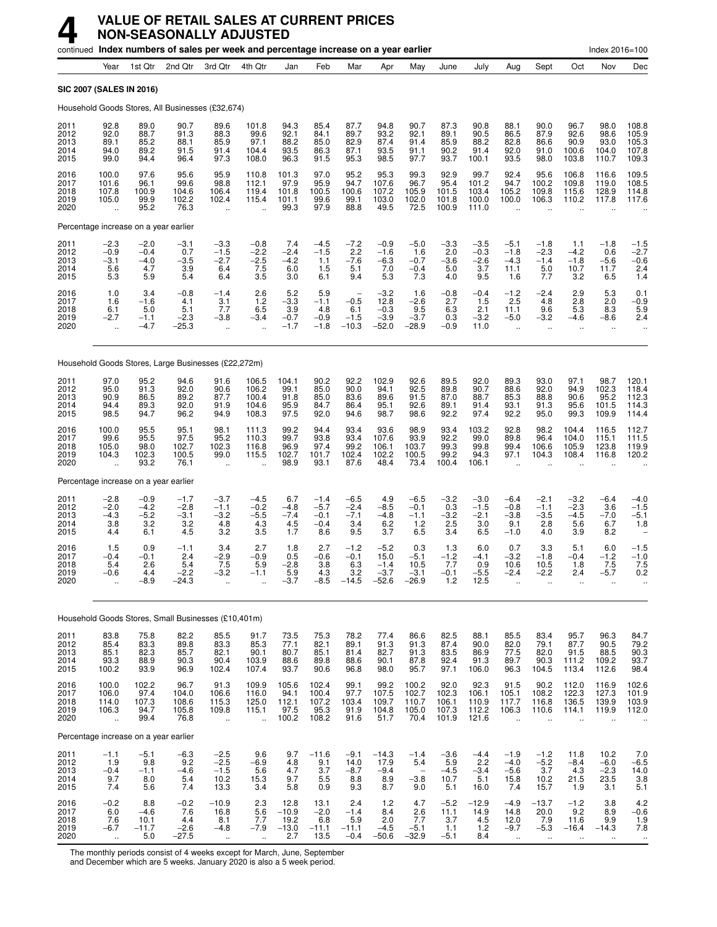|                                      |                                                          |                                          |                                           | continued Index numbers of sales per week and percentage increase on a year earlier |                                                          |                                           |                                             |                                           |                                               |                                                            |                                          |                                             |                                                          |                                                        |                                          | Index 2016=100                           |                                           |
|--------------------------------------|----------------------------------------------------------|------------------------------------------|-------------------------------------------|-------------------------------------------------------------------------------------|----------------------------------------------------------|-------------------------------------------|---------------------------------------------|-------------------------------------------|-----------------------------------------------|------------------------------------------------------------|------------------------------------------|---------------------------------------------|----------------------------------------------------------|--------------------------------------------------------|------------------------------------------|------------------------------------------|-------------------------------------------|
|                                      | Year                                                     | 1st Qtr                                  | 2nd Qtr                                   | 3rd Qtr                                                                             | 4th Qtr                                                  | Jan                                       | Feb                                         | Mar                                       | Apr                                           | May                                                        | June                                     | July                                        | Aug                                                      | Sept                                                   | Oct                                      | Nov                                      | Dec                                       |
|                                      |                                                          | <b>SIC 2007 (SALES IN 2016)</b>          |                                           |                                                                                     |                                                          |                                           |                                             |                                           |                                               |                                                            |                                          |                                             |                                                          |                                                        |                                          |                                          |                                           |
|                                      |                                                          |                                          |                                           | Household Goods Stores, All Businesses (£32,674)                                    |                                                          |                                           |                                             |                                           |                                               |                                                            |                                          |                                             |                                                          |                                                        |                                          |                                          |                                           |
| 2011<br>2012<br>2013<br>2014<br>2015 | 92.8<br>92.0<br>89.1<br>94.0<br>99.0                     | 89.0<br>88.7<br>85.2<br>89.2<br>94.4     | 90.7<br>91.3<br>88.1<br>91.5<br>96.4      | 89.6<br>88.3<br>85.9<br>91.4<br>97.3                                                | 101.8<br>99.6<br>97.1<br>104.4<br>108.0                  | 94.3<br>92.1<br>88.2<br>93.5<br>96.3      | 85.4<br>84.1<br>85.0<br>86.3<br>91.5        | 87.7<br>89.7<br>82.9<br>87.1<br>95.3      | 94.8<br>93.2<br>87.4<br>93.5<br>98.5          | 90.7<br>92.1<br>91.4<br>91.1<br>97.7                       | 87.3<br>89.1<br>85.9<br>90.2<br>93.7     | 90.8<br>90.5<br>88.2<br>91.4<br>100.1       | 88.1<br>86.5<br>82.8<br>92.0<br>93.5                     | 90.0<br>87.9<br>86.6<br>91.0<br>98.0                   | 96.7<br>92.6<br>90.9<br>100.6<br>103.8   | 98.0<br>98.6<br>93.0<br>104.0<br>110.7   | 108.8<br>105.9<br>105.3<br>107.8<br>109.3 |
| 2016<br>2017<br>2018<br>2019<br>2020 | 100.0<br>101.6<br>107.8<br>105.0<br>$\ddot{\phantom{a}}$ | 97.6<br>96.1<br>100.9<br>99.9<br>95.2    | 95.6<br>99.6<br>104.6<br>102.2<br>76.3    | 95.9<br>98.8<br>106.4<br>102.4<br>$\ddot{\phantom{a}}$                              | 110.8<br>112.1<br>119.4<br>115.4<br>$\ddot{\phantom{a}}$ | 101.3<br>97.9<br>101.8<br>101.1<br>99.3   | 97.0<br>95.9<br>100.5<br>99.6<br>97.9       | 95.2<br>94.7<br>100.6<br>99.1<br>88.8     | 95.3<br>107.6<br>107.2<br>103.0<br>49.5       | 99.3<br>96.7<br>105.9<br>102.0<br>72.5                     | 92.9<br>95.4<br>101.5<br>101.8<br>100.9  | 99.7<br>101.2<br>103.4<br>100.0<br>111.0    | 92.4<br>94.7<br>105.2<br>100.0                           | 95.6<br>100.2<br>109.8<br>106.3                        | 106.8<br>109.8<br>115.6<br>110.2         | 116.6<br>119.0<br>128.9<br>117.8         | 109.5<br>108.5<br>114.8<br>117.6          |
|                                      |                                                          | Percentage increase on a year earlier    |                                           |                                                                                     |                                                          |                                           |                                             |                                           |                                               |                                                            |                                          |                                             |                                                          |                                                        |                                          |                                          |                                           |
| 2011<br>2012<br>2013<br>2014<br>2015 | $-2.3$<br>$-0.9$<br>$-3.1$<br>5.6<br>5.3                 | $-2.0$<br>$-0.4$<br>$-4.0$<br>4.7<br>5.9 | $-3.1$<br>0.7<br>$-3.5$<br>3.9<br>5.4     | $-3.3$<br>$-1.5$<br>$-2.7$<br>6.4<br>6.4                                            | $-0.8$<br>$-2.2$<br>$-2.\overline{5}$<br>7.5<br>3.5      | 7.4<br>$-2.4$<br>$-4.2$<br>6.0<br>3.0     | $-4.5 - 1.5$<br>1.1<br>1.5<br>6.1           | $-7.2$<br>2.2<br>$-7.6$<br>5.1<br>9.4     | $-0.9$<br>$-1.6$<br>$-6.3$<br>7.0<br>5.3      | $-5.0$<br>1.6<br>$-0.7$<br>$-0.4$<br>7.3                   | $-3.3$<br>2.0<br>$-3.6$<br>5.0<br>4.0    | $-3.5$<br>$-0.3$<br>$-2.6$<br>3.7<br>9.5    | $-5.1$<br>$-1.8$<br>$-4.3$<br>11.1<br>1.6                | $-1.8$<br>$-2.3$<br>$-1.4$<br>5.0<br>7.7               | 1.1<br>$-4.2$<br>$-1.8$<br>10.7<br>3.2   | $-1.8$<br>0.6<br>$-5.6$<br>11.7<br>6.5   | $-1.5$<br>$-2.7$<br>$-0.6$<br>2.4<br>1.4  |
| 2016<br>2017<br>2018<br>2019<br>2020 | 1.0<br>1.6<br>6.1<br>$-2.7$<br>$\ddot{\phantom{a}}$      | 3.4<br>$-1.6$<br>5.0<br>$-1.1$<br>$-4.7$ | $-0.8$<br>4.1<br>5.1<br>$-2.3$<br>$-25.3$ | $-1.4$<br>3.1<br>7.7<br>$-3.8$<br>$\ddot{\phantom{a}}$                              | 2.6<br>$\frac{1.2}{6.5}$<br>$-3.4$                       | 5.2<br>$-3.3$<br>3.9<br>$-0.7$<br>$-1.7$  | 5.9<br>$-1.1$<br>4.8<br>$-0.9$<br>$-1.8$    | $-0.5$<br>6.1<br>$-1.5$<br>$-10.3$        | $-3.2$<br>12.8<br>$-0.3$<br>$-3.9$<br>$-52.0$ | 1.6<br>$-2.6$<br>9.5<br>$-3.7$<br>$-28.9$                  | $-0.8$<br>2.7<br>6.3<br>0.3<br>$-0.9$    | $-0.4$<br>1.5<br>2.1<br>$-3.2$<br>11.0      | $-1.2$<br>2.5<br>11.1<br>$-5.0$<br>$\ddotsc$             | $-2.4$<br>4.8<br>9.6<br>$-3.2$<br>$\ddot{\phantom{a}}$ | 2.9<br>2.8<br>5.3<br>$-4.6$              | 5.3<br>2.0<br>8.3<br>$-8.6$              | $0.1 - 0.9$<br>5.9<br>$2.4\,$             |
|                                      |                                                          |                                          |                                           | Household Goods Stores, Large Businesses (£22,272m)                                 |                                                          |                                           |                                             |                                           |                                               |                                                            |                                          |                                             |                                                          |                                                        |                                          |                                          |                                           |
| 2011<br>2012<br>2013<br>2014<br>2015 | 97.0<br>95.0<br>90.9<br>94.4<br>98.5                     | 95.2<br>91.3<br>86.5<br>89.3<br>94.7     | 94.6<br>92.0<br>89.2<br>92.0<br>96.2      | 91.6<br>90.6<br>87.7<br>91.9<br>94.9                                                | 106.5<br>106.2<br>100.4<br>104.6<br>108.3                | 104.1<br>99.1<br>91.8<br>95.9<br>97.5     | 90.2<br>85.0<br>85.0<br>84.7<br>92.0        | 92.2<br>90.0<br>83.6<br>86.4<br>94.6      | 102.9<br>94.1<br>89.6<br>95.1<br>98.7         | 92.6<br>92.5<br>91.5<br>92.6<br>98.6                       | 89.5<br>89.8<br>87.0<br>89.1<br>92.2     | 92.0<br>90.7<br>88.7<br>91.4<br>97.4        | 89.3<br>88.6<br>85.3<br>93.1<br>92.2                     | 93.0<br>92.0<br>88.8<br>91.3<br>95.0                   | 97.1<br>94.9<br>90.6<br>95.6<br>99.3     | 98.7<br>102.3<br>95.2<br>101.5<br>109.9  | 120.1<br>118.4<br>112.3<br>114.3<br>114.4 |
| 2016<br>2017<br>2018<br>2019<br>2020 | 100.0<br>99.6<br>105.0<br>104.3                          | 95.5<br>95.5<br>98.0<br>102.3<br>93.2    | 95.1<br>97.5<br>102.7<br>100.5<br>76.1    | 98.1<br>95.2<br>102.3<br>99.0<br>$\ddot{\phantom{a}}$                               | 111.3<br>110.3<br>116.8<br>115.5                         | 99.2<br>99.7<br>96.9<br>102.7<br>98.9     | 94.4<br>93.8<br>97.4<br>101.7<br>93.1       | 93.4<br>93.4<br>99.2<br>102.4<br>87.6     | 93.6<br>107.6<br>106.1<br>102.2<br>48.4       | 98.9<br>93.9<br>103.7<br>100.5<br>73.4                     | 93.4<br>92.2<br>99.3<br>99.2<br>100.4    | 103.2<br>99.0<br>99.8<br>94.3<br>106.1      | 92.8<br>89.8<br>99.4<br>97.1                             | 98.2<br>96.4<br>106.6<br>104.3                         | 104.4<br>104.0<br>105.9<br>108.4         | 116.5<br>115.1<br>123.8<br>116.8         | 112.7<br>111.5<br>119.9<br>120.2          |
|                                      |                                                          | Percentage increase on a year earlier    |                                           |                                                                                     |                                                          |                                           |                                             |                                           |                                               |                                                            |                                          |                                             |                                                          |                                                        |                                          |                                          |                                           |
| 2011<br>2012<br>2013<br>2014<br>2015 | $-2.8$<br>$-2.0$<br>$-4.3$<br>3.8<br>4.4                 | $-0.9$<br>$-4.2$<br>$-5.2$<br>3.2<br>6.1 | $-1.7$<br>$-2.8$<br>$-3.1$<br>3.2<br>4.5  | $-3.7$<br>$-1.1$<br>$-3.2$<br>4.8<br>3.2                                            | $-4.5$<br>$-0.2$<br>$-5.5$<br>4.3<br>3.5                 | 6.7<br>$-4.8$<br>$-7.4$<br>4.5<br>1.7     | $-1.4$<br>$-5.7$<br>$-0.1$<br>$-0.4$<br>8.6 | $-6.5$<br>$-2.4$<br>$-7.1$<br>3.4<br>9.5  | 4.9<br>$-8.5$<br>$-4.8$<br>6.2<br>3.7         | $-6.5$<br>$-0.1$<br>$-1.1$<br>1.2<br>6.5                   | $-3.2$<br>0.3<br>$-3.2$<br>2.5<br>3.4    | $-3.0$<br>$-1.5$<br>$-2.1$<br>3.0<br>6.5    | $-6.4$<br>$-0.8$<br>$-3.8$<br>9.1<br>$-1.0$              | $-2.1$<br>$-1.1$<br>$-3.5$<br>2.8<br>4.0               | $-3.2$<br>$-2.3$<br>$-4.5$<br>5.6<br>3.9 | $-6.4$<br>3.6<br>$-7.0$<br>6.7<br>8.2    | $-4.0$<br>$-1.5$<br>$-5.1$<br>1.8         |
| 2016<br>2017<br>2018<br>2019<br>2020 | 1.5<br>$-0.4$<br>5.4<br>-0.6                             | 0.9<br>$-0.1$<br>2.6<br>4.4<br>$-8.9$    | $-1.1$<br>2.4<br>5.4<br>-2.2<br>$-24.3$   | 3.4<br>$-2.9$<br>7.5<br>-3.2                                                        | 2.7<br>$-0.9$<br>5.9                                     | 1.8<br>0.5<br>$-2.8$<br>$-3.7$            | 2.7<br>$-0.6$<br>3.8<br>4.3<br>$-8.5$       | $-1.2$<br>$-0.1$<br>6.3<br>3.2<br>$-14.5$ | $-5.2$<br>15.0<br>$-1.4$<br>-3.7<br>$-52.6$   | 0.3<br>$-5.1$<br>10.5<br>-3.1<br>$-26.9$                   | 1.3<br>$-1.2$<br>7.7<br>-v. 1<br>1.2     | 6.0<br>$-4.1$<br>0.9<br>-5.5<br>12.5        | 0.7<br>$-3.2$<br>10.6<br>-2.4                            | 3.3<br>$-1.8$<br>10.5<br>2.2                           | 5.1<br>$-0.4$<br>1.8<br>2.4              | 6.0<br>$-1.2$<br>7.5<br>-5.7             | $-1.5$<br>$-1.0$<br>7.5<br>0.2            |
|                                      |                                                          |                                          |                                           | Household Goods Stores, Small Businesses (£10,401m)                                 |                                                          |                                           |                                             |                                           |                                               |                                                            |                                          |                                             |                                                          |                                                        |                                          |                                          |                                           |
| 2011<br>2012<br>2013<br>2014<br>2015 | 83.8<br>85.4<br>85.1<br>93.3<br>100.2                    | 75.8<br>83.3<br>82.3<br>88.9<br>93.9     | 82.2<br>89.8<br>85.7<br>90.3<br>96.9      | 85.5<br>83.3<br>82.1<br>90.4<br>102.4                                               | 91.7<br>85.3<br>90.1<br>103.9<br>107.4                   | 73.5<br>77.1<br>80.7<br>88.6<br>93.7      | 75.3<br>82.1<br>85.1<br>89.8<br>90.6        | 78.2<br>89.1<br>81.4<br>88.6<br>96.8      | 77.4<br>91.3<br>82.7<br>90.1<br>98.0          | 86.6<br>91.3<br>91.3<br>87.8<br>95.7                       | 82.5<br>87.4<br>83.5<br>92.4<br>97.1     | 88.1<br>90.0<br>86.9<br>91.3<br>106.0       | 85.5<br>82.0<br>77.5<br>89.7<br>96.3                     | 83.4<br>79.1<br>82.0<br>90.3<br>104.5                  | 95.7<br>87.7<br>91.5<br>111.2<br>113.4   | 96.3<br>90.5<br>88.5<br>109.2<br>112.6   | 84.7<br>79.2<br>90.3<br>93.7<br>98.4      |
| 2016<br>2017<br>2018<br>2019<br>2020 | 100.0<br>106.0<br>114.0<br>106.3<br>÷.                   | 102.2<br>97.4<br>107.3<br>94.7<br>99.4   | 96.7<br>104.0<br>108.6<br>105.8<br>76.8   | 91.3<br>106.6<br>115.3<br>109.8<br>÷.                                               | 109.9<br>116.0<br>125.0<br>115.1<br>$\ddotsc$            | 105.6<br>94.1<br>112.1<br>97.5<br>100.2   | 102.4<br>100.4<br>107.2<br>95.3<br>108.2    | 99.1<br>97.7<br>103.4<br>91.9<br>91.6     | 99.2<br>107.5<br>109.7<br>104.8<br>51.7       | 100.2<br>102.7<br>110.7<br>105.0<br>70.4                   | 92.0<br>102.3<br>106.1<br>107.3<br>101.9 | 92.3<br>106.1<br>110.9<br>112.2<br>121.6    | 91.5<br>105.1<br>117.7<br>106.3<br>$\ddot{\phantom{a}}$  | 90.2<br>108.2<br>116.8<br>110.6                        | 112.0<br>122.3<br>136.5<br>114.1         | 116.9<br>127.3<br>139.9<br>119.9         | $102.6$<br>$101.9$<br>$103.9$<br>112.0    |
|                                      |                                                          | Percentage increase on a year earlier    |                                           |                                                                                     |                                                          |                                           |                                             |                                           |                                               |                                                            |                                          |                                             |                                                          |                                                        |                                          |                                          |                                           |
| 2011<br>2012<br>2013<br>2014<br>2015 | $-1.1$<br>1.9<br>$-0.4$<br>9.7<br>7.4                    | $-5.1$<br>9.8<br>$-1.1$<br>8.0<br>5.6    | $-6.3$<br>9.2<br>$-4.6$<br>5.4<br>7.4     | $-2.5$<br>$-2.5$<br>$-1.5$<br>10.2<br>13.3                                          | 9.6<br>$-6.9$<br>$\frac{5.6}{15.3}$<br>3.4               | 9.7<br>4.8<br>4.7<br>9.7<br>5.8           | $-11.6$<br>9.1<br>3.7<br>5.5<br>0.9         | $-9.1$<br>14.0<br>$-8.7$<br>8.8<br>9.3    | $-14.3$<br>17.9<br>$-9.4$<br>8.9<br>8.7       | $-1.4$<br>5.4<br>$\overline{\phantom{0}}$<br>$-3.8$<br>9.0 | $-3.6$<br>5.9<br>$-4.5$<br>10.7<br>5.1   | $-4.4$<br>2.2<br>$-3.4$<br>5.1<br>16.0      | $-1.9$<br>$-4.0$<br>$-5.6$<br>15.8<br>7.4                | $-1.2$<br>$-5.2$<br>3.7<br>10.2<br>15.7                | 11.8<br>$-8.4$<br>4.3<br>21.5<br>1.9     | 10.2<br>$-6.0$<br>$-2.3$<br>23.5<br>3.1  | $7.0 - 6.5$<br>$\frac{14.0}{3.8}$<br>5.1  |
| 2016<br>2017<br>2018<br>2019<br>2020 | $-0.2$<br>6.0<br>$7.6 - 6.7$<br>$\ddotsc$                | 8.8<br>$-4.6$<br>10.1<br>$-11.7$<br>5.0  | $-0.2$<br>7.6<br>4.4<br>$-2.6$<br>$-27.5$ | $-10.9$<br>16.8<br>8.1<br>$-4.8$<br>$\ddot{\phantom{a}}$                            | 2.3<br>5.6<br>7.7<br>$-7.9$<br>$\ddot{\phantom{1}}$      | 12.8<br>$-10.9$<br>19.2<br>$-13.0$<br>2.7 | 13.1<br>$-2.0$<br>6.8<br>$-11.1$<br>13.5    | 2.4<br>$-1.4$<br>5.9<br>$-11.1$<br>$-0.4$ | 1.2<br>8.4<br>2.0<br>$-4.5$<br>$-50.6$        | 4.7<br>2.6<br>7.7<br>$-5.1$<br>$-32.9$                     | $-5.2$<br>11.1<br>3.7<br>1.1<br>$-5.1$   | $-12.9$<br>14.9<br>$\frac{4.5}{1.2}$<br>8.4 | $-4.9$<br>14.8<br>12.0<br>$-9.7$<br>$\ddot{\phantom{1}}$ | $-13.7$<br>20.0<br>$7.9 - 5.3$<br>$\ddot{\phantom{a}}$ | $-1.2$<br>9.2<br>11.6<br>$-16.4$         | 3.8<br>8.9<br>9.9<br>$-14.3$<br>$\ldots$ | $-0.6$<br>$-1.9$<br>7.8<br>$\cdot$        |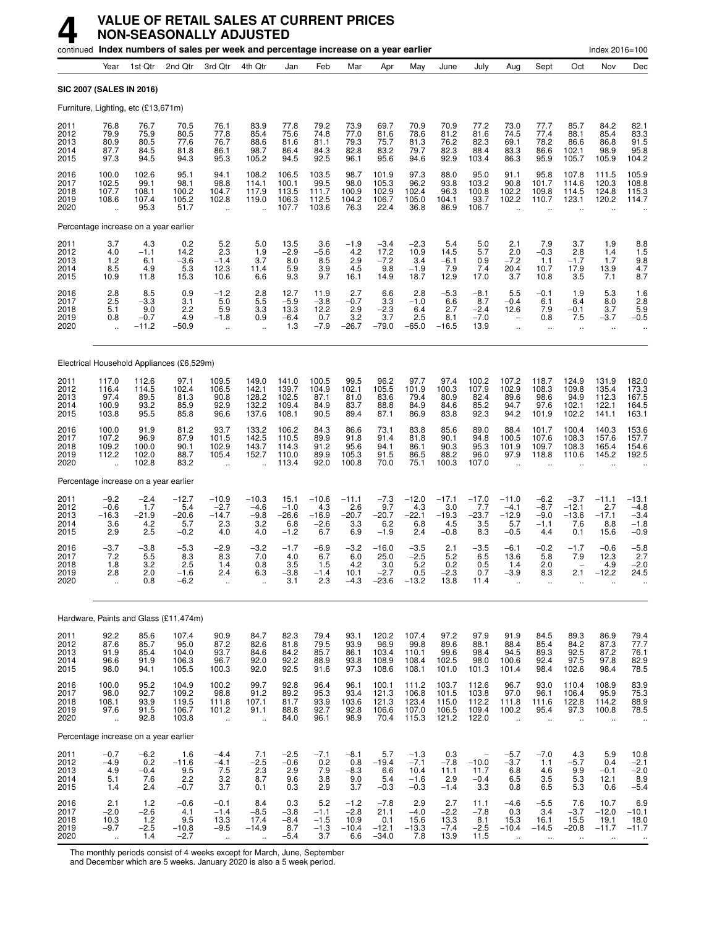|                                      |                                                       |                                         | continued Index numbers of sales per week and percentage increase on a year earlier |                                                            |                                              |                                            |                                            |                                            |                                             |                                              |                                            |                                           |                                                          |                                                     |                                                          | Index 2016=100                                      |                                                            |
|--------------------------------------|-------------------------------------------------------|-----------------------------------------|-------------------------------------------------------------------------------------|------------------------------------------------------------|----------------------------------------------|--------------------------------------------|--------------------------------------------|--------------------------------------------|---------------------------------------------|----------------------------------------------|--------------------------------------------|-------------------------------------------|----------------------------------------------------------|-----------------------------------------------------|----------------------------------------------------------|-----------------------------------------------------|------------------------------------------------------------|
|                                      | Year                                                  | 1st Qtr                                 | 2nd Qtr                                                                             | 3rd Otr                                                    | 4th Qtr                                      | Jan                                        | Feb                                        | Mar                                        | Apr                                         | May                                          | June                                       | July                                      | Aug                                                      | Sept                                                | Oct                                                      | Nov                                                 | Dec                                                        |
|                                      | SIC 2007 (SALES IN 2016)                              |                                         |                                                                                     |                                                            |                                              |                                            |                                            |                                            |                                             |                                              |                                            |                                           |                                                          |                                                     |                                                          |                                                     |                                                            |
|                                      | Furniture, Lighting, etc (£13,671m)                   |                                         |                                                                                     |                                                            |                                              |                                            |                                            |                                            |                                             |                                              |                                            |                                           |                                                          |                                                     |                                                          |                                                     |                                                            |
| 2011<br>2012<br>2013<br>2014<br>2015 | 76.8<br>79.9<br>80.9<br>87.7<br>97.3                  | 76.7<br>75.9<br>80.5<br>84.5<br>94.5    | 70.5<br>80.5<br>77.6<br>81.8<br>94.3                                                | 76.1<br>77.8<br>76.7<br>86.1<br>95.3                       | 83.9<br>85.4<br>88.6<br>98.7<br>105.2        | 77.8<br>75.6<br>81.6<br>86.4<br>94.5       | 79.2<br>74.8<br>81.1<br>84.3<br>92.5       | 73.9<br>77.0<br>79.3<br>82.8<br>96.1       | 69.7<br>81.6<br>75.7<br>83.2<br>95.6        | 70.9<br>78.6<br>81.3<br>79.7<br>94.6         | 70.9<br>81.2<br>76.2<br>82.3<br>92.9       | 77.2<br>81.6<br>82.3<br>88.4<br>103.4     | 73.0<br>74.5<br>69.1<br>83.3<br>86.3                     | 77.7<br>77.4<br>78.2<br>86.6<br>95.9                | 85.7<br>88.1<br>86.6<br>102.1<br>105.7                   | 84.2<br>85.4<br>86.8<br>98.9<br>105.9               | 82.1<br>83.3<br>91.5<br>$95.8$<br>104.2                    |
| 2016<br>2017<br>2018<br>2019<br>2020 | 100.0<br>102.5<br>107.7<br>108.6                      | 102.6<br>99.1<br>108.1<br>107.4<br>95.3 | 95.1<br>98.1<br>100.2<br>105.2<br>51.7                                              | 94.1<br>98.8<br>104.7<br>102.8<br>ä,                       | 108.2<br>114.1<br>117.9<br>119.0             | 106.5<br>100.1<br>113.5<br>106.3<br>107.7  | 103.5<br>99.5<br>111.7<br>112.5<br>103.6   | 98.7<br>98.0<br>100.9<br>104.2<br>76.3     | 101.9<br>105.3<br>102.9<br>106.7<br>22.4    | 97.3<br>96.2<br>102.4<br>105.0<br>36.8       | 88.0<br>93.8<br>96.3<br>104.1<br>86.9      | 95.0<br>103.2<br>100.8<br>93.7<br>106.7   | 91.1<br>90.8<br>102.2<br>102.2                           | 95.8<br>101.7<br>109.8<br>110.7                     | 107.8<br>114.6<br>114.5<br>123.1                         | 111.5<br>120.3<br>124.8<br>120.2                    | 105.9<br>108.8<br>115.3<br>114.7                           |
|                                      | Percentage increase on a year earlier                 |                                         |                                                                                     |                                                            |                                              |                                            |                                            |                                            |                                             |                                              |                                            |                                           |                                                          |                                                     |                                                          |                                                     |                                                            |
| 2011<br>2012<br>2013<br>2014<br>2015 | 3.7<br>4.0<br>1.2<br>8.5<br>10.9                      | 4.3<br>$-1.1$<br>6.1<br>4.9<br>11.8     | 0.2<br>14.2<br>$-3.6$<br>5.3<br>15.3                                                | 5.2<br>2.3<br>$-1.4$<br>12.3<br>10.6                       | 5.0<br>1.9<br>3.7<br>11.4<br>6.6             | 13.5<br>$-2.9$<br>8.0<br>5.9<br>9.3        | 3.6<br>$-5.6$<br>8.5<br>$3.9$<br>$9.7$     | $-1.9$<br>4.2<br>2.9<br>4.5<br>16.1        | $-3.4$<br>17.2<br>$-7.2$<br>9.8<br>14.9     | $-2.3$<br>10.9<br>3.4<br>$-1.9$<br>18.7      | 5.4<br>14.5<br>$-6.1$<br>7.9<br>12.9       | 5.0<br>5.7<br>0.9<br>7.4<br>17.0          | 2.1<br>2.0<br>$-7.2$<br>20.4<br>3.7                      | 7.9<br>$-0.3$<br>1.1<br>10.7<br>10.8                | 3.7<br>2.8<br>$-1.7$<br>17.9<br>3.5                      | 1.9<br>1.4<br>1.7<br>13.9<br>7.1                    | $8.8$<br>$1.5$<br>$9.8$<br>4.7<br>8.7                      |
| 2016<br>2017<br>2018<br>2019<br>2020 | $^{2.8}_{2.5}$<br>5.1<br>0.8                          | $8.5 - 3.3$<br>9.0<br>$-0.7$<br>$-11.2$ | 0.9<br>3.1<br>2.2<br>4.9<br>$-50.9$                                                 | $-1.2$<br>5.0<br>5.9<br>$-1.8$<br>$\ddot{\phantom{1}}$     | $\frac{2.8}{5.5}$<br>3.3<br>0.9<br>$\ddotsc$ | 12.7<br>$-5.9$<br>13.3<br>$-6.4$<br>1.3    | 11.9<br>$-3.8$<br>12.2<br>0.7<br>$-7.9$    | 2.7<br>$-0.7$<br>2.9<br>3.2<br>$-26.7$     | 6.6<br>3.3<br>$-2.3$<br>3.7<br>$-79.0$      | 2.8<br>$-1.0$<br>6.4<br>2.5<br>$-65.0$       | $-5.3$<br>6.6<br>2.7<br>8.1<br>$-16.5$     | $-8.1$<br>8.7<br>$-2.4$<br>$-7.0$<br>13.9 | 5.5<br>$-0.4$<br>12.6<br>$\ddot{\phantom{a}}$            | $-0.1$<br>6.1<br>7.9<br>0.8<br>$\ddot{\phantom{a}}$ | 1.9<br>6.4<br>$-0.1$<br>7.5<br>$\ddot{\phantom{a}}$      | 5.3<br>8.0<br>3.7<br>$-3.7$<br>$\ddot{\phantom{a}}$ | $\begin{array}{c} 1.6 \\ 2.8 \\ 5.9 \end{array}$<br>$-0.5$ |
|                                      |                                                       |                                         | Electrical Household Appliances (£6,529m)                                           |                                                            |                                              |                                            |                                            |                                            |                                             |                                              |                                            |                                           |                                                          |                                                     |                                                          |                                                     |                                                            |
| 2011<br>2012<br>2013<br>2014<br>2015 | 117.0<br>116.4<br>97.4<br>100.9<br>103.8              | 112.6<br>114.5<br>89.5<br>93.2<br>95.5  | 97.1<br>102.4<br>81.3<br>85.9<br>85.8                                               | 109.5<br>106.5<br>90.8<br>92.9<br>96.6                     | 149.0<br>142.1<br>128.2<br>132.2<br>137.6    | 141.0<br>139.7<br>102.5<br>109.4<br>108.1  | 100.5<br>104.9<br>87.1<br>84.9<br>90.5     | 99.5<br>102.1<br>81.0<br>83.7<br>89.4      | 96.2<br>105.5<br>83.6<br>88.8<br>87.1       | 97.7<br>101.9<br>79.4<br>84.9<br>86.9        | 97.4<br>100.3<br>80.9<br>84.6<br>83.8      | 100.2<br>107.9<br>82.4<br>85.2<br>92.3    | 107.2<br>102.9<br>89.6<br>94.7<br>94.2                   | 118.7<br>108.3<br>98.6<br>97.6<br>101.9             | 124.9<br>109.8<br>94.9<br>102.1<br>102.2                 | 131.9<br>135.4<br>112.3<br>122.1<br>141.1           | 182.0<br>$\frac{152.8}{173.3}$<br>164.5<br>163.1           |
| 2016<br>2017<br>2018<br>2019<br>2020 | 100.0<br>107.2<br>109.2<br>112.2                      | 91.9<br>96.9<br>100.0<br>102.0<br>102.8 | 81.2<br>87.9<br>90.1<br>88.7<br>83.2                                                | 93.7<br>101.5<br>102.9<br>105.4<br>$\ddot{\phantom{a}}$    | 133.2<br>142.5<br>143.7<br>152.7             | 106.2<br>110.5<br>114.3<br>110.0<br>113.4  | 84.3<br>89.9<br>91.2<br>89.9<br>92.0       | 86.6<br>91.8<br>95.6<br>105.3<br>100.8     | 73.1<br>91.4<br>94.1<br>91.5<br>70.0        | 83.8<br>81.8<br>86.1<br>86.5<br>75.1         | 85.6<br>90.1<br>90.3<br>88.2<br>100.3      | 89.0<br>94.8<br>95.3<br>96.0<br>107.0     | 88.4<br>100.5<br>101.9<br>97.9                           | 101.7<br>107.6<br>109.7<br>118.8                    | 100.4<br>108.3<br>108.3<br>110.6                         | 140.3<br>157.6<br>165.4<br>145.2                    | 153.6<br>157.7<br>154.6<br>192.5                           |
|                                      | Percentage increase on a year earlier                 |                                         |                                                                                     |                                                            |                                              |                                            |                                            |                                            |                                             |                                              |                                            |                                           |                                                          |                                                     |                                                          |                                                     |                                                            |
| 2011<br>2012<br>2013<br>2014<br>2015 | $-9.2$<br>$-0.6$<br>$-16.3$<br>3.6<br>2.9             | $-2.4$<br>1.7<br>$-21.9$<br>4.2<br>2.5  | $-12.7$<br>5.4<br>$-20.6$<br>5.7<br>$-0.2$                                          | $-10.9$<br>$-2.7$<br>$-14.7$<br>2.3<br>4.0                 | $-10.3$<br>$-4.6$<br>$-9.8$<br>3.2<br>4.0    | 15.1<br>$-1.0$<br>$-26.6$<br>6.8<br>$-1.2$ | $-10.6$<br>4.3<br>$-16.9$<br>$-2.6$<br>6.7 | $-11.1$<br>2.6<br>$-20.7$<br>3.3<br>6.9    | $-7.3$<br>9.7<br>$-20.7$<br>6.2<br>$-1.9$   | $-12.0$<br>4.3<br>$-22.1$<br>6.8<br>2.4      | $-17.1$<br>3.0<br>$-19.3$<br>4.5<br>$-0.8$ | $-17.0$<br>7.7<br>$-23.7$<br>3.5<br>8.3   | $-11.0$<br>$-4.1$<br>$-12.9$<br>5.7<br>$-0.5$            | $-6.2$<br>$-8.7$<br>$-9.0$<br>$-1.1$<br>4.4         | $-3.7$<br>$-12.1$<br>$-13.6$<br>7.6<br>0.1               | $-11.1$<br>2.7<br>$-17.1$<br>8.8<br>15.6            | $-13.1$<br>$-4.8$<br>$-3.4$<br>$-1.8$<br>$-0.9$            |
| 2016<br>2017<br>2018<br>2019<br>2020 | $-3.7$<br>7.2<br>1.8<br>2.8                           | $-3.8$<br>5.5<br>3.2<br>2.0<br>0.8      | $-5.3$<br>8.3<br>2.5<br>$-1.6$<br>$-6.2$                                            | $-2.9$<br>8.3<br>1.4<br>2.4<br>ä,                          | $-3.2$<br>7.0<br>0.8<br>ხ.პ                  | $-1.7$<br>4.0<br>3.5<br>–პ.შ<br>3.1        | $-6.9$<br>6.7<br>1.5<br>-1.4<br>2.3        | $-3.2$<br>6.0<br>4.2<br>10.1<br>$-4.3$     | $-16.0$<br>25.0<br>3.0<br>$-2.1$<br>$-23.6$ | $-3.5$<br>$-2.5$<br>5.2<br>U.5<br>$-13.2$    | 2.1<br>5.2<br>0.2<br>-2.3<br>13.8          | $-3.5$<br>6.5<br>0.5<br>0.7<br>11.4       | $-6.1$<br>13.6<br>1.4<br>$-3.9$                          | $-0.2$<br>5.8<br>2.0<br>ၓ.૩                         | $-1.7$<br>7.9<br>2.1<br>$\ddotsc$                        | $-0.6$<br>12.3<br>4.9<br>$-12.2$                    | $-5.8$<br>2.7<br>$-2.0$<br>24.5                            |
|                                      |                                                       |                                         | Hardware, Paints and Glass (£11,474m)                                               |                                                            |                                              |                                            |                                            |                                            |                                             |                                              |                                            |                                           |                                                          |                                                     |                                                          |                                                     |                                                            |
| 2011<br>2012<br>2013<br>2014<br>2015 | 92.2<br>87.6<br>91.9<br>96.6<br>98.0                  | 85.6<br>85.7<br>85.4<br>91.9<br>94.1    | 107.4<br>95.0<br>104.0<br>106.3<br>105.5                                            | 90.9<br>87.2<br>93.7<br>96.7<br>100.3                      | 84.7<br>82.6<br>84.6<br>92.0<br>92.0         | 82.3<br>81.8<br>84.2<br>92.2<br>92.5       | 79.4<br>79.5<br>85.7<br>88.9<br>91.6       | 93.1<br>93.9<br>86.1<br>93.8<br>97.3       | 120.2<br>96.9<br>103.4<br>108.9<br>108.6    | 107.4<br>99.8<br>110.1<br>108.4<br>108.1     | 97.2<br>89.6<br>99.6<br>102.5<br>101.0     | 97.9<br>88.1<br>98.4<br>98.0<br>101.3     | 91.9<br>88.4<br>94.5<br>100.6<br>101.4                   | 84.5<br>85.4<br>89.3<br>92.4<br>98.4                | 89.3<br>84.2<br>92.5<br>97.5<br>102.6                    | 86.9<br>87.3<br>87.2<br>97.8<br>98.4                | 79.4<br>77.7<br>76.1<br>82.9<br>78.5                       |
| 2016<br>2017<br>2018<br>2019<br>2020 | 100.0<br>98.0<br>108.1<br>97.6<br>$\ddotsc$           | 95.2<br>92.7<br>93.9<br>91.5<br>92.8    | 104.9<br>109.2<br>119.5<br>106.7<br>103.8                                           | 100.2<br>98.8<br>111.8<br>101.2<br>$\ddotsc$               | 99.7<br>91.2<br>107.1<br>91.1                | 92.8<br>89.2<br>81.7<br>88.8<br>84.0       | 96.4<br>95.3<br>93.9<br>92.7<br>96.1       | 96.1<br>93.4<br>103.6<br>92.8<br>98.9      | 100.1<br>121.3<br>121.3<br>106.6<br>70.4    | 111.2<br>106.8<br>123.4<br>107.0<br>115.3    | 103.7<br>101.5<br>115.0<br>106.5<br>121.2  | 112.6<br>103.8<br>112.2<br>109.4<br>122.0 | 96.7<br>97.0<br>111.8<br>100.2<br>$\ddotsc$              | 93.0<br>96.1<br>111.6<br>95.4<br>$\ddotsc$          | 110.4<br>106.4<br>122.8<br>97.3                          | 108.9<br>95.9<br>114.2<br>100.8                     | 83.9<br>75.3<br>88.9<br>78.5                               |
|                                      | Percentage increase on a year earlier                 |                                         |                                                                                     |                                                            |                                              |                                            |                                            |                                            |                                             |                                              |                                            |                                           |                                                          |                                                     |                                                          |                                                     |                                                            |
| 2011<br>2012<br>2013<br>2014<br>2015 | $-0.7$<br>$-4.9$<br>4.9<br>5.1<br>1.4                 | $-6.2$<br>0.2<br>$-0.4$<br>7.6<br>2.4   | 1.6<br>$-11.6$<br>9.5<br>2.2<br>$-0.7$                                              | $-4.4$<br>$-4.1$<br>7.5<br>3.2<br>3.7                      | 7.1<br>$-2.5$<br>$\frac{2.3}{8.7}$<br>0.1    | $-2.5$<br>$-0.6$<br>2.9<br>9.6<br>0.3      | $-7.1$<br>0.2<br>7.9<br>3.8<br>2.9         | $-8.1$<br>0.8<br>$-8.3$<br>9.0<br>3.7      | 5.7<br>$-19.4$<br>6.6<br>5.4<br>$-0.3$      | $-1.3$<br>$-7.1$<br>10.4<br>$-1.6$<br>$-0.3$ | 0.3<br>$-7.8$<br>11.1<br>2.9<br>$-1.4$     | $-10.0$<br>11.7<br>$-0.4$<br>3.3          | $-5.7$<br>$-3.7$<br>6.8<br>6.5<br>0.8                    | $-7.0$<br>1.1<br>4.6<br>3.5<br>6.5                  | 4.3<br>$-5.7$<br>9.9<br>5.3<br>5.3                       | 5.9<br>0.4<br>$-0.1$<br>12.1<br>0.6                 | 10.8<br>$-2.1$<br>$-2.0$<br>$\overline{8.9}$<br>$-5.4$     |
| 2016<br>2017<br>2018<br>2019<br>2020 | 2.1<br>$-2.0$<br>10.3<br>$-9.7$<br>$\bar{\mathbf{a}}$ | 1.2<br>$-2.6$<br>1.2<br>$-2.5$<br>1.4   | $-0.6$<br>4.1<br>9.5<br>$-10.8$<br>$-2.7$                                           | $-0.1$<br>$-1.4$<br>13.3<br>$-9.5$<br>$\ddot{\phantom{1}}$ | 8.4<br>$-8.5$<br>17.4<br>$-14.9$             | 0.3<br>$-3.8$<br>$-8.4$<br>8.7<br>$-5.4$   | 5.2<br>$-1.1$<br>$-1.5$<br>$-1.3$<br>3.7   | $-1.2$<br>$-2.8$<br>10.9<br>$-10.4$<br>6.6 | $-7.8$<br>21.1<br>0.1<br>$-12.1$<br>$-34.0$ | 2.9<br>$-4.0$<br>15.6<br>$-13.3$<br>7.8      | 2.7<br>$-2.2$<br>13.3<br>$-7.4$<br>13.9    | 11.1<br>$-7.8$<br>8.1<br>$-2.5$<br>11.5   | $-4.6$<br>0.3<br>15.3<br>$-10.4$<br>$\ddot{\phantom{a}}$ | $-5.5$<br>3.4<br>16.1<br>$-14.5$<br>$\ddotsc$       | 7.6<br>$-3.7$<br>15.5<br>$-20.8$<br>$\ddot{\phantom{a}}$ | 10.7<br>$-12.0$<br>19.1<br>$-11.7$                  | 6.9<br>$-10.1$<br>18.0<br>$-11.7$                          |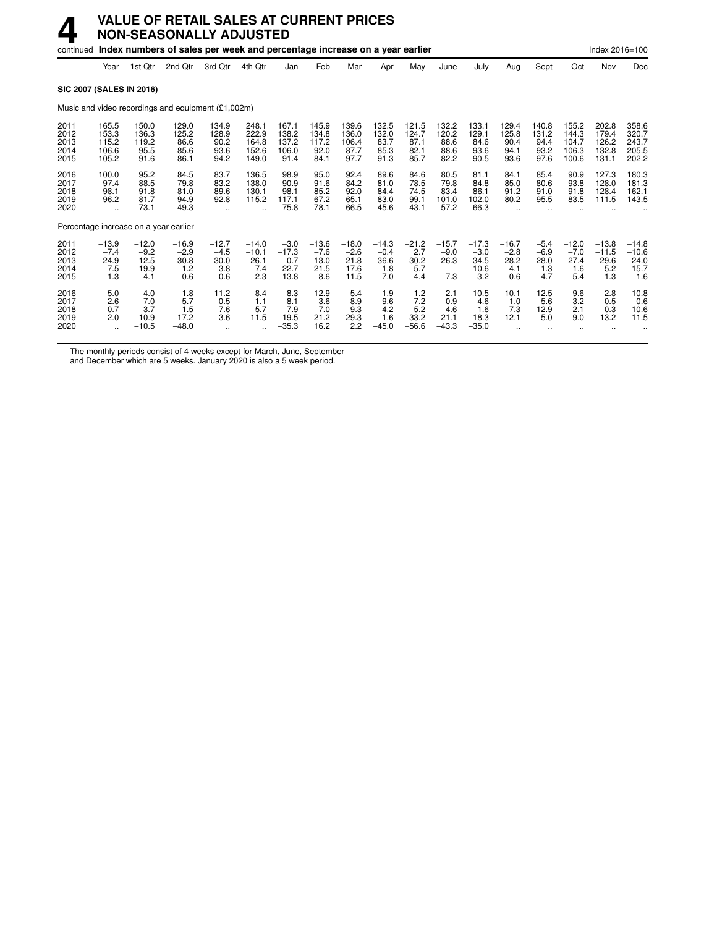|                                      |                                                  |                                                   | continued Index numbers of sales per week and percentage increase on a year earlier |                                            |                                                          |                                                   |                                                   |                                                 |                                              |                                               |                                            |                                                |                                               |                                              |                                               | Index 2016=100                                 |                                                    |
|--------------------------------------|--------------------------------------------------|---------------------------------------------------|-------------------------------------------------------------------------------------|--------------------------------------------|----------------------------------------------------------|---------------------------------------------------|---------------------------------------------------|-------------------------------------------------|----------------------------------------------|-----------------------------------------------|--------------------------------------------|------------------------------------------------|-----------------------------------------------|----------------------------------------------|-----------------------------------------------|------------------------------------------------|----------------------------------------------------|
|                                      | Year                                             | 1st Qtr                                           | 2nd Qtr                                                                             | 3rd Qtr                                    | 4th Qtr                                                  | Jan                                               | Feb                                               | Mar                                             | Apr                                          | May                                           | June                                       | July                                           | Aug                                           | Sept                                         | Oct                                           | Nov                                            | Dec                                                |
|                                      | <b>SIC 2007 (SALES IN 2016)</b>                  |                                                   |                                                                                     |                                            |                                                          |                                                   |                                                   |                                                 |                                              |                                               |                                            |                                                |                                               |                                              |                                               |                                                |                                                    |
|                                      |                                                  |                                                   | Music and video recordings and equipment (£1,002m)                                  |                                            |                                                          |                                                   |                                                   |                                                 |                                              |                                               |                                            |                                                |                                               |                                              |                                               |                                                |                                                    |
| 2011<br>2012<br>2013<br>2014<br>2015 | 165.5<br>153.3<br>115.2<br>106.6<br>105.2        | 150.0<br>136.3<br>119.2<br>95.5<br>91.6           | 129.0<br>125.2<br>86.6<br>85.6<br>86.1                                              | 134.9<br>128.9<br>90.2<br>93.6<br>94.2     | 248.1<br>222.9<br>164.8<br>152.6<br>149.0                | 167.1<br>138.2<br>137.2<br>106.0<br>91.4          | 145.9<br>134.8<br>117.2<br>92.0<br>84.1           | 139.6<br>136.0<br>106.4<br>87.7<br>97.7         | 132.5<br>132.0<br>83.7<br>85.3<br>91.3       | 121.5<br>124.7<br>87.1<br>82.1<br>85.7        | 132.2<br>120.2<br>88.6<br>88.6<br>82.2     | 133.1<br>129.1<br>84.6<br>93.6<br>90.5         | 129.4<br>125.8<br>90.4<br>94.1<br>93.6        | 140.8<br>131.2<br>94.4<br>93.2<br>97.6       | 155.2<br>144.3<br>104.7<br>106.3<br>100.6     | 202.8<br>179.4<br>126.2<br>132.8<br>131.1      | 358.6<br>320.7<br>243.7<br>205.5<br>202.2          |
| 2016<br>2017<br>2018<br>2019<br>2020 | 100.0<br>97.4<br>98.1<br>96.2                    | 95.2<br>88.5<br>91.8<br>81.7<br>73.1              | 84.5<br>79.8<br>81.0<br>94.9<br>49.3                                                | 83.7<br>83.2<br>89.6<br>92.8               | 136.5<br>138.0<br>130.1<br>115.2<br>$\ddot{\phantom{a}}$ | 98.9<br>90.9<br>98.1<br>117.1<br>75.8             | 95.0<br>91.6<br>85.2<br>67.2<br>78.1              | 92.4<br>84.2<br>92.0<br>65.1<br>66.5            | 89.6<br>81.0<br>84.4<br>83.0<br>45.6         | 84.6<br>78.5<br>74.5<br>99.1<br>43.1          | 80.5<br>79.8<br>83.4<br>101.0<br>57.2      | 81.1<br>84.8<br>86.1<br>102.0<br>66.3          | 84.1<br>85.0<br>91.2<br>80.2                  | 85.4<br>80.6<br>91.0<br>95.5                 | 90.9<br>93.8<br>91.8<br>83.5                  | 127.3<br>128.0<br>128.4<br>111.5               | 180.3<br>181.3<br>162.1<br>143.5                   |
|                                      | Percentage increase on a year earlier            |                                                   |                                                                                     |                                            |                                                          |                                                   |                                                   |                                                 |                                              |                                               |                                            |                                                |                                               |                                              |                                               |                                                |                                                    |
| 2011<br>2012<br>2013<br>2014<br>2015 | $-13.9$<br>$-7.4$<br>$-24.9$<br>$-7.5$<br>$-1.3$ | $-12.0$<br>$-9.2$<br>$-12.5$<br>$-19.9$<br>$-4.1$ | $-16.9$<br>$-2.9$<br>$-30.8$<br>$-1.2$<br>0.6                                       | $-12.7$<br>$-4.5$<br>$-30.0$<br>3.8<br>0.6 | $-14.0$<br>$-10.1$<br>$-26.1$<br>$-7.4$<br>$-2.3$        | $-3.0$<br>$-17.3$<br>$-0.7$<br>$-22.7$<br>$-13.8$ | $-13.6$<br>$-7.6$<br>$-13.0$<br>$-21.5$<br>$-8.6$ | $-18.0$<br>$-2.6$<br>$-21.8$<br>$-17.6$<br>11.5 | $-14.3$<br>$-0.4$<br>$-36.6$<br>1.8<br>7.0   | $-21.2$<br>2.7<br>$-30.2$<br>$-5.7$<br>4.4    | $-15.7$<br>$-9.0$<br>$-26.3$<br>$-7.3$     | $-17.3$<br>$-3.0$<br>$-34.5$<br>10.6<br>$-3.2$ | $-16.7$<br>$-2.8$<br>$-28.2$<br>4.1<br>$-0.6$ | $-5.4$<br>$-6.9$<br>$-28.0$<br>$-1.3$<br>4.7 | $-12.0$<br>$-7.0$<br>$-27.4$<br>1.6<br>$-5.4$ | $-13.8$<br>$-11.5$<br>$-29.6$<br>5.2<br>$-1.3$ | $-14.8$<br>$-10.6$<br>$-24.0$<br>$-15.7$<br>$-1.6$ |
| 2016<br>2017<br>2018<br>2019<br>2020 | $-5.0$<br>$-2.6$<br>0.7<br>$-2.0$                | 4.0<br>$-7.0$<br>3.7<br>$-10.9$<br>$-10.5$        | $-1.8$<br>$-5.7$<br>1.5<br>17.2<br>$-48.0$                                          | $-11.2$<br>$-0.5$<br>7.6<br>3.6            | $-8.4$<br>1.1<br>$-5.7$<br>$-11.5$                       | 8.3<br>$-8.1$<br>7.9<br>19.5<br>$-35.3$           | 12.9<br>$-3.6$<br>$-7.0$<br>$-21.2$<br>16.2       | $-5.4$<br>$-8.9$<br>9.3<br>$-29.3$<br>2.2       | $-1.9$<br>$-9.6$<br>4.2<br>$-1.6$<br>$-45.0$ | $-1.2$<br>$-7.2$<br>$-5.2$<br>33.2<br>$-56.6$ | $-2.1$<br>$-0.9$<br>4.6<br>21.1<br>$-43.3$ | $-10.5$<br>4.6<br>1.6<br>18.3<br>$-35.0$       | $-10.1$<br>1.0<br>7.3<br>$-12.1$              | $-12.5$<br>$-5.6$<br>12.9<br>5.0             | $-9.6$<br>3.2<br>$-2.1$<br>$-9.0$             | $-2.8$<br>0.5<br>0.3<br>$-13.2$                | $-10.8$<br>0.6<br>$-10.6$<br>$-11.5$               |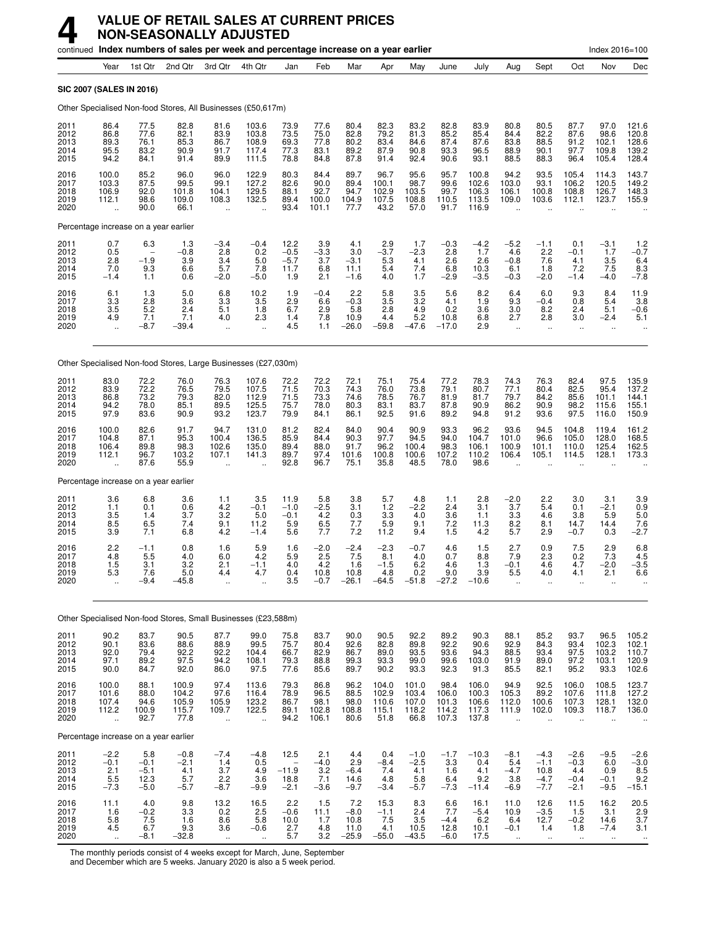|                                      |                                                          |                                                         |                                          | continued Index numbers of sales per week and percentage increase on a year earlier |                                                      |                                                |                                              |                                          |                                            |                                               |                                          |                                           |                                                       |                                                     |                                             | Index 2016=100                             |                                                                 |
|--------------------------------------|----------------------------------------------------------|---------------------------------------------------------|------------------------------------------|-------------------------------------------------------------------------------------|------------------------------------------------------|------------------------------------------------|----------------------------------------------|------------------------------------------|--------------------------------------------|-----------------------------------------------|------------------------------------------|-------------------------------------------|-------------------------------------------------------|-----------------------------------------------------|---------------------------------------------|--------------------------------------------|-----------------------------------------------------------------|
|                                      | Year                                                     | 1st Qtr                                                 | 2nd Qtr                                  | 3rd Qtr                                                                             | 4th Qtr                                              | Jan                                            | Feb                                          | Mar                                      | Apr                                        | May                                           | June                                     | July                                      | Aug                                                   | Sept                                                | Oct                                         | Nov                                        | Dec                                                             |
|                                      | SIC 2007 (SALES IN 2016)                                 |                                                         |                                          |                                                                                     |                                                      |                                                |                                              |                                          |                                            |                                               |                                          |                                           |                                                       |                                                     |                                             |                                            |                                                                 |
|                                      |                                                          |                                                         |                                          | Other Specialised Non-food Stores, All Businesses (£50,617m)                        |                                                      |                                                |                                              |                                          |                                            |                                               |                                          |                                           |                                                       |                                                     |                                             |                                            |                                                                 |
| 2011<br>2012<br>2013<br>2014<br>2015 | 86.4<br>86.8<br>89.3<br>95.5<br>94.2                     | 77.5<br>77.6<br>76.1<br>83.2<br>84.1                    | 82.8<br>82.1<br>85.3<br>90.9<br>91.4     | 81.6<br>83.9<br>86.7<br>91.7<br>89.9                                                | 103.6<br>103.8<br>108.9<br>117.4<br>111.5            | 73.9<br>73.5<br>69.3<br>77.3<br>78.8           | 77.6<br>75.0<br>77.8<br>83.1<br>84.8         | 80.4<br>82.8<br>80.2<br>89.2<br>87.8     | 82.3<br>79.2<br>83.4<br>87.9<br>91.4       | 83.2<br>81.3<br>84.6<br>90.8<br>92.4          | 82.8<br>85.2<br>87.4<br>93.3<br>90.6     | 83.9<br>85.4<br>87.6<br>96.5<br>93.1      | 80.8<br>84.4<br>83.8<br>88.9<br>88.5                  | 80.5<br>82.2<br>88.5<br>90.1<br>88.3                | 87.7<br>87.6<br>91.2<br>97.7<br>96.4        | 97.0<br>98.6<br>102.1<br>109.8<br>105.4    | 121.6<br>120.8<br>128.6<br>139.2<br>128.4                       |
| 2016<br>2017<br>2018<br>2019<br>2020 | 100.0<br>103.3<br>106.9<br>112.1<br>$\ddot{\phantom{a}}$ | 85.2<br>87.5<br>92.0<br>98.6<br>90.0                    | 96.0<br>99.5<br>101.8<br>109.0<br>66.1   | 96.0<br>99.1<br>104.1<br>108.3<br>$\ddot{\phantom{a}}$                              | 122.9<br>127.2<br>129.5<br>132.5                     | 80.3<br>82.6<br>88.1<br>89.4<br>93.4           | 84.4<br>90.0<br>92.7<br>100.0<br>101.1       | 89.7<br>89.4<br>94.7<br>104.9<br>77.7    | 96.7<br>100.1<br>102.9<br>107.5<br>43.2    | 95.6<br>98.7<br>103.5<br>108.8<br>57.0        | 95.7<br>99.6<br>99.7<br>110.5<br>91.7    | 100.8<br>102.6<br>106.3<br>113.5<br>116.9 | 94.2<br>103.0<br>106.1<br>109.0                       | 93.5<br>93.1<br>100.8<br>103.6                      | 105.4<br>106.2<br>108.8<br>112.1            | 114.3<br>120.5<br>126.7<br>123.7           | 143.7<br>149.2<br>148.3<br>155.9                                |
|                                      |                                                          | Percentage increase on a year earlier                   |                                          |                                                                                     |                                                      |                                                |                                              |                                          |                                            |                                               |                                          |                                           |                                                       |                                                     |                                             |                                            |                                                                 |
| 2011<br>2012<br>2013<br>2014<br>2015 | 0.7<br>0.5<br>2.8<br>7.0<br>$-1.4$                       | 6.3<br>$\overline{\phantom{0}}$<br>$-1.9$<br>9.3<br>1.1 | 1.3<br>$-0.8$<br>3.9<br>6.6<br>0.6       | $-3.4$<br>2.8<br>3.4<br>5.7<br>$-2.0$                                               | $-0.4$<br>0.2<br>5.0<br>7.8<br>$-5.0$                | 12.2<br>$-0.5$<br>$-5.7$<br>11.7<br>1.9        | $3.9 - 3.3$<br>3.7<br>6.8<br>2.1             | 4.1<br>3.0<br>$-3.1$<br>11.1<br>$-1.6$   | 2.9<br>$-3.7$<br>5.3<br>5.4<br>4.0         | 1.7<br>-2.3<br>4.1<br>7.4<br>1.7              | $-0.3$<br>2.8<br>2.6<br>6.8<br>$-2.9$    | -4.2<br>1.7<br>2.6<br>10.3<br>$-3.5$      | $-5.2$<br>4.6<br>$-0.8$<br>6.1<br>$-0.3$              | $-1.1$<br>2.2<br>7.6<br>1.8<br>$-2.0$               | 0.1<br>$-0.1$<br>4.1<br>7.2<br>$-1.4$       | -3.1<br>1.7<br>3.5<br>7.5<br>$-4.0$        | $1.2 - 0.7$<br>6.4<br>$\frac{8.3}{-7.8}$                        |
| 2016<br>2017<br>2018<br>2019<br>2020 | 6.1<br>3.3<br>3.5<br>4.9<br>$\ddot{\phantom{a}}$         | 1.3<br>2.8<br>$5.\overline{2}$<br>7.1<br>$-8.7$         | 5.0<br>3.6<br>2.4<br>7.1<br>–39.4        | 6.8<br>3.3<br>5.1<br>4.0<br>$\ddot{\phantom{1}}$                                    | 10.2<br>3.5<br>1.8<br>2.3<br>$\ddot{\phantom{a}}$    | 1.9<br>2.9<br>6.7<br>1.4<br>4.5                | $-0.4$<br>6.6<br>2.9<br>7.8<br>1.1           | 2.2<br>$-0.3$<br>5.8<br>10.9<br>$-26.0$  | $\frac{5.8}{3.5}$<br>2.8<br>4.4<br>$-59.8$ | $\frac{3.5}{3.2}$<br>4.9<br>5.2<br>$-47.6$    | 5.6<br>4.1<br>0.2<br>10.8<br>$-17.0$     | 8.2<br>1.9<br>3.6<br>6.8<br>2.9           | 6.4<br>9.3<br>3.0<br>2.7<br>$\ddot{\phantom{a}}$      | 6.0<br>$-0.4$<br>8.2<br>2.8<br>$\ddot{\phantom{a}}$ | 9.3<br>0.8<br>2.4<br>3.0<br>$\mathbf{r}$    | 8.4<br>5.4<br>5.1<br>$-2.4$<br>$\ddotsc$   | $\frac{11.9}{3.8}$<br>$-0.6$<br>5.1                             |
|                                      |                                                          |                                                         |                                          | Other Specialised Non-food Stores, Large Businesses (£27,030m)                      |                                                      |                                                |                                              |                                          |                                            |                                               |                                          |                                           |                                                       |                                                     |                                             |                                            |                                                                 |
| 2011<br>2012<br>2013<br>2014<br>2015 | 83.0<br>83.9<br>86.8<br>94.2<br>97.9                     | 72.2<br>72.2<br>73.2<br>78.0<br>83.6                    | 76.0<br>76.5<br>79.3<br>85.1<br>90.9     | 76.3<br>79.5<br>82.0<br>89.5<br>93.2                                                | 107.6<br>107.5<br>112.9<br>125.5<br>123.7            | 72.2<br>71.5<br>71.5<br>75.7<br>79.9           | 72.2<br>70.3<br>73.3<br>78.0<br>84.1         | 72.1<br>74.3<br>74.6<br>80.3<br>86.1     | 75.1<br>76.0<br>78.5<br>83.1<br>92.5       | 75.4<br>73.8<br>76.7<br>83.7<br>91.6          | 77.2<br>79.1<br>81.9<br>87.8<br>89.2     | 78.3<br>80.7<br>81.7<br>90.9<br>94.8      | 74.3<br>77.1<br>79.7<br>86.2<br>91.2                  | 76.3<br>80.4<br>84.2<br>90.9<br>93.6                | 82.4<br>82.5<br>85.6<br>98.2<br>97.5        | 97.5<br>95.4<br>101.1<br>115.6<br>116.0    | 135.9<br>137.2<br>144.1<br>155.1<br>150.9                       |
| 2016<br>2017<br>2018<br>2019<br>2020 | 100.0<br>104.8<br>106.4<br>112.1                         | 82.6<br>87.1<br>89.8<br>96.7<br>87.6                    | 91.7<br>95.3<br>98.3<br>103.2<br>55.9    | 94.7<br>100.4<br>102.6<br>107.1                                                     | 131.0<br>136.5<br>135.0<br>141.3                     | 81.2<br>85.9<br>89.4<br>89.7<br>92.8           | 82.4<br>84.4<br>88.0<br>97.4<br>96.7         | 84.0<br>90.3<br>91.7<br>101.6<br>75.1    | 90.4<br>97.7<br>96.2<br>100.8<br>35.8      | 90.9<br>94.5<br>100.4<br>100.6<br>48.5        | 93.3<br>94.0<br>98.3<br>107.2<br>78.0    | 96.2<br>104.7<br>106.1<br>110.2<br>98.6   | 93.6<br>101.0<br>100.9<br>106.4                       | 94.5<br>96.6<br>101.1<br>105.1                      | 104.8<br>105.0<br>110.0<br>114.5            | 119.4<br>128.0<br>125.4<br>128.1           | 161.2<br>168.5<br>162.5<br>173.3                                |
|                                      |                                                          | Percentage increase on a year earlier                   |                                          |                                                                                     |                                                      |                                                |                                              |                                          |                                            |                                               |                                          |                                           |                                                       |                                                     |                                             |                                            |                                                                 |
| 2011<br>2012<br>2013<br>2014<br>2015 | 3.6<br>1.1<br>3.5<br>8.5<br>3.9                          | 6.8<br>0.1<br>1.4<br>6.5<br>7.1                         | 3.6<br>0.6<br>3.7<br>7.4<br>6.8          | 1.1<br>4.2<br>3.2<br>9.1<br>4.2                                                     | 3.5<br>$-0.1$<br>5.0<br>11.2<br>$-1.4$               | 11.9<br>$-1.0$<br>$-0.1$<br>5.9<br>5.6         | 5.8<br>$-2.5$<br>4.2<br>6.5<br>7.7           | 3.8<br>3.1<br>0.3<br>7.7<br>7.2          | 5.7<br>1.2<br>3.3<br>5.9<br>11.2           | 4.8<br>$-2.2$<br>4.0<br>9.1<br>9.4            | 1.1<br>2.4<br>3.6<br>7.2<br>1.5          | 2.8<br>3.1<br>1.1<br>11.3<br>4.2          | $-2.0$<br>3.7<br>3.3<br>8.2<br>5.7                    | 2.2<br>5.4<br>4.6<br>8.1<br>2.9                     | 3.0<br>0.1<br>3.8<br>14.7<br>$-0.7$         | 3.1<br>$-2.1$<br>5.9<br>14.4<br>0.3        | 3.9<br>0.9<br>5.0<br>7.6<br>$-2.7$                              |
| 2016<br>2017<br>2018<br>2019<br>2020 | 2.2<br>4.8<br>1.5<br>ხ.პ                                 | $-1.1$<br>5.5<br>3.1<br>7.6<br>$-9.4$                   | 0.8<br>4.0<br>3.2<br>5.0<br>$-45.8$      | 1.6<br>6.0<br>2.1<br>4.4                                                            | 5.9<br>4.2<br>$-1.1$<br>4.7                          | 1.6<br>5.9<br>4.0<br>V.4<br>3.5                | $-2.0$<br>2.5<br>4.2<br>10.8<br>$-0.7$       | $-2.4$<br>7.5<br>1.6<br>10.8<br>$-26.1$  | $-2.3$<br>8.1<br>$-1.5$<br>4.8<br>$-64.5$  | $-0.7$<br>4.0<br>6.2<br><b>0.2</b><br>$-51.8$ | 4.6<br>0.7<br>4.6<br>9.0<br>$-27.2$      | 1.5<br>8.8<br>1.3<br>3.9<br>$-10.6$       | 2.7<br>7.9<br>$-0.1$<br>5.5                           | 0.9<br>2.3<br>4.6<br>4.U                            | 7.5<br>0.2<br>4.7<br>4. 1                   | 2.9<br>7.3<br>$-2.0$<br>2.1                | 6.8<br>$4.5 - 3.5$<br>6.6                                       |
|                                      |                                                          |                                                         |                                          | Other Specialised Non-food Stores, Small Businesses (£23,588m)                      |                                                      |                                                |                                              |                                          |                                            |                                               |                                          |                                           |                                                       |                                                     |                                             |                                            |                                                                 |
| 2011                                 | 90.2                                                     | 83.7                                                    | 90.5                                     | 87.7                                                                                | 99.0                                                 | 75.8                                           | 83.7                                         | 90.0                                     | 90.5                                       | 92.2                                          | 89.2                                     | 90.3                                      | 88.1                                                  | 85.2                                                | 93.7                                        | 96.5                                       | 105.2                                                           |
| 2012<br>2013<br>2014<br>2015         | 90.1<br>92.0<br>97.1<br>90.0                             | 83.6<br>79.4<br>89.2<br>84.7                            | 88.6<br>92.2<br>97.5<br>92.0             | 88.9<br>$\frac{92.2}{94.2}$<br>86.0                                                 | 99.5<br>104.4<br>108.1<br>97.5                       | 75.7<br>66.7<br>79.3<br>77.6                   | 80.4<br>82.9<br>88.8<br>85.6                 | 92.6<br>86.7<br>99.3<br>89.7             | 82.8<br>89.0<br>93.3<br>90.2               | 89.8<br>93.5<br>99.0<br>93.3                  | 92.2<br>93.6<br>99.6<br>92.3             | 90.6<br>94.3<br>103.0<br>91.3             | 92.9<br>88.5<br>91.9<br>85.5                          | 84.3<br>93.4<br>89.0<br>82.1                        | 93.4<br>97.5<br>97.2<br>95.2                | 102.3<br>103.2<br>103.1<br>93.3            | $\begin{array}{c} 102.1 \\ 110.7 \\ 120.9 \\ 102.6 \end{array}$ |
| 2016<br>2017<br>2018<br>2019<br>2020 | 100.0<br>101.6<br>107.4<br>112.2<br>$\ddotsc$            | 88.1<br>88.0<br>94.6<br>100.9<br>92.7                   | 100.9<br>104.2<br>105.9<br>115.7<br>77.8 | 97.4<br>97.6<br>105.9<br>109.7<br>$\ddotsc$                                         | 113.6<br>116.4<br>123.2<br>122.5<br>$\ddotsc$        | 79.3<br>78.9<br>86.7<br>89.1<br>94.2           | 86.8<br>96.5<br>98.1<br>102.8<br>106.1       | 96.2<br>88.5<br>98.0<br>108.8<br>80.6    | 104.0<br>102.9<br>110.6<br>115.1<br>51.8   | 101.0<br>103.4<br>107.0<br>118.2<br>66.8      | 98.4<br>106.0<br>101.3<br>114.2<br>107.3 | 106.0<br>100.3<br>106.6<br>117.3<br>137.8 | 94.9<br>105.3<br>112.0<br>111.9                       | 92.5<br>89.2<br>100.6<br>102.0                      | 106.0<br>107.6<br>107.3<br>109.3            | 108.5<br>111.8<br>128.1<br>118.7           | 123.7<br>127.2<br>132.0<br>136.0                                |
|                                      |                                                          | Percentage increase on a year earlier                   |                                          |                                                                                     |                                                      |                                                |                                              |                                          |                                            |                                               |                                          |                                           |                                                       |                                                     |                                             |                                            |                                                                 |
| 2011<br>2012<br>2013<br>2014<br>2015 | $-2.2$<br>$-0.1$<br>2.1<br>5.5<br>$-7.3$                 | 5.8<br>$-0.1$<br>$-5.1$<br>12.3<br>$-5.0$               | $-0.8$<br>$-2.1$<br>4.1<br>5.7<br>$-5.7$ | $-7.4$<br>1.4<br>3.7<br>2.2<br>$-8.7$                                               | $-4.8$<br>0.5<br>4.9<br>3.6<br>$-9.9$                | 12.5<br>$-11.9$<br>$18.\overline{8}$<br>$-2.1$ | 2.1<br>$-4.0$<br>$\frac{3.2}{7.1}$<br>$-3.6$ | 4.4<br>2.9<br>$-6.4$<br>14.6<br>$-9.7$   | 0.4<br>$-8.4$<br>7.4<br>4.8<br>$-3.4$      | $-1.0$<br>$-2.5$<br>4.1<br>5.8<br>$-5.7$      | $-1.7$<br>3.3<br>1.6<br>6.4<br>$-7.3$    | $-10.3$<br>0.4<br>4.1<br>9.2<br>$-11.4$   | $-8.1$<br>5.4<br>$-4.7$<br>3.8<br>$-6.9$              | $-4.3$<br>$-1.1$<br>10.8<br>$-4.7$<br>$-7.7$        | $-2.6$<br>$-0.3$<br>4.4<br>$-0.4$<br>$-2.1$ | $-9.5$<br>6.0<br>0.9<br>$-0.1$<br>$-9.5$   | $-2.6$<br>$-3.0$<br>$\frac{8.5}{9.2}$<br>$-15.1$                |
| 2016<br>2017<br>2018<br>2019<br>2020 | 11.1<br>1.6<br>$\frac{5.8}{4.5}$<br>$\ddot{\phantom{a}}$ | 4.0<br>$-0.2$<br>$7.5$<br>6.7<br>$-8.1$                 | 9.8<br>3.3<br>1.6<br>9.3<br>$-32.8$      | $^{13.2}_{0.2}$<br>8.6<br>3.6<br>÷.                                                 | 16.5<br>2.5<br>5.8<br>$-0.6$<br>$\ddot{\phantom{a}}$ | 2.2<br>$-0.6$<br>10.0<br>2.7<br>5.7            | 1.5<br>11.1<br>1.7<br>4.8<br>3.2             | 7.2<br>$-8.0$<br>10.8<br>11.0<br>$-25.9$ | 15.3<br>$-1.1$<br>7.5<br>4.1<br>$-55.0$    | 8.3<br>2.4<br>3.5<br>10.5<br>$-43.5$          | 6.6<br>7.7<br>$-4.4$<br>12.8<br>$-6.0$   | 16.1<br>$-5.4$<br>6.2<br>10.1<br>17.5     | 11.0<br>10.9<br>6.4<br>$-0.1$<br>$\ddot{\phantom{1}}$ | 12.6<br>$-3.5$<br>12.7<br>1.4<br>$\ddotsc$          | 11.5<br>1.5<br>$-0.2$<br>1.8<br>$\ddotsc$   | 16.2<br>3.1<br>14.6<br>$-7.4$<br>$\ddotsc$ | $\frac{20.5}{2.9}$<br>3.7<br>3.1                                |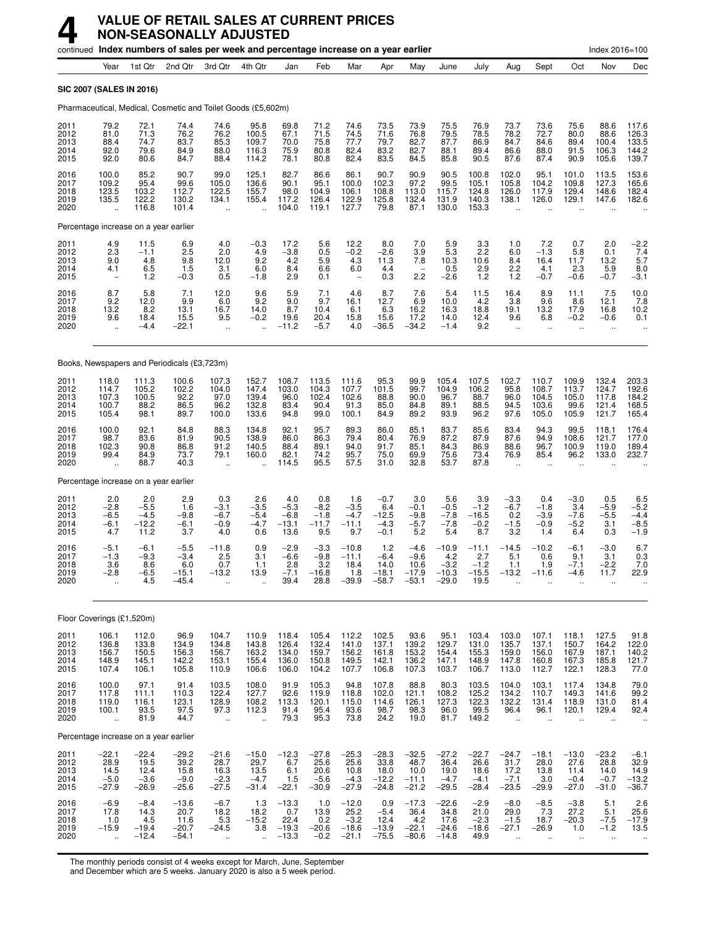|                                       |                                                                                  |                                             | continued Index numbers of sales per week and percentage increase on a year earlier |                                                         |                                                          |                                              |                                              |                                                          |                                               |                                                |                                                |                                              |                                                          |                                                         |                                                          | Index 2016=100                                           |                                              |
|---------------------------------------|----------------------------------------------------------------------------------|---------------------------------------------|-------------------------------------------------------------------------------------|---------------------------------------------------------|----------------------------------------------------------|----------------------------------------------|----------------------------------------------|----------------------------------------------------------|-----------------------------------------------|------------------------------------------------|------------------------------------------------|----------------------------------------------|----------------------------------------------------------|---------------------------------------------------------|----------------------------------------------------------|----------------------------------------------------------|----------------------------------------------|
|                                       | Year                                                                             | 1st Qtr                                     | 2nd Qtr                                                                             | 3rd Qtr                                                 | 4th Qtr                                                  | Jan                                          | Feb                                          | Mar                                                      | Apr                                           | May                                            | June                                           | July                                         | Aug                                                      | Sept                                                    | Oct                                                      | Nov                                                      | Dec                                          |
| <b>SIC 2007 (SALES IN 2016)</b>       |                                                                                  |                                             |                                                                                     |                                                         |                                                          |                                              |                                              |                                                          |                                               |                                                |                                                |                                              |                                                          |                                                         |                                                          |                                                          |                                              |
|                                       |                                                                                  |                                             | Pharmaceutical, Medical, Cosmetic and Toilet Goods (£5,602m)                        |                                                         |                                                          |                                              |                                              |                                                          |                                               |                                                |                                                |                                              |                                                          |                                                         |                                                          |                                                          |                                              |
| 2011<br>2012<br>2013<br>2014<br>2015  | 79.2<br>81.0<br>88.4<br>92.0<br>92.0                                             | 72.1<br>71.3<br>74.7<br>79.6<br>80.6        | 74.4<br>76.2<br>83.7<br>84.9<br>84.7                                                | 74.6<br>76.2<br>85.3<br>88.0<br>88.4                    | 95.8<br>100.5<br>109.7<br>116.3<br>114.2                 | 69.8<br>67.1<br>70.0<br>75.9<br>78.1         | 71.2<br>71.5<br>75.8<br>80.8<br>80.8         | 74.6<br>74.5<br>77.7<br>82.4<br>82.4                     | 73.5<br>71.6<br>79.7<br>83.2<br>83.5          | 73.9<br>76.8<br>82.7<br>82.7<br>84.5           | 75.5<br>79.5<br>87.7<br>88.1<br>85.8           | 76.9<br>78.5<br>86.9<br>89.4<br>90.5         | 73.7<br>78.2<br>84.7<br>86.6<br>87.6                     | 73.6<br>72.7<br>84.6<br>88.0<br>87.4                    | 75.6<br>80.0<br>89.4<br>91.5<br>90.9                     | 88.6<br>88.6<br>100.4<br>106.3<br>105.6                  | 117.6<br>126.3<br>133.5<br>144.2<br>139.7    |
| 2016<br>2017<br>2018<br>2019<br>2020  | 100.0<br>109.2<br>123.5<br>135.5<br>$\ddot{\phantom{a}}$                         | 85.2<br>95.4<br>103.2<br>122.2<br>116.8     | 90.7<br>99.6<br>112.7<br>130.2<br>101.4                                             | 99.0<br>105.0<br>122.5<br>134.1<br>$\ddot{\phantom{1}}$ | 125.1<br>136.6<br>155.7<br>155.4<br>$\ddot{\phantom{a}}$ | 82.7<br>90.1<br>98.0<br>117.2<br>104.0       | 86.6<br>95.1<br>104.9<br>126.4<br>119.1      | 86.1<br>100.0<br>106.1<br>122.9<br>127.7                 | 90.7<br>102.3<br>108.8<br>125.8<br>79.8       | 90.9<br>97.2<br>113.0<br>132.4<br>87.1         | 90.5<br>99.5<br>115.7<br>131.9<br>130.0        | 100.8<br>105.1<br>124.8<br>140.3<br>153.3    | 102.0<br>105.8<br>126.0<br>138.1<br>$\ddot{\phantom{a}}$ | 95.1<br>104.2<br>117.9<br>126.0<br>$\ddot{\phantom{a}}$ | 101.0<br>109.8<br>129.4<br>129.1                         | 113.5<br>127.3<br>148.6<br>147.6                         | 153.6<br>165.6<br>182.4<br>182.6             |
|                                       |                                                                                  | Percentage increase on a year earlier       |                                                                                     |                                                         |                                                          |                                              |                                              |                                                          |                                               |                                                |                                                |                                              |                                                          |                                                         |                                                          |                                                          |                                              |
| 2011<br>2012<br>2013<br>2014<br>2015  | $\frac{4.9}{2.3}$<br>9.0<br>4.1<br>$\overline{\phantom{m}}$                      | 11.5<br>$-1.1$<br>4.8<br>6.5<br>1.2         | $6.9$<br>$2.5$<br>9.8<br>1.5<br>$-0.3$                                              | $^{4.0}_{2.0}$<br>12.0<br>3.1<br>0.5                    | $-0.3$<br>4.9<br>9.2<br>6.0<br>$-1.8$                    | 17.2<br>$-3.8$<br>4.2<br>8.4<br>2.9          | 5.6<br>0.5<br>5.9<br>6.6<br>0.1              | 12.2<br>$-0.2$<br>4.3<br>6.0<br>$\overline{\phantom{a}}$ | 8.0<br>$-2.6$<br>11.3<br>4.4<br>0.3           | 7.0<br>3.9<br>7.8<br>2.2                       | $\frac{5.9}{5.3}$<br>10.3<br>0.5<br>$-2.6$     | $\frac{3.3}{2.2}$<br>10.6<br>2.9<br>1.2      | 1.0<br>6.0<br>8.4<br>2.2<br>1.2                          | $7.2 - 1.3$<br>16.4<br>4.1<br>$-0.7$                    | 0.7<br>5.8<br>11.7<br>2.3<br>$-0.6$                      | 2.0<br>0.1<br>13.2<br>5.9<br>$-0.7$                      | $-2.2$<br>7.4<br>5.7<br>8.0<br>$-3.1$        |
| 2016<br>2017<br>2018<br>2019<br>2020  | $\begin{array}{c} 8.7 \\ 9.2 \end{array}$<br>13.2<br>9.6<br>$\ddot{\phantom{a}}$ | 5.8<br>12.0<br>8.2<br>18.4<br>$-4.4$        | 7.1<br>9.9<br>13.1<br>15.5<br>$-22.1$                                               | 12.0<br>6.0<br>16.7<br>9.5<br>$\ddot{\phantom{a}}$      | $\frac{9.6}{9.2}$<br>14.0<br>$-0.2$                      | 5.9<br>9.0<br>8.7<br>19.6<br>$-11.2$         | 7.1<br>9.7<br>10.4<br>20.4<br>$-5.7$         | 4.6<br>16.1<br>6.1<br>15.8<br>4.0                        | 8.7<br>12.7<br>6.3<br>15.6<br>$-36.5$         | 7.6<br>6.9<br>16.2<br>17.2<br>$-34.2$          | 5.4<br>10.0<br>16.3<br>14.0<br>$-1.4$          | 11.5<br>4.2<br>18.8<br>12.4<br>9.2           | 16.4<br>3.8<br>19.1<br>9.6<br>ä,                         | 8.9<br>9.6<br>13.2<br>6.8<br>ä.                         | 11.1<br>8.6<br>17.9<br>$-0.2$<br>ä.                      | 7.5<br>12.1<br>16.8<br>$-0.6$                            | 10.0<br>7.8<br>10.2<br>0.1                   |
|                                       |                                                                                  |                                             | Books, Newspapers and Periodicals (£3,723m)                                         |                                                         |                                                          |                                              |                                              |                                                          |                                               |                                                |                                                |                                              |                                                          |                                                         |                                                          |                                                          |                                              |
| 2011<br>2012<br>2013<br>2014<br>2015  | 118.0<br>114.7<br>107.3<br>100.7<br>105.4                                        | 111.3<br>105.2<br>100.5<br>88.2<br>98.1     | 100.6<br>102.2<br>92.2<br>86.5<br>89.7                                              | 107.3<br>104.0<br>97.0<br>96.2<br>100.0                 | 152.7<br>147.4<br>139.4<br>132.8<br>133.6                | 108.7<br>103.0<br>96.0<br>83.4<br>94.8       | 113.5<br>104.3<br>102.4<br>90.4<br>99.0      | 111.6<br>107.7<br>102.6<br>91.3<br>100.1                 | 95.3<br>101.5<br>88.8<br>85.0<br>84.9         | 99.9<br>99.7<br>90.0<br>84.8<br>89.2           | 105.4<br>104.9<br>96.7<br>89.1<br>93.9         | 107.5<br>106.2<br>88.7<br>88.5<br>96.2       | 102.7<br>95.8<br>96.0<br>94.5<br>97.6                    | 110.7<br>108.7<br>104.5<br>103.6<br>105.0               | 109.9<br>113.7<br>105.0<br>99.6<br>105.9                 | 132.4<br>124.7<br>117.8<br>121.4<br>121.7                | 203.3<br>192.6<br>184.2<br>168.5<br>165.4    |
| 2016<br>2017<br>2018<br>2019<br>2020  | 100.0<br>98.7<br>102.3<br>99.4<br>$\ddot{\phantom{a}}$                           | 92.1<br>83.6<br>90.8<br>84.9<br>88.7        | 84.8<br>81.9<br>86.8<br>73.7<br>40.3                                                | 88.3<br>90.5<br>91.2<br>79.1                            | 134.8<br>138.9<br>140.5<br>160.0                         | 92.1<br>86.0<br>88.4<br>82.1<br>114.5        | 95.7<br>86.3<br>89.1<br>74.2<br>95.5         | 89.3<br>79.4<br>94.0<br>95.7<br>57.5                     | 86.0<br>80.4<br>91.7<br>75.0<br>31.0          | 85.1<br>76.9<br>85.1<br>69.9<br>32.8           | 83.7<br>87.2<br>84.3<br>75.6<br>53.7           | 85.6<br>87.9<br>86.9<br>73.4<br>87.8         | 83.4<br>87.6<br>88.6<br>76.9                             | 94.3<br>94.9<br>96.7<br>85.4                            | 99.5<br>108.6<br>100.9<br>96.2                           | 118.1<br>121.7<br>119.0<br>133.0                         | 176.4<br>177.0<br>189.4<br>232.7             |
|                                       |                                                                                  | Percentage increase on a year earlier       |                                                                                     |                                                         |                                                          |                                              |                                              |                                                          |                                               |                                                |                                                |                                              |                                                          |                                                         |                                                          |                                                          |                                              |
| 2011<br>2012<br>2013<br>2014<br>2015  | 2.0<br>$-2.8$<br>$-6.5$<br>$-6.1$<br>4.7                                         | 2.0<br>$-5.5$<br>$-4.5$<br>$-12.2$<br>11.2  | 2.9<br>1.6<br>$-9.8$<br>$-6.1$<br>3.7                                               | 0.3<br>$-3.1$<br>$-6.7$<br>$-0.9$<br>4.0                | 2.6<br>$-3.5$<br>$-5.4$<br>$-4.7$<br>0.6                 | 4.0<br>$-5.3$<br>$-6.8$<br>$-13.1$<br>13.6   | 0.8<br>$-8.2$<br>$-1.8$<br>$-11.7$<br>9.5    | 1.6<br>$-3.5$<br>$-4.7$<br>$-11.1$<br>9.7                | $-0.7$<br>6.4<br>$-12.5$<br>$-4.3$<br>$-0.1$  | 3.0<br>$-0.1$<br>$-9.8$<br>$-5.7$<br>5.2       | 5.6<br>$-0.5$<br>$-7.8$<br>$-7.8$<br>5.4       | 3.9<br>$-1.2$<br>$-16.5$<br>$-0.2$<br>8.7    | $-3.3$<br>$-6.7$<br>0.2<br>$-1.5$<br>3.2                 | 0.4<br>$-1.8$<br>$-3.9$<br>$-0.9$<br>1.4                | $-3.0$<br>3.4<br>$-7.6$<br>$-5.2$<br>6.4                 | 0.5<br>$-5.9$<br>$-5.5$<br>3.1<br>0.3                    | 6.5<br>$-5.2$<br>$-4.4$<br>$-8.5$<br>$-1.9$  |
| 2016<br>2017<br>2018<br>2019<br>2020  | $-5.1$<br>$-1.3$<br>3.6<br>-2.8                                                  | $-6.1$<br>$-9.3$<br>8.6<br>-6.5<br>4.5      | $-5.5$<br>$-3.4$<br>6.0<br>$-15.1$<br>$-45.4$                                       | $-11.8$<br>2.5<br>0.7<br>$-13.2$                        | 0.9<br>3.1<br>1.1<br>13.9                                | $-2.9$<br>$-6.6$<br>2.8<br>$-7.1$<br>39.4    | $-3.3$<br>$-9.8$<br>3.2<br>$-16.8$<br>28.8   | $-10.8$<br>$-11.1$<br>18.4<br>1.8<br>$-39.9$             | 1.2<br>$-6.4$<br>14.0<br>$-18.1$<br>$-58.7$   | $-4.6$<br>$-9.6$<br>10.6<br>$-17.9$<br>$-53.1$ | $-10.9$<br>4.2<br>$-3.2$<br>$-10.3$<br>$-29.0$ | $-11.1$<br>2.7<br>$-1.2$<br>$-15.5$<br>19.5  | $-14.5$<br>5.1<br>1.1<br>$-13.2$                         | $-10.2$<br>0.6<br>1.9<br>$-11.6$                        | $-6.1$<br>9.1<br>$-7.1$<br>$-4.6$                        | $-3.0$<br>3.1<br>$-2.2$<br>11.7                          | 6.7<br>0.3<br>7.0<br>22.9                    |
| Floor Coverings (£1,520m)             |                                                                                  |                                             |                                                                                     |                                                         |                                                          |                                              |                                              |                                                          |                                               |                                                |                                                |                                              |                                                          |                                                         |                                                          |                                                          |                                              |
| 2011<br>2012<br>2013<br>2014<br>2015  | 106.1<br>136.8<br>156.7<br>148.9<br>107.4                                        | 112.0<br>133.8<br>150.5<br>145.1<br>106.1   | 96.9<br>134.9<br>156.3<br>142.2<br>105.8                                            | 104.7<br>134.8<br>156.7<br>153.1<br>110.9               | 110.9<br>143.8<br>163.2<br>155.4<br>106.6                | 118.4<br>126.4<br>134.0<br>136.0<br>106.0    | 105.4<br>132.4<br>159.7<br>150.8<br>104.2    | 112.2<br>141.0<br>156.2<br>149.5<br>107.7                | 102.5<br>137.1<br>161.8<br>142.1<br>106.8     | 93.6<br>139.2<br>153.2<br>136.2<br>107.3       | 95.1<br>129.7<br>154.4<br>147.1<br>103.7       | 103.4<br>131.0<br>155.3<br>148.9<br>106.7    | 103.0<br>135.7<br>159.0<br>147.8<br>113.0                | 107.1<br>137.1<br>156.0<br>160.8<br>112.7               | 118.1<br>150.7<br>167.9<br>167.3<br>122.1                | 127.5<br>164.2<br>187.1<br>185.8<br>128.3                | 91.8<br>122.0<br>140.2<br>121.7<br>77.0      |
| 2016<br>2017<br>2018<br>2019<br>2020  | 100.0<br>117.8<br>119.0<br>100.1<br>$\ddotsc$                                    | 97.1<br>111.1<br>116.1<br>93.5<br>81.9      | 91.4<br>110.3<br>123.1<br>97.5<br>44.7                                              | 103.5<br>122.4<br>128.9<br>97.3<br>$\ddot{\phantom{a}}$ | 108.0<br>127.7<br>108.2<br>112.3<br>$\ddot{\phantom{a}}$ | 91.9<br>92.6<br>113.3<br>91.4<br>79.3        | 105.3<br>119.9<br>120.1<br>95.4<br>95.3      | 94.8<br>118.8<br>115.0<br>93.6<br>73.8                   | 107.8<br>102.0<br>114.6<br>98.7<br>24.2       | 88.8<br>121.1<br>126.1<br>98.3<br>19.0         | 80.3<br>108.2<br>127.3<br>96.0<br>81.7         | 103.5<br>125.2<br>122.3<br>99.5<br>149.2     | 104.0<br>134.2<br>132.2<br>96.4<br>$\mathbf{r}$ .        | 103.1<br>110.7<br>131.4<br>96.1<br>$\ddot{\phantom{a}}$ | 117.4<br>149.3<br>118.9<br>120.1<br>$\ddot{\phantom{a}}$ | 134.8<br>141.6<br>131.0<br>129.4<br>$\ddot{\phantom{0}}$ | 79.0<br>99.2<br>81.4<br>92.4                 |
| Percentage increase on a year earlier |                                                                                  |                                             |                                                                                     |                                                         |                                                          |                                              |                                              |                                                          |                                               |                                                |                                                |                                              |                                                          |                                                         |                                                          |                                                          |                                              |
| 2011<br>2012<br>2013<br>2014<br>2015  | $-22.1$<br>28.9<br>14.5<br>$-5.0$<br>$-27.9$                                     | $-22.4$<br>19.5<br>12.4<br>$-3.6$<br>-26.9  | $-29.2$<br>39.2<br>15.8<br>$-9.0$<br>$-25.6$                                        | $-21.6$<br>28.7<br>16.3<br>$-2.3$<br>$-27.5$            | $-15.0$<br>29.7<br>13.5<br>$-4.7$<br>$-31.4$             | $-12.3$<br>6.7<br>6.1<br>1.5<br>$-22.1$      | $-27.8$<br>25.6<br>20.6<br>$-5.6$<br>$-30.9$ | $-25.3$<br>25.6<br>10.8<br>$-4.3$<br>$-27.9$             | $-28.3$<br>33.8<br>18.0<br>$-12.2$<br>$-24.8$ | $-32.5$<br>48.7<br>10.0<br>$-11.1$<br>$-21.2$  | $-27.2$<br>36.4<br>19.0<br>$-4.7$<br>$-29.5$   | $-22.7$<br>26.6<br>18.6<br>$-4.1$<br>$-28.4$ | $-24.7$<br>31.7<br>17.2<br>$-7.1$<br>$-23.5$             | $-18.1$<br>28.0<br>13.8<br>3.0<br>$-29.9$               | $-13.0$<br>27.6<br>11.4<br>$-0.4$<br>$-27.0$             | $-23.2$<br>28.8<br>14.0<br>$-0.7$<br>$-31.0$             | $-6.1$<br>32.9<br>14.9<br>$-13.2$<br>$-36.7$ |
| 2016<br>2017<br>2018<br>2019<br>2020  | $-6.9$<br>17.8<br>1.0<br>$-15.9$<br>$\ddotsc$                                    | $-8.4$<br>14.3<br>4.5<br>$-19.4$<br>$-12.4$ | $-13.6$<br>20.7<br>11.6<br>$-20.7$<br>$-54.1$                                       | $-6.7$<br>18.2<br>$5.3 - 24.5$<br>$\ddotsc$             | 1.3<br>18.2<br>$-15.2$<br>3.8                            | $-13.3$<br>0.7<br>22.4<br>$-19.3$<br>$-13.3$ | 1.0<br>13.9<br>0.2<br>$-20.6$<br>$-0.2$      | $-12.0$<br>25.2<br>$-3.2$<br>$-18.6$<br>$-21.1$          | 0.9<br>$-5.4$<br>12.4<br>$-13.9$<br>$-75.5$   | $-17.3$<br>36.4<br>4.2<br>$-22.1$<br>$-80.6$   | $-22.6$<br>34.8<br>17.6<br>$-24.6$<br>$-14.8$  | $-2.9$<br>21.0<br>$-2.3$<br>$-18.6$<br>49.9  | $-8.0$<br>29.0<br>$-1.5$<br>$-27.1$<br>$\ldots$          | $-8.5$<br>7.3<br>18.7<br>$-26.9$<br>$\ldots$            | $-3.8$<br>27.2<br>$-20.3$<br>1.0<br>$\ldots$             | 5.1<br>5.1<br>$-7.5$<br>$-1.2$<br>$\ddotsc$              | 2.6<br>25.6<br>$-17.9$<br>13.5<br>$\ddotsc$  |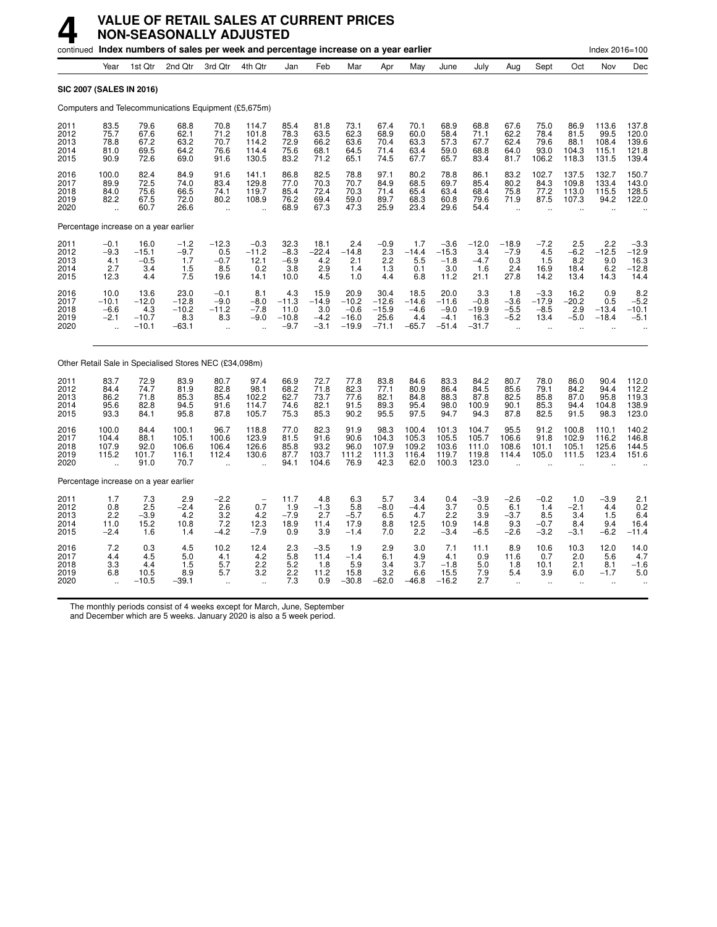|                                       |                                        |                                              | continued Index numbers of sales per week and percentage increase on a year earlier |                                                   |                                           |                                             |                                                   |                                                 |                                               |                                             |                                                |                                             |                                                    |                                                    |                                                   | Index 2016=100                           |                                              |
|---------------------------------------|----------------------------------------|----------------------------------------------|-------------------------------------------------------------------------------------|---------------------------------------------------|-------------------------------------------|---------------------------------------------|---------------------------------------------------|-------------------------------------------------|-----------------------------------------------|---------------------------------------------|------------------------------------------------|---------------------------------------------|----------------------------------------------------|----------------------------------------------------|---------------------------------------------------|------------------------------------------|----------------------------------------------|
|                                       | Year                                   | 1st Qtr                                      | 2nd Qtr                                                                             | 3rd Qtr                                           | 4th Qtr                                   | Jan                                         | Feb                                               | Mar                                             | Apr                                           | May                                         | June                                           | July                                        | Aug                                                | Sept                                               | Oct                                               | Nov                                      | Dec                                          |
| <b>SIC 2007 (SALES IN 2016)</b>       |                                        |                                              |                                                                                     |                                                   |                                           |                                             |                                                   |                                                 |                                               |                                             |                                                |                                             |                                                    |                                                    |                                                   |                                          |                                              |
|                                       |                                        |                                              | Computers and Telecommunications Equipment (£5,675m)                                |                                                   |                                           |                                             |                                                   |                                                 |                                               |                                             |                                                |                                             |                                                    |                                                    |                                                   |                                          |                                              |
| 2011<br>2012<br>2013<br>2014<br>2015  | 83.5<br>75.7<br>78.8<br>81.0<br>90.9   | 79.6<br>67.6<br>67.2<br>69.5<br>72.6         | 68.8<br>62.1<br>63.2<br>64.2<br>69.0                                                | 70.8<br>71.2<br>70.7<br>76.6<br>91.6              | 114.7<br>101.8<br>114.2<br>114.4<br>130.5 | 85.4<br>78.3<br>72.9<br>75.6<br>83.2        | 81.8<br>63.5<br>66.2<br>68.1<br>71.2              | 73.1<br>62.3<br>63.6<br>64.5<br>65.1            | 67.4<br>68.9<br>70.4<br>71.4<br>74.5          | 70.1<br>60.0<br>63.3<br>63.4<br>67.7        | 68.9<br>58.4<br>57.3<br>59.0<br>65.7           | 68.8<br>71.1<br>67.7<br>68.8<br>83.4        | 67.6<br>62.2<br>62.4<br>64.0<br>81.7               | 75.0<br>78.4<br>79.6<br>93.0<br>106.2              | 86.9<br>81.5<br>88.1<br>104.3<br>118.3            | 113.6<br>99.5<br>108.4<br>115.1<br>131.5 | 137.8<br>120.0<br>139.6<br>121.8<br>139.4    |
| 2016<br>2017<br>2018<br>2019<br>2020  | 100.0<br>89.9<br>84.0<br>82.2<br>ä,    | 82.4<br>72.5<br>75.6<br>67.5<br>60.7         | 84.9<br>74.0<br>66.5<br>72.0<br>26.6                                                | 91.6<br>83.4<br>74.1<br>80.2<br>ä,                | 141.1<br>129.8<br>119.7<br>108.9          | 86.8<br>77.0<br>85.4<br>76.2<br>68.9        | 82.5<br>70.3<br>72.4<br>69.4<br>67.3              | 78.8<br>70.7<br>70.3<br>59.0<br>47.3            | 97.1<br>84.9<br>71.4<br>89.7<br>25.9          | 80.2<br>68.5<br>65.4<br>68.3<br>23.4        | 78.8<br>69.7<br>63.4<br>60.8<br>29.6           | 86.1<br>85.4<br>68.4<br>79.6<br>54.4        | 83.2<br>80.2<br>75.8<br>71.9<br>$\bar{\mathbf{r}}$ | 102.7<br>84.3<br>77.2<br>87.5                      | 137.5<br>109.8<br>113.0<br>107.3                  | 132.7<br>133.4<br>115.5<br>94.2          | 150.7<br>143.0<br>128.5<br>122.0             |
| Percentage increase on a year earlier |                                        |                                              |                                                                                     |                                                   |                                           |                                             |                                                   |                                                 |                                               |                                             |                                                |                                             |                                                    |                                                    |                                                   |                                          |                                              |
| 2011<br>2012<br>2013<br>2014<br>2015  | $-0.1$<br>$-9.3$<br>4.1<br>2.7<br>12.3 | 16.0<br>$-15.1$<br>$-0.5$<br>3.4<br>4.4      | $-1.2$<br>$-9.7$<br>1.7<br>1.5<br>7.5                                               | $-12.3$<br>0.5<br>$-0.7$<br>8.5<br>19.6           | $-0.3$<br>$-11.2$<br>12.1<br>0.2<br>14.1  | 32.3<br>$-8.3$<br>$-6.9$<br>3.8<br>10.0     | 18.1<br>$-22.4$<br>4.2<br>2.9<br>$\overline{4.5}$ | 2.4<br>$-14.8$<br>2.1<br>1.4<br>1.0             | $-0.9$<br>2.3<br>2.2<br>1.3<br>4.4            | 1.7<br>$-14.4$<br>5.5<br>0.1<br>6.8         | $-3.6$<br>$-15.3$<br>$-1.8$<br>3.0<br>11.2     | $-12.0$<br>3.4<br>$-4.7$<br>1.6<br>21.1     | $-18.9$<br>$-7.9$<br>0.3<br>2.4<br>27.8            | $-7.2$<br>4.5<br>1.5<br>16.9<br>14.2               | $^{2.5}_{-6.2}$<br>8.2<br>18.4<br>13.4            | $2.2 - 12.5$<br>9.0<br>6.2<br>14.3       | $-3.3$<br>$-12.9$<br>16.3<br>$-12.8$<br>14.4 |
| 2016<br>2017<br>2018<br>2019<br>2020  | 10.0<br>$-10.1$<br>$-6.6$<br>$-2.1$    | 13.6<br>$-12.0$<br>4.3<br>$-10.7$<br>$-10.1$ | 23.0<br>$-12.8$<br>$-10.2$<br>8.3<br>$-63.1$                                        | $-0.1$<br>$-9.0$<br>$-11.2$<br>8.3<br>÷.          | 8.1<br>$-8.0$<br>$-7.8$<br>$-9.0$         | 4.3<br>$-11.3$<br>11.0<br>$-10.8$<br>$-9.7$ | 15.9<br>$-14.9$<br>3.0<br>$-4.2$<br>$-3.1$        | 20.9<br>$-10.2$<br>$-0.6$<br>$-16.0$<br>$-19.9$ | 30.4<br>$-12.6$<br>$-15.9$<br>25.6<br>$-71.1$ | 18.5<br>$-14.6$<br>$-4.6$<br>4.4<br>$-65.7$ | 20.0<br>$-11.6$<br>$-9.0$<br>$-4.1$<br>$-51.4$ | 3.3<br>$-0.8$<br>$-19.9$<br>16.3<br>$-31.7$ | 1.8<br>$-3.6$<br>$-5.5$<br>$-5.2$<br>ä.            | $-3.3$<br>$-17.9$<br>$-8.5$<br>13.4                | 16.2<br>$-20.2$<br>2.9<br>$-5.0$                  | 0.9<br>0.5<br>$-13.4$<br>$-18.4$         | $8.2 - 5.2$<br>$-10.1$<br>$-5.1$             |
|                                       |                                        |                                              | Other Retail Sale in Specialised Stores NEC (£34,098m)                              |                                                   |                                           |                                             |                                                   |                                                 |                                               |                                             |                                                |                                             |                                                    |                                                    |                                                   |                                          |                                              |
| 2011<br>2012<br>2013<br>2014<br>2015  | 83.7<br>84.4<br>86.2<br>95.6<br>93.3   | 72.9<br>74.7<br>71.8<br>82.8<br>84.1         | 83.9<br>81.9<br>85.3<br>94.5<br>95.8                                                | 80.7<br>82.8<br>85.4<br>91.6<br>87.8              | 97.4<br>98.1<br>102.2<br>114.7<br>105.7   | 66.9<br>68.2<br>62.7<br>74.6<br>75.3        | 72.7<br>71.8<br>73.7<br>82.1<br>85.3              | 77.8<br>82.3<br>77.6<br>91.5<br>90.2            | 83.8<br>77.1<br>82.1<br>89.3<br>95.5          | 84.6<br>80.9<br>84.8<br>95.4<br>97.5        | 83.3<br>86.4<br>88.3<br>98.0<br>94.7           | 84.2<br>84.5<br>87.8<br>100.9<br>94.3       | 80.7<br>85.6<br>82.5<br>90.1<br>87.8               | 78.0<br>79.1<br>85.8<br>85.3<br>82.5               | 86.0<br>84.2<br>87.0<br>94.4<br>91.5              | 90.4<br>94.4<br>95.8<br>104.8<br>98.3    | 112.0<br>112.2<br>119.3<br>138.9<br>123.0    |
| 2016<br>2017<br>2018<br>2019<br>2020  | 100.0<br>104.4<br>107.9<br>115.2       | 84.4<br>88.1<br>92.0<br>101.7<br>91.0        | 100.1<br>105.1<br>106.6<br>116.1<br>70.7                                            | 96.7<br>100.6<br>106.4<br>112.4                   | 118.8<br>123.9<br>126.6<br>130.6          | 77.0<br>81.5<br>85.8<br>87.7<br>94.1        | 82.3<br>91.6<br>93.2<br>103.7<br>104.6            | 91.9<br>90.6<br>96.0<br>111.2<br>76.9           | 98.3<br>104.3<br>107.9<br>111.3<br>42.3       | 100.4<br>105.3<br>109.2<br>116.4<br>62.0    | 101.3<br>105.5<br>103.6<br>119.7<br>100.3      | 104.7<br>105.7<br>111.0<br>119.8<br>123.0   | 95.5<br>106.6<br>108.6<br>114.4                    | 91.2<br>91.8<br>101.1<br>105.0                     | 100.8<br>102.9<br>105.1<br>111.5                  | 110.1<br>116.2<br>125.6<br>123.4         | 140.2<br>146.8<br>144.5<br>151.6             |
| Percentage increase on a year earlier |                                        |                                              |                                                                                     |                                                   |                                           |                                             |                                                   |                                                 |                                               |                                             |                                                |                                             |                                                    |                                                    |                                                   |                                          |                                              |
| 2011<br>2012<br>2013<br>2014<br>2015  | 1.7<br>0.8<br>2.2<br>11.0<br>$-2.4$    | 7.3<br>2.5<br>$-3.9$<br>15.2<br>1.6          | 2.9<br>$-2.4$<br>4.2<br>10.8<br>1.4                                                 | $-2.2$<br>2.6<br>3.2<br>7.2<br>$-4.2$             | 0.7<br>4.2<br>12.3<br>$-7.9$              | 11.7<br>1.9<br>$-7.9$<br>18.9<br>0.9        | 4.8<br>$-1.3$<br>2.7<br>11.4<br>3.9               | 6.3<br>5.8<br>$-5.7$<br>17.9<br>$-1.4$          | 5.7<br>$-8.0$<br>6.5<br>8.8<br>7.0            | 3.4<br>$-4.4$<br>4.7<br>12.5<br>2.2         | 0.4<br>3.7<br>2.2<br>10.9<br>$-3.4$            | $-3.9$<br>0.5<br>3.9<br>14.8<br>$-6.5$      | $-2.6$<br>6.1<br>$-3.7$<br>9.3<br>$-2.6$           | $-0.2$<br>1.4<br>8.5<br>$-0.7$<br>$-3.2$           | 1.0<br>$-2.1$<br>3.4<br>8.4<br>$-3.1$             | $-3.9$<br>4.4<br>1.5<br>9.4<br>$-6.2$    | 2.1<br>$\frac{0.2}{6.4}$<br>16.4<br>$-11.4$  |
| 2016<br>2017<br>2018<br>2019<br>2020  | 7.2<br>4.4<br>3.3<br>6.8               | 0.3<br>4.5<br>4.4<br>10.5<br>$-10.5$         | 4.5<br>5.0<br>1.5<br>8.9<br>$-39.1$                                                 | 10.2<br>4.1<br>5.7<br>5.7<br>$\ddot{\phantom{a}}$ | 12.4<br>4.2<br>2.2<br>3.2<br>$\ddotsc$    | 2.3<br>5.8<br>5.2<br>2.2<br>7.3             | $-3.5$<br>11.4<br>1.8<br>11.2<br>0.9              | 1.9<br>$-1.4$<br>5.9<br>15.8<br>$-30.8$         | 2.9<br>6.1<br>3.4<br>3.2<br>$-62.0$           | 3.0<br>4.9<br>3.7<br>6.6<br>$-46.8$         | 7.1<br>4.1<br>$-1.8$<br>15.5<br>$-16.2$        | 11.1<br>0.9<br>5.0<br>7.9<br>2.7            | 8.9<br>11.6<br>1.8<br>5.4<br>$\ddot{\phantom{a}}$  | 10.6<br>0.7<br>10.1<br>3.9<br>$\ddot{\phantom{a}}$ | 10.3<br>2.0<br>2.1<br>6.0<br>$\ddot{\phantom{a}}$ | 12.0<br>5.6<br>8.1<br>$-1.7$             | 14.0<br>4.7<br>$-1.6$<br>5.0                 |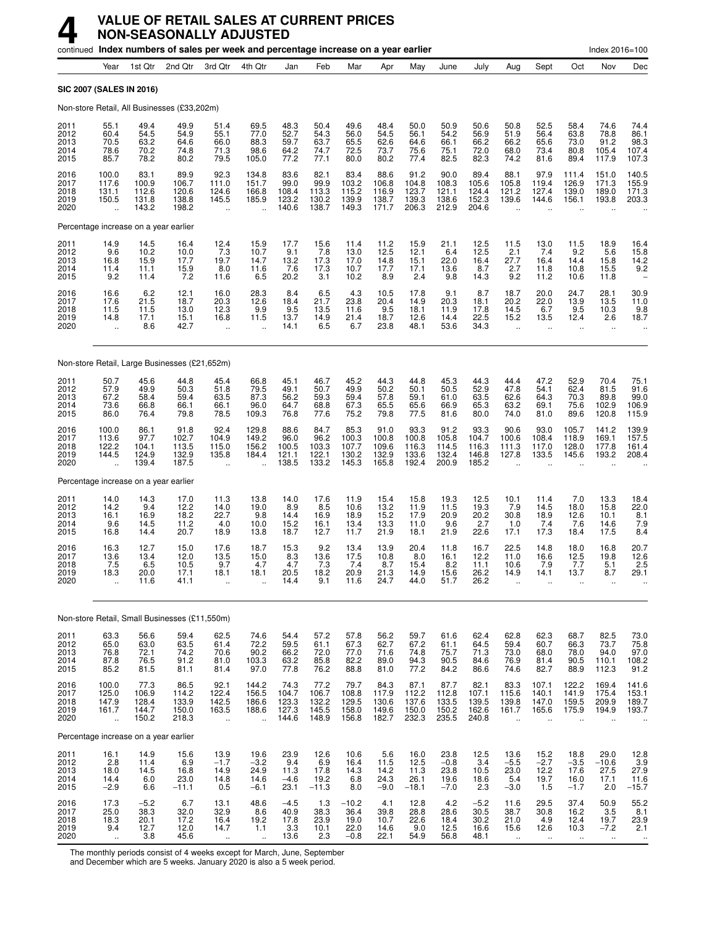|                                      |                                                          |                                          | continued Index numbers of sales per week and percentage increase on a year earlier |                                                         |                                                          |                                              |                                          |                                            |                                          |                                           |                                            |                                            |                                                      |                                                          |                                                          | Index 2016=100                                        |                                                        |
|--------------------------------------|----------------------------------------------------------|------------------------------------------|-------------------------------------------------------------------------------------|---------------------------------------------------------|----------------------------------------------------------|----------------------------------------------|------------------------------------------|--------------------------------------------|------------------------------------------|-------------------------------------------|--------------------------------------------|--------------------------------------------|------------------------------------------------------|----------------------------------------------------------|----------------------------------------------------------|-------------------------------------------------------|--------------------------------------------------------|
|                                      | Year                                                     | 1st Qtr                                  | 2nd Qtr                                                                             | 3rd Qtr                                                 | 4th Qtr                                                  | Jan                                          | Feb                                      | Mar                                        | Apr                                      | May                                       | June                                       | July                                       | Aug                                                  | Sept                                                     | Oct                                                      | Nov                                                   | Dec                                                    |
|                                      |                                                          | SIC 2007 (SALES IN 2016)                 |                                                                                     |                                                         |                                                          |                                              |                                          |                                            |                                          |                                           |                                            |                                            |                                                      |                                                          |                                                          |                                                       |                                                        |
|                                      |                                                          |                                          | Non-store Retail, All Businesses (£33,202m)                                         |                                                         |                                                          |                                              |                                          |                                            |                                          |                                           |                                            |                                            |                                                      |                                                          |                                                          |                                                       |                                                        |
| 2011<br>2012<br>2013<br>2014<br>2015 | 55.1<br>60.4<br>70.5<br>78.6<br>85.7                     | 49.4<br>54.5<br>63.2<br>70.2<br>78.2     | 49.9<br>54.9<br>64.6<br>74.8<br>80.2                                                | 51.4<br>55.1<br>66.0<br>71.3<br>79.5                    | 69.5<br>77.0<br>88.3<br>98.6<br>105.0                    | 48.3<br>52.7<br>59.7<br>64.2<br>77.2         | 50.4<br>54.3<br>63.7<br>74.7<br>77.1     | 49.6<br>56.0<br>65.5<br>72.5<br>80.0       | 48.4<br>54.5<br>62.6<br>73.7<br>80.2     | 50.0<br>56.1<br>64.6<br>75.6<br>77.4      | 50.9<br>54.2<br>66.1<br>75.1<br>82.5       | 50.6<br>56.9<br>66.2<br>72.0<br>82.3       | 50.8<br>51.9<br>66.2<br>68.0<br>74.2                 | 52.5<br>56.4<br>65.6<br>73.4<br>81.6                     | 58.4<br>63.8<br>73.0<br>80.8<br>89.4                     | 74.6<br>78.8<br>91.2<br>105.4<br>117.9                | 74.4<br>86.1<br>$\frac{98.3}{107.4}$<br>107.3          |
| 2016<br>2017<br>2018<br>2019<br>2020 | 100.0<br>117.6<br>131.1<br>150.5<br>$\ddot{\phantom{a}}$ | 83.1<br>100.9<br>112.6<br>131.8<br>143.2 | 89.9<br>106.7<br>120.6<br>138.8<br>198.2                                            | 92.3<br>111.0<br>124.6<br>145.5<br>$\ddot{\phantom{a}}$ | 134.8<br>151.7<br>166.8<br>185.9<br>$\ddot{\phantom{a}}$ | 83.6<br>99.0<br>108.4<br>123.2<br>140.6      | 82.1<br>99.9<br>113.3<br>130.2<br>138.7  | 83.4<br>103.2<br>115.2<br>139.9<br>149.3   | 88.6<br>106.8<br>116.9<br>138.7<br>171.7 | 91.2<br>104.8<br>123.7<br>139.3<br>206.3  | 90.0<br>108.3<br>121.1<br>138.6<br>212.9   | 89.4<br>105.6<br>124.4<br>152.3<br>204.6   | 88.1<br>105.8<br>121.2<br>139.6                      | 97.9<br>119.4<br>127.4<br>144.6                          | 111.4<br>126.9<br>139.0<br>156.1                         | 151.0<br>171.3<br>189.0<br>193.8                      | 140.5<br>155.9<br>171.3<br>203.3                       |
|                                      |                                                          | Percentage increase on a year earlier    |                                                                                     |                                                         |                                                          |                                              |                                          |                                            |                                          |                                           |                                            |                                            |                                                      |                                                          |                                                          |                                                       |                                                        |
| 2011<br>2012<br>2013<br>2014<br>2015 | $^{14.9}_{9.6}$<br>16.8<br>11.4<br>9.2                   | 14.5<br>10.2<br>15.9<br>11.1<br>11.4     | 16.4<br>10.0<br>17.7<br>15.9<br>7.2                                                 | $^{12.4}_{7.3}$<br>19.7<br>8.0<br>11.6                  | 15.9<br>10.7<br>14.7<br>11.6<br>6.5                      | 17.7<br>9.1<br>13.2<br>7.6<br>20.2           | 15.6<br>7.8<br>17.3<br>17.3<br>3.1       | 11.4<br>13.0<br>17.0<br>10.7<br>10.2       | $11.2$<br>12.5<br>14.8<br>17.7<br>8.9    | 15.9<br>12.1<br>15.1<br>17.1<br>2.4       | $^{21.1}_{6.4}$<br>22.0<br>13.6<br>9.8     | 12.5<br>12.5<br>16.4<br>8.7<br>14.3        | $^{11.5}_{2.1}$<br>27.7<br>2.7<br>9.2                | $^{13.0}_{7.4}$<br>16.4<br>11.8<br>11.2                  | $^{11.5}_{9.2}$<br>14.4<br>10.8<br>10.6                  | 18.9<br>5.6<br>15.8<br>15.5<br>11.8                   | 16.4<br>15.8<br>14.2<br>9.2                            |
| 2016<br>2017<br>2018<br>2019<br>2020 | 16.6<br>17.6<br>11.5<br>14.8<br>$\ddot{\phantom{a}}$     | $6.2$<br>21.5<br>11.5<br>17.1<br>8.6     | $12.1$<br>$18.7$<br>13.0<br>15.1<br>42.7                                            | 16.0<br>20.3<br>12.3<br>16.8<br>ä,                      | 28.3<br>12.6<br>9.9<br>11.5                              | 8.4<br>18.4<br>9.5<br>13.7<br>14.1           | $6.5$<br>21.7<br>13.5<br>$^{14.9}_{6.5}$ | $^{4.3}_{23.8}$<br>11.6<br>21.4<br>6.7     | $10.5$<br>20.4<br>9.5<br>18.7<br>23.8    | 17.8<br>14.9<br>18.1<br>12.6<br>48.1      | $\frac{9.1}{20.3}$<br>11.9<br>14.4<br>53.6 | 8.7<br>18.1<br>17.8<br>$22.5$<br>$34.3$    | 18.7<br>20.2<br>14.5<br>15.2<br>$\ddot{\phantom{a}}$ | 20.0<br>22.0<br>6.7<br>13.5<br>$\ddotsc$                 | 24.7<br>13.9<br>9.5<br>12.4                              | 28.1<br>13.5<br>10.3<br>2.6<br>÷.                     | 30.9<br>11.0<br>9.8<br>18.7                            |
|                                      |                                                          |                                          | Non-store Retail, Large Businesses (£21,652m)                                       |                                                         |                                                          |                                              |                                          |                                            |                                          |                                           |                                            |                                            |                                                      |                                                          |                                                          |                                                       |                                                        |
| 2011<br>2012<br>2013<br>2014<br>2015 | 50.7<br>57.9<br>67.2<br>73.6<br>86.0                     | 45.6<br>49.9<br>58.4<br>66.8<br>76.4     | 44.8<br>50.3<br>59.4<br>66.1<br>79.8                                                | 45.4<br>51.8<br>63.5<br>66.1<br>78.5                    | 66.8<br>79.5<br>87.3<br>96.0<br>109.3                    | 45.1<br>49.1<br>56.2<br>64.7<br>76.8         | 46.7<br>50.7<br>59.3<br>68.8<br>77.6     | 45.2<br>49.9<br>59.4<br>67.3<br>75.2       | 44.3<br>50.2<br>57.8<br>65.5<br>79.8     | 44.8<br>50.1<br>59.1<br>65.6<br>77.5      | 45.3<br>50.5<br>61.0<br>66.9<br>81.6       | 44.3<br>52.9<br>63.5<br>65.3<br>80.0       | $44.4$<br>$47.8$<br>62.6<br>63.2<br>74.0             | 47.2<br>54.1<br>64.3<br>69.1<br>81.0                     | 52.9<br>62.4<br>70.3<br>75.6<br>89.6                     | $70.4$<br>81.5<br>89.8<br>102.9<br>120.8              | 75.1<br>91.6<br>99.0<br>106.9<br>115.9                 |
| 2016<br>2017<br>2018<br>2019<br>2020 | 100.0<br>113.6<br>122.2<br>144.5<br>$\ddotsc$            | 86.1<br>97.7<br>104.1<br>124.9<br>139.4  | $91.8$<br>102.7<br>113.5<br>132.9<br>187.5                                          | 92.4<br>104.9<br>115.0<br>135.8                         | 129.8<br>149.2<br>156.2<br>184.4                         | 88.6<br>96.0<br>100.5<br>121.1<br>138.5      | 84.7<br>96.2<br>103.3<br>122.1<br>133.2  | $85.3$<br>100.3<br>107.7<br>130.2<br>145.3 | 91.0<br>100.8<br>109.6<br>132.9<br>165.8 | 93.3<br>100.8<br>116.3<br>133.6<br>192.4  | 91.2<br>105.8<br>114.5<br>132.4<br>200.9   | $93.3$<br>104.7<br>116.3<br>146.8<br>185.2 | 90.6<br>100.6<br>111.3<br>127.8                      | 93.0<br>108.4<br>117.0<br>133.5                          | 105.7<br>118.9<br>128.0<br>145.6                         | 141.2<br>169.1<br>177.8<br>193.2                      | 139.9<br>157.5<br>161.4<br>208.4                       |
|                                      |                                                          | Percentage increase on a year earlier    |                                                                                     |                                                         |                                                          |                                              |                                          |                                            |                                          |                                           |                                            |                                            |                                                      |                                                          |                                                          |                                                       |                                                        |
| 2011<br>2012<br>2013<br>2014<br>2015 | 14.0<br>14.2<br>16.1<br>9.6<br>16.8                      | 14.3<br>9.4<br>16.9<br>14.5<br>14.4      | 17.0<br>12.2<br>18.2<br>11.2<br>20.7                                                | 11.3<br>14.0<br>22.7<br>4.0<br>18.9                     | 13.8<br>19.0<br>9.8<br>10.0<br>13.8                      | 14.0<br>8.9<br>14.4<br>15.2<br>18.7          | 17.6<br>8.5<br>16.9<br>16.1<br>12.7      | 11.9<br>10.6<br>18.9<br>13.4<br>11.7       | 15.4<br>13.2<br>15.2<br>13.3<br>21.9     | 15.8<br>11.9<br>17.9<br>11.0<br>18.1      | 19.3<br>11.5<br>20.9<br>9.6<br>21.9        | 12.5<br>19.3<br>20.2<br>2.7<br>22.6        | 10.1<br>7.9<br>30.8<br>1.0<br>17.1                   | 11.4<br>14.5<br>18.9<br>7.4<br>17.3                      | 7.0<br>18.0<br>12.6<br>7.6<br>18.4                       | 13.3<br>15.8<br>10.1<br>14.6<br>17.5                  | 18.4<br>$^{22.0}_{8.1}$<br>7.9<br>8.4                  |
| 2016<br>2017<br>2018<br>2019<br>2020 | 16.3<br>13.6<br>7.5<br>18.3<br>.,                        | 12.7<br>13.4<br>6.5<br>20.0<br>11.6      | 15.0<br>12.0<br>10.5<br>17.1<br>41.1                                                | 17.6<br>13.5<br>9.7<br>18.1<br>                         | 18.7<br>15.0<br>4.7<br>18.1                              | 15.3<br>$\frac{8.3}{4.7}$<br>20.5<br>14.4    | 9.2<br>13.6<br>7.3<br>18.2<br>9.1        | 13.4<br>17.5<br>7.4<br>20.9<br>11.6        | 13.9<br>10.8<br>8.7<br>21.3<br>24.7      | 20.4<br>8.0<br>15.4<br>14.9<br>44.0       | 11.8<br>16.1<br>8.2<br>15.6<br>51.7        | 16.7<br>12.2<br>11.1<br>26.2<br>26.2       | 22.5<br>11.0<br>10.6<br>14.9                         | 14.8<br>16.6<br>7.9<br>14.1                              | 18.0<br>$^{12.5}_{7.7}$<br>13.7                          | 16.8<br>19.8<br>5.1<br>8.7                            | 20.7<br>$^{12.6}_{2.5}$<br>29.1                        |
|                                      |                                                          |                                          | Non-store Retail, Small Businesses (£11,550m)                                       |                                                         |                                                          |                                              |                                          |                                            |                                          |                                           |                                            |                                            |                                                      |                                                          |                                                          |                                                       |                                                        |
| 2011<br>2012<br>2013<br>2014<br>2015 | 63.3<br>65.0<br>76.8<br>87.8<br>85.2                     | 56.6<br>63.0<br>72.1<br>76.5<br>81.5     | 59.4<br>63.5<br>74.2<br>91.2<br>81.1                                                | 62.5<br>61.4<br>70.6<br>81.0<br>81.4                    | 74.6<br>72.2<br>90.2<br>103.3<br>97.0                    | 54.4<br>59.5<br>66.2<br>63.2<br>77.8         | 57.2<br>61.1<br>72.0<br>85.8<br>76.2     | 57.8<br>67.3<br>77.0<br>82.2<br>88.8       | 56.2<br>62.7<br>71.6<br>89.0<br>81.0     | 59.7<br>67.2<br>74.8<br>94.3<br>77.2      | 61.6<br>61.1<br>75.7<br>90.5<br>84.2       | 62.4<br>64.5<br>71.3<br>84.6<br>86.6       | 62.8<br>59.4<br>73.0<br>76.9<br>74.6                 | 62.3<br>60.7<br>68.0<br>81.4<br>82.7                     | 68.7<br>66.3<br>78.0<br>90.5<br>88.9                     | 82.5<br>73.7<br>94.0<br>110.1<br>112.3                | 73.0<br>75.8<br>97.0<br>108.2<br>91.2                  |
| 2016<br>2017<br>2018<br>2019<br>2020 | 100.0<br>125.0<br>147.9<br>161.7<br>÷.                   | 77.3<br>106.9<br>128.4<br>144.7<br>150.2 | 86.5<br>114.2<br>133.9<br>150.0<br>218.3                                            | 92.1<br>122.4<br>142.5<br>163.5<br>÷.                   | 144.2<br>156.5<br>186.6<br>188.6<br>÷.                   | 74.3<br>104.7<br>123.3<br>127.3<br>144.6     | 77.2<br>106.7<br>132.2<br>145.5<br>148.9 | 79.7<br>108.8<br>129.5<br>158.0<br>156.8   | 84.3<br>117.9<br>130.6<br>149.6<br>182.7 | 87.1<br>112.2<br>137.6<br>150.0<br>232.3  | 87.7<br>112.8<br>133.5<br>150.2<br>235.5   | 82.1<br>107.1<br>139.5<br>162.6<br>240.8   | 83.3<br>115.6<br>139.8<br>161.7<br>$\ddotsc$         | 107.1<br>140.1<br>147.0<br>165.6<br>$\ddot{\phantom{a}}$ | 122.2<br>141.9<br>159.5<br>175.9<br>$\ddot{\phantom{a}}$ | 169.4<br>175.4<br>209.9<br>194.9                      | 141.6<br>153.1<br>189.7<br>193.7                       |
|                                      |                                                          | Percentage increase on a year earlier    |                                                                                     |                                                         |                                                          |                                              |                                          |                                            |                                          |                                           |                                            |                                            |                                                      |                                                          |                                                          |                                                       |                                                        |
| 2011<br>2012<br>2013<br>2014<br>2015 | 16.1<br>2.8<br>18.0<br>14.4<br>$-2.9$                    | 14.9<br>11.4<br>14.5<br>6.0<br>6.6       | 15.6<br>6.9<br>16.8<br>23.0<br>$-11.1$                                              | 13.9<br>$-1.7$<br>14.9<br>14.8<br>0.5                   | 19.6<br>$-3.2$<br>24.9<br>14.6<br>$-6.1$                 | 23.9<br>9.4<br>11.3<br>$-4.6$<br>23.1        | 12.6<br>6.9<br>17.8<br>19.2<br>$-11.3$   | 10.6<br>16.4<br>14.3<br>6.8<br>8.0         | 5.6<br>11.5<br>$14.2$<br>24.3<br>$-9.0$  | 16.0<br>12.5<br>$11.3$<br>26.1<br>$-18.1$ | 23.8<br>$-0.8$<br>23.8<br>19.6<br>$-7.0$   | 12.5<br>3.4<br>10.5<br>18.6<br>2.3         | 13.6<br>$-5.5$<br>$^{23.0}_{5.4}$<br>$-3.0$          | 15.2<br>$-2.7$<br>12.2<br>19.7<br>1.5                    | 18.8<br>$-3.5$<br>17.6<br>16.0<br>$-1.7$                 | 29.0<br>$-10.6$<br>$27.5$<br>17.1<br>2.0              | $^{12.8}_{3.9}$<br>27.9<br>11.6<br>$-15.7$             |
| 2016<br>2017<br>2018<br>2019<br>2020 | 17.3<br>25.0<br>$^{18.3}_{9.4}$<br>$\ddot{\phantom{a}}$  | $-5.2$<br>38.3<br>20.1<br>12.7<br>3.8    | 6.7<br>32.0<br>17.2<br>12.0<br>45.6                                                 | 13.1<br>32.9<br>16.4<br>14.7<br>$\ddotsc$               | 48.6<br>8.6<br>19.2<br>1.1<br>$\ddotsc$                  | $-4.5$<br>40.9<br>$\frac{17.8}{3.3}$<br>13.6 | 1.3<br>38.3<br>23.9<br>10.1<br>2.3       | $-10.2$<br>36.4<br>19.0<br>22.0<br>$-0.8$  | 4.1<br>39.8<br>10.7<br>14.6<br>22.1      | 12.8<br>28.8<br>$^{22.6}_{9.0}$<br>54.9   | 4.2<br>28.6<br>18.4<br>12.5<br>56.8        | $-5.2$<br>30.5<br>30.2<br>16.6<br>48.1     | 11.6<br>38.7<br>21.0<br>15.6<br>$\ddotsc$            | 29.5<br>30.8<br>4.9<br>12.6<br>$\ddotsc$                 | 37.4<br>16.2<br>12.4<br>10.3<br>$\ddot{\phantom{1}}$     | 50.9<br>3.5<br>19.7<br>$-7.2$<br>$\ddot{\phantom{1}}$ | 55.2<br>8.1<br>$^{23.9}_{2.1}$<br>$\ddot{\phantom{1}}$ |

The monthly periods consist of 4 weeks except for March, June, September<br>and December which are 5 weeks. January 2020 is also a 5 week period.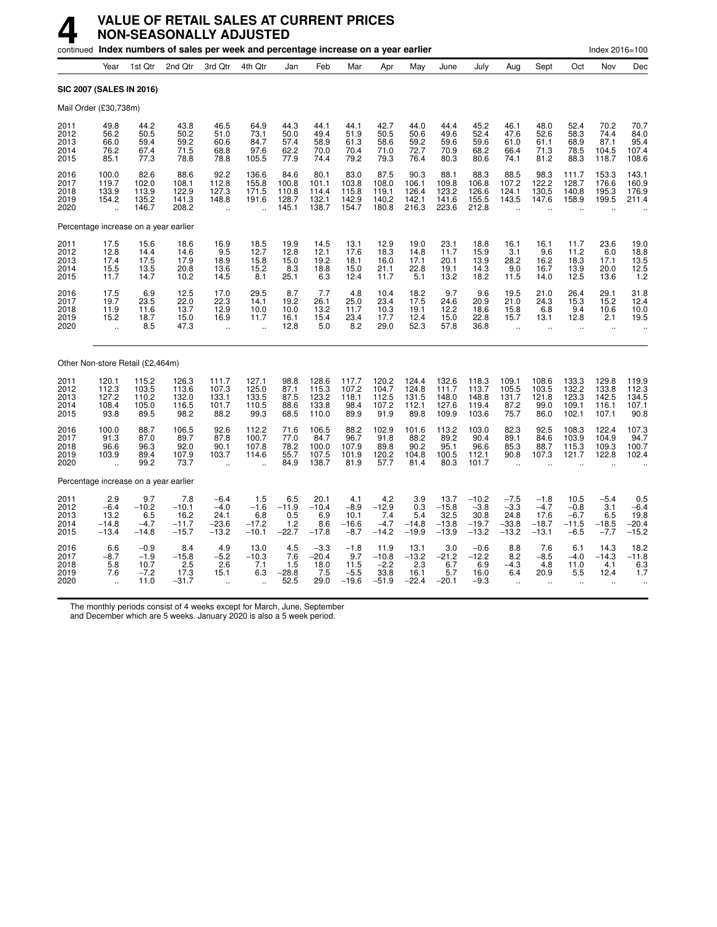|                                       |                                                      |                                            | continued Index numbers of sales per week and percentage increase on a year earlier |                                                       |                                                          |                                          |                                           |                                            |                                            |                                             |                                               |                                                 |                                                      |                                                |                                               | Index 2016=100                            |                                             |
|---------------------------------------|------------------------------------------------------|--------------------------------------------|-------------------------------------------------------------------------------------|-------------------------------------------------------|----------------------------------------------------------|------------------------------------------|-------------------------------------------|--------------------------------------------|--------------------------------------------|---------------------------------------------|-----------------------------------------------|-------------------------------------------------|------------------------------------------------------|------------------------------------------------|-----------------------------------------------|-------------------------------------------|---------------------------------------------|
|                                       | Year                                                 | 1st Qtr                                    | 2nd Qtr                                                                             | 3rd Qtr                                               | 4th Qtr                                                  | Jan                                      | Feb                                       | Mar                                        | Apr                                        | May                                         | June                                          | July                                            | Aug                                                  | Sept                                           | Oct                                           | Nov                                       | Dec                                         |
| <b>SIC 2007 (SALES IN 2016)</b>       |                                                      |                                            |                                                                                     |                                                       |                                                          |                                          |                                           |                                            |                                            |                                             |                                               |                                                 |                                                      |                                                |                                               |                                           |                                             |
| Mail Order (£30,738m)                 |                                                      |                                            |                                                                                     |                                                       |                                                          |                                          |                                           |                                            |                                            |                                             |                                               |                                                 |                                                      |                                                |                                               |                                           |                                             |
| 2011<br>2012<br>2013<br>2014<br>2015  | 49.8<br>56.2<br>66.0<br>76.2<br>85.1                 | 44.2<br>50.5<br>59.4<br>67.4<br>77.3       | 43.8<br>50.2<br>59.2<br>71.5<br>78.8                                                | 46.5<br>51.0<br>60.6<br>68.8<br>78.8                  | 64.9<br>73.1<br>84.7<br>97.6<br>105.5                    | 44.3<br>50.0<br>57.4<br>62.2<br>77.9     | 44.1<br>49.4<br>58.9<br>70.0<br>74.4      | 44.1<br>51.9<br>61.3<br>70.4<br>79.2       | 42.7<br>50.5<br>58.6<br>71.0<br>79.3       | 44.0<br>50.6<br>59.2<br>72.7<br>76.4        | 44.4<br>49.6<br>59.6<br>70.9<br>80.3          | 45.2<br>52.4<br>59.6<br>68.2<br>80.6            | 46.1<br>47.6<br>61.0<br>66.4<br>74.1                 | 48.0<br>52.6<br>61.1<br>71.3<br>81.2           | 52.4<br>58.3<br>68.9<br>78.5<br>88.3          | 70.2<br>74.4<br>87.1<br>104.5<br>118.7    | 70.7<br>84.0<br>95.4<br>107.4<br>108.6      |
| 2016<br>2017<br>2018<br>2019<br>2020  | 100.0<br>119.7<br>133.9<br>154.2<br>ü.               | 82.6<br>102.0<br>113.9<br>135.2<br>146.7   | 88.6<br>108.1<br>122.9<br>141.3<br>208.2                                            | 92.2<br>112.8<br>127.3<br>148.8<br>$\ddotsc$          | 136.6<br>155.8<br>171.5<br>191.6<br>$\ddot{\phantom{a}}$ | 84.6<br>100.8<br>110.8<br>128.7<br>145.1 | 80.1<br>101.1<br>114.4<br>132.1<br>138.7  | 83.0<br>103.8<br>115.8<br>142.9<br>154.7   | 87.5<br>108.0<br>119.1<br>140.2<br>180.8   | 90.3<br>106.1<br>126.4<br>142.1<br>216.3    | 88.1<br>109.8<br>123.2<br>141.6<br>223.6      | 88.3<br>106.8<br>126.6<br>155.5<br>212.8        | 88.5<br>107.2<br>124.1<br>143.5                      | 98.3<br>122.2<br>130.5<br>147.6                | 111.7<br>128.7<br>140.8<br>158.9              | 153.3<br>176.6<br>195.3<br>199.5          | 143.1<br>160.9<br>176.9<br>211.4            |
| Percentage increase on a year earlier |                                                      |                                            |                                                                                     |                                                       |                                                          |                                          |                                           |                                            |                                            |                                             |                                               |                                                 |                                                      |                                                |                                               |                                           |                                             |
| 2011<br>2012<br>2013<br>2014<br>2015  | 17.5<br>12.8<br>17.4<br>15.5<br>11.7                 | 15.6<br>14.4<br>17.5<br>13.5<br>14.7       | 18.6<br>14.6<br>17.9<br>20.8<br>10.2                                                | 16.9<br>9.5<br>18.9<br>13.6<br>14.5                   | 18.5<br>12.7<br>15.8<br>15.2<br>8.1                      | 19.9<br>12.8<br>15.0<br>8.3<br>25.1      | 14.5<br>12.1<br>19.2<br>18.8<br>6.3       | 13.1<br>17.6<br>18.1<br>15.0<br>12.4       | 12.9<br>18.3<br>16.0<br>21.1<br>11.7       | 19.0<br>14.8<br>17.1<br>22.8<br>5.1         | $23.1$<br>11.7<br>20.1<br>19.1<br>13.2        | 18.8<br>15.9<br>13.9<br>14.3<br>18.2            | 16.1<br>3.1<br>28.2<br>9.0<br>11.5                   | 16.1<br>9.6<br>16.2<br>16.7<br>14.0            | 11.7<br>11.2<br>18.3<br>13.9<br>12.5          | 23.6<br>6.0<br>17.1<br>20.0<br>13.6       | 19.0<br>18.8<br>13.5<br>12.5<br>12.5        |
| 2016<br>2017<br>2018<br>2019<br>2020  | 17.5<br>19.7<br>11.9<br>15.2<br>$\ddot{\phantom{a}}$ | 6.9<br>23.5<br>11.6<br>18.7<br>8.5         | 12.5<br>22.0<br>13.7<br>15.0<br>47.3                                                | 17.0<br>22.3<br>12.9<br>16.9<br>$\ddot{\phantom{a}}$  | 29.5<br>14.1<br>10.0<br>11.7<br>$\ddot{\phantom{a}}$     | 8.7<br>19.2<br>10.0<br>16.1<br>12.8      | 7.7<br>26.1<br>13.2<br>15.4<br>5.0        | 4.8<br>25.0<br>11.7<br>23.4<br>8.2         | 10.4<br>23.4<br>10.3<br>17.7<br>29.0       | 18.2<br>17.5<br>19.1<br>12.4<br>52.3        | 9.7<br>24.6<br>12.2<br>15.0<br>57.8           | 9.6<br>20.9<br>18.6<br>22.8<br>36.8             | 19.5<br>21.0<br>15.8<br>15.7<br>$\ddot{\phantom{a}}$ | 21.0<br>24.3<br>6.8<br>13.1<br>÷.              | 26.4<br>15.3<br>9.4<br>12.8<br>ä,             | 29.1<br>15.2<br>10.6<br>2.1<br>÷.         | 31.8<br>12.4<br>10.0<br>19.5                |
| Other Non-store Retail (£2,464m)      |                                                      |                                            |                                                                                     |                                                       |                                                          |                                          |                                           |                                            |                                            |                                             |                                               |                                                 |                                                      |                                                |                                               |                                           |                                             |
| 2011<br>2012<br>2013<br>2014<br>2015  | 120.1<br>112.3<br>127.2<br>108.4<br>93.8             | 115.2<br>103.5<br>110.2<br>105.0<br>89.5   | 126.3<br>113.6<br>132.0<br>116.5<br>98.2                                            | 111.7<br>107.3<br>133.1<br>101.7<br>88.2              | 127.1<br>125.0<br>133.5<br>110.5<br>99.3                 | 98.8<br>87.1<br>87.5<br>88.6<br>68.5     | 128.6<br>115.3<br>123.2<br>133.8<br>110.0 | 117.7<br>107.2<br>118.1<br>98.4<br>89.9    | 120.2<br>104.7<br>112.5<br>107.2<br>91.9   | 124.4<br>124.8<br>131.5<br>112.1<br>89.8    | 132.6<br>111.7<br>148.0<br>127.6<br>109.9     | 118.3<br>113.7<br>148.8<br>119.4<br>103.6       | 109.1<br>105.5<br>131.7<br>87.2<br>75.7              | 108.6<br>103.5<br>121.8<br>99.0<br>86.0        | 133.3<br>132.2<br>123.3<br>109.1<br>102.1     | 129.8<br>133.8<br>142.5<br>116.1<br>107.1 | 119.9<br>112.3<br>134.5<br>107.1<br>90.8    |
| 2016<br>2017<br>2018<br>2019<br>2020  | 100.0<br>91.3<br>96.6<br>103.9                       | 88.7<br>87.0<br>96.3<br>89.4<br>99.2       | 106.5<br>89.7<br>92.0<br>107.9<br>73.7                                              | 92.6<br>87.8<br>90.1<br>103.7<br>$\ddot{\phantom{a}}$ | 112.2<br>100.7<br>107.8<br>114.6                         | 71.6<br>77.0<br>78.2<br>55.7<br>84.9     | 106.5<br>84.7<br>100.0<br>107.5<br>138.7  | 88.2<br>96.7<br>107.9<br>101.9<br>81.9     | 102.9<br>91.8<br>89.8<br>120.2<br>57.7     | 101.6<br>88.2<br>90.2<br>104.8<br>81.4      | 113.2<br>89.2<br>95.1<br>100.5<br>80.3        | 103.0<br>90.4<br>96.6<br>112.1<br>101.7         | 82.3<br>89.1<br>85.3<br>90.8                         | 92.5<br>84.6<br>88.7<br>107.3                  | 108.3<br>103.9<br>115.3<br>121.7              | 122.4<br>104.9<br>109.3<br>122.8          | 107.3<br>94.7<br>100.7<br>102.4             |
| Percentage increase on a year earlier |                                                      |                                            |                                                                                     |                                                       |                                                          |                                          |                                           |                                            |                                            |                                             |                                               |                                                 |                                                      |                                                |                                               |                                           |                                             |
| 2011<br>2012<br>2013<br>2014<br>2015  | 2.9<br>$-6.4$<br>13.2<br>$-14.8$<br>$-13.4$          | 9.7<br>$-10.2$<br>6.5<br>$-4.7$<br>$-14.8$ | 7.8<br>$-10.1$<br>16.2<br>$-11.7$<br>$-15.7$                                        | $-6.4$<br>$-4.0$<br>24.1<br>$-23.6$<br>$-13.2$        | 1.5<br>$-1.6$<br>6.8<br>$-17.2$<br>$-10.1$               | 6.5<br>$-11.9$<br>0.5<br>1.2<br>$-22.7$  | 20.1<br>$-10.4$<br>6.9<br>8.6<br>$-17.8$  | 4.1<br>$-8.9$<br>10.1<br>$-16.6$<br>$-8.7$ | 4.2<br>$-12.9$<br>7.4<br>$-4.7$<br>$-14.2$ | 3.9<br>0.3<br>5.4<br>$-14.8$<br>$-19.9$     | 13.7<br>$-15.8$<br>32.5<br>$-13.8$<br>$-13.9$ | $-10.2$<br>$-3.8$<br>30.8<br>$-19.7$<br>$-13.2$ | $-7.5$<br>$-3.3$<br>24.8<br>$-33.8$<br>$-13.2$       | $-1.8$<br>$-4.7$<br>17.6<br>$-18.7$<br>$-13.1$ | 10.5<br>$-0.8$<br>$-6.7$<br>$-11.5$<br>$-6.5$ | $-5.4$<br>3.1<br>6.5<br>$-18.5$<br>$-7.7$ | 0.5<br>$-6.4$<br>19.8<br>$-20.4$<br>$-15.2$ |
| 2016<br>2017<br>2018<br>2019<br>2020  | 6.6<br>$-8.7$<br>5.8<br>7.6<br>÷.                    | $-0.9$<br>$-1.9$<br>10.7<br>$-7.2$<br>11.0 | 8.4<br>$-15.8$<br>2.5<br>17.3<br>$-31.7$                                            | 4.9<br>$-5.2$<br>2.6<br>15.1                          | 13.0<br>$-10.3$<br>7.1<br>6.3                            | 4.5<br>7.6<br>1.5<br>$-28.8$<br>52.5     | $-3.3$<br>$-20.4$<br>18.0<br>7.5<br>29.0  | $-1.8$<br>9.7<br>11.5<br>$-5.5$<br>$-19.6$ | 11.9<br>$-10.8$<br>-2.2<br>33.8<br>$-51.9$ | 13.1<br>$^{-13.2}_{2.3}$<br>16.1<br>$-22.4$ | 3.0<br>$-21.2$<br>6.7<br>5.7<br>$-20.1$       | $-0.6$<br>$-12.2$<br>6.9<br>16.0<br>$-9.3$      | 8.8<br>$8.2 - 4.3$<br>6.4                            | 7.6<br>$-8.5$<br>4.8<br>20.9                   | 6.1<br>$-4.0$<br>11.0<br>5.5                  | 14.3<br>$-14.3$<br>4.1<br>12.4            | 18.2<br>$-11.8$<br>6.3<br>1.7               |

The monthly periods consist of 4 weeks except for March, June, September

and December which are 5 weeks. January 2020 is also a 5 week period.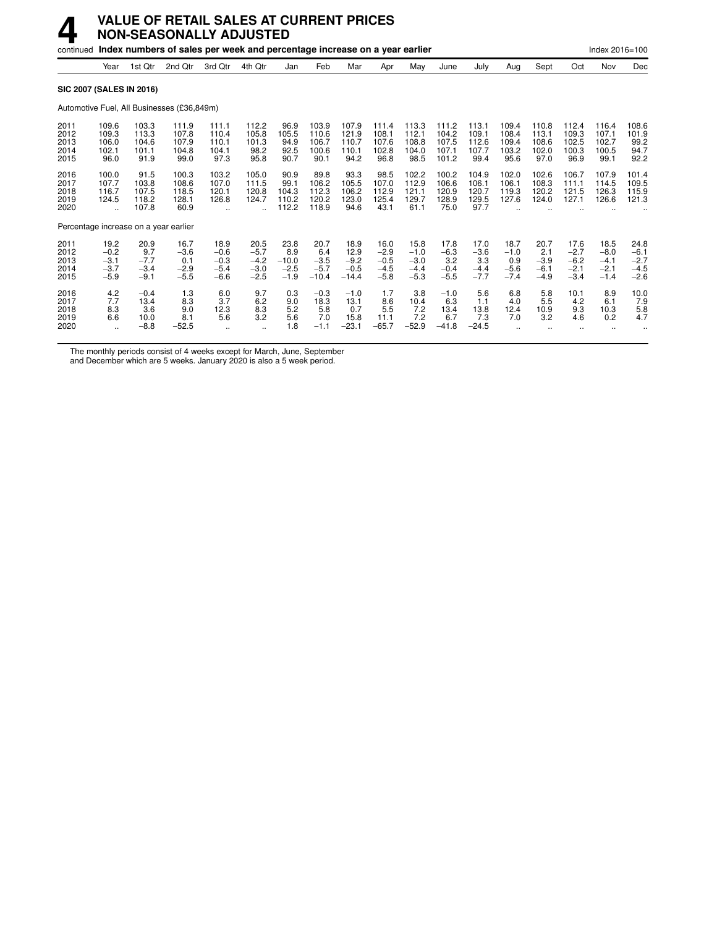|                                      | continued Index numbers of sales per week and percentage increase on a year earlier<br>Index 2016=100 |                                           |                                            |                                              |                                              |                                            |                                            |                                             |                                              |                                              |                                           |                                           |                                           |                                           |                                              |                                              |                                              |
|--------------------------------------|-------------------------------------------------------------------------------------------------------|-------------------------------------------|--------------------------------------------|----------------------------------------------|----------------------------------------------|--------------------------------------------|--------------------------------------------|---------------------------------------------|----------------------------------------------|----------------------------------------------|-------------------------------------------|-------------------------------------------|-------------------------------------------|-------------------------------------------|----------------------------------------------|----------------------------------------------|----------------------------------------------|
|                                      | Year                                                                                                  | 1st Qtr                                   | 2nd Qtr                                    | 3rd Otr                                      | 4th Qtr                                      | Jan                                        | Feb                                        | Mar                                         | Apr                                          | May                                          | June                                      | July                                      | Aug                                       | Sept                                      | Oct                                          | Nov                                          | Dec                                          |
|                                      |                                                                                                       | <b>SIC 2007 (SALES IN 2016)</b>           |                                            |                                              |                                              |                                            |                                            |                                             |                                              |                                              |                                           |                                           |                                           |                                           |                                              |                                              |                                              |
|                                      |                                                                                                       |                                           | Automotive Fuel, All Businesses (£36,849m) |                                              |                                              |                                            |                                            |                                             |                                              |                                              |                                           |                                           |                                           |                                           |                                              |                                              |                                              |
| 2011<br>2012<br>2013<br>2014<br>2015 | 109.6<br>109.3<br>106.0<br>102.1<br>96.0                                                              | 103.3<br>113.3<br>104.6<br>101.1<br>91.9  | 111.9<br>107.8<br>107.9<br>104.8<br>99.0   | 111.1<br>110.4<br>110.1<br>104.1<br>97.3     | 112.2<br>105.8<br>101.3<br>98.2<br>95.8      | 96.9<br>105.5<br>94.9<br>92.5<br>90.7      | 103.9<br>110.6<br>106.7<br>100.6<br>90.1   | 107.9<br>121.9<br>110.7<br>110.1<br>94.2    | 111.4<br>108.1<br>107.6<br>102.8<br>96.8     | 113.3<br>112.1<br>108.8<br>104.0<br>98.5     | 111.2<br>104.2<br>107.5<br>107.1<br>101.2 | 113.1<br>109.1<br>112.6<br>107.7<br>99.4  | 109.4<br>108.4<br>109.4<br>103.2<br>95.6  | 110.8<br>113.1<br>108.6<br>102.0<br>97.0  | 112.4<br>109.3<br>102.5<br>100.3<br>96.9     | 116.4<br>107.1<br>102.7<br>100.5<br>99.1     | 108.6<br>101.9<br>99.2<br>94.7<br>92.2       |
| 2016<br>2017<br>2018<br>2019<br>2020 | 100.0<br>107.7<br>116.7<br>124.5                                                                      | 91.5<br>103.8<br>107.5<br>118.2<br>107.8  | 100.3<br>108.6<br>118.5<br>128.1<br>60.9   | 103.2<br>107.0<br>120.1<br>126.8             | 105.0<br>111.5<br>120.8<br>124.7             | 90.9<br>99.1<br>104.3<br>110.2<br>112.2    | 89.8<br>106.2<br>112.3<br>120.2<br>118.9   | 93.3<br>105.5<br>106.2<br>123.0<br>94.6     | 98.5<br>107.0<br>112.9<br>125.4<br>43.1      | 102.2<br>112.9<br>121.1<br>129.7<br>61.1     | 100.2<br>106.6<br>120.9<br>128.9<br>75.0  | 104.9<br>106.1<br>120.7<br>129.5<br>97.7  | 102.0<br>106.1<br>119.3<br>127.6          | 102.6<br>108.3<br>120.2<br>124.0          | 106.7<br>111.1<br>121.5<br>127.1             | 107.9<br>114.5<br>126.3<br>126.6             | 101.4<br>109.5<br>115.9<br>121.3             |
|                                      |                                                                                                       | Percentage increase on a year earlier     |                                            |                                              |                                              |                                            |                                            |                                             |                                              |                                              |                                           |                                           |                                           |                                           |                                              |                                              |                                              |
| 2011<br>2012<br>2013<br>2014<br>2015 | 19.2<br>$-0.2$<br>$-3.1$<br>$-3.7$<br>$-5.9$                                                          | 20.9<br>9.7<br>$-7.7$<br>$-3.4$<br>$-9.1$ | 16.7<br>$-3.6$<br>0.1<br>$-2.9$<br>$-5.5$  | 18.9<br>$-0.6$<br>$-0.3$<br>$-5.4$<br>$-6.6$ | 20.5<br>$-5.7$<br>$-4.2$<br>$-3.0$<br>$-2.5$ | 23.8<br>8.9<br>$-10.0$<br>$-2.5$<br>$-1.9$ | 20.7<br>6.4<br>$-3.5$<br>$-5.7$<br>$-10.4$ | 18.9<br>12.9<br>$-9.2$<br>$-0.5$<br>$-14.4$ | 16.0<br>$-2.9$<br>$-0.5$<br>$-4.5$<br>$-5.8$ | 15.8<br>$-1.0$<br>$-3.0$<br>$-4.4$<br>$-5.3$ | 17.8<br>$-6.3$<br>3.2<br>$-0.4$<br>$-5.5$ | 17.0<br>$-3.6$<br>3.3<br>$-4.4$<br>$-7.7$ | 18.7<br>$-1.0$<br>0.9<br>$-5.6$<br>$-7.4$ | 20.7<br>2.1<br>$-3.9$<br>$-6.1$<br>$-4.9$ | 17.6<br>$-2.7$<br>$-6.2$<br>$-2.1$<br>$-3.4$ | 18.5<br>$-8.0$<br>$-4.1$<br>$-2.1$<br>$-1.4$ | 24.8<br>$-6.1$<br>$-2.7$<br>$-4.5$<br>$-2.6$ |
| 2016<br>2017<br>2018<br>2019<br>2020 | 4.2<br>7.7<br>8.3<br>6.6<br>$\ddotsc$                                                                 | $-0.4$<br>13.4<br>3.6<br>10.0<br>$-8.8$   | 1.3<br>8.3<br>9.0<br>8.1<br>$-52.5$        | 6.0<br>3.7<br>12.3<br>5.6                    | 9.7<br>6.2<br>8.3<br>3.2<br>$\ddotsc$        | 0.3<br>9.0<br>5.2<br>5.6<br>1.8            | $-0.3$<br>18.3<br>5.8<br>7.0<br>$-1.1$     | $-1.0$<br>13.1<br>0.7<br>15.8<br>$-23.1$    | 1.7<br>8.6<br>5.5<br>11.1<br>$-65.7$         | 3.8<br>10.4<br>7.2<br>7.2<br>$-52.9$         | $-1.0$<br>6.3<br>13.4<br>6.7<br>$-41.8$   | 5.6<br>1.1<br>13.8<br>7.3<br>$-24.5$      | 6.8<br>4.0<br>12.4<br>7.0                 | 5.8<br>5.5<br>10.9<br>3.2                 | 10.1<br>4.2<br>9.3<br>4.6                    | 8.9<br>6.1<br>10.3<br>0.2                    | 10.0<br>7.9<br>5.8<br>4.7                    |

The monthly periods consist of 4 weeks except for March, June, September

and December which are 5 weeks. January 2020 is also a 5 week period.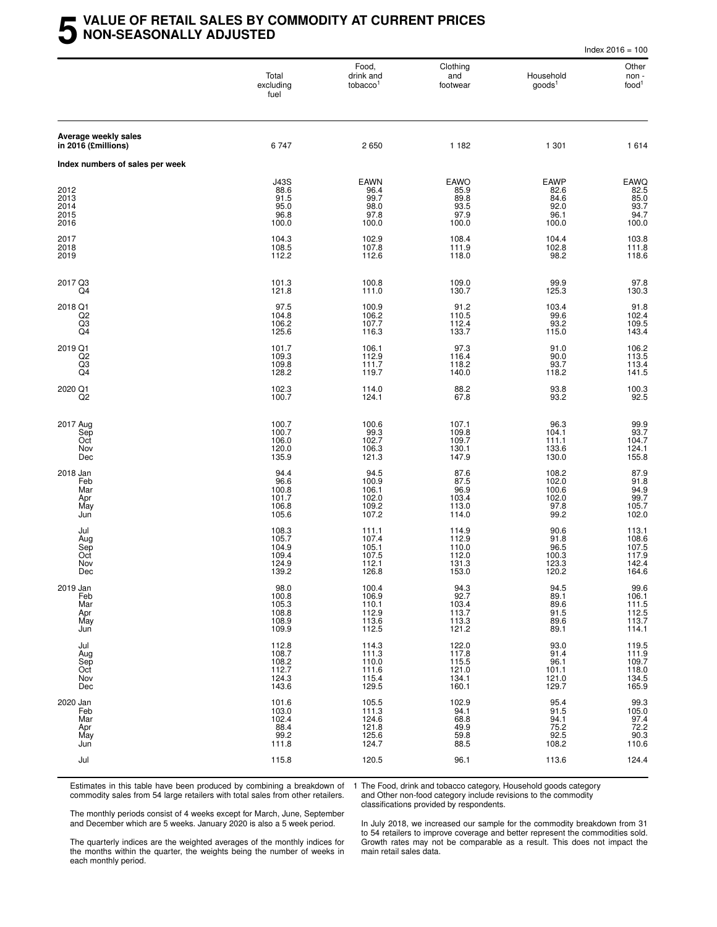#### **5 VALUE OF RETAIL SALES BY COMMODITY AT CURRENT PRICES NON-SEASONALLY ADJUSTED**

|                                             |                                                      |                                                      |                                                    |                                                      | Index $2016 = 100$                                        |
|---------------------------------------------|------------------------------------------------------|------------------------------------------------------|----------------------------------------------------|------------------------------------------------------|-----------------------------------------------------------|
|                                             | Total<br>excluding<br>fuel                           | Food,<br>drink and<br>tobacco <sup>1</sup>           | Clothing<br>and<br>footwear                        | Household<br>$q$ oods $1$                            | Other<br>non -<br>food <sup>1</sup>                       |
| Average weekly sales<br>in 2016 (£millions) | 6747                                                 | 2650                                                 | 1 1 8 2                                            | 1 301                                                | 1614                                                      |
| Index numbers of sales per week             |                                                      |                                                      |                                                    |                                                      |                                                           |
| 2012<br>2013<br>2014<br>2015<br>2016        | <b>J43S</b><br>88.6<br>91.5<br>95.0<br>96.8<br>100.0 | <b>EAWN</b><br>96.4<br>99.7<br>98.0<br>97.8<br>100.0 | EAWO<br>85.9<br>89.8<br>93.5<br>97.9<br>100.0      | <b>EAWP</b><br>82.6<br>84.6<br>92.0<br>96.1<br>100.0 | EAWQ<br>82.5<br>85.0<br>93.7<br>94.7<br>100.0             |
| 2017<br>2018<br>2019                        | 104.3<br>108.5<br>112.2                              | 102.9<br>107.8<br>112.6                              | 108.4<br>111.9<br>118.0                            | 104.4<br>102.8<br>98.2                               | 103.8<br>111.8<br>118.6                                   |
| 2017 Q3<br>Q4                               | 101.3<br>121.8                                       | 100.8<br>111.0                                       | 109.0<br>130.7                                     | 99.9<br>125.3                                        | $97.8$<br>130.3                                           |
| 2018 Q1<br>Q <sub>2</sub><br>Q3<br>Q4       | 97.5<br>104.8<br>106.2<br>125.6                      | 100.9<br>106.2<br>107.7<br>116.3                     | $91.2$<br>110.5<br>112.4<br>133.7                  | 103.4<br>99.6<br>93.2<br>115.0                       | $91.8$<br>102.4<br>109.5<br>143.4                         |
| 2019 Q1<br>$^{Q2}_{Q3}$<br>Q4               | 101.7<br>109.3<br>109.8<br>128.2                     | 106.1<br>112.9<br>111.7<br>119.7                     | 97.3<br>116.4<br>118.2<br>140.0                    | 91.0<br>90.0<br>93.7<br>118.2                        | 106.2<br>113.5<br>113.4<br>141.5                          |
| 2020 Q1<br>Q <sub>2</sub>                   | 102.3<br>100.7                                       | 114.0<br>124.1                                       | 88.2<br>67.8                                       | 93.8<br>93.2                                         | 100.3<br>92.5                                             |
| 2017 Aug<br>Sep<br>Oct<br>Nov<br>Dec        | 100.7<br>100.7<br>106.0<br>120.0<br>135.9            | 100.6<br>99.3<br>102.7<br>106.3<br>121.3             | 107.1<br>109.8<br>109.7<br>130.1<br>147.9          | 96.3<br>104.1<br>111.1<br>133.6<br>130.0             | 99.9<br>93.7<br>104.7<br>124.1<br>155.8                   |
| 2018 Jan<br>Feb<br>Mar<br>Apr<br>May<br>Jun | 94.4<br>96.6<br>100.8<br>101.7<br>106.8<br>105.6     | 94.5<br>100.9<br>106.1<br>102.0<br>109.2<br>107.2    | 87.6<br>87.5<br>96.9<br>103.4<br>113.0<br>114.0    | 108.2<br>102.0<br>100.6<br>102.0<br>97.8<br>99.2     | 87.9<br>91.8<br>94.9<br>99.7<br>105.7<br>102.0            |
| Jul<br>Aug<br>Sep<br>Oct<br>Nov<br>Dec      | 108.3<br>105.7<br>104.9<br>109.4<br>124.9<br>139.2   | 111.1<br>107.4<br>105.1<br>107.5<br>112.1<br>126.8   | 114.9<br>112.9<br>110.0<br>112.0<br>131.3<br>153.0 | 90.6<br>91.8<br>96.5<br>100.3<br>123.3<br>120.2      | 113.1<br>108.6<br>107.5<br>117.9<br>142.4<br>164.6        |
| 2019 Jan<br>Feb<br>Mar<br>Apr<br>May<br>Jun | 98.0<br>100.8<br>105.3<br>108.8<br>108.9<br>109.9    | 100.4<br>106.9<br>110.1<br>112.9<br>113.6<br>112.5   | 94.3<br>92.7<br>103.4<br>113.7<br>113.3<br>121.2   | 94.5<br>89.1<br>89.6<br>91.5<br>89.6<br>89.1         | $99.6$<br>106.1<br>$111.5$<br>$112.5$<br>$113.7$<br>114.1 |
| Jul<br>Aug<br>Sep<br>Oct<br>Nov<br>Dec      | 112.8<br>108.7<br>108.2<br>112.7<br>124.3<br>143.6   | 114.3<br>111.3<br>110.0<br>111.6<br>115.4<br>129.5   | 122.0<br>117.8<br>115.5<br>121.0<br>134.1<br>160.1 | 93.0<br>91.4<br>96.1<br>101.1<br>121.0<br>129.7      | 119.5<br>111.9<br>109.7<br>118.0<br>134.5<br>165.9        |
| 2020 Jan<br>Feb<br>Mar<br>Apr<br>May<br>Jun | 101.6<br>103.0<br>102.4<br>88.4<br>99.2<br>111.8     | 105.5<br>111.3<br>124.6<br>121.8<br>125.6<br>124.7   | 102.9<br>94.1<br>68.8<br>49.9<br>59.8<br>88.5      | 95.4<br>91.5<br>94.1<br>75.2<br>$92.5$<br>108.2      | 99.3<br>105.0<br>97.4<br>72.2<br>$90.3$<br>110.6          |
| Jul                                         | 115.8                                                | 120.5                                                | 96.1                                               | 113.6                                                | 124.4                                                     |

Estimates in this table have been produced by combining a breakdown of commodity sales from 54 large retailers with total sales from other retailers.

1 The Food, drink and tobacco category, Household goods category and Other non-food category include revisions to the commodity classifications provided by respondents.

The monthly periods consist of 4 weeks except for March, June, September and December which are 5 weeks. January 2020 is also a 5 week period.

The quarterly indices are the weighted averages of the monthly indices for the months within the quarter, the weights being the number of weeks in each monthly period.

In July 2018, we increased our sample for the commodity breakdown from 31 to 54 retailers to improve coverage and better represent the commodities sold. Growth rates may not be comparable as a result. This does not impact the main retail sales data.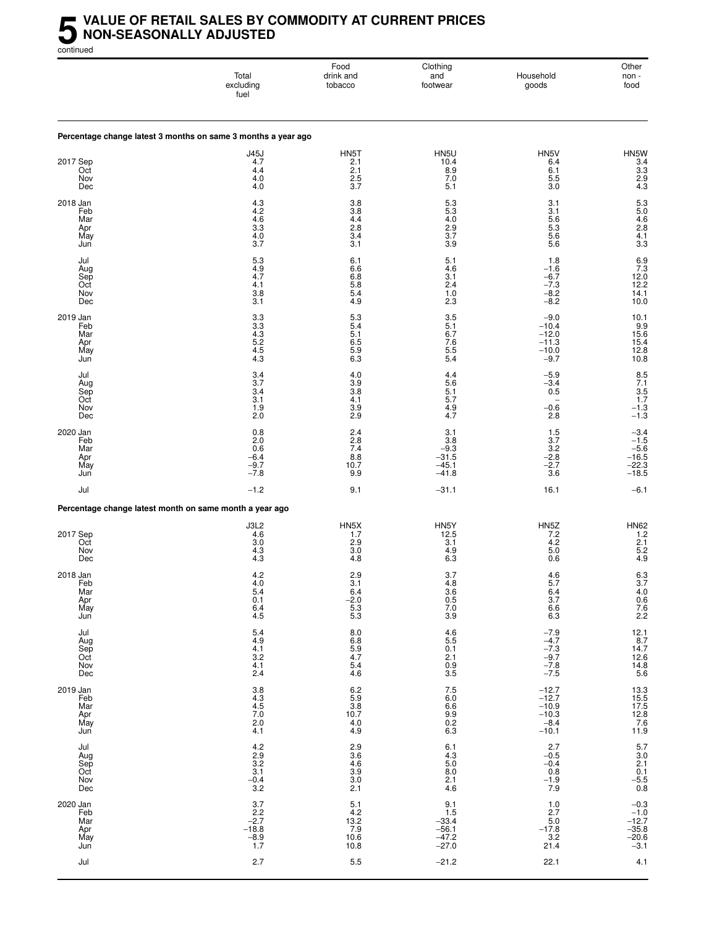#### **5** VALUE OF RETAIL SALES BY COMMODITY AT CURRENT PRICES<br>MON-SEASONALLY ADJUSTED<br>continued **NON-SEASONALLY ADJUSTED**

continued

|                                             | Total<br>excluding<br>fuel                                      | Food<br>drink and<br>tobacco                                             | Clothing<br>and<br>footwear                                                 | Household<br>goods                                                    | Other<br>non -<br>food                                                    |
|---------------------------------------------|-----------------------------------------------------------------|--------------------------------------------------------------------------|-----------------------------------------------------------------------------|-----------------------------------------------------------------------|---------------------------------------------------------------------------|
|                                             | Percentage change latest 3 months on same 3 months a year ago   |                                                                          |                                                                             |                                                                       |                                                                           |
| 2017 Sep<br>Oct<br>Nov<br>Dec               | <b>J45J</b><br>4.7<br>4.4<br>4.0<br>4.0                         | HN5T<br>2.1<br>2.1<br>2.5<br>3.7                                         | HN5U<br>10.4<br>8.9<br>7.0<br>5.1                                           | HN5V<br>6.4<br>6.1<br>5.5<br>3.0                                      | HN5W<br>$3.4$<br>$3.3$<br>$2.9$<br>$4.3$                                  |
| 2018 Jan<br>Feb<br>Mar<br>Apr<br>May<br>Jun | 4.3<br>4.2<br>4.6<br>$3.\overline{3}$<br>4.0<br>3.7             | 3.8<br>3.8<br>4.4<br>2.8<br>3.4<br>3.1                                   | 5.3<br>5.3<br>4.0<br>2.9<br>3.7<br>3.9                                      | 3.1<br>3.1<br>5.6<br>5.3<br>5.6<br>5.6                                | 5.3<br>5.0<br>4.6<br>2.8<br>4.1<br>3.3                                    |
| Jul<br>Aug<br>Sep<br>Oct<br>Nov<br>Dec      | 5.3<br>$\frac{4.9}{4.7}$<br>4.1<br>3.8<br>3.1                   | 6.1<br>6.6<br>6.8<br>5.8<br>5.4<br>4.9                                   | 5.1<br>4.6<br>3.1<br>2.4<br>1.0<br>2.3                                      | 1.8<br>$-1.6$<br>$-6.7$<br>$-7.3$<br>$-8.2$<br>$-8.\overline{2}$      | $\begin{array}{c} 6.9 \\ 7.3 \\ 12.0 \end{array}$<br>12.2<br>14.1<br>10.0 |
| 2019 Jan<br>Feb<br>Mar<br>Apr<br>May<br>Jun | $3.3$<br>$3.3$<br>$4.3$<br>$5.2$<br>$4.5$<br>4.3                | $\frac{5.3}{5.4}$<br>5.1<br>6.5<br>5.9<br>6.3                            | 3.5<br>5.1<br>6.7<br>7.6<br>$5.\overline{5}$<br>5.4                         | $-9.0$<br>$-10.4$<br>$-12.0$<br>$-11.3$<br>$-10.0$<br>$-9.7$          | $^{10.1}_{9.9}$<br>15.6<br>15.4<br>12.8<br>10.8                           |
| Jul<br>Aug<br>Sep<br>Oct<br>Nov<br>Dec      | 3.4<br>3.7<br>3.4<br>3.1<br>1.9<br>2.0                          | 4.0<br>3.9<br>3.8<br>4.1<br>3.9<br>2.9                                   | 4.4<br>5.6<br>5.1<br>5.7<br>$\frac{4.9}{4.7}$                               | $-5.9$<br>$-3.4$<br>0.5<br>$-0.6$<br>2.8                              | $8.5$<br>7.1<br>$\frac{3.5}{1.7}$<br>$-1.3$<br>$-1.3$                     |
| 2020 Jan<br>Feb<br>Mar<br>Apr<br>May<br>Jun | 0.8<br>2.0<br>0.6<br>$-6.4$<br>$-9.7$<br>$-7.8$                 | 2.4<br>2.8<br>7.4<br>8.8<br>10.7<br>9.9                                  | 3.1<br>3.8<br>$-9.3$<br>$-31.5$<br>$-45.1$<br>$-41.8$                       | 1.5<br>3.7<br>3.2<br>$-2.8$<br>$-2.7$<br>3.6                          | $-3.4$<br>$-1.5$<br>$-5.6$<br>$-16.5$<br>$-22.3$<br>$-18.5$               |
| Jul                                         | $-1.2$                                                          | 9.1                                                                      | $-31.1$                                                                     | 16.1                                                                  | $-6.1$                                                                    |
|                                             | Percentage change latest month on same month a year ago<br>J3L2 | HN5X                                                                     | HN5Y                                                                        | HN <sub>5</sub> Z                                                     |                                                                           |
| 2017 Sep<br>Oct<br>Nov<br>Dec               | 4.6<br>3.0<br>4.3<br>4.3                                        | 1.7<br>2.9<br>3.0<br>4.8                                                 | 12.5<br>3.1<br>4.9<br>6.3                                                   | 7.2<br>4.2<br>5.0<br>0.6                                              | HN62<br>1.2<br>2.1<br>5.2<br>4.9                                          |
| 2018 Jan<br>Feb<br>Mar<br>Apr<br>May<br>Jun | 4.2<br>$\frac{4.0}{5.4}$<br>0.1<br>$6.4$<br>$4.5$               | 2.9<br>$\begin{array}{c} 3.1 \\ 6.4 \end{array}$<br>$-2.0$<br>5.3<br>5.3 | 3.7<br>$4.8$<br>$3.6$<br>$7.0$<br>$3.9$                                     | 4.6<br>$\begin{array}{c} 5.7 \\ 6.4 \\ 3.7 \end{array}$<br>6.6<br>6.3 | 6.3<br>3.7<br>4.0<br>0.6<br>7.6<br>2.2                                    |
| Jul<br>Aug<br>Sep<br>Oct<br>Nov<br>Dec      | $5.4$<br>$4.9$<br>$4.1$<br>3.2<br>4.1<br>2.4                    | 8.0<br>6.8<br>5.4<br>5.4<br>5.4<br>4.6                                   | $\begin{array}{c} 4.6 \\ 5.5 \\ 0.1 \end{array}$<br>$2.1$<br>$0.9$<br>$3.5$ | $-7.9$<br>$-4.7$<br>$-7.3$<br>$-9.7$<br>$-7.8$<br>$-7.5$              | 12.1<br>8.7<br>14.7<br>12.6<br>14.8<br>5.6                                |
| 2019 Jan<br>Feb<br>Mar<br>Apr<br>May<br>Jun | $3.8$<br>$4.3$<br>$4.5$<br>$7.0$<br>2.0<br>4.1                  | $6.2$<br>$5.9$<br>$3.8$<br>10.7<br>4.0<br>4.9                            | $7.5$<br>$6.0$<br>$6.6$<br>9.9<br>0.2<br>6.3                                | $-12.7$<br>$-12.7$<br>$-10.9$<br>$-10.3$<br>$-8.4$<br>$-10.1$         | 13.3<br>15.5<br>17.5<br>12.8<br>7.6<br>11.9                               |
| Jul<br>Aug<br>Sep<br>Oct<br>Nov<br>Dec      | $4.2$<br>$2.9$<br>$3.2$<br>$3.1$<br>$-0.4$<br>$\overline{3.2}$  | 2.9<br>3.6<br>$\frac{4.6}{3.9}$<br>3.0<br>2.1                            | 6.1<br>$\frac{4.3}{5.0}$<br>8.0<br>2.1<br>4.6                               | 2.7<br>$-0.5$<br>$-0.4$<br>0.8<br>$-1.9$<br>7.9                       | $5.7$<br>3.0<br>2.1<br>0.1<br>-5.5<br>0.8                                 |
| 2020 Jan<br>Feb<br>Mar<br>Apr<br>May<br>Jun | 3.7<br>$2.2 - 2.7$<br>$-18.8$<br>$-8.9$<br>1.7                  | 5.1<br>$4.2$<br>13.2<br>$7.9$<br>10.6<br>10.8                            | 9.1<br>$-33.4$<br>$-56.1$<br>$-47.2$<br>$-27.0$                             | 1.0<br>2.7<br>$5.0\,$<br>$-17.8$<br>$\frac{3.2}{21.4}$                | $-0.3$<br>$-1.0$<br>$-12.7$<br>$-35.8$<br>$-20.6$<br>$-3.1$               |
| Jul                                         | 2.7                                                             | $5.5\,$                                                                  | $-21.2$                                                                     | 22.1                                                                  | 4.1                                                                       |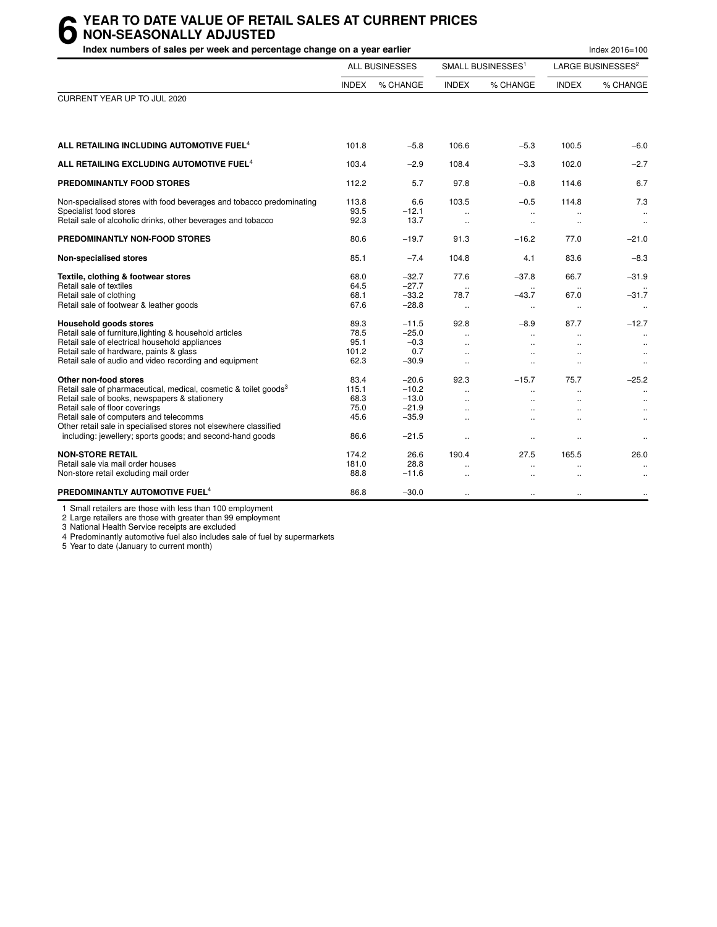## **6** YEAR TO DATE VALUE OF RETAIL SALES AT CURRENT PRICES<br> **6** NON-SEASONALLY ADJUSTED<br>
Index numbers of sales per week and percentage change on a vear earlier **NON-SEASONALLY ADJUSTED**

| Index numbers of sales per week and percentage change on a year earlier                                                                                                                                                                                                                                                                                             |                                               |                                                                |                                                                                                      |                                                                        |                                                                                | Index 2016=100                                                        |
|---------------------------------------------------------------------------------------------------------------------------------------------------------------------------------------------------------------------------------------------------------------------------------------------------------------------------------------------------------------------|-----------------------------------------------|----------------------------------------------------------------|------------------------------------------------------------------------------------------------------|------------------------------------------------------------------------|--------------------------------------------------------------------------------|-----------------------------------------------------------------------|
|                                                                                                                                                                                                                                                                                                                                                                     |                                               | <b>ALL BUSINESSES</b>                                          |                                                                                                      | SMALL BUSINESSES <sup>1</sup>                                          |                                                                                | LARGE BUSINESSES <sup>2</sup>                                         |
|                                                                                                                                                                                                                                                                                                                                                                     | <b>INDEX</b>                                  | % CHANGE                                                       | <b>INDEX</b>                                                                                         | % CHANGE                                                               | <b>INDEX</b>                                                                   | % CHANGE                                                              |
| CURRENT YEAR UP TO JUL 2020                                                                                                                                                                                                                                                                                                                                         |                                               |                                                                |                                                                                                      |                                                                        |                                                                                |                                                                       |
| ALL RETAILING INCLUDING AUTOMOTIVE FUEL <sup>4</sup>                                                                                                                                                                                                                                                                                                                | 101.8                                         | $-5.8$                                                         | 106.6                                                                                                | $-5.3$                                                                 | 100.5                                                                          | $-6.0$                                                                |
| ALL RETAILING EXCLUDING AUTOMOTIVE FUEL <sup>4</sup>                                                                                                                                                                                                                                                                                                                | 103.4                                         | $-2.9$                                                         | 108.4                                                                                                | $-3.3$                                                                 | 102.0                                                                          | $-2.7$                                                                |
| PREDOMINANTLY FOOD STORES                                                                                                                                                                                                                                                                                                                                           | 112.2                                         | 5.7                                                            | 97.8                                                                                                 | $-0.8$                                                                 | 114.6                                                                          | 6.7                                                                   |
| Non-specialised stores with food beverages and tobacco predominating<br>Specialist food stores<br>Retail sale of alcoholic drinks, other beverages and tobacco                                                                                                                                                                                                      | 113.8<br>93.5<br>92.3                         | 6.6<br>$-12.1$<br>13.7                                         | 103.5<br>$\ddotsc$                                                                                   | $-0.5$<br>$\mathbf{r}$ .<br>$\ddot{\phantom{a}}$                       | 114.8<br>$\ddotsc$                                                             | 7.3<br>$\ddotsc$<br>$\ldots$                                          |
| PREDOMINANTLY NON-FOOD STORES                                                                                                                                                                                                                                                                                                                                       | 80.6                                          | $-19.7$                                                        | 91.3                                                                                                 | $-16.2$                                                                | 77.0                                                                           | $-21.0$                                                               |
| <b>Non-specialised stores</b>                                                                                                                                                                                                                                                                                                                                       | 85.1                                          | $-7.4$                                                         | 104.8                                                                                                | 4.1                                                                    | 83.6                                                                           | $-8.3$                                                                |
| Textile, clothing & footwear stores<br>Retail sale of textiles<br>Retail sale of clothing<br>Retail sale of footwear & leather goods                                                                                                                                                                                                                                | 68.0<br>64.5<br>68.1<br>67.6                  | $-32.7$<br>$-27.7$<br>$-33.2$<br>$-28.8$                       | 77.6<br>$\ddotsc$<br>78.7<br>$\ddotsc$                                                               | $-37.8$<br>$-43.7$<br>$\ddotsc$                                        | 66.7<br>67.0<br>$\ldots$                                                       | $-31.9$<br>$-31.7$<br>$\ddotsc$                                       |
| Household goods stores<br>Retail sale of furniture, lighting & household articles<br>Retail sale of electrical household appliances<br>Retail sale of hardware, paints & glass<br>Retail sale of audio and video recording and equipment                                                                                                                            | 89.3<br>78.5<br>95.1<br>101.2<br>62.3         | $-11.5$<br>$-25.0$<br>$-0.3$<br>0.7<br>$-30.9$                 | 92.8<br>$\ddot{\phantom{a}}$<br>$\ddot{\phantom{a}}$<br>$\ddot{\phantom{a}}$<br>$\ddot{\phantom{a}}$ | $-8.9$<br>$\ddot{\phantom{a}}$                                         | 87.7<br>$\mathbf{a}$                                                           | $-12.7$<br>$\ddotsc$<br>$\ddotsc$<br>$\ldots$<br>$\ldots$             |
| Other non-food stores<br>Retail sale of pharmaceutical, medical, cosmetic & toilet goods <sup>3</sup><br>Retail sale of books, newspapers & stationery<br>Retail sale of floor coverings<br>Retail sale of computers and telecomms<br>Other retail sale in specialised stores not elsewhere classified<br>including: jewellery; sports goods; and second-hand goods | 83.4<br>115.1<br>68.3<br>75.0<br>45.6<br>86.6 | $-20.6$<br>$-10.2$<br>$-13.0$<br>$-21.9$<br>$-35.9$<br>$-21.5$ | 92.3<br>$\ddotsc$<br>$\ddot{\phantom{a}}$<br>$\ddot{\phantom{1}}$<br>$\ldots$                        | $-15.7$<br>$\ddotsc$<br>$\ddot{\phantom{1}}$<br>$\cdot$ .<br>$\ddotsc$ | 75.7<br>$\ddot{\phantom{a}}$<br>$\ddot{\phantom{a}}$<br>$\cdot$ .<br>$\ddotsc$ | $-25.2$<br>$\ldots$<br>$\ddotsc$<br>$\ldots$<br>$\ldots$<br>$\cdot$ . |
| <b>NON-STORE RETAIL</b><br>Retail sale via mail order houses<br>Non-store retail excluding mail order                                                                                                                                                                                                                                                               | 174.2<br>181.0<br>88.8                        | 26.6<br>28.8<br>$-11.6$                                        | 190.4<br>$\ddot{\phantom{a}}$                                                                        | 27.5<br>$\ddot{\phantom{a}}$                                           | 165.5                                                                          | 26.0<br>$\ldots$                                                      |
| PREDOMINANTLY AUTOMOTIVE FUEL <sup>4</sup>                                                                                                                                                                                                                                                                                                                          | 86.8                                          | $-30.0$                                                        | $\ddotsc$                                                                                            | $\ddotsc$                                                              | $\ddotsc$                                                                      | $\ldots$                                                              |

1 Small retailers are those with less than 100 employment

2 Large retailers are those with greater than 99 employment

3 National Health Service receipts are excluded

4 Predominantly automotive fuel also includes sale of fuel by supermarkets

5 Year to date (January to current month)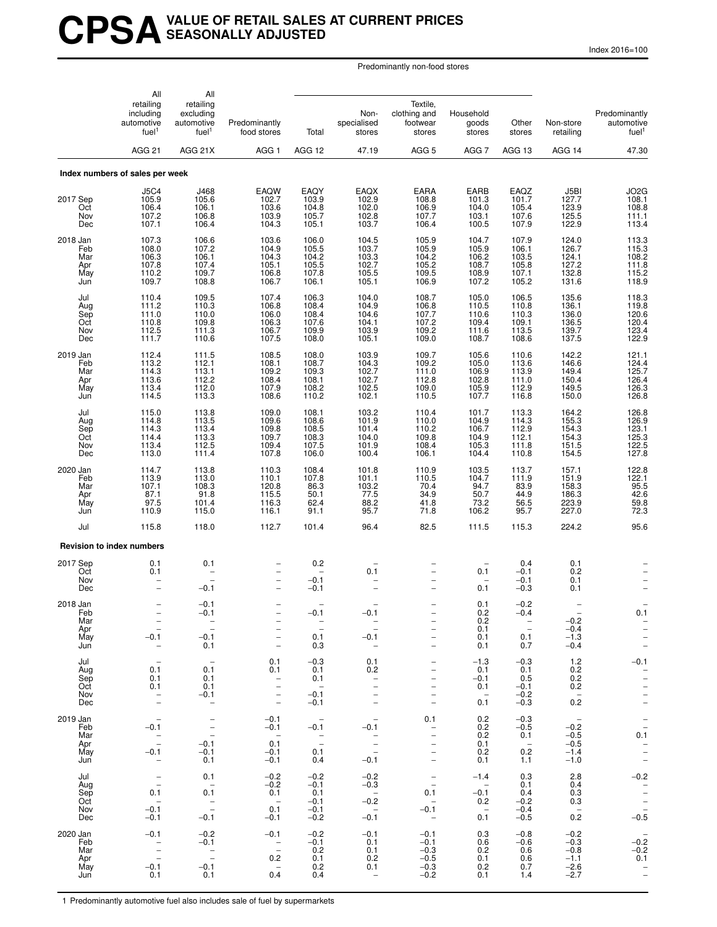## **CPSAVALUE OF RETAIL SALES AT CURRENT PRICES SEASONALLY ADJUSTED**

Index 2016=100

Predominantly non-food stores

|                                             | All<br>retailing<br>including<br>automotive<br>fuel <sup>1</sup><br>AGG <sub>21</sub>      | All<br>retailing<br>excluding<br>automotive<br>fuel <sup>1</sup><br>AGG 21X         | Predominantly<br>food stores<br>AGG 1                                            | Total<br>AGG 12                                                                  | Non-<br>specialised<br>stores<br>47.19                                                  | Textile,<br>clothing and<br>footwear<br>stores<br>AGG <sub>5</sub>                                                                              | Household<br>goods<br>stores<br>AGG 7              | Other<br>stores<br>AGG 13                                         | Non-store<br>retailing<br>AGG 14                                     | Predominantly<br>automotive<br>fuel <sup>1</sup><br>47.30                                                           |
|---------------------------------------------|--------------------------------------------------------------------------------------------|-------------------------------------------------------------------------------------|----------------------------------------------------------------------------------|----------------------------------------------------------------------------------|-----------------------------------------------------------------------------------------|-------------------------------------------------------------------------------------------------------------------------------------------------|----------------------------------------------------|-------------------------------------------------------------------|----------------------------------------------------------------------|---------------------------------------------------------------------------------------------------------------------|
|                                             | Index numbers of sales per week                                                            |                                                                                     |                                                                                  |                                                                                  |                                                                                         |                                                                                                                                                 |                                                    |                                                                   |                                                                      |                                                                                                                     |
| 2017 Sep<br>Oct<br>Nov<br>Dec               | <b>J5C4</b><br>105.9<br>106.4<br>107.2<br>107.1                                            | J468<br>105.6<br>106.1<br>106.8<br>106.4                                            | EAQW<br>102.7<br>103.6<br>103.9<br>104.3                                         | EAQY<br>103.9<br>104.8<br>105.7<br>105.1                                         | EAQX<br>102.9<br>102.0<br>102.8<br>103.7                                                | <b>EARA</b><br>108.8<br>106.9<br>107.7<br>106.4                                                                                                 | EARB<br>101.3<br>104.0<br>103.1<br>100.5           | EAQZ<br>101.7<br>105.4<br>107.6<br>107.9                          | J5BI<br>127.7<br>123.9<br>125.5<br>122.9                             | JO2G<br>108.1<br>108.8<br>111.1<br>113.4                                                                            |
| 2018 Jan<br>Feb<br>Mar<br>Apr<br>May<br>Jun | 107.3<br>108.0<br>106.3<br>107.8<br>110.2<br>109.7                                         | 106.6<br>107.2<br>106.1<br>107.4<br>109.7<br>108.8                                  | 103.6<br>104.9<br>104.3<br>105.1<br>106.8<br>106.7                               | 106.0<br>105.5<br>104.2<br>105.5<br>107.8<br>106.1                               | 104.5<br>103.7<br>103.3<br>102.7<br>105.5<br>105.1                                      | 105.9<br>105.9<br>104.2<br>105.2<br>109.5<br>106.9                                                                                              | 104.7<br>105.9<br>106.2<br>108.7<br>108.9<br>107.2 | 107.9<br>106.1<br>103.5<br>105.8<br>107.1<br>105.2                | 124.0<br>126.7<br>124.1<br>127.2<br>132.8<br>131.6                   | 113.3<br>115.3<br>108.2<br>111.8<br>115.2<br>118.9                                                                  |
| Jul<br>Aug<br>Sep<br>Oct<br>Nov<br>Dec      | 110.4<br>111.2<br>111.0<br>110.8<br>112.5<br>111.7                                         | 109.5<br>110.3<br>110.0<br>109.8<br>111.3<br>110.6                                  | 107.4<br>106.8<br>106.0<br>106.3<br>106.7<br>107.5                               | 106.3<br>108.4<br>108.4<br>107.6<br>109.9<br>108.0                               | 104.0<br>104.9<br>104.6<br>104.1<br>103.9<br>105.1                                      | 108.7<br>106.8<br>107.7<br>107.2<br>109.2<br>109.0                                                                                              | 105.0<br>110.5<br>110.6<br>109.4<br>111.6<br>108.7 | 106.5<br>110.8<br>110.3<br>109.1<br>113.5<br>108.6                | 135.6<br>136.1<br>136.0<br>136.5<br>139.7<br>137.5                   | 118.3<br>119.8<br>120.6<br>120.4<br>123.4<br>122.9                                                                  |
| 2019 Jan<br>Feb<br>Mar<br>Apr<br>May<br>Jun | 112.4<br>113.2<br>114.3<br>113.6<br>113.4<br>114.5                                         | 111.5<br>112.1<br>113.1<br>112.2<br>112.0<br>113.3                                  | 108.5<br>108.1<br>109.2<br>108.4<br>107.9<br>108.6                               | 108.0<br>108.7<br>109.3<br>108.1<br>108.2<br>110.2                               | 103.9<br>104.3<br>102.7<br>102.7<br>102.5<br>102.1                                      | 109.7<br>109.2<br>111.0<br>112.8<br>109.0<br>110.5                                                                                              | 105.6<br>105.0<br>106.9<br>102.8<br>105.9<br>107.7 | 110.6<br>113.6<br>113.9<br>111.0<br>112.9<br>116.8                | 142.2<br>146.6<br>149.4<br>150.4<br>149.5<br>150.0                   | 121.1<br>124.4<br>125.7<br>126.4<br>126.3<br>126.8                                                                  |
| Jul<br>Aug<br>Sep<br>Oct<br>Nov<br>Dec      | 115.0<br>114.8<br>114.3<br>114.4<br>113.4<br>113.0                                         | 113.8<br>113.5<br>113.4<br>113.3<br>112.5<br>111.4                                  | 109.0<br>109.6<br>109.8<br>109.7<br>109.4<br>107.8                               | 108.1<br>108.6<br>108.5<br>108.3<br>107.5<br>106.0                               | 103.2<br>101.9<br>101.4<br>104.0<br>101.9<br>100.4                                      | 110.4<br>110.0<br>110.2<br>109.8<br>108.4<br>106.1                                                                                              | 101.7<br>104.9<br>106.7<br>104.9<br>105.3<br>104.4 | 113.3<br>114.3<br>112.9<br>112.1<br>111.8<br>110.8                | 164.2<br>155.3<br>154.3<br>154.3<br>151.5<br>154.5                   | 126.8<br>126.9<br>123.1<br>$\frac{125.3}{122.5}$<br>127.8                                                           |
| 2020 Jan<br>Feb<br>Mar<br>Apr<br>May<br>Jun | 114.7<br>113.9<br>107.1<br>87.1<br>97.5<br>110.9                                           | 113.8<br>113.0<br>108.3<br>91.8<br>101.4<br>115.0                                   | 110.3<br>110.1<br>120.8<br>115.5<br>116.3<br>116.1                               | 108.4<br>107.8<br>86.3<br>50.1<br>62.4<br>91.1                                   | 101.8<br>101.1<br>103.2<br>77.5<br>88.2<br>95.7                                         | 110.9<br>110.5<br>70.4<br>34.9<br>41.8<br>71.8                                                                                                  | 103.5<br>104.7<br>94.7<br>50.7<br>73.2<br>106.2    | 113.7<br>111.9<br>83.9<br>44.9<br>56.5<br>95.7                    | 157.1<br>151.9<br>158.3<br>186.3<br>223.9<br>227.0                   | 122.8<br>122.1<br>95.5<br>42.6<br>$\frac{59.8}{72.3}$                                                               |
| Jul                                         | 115.8                                                                                      | 118.0                                                                               | 112.7                                                                            | 101.4                                                                            | 96.4                                                                                    | 82.5                                                                                                                                            | 111.5                                              | 115.3                                                             | 224.2                                                                | 95.6                                                                                                                |
| 2017 Sep<br>Oct<br>Nov<br>Dec               | <b>Revision to index numbers</b><br>0.1<br>0.1                                             | 0.1<br>$\overline{\phantom{m}}$<br>$-0.1$                                           | $\overline{\phantom{0}}$<br>$\overline{\phantom{0}}$<br>$\overline{\phantom{0}}$ | 0.2<br>$-0.1$<br>$-0.1$                                                          | 0.1                                                                                     | $\overline{\phantom{0}}$<br>-                                                                                                                   | 0.1<br>0.1                                         | 0.4<br>$-0.1$<br>$-0.1$<br>$-0.3$                                 | ${}^{0.1}_{0.2}$<br>0.1<br>0.1                                       |                                                                                                                     |
| 2018 Jan<br>Feb<br>Mar<br>Apr<br>May<br>Jun | $\overline{\phantom{0}}$<br>$\overline{\phantom{a}}$<br>$-0.1$<br>$\overline{\phantom{a}}$ | $-0.1$<br>$\overline{\phantom{0}}$<br>$-0.1$<br>0.1                                 | $\qquad \qquad -$<br>$\qquad \qquad -$<br>$\overline{\phantom{0}}$               | $-0.1$<br>$\overline{\phantom{0}}$<br>$\overline{\phantom{a}}$<br>0.1<br>0.3     | -0.1<br>$\overline{\phantom{a}}$<br>$-0.1$<br>$\overline{\phantom{0}}$                  | $\overline{\phantom{0}}$<br>$\qquad \qquad -$<br>$\overline{\phantom{0}}$<br>$\overline{\phantom{0}}$                                           | 0.1<br>0.2<br>0.2<br>0.1<br>0.1<br>0.1             | $-0.2$<br>$-0.4$<br>$\sim$ $-$<br>$-$<br>0.1<br>0.7               | $-0.2$<br>$-0.4$<br>$-1.3$<br>$-0.4$                                 | 0.1<br>$\overline{\phantom{a}}$<br>$\overline{\phantom{m}}$<br>$\overline{\phantom{a}}$<br>$\overline{\phantom{a}}$ |
| Jul<br>Aug<br>Sep<br>Oct<br>Nov<br>Dec      | 0.1<br>0.1<br>0.1<br>$\overline{\phantom{a}}$<br>$\overline{\phantom{a}}$                  | $\overline{\phantom{a}}$<br>0.1<br>0.1<br>0.1<br>$-0.1$<br>$\overline{\phantom{m}}$ | 0.1<br>0.1<br>$\bar{a}$<br>$\overline{\phantom{a}}$<br>$\equiv$                  | $-0.3$<br>0.1<br>0.1<br>$\sim$<br>$-0.1$<br>$-0.1$                               | 0.1<br>0.2<br>$\overline{\phantom{m}}$                                                  | -<br>$\overline{\phantom{0}}$<br>$\qquad \qquad -$<br>$\overline{\phantom{0}}$<br>$\overline{\phantom{0}}$<br>$\overline{\phantom{0}}$          | $-1.3$<br>0.1<br>$-0.1$<br>0.1<br>$\sim$<br>0.1    | $-0.3$<br>0.1<br>0.5<br>$-0.1$<br>$-0.2$<br>$-0.3$                | 1.2<br>0.2<br>0.2<br>0.2<br>$\overline{\phantom{0}}$<br>0.2          | $-0.1$<br>$\overline{\phantom{a}}$<br>$\qquad \qquad -$<br>$\overline{\phantom{a}}$<br>$\bar{a}$                    |
| 2019 Jan<br>Feb<br>Mar<br>Apr<br>May<br>Jun | $\overline{\phantom{a}}$<br>$-0.1$<br>$\bar{a}$<br>$-0.1$<br>$\overline{\phantom{a}}$      | $\overline{\phantom{a}}$<br>$\bar{\mathbb{I}}$<br>$-0.1$<br>$-0.1$<br>0.1           | $-0.1$<br>$-0.1$<br>$\sim$<br>0.1<br>$-0.1$<br>$-0.1$                            | $\overline{\phantom{a}}$<br>$-0.1$<br>$\sim$ $-$<br>$\overline{a}$<br>0.1<br>0.4 | $\hspace{0.1mm}-\hspace{0.1mm}$<br>$-0.1$<br>$\sim$ $-$<br>$\equiv$<br>$\sim$<br>$-0.1$ | 0.1<br>$\overline{\phantom{a}}$<br>$\overline{\phantom{m}}$<br>$\overline{\phantom{a}}$<br>$\overline{\phantom{0}}$<br>$\overline{\phantom{a}}$ | 0.2<br>0.2<br>0.2<br>0.1<br>0.2<br>0.1             | $-0.3$<br>$-0.5$<br>0.1<br>$\overline{\phantom{0}}$<br>0.2<br>1.1 | $\hspace{0.1cm} -$<br>$-0.2$<br>$-0.5$<br>$-0.5$<br>$-1.4$<br>$-1.0$ | $\bar{a}$<br>0.1<br>$\frac{1}{2}$                                                                                   |
| Jul<br>Aug<br>Sep<br>Oct<br>Nov<br>Dec      | $\bar{a}$<br>0.1<br>$\sim$<br>$-0.1$<br>$-0.1$                                             | 0.1<br>$\overline{\phantom{0}}$<br>0.1<br>$\overline{a}$<br>$-0.1$                  | $-0.2$<br>$-0.2$<br>0.1<br>$\sim$<br>0.1<br>$-0.1$                               | $-0.2$<br>$-0.1$<br>0.1<br>$-0.1$<br>$-0.1$<br>$-0.2$                            | $-0.2$<br>$-0.3$<br>$\sim$ $-$<br>$-0.2$<br>$\sim$ $-$<br>$-0.1$                        | $\bar{\Box}$<br>0.1<br>$\overline{\phantom{0}}$<br>$-0.1$<br>$\sim$                                                                             | $-1.4$<br>$\sim$<br>$-0.1$<br>0.2<br>$-$<br>0.1    | 0.3<br>0.1<br>0.4<br>$-0.2$<br>$-0.4$<br>$-0.5$                   | 2.8<br>0.4<br>0.3<br>0.3<br>$\overline{\phantom{a}}$<br>0.2          | $-0.2$<br>$\frac{1}{2}$<br>$\frac{1}{2}$<br>$\frac{1}{2}$<br>$\frac{1}{2}$                                          |
| 2020 Jan<br>Feb<br>Mar<br>Apr<br>May<br>Jun | $-0.1$<br>$\bar{a}$<br>$-0.1$<br>0.1                                                       | $-0.2$<br>$-0.1$<br>$\overline{\phantom{a}}$<br>$-0.1$<br>0.1                       | $-0.1$<br>$\bar{\mathbb{Z}}$<br>0.2<br>$\overline{\phantom{0}}$<br>0.4           | $-0.2$<br>$-0.1$<br>0.2<br>0.1<br>0.2<br>0.4                                     | $-0.1$<br>0.1<br>0.1<br>0.2<br>0.1<br>$\overline{\phantom{a}}$                          | $-0.1$<br>$-0.1$<br>$-0.3$<br>$-0.5$<br>$-0.3$<br>$-0.2$                                                                                        | 0.3<br>0.6<br>0.2<br>0.1<br>0.2<br>0.1             | $-0.8$<br>$-0.6$<br>0.6<br>0.6<br>0.7<br>1.4                      | $-0.2$<br>$-0.3$<br>$-0.8$<br>$-1.1$<br>$-2.6$<br>$-2.7$             | $-0.\overline{2}$<br>$-0.2$<br>0.1<br>$\bar{\mathbb{I}}$                                                            |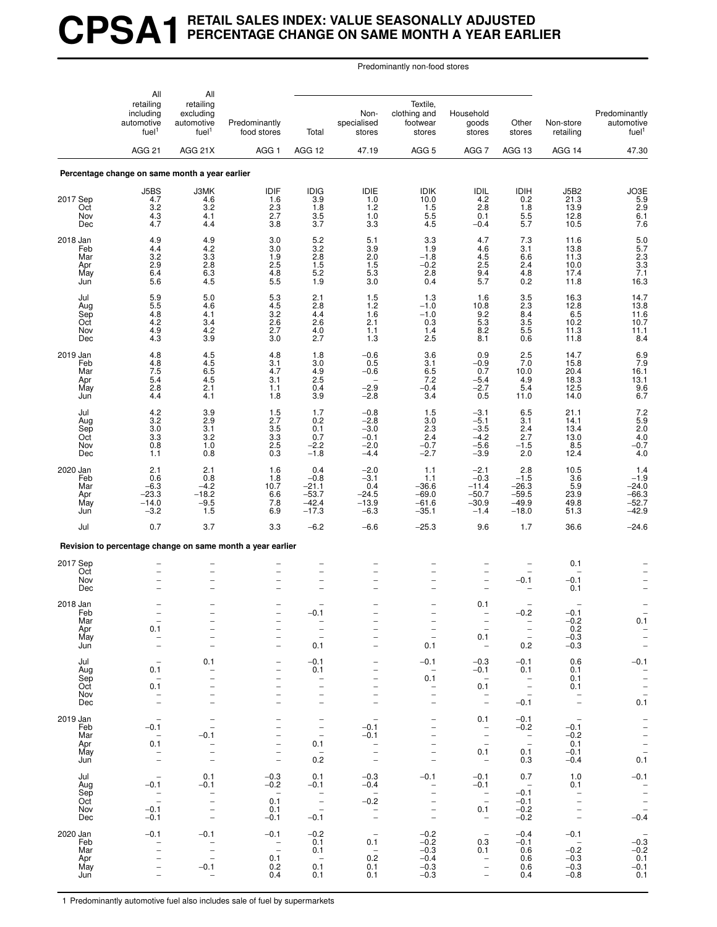# **CPSA1 RETAIL SALES INDEX: VALUE SEASONALLY ADJUSTED PERCENTAGE CHANGE ON SAME MONTH A YEAR EARLIER**

Predominantly non-food stores

|                                             | All<br>retailing<br>including<br>automotive<br>fuel <sup>1</sup>                                                                     | All<br>retailing<br>excluding<br>automotive<br>fuel <sup>1</sup>                                                                            | Predominantly<br>food stores                                                                                                                    | Total                                                                                                                      | Non-<br>specialised<br>stores                                                                        | Textile,<br>clothing and<br>footwear<br>stores                                                                                              | Household<br>goods<br>stores                                                                         | Other<br>stores                                                                                      | Non-store<br>retailing                                                                                | Predominantly<br>automotive<br>fuel <sup>1</sup>                                                                    |
|---------------------------------------------|--------------------------------------------------------------------------------------------------------------------------------------|---------------------------------------------------------------------------------------------------------------------------------------------|-------------------------------------------------------------------------------------------------------------------------------------------------|----------------------------------------------------------------------------------------------------------------------------|------------------------------------------------------------------------------------------------------|---------------------------------------------------------------------------------------------------------------------------------------------|------------------------------------------------------------------------------------------------------|------------------------------------------------------------------------------------------------------|-------------------------------------------------------------------------------------------------------|---------------------------------------------------------------------------------------------------------------------|
|                                             | <b>AGG 21</b>                                                                                                                        | AGG 21X                                                                                                                                     | AGG <sub>1</sub>                                                                                                                                | AGG 12                                                                                                                     | 47.19                                                                                                | AGG <sub>5</sub>                                                                                                                            | AGG 7                                                                                                | AGG 13                                                                                               | AGG 14                                                                                                | 47.30                                                                                                               |
|                                             | Percentage change on same month a year earlier                                                                                       |                                                                                                                                             |                                                                                                                                                 |                                                                                                                            |                                                                                                      |                                                                                                                                             |                                                                                                      |                                                                                                      |                                                                                                       |                                                                                                                     |
| 2017 Sep<br>Oct<br>Nov<br>Dec               | J5BS<br>4.7<br>3.2<br>4.3<br>4.7                                                                                                     | J3MK<br>4.6<br>$3.2\,$<br>4.1<br>4.4                                                                                                        | IDIF<br>1.6<br>2.3<br>2.7<br>3.8                                                                                                                | <b>IDIG</b><br>3.9<br>1.8<br>3.5<br>3.7                                                                                    | IDIE<br>1.0<br>1.2<br>$1.0$<br>3.3                                                                   | <b>IDIK</b><br>10.0<br>1.5<br>5.5<br>4.5                                                                                                    | IDIL<br>4.2<br>2.8<br>0.1<br>$-0.4$                                                                  | IDIH<br>0.2<br>1.8<br>$\frac{5.5}{5.7}$                                                              | <b>J5B2</b><br>21.3<br>13.9<br>12.8<br>10.5                                                           | JO3E<br>5.9<br>2.9<br>6.1<br>7.6                                                                                    |
| 2018 Jan<br>Feb<br>Mar<br>Apr<br>May<br>Jun | 4.9<br>4.4<br>3.2<br>2.9<br>6.4<br>5.6                                                                                               | 4.9<br>4.2<br>$3.3\,$<br>2.8<br>6.3<br>4.5                                                                                                  | 3.0<br>3.0<br>1.9<br>2.5<br>4.8<br>$5.\overline{5}$                                                                                             | 5.2<br>3.2<br>2.8<br>1.5<br>5.2<br>1.9                                                                                     | 5.1<br>3.9<br>2.0<br>1.5<br>5.3<br>3.0                                                               | 3.3<br>1.9<br>$-1.8$<br>$-0.2$<br>2.8<br>0.4                                                                                                | 4.7<br>4.6<br>$4.5\,$<br>2.5<br>9.4<br>5.7                                                           | 7.3<br>3.1<br>6.6<br>2.4<br>4.8<br>0.2                                                               | 11.6<br>13.8<br>11.3<br>10.0<br>17.4<br>11.8                                                          | $\frac{5.0}{5.7}$<br>$\frac{2.3}{3.3}$<br>7.1<br>16.3                                                               |
| Jul<br>Aug<br>Sep<br>Oct<br>Nov<br>Dec      | 5.9<br>5.5<br>4.8<br>4.2<br>4.9<br>4.3                                                                                               | 5.0<br>4.6<br>4.1<br>3.4<br>4.2<br>3.9                                                                                                      | 5.3<br>$4.5\,$<br>$3.\overline{2}$<br>2.6<br>2.7<br>3.0                                                                                         | 2.1<br>2.8<br>4.4<br>2.6<br>4.0<br>2.7                                                                                     | 1.5<br>1.2<br>1.6<br>2.1<br>1.1<br>1.3                                                               | 1.3<br>$-1.0$<br>$-1.0$<br>0.3<br>1.4<br>2.5                                                                                                | 1.6<br>10.8<br>9.2<br>5.3<br>8.2<br>8.1                                                              | 3.5<br>2.3<br>$\frac{8.4}{3.5}$<br>5.5<br>0.6                                                        | 16.3<br>12.8<br>$6.5$<br>10.2<br>11.3<br>11.8                                                         | 14.7<br>$\begin{array}{c} 13.8 \\ 11.6 \\ 10.7 \end{array}$<br>11.1<br>8.4                                          |
| 2019 Jan<br>Feb<br>Mar<br>Apr<br>May<br>Jun | 4.8<br>4.8<br>7.5<br>5.4<br>2.8<br>4.4                                                                                               | 4.5<br>$^{4.5}_{6.5}$<br>4.5<br>2.1<br>4.1                                                                                                  | 4.8<br>3.1<br>4.7<br>3.1<br>1.1<br>1.8                                                                                                          | 1.8<br>3.0<br>4.9<br>2.5<br>0.4<br>3.9                                                                                     | $-0.6$<br>0.5<br>$-0.6$<br>$-2.9$<br>$-2.8$                                                          | 3.6<br>3.1<br>6.5<br>7.2<br>$-0.4$<br>3.4                                                                                                   | 0.9<br>$-0.9$<br>0.7<br>$-5.4$<br>$-2.7$<br>0.5                                                      | 2.5<br>7.0<br>10.0<br>4.9<br>5.4<br>11.0                                                             | 14.7<br>15.8<br>20.4<br>18.3<br>12.5<br>14.0                                                          | $\begin{array}{c} 6.9 \\ 7.9 \\ 16.1 \end{array}$<br>13.1<br>$\begin{array}{c} 9.6 \\ 6.7 \end{array}$              |
| Jul<br>Aug<br>Sep<br>Oct<br>Nov<br>Dec      | 4.2<br>3.2<br>3.0<br>3.3<br>0.8<br>1.1                                                                                               | $\frac{3.9}{2.9}$<br>3.1<br>3.2<br>1.0<br>0.8                                                                                               | 1.5<br>2.7<br>3.5<br>3.3<br>2.5<br>0.3                                                                                                          | 1.7<br>0.2<br>0.1<br>0.7<br>$-2.2$<br>$-1.8$                                                                               | $-0.8$<br>$-2.8$<br>$-3.0$<br>$-0.1$<br>$-2.0$<br>$-4.4$                                             | 1.5<br>3.0<br>2.3<br>2.4<br>$-0.7$<br>$-2.7$                                                                                                | $-3.1$<br>$-5.1$<br>$-3.5$<br>$-4.2$<br>$-5.6$<br>$-3.9$                                             | 6.5<br>3.1<br>2.4<br>2.7<br>$-1.5$<br>2.0                                                            | 21.1<br>14.1<br>13.4<br>13.0<br>8.5<br>12.4                                                           | $7.2$<br>$5.9$<br>$2.0$<br>$4.0 - 0.7$<br>4.0                                                                       |
| 2020 Jan<br>Feb<br>Mar<br>Apr<br>May<br>Jun | 2.1<br>0.6<br>$-6.3$<br>$-23.3$<br>$-14.0$<br>$-3.2$                                                                                 | 2.1<br>0.8<br>$-4.2$<br>$-18.2$<br>$-9.5$<br>1.5                                                                                            | 1.6<br>1.8<br>10.7<br>6.6<br>7.8<br>6.9                                                                                                         | 0.4<br>$-0.8$<br>$-21.1$<br>$-53.7$<br>$-42.4$<br>$-17.3$                                                                  | $-2.0$<br>$-3.1$<br>0.4<br>$-24.5$<br>$-13.9$<br>$-6.3$                                              | 1.1<br>1.1<br>$-36.6$<br>$-69.0$<br>$-61.6$<br>$-35.1$                                                                                      | $-2.1$<br>$-0.3$<br>$-11.4$<br>$-50.7$<br>$-30.9$<br>$-1.4$                                          | 2.8<br>$-1.5$<br>$-26.3$<br>$-59.5$<br>$-49.9$<br>$-18.0$                                            | 10.5<br>3.6<br>5.9<br>23.9<br>49.8<br>51.3                                                            | 1.4<br>$-1.9$<br>$-24.0$<br>$-66.3$<br>$-52.7$<br>$-42.9$                                                           |
| Jul                                         | 0.7                                                                                                                                  | 3.7                                                                                                                                         | 3.3                                                                                                                                             | $-6.2$                                                                                                                     | $-6.6$                                                                                               | $-25.3$                                                                                                                                     | 9.6                                                                                                  | 1.7                                                                                                  | 36.6                                                                                                  | $-24.6$                                                                                                             |
| 2017 Sep                                    |                                                                                                                                      |                                                                                                                                             | Revision to percentage change on same month a year earlier                                                                                      |                                                                                                                            |                                                                                                      |                                                                                                                                             |                                                                                                      |                                                                                                      |                                                                                                       |                                                                                                                     |
| Oct<br>Nov<br>Dec                           |                                                                                                                                      |                                                                                                                                             | $\overline{\phantom{0}}$                                                                                                                        | $\overline{\phantom{0}}$                                                                                                   |                                                                                                      |                                                                                                                                             | $\overline{\phantom{0}}$                                                                             | $-0.1$                                                                                               | 0.1<br>$-0.1$<br>0.1                                                                                  |                                                                                                                     |
| 2018 Jan<br>Feb<br>Mar<br>Apr<br>May<br>Jun | $\overline{\phantom{a}}$<br>0.1<br>$\qquad \qquad -$                                                                                 | $\qquad \qquad -$<br>$\overline{\phantom{a}}$<br>$\overline{a}$                                                                             | $\qquad \qquad -$<br>$\qquad \qquad -$<br>$\overline{a}$                                                                                        | 0.1<br>$\overline{\phantom{a}}$<br>$\overline{\phantom{a}}$<br>$\qquad \qquad -$<br>0.1                                    |                                                                                                      | $\overline{\phantom{a}}$<br>$\overline{\phantom{m}}$<br>0.1                                                                                 | 0.1<br>$\overline{\phantom{a}}$<br>$\overline{\phantom{a}}$<br>0.1<br>$\sim$                         | $-0.2$<br>$\overline{\phantom{a}}$<br>$\overline{\phantom{a}}$<br>$\overline{\phantom{a}}$<br>0.2    | -0.1<br>$-0.2$<br>0.2<br>$-0.3$<br>$-0.3$                                                             | 0.1<br>$\bar{\mathbb{I}}$<br>$\overline{\phantom{a}}$                                                               |
| Jul<br>Aug<br>Sep<br>Oct<br>Nov<br>Dec      | $\overline{\phantom{m}}$<br>0.1<br>$\qquad \qquad -$<br>0.1<br>$\overline{\phantom{a}}$<br>$\overline{\phantom{a}}$                  | 0.1<br>$\overline{\phantom{a}}$<br>$\qquad \qquad -$<br>$\overline{\phantom{a}}$<br>$\qquad \qquad -$<br>$\overline{\phantom{a}}$           | $\qquad \qquad -$<br>$\qquad \qquad -$<br>$\qquad \qquad -$<br>$\qquad \qquad -$<br>$\overline{\phantom{a}}$<br>$\overline{\phantom{0}}$        | $-0.1$<br>0.1<br>$\overline{\phantom{a}}$<br>$\qquad \qquad -$<br>$\qquad \qquad -$<br>$\qquad \qquad -$                   |                                                                                                      | $-0.1$<br>$\overline{\phantom{a}}$<br>0.1<br>$\overline{\phantom{a}}$<br>$\qquad \qquad -$<br>$\overline{\phantom{a}}$                      | $-0.3$<br>$-0.1$<br>$\sim$<br>0.1<br>$\sim$ $-$<br>$-$                                               | $-0.1$<br>0.1<br>$\overline{\phantom{0}}$<br>$\sim$ $-$<br>$\hspace{0.1mm}-\hspace{0.1mm}$<br>$-0.1$ | 0.6<br>0.1<br>0.1<br>0.1<br>$\overline{\phantom{a}}$                                                  | $-0.1$<br>$\frac{1}{2}$<br>$0.\overline{1}$                                                                         |
| 2019 Jan<br>Feb<br>Mar<br>Apr<br>May<br>Jun | $\overline{\phantom{a}}$<br>$-0.1$<br>$\overline{\phantom{0}}$<br>0.1<br>$\hspace{0.1mm}-\hspace{0.1mm}$<br>$\overline{\phantom{a}}$ | $\overline{\phantom{a}}$<br>$\overline{\phantom{a}}$<br>$-0.1$<br>$\overline{\phantom{a}}$<br>$\qquad \qquad -$<br>$\overline{\phantom{a}}$ | $\overline{\phantom{m}}$<br>$\qquad \qquad -$<br>$\qquad \qquad -$<br>$\qquad \qquad -$<br>$\overline{\phantom{a}}$<br>$\overline{\phantom{a}}$ | $\overline{\phantom{a}}$<br>$\overline{\phantom{a}}$<br>$\overline{\phantom{a}}$<br>0.1<br>$\overline{\phantom{0}}$<br>0.2 | $-0.1$<br>$-0.1$<br>$\overline{\phantom{a}}$<br>$\overline{\phantom{a}}$<br>$\overline{\phantom{a}}$ | $\overline{\phantom{a}}$<br>$\qquad \qquad -$<br>$\qquad \qquad -$<br>$\qquad \qquad -$<br>$\qquad \qquad -$<br>$\qquad \qquad -$           | 0.1<br>$\hspace{0.1mm}$<br>$\overline{\phantom{a}}$<br>$\overline{\phantom{a}}$<br>0.1<br>$\sim$ $-$ | $-0.1$<br>$-0.2$<br>$\sim$ $-$<br>$\overline{\phantom{0}}$<br>0.1<br>0.3                             | $\hspace{0.1mm}-\hspace{0.1mm}$<br>$-0.1$<br>$-0.2$<br>0.1<br>$-0.1$<br>$-0.4$                        | $\overline{\phantom{a}}$<br>$\hspace{1.5cm} - \hspace{1.5cm}$<br>$\overline{\phantom{a}}$<br>$\frac{1}{\pi}$<br>0.1 |
| Jul<br>Aug<br>Sep<br>Oct<br>Nov<br>Dec      | $\hspace{0.1mm}-\hspace{0.1mm}$<br>$-0.1$<br>$\overline{\phantom{a}}$<br>$-0.1$<br>$-0.1$                                            | 0.1<br>$-0.1$<br>$\bar{\mathbb{I}}$<br>$\overline{\phantom{0}}$<br>$\overline{\phantom{a}}$                                                 | $-0.3$<br>$-0.2$<br>$\sim$<br>0.1<br>0.1<br>$-0.1$                                                                                              | 0.1<br>$-0.1$<br>$\overline{\phantom{a}}$<br>$\overline{\phantom{a}}$<br>$-0.1$                                            | $-0.3$<br>$-0.4$<br>$\sim$<br>$-0.2$<br>$\sim$<br>$\sim$                                             | $-0.1$<br>$\overline{\phantom{a}}$<br>$\qquad \qquad -$<br>$\overline{\phantom{a}}$<br>$\overline{\phantom{a}}$<br>$\overline{\phantom{a}}$ | $-0.1$<br>$-0.1$<br>$\bar{\mathbb{Z}}$<br>0.1<br>$\sim$                                              | 0.7<br>$\overline{\phantom{0}}$<br>$-0.1$<br>$-0.1$<br>$-0.2$<br>$-0.2$                              | 1.0<br>0.1<br>$\overline{\phantom{a}}$<br>$\overline{\phantom{a}}$<br>$\hspace{0.1mm}-\hspace{0.1mm}$ | $-0.1$<br>$\overline{\phantom{a}}$<br>$\overline{\phantom{0}}$<br>$-0.\overline{4}$                                 |
| 2020 Jan<br>Feb<br>Mar<br>Apr<br>May<br>Jun | $-0.1$<br>$\qquad \qquad -$<br>$\overline{\phantom{0}}$<br>$\overline{\phantom{0}}$                                                  | $-0.1$<br>$\overline{\phantom{a}}$<br>$\overline{\phantom{a}}$<br>$-0.1$<br>$\overline{a}$                                                  | $-0.1$<br>$\bar{\mathbb{Z}}$<br>0.1<br>0.2<br>0.4                                                                                               | $-0.2$<br>0.1<br>0.1<br>$\sim$<br>0.1<br>0.1                                                                               | $\sim$<br>0.1<br>$\sim$<br>0.2<br>0.1<br>0.1                                                         | $-0.2$<br>$-0.2$<br>$-0.3$<br>$-0.4$<br>$-0.3$<br>$-0.3$                                                                                    | $\overline{\phantom{0}}$<br>0.3<br>0.1<br>$\overline{\phantom{a}}$<br>$\overline{\phantom{a}}$       | $-0.4$<br>$-0.1$<br>0.6<br>0.6<br>0.6<br>0.4                                                         | $-0.1$<br>$\sim$ $-$<br>$-0.2$<br>$-0.3$<br>$-0.3$<br>$-0.8$                                          | $-0.\overline{3}$<br>$-0.2$<br>0.1<br>$-0.1$<br>0.1                                                                 |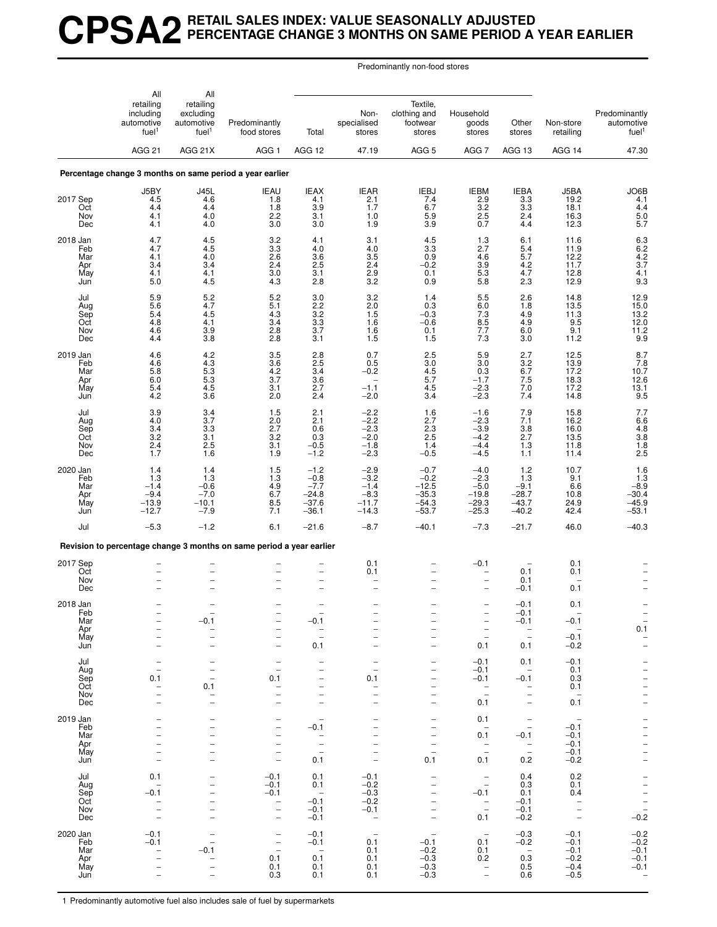## **CPSA2 RETAIL SALES INDEX: VALUE SEASONALLY ADJUSTED PERCENTAGE CHANGE 3 MONTHS ON SAME PERIOD A YEAR EARLIER**

Predominantly non-food stores

|                               | All                                                       | All                                                       |                                                                      |                                                             |                                                      |                                                                           |                                                                |                                                                |                                              |                                                                          |
|-------------------------------|-----------------------------------------------------------|-----------------------------------------------------------|----------------------------------------------------------------------|-------------------------------------------------------------|------------------------------------------------------|---------------------------------------------------------------------------|----------------------------------------------------------------|----------------------------------------------------------------|----------------------------------------------|--------------------------------------------------------------------------|
|                               | retailing<br>including<br>automotive<br>fuel <sup>1</sup> | retailing<br>excluding<br>automotive<br>fuel <sup>1</sup> | Predominantly<br>food stores                                         | Total                                                       | Non-<br>specialised<br>stores                        | Textile,<br>clothing and<br>footwear<br>stores                            | Household<br>goods<br>stores                                   | Other<br>stores                                                | Non-store<br>retailing                       | Predominantly<br>automotive<br>fuel <sup>1</sup>                         |
|                               | <b>AGG 21</b>                                             | AGG 21X                                                   | AGG <sub>1</sub>                                                     | AGG 12                                                      | 47.19                                                | AGG <sub>5</sub>                                                          | AGG <sub>7</sub>                                               | AGG 13                                                         | AGG 14                                       | 47.30                                                                    |
|                               |                                                           |                                                           | Percentage change 3 months on same period a year earlier             |                                                             |                                                      |                                                                           |                                                                |                                                                |                                              |                                                                          |
| 2017 Sep                      | J5BY<br>4.5                                               | <b>J45L</b><br>4.6                                        | <b>IEAU</b><br>1.8                                                   | <b>IEAX</b><br>4.1                                          | IEAR<br>2.1                                          | IEBJ<br>7.4                                                               | IEBM<br>2.9                                                    | <b>IEBA</b><br>3.3                                             | J5BA<br>19.2                                 | JO6B<br>4.1                                                              |
| Oct<br>Nov<br>Dec             | 4.4<br>4.1<br>4.1                                         | 4.4<br>4.0<br>4.0                                         | 1.8<br>2.2<br>3.0                                                    | 3.9<br>3.1<br>3.0                                           | 1.7<br>$1.0$<br>1.9                                  | 6.7<br>$\frac{5.9}{3.9}$                                                  | 3.2<br>$^{2.5}_{0.7}$                                          | 3.3<br>2.4<br>4.4                                              | 18.1<br>16.3<br>12.3                         | $\overline{4.4}$<br>$\frac{5.0}{5.7}$                                    |
| 2018 Jan<br>Feb               | 4.7<br>4.7                                                | $\frac{4.5}{4.5}$                                         | $\frac{3.2}{3.3}$                                                    | $\frac{4.1}{4.0}$                                           | $\frac{3.1}{4.0}$                                    | $\frac{4.5}{3.3}$                                                         | $\frac{1.3}{2.7}$                                              | $6.1$<br>$5.4$                                                 | 11.6<br>11.9                                 | $6.3$<br>$6.2$<br>$4.2$<br>$3.7$                                         |
| Mar<br>Apr<br>May<br>Jun      | 4.1<br>3.4<br>4.1<br>5.0                                  | 4.0<br>3.4<br>4.1<br>4.5                                  | 2.6<br>2.4<br>3.0<br>4.3                                             | 3.6<br>2.5<br>3.1<br>2.8                                    | $3.5\,$<br>$^{2.4}_{2.9}$<br>3.2                     | 0.9<br>$-0.2$<br>0.1<br>0.9                                               | 4.6<br>$\frac{3.9}{5.3}$<br>5.8                                | 5.7<br>$4.2$<br>$4.7$<br>2.3                                   | 12.2<br>11.7<br>12.8<br>12.9                 | 4.1<br>9.3                                                               |
| Jul<br>Aug                    | 5.9<br>5.6                                                | 5.2<br>4.7                                                | 5.2<br>5.1                                                           | 3.0<br>2.2                                                  | 3.2<br>$2.0\,$                                       | 1.4<br>0.3                                                                | 5.5<br>6.0                                                     | 2.6<br>1.8                                                     | 14.8<br>$13.5$<br>$11.3$                     | 12.9<br>15.0                                                             |
| Sep<br>Oct<br>Nov<br>Dec      | 5.4<br>4.8<br>4.6<br>4.4                                  | 4.5<br>4.1<br>3.9<br>3.8                                  | 4.3<br>3.4<br>2.8<br>2.8                                             | $\begin{array}{c} 3.2 \\ 3.3 \end{array}$<br>$3.7\,$<br>3.1 | $\frac{1.5}{1.6}$<br>1.6<br>1.5                      | $-0.3$<br>$-0.6$<br>0.1<br>1.5                                            | $7.3$<br>8.5<br>7.7<br>7.3                                     | 4.9<br>4.9<br>6.0<br>3.0                                       | 9.5<br>9.1<br>11.2                           | $\begin{array}{c} 13.2 \\ 12.0 \\ 11.2 \\ 9.9 \end{array}$               |
| 2019 Jan<br>Feb               | 4.6<br>4.6                                                | 4.2<br>$\begin{array}{c} 4.3 \\ 5.3 \end{array}$          | 3.5<br>$3.6\,$                                                       | 2.8<br>$2.5\,$                                              | 0.7<br>0.5                                           | 2.5<br>$\frac{3.0}{4.5}$                                                  | 5.9<br>3.0                                                     | 2.7<br>$\begin{array}{c} 3.2 \\ 6.7 \end{array}$               | 12.5<br>13.9<br>17.2                         | 8.7<br>$7.8$<br>10.7                                                     |
| Mar<br>Apr<br>May<br>Jun      | 5.8<br>6.0<br>5.4<br>4.2                                  | 5.3<br>$\frac{4.5}{3.6}$                                  | 4.2<br>3.7<br>3.1<br>2.0                                             | 3.4<br>3.6<br>2.7<br>2.4                                    | $-0.2$<br>$-1.1$<br>$-2.0$                           | 5.7<br>4.5<br>3.4                                                         | 0.3<br>$-1.7$<br>$-2.3$<br>$-2.3$                              | $7.5$<br>$7.0$<br>$7.4$                                        | 18.3<br>17.2<br>14.8                         | 12.6<br>$^{13.1}_{9.5}$                                                  |
| Jul<br>Aug<br>Sep             | $\begin{array}{c} 3.9 \\ 4.0 \end{array}$<br>3.4          | $\frac{3.4}{3.7}$<br>3.3                                  | 1.5<br>2.0<br>2.7                                                    | 2.1<br>2.1<br>0.6                                           | $^{-2.2}_{-2.2}$<br>$-2.3$                           | 1.6<br>2.7<br>2.3                                                         | $-1.6$<br>$-2.3$<br>$-3.9$                                     | $7.9$<br>$7.1$<br>3.8                                          | 15.8<br>16.2<br>16.0                         |                                                                          |
| Oct<br>Nov<br>Dec             | 3.2<br>2.4<br>1.7                                         | 3.1<br>2.5<br>1.6                                         | 3.2<br>3.1<br>1.9                                                    | 0.3<br>$-0.5$<br>$-1.2$                                     | $-2.0$<br>$-1.8$<br>$-2.3$                           | 2.5<br>1.4<br>$-0.5$                                                      | $-4.2$<br>$-4.4$<br>$-4.5$                                     | 2.7<br>1.3<br>1.1                                              | 13.5<br>11.8<br>11.4                         | 7.7<br>6.6<br>4.8<br>3.8<br>1.8<br>2.5                                   |
| 2020 Jan<br>Feb<br>Mar        | 1.4<br>1.3<br>$-1.4$                                      | 1.4<br>1.3<br>$-0.6$                                      | 1.5<br>1.3                                                           | $-1.2$<br>$-0.8$<br>$-7.7$                                  | $-2.9$<br>$-3.2$<br>$-1.4$                           | $-0.7$<br>$-0.2$<br>$-12.5$                                               | $-4.0$<br>$-2.3$<br>$-5.0$                                     | 1.2<br>1.3<br>$-9.1$                                           | 10.7<br>9.1<br>6.6                           | $\frac{1.6}{1.3}$                                                        |
| Apr<br>May<br>Jun             | $-9.4$<br>$-13.9$<br>$-12.7$                              | $-7.0$<br>$-10.1$<br>$-7.9$                               | $^{4.9}_{6.7}$<br>8.5<br>7.1                                         | $-24.8$<br>$-37.6$<br>$-36.1$                               | $-8.3$<br>$-11.7$<br>$-14.3$                         | $-35.3$<br>$-54.3$<br>$-53.7$                                             | $-19.8$<br>$-29.3$<br>$-25.3$                                  | $-28.7$<br>$-43.7$<br>$-40.2$                                  | 10.8<br>24.9<br>42.4                         | $-8.9$<br>$-30.4$<br>$-45.9$<br>$-53.1$                                  |
| Jul                           | $-5.3$                                                    | $-1.2$                                                    | 6.1                                                                  | $-21.6$                                                     | $-8.7$                                               | $-40.1$                                                                   | $-7.3$                                                         | $-21.7$                                                        | 46.0                                         | $-40.3$                                                                  |
|                               |                                                           |                                                           | Revision to percentage change 3 months on same period a year earlier |                                                             |                                                      |                                                                           |                                                                |                                                                |                                              |                                                                          |
| 2017 Sep<br>Oct<br>Nov<br>Dec |                                                           | $\overline{\phantom{0}}$<br>$\overline{\phantom{0}}$      |                                                                      | $\overline{\phantom{0}}$<br>$\overline{\phantom{0}}$        | 0.1<br>0.1                                           |                                                                           | $-0.1$<br>$\overline{\phantom{0}}$<br>$\overline{\phantom{0}}$ | 0.1<br>0.1<br>$-0.1$                                           | 0.1<br>0.1<br>0.1                            | $\qquad \qquad -$                                                        |
| 2018 Jan<br>Feb               |                                                           |                                                           |                                                                      |                                                             |                                                      |                                                                           | $\overline{\phantom{0}}$                                       | $-0.1$<br>$-0.1$                                               | 0.1                                          |                                                                          |
| Mar<br>Apr<br>May             | $\overline{\phantom{0}}$<br>$\overline{\phantom{0}}$      | $-0.1$<br><b>-</b>                                        | $\overline{\phantom{0}}$<br>$\overline{a}$                           | $-0.1$<br>$\bar{a}$                                         |                                                      | <sup>-</sup><br>$\overline{\phantom{0}}$                                  | $\overline{\phantom{0}}$<br>$\overline{a}$                     | $-0.1$<br>$\bar{a}$                                            | $-0.1$<br>$\overline{a}$<br>$-0.1$           | $\overline{\phantom{a}}$<br>$0.1\,$                                      |
| Jun                           | $\overline{\phantom{0}}$                                  | $\overline{\phantom{0}}$                                  | $\overline{a}$                                                       | 0.1                                                         | $\overline{\phantom{0}}$                             | $\overline{\phantom{0}}$                                                  | 0.1                                                            | 0.1                                                            | $-0.2$                                       | $\bar{a}$                                                                |
| Jul<br>Aug<br>Sep             | -<br>$\overline{\phantom{0}}$<br>0.1                      | -<br><sup>-</sup><br>$\overline{a}$                       | $\qquad \qquad -$<br>$\qquad \qquad -$<br>0.1                        | -<br>-<br>$\overline{\phantom{0}}$                          | $\qquad \qquad -$<br>$\overline{\phantom{0}}$<br>0.1 | -<br>-<br>$\overline{\phantom{0}}$                                        | $-0.1$<br>$-0.1$<br>$-0.1$                                     | 0.1<br>$\overline{\phantom{a}}$<br>$-0.1$                      | $-0.1$<br>0.1<br>0.3                         |                                                                          |
| Oct<br>Nov                    | $\overline{\phantom{0}}$<br>$\overline{\phantom{0}}$      | 0.1<br>$\overline{\phantom{0}}$                           | $\qquad \qquad -$<br>$\overline{\phantom{0}}$                        | -<br>$\overline{\phantom{0}}$                               | $\qquad \qquad -$<br>$\overline{\phantom{0}}$        | $\overline{\phantom{0}}$<br>$\overline{\phantom{0}}$                      | $\bar{\mathbb{I}}$                                             | $\overline{\phantom{a}}$<br>$\overline{\phantom{0}}$           | 0.1<br>$\overline{a}$                        |                                                                          |
| Dec<br>2019 Jan               | $\overline{\phantom{0}}$                                  | $\overline{a}$                                            | $\overline{\phantom{0}}$                                             | $\overline{\phantom{0}}$<br>$\overline{\phantom{0}}$        |                                                      | $\overline{\phantom{0}}$                                                  | 0.1                                                            | $\qquad \qquad -$                                              | 0.1                                          |                                                                          |
| Feb<br>Mar                    |                                                           | $\overline{\phantom{0}}$<br>$\overline{\phantom{0}}$<br>- | $\qquad \qquad -$<br>-<br>$\overline{a}$                             | $-0.1$<br>$\overline{\phantom{0}}$                          |                                                      | $\qquad \qquad -$<br>$\overline{\phantom{0}}$<br>$\overline{\phantom{0}}$ | 0.1<br>$\overline{\phantom{0}}$<br>0.1                         | $\overline{\phantom{a}}$<br>$\overline{\phantom{0}}$<br>$-0.1$ | $\overline{\phantom{m}}$<br>$-0.1$<br>$-0.1$ | $      -$                                                                |
| Apr<br>May                    | $\overline{\phantom{0}}$<br>$\overline{\phantom{m}}$      | $\overline{a}$<br>$\overline{a}$                          | $\overline{\phantom{0}}$<br>-                                        | $\qquad \qquad -$<br>$\overline{\phantom{a}}$               | $\overline{\phantom{0}}$                             | $\overline{\phantom{0}}$<br>$\overline{a}$                                | $\bar{a}$                                                      | $\bar{a}$                                                      | $-0.1$<br>$-0.1$                             |                                                                          |
| Jun                           | -                                                         | $\overline{\phantom{0}}$                                  | $\qquad \qquad -$                                                    | 0.1                                                         |                                                      | 0.1                                                                       | 0.1                                                            | 0.2                                                            | $-0.2$                                       |                                                                          |
| Jul<br>Aug                    | 0.1                                                       |                                                           | $-0.1$<br>$-0.1$                                                     | 0.1<br>0.1                                                  | $-0.1$<br>$-0.2$                                     |                                                                           | $\qquad \qquad -$<br>$\bar{a}$                                 | 0.4<br>0.3                                                     | 0.2<br>0.1                                   | $\frac{-}{-}$<br>$\frac{-}{-}$<br>$\frac{-}{-}$<br>$\frac{-}{-}$<br>-0.2 |
| Sep<br>Oct<br>Nov             | $-0.1$<br>$\overline{\phantom{0}}$                        | $\overline{\phantom{0}}$<br>$\overline{\phantom{0}}$<br>- | $-0.1$<br>$\bar{a}$                                                  | $\hspace{0.1mm}$<br>$-0.1$<br>$-0.1$                        | $-0.3$<br>$-0.2$<br>$-0.1$                           | $\overline{\phantom{0}}$<br>-<br>$\qquad \qquad -$                        | $-0.1$<br>$\bar{a}$                                            | 0.1<br>$-0.1$<br>$-0.1$                                        | 0.4<br>$\overline{a}$                        |                                                                          |
| Dec                           |                                                           | $\overline{\phantom{0}}$                                  | $\qquad \qquad -$                                                    | $-0.1$                                                      | $\overline{\phantom{a}}$                             | $\overline{a}$                                                            | 0.1                                                            | $-0.2$                                                         |                                              |                                                                          |
| 2020 Jan<br>Feb               | $-0.1$<br>$-0.1$                                          | $\overline{\phantom{a}}$                                  | $\frac{1}{1}$                                                        | $-0.1$<br>$-0.1$                                            | $\overline{\phantom{a}}$<br>0.1                      | $\qquad \qquad -$<br>$-0.1$<br>$-0.2$                                     | $\overline{\phantom{a}}$<br>0.1                                | $-0.3$<br>$-0.2$                                               | $-0.1$<br>$-0.1$                             | $^{-0.2}_{-0.2}$<br>$-0.1$                                               |
| Mar<br>Apr<br>May             | $\overline{\phantom{0}}$                                  | -0.1<br>-                                                 | 0.1<br>0.1                                                           | $\sim$<br>0.1<br>0.1                                        | 0.1<br>0.1<br>0.1                                    | $-0.3$<br>$-0.3$                                                          | 0.1<br>0.2<br>$\bar{a}$                                        | $\overline{\phantom{a}}$<br>0.3<br>0.5                         | $-0.1$<br>$-0.2$<br>$-0.4$                   | $-0.1$<br>$-0.1$                                                         |
| Jun                           |                                                           |                                                           | 0.3                                                                  | 0.1                                                         | 0.1                                                  | $-0.3$                                                                    |                                                                | 0.6                                                            | $-0.5$                                       |                                                                          |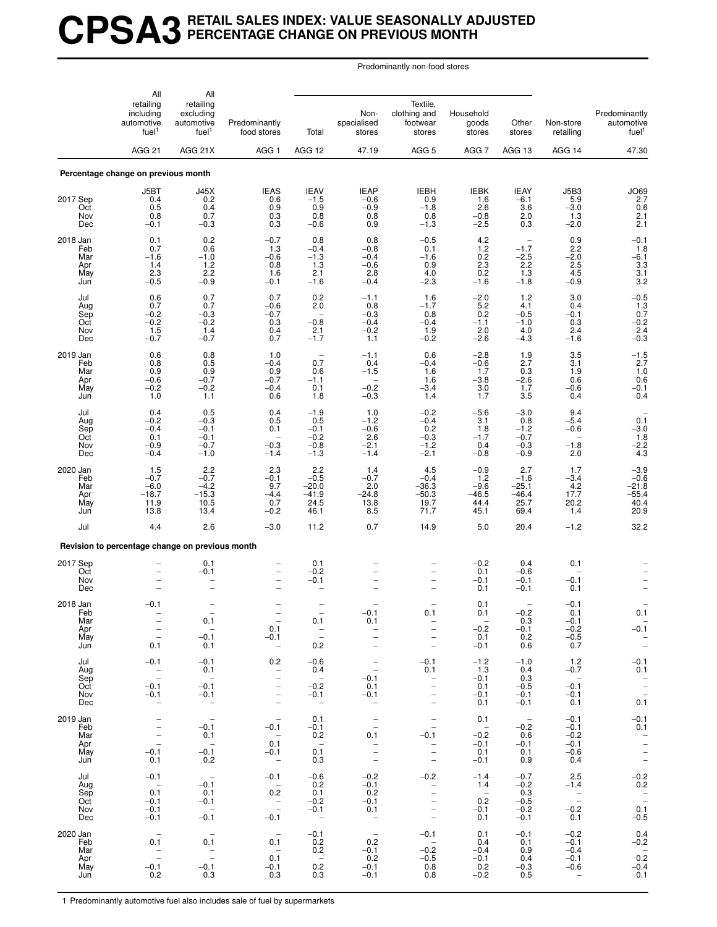## **CPSA3 RETAIL SALES INDEX: VALUE SEASONALLY ADJUSTED PERCENTAGE CHANGE ON PREVIOUS MONTH**

Predominantly non-food stores

|                                             | All                                                                                           | All                                                       |                                                                                               |                                                           |                                                                                                                                   |                                                                                                                                                    |                                                                      |                                                       |                                                        |                                                               |
|---------------------------------------------|-----------------------------------------------------------------------------------------------|-----------------------------------------------------------|-----------------------------------------------------------------------------------------------|-----------------------------------------------------------|-----------------------------------------------------------------------------------------------------------------------------------|----------------------------------------------------------------------------------------------------------------------------------------------------|----------------------------------------------------------------------|-------------------------------------------------------|--------------------------------------------------------|---------------------------------------------------------------|
|                                             | retailing<br>including<br>automotive<br>fuel <sup>1</sup><br>AGG <sub>21</sub>                | retailing<br>excluding<br>automotive<br>fuel <sup>1</sup> | Predominantly<br>food stores                                                                  | Total                                                     | Non-<br>specialised<br>stores                                                                                                     | Textile,<br>clothing and<br>footwear<br>stores                                                                                                     | Household<br>goods<br>stores                                         | Other<br>stores                                       | Non-store<br>retailing                                 | Predominantly<br>automotive<br>fuel <sup>1</sup>              |
|                                             |                                                                                               | AGG 21X                                                   | AGG <sub>1</sub>                                                                              | AGG 12                                                    | 47.19                                                                                                                             | AGG <sub>5</sub>                                                                                                                                   | AGG <sub>7</sub>                                                     | AGG 13                                                | AGG 14                                                 | 47.30                                                         |
|                                             | Percentage change on previous month                                                           |                                                           |                                                                                               |                                                           |                                                                                                                                   |                                                                                                                                                    |                                                                      |                                                       |                                                        |                                                               |
| 2017 Sep<br>Oct<br>Nov<br>Dec               | J5BT<br>0.4<br>0.5<br>0.8<br>$-0.1$                                                           | J45X<br>0.2<br>0.4<br>0.7<br>$-0.3$                       | <b>IEAS</b><br>0.6<br>0.9<br>0.3<br>0.3                                                       | <b>IEAV</b><br>$-1.5$<br>0.9<br>0.8<br>$-0.6$             | <b>IEAP</b><br>$-0.6$<br>$-0.9$<br>0.8<br>0.9                                                                                     | <b>IEBH</b><br>0.9<br>$-1.8$<br>0.8<br>$-1.3$                                                                                                      | <b>IEBK</b><br>1.6<br>2.6<br>$-0.8$<br>$-2.5$                        | <b>IEAY</b><br>$-6.1$<br>3.6<br>2.0<br>0.3            | J5B3<br>5.9<br>$-3.0$<br>1.3<br>$-2.0$                 | JO69<br>2.7<br>0.6<br>$\frac{2.1}{2.1}$                       |
| 2018 Jan<br>Feb<br>Mar<br>Apr<br>May<br>Jun | 0.1<br>0.7<br>$-1.6$<br>1.4<br>2.3<br>$-0.5$                                                  | 0.2<br>0.6<br>$-1.0$<br>1.2<br>2.2<br>$-0.9$              | $-0.7$<br>1.3<br>$-0.6$<br>0.8<br>1.6<br>$-0.1$                                               | 0.8<br>$-0.4$<br>$-1.3$<br>1.3<br>2.1<br>$-1.6$           | 0.8<br>$-0.8$<br>$-0.4$<br>$-0.6$<br>2.8<br>$-0.4$                                                                                | $-0.5$<br>0.1<br>$-1.6$<br>0.9<br>4.0<br>$-2.3$                                                                                                    | $^{4.2}_{1.2}$<br>0.2<br>$^{2.3}_{0.2}$<br>$-1.6$                    | $-1.7$<br>$-2.5$<br>2.2<br>1.3<br>$-1.8$              | 0.9<br>2.2<br>$-2.0$<br>2.5<br>4.5<br>$-0.9$           | $-0.1$<br>1.8<br>$-6.1$<br>$\frac{3.3}{3.1}$<br>3.2           |
| Jul<br>Aug<br>Sep<br>Oct<br>Nov<br>Dec      | 0.6<br>0.7<br>$-0.2$<br>$-0.2$<br>1.5<br>$-0.7$                                               | 0.7<br>0.7<br>$-0.3$<br>$-0.2$<br>1.4<br>$-0.7$           | 0.7<br>$-0.6$<br>$-0.7$<br>0.3<br>0.4<br>0.7                                                  | 0.2<br>2.0<br>$-0.8$<br>2.1<br>$-1.7$                     | $-1.1$<br>0.8<br>$-0.3$<br>$-0.4$<br>$-0.2$<br>1.1                                                                                | 1.6<br>$-1.7$<br>0.8<br>$-0.4$<br>1.9<br>$-0.2$                                                                                                    | $-2.0$<br>5.2<br>0.2<br>$-1.1$<br>2.0<br>$-2.6$                      | 1.2<br>4.1<br>$-0.5$<br>$-1.0$<br>4.0<br>$-4.3$       | 3.0<br>0.4<br>$-0.1$<br>0.3<br>2.4<br>$-1.6$           | $-0.5$<br>$\frac{1.3}{0.7}$<br>$-0.2$<br>2.4<br>$-0.3$        |
| 2019 Jan<br>Feb<br>Mar<br>Apr<br>May<br>Jun | 0.6<br>0.8<br>0.9<br>$-0.6$<br>$-0.2$<br>1.0                                                  | 0.8<br>0.5<br>0.9<br>$-0.7$<br>$-0.2$<br>1.1              | 1.0<br>$-0.4$<br>0.9<br>$-0.7$<br>$-0.4$<br>0.6                                               | 0.7<br>0.6<br>$-1.1$<br>0.1<br>1.8                        | $-1.1$<br>0.4<br>$-1.5$<br>$-0.2$<br>$-0.3$                                                                                       | 0.6<br>$-0.4$<br>1.6<br>1.6<br>$-3.4$<br>1.4                                                                                                       | $-2.8$<br>$-0.6$<br>1.7<br>$-3.8$<br>3.0<br>1.7                      | 1.9<br>2.7<br>0.3<br>$-2.6$<br>1.7<br>3.5             | 3.5<br>3.1<br>1.9<br>0.6<br>$-0.6$<br>0.4              | $-1.5$<br>2.7<br>1.0<br>0.6<br>$-0.1$<br>0.4                  |
| Jul<br>Aug<br>Sep<br>Oct<br>Nov<br>Dec      | 0.4<br>$-0.2$<br>$-0.4$<br>0.1<br>$-0.9$<br>$-0.4$                                            | 0.5<br>$-0.3$<br>$-0.1$<br>$-0.1$<br>$-0.7$<br>$-1.0$     | 0.4<br>0.5<br>0.1<br>$\overline{\phantom{a}}$<br>$-0.3$<br>$-1.4$                             | $-1.9$<br>0.5<br>$-0.1$<br>$-0.2$<br>$-0.8$<br>$-1.3$     | 1.0<br>$-1.2$<br>$-0.6$<br>2.6<br>$-2.1$<br>$-1.4$                                                                                | $-0.2$<br>$-0.4$<br>0.2<br>$-0.3$<br>$-1.2$<br>$-2.1$                                                                                              | $-5.6$<br>3.1<br>1.8<br>$-1.7$<br>0.4<br>$-0.8$                      | $-3.0$<br>0.8<br>$-1.2$<br>$-0.7$<br>$-0.3$<br>$-0.9$ | 9.4<br>$-5.4$<br>$-0.6$<br>$-1.8$<br>2.0               | $0.\overline{1}$<br>$-3.0$<br>$\frac{1.8}{-2.2}$<br>4.3       |
| 2020 Jan<br>Feb<br>Mar<br>Apr<br>May<br>Jun | 1.5<br>$-0.7$<br>$-6.0$<br>$-18.7$<br>11.9<br>13.8                                            | 2.2<br>$-0.7$<br>$-4.2$<br>$-15.3$<br>10.5<br>13.4        | 2.3<br>$-0.1$<br>9.7<br>$-4.4$<br>0.7<br>$-0.2$                                               | 2.2<br>$-0.5$<br>$-20.0$<br>$-41.9$<br>24.5<br>46.1       | 1.4<br>$-0.7$<br>2.0<br>$-24.8$<br>13.8<br>8.5                                                                                    | 4.5<br>$-0.4$<br>$-36.3$<br>-50.3<br>19.7<br>71.7                                                                                                  | $-0.9$<br>1.2<br>$-9.6$<br>-46.5<br>44.4<br>45.1                     | 2.7<br>$-1.6$<br>$-25.1$<br>$-46.4$<br>25.7<br>69.4   | 1.7<br>$-3.4$<br>$4.2$<br>17.7<br>20.2<br>1.4          | $-3.9$<br>$-0.6$<br>$-21.8$<br>$-55.4$<br>40.4<br>20.9        |
| Jul                                         | 4.4                                                                                           | 2.6                                                       | $-3.0$                                                                                        | 11.2                                                      | 0.7                                                                                                                               | 14.9                                                                                                                                               | 5.0                                                                  | 20.4                                                  | $-1.2$                                                 | 32.2                                                          |
|                                             | Revision to percentage change on previous month                                               |                                                           |                                                                                               |                                                           |                                                                                                                                   |                                                                                                                                                    |                                                                      |                                                       |                                                        |                                                               |
| 2017 Sep<br>Oct<br>Nov<br>Dec               |                                                                                               | 0.1<br>$-0.1$                                             | $\overline{a}$<br>$\overline{\phantom{0}}$                                                    | 0.1<br>$-0.2$<br>$-0.1$<br>۰                              |                                                                                                                                   |                                                                                                                                                    | $-0.2$<br>0.1<br>$-0.1$<br>0.1                                       | 0.4<br>$-0.6$<br>$-0.1$<br>$-0.1$                     | 0.1<br>$-0.1$<br>0.1                                   |                                                               |
| 2018 Jan<br>Feb<br>Mar<br>Apr<br>May<br>Jun | $-0.1$<br>$\overline{\phantom{a}}$<br>$\overline{\phantom{a}}$<br>$\equiv$<br>0.1             | 0.1<br>$\sim$<br>$-0.1$<br>0.1                            | 0.1<br>$-0.1$<br>$\hspace{0.1mm}-\hspace{0.1mm}$                                              | 0.1<br>$\overline{\phantom{a}}$<br>0.2                    | -0.1<br>0.1<br>$\bar{a}$<br>$\overline{\phantom{a}}$                                                                              | 0.1<br>$\overline{\phantom{0}}$<br>$\overline{\phantom{0}}$<br>$\overline{\phantom{0}}$                                                            | 0.1<br>0.1<br>$\sim$ $-$<br>$-0.2$<br>0.1<br>$-0.1$                  | $-0.2$<br>0.3<br>$-0.1$<br>0.2<br>0.6                 | $-0.1$<br>0.1<br>$-0.1$<br>$-0.2$<br>$-0.5$<br>0.7     | 0.1<br>$\hspace{0.1mm}-\hspace{0.1mm}$<br>$-0.1$<br>$\bar{z}$ |
| Jul<br>Aug<br>Sep<br>Oct<br>Nov<br>Dec      | $-0.1$<br>$\bar{\phantom{a}}$<br>$-0.1$<br>$-0.1$<br>$\qquad \qquad -$                        | $-0.1$<br>0.1<br>$\sim$<br>$-0.1$<br>$-0.1$<br>$\sim$     | 0.2<br>$\overline{\phantom{0}}$<br>$\bar{a}$<br>$\overline{\phantom{0}}$<br>$\qquad \qquad -$ | $-0.6$<br>0.4<br>$\sim$<br>$-0.2$<br>$-0.1$<br>$\sim$ $-$ | $\overline{\phantom{a}}$<br>$-0.1$<br>0.1<br>$-0.1$<br>$\overline{\phantom{a}}$                                                   | $-0.1$<br>0.1<br>$\bar{a}$<br>$\overline{\phantom{0}}$<br>$\overline{\phantom{a}}$                                                                 | $-1.2$<br>1.3<br>$-0.1$<br>0.1<br>$-0.1$<br>0.1                      | $-1.0$<br>0.4<br>0.3<br>$-0.5$<br>$-0.1$<br>$-0.1$    | 1.2<br>$-0.7$<br>$\sim$<br>$-0.1$<br>$-0.1$<br>0.1     | $-0.1$<br>0.1<br>$\frac{1}{2}$<br>0.1                         |
| 2019 Jan<br>Feb<br>Mar<br>Apr<br>May<br>Jun | $\overline{\phantom{a}}$<br>$\overline{\phantom{a}}$<br>$\equiv$<br>$\equiv$<br>$-0.1$<br>0.1 | $\sim$ $-$<br>$-0.1$<br>0.1<br>$\sim$<br>$-0.1$<br>0.2    | $\hspace{0.1mm}-\hspace{0.1mm}$<br>$-0.1$<br>$\sim$<br>0.1<br>$-0.1$<br>$\sim$ $-$            | 0.1<br>$-0.1$<br>0.2<br>$\sim$<br>0.1<br>0.3              | $\sim$ $-$<br>$\overline{\phantom{a}}$<br>0.1<br>$\overline{\phantom{0}}$<br>$\overline{\phantom{a}}$<br>$\overline{\phantom{a}}$ | $\overline{\phantom{a}}$<br>$\overline{\phantom{a}}$<br>$-0.1$<br>$\qquad \qquad -$<br>$\overline{\phantom{0}}$<br>$\overline{\phantom{a}}$        | 0.1<br>$\overline{\phantom{0}}$<br>$-0.2$<br>$-0.1$<br>0.1<br>$-0.1$ | $\sim$<br>$-0.2$<br>0.6<br>$-0.1$<br>0.1<br>0.9       | $-0.1$<br>$-0.1$<br>$-0.2$<br>$-0.1$<br>$-0.6$<br>0.4  | $-0.1$<br>0.1<br>$\overline{\mathbb{Z}}$<br>$\frac{1}{2}$     |
| Jul<br>Aug<br>Sep<br>Oct<br>Nov<br>Dec      | $-0.1$<br>$\sim$ $-$<br>0.1<br>$-0.1$<br>$-0.1$<br>$-0.1$                                     | $\sim$ $-$<br>$-0.1$<br>0.1<br>$-0.1$<br>$\sim$<br>$-0.1$ | $-0.1$<br>$\sim$<br>0.2<br>$\bar{z}$<br>$-0.1$                                                | $-0.6$<br>0.2<br>0.1<br>$-0.2$<br>$-0.1$<br>$\sim$ $-$    | $-0.2$<br>$-0.1$<br>0.2<br>$-0.1$<br>0.1<br>$\sim$                                                                                | $-0.2$<br>$\overline{\phantom{a}}$<br>$\overline{\phantom{0}}$<br>$\overline{\phantom{a}}$<br>$\overline{\phantom{a}}$<br>$\overline{\phantom{a}}$ | $-1.4$<br>1.4<br>$\sim$<br>0.2<br>$-0.1$<br>0.1                      | $-0.7$<br>$-0.2$<br>0.3<br>$-0.5$<br>$-0.2$<br>$-0.1$ | 2.5<br>$-1.4$<br>$\sim$ $-$<br>$\sim$<br>$-0.2$<br>0.1 | $-0.2$<br>0.2<br>$-$<br>0.1<br>$-0.5$                         |
| 2020 Jan<br>Feb<br>Mar<br>Apr<br>May<br>Jun | $\overline{a}$<br>0.1<br>$\overline{\phantom{a}}$<br>$-0.1$<br>0.2                            | $\sim$<br>0.1<br>$\frac{1}{2}$<br>$-0.1$<br>0.3           | $\overline{\phantom{a}}$<br>0.1<br>$\overline{\phantom{0}}$<br>0.1<br>$-0.1$<br>0.3           | $-0.1$<br>0.2<br>0.2<br>$\sim$ $-$<br>0.2<br>0.3          | $\sim$ $-$<br>0.2<br>$-0.1$<br>0.2<br>$-0.1$<br>$-0.1$                                                                            | $-0.1$<br>$\sim$<br>$-0.2$<br>$-0.5$<br>0.8<br>0.8                                                                                                 | 0.1<br>0.4<br>$-0.4$<br>$-0.1$<br>0.2<br>$-0.2$                      | $-0.1$<br>0.1<br>0.9<br>0.4<br>$-0.3$<br>0.5          | $-0.2$<br>$-0.1$<br>$-0.4$<br>$-0.1$<br>$-0.6$         | 0.4<br>$-0.2$<br>$0.\overline{2}$<br>$-0.4$<br>0.1            |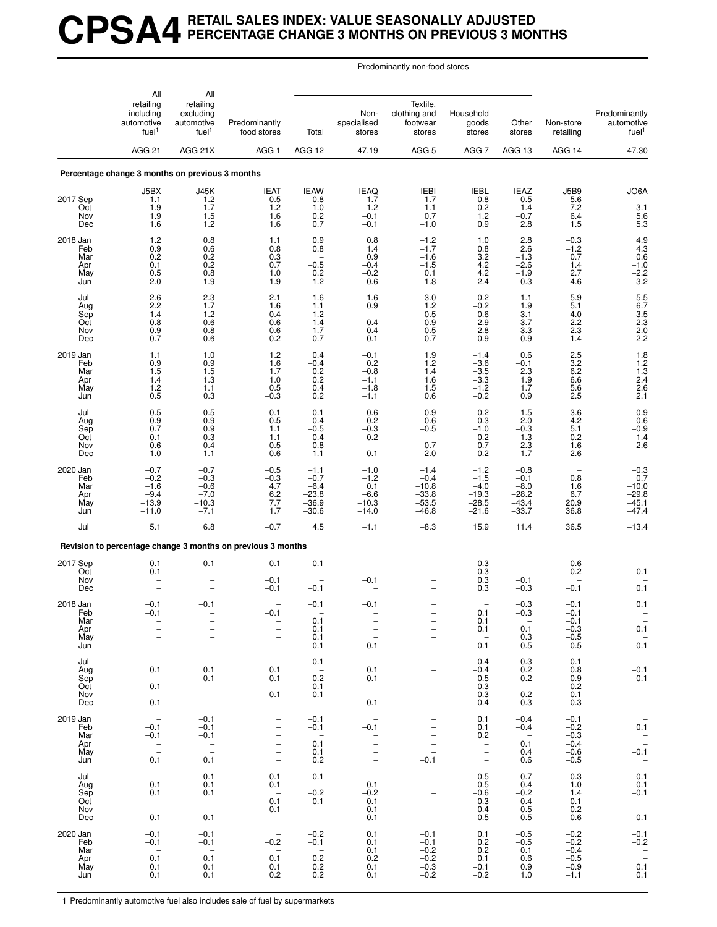## **CPSA4 RETAIL SALES INDEX: VALUE SEASONALLY ADJUSTED PERCENTAGE CHANGE 3 MONTHS ON PREVIOUS 3 MONTHS**

Predominantly non-food stores

|                                             | All                                                                              | All                                                                                                                           |                                                                                                         |                                                                           |                                                                                            |                                                                                                                                                               |                                                                          |                                                                      |                                                               |                                                                                      |
|---------------------------------------------|----------------------------------------------------------------------------------|-------------------------------------------------------------------------------------------------------------------------------|---------------------------------------------------------------------------------------------------------|---------------------------------------------------------------------------|--------------------------------------------------------------------------------------------|---------------------------------------------------------------------------------------------------------------------------------------------------------------|--------------------------------------------------------------------------|----------------------------------------------------------------------|---------------------------------------------------------------|--------------------------------------------------------------------------------------|
|                                             | retailing<br>including<br>automotive<br>fuel <sup>1</sup>                        | retailing<br>excluding<br>automotive<br>fuel <sup>1</sup>                                                                     | Predominantly<br>food stores                                                                            | Total                                                                     | Non-<br>specialised<br>stores                                                              | Textile,<br>clothing and<br>footwear<br>stores                                                                                                                | Household<br>goods<br>stores                                             | Other<br>stores                                                      | Non-store<br>retailing                                        | Predominantly<br>automotive<br>fuel <sup>1</sup>                                     |
|                                             | AGG <sub>21</sub>                                                                | AGG 21X                                                                                                                       | AGG <sub>1</sub>                                                                                        | AGG 12                                                                    | 47.19                                                                                      | AGG <sub>5</sub>                                                                                                                                              | AGG 7                                                                    | AGG 13                                                               | AGG 14                                                        | 47.30                                                                                |
|                                             | Percentage change 3 months on previous 3 months                                  |                                                                                                                               |                                                                                                         |                                                                           |                                                                                            |                                                                                                                                                               |                                                                          |                                                                      |                                                               |                                                                                      |
| 2017 Sep<br>Oct<br>Nov<br>Dec               | J5BX<br>1.1<br>1.9<br>1.9<br>1.6                                                 | J45K<br>1.2<br>1.7<br>1.5<br>1.2                                                                                              | <b>IEAT</b><br>0.5<br>1.2<br>1.6<br>1.6                                                                 | <b>IEAW</b><br>0.8<br>1.0<br>0.2<br>0.7                                   | <b>IEAQ</b><br>1.7<br>1.2<br>$-0.1$<br>$-0.1$                                              | <b>IEBI</b><br>1.7<br>1.1<br>0.7<br>$-1.0$                                                                                                                    | <b>IEBL</b><br>$-0.8$<br>0.2<br>1.2<br>0.9                               | <b>IEAZ</b><br>0.5<br>1.4<br>$-0.7$<br>2.8                           | <b>J5B9</b><br>5.6<br>7.2<br>6.4<br>1.5                       | JO6A<br>3.1<br>$\frac{5.6}{5.3}$                                                     |
| 2018 Jan<br>Feb<br>Mar<br>Apr<br>May<br>Jun | 1.2<br>0.9<br>0.2<br>0.1<br>0.5<br>2.0                                           | 0.8<br>0.6<br>0.2<br>0.2<br>0.8<br>1.9                                                                                        | 1.1<br>0.8<br>0.3<br>0.7<br>1.0<br>1.9                                                                  | 0.9<br>0.8<br>$-0.5$<br>0.2<br>1.2                                        | 0.8<br>1.4<br>0.9<br>$-0.4$<br>$-0.2$<br>0.6                                               | $-1.2$<br>$-1.7$<br>$-1.6$<br>$-1.5$<br>0.1<br>1.8                                                                                                            | 1.0<br>0.8<br>3.2<br>4.2<br>4.2<br>2.4                                   | 2.8<br>2.6<br>$-1.3$<br>$-2.6$<br>$-1.9$<br>0.3                      | $-0.3$<br>$-1.2$<br>0.7<br>1.4<br>2.7<br>4.6                  | $\begin{array}{c} 4.9 \\ 4.3 \\ 0.6 \end{array}$<br>$-1.0$<br>$-2.2$<br>3.2          |
| Jul<br>Aug<br>Sep<br>Oct<br>Nov<br>Dec      | 2.6<br>2.2<br>1.4<br>0.8<br>0.9<br>0.7                                           | 2.3<br>1.7<br>1.2<br>0.6<br>0.8<br>0.6                                                                                        | 2.1<br>1.6<br>0.4<br>$-0.6$<br>-0.6<br>0.2                                                              | 1.6<br>1.1<br>1.2<br>1.4<br>1.7<br>0.7                                    | 1.6<br>0.9<br>$-0.4$<br>$-0.4$<br>$-0.1$                                                   | 3.0<br>1.2<br>0.5<br>$-0.9$<br>0.5<br>0.7                                                                                                                     | 0.2<br>$-0.2$<br>0.6<br>2.9<br>2.8<br>0.9                                | 1.1<br>1.9<br>3.1<br>3.7<br>3.3<br>0.9                               | 5.9<br>5.1<br>4.0<br>2.2<br>2.3<br>1.4                        | $\frac{5.5}{6.7}$<br>$3.5$<br>2.3<br>2.0<br>2.2                                      |
| 2019 Jan<br>Feb<br>Mar<br>Apr<br>May<br>Jun | 1.1<br>0.9<br>1.5<br>1.4<br>1.2<br>0.5                                           | 1.0<br>$0.9$<br>$1.5$<br>1.3<br>1.1<br>0.3                                                                                    | 1.2<br>1.6<br>1.7<br>1.0<br>0.5<br>$-0.3$                                                               | 0.4<br>$-0.4$<br>0.2<br>0.2<br>0.4<br>0.2                                 | $-0.1$<br>0.2<br>$-0.8$<br>$-1.1$<br>$-1.8$<br>$-1.1$                                      | 1.9<br>1.2<br>1.4<br>1.6<br>1.5<br>0.6                                                                                                                        | $-1.4$<br>$-3.6$<br>$-3.5$<br>$-3.3$<br>$-1.2$<br>$-0.2$                 | 0.6<br>$-0.1$<br>2.3<br>1.9<br>1.7<br>0.9                            | 2.5<br>$3.2\,$<br>6.2<br>6.6<br>5.6<br>2.5                    | $1.8$<br>$1.2$<br>$1.3$<br>$2.4$<br>$\frac{2.6}{2.1}$                                |
| Jul<br>Aug<br>Sep<br>Oct<br>Nov<br>Dec      | 0.5<br>0.9<br>0.7<br>0.1<br>$-0.6$<br>$-1.0$                                     | 0.5<br>0.9<br>0.9<br>0.3<br>$-0.4$<br>$-1.1$                                                                                  | $-0.1$<br>0.5<br>1.1<br>1.1<br>0.5<br>$-0.6$                                                            | 0.1<br>0.4<br>$-0.5$<br>$-0.4$<br>$-0.8$<br>$-1.1$                        | $-0.6$<br>$-0.2$<br>$-0.3$<br>$-0.2$<br>$-0.1$                                             | $-0.9$<br>$-0.6$<br>$-0.5$<br>$\overline{\phantom{0}}$<br>$-0.7$<br>$-2.0$                                                                                    | 0.2<br>$-0.3$<br>$-1.0$<br>0.2<br>0.7<br>0.2                             | 1.5<br>2.0<br>$-0.3$<br>$-1.3$<br>$-2.3$<br>$-1.7$                   | 3.6<br>4.2<br>5.1<br>0.2<br>$-1.6$<br>$-2.6$                  | 0.9 0.6<br>$-0.9$<br>$-1.4$<br>$-2.6$                                                |
| 2020 Jan<br>Feb<br>Mar<br>Apr<br>May<br>Jun | $-0.7$<br>$-0.2$<br>$-1.6$<br>$-9.4$<br>$-13.9$<br>$-11.0$                       | $-0.7$<br>$-0.3$<br>$-0.6$<br>$-7.0$<br>$-10.3$<br>$-7.1$                                                                     | $-0.5$<br>$-0.3$<br>4.7<br>6.2<br>7.7<br>1.7                                                            | $-1.1$<br>$-0.7$<br>$-6.4$<br>$-23.8$<br>$-36.9$<br>$-30.6$               | $-1.0$<br>$-1.2$<br>0.1<br>$-6.6$<br>$-10.3$<br>$-14.0$                                    | $-1.4$<br>$-0.4$<br>$-10.8$<br>$-33.8$<br>$-53.5$<br>$-46.8$                                                                                                  | $-1.2$<br>$-1.5$<br>$-4.0$<br>$-19.3$<br>$-28.5$<br>$-21.6$              | $-0.8$<br>$-0.1$<br>$-8.0$<br>$-28.2$<br>$-43.4$<br>$-33.7$          | $\overline{\phantom{a}}$<br>0.8<br>1.6<br>6.7<br>20.9<br>36.8 | $-0.3$<br>0.7<br>$-10.0$<br>$-29.8$<br>$-45.1$<br>$-47.4$                            |
| Jul                                         | 5.1                                                                              | 6.8                                                                                                                           | $-0.7$                                                                                                  | 4.5                                                                       | $-1.1$                                                                                     | $-8.3$                                                                                                                                                        | 15.9                                                                     | 11.4                                                                 | 36.5                                                          | $-13.4$                                                                              |
|                                             |                                                                                  |                                                                                                                               | Revision to percentage change 3 months on previous 3 months                                             |                                                                           |                                                                                            |                                                                                                                                                               |                                                                          |                                                                      |                                                               |                                                                                      |
| 2017 Sep<br>Oct<br>Nov<br>Dec               | 0.1<br>0.1                                                                       | 0.1<br>$\overline{\phantom{0}}$                                                                                               | 0.1<br>$-0.1$<br>$-0.1$                                                                                 | $-0.1$<br>$-0.1$                                                          | $-0.1$                                                                                     |                                                                                                                                                               | $-0.3$<br>0.3<br>0.3<br>0.3                                              | $-0.1$<br>$-0.3$                                                     | 0.6<br>0.2<br>$-0.1$                                          | $-0.1$<br>0.1                                                                        |
| 2018 Jan<br>Feb<br>Mar<br>Apr<br>May<br>Jun | $-0.1$<br>$-0.1$<br>$\overline{\phantom{0}}$<br>$\overline{a}$<br>$\overline{a}$ | $-0.1$<br>$\bar{a}$<br>$\overline{\phantom{a}}$                                                                               | -0.1<br>$\overline{\phantom{0}}$<br>$\overline{\phantom{0}}$<br>$\overline{\phantom{0}}$                | $-0.1$<br>0.1<br>0.1<br>0.1<br>0.1                                        | $-0.1$<br>$\overline{a}$<br>$-0.1$                                                         | -<br>$\overline{\phantom{0}}$<br>$\overline{\phantom{0}}$                                                                                                     | 0.1<br>0.1<br>0.1<br>$\overline{\phantom{a}}$<br>$-0.1$                  | $-0.3$<br>$-0.3$<br>$\sim$ $-$<br>0.1<br>0.3<br>0.5                  | $-0.1$<br>$-0.1$<br>$-0.1$<br>$-0.3$<br>$-0.5$<br>$-0.5$      | 0.1<br>0.1<br>$-0.\overline{1}$                                                      |
| Jul<br>Aug<br>Sep<br>Oct<br>Nov<br>Dec      | $\overline{\phantom{a}}$<br>0.1<br>$\overline{a}$<br>0.1<br>$\sim$<br>$-0.1$     | $\overline{\phantom{a}}$<br>0.1<br>0.1<br>$\hspace{0.1mm}-\hspace{0.1mm}$<br>$\frac{1}{\sqrt{2}}$<br>$\overline{\phantom{a}}$ | $\hspace{0.1mm}-\hspace{0.1mm}$<br>0.1<br>0.1<br>$\overline{a}$<br>$-0.1$<br>$\overline{\phantom{a}}$   | 0.1<br>$\overline{a}$<br>$-0.2$<br>0.1<br>0.1<br>$\overline{\phantom{0}}$ | 0.1<br>0.1<br>$\mathbb{Z}^{\pm}$<br>$-0.1$                                                 | $\overline{\phantom{m}}$<br>$\overline{\phantom{0}}$<br>$\overline{\phantom{0}}$<br>$\overline{\phantom{0}}$<br>$\overline{\phantom{0}}$<br>$\qquad \qquad -$ | $-0.4$<br>$-0.4$<br>$-0.5$<br>0.3<br>0.3<br>0.4                          | 0.3<br>0.2<br>$-0.2$<br>$\overline{\phantom{0}}$<br>$-0.2$<br>$-0.3$ | 0.1<br>0.8<br>0.9<br>0.2<br>$-0.1$<br>$-0.3$                  | $\hspace{0.1mm}-\hspace{0.1mm}$<br>$-0.1$<br>$-0.1$<br>$\frac{1}{2}$                 |
| 2019 Jan<br>Feb<br>Mar<br>Apr<br>May<br>Jun | $\sim$ $-$<br>$-0.1$<br>$-0.1$<br>$\overline{\phantom{a}}$<br>0.1                | $-0.1$<br>$-0.1$<br>$-0.1$<br>$\overline{\phantom{a}}$<br>0.1                                                                 | $\overline{\phantom{a}}$<br>$\overline{\phantom{0}}$<br>$\qquad \qquad -$<br>$\frac{1}{2}$<br>$\bar{a}$ | $-0.1$<br>$-0.1$<br>$\sim$<br>0.1<br>0.1<br>0.2                           | $-0.1$<br>$\overline{\phantom{a}}$<br>$\overline{\phantom{a}}$<br>$\overline{\phantom{a}}$ | $\overline{\phantom{m}}$<br>$\overline{\phantom{0}}$<br>$\overline{a}$<br>$\overline{\phantom{a}}$<br>$\overline{\phantom{a}}$<br>$-0.1$                      | 0.1<br>0.1<br>0.2<br>$\overline{\mathbb{Z}}$<br>$\overline{\phantom{a}}$ | $-0.4$<br>$-0.4$<br>$\sim$ $-$<br>0.1<br>0.4<br>0.6                  | $-0.1$<br>$-0.2$<br>$-0.3$<br>$-0.4$<br>$-0.6$<br>$-0.5$      | $\hspace{0.1mm}-\hspace{0.1mm}$<br>0.1<br>$\bar{\mathbb{Z}}$<br>$-0.1$<br>$\sim$ $-$ |
| Jul<br>Aug<br>Sep<br>Oct<br>Nov<br>Dec      | $\overline{\phantom{a}}$<br>0.1<br>0.1<br>$\overline{\phantom{a}}$<br>$-0.1$     | 0.1<br>0.1<br>0.1<br>$\frac{1}{2}$<br>$-0.1$                                                                                  | $-0.1$<br>$-0.1$<br>$\sim$<br>0.1<br>0.1<br>$\sim$                                                      | 0.1<br>$\sim$<br>$-0.2$<br>$-0.1$<br>$\overline{\phantom{a}}$             | $\sim$ $-$<br>$-0.1$<br>$-0.2$<br>$-0.1$<br>0.1<br>0.1                                     | $\overline{\phantom{a}}$<br>$\qquad \qquad -$<br>$\qquad \qquad -$<br>$\overline{\phantom{a}}$<br>$\overline{\phantom{a}}$<br>$\overline{\phantom{0}}$        | $-0.5$<br>$-0.5$<br>$-0.6$<br>0.3<br>0.4<br>0.5                          | 0.7<br>0.4<br>$-0.2$<br>$-0.4$<br>$-0.5$<br>$-0.5$                   | 0.3<br>1.0<br>1.4<br>0.1<br>$-0.2$<br>$-0.6$                  | $-0.1$<br>$-0.1$<br>$-0.1$<br>$-0.\overline{1}$                                      |
| 2020 Jan<br>Feb<br>Mar<br>Apr<br>May<br>Jun | $-0.1$<br>$-0.1$<br>$\sim$<br>0.1<br>0.1<br>0.1                                  | $-0.1$<br>$-0.1$<br>$\sim$ $-$<br>0.1<br>0.1<br>0.1                                                                           | $\sim$<br>$-0.2$<br>$\sim$<br>0.1<br>0.1<br>0.2                                                         | $-0.2$<br>$-0.1$<br>$\sim$<br>0.2<br>0.2<br>0.2                           | 0.1<br>0.1<br>0.1<br>0.2<br>0.1<br>0.1                                                     | $-0.1$<br>$-0.1$<br>$-0.2$<br>$-0.2$<br>$-0.3$<br>$-0.2$                                                                                                      | 0.1<br>0.2<br>0.2<br>0.1<br>$-0.1$<br>$-0.2$                             | $-0.5$<br>$-0.5$<br>0.1<br>0.6<br>0.9<br>1.0                         | $-0.2$<br>$-0.2$<br>$-0.4$<br>$-0.5$<br>$-0.9$<br>$-1.1$      | $-0.1$<br>$-0.2$<br>$\frac{1}{0.1}$<br>0.1                                           |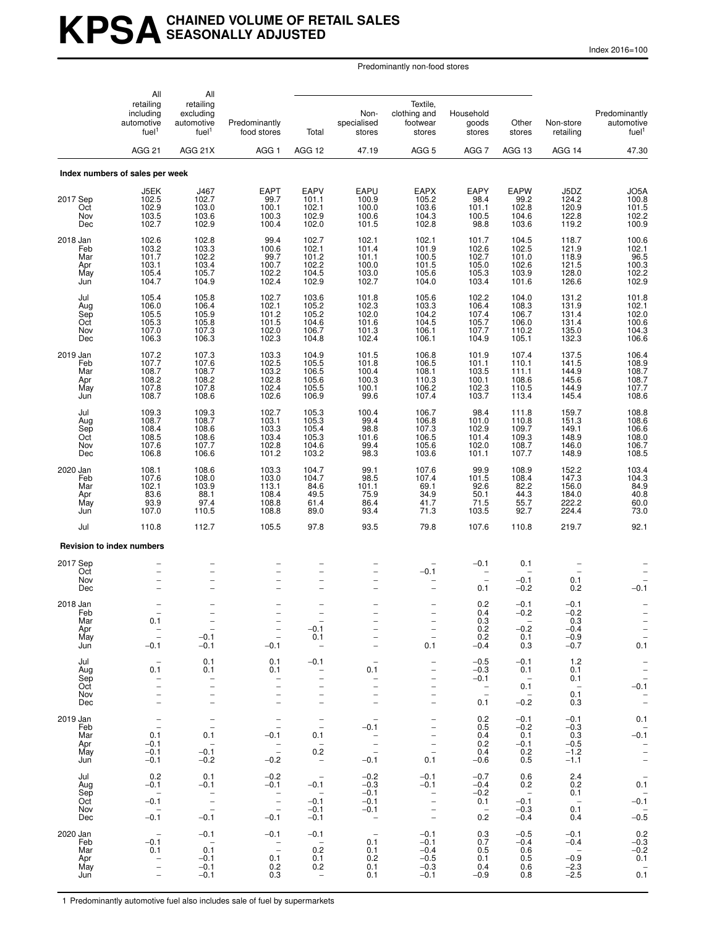# **KPSACHAINED VOLUME OF RETAIL SALES SEASONALLY ADJUSTED**

Index 2016=100

Predominantly non-food stores

|                                             | All                                                                                                                                      | All                                                                                                                        |                                                                                                           |                                                                                                                                |                                                                                                                        |                                                                                                                                          |                                                               |                                                            |                                                          |                                                                                                                       |
|---------------------------------------------|------------------------------------------------------------------------------------------------------------------------------------------|----------------------------------------------------------------------------------------------------------------------------|-----------------------------------------------------------------------------------------------------------|--------------------------------------------------------------------------------------------------------------------------------|------------------------------------------------------------------------------------------------------------------------|------------------------------------------------------------------------------------------------------------------------------------------|---------------------------------------------------------------|------------------------------------------------------------|----------------------------------------------------------|-----------------------------------------------------------------------------------------------------------------------|
|                                             | retailing<br>including<br>automotive<br>fuel <sup>1</sup>                                                                                | retailing<br>excluding<br>automotive<br>fuel <sup>1</sup>                                                                  | Predominantly<br>food stores                                                                              | Total                                                                                                                          | Non-<br>specialised<br>stores                                                                                          | Textile,<br>clothing and<br>footwear<br>stores                                                                                           | Household<br>goods<br>stores                                  | Other<br>stores                                            | Non-store<br>retailing                                   | Predominantly<br>automotive<br>fuel <sup>1</sup>                                                                      |
|                                             | <b>AGG 21</b>                                                                                                                            | AGG 21X                                                                                                                    | AGG <sub>1</sub>                                                                                          | AGG 12                                                                                                                         | 47.19                                                                                                                  | AGG <sub>5</sub>                                                                                                                         | AGG <sub>7</sub>                                              | AGG 13                                                     | AGG 14                                                   | 47.30                                                                                                                 |
|                                             | Index numbers of sales per week                                                                                                          |                                                                                                                            |                                                                                                           |                                                                                                                                |                                                                                                                        |                                                                                                                                          |                                                               |                                                            |                                                          |                                                                                                                       |
| 2017 Sep<br>Oct<br>Nov<br>Dec               | J5EK<br>102.5<br>102.9<br>103.5<br>102.7                                                                                                 | J467<br>102.7<br>103.0<br>103.6<br>102.9                                                                                   | <b>EAPT</b><br>99.7<br>100.1<br>100.3<br>100.4                                                            | EAPV<br>101.1<br>102.1<br>102.9<br>102.0                                                                                       | EAPU<br>100.9<br>100.0<br>100.6<br>101.5                                                                               | <b>EAPX</b><br>105.2<br>103.6<br>104.3<br>102.8                                                                                          | EAPY<br>98.4<br>101.1<br>100.5<br>98.8                        | EAPW<br>99.2<br>102.8<br>104.6<br>103.6                    | J5DZ<br>124.2<br>120.9<br>122.8<br>119.2                 | JO5A<br>$\begin{array}{c} 100.8 \\ 101.5 \\ 102.2 \\ 100.9 \end{array}$                                               |
| 2018 Jan<br>Feb<br>Mar<br>Apr<br>May<br>Jun | 102.6<br>103.2<br>101.7<br>103.1<br>105.4<br>104.7                                                                                       | 102.8<br>103.3<br>102.2<br>103.4<br>105.7<br>104.9                                                                         | 99.4<br>100.6<br>99.7<br>100.7<br>102.2<br>102.4                                                          | 102.7<br>102.1<br>101.2<br>102.2<br>104.5<br>102.9                                                                             | 102.1<br>101.4<br>101.1<br>100.0<br>103.0<br>102.7                                                                     | 102.1<br>101.9<br>100.5<br>101.5<br>105.6<br>104.0                                                                                       | 101.7<br>102.6<br>102.7<br>105.0<br>105.3<br>103.4            | 104.5<br>102.5<br>101.0<br>102.6<br>103.9<br>101.6         | 118.7<br>121.9<br>118.9<br>121.5<br>128.0<br>126.6       | 100.6<br>102.1<br>102.1<br>96.5<br>100.3<br>102.2<br>102.9                                                            |
| Jul<br>Aug<br>Sep<br>Oct<br>Nov<br>Dec      | 105.4<br>106.0<br>105.5<br>105.3<br>107.0<br>106.3                                                                                       | 105.8<br>106.4<br>105.9<br>105.8<br>107.3<br>106.3                                                                         | 102.7<br>102.1<br>101.2<br>101.5<br>102.0<br>102.3                                                        | 103.6<br>105.2<br>105.2<br>104.6<br>106.7<br>104.8                                                                             | 101.8<br>102.3<br>102.0<br>101.6<br>101.3<br>102.4                                                                     | 105.6<br>103.3<br>104.2<br>104.5<br>106.1<br>106.1                                                                                       | 102.2<br>106.4<br>107.4<br>105.7<br>107.7<br>104.9            | 104.0<br>108.3<br>106.7<br>106.0<br>110.2<br>105.1         | 131.2<br>131.9<br>131.4<br>131.4<br>135.0<br>132.3       | 101.8<br>102.1<br>$102.0$<br>$100.6$<br>$104.3$<br>106.6                                                              |
| 2019 Jan<br>Feb<br>Mar<br>Apr<br>May<br>Jun | 107.2<br>107.7<br>108.7<br>108.2<br>107.8<br>108.7                                                                                       | 107.3<br>107.6<br>108.7<br>108.2<br>107.8<br>108.6                                                                         | 103.3<br>102.5<br>103.2<br>102.8<br>102.4<br>102.6                                                        | 104.9<br>105.5<br>106.5<br>105.6<br>105.5<br>106.9                                                                             | 101.5<br>101.8<br>100.4<br>100.3<br>100.1<br>99.6                                                                      | 106.8<br>106.5<br>108.1<br>110.3<br>106.2<br>107.4                                                                                       | 101.9<br>101.1<br>103.5<br>100.1<br>102.3<br>103.7            | 107.4<br>110.1<br>111.1<br>108.6<br>110.5<br>113.4         | 137.5<br>141.5<br>144.9<br>145.6<br>144.9<br>145.4       | 106.4<br>108.9<br>108.7<br>108.7<br>107.7<br>108.6                                                                    |
| Jul<br>Aug<br>Sep<br>Oct<br>Nov<br>Dec      | 109.3<br>108.7<br>108.4<br>108.5<br>107.6<br>106.8                                                                                       | 109.3<br>108.7<br>108.6<br>108.6<br>107.7<br>106.6                                                                         | 102.7<br>103.1<br>103.3<br>103.4<br>102.8<br>101.2                                                        | 105.3<br>105.3<br>105.4<br>105.3<br>104.6<br>103.2                                                                             | 100.4<br>99.4<br>98.8<br>101.6<br>99.4<br>98.3                                                                         | 106.7<br>106.8<br>107.3<br>106.5<br>105.6<br>103.6                                                                                       | 98.4<br>101.0<br>102.9<br>101.4<br>102.0<br>101.1             | 111.8<br>110.8<br>109.7<br>109.3<br>108.7<br>107.7         | 159.7<br>151.3<br>149.1<br>148.9<br>146.0<br>148.9       | 108.8<br>108.6<br>106.6<br>108.0<br>106.7<br>108.5                                                                    |
| 2020 Jan<br>Feb<br>Mar<br>Apr<br>May<br>Jun | 108.1<br>107.6<br>102.1<br>83.6<br>93.9<br>107.0                                                                                         | 108.6<br>108.0<br>103.9<br>88.1<br>97.4<br>110.5                                                                           | 103.3<br>103.0<br>113.1<br>108.4<br>108.8<br>108.8                                                        | 104.7<br>104.7<br>84.6<br>49.5<br>61.4<br>89.0                                                                                 | 99.1<br>98.5<br>101.1<br>75.9<br>86.4<br>93.4                                                                          | 107.6<br>107.4<br>69.1<br>34.9<br>41.7<br>71.3                                                                                           | 99.9<br>101.5<br>92.6<br>50.1<br>71.5<br>103.5                | 108.9<br>108.4<br>82.2<br>44.3<br>55.7<br>92.7             | 152.2<br>147.3<br>156.0<br>184.0<br>222.2<br>224.4       | 103.4<br>104.3<br>84.9<br>40.8<br>60.0<br>73.0                                                                        |
| Jul                                         | 110.8                                                                                                                                    | 112.7                                                                                                                      | 105.5                                                                                                     | 97.8                                                                                                                           | 93.5                                                                                                                   | 79.8                                                                                                                                     | 107.6                                                         | 110.8                                                      | 219.7                                                    | 92.1                                                                                                                  |
|                                             | <b>Revision to index numbers</b>                                                                                                         |                                                                                                                            |                                                                                                           |                                                                                                                                |                                                                                                                        |                                                                                                                                          |                                                               |                                                            |                                                          |                                                                                                                       |
| 2017 Sep<br>Oct<br>Nov<br>Dec               | $\overline{\phantom{0}}$                                                                                                                 |                                                                                                                            | $\overline{\phantom{0}}$<br>$\overline{a}$                                                                | $\overline{a}$<br>▃<br>$\overline{\phantom{0}}$                                                                                |                                                                                                                        | $-0.1$                                                                                                                                   | $-0.1$<br>0.1                                                 | 0.1<br>$-0.1$<br>$-0.2$                                    | 0.1<br>0.2                                               | $-0.1$                                                                                                                |
| 2018 Jan<br>Feb<br>Mar<br>Apr<br>May<br>Jun | 0.1<br>$\hspace{0.1cm} -$<br>$\overline{\phantom{a}}$<br>$-0.1$                                                                          | $\overline{\phantom{a}}$<br>$\overline{\phantom{a}}$<br>$-0.1$<br>$-0.1$                                                   | $\overline{\phantom{m}}$<br>$\overline{\phantom{m}}$<br>$-0.1$                                            | $\overline{\phantom{a}}$<br>$-0.1$<br>0.1<br>$\overline{\phantom{a}}$                                                          |                                                                                                                        | $\overline{\phantom{m}}$<br>0.1                                                                                                          | 0.2<br>0.4<br>0.3<br>0.2<br>0.2<br>$-0.4$                     | $-0.1$<br>$-0.2$<br>$-$<br>$-0.2$<br>0.1<br>0.3            | $-0.1$<br>$-0.2$<br>0.3<br>$-0.4$<br>$-0.9$<br>$-0.7$    | $\qquad \qquad -$<br>$\qquad \qquad -$<br>$0.\overline{1}$                                                            |
| Jul<br>Aug<br>Sep<br>Oct<br>Nov<br>Dec      | $\overline{\phantom{a}}$<br>0.1<br>$\overline{\phantom{m}}$<br>$\overline{\phantom{m}}$<br>$\qquad \qquad -$<br>$\overline{\phantom{0}}$ | 0.1<br>0.1<br>$\overline{\phantom{0}}$<br>$\overline{\phantom{a}}$<br>$\overline{\phantom{m}}$<br>$\overline{\phantom{a}}$ | 0.1<br>0.1<br>$\qquad \qquad -$<br>$\overline{\phantom{0}}$<br>$\overline{a}$<br>$\overline{\phantom{0}}$ | $-0.1$<br>$\overline{\phantom{a}}$<br>$\overline{a}$<br>$\overline{\phantom{0}}$<br>$\overline{a}$<br>$\overline{\phantom{a}}$ | 0.1                                                                                                                    | $\qquad \qquad -$<br>$\overline{\phantom{0}}$<br>-<br>$\qquad \qquad -$<br>$\overline{\phantom{0}}$<br>$\bar{\phantom{a}}$               | $-0.5$<br>$-0.3$<br>$-0.1$<br>$\overline{\phantom{a}}$<br>0.1 | $-0.1$<br>0.1<br>$\sim$<br>0.1<br>$\overline{a}$<br>$-0.2$ | 1.2<br>0.1<br>0.1<br>$\sim$<br>0.1<br>0.3                | $\bar{a}$<br>$\overline{\phantom{a}}$<br>$-0.1$<br>$\hspace{0.1cm}$ –<br>$\equiv$                                     |
| 2019 Jan<br>Feb<br>Mar<br>Apr<br>May<br>Jun | $\overline{\phantom{a}}$<br>$\overline{\phantom{a}}$<br>0.1<br>$-0.1$<br>$-0.1$<br>$-0.1$                                                | $\overline{\phantom{a}}$<br>$\overline{\phantom{m}}$<br>0.1<br>$\sim$ $-$<br>$-0.1$<br>$-0.2$                              | $\overline{\phantom{a}}$<br>$\overline{\phantom{a}}$<br>$-0.1$<br>$\bar{\mathbb{Z}}$<br>$-0.2$            | $\overline{\phantom{a}}$<br>$\overline{\phantom{a}}$<br>0.1<br>$\overline{\phantom{a}}$<br>0.2<br>$\sim$                       | $\qquad \qquad -$<br>$-0.1$<br>$\hspace{0.1mm}-\hspace{0.1mm}$<br>$\overline{\phantom{a}}$<br>$\overline{a}$<br>$-0.1$ | $\qquad \qquad -$<br>$\overline{\phantom{a}}$<br>$\overline{\phantom{a}}$<br>$\overline{\phantom{0}}$<br>$\overline{\phantom{a}}$<br>0.1 | 0.2<br>0.5<br>0.4<br>0.2<br>0.4<br>$-0.6$                     | $-0.1$<br>$-0.2$<br>0.1<br>$-0.1$<br>0.2<br>0.5            | $-0.1$<br>$-0.3$<br>0.3<br>$-0.5$<br>$-1.2$<br>$-1.1$    | 0.1<br>$\hspace{0.1mm}$<br>$-0.1$<br>$\overline{\phantom{a}}$<br>$\overline{\phantom{a}}$<br>$\overline{\phantom{m}}$ |
| Jul<br>Aug<br>Sep<br>Oct<br>Nov<br>Dec      | 0.2<br>$-0.1$<br>$\sim$<br>$-0.1$<br>$\sim$<br>$-0.1$                                                                                    | 0.1<br>$-0.1$<br>$\overline{a}$<br>$\frac{1}{2}$<br>$-0.1$                                                                 | $-0.2$<br>$-0.1$<br>$\hspace{0.1mm}-\hspace{0.1mm}$<br>$\bar{z}$<br>$-0.1$                                | $\hspace{0.1mm}-\hspace{0.1mm}$<br>$-0.1$<br>$\sim$<br>$-0.1$<br>$-0.1$<br>$-0.1$                                              | $-0.2$<br>$-0.3$<br>$-0.1$<br>$-0.1$<br>$-0.1$<br>$\sim$                                                               | $-0.1$<br>$-0.1$<br>$\overline{\phantom{a}}$<br>$\overline{\phantom{a}}$<br>$\overline{\phantom{a}}$<br>$\overline{\phantom{a}}$         | $-0.7$<br>$-0.4$<br>$-0.2$<br>0.1<br>$\sim$<br>0.2            | 0.6<br>0.2<br>$\sim$<br>$-0.1$<br>$-0.3$<br>$-0.4$         | 2.4<br>0.2<br>0.1<br>$\sim$ $-$<br>0.1<br>0.4            | $\overline{\phantom{a}}$<br>0.1<br>$-0.\overline{1}$<br>$-0.\overline{5}$                                             |
| 2020 Jan<br>Feb<br>Mar<br>Apr<br>May<br>Jun | $-0.1$<br>0.1<br>$\bar{z}$<br>$\overline{\phantom{a}}$                                                                                   | $-0.1$<br>$\sim$ $-$<br>0.1<br>$-0.1$<br>$-0.1$<br>$-0.1$                                                                  | $-0.1$<br>$\hspace{0.1cm}$ –<br>$\overline{a}$<br>0.1<br>0.2<br>0.3                                       | $-0.1$<br>$\sim$<br>0.2<br>0.1<br>0.2<br>$\hspace{0.1mm}-\hspace{0.1mm}$                                                       | $\sim$<br>0.1<br>0.1<br>0.2<br>0.1<br>0.1                                                                              | $-0.1$<br>$-0.1$<br>$-0.4$<br>$-0.5$<br>$-0.3$<br>$-0.1$                                                                                 | 0.3<br>0.7<br>0.5<br>0.1<br>0.4<br>$-0.9$                     | $-0.5$<br>$-0.4$<br>0.6<br>0.5<br>0.6<br>0.8               | $-0.1$<br>$-0.4$<br>$\sim$<br>$-0.9$<br>$-2.3$<br>$-2.5$ | $-0.2$<br>$-0.3$<br>$-0.2$<br>0.1<br>0.1                                                                              |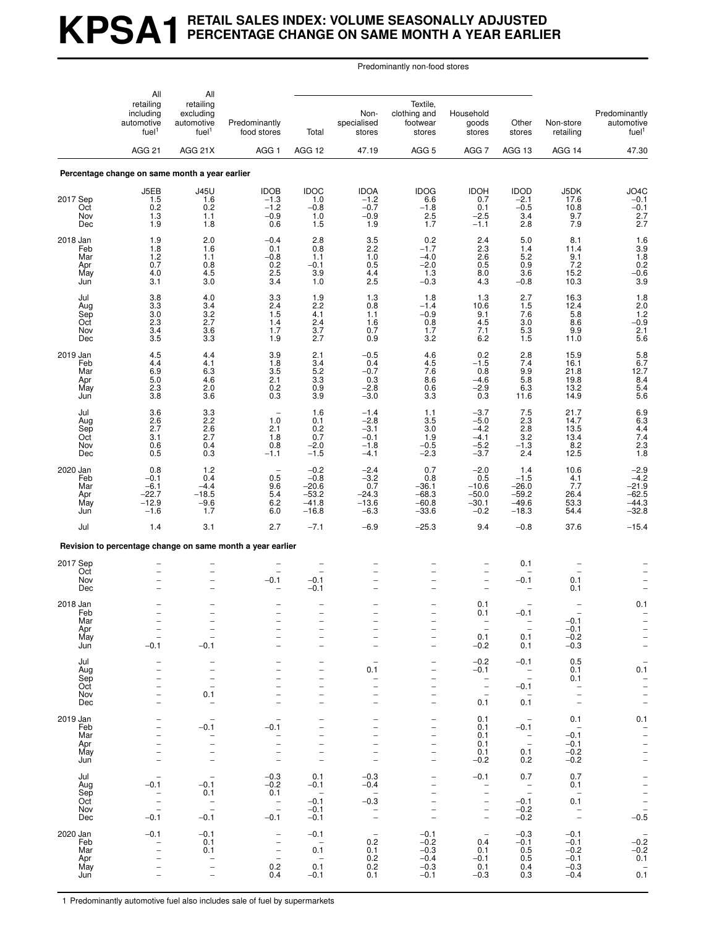# **KPSA1 RETAIL SALES INDEX: VOLUME SEASONALLY ADJUSTED PERCENTAGE CHANGE ON SAME MONTH A YEAR EARLIER**

Predominantly non-food stores

|                                             | All                                                                                   | All                                                                                                                    |                                                                                                                     |                                                                                                              |                                                          |                                                                                                                                     |                                                                                                                      |                                                                                 |                                                                                                       |                                                                                                      |
|---------------------------------------------|---------------------------------------------------------------------------------------|------------------------------------------------------------------------------------------------------------------------|---------------------------------------------------------------------------------------------------------------------|--------------------------------------------------------------------------------------------------------------|----------------------------------------------------------|-------------------------------------------------------------------------------------------------------------------------------------|----------------------------------------------------------------------------------------------------------------------|---------------------------------------------------------------------------------|-------------------------------------------------------------------------------------------------------|------------------------------------------------------------------------------------------------------|
|                                             | retailing<br>including<br>automotive<br>fuel <sup>1</sup>                             | retailing<br>excluding<br>automotive<br>fuel <sup>1</sup>                                                              | Predominantly<br>food stores                                                                                        | Total                                                                                                        | Non-<br>specialised<br>stores                            | Textile,<br>clothing and<br>footwear<br>stores                                                                                      | Household<br>goods<br>stores                                                                                         | Other<br>stores                                                                 | Non-store<br>retailing                                                                                | Predominantly<br>automotive<br>fuel <sup>1</sup>                                                     |
|                                             | AGG <sub>21</sub>                                                                     | AGG 21X                                                                                                                | AGG <sub>1</sub>                                                                                                    | AGG 12                                                                                                       | 47.19                                                    | AGG <sub>5</sub>                                                                                                                    | AGG <sub>7</sub>                                                                                                     | AGG 13                                                                          | AGG 14                                                                                                | 47.30                                                                                                |
|                                             | Percentage change on same month a year earlier                                        |                                                                                                                        |                                                                                                                     |                                                                                                              |                                                          |                                                                                                                                     |                                                                                                                      |                                                                                 |                                                                                                       |                                                                                                      |
| 2017 Sep<br>Oct<br>Nov<br>Dec               | J5EB<br>1.5<br>0.2<br>1.3<br>1.9                                                      | <b>J45U</b><br>1.6<br>0.2<br>1.1<br>1.8                                                                                | <b>IDOB</b><br>$-1.3$<br>$-1.2$<br>$-0.9$<br>0.6                                                                    | <b>IDOC</b><br>1.0<br>$-0.8$<br>1.0<br>1.5                                                                   | <b>IDOA</b><br>$-1.2$<br>$-0.7$<br>$-0.9$<br>1.9         | <b>IDOG</b><br>6.6<br>$-1.8$<br>2.5<br>1.7                                                                                          | <b>IDOH</b><br>0.7<br>0.1<br>$-2.5$<br>$-1.1$                                                                        | <b>IDOD</b><br>$-2.1$<br>$-0.5$<br>3.4<br>2.8                                   | J5DK<br>17.6<br>10.8<br>9.7<br>7.9                                                                    | JO4C<br>$-0.1$<br>$-0.1$<br>$2.7$<br>$2.7$                                                           |
| 2018 Jan<br>Feb<br>Mar<br>Apr<br>May<br>Jun | 1.9<br>1.8<br>1.2<br>0.7<br>4.0<br>3.1                                                | 2.0<br>1.6<br>1.1<br>0.8<br>4.5<br>3.0                                                                                 | $-0.4$<br>0.1<br>$-0.8$<br>0.2<br>2.5<br>3.4                                                                        | 2.8<br>0.8<br>1.1<br>$-0.1$<br>3.9<br>1.0                                                                    | $\frac{3.5}{2.2}$<br>1.0<br>0.5<br>4.4<br>2.5            | $0.2 - 1.7$<br>$-4.0$<br>$-2.0$<br>1.3<br>$-0.3$                                                                                    | 2.4<br>2.3<br>2.6<br>0.5<br>8.0<br>4.3                                                                               | 5.0<br>1.4<br>5.2<br>0.9<br>3.6<br>$-0.8$                                       | 8.1<br>11.4<br>9.1<br>7.2<br>15.2<br>10.3                                                             | $1.6$<br>$3.9$<br>$1.8$<br>$0.2$<br>$-0.6$<br>3.9                                                    |
| Jul<br>Aug<br>Sep<br>Oct<br>Nov<br>Dec      | 3.8<br>3.3<br>3.0<br>2.3<br>3.4<br>3.5                                                | 4.0<br>3.4<br>$\frac{3.2}{2.7}$<br>3.6<br>3.3                                                                          | 3.3<br>2.4<br>1.5<br>1.4<br>1.7<br>1.9                                                                              | 1.9<br>2.2<br>4.1<br>2.4<br>3.7<br>2.7                                                                       | 1.3<br>0.8<br>1.1<br>1.6<br>0.7<br>0.9                   | 1.8<br>$-1.4$<br>$-0.9$<br>0.8<br>1.7<br>3.2                                                                                        | 1.3<br>10.6<br>9.1<br>4.5<br>7.1<br>6.2                                                                              | 2.7<br>1.5<br>7.6<br>3.0<br>$\frac{5.3}{1.5}$                                   | 16.3<br>12.4<br>5.8<br>8.6<br>9.9<br>11.0                                                             | 1.8<br>$2.0$<br>$1.2$<br>$-0.9$<br>$\frac{2.1}{5.6}$                                                 |
| 2019 Jan<br>Feb<br>Mar<br>Apr<br>May<br>Jun | 4.5<br>4.4<br>6.9<br>5.0<br>2.3<br>3.8                                                | 4.4<br>4.1<br>6.3<br>4.6<br>2.0<br>$3.\overline{6}$                                                                    | 3.9<br>1.8<br>$3.\overline{5}$<br>2.1<br>0.2<br>0.3                                                                 | 2.1<br>3.4<br>5.2<br>$\begin{array}{c} 3.3 \\ 0.9 \end{array}$<br>3.9                                        | $-0.5$<br>0.4<br>$-0.7$<br>0.3<br>$-2.8$<br>$-3.0$       | 4.6<br>4.5<br>7.6<br>8.6<br>0.6<br>3.3                                                                                              | $0.2 - 1.5$<br>0.8<br>$-4.6$<br>$-2.9$<br>0.3                                                                        | $\frac{2.8}{7.4}$<br>9.9<br>$\frac{5.8}{6.3}$<br>11.6                           | 15.9<br>16.1<br>21.8<br>19.8<br>13.2<br>14.9                                                          | $5.8$<br>$6.7$<br>$12.7$<br>$8.4$<br>5.4<br>5.6                                                      |
| Jul<br>Aug<br>Sep<br>Oct<br>Nov<br>Dec      | 3.6<br>2.6<br>2.7<br>3.1<br>0.6<br>0.5                                                | $\frac{3.3}{2.2}$<br>2.6<br>2.7<br>0.4<br>0.3                                                                          | $\overline{\phantom{m}}$<br>1.0<br>2.1<br>1.8<br>0.8<br>$-1.1$                                                      | 1.6<br>0.1<br>$0.2 \\ 0.7$<br>$-2.0$<br>$-1.5$                                                               | $-1.4$<br>$-2.8$<br>$-3.1$<br>$-0.1$<br>$-1.8$<br>$-4.1$ | 1.1<br>3.5<br>3.0<br>1.9<br>$-0.5$<br>$-2.3$                                                                                        | $-3.7$<br>$-5.0$<br>$-4.2$<br>$-4.1$<br>$-5.2$<br>$-3.7$                                                             | 7.5<br>$2.\overline{3}$<br>2.8<br>3.2<br>$-1.3$<br>2.4                          | 21.7<br>14.7<br>13.5<br>13.4<br>8.2<br>12.5                                                           | 6.9<br>6.3<br>4.4<br>7.4<br>2.3<br>1.8                                                               |
| 2020 Jan<br>Feb<br>Mar<br>Apr<br>May<br>Jun | 0.8<br>$-0.1$<br>$-6.1$<br>$-22.7$<br>$-12.9$<br>$-1.6$                               | 1.2<br>0.4<br>$-4.4$<br>$-18.5$<br>$-9.6$<br>1.7                                                                       | $\overline{\phantom{0}}$<br>0.5<br>9.6<br>5.4<br>6.2<br>6.0                                                         | $-0.2$<br>$-0.8$<br>$-20.6$<br>$-53.2$<br>$-41.8$<br>$-16.8$                                                 | $-2.4$<br>$-3.2$<br>0.7<br>$-24.3$<br>$-13.6$<br>$-6.3$  | 0.7<br>0.8<br>$-36.1$<br>-68.3<br>$-60.8$<br>$-33.6$                                                                                | $-2.0$<br>0.5<br>$-10.6$<br>$-50.0$<br>$-30.1$<br>$-0.2$                                                             | 1.4<br>$-1.5$<br>$-26.0$<br>$-59.2$<br>$-49.6$<br>$-18.3$                       | 10.6<br>4.1<br>7.7<br>26.4<br>53.3<br>54.4                                                            | $-2.9$<br>$-4.2$<br>$-21.9$<br>$-62.5$<br>$-44.3$<br>$-32.8$                                         |
| Jul                                         | 1.4                                                                                   | 3.1                                                                                                                    | 2.7                                                                                                                 | $-7.1$                                                                                                       | $-6.9$                                                   | $-25.3$                                                                                                                             | 9.4                                                                                                                  | $-0.8$                                                                          | 37.6                                                                                                  | $-15.4$                                                                                              |
|                                             |                                                                                       |                                                                                                                        | Revision to percentage change on same month a year earlier                                                          |                                                                                                              |                                                          |                                                                                                                                     |                                                                                                                      |                                                                                 |                                                                                                       |                                                                                                      |
| 2017 Sep<br>Oct<br>Nov<br>Dec               |                                                                                       |                                                                                                                        | $-0.1$                                                                                                              | $-0.1$<br>$-0.1$                                                                                             |                                                          |                                                                                                                                     | $\overline{\phantom{a}}$<br>۰                                                                                        | 0.1<br>$-0.1$                                                                   | 0.1<br>0.1                                                                                            |                                                                                                      |
| 2018 Jan<br>Feb<br>Mar<br>Apr<br>May<br>Jun | $\overline{a}$<br>$\overline{\phantom{0}}$<br>$-0.1$                                  | $\overline{\phantom{0}}$<br>$-0.1$                                                                                     |                                                                                                                     | $\overline{\phantom{0}}$<br>$\overline{\phantom{0}}$<br>$\overline{\phantom{0}}$                             |                                                          | $\overline{a}$<br>$\qquad \qquad -$                                                                                                 | 0.1<br>0.1<br>$\overline{\phantom{a}}$<br>0.1<br>$-0.2$                                                              | $-0.1$<br>$\overline{\phantom{a}}$<br>$\overline{\phantom{a}}$<br>0.1<br>0.1    | $-0.1$<br>$-0.1$<br>$-0.2$<br>$-0.3$                                                                  | 0.1<br>$\bar{a}$                                                                                     |
| Jul<br>Aug<br>Sep<br>Oct<br>Nov<br>Dec      | -<br>$\overline{\phantom{0}}$<br>$\overline{\phantom{0}}$<br>$\overline{\phantom{0}}$ | $\qquad \qquad -$<br>$\qquad \qquad -$<br>$\overline{\phantom{0}}$<br>$\frac{1}{2}$<br>0.1<br>$\overline{\phantom{m}}$ | -<br>$\overline{\phantom{0}}$<br>$\overline{\phantom{0}}$<br>$\overline{\phantom{0}}$                               | -<br>-<br>$\overline{\phantom{0}}$<br>$\overline{\phantom{0}}$                                               | 0.1<br>$\overline{\phantom{a}}$                          | $\qquad \qquad -$<br>-<br>$\overline{a}$<br>$\overline{\phantom{0}}$<br>$\overline{\phantom{0}}$                                    | $-0.2$<br>$-0.1$<br>$\hspace{0.1cm}$ $\hspace{0.1cm}$<br>$\overline{\phantom{a}}$<br>$\overline{\phantom{a}}$<br>0.1 | $-0.1$<br>$\overline{\phantom{a}}$<br>$-0.1$<br>$\sim$<br>0.1                   | 0.5<br>0.1<br>0.1<br>$\overline{\phantom{a}}$<br>$\overline{\phantom{a}}$<br>$\overline{\phantom{a}}$ | $\overline{\phantom{a}}$<br>0.1<br>$\overline{\phantom{0}}$<br>$\overline{\phantom{0}}$<br>$\bar{a}$ |
| 2019 Jan<br>Feb<br>Mar<br>Apr<br>May<br>Jun | -<br>$\overline{\phantom{0}}$<br>$\overline{\phantom{0}}$<br>$\overline{\phantom{0}}$ | $-0.1$<br>$\qquad \qquad -$<br>$\qquad \qquad -$<br>$\overline{\phantom{0}}$<br>$\bar{\phantom{a}}$                    | $\overbrace{\phantom{1232211}}$<br>$-0.1$<br>$\overline{\phantom{a}}$<br>$\bar{a}$<br>$\overline{\phantom{a}}$      | $\overline{\phantom{0}}$<br>$\overline{\phantom{0}}$<br>$\overline{\phantom{0}}$<br>$\overline{\phantom{0}}$ |                                                          | -<br>$\overline{\phantom{0}}$<br>$\overline{a}$<br>$\overline{\phantom{0}}$<br>$\overline{\phantom{0}}$<br>$\overline{\phantom{0}}$ | 0.1<br>0.1<br>0.1<br>0.1<br>0.1<br>$-0.2$                                                                            | $\sim$<br>$-0.1$<br>$\sim$ $-$<br>$\hspace{0.1mm}-\hspace{0.1mm}$<br>0.1<br>0.2 | 0.1<br>$\sim$<br>$-0.1$<br>$-0.1$<br>$-0.2$<br>$-0.2$                                                 | 0.1<br>$\overline{\phantom{a}}$<br>$\bar{a}$<br>$\frac{1}{1}$                                        |
| Jul<br>Aug<br>Sep<br>Oct<br>Nov<br>Dec      | $-0.1$<br>-<br>$\equiv$<br>$\frac{1}{2}$<br>$-0.1$                                    | $\qquad \qquad -$<br>$-0.1$<br>0.1<br>$\overline{a}$<br>$-0.1$                                                         | $-0.3$<br>$-0.2$<br>0.1<br>$\sim$<br>$\overline{\phantom{a}}$<br>$-0.1$                                             | 0.1<br>$-0.1$<br>$\sim$<br>$-0.1$<br>$-0.1$<br>$-0.1$                                                        | $-0.3$<br>$-0.4$<br>$-0.3$<br>$\sim$                     | $\overline{\phantom{0}}$<br>$\overline{a}$<br>$\overline{\phantom{0}}$<br>$\overline{\phantom{m}}$                                  | $-0.1$<br>$\overline{\phantom{m}}$<br>-<br>$\overline{\phantom{a}}$<br>$\overline{\phantom{a}}$                      | 0.7<br>$\overline{\phantom{a}}$<br>$-0.1$<br>$-0.2$<br>$-0.2$                   | 0.7<br>0.1<br>0.1<br>$\sim$ $-$                                                                       | $\frac{1}{2}$<br>$\frac{1}{2}$<br>$\frac{1}{2}$<br>$\frac{1}{2}$<br>$\frac{1}{2}$                    |
| 2020 Jan<br>Feb<br>Mar<br>Apr<br>May<br>Jun | $-0.1$<br>-<br>$\overline{a}$                                                         | $-0.1$<br>0.1<br>0.1<br>$\bar{a}$                                                                                      | $\qquad \qquad -$<br>$\overline{\phantom{a}}$<br>$\overline{\phantom{0}}$<br>$\overline{\phantom{a}}$<br>0.2<br>0.4 | $-0.1$<br>$\sim$<br>0.1<br>$\overline{\phantom{a}}$<br>0.1<br>$-0.1$                                         | $-$<br>0.2<br>0.1<br>0.2<br>0.2<br>0.1                   | $-0.1$<br>$-0.2$<br>$-0.3$<br>$-0.4$<br>$-0.3$<br>$-0.1$                                                                            | $\hspace{0.1mm}-\hspace{0.1mm}$<br>0.4<br>0.1<br>$-0.1$<br>0.1<br>$-0.3$                                             | $-0.3$<br>$-0.1$<br>0.5<br>0.5<br>0.4<br>0.3                                    | $-0.1$<br>$-0.1$<br>$-0.2$<br>$-0.1$<br>$-0.3$<br>$-0.4$                                              | $-0.\overline{2}$<br>$-0.2$<br>0.1<br>0.1                                                            |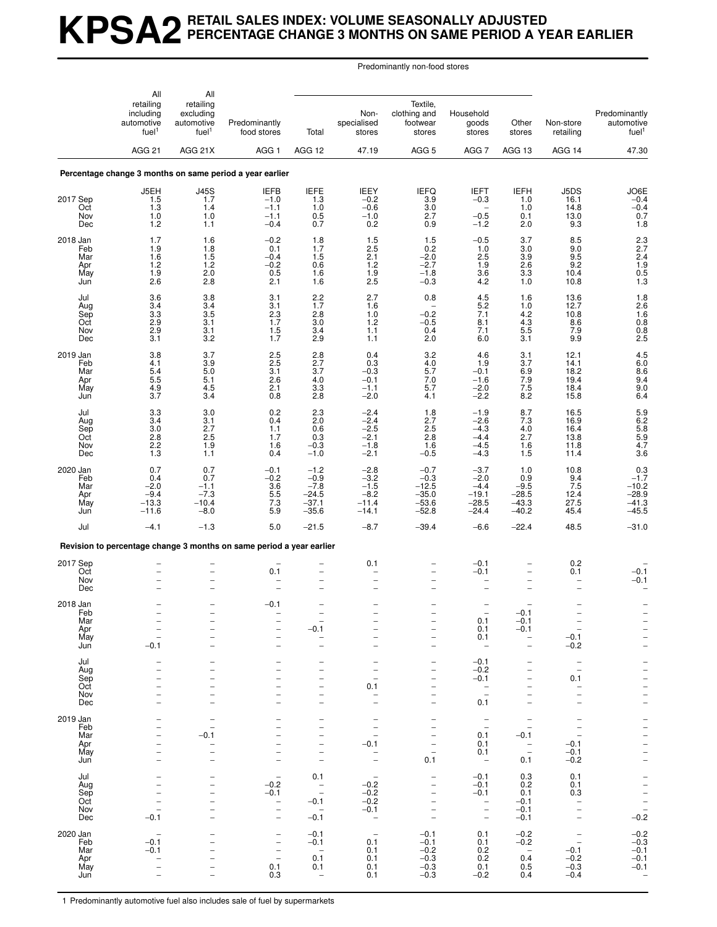## **KPSA2 RETAIL SALES INDEX: VOLUME SEASONALLY ADJUSTED PERCENTAGE CHANGE 3 MONTHS ON SAME PERIOD A YEAR EARLIER**

Predominantly non-food stores

|                        | All                                                       | All                                                       |                                                                      |                                                             |                                    |                                                      |                                                             |                                                                    |                                                             |                                                    |
|------------------------|-----------------------------------------------------------|-----------------------------------------------------------|----------------------------------------------------------------------|-------------------------------------------------------------|------------------------------------|------------------------------------------------------|-------------------------------------------------------------|--------------------------------------------------------------------|-------------------------------------------------------------|----------------------------------------------------|
|                        | retailing<br>including<br>automotive<br>fuel <sup>1</sup> | retailing<br>excluding<br>automotive<br>fuel <sup>1</sup> | Predominantly<br>food stores                                         | Total                                                       | Non-<br>specialised<br>stores      | Textile,<br>clothing and<br>footwear<br>stores       | Household<br>goods<br>stores                                | Other<br>stores                                                    | Non-store<br>retailing                                      | Predominantly<br>automotive<br>fuel <sup>1</sup>   |
|                        | <b>AGG 21</b>                                             | AGG 21X                                                   | AGG <sub>1</sub>                                                     | AGG 12                                                      | 47.19                              | AGG <sub>5</sub>                                     | AGG <sub>7</sub>                                            | AGG 13                                                             | AGG 14                                                      | 47.30                                              |
|                        |                                                           |                                                           | Percentage change 3 months on same period a year earlier             |                                                             |                                    |                                                      |                                                             |                                                                    |                                                             |                                                    |
| 2017 Sep               | J5EH<br>1.5                                               | J45S<br>1.7                                               | <b>IEFB</b><br>$-1.0$                                                | IEFE<br>1.3                                                 | IEEY<br>$-0.2$                     | IEFQ<br>3.9                                          | <b>IEFT</b><br>$-0.3$                                       | <b>IEFH</b><br>1.0                                                 | J5DS<br>16.1                                                | JO6E<br>$-0.4$                                     |
| Oct<br>Nov<br>Dec      | 1.3<br>$1.0$<br>1.2                                       | 1.4<br>1.0<br>1.1                                         | $-1.1$<br>$-1.1$<br>$-0.4$                                           | 1.0<br>0.5<br>0.7                                           | $-0.6$<br>$-1.0$<br>0.2            | 3.0<br>2.7<br>0.9                                    | $-0.5$<br>$-1.2$                                            | 1.0<br>0.1<br>2.0                                                  | 14.8<br>13.0<br>9.3                                         | $-0.4$<br>0.7<br>1.8                               |
| 2018 Jan<br>Feb        | 1.7<br>1.9                                                | 1.6<br>1.8                                                | $-0.2$<br>0.1                                                        | $1.8$<br>1.7                                                | $\frac{1.5}{2.5}$                  | 1.5<br>0.2                                           | $-0.5$<br>1.0                                               | 3.7<br>3.0                                                         | $\substack{8.5 \\ 9.0}$                                     | $^{2.3}_{2.7}$                                     |
| Mar<br>Apr<br>May      | 1.6<br>1.2                                                | $1.5$<br>$\frac{1.2}{2.0}$                                | $-0.4$<br>$-0.2$                                                     | 1.5<br>0.6                                                  | 2.1<br>$\frac{1.2}{1.9}$           | $-2.0$<br>$-2.7$                                     | 2.5<br>$\frac{1.9}{3.6}$                                    | 3.9<br>2.6                                                         | 9.5<br>9.2                                                  | 2.4                                                |
| Jun                    | 1.9<br>2.6                                                | 2.8                                                       | 0.5<br>2.1                                                           | 1.6<br>1.6                                                  | 2.5                                | $-1.8$<br>$-0.3$                                     | 4.2                                                         | 3.3<br>1.0                                                         | 10.4<br>10.8                                                | $\frac{1.9}{0.5}$<br>1.3                           |
| Jul<br>Aug             | 3.6<br>3.4                                                | 3.8<br>3.4                                                | 3.1<br>3.1                                                           | 2.2<br>1.7                                                  | 2.7<br>1.6                         | 0.8                                                  | 4.5<br>5.2                                                  | 1.6<br>1.0                                                         | 13.6<br>12.7                                                | $\frac{1.8}{2.6}$                                  |
| Sep<br>Oct<br>Nov      | 3.3<br>2.9<br>2.9                                         | 3.5<br>3.1<br>3.1                                         | $^{2.3}_{1.7}$<br>1.5                                                | 2.8<br>3.0<br>3.4                                           | 1.0<br>1.2<br>1.1                  | $-0.2$<br>$-0.5$<br>0.4                              | 7.1<br>8.1<br>7.1                                           | $\frac{4.2}{4.3}$<br>$5.5\,$                                       | 10.8<br>8.6<br>7.9                                          | $\frac{1.6}{0.8}$<br>0.8                           |
| Dec                    | 3.1                                                       | 3.2                                                       | 1.7                                                                  | 2.9                                                         | 1.1                                | 2.0                                                  | 6.0                                                         | 3.1                                                                | 9.9                                                         | 2.5                                                |
| 2019 Jan<br>Feb<br>Mar | 3.8<br>4.1<br>5.4                                         | 3.7<br>$3.9$ $5.0$                                        | $2.5\,$<br>$2.5\,$<br>3.1                                            | 2.8<br>$\frac{2.7}{3.7}$                                    | 0.4<br>$_{-0.3}^{0.3}$             | 3.2<br>4.0<br>5.7                                    | 4.6<br>1.9<br>$-0.1$                                        | 3.1<br>3.7<br>6.9                                                  | 12.1<br>14.1<br>18.2                                        | 4.5<br>$6.0$<br>$8.6$<br>$9.4$                     |
| Apr<br>May             | 5.5<br>$\frac{4.9}{3.7}$                                  | 5.1<br>4.5                                                | 2.6<br>2.1                                                           | 4.0<br>$3.\overline{3}$                                     | $-0.1$<br>$-1.1$                   | 7.0<br>5.7                                           | $-1.6$<br>$-2.0$                                            | 7.9<br>$7.5$<br>8.2                                                | 19.4<br>18.4                                                | 9.0                                                |
| Jun<br>Jul             |                                                           | 3.4<br>3.0                                                | 0.8<br>0.2                                                           | 2.8                                                         | $-2.0$                             | 4.1<br>1.8                                           | $-2.2$<br>$-1.9$                                            | 8.7                                                                | 15.8<br>16.5                                                | 6.4                                                |
| Aug<br>Sep             | $\frac{3.3}{3.4}$<br>3.0                                  | 3.1<br>2.7                                                | 0.4<br>1.1                                                           | $^{2.3}_{2.0}$<br>0.6                                       | $-2.4 -2.4$<br>$-2.5$              | 2.7<br>2.5                                           | $-2.6$<br>$-4.3$                                            | 7.3<br>4.0                                                         | 16.9<br>16.4                                                | 5.9<br>6.2<br>5.8<br>5.9<br>4.7                    |
| Oct<br>Nov<br>Dec      | 2.8<br>2.2<br>1.3                                         | 2.5<br>1.9<br>1.1                                         | 1.7<br>1.6<br>0.4                                                    | 0.3<br>$-0.3$<br>$-1.0$                                     | $-2.1$<br>$-1.8$<br>$-2.1$         | 2.8<br>1.6<br>$-0.5$                                 | $-4.4$<br>$-4.5$<br>$-4.3$                                  | 2.7<br>1.6<br>1.5                                                  | 13.8<br>11.8<br>11.4                                        | 3.6                                                |
| 2020 Jan               | 0.7                                                       | 0.7                                                       | $-0.1$                                                               | $-1.2$                                                      | $-2.8$                             | $-0.7$                                               | $-3.7$                                                      | 1.0                                                                | 10.8                                                        | $0.3 - 1.7$                                        |
| Feb<br>Mar<br>Apr      | 0.4<br>$-2.0$<br>$-9.4$                                   | 0.7<br>$-1.1$<br>$-7.3$                                   | $-0.2$<br>3.6<br>5.5                                                 | $-0.9$<br>$-7.8$<br>$-24.5$                                 | $-3.2$<br>$-1.5$<br>$-8.2$         | $-0.3$<br>$-12.5$<br>$-35.0$                         | $-2.0$<br>$-4.4$<br>$-19.1$                                 | 0.9<br>$-9.5$<br>$-28.5$                                           | 9.4<br>7.5<br>12.4                                          | $-10.2$<br>$-28.9$                                 |
| May<br>Jun             | $-13.3$<br>$-11.6$                                        | $-10.4$<br>$-8.0$                                         | 7.3<br>5.9                                                           | $-37.1$<br>$-35.6$                                          | $-11.4$<br>$-14.1$                 | $-53.6$<br>$-52.8$                                   | $-28.5$<br>$-24.4$                                          | $-43.3$<br>$-40.2$                                                 | 27.5<br>45.4                                                | $-41.3$<br>$-45.5$                                 |
| Jul                    | $-4.1$                                                    | $-1.3$                                                    | 5.0                                                                  | $-21.5$                                                     | $-8.7$                             | $-39.4$                                              | $-6.6$                                                      | $-22.4$                                                            | 48.5                                                        | $-31.0$                                            |
|                        |                                                           |                                                           | Revision to percentage change 3 months on same period a year earlier |                                                             |                                    |                                                      |                                                             |                                                                    |                                                             |                                                    |
| 2017 Sep<br>Oct        |                                                           | -                                                         | 0.1                                                                  | $\overline{\phantom{0}}$                                    | 0.1                                |                                                      | $-0.1$<br>$-0.1$                                            | $\overline{a}$                                                     | ${}^{0.2}_{0.1}$                                            | $-0.1$                                             |
| Nov<br>Dec             |                                                           | $\overline{\phantom{0}}$<br>$\overline{\phantom{0}}$      |                                                                      | $\overline{\phantom{0}}$                                    |                                    |                                                      |                                                             | $\overline{\phantom{0}}$                                           |                                                             | $-0.1$                                             |
| 2018 Jan<br>Feb        |                                                           |                                                           | $-0.1$                                                               |                                                             |                                    |                                                      |                                                             | $-0.1$                                                             |                                                             |                                                    |
| Mar<br>Apr<br>May      |                                                           |                                                           | $\overline{\phantom{0}}$<br>$\overline{\phantom{0}}$                 | $-0.1$                                                      |                                    | $\overline{\phantom{0}}$                             | 0.1<br>0.1<br>0.1                                           | $-0.1$<br>$-0.1$<br>$\qquad \qquad -$                              | $-0.1$                                                      | $\frac{-}{1}$                                      |
| Jun                    | $-0.1$                                                    | $\overline{a}$                                            | $\overline{\phantom{0}}$                                             | $\overline{\phantom{0}}$                                    | $\equiv$                           | $\overline{a}$                                       | $\overline{\phantom{a}}$                                    | $\overline{\phantom{0}}$                                           | $-0.2$                                                      |                                                    |
| Jul<br>Aug<br>Sep      |                                                           | -                                                         | $\qquad \qquad -$                                                    | -<br>$\overline{\phantom{0}}$<br>$\overline{\phantom{0}}$   |                                    | -<br>-<br>$\overline{\phantom{0}}$                   | $-0.1$<br>$-0.2$<br>$-0.1$                                  | $\qquad \qquad -$<br>$\qquad \qquad -$<br>$\overline{\phantom{0}}$ | $\overline{\phantom{a}}$<br>$\overline{\phantom{0}}$<br>0.1 |                                                    |
| Oct<br>Nov             | $\overline{\phantom{0}}$                                  | $\overline{\phantom{a}}$                                  |                                                                      | $\overline{\phantom{0}}$<br>$\overline{a}$                  | 0.1<br>$\overline{\phantom{a}}$    | $\overline{\phantom{0}}$<br>$\overline{\phantom{0}}$ | $\hspace{0.1mm}-\hspace{0.1mm}$<br>$\overline{a}$           | -<br>$\overline{a}$                                                | $\overline{\phantom{a}}$                                    | $      -$                                          |
| Dec<br>2019 Jan        | $\overline{\phantom{0}}$                                  | $\overline{\phantom{0}}$                                  |                                                                      | $\overline{\phantom{0}}$<br>-                               |                                    | $\overline{\phantom{0}}$<br>$\qquad \qquad -$        | 0.1                                                         | $\overline{\phantom{0}}$<br>$\overbrace{\phantom{1232211}}$        | $\overline{\phantom{0}}$                                    |                                                    |
| Feb<br>Mar             |                                                           | $-0.1$                                                    |                                                                      | $\overline{\phantom{0}}$                                    | $\overline{a}$                     | $\overline{\phantom{0}}$                             | $\overline{\phantom{a}}$<br>$\overline{\phantom{a}}$<br>0.1 | $\overline{\phantom{0}}$<br>$-0.1$                                 |                                                             |                                                    |
| Apr<br>May             | $\overline{\phantom{0}}$<br>$\overline{\phantom{0}}$      | $\overline{\phantom{0}}$                                  | $\overline{\phantom{0}}$                                             | $\overline{a}$<br>-                                         | $-0.1$<br>$\overline{\phantom{a}}$ | $\overline{\phantom{0}}$<br>$\overline{a}$           | 0.1<br>0.1                                                  | $\bar{a}$                                                          | $-0.1$<br>$-0.1$                                            | $     -$                                           |
| Jun<br>Jul             | -                                                         | $\overline{\phantom{0}}$                                  | $\qquad \qquad -$                                                    | $\qquad \qquad -$<br>0.1                                    | $\overline{\phantom{a}}$           | 0.1                                                  | $\overline{\phantom{0}}$<br>$-0.1$                          | 0.1<br>0.3                                                         | $-0.2$<br>0.1                                               |                                                    |
| Aug<br>Sep             | $\overline{\phantom{0}}$                                  | $\overline{\phantom{0}}$<br>$\overline{\phantom{0}}$      | $-0.2$<br>$-0.1$                                                     | $\hspace{0.1mm}-\hspace{0.1mm}$<br>$\overline{\phantom{a}}$ | $-0.2$<br>$-0.2$<br>$-0.2$         | $\overline{\phantom{0}}$                             | $-0.1$<br>$-0.1$                                            | 0.2<br>0.1                                                         | 0.1<br>0.3                                                  |                                                    |
| Oct<br>Nov<br>Dec      | $\overline{\phantom{0}}$<br>$-0.1$                        | $\overline{\phantom{0}}$<br>-<br>$\overline{\phantom{0}}$ | $\bar{a}$<br>$\qquad \qquad -$                                       | $-0.1$<br>$\overline{\phantom{0}}$<br>$-0.1$                | $-0.1$<br>$\overline{\phantom{a}}$ | -<br>$\qquad \qquad -$<br>$\overline{\phantom{0}}$   | $\bar{a}$<br>$\qquad \qquad -$                              | $-0.1$<br>$-0.1$<br>$-0.1$                                         | $\overline{\phantom{a}}$<br>$\frac{1}{2}$                   | $\frac{-}{-}$<br>$\frac{-}{-}$<br>$\frac{-}{-0.2}$ |
| 2020 Jan               |                                                           |                                                           |                                                                      | $-0.1$                                                      | $\overline{\phantom{a}}$           | $-0.1$                                               | 0.1                                                         | $-0.2$                                                             | $\overline{\phantom{a}}$                                    | $-0.2$<br>$-0.3$                                   |
| Feb<br>Mar             | $-0.1$<br>$-0.1$                                          | $\overline{\phantom{0}}$<br>$\overline{\phantom{0}}$      | $\qquad \qquad -$<br>$\frac{1}{2}$                                   | $-0.1$<br>$\overline{\phantom{0}}$<br>0.1                   | 0.1<br>0.1<br>0.1                  | $-0.1$<br>$-0.2$<br>$-0.3$                           | 0.1<br>0.2<br>0.2                                           | $-0.2$<br>$\overline{\phantom{0}}$<br>0.4                          | $-0.1$<br>$-0.2$                                            | $-0.1$<br>$-0.1$                                   |
| Apr<br>May<br>Jun      |                                                           |                                                           | 0.1<br>0.3                                                           | 0.1<br>$\overline{\phantom{a}}$                             | 0.1<br>0.1                         | $-0.3$<br>$-0.3$                                     | 0.1<br>$-0.2$                                               | 0.5<br>0.4                                                         | $-0.3$<br>$-0.4$                                            | $-0.1$                                             |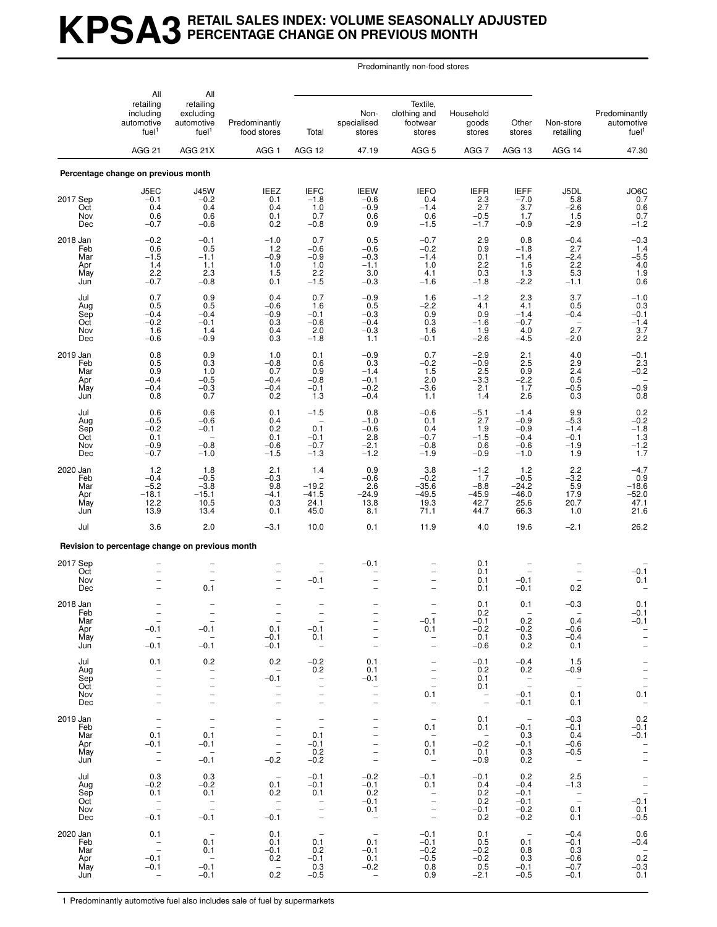## **KPSA3 RETAIL SALES INDEX: VOLUME SEASONALLY ADJUSTED PERCENTAGE CHANGE ON PREVIOUS MONTH**

Predominantly non-food stores

|                                             | All                                                                         | All                                                                                                          |                                                                                                                     |                                                                                                          |                                                                                   |                                                                                                                        |                                                                           |                                                                   |                                                                                            |                                                                                                             |
|---------------------------------------------|-----------------------------------------------------------------------------|--------------------------------------------------------------------------------------------------------------|---------------------------------------------------------------------------------------------------------------------|----------------------------------------------------------------------------------------------------------|-----------------------------------------------------------------------------------|------------------------------------------------------------------------------------------------------------------------|---------------------------------------------------------------------------|-------------------------------------------------------------------|--------------------------------------------------------------------------------------------|-------------------------------------------------------------------------------------------------------------|
|                                             | retailing<br>including<br>automotive<br>fuel <sup>1</sup><br><b>AGG 21</b>  | retailing<br>excluding<br>automotive<br>fuel <sup>1</sup>                                                    | Predominantly<br>food stores                                                                                        | Total                                                                                                    | Non-<br>specialised<br>stores                                                     | Textile,<br>clothing and<br>footwear<br>stores                                                                         | Household<br>goods<br>stores                                              | Other<br>stores                                                   | Non-store<br>retailing                                                                     | Predominantly<br>automotive<br>fuel <sup>1</sup>                                                            |
|                                             |                                                                             | AGG 21X                                                                                                      | AGG <sub>1</sub>                                                                                                    | AGG 12                                                                                                   | 47.19                                                                             | AGG <sub>5</sub>                                                                                                       | AGG <sub>7</sub>                                                          | AGG 13                                                            | AGG 14                                                                                     | 47.30                                                                                                       |
|                                             | Percentage change on previous month                                         |                                                                                                              |                                                                                                                     |                                                                                                          |                                                                                   |                                                                                                                        |                                                                           |                                                                   |                                                                                            |                                                                                                             |
| 2017 Sep<br>Oct<br>Nov<br>Dec               | J5EC<br>$-0.1$<br>0.4<br>0.6<br>$-0.7$                                      | <b>J45W</b><br>$-0.2$<br>0.4<br>0.6<br>$-0.6$                                                                | <b>IEEZ</b><br>0.1<br>0.4<br>0.1<br>0.2                                                                             | <b>IEFC</b><br>$-1.8$<br>1.0<br>0.7<br>$-0.8$                                                            | <b>IEEW</b><br>$-0.6$<br>$-0.9$<br>0.6<br>0.9                                     | <b>IEFO</b><br>0.4<br>$-1.4$<br>0.6<br>$-1.5$                                                                          | <b>IEFR</b><br>2.3<br>2.7<br>$-0.5$<br>$-1.7$                             | <b>IEFF</b><br>$-7.0$<br>3.7<br>1.7<br>$-0.9$                     | J5DL<br>5.8<br>$-2.6$<br>1.5<br>$-2.9$                                                     | JO6C<br>0.7<br>0.6<br>0.7<br>$-1.2$                                                                         |
| 2018 Jan<br>Feb<br>Mar<br>Apr<br>May<br>Jun | $-0.2$<br>0.6<br>$-1.5$<br>1.4<br>2.2<br>$-0.7$                             | $-0.1$<br>0.5<br>$-1.1$<br>1.1<br>2.3<br>$-0.8$                                                              | $-1.0$<br>$1.2$<br>$-0.9$<br>1.0<br>1.5<br>0.1                                                                      | 0.7<br>$-0.6$<br>$-0.9$<br>1.0<br>2.2<br>$-1.5$                                                          | 0.5<br>$-0.6$<br>$-0.3$<br>$-1.1$<br>3.0<br>$-0.3$                                | $-0.7$<br>$-0.2$<br>$-1.4$<br>1.0<br>4.1<br>$-1.6$                                                                     | 2.9<br>0.9<br>0.1<br>2.2<br>0.3<br>$-1.8$                                 | 0.8<br>$-1.8$<br>$-1.4$<br>1.6<br>1.3<br>$-2.2$                   | $-0.4$<br>2.7<br>$-2.4$<br>2.2<br>5.3<br>$-1.1$                                            | $-0.3$<br>$1.4$<br>$-5.5$<br>$4.0$<br>$1.9$<br>$0.6$                                                        |
| Jul<br>Aug<br>Sep<br>Oct<br>Nov<br>Dec      | 0.7<br>0.5<br>$-0.4$<br>$-0.2$<br>1.6<br>$-0.6$                             | 0.9<br>0.5<br>$-0.4$<br>$-0.1$<br>1.4<br>$-0.9$                                                              | 0.4<br>$-0.6$<br>$-0.9$<br>0.3<br>0.4<br>0.3                                                                        | 0.7<br>1.6<br>$-0.1$<br>$-0.6$<br>2.0<br>$-1.8$                                                          | $-0.9$<br>0.5<br>$-0.3$<br>$-0.4$<br>$-0.3$<br>1.1                                | 1.6<br>$-2.2$<br>0.9<br>0.3<br>1.6<br>$-0.1$                                                                           | $-1.2$<br>4.1<br>0.9<br>$-1.6$<br>1.9<br>$-2.6$                           | 2.3<br>4.1<br>$-1.4$<br>$-0.7$<br>4.0<br>$-4.5$                   | 3.7<br>0.5<br>$-0.4$<br>$\overline{\phantom{0}}$<br>2.7<br>$-2.0$                          | $-1.0$<br>0.3<br>$-0.1$<br>$-1.4$<br>3.7<br>2.2                                                             |
| 2019 Jan<br>Feb<br>Mar<br>Apr<br>May<br>Jun | 0.8<br>0.5<br>0.9<br>$-0.4$<br>$-0.4$<br>0.8                                | 0.9<br>$0.3\,$<br>1.0<br>$-0.5$<br>$-0.3$<br>0.7                                                             | 1.0<br>$-0.8$<br>0.7<br>$-0.4$<br>$-0.4$<br>0.2                                                                     | 0.1<br>0.6<br>0.9<br>$-0.8$<br>$-0.1$<br>1.3                                                             | $-0.9$<br>0.3<br>$-1.4$<br>$-0.1$<br>$-0.2$<br>$-0.4$                             | 0.7<br>$-0.2$<br>1.5<br>2.0<br>$-3.6$<br>1.1                                                                           | $-2.9$<br>$-0.9$<br>2.5<br>$-3.3$<br>2.1<br>1.4                           | 2.1<br>2.5<br>0.9<br>$-2.2$<br>$\overline{1.7}$<br>2.6            | 4.0<br>2.9<br>2.4<br>0.5<br>$-0.5$<br>0.3                                                  | $-0.1$<br>$2.3 - 0.2$<br>$-0.9$<br>0.8                                                                      |
| Jul<br>Aug<br>Sep<br>Oct<br>Nov<br>Dec      | 0.6<br>$-0.5$<br>$-0.2$<br>0.1<br>$-0.9$<br>$-0.7$                          | 0.6<br>$-0.6$<br>$-0.1$<br>$\overline{\phantom{0}}$<br>$-0.8$<br>$-1.0$                                      | 0.1<br>0.4<br>0.2<br>0.1<br>$-0.6$<br>$-1.5$                                                                        | $-1.5$<br>$\overline{\phantom{0}}$<br>0.1<br>$-0.1$<br>$-0.7$<br>$-1.3$                                  | 0.8<br>$-1.0$<br>$-0.6$<br>2.8<br>$-2.1$<br>$-1.2$                                | $-0.6$<br>0.1<br>0.4<br>$-0.7$<br>$-0.8$<br>$-1.9$                                                                     | $-5.1$<br>2.7<br>1.9<br>$-1.5$<br>0.6<br>$-0.9$                           | $-1.4$<br>$-0.9$<br>$-0.9$<br>$-0.4$<br>$-0.6$<br>$-1.0$          | 9.9<br>$-5.3$<br>$-1.4$<br>$-0.1$<br>$-1.9$<br>1.9                                         | $0.2$<br>-0.2<br>-1.8<br>-1.3<br>-1.2<br>-1.7                                                               |
| 2020 Jan<br>Feb<br>Mar<br>Apr<br>May<br>Jun | 1.2<br>$-0.4$<br>$-5.2$<br>$-18.1$<br>12.2<br>13.9                          | 1.8<br>$-0.5$<br>$-3.8$<br>$-15.1$<br>10.5<br>13.4                                                           | 2.1<br>$-0.3$<br>9.8<br>$-4.1$<br>0.3<br>0.1                                                                        | 1.4<br>$-19.2$<br>$-41.5$<br>24.1<br>45.0                                                                | 0.9<br>$-0.6$<br>2.6<br>$-24.9$<br>13.8<br>8.1                                    | 3.8<br>$-0.2$<br>$-35.6$<br>$-49.5$<br>19.3<br>71.1                                                                    | $-1.2$<br>1.7<br>$-8.8$<br>$-45.9$<br>42.7<br>44.7                        | 1.2<br>$-0.5$<br>$-24.2$<br>$-46.0$<br>25.6<br>66.3               | 2.2<br>$-3.2$<br>5.9<br>17.9<br>20.7<br>1.0                                                | $-4.7$<br>0.9<br>$-18.6$<br>$-52.0$<br>47.1<br>21.6                                                         |
| Jul                                         | 3.6                                                                         | 2.0                                                                                                          | $-3.1$                                                                                                              | 10.0                                                                                                     | 0.1                                                                               | 11.9                                                                                                                   | 4.0                                                                       | 19.6                                                              | $-2.1$                                                                                     | 26.2                                                                                                        |
|                                             | Revision to percentage change on previous month                             |                                                                                                              |                                                                                                                     |                                                                                                          |                                                                                   |                                                                                                                        |                                                                           |                                                                   |                                                                                            |                                                                                                             |
| 2017 Sep<br>Oct<br>Nov<br>Dec               |                                                                             | 0.1                                                                                                          | $\overline{\phantom{0}}$                                                                                            | $-0.1$                                                                                                   | $-0.1$                                                                            | $\overline{\phantom{0}}$                                                                                               | 0.1<br>0.1<br>0.1<br>0.1                                                  | $-0.1$<br>$-0.1$                                                  | 0.2                                                                                        | $-0.1$<br>0.1                                                                                               |
| 2018 Jan<br>Feb<br>Mar<br>Apr<br>May<br>Jun | $-0.1$<br>$-0.1$                                                            | $-0.1$<br>$\overline{\phantom{a}}$<br>$-0.1$                                                                 | $\hspace{0.1mm}$<br>0.1<br>$-0.1$<br>$-0.1$                                                                         | $-0.1$<br>0.1<br>$\hspace{0.1mm}-\hspace{0.1mm}$                                                         | $\overline{a}$                                                                    | $-0.1$<br>0.1<br>$\overline{\phantom{0}}$<br>$\bar{a}$                                                                 | 0.1<br>0.2<br>$-0.1$<br>$-0.2$<br>0.1<br>$-0.6$                           | 0.1<br>0.2<br>$-0.2$<br>0.3<br>0.2                                | $-0.3$<br>0.4<br>$-0.6$<br>$-0.4$<br>0.1                                                   | 0.1<br>$-0.1$<br>$-0.1$<br>$\bar{\mathbb{I}}$<br>$\overline{\phantom{a}}$                                   |
| Jul<br>Aug<br>Sep<br>Oct<br>Nov<br>Dec      | 0.1<br>$\overline{\phantom{0}}$<br>$\overline{\phantom{0}}$                 | 0.2<br>$\overline{\phantom{0}}$<br>$\overline{\phantom{0}}$<br>$\overline{\phantom{0}}$<br>$\qquad \qquad -$ | 0.2<br>$\overline{\phantom{a}}$<br>$-0.1$<br>$\overline{\phantom{0}}$<br>$\overline{a}$<br>$\overline{\phantom{0}}$ | $-0.2$<br>0.2<br>$\overline{\phantom{a}}$<br>$\qquad \qquad -$<br>$\qquad \qquad -$<br>$\qquad \qquad -$ | 0.1<br>0.1<br>$-0.1$<br>$\overline{\phantom{0}}$<br>$\equiv$<br>$\qquad \qquad -$ | $\overline{\phantom{a}}$<br>$\qquad \qquad -$<br>$\bar{a}$<br>0.1<br>$\overline{\phantom{a}}$                          | $-0.1$<br>0.2<br>0.1<br>0.1<br>$\overline{\phantom{a}}$<br>$\overline{a}$ | $-0.4$<br>0.2<br>$\overline{\phantom{a}}$<br>$-0.1$<br>$-0.1$     | 1.5<br>$-0.9$<br>$\bar{a}$<br>0.1<br>0.1                                                   | $\frac{-}{-}$<br>0.1<br>$\overline{\phantom{a}}$                                                            |
| 2019 Jan<br>Feb<br>Mar<br>Apr<br>May<br>Jun | $\qquad \qquad -$<br>$\overline{\phantom{a}}$<br>0.1<br>$-0.1$<br>$\bar{a}$ | $\overline{\phantom{a}}$<br>$\overline{\phantom{a}}$<br>0.1<br>$-0.1$<br>$\sim$<br>$-0.1$                    | $\qquad \qquad -$<br>$\overline{\phantom{m}}$<br>$\bar{a}$<br>$\bar{a}$<br>$-0.2$                                   | $\overline{\phantom{a}}$<br>$\overline{\phantom{a}}$<br>0.1<br>$-0.1$<br>0.2<br>$-0.2$                   | $\overline{a}$<br>$\qquad \qquad -$<br>$\overline{\phantom{0}}$                   | $\hspace{0.1mm}-\hspace{0.1mm}$<br>0.1<br>$\overline{\phantom{a}}$<br>0.1<br>0.1<br>$\overline{\phantom{a}}$           | 0.1<br>0.1<br>$\overline{\phantom{0}}$<br>$-0.2$<br>0.1<br>$-0.9$         | $\overline{\phantom{0}}$<br>$-0.1$<br>0.3<br>$-0.1$<br>0.3<br>0.2 | $-0.3$<br>$-0.1$<br>0.4<br>$-0.6$<br>$-0.5$<br>$\sim$ $-$                                  | 0.2<br>$-0.1$<br>$-0.1$<br>$\overline{\phantom{0}}$<br>$\overline{\phantom{0}}$<br>$\overline{\phantom{a}}$ |
| Jul<br>Aug<br>Sep<br>Oct<br>Nov<br>Dec      | 0.3<br>$-0.2$<br>0.1<br>$\bar{\mathbb{Z}}$<br>$-0.1$                        | 0.3<br>$-0.2$<br>0.1<br>$\frac{1}{2}$<br>$-0.1$                                                              | $\overline{\phantom{a}}$<br>0.1<br>0.2<br>$\bar{z}$<br>$-0.1$                                                       | $-0.1$<br>$-0.1$<br>0.1<br>$\frac{1}{2}$<br>$\overline{\phantom{m}}$<br>$\overline{\phantom{a}}$         | $-0.2$<br>$-0.1$<br>0.2<br>$-0.1$<br>0.1<br>$\sim$                                | $-0.1$<br>0.1<br>$\overline{\phantom{a}}$<br>$\qquad \qquad -$<br>$\overline{\phantom{a}}$<br>$\overline{\phantom{a}}$ | $-0.1$<br>0.4<br>0.2<br>0.2<br>$-0.1$<br>0.2                              | 0.2<br>$-0.4$<br>$-0.1$<br>$-0.1$<br>$-0.2$<br>$-0.2$             | 2.5<br>$-1.3$<br>$\hspace{0.1mm}-\hspace{0.1mm}$<br>$\overline{\phantom{a}}$<br>0.1<br>0.1 | $\frac{1}{2}$<br>-0.1<br>0.1<br>$-0.5$                                                                      |
| 2020 Jan<br>Feb<br>Mar<br>Apr<br>May<br>Jun | 0.1<br>$\hspace{0.1cm} -$<br>$\equiv$<br>$-0.1$<br>$-0.1$                   | $\overline{a}$<br>0.1<br>0.1<br>$\sim$<br>$-0.1$<br>$-0.1$                                                   | 0.1<br>0.1<br>$-0.1$<br>0.2<br>$\overline{\phantom{a}}$<br>0.2                                                      | $\hspace{0.1mm}-\hspace{0.1mm}$<br>0.1<br>0.2<br>$-0.1$<br>0.3<br>$-0.5$                                 | $\sim$<br>0.1<br>$-0.1$<br>0.1<br>$-0.2$<br>$\qquad \qquad -$                     | $-0.1$<br>$-0.1$<br>$-0.2$<br>$-0.5$<br>0.8<br>0.9                                                                     | 0.1<br>0.5<br>$-0.2$<br>$-0.2$<br>0.5<br>$-2.1$                           | $\sim$ $-$<br>0.1<br>0.8<br>0.3<br>$-0.1$<br>$-0.5$               | $-0.4$<br>$-0.1$<br>0.3<br>$-0.6$<br>$-0.7$<br>$-0.1$                                      | 0.6<br>$-0.4$<br>$0.\overline{2}$<br>$-0.\bar{3}$<br>0.1                                                    |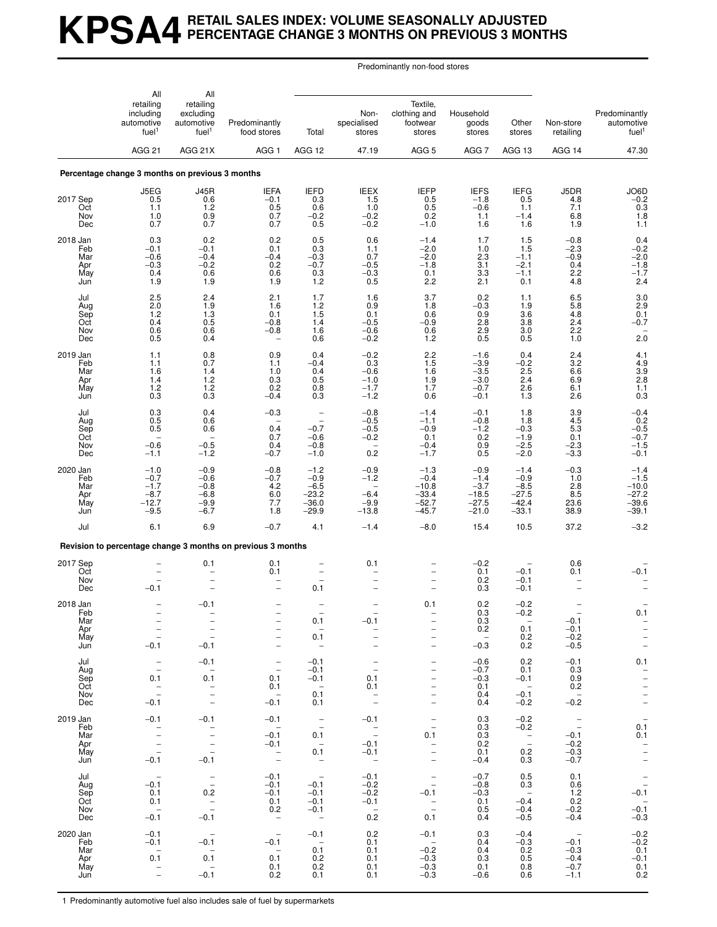## **KPSA4 RETAIL SALES INDEX: VOLUME SEASONALLY ADJUSTED PERCENTAGE CHANGE 3 MONTHS ON PREVIOUS 3 MONTHS**

Predominantly non-food stores

|                                             | All                                                                                       | All                                                                                     |                                                                                                                   |                                                                                       |                                                                                    |                                                                                                                                                 |                                                                                |                                                                      |                                                              |                                                                                 |
|---------------------------------------------|-------------------------------------------------------------------------------------------|-----------------------------------------------------------------------------------------|-------------------------------------------------------------------------------------------------------------------|---------------------------------------------------------------------------------------|------------------------------------------------------------------------------------|-------------------------------------------------------------------------------------------------------------------------------------------------|--------------------------------------------------------------------------------|----------------------------------------------------------------------|--------------------------------------------------------------|---------------------------------------------------------------------------------|
|                                             | retailing<br>including<br>automotive<br>fuel <sup>1</sup>                                 | retailing<br>excluding<br>automotive<br>fuel <sup>1</sup>                               | Predominantly<br>food stores                                                                                      | Total                                                                                 | Non-<br>specialised<br>stores                                                      | Textile,<br>clothing and<br>footwear<br>stores                                                                                                  | Household<br>goods<br>stores                                                   | Other<br>stores                                                      | Non-store<br>retailing                                       | Predominantly<br>automotive<br>fuel <sup>1</sup>                                |
|                                             | <b>AGG 21</b>                                                                             | AGG 21X                                                                                 | AGG 1                                                                                                             | AGG 12                                                                                | 47.19                                                                              | AGG <sub>5</sub>                                                                                                                                | AGG 7                                                                          | AGG 13                                                               | AGG 14                                                       | 47.30                                                                           |
|                                             | Percentage change 3 months on previous 3 months                                           |                                                                                         |                                                                                                                   |                                                                                       |                                                                                    |                                                                                                                                                 |                                                                                |                                                                      |                                                              |                                                                                 |
| 2017 Sep<br>Oct<br>Nov<br>Dec               | J5EG<br>0.5<br>1.1<br>1.0<br>0.7                                                          | <b>J45R</b><br>0.6<br>1.2<br>0.9<br>0.7                                                 | <b>IEFA</b><br>$-0.1$<br>0.5<br>0.7<br>0.7                                                                        | <b>IEFD</b><br>0.3<br>0.6<br>$-0.2$<br>0.5                                            | <b>IEEX</b><br>1.5<br>1.0<br>$-0.2$<br>$-0.2$                                      | <b>IEFP</b><br>0.5<br>0.5<br>0.2<br>$-1.0$                                                                                                      | <b>IEFS</b><br>$-1.8$<br>$-0.6$<br>1.1<br>1.6                                  | <b>IEFG</b><br>0.5<br>1.1<br>$-1.4$<br>1.6                           | J5DR<br>4.8<br>7.1<br>6.8<br>1.9                             | $J$ O6D<br>-0.2<br>0.3<br>$1.8$<br>1.1                                          |
| 2018 Jan<br>Feb<br>Mar<br>Apr<br>May<br>Jun | 0.3<br>$-0.1$<br>$-0.6$<br>$-0.3$<br>0.4<br>1.9                                           | 0.2<br>$-0.1$<br>$-0.4$<br>$-0.2$<br>0.6<br>1.9                                         | 0.2<br>0.1<br>$-0.4$<br>0.2<br>0.6<br>1.9                                                                         | 0.5<br>0.3<br>$-0.3$<br>$-0.7$<br>0.3<br>1.2                                          | 0.6<br>1.1<br>0.7<br>$-0.5$<br>$-0.3$<br>0.5                                       | $-1.4$<br>$-2.0$<br>$-2.0$<br>$-1.8$<br>0.1<br>2.2                                                                                              | 1.7<br>1.0<br>2.3<br>3.1<br>3.3<br>2.1                                         | 1.5<br>1.5<br>$-1.1$<br>$-2.1$<br>$-1.1$<br>0.1                      | $-0.8$<br>$-2.3$<br>$-0.9$<br>0.4<br>2.2<br>4.8              | $^{0.4}_{-0.2}$<br>$-2.0$<br>$-1.8$<br>$-1.7$<br>2.4                            |
| Jul<br>Aug<br>Sep<br>Oct<br>Nov<br>Dec      | 2.5<br>2.0<br>1.2<br>0.4<br>0.6<br>0.5                                                    | 2.4<br>1.9<br>1.3<br>0.5<br>0.6<br>0.4                                                  | 2.1<br>1.6<br>0.1<br>$-0.8$<br>$-0.8$<br>$\overline{\phantom{0}}$                                                 | 1.7<br>1.2<br>1.5<br>1.4<br>1.6<br>0.6                                                | 1.6<br>0.9<br>0.1<br>$-0.5$<br>$-0.6$<br>$-0.2$                                    | 3.7<br>1.8<br>0.6<br>$-0.9$<br>0.6<br>1.2                                                                                                       | 0.2<br>$-0.3$<br>0.9<br>2.8<br>2.9<br>0.5                                      | 1.1<br>1.9<br>3.6<br>3.8<br>3.0<br>0.5                               | 6.5<br>5.8<br>4.8<br>2.4<br>2.2<br>1.0                       | 3.0<br>2.9<br>$0.1 - 0.7$<br>2.0                                                |
| 2019 Jan<br>Feb<br>Mar<br>Apr<br>May<br>Jun | 1.1<br>1.1<br>1.6<br>1.4<br>1.2<br>0.3                                                    | 0.8<br>0.7<br>1.4<br>1.2<br>$^{1.2}_{0.3}$                                              | 0.9<br>1.1<br>1.0<br>0.3<br>0.2<br>$-0.4$                                                                         | 0.4<br>$-0.4$<br>0.4<br>0.5<br>0.8<br>0.3                                             | $-0.2$<br>0.3<br>$-0.6$<br>$-1.0$<br>$-1.7$<br>$-1.2$                              | 2.2<br>1.5<br>1.6<br>1.9<br>1.7<br>0.6                                                                                                          | $-1.6$<br>$-3.9$<br>$-3.5$<br>$-3.0$<br>$-0.7$<br>$-0.1$                       | 0.4<br>$-0.2$<br>$2.\overline{5}$<br>2.4<br>$^{2.6}_{1.3}$           | 2.4<br>3.2<br>6.6<br>6.9<br>6.1<br>2.6                       | 4.1<br>$4.9$<br>$3.9$<br>$2.8$<br>$\frac{1.1}{0.3}$                             |
| Jul<br>Aug<br>Sep<br>Oct<br>Nov<br>Dec      | 0.3<br>0.5<br>0.5<br>$-0.6$<br>$-1.1$                                                     | 0.4<br>0.6<br>0.6<br>$-0.5$<br>$-1.2$                                                   | $-0.3$<br>$\overline{\phantom{0}}$<br>0.4<br>0.7<br>0.4<br>$-0.7$                                                 | $\qquad \qquad -$<br>$\overline{\phantom{0}}$<br>$-0.7$<br>$-0.6$<br>$-0.8$<br>$-1.0$ | $-0.8$<br>$-0.5$<br>$-0.5$<br>$-0.2$<br>0.2                                        | $-1.4$<br>$-1.1$<br>$-0.9$<br>0.1<br>$-0.4$<br>$-1.7$                                                                                           | $-0.1$<br>$-0.8$<br>$-1.2$<br>$\begin{array}{c} 0.2 \\ 0.9 \end{array}$<br>0.5 | 1.8<br>1.8<br>$-0.3$<br>$-1.9$<br>$-2.5$<br>$-2.0$                   | 3.9<br>4.5<br>5.3<br>0.1<br>$-2.3$<br>$-3.3$                 | $^{-0.4}_{0.2}$<br>$-0.5$<br>$-0.7$<br>$-1.5$<br>$-0.1$                         |
| 2020 Jan<br>Feb<br>Mar<br>Apr<br>May<br>Jun | $-1.0$<br>$-0.7$<br>$-1.7$<br>$-8.7$<br>$-12.7$<br>$-9.5$                                 | $-0.9$<br>$-0.6$<br>$-0.8$<br>$-6.8$<br>$-9.9$<br>$-6.7$                                | $-0.8$<br>$-0.7$<br>4.2<br>6.0<br>7.7<br>1.8                                                                      | $-1.2$<br>$-0.9$<br>$-6.5$<br>$-23.2$<br>$-36.0$<br>$-29.9$                           | $-0.9$<br>$-1.2$<br>$-6.4$<br>$-9.9$<br>$-13.8$                                    | $-1.3$<br>$-0.4$<br>$-10.8$<br>$-33.4$<br>$-52.7$<br>$-45.7$                                                                                    | $-0.9$<br>$-1.4$<br>$-3.7$<br>$-18.5$<br>$-27.5$<br>$-21.0$                    | $-1.4$<br>$-0.9$<br>$-8.5$<br>$-27.5$<br>$-42.4$<br>$-33.1$          | $-0.3$<br>1.0<br>2.8<br>$8.\overline{5}$<br>23.6<br>38.9     | $-1.4$<br>$-1.5$<br>$-10.0$<br>$-27.2$<br>$-39.6$<br>$-39.1$                    |
| Jul                                         | 6.1                                                                                       | 6.9                                                                                     | $-0.7$                                                                                                            | 4.1                                                                                   | $-1.4$                                                                             | $-8.0$                                                                                                                                          | 15.4                                                                           | 10.5                                                                 | 37.2                                                         | $-3.2$                                                                          |
|                                             |                                                                                           |                                                                                         | Revision to percentage change 3 months on previous 3 months                                                       |                                                                                       |                                                                                    |                                                                                                                                                 |                                                                                |                                                                      |                                                              |                                                                                 |
| 2017 Sep<br>Oct<br>Nov<br>Dec               | $-0.1$                                                                                    | 0.1                                                                                     | 0.1<br>0.1<br>$\overline{a}$                                                                                      | 0.1                                                                                   | 0.1                                                                                | $\overline{\phantom{0}}$                                                                                                                        | $-0.2$<br>0.1<br>0.2<br>0.3                                                    | $-0.1$<br>$-0.1$<br>$-0.1$                                           | 0.6<br>0.1                                                   | $-0.1$                                                                          |
| 2018 Jan<br>Feb<br>Mar<br>Apr<br>May<br>Jun | $\overline{\phantom{a}}$<br>$\frac{1}{2}$<br>$\overline{\phantom{a}}$<br>$-0.1$           | $-0.1$<br>$\bar{ }$<br>$\overline{\phantom{m}}$<br>$-0.1$                               | $\qquad \qquad -$<br>$\qquad \qquad -$                                                                            | 0.1<br>$\overline{\phantom{a}}$<br>0.1<br>$\overline{\phantom{0}}$                    | $-0.1$<br>$\overline{\phantom{a}}$                                                 | 0.1<br>$\overline{a}$<br>$\overline{\phantom{0}}$<br>$\qquad \qquad -$                                                                          | 0.2<br>0.3<br>0.3<br>0.2<br>$\overline{\phantom{a}}$<br>$-0.3$                 | $-0.2$<br>$-0.2$<br>$\sim$<br>0.1<br>0.2<br>0.2                      | $-0.1$<br>$-0.1$<br>$-0.2$<br>$-0.5$                         | 0.1<br>$\frac{-}{-}$                                                            |
| Jul<br>Aug<br>Sep<br>Oct<br>Nov<br>Dec      | $\bar{\bar{\phantom{a}}}$<br>0.1<br>$\hspace{0.1mm}-\hspace{0.1mm}$<br>$\equiv$<br>$-0.1$ | $-0.1$<br>$\overline{\phantom{0}}$<br>0.1<br>$\sim$<br>$\frac{1}{1}$                    | $\overline{\phantom{a}}$<br>$\overline{\phantom{a}}$<br>0.1<br>0.1<br>$\hspace{0.1mm}$ $\hspace{0.1mm}$<br>$-0.1$ | $-0.1$<br>$-0.1$<br>$-0.1$<br>$\sim$<br>0.1<br>0.1                                    | $\overline{\phantom{m}}$<br>$\overline{\phantom{a}}$<br>0.1<br>0.1<br>$\bar{z}$    | $\qquad \qquad -$<br>$\qquad \qquad -$<br>$\overline{\phantom{0}}$<br>$\overline{\phantom{0}}$<br>$\qquad \qquad -$<br>$\overline{\phantom{a}}$ | $-0.6$<br>$-0.7$<br>$-0.3$<br>0.1<br>0.4<br>0.4                                | 0.2<br>0.1<br>$-0.1$<br>$\sim$<br>$-0.1$<br>$-0.2$                   | $-0.1$<br>0.3<br>0.9<br>0.2<br>$\sim$ $-$<br>$-0.2$          | 0.1<br>$\bar{a}$<br>$\qquad \qquad -$<br>$\bar{z}$                              |
| 2019 Jan<br>Feb<br>Mar<br>Apr<br>May<br>Jun | $-0.1$<br>$\overline{\phantom{a}}$<br>$\frac{1}{2}$<br>$-0.1$                             | $-0.1$<br>$\overline{\phantom{a}}$<br>$\qquad \qquad -$<br>$\bar{\mathbb{I}}$<br>$-0.1$ | $-0.1$<br>$\overline{\phantom{0}}$<br>$-0.1$<br>$-0.1$<br>$\bar{\mathbb{Z}}$                                      | $\overline{\phantom{a}}$<br>0.1<br>$\sim$ $-$<br>0.1<br>$\sim$ $-$                    | $-0.1$<br>$\sim$ $-$<br>$\overline{\phantom{a}}$<br>$-0.1$<br>$-0.1$<br>$\sim$ $-$ | $\overline{\phantom{a}}$<br>$\frac{1}{2}$<br>0.1<br>$\frac{-}{-}$<br>$\overline{\phantom{a}}$                                                   | 0.3<br>0.3<br>0.3<br>0.2<br>0.1<br>$-0.4$                                      | $-0.2$<br>$-0.2$<br>$\overline{\phantom{a}}$<br>0.2<br>0.3           | $\frac{1}{2}$<br>$-0.1$<br>$-0.2$<br>$-0.3$<br>$-0.7$        | $\overline{\phantom{a}}$<br>0.1<br>0.1<br>$\bar{a}$<br>$\overline{\phantom{a}}$ |
| Jul<br>Aug<br>Sep<br>Oct<br>Nov<br>Dec      | $\hspace{0.1mm}-\hspace{0.1mm}$<br>$-0.1$<br>0.1<br>0.1<br>$\sim$<br>$-0.1$               | $\bar{\mathbb{I}}$<br>0.2<br>$\frac{1}{2}$<br>$-0.1$                                    | $-0.1$<br>$-0.1$<br>$-0.1$<br>0.1<br>0.2<br>$\overline{a}$                                                        | $\overline{\phantom{a}}$<br>$-0.1$<br>$-0.1$<br>$-0.1$<br>$-0.1$<br>$\sim$            | $-0.1$<br>$-0.2$<br>$-0.2$<br>$-0.1$<br>$\sim$<br>0.2                              | $\overline{\phantom{a}}$<br>$\overline{\phantom{a}}$<br>$-0.1$<br>$\sim$ $-$<br>$\sim$<br>0.1                                                   | $-0.7$<br>$-0.8$<br>$-0.3$<br>0.1<br>0.5<br>0.4                                | 0.5<br>0.3<br>$\overline{\phantom{0}}$<br>$-0.4$<br>$-0.4$<br>$-0.5$ | 0.1<br>0.6<br>1.2<br>0.2<br>$-0.2$<br>$-0.4$                 | $-0.\overline{1}$<br>$-0.\overline{1}$<br>$-0.3$                                |
| 2020 Jan<br>Feb<br>Mar<br>Apr<br>May<br>Jun | $-0.1$<br>$-0.1$<br>$\overline{\phantom{0}}$<br>0.1<br>$\bar{\mathbb{I}}$                 | $-0.1$<br>$\sim$<br>0.1<br>$\sim$ $-$<br>$-0.1$                                         | $\overline{\phantom{a}}$<br>$-0.1$<br>$\sim$<br>0.1<br>0.1<br>0.2                                                 | $-0.1$<br>$\sim$<br>0.1<br>0.2<br>0.2<br>0.1                                          | 0.2<br>0.1<br>0.1<br>0.1<br>0.1<br>0.1                                             | $-0.1$<br>$\sim$<br>$-0.2$<br>$-0.3$<br>$-0.3$<br>$-0.3$                                                                                        | 0.3<br>0.4<br>0.4<br>0.3<br>0.1<br>$-0.6$                                      | $-0.4$<br>$-0.3$<br>0.2<br>0.5<br>0.8<br>0.6                         | $\sim$ $-$<br>$-0.1$<br>$-0.3$<br>$-0.4$<br>$-0.7$<br>$-1.1$ | $^{-0.2}_{-0.2}$<br>0.1<br>$-0.1$<br>0.1<br>0.2                                 |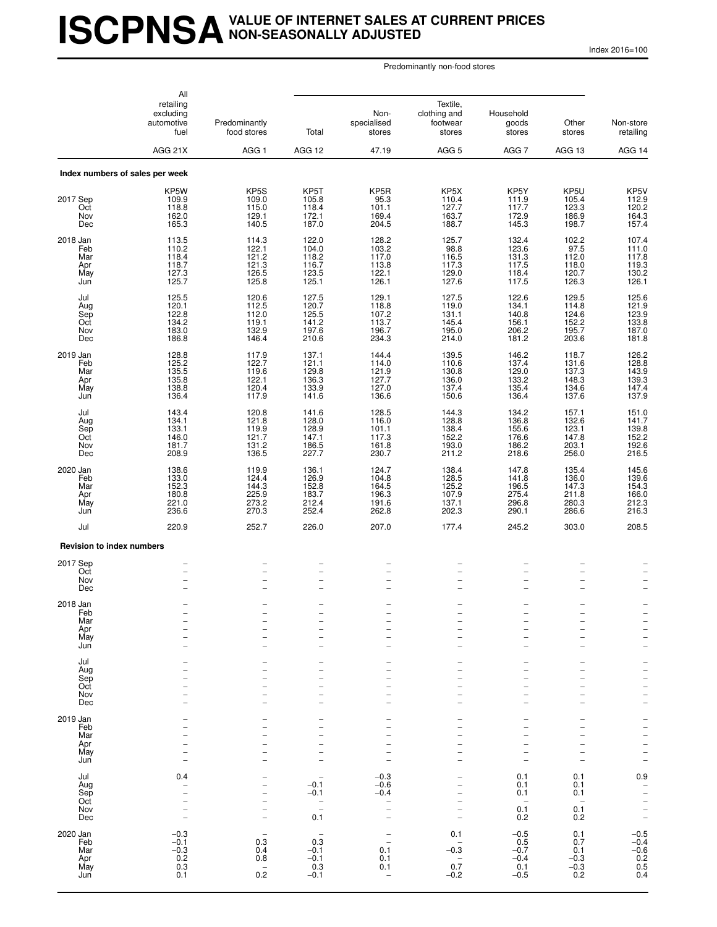## **ISCPNSAVALUE OF INTERNET SALES AT CURRENT PRICES NON-SEASONALLY ADJUSTED**

Index 2016=100

|                                             | All<br>retailing<br>excluding<br>automotive        | Predominantly                                        |                                                                                                                   | Non-<br>specialised                                                                                     | Textile,<br>clothing and<br>footwear                                                           | Household                                                   | Other<br>goods                                                                                |                                                                                                                                     |
|---------------------------------------------|----------------------------------------------------|------------------------------------------------------|-------------------------------------------------------------------------------------------------------------------|---------------------------------------------------------------------------------------------------------|------------------------------------------------------------------------------------------------|-------------------------------------------------------------|-----------------------------------------------------------------------------------------------|-------------------------------------------------------------------------------------------------------------------------------------|
|                                             | fuel                                               | food stores                                          | Total                                                                                                             | stores                                                                                                  | stores                                                                                         | stores                                                      | stores                                                                                        | Non-store<br>retailing                                                                                                              |
|                                             | AGG 21X                                            | AGG <sub>1</sub>                                     | AGG 12                                                                                                            | 47.19                                                                                                   | AGG <sub>5</sub>                                                                               | AGG <sub>7</sub>                                            | AGG 13                                                                                        | AGG 14                                                                                                                              |
|                                             | Index numbers of sales per week                    |                                                      |                                                                                                                   |                                                                                                         |                                                                                                |                                                             |                                                                                               |                                                                                                                                     |
| 2017 Sep<br>Oct<br>Nov<br>Dec               | KP5W<br>109.9<br>118.8<br>162.0<br>165.3           | KP5S<br>109.0<br>115.0<br>129.1<br>140.5             | KP5T<br>105.8<br>118.4<br>172.1<br>187.0                                                                          | KP5R<br>95.3<br>101.1<br>169.4<br>204.5                                                                 | KP5X<br>110.4<br>127.7<br>163.7<br>188.7                                                       | KP5Y<br>111.9<br>117.7<br>172.9<br>145.3                    | KP5U<br>105.4<br>123.3<br>186.9<br>198.7                                                      | KP5V<br>112.9<br>120.2<br>164.3<br>157.4                                                                                            |
| 2018 Jan<br>Feb<br>Mar<br>Apr<br>May<br>Jun | 113.5<br>110.2<br>118.4<br>118.7<br>127.3<br>125.7 | 114.3<br>122.1<br>121.2<br>121.3<br>126.5<br>125.8   | 122.0<br>104.0<br>118.2<br>116.7<br>123.5<br>125.1                                                                | 128.2<br>103.2<br>117.0<br>113.8<br>122.1<br>126.1                                                      | 125.7<br>98.8<br>116.5<br>117.3<br>129.0<br>127.6                                              | 132.4<br>123.6<br>131.3<br>117.5<br>118.4<br>117.5          | 102.2<br>97.5<br>112.0<br>118.0<br>120.7<br>126.3                                             | 107.4<br>111.0<br>$\frac{117.8}{119.3}$<br>130.2<br>126.1                                                                           |
| Jul<br>Aug<br>Sep<br>Oct<br>Nov<br>Dec      | 125.5<br>120.1<br>122.8<br>134.2<br>183.0<br>186.8 | 120.6<br>112.5<br>112.0<br>119.1<br>132.9<br>146.4   | 127.5<br>120.7<br>125.5<br>141.2<br>197.6<br>210.6                                                                | 129.1<br>118.8<br>107.2<br>113.7<br>196.7<br>234.3                                                      | 127.5<br>119.0<br>131.1<br>145.4<br>195.0<br>214.0                                             | 122.6<br>134.1<br>140.8<br>156.1<br>206.2<br>181.2          | 129.5<br>114.8<br>124.6<br>152.2<br>195.7<br>203.6                                            | 125.6<br>$\frac{121.9}{123.9}$<br>123.9<br>187.0<br>181.8                                                                           |
| 2019 Jan<br>Feb<br>Mar<br>Apr<br>May<br>Jun | 128.8<br>125.2<br>135.5<br>135.8<br>138.8<br>136.4 | 117.9<br>122.7<br>119.6<br>122.1<br>120.4<br>117.9   | 137.1<br>121.1<br>129.8<br>136.3<br>133.9<br>141.6                                                                | 144.4<br>114.0<br>121.9<br>127.7<br>127.0<br>136.6                                                      | 139.5<br>110.6<br>130.8<br>136.0<br>137.4<br>150.6                                             | 146.2<br>137.4<br>129.0<br>133.2<br>135.4<br>136.4          | 118.7<br>131.6<br>137.3<br>148.3<br>134.6<br>137.6                                            | 126.2<br>128.8<br>143.9<br>139.3<br>147.4<br>137.9                                                                                  |
| Jul<br>Aug<br>Sep<br>Oct<br>Nov<br>Dec      | 143.4<br>134.1<br>133.1<br>146.0<br>181.7<br>208.9 | 120.8<br>121.8<br>119.9<br>121.7<br>131.2<br>136.5   | 141.6<br>128.0<br>128.9<br>147.1<br>186.5<br>227.7                                                                | 128.5<br>116.0<br>101.1<br>117.3<br>$161.\bar{8}$<br>230.7                                              | 144.3<br>128.8<br>138.4<br>152.2<br>193.0<br>211.2                                             | 134.2<br>136.8<br>155.6<br>176.6<br>186.2<br>218.6          | 157.1<br>132.6<br>123.1<br>147.8<br>203.1<br>256.0                                            | 151.0<br>141.7<br>139.8<br>152.2<br>192.6<br>216.5                                                                                  |
| 2020 Jan<br>Feb<br>Mar<br>Apr<br>May<br>Jun | 138.6<br>133.0<br>152.3<br>180.8<br>221.0<br>236.6 | 119.9<br>124.4<br>144.3<br>225.9<br>273.2<br>270.3   | 136.1<br>126.9<br>152.8<br>183.7<br>212.4<br>252.4                                                                | 124.7<br>104.8<br>164.5<br>196.3<br>191.6<br>262.8                                                      | 138.4<br>128.5<br>125.2<br>107.9<br>137.1<br>202.3                                             | 147.8<br>141.8<br>196.5<br>275.4<br>296.8<br>290.1          | 135.4<br>136.0<br>147.3<br>211.8<br>280.3<br>286.6                                            | 145.6<br>139.6<br>154.3<br>166.0<br>212.3<br>216.3                                                                                  |
| Jul                                         | 220.9                                              | 252.7                                                | 226.0                                                                                                             | 207.0                                                                                                   | 177.4                                                                                          | 245.2                                                       | 303.0                                                                                         | 208.5                                                                                                                               |
| <b>Revision to index numbers</b>            |                                                    |                                                      |                                                                                                                   |                                                                                                         |                                                                                                |                                                             |                                                                                               |                                                                                                                                     |
| 2017 Sep<br>Oct<br>Nov<br>Dec               | $\overline{\phantom{0}}$                           |                                                      | $\overline{a}$<br>$\qquad \qquad -$<br>$\overline{\phantom{0}}$                                                   | $\overline{a}$<br>-<br>$\overline{\phantom{0}}$                                                         | $\overline{a}$<br>$\qquad \qquad -$<br>$\overline{\phantom{0}}$                                | $\overline{\phantom{0}}$<br>-                               | -                                                                                             |                                                                                                                                     |
| 2018 Jan<br>Feb<br>Mar<br>Apr<br>May<br>Jun | $\overline{\phantom{0}}$                           | $\overline{\phantom{0}}$<br>$\overline{\phantom{0}}$ | $\overline{a}$<br>-<br>$\overline{\phantom{0}}$                                                                   | $\overline{\phantom{0}}$<br>-<br>$\overline{\phantom{0}}$                                               | $\overline{\phantom{0}}$<br>-<br>$\qquad \qquad -$<br>$\overline{\phantom{0}}$                 | $\overline{\phantom{0}}$<br>$\overline{\phantom{0}}$        | $\overline{\phantom{0}}$<br>$\overline{\phantom{0}}$<br>-<br>$\overline{\phantom{0}}$         | $\qquad \qquad -$<br>$\qquad \qquad -$<br>$\overline{\phantom{0}}$<br>-<br>$\overline{\phantom{0}}$                                 |
| Jul<br>Aug<br>Sep<br>Oct<br>Nov<br>Dec      |                                                    |                                                      | $\overline{\phantom{0}}$<br>$\overline{\phantom{0}}$<br>$\overline{\phantom{0}}$<br>-<br>$\overline{\phantom{0}}$ | $\overline{\phantom{0}}$<br>-<br>$\overline{\phantom{0}}$                                               | $\overline{\phantom{0}}$<br>$\qquad \qquad -$<br>$\overline{\phantom{0}}$<br>-                 | $\overline{\phantom{0}}$<br>-                               | $\overline{\phantom{0}}$<br>$\overline{a}$<br>-<br>$\overline{\phantom{0}}$<br>$\overline{a}$ | -<br>$\overline{\phantom{0}}$<br>$\overline{a}$<br>$\overline{\phantom{0}}$<br>$\overline{\phantom{0}}$<br>$\overline{\phantom{0}}$ |
| 2019 Jan<br>Feb<br>Mar<br>Apr<br>May<br>Jun |                                                    |                                                      | $\overline{\phantom{0}}$<br>$\overline{\phantom{0}}$<br>-                                                         | $\overline{\phantom{0}}$<br>$\overline{\phantom{0}}$                                                    | $\qquad \qquad -$<br>$\overline{\phantom{0}}$<br>$\qquad \qquad -$<br>$\overline{\phantom{0}}$ | -<br>$\overline{\phantom{0}}$                               | -<br>$\overline{a}$                                                                           | -<br>$\overline{\phantom{0}}$<br>$\overline{a}$<br>$\overline{a}$<br>$\overline{\phantom{0}}$<br>$\overline{\phantom{0}}$           |
| Jul<br>Aug<br>Sep<br>Oct<br>Nov<br>Dec      | 0.4<br>$\overline{a}$<br>$\overline{\phantom{0}}$  | $\overline{\phantom{0}}$<br>$\overline{\phantom{0}}$ | $-0.1$<br>-0.1<br>$\qquad \qquad -$<br>$\overline{a}$<br>0.1                                                      | $-0.3$<br>$-0.6$<br>$-0.4$<br>$\qquad \qquad -$<br>$\overline{\phantom{0}}$<br>$\overline{\phantom{0}}$ | $\qquad \qquad -$<br>$\overline{\phantom{0}}$<br>$\qquad \qquad -$<br>$\qquad \qquad -$        | 0.1<br>0.1<br>0.1<br>$\overline{\phantom{a}}$<br>0.1<br>0.2 | 0.1<br>0.1<br>0.1<br>0.1<br>0.2                                                               | 0.9<br>$\bar{a}$<br>$\overline{\phantom{0}}$<br>-<br>$\overline{a}$                                                                 |
| 2020 Jan<br>Feb<br>Mar<br>Apr<br>May<br>Jun | $-0.3$<br>$-0.1$<br>$-0.3$<br>$0.2 \\ 0.3$<br>0.1  | 0.3<br>0.4<br>0.8<br>$\overline{\phantom{a}}$<br>0.2 | 0.3<br>$-0.1$<br>$-0.1$<br>0.3<br>$-0.1$                                                                          | $\overline{\phantom{0}}$<br>0.1<br>0.1<br>0.1<br>$\overline{\phantom{0}}$                               | 0.1<br>$-0.3$<br>$\qquad \qquad -$<br>0.7<br>$-0.2$                                            | $-0.5$<br>0.5<br>$-0.7$<br>$-0.4$<br>0.1<br>$-0.5$          | 0.1<br>0.7<br>0.1<br>$-0.3$<br>$-0.3$<br>0.2                                                  | $-0.5$<br>$-0.4$<br>$-0.6$<br>$0.2$<br>$0.5$<br>0.4                                                                                 |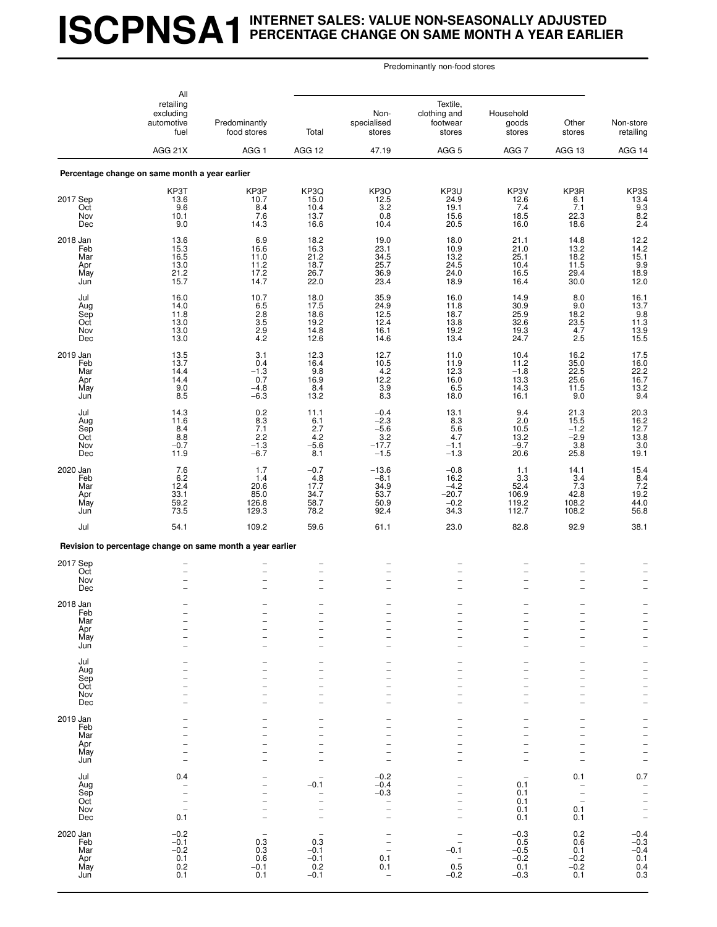# **ISCPNSA1INTERNET SALES: VALUE NON-SEASONALLY ADJUSTED PERCENTAGE CHANGE ON SAME MONTH A YEAR EARLIER**

|                                             | All<br>retailing<br>excluding<br>automotive<br>fuel                              | Predominantly<br>food stores                                  | Total                                                               | Non-<br>specialised<br>stores                                                                  | Textile,<br>clothing and<br>footwear<br>stores            | Household<br>goods<br>stores                                                                                         | Other<br>stores                                                               | Non-store<br>retailing                                                               |
|---------------------------------------------|----------------------------------------------------------------------------------|---------------------------------------------------------------|---------------------------------------------------------------------|------------------------------------------------------------------------------------------------|-----------------------------------------------------------|----------------------------------------------------------------------------------------------------------------------|-------------------------------------------------------------------------------|--------------------------------------------------------------------------------------|
|                                             | AGG 21X                                                                          | AGG <sub>1</sub>                                              | AGG 12                                                              | 47.19                                                                                          | AGG <sub>5</sub>                                          | AGG 7                                                                                                                | AGG 13                                                                        | AGG 14                                                                               |
|                                             | Percentage change on same month a year earlier                                   |                                                               |                                                                     |                                                                                                |                                                           |                                                                                                                      |                                                                               |                                                                                      |
| 2017 Sep<br>Oct<br>Nov<br>Dec               | KP3T<br>13.6<br>9.6<br>10.1<br>9.0                                               | KP3P<br>10.7<br>8.4<br>7.6<br>14.3                            | KP3Q<br>15.0<br>10.4<br>13.7<br>16.6                                | KP3O<br>12.5<br>3.2<br>0.8<br>10.4                                                             | KP3U<br>24.9<br>19.1<br>15.6<br>20.5                      | KP3V<br>12.6<br>7.4<br>18.5<br>16.0                                                                                  | KP3R<br>6.1<br>7.1<br>22.3<br>18.6                                            | KP3S<br>13.4<br>$\begin{array}{c} 9.3 \\ 8.2 \\ 2.4 \end{array}$                     |
| 2018 Jan<br>Feb<br>Mar<br>Apr<br>May<br>Jun | 13.6<br>15.3<br>16.5<br>13.0<br>21.2<br>15.7                                     | 6.9<br>16.6<br>11.0<br>11.2<br>17.2<br>14.7                   | 18.2<br>16.3<br>21.2<br>18.7<br>26.7<br>22.0                        | 19.0<br>23.1<br>34.5<br>25.7<br>36.9<br>23.4                                                   | 18.0<br>10.9<br>13.2<br>24.5<br>24.0<br>18.9              | 21.1<br>21.0<br>25.1<br>10.4<br>16.5<br>16.4                                                                         | 14.8<br>13.2<br>18.2<br>11.5<br>29.4<br>30.0                                  | $12.2$<br>$14.2$<br>$\begin{array}{c} 15.1 \\ 9.9 \\ 18.9 \end{array}$<br>12.0       |
| Jul<br>Aug<br>Sep<br>Oct<br>Nov<br>Dec      | 16.0<br>14.0<br>11.8<br>13.0<br>13.0<br>13.0                                     | 10.7<br>$6.5$<br>$2.8$<br>$3.5$<br>2.9<br>4.2                 | 18.0<br>17.5<br>18.6<br>19.2<br>14.8<br>12.6                        | 35.9<br>24.9<br>12.5<br>12.4<br>16.1<br>14.6                                                   | 16.0<br>11.8<br>18.7<br>13.8<br>19.2<br>13.4              | 14.9<br>30.9<br>25.9<br>32.6<br>19.3<br>24.7                                                                         | 8.0<br>9.0<br>18.2<br>23.5<br>4.7<br>2.5                                      | 16.1<br>$\begin{array}{c} 13.7 \\ 9.8 \\ 11.3 \\ \hline \end{array}$<br>13.9<br>15.5 |
| 2019 Jan<br>Feb<br>Mar<br>Apr<br>May<br>Jun | 13.5<br>13.7<br>14.4<br>14.4<br>9.0<br>8.5                                       | 3.1<br>0.4<br>$-1.3$<br>0.7<br>$-4.8$<br>$-6.\overline{3}$    | 12.3<br>16.4<br>9.8<br>16.9<br>8.4<br>13.2                          | 12.7<br>10.5<br>4.2<br>12.2<br>3.9<br>8.3                                                      | 11.0<br>11.9<br>12.3<br>16.0<br>6.5<br>18.0               | 10.4<br>11.2<br>$-1.8$<br>13.3<br>14.3<br>16.1                                                                       | 16.2<br>35.0<br>22.5<br>25.6<br>11.5<br>9.0                                   | 17.5<br>16.0<br>22.2<br>16.7<br>13.2<br>9.4                                          |
| Jul<br>Aug<br>Sep<br>Oct<br>Nov<br>Dec      | 14.3<br>11.6<br>8.4<br>$8.8 - 0.7$<br>11.9                                       | $\substack{0.2 \\ 8.3}$<br>7.1<br>$2.2 - 1.3 - 1.3$<br>$-6.7$ | 11.1<br>6.1<br>2.7<br>4.2<br>$-5.6$<br>8.1                          | $-0.4$<br>$-2.3$<br>$-5.6$<br>$-17.7$<br>$-1.5$                                                | 13.1<br>8.3<br>5.6<br>4.7<br>$-1.1$<br>$-1.3$             | 9.4<br>2.0<br>10.5<br>13.2<br>$-9.7$<br>20.6                                                                         | $21.3$<br>15.5<br>$-1.2$<br>$-2.9$<br>$3.\overline{8}$<br>25.8                | 20.3<br>16.2<br>12.7<br>13.8<br>3.0<br>19.1                                          |
| 2020 Jan<br>Feb<br>Mar<br>Apr<br>May<br>Jun | 7.6<br>6.2<br>12.4<br>33.1<br>59.2<br>73.5                                       | 1.7<br>1.4<br>20.6<br>85.0<br>126.8<br>129.3                  | $-0.7$<br>4.8<br>17.7<br>34.7<br>58.7<br>78.2                       | $-13.6$<br>$-8.1$<br>34.9<br>53.7<br>50.9<br>92.4                                              | $-0.8$<br>16.2<br>$-4.2$<br>$-20.7$<br>$-0.2$<br>34.3     | 1.1<br>3.3<br>52.4<br>106.9<br>119.2<br>112.7                                                                        | 14.1<br>3.4<br>7.3<br>42.8<br>108.2<br>108.2                                  | 15.4<br>$\begin{array}{r} 8.4 \\ 7.2 \\ 19.2 \end{array}$<br>44.0<br>56.8            |
| Jul                                         | 54.1                                                                             | 109.2                                                         | 59.6                                                                | 61.1                                                                                           | 23.0                                                      | 82.8                                                                                                                 | 92.9                                                                          | 38.1                                                                                 |
|                                             | Revision to percentage change on same month a year earlier                       |                                                               |                                                                     |                                                                                                |                                                           |                                                                                                                      |                                                                               |                                                                                      |
| 2017 Sep<br>Oct<br>Nov<br>Dec               |                                                                                  |                                                               | -<br>$\overline{\phantom{0}}$                                       | $\overline{\phantom{0}}$<br>$\overline{\phantom{0}}$                                           |                                                           | $\qquad \qquad -$<br>÷<br>۰                                                                                          |                                                                               |                                                                                      |
| 2018 Jan<br>Feb<br>Mar<br>Apr<br>May<br>Jun |                                                                                  |                                                               | $\overline{\phantom{0}}$<br>-                                       | -<br>$\overline{\phantom{0}}$<br>-                                                             | $\overline{\phantom{0}}$<br>-                             | ÷<br>$\overline{\phantom{0}}$<br>$\overline{\phantom{0}}$                                                            | $\overline{\phantom{0}}$<br>$\overline{\phantom{0}}$                          | $\frac{1}{2}$                                                                        |
| Jul<br>Aug<br>Sep<br>Oct<br>Nov<br>Dec      |                                                                                  |                                                               | $\overline{\phantom{0}}$<br>-<br>L                                  | -                                                                                              | -<br>-                                                    | $\overline{\phantom{0}}$<br>$\overline{a}$<br>$\overline{a}$<br>$\overline{\phantom{0}}$<br>$\overline{\phantom{0}}$ | $\overline{\phantom{0}}$                                                      | $\frac{1}{1}$<br>$\frac{1}{1}$                                                       |
| 2019 Jan<br>Feb<br>Mar<br>Apr<br>May<br>Jun | $\overline{\phantom{a}}$                                                         |                                                               | $\overline{\phantom{0}}$<br>-<br>۳                                  | $\overline{\phantom{0}}$                                                                       | $\overline{\phantom{0}}$<br>-<br>$\overline{\phantom{0}}$ | $\overline{a}$<br>$\overline{\phantom{0}}$<br>۰                                                                      | $\overline{\phantom{0}}$                                                      | -<br>$\frac{-}{-}$                                                                   |
| Jul<br>Aug<br>Sep<br>Oct<br>Nov<br>Dec      | 0.4<br>$\qquad \qquad -$<br>$\qquad \qquad -$<br>$\overline{\phantom{0}}$<br>0.1 | $\overline{\phantom{0}}$                                      | $-0.1$<br>-<br>$\overline{\phantom{0}}$<br>$\overline{\phantom{0}}$ | $-0.2$<br>$-0.4$<br>$-0.3$<br><b>-</b><br>$\overline{\phantom{0}}$<br>$\overline{\phantom{0}}$ | -<br>$\overline{\phantom{0}}$<br>$\overline{\phantom{0}}$ | 0.1<br>0.1<br>0.1<br>0.1<br>0.1                                                                                      | 0.1<br>$\qquad \qquad -$<br>$\overline{a}$<br>$\qquad \qquad -$<br>0.1<br>0.1 | 0.7<br>$\bar{a}$<br>$\frac{1}{1}$                                                    |
| 2020 Jan<br>Feb<br>Mar<br>Apr<br>May<br>Jun | $-0.2$<br>$-0.1$<br>$-0.2$<br>0.1<br>0.2<br>0.1                                  | 0.3<br>0.3<br>0.6<br>$-0.1$<br>0.1                            | 0.3<br>$-0.1$<br>$-0.1$<br>0.2<br>$-0.1$                            | -<br>$\overline{\phantom{0}}$<br>0.1<br>0.1<br>$\overline{\phantom{a}}$                        | $-0.1$<br>0.5<br>$-0.2$                                   | $-0.3$<br>0.5<br>$-0.5$<br>$-0.2$<br>0.1<br>$-0.3$                                                                   | 0.2<br>0.6<br>0.1<br>$-0.2$<br>$-0.2$<br>0.1                                  | $-0.4$<br>$-0.3$<br>$-0.4$<br>0.1<br>0.4<br>0.3                                      |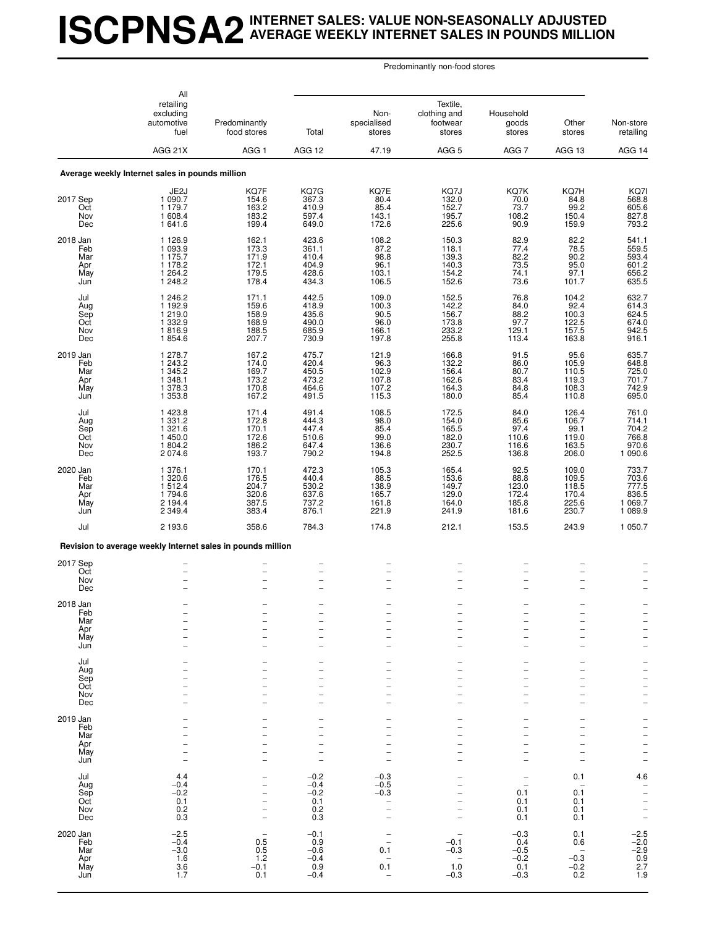## **ISCPNSA2INTERNET SALES: VALUE NON-SEASONALLY ADJUSTED AVERAGE WEEKLY INTERNET SALES IN POUNDS MILLION**

|                                             | All<br>retailing<br>excluding<br>automotive<br>fuel<br>AGG 21X           | Predominantly<br>food stores<br>AGG <sub>1</sub>     | Total<br>AGG 12                                                                | Non-<br>specialised<br>stores<br>47.19                                           | Textile,<br>clothing and<br>footwear<br>stores<br>AGG <sub>5</sub> | Household<br>goods<br>stores<br>AGG 7                                            | Other<br>stores<br>AGG 13                                           | Non-store<br>retailing<br>AGG 14                                          |
|---------------------------------------------|--------------------------------------------------------------------------|------------------------------------------------------|--------------------------------------------------------------------------------|----------------------------------------------------------------------------------|--------------------------------------------------------------------|----------------------------------------------------------------------------------|---------------------------------------------------------------------|---------------------------------------------------------------------------|
|                                             | Average weekly Internet sales in pounds million                          |                                                      |                                                                                |                                                                                  |                                                                    |                                                                                  |                                                                     |                                                                           |
| 2017 Sep<br>Oct<br>Nov<br>Dec               | JE2J<br>1 090.7<br>1 179.7<br>1 608.4<br>1641.6                          | KQ7F<br>154.6<br>163.2<br>183.2<br>199.4             | KQ7G<br>367.3<br>410.9<br>597.4<br>649.0                                       | KQ7E<br>80.4<br>85.4<br>143.1<br>172.6                                           | KQ7J<br>132.0<br>152.7<br>195.7<br>225.6                           | KQ7K<br>70.0<br>73.7<br>108.2<br>90.9                                            | KQ7H<br>84.8<br>99.2<br>150.4<br>159.9                              | KQ71<br>568.8<br>605.6<br>827.8<br>793.2                                  |
| 2018 Jan<br>Feb<br>Mar<br>Apr<br>May<br>Jun | 1126.9<br>1 0 9 3.9<br>1 1 7 5 . 7<br>1 1 7 8.2<br>1 2 6 4 .2<br>1 248.2 | 162.1<br>173.3<br>171.9<br>172.1<br>179.5<br>178.4   | 423.6<br>361.1<br>410.4<br>404.9<br>428.6<br>434.3                             | 108.2<br>87.2<br>98.8<br>96.1<br>103.1<br>106.5                                  | 150.3<br>118.1<br>139.3<br>140.3<br>154.2<br>152.6                 | 82.9<br>77.4<br>82.2<br>$73.5$<br>74.1<br>73.6                                   | 82.2<br>78.5<br>90.2<br>95.0<br>97.1<br>101.7                       | 541.1<br>559.5<br>593.4<br>601.2<br>656.2<br>635.5                        |
| Jul<br>Aug<br>Sep<br>Oct<br>Nov<br>Dec      | 1 246.2<br>1 192.9<br>1 219.0<br>1 3 3 2.9<br>1816.9<br>1854.6           | 171.1<br>159.6<br>158.9<br>168.9<br>188.5<br>207.7   | 442.5<br>418.9<br>435.6<br>490.0<br>685.9<br>730.9                             | 109.0<br>100.3<br>90.5<br>96.0<br>166.1<br>197.8                                 | 152.5<br>142.2<br>156.7<br>173.8<br>233.2<br>255.8                 | 76.8<br>84.0<br>88.2<br>97.7<br>129.1<br>113.4                                   | 104.2<br>92.4<br>100.3<br>122.5<br>157.5<br>163.8                   | 632.7<br>614.3<br>624.5<br>674.0<br>942.5<br>916.1                        |
| 2019 Jan<br>Feb<br>Mar<br>Apr<br>May<br>Jun | 1 278.7<br>1 243.2<br>1 345.2<br>1 348.1<br>1 378.3<br>1 3 5 3.8         | 167.2<br>174.0<br>169.7<br>173.2<br>170.8<br>167.2   | 475.7<br>420.4<br>450.5<br>473.2<br>464.6<br>491.5                             | 121.9<br>96.3<br>102.9<br>107.8<br>107.2<br>115.3                                | 166.8<br>132.2<br>156.4<br>162.6<br>164.3<br>180.0                 | 91.5<br>86.0<br>80.7<br>83.4<br>84.8<br>85.4                                     | 95.6<br>105.9<br>110.5<br>119.3<br>108.3<br>110.8                   | 635.7<br>648.8<br>701.7<br>742.9<br>695.0                                 |
| Jul<br>Aug<br>Sep<br>Oct<br>Nov<br>Dec      | 1423.8<br>1 3 3 1 . 2<br>1 3 2 1 .6<br>1450.0<br>1804.2<br>2074.6        | 171.4<br>172.8<br>170.1<br>172.6<br>186.2<br>193.7   | 491.4<br>444.3<br>447.4<br>510.6<br>647.4<br>790.2                             | 108.5<br>98.0<br>85.4<br>99.0<br>136.6<br>194.8                                  | 172.5<br>154.0<br>165.5<br>182.0<br>230.7<br>252.5                 | 84.0<br>85.6<br>97.4<br>110.6<br>116.6<br>136.8                                  | 126.4<br>106.7<br>99.1<br>119.0<br>163.5<br>206.0                   | 761.0<br>714.1<br>704.2<br>766.8<br>970.6<br>1 090.6                      |
| 2020 Jan<br>Feb<br>Mar<br>Apr<br>May<br>Jun | 1 376.1<br>1 3 2 0.6<br>1512.4<br>1794.6<br>2 1 9 4 .4<br>2 3 4 9.4      | 170.1<br>176.5<br>204.7<br>320.6<br>387.5<br>383.4   | 472.3<br>440.4<br>530.2<br>637.6<br>737.2<br>876.1                             | 105.3<br>88.5<br>138.9<br>165.7<br>161.8<br>221.9                                | 165.4<br>153.6<br>149.7<br>129.0<br>164.0<br>241.9                 | 92.5<br>88.8<br>123.0<br>172.4<br>185.8<br>181.6                                 | 109.0<br>109.5<br>118.5<br>170.4<br>225.6<br>230.7                  | 733.7<br>703.6<br>777.5<br>1 069.7<br>1 089.9                             |
| Jul                                         | 2 193.6                                                                  | 358.6                                                | 784.3                                                                          | 174.8                                                                            | 212.1                                                              | 153.5                                                                            | 243.9                                                               | 1 050.7                                                                   |
|                                             | Revision to average weekly Internet sales in pounds million              |                                                      |                                                                                |                                                                                  |                                                                    |                                                                                  |                                                                     |                                                                           |
| 2017 Sep<br>Oct<br>Nov<br>Dec               | $\overline{\phantom{0}}$<br>$\overline{a}$                               | $\overline{\phantom{0}}$<br>$\overline{\phantom{0}}$ | -<br>$\qquad \qquad -$<br>$\overline{\phantom{0}}$<br>$\overline{\phantom{0}}$ | $\overline{\phantom{0}}$<br>$\overline{\phantom{0}}$<br>$\overline{\phantom{0}}$ | $\overline{\phantom{0}}$<br>$\overline{\phantom{0}}$               | $\qquad \qquad -$<br>$\overline{a}$                                              | $\overline{\phantom{0}}$<br>$\overline{\phantom{0}}$                |                                                                           |
| 2018 Jan<br>Feb<br>Mar<br>Apr<br>May<br>Jun |                                                                          |                                                      | ۰<br>-<br>-                                                                    |                                                                                  | $\overline{\phantom{0}}$                                           | $\overline{\phantom{0}}$<br>$\overline{\phantom{0}}$<br>۰                        |                                                                     | $\overline{\phantom{0}}$<br>$\qquad \qquad -$<br>$\overline{\phantom{0}}$ |
| Jul<br>Aug<br>Sep<br>Oct<br>Nov<br>Dec      |                                                                          |                                                      | -<br>-<br>▃                                                                    |                                                                                  | $\overline{\phantom{0}}$<br>$\overline{\phantom{0}}$               | $\overline{\phantom{0}}$<br>$\overline{\phantom{0}}$<br>$\overline{\phantom{0}}$ |                                                                     | $\overline{\phantom{0}}$<br>$\frac{1}{2}$<br>$\frac{1}{2}$                |
| 2019 Jan<br>Feb<br>Mar<br>Apr<br>May<br>Jun |                                                                          |                                                      | -                                                                              |                                                                                  | $\overline{\phantom{0}}$                                           | $\overline{a}$<br>$\overline{\phantom{0}}$<br>$\overline{\phantom{0}}$<br>-      |                                                                     | $      -$                                                                 |
| Jul<br>Aug<br>Sep<br>Oct<br>Nov<br>Dec      | 4.4<br>$-0.4$<br>$-0.2$<br>0.1<br>0.2<br>0.3                             |                                                      | $-0.2$<br>$-0.4$<br>$-0.2$<br>0.1<br>0.2<br>0.3                                | $-0.3$<br>$-0.5$<br>$-0.3$<br>$\qquad \qquad -$<br>$\qquad \qquad -$             | $\overline{\phantom{0}}$<br>$\overline{\phantom{0}}$<br>-          | -<br>$\overline{\phantom{0}}$<br>0.1<br>0.1<br>0.1<br>0.1                        | 0.1<br>0.1<br>0.1<br>0.1<br>0.1                                     | 4.6<br>$\overline{\phantom{0}}$<br>$\frac{1}{2}$<br>$\overline{a}$        |
| 2020 Jan<br>Feb<br>Mar<br>Apr<br>May<br>Jun | $-2.5$<br>$-0.4$<br>$-3.0$<br>1.6<br>$3.6$<br>$1.7$                      | 0.5<br>0.5<br>1.2<br>$-0.1$<br>0.1                   | $-0.1$<br>0.9<br>$-0.6$<br>$-0.4$<br>0.9<br>$-0.4$                             | $\overline{\phantom{a}}$<br>0.1<br>$\overline{\phantom{a}}$<br>0.1               | $-0.1$<br>$-0.3$<br>1.0<br>$-0.3$                                  | $-0.3$<br>0.4<br>$-0.5$<br>$-0.2$<br>0.1<br>$-0.3$                               | 0.1<br>0.6<br>$\overline{\phantom{0}}$<br>$-0.3$<br>$^{-0.2}_{0.2}$ | $-2.5$<br>$-2.0$<br>$-2.9$<br>0.9<br>2.7<br>1.9                           |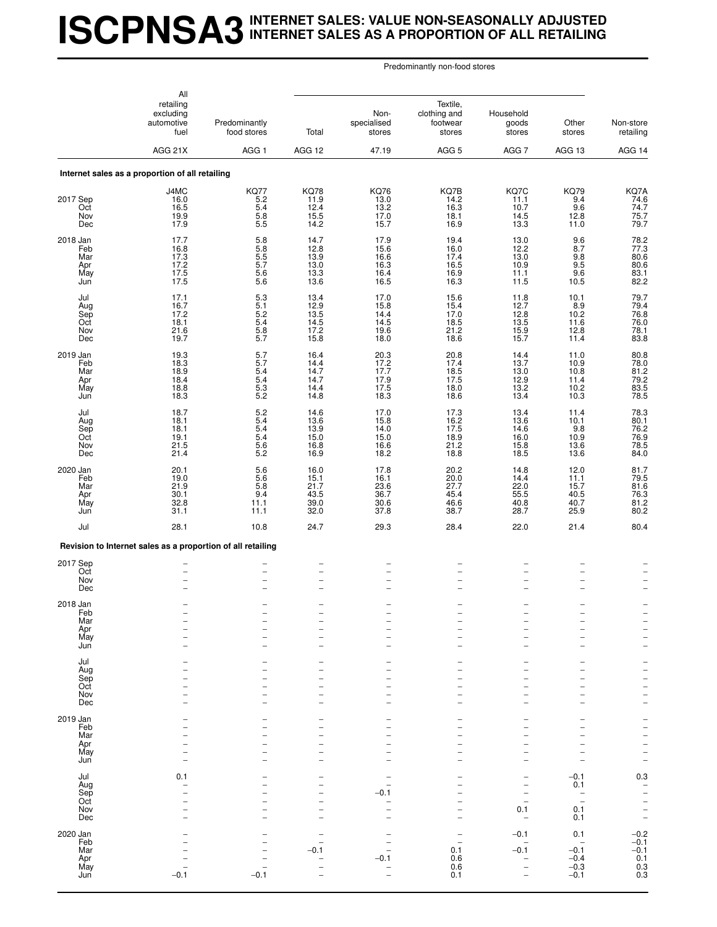## **ISCPNSA3INTERNET SALES: VALUE NON-SEASONALLY ADJUSTED INTERNET SALES AS A PROPORTION OF ALL RETAILING**

|                                                    | All<br>retailing<br>excluding<br>automotive<br>fuel<br>AGG 21X | Predominantly<br>food stores<br>AGG <sub>1</sub>                             | Total<br>AGG 12                                      | Non-<br>specialised<br>stores<br>47.19                    | Textile,<br>clothing and<br>footwear<br>stores<br>AGG <sub>5</sub> | Household<br>goods<br>stores<br>AGG <sub>7</sub>                                                                    | Other<br>stores<br>AGG 13                                                    | Non-store<br>retailing<br>AGG 14                                                                                                              |
|----------------------------------------------------|----------------------------------------------------------------|------------------------------------------------------------------------------|------------------------------------------------------|-----------------------------------------------------------|--------------------------------------------------------------------|---------------------------------------------------------------------------------------------------------------------|------------------------------------------------------------------------------|-----------------------------------------------------------------------------------------------------------------------------------------------|
|                                                    | Internet sales as a proportion of all retailing                |                                                                              |                                                      |                                                           |                                                                    |                                                                                                                     |                                                                              |                                                                                                                                               |
| 2017 Sep<br>Oct<br>Nov                             | J4MC<br>16.0<br>16.5<br>19.9                                   | KQ77<br>5.2<br>5.4<br>$\frac{5.8}{5.5}$                                      | <b>KQ78</b><br>11.9<br>12.4<br>15.5                  | <b>KQ76</b><br>13.0<br>13.2<br>17.0                       | KQ7B<br>14.2<br>16.3<br>18.1                                       | KQ7C<br>11.1<br>10.7<br>14.5                                                                                        | <b>KQ79</b><br>9.4<br>9.6<br>12.8                                            | KQ7A<br>74.6<br>74.7<br>75.7<br>79.7                                                                                                          |
| Dec<br>2018 Jan<br>Feb<br>Mar<br>Apr<br>May<br>Jun | 17.9<br>17.7<br>16.8<br>17.3<br>$17.2$<br>$17.5$<br>17.5       | $\begin{array}{c} 5.8 \\ 5.8 \end{array}$<br>$\frac{5.5}{5.7}$<br>5.6<br>5.6 | 14.2<br>14.7<br>12.8<br>13.9<br>13.0<br>13.3<br>13.6 | 15.7<br>17.9<br>15.6<br>16.6<br>16.3<br>16.4<br>16.5      | 16.9<br>19.4<br>16.0<br>17.4<br>16.5<br>16.9<br>16.3               | 13.3<br>13.0<br>12.2<br>13.0<br>10.9<br>11.1<br>11.5                                                                | 11.0<br>$\frac{9.6}{8.7}$<br>9.8<br>9.5<br>9.6<br>10.5                       | 78.2<br>77.3<br>80.6<br>80.6<br>83.1<br>82.2                                                                                                  |
| Jul<br>Aug<br>Sep<br>Oct<br>Nov<br>Dec             | 17.1<br>16.7<br>17.2<br>18.1<br>21.6<br>19.7                   | 5.3<br>5.1<br>$\frac{5.2}{5.4}$<br>5.8<br>5.7                                | 13.4<br>12.9<br>13.5<br>14.5<br>17.2<br>15.8         | 17.0<br>15.8<br>14.4<br>14.5<br>19.6<br>18.0              | 15.6<br>15.4<br>17.0<br>18.5<br>21.2<br>18.6                       | 11.8<br>12.7<br>12.8<br>13.5<br>15.9<br>15.7                                                                        | 10.1<br>8.9<br>10.2<br>11.6<br>12.8<br>11.4                                  | 79.7<br>79.4<br>76.8<br>76.0<br>78.1<br>83.8                                                                                                  |
| 2019 Jan<br>Feb<br>Mar<br>Apr<br>May<br>Jun        | 19.3<br>18.3<br>18.9<br>18.4<br>18.8<br>18.3                   | 5.7<br>5.7<br>5.4<br>5.4<br>$\frac{5.3}{5.2}$                                | 16.4<br>14.4<br>14.7<br>14.7<br>14.4<br>14.8         | 20.3<br>$17.2$<br>17.7<br>17.9<br>17.5<br>18.3            | 20.8<br>17.4<br>18.5<br>17.5<br>18.0<br>18.6                       | 14.4<br>13.7<br>13.0<br>12.9<br>13.2<br>13.4                                                                        | 11.0<br>10.9<br>10.8<br>11.4<br>10.2<br>10.3                                 | 80.8<br>78.0<br>81.2<br>79.2<br>83.5<br>78.5                                                                                                  |
| Jul<br>Aug<br>Sep<br>Oct<br>Nov<br>Dec             | 18.7<br>18.1<br>18.1<br>19.1<br>21.5<br>21.4                   | $\frac{5.2}{5.4}$<br>5.4<br>5.4<br>$\frac{5.6}{5.2}$                         | 14.6<br>13.6<br>13.9<br>15.0<br>16.8<br>16.9         | 17.0<br>15.8<br>14.0<br>15.0<br>16.6<br>18.2              | 17.3<br>16.2<br>17.5<br>18.9<br>21.2<br>18.8                       | 13.4<br>13.6<br>14.6<br>16.0<br>15.8<br>18.5                                                                        | 11.4<br>10.1<br>9.8<br>10.9<br>13.6<br>13.6                                  | 78.3<br>80.1<br>76.2<br>76.9<br>78.5<br>84.0                                                                                                  |
| 2020 Jan<br>Feb<br>Mar<br>Apr<br>May<br>Jun        | 20.1<br>19.0<br>21.9<br>30.1<br>32.8<br>31.1                   | 5.6<br>5.6<br>5.8<br>9.4<br>11.1<br>11.1                                     | 16.0<br>15.1<br>21.7<br>43.5<br>39.0<br>32.0         | 17.8<br>16.1<br>23.6<br>36.7<br>30.6<br>37.8              | 20.2<br>20.0<br>27.7<br>45.4<br>46.6<br>38.7                       | 14.8<br>14.4<br>22.0<br>55.5<br>40.8<br>28.7                                                                        | 12.0<br>11.1<br>15.7<br>40.5<br>40.7<br>25.9                                 | 81.7<br>79.5<br>81.6<br>76.3<br>81.2<br>80.2                                                                                                  |
| Jul                                                | 28.1                                                           | 10.8                                                                         | 24.7                                                 | 29.3                                                      | 28.4                                                               | 22.0                                                                                                                | 21.4                                                                         | 80.4                                                                                                                                          |
|                                                    | Revision to Internet sales as a proportion of all retailing    |                                                                              |                                                      |                                                           |                                                                    |                                                                                                                     |                                                                              |                                                                                                                                               |
| 2017 Sep<br>Oct<br>Nov<br>Dec                      | $\overline{\phantom{0}}$<br>$\overline{\phantom{0}}$           | $\overline{\phantom{0}}$<br>$\overline{a}$                                   | $\overline{a}$<br>$\overline{a}$                     | $\overline{\phantom{0}}$<br>-<br>$\overline{\phantom{0}}$ | $\overline{a}$                                                     | $\qquad \qquad -$<br>$\overline{\phantom{0}}$<br>$\overline{\phantom{0}}$                                           | $\overline{\phantom{0}}$<br>$\overline{\phantom{0}}$                         |                                                                                                                                               |
| 2018 Jan<br>Feb<br>Mar<br>Apr<br>May<br>Jun        |                                                                |                                                                              | $\overline{\phantom{0}}$<br>$\overline{\phantom{0}}$ |                                                           |                                                                    | ۰<br>$\overline{\phantom{0}}$<br>$\overline{\phantom{0}}$<br>۰                                                      |                                                                              | $\overline{\phantom{0}}$<br>$\overline{\phantom{0}}$<br>$\overline{\phantom{0}}$                                                              |
| Jul<br>Aug<br>Sep<br>Oct<br>Nov<br>Dec             |                                                                |                                                                              | -<br>L                                               |                                                           |                                                                    | -<br>$\overline{a}$<br>$\overline{\phantom{0}}$<br>۰<br>۰                                                           |                                                                              | -<br>$\overline{\phantom{0}}$<br>$\overline{\phantom{0}}$<br>$\overline{\phantom{0}}$<br>$\overline{\phantom{0}}$<br>$\overline{\phantom{0}}$ |
| 2019 Jan<br>Feb<br>Mar<br>Apr<br>May<br>Jun        |                                                                |                                                                              | -                                                    |                                                           |                                                                    | $\overline{\phantom{0}}$<br>$\overline{\phantom{0}}$<br>۰<br>$\overline{\phantom{0}}$<br>$\qquad \qquad -$          |                                                                              | ÷<br>$\overline{\phantom{a}}$<br>$\overline{\phantom{0}}$<br>$\overline{\phantom{0}}$<br>$\overline{a}$                                       |
| Jul<br>Aug<br>Sep<br>Oct<br>Nov<br>Dec             | 0.1                                                            |                                                                              | -<br>-                                               | -0.1                                                      |                                                                    | $\overline{\phantom{0}}$<br>$\overline{\phantom{0}}$<br>$\overline{\phantom{0}}$<br>0.1<br>$\overline{\phantom{0}}$ | $-0.1$<br>0.1<br>$\qquad \qquad -$<br>$\overline{\phantom{0}}$<br>0.1<br>0.1 | 0.3<br>$\overline{\phantom{0}}$<br>$\overline{\phantom{0}}$<br>$\overline{a}$<br>$\overline{a}$<br>$\overline{\phantom{0}}$                   |
| 2020 Jan<br>Feb<br>Mar<br>Apr<br>May<br>Jun        | $-0.1$                                                         | $-0.1$                                                                       | $-0.1$                                               | -0.1                                                      | 0.1<br>0.6<br>0.6<br>0.1                                           | $-0.1$<br>$-0.1$<br>$\overline{a}$                                                                                  | 0.1<br>$-0.1$<br>$-0.4$<br>$-0.3$<br>$-0.1$                                  | $^{-0.2}_{-0.1}$<br>$-0.1$<br>0.1<br>$0.3$<br>$0.3$                                                                                           |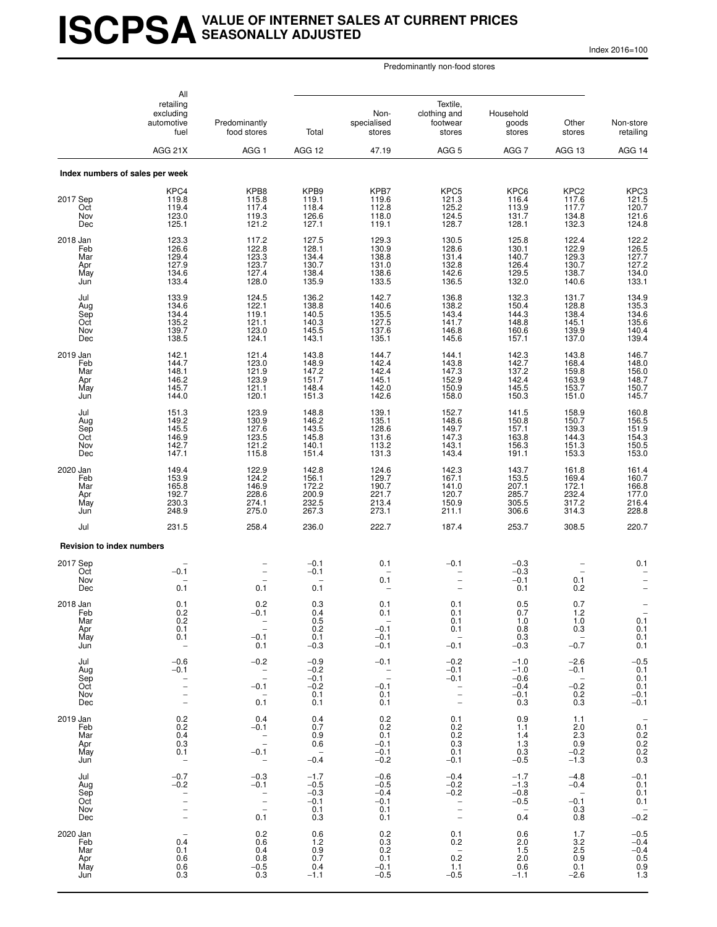## **ISCPSAVALUE OF INTERNET SALES AT CURRENT PRICES SEASONALLY ADJUSTED**

Index 2016=100

|                                             | All<br>retailing                                                  |                                                                           |                                                      |                                                                      |                                                                                                                |                                                                         |                                                                      |                                                                            |
|---------------------------------------------|-------------------------------------------------------------------|---------------------------------------------------------------------------|------------------------------------------------------|----------------------------------------------------------------------|----------------------------------------------------------------------------------------------------------------|-------------------------------------------------------------------------|----------------------------------------------------------------------|----------------------------------------------------------------------------|
|                                             | excluding<br>automotive<br>fuel                                   | Predominantly<br>food stores                                              | Total                                                | Non-<br>specialised<br>stores                                        | clothing and<br>footwear<br>stores                                                                             | Household<br>goods<br>stores                                            | Other<br>stores                                                      | Non-store<br>retailing                                                     |
|                                             | AGG 21X                                                           | AGG 1                                                                     | AGG 12                                               | 47.19                                                                | AGG <sub>5</sub>                                                                                               | AGG 7                                                                   | AGG 13                                                               | AGG 14                                                                     |
|                                             | Index numbers of sales per week                                   |                                                                           |                                                      |                                                                      |                                                                                                                |                                                                         |                                                                      |                                                                            |
| 2017 Sep<br>Oct<br>Nov<br>Dec               | KPC4<br>119.8<br>119.4<br>123.0<br>125.1                          | KPB8<br>115.8<br>117.4<br>119.3<br>121.2                                  | KPB9<br>119.1<br>118.4<br>126.6<br>127.1             | KPB7<br>119.6<br>112.8<br>118.0<br>119.1                             | KPC5<br>121.3<br>125.2<br>124.5<br>128.7                                                                       | KPC6<br>116.4<br>113.9<br>131.7<br>128.1                                | KPC2<br>117.6<br>117.7<br>134.8<br>132.3                             | KPC3<br>121.5<br>120.7<br>121.6<br>124.8                                   |
| 2018 Jan<br>Feb<br>Mar<br>Apr<br>May<br>Jun | 123.3<br>126.6<br>129.4<br>127.9<br>134.6<br>133.4                | 117.2<br>122.8<br>123.3<br>123.7<br>127.4<br>128.0                        | 127.5<br>128.1<br>134.4<br>130.7<br>138.4<br>135.9   | 129.3<br>130.9<br>138.8<br>131.0<br>138.6<br>133.5                   | 130.5<br>128.6<br>131.4<br>132.8<br>142.6<br>136.5                                                             | 125.8<br>130.1<br>140.7<br>126.4<br>129.5<br>132.0                      | 122.4<br>122.9<br>129.3<br>130.7<br>138.7<br>140.6                   | 122.2<br>126.5<br>127.7<br>127.2<br>134.0<br>133.1                         |
| Jul<br>Aug<br>Sep<br>Oct<br>Nov<br>Dec      | 133.9<br>134.6<br>134.4<br>135.2<br>139.7<br>138.5                | 124.5<br>122.1<br>119.1<br>121.1<br>123.0<br>124.1                        | 136.2<br>138.8<br>140.5<br>140.3<br>145.5<br>143.1   | 142.7<br>140.6<br>135.5<br>127.5<br>137.6<br>135.1                   | 136.8<br>138.2<br>143.4<br>141.7<br>146.8<br>145.6                                                             | 132.3<br>150.4<br>144.3<br>148.8<br>160.6<br>157.1                      | 131.7<br>128.8<br>138.4<br>145.1<br>139.9<br>137.0                   | 134.9<br>135.3<br>134.6<br>135.6<br>140.4<br>139.4                         |
| 2019 Jan<br>Feb<br>Mar<br>Apr<br>May<br>Jun | 142.1<br>144.7<br>148.1<br>146.2<br>145.7<br>144.0                | 121.4<br>123.0<br>121.9<br>123.9<br>121.1<br>120.1                        | 143.8<br>148.9<br>147.2<br>151.7<br>148.4<br>151.3   | 144.7<br>142.4<br>142.4<br>145.1<br>142.0<br>142.6                   | 144.1<br>143.8<br>147.3<br>152.9<br>150.9<br>158.0                                                             | 142.3<br>142.7<br>137.2<br>142.4<br>145.5<br>150.3                      | 143.8<br>168.4<br>159.8<br>163.9<br>153.7<br>151.0                   | 146.7<br>148.0<br>156.0<br>148.7<br>150.7<br>145.7                         |
| Jul<br>Aug<br>Sep<br>Oct<br>Nov<br>Dec      | 151.3<br>149.2<br>145.5<br>146.9<br>142.7<br>147.1                | 123.9<br>130.9<br>127.6<br>123.5<br>121.2<br>115.8                        | 148.8<br>146.2<br>143.5<br>145.8<br>140.1<br>151.4   | 139.1<br>135.1<br>128.6<br>131.6<br>113.2<br>131.3                   | 152.7<br>148.6<br>149.7<br>147.3<br>143.1<br>143.4                                                             | 141.5<br>150.8<br>157.1<br>163.8<br>156.3<br>191.1                      | 158.9<br>150.7<br>139.3<br>144.3<br>151.3<br>153.3                   | 160.8<br>156.5<br>151.9<br>154.3<br>150.5<br>153.0                         |
| 2020 Jan<br>Feb<br>Mar<br>Apr<br>May<br>Jun | 149.4<br>153.9<br>165.8<br>192.7<br>230.3<br>248.9                | 122.9<br>124.2<br>146.9<br>228.6<br>274.1<br>275.0                        | 142.8<br>156.1<br>172.2<br>200.9<br>232.5<br>267.3   | 124.6<br>129.7<br>190.7<br>221.7<br>213.4<br>273.1                   | 142.3<br>167.1<br>141.0<br>120.7<br>150.9<br>211.1                                                             | 143.7<br>153.5<br>207.1<br>285.7<br>305.5<br>306.6                      | 161.8<br>169.4<br>172.1<br>232.4<br>317.2<br>314.3                   | 161.4<br>160.7<br>166.8<br>177.0<br>216.4<br>228.8                         |
| Jul                                         | 231.5                                                             | 258.4                                                                     | 236.0                                                | 222.7                                                                | 187.4                                                                                                          | 253.7                                                                   | 308.5                                                                | 220.7                                                                      |
| <b>Revision to index numbers</b>            |                                                                   |                                                                           | $-0.1$                                               | 0.1                                                                  | $-0.1$                                                                                                         | $-0.3$                                                                  |                                                                      | 0.1                                                                        |
| 2017 Sep<br>Oct<br>Nov<br>Dec               | $-0.1$<br>0.1                                                     | $\overline{\phantom{0}}$<br>0.1                                           | $-0.1$<br>0.1                                        | 0.1                                                                  | $\overline{\phantom{0}}$                                                                                       | $-0.3$<br>$-0.1$<br>0.1                                                 | $\overline{\phantom{0}}$<br>0.1<br>0.2                               |                                                                            |
| 2018 Jan<br>Feb<br>Mar<br>Apr<br>May<br>Jun | 0.1<br>0.2<br>0.2<br>0.1<br>0.1                                   | 0.2<br>-0.1<br>$\overline{\phantom{0}}$<br>$-0.1$<br>0.1                  | 0.3<br>0.4<br>0.5<br>0.2<br>0.1<br>$-0.3$            | 0.1<br>0.1<br>$\overline{\phantom{a}}$<br>$-0.1$<br>$-0.1$<br>$-0.1$ | 0.1<br>0.1<br>0.1<br>0.1<br>$\overline{\phantom{a}}$<br>$-0.1$                                                 | 0.5<br>0.7<br>1.0<br>0.8<br>0.3<br>$-0.3$                               | 0.7<br>1.2<br>1.0<br>0.3<br>$\overline{a}$<br>$-0.7$                 | $\qquad \qquad -$<br>0.1<br>0.1<br>0.1<br>0.1                              |
| Jul<br>Aug<br>Sep<br>Oct<br>Nov<br>Dec      | $-0.6$<br>$-0.1$<br>$\overline{\phantom{0}}$<br>$\qquad \qquad -$ | $-0.2$<br>$\bar{z}$<br>$-0.1$<br>$\hspace{0.1mm}$ $\hspace{0.1mm}$<br>0.1 | $-0.9$<br>$-0.2$<br>$-0.1$<br>$-0.2$<br>0.1<br>0.1   | $-0.1$<br>$\bar{a}$<br>$-0.1$<br>0.1<br>0.1                          | $-0.2$<br>$-0.1$<br>$-0.1$<br>$\frac{1}{2}$                                                                    | $-1.0$<br>$-1.0$<br>$-0.6$<br>$-0.4$<br>$-0.1$<br>0.3                   | $-2.6$<br>$-0.1$<br>$\overline{\phantom{0}}$<br>$-0.2$<br>0.2<br>0.3 | $-0.5$<br>0.1<br>0.1<br>0.1<br>$-0.1$<br>$-0.1$                            |
| 2019 Jan<br>Feb<br>Mar<br>Apr<br>May<br>Jun | 0.2<br>0.2<br>0.4<br>0.3<br>0.1<br>$\overline{\phantom{0}}$       | 0.4<br>$-0.1$<br>$\bar{a}$<br>$-0.1$<br>$\qquad \qquad -$                 | 0.4<br>0.7<br>0.9<br>0.6<br>$\overline{a}$<br>$-0.4$ | 0.2<br>0.2<br>0.1<br>$-0.1$<br>$-0.1$<br>$-0.2$                      | 0.1<br>0.2<br>0.2<br>0.3<br>0.1<br>$-0.1$                                                                      | 0.9<br>1.1<br>1.4<br>1.3<br>0.3<br>$-0.5$                               | 1.1<br>2.0<br>2.3<br>0.9<br>$-0.2$<br>$-1.3$                         | 0.1<br>$0.2 \\ 0.2$<br>0.2<br>0.3                                          |
| Jul<br>Aug<br>Sep<br>Oct<br>Nov<br>Dec      | $-0.7$<br>$-0.2$                                                  | $-0.3$<br>$-0.1$<br>$\frac{-}{-}$<br>0.1                                  | $-1.7$<br>$-0.5$<br>$-0.3$<br>$-0.1$<br>0.1<br>0.3   | $-0.6$<br>$-0.5$<br>$-0.4$<br>$-0.1$<br>0.1<br>0.1                   | $-0.4$<br>$-0.2$<br>$-0.2$<br>$\overline{\phantom{m}}$<br>$\overline{\phantom{0}}$<br>$\overline{\phantom{0}}$ | $-1.7$<br>$-1.3$<br>$-0.8$<br>$-0.5$<br>$\overline{\phantom{0}}$<br>0.4 | $-4.8$<br>$-0.4$<br>$-0.1$<br>0.3<br>0.8                             | $-0.1$<br>0.1<br>0.1<br>0.1<br>$\hspace{1.0cm} - \hspace{1.0cm}$<br>$-0.2$ |
| 2020 Jan<br>Feb<br>Mar<br>Apr<br>May<br>Jun | 0.4<br>0.1<br>0.6<br>0.6<br>0.3                                   | 0.2<br>0.6<br>0.4<br>0.8<br>$-0.5$<br>0.3                                 | 0.6<br>1.2<br>0.9<br>0.7<br>0.4<br>$-1.1$            | 0.2<br>$0.\overline{3}$<br>0.2<br>0.1<br>$-0.1$<br>$-0.5$            | 0.1<br>0.2<br>$\hspace{0.1mm}-\hspace{0.1mm}$<br>0.2<br>1.1<br>$-0.5$                                          | 0.6<br>2.0<br>1.5<br>2.0<br>0.6<br>$-1.1$                               | 1.7<br>3.2<br>2.5<br>0.9<br>0.1<br>$-2.6$                            | $-0.5$<br>$-0.4$<br>$-0.4$<br>0.5<br>0.9<br>1.3                            |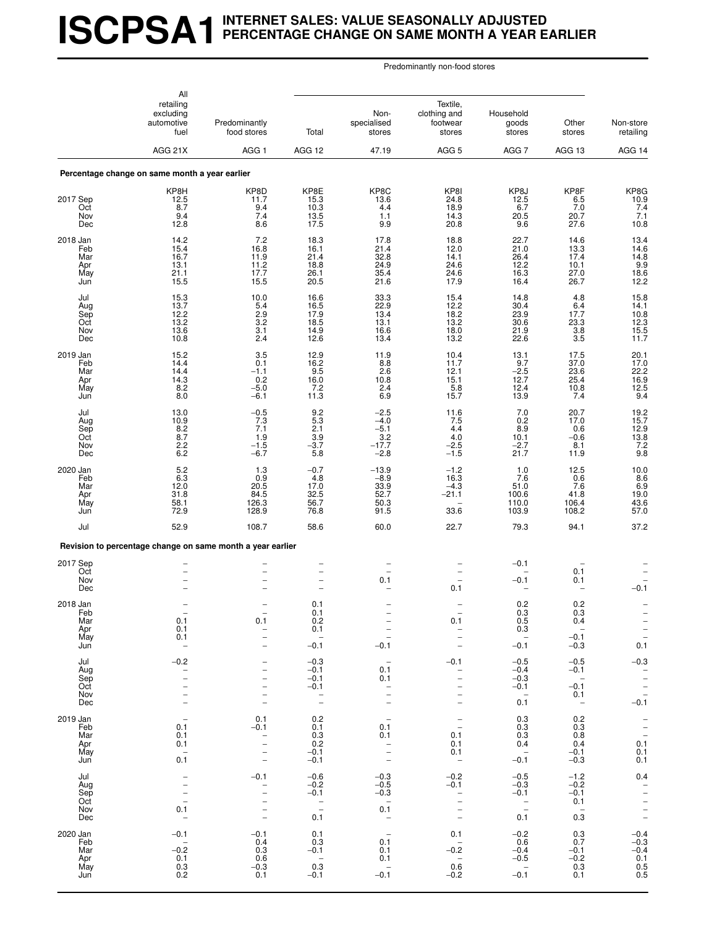## **ISCPSA1INTERNET SALES: VALUE SEASONALLY ADJUSTED PERCENTAGE CHANGE ON SAME MONTH A YEAR EARLIER**

|          |                                        | All<br>retailing<br>excluding<br>automotive<br>fuel<br>AGG 21X                                                                    | Predominantly<br>food stores<br>AGG <sub>1</sub>                                    | Total<br>AGG 12                                                                           | Non-<br>specialised<br>stores<br>47.19                                                                                     | Textile,<br>clothing and<br>footwear<br>stores<br>AGG <sub>5</sub>                                                        | Household<br>goods<br>stores<br>AGG <sub>7</sub>                        | Other<br>stores<br>AGG 13                                                                 | Non-store<br>retailing<br>AGG 14                                            |
|----------|----------------------------------------|-----------------------------------------------------------------------------------------------------------------------------------|-------------------------------------------------------------------------------------|-------------------------------------------------------------------------------------------|----------------------------------------------------------------------------------------------------------------------------|---------------------------------------------------------------------------------------------------------------------------|-------------------------------------------------------------------------|-------------------------------------------------------------------------------------------|-----------------------------------------------------------------------------|
|          |                                        | Percentage change on same month a year earlier                                                                                    |                                                                                     |                                                                                           |                                                                                                                            |                                                                                                                           |                                                                         |                                                                                           |                                                                             |
| 2017 Sep | Oct<br>Nov<br>Dec                      | KP8H<br>12.5<br>8.7<br>9.4<br>12.8                                                                                                | KP8D<br>11.7<br>9.4<br>7.4<br>8.6                                                   | KP8E<br>15.3<br>10.3<br>13.5<br>17.5                                                      | KP8C<br>13.6<br>4.4<br>1.1<br>9.9                                                                                          | KP8I<br>24.8<br>18.9<br>14.3<br>20.8                                                                                      | KP8J<br>12.5<br>6.7<br>20.5<br>9.6                                      | KP8F<br>6.5<br>7.0<br>20.7<br>27.6                                                        | KP8G<br>$\frac{10.9}{7.4}$<br>7.1<br>10.8                                   |
| 2018 Jan | Feb<br>Mar<br>Apr<br>May<br>Jun        | 14.2<br>15.4<br>16.7<br>13.1<br>21.1<br>15.5                                                                                      | 7.2<br>16.8<br>11.9<br>11.2<br>17.7<br>15.5                                         | 18.3<br>16.1<br>21.4<br>18.8<br>26.1<br>20.5                                              | 17.8<br>21.4<br>32.8<br>24.9<br>35.4<br>21.6                                                                               | 18.8<br>12.0<br>14.1<br>24.6<br>24.6<br>17.9                                                                              | 22.7<br>21.0<br>26.4<br>12.2<br>16.3<br>16.4                            | 14.6<br>13.3<br>17.4<br>10.1<br>27.0<br>26.7                                              | 13.4<br>14.6<br>14.8<br>19.9<br>18.6<br>12.2                                |
|          | Jul<br>Aug<br>Sep<br>Oct<br>Nov<br>Dec | 15.3<br>13.7<br>12.2<br>13.2<br>13.6<br>10.8                                                                                      | 10.0<br>5.4<br>2.9<br>$3.\overline{2}$<br>3.1<br>2.4                                | 16.6<br>16.5<br>17.9<br>18.5<br>14.9<br>12.6                                              | 33.3<br>22.9<br>13.4<br>13.1<br>16.6<br>13.4                                                                               | 15.4<br>12.2<br>18.2<br>13.2<br>18.0<br>13.2                                                                              | 14.8<br>30.4<br>23.9<br>30.6<br>21.9<br>22.6                            | 4.8<br>6.4<br>17.7<br>23.3<br>3.8<br>3.5                                                  | 15.8<br>14.1<br>$\begin{array}{c} 10.8 \\ 12.3 \\ 15.5 \\ 11.7 \end{array}$ |
| 2019 Jan | Feb<br>Mar<br>Apr<br>May<br>Jun        | 15.2<br>14.4<br>14.4<br>14.3<br>8.2<br>8.0                                                                                        | 3.5<br>0.1<br>$-1.1$<br>0.2<br>$-5.0$<br>$-6.1$                                     | 12.9<br>16.2<br>9.5<br>16.0<br>7.2<br>11.3                                                | 11.9<br>8.8<br>2.6<br>10.8<br>2.4<br>6.9                                                                                   | 10.4<br>11.7<br>12.1<br>15.1<br>5.8<br>15.7                                                                               | 13.1<br>9.7<br>$-2.5$<br>12.7<br>12.4<br>13.9                           | 17.5<br>37.0<br>23.6<br>25.4<br>10.8<br>7.4                                               | 20.1<br>$\frac{17.0}{22.2}$<br>16.9<br>$\frac{12.5}{9.4}$                   |
|          | Jul<br>Aug<br>Sep<br>Oct<br>Nov<br>Dec | 13.0<br>10.9<br>8.2<br>8.7<br>2.2<br>6.2                                                                                          | $-0.5$<br>7.3<br>7.1<br>1.9<br>$-1.5$<br>$-6.7$                                     | $\frac{9.2}{5.3}$<br>2.1<br>3.9<br>$-3.7$<br>5.8                                          | $-2.5$<br>$-4.0$<br>$-5.1$<br>$-17.7$<br>$-2.8$                                                                            | 11.6<br>7.5<br>4.4<br>4.0<br>$-2.5$<br>$-1.5$                                                                             | 7.0<br>0.2<br>8.9<br>10.1<br>$-2.7$<br>21.7                             | 20.7<br>17.0<br>0.6<br>$-0.6$<br>8.1<br>11.9                                              | 19.2<br>15.7<br>12.9<br>13.8<br>7.2<br>9.8                                  |
| 2020 Jan | Feb<br>Mar<br>Apr<br>May<br>Jun        | 5.2<br>6.3<br>12.0<br>31.8<br>58.1<br>72.9                                                                                        | 1.3<br>0.9<br>20.5<br>84.5<br>126.3<br>128.9                                        | $-0.7$<br>4.8<br>17.0<br>32.5<br>56.7<br>76.8                                             | $-13.9$<br>$-8.9$<br>33.9<br>52.7<br>50.3<br>91.5                                                                          | $-1.2$<br>16.3<br>$-4.3$<br>$-21.1$<br>33.6                                                                               | 1.0<br>7.6<br>51.0<br>100.6<br>110.0<br>103.9                           | 12.5<br>0.6<br>7.6<br>41.8<br>106.4<br>108.2                                              | 10.0<br>$8.6$<br>$6.9$<br>$19.0$<br>$43.6$<br>57.0                          |
|          | Jul                                    | 52.9                                                                                                                              | 108.7                                                                               | 58.6                                                                                      | 60.0                                                                                                                       | 22.7                                                                                                                      | 79.3                                                                    | 94.1                                                                                      | 37.2                                                                        |
|          |                                        |                                                                                                                                   | Revision to percentage change on same month a year earlier                          |                                                                                           |                                                                                                                            |                                                                                                                           |                                                                         |                                                                                           |                                                                             |
| 2017 Sep | Oct<br>Nov<br>Dec                      |                                                                                                                                   |                                                                                     | $\overline{\phantom{0}}$<br>$\overline{\phantom{0}}$                                      | 0.1                                                                                                                        | $\overline{\phantom{0}}$<br>0.1                                                                                           | $-0.1$<br>$-0.1$                                                        | 0.1<br>0.1                                                                                | $-0.1$                                                                      |
| 2018 Jan | rep<br>Mar<br>Apr<br>May<br>Jun        | 0.1<br>0.1<br>0.1<br>$\overline{\phantom{a}}$                                                                                     | 0.1<br>$\qquad \qquad -$<br>$\overline{\phantom{0}}$                                | 0.1<br>U.I<br>0.2<br>0.1<br>$\hspace{0.1mm}-\hspace{0.1mm}$<br>$-0.1$                     | $\overline{\phantom{0}}$<br>$\qquad \qquad -$<br>$\overline{\phantom{a}}$<br>$-0.1$                                        | 0.1<br>$\qquad \qquad -$<br>$\overline{\phantom{0}}$                                                                      | 0.2<br>0.3<br>0.5<br>0.3<br>$\hspace{0.1mm}-\hspace{0.1mm}$<br>$-0.1$   | 0.2<br><b>U.3</b><br>0.4<br>$\overline{\phantom{a}}$<br>$-0.1$<br>$-0.3$                  | $\hspace{0.1mm}-\hspace{0.1mm}$<br>$\frac{-}{-}$<br>0.1                     |
|          | Jul<br>Aug<br>Sep<br>Oct<br>Nov<br>Dec | $-0.2$<br>$\overline{\phantom{0}}$<br>$\qquad \qquad -$                                                                           | $\overline{\phantom{0}}$                                                            | $-0.3$<br>$-0.1$<br>$-0.1$<br>$-0.1$<br>$\overline{\phantom{a}}$<br>$\qquad \qquad -$     | $\overline{\phantom{a}}$<br>0.1<br>0.1<br>$\qquad \qquad -$<br>$\overline{a}$<br>$\overline{\phantom{0}}$                  | $-0.1$<br>$\overline{a}$<br>$\overline{\phantom{0}}$<br>$\overline{\phantom{0}}$<br>$\overline{\phantom{0}}$              | $-0.5$<br>$-0.4$<br>$-0.3$<br>$-0.1$<br>$\overline{\phantom{a}}$<br>0.1 | $-0.5$<br>$-0.1$<br>$\overline{\phantom{0}}$<br>$-0.1$<br>0.1<br>$\overline{\phantom{a}}$ | $-0.3$<br>$\frac{1}{2}$<br>$\bar{a}$<br>$-0.1$                              |
| 2019 Jan | Feb<br>Mar<br>Apr<br>May<br>Jun        | 0.1<br>0.1<br>0.1<br>$\overline{\phantom{a}}$<br>0.1                                                                              | 0.1<br>$-0.1$<br>$\overline{\phantom{a}}$<br>$\qquad \qquad -$<br>$\qquad \qquad -$ | 0.2<br>0.1<br>0.3<br>0.2<br>$-0.1$<br>$-0.1$                                              | $\overline{\phantom{m}}$<br>0.1<br>0.1<br>$\overline{\phantom{a}}$<br>$\overline{\phantom{0}}$<br>$\overline{\phantom{a}}$ | $\overline{\phantom{a}}$<br>0.1<br>0.1<br>0.1<br>$\overline{\phantom{a}}$                                                 | 0.3<br>0.3<br>0.3<br>0.4<br>$\overline{\phantom{0}}$<br>$-0.1$          | 0.2<br>0.3<br>0.8<br>0.4<br>$-0.1$<br>$-0.3$                                              | $\frac{1}{2}$<br>0.1<br>0.1<br>0.1                                          |
|          | Jul<br>Aug<br>Sep<br>Oct<br>Nov<br>Dec | $\overline{\phantom{0}}$<br>$\qquad \qquad -$<br>$\overline{\phantom{a}}$<br>$\overline{\phantom{a}}$<br>0.1<br>$\qquad \qquad -$ | $-0.1$<br>$\overline{\phantom{a}}$<br>$\bar{a}$                                     | $-0.6$<br>$-0.2$<br>$-0.1$<br>$\overline{\phantom{a}}$<br>$\overline{\phantom{a}}$<br>0.1 | $-0.3$<br>$-0.5$<br>$-0.3$<br>$\hspace{0.1mm}-\hspace{0.1mm}$<br>0.1<br>$\overline{\phantom{a}}$                           | $-0.2$<br>$-0.1$<br>$\overline{\phantom{m}}$<br>$\overline{\phantom{0}}$<br>$\qquad \qquad -$<br>$\overline{\phantom{a}}$ | $-0.5$<br>$-0.3$<br>$-0.1$<br>$\bar{a}$<br>0.1                          | $-1.2$<br>$-0.2$<br>$-0.1$<br>0.1<br>$\overline{\phantom{a}}$<br>0.3                      | 0.4<br>$\bar{z}$<br>$\frac{1}{1}$                                           |
| 2020 Jan | Feb<br>Mar<br>Apr<br>May<br>Jun        | $-0.1$<br>$\overline{\phantom{m}}$<br>$-0.2$<br>0.1<br>0.3<br>0.2                                                                 | $-0.1$<br>0.4<br>0.3<br>0.6<br>$-0.3$<br>0.1                                        | 0.1<br>0.3<br>$-0.1$<br>$\overline{\phantom{a}}$<br>0.3<br>$-0.1$                         | $\overline{\phantom{m}}$<br>0.1<br>0.1<br>0.1<br>$-0.1$                                                                    | 0.1<br>$\hspace{0.1mm}-\hspace{0.1mm}$<br>$-0.2$<br>$\overline{\phantom{a}}$<br>0.6<br>$-0.2$                             | $-0.2$<br>0.6<br>$-0.4$<br>$-0.5$<br>$-0.1$                             | 0.3<br>0.7<br>$-0.1$<br>$-0.2$<br>0.3<br>0.1                                              | $-0.4$<br>$-0.3$<br>$-0.4$<br>0.1<br>$0.5$<br>$0.5$                         |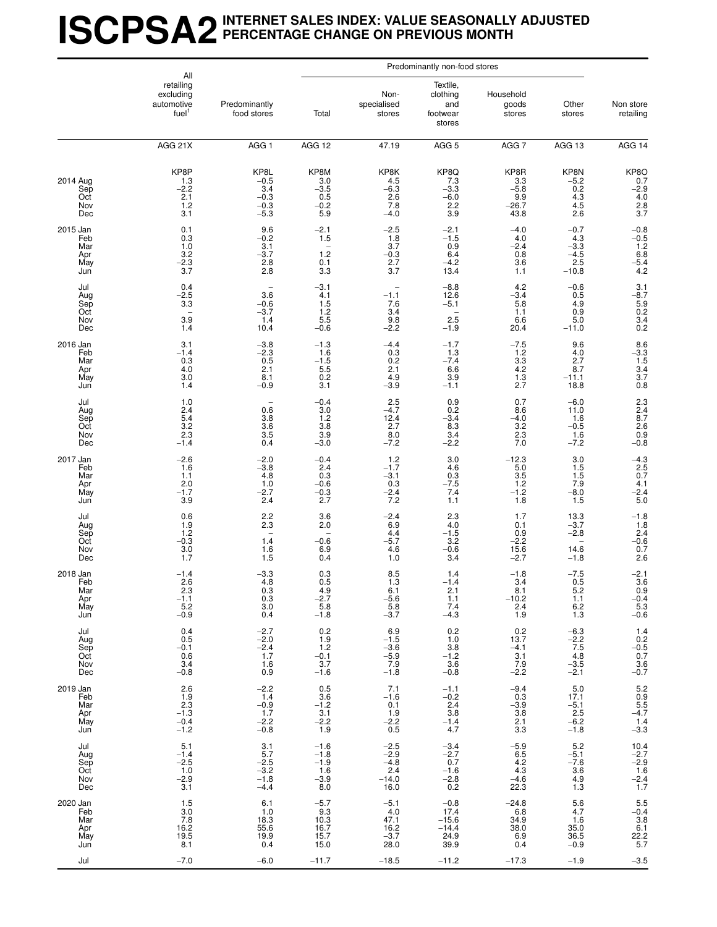## **ISCPSA2INTERNET SALES INDEX: VALUE SEASONALLY ADJUSTED PERCENTAGE CHANGE ON PREVIOUS MONTH**

|                                             | All                                                       |                                                     |                                                     |                                                                              | Predominantly non-food stores                        |                                                                            |                                                                        |                                                                                |
|---------------------------------------------|-----------------------------------------------------------|-----------------------------------------------------|-----------------------------------------------------|------------------------------------------------------------------------------|------------------------------------------------------|----------------------------------------------------------------------------|------------------------------------------------------------------------|--------------------------------------------------------------------------------|
|                                             | retailing<br>excluding<br>automotive<br>fuel <sup>1</sup> | Predominantly<br>food stores                        | Total                                               | Non-<br>specialised<br>stores                                                | Textile,<br>clothing<br>and<br>footwear<br>stores    | Household<br>goods<br>stores                                               | Other<br>stores                                                        | Non store<br>retailing                                                         |
|                                             | AGG 21X                                                   | AGG <sub>1</sub>                                    | AGG 12                                              | 47.19                                                                        | AGG <sub>5</sub>                                     | AGG <sub>7</sub>                                                           | AGG 13                                                                 | AGG 14                                                                         |
| 2014 Aug<br>Sep<br>Oct<br>Nov<br>Dec        | KP8P<br>1.3<br>$-2.2$<br>2.1<br>1.2<br>3.1                | KP8L<br>$-0.5$<br>3.4<br>$-0.3$<br>$-0.3$<br>$-5.3$ | KP8M<br>$3.0 - 3.5$<br>0.5<br>$-0.2$<br>5.9         | KP8K<br>4.5<br>$-6.\overline{3}$<br>2.6<br>7.8<br>$-4.0$                     | KP8Q<br>$7.3 - 3.3$<br>$-6.0$<br>2.2<br>3.9          | KP8R<br>$3.3 - 5.8$<br>9.9<br>$-26.7$<br>43.8                              | $KPSN - 5.2$<br>0.2<br>4.3<br>$\frac{4.5}{2.6}$                        | $KP8O$<br>0.7<br>-2.9<br>4.0<br>2.8<br>3.7                                     |
| 2015 Jan<br>Feb<br>Mar<br>Apr<br>May<br>Jun | 0.1<br>0.3<br>1.0<br>3.2<br>$-2.\overline{3}$<br>3.7      | 9.6<br>$-0.2$<br>3.1<br>$-3.7$<br>2.8<br>2.8        | $-2.1$<br>$\overline{1.5}$<br>1.2<br>0.1<br>3.3     | $-2.5$<br>1.8<br>3.7<br>$-0.3$<br>2.7<br>3.7                                 | $-2.1$<br>$-1.5$<br>0.9<br>6.4<br>$-4.2$<br>13.4     | $-4.0$<br>4.0<br>$-2.4$<br>$\substack{0.8 \\ 3.6}$<br>1.1                  | $-0.7$<br>4.3<br>$-3.3$<br>$-4.5$<br>2.5<br>$-10.8$                    | $-0.8$<br>$-0.5$<br>$1.2$<br>$6.8$<br>$-5.4$<br>$4.2$                          |
| Jul<br>Aug<br>Sep<br>Oct<br>Nov<br>Dec      | 0.4<br>$-2.5$<br>3.3<br>3.9<br>1.4                        | 3.6<br>$-0.6$<br>$-3.7$<br>1.4<br>10.4              | $-3.1$<br>4.1<br>$\frac{1.5}{1.2}$<br>5.5<br>$-0.6$ | $-1.1$<br>7.6<br>3.4<br>9.8<br>$-2.2$                                        | $-8.8$<br>12.6<br>$-5.1$<br>2.5<br>$-1.9$            | 4.2<br>$-3.4$<br>5.8<br>1.1<br>6.6<br>20.4                                 | $-0.6$<br>0.5<br>4.9<br>0.9<br>5.0<br>$-11.0$                          | $3.1 -8.7$<br>5.9<br>5.9<br>0.2<br>3.4<br>0.2                                  |
| 2016 Jan<br>Feb<br>Mar<br>Apr<br>May<br>Jun | 3.1<br>$-1.4$<br>0.3<br>4.0<br>$3.0$<br>$1.4$             | $-3.8$<br>$^{-2.3}_{0.5}$<br>2.1<br>8.1<br>$-0.9$   | $-1.3$<br>1.6<br>$-1.5$<br>5.5<br>0.2<br>3.1        | $-4.4$<br>0.3<br>0.2<br>2.1<br>4.9<br>$-3.9$                                 | $-1.7$<br>1.3<br>$-7.4$<br>6.6<br>$3.9 - 1.1$        | $-7.5$<br>1.2<br>$3.\overline{3}$<br>4.2<br>$^{1.3}_{2.7}$                 | 9.6<br>4.0<br>2.7<br>8.7<br>$-11.1$<br>18.8                            | $8.6$<br>$-3.3$<br>$1.5$<br>$3.4$<br>$3.7$<br>0.8                              |
| Jul<br>Aug<br>Sep<br>Oct<br>Nov<br>Dec      | 1.0<br>2.4<br>5.4<br>3.2<br>$2.\overline{3}$<br>$-1.4$    | 0.6<br>3.8<br>3.6<br>$\overline{3.5}$<br>0.4        | $-0.4$<br>3.0<br>1.2<br>$\frac{3.8}{3.9}$<br>$-3.0$ | 2.5<br>$-4.7$<br>12.4<br>$\begin{array}{c} 2.7 \\ 8.0 \end{array}$<br>$-7.2$ | 0.9<br>0.2<br>$-3.4$<br>$\frac{8.3}{3.4}$<br>$-2.2$  | 0.7<br>8.6<br>$-4.0$<br>$\frac{3.2}{2.3}$<br>7.0                           | $-6.0$<br>11.0<br>1.6<br>$-0.5$<br>1.6<br>$-7.2$                       | $2.3$<br>$2.4$<br>$8.7$<br>$\begin{array}{c} 2.6 \\ 0.9 \\ -0.8 \end{array}$   |
| 2017 Jan<br>Feb<br>Mar<br>Apr<br>May<br>Jun | $-2.6$<br>1.6<br>1.1<br>2.0<br>$-1.7$<br>3.9              | $-2.0$<br>$-3.8$<br>4.8<br>1.0<br>-2.7<br>2.4       | $-0.4$<br>2.4<br>0.3<br>$-0.6$<br>$-0.3$<br>2.7     | $1.2$<br>$-1.7$<br>$-3.1$<br>0.3<br>$-2.4$<br>7.2                            | 3.0<br>4.6<br>0.3<br>$-7.5$<br>7.4<br>1.1            | $-12.3$<br>$5.0\,$<br>$3.5$<br>$1.2$<br>$-1.2$<br>1.8                      | 3.0<br>1.5<br>1.5<br>7.9<br>$-8.0$<br>1.5                              | $-4.3$<br>2.5<br>0.7<br>4.1<br>$-2.4$<br>$5.0$                                 |
| Jul<br>Aug<br>Sep<br>Oct<br>Nov<br>Dec      | 0.6<br>1.9<br>1.2<br>$-0.3$<br>$3.0$<br>$1.7$             | 2.2<br>2.3<br>1.4<br>1.6<br>1.5                     | 3.6<br>2.0<br>$-0.6$<br>6.9<br>0.4                  | $-2.4$<br>6.9<br>4.4<br>$-5.7$<br>4.6<br>1.0                                 | 2.3<br>4.0<br>$-1.5$<br>3.2<br>$-0.6$<br>3.4         | 1.7<br>$\begin{array}{c} 0.1 \\ 0.9 \end{array}$<br>$-2.2$<br>$15.6 - 2.7$ | 13.3<br>$-3.7$<br>$-2.8$<br>$\overline{\phantom{a}}$<br>14.6<br>$-1.8$ | $-1.8$<br>1.8<br>2.4<br>-0.6<br>0.7<br>0.7<br>2.6                              |
| 2018 Jan<br>Feb<br>Mar<br>Apr<br>May<br>Jun | $-1.4$<br>2.6<br>2.3<br>$-1.1$<br>$5.2\,$<br>$-0.9$       | $-3.3$<br>4.8<br>0.3<br>0.3<br>3.0<br>0.4           | 0.3<br>0.5<br>4.9<br>$-2.7$<br>5.8<br>$-1.8$        | 8.5<br>1.3<br>6.1<br>$^{-5.6}_{-5.8}$<br>$-3.7$                              | 1.4<br>$-1.4$<br>2.1<br>1.1<br>7.4<br>$-4.3$         | $-1.8$<br>3.4<br>8.1<br>$-10.2$<br>2.4<br>1.9                              | $-7.5$<br>0.5<br>5.2<br>1.1<br>6.2<br>1.3                              | $\frac{-2.1}{3.6}$<br>0.9<br>$-0.4$<br>5.3<br>$-0.6$                           |
| Jul<br>Aug<br>Sep<br>Oct<br>Nov<br>Dec      | 0.4<br>0.5<br>$-0.1$<br>0.6<br>3.4<br>$-0.8$              | $-2.7$<br>$-2.0$<br>$-2.4$<br>1.7<br>1.6<br>0.9     | 0.2<br>1.9<br>1.2<br>$-0.1$<br>3.7<br>$-1.6$        | 6.9<br>$-1.5$<br>$-3.6$<br>$-5.9$<br>7.9<br>$-1.8$                           | 0.2<br>1.0<br>3.8<br>$-1.2$<br>3.6<br>$-0.8$         | 0.2<br>13.7<br>$-4.1$<br>3.1<br>7.9<br>$-2.2$                              | $-6.3$<br>$-2.2$<br>7.5<br>4.8<br>$-3.\overline{5}$<br>$-2.1$          | $1.4$<br>0.2<br>-0.5<br>0.7<br>$\frac{3.6}{-0.7}$                              |
| 2019 Jan<br>Feb<br>Mar<br>Apr<br>May<br>Jun | 2.6<br>1.9<br>2.3<br>$-1.3$<br>$-0.4$<br>$-1.2$           | $-2.2$<br>1.4<br>$-0.9$<br>1.7<br>$-2.2$<br>$-0.8$  | 0.5<br>3.6<br>$-1.2$<br>3.1<br>$-2.2$<br>1.9        | 7.1<br>$-1.6$<br>0.1<br>1.9<br>$-2.2$<br>0.5                                 | $-1.1$<br>$-0.2$<br>2.4<br>3.8<br>$-1.4$<br>4.7      | $-9.4$<br>0.3<br>$-3.9$<br>3.8<br>$\frac{2.1}{3.3}$                        | 5.0<br>17.1<br>$-5.1$<br>2.5<br>$-6.2$<br>$-1.8$                       | $5.2$<br>0.9<br>5.5<br>-4.7<br>$1.4 - 3.3$                                     |
| Jul<br>Aug<br>Sep<br>Oct<br>Nov<br>Dec      | 5.1<br>$-1.4$<br>$-2.5$<br>1.0<br>$-2.9$<br>3.1           | 3.1<br>5.7<br>$-2.5$<br>$-3.2$<br>$-1.8$<br>$-4.4$  | $-1.6$<br>$-1.8$<br>$-1.9$<br>1.6<br>$-3.9$<br>8.0  | $-2.5$<br>$-2.9$<br>$-4.8$<br>2.4<br>$-14.0$<br>16.0                         | $-3.4$<br>$-2.7$<br>0.7<br>$-1.6$<br>$-2.8$<br>0.2   | $-5.9$<br>6.5<br>4.2<br>4.3<br>$-4.6$<br>22.3                              | 5.2<br>$-5.1$<br>$-7.6$<br>3.6<br>4.9<br>1.3                           | $10.4 - 2.7$<br>$-2.9$<br>$1.6 - 2.4$<br>1.7                                   |
| 2020 Jan<br>Feb<br>Mar<br>Apr<br>May<br>Jun | 1.5<br>3.0<br>7.8<br>16.2<br>19.5<br>8.1                  | 6.1<br>1.0<br>18.3<br>55.6<br>19.9<br>0.4           | $-5.7$<br>9.3<br>10.3<br>16.7<br>15.7<br>15.0       | $-5.1$<br>4.0<br>47.1<br>16.2<br>$-3.7$<br>28.0                              | $-0.8$<br>17.4<br>$-15.6$<br>$-14.4$<br>24.9<br>39.9 | $-24.8$<br>6.8<br>34.9<br>38.0<br>6.9<br>0.4                               | 5.6<br>4.7<br>1.6<br>35.0<br>36.5<br>$-0.9$                            | $\frac{5.5}{-0.4}$<br>$\begin{array}{c} 3.8 \\ 6.1 \end{array}$<br>22.2<br>5.7 |
| Jul                                         | $-7.0$                                                    | $-6.0$                                              | $-11.7$                                             | $-18.5$                                                                      | $-11.2$                                              | $-17.3$                                                                    | $-1.9$                                                                 | $-3.5$                                                                         |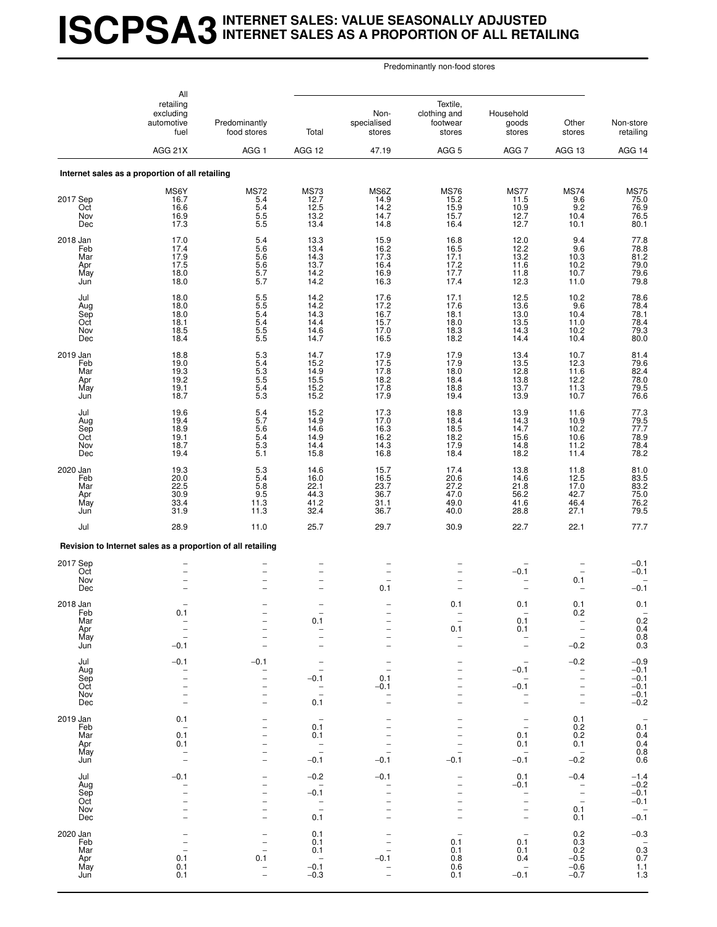## **ISCPSA3INTERNET SALES: VALUE SEASONALLY ADJUSTED INTERNET SALES AS A PROPORTION OF ALL RETAILING**

|                                             | All<br>retailing<br>excluding<br>automotive<br>fuel<br>AGG 21X  | Predominantly<br>food stores<br>AGG <sub>1</sub>     | Total<br>AGG 12                                                                                              | Non-<br>specialised<br>stores<br>47.19                                 | Textile,<br>clothing and<br>footwear<br>stores<br>AGG <sub>5</sub>               | Household<br>goods<br>stores<br>AGG <sub>7</sub>                                                                 | Other<br>stores<br>AGG 13                                                               | Non-store<br>retailing<br>AGG 14                          |
|---------------------------------------------|-----------------------------------------------------------------|------------------------------------------------------|--------------------------------------------------------------------------------------------------------------|------------------------------------------------------------------------|----------------------------------------------------------------------------------|------------------------------------------------------------------------------------------------------------------|-----------------------------------------------------------------------------------------|-----------------------------------------------------------|
|                                             | Internet sales as a proportion of all retailing                 |                                                      |                                                                                                              |                                                                        |                                                                                  |                                                                                                                  |                                                                                         |                                                           |
| 2017 Sep<br>Oct<br>Nov<br>Dec               | MS6Y<br>16.7<br>16.6<br>16.9<br>17.3                            | <b>MS72</b><br>5.4<br>5.4<br>$\frac{5.5}{5.5}$       | <b>MS73</b><br>12.7<br>12.5<br>13.2<br>13.4                                                                  | MS6Z<br>14.9<br>14.2<br>14.7<br>14.8                                   | <b>MS76</b><br>15.2<br>15.9<br>15.7<br>16.4                                      | <b>MS77</b><br>11.5<br>10.9<br>12.7<br>12.7                                                                      | <b>MS74</b><br>9.6<br>9.2<br>10.4<br>10.1                                               | MS75<br>75.0<br>76.9<br>76.5<br>80.1                      |
| 2018 Jan<br>Feb<br>Mar<br>Apr<br>May<br>Jun | 17.0<br>17.4<br>17.9<br>17.5<br>18.0<br>18.0                    | 5.4<br>5.6<br>5.6<br>$\frac{5.6}{5.7}$<br>5.7        | 13.3<br>13.4<br>14.3<br>13.7<br>14.2<br>14.2                                                                 | 15.9<br>16.2<br>17.3<br>16.4<br>16.9<br>16.3                           | 16.8<br>16.5<br>17.1<br>$17.2$<br>$17.7$<br>17.4                                 | 12.0<br>12.2<br>13.2<br>11.6<br>11.8<br>12.3                                                                     | 9.4<br>9.6<br>10.3<br>10.2<br>10.7<br>11.0                                              | 77.8<br>78.8<br>81.2<br>79.0<br>79.6<br>79.8              |
| Jul<br>Aug<br>Sep<br>Oct<br>Nov<br>Dec      | 18.0<br>18.0<br>18.0<br>18.1<br>18.5<br>18.4                    | 5.5<br>5.5<br>5.4<br>5.4<br>5.5<br>5.5               | 14.2<br>14.2<br>14.3<br>14.4<br>14.6<br>14.7                                                                 | 17.6<br>17.2<br>16.7<br>15.7<br>17.0<br>16.5                           | 17.1<br>17.6<br>18.1<br>18.0<br>18.3<br>18.2                                     | 12.5<br>13.6<br>13.0<br>13.5<br>14.3<br>14.4                                                                     | 10.2<br>9.6<br>10.4<br>11.0<br>10.2<br>10.4                                             | 78.6<br>78.4<br>78.1<br>78.4<br>79.3<br>80.0              |
| 2019 Jan<br>Feb<br>Mar<br>Apr<br>May<br>Jun | 18.8<br>19.0<br>19.3<br>19.2<br>19.1<br>18.7                    | 5.3<br>$\frac{5.3}{5.3}$<br>5.5<br>$\frac{5.4}{5.3}$ | 14.7<br>15.2<br>14.9<br>15.5<br>15.2<br>15.2                                                                 | 17.9<br>17.5<br>17.8<br>18.2<br>17.8<br>17.9                           | 17.9<br>17.9<br>18.0<br>18.4<br>18.8<br>19.4                                     | 13.4<br>13.5<br>12.8<br>13.8<br>13.7<br>13.9                                                                     | 10.7<br>12.3<br>11.6<br>12.2<br>11.3<br>10.7                                            | 81.4<br>$79.6$<br>82.4<br>78.0<br>79.5<br>76.6            |
| Jul<br>Aug<br>Sep<br>Oct<br>Nov<br>Dec      | 19.6<br>19.4<br>18.9<br>19.1<br>18.7<br>19.4                    | $\frac{5.4}{5.7}$<br>5.6<br>5.4<br>5.3<br>5.1        | 15.2<br>14.9<br>14.6<br>14.9<br>14.4<br>15.8                                                                 | 17.3<br>17.0<br>16.3<br>16.2<br>14.3<br>16.8                           | 18.8<br>18.4<br>18.5<br>18.2<br>17.9<br>18.4                                     | 13.9<br>14.3<br>14.7<br>15.6<br>14.8<br>18.2                                                                     | 11.6<br>10.9<br>10.2<br>10.6<br>11.2<br>11.4                                            | 77.3<br>79.5<br>77.7<br>78.9<br>78.4<br>78.2              |
| 2020 Jan<br>Feb<br>Mar<br>Apr<br>May<br>Jun | 19.3<br>20.0<br>22.5<br>30.9<br>33.4<br>31.9                    | 5.3<br>5.4<br>5.8<br>9.5<br>11.3<br>11.3             | 14.6<br>16.0<br>22.1<br>44.3<br>41.2<br>32.4                                                                 | 15.7<br>16.5<br>23.7<br>36.7<br>31.1<br>36.7                           | 17.4<br>20.6<br>27.2<br>47.0<br>49.0<br>40.0                                     | 13.8<br>14.6<br>21.8<br>56.2<br>41.6<br>28.8                                                                     | 11.8<br>12.5<br>17.0<br>42.7<br>46.4<br>27.1                                            | 81.0<br>83.5<br>83.2<br>75.0<br>76.2<br>79.5              |
| Jul                                         | 28.9                                                            | 11.0                                                 | 25.7                                                                                                         | 29.7                                                                   | 30.9                                                                             | 22.7                                                                                                             | 22.1                                                                                    | 77.7                                                      |
|                                             | Revision to Internet sales as a proportion of all retailing     |                                                      |                                                                                                              |                                                                        |                                                                                  |                                                                                                                  |                                                                                         |                                                           |
| 2017 Sep<br>Oct<br>Nov<br>Dec               |                                                                 |                                                      | $\qquad \qquad -$<br>$\overline{\phantom{0}}$                                                                | $\qquad \qquad -$<br>$\overline{\phantom{0}}$<br>0.1                   |                                                                                  | $-0.1$<br>$\overline{a}$                                                                                         | 0.1                                                                                     | $-0.1$<br>$-0.1$<br>$-0.1$                                |
| 2018 Jan<br>Fep<br>Mar<br>Apr<br>May<br>Jun | 0.1<br>$-0.1$                                                   |                                                      | -<br>0.1<br>$\qquad \qquad -$<br>$\overline{\phantom{0}}$<br>$\overline{\phantom{0}}$                        | $\overline{a}$<br>$\overline{\phantom{0}}$<br>$\overline{\phantom{0}}$ | 0.1<br>$\qquad \qquad -$<br>0.1<br>$\overline{\phantom{0}}$                      | 0.1<br>0.1<br>0.1<br>$\overline{a}$<br>$\overline{\phantom{0}}$                                                  | 0.1<br>v.z<br>$\qquad \qquad -$<br>$-0.2$                                               | 0.1<br>$0.2$<br>0.4<br>0.8<br>0.3                         |
| Jul<br>Aug<br>Sep<br>Oct<br>Nov<br>Dec      | $-0.1$<br>$\overline{\phantom{0}}$                              | $-0.1$<br>$\overline{\phantom{0}}$                   | $\overline{\phantom{0}}$<br>$\qquad \qquad -$<br>$-0.1$<br>$\overline{\phantom{a}}$<br>$\overline{a}$<br>0.1 | 0.1<br>$-0.1$                                                          | $\overline{\phantom{0}}$                                                         | $\overbrace{\phantom{1232211}}$<br>$-0.1$<br>$\overline{\phantom{0}}$<br>$-0.1$<br>-<br>$\overline{\phantom{0}}$ | $-0.2$<br>$\overline{\phantom{0}}$<br>$\overline{\phantom{m}}$                          | $-0.9$<br>$-0.1$<br>$-0.1$<br>$-0.1$<br>$-0.1$<br>$-0.2$  |
| 2019 Jan<br>Feb<br>Mar<br>Apr<br>May<br>Jun | 0.1<br>$\overline{\phantom{a}}$<br>0.1<br>0.1<br>$\overline{a}$ | $\overline{\phantom{0}}$                             | $\qquad \qquad -$<br>0.1<br>0.1<br>$\overline{\phantom{a}}$<br>$\overline{\phantom{0}}$<br>$-0.1$            | $\overline{a}$<br>$\overline{\phantom{0}}$<br>$-0.1$                   | $\overline{\phantom{0}}$<br>$-0.1$                                               | $\overline{\phantom{0}}$<br>$\overline{\phantom{a}}$<br>0.1<br>0.1<br>$-0.1$                                     | 0.1<br>0.2<br>0.2<br>0.1<br>$\overline{\phantom{0}}$<br>$-0.2$                          | $0.\overline{1}$<br>$0.4$<br>$0.4$<br>$0.8$<br>$0.6$      |
| Jul<br>Aug<br>Sep<br>Oct<br>Nov<br>Dec      | $-0.1$<br>$\overline{\phantom{0}}$                              |                                                      | $-0.2$<br>$\overline{\phantom{a}}$<br>$-0.1$<br>$\overline{\phantom{a}}$<br>$\overline{\phantom{a}}$<br>0.1  | $-0.1$<br>$\overline{a}$<br>$\overline{\phantom{0}}$<br>$\overline{a}$ | $\overline{\phantom{0}}$<br>$\overline{\phantom{0}}$<br>$\overline{\phantom{0}}$ | 0.1<br>$-0.1$<br>-<br>-<br>$\qquad \qquad -$<br>$\overline{\phantom{0}}$                                         | $-0.4$<br>$\overline{\phantom{a}}$<br>$\overline{a}$<br>$\qquad \qquad -$<br>0.1<br>0.1 | $-1.4$<br>$-0.2$<br>$-0.1$<br>$-0.1$<br>$-0.\overline{1}$ |
| 2020 Jan<br>Feb<br>Mar<br>Apr<br>May<br>Jun | 0.1<br>0.1<br>0.1                                               | 0.1<br>$\overline{\phantom{0}}$                      | 0.1<br>0.1<br>0.1<br>$\overline{\phantom{a}}$<br>$-0.1$<br>$-0.3$                                            | $-0.1$                                                                 | 0.1<br>0.1<br>0.8<br>0.6<br>0.1                                                  | $\overline{\phantom{a}}$<br>0.1<br>0.1<br>0.4<br>$\overline{\phantom{a}}$<br>$-0.1$                              | $\substack{0.2 \\ 0.3}$<br>0.2<br>$-0.5$<br>$-0.6$<br>$-0.7$                            | $-0.3$<br>0.3<br>0.7<br>$\frac{1.1}{1.3}$                 |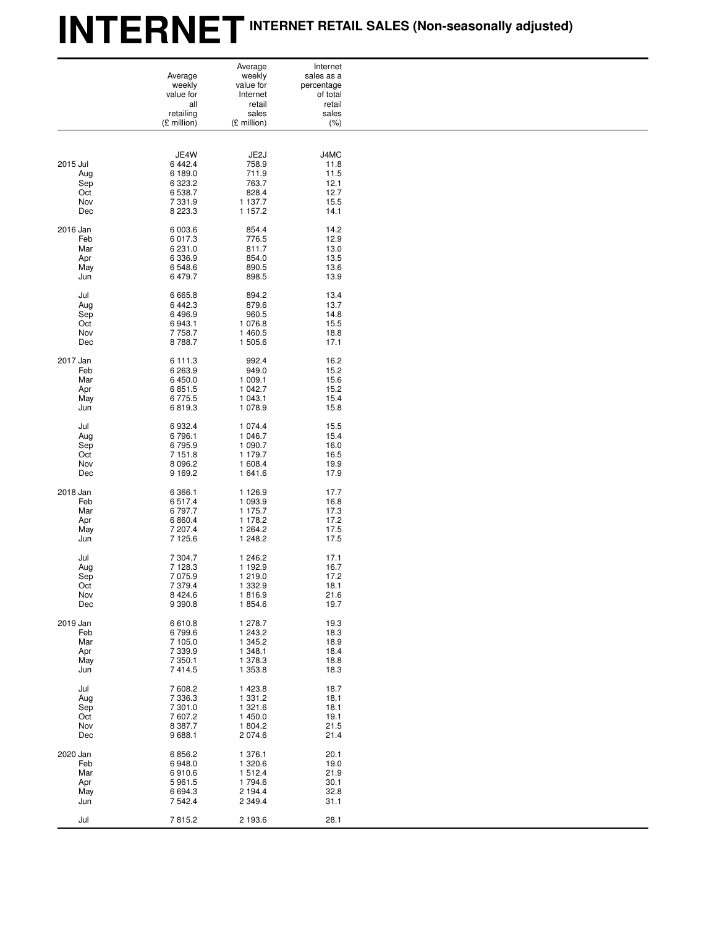# **INTERNETINTERNET RETAIL SALES (Non-seasonally adjusted)**

|          |             | Average           | Internet   |
|----------|-------------|-------------------|------------|
|          | Average     | weekly            | sales as a |
|          | weekly      | value for         | percentage |
|          |             |                   |            |
|          | value for   | Internet          | of total   |
|          | all         | retail            | retail     |
|          | retailing   | sales             | sales      |
|          | (£ million) | (£ million)       | (% )       |
|          |             |                   |            |
|          |             |                   |            |
|          |             |                   |            |
|          | JE4W        | JE <sub>2</sub> J | J4MC       |
| 2015 Jul | 6 4 4 2.4   | 758.9             | 11.8       |
| Aug      | 6 189.0     | 711.9             | 11.5       |
|          |             |                   |            |
| Sep      | 6 3 2 3.2   | 763.7             | 12.1       |
| Oct      | 6 538.7     | 828.4             | 12.7       |
| Nov      | 7 3 3 1 . 9 | 1 137.7           | 15.5       |
| Dec      | 8 2 2 3 . 3 | 1 157.2           | 14.1       |
|          |             |                   |            |
|          |             |                   |            |
| 2016 Jan | 6 003.6     | 854.4             | 14.2       |
| Feb      | 6 0 1 7 . 3 | 776.5             | 12.9       |
| Mar      | 6 2 3 1 . 0 | 811.7             | 13.0       |
|          |             |                   |            |
| Apr      | 6 3 3 6 . 9 | 854.0             | 13.5       |
| May      | 6 548.6     | 890.5             | 13.6       |
| Jun      | 6 479.7     | 898.5             | 13.9       |
|          |             |                   |            |
|          |             |                   |            |
| Jul      | 6 6 6 5.8   | 894.2             | 13.4       |
| Aug      | 6 4 4 2.3   | 879.6             | 13.7       |
|          |             |                   |            |
| Sep      | 6 4 9 6.9   | 960.5             | 14.8       |
| Oct      | 6 943.1     | 1 076.8           | 15.5       |
| Nov      | 7758.7      | 1 460.5           | 18.8       |
|          |             |                   |            |
| Dec      | 8788.7      | 1 505.6           | 17.1       |
|          |             |                   |            |
| 2017 Jan | 6 111.3     | 992.4             | 16.2       |
|          | 6 263.9     | 949.0             | 15.2       |
| Feb      |             |                   |            |
| Mar      | 6 450.0     | 1 009.1           | 15.6       |
| Apr      | 6 8 5 1 . 5 | 1 042.7           | 15.2       |
| May      | 6775.5      | 1 043.1           | 15.4       |
|          |             |                   |            |
| Jun      | 6819.3      | 1 0 78.9          | 15.8       |
|          |             |                   |            |
| Jul      | 6932.4      | 1 0 7 4 .4        | 15.5       |
| Aug      | 6796.1      | 1 046.7           | 15.4       |
|          |             |                   |            |
| Sep      | 6795.9      | 1 090.7           | 16.0       |
| Oct      | 7 1 5 1 . 8 | 1 179.7           | 16.5       |
| Nov      | 8 0 9 6.2   | 1 608.4           | 19.9       |
|          |             |                   |            |
| Dec      | 9 1 6 9.2   | 1 641.6           | 17.9       |
|          |             |                   |            |
| 2018 Jan | 6 3 6 6.1   | 1 1 2 6 .9        | 17.7       |
| Feb      | 6517.4      | 1 093.9           | 16.8       |
|          |             |                   |            |
| Mar      | 6797.7      | 1 175.7           | 17.3       |
| Apr      | 6 8 6 0.4   | 1 178.2           | 17.2       |
|          | 7 207.4     | 1 264.2           | 17.5       |
| May      |             |                   |            |
| Jun      | 7 1 2 5.6   | 1 248.2           | 17.5       |
|          |             |                   |            |
| Jul      | 7 304.7     | 1 246.2           | 17.1       |
|          |             |                   |            |
| Aug      | 7 1 28.3    | 1 192.9           | 16.7       |
| Sep      | 7 0 7 5.9   | 1 219.0           | 17.2       |
| Oct      | 7 379.4     | 1 3 3 2.9         | 18.1       |
| Nov      | 8 4 2 4 . 6 | 1816.9            | 21.6       |
|          |             |                   |            |
| Dec      | 9 3 9 0.8   | 1854.6            | 19.7       |
|          |             |                   |            |
| 2019 Jan | 6610.8      | 1 278.7           | 19.3       |
| Feb      | 6799.6      | 1 243.2           | 18.3       |
|          |             |                   |            |
| Mar      | 7 105.0     | 1 345.2           | 18.9       |
| Apr      | 7 3 3 9.9   | 1 348.1           | 18.4       |
| May      | 7 3 5 0.1   | 1 378.3           | 18.8       |
| Jun      | 7414.5      | 1 353.8           | 18.3       |
|          |             |                   |            |
| Jul      | 7608.2      | 1 4 2 3.8         | 18.7       |
| Aug      | 7 3 3 6 . 3 | 1 3 3 1 . 2       | 18.1       |
| Sep      | 7 301.0     | 1 3 2 1 .6        | 18.1       |
|          |             |                   |            |
| Oct      | 7607.2      | 1 450.0           | 19.1       |
| Nov      | 8 3 8 7 . 7 | 1 804.2           | 21.5       |
| Dec      | 9688.1      | 2 0 7 4.6         | 21.4       |
|          |             |                   |            |
|          |             |                   |            |
| 2020 Jan | 6 8 5 6.2   | 1 376.1           | 20.1       |
| Feb      | 6948.0      | 1 320.6           | 19.0       |
| Mar      | 6910.6      | 1512.4            | 21.9       |
| Apr      | 5961.5      | 1794.6            | 30.1       |
| May      | 6 6 9 4.3   | 2 194.4           | 32.8       |
|          |             |                   |            |
| Jun      | 7 542.4     | 2 3 4 9 . 4       | 31.1       |
|          |             |                   |            |
| Jul      | 7815.2      | 2 193.6           | 28.1       |
|          |             |                   |            |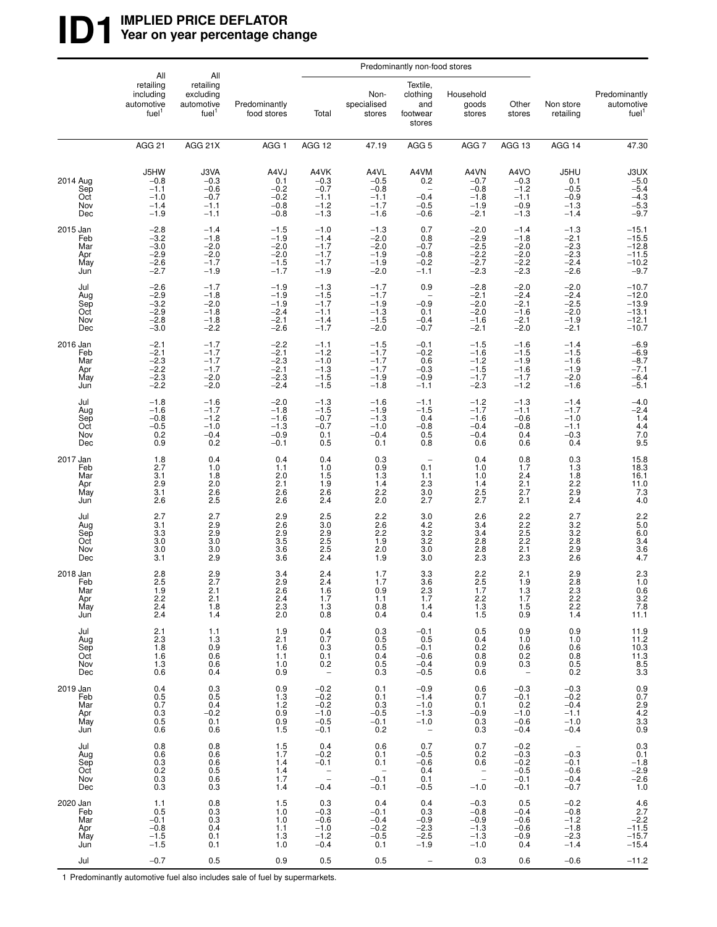## **ID1** WPLIED PRICE DEFLATOR<br>
Year on year percentage ch Year on year percentage change

|                                             | All                                                                 | All                                                       |                                                          |                                                                     |                                                                          | Predominantly non-food stores                                              |                                                                          |                                                                          |                                                                                |                                                                                      |
|---------------------------------------------|---------------------------------------------------------------------|-----------------------------------------------------------|----------------------------------------------------------|---------------------------------------------------------------------|--------------------------------------------------------------------------|----------------------------------------------------------------------------|--------------------------------------------------------------------------|--------------------------------------------------------------------------|--------------------------------------------------------------------------------|--------------------------------------------------------------------------------------|
|                                             | retailing<br>including<br>automotive<br>fuel <sup>1</sup>           | retailing<br>excluding<br>automotive<br>fuel <sup>1</sup> | Predominantly<br>food stores                             | Total                                                               | Non-<br>specialised<br>stores                                            | Textile,<br>clothing<br>and<br>footwear<br>stores                          | Household<br>goods<br>stores                                             | Other<br>stores                                                          | Non store<br>retailing                                                         | Predominantly<br>automotive<br>fuel <sup>1</sup>                                     |
|                                             | <b>AGG 21</b>                                                       | AGG 21X                                                   | AGG <sub>1</sub>                                         | AGG 12                                                              | 47.19                                                                    | AGG <sub>5</sub>                                                           | AGG <sub>7</sub>                                                         | AGG 13                                                                   | AGG 14                                                                         | 47.30                                                                                |
| 2014 Aug<br>Sep<br>Oct<br>Nov<br>Dec        | J5HW<br>$-0.8$<br>$-1.1$<br>$-1.0$<br>$-1.4$<br>$-1.9$              | J3VA<br>$-0.3$<br>$-0.6$<br>$-0.7$<br>$-1.1$<br>$-1.1$    | A4VJ<br>0.1<br>$-0.2$<br>$-0.2$<br>$-0.8$<br>$-0.8$      | A4VK<br>$-0.3$<br>$-0.7$<br>$-1.1$<br>$-1.2$<br>$-1.3$              | A4VL<br>$-0.5$<br>$-0.8$<br>$-1.1$<br>$-1.7$<br>$-1.6$                   | A4VM<br>0.2<br>$-0.4$<br>$-0.5$<br>$-0.6$                                  | A4VN<br>$-0.7$<br>$-0.8$<br>$-1.8$<br>$-1.9$<br>$-2.1$                   | A4VO<br>$-0.3$<br>$-1.2$<br>$-1.1$<br>$-0.9$<br>$-1.3$                   | J5HU<br>$0.1 - 0.5$<br>$-0.9$<br>$-1.3$<br>$-1.4$                              | $30X - 5.0 - 5.4$<br>$-4.3$<br>$-5.3$<br>$-9.7$                                      |
| 2015 Jan<br>Feb<br>Mar<br>Apr<br>May<br>Jun | $-2.8$<br>$-3.2$<br>$-3.0$<br>$-2.9$<br>$-2.\overline{6}$<br>$-2.7$ | $-1.4$<br>$-1.8$<br>$-2.0$<br>$-2.0$<br>$-1.7$<br>$-1.9$  | $-1.5$<br>$-1.9$<br>$-2.0$<br>$-2.0$<br>$-1.5$<br>$-1.7$ | $-1.0$<br>$-1.4$<br>$-1.7$<br>$-1.7$<br>$-1.7$<br>$-1.9$            | $-1.3$<br>$-2.0$<br>$-2.0$<br>$-1.9$<br>$-1.9$<br>$-2.0$                 | 0.7<br>0.8<br>$-0.7$<br>$-0.8$<br>$-0.2$<br>$-1.1$                         | $^{-2.0}_{-2.9}$<br>$-2.5$<br>$-2.2$<br>$-2.7$<br>$-2.3$                 | $-1.4$<br>$-1.8$<br>$-2.0$<br>$-2.0$<br>$-2.2$<br>$-2.3$                 | $-1.3$<br>$-2.1$<br>$-2.3$<br>$-2.3$<br>$-2.4$<br>$-2.6$                       | $-15.1$<br>$-15.5$<br>$-12.8$<br>$-11.5$<br>$-10.2$<br>$-9.7$                        |
| Jul<br>Aug<br>Sep<br>Oct<br>Nov<br>Dec      | $-2.6$<br>$-2.9$<br>$-3.2$<br>$-2.9$<br>$-2.8$<br>$-3.0$            | $-1.7$<br>$-1.8$<br>$-2.0$<br>$-1.8$<br>$-1.8$<br>$-2.2$  | $-1.9$<br>$-1.9$<br>$-1.9$<br>$-2.4$<br>$-2.1$<br>$-2.6$ | $-1.3$<br>$-1.5$<br>$-1.7$<br>$-1.1$<br>$-1.4$<br>$-1.7$            | $-1.7$<br>$-1.7$<br>$-1.9$<br>$-1.3$<br>$-1.5$<br>$-2.0$                 | 0.9<br>$-0.9$<br>0.1<br>$-0.4$<br>$-0.7$                                   | $-2.8$<br>$-2.1$<br>$-2.0$<br>$-2.0$<br>$-1.6$<br>$-2.1$                 | $-2.0$<br>$-2.4$<br>$-2.1$<br>$-1.6$<br>$-2.1$<br>$-2.0$                 | $-2.0$<br>$-2.4$<br>$-2.5$<br>$-2.0$<br>$-1.9$<br>$-2.1$                       | $-10.7$<br>$-12.0$<br>$-13.9$<br>$-13.1$<br>$-12.1$<br>$-10.7$                       |
| 2016 Jan<br>Feb<br>Mar<br>Apr<br>May<br>Jun | $-2.1$<br>$-2.1$<br>$-2.3$<br>$-2.2$<br>$-2.3$<br>$-2.2$            | $-1.7$<br>$-1.7$<br>$-1.7$<br>$-1.7$<br>$-2.0$<br>$-2.0$  | $-2.2$<br>$-2.1$<br>$-2.3$<br>$-2.1$<br>$-2.3$<br>$-2.4$ | $-1.1$<br>$-1.2$<br>$-1.0$<br>$-1.3$<br>$-1.5$<br>-1.5              | $-1.5$<br>$-1.7$<br>$-1.7$<br>$-1.7$<br>$-1.9$<br>$-1.8$                 | $-0.1$<br>$-0.2$<br>0.6<br>$-0.3$<br>$-0.9$<br>$-1.1$                      | $-1.5$<br>$-1.6$<br>$-1.\overline{2}$<br>$-1.5$<br>$-1.7$<br>$-2.3$      | $-1.6$<br>$-1.5$<br>$-1.9$<br>$-1.6$<br>$-1.7$<br>$-1.2$                 | $-1.4$<br>$-1.5$<br>$-1.\overline{6}$<br>$-1.9$<br>$-2.0$<br>$-1.\overline{6}$ | $-6.9$<br>$-6.9$<br>$-8.7$<br>$-7.1$<br>$-6.4$<br>$-5.1$                             |
| Jul<br>Aug<br>Sep<br>Oct<br>Nov<br>Dec      | $-1.8$<br>$-1.6$<br>$-0.8$<br>$-0.5$<br>$0.\overline{2}$<br>0.9     | $-1.6$<br>$-1.7$<br>$-1.2$<br>$-1.0$<br>$-0.4$<br>0.2     | $-2.0$<br>$-1.8$<br>$-1.6$<br>$-1.3$<br>$-0.9$<br>$-0.1$ | $-1.3$<br>$-1.5$<br>$-0.7$<br>$-0.7$<br>0.1<br>0.5                  | $-1.6$<br>$-1.9$<br>$-1.3$<br>$-1.0$<br>$-0.4$<br>0.1                    | $-1.1$<br>$-1.5$<br>0.4<br>$-0.8$<br>0.5<br>0.8                            | $-1.2$<br>$-1.7$<br>$-1.6$<br>$-0.4$<br>$-0.4$<br>0.6                    | $-1.3$<br>$-1.1$<br>$-0.6$<br>$-0.8$<br>0.4<br>0.6                       | $-1.4$<br>$-1.7$<br>$-1.0$<br>$-1.1$<br>$-0.3$<br>0.4                          | $-4.0$<br>$-2.4$<br>$1.4$<br>$4.4$<br>$7.0$<br>9.5                                   |
| 2017 Jan<br>Feb<br>Mar<br>Apr<br>May<br>Jun | 1.8<br>2.7<br>3.1<br>2.9<br>3.1<br>2.6                              | 0.4<br>1.0<br>1.8<br>2.0<br>$^{2.6}_{2.5}$                | 0.4<br>1.1<br>2.0<br>2.1<br>2.6<br>2.6                   | 0.4<br>1.0<br>1.5<br>1.9<br>2.6<br>2.4                              | 0.3<br>0.9<br>1.3<br>1.4<br>2.2<br>2.0                                   | $\qquad \qquad -$<br>0.1<br>1.1<br>2.3<br>3.0<br>2.7                       | 0.4<br>1.0<br>1.0<br>1.4<br>2.5<br>2.7                                   | 0.8<br>1.7<br>$^{2.4}_{2.1}$<br>2.7<br>2.1                               | 0.3<br>1.3<br>1.8<br>$2.\overline{2}$<br>2.9<br>2.4                            | $15.8$<br>$18.3$<br>16.1<br>11.0<br>$7.3$<br>4.0                                     |
| Jul<br>Aug<br>Sep<br>Oct<br>Nov<br>Dec      | 2.7<br>3.1<br>3.3<br>3.0<br>3.0<br>3.1                              | 2.7<br>2.9<br>2.9<br>3.0<br>3.0<br>2.9                    | 2.9<br>2.6<br>2.9<br>3.5<br>3.6<br>3.6                   | $\frac{2.5}{3.0}$<br>2.9<br>$2.5$<br>$2.5$<br>$2.4$                 | 2.2<br>2.6<br>$2.\overline{2}$<br>1.9<br>2.0<br>1.9                      | 3.0<br>$\frac{4.2}{3.2}$<br>3.2<br>3.0<br>3.0                              | 2.6<br>3.4<br>3.4<br>2.8<br>$^{2.8}_{2.3}$                               | $2.2$<br>$2.2$<br>$2.5$<br>2.2<br>2.1<br>2.3                             | 2.7<br>$3.2$<br>$3.2$<br>2.8<br>2.9<br>$2.\overline{6}$                        | 2.2<br>5.0<br>6.0<br>3.4<br>3.6<br>4.7                                               |
| 2018 Jan<br>Feb<br>Mar<br>Apr<br>May<br>Jun | 2.8<br>2.5<br>1.9<br>2.2<br>$2.4\,$<br>2.4                          | $^{2.9}_{2.7}$<br>2.1<br>$\overline{2.1}$<br>1.8<br>1.4   | 3.4<br>2.9<br>2.6<br>$^{2.4}_{2.3}$<br>2.0               | $^{2.4}_{2.4}$<br>1.6<br>1.7<br>1.3<br>0.8                          | 1.7<br>1.7<br>0.9<br>1.1<br>0.8<br>0.4                                   | 3.3<br>3.6<br>2.3<br>1.7<br>1.4<br>0.4                                     | $^{2.2}_{2.5}$<br>1.7<br>$^{2.2}_{1.3}$<br>1.5                           | 2.1<br>1.9<br>1.3<br>1.7<br>1.5<br>0.9                                   | 2.9<br>2.8<br>2.3<br>2.2<br>$\overline{2.2}$<br>1.4                            | $^{2.3}_{1.0}$<br>$0.6$<br>$3.2$<br>$7.8$<br>$11.1$                                  |
| Jul<br>Aug<br>Sep<br>Oct<br>Nov<br>Dec      | 2.1<br>2.3<br>1.8<br>1.6<br>1.3<br>0.6                              | 1.1<br>1.3<br>0.9<br>0.6<br>0.6<br>0.4                    | 1.9<br>2.1<br>1.6<br>1.1<br>1.0<br>0.9                   | 0.4<br>0.7<br>0.3<br>0.1<br>0.2<br>$\overline{\phantom{m}}$         | 0.3<br>0.5<br>0.5<br>0.4<br>0.5<br>0.3                                   | $-0.1$<br>0.5<br>$-0.1$<br>$-0.6$<br>$-0.4$<br>$-0.5$                      | 0.5<br>0.4<br>0.2<br>0.8<br>0.9<br>0.6                                   | 0.9<br>1.0<br>0.6<br>$0.\overline{2}$<br>0.3<br>$\overline{\phantom{a}}$ | 0.9<br>1.0<br>0.6<br>0.8<br>0.5<br>0.2                                         | $\begin{array}{c} 11.9 \\ 11.2 \\ 10.3 \\ 11.3 \\ 8.5 \\ 3.3 \end{array}$            |
| 2019 Jan<br>Feb<br>Mar<br>Apr<br>May<br>Jun | 0.4<br>0.5<br>0.7<br>0.3<br>0.5<br>0.6                              | 0.3<br>0.5<br>0.4<br>$-0.2$<br>0.1<br>0.6                 | 0.9<br>1.3<br>1.2<br>0.9<br>0.9<br>1.5                   | $-0.2$<br>$-0.2$<br>$-0.\overline{2}$<br>$-1.0$<br>$-0.5$<br>$-0.1$ | 0.1<br>0.1<br>0.3<br>$-0.5$<br>$-0.1$<br>0.2                             | $-0.9$<br>$-1.4$<br>$-1.0$<br>$-1.3$<br>$-1.0$<br>$\overline{\phantom{a}}$ | 0.6<br>0.7<br>0.1<br>$-0.9$<br>$\begin{array}{c} 0.3 \\ 0.3 \end{array}$ | $-0.3$<br>$-0.1$<br>0.2<br>$-1.0$<br>$-0.6$<br>$-0.4$                    | $-0.3$<br>$-0.2$<br>$-0.4$<br>$-1.1$<br>$-1.0$<br>$-0.4$                       | $0.9$<br>$0.7$<br>$2.9$<br>$4.2$<br>$3.3$<br>$0.9$                                   |
| Jul<br>Aug<br>Sep<br>Oct<br>Nov<br>Dec      | 0.8<br>0.6<br>0.3<br>0.2<br>$0.\overline{3}$<br>0.3                 | 0.8<br>0.6<br>0.6<br>$0.5$<br>$0.6$<br>$0.3$              | 1.5<br>1.7<br>1.4<br>1.4<br>1.7<br>1.4                   | 0.4<br>$-0.2$<br>$-0.1$<br>$\frac{1}{2}$<br>$-0.4$                  | 0.6<br>0.1<br>0.1<br>$\hspace{0.1mm}-\hspace{0.1mm}$<br>$-0.1$<br>$-0.1$ | 0.7<br>$-0.5$<br>$-0.6$<br>0.4<br>0.1<br>$-0.5$                            | 0.7<br>0.2<br>0.6<br>$\bar{\mathbb{I}}$<br>$-1.0$                        | $-0.2$<br>$-0.3$<br>$-0.2$<br>$-0.5$<br>$-0.1$<br>$-0.1$                 | $-0.3$<br>$-0.1$<br>$-0.6$<br>$-0.4$<br>$-0.7$                                 | $\!\!\!\begin{array}{c} 0.3 \\ 0.1 \end{array}$<br>$-1.8$<br>$-2.9$<br>$-2.6$<br>1.0 |
| 2020 Jan<br>Feb<br>Mar<br>Apr<br>May<br>Jun | 1.1<br>0.5<br>$-0.1$<br>$-0.8$<br>$-1.5$<br>$-1.5$                  | 0.8<br>0.3<br>0.3<br>0.4<br>0.1<br>0.1                    | 1.5<br>1.0<br>1.0<br>1.1<br>1.3<br>1.0                   | 0.3<br>$-0.3$<br>$-0.6$<br>$-1.0$<br>$-1.2$<br>$-0.4$               | 0.4<br>$-0.1$<br>$-0.4$<br>$-0.2$<br>$-0.5$<br>0.1                       | 0.4<br>0.3<br>$-0.9$<br>$-2.3$<br>$-2.5$<br>$-1.9$                         | $-0.3$<br>$-0.8$<br>$-0.9$<br>$-1.3$<br>$-1.3$<br>$-1.0$                 | 0.5<br>$-0.4$<br>$-0.6$<br>$-0.6$<br>$-0.9$<br>0.4                       | $-0.2$<br>$-0.8$<br>$-1.2$<br>$-1.8$<br>$-2.3$<br>$-1.4$                       | 4.6<br>$2.7 - 2.2 - 11.5 - 15.7$<br>$-15.4$                                          |
| Jul                                         | $-0.7$                                                              | 0.5                                                       | 0.9                                                      | 0.5                                                                 | 0.5                                                                      |                                                                            | 0.3                                                                      | 0.6                                                                      | $-0.6$                                                                         | $-11.2$                                                                              |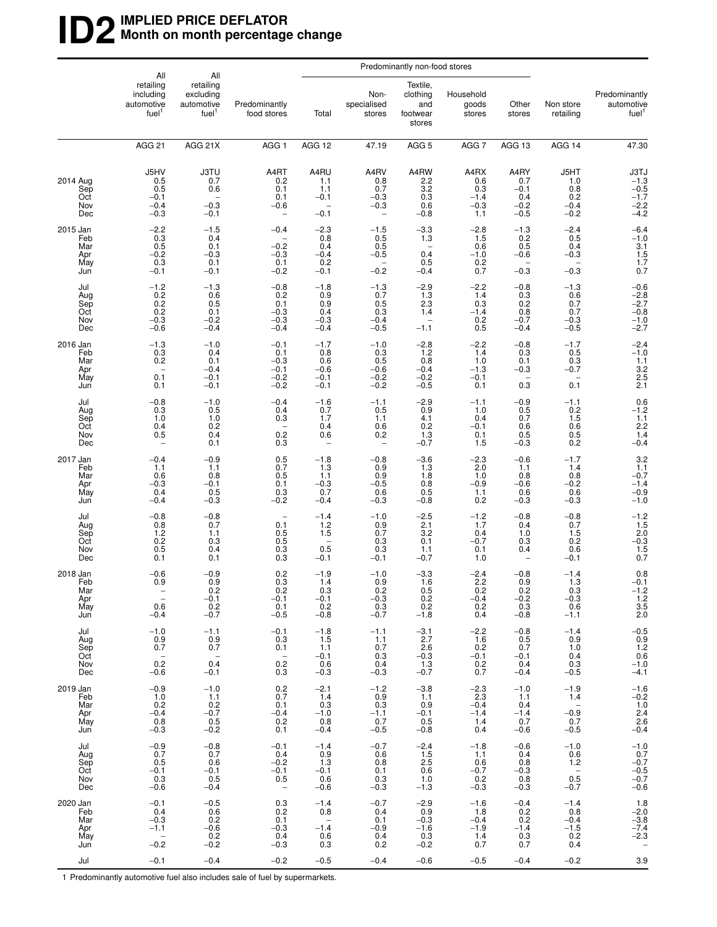## **ID2IMPLIED PRICE DEFLATOR Month on month percentage change**

|                                             |                                                                                        |                                                                  |                                                                             |                                                    |                                                                | Predominantly non-food stores                                     |                                                  |                                                         |                                                                      |                                                          |
|---------------------------------------------|----------------------------------------------------------------------------------------|------------------------------------------------------------------|-----------------------------------------------------------------------------|----------------------------------------------------|----------------------------------------------------------------|-------------------------------------------------------------------|--------------------------------------------------|---------------------------------------------------------|----------------------------------------------------------------------|----------------------------------------------------------|
|                                             | All<br>retailing<br>including<br>automotive<br>fuel <sup>1</sup>                       | All<br>retailing<br>excluding<br>automotive<br>fuel <sup>1</sup> | Predominantly<br>food stores                                                | Total                                              | Non-<br>specialised<br>stores                                  | Textile,<br>clothing<br>and<br>footwear<br>stores                 | Household<br>goods<br>stores                     | Other<br>stores                                         | Non store<br>retailing                                               | Predominantly<br>automotive<br>fuel <sup>1</sup>         |
|                                             | AGG <sub>21</sub>                                                                      | AGG 21X                                                          | AGG <sub>1</sub>                                                            | AGG 12                                             | 47.19                                                          | AGG <sub>5</sub>                                                  | AGG 7                                            | AGG 13                                                  | AGG 14                                                               | 47.30                                                    |
| 2014 Aug<br>Sep<br>Oct<br>Nov<br>Dec        | J5HV<br>0.5<br>0.5<br>$-0.1$<br>$-0.4$<br>$-0.3$                                       | <b>J3TU</b><br>0.7<br>0.6<br>$-0.3$<br>$-0.1$                    | A4RT<br>0.2<br>0.1<br>0.1<br>$-0.6$                                         | A4RU<br>1.1<br>1.1<br>$-0.1$<br>$-0.1$             | A4RV<br>0.8<br>0.7<br>$-0.3$<br>$-0.3$<br>$\qquad \qquad -$    | A4RW<br>2.2<br>3.2<br>0.3<br>0.6<br>$-0.8$                        | A4RX<br>0.6<br>0.3<br>$-1.4$<br>$-0.3$<br>1.1    | A4RY<br>0.7<br>$-0.1$<br>0.4<br>$-0.2$<br>$-0.5$        | J5HT<br>1.0<br>0.8<br>0.2<br>$-0.4$<br>$-0.2$                        | $37J\n-1.3\n-0.5\n-1.7\n-2.2\n-4.2$                      |
| 2015 Jan<br>Feb<br>Mar<br>Apr<br>May<br>Jun | $-2.2$<br>0.3<br>0.5<br>$-0.2$<br>0.3<br>$-0.1$                                        | $-1.5$<br>0.4<br>0.1<br>$-0.3$<br>0.1<br>$-0.1$                  | $-0.4$<br>$-0.2$<br>$-0.3$<br>0.1<br>$-0.2$                                 | $-2.3$<br>0.8<br>0.4<br>$-0.4$<br>0.2<br>$-0.1$    | $-1.5$<br>0.5<br>0.5<br>$-0.5$<br>$\qquad \qquad -$<br>$-0.2$  | $-3.3$<br>1.3<br>$\overline{\phantom{0}}$<br>0.4<br>0.5<br>$-0.4$ | $-2.8$<br>1.5<br>0.6<br>$-1.0$<br>$0.2$<br>$0.7$ | $-1.3$<br>$0.2$<br>$0.5$<br>$-0.6$<br>$-0.3$            | $-2.4$<br>0.5<br>0.4<br>$-0.3$<br>$-0.3$                             | $-6.4 - 1.0$<br>$3.1$<br>$1.5$<br>$1.7$<br>0.7           |
| Jul<br>Aug<br>Sep<br>Oct<br>Nov<br>Dec      | $-1.2$<br>0.2<br>0.2<br>0.2<br>$-0.3$<br>$-0.6$                                        | $-1.3$<br>$0.6 \\ 0.5$<br>0.1<br>$-0.2$<br>$-0.4$                | $-0.8$<br>0.2<br>0.1<br>$-0.3$<br>$-0.3$<br>$-0.4$                          | $-1.8$<br>0.9<br>0.9<br>0.4<br>$-0.3$<br>$-0.4$    | $-1.3$<br>0.7<br>0.5<br>0.3<br>$-0.4$<br>$-0.5$                | $-2.9$<br>1.3<br>2.3<br>1.4<br>$\overline{\phantom{a}}$<br>$-1.1$ | $-2.2$<br>1.4<br>0.3<br>$-1.4$<br>0.2<br>0.5     | $-0.8$<br>0.3<br>0.2<br>0.8<br>$-0.7$<br>$-0.4$         | $-1.3$<br>0.6<br>0.7<br>0.7<br>$-0.3$<br>$-0.5$                      | $-0.6$<br>$-2.8$<br>$-2.7$<br>$-0.8$<br>$-1.0$<br>$-2.7$ |
| 2016 Jan<br>Feb<br>Mar<br>Apr<br>May<br>Jun | $-1.3$<br>0.3<br>0.2<br>-<br>0.1<br>0.1                                                | $-1.0$<br>0.4<br>0.1<br>$-0.4$<br>$-0.1$<br>$-0.1$               | $-0.1$<br>0.1<br>$-0.3$<br>$-0.1$<br>$-0.2$<br>$-0.2$                       | $-1.7$<br>0.8<br>0.6<br>$-0.6$<br>$-0.1$<br>$-0.1$ | $-1.0$<br>0.3<br>0.5<br>$-0.6$<br>$-0.2$<br>$-0.2$             | $-2.8$<br>1.2<br>0.8<br>$-0.4$<br>$-0.2$<br>$-0.5$                | $-2.2$<br>1.4<br>1.0<br>$-1.3$<br>$-0.1$<br>0.1  | $-0.8$<br>0.3<br>0.1<br>$-0.3$<br>0.3                   | $-1.7$<br>0.5<br>0.3<br>$-0.7$<br>0.1                                | $-2.4$<br>$-1.0$<br>$1.1$<br>$3.2$<br>$2.5$<br>$2.1$     |
| Jul<br>Aug<br>Sep<br>Oct<br>Nov<br>Dec      | $-0.8$<br>0.3<br>1.0<br>0.4<br>0.5<br>-                                                | $-1.0$<br>0.5<br>1.0<br>0.2<br>0.4<br>0.1                        | $-0.4$<br>0.4<br>0.3<br>0.2<br>0.3                                          | $-1.6$<br>0.7<br>1.7<br>0.4<br>0.6                 | $-1.1$<br>0.5<br>1.1<br>0.6<br>0.2<br>$\overline{\phantom{a}}$ | $-2.9$<br>0.9<br>4.1<br>0.2<br>$1.3 - 0.7$                        | $-1.1$<br>1.0<br>0.4<br>$-0.1$<br>0.1<br>1.5     | -0.9<br>0.5<br>0.7<br>0.6<br>0.5<br>$-0.3$              | $-1.1$<br>0.2<br>1.5<br>0.6<br>$0.5$<br>$0.2$                        | $0.6 - 1.2$<br>1.1<br>2.2<br>1.4<br>$-0.4$               |
| 2017 Jan<br>Feb<br>Mar<br>Apr<br>May<br>Jun | $-0.4$<br>1.1<br>0.6<br>$-0.3$<br>0.4<br>$-0.4$                                        | $-0.9$<br>1.1<br>0.8<br>$-0.1$<br>0.5<br>$-0.3$                  | 0.5<br>0.7<br>0.5<br>0.1<br>0.3<br>$-0.2$                                   | $-1.8$<br>1.3<br>1.1<br>$-0.3$<br>0.7<br>$-0.4$    | $-0.8$<br>0.9<br>0.9<br>$-0.5$<br>0.6<br>$-0.3$                | $-3.6$<br>1.3<br>1.8<br>0.8<br>0.5<br>$-0.8$                      | $^{-2.3}_{2.0}$<br>1.0<br>$-0.9$<br>1.1<br>0.2   | $-0.6$<br>1.1<br>0.8<br>$-0.6$<br>0.6<br>$-0.3$         | $-1.7$<br>1.4<br>0.8<br>$-0.2$<br>0.6<br>$-0.3$                      | $3.2$<br>$1.1$<br>$-0.7$<br>$-1.4$<br>$-0.9$<br>$-1.0$   |
| Jul<br>Aug<br>Sep<br>Oct<br>Nov<br>Dec      | $-0.8$<br>0.8<br>1.2<br>0.2<br>0.5<br>0.1                                              | $-0.8$<br>0.7<br>1.1<br>0.3<br>0.4<br>0.1                        | $\overline{\phantom{a}}$<br>0.1<br>0.5<br>0.5<br>0.3<br>0.3                 | $-1.4$<br>1.2<br>1.5<br>0.5<br>$-0.1$              | $-1.0$<br>0.9<br>0.7<br>0.3<br>0.3<br>$-0.1$                   | $-2.5$<br>2.1<br>3.2<br>0.1<br>1.1<br>$-0.7$                      | $-1.2$<br>1.7<br>0.4<br>$-0.7$<br>0.1<br>1.0     | $-0.8$<br>0.4<br>1.0<br>0.3<br>0.4<br>$\qquad \qquad -$ | $-0.8$<br>0.7<br>1.5<br>0.2<br>0.6<br>$-0.1$                         | $-1.2$<br>1.5<br>2.0<br>-0.3<br>1.5<br>0.7               |
| 2018 Jan<br>Feb<br>Mar<br>Apr<br>May<br>Jun | $-0.6$<br>0.9<br>$\overline{\phantom{a}}$<br>$\overline{\phantom{a}}$<br>0.6<br>$-0.4$ | $-0.9$<br>0.9<br>0.2<br>$-0.1$<br>0.2<br>$-0.7$                  | 0.2<br>0.3<br>- 0.2<br>$-0.1$<br>0.1<br>$-0.5$                              | $-1.9$<br>1.4<br>- 0.3<br>$-0.1$<br>0.2<br>$-0.8$  | $-1.0$<br>0.9<br>0.2<br>$-0.3$<br>0.3<br>$-0.7$                | $-3.3$<br>1.6<br>0.5<br>0.2<br>0.2<br>$-1.8$                      | $-2.4$<br>2.2<br>0.2<br>$-0.4$<br>0.2<br>0.4     | $-0.8$<br>0.9<br>0.2<br>$-0.2$<br>0.3<br>$-0.8$         | $-1.4$<br>1.3<br>- 0.3<br>$-0.3$<br>0.6<br>$-1.1$                    | 0.8<br>$-0.1$<br>$-1.2$<br>$1.2$<br>$3.5$<br>2.0         |
| Jul<br>Aug<br>Sep<br>Oct<br>Nov<br>Dec      | $-1.0$<br>0.9<br>0.7<br>$\sim$ $-$<br>0.2<br>$-0.6$                                    | $-1.1$<br>0.9<br>0.7<br>$\sim$ $-$<br>0.4<br>$-0.1$              | $-0.1$<br>0.3<br>0.1<br>$\hspace{0.1cm} -$<br>0.2<br>0.3                    | $-1.8$<br>1.5<br>1.1<br>$-0.1$<br>0.6<br>$-0.3$    | $-1.1$<br>1.1<br>0.7<br>0.3<br>0.4<br>$-0.3$                   | $-3.1$<br>2.7<br>2.6<br>$-0.3$<br>1.3<br>$-0.7$                   | $-2.2$<br>1.6<br>0.2<br>$-0.1$<br>0.2<br>0.7     | $-0.8$<br>0.5<br>0.7<br>$-0.1$<br>0.4<br>$-0.4$         | $-1.4$<br>0.9<br>1.0<br>0.4<br>0.3<br>$-0.5$                         | $-0.5$<br>$0.9$<br>$1.2$<br>$0.6$<br>$-1.0$<br>$-4.1$    |
| 2019 Jan<br>Feb<br>Mar<br>Apr<br>May<br>Jun | $-0.9$<br>1.0<br>0.2<br>$-0.4$<br>0.8<br>$-0.3$                                        | $-1.0$<br>1.1<br>$0.2 - 0.7$<br>$0.5 - 0.2$                      | 0.2<br>0.7<br>0.1<br>$-0.4$<br>0.2<br>0.1                                   | $-2.1$<br>1.4<br>0.3<br>$-1.0$<br>0.8<br>$-0.4$    | $-1.2$<br>0.9<br>0.3<br>$-1.1$<br>0.7<br>$-0.5$                | $-3.8$<br>1.1<br>0.9<br>$-0.1$<br>0.5<br>$-0.8$                   | $-2.3$<br>2.3<br>$-0.4$<br>$-1.4$<br>1.4<br>0.4  | $-1.0$<br>1.1<br>0.4<br>$-1.4$<br>0.7<br>$-0.6$         | $-1.9$<br>1.4<br>$\overline{\phantom{0}}$<br>$-0.9$<br>0.7<br>$-0.5$ | $-1.6$<br>$-0.2$<br>1.0<br>2.4<br>2.6<br>$-0.4$          |
| Jul<br>Aug<br>Sep<br>Oct<br>Nov<br>Dec      | $-0.9$<br>0.7<br>0.5<br>$-0.1$<br>0.3<br>$-0.6$                                        | $-0.8$<br>0.7<br>0.6<br>$-0.1$<br>0.5<br>$-0.4$                  | $-0.1$<br>0.4<br>$-0.2$<br>$-0.1$<br>0.5<br>$\hspace{0.1mm}-\hspace{0.1mm}$ | $-1.4$<br>0.9<br>1.3<br>$-0.1$<br>0.6<br>$-0.6$    | $-0.7$<br>0.6<br>0.8<br>0.1<br>0.3<br>$-0.3$                   | $-2.4$<br>1.5<br>2.5<br>0.6<br>1.0<br>$-1.3$                      | $-1.8$<br>1.1<br>0.6<br>$-0.7$<br>0.2<br>$-0.3$  | $-0.6$<br>0.4<br>0.8<br>$-0.3$<br>0.8<br>$-0.3$         | $-1.0$<br>0.6<br>1.2<br>$0.\bar{5}$<br>$-0.7$                        | $-1.0$<br>0.7<br>$-0.7$<br>$-0.5$<br>$-0.7$<br>$-0.6$    |
| 2020 Jan<br>Feb<br>Mar<br>Apr<br>May<br>Jun | $-0.1$<br>0.4<br>$-0.3$<br>$-1.1$<br>$\overline{\phantom{0}}$<br>$-0.2$                | $-0.5$<br>0.6<br>0.2<br>$-0.6$<br>0.2<br>$-0.2$                  | 0.3<br>0.2<br>0.1<br>$-0.3$<br>0.4<br>$-0.3$                                | $-1.4$<br>0.8<br>$\sim$<br>$-1.4$<br>0.6<br>0.3    | $-0.7$<br>0.4<br>0.1<br>$-0.9$<br>0.4<br>0.2                   | $-2.9$<br>0.9<br>$-0.3$<br>$-1.6$<br>0.3<br>$-0.2$                | $-1.6$<br>1.8<br>$-0.4$<br>$-1.9$<br>1.4<br>0.7  | $-0.4$<br>0.2<br>0.2<br>$-1.4$<br>0.3<br>0.7            | $-1.4$<br>0.8<br>$-0.4$<br>$-1.5$<br>0.2<br>0.4                      | 1.8<br>$-2.0$<br>$-3.8$<br>$-7.4$<br>$-2.3$              |
| Jul                                         | $-0.1$                                                                                 | $-0.4$                                                           | $-0.2$                                                                      | $-0.5$                                             | $-0.4$                                                         | $-0.6$                                                            | $-0.5$                                           | $-0.4$                                                  | $-0.2$                                                               | 3.9                                                      |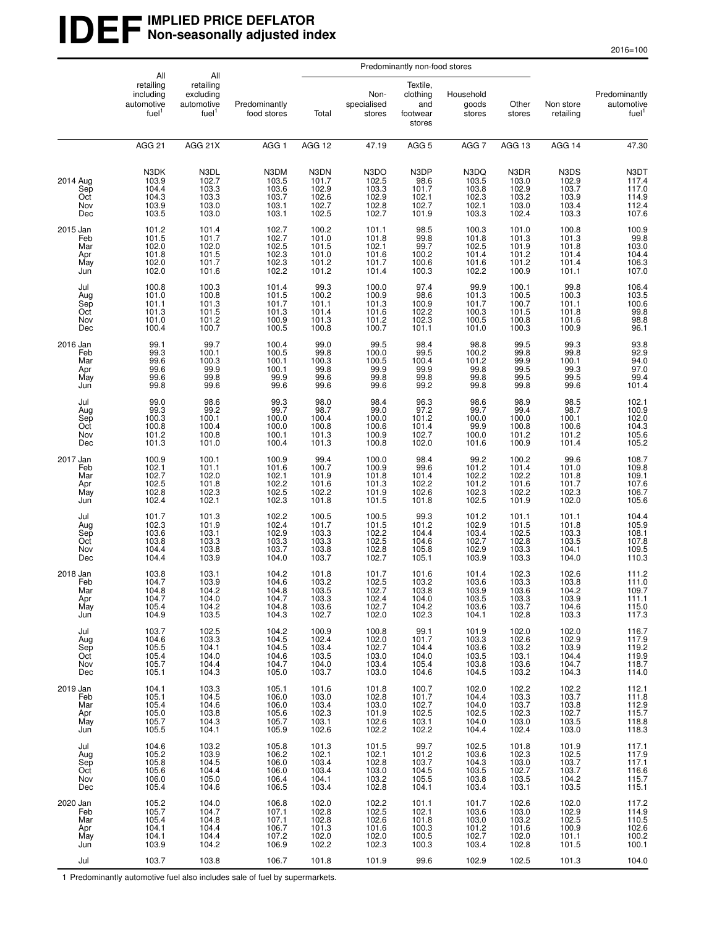#### **IDEF** IMPLIED PRICE DEFLATOR **Non-seasonally adjusted index**

|                                             | All                                                       |                                                                  | Predominantly non-food stores                      |                                                      |                                                        |                                                         |                                                       |                                                    |                                                                                            |                                                           |
|---------------------------------------------|-----------------------------------------------------------|------------------------------------------------------------------|----------------------------------------------------|------------------------------------------------------|--------------------------------------------------------|---------------------------------------------------------|-------------------------------------------------------|----------------------------------------------------|--------------------------------------------------------------------------------------------|-----------------------------------------------------------|
|                                             | retailing<br>including<br>automotive<br>fuel <sup>1</sup> | All<br>retailing<br>excluding<br>automotive<br>fuel <sup>1</sup> | Predominantly<br>food stores                       | Total                                                | Non-<br>specialised<br>stores                          | Textile,<br>clothing<br>and<br>footwear<br>stores       | Household<br>goods<br>stores                          | Other<br>stores                                    | Non store<br>retailing                                                                     | Predominantly<br>automotive<br>fuel <sup>1</sup>          |
|                                             | <b>AGG 21</b>                                             | AGG 21X                                                          | AGG <sub>1</sub>                                   | AGG 12                                               | 47.19                                                  | AGG <sub>5</sub>                                        | AGG 7                                                 | AGG 13                                             | AGG 14                                                                                     | 47.30                                                     |
| 2014 Aug<br>Sep<br>Oct<br>Nov<br>Dec        | N3DK<br>103.9<br>104.4<br>104.3<br>103.9<br>103.5         | N3DL<br>102.7<br>103.3<br>103.3<br>103.0<br>103.0                | N3DM<br>103.5<br>103.6<br>103.7<br>103.1<br>103.1  | N3DN<br>101.7<br>102.9<br>102.6<br>102.7<br>102.5    | N3DO<br>102.5<br>103.3<br>102.9<br>102.8<br>102.7      | N3DP<br>98.6<br>101.7<br>102.1<br>102.7<br>101.9        | N3DQ<br>103.5<br>103.8<br>102.3<br>102.1<br>103.3     | N3DR<br>103.0<br>102.9<br>103.2<br>103.0<br>102.4  | N3DS<br>102.9<br>103.7<br>103.9<br>103.4<br>103.3                                          | N3DT<br>117.4<br>117.0<br>114.9<br>112.4<br>107.6         |
| 2015 Jan<br>Feb<br>Mar<br>Apr<br>May<br>Jun | 101.2<br>101.5<br>102.0<br>101.8<br>102.0<br>102.0        | 101.4<br>101.7<br>102.0<br>101.5<br>101.7<br>101.6               | 102.7<br>102.7<br>102.5<br>102.3<br>102.3<br>102.2 | 100.2<br>101.0<br>101.5<br>101.0<br>101.2<br>101.2   | $101.1$<br>$101.8$<br>102.1<br>101.6<br>101.7<br>101.4 | 98.5<br>99.8<br>99.7<br>100.2<br>100.6<br>100.3         | 100.3<br>101.8<br>102.5<br>101.4<br>101.6<br>102.2    | 101.0<br>101.3<br>101.9<br>101.2<br>101.2<br>100.9 | 100.8<br>101.3<br>101.8<br>101.4<br>101.4<br>101.1                                         | 100.9<br>99.8<br>103.0<br>104.4<br>106.3<br>107.0         |
| Jul<br>Aug<br>Sep<br>Oct<br>Nov<br>Dec      | 100.8<br>101.0<br>101.1<br>101.3<br>101.0<br>100.4        | 100.3<br>100.8<br>101.3<br>101.5<br>101.2<br>100.7               | 101.4<br>101.5<br>101.7<br>101.3<br>100.9<br>100.5 | 99.3<br>100.2<br>101.1<br>101.4<br>101.3<br>100.8    | 100.0<br>100.9<br>101.3<br>101.6<br>101.2<br>100.7     | 97.4<br>98.6<br>100.9<br>102.2<br>102.3<br>101.1        | 99.9<br>101.3<br>101.7<br>100.3<br>100.5<br>101.0     | 100.1<br>100.5<br>100.7<br>101.5<br>100.8<br>100.3 | $99.8$<br>100.3<br>101.1<br>101.8<br>101.6<br>100.9                                        | 106.4<br>103.5<br>100.6<br>99.8<br>98.8<br>96.1           |
| 2016 Jan<br>Feb<br>Mar<br>Apr<br>May<br>Jun | 99.1<br>$\frac{99.3}{99.6}$<br>99.6<br>99.6<br>99.8       | 99.7<br>100.1<br>100.3<br>99.9<br>99.8<br>99.6                   | 100.4<br>100.5<br>100.1<br>100.1<br>99.9<br>99.6   | 99.0<br>$\frac{99.8}{100.3}$<br>99.8<br>99.6<br>99.6 | 99.5<br>100.0<br>100.5<br>99.9<br>99.8<br>99.6         | 98.4<br>99.5<br>100.4<br>99.9<br>99.8<br>99.2           | 98.8<br>$\frac{100.2}{101.2}$<br>99.8<br>99.8<br>99.8 | 99.5<br>99.8<br>99.9<br>99.5<br>99.5<br>99.8       | 99.3<br>$\frac{99.8}{100.1}$<br>99.3<br>99.5<br>99.6                                       | 93.8<br>92.9<br>94.0<br>97.0<br>99.4<br>101.4             |
| Jul<br>Aug<br>Sep<br>Oct<br>Nov<br>Dec      | 99.0<br>99.3<br>100.3<br>100.8<br>101.2<br>101.3          | 98.6<br>99.2<br>100.1<br>100.4<br>100.8<br>101.0                 | 99.3<br>99.7<br>100.0<br>100.0<br>100.1<br>100.4   | 98.0<br>98.7<br>100.4<br>100.8<br>101.3<br>101.3     | 98.4<br>99.0<br>100.0<br>100.6<br>100.9<br>100.8       | 96.3<br>97.2<br>101.2<br>101.4<br>102.7<br>102.0        | 98.6<br>99.7<br>100.0<br>$99.9$<br>100.0<br>101.6     | 98.9<br>99.4<br>100.0<br>100.8<br>101.2<br>100.9   | 98.5<br>98.7<br>100.1<br>100.6<br>101.2<br>101.4                                           | 102.1<br>100.9<br>102.0<br>104.3<br>105.6<br>105.2        |
| 2017 Jan<br>Feb<br>Mar<br>Apr<br>May<br>Jun | 100.9<br>102.1<br>102.7<br>102.5<br>102.8<br>102.4        | 100.1<br>101.1<br>102.0<br>101.8<br>102.3<br>102.1               | 100.9<br>101.6<br>102.1<br>102.2<br>102.5<br>102.3 | 99.4<br>100.7<br>101.9<br>101.6<br>102.2<br>101.8    | 100.0<br>100.9<br>101.8<br>101.3<br>101.9<br>101.5     | 98.4<br>99.6<br>101.4<br>102.2<br>102.6<br>101.8        | 99.2<br>101.2<br>102.2<br>101.2<br>102.3<br>102.5     | 100.2<br>101.4<br>102.2<br>101.6<br>102.2<br>101.9 | 99.6<br>101.0<br>101.8<br>101.7<br>102.3<br>102.0                                          | 108.7<br>109.8<br>$109.1$<br>$107.6$<br>$106.7$<br>105.6  |
| Jul<br>Aug<br>Sep<br>Oct<br>Nov<br>Dec      | 101.7<br>102.3<br>103.6<br>103.8<br>104.4<br>104.4        | 101.3<br>101.9<br>103.1<br>103.3<br>103.8<br>103.9               | 102.2<br>102.4<br>102.9<br>103.3<br>103.7<br>104.0 | 100.5<br>101.7<br>103.3<br>103.3<br>103.8<br>103.7   | 100.5<br>101.5<br>102.2<br>102.5<br>102.8<br>102.7     | 99.3<br>101.2<br>104.4<br>104.6<br>105.8<br>105.1       | 101.2<br>102.9<br>103.4<br>102.7<br>102.9<br>103.9    | 101.1<br>101.5<br>102.5<br>102.8<br>103.3<br>103.3 | 101.1<br>101.8<br>103.3<br>103.5<br>104.1<br>104.0                                         | 104.4<br>105.9<br>108.1<br>107.8<br>109.5<br>110.3        |
| 2018 Jan<br>Feb<br>Mar<br>Apr<br>May<br>Jun | 103.8<br>104.7<br>104.8<br>104.7<br>105.4<br>104.9        | 103.1<br>103.9<br>104.2<br>104.0<br>104.2<br>103.5               | 104.2<br>104.6<br>104.8<br>104.7<br>104.8<br>104.3 | 101.8<br>103.2<br>103.5<br>103.3<br>103.6<br>102.7   | 101.7<br>102.5<br>102.7<br>102.4<br>102.7<br>102.0     | 101.6<br>103.2<br>103.8<br>104.0<br>104.2<br>102.3      | 101.4<br>103.6<br>103.9<br>103.5<br>103.6<br>104.1    | 102.3<br>103.3<br>103.6<br>103.3<br>103.7<br>102.8 | 102.6<br>103.8<br>104.2<br>103.9<br>104.6<br>103.3                                         | 111.2<br>111.0<br>109.7<br>$111.1$<br>$115.0$<br>$117.3$  |
| Jul<br>Aug<br>Sep<br>Oct<br>Nov<br>Dec      | 103.7<br>104.6<br>105.5<br>105.4<br>105.7<br>105.1        | 102.5<br>103.3<br>104.1<br>104.0<br>104.4<br>104.3               | 104.2<br>104.5<br>104.5<br>104.6<br>104.7<br>105.0 | 100.9<br>102.4<br>103.4<br>103.5<br>104.0<br>103.7   | 100.8<br>102.0<br>102.7<br>103.0<br>103.4<br>103.0     | 99.1<br>101.7<br>$104.4$<br>$104.0$<br>$105.4$<br>104.6 | 101.9<br>103.3<br>103.6<br>103.5<br>103.8<br>104.5    | 102.0<br>102.6<br>103.2<br>103.1<br>103.6<br>103.2 | 102.0<br>102.9<br>$\begin{array}{c} 102.8 \\ 103.9 \\ 104.4 \\ 104.7 \end{array}$<br>104.3 | 116.7<br>117.9<br>119.2<br>119.9<br>118.7<br>114.0        |
| 2019 Jan<br>Feb<br>Mar<br>Apr<br>May<br>Jun | 104.1<br>105.1<br>105.4<br>105.0<br>105.7<br>105.5        | 103.3<br>104.5<br>104.6<br>103.8<br>104.3<br>104.1               | 105.1<br>106.0<br>106.0<br>105.6<br>105.7<br>105.9 | 101.6<br>103.0<br>103.4<br>102.3<br>103.1<br>102.6   | 101.8<br>102.8<br>103.0<br>101.9<br>102.6<br>102.2     | 100.7<br>$\frac{100}{101.7}$<br>102.5<br>103.1<br>102.2 | 102.0<br>104.4<br>104.0<br>102.5<br>104.0<br>104.4    | 102.2<br>103.3<br>103.7<br>102.3<br>103.0<br>102.4 | 102.2<br>103.7<br>103.8<br>102.7<br>103.5<br>103.0                                         | 112.1<br>111.8<br>112.9<br>115.7<br>$\frac{118.8}{118.3}$ |
| Jul<br>Aug<br>Sep<br>Oct<br>Nov<br>Dec      | 104.6<br>105.2<br>105.8<br>105.6<br>106.0<br>105.4        | 103.2<br>103.9<br>104.5<br>104.4<br>105.0<br>104.6               | 105.8<br>106.2<br>106.0<br>106.0<br>106.4<br>106.5 | 101.3<br>102.1<br>103.4<br>103.4<br>104.1<br>103.4   | 101.5<br>102.1<br>102.8<br>103.0<br>103.2<br>102.8     | 99.7<br>101.2<br>103.7<br>104.5<br>105.5<br>104.1       | 102.5<br>103.6<br>104.3<br>103.5<br>103.8<br>103.4    | 101.8<br>102.3<br>103.0<br>102.7<br>103.5<br>103.1 | 101.9<br>102.5<br>103.7<br>103.7<br>104.2<br>103.5                                         | 117.1<br>117.9<br>117.1<br>$\frac{116.6}{115.7}$<br>115.7 |
| 2020 Jan<br>Feb<br>Mar<br>Apr<br>May<br>Jun | 105.2<br>105.7<br>105.4<br>104.1<br>104.1<br>103.9        | 104.0<br>104.7<br>104.8<br>104.4<br>104.4<br>104.2               | 106.8<br>107.1<br>107.1<br>106.7<br>107.2<br>106.9 | 102.0<br>102.8<br>102.8<br>101.3<br>102.0<br>102.2   | 102.2<br>102.5<br>102.6<br>101.6<br>102.0<br>102.3     | 101.1<br>102.1<br>101.8<br>100.3<br>100.5<br>100.3      | 101.7<br>103.6<br>103.0<br>101.2<br>102.7<br>103.4    | 102.6<br>103.0<br>103.2<br>101.6<br>102.0<br>102.8 | 102.0<br>102.9<br>102.5<br>100.9<br>101.1<br>101.5                                         | 117.2<br>114.9<br>110.5<br>102.6<br>100.2<br>100.1        |
| Jul                                         | 103.7                                                     | 103.8                                                            | 106.7                                              | 101.8                                                | 101.9                                                  | 99.6                                                    | 102.9                                                 | 102.5                                              | 101.3                                                                                      | 104.0                                                     |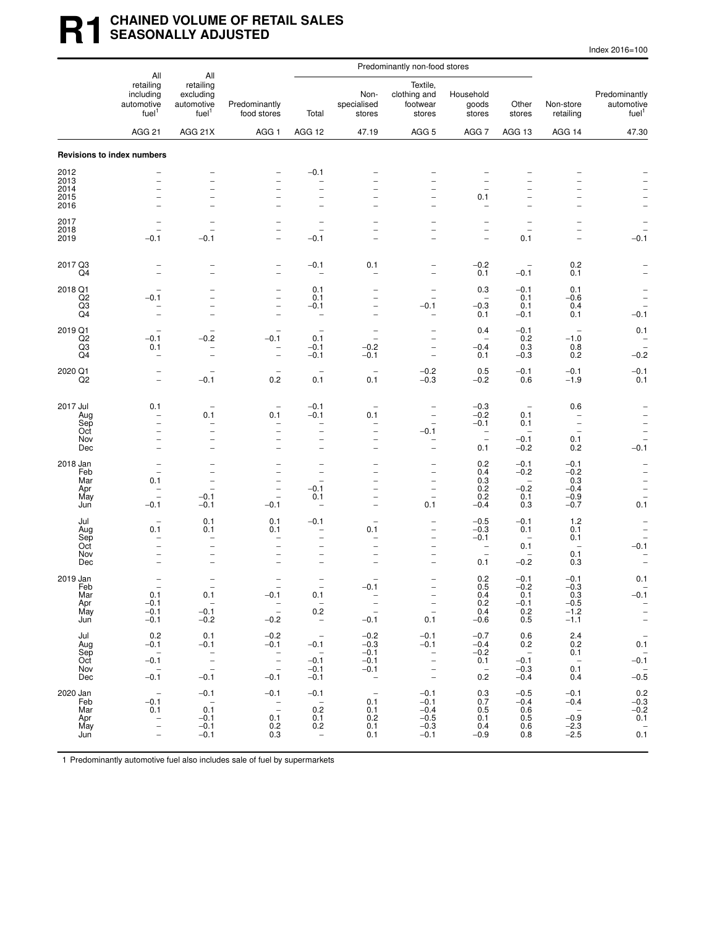## **R1** CHAINED VOLUME OF RETAIL SALES **SEASONALLY ADJUSTED**

| Index 2016=100 |
|----------------|
|----------------|

|                           | All                                                            | All                                                       |                                                                | Predominantly non-food stores                           |                                                      |                                                                                  |                                                             |                                                      |                                                      |                                                             |
|---------------------------|----------------------------------------------------------------|-----------------------------------------------------------|----------------------------------------------------------------|---------------------------------------------------------|------------------------------------------------------|----------------------------------------------------------------------------------|-------------------------------------------------------------|------------------------------------------------------|------------------------------------------------------|-------------------------------------------------------------|
|                           | retailing<br>including<br>automotive<br>fuel <sup>1</sup>      | retailing<br>excluding<br>automotive<br>fuel <sup>1</sup> | Predominantly<br>food stores                                   | Total                                                   | Non-<br>specialised<br>stores                        | Textile,<br>clothing and<br>footwear<br>stores                                   | Household<br>goods<br>stores                                | Other<br>stores                                      | Non-store<br>retailing                               | Predominantly<br>automotive<br>fuel <sup>1</sup>            |
|                           | <b>AGG 21</b>                                                  | AGG 21X                                                   | AGG 1                                                          | AGG 12                                                  | 47.19                                                | AGG <sub>5</sub>                                                                 | AGG 7                                                       | AGG 13                                               | AGG 14                                               | 47.30                                                       |
|                           | <b>Revisions to index numbers</b>                              |                                                           |                                                                |                                                         |                                                      |                                                                                  |                                                             |                                                      |                                                      |                                                             |
| 2012                      |                                                                |                                                           |                                                                | $-0.1$                                                  |                                                      |                                                                                  |                                                             |                                                      |                                                      |                                                             |
| 2013<br>2014<br>2015      | $\overline{a}$                                                 |                                                           | $\overline{\phantom{0}}$                                       | -<br>-                                                  |                                                      |                                                                                  | 0.1                                                         |                                                      |                                                      |                                                             |
| 2016                      |                                                                | $\overline{\phantom{0}}$                                  | $\overline{\phantom{0}}$                                       | $\overline{a}$                                          |                                                      | $\overline{\phantom{0}}$                                                         |                                                             | $\overline{\phantom{a}}$                             |                                                      |                                                             |
| 2017<br>2018              | $\overline{\phantom{0}}$                                       |                                                           | $\overline{\phantom{0}}$                                       |                                                         |                                                      | $\overline{\phantom{0}}$<br>$\overline{\phantom{0}}$                             | $\overline{\phantom{0}}$<br>$\overline{\phantom{0}}$        | $\overline{\phantom{0}}$<br>$\overline{\phantom{0}}$ | $\overline{\phantom{0}}$                             |                                                             |
| 2019                      | $-0.1$                                                         | $-0.1$                                                    |                                                                | $-0.1$                                                  |                                                      |                                                                                  | $\overline{a}$                                              | 0.1                                                  |                                                      | $-0.1$                                                      |
| 2017 Q3<br>Q4             | $\overline{\phantom{0}}$<br>$\overline{a}$                     | $\overline{a}$                                            | $\overline{a}$<br>$\overline{\phantom{0}}$                     | $-0.1$<br>$\overline{\phantom{0}}$                      | 0.1                                                  | $\overline{\phantom{0}}$<br>$\overline{\phantom{0}}$                             | $-0.2$<br>0.1                                               | $-0.1$                                               | 0.2<br>0.1                                           |                                                             |
| 2018 Q1<br>Q <sub>2</sub> | $-0.1$                                                         | $\overline{\phantom{0}}$                                  | $\overline{\phantom{0}}$<br>$\overline{\phantom{0}}$           | 0.1<br>0.1                                              |                                                      | $\overline{\phantom{0}}$<br>$\overline{\phantom{0}}$                             | 0.3<br>$\qquad \qquad -$                                    | $-0.1$<br>0.1                                        | 0.1<br>$-0.6$                                        |                                                             |
| Q3<br>Q4                  | -                                                              | $\overline{\phantom{0}}$                                  | $\qquad \qquad -$                                              | $-0.1$<br>-                                             |                                                      | $-0.1$<br>-                                                                      | $-0.3$<br>0.1                                               | 0.1<br>$-0.1$                                        | 0.4<br>0.1                                           | $-0.1$                                                      |
| 2019 Q1                   | $-0.1$                                                         | $-0.2$                                                    | $-0.1$                                                         | $\overline{\phantom{0}}$<br>0.1                         | $\overline{\phantom{a}}$<br>$\overline{\phantom{a}}$ | $\overline{\phantom{0}}$                                                         | 0.4<br>$\overline{\phantom{0}}$                             | $-0.1$<br>0.2                                        | $\overline{\phantom{a}}$<br>$-1.0$                   | 0.1                                                         |
| Q2<br>Q3<br>Q4            | 0.1<br>$\overline{\phantom{0}}$                                | $\overline{\phantom{0}}$                                  | $\overline{\phantom{a}}$                                       | $-0.1$<br>$-0.1$                                        | $-0.2$<br>$-0.1$                                     | $\overline{\phantom{0}}$<br>$\overline{\phantom{0}}$                             | $-0.4$<br>0.1                                               | 0.3<br>$-0.3$                                        | 0.8<br>0.2                                           | $-0.2$                                                      |
| 2020 Q1                   |                                                                |                                                           |                                                                | $\qquad \qquad -$                                       |                                                      | $-0.2$                                                                           | 0.5                                                         | $-0.1$                                               | $-0.1$                                               | $-0.1$                                                      |
| Q <sub>2</sub>            | $\equiv$                                                       | $-0.1$                                                    | 0.2                                                            | 0.1                                                     | 0.1                                                  | $-0.3$                                                                           | $-0.2$                                                      | 0.6                                                  | $-1.9$                                               | 0.1                                                         |
| 2017 Jul                  | 0.1                                                            | $\overline{\phantom{a}}$                                  | $\overline{\phantom{a}}$                                       | $-0.1$                                                  |                                                      |                                                                                  | $-0.3$                                                      | $\qquad \qquad -$                                    | 0.6                                                  |                                                             |
| Aug<br>Sep<br>Oct         | $\qquad \qquad -$<br>$\overline{\phantom{0}}$                  | 0.1<br>$\overline{\phantom{0}}$<br>$\qquad \qquad -$      | 0.1<br>-<br>$\overline{\phantom{0}}$                           | $-0.1$<br>$\overline{\phantom{0}}$<br>$\qquad \qquad -$ | 0.1                                                  | $\overline{\phantom{0}}$<br>$\overline{\phantom{0}}$<br>$-0.1$                   | $-0.2$<br>$-0.1$<br>$\overline{\phantom{0}}$                | 0.1<br>0.1<br>$\overline{\phantom{0}}$               | $\overline{\phantom{a}}$<br>$\overline{\phantom{0}}$ | $\overline{\phantom{0}}$                                    |
| Nov<br>Dec                | $\overline{\phantom{0}}$<br>$\equiv$                           | $\overline{\phantom{0}}$<br>$\overline{\phantom{0}}$      | $\overline{\phantom{0}}$<br>$\overline{\phantom{0}}$           | $\overline{\phantom{0}}$<br>$\overline{\phantom{0}}$    |                                                      | -<br>$\overline{\phantom{0}}$                                                    | $\overline{\phantom{0}}$<br>0.1                             | $-0.1$<br>$-0.2$                                     | 0.1<br>0.2                                           | $\overline{\phantom{a}}$<br>$-0.1$                          |
| 2018 Jan                  |                                                                |                                                           |                                                                | $\overline{\phantom{0}}$                                |                                                      | $\overline{\phantom{0}}$                                                         | 0.2                                                         | $-0.1$                                               | $-0.1$                                               | $\overline{\phantom{0}}$                                    |
| Feb<br>Mar                | 0.1                                                            |                                                           | $\overline{\phantom{0}}$                                       | $\qquad \qquad -$<br>$\qquad \qquad -$                  |                                                      | $\overline{\phantom{0}}$<br>-                                                    | 0.4<br>0.3                                                  | $-0.2$<br>$\overline{\phantom{0}}$                   | $-0.2$<br>0.3                                        | $\qquad \qquad -$                                           |
| Apr<br>May<br>Jun         | $\overline{\phantom{0}}$<br>$\overline{\phantom{0}}$<br>$-0.1$ | $-0.1$<br>$-0.1$                                          | $\overline{\phantom{0}}$<br>$\overline{\phantom{0}}$<br>$-0.1$ | $-0.1$<br>0.1<br>$\overline{\phantom{0}}$               |                                                      | $\overline{\phantom{0}}$<br>$\overline{a}$<br>0.1                                | 0.2<br>0.2<br>$-0.4$                                        | $-0.2$<br>0.1<br>0.3                                 | $-0.4$<br>$-0.9$<br>$-0.7$                           | $\overline{\phantom{a}}$<br>$\overline{\phantom{0}}$<br>0.1 |
| Jul                       |                                                                | 0.1                                                       | 0.1                                                            | $-0.1$                                                  |                                                      | -                                                                                | $-0.5$                                                      | $-0.1$                                               | 1.2                                                  |                                                             |
| Aug<br>Sep                | 0.1                                                            | 0.1                                                       | 0.1<br>-                                                       | -<br>$\overline{\phantom{0}}$                           | 0.1                                                  | -<br>$\overline{\phantom{0}}$                                                    | $-0.3$<br>$-0.1$                                            | 0.1<br>$\overline{\phantom{a}}$                      | 0.1<br>0.1                                           |                                                             |
| Oct<br>Nov<br>Dec         |                                                                |                                                           | $\overline{\phantom{0}}$                                       | $\overline{\phantom{0}}$<br>$\overline{\phantom{0}}$    |                                                      | $\overline{\phantom{0}}$<br>$\overline{\phantom{0}}$<br>$\overline{\phantom{0}}$ | $\overline{\phantom{0}}$<br>$\overline{\phantom{0}}$<br>0.1 | 0.1<br>$-0.2$                                        | 0.1<br>0.3                                           | $-0.1$<br>۰                                                 |
| 2019 Jan                  |                                                                |                                                           |                                                                |                                                         |                                                      |                                                                                  | 0.2                                                         | $-0.1$                                               | $-0.1$                                               | 0.1                                                         |
| Feb<br>Mar                | 0.1                                                            | 0.1                                                       | $-0.1$                                                         | 0.1                                                     | $-0.1$                                               |                                                                                  | 0.5<br>0.4                                                  | $-0.2$<br>0.1                                        | $-0.3$<br>0.3                                        | -<br>$-0.1$                                                 |
| Apr<br>May                | $-0.1$<br>$-0.1$                                               | $\overline{\phantom{0}}$<br>$-0.1$                        | $\mathbb{Z}$                                                   | $\hspace{0.1cm} -$<br>0.2                               | $\frac{1}{2}$                                        | $\frac{1}{\pi}$                                                                  | 0.2<br>$0.4 - 0.6$                                          | $-0.1$<br>0.2                                        | $-0.5$<br>$-1.2$                                     | $\overline{\phantom{a}}$<br>$\bar{z}$                       |
| Jun<br>Jul                | $-0.1$<br>0.2                                                  | $-0.2$<br>0.1                                             | $-0.2$<br>$-0.2$                                               | $\sim$ $-$<br>$\hspace{0.1mm}-\hspace{0.1mm}$           | $-0.1$<br>$-0.2$                                     | 0.1<br>$-0.1$                                                                    | $-0.7$                                                      | 0.5<br>0.6                                           | $-1.1$<br>2.4                                        | $\hspace{0.1mm}-\hspace{0.1mm}$                             |
| Aug<br>Sep                | $-0.1$<br>$\overline{\phantom{a}}$                             | $-0.1$                                                    | $-0.1$                                                         | $-0.1$<br>$\sim$                                        | $-0.3$<br>$-0.1$                                     | $-0.1$<br>$\overline{\phantom{a}}$                                               | $-0.4$<br>$-0.2$                                            | 0.2<br>$\overline{\phantom{0}}$                      | 0.2<br>0.1                                           | $0.1\,$                                                     |
| Oct<br>Nov                | $-0.1$<br>$\sim$                                               | $\frac{1}{\pi}$                                           | $\frac{1}{2}$                                                  | $-0.1$<br>$-0.1$                                        | $-0.1$<br>$-0.1$                                     | $\frac{1}{2}$                                                                    | 0.1<br>$\overline{\phantom{a}}$                             | $-0.1$<br>$-0.3$                                     | $\overline{\phantom{0}}$<br>0.1                      | $-0.\overline{1}$<br>$-0.\overline{5}$                      |
| Dec                       | $-0.1$                                                         | $-0.1$                                                    | $-0.1$                                                         | $-0.1$                                                  | $\sim$                                               |                                                                                  | 0.2                                                         | $-0.4$                                               | 0.4                                                  |                                                             |
| 2020 Jan<br>Feb<br>Mar    | $\hspace{0.1cm} -$<br>$-0.1$<br>0.1                            | $-0.1$<br>$\sim$<br>0.1                                   | $-0.1$<br>$\bar{\mathbb{Z}}$                                   | $-0.1$<br>$\overline{\phantom{0}}$<br>0.2               | $\overline{\phantom{0}}$<br>0.1<br>0.1               | $-0.1$<br>$-0.1$<br>$-0.4$                                                       | 0.3<br>0.7<br>0.5                                           | $-0.5$<br>$-0.4$<br>0.6                              | $-0.1$<br>$-0.4$<br>$\sim$ $-$                       | $-0.2$<br>$-0.3$<br>$-0.2$                                  |
| Apr<br>May                | $\bar{a}$                                                      | $-0.1$<br>$-0.1$                                          | 0.1<br>0.2                                                     | 0.1<br>0.2                                              | 0.2<br>0.1                                           | $-0.5$<br>$-0.3$                                                                 | 0.1<br>0.4                                                  | 0.5<br>0.6                                           | $-0.9$<br>$-2.3$                                     | 0.1                                                         |
| Jun                       | $\overline{\phantom{0}}$                                       | $-0.1$                                                    | 0.3                                                            | $\hspace{0.1mm}-\hspace{0.1mm}$                         | 0.1                                                  | $-0.1$                                                                           | $-0.9$                                                      | 0.8                                                  | $-2.5$                                               | $0.\overline{1}$                                            |